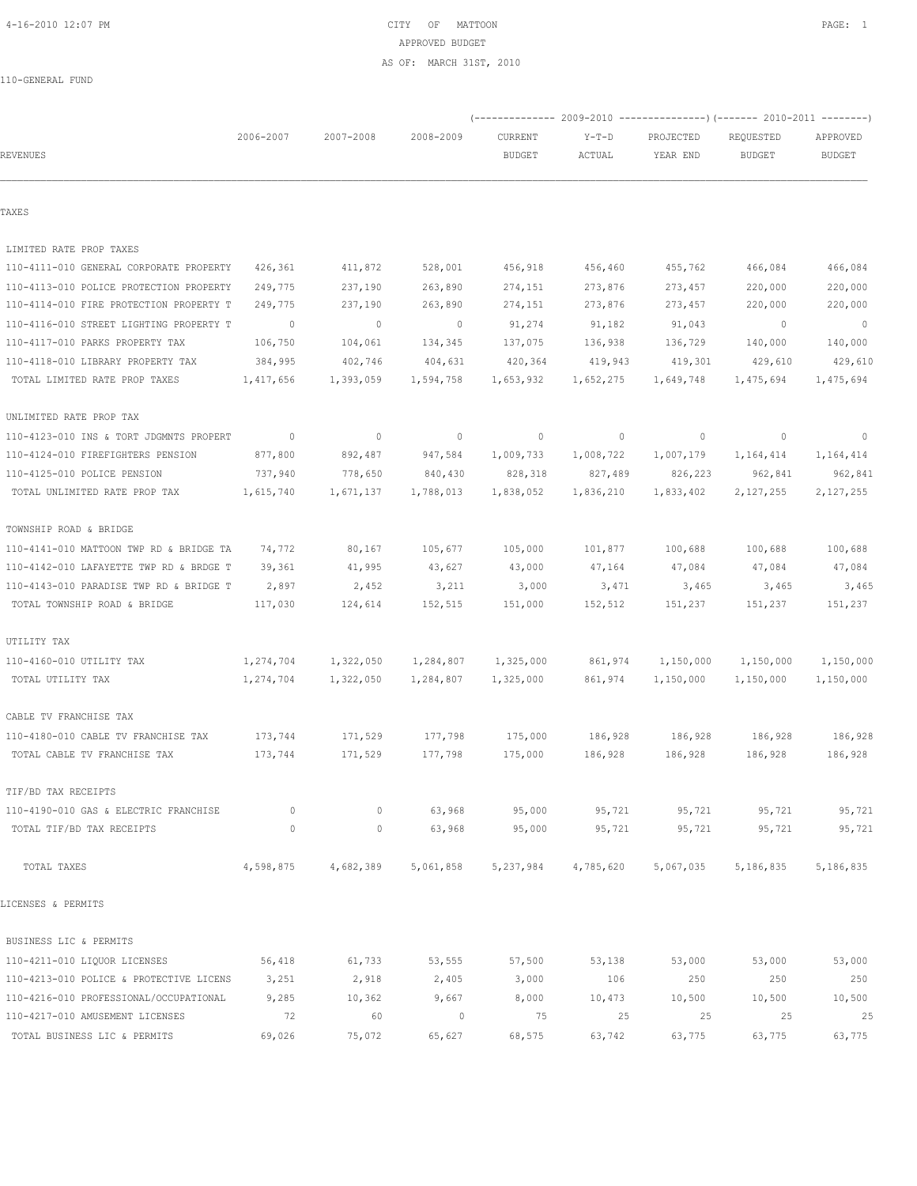# 4-16-2010 12:07 PM CITY OF MATTOON PAGE: 1 APPROVED BUDGET AS OF: MARCH 31ST, 2010

|                                         |           |           |                |                     |           | (-------------- 2009-2010 ----------------) (------- 2010-2011 --------) |               |                |
|-----------------------------------------|-----------|-----------|----------------|---------------------|-----------|--------------------------------------------------------------------------|---------------|----------------|
|                                         | 2006-2007 | 2007-2008 | 2008-2009      | CURRENT             | Y-T-D     | PROJECTED                                                                | REQUESTED     | APPROVED       |
| REVENUES                                |           |           |                | <b>BUDGET</b>       | ACTUAL    | YEAR END                                                                 | <b>BUDGET</b> | BUDGET         |
| TAXES                                   |           |           |                |                     |           |                                                                          |               |                |
|                                         |           |           |                |                     |           |                                                                          |               |                |
| LIMITED RATE PROP TAXES                 |           |           |                |                     |           |                                                                          |               |                |
| 110-4111-010 GENERAL CORPORATE PROPERTY | 426,361   | 411,872   | 528,001        | 456,918             | 456,460   | 455,762                                                                  | 466,084       | 466,084        |
| 110-4113-010 POLICE PROTECTION PROPERTY | 249,775   | 237,190   | 263,890        | 274,151             | 273,876   | 273,457                                                                  | 220,000       | 220,000        |
| 110-4114-010 FIRE PROTECTION PROPERTY T | 249,775   | 237,190   | 263,890        | 274,151             | 273,876   | 273,457                                                                  | 220,000       | 220,000        |
| 110-4116-010 STREET LIGHTING PROPERTY T | $\sim$ 0  | $\sim$ 0  | $\overline{0}$ | 91,274              | 91,182    | 91,043                                                                   | $\sim$ 0      | $\overline{0}$ |
| 110-4117-010 PARKS PROPERTY TAX         | 106,750   | 104,061   | 134,345        | 137,075             | 136,938   | 136,729                                                                  | 140,000       | 140,000        |
| 110-4118-010 LIBRARY PROPERTY TAX       | 384,995   | 402,746   | 404,631        | 420,364             | 419,943   | 419,301                                                                  | 429,610       | 429,610        |
| TOTAL LIMITED RATE PROP TAXES           | 1,417,656 | 1,393,059 | 1,594,758      | 1,653,932           | 1,652,275 | 1,649,748                                                                | 1,475,694     | 1,475,694      |
| UNLIMITED RATE PROP TAX                 |           |           |                |                     |           |                                                                          |               |                |
| 110-4123-010 INS & TORT JDGMNTS PROPERT | $\sim$ 0  | $\sim$ 0  | $\sim$ 0       | $\circ$             | $\sim$ 0  | $\sim$ 0                                                                 | $\sim$ 0      | $\sim$ 0       |
| 110-4124-010 FIREFIGHTERS PENSION       | 877,800   | 892,487   | 947,584        | 1,009,733           | 1,008,722 | 1,007,179                                                                | 1,164,414     | 1,164,414      |
| 110-4125-010 POLICE PENSION             | 737,940   | 778,650   | 840,430        | 828,318             | 827,489   | 826,223                                                                  | 962,841       | 962,841        |
| TOTAL UNLIMITED RATE PROP TAX           | 1,615,740 | 1,671,137 | 1,788,013      | 1,838,052           | 1,836,210 | 1,833,402                                                                | 2,127,255     | 2,127,255      |
| TOWNSHIP ROAD & BRIDGE                  |           |           |                |                     |           |                                                                          |               |                |
| 110-4141-010 MATTOON TWP RD & BRIDGE TA | 74,772    | 80,167    | 105,677        | 105,000             | 101,877   | 100,688                                                                  | 100,688       | 100,688        |
| 110-4142-010 LAFAYETTE TWP RD & BRDGE T | 39,361    | 41,995    | 43,627         | 43,000              | 47,164    | 47,084                                                                   | 47,084        | 47,084         |
| 110-4143-010 PARADISE TWP RD & BRIDGE T | 2,897     | 2,452     | 3,211          | 3,000               | 3,471     | 3,465                                                                    | 3,465         | 3,465          |
| TOTAL TOWNSHIP ROAD & BRIDGE            | 117,030   | 124,614   | 152,515        | 151,000             | 152,512   | 151,237                                                                  | 151,237       | 151,237        |
| UTILITY TAX                             |           |           |                |                     |           |                                                                          |               |                |
| 110-4160-010 UTILITY TAX                | 1,274,704 | 1,322,050 |                | 1,284,807 1,325,000 |           | 861,974 1,150,000 1,150,000                                              |               | 1,150,000      |
| TOTAL UTILITY TAX                       | 1,274,704 | 1,322,050 | 1,284,807      | 1,325,000           | 861,974   | 1,150,000                                                                | 1,150,000     | 1,150,000      |
| CABLE TV FRANCHISE TAX                  |           |           |                |                     |           |                                                                          |               |                |
| 110-4180-010 CABLE TV FRANCHISE TAX     | 173,744   | 171,529   | 177,798        | 175,000             | 186,928   | 186,928                                                                  | 186,928       | 186,928        |
| TOTAL CABLE TV FRANCHISE TAX            | 173,744   | 171,529   | 177,798        | 175,000             | 186,928   | 186,928                                                                  | 186,928       | 186,928        |
| TIF/BD TAX RECEIPTS                     |           |           |                |                     |           |                                                                          |               |                |
| 110-4190-010 GAS & ELECTRIC FRANCHISE   | 0         | 0         | 63,968         | 95,000              | 95,721    | 95,721                                                                   | 95,721        | 95,721         |
| TOTAL TIF/BD TAX RECEIPTS               | 0         | 0         | 63,968         | 95,000              | 95,721    | 95,721                                                                   | 95,721        | 95,721         |
| TOTAL TAXES                             | 4,598,875 | 4,682,389 | 5,061,858      | 5,237,984           | 4,785,620 | 5,067,035                                                                | 5,186,835     | 5,186,835      |
| LICENSES & PERMITS                      |           |           |                |                     |           |                                                                          |               |                |
| BUSINESS LIC & PERMITS                  |           |           |                |                     |           |                                                                          |               |                |
| 110-4211-010 LIQUOR LICENSES            | 56,418    | 61,733    | 53,555         | 57,500              | 53,138    | 53,000                                                                   | 53,000        | 53,000         |
| 110-4213-010 POLICE & PROTECTIVE LICENS | 3,251     | 2,918     | 2,405          | 3,000               | 106       | 250                                                                      | 250           | 250            |
| 110-4216-010 PROFESSIONAL/OCCUPATIONAL  | 9,285     | 10,362    | 9,667          | 8,000               | 10,473    | 10,500                                                                   | 10,500        | 10,500         |
| 110-4217-010 AMUSEMENT LICENSES         | 72        | 60        | $\mathbb O$    | 75                  | 25        | 25                                                                       | 25            | 25             |
| TOTAL BUSINESS LIC & PERMITS            | 69,026    | 75,072    | 65,627         | 68,575              | 63,742    | 63,775                                                                   | 63,775        | 63,775         |
|                                         |           |           |                |                     |           |                                                                          |               |                |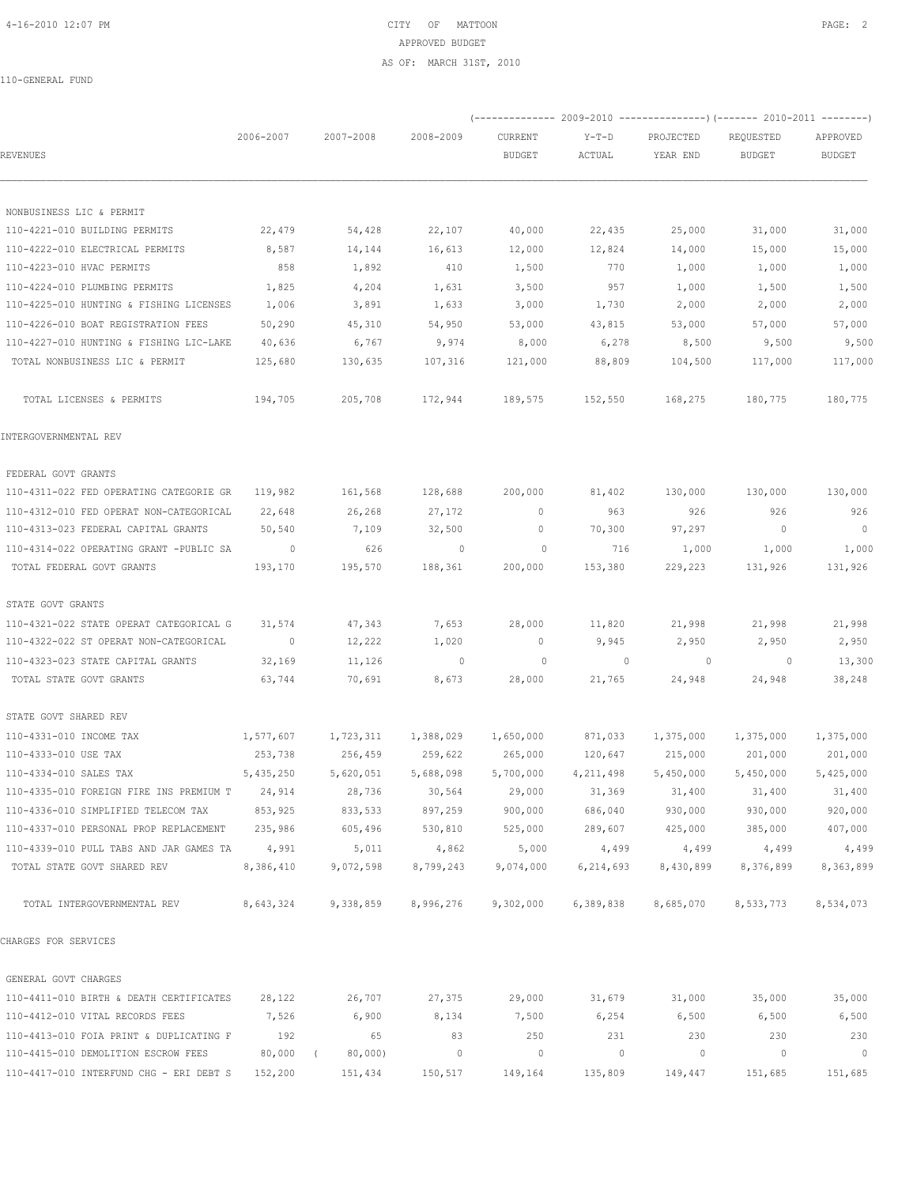# 4-16-2010 12:07 PM CITY OF MATTOON PAGE: 2 APPROVED BUDGET AS OF: MARCH 31ST, 2010

|                                         |                          |           |                          | (------------- 2009-2010 ---------------) (------- 2010-2011 --------) |                   |                       |                            |                           |
|-----------------------------------------|--------------------------|-----------|--------------------------|------------------------------------------------------------------------|-------------------|-----------------------|----------------------------|---------------------------|
| <b>REVENUES</b>                         | 2006-2007                | 2007-2008 | 2008-2009                | CURRENT<br><b>BUDGET</b>                                               | $Y-T-D$<br>ACTUAL | PROJECTED<br>YEAR END | REQUESTED<br><b>BUDGET</b> | APPROVED<br><b>BUDGET</b> |
| NONBUSINESS LIC & PERMIT                |                          |           |                          |                                                                        |                   |                       |                            |                           |
| 110-4221-010 BUILDING PERMITS           | 22,479                   | 54,428    | 22,107                   | 40,000                                                                 | 22,435            | 25,000                | 31,000                     | 31,000                    |
| 110-4222-010 ELECTRICAL PERMITS         | 8,587                    | 14,144    | 16,613                   | 12,000                                                                 | 12,824            | 14,000                | 15,000                     | 15,000                    |
| 110-4223-010 HVAC PERMITS               | 858                      | 1,892     | 410                      | 1,500                                                                  | 770               | 1,000                 | 1,000                      | 1,000                     |
| 110-4224-010 PLUMBING PERMITS           | 1,825                    | 4,204     | 1,631                    | 3,500                                                                  | 957               | 1,000                 | 1,500                      | 1,500                     |
| 110-4225-010 HUNTING & FISHING LICENSES | 1,006                    | 3,891     | 1,633                    | 3,000                                                                  | 1,730             | 2,000                 | 2,000                      | 2,000                     |
| 110-4226-010 BOAT REGISTRATION FEES     | 50,290                   | 45,310    | 54,950                   | 53,000                                                                 | 43,815            | 53,000                | 57,000                     | 57,000                    |
| 110-4227-010 HUNTING & FISHING LIC-LAKE | 40,636                   | 6,767     | 9,974                    | 8,000                                                                  | 6,278             | 8,500                 | 9,500                      | 9,500                     |
| TOTAL NONBUSINESS LIC & PERMIT          | 125,680                  | 130,635   | 107,316                  | 121,000                                                                | 88,809            | 104,500               | 117,000                    | 117,000                   |
| TOTAL LICENSES & PERMITS                | 194,705                  | 205,708   | 172,944                  | 189,575                                                                | 152,550           | 168,275               | 180,775                    | 180,775                   |
| INTERGOVERNMENTAL REV                   |                          |           |                          |                                                                        |                   |                       |                            |                           |
| FEDERAL GOVT GRANTS                     |                          |           |                          |                                                                        |                   |                       |                            |                           |
| 110-4311-022 FED OPERATING CATEGORIE GR | 119,982                  | 161,568   | 128,688                  | 200,000                                                                | 81,402            | 130,000               | 130,000                    | 130,000                   |
| 110-4312-010 FED OPERAT NON-CATEGORICAL | 22,648                   | 26,268    | 27,172                   | $\circ$                                                                | 963               | 926                   | 926                        | 926                       |
| 110-4313-023 FEDERAL CAPITAL GRANTS     | 50,540                   | 7,109     | 32,500                   | $\circ$                                                                | 70,300            | 97,297                | $\overline{\phantom{0}}$   | $\overline{0}$            |
| 110-4314-022 OPERATING GRANT -PUBLIC SA | $\sim$ 0                 | 626       | $\overline{0}$           | 0                                                                      | 716               | 1,000                 | 1,000                      | 1,000                     |
| TOTAL FEDERAL GOVT GRANTS               | 193,170                  | 195,570   | 188,361                  | 200,000                                                                | 153,380           | 229,223               | 131,926                    | 131,926                   |
| STATE GOVT GRANTS                       |                          |           |                          |                                                                        |                   |                       |                            |                           |
| 110-4321-022 STATE OPERAT CATEGORICAL G | 31,574                   | 47,343    | 7,653                    | 28,000                                                                 | 11,820            | 21,998                | 21,998                     | 21,998                    |
| 110-4322-022 ST OPERAT NON-CATEGORICAL  | $\overline{\phantom{0}}$ | 12,222    | 1,020                    | $\overline{0}$                                                         | 9,945             | 2,950                 | 2,950                      | 2,950                     |
| 110-4323-023 STATE CAPITAL GRANTS       | 32,169                   | 11,126    | $\overline{\phantom{0}}$ | $\overline{0}$                                                         | $\sim$ 0          | $\sim$ 0              | $\overline{\phantom{0}}$   | 13,300                    |
| TOTAL STATE GOVT GRANTS                 | 63,744                   | 70,691    | 8,673                    | 28,000                                                                 | 21,765            | 24,948                | 24,948                     | 38,248                    |
| STATE GOVT SHARED REV                   |                          |           |                          |                                                                        |                   |                       |                            |                           |
| 110-4331-010 INCOME TAX                 | 1,577,607                | 1,723,311 | 1,388,029                | 1,650,000                                                              | 871,033           | 1,375,000             | 1,375,000                  | 1,375,000                 |
| 110-4333-010 USE TAX                    | 253,738                  | 256,459   | 259,622                  | 265,000                                                                | 120,647           | 215,000               | 201,000                    | 201,000                   |
| 110-4334-010 SALES TAX                  | 5,435,250                | 5,620,051 | 5,688,098                | 5,700,000                                                              | 4, 211, 498       | 5,450,000             | 5,450,000                  | 5,425,000                 |
| 110-4335-010 FOREIGN FIRE INS PREMIUM T | 24,914                   | 28,736    | 30,564                   | 29,000                                                                 | 31,369            | 31,400                | 31,400                     | 31,400                    |
| 110-4336-010 SIMPLIFIED TELECOM TAX     | 853,925                  | 833,533   | 897,259                  | 900,000                                                                | 686,040           | 930,000               | 930,000                    | 920,000                   |
| 110-4337-010 PERSONAL PROP REPLACEMENT  | 235,986                  | 605,496   | 530,810                  | 525,000                                                                | 289,607           | 425,000               | 385,000                    | 407,000                   |
| 110-4339-010 PULL TABS AND JAR GAMES TA | 4,991                    | 5,011     | 4,862                    | 5,000                                                                  | 4,499             | 4,499                 | 4,499                      | 4,499                     |
| TOTAL STATE GOVT SHARED REV             | 8,386,410                | 9,072,598 | 8,799,243                | 9,074,000                                                              | 6, 214, 693       | 8,430,899             | 8,376,899                  | 8,363,899                 |
| TOTAL INTERGOVERNMENTAL REV             | 8,643,324                | 9,338,859 | 8,996,276                | 9,302,000                                                              | 6,389,838         | 8,685,070             | 8,533,773                  | 8,534,073                 |
| CHARGES FOR SERVICES                    |                          |           |                          |                                                                        |                   |                       |                            |                           |
| GENERAL GOVT CHARGES                    |                          |           |                          |                                                                        |                   |                       |                            |                           |
| 110-4411-010 BIRTH & DEATH CERTIFICATES | 28,122                   | 26,707    | 27,375                   | 29,000                                                                 | 31,679            | 31,000                | 35,000                     | 35,000                    |
| 110-4412-010 VITAL RECORDS FEES         | 7,526                    | 6,900     | 8,134                    | 7,500                                                                  | 6,254             | 6,500                 | 6,500                      | 6,500                     |
| 110-4413-010 FOIA PRINT & DUPLICATING F | 192                      | 65        | 83                       | 250                                                                    | 231               | 230                   | 230                        | 230                       |
| 110-4415-010 DEMOLITION ESCROW FEES     | $80,000$ (               | 80,000)   | $\overline{0}$           | $\mathbb O$                                                            | $\circ$           | $\circ$               | $\overline{0}$             | $\sim$ 0                  |
| 110-4417-010 INTERFUND CHG - ERI DEBT S | 152,200                  | 151,434   | 150,517                  | 149,164                                                                | 135,809           | 149,447               | 151,685                    | 151,685                   |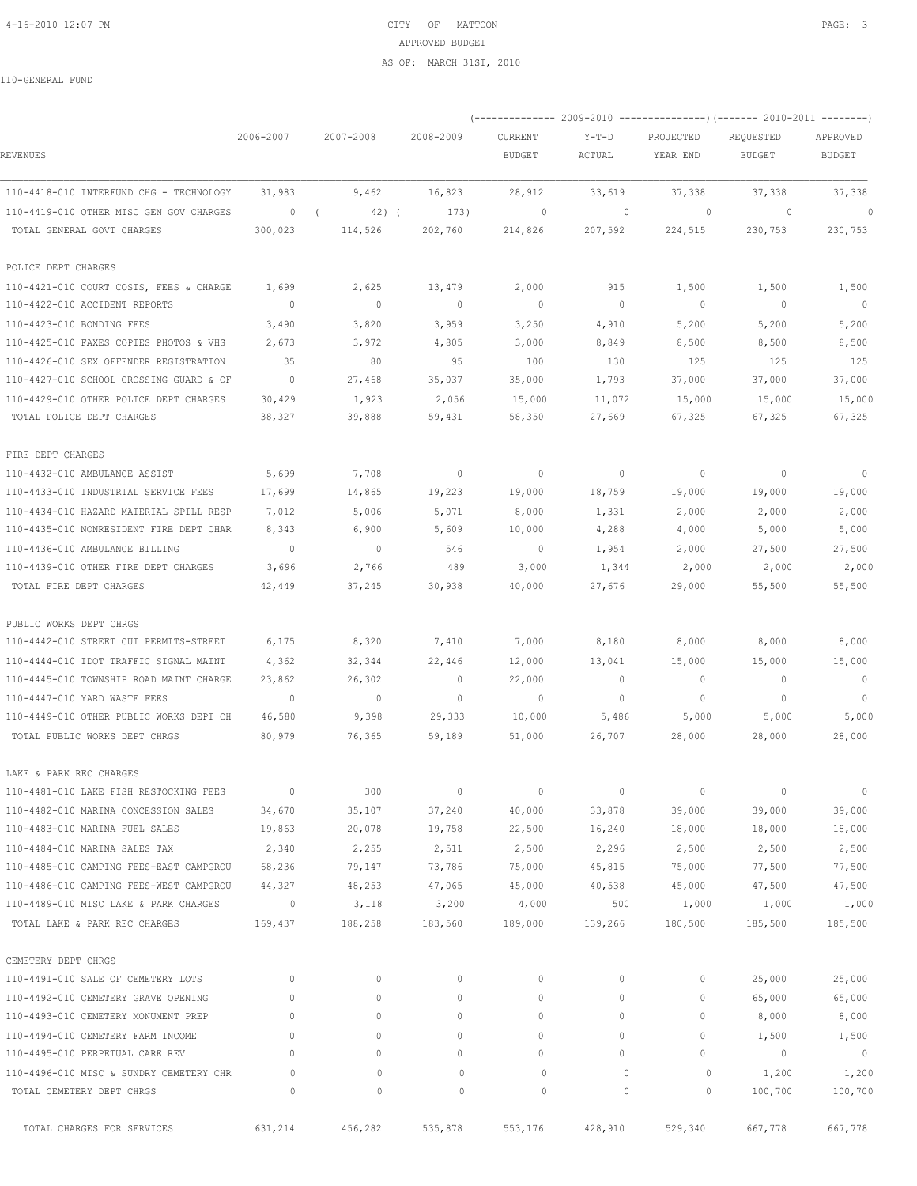# APPROVED BUDGET AS OF: MARCH 31ST, 2010

#### 110-GENERAL FUND

| REVENUES                                | 2006-2007                | 2007-2008                | 2008-2009                | CURRENT<br><b>BUDGET</b> | $Y-T-D$<br>ACTUAL | PROJECTED<br>YEAR END | REQUESTED<br><b>BUDGET</b> | APPROVED<br><b>BUDGET</b> |
|-----------------------------------------|--------------------------|--------------------------|--------------------------|--------------------------|-------------------|-----------------------|----------------------------|---------------------------|
| 110-4418-010 INTERFUND CHG - TECHNOLOGY | 31,983                   | 9,462                    | 16,823                   | 28,912                   | 33,619            | 37,338                | 37,338                     | 37,338                    |
| 110-4419-010 OTHER MISC GEN GOV CHARGES | $\circ$                  | 42) (<br>$\sqrt{2}$      | 173)                     | $\circ$                  | $\mathbf{0}$      | $\mathbf{0}$          | $\mathbf{0}$               | $\theta$                  |
| TOTAL GENERAL GOVT CHARGES              | 300,023                  | 114,526                  | 202,760                  | 214,826                  | 207,592           | 224,515               | 230,753                    | 230,753                   |
| POLICE DEPT CHARGES                     |                          |                          |                          |                          |                   |                       |                            |                           |
| 110-4421-010 COURT COSTS, FEES & CHARGE | 1,699                    | 2,625                    | 13,479                   | 2,000                    | 915               | 1,500                 | 1,500                      | 1,500                     |
| 110-4422-010 ACCIDENT REPORTS           | $\overline{\phantom{0}}$ | $\overline{\phantom{0}}$ | $\overline{\phantom{0}}$ | $\overline{\phantom{0}}$ | $\overline{0}$    | $\sim$ 0              | $\overline{\phantom{0}}$   | $\overline{0}$            |
| 110-4423-010 BONDING FEES               | 3,490                    | 3,820                    | 3,959                    | 3,250                    | 4,910             | 5,200                 | 5,200                      | 5,200                     |
| 110-4425-010 FAXES COPIES PHOTOS & VHS  | 2,673                    | 3,972                    | 4,805                    | 3,000                    | 8,849             | 8,500                 | 8,500                      | 8,500                     |
| 110-4426-010 SEX OFFENDER REGISTRATION  | 35                       | 80                       | 95                       | 100                      | 130               | 125                   | 125                        | 125                       |
| 110-4427-010 SCHOOL CROSSING GUARD & OF | $\overline{\phantom{0}}$ | 27,468                   | 35,037                   | 35,000                   | 1,793             | 37,000                | 37,000                     | 37,000                    |
| 110-4429-010 OTHER POLICE DEPT CHARGES  | 30,429                   | 1,923                    | 2,056                    | 15,000                   | 11,072            | 15,000                | 15,000                     | 15,000                    |
| TOTAL POLICE DEPT CHARGES               | 38,327                   | 39,888                   | 59,431                   | 58,350                   | 27,669            | 67,325                | 67,325                     | 67,325                    |
| FIRE DEPT CHARGES                       |                          |                          |                          |                          |                   |                       |                            |                           |
| 110-4432-010 AMBULANCE ASSIST           | 5,699                    | 7,708                    | $\overline{0}$           | $\mathbf 0$              | 0                 | 0                     | 0                          | $\mathbf 0$               |
| 110-4433-010 INDUSTRIAL SERVICE FEES    | 17,699                   | 14,865                   | 19,223                   | 19,000                   | 18,759            | 19,000                | 19,000                     | 19,000                    |
| 110-4434-010 HAZARD MATERIAL SPILL RESP | 7,012                    | 5,006                    | 5,071                    | 8,000                    | 1,331             | 2,000                 | 2,000                      | 2,000                     |
| 110-4435-010 NONRESIDENT FIRE DEPT CHAR | 8,343                    | 6,900                    | 5,609                    | 10,000                   | 4,288             | 4,000                 | 5,000                      | 5,000                     |
| 110-4436-010 AMBULANCE BILLING          | $\overline{\phantom{0}}$ | $\overline{\phantom{0}}$ | 546                      | $\overline{\phantom{0}}$ | 1,954             | 2,000                 | 27,500                     | 27,500                    |
| 110-4439-010 OTHER FIRE DEPT CHARGES    | 3,696                    | 2,766                    | 489                      | 3,000                    | 1,344             | 2,000                 | 2,000                      | 2,000                     |
| TOTAL FIRE DEPT CHARGES                 | 42,449                   | 37,245                   | 30,938                   | 40,000                   | 27,676            | 29,000                | 55,500                     | 55,500                    |
| PUBLIC WORKS DEPT CHRGS                 |                          |                          |                          |                          |                   |                       |                            |                           |
| 110-4442-010 STREET CUT PERMITS-STREET  | 6,175                    | 8,320                    | 7,410                    | 7,000                    | 8,180             | 8,000                 | 8,000                      | 8,000                     |
| 110-4444-010 IDOT TRAFFIC SIGNAL MAINT  | 4,362                    | 32,344                   | 22,446                   | 12,000                   | 13,041            | 15,000                | 15,000                     | 15,000                    |
| 110-4445-010 TOWNSHIP ROAD MAINT CHARGE | 23,862                   | 26,302                   | $\overline{0}$           | 22,000                   | 0                 | $\circ$               | $\overline{0}$             | $\overline{0}$            |
| 110-4447-010 YARD WASTE FEES            | $\overline{0}$           | $\overline{\phantom{0}}$ | $\circ$                  | $\circ$                  | 0                 | $\circ$               | $\mathbf 0$                | $\overline{0}$            |
| 110-4449-010 OTHER PUBLIC WORKS DEPT CH | 46,580                   | 9,398                    | 29,333                   | 10,000                   | 5,486             | 5,000                 | 5,000                      | 5,000                     |
| TOTAL PUBLIC WORKS DEPT CHRGS           | 80,979                   | 76,365                   | 59,189                   | 51,000                   | 26,707            | 28,000                | 28,000                     | 28,000                    |
| LAKE & PARK REC CHARGES                 |                          |                          |                          |                          |                   |                       |                            |                           |
| 110-4481-010 LAKE FISH RESTOCKING FEES  | $\circ$                  | 300                      | $\mathbf 0$              | $\mathbf{0}$             | 0                 | $\circ$               | $\mathbf{0}$               | 0                         |
| 110-4482-010 MARINA CONCESSION SALES    | 34,670                   | 35,107                   | 37,240                   | 40,000                   | 33,878            | 39,000                | 39,000                     | 39,000                    |
| 110-4483-010 MARINA FUEL SALES          | 19,863                   | 20,078                   | 19,758                   | 22,500                   | 16,240            | 18,000                | 18,000                     | 18,000                    |
| 110-4484-010 MARINA SALES TAX           | 2,340                    | 2,255                    | 2,511                    | 2,500                    | 2,296             | 2,500                 | 2,500                      | 2,500                     |
| 110-4485-010 CAMPING FEES-EAST CAMPGROU | 68,236                   | 79,147                   | 73,786                   | 75,000                   | 45,815            | 75,000                | 77,500                     | 77,500                    |
| 110-4486-010 CAMPING FEES-WEST CAMPGROU | 44,327                   | 48,253                   | 47,065                   | 45,000                   | 40,538            | 45,000                | 47,500                     | 47,500                    |
| 110-4489-010 MISC LAKE & PARK CHARGES   | $\circ$                  | 3,118                    | 3,200                    | 4,000                    | 500               | 1,000                 | 1,000                      | 1,000                     |
| TOTAL LAKE & PARK REC CHARGES           | 169,437                  | 188,258                  | 183,560                  | 189,000                  | 139,266           | 180,500               | 185,500                    | 185,500                   |
| CEMETERY DEPT CHRGS                     |                          |                          |                          |                          |                   |                       |                            |                           |
| 110-4491-010 SALE OF CEMETERY LOTS      | 0                        | $\mathbb O$              | $\mathbb O$              | $\mathbb O$              | 0                 | 0                     | 25,000                     | 25,000                    |
| 110-4492-010 CEMETERY GRAVE OPENING     | $\circ$                  | $\circ$                  | $\mathbf 0$              | $\circ$                  | 0                 | 0                     | 65,000                     | 65,000                    |
| 110-4493-010 CEMETERY MONUMENT PREP     | $\mathbf{0}$             | 0                        | 0                        | $\mathbf 0$              | 0                 | 0                     | 8,000                      | 8,000                     |
| 110-4494-010 CEMETERY FARM INCOME       | 0                        | 0                        | 0                        | 0                        | 0                 | 0                     | 1,500                      | 1,500                     |
| 110-4495-010 PERPETUAL CARE REV         | 0                        | 0                        | 0                        | $\mathbf 0$              | 0                 | 0                     | $\circ$                    | $\circ$                   |
| 110-4496-010 MISC & SUNDRY CEMETERY CHR | 0                        | $\circ$                  | $\circ$                  | $\circ$                  | $\mathbf{0}$      | $\mathbf{0}$          | 1,200                      | 1,200                     |
| TOTAL CEMETERY DEPT CHRGS               | 0                        | $\circ$                  | $\circ$                  | 0                        | $\mathbf 0$       | 0                     | 100,700                    | 100,700                   |
| TOTAL CHARGES FOR SERVICES              | 631,214                  | 456,282                  | 535,878                  | 553,176                  | 428,910           | 529,340               | 667,778                    | 667,778                   |

(-------------- 2009-2010 ---------------)(------- 2010-2011 --------)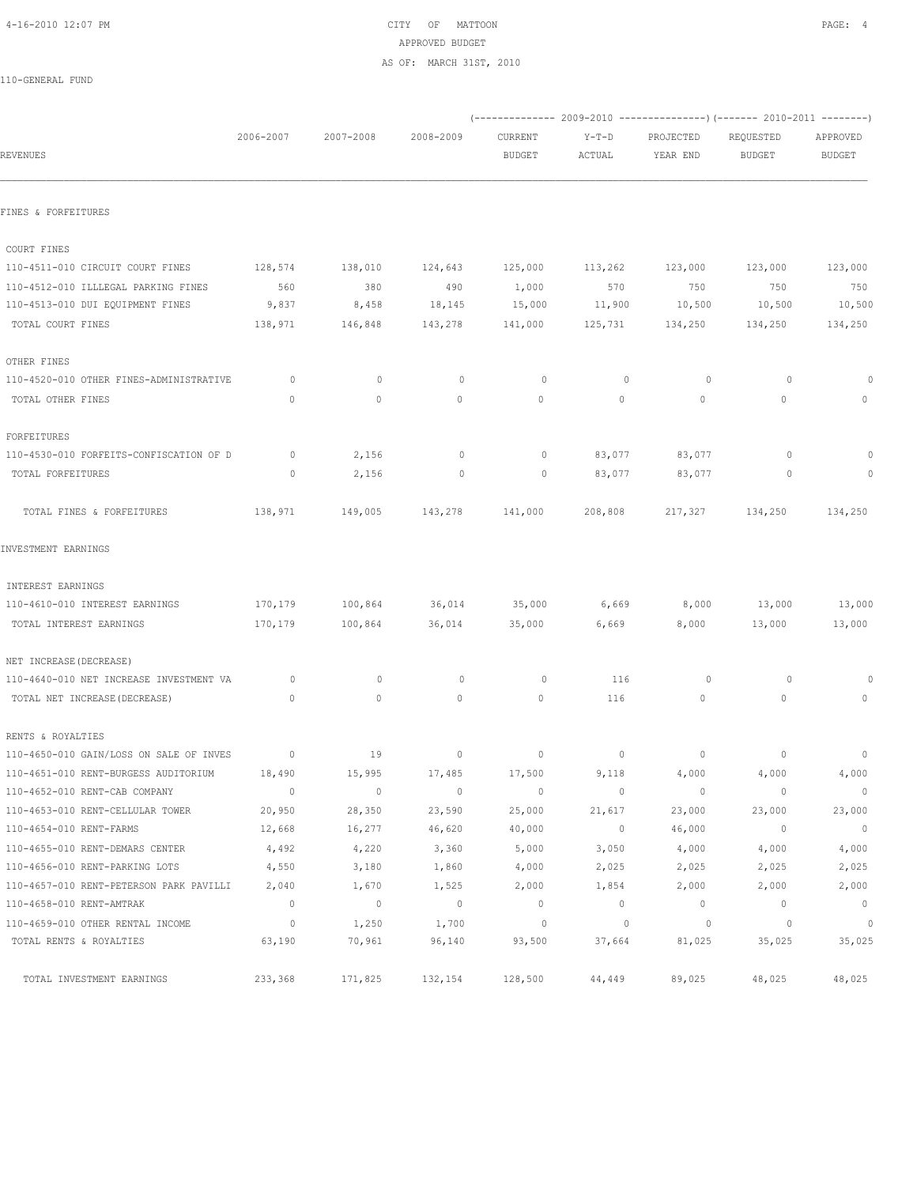# 4-16-2010 12:07 PM CITY OF MATTOON PAGE: 4 APPROVED BUDGET AS OF: MARCH 31ST, 2010

|                                         |              |                                                             |                       | (-------------- 2009-2010 ---------------) (------- 2010-2011 --------) |                   |                       |                            |                           |
|-----------------------------------------|--------------|-------------------------------------------------------------|-----------------------|-------------------------------------------------------------------------|-------------------|-----------------------|----------------------------|---------------------------|
| REVENUES                                | 2006-2007    | 2007-2008                                                   | 2008-2009             | CURRENT<br><b>BUDGET</b>                                                | $Y-T-D$<br>ACTUAL | PROJECTED<br>YEAR END | REQUESTED<br><b>BUDGET</b> | APPROVED<br><b>BUDGET</b> |
| FINES & FORFEITURES                     |              |                                                             |                       |                                                                         |                   |                       |                            |                           |
| COURT FINES                             |              |                                                             |                       |                                                                         |                   |                       |                            |                           |
| 110-4511-010 CIRCUIT COURT FINES        | 128,574      | $138,010$ $124,643$ $125,000$ $113,262$ $123,000$ $123,000$ |                       |                                                                         |                   |                       |                            | 123,000                   |
| 110-4512-010 ILLLEGAL PARKING FINES     | 560          | 380                                                         | 490                   | 1,000                                                                   | 570               | 750                   | 750                        | 750                       |
| 110-4513-010 DUI EQUIPMENT FINES        | 9,837        | 8,458                                                       | 18,145                | 15,000                                                                  | 11,900            | 10,500                | 10,500                     | 10,500                    |
| TOTAL COURT FINES                       | 138,971      | 146,848                                                     | 143,278               | 141,000                                                                 | 125,731           |                       | 134,250 134,250            | 134,250                   |
| OTHER FINES                             |              |                                                             |                       |                                                                         |                   |                       |                            |                           |
| 110-4520-010 OTHER FINES-ADMINISTRATIVE | $\circ$      | $\mathbb O$                                                 | 0                     | $\circ$                                                                 | $\mathbf 0$       | $\mathbf 0$           | $\mathbf 0$                |                           |
| TOTAL OTHER FINES                       | $\mathbf{0}$ | $\circ$                                                     | $\circ$               | $\circ$                                                                 | $\circ$           | 0                     | 0                          | $\mathbf{0}$              |
| FORFEITURES                             |              |                                                             |                       |                                                                         |                   |                       |                            |                           |
| 110-4530-010 FORFEITS-CONFISCATION OF D | 0            | 2,156                                                       | $\circ$               | 0                                                                       |                   | 83,077 83,077         | $\mathbf{0}$               |                           |
| TOTAL FORFEITURES                       | $\circ$      | 2,156                                                       | $\circ$               | $\overline{0}$                                                          | 83,077            | 83,077                | $\mathbf 0$                | 0                         |
| TOTAL FINES & FORFEITURES               |              | 138,971 149,005 143,278 141,000                             |                       |                                                                         | 208,808           |                       | 217,327 134,250            | 134,250                   |
| INVESTMENT EARNINGS                     |              |                                                             |                       |                                                                         |                   |                       |                            |                           |
| INTEREST EARNINGS                       |              |                                                             |                       |                                                                         |                   |                       |                            |                           |
| 110-4610-010 INTEREST EARNINGS          | 170,179      |                                                             | 100,864 36,014 35,000 |                                                                         | 6,669             |                       | 8,000 13,000               | 13,000                    |
| TOTAL INTEREST EARNINGS                 | 170,179      | 100,864                                                     | 36,014                | 35,000                                                                  | 6,669             | 8,000                 | 13,000                     | 13,000                    |
| NET INCREASE (DECREASE)                 |              |                                                             |                       |                                                                         |                   |                       |                            |                           |
| 110-4640-010 NET INCREASE INVESTMENT VA | 0            | $\mathbb O$                                                 | $\circ$               | 0                                                                       | 116               | $\mathbf 0$           | $\mathbf 0$                | 0                         |
| TOTAL NET INCREASE (DECREASE)           | $\circ$      | $\circ$                                                     | $\circ$               | $\circ$                                                                 | 116               | $\circ$               | $\circ$                    |                           |
| RENTS & ROYALTIES                       |              |                                                             |                       |                                                                         |                   |                       |                            |                           |
| 110-4650-010 GAIN/LOSS ON SALE OF INVES | $\circ$      | 19                                                          | $\circ$               | $\circ$                                                                 | $\circ$           | $\circ$               | $\mathbf 0$                | $\mathbf 0$               |
| 110-4651-010 RENT-BURGESS AUDITORIUM    | 18,490       | 15,995                                                      |                       | 17,485 17,500                                                           | 9,118             | 4,000                 | 4,000                      | 4,000                     |
| 110-4652-010 RENT-CAB COMPANY           | $\circ$      | $\circ$                                                     | $\circ$               | $\circ$                                                                 | $\circ$           | $\circ$               | $\mathbb O$                | $\circ$                   |
| 110-4653-010 RENT-CELLULAR TOWER        | 20,950       | 28,350                                                      | 23,590                | 25,000                                                                  | 21,617            | 23,000                | 23,000                     | 23,000                    |
| 110-4654-010 RENT-FARMS                 | 12,668       | 16,277                                                      | 46,620                | 40,000                                                                  | $\overline{0}$    | 46,000                | $\overline{\phantom{0}}$   | $\overline{0}$            |
| 110-4655-010 RENT-DEMARS CENTER         | 4,492        | 4,220                                                       | 3,360                 | 5,000                                                                   | 3,050             | 4,000                 | 4,000                      | 4,000                     |
| 110-4656-010 RENT-PARKING LOTS          | 4,550        | 3,180                                                       | 1,860                 | 4,000                                                                   | 2,025             | 2,025                 | 2,025                      | 2,025                     |
| 110-4657-010 RENT-PETERSON PARK PAVILLI | 2,040        | 1,670                                                       | 1,525                 | 2,000                                                                   | 1,854             | 2,000                 | 2,000                      | 2,000                     |
| 110-4658-010 RENT-AMTRAK                | $\circ$      | $\overline{0}$                                              | $\overline{0}$        | $\circ$                                                                 | 0                 | $\circ$               | 0                          | $\circ$                   |
| 110-4659-010 OTHER RENTAL INCOME        | $\circ$      | 1,250                                                       | 1,700                 | $\circ$                                                                 | $\mathbf 0$       | $\circ$               | $\overline{0}$             | $\,0\,$                   |
| TOTAL RENTS & ROYALTIES                 | 63,190       | 70,961                                                      | 96,140                | 93,500                                                                  | 37,664            | 81,025                | 35,025                     | 35,025                    |
| TOTAL INVESTMENT EARNINGS               | 233,368      | 171,825                                                     | 132,154               | 128,500                                                                 | 44,449            | 89,025                | 48,025                     | 48,025                    |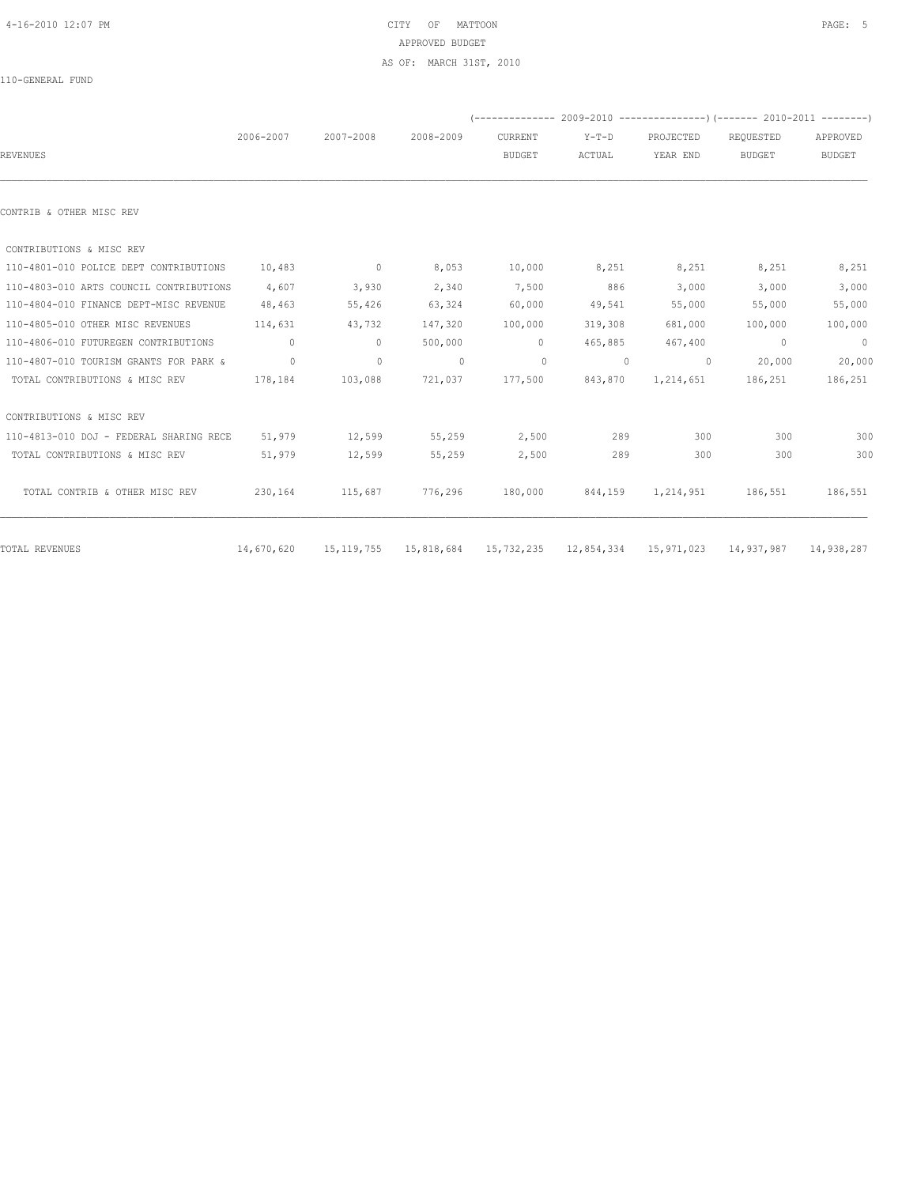# 4-16-2010 12:07 PM CITY OF MATTOON PAGE: 5 APPROVED BUDGET AS OF: MARCH 31ST, 2010

|                                         |            |              |                       | (-------------- 2009-2010 -----------------) (------- 2010-2011 --------) |            |            |               |                |
|-----------------------------------------|------------|--------------|-----------------------|---------------------------------------------------------------------------|------------|------------|---------------|----------------|
|                                         | 2006-2007  | 2007-2008    | 2008-2009             | CURRENT                                                                   | $Y-T-D$    | PROJECTED  | REQUESTED     | APPROVED       |
| <b>REVENUES</b>                         |            |              |                       | <b>BUDGET</b>                                                             | ACTUAL     | YEAR END   | <b>BUDGET</b> | <b>BUDGET</b>  |
|                                         |            |              |                       |                                                                           |            |            |               |                |
| CONTRIB & OTHER MISC REV                |            |              |                       |                                                                           |            |            |               |                |
| CONTRIBUTIONS & MISC REV                |            |              |                       |                                                                           |            |            |               |                |
| 110-4801-010 POLICE DEPT CONTRIBUTIONS  | 10,483     | $\sim$ 0     | 8,053                 | 10,000                                                                    | 8,251      | 8,251      | 8,251         | 8,251          |
| 110-4803-010 ARTS COUNCIL CONTRIBUTIONS | 4,607      | 3,930        | 2,340                 | 7,500                                                                     | 886        | 3,000      | 3,000         | 3,000          |
| 110-4804-010 FINANCE DEPT-MISC REVENUE  | 48,463     | 55,426       | 63,324                | 60,000                                                                    | 49,541     | 55,000     | 55,000        | 55,000         |
| 110-4805-010 OTHER MISC REVENUES        | 114,631    | 43,732       | 147,320               | 100,000                                                                   | 319,308    | 681,000    | 100,000       | 100,000        |
| 110-4806-010 FUTUREGEN CONTRIBUTIONS    | $\circ$    | $\mathbf{0}$ | 500,000               | $\mathbf{0}$                                                              | 465,885    | 467,400    | $\circ$       | $\overline{0}$ |
| 110-4807-010 TOURISM GRANTS FOR PARK &  | $\Omega$   | $\mathbf{0}$ | $\mathbf{0}$          | $\Omega$                                                                  | $\Omega$   | 0          | 20,000        | 20,000         |
| TOTAL CONTRIBUTIONS & MISC REV          | 178,184    | 103,088      | 721,037               | 177,500                                                                   | 843,870    | 1,214,651  | 186,251       | 186,251        |
| CONTRIBUTIONS & MISC REV                |            |              |                       |                                                                           |            |            |               |                |
| 110-4813-010 DOJ - FEDERAL SHARING RECE | 51,979     | 12,599       | 55,259                | 2,500                                                                     | 289        | 300        | 300           | 300            |
| TOTAL CONTRIBUTIONS & MISC REV          | 51,979     | 12,599       | 55,259                | 2,500                                                                     | 289        | 300        | 300           | 300            |
| TOTAL CONTRIB & OTHER MISC REV          | 230,164    | 115,687      | 776,296               | 180,000                                                                   | 844,159    | 1,214,951  | 186,551       | 186,551        |
| TOTAL REVENUES                          | 14,670,620 | 15, 119, 755 | 15,818,684 15,732,235 |                                                                           | 12,854,334 | 15,971,023 |               |                |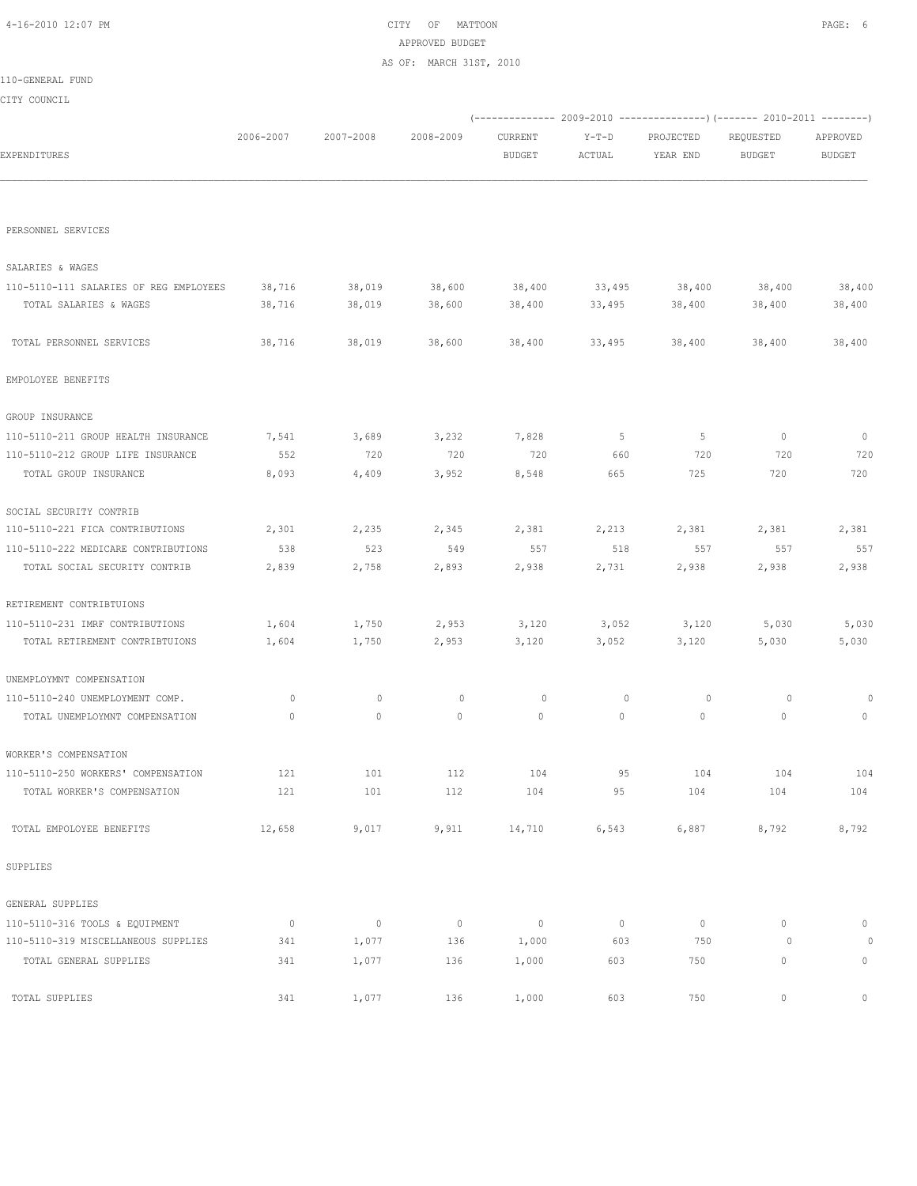### 4-16-2010 12:07 PM CITY OF MATTOON PAGE: 6 APPROVED BUDGET AS OF: MARCH 31ST, 2010

#### 110-GENERAL FUND

CITY COUNCIL

|                                        |                |                |                |                          |                   |                       | (-------------- 2009-2010 ----------------) (------- 2010-2011 --------) |                           |
|----------------------------------------|----------------|----------------|----------------|--------------------------|-------------------|-----------------------|--------------------------------------------------------------------------|---------------------------|
| EXPENDITURES                           | 2006-2007      | 2007-2008      | 2008-2009      | CURRENT<br><b>BUDGET</b> | $Y-T-D$<br>ACTUAL | PROJECTED<br>YEAR END | REQUESTED<br><b>BUDGET</b>                                               | APPROVED<br><b>BUDGET</b> |
|                                        |                |                |                |                          |                   |                       |                                                                          |                           |
| PERSONNEL SERVICES                     |                |                |                |                          |                   |                       |                                                                          |                           |
| SALARIES & WAGES                       |                |                |                |                          |                   |                       |                                                                          |                           |
| 110-5110-111 SALARIES OF REG EMPLOYEES | 38,716         | 38,019         | 38,600         | 38,400                   | 33,495            | 38,400                | 38,400                                                                   | 38,400                    |
| TOTAL SALARIES & WAGES                 | 38,716         | 38,019         | 38,600         | 38,400                   | 33,495            | 38,400                | 38,400                                                                   | 38,400                    |
| TOTAL PERSONNEL SERVICES               | 38,716         | 38,019         | 38,600         | 38,400                   | 33,495            | 38,400                | 38,400                                                                   | 38,400                    |
| EMPOLOYEE BENEFITS                     |                |                |                |                          |                   |                       |                                                                          |                           |
| GROUP INSURANCE                        |                |                |                |                          |                   |                       |                                                                          |                           |
| 110-5110-211 GROUP HEALTH INSURANCE    | 7,541          | 3,689          | 3,232          | 7,828                    | 5                 | 5                     | $\circ$                                                                  | $\circ$                   |
| 110-5110-212 GROUP LIFE INSURANCE      | 552            | 720            | 720            | 720                      | 660               | 720                   | 720                                                                      | 720                       |
| TOTAL GROUP INSURANCE                  | 8,093          | 4,409          | 3,952          | 8,548                    | 665               | 725                   | 720                                                                      | 720                       |
| SOCIAL SECURITY CONTRIB                |                |                |                |                          |                   |                       |                                                                          |                           |
| 110-5110-221 FICA CONTRIBUTIONS        | 2,301          | 2,235          | 2,345          | 2,381                    | 2,213             | 2,381                 | 2,381                                                                    | 2,381                     |
| 110-5110-222 MEDICARE CONTRIBUTIONS    | 538            | 523            | 549            | 557                      | 518               | 557                   | 557                                                                      | 557                       |
| TOTAL SOCIAL SECURITY CONTRIB          | 2,839          | 2,758          | 2,893          | 2,938                    | 2,731             | 2,938                 | 2,938                                                                    | 2,938                     |
| RETIREMENT CONTRIBTUIONS               |                |                |                |                          |                   |                       |                                                                          |                           |
| 110-5110-231 IMRF CONTRIBUTIONS        | 1,604          | 1,750          | 2,953          | 3,120                    | 3,052             | 3,120                 | 5,030                                                                    | 5,030                     |
| TOTAL RETIREMENT CONTRIBTUIONS         | 1,604          | 1,750          | 2,953          | 3,120                    | 3,052             | 3,120                 | 5,030                                                                    | 5,030                     |
| UNEMPLOYMNT COMPENSATION               |                |                |                |                          |                   |                       |                                                                          |                           |
| 110-5110-240 UNEMPLOYMENT COMP.        | 0              | $\mathbf 0$    | 0              | 0                        | 0                 | $\mathbf 0$           | $\mathbf 0$                                                              |                           |
| TOTAL UNEMPLOYMNT COMPENSATION         | $\circ$        | $\circ$        | 0              | $\circ$                  | $\circ$           | $\circ$               | $\mathbb O$                                                              | 0                         |
| WORKER'S COMPENSATION                  |                |                |                |                          |                   |                       |                                                                          |                           |
| 110-5110-250 WORKERS' COMPENSATION     | 121            | 101            | 112            | 104                      | 95                | 104                   | 104                                                                      | 104                       |
| TOTAL WORKER'S COMPENSATION            | 121            | 101            | 112            | 104                      | 95                | 104                   | 104                                                                      | 104                       |
| TOTAL EMPOLOYEE BENEFITS               | 12,658         | 9,017          | 9,911          | 14,710                   | 6,543             | 6,887                 | 8,792                                                                    | 8,792                     |
| SUPPLIES                               |                |                |                |                          |                   |                       |                                                                          |                           |
| GENERAL SUPPLIES                       |                |                |                |                          |                   |                       |                                                                          |                           |
| 110-5110-316 TOOLS & EQUIPMENT         | $\overline{0}$ | $\overline{0}$ | $\overline{0}$ | $\overline{0}$           | $\circ$           | $\circ$               | 0                                                                        | $\circ$                   |
| 110-5110-319 MISCELLANEOUS SUPPLIES    | 341            | 1,077          | 136            | 1,000                    | 603               | 750                   | $\mathbf 0$                                                              | $\mathbf 0$               |
| TOTAL GENERAL SUPPLIES                 | 341            | 1,077          | 136            | 1,000                    | 603               | 750                   | $\circ$                                                                  | 0                         |
| TOTAL SUPPLIES                         | 341            | 1,077          | 136            | 1,000                    | 603               | 750                   | 0                                                                        | 0                         |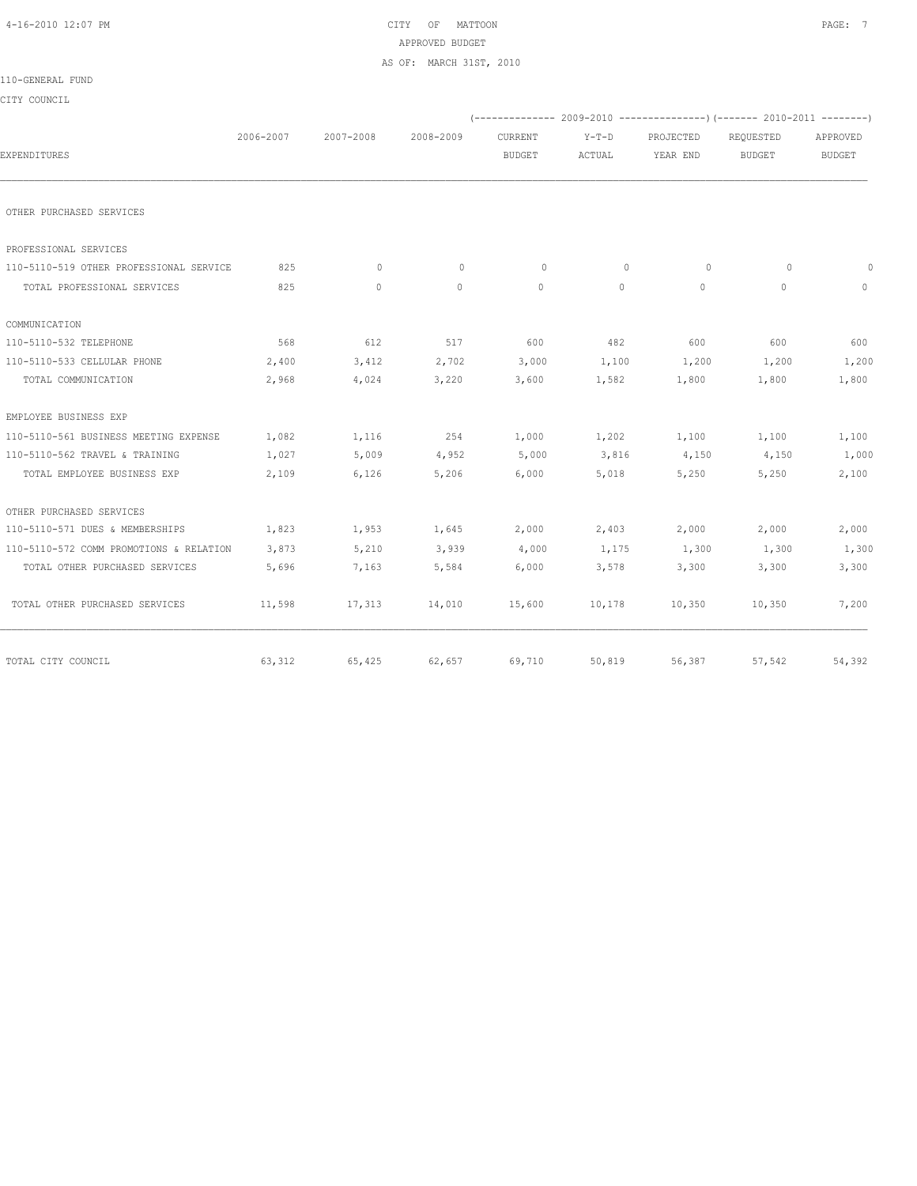# 4-16-2010 12:07 PM CITY OF MATTOON PAGE: 7 APPROVED BUDGET AS OF: MARCH 31ST, 2010

| CTTY<br>COUNC 1 |  |
|-----------------|--|
|-----------------|--|

|                                         |           |              |              |                          |                   |                       | (-------------- 2009-2010 -----------------) (------- 2010-2011 --------) |                           |
|-----------------------------------------|-----------|--------------|--------------|--------------------------|-------------------|-----------------------|---------------------------------------------------------------------------|---------------------------|
| EXPENDITURES                            | 2006-2007 | 2007-2008    | 2008-2009    | CURRENT<br><b>BUDGET</b> | $Y-T-D$<br>ACTUAL | PROJECTED<br>YEAR END | REQUESTED<br><b>BUDGET</b>                                                | APPROVED<br><b>BUDGET</b> |
|                                         |           |              |              |                          |                   |                       |                                                                           |                           |
| OTHER PURCHASED SERVICES                |           |              |              |                          |                   |                       |                                                                           |                           |
| PROFESSIONAL SERVICES                   |           |              |              |                          |                   |                       |                                                                           |                           |
| 110-5110-519 OTHER PROFESSIONAL SERVICE | 825       | $\mathbf{0}$ | $\circ$      | $\circ$                  | $\mathbf{0}$      | $\mathbf{0}$          | $\mathbf{0}$                                                              | $\mathbf{0}$              |
| TOTAL PROFESSIONAL SERVICES             | 825       | $\circ$      | $\mathbf{0}$ | $\mathbf{0}$             | 0                 | 0                     | 0                                                                         | $\Omega$                  |
| COMMUNICATION                           |           |              |              |                          |                   |                       |                                                                           |                           |
| 110-5110-532 TELEPHONE                  | 568       | 612          | 517          | 600                      | 482               | 600                   | 600                                                                       | 600                       |
| 110-5110-533 CELLULAR PHONE             | 2,400     | 3,412        | 2,702        | 3,000                    | 1,100             | 1,200                 | 1,200                                                                     | 1,200                     |
| TOTAL COMMUNICATION                     | 2,968     | 4,024        | 3,220        | 3,600                    | 1,582             | 1,800                 | 1,800                                                                     | 1,800                     |
| EMPLOYEE BUSINESS EXP                   |           |              |              |                          |                   |                       |                                                                           |                           |
| 110-5110-561 BUSINESS MEETING EXPENSE   | 1,082     | 1,116        | 254          | 1,000                    | 1,202             | 1,100                 | 1,100                                                                     | 1,100                     |
| 110-5110-562 TRAVEL & TRAINING          | 1,027     | 5,009        | 4,952        | 5,000                    | 3,816             | 4,150                 | 4,150                                                                     | 1,000                     |
| TOTAL EMPLOYEE BUSINESS EXP             | 2,109     | 6,126        | 5,206        | 6,000                    | 5,018             | 5,250                 | 5,250                                                                     | 2,100                     |
| OTHER PURCHASED SERVICES                |           |              |              |                          |                   |                       |                                                                           |                           |
| 110-5110-571 DUES & MEMBERSHIPS         | 1,823     | 1,953        | 1,645        | 2,000                    | 2,403             | 2,000                 | 2,000                                                                     | 2,000                     |
| 110-5110-572 COMM PROMOTIONS & RELATION | 3,873     | 5,210        | 3,939        | 4,000                    | 1,175             | 1,300                 | 1,300                                                                     | 1,300                     |
| TOTAL OTHER PURCHASED SERVICES          | 5,696     | 7,163        | 5,584        | 6,000                    | 3,578             | 3,300                 | 3,300                                                                     | 3,300                     |
| TOTAL OTHER PURCHASED SERVICES          | 11,598    | 17,313       | 14,010       | 15,600                   | 10,178            | 10,350                | 10,350                                                                    | 7,200                     |
| TOTAL CITY COUNCIL                      | 63,312    | 65,425       | 62,657       | 69,710                   | 50,819            | 56,387                | 57,542                                                                    | 54,392                    |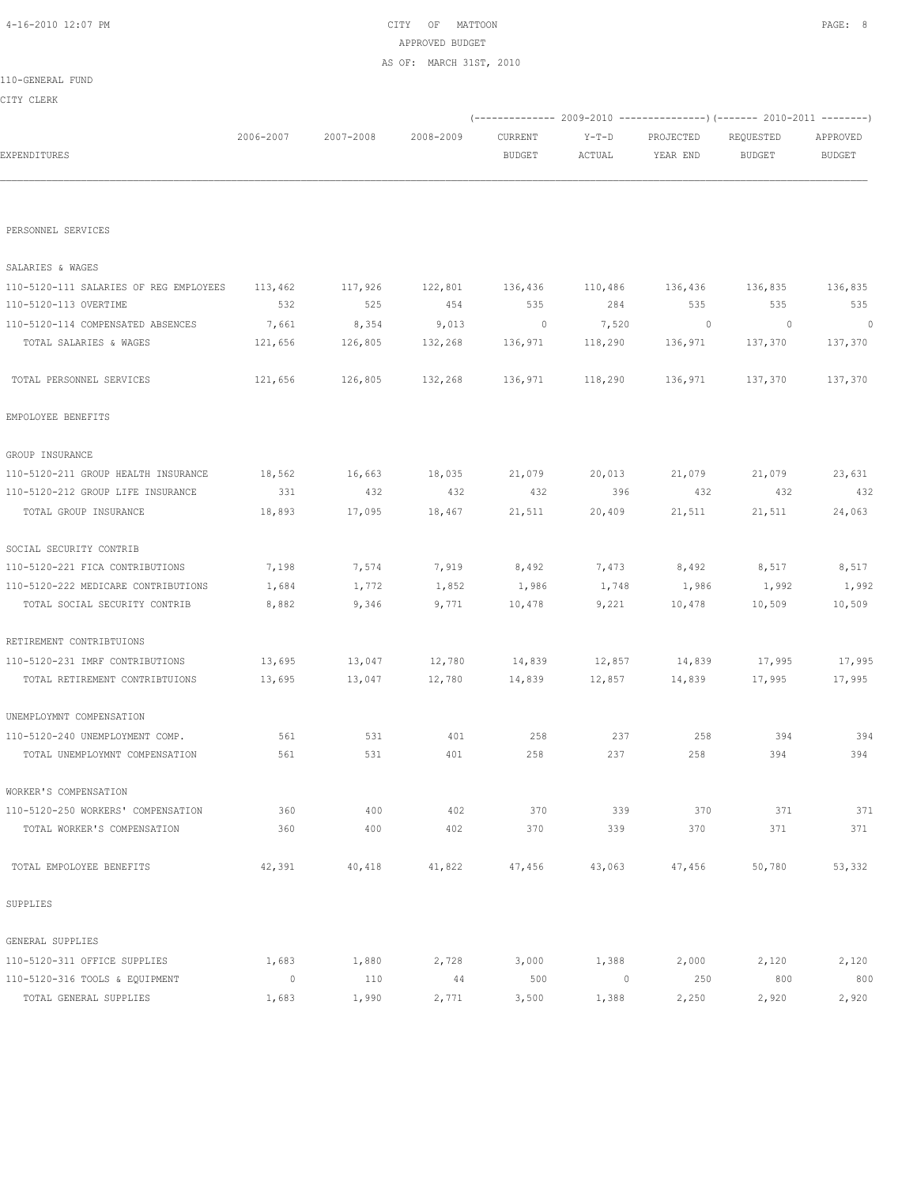### 4-16-2010 12:07 PM CITY OF MATTOON PAGE: 8 APPROVED BUDGET AS OF: MARCH 31ST, 2010

#### 110-GENERAL FUND

#### CITY CLERK

(-------------- 2009-2010 ---------------)(------- 2010-2011 --------)

| EXPENDITURES                           | 2006-2007 | 2007-2008 | 2008-2009 | CURRENT<br><b>BUDGET</b> | $Y-T-D$<br>ACTUAL | PROJECTED<br>YEAR END | REQUESTED<br><b>BUDGET</b> | APPROVED<br><b>BUDGET</b> |
|----------------------------------------|-----------|-----------|-----------|--------------------------|-------------------|-----------------------|----------------------------|---------------------------|
| PERSONNEL SERVICES                     |           |           |           |                          |                   |                       |                            |                           |
|                                        |           |           |           |                          |                   |                       |                            |                           |
| SALARIES & WAGES                       |           |           |           |                          |                   |                       |                            |                           |
| 110-5120-111 SALARIES OF REG EMPLOYEES | 113,462   | 117,926   | 122,801   | 136,436                  | 110,486           | 136,436               | 136,835                    | 136,835                   |
| 110-5120-113 OVERTIME                  | 532       | 525       | 454       | 535                      | 284               | 535                   | 535                        | 535                       |
| 110-5120-114 COMPENSATED ABSENCES      | 7,661     | 8,354     | 9,013     | $\circ$                  | 7,520             | $\overline{0}$        | $\overline{\phantom{0}}$   | $\mathbf 0$               |
| TOTAL SALARIES & WAGES                 | 121,656   | 126,805   | 132,268   | 136,971                  | 118,290           | 136,971               | 137,370                    | 137,370                   |
| TOTAL PERSONNEL SERVICES               | 121,656   | 126,805   | 132,268   | 136,971                  | 118,290           | 136,971               | 137,370                    | 137,370                   |
| EMPOLOYEE BENEFITS                     |           |           |           |                          |                   |                       |                            |                           |
| GROUP INSURANCE                        |           |           |           |                          |                   |                       |                            |                           |
| 110-5120-211 GROUP HEALTH INSURANCE    | 18,562    | 16,663    | 18,035    | 21,079                   | 20,013            | 21,079                | 21,079                     | 23,631                    |
| 110-5120-212 GROUP LIFE INSURANCE      | 331       | 432       | 432       | 432                      | 396               | 432                   | 432                        | 432                       |
| TOTAL GROUP INSURANCE                  | 18,893    | 17,095    | 18,467    | 21,511                   | 20,409            | 21,511                | 21,511                     | 24,063                    |
| SOCIAL SECURITY CONTRIB                |           |           |           |                          |                   |                       |                            |                           |
| 110-5120-221 FICA CONTRIBUTIONS        | 7,198     | 7,574     | 7,919     | 8,492                    | 7,473             | 8,492                 | 8,517                      | 8,517                     |
| 110-5120-222 MEDICARE CONTRIBUTIONS    | 1,684     | 1,772     | 1,852     | 1,986                    | 1,748             | 1,986                 | 1,992                      | 1,992                     |
| TOTAL SOCIAL SECURITY CONTRIB          | 8,882     | 9,346     | 9,771     | 10,478                   | 9,221             | 10,478                | 10,509                     | 10,509                    |
| RETIREMENT CONTRIBTUIONS               |           |           |           |                          |                   |                       |                            |                           |
| 110-5120-231 IMRF CONTRIBUTIONS        | 13,695    | 13,047    | 12,780    | 14,839                   | 12,857            | 14,839                | 17,995                     | 17,995                    |
| TOTAL RETIREMENT CONTRIBTUIONS         | 13,695    | 13,047    | 12,780    | 14,839                   | 12,857            | 14,839                | 17,995                     | 17,995                    |
| UNEMPLOYMNT COMPENSATION               |           |           |           |                          |                   |                       |                            |                           |
| 110-5120-240 UNEMPLOYMENT COMP.        | 561       | 531       | 401       | 258                      | 237               | 258                   | 394                        | 394                       |
| TOTAL UNEMPLOYMNT COMPENSATION         | 561       | 531       | 401       | 258                      | 237               | 258                   | 394                        | 394                       |
| WORKER'S COMPENSATION                  |           |           |           |                          |                   |                       |                            |                           |
| 110-5120-250 WORKERS' COMPENSATION     | 360       | 400       | 402       | 370                      | 339               | 370                   | 371                        | 371                       |
| TOTAL WORKER'S COMPENSATION            | 360       | 400       | 402       | 370                      | 339               | 370                   | 371                        | 371                       |
| TOTAL EMPOLOYEE BENEFITS               | 42,391    | 40,418    | 41,822    | 47,456                   | 43,063            | 47,456                | 50,780                     | 53,332                    |
| SUPPLIES                               |           |           |           |                          |                   |                       |                            |                           |
| GENERAL SUPPLIES                       |           |           |           |                          |                   |                       |                            |                           |
| 110-5120-311 OFFICE SUPPLIES           | 1,683     | 1,880     | 2,728     | 3,000                    | 1,388             | 2,000                 | 2,120                      | 2,120                     |
| 110-5120-316 TOOLS & EQUIPMENT         | $\circ$   | 110       | 44        | 500                      | $\overline{0}$    | 250                   | 800                        | 800                       |
| TOTAL GENERAL SUPPLIES                 | 1,683     | 1,990     | 2,771     | 3,500                    | 1,388             | 2,250                 | 2,920                      | 2,920                     |
|                                        |           |           |           |                          |                   |                       |                            |                           |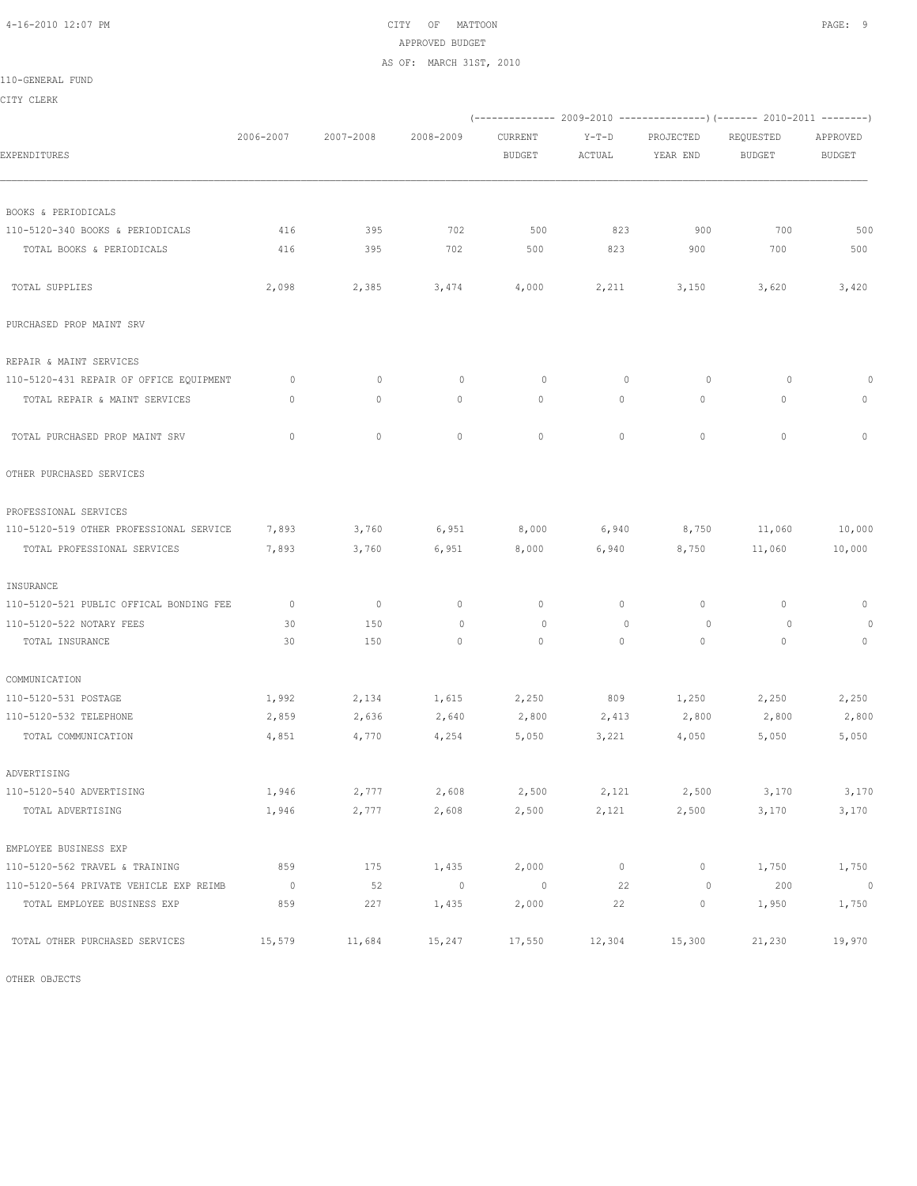# 4-16-2010 12:07 PM CITY OF MATTOON PAGE: 9 APPROVED BUDGET AS OF: MARCH 31ST, 2010

### 110-GENERAL FUND

CITY CLERK

|                                         |                |              |                |                          |                   |                       | (-------------- 2009-2010 ---------------) (------- 2010-2011 --------) |                           |
|-----------------------------------------|----------------|--------------|----------------|--------------------------|-------------------|-----------------------|-------------------------------------------------------------------------|---------------------------|
| EXPENDITURES                            | 2006-2007      | 2007-2008    | 2008-2009      | CURRENT<br><b>BUDGET</b> | $Y-T-D$<br>ACTUAL | PROJECTED<br>YEAR END | REQUESTED<br>BUDGET                                                     | APPROVED<br><b>BUDGET</b> |
|                                         |                |              |                |                          |                   |                       |                                                                         |                           |
| BOOKS & PERIODICALS                     |                |              |                |                          |                   |                       |                                                                         |                           |
| 110-5120-340 BOOKS & PERIODICALS        | 416            | 395          | 702            | 500                      | 823               | 900                   | 700                                                                     | 500                       |
| TOTAL BOOKS & PERIODICALS               | 416            | 395          | 702            | 500                      | 823               | 900                   | 700                                                                     | 500                       |
| TOTAL SUPPLIES                          | 2,098          | 2,385        | 3,474          | 4,000                    | 2,211             | 3,150                 | 3,620                                                                   | 3,420                     |
| PURCHASED PROP MAINT SRV                |                |              |                |                          |                   |                       |                                                                         |                           |
| REPAIR & MAINT SERVICES                 |                |              |                |                          |                   |                       |                                                                         |                           |
| 110-5120-431 REPAIR OF OFFICE EQUIPMENT | $\circ$        | $\mathbf 0$  | 0              | $\circ$                  | $\mathbf{0}$      | $\mathbf{0}$          | $\mathbf{0}$                                                            |                           |
| TOTAL REPAIR & MAINT SERVICES           | 0              | $\mathbf{0}$ | 0              | $\mathbf{0}$             | 0                 | 0                     | $\circ$                                                                 | $\circ$                   |
| TOTAL PURCHASED PROP MAINT SRV          | $\circ$        | $\circ$      | $\circ$        | $\circ$                  | $\circ$           | 0                     | 0                                                                       | $\circ$                   |
| OTHER PURCHASED SERVICES                |                |              |                |                          |                   |                       |                                                                         |                           |
| PROFESSIONAL SERVICES                   |                |              |                |                          |                   |                       |                                                                         |                           |
| 110-5120-519 OTHER PROFESSIONAL SERVICE | 7,893          | 3,760        | 6,951          | 8,000                    | 6,940             | 8,750                 | 11,060                                                                  | 10,000                    |
| TOTAL PROFESSIONAL SERVICES             | 7,893          | 3,760        | 6,951          | 8,000                    | 6,940             | 8,750                 | 11,060                                                                  | 10,000                    |
| INSURANCE                               |                |              |                |                          |                   |                       |                                                                         |                           |
| 110-5120-521 PUBLIC OFFICAL BONDING FEE | $\overline{0}$ | $\circ$      | $\mathbf 0$    | $\mathbf{0}$             | $\circ$           | $\circ$               | $\mathbf{0}$                                                            | $\circ$                   |
| 110-5120-522 NOTARY FEES                | 30             | 150          | $\circ$        | 0                        | $\mathbf 0$       | $\circ$               | $\mathbf{0}$                                                            | $\mathbf{0}$              |
| TOTAL INSURANCE                         | 30             | 150          | $\circ$        | $\circ$                  | $\circ$           | 0                     | $\mathbf{0}$                                                            | 0                         |
| COMMUNICATION                           |                |              |                |                          |                   |                       |                                                                         |                           |
| 110-5120-531 POSTAGE                    | 1,992          | 2,134        | 1,615          | 2,250                    | 809               | 1,250                 | 2,250                                                                   | 2,250                     |
| 110-5120-532 TELEPHONE                  | 2,859          | 2,636        | 2,640          | 2,800                    | 2,413             | 2,800                 | 2,800                                                                   | 2,800                     |
| TOTAL COMMUNICATION                     | 4,851          | 4,770        | 4,254          | 5,050                    | 3,221             | 4,050                 | 5,050                                                                   | 5,050                     |
| ADVERTISING                             |                |              |                |                          |                   |                       |                                                                         |                           |
| 110-5120-540 ADVERTISING                | 1,946          | 2,777        | 2,608          | 2,500                    | 2,121             | 2,500                 | 3,170                                                                   | 3,170                     |
| TOTAL ADVERTISING                       | 1,946          | 2,777        | 2,608          | 2,500                    | 2,121             | 2,500                 | 3,170                                                                   | 3,170                     |
| EMPLOYEE BUSINESS EXP                   |                |              |                |                          |                   |                       |                                                                         |                           |
| 110-5120-562 TRAVEL & TRAINING          | 859            | 175          | 1,435          | 2,000                    | $\circ$           | 0                     | 1,750                                                                   | 1,750                     |
| 110-5120-564 PRIVATE VEHICLE EXP REIMB  | $\overline{0}$ | 52           | $\overline{0}$ | $\overline{\phantom{0}}$ | 22                | $\circ$               | 200                                                                     | $\overline{0}$            |
| TOTAL EMPLOYEE BUSINESS EXP             | 859            | 227          | 1,435          | 2,000                    | 22                | 0                     | 1,950                                                                   | 1,750                     |
| TOTAL OTHER PURCHASED SERVICES          | 15,579         | 11,684       | 15,247         | 17,550                   | 12,304            | 15,300                | 21,230                                                                  | 19,970                    |

OTHER OBJECTS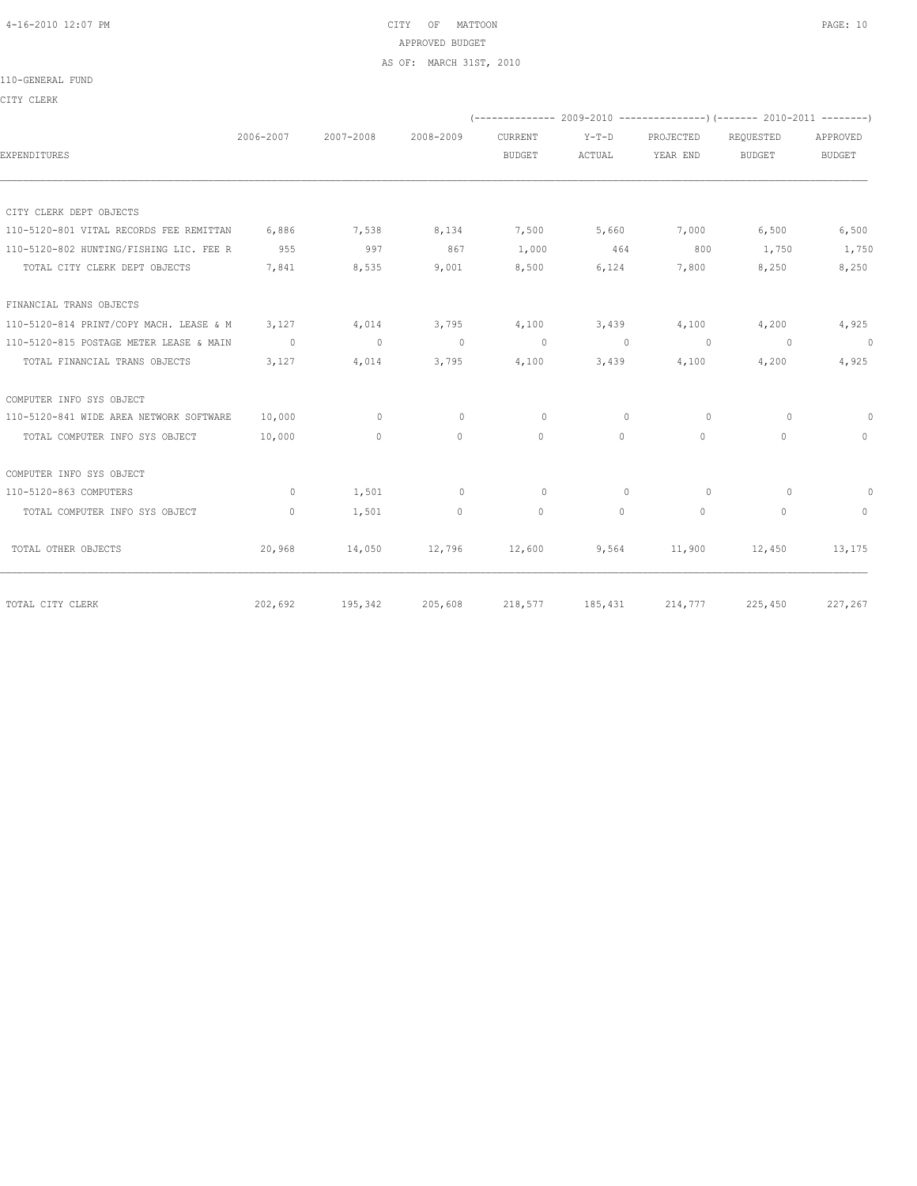# 4-16-2010 12:07 PM CITY OF MATTOON PAGE: 10 APPROVED BUDGET AS OF: MARCH 31ST, 2010

# 110-GENERAL FUND

CITY CLERK

|                                         |           |                |                |                          |                   |                       | $(-$ -------------- 2009-2010 ----------------) $(-$ ------ 2010-2011 --------) |                           |
|-----------------------------------------|-----------|----------------|----------------|--------------------------|-------------------|-----------------------|---------------------------------------------------------------------------------|---------------------------|
| EXPENDITURES                            | 2006-2007 | 2007-2008      | 2008-2009      | CURRENT<br><b>BUDGET</b> | $Y-T-D$<br>ACTUAL | PROJECTED<br>YEAR END | REQUESTED<br><b>BUDGET</b>                                                      | APPROVED<br><b>BUDGET</b> |
| CITY CLERK DEPT OBJECTS                 |           |                |                |                          |                   |                       |                                                                                 |                           |
| 110-5120-801 VITAL RECORDS FEE REMITTAN | 6,886     | 7,538          | 8,134          | 7,500                    | 5,660             | 7,000                 | 6,500                                                                           | 6,500                     |
| 110-5120-802 HUNTING/FISHING LIC. FEE R | 955       | 997            | 867            | 1,000                    | 464               | 800                   | 1,750                                                                           | 1,750                     |
| TOTAL CITY CLERK DEPT OBJECTS           | 7,841     | 8,535          | 9,001          | 8,500                    | 6,124             | 7,800                 | 8,250                                                                           | 8,250                     |
| FINANCIAL TRANS OBJECTS                 |           |                |                |                          |                   |                       |                                                                                 |                           |
| 110-5120-814 PRINT/COPY MACH. LEASE & M | 3,127     | 4,014          | 3,795          | 4,100                    | 3,439             | 4,100                 | 4,200                                                                           | 4,925                     |
| 110-5120-815 POSTAGE METER LEASE & MAIN | $\sim$ 0  | $\overline{0}$ | $\overline{0}$ | $\circ$                  | $\circ$           | $\circ$               | $\circ$                                                                         | $\mathbf{0}$              |
| TOTAL FINANCIAL TRANS OBJECTS           | 3,127     | 4,014          | 3,795          | 4,100                    | 3,439             | 4,100                 | 4,200                                                                           | 4,925                     |
| COMPUTER INFO SYS OBJECT                |           |                |                |                          |                   |                       |                                                                                 |                           |
| 110-5120-841 WIDE AREA NETWORK SOFTWARE | 10,000    | $\circ$        | $\circ$        | $\circ$                  | $\circ$           | $\mathbf{0}$          | $\mathbf{0}$                                                                    |                           |
| TOTAL COMPUTER INFO SYS OBJECT          | 10,000    | $\circ$        | $\mathbf{0}$   | $\mathbf{0}$             | $\circ$           | 0                     | $\mathbf{0}$                                                                    | $\mathbf{0}$              |
| COMPUTER INFO SYS OBJECT                |           |                |                |                          |                   |                       |                                                                                 |                           |
| 110-5120-863 COMPUTERS                  | $\circ$   | 1,501          | $\sim$ 0       | $\circ$                  | $\Omega$          | $\circ$               | $\Omega$                                                                        | $\Omega$                  |
| TOTAL COMPUTER INFO SYS OBJECT          | $\circ$   | 1,501          | $\circ$        | $\circ$                  | $\circ$           | 0                     | $\mathbf{0}$                                                                    | $\mathbf{0}$              |
| TOTAL OTHER OBJECTS                     | 20,968    | 14,050         | 12,796 12,600  |                          | 9,564             | 11,900                | 12,450                                                                          | 13,175                    |
| TOTAL CITY CLERK                        | 202,692   | 195,342        | 205,608        | 218,577                  | 185,431           | 214,777               | 225,450                                                                         | 227,267                   |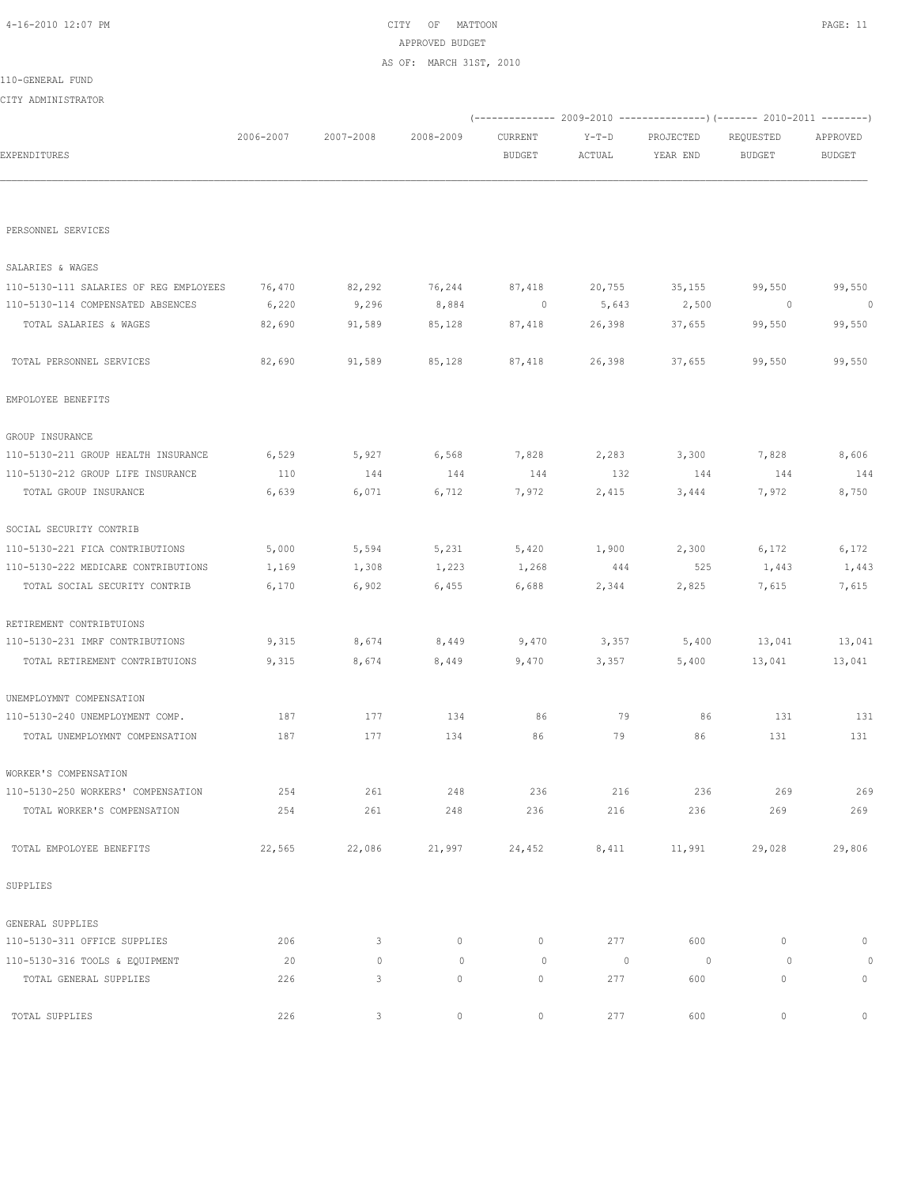# 4-16-2010 12:07 PM CITY OF MATTOON PAGE: 11 APPROVED BUDGET AS OF: MARCH 31ST, 2010

|                                        |           |           |           |             |         |                | (-------------- 2009-2010 ---------------)(------- 2010-2011 --------) |                |
|----------------------------------------|-----------|-----------|-----------|-------------|---------|----------------|------------------------------------------------------------------------|----------------|
|                                        | 2006-2007 | 2007-2008 | 2008-2009 | CURRENT     | $Y-T-D$ | PROJECTED      | REQUESTED                                                              | APPROVED       |
| EXPENDITURES                           |           |           |           | BUDGET      | ACTUAL  | YEAR END       | <b>BUDGET</b>                                                          | <b>BUDGET</b>  |
|                                        |           |           |           |             |         |                |                                                                        |                |
| PERSONNEL SERVICES                     |           |           |           |             |         |                |                                                                        |                |
|                                        |           |           |           |             |         |                |                                                                        |                |
| SALARIES & WAGES                       |           |           |           |             |         |                |                                                                        |                |
| 110-5130-111 SALARIES OF REG EMPLOYEES | 76,470    | 82,292    | 76,244    | 87,418      | 20,755  | 35,155         | 99,550                                                                 | 99,550         |
| 110-5130-114 COMPENSATED ABSENCES      | 6,220     | 9,296     | 8,884     | $\sim$ 0    | 5,643   | 2,500          | $\sim$ 0                                                               | $\overline{0}$ |
| TOTAL SALARIES & WAGES                 | 82,690    | 91,589    | 85,128    | 87,418      | 26,398  | 37,655         | 99,550                                                                 | 99,550         |
| TOTAL PERSONNEL SERVICES               | 82,690    | 91,589    | 85,128    | 87,418      | 26,398  | 37,655         | 99,550                                                                 | 99,550         |
| EMPOLOYEE BENEFITS                     |           |           |           |             |         |                |                                                                        |                |
| GROUP INSURANCE                        |           |           |           |             |         |                |                                                                        |                |
| 110-5130-211 GROUP HEALTH INSURANCE    | 6,529     | 5,927     | 6,568     | 7,828       | 2,283   | 3,300          | 7,828                                                                  | 8,606          |
| 110-5130-212 GROUP LIFE INSURANCE      | 110       | 144       | 144       | 144         | 132     | 144            | 144                                                                    | 144            |
| TOTAL GROUP INSURANCE                  | 6,639     | 6,071     | 6,712     | 7,972       | 2,415   | 3,444          | 7,972                                                                  | 8,750          |
| SOCIAL SECURITY CONTRIB                |           |           |           |             |         |                |                                                                        |                |
| 110-5130-221 FICA CONTRIBUTIONS        | 5,000     | 5,594     | 5,231     | 5,420       | 1,900   | 2,300          | 6,172                                                                  | 6,172          |
| 110-5130-222 MEDICARE CONTRIBUTIONS    | 1,169     | 1,308     | 1,223     | 1,268       | 444     | 525            | 1,443                                                                  | 1,443          |
| TOTAL SOCIAL SECURITY CONTRIB          | 6,170     | 6,902     | 6,455     | 6,688       | 2,344   | 2,825          | 7,615                                                                  | 7,615          |
| RETIREMENT CONTRIBTUIONS               |           |           |           |             |         |                |                                                                        |                |
| 110-5130-231 IMRF CONTRIBUTIONS        | 9,315     | 8,674     | 8,449     | 9,470       | 3,357   |                | 5,400 13,041                                                           | 13,041         |
| TOTAL RETIREMENT CONTRIBTUIONS         | 9,315     | 8,674     | 8,449     | 9,470       | 3,357   | 5,400          | 13,041                                                                 | 13,041         |
| UNEMPLOYMNT COMPENSATION               |           |           |           |             |         |                |                                                                        |                |
| 110-5130-240 UNEMPLOYMENT COMP.        | 187       | 177       | 134       | 86          | 79      | 86             | 131                                                                    | 131            |
| TOTAL UNEMPLOYMNT COMPENSATION         | 187       | 177       | 134       | 86          | 79      | 86             | 131                                                                    | 131            |
| WORKER'S COMPENSATION                  |           |           |           |             |         |                |                                                                        |                |
| 110-5130-250 WORKERS' COMPENSATION     | 254       | 261       | 248       | 236         | 216     | 236            | 269                                                                    | 269            |
| TOTAL WORKER'S COMPENSATION            | 254       | 261       | 248       | 236         | 216     | 236            | 269                                                                    | 269            |
| TOTAL EMPOLOYEE BENEFITS               | 22,565    | 22,086    | 21,997    | 24,452      | 8,411   | 11,991         | 29,028                                                                 | 29,806         |
| SUPPLIES                               |           |           |           |             |         |                |                                                                        |                |
| GENERAL SUPPLIES                       |           |           |           |             |         |                |                                                                        |                |
| 110-5130-311 OFFICE SUPPLIES           | 206       | 3         | 0         | 0           | 277     | 600            | 0                                                                      | $\circ$        |
| 110-5130-316 TOOLS & EQUIPMENT         | 20        | $\circ$   | $\circ$   | $\circ$     | $\circ$ | $\overline{0}$ | $\circ$                                                                | $\mathbb O$    |
| TOTAL GENERAL SUPPLIES                 | 226       | 3         | $\circ$   | $\mathbb O$ | 277     | 600            | 0                                                                      | 0              |
| TOTAL SUPPLIES                         | 226       | 3         | $\circ$   | $\circ$     | 277     | 600            | 0                                                                      | $\circ$        |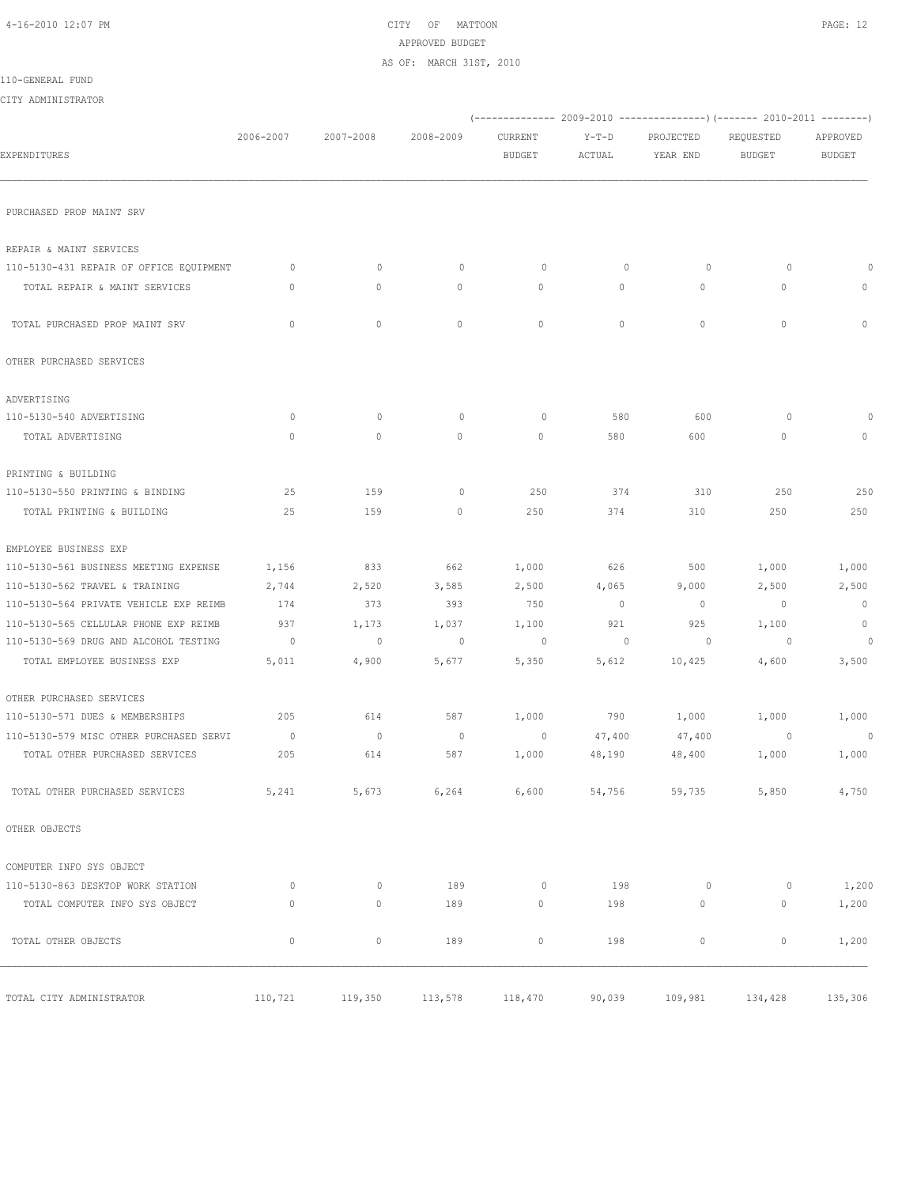# 4-16-2010 12:07 PM CITY OF MATTOON PAGE: 12 APPROVED BUDGET AS OF: MARCH 31ST, 2010

#### 110-GENERAL FUND

#### CITY ADMINISTRATOR

|                                         |                                  |                |              |                |                |                | (-------------- 2009-2010 ----------------) (------- 2010-2011 --------) |                |
|-----------------------------------------|----------------------------------|----------------|--------------|----------------|----------------|----------------|--------------------------------------------------------------------------|----------------|
|                                         | 2006-2007                        | 2007-2008      | 2008-2009    | CURRENT        | $Y-T-D$        | PROJECTED      | REQUESTED                                                                | APPROVED       |
| EXPENDITURES                            |                                  |                |              | <b>BUDGET</b>  | ACTUAL         | YEAR END       | <b>BUDGET</b>                                                            | <b>BUDGET</b>  |
| PURCHASED PROP MAINT SRV                |                                  |                |              |                |                |                |                                                                          |                |
| REPAIR & MAINT SERVICES                 |                                  |                |              |                |                |                |                                                                          |                |
| 110-5130-431 REPAIR OF OFFICE EQUIPMENT | 0                                | $\mathbf{0}$   | 0            | $\circ$        | $\mathbf{0}$   | 0              | $\mathbf{0}$                                                             | $\mathbf{0}$   |
| TOTAL REPAIR & MAINT SERVICES           | 0                                | 0              | $\circ$      | $\circ$        | 0              | $\circ$        | 0                                                                        | 0              |
| TOTAL PURCHASED PROP MAINT SRV          | 0                                | 0              | $\circ$      | $\circ$        | $\circ$        | $\circ$        | 0                                                                        | $\circ$        |
| OTHER PURCHASED SERVICES                |                                  |                |              |                |                |                |                                                                          |                |
| ADVERTISING                             |                                  |                |              |                |                |                |                                                                          |                |
| 110-5130-540 ADVERTISING                | $\circ$                          | $\circ$        | 0            | 0              | 580            | 600            | $\mathbf{0}$                                                             |                |
| TOTAL ADVERTISING                       | $\begin{array}{c} \n\end{array}$ | $\circ$        | $\mathbf{0}$ | 0              | 580            | 600            | $\circ$                                                                  | 0              |
| PRINTING & BUILDING                     |                                  |                |              |                |                |                |                                                                          |                |
| 110-5130-550 PRINTING & BINDING         | 25                               | 159            | 0            | 250            | 374            | 310            | 250                                                                      | 250            |
| TOTAL PRINTING & BUILDING               | 25                               | 159            | $\circ$      | 250            | 374            | 310            | 250                                                                      | 250            |
| EMPLOYEE BUSINESS EXP                   |                                  |                |              |                |                |                |                                                                          |                |
| 110-5130-561 BUSINESS MEETING EXPENSE   | 1,156                            | 833            | 662          | 1,000          | 626            | 500            | 1,000                                                                    | 1,000          |
| 110-5130-562 TRAVEL & TRAINING          | 2,744                            | 2,520          | 3,585        | 2,500          | 4,065          | 9,000          | 2,500                                                                    | 2,500          |
| 110-5130-564 PRIVATE VEHICLE EXP REIMB  | 174                              | 373            | 393          | 750            | $\overline{0}$ | $\overline{0}$ | $\overline{0}$                                                           | $\overline{0}$ |
| 110-5130-565 CELLULAR PHONE EXP REIMB   | 937                              | 1,173          | 1,037        | 1,100          | 921            | 925            | 1,100                                                                    | $\overline{0}$ |
| 110-5130-569 DRUG AND ALCOHOL TESTING   | $\overline{\phantom{0}}$         | $\overline{0}$ | $\circ$      | $\overline{0}$ | $\overline{0}$ | $\sim$ 0       | $\overline{0}$                                                           | $\circ$        |
| TOTAL EMPLOYEE BUSINESS EXP             | 5,011                            | 4,900          | 5,677        | 5,350          | 5,612          | 10,425         | 4,600                                                                    | 3,500          |
| OTHER PURCHASED SERVICES                |                                  |                |              |                |                |                |                                                                          |                |
| 110-5130-571 DUES & MEMBERSHIPS         | 205                              | 614            | 587          | 1,000          | 790            | 1,000          | 1,000                                                                    | 1,000          |
| 110-5130-579 MISC OTHER PURCHASED SERVI | $\overline{0}$                   | $\overline{0}$ | $\circ$      | $\circ$        | 47,400         | 47,400         | $\mathbf 0$                                                              | $\circ$        |
| TOTAL OTHER PURCHASED SERVICES          | 205                              | 614            | 587          | 1,000          | 48,190         | 48,400         | 1,000                                                                    | 1,000          |
| TOTAL OTHER PURCHASED SERVICES          | 5,241                            | 5,673          | 6,264        | 6,600          | 54,756         | 59,735         | 5,850                                                                    | 4,750          |
| OTHER OBJECTS                           |                                  |                |              |                |                |                |                                                                          |                |
| COMPUTER INFO SYS OBJECT                |                                  |                |              |                |                |                |                                                                          |                |
| 110-5130-863 DESKTOP WORK STATION       | $\circ$                          | $\circ$        | 189          | $\circ$        | 198            | $\mathbf 0$    | $\mathbb O$                                                              | 1,200          |
| TOTAL COMPUTER INFO SYS OBJECT          | $\circ$                          | 0              | 189          | $\mathbb O$    | 198            | $\circ$        | 0                                                                        | 1,200          |
| TOTAL OTHER OBJECTS                     | $\mathbb O$                      | $\mathbb O$    | 189          | $\mathbb O$    | 198            | $\mathbb O$    | 0                                                                        | 1,200          |
| TOTAL CITY ADMINISTRATOR                | 110,721                          | 119,350        | 113,578      | 118,470        | 90,039         | 109,981        | 134,428                                                                  | 135,306        |
|                                         |                                  |                |              |                |                |                |                                                                          |                |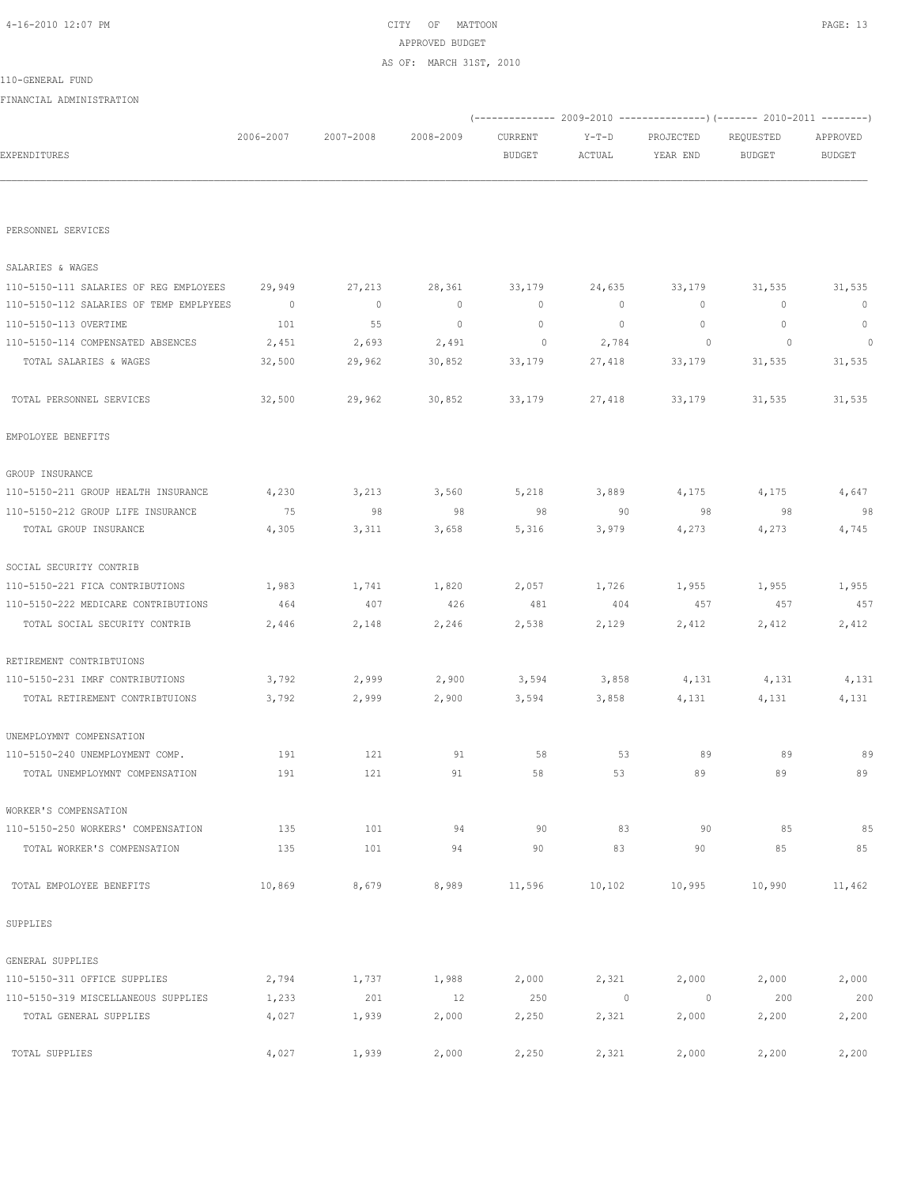### 4-16-2010 12:07 PM CITY OF MATTOON PAGE: 13 APPROVED BUDGET AS OF: MARCH 31ST, 2010

#### 110-GENERAL FUND

#### FINANCIAL ADMINISTRATION

| EXPENDITURES                            | 2006-2007                | 2007-2008 | 2008-2009    | CURRENT<br><b>BUDGET</b> | $Y-T-D$<br>ACTUAL        | PROJECTED<br>YEAR END | REQUESTED<br><b>BUDGET</b> | APPROVED<br><b>BUDGET</b> |
|-----------------------------------------|--------------------------|-----------|--------------|--------------------------|--------------------------|-----------------------|----------------------------|---------------------------|
| PERSONNEL SERVICES                      |                          |           |              |                          |                          |                       |                            |                           |
| SALARIES & WAGES                        |                          |           |              |                          |                          |                       |                            |                           |
| 110-5150-111 SALARIES OF REG EMPLOYEES  | 29,949                   | 27,213    | 28,361       | 33,179                   | 24,635                   | 33,179                | 31,535                     | 31,535                    |
| 110-5150-112 SALARIES OF TEMP EMPLPYEES | $\overline{\phantom{0}}$ | $\circ$   | $\mathbb{O}$ | $\mathbf 0$              | $\circ$                  | 0                     | 0                          | 0                         |
| 110-5150-113 OVERTIME                   | 101                      | 55        | $\mathbb{O}$ | $\mathbf 0$              | $\circ$                  | 0                     | 0                          | 0                         |
| 110-5150-114 COMPENSATED ABSENCES       | 2,451                    | 2,693     | 2,491        | 0                        | 2,784                    | $\mathbf 0$           | $\mathbf 0$                | 0                         |
| TOTAL SALARIES & WAGES                  | 32,500                   | 29,962    | 30,852       | 33,179                   | 27,418                   | 33,179                | 31,535                     | 31,535                    |
| TOTAL PERSONNEL SERVICES                | 32,500                   | 29,962    | 30,852       | 33,179                   | 27,418                   | 33,179                | 31,535                     | 31,535                    |
| EMPOLOYEE BENEFITS                      |                          |           |              |                          |                          |                       |                            |                           |
| GROUP INSURANCE                         |                          |           |              |                          |                          |                       |                            |                           |
| 110-5150-211 GROUP HEALTH INSURANCE     | 4,230                    | 3,213     | 3,560        | 5,218                    | 3,889                    | 4,175                 | 4,175                      | 4,647                     |
| 110-5150-212 GROUP LIFE INSURANCE       | 75                       | 98        | 98           | 98                       | 90                       | 98                    | -98                        | 98                        |
| TOTAL GROUP INSURANCE                   | 4,305                    | 3,311     | 3,658        | 5,316                    | 3,979                    | 4,273                 | 4,273                      | 4,745                     |
| SOCIAL SECURITY CONTRIB                 |                          |           |              |                          |                          |                       |                            |                           |
| 110-5150-221 FICA CONTRIBUTIONS         | 1,983                    | 1,741     | 1,820        | 2,057                    | 1,726                    | 1,955                 | 1,955                      | 1,955                     |
| 110-5150-222 MEDICARE CONTRIBUTIONS     | 464                      | 407       | 426          | 481                      | 404                      | 457                   | 457                        | 457                       |
| TOTAL SOCIAL SECURITY CONTRIB           | 2,446                    | 2,148     | 2,246        | 2,538                    | 2,129                    | 2,412                 | 2,412                      | 2,412                     |
| RETIREMENT CONTRIBTUIONS                |                          |           |              |                          |                          |                       |                            |                           |
| 110-5150-231 IMRF CONTRIBUTIONS         | 3,792                    | 2,999     | 2,900        | 3,594                    | 3,858                    | 4,131                 | 4,131                      | 4,131                     |
| TOTAL RETIREMENT CONTRIBTUIONS          | 3,792                    | 2,999     | 2,900        | 3,594                    | 3,858                    | 4,131                 | 4,131                      | 4,131                     |
| UNEMPLOYMNT COMPENSATION                |                          |           |              |                          |                          |                       |                            |                           |
| 110-5150-240 UNEMPLOYMENT COMP.         | 191                      | 121       | 91           | 58                       | 53                       | 89                    | 89                         | 89                        |
| TOTAL UNEMPLOYMNT COMPENSATION          | 191                      | 121       | 91           | 58                       | 53                       | 89                    | 89                         | 89                        |
| WORKER'S COMPENSATION                   |                          |           |              |                          |                          |                       |                            |                           |
| 110-5150-250 WORKERS' COMPENSATION      | 135                      | 101       | 94           | 90                       | 83                       | 90                    | 85                         | 85                        |
| TOTAL WORKER'S COMPENSATION             | 135                      | 101       | 94           | 90                       | 83                       | 90                    | 85                         | 85                        |
| TOTAL EMPOLOYEE BENEFITS                | 10,869                   | 8,679     | 8,989        | 11,596                   | 10,102                   | 10,995                | 10,990                     | 11,462                    |
| SUPPLIES                                |                          |           |              |                          |                          |                       |                            |                           |
| GENERAL SUPPLIES                        |                          |           |              |                          |                          |                       |                            |                           |
| 110-5150-311 OFFICE SUPPLIES            | 2,794                    | 1,737     | 1,988        | 2,000                    | 2,321                    | 2,000                 | 2,000                      | 2,000                     |
| 110-5150-319 MISCELLANEOUS SUPPLIES     | 1,233                    | 201       | 12           | 250                      | $\overline{\phantom{0}}$ | $\circ$               | 200                        | 200                       |
| TOTAL GENERAL SUPPLIES                  | 4,027                    | 1,939     | 2,000        | 2,250                    | 2,321                    | 2,000                 | 2,200                      | 2,200                     |

TOTAL SUPPLIES 4,027 1,939 2,000 2,250 2,321 2,000 2,200 2,200

(-------------- 2009-2010 ---------------)(------- 2010-2011 --------)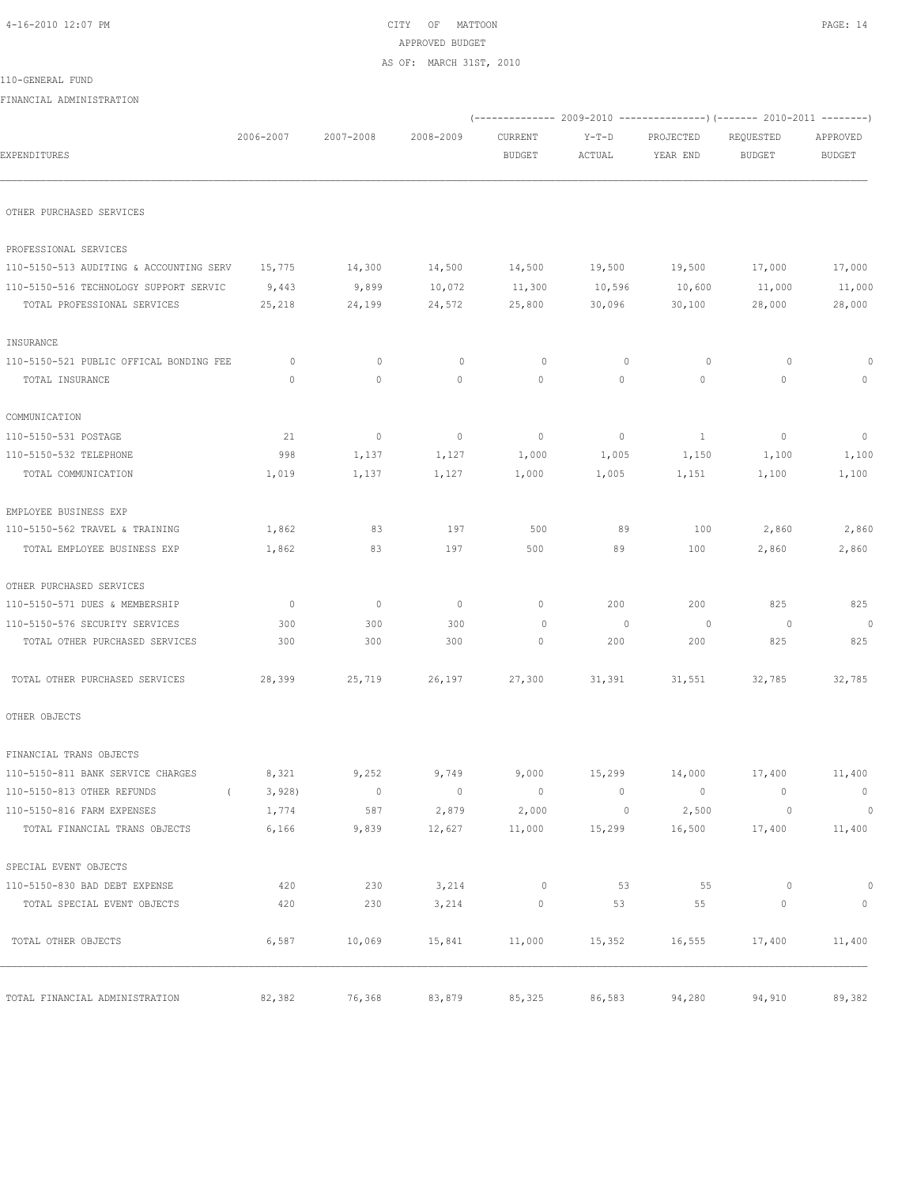### 4-16-2010 12:07 PM CITY OF MATTOON PAGE: 14 APPROVED BUDGET AS OF: MARCH 31ST, 2010

### 110-GENERAL FUND

#### FINANCIAL ADMINISTRATION

|                                         |                |                |                |               | (-------------- 2009-2010 ---------------) (------ 2010-2011 --------) |                          |               |                          |  |  |
|-----------------------------------------|----------------|----------------|----------------|---------------|------------------------------------------------------------------------|--------------------------|---------------|--------------------------|--|--|
|                                         | 2006-2007      | 2007-2008      | 2008-2009      | CURRENT       | $Y-T-D$                                                                | PROJECTED                | REQUESTED     | APPROVED                 |  |  |
| EXPENDITURES                            |                |                |                | <b>BUDGET</b> | ACTUAL                                                                 | YEAR END                 | <b>BUDGET</b> | <b>BUDGET</b>            |  |  |
| OTHER PURCHASED SERVICES                |                |                |                |               |                                                                        |                          |               |                          |  |  |
| PROFESSIONAL SERVICES                   |                |                |                |               |                                                                        |                          |               |                          |  |  |
| 110-5150-513 AUDITING & ACCOUNTING SERV | 15,775         | 14,300         | 14,500         | 14,500        | 19,500                                                                 | 19,500                   | 17,000        | 17,000                   |  |  |
| 110-5150-516 TECHNOLOGY SUPPORT SERVIC  | 9,443          | 9,899          | 10,072         | 11,300        | 10,596                                                                 | 10,600                   | 11,000        | 11,000                   |  |  |
| TOTAL PROFESSIONAL SERVICES             | 25,218         | 24,199         | 24,572         | 25,800        | 30,096                                                                 | 30,100                   | 28,000        | 28,000                   |  |  |
| INSURANCE                               |                |                |                |               |                                                                        |                          |               |                          |  |  |
| 110-5150-521 PUBLIC OFFICAL BONDING FEE | 0              | $\mathbf 0$    | $\circ$        | $\circ$       | $\mathbf 0$                                                            | $\mathbf 0$              | 0             | $\mathbf{0}$             |  |  |
| TOTAL INSURANCE                         | $\circ$        | $\circ$        | $\circ$        | $\circ$       | $\circ$                                                                | 0                        | $\mathbf{0}$  | 0                        |  |  |
| COMMUNICATION                           |                |                |                |               |                                                                        |                          |               |                          |  |  |
| 110-5150-531 POSTAGE                    | 21             | $\circ$        | $\overline{0}$ | $\circ$       | $\overline{\phantom{0}}$                                               | $\overline{\phantom{a}}$ | $\sim$ 0      | $\overline{\phantom{0}}$ |  |  |
| 110-5150-532 TELEPHONE                  | 998            | 1,137          | 1,127          | 1,000         | 1,005                                                                  | 1,150                    | 1,100         | 1,100                    |  |  |
| TOTAL COMMUNICATION                     | 1,019          | 1,137          | 1,127          | 1,000         | 1,005                                                                  | 1,151                    | 1,100         | 1,100                    |  |  |
| EMPLOYEE BUSINESS EXP                   |                |                |                |               |                                                                        |                          |               |                          |  |  |
| 110-5150-562 TRAVEL & TRAINING          | 1,862          | 83             | 197            | 500           | 89                                                                     | 100                      | 2,860         | 2,860                    |  |  |
| TOTAL EMPLOYEE BUSINESS EXP             | 1,862          | 83             | 197            | 500           | 89                                                                     | 100                      | 2,860         | 2,860                    |  |  |
| OTHER PURCHASED SERVICES                |                |                |                |               |                                                                        |                          |               |                          |  |  |
| 110-5150-571 DUES & MEMBERSHIP          | $\overline{0}$ | $\overline{0}$ | $\overline{0}$ | $\circ$       | 200                                                                    | 200                      | 825           | 825                      |  |  |
| 110-5150-576 SECURITY SERVICES          | 300            | 300            | 300            | $\circ$       | $\overline{0}$                                                         | $\sim$ 0                 | $\mathbf 0$   | $\sim$ 0                 |  |  |
| TOTAL OTHER PURCHASED SERVICES          | 300            | 300            | 300            | 0             | 200                                                                    | 200                      | 825           | 825                      |  |  |
| TOTAL OTHER PURCHASED SERVICES          | 28,399         | 25,719         | 26,197         | 27,300        | 31,391                                                                 | 31,551                   | 32,785        | 32,785                   |  |  |
| OTHER OBJECTS                           |                |                |                |               |                                                                        |                          |               |                          |  |  |
| FINANCIAL TRANS OBJECTS                 |                |                |                |               |                                                                        |                          |               |                          |  |  |
| 110-5150-811 BANK SERVICE CHARGES       | 8,321          | 9,252          | 9,749          | 9,000         | 15,299                                                                 | 14,000                   | 17,400        | 11,400                   |  |  |
| 110-5150-813 OTHER REFUNDS<br>$\left($  | 3,928          | $\circ$        | $\overline{0}$ | $\circ$       | 0                                                                      | $\mathbb O$              | $\mathbb O$   | $\mathbb O$              |  |  |
| 110-5150-816 FARM EXPENSES              | 1,774          | 587            | 2,879          | 2,000         | $\mathbb O$                                                            | 2,500                    | 0             | $\mathbb O$              |  |  |
| TOTAL FINANCIAL TRANS OBJECTS           | 6,166          | 9,839          | 12,627         | 11,000        | 15,299                                                                 | 16,500                   | 17,400        | 11,400                   |  |  |
| SPECIAL EVENT OBJECTS                   |                |                |                |               |                                                                        |                          |               |                          |  |  |
| 110-5150-830 BAD DEBT EXPENSE           | 420            | 230            | 3,214          | $\circ$       | 53                                                                     | 55                       | 0             | $\mathbb O$              |  |  |
| TOTAL SPECIAL EVENT OBJECTS             | 420            | 230            | 3,214          | $\circ$       | 53                                                                     | 55                       | 0             | $\mathbb O$              |  |  |
| TOTAL OTHER OBJECTS                     | 6,587          | 10,069         | 15,841         | 11,000        | 15,352                                                                 | 16,555                   | 17,400        | 11,400                   |  |  |
| TOTAL FINANCIAL ADMINISTRATION          | 82,382         | 76,368         | 83,879         | 85,325        | 86,583                                                                 | 94,280                   | 94,910        | 89,382                   |  |  |
|                                         |                |                |                |               |                                                                        |                          |               |                          |  |  |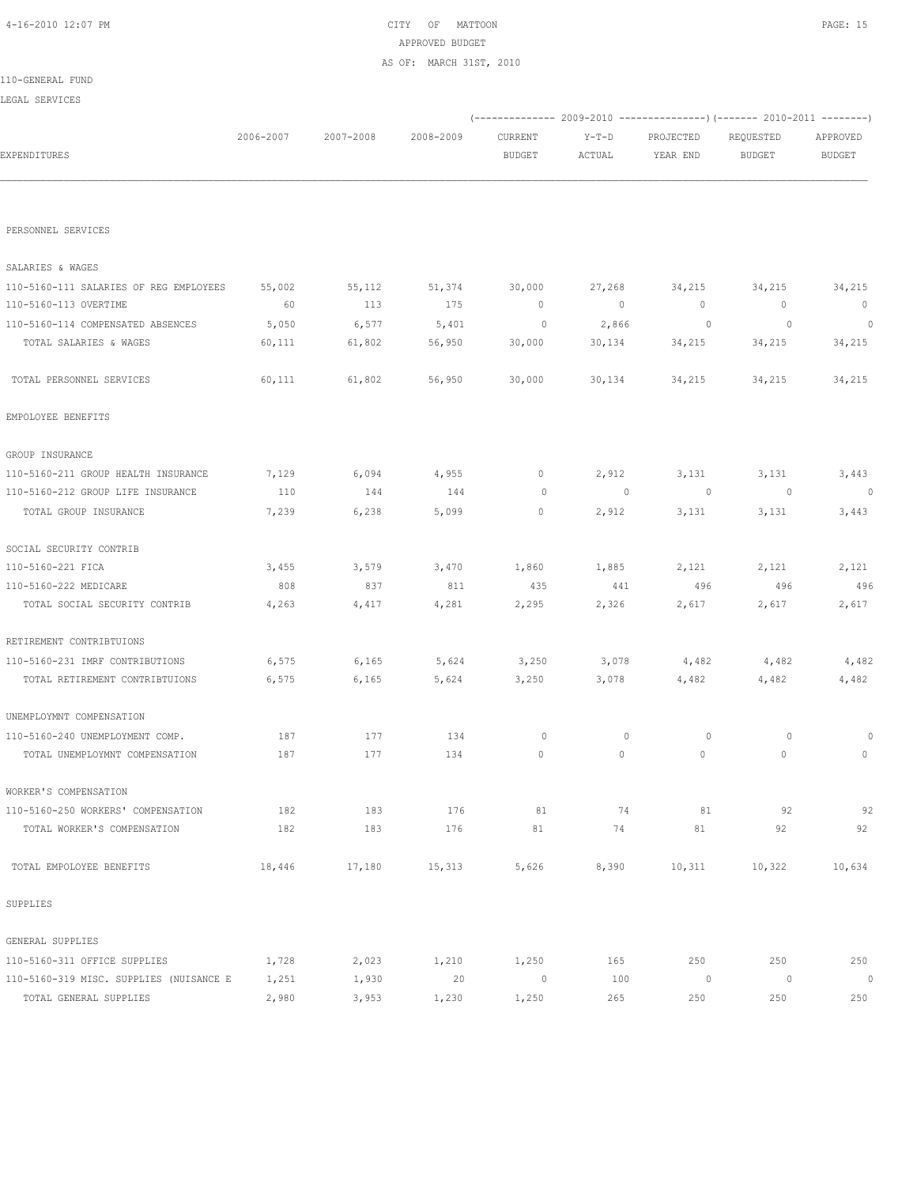# 4-16-2010 12:07 PM CITY OF MATTOON PAGE: 15 APPROVED BUDGET AS OF: MARCH 31ST, 2010

|                                         |           |           |           |                          |                   |                       | (-------------- 2009-2010 ----------------) (------- 2010-2011 -------- |                           |
|-----------------------------------------|-----------|-----------|-----------|--------------------------|-------------------|-----------------------|-------------------------------------------------------------------------|---------------------------|
| EXPENDITURES                            | 2006-2007 | 2007-2008 | 2008-2009 | CURRENT<br><b>BUDGET</b> | $Y-T-D$<br>ACTUAL | PROJECTED<br>YEAR END | REQUESTED<br><b>BUDGET</b>                                              | APPROVED<br><b>BUDGET</b> |
|                                         |           |           |           |                          |                   |                       |                                                                         |                           |
| PERSONNEL SERVICES                      |           |           |           |                          |                   |                       |                                                                         |                           |
| SALARIES & WAGES                        |           |           |           |                          |                   |                       |                                                                         |                           |
| 110-5160-111 SALARIES OF REG EMPLOYEES  | 55,002    | 55,112    | 51,374    | 30,000                   | 27,268            | 34,215                | 34,215                                                                  | 34,215                    |
| 110-5160-113 OVERTIME                   | 60        | 113       | 175       | $\circ$                  | $\circ$           | $\circ$               | $\circ$                                                                 | $\circ$                   |
| 110-5160-114 COMPENSATED ABSENCES       | 5,050     | 6,577     | 5,401     | $\circ$                  | 2,866             | $\overline{0}$        | $\circ$                                                                 | $\circ$                   |
| TOTAL SALARIES & WAGES                  | 60,111    | 61,802    | 56,950    | 30,000                   | 30,134            | 34,215                | 34,215                                                                  | 34,215                    |
| TOTAL PERSONNEL SERVICES                | 60,111    | 61,802    | 56,950    | 30,000                   | 30,134            | 34,215                | 34,215                                                                  | 34,215                    |
| EMPOLOYEE BENEFITS                      |           |           |           |                          |                   |                       |                                                                         |                           |
| GROUP INSURANCE                         |           |           |           |                          |                   |                       |                                                                         |                           |
| 110-5160-211 GROUP HEALTH INSURANCE     | 7,129     | 6,094     | 4,955     | 0                        | 2,912             | 3,131                 | 3,131                                                                   | 3,443                     |
| 110-5160-212 GROUP LIFE INSURANCE       | 110       | 144       | 144       | 0                        | $\overline{0}$    | $\overline{0}$        | $\overline{0}$                                                          | $\overline{0}$            |
| TOTAL GROUP INSURANCE                   | 7,239     | 6,238     | 5,099     | 0                        | 2,912             | 3,131                 | 3,131                                                                   | 3,443                     |
| SOCIAL SECURITY CONTRIB                 |           |           |           |                          |                   |                       |                                                                         |                           |
| 110-5160-221 FICA                       | 3,455     | 3,579     | 3,470     | 1,860                    | 1,885             | 2,121                 | 2,121                                                                   | 2,121                     |
| 110-5160-222 MEDICARE                   | 808       | 837       | 811       | 435                      | 441               | 496                   | 496                                                                     | 496                       |
| TOTAL SOCIAL SECURITY CONTRIB           | 4,263     | 4,417     | 4,281     | 2,295                    | 2,326             | 2,617                 | 2,617                                                                   | 2,617                     |
| RETIREMENT CONTRIBTUIONS                |           |           |           |                          |                   |                       |                                                                         |                           |
| 110-5160-231 IMRF CONTRIBUTIONS         | 6,575     | 6,165     | 5,624     | 3,250                    | 3,078             | 4,482                 | 4,482                                                                   | 4,482                     |
| TOTAL RETIREMENT CONTRIBTUIONS          | 6,575     | 6,165     | 5,624     | 3,250                    | 3,078             | 4,482                 | 4,482                                                                   | 4,482                     |
| UNEMPLOYMNT COMPENSATION                |           |           |           |                          |                   |                       |                                                                         |                           |
| 110-5160-240 UNEMPLOYMENT COMP.         | 187       | 177       | 134       | $\circ$                  | $\mathbf 0$       | $\mathbf 0$           | $\mathbf 0$                                                             |                           |
| TOTAL UNEMPLOYMNT COMPENSATION          | 187       | 177       | 134       | $\circ$                  | $\circ$           | 0                     | 0                                                                       | 0                         |
| WORKER'S COMPENSATION                   |           |           |           |                          |                   |                       |                                                                         |                           |
| 110-5160-250 WORKERS' COMPENSATION      | 182       | 183       | 176       | 81                       | 74                | 81                    | 92                                                                      | 92                        |
| TOTAL WORKER'S COMPENSATION             | 182       | 183       | 176       | 81                       | 74                | 81                    | 92                                                                      | 92                        |
| TOTAL EMPOLOYEE BENEFITS                | 18,446    | 17,180    | 15,313    | 5,626                    | 8,390             | 10,311                | 10,322                                                                  | 10,634                    |
| SUPPLIES                                |           |           |           |                          |                   |                       |                                                                         |                           |
| GENERAL SUPPLIES                        |           |           |           |                          |                   |                       |                                                                         |                           |
| 110-5160-311 OFFICE SUPPLIES            | 1,728     | 2,023     | 1,210     | 1,250                    | 165               | 250                   | 250                                                                     | 250                       |
| 110-5160-319 MISC. SUPPLIES (NUISANCE E | 1,251     | 1,930     | 20        | $\circ$                  | 100               | $\circ$               | $\circ$                                                                 | $\mathbf 0$               |
| TOTAL GENERAL SUPPLIES                  | 2,980     | 3,953     | 1,230     | 1,250                    | 265               | 250                   | 250                                                                     | 250                       |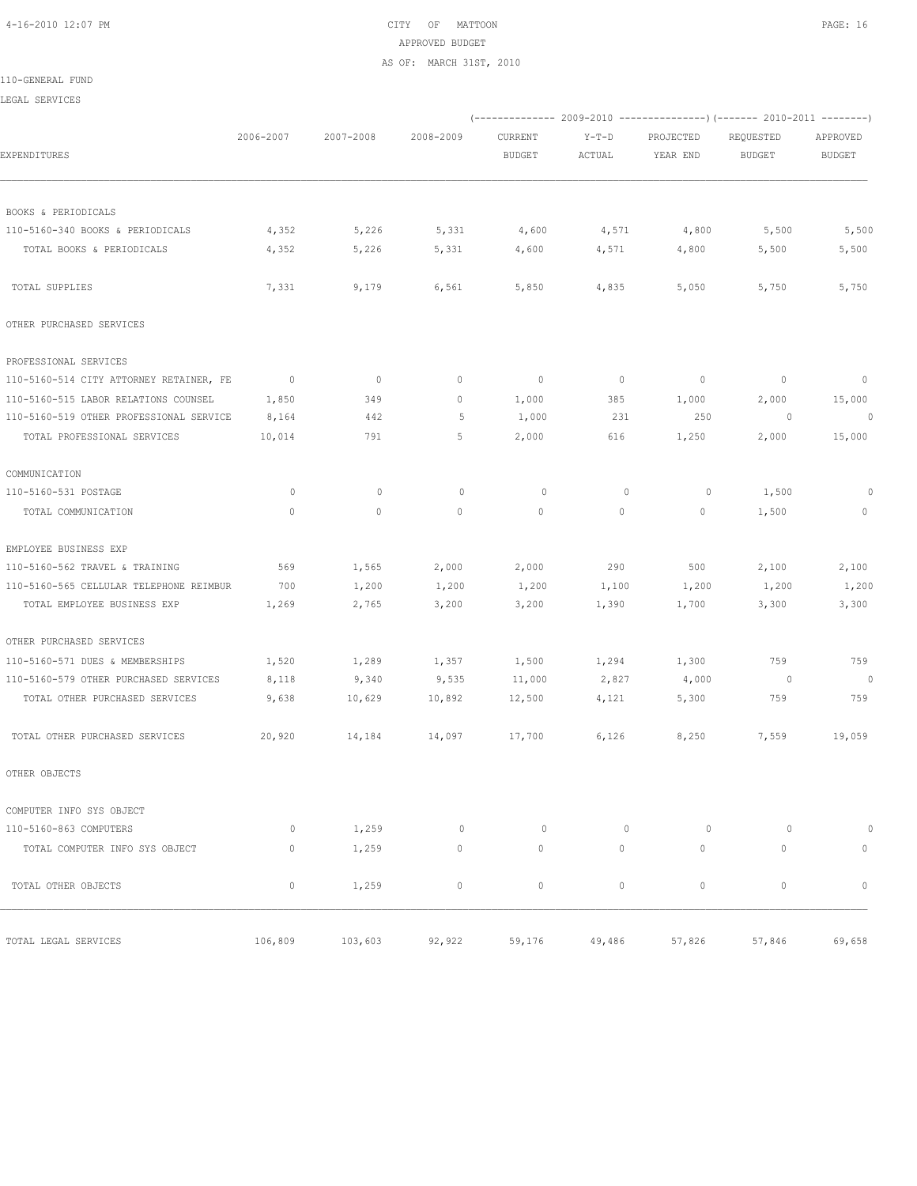# 4-16-2010 12:07 PM CITY OF MATTOON PAGE: 16 APPROVED BUDGET AS OF: MARCH 31ST, 2010

### 110-GENERAL FUND

LEGAL SERVICES

| EXPENDITURES                            | 2006-2007    | 2007-2008      | 2008-2009   | (------------- 2009-2010<br>CURRENT<br><b>BUDGET</b> | $Y-T-D$<br>ACTUAL | ---------------) (------- 2010-2011 ---------)<br>PROJECTED<br>YEAR END | REQUESTED<br><b>BUDGET</b> | APPROVED<br><b>BUDGET</b> |
|-----------------------------------------|--------------|----------------|-------------|------------------------------------------------------|-------------------|-------------------------------------------------------------------------|----------------------------|---------------------------|
|                                         |              |                |             |                                                      |                   |                                                                         |                            |                           |
| BOOKS & PERIODICALS                     |              |                |             |                                                      |                   |                                                                         |                            |                           |
| 110-5160-340 BOOKS & PERIODICALS        | 4,352        | 5,226          | 5,331       | 4,600                                                | 4,571             | 4,800                                                                   | 5,500                      | 5,500                     |
| TOTAL BOOKS & PERIODICALS               | 4,352        | 5,226          | 5,331       | 4,600                                                | 4,571             | 4,800                                                                   | 5,500                      | 5,500                     |
| TOTAL SUPPLIES                          | 7,331        | 9,179          | 6,561       | 5,850                                                | 4,835             | 5,050                                                                   | 5,750                      | 5,750                     |
| OTHER PURCHASED SERVICES                |              |                |             |                                                      |                   |                                                                         |                            |                           |
| PROFESSIONAL SERVICES                   |              |                |             |                                                      |                   |                                                                         |                            |                           |
| 110-5160-514 CITY ATTORNEY RETAINER, FE | $\sim$ 0     | $\overline{0}$ | $\mathbf 0$ | $\overline{0}$                                       | $\circ$           | $\circ$                                                                 | $\overline{\phantom{0}}$   | $\overline{0}$            |
| 110-5160-515 LABOR RELATIONS COUNSEL    | 1,850        | 349            | $\mathbf 0$ | 1,000                                                | 385               | 1,000                                                                   | 2,000                      | 15,000                    |
| 110-5160-519 OTHER PROFESSIONAL SERVICE | 8,164        | 442            | 5           | 1,000                                                | 231               | 250                                                                     | $\overline{0}$             | $\mathbf 0$               |
| TOTAL PROFESSIONAL SERVICES             | 10,014       | 791            | 5           | 2,000                                                | 616               | 1,250                                                                   | 2,000                      | 15,000                    |
| COMMUNICATION                           |              |                |             |                                                      |                   |                                                                         |                            |                           |
| 110-5160-531 POSTAGE                    | 0            | $\circ$        | $\mathbf 0$ | $\circ$                                              | 0                 | $\mathbf 0$                                                             | 1,500                      | $\theta$                  |
| TOTAL COMMUNICATION                     | 0            | $\circ$        | $\mathbf 0$ | $\circ$                                              | $\circ$           | 0                                                                       | 1,500                      | 0                         |
| EMPLOYEE BUSINESS EXP                   |              |                |             |                                                      |                   |                                                                         |                            |                           |
| 110-5160-562 TRAVEL & TRAINING          | 569          | 1,565          | 2,000       | 2,000                                                | 290               | 500                                                                     | 2,100                      | 2,100                     |
| 110-5160-565 CELLULAR TELEPHONE REIMBUR | 700          | 1,200          | 1,200       | 1,200                                                | 1,100             | 1,200                                                                   | 1,200                      | 1,200                     |
| TOTAL EMPLOYEE BUSINESS EXP             | 1,269        | 2,765          | 3,200       | 3,200                                                | 1,390             | 1,700                                                                   | 3,300                      | 3,300                     |
| OTHER PURCHASED SERVICES                |              |                |             |                                                      |                   |                                                                         |                            |                           |
| 110-5160-571 DUES & MEMBERSHIPS         | 1,520        | 1,289          | 1,357       | 1,500                                                | 1,294             | 1,300                                                                   | 759                        | 759                       |
| 110-5160-579 OTHER PURCHASED SERVICES   | 8,118        | 9,340          | 9,535       | 11,000                                               | 2,827             | 4,000                                                                   | $\mathbf 0$                | $\circ$                   |
| TOTAL OTHER PURCHASED SERVICES          | 9,638        | 10,629         | 10,892      | 12,500                                               | 4,121             | 5,300                                                                   | 759                        | 759                       |
| TOTAL OTHER PURCHASED SERVICES          | 20,920       | 14,184         | 14,097      | 17,700                                               | 6,126             | 8,250                                                                   | 7,559                      | 19,059                    |
| OTHER OBJECTS                           |              |                |             |                                                      |                   |                                                                         |                            |                           |
| COMPUTER INFO SYS OBJECT                |              |                |             |                                                      |                   |                                                                         |                            |                           |
| 110-5160-863 COMPUTERS                  | $\circ$      | 1,259          | $\circ$     | $\circ$                                              | $\circ$           | $\mathbf 0$                                                             | $\mathbb O$                | $\mathbf 0$               |
| TOTAL COMPUTER INFO SYS OBJECT          | $\circ$      | 1,259          | $\mathbb O$ | $\circ$                                              | $\circ$           | $\circ$                                                                 | $\mathbb O$                | $\mathbb O$               |
| TOTAL OTHER OBJECTS                     | $\mathbf{0}$ | 1,259          | $\mathbb O$ | $\mathbb O$                                          | $\circ$           | $\mathbb O$                                                             | $\mathbb O$                | $\circ$                   |
| TOTAL LEGAL SERVICES                    | 106,809      | 103,603        | 92,922      | 59,176                                               | 49,486            | 57,826                                                                  | 57,846                     | 69,658                    |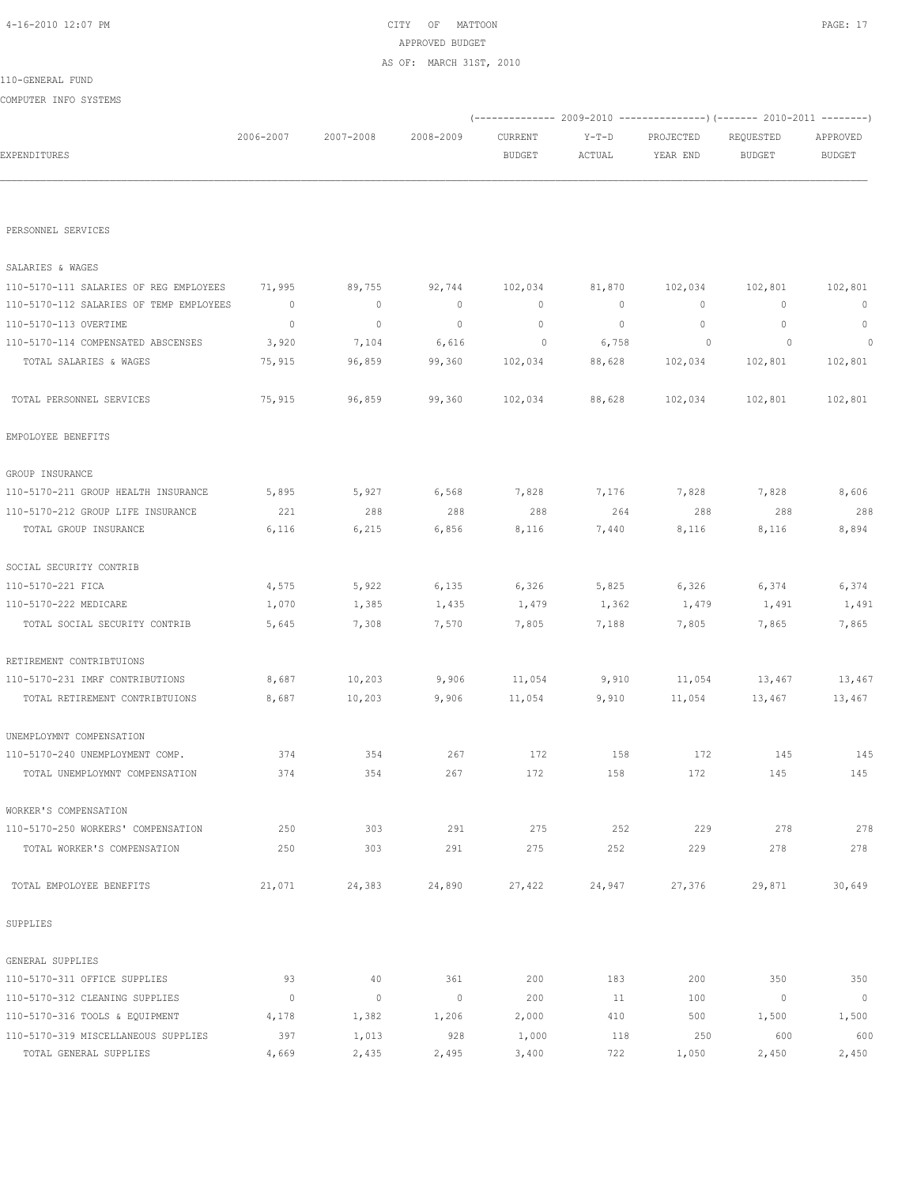# 4-16-2010 12:07 PM CITY OF MATTOON PAGE: 17 APPROVED BUDGET AS OF: MARCH 31ST, 2010

#### 110-GENERAL FUND

#### COMPUTER INFO SYSTEMS

|                                         |              |              |              |               |         |             | (-------------- 2009-2010 ----------------) (------- 2010-2011 --------) |               |
|-----------------------------------------|--------------|--------------|--------------|---------------|---------|-------------|--------------------------------------------------------------------------|---------------|
|                                         | 2006-2007    | 2007-2008    | 2008-2009    | CURRENT       | $Y-T-D$ | PROJECTED   | REQUESTED                                                                | APPROVED      |
| <b>EXPENDITURES</b>                     |              |              |              | <b>BUDGET</b> | ACTUAL  | YEAR END    | <b>BUDGET</b>                                                            | <b>BUDGET</b> |
|                                         |              |              |              |               |         |             |                                                                          |               |
|                                         |              |              |              |               |         |             |                                                                          |               |
| PERSONNEL SERVICES                      |              |              |              |               |         |             |                                                                          |               |
| SALARIES & WAGES                        |              |              |              |               |         |             |                                                                          |               |
| 110-5170-111 SALARIES OF REG EMPLOYEES  | 71,995       | 89,755       | 92,744       | 102,034       | 81,870  | 102,034     | 102,801                                                                  | 102,801       |
| 110-5170-112 SALARIES OF TEMP EMPLOYEES | $\mathbf{0}$ | $\mathbf{0}$ | $\mathbf{0}$ | $\mathbf 0$   | 0       | $\circ$     | 0                                                                        | $\mathbf{0}$  |
| 110-5170-113 OVERTIME                   | $\mathbf{0}$ | $\circ$      | $\mathbf{0}$ | $\mathbf{0}$  | $\circ$ | $\circ$     | $\Omega$                                                                 | $\mathbf{0}$  |
| 110-5170-114 COMPENSATED ABSCENSES      | 3,920        | 7,104        | 6,616        | $\circ$       | 6,758   | $\mathbf 0$ | $\mathbf{0}$                                                             | $\mathbb O$   |
| TOTAL SALARIES & WAGES                  | 75,915       | 96,859       | 99,360       | 102,034       | 88,628  | 102,034     | 102,801                                                                  | 102,801       |
| TOTAL PERSONNEL SERVICES                | 75,915       | 96,859       | 99,360       | 102,034       | 88,628  | 102,034     | 102,801                                                                  | 102,801       |
| EMPOLOYEE BENEFITS                      |              |              |              |               |         |             |                                                                          |               |
|                                         |              |              |              |               |         |             |                                                                          |               |

| GROUP INSURANCE                     |        |        |        |        |        |        |        |        |
|-------------------------------------|--------|--------|--------|--------|--------|--------|--------|--------|
| 110-5170-211 GROUP HEALTH INSURANCE | 5,895  | 5,927  | 6,568  | 7,828  | 7,176  | 7,828  | 7,828  | 8,606  |
| 110-5170-212 GROUP LIFE INSURANCE   | 221    | 288    | 288    | 288    | 264    | 288    | 288    | 288    |
| TOTAL GROUP INSURANCE               | 6,116  | 6,215  | 6,856  | 8,116  | 7,440  | 8,116  | 8,116  | 8,894  |
| SOCIAL SECURITY CONTRIB             |        |        |        |        |        |        |        |        |
| 110-5170-221 FICA                   | 4,575  | 5,922  | 6,135  | 6,326  | 5,825  | 6,326  | 6,374  | 6,374  |
| 110-5170-222 MEDICARE               | 1,070  | 1,385  | 1,435  | 1,479  | 1,362  | 1,479  | 1,491  | 1,491  |
| TOTAL SOCIAL SECURITY CONTRIB       | 5,645  | 7,308  | 7,570  | 7,805  | 7,188  | 7,805  | 7,865  | 7,865  |
| RETIREMENT CONTRIBTUIONS            |        |        |        |        |        |        |        |        |
| 110-5170-231 IMRF CONTRIBUTIONS     | 8,687  | 10,203 | 9,906  | 11,054 | 9,910  | 11,054 | 13,467 | 13,467 |
| TOTAL RETIREMENT CONTRIBTUIONS      | 8,687  | 10,203 | 9,906  | 11,054 | 9,910  | 11,054 | 13,467 | 13,467 |
| UNEMPLOYMNT COMPENSATION            |        |        |        |        |        |        |        |        |
| 110-5170-240 UNEMPLOYMENT COMP.     | 374    | 354    | 267    | 172    | 158    | 172    | 145    | 145    |
| TOTAL UNEMPLOYMNT COMPENSATION      | 374    | 354    | 267    | 172    | 158    | 172    | 145    | 145    |
| WORKER'S COMPENSATION               |        |        |        |        |        |        |        |        |
| 110-5170-250 WORKERS' COMPENSATION  | 250    | 303    | 291    | 275    | 252    | 229    | 278    | 278    |
| TOTAL WORKER'S COMPENSATION         | 250    | 303    | 291    | 275    | 252    | 229    | 278    | 278    |
| TOTAL EMPOLOYEE BENEFITS            | 21,071 | 24,383 | 24,890 | 27,422 | 24,947 | 27,376 | 29,871 | 30,649 |
| SUPPLIES                            |        |        |        |        |        |        |        |        |
| GENERAL SUPPLIES                    |        |        |        |        |        |        |        |        |

| GENERAL SUPPLIES                    |       |          |       |       |     |       |       |              |
|-------------------------------------|-------|----------|-------|-------|-----|-------|-------|--------------|
| 110-5170-311 OFFICE SUPPLIES        | 93    | 40       | 361   | 200   | 183 | 200   | 350   | 350          |
| 110-5170-312 CLEANING SUPPLIES      | 0.    | $\Omega$ |       | 200   |     | 100   |       | $\mathbf{0}$ |
| 110-5170-316 TOOLS & EQUIPMENT      | 4,178 | 1,382    | 1,206 | 2,000 | 410 | 500   | 1,500 | 1,500        |
| 110-5170-319 MISCELLANEOUS SUPPLIES | 397   | 1,013    | 928   | 1,000 | 118 | 250   | 600   | 600          |
| GENERAL SUPPLIES<br>TOTAL.          | 4,669 | 2,435    | 2,495 | 3,400 | 722 | 1,050 | 2,450 | 2,450        |
|                                     |       |          |       |       |     |       |       |              |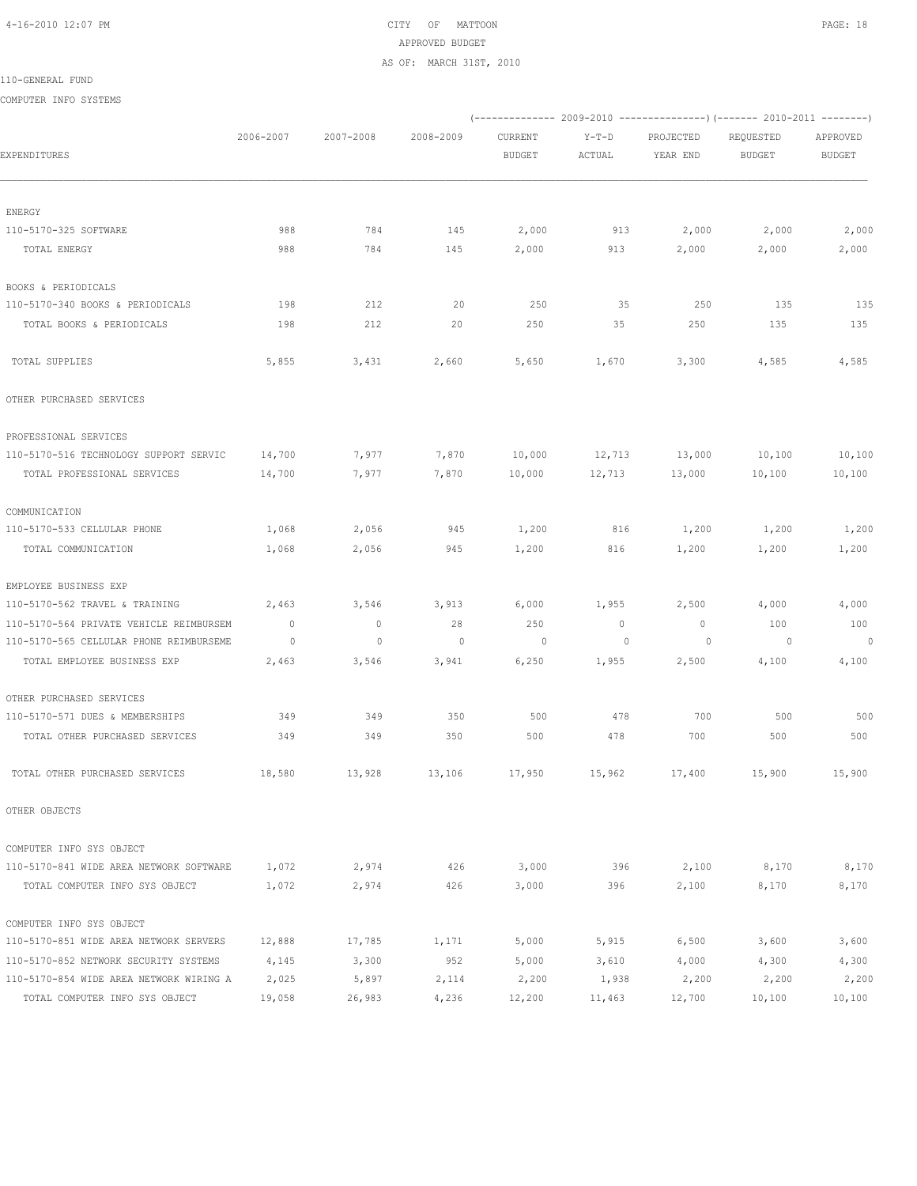### 4-16-2010 12:07 PM CITY OF MATTOON PAGE: 18 APPROVED BUDGET AS OF: MARCH 31ST, 2010

#### 110-GENERAL FUND

#### COMPUTER INFO SYSTEMS

| EXPENDITURES                            | 2006-2007    | 2007-2008   | 2008-2009 | CURRENT<br><b>BUDGET</b> | $Y-T-D$<br>ACTUAL | PROJECTED<br>YEAR END | REQUESTED<br><b>BUDGET</b> | APPROVED<br><b>BUDGET</b> |
|-----------------------------------------|--------------|-------------|-----------|--------------------------|-------------------|-----------------------|----------------------------|---------------------------|
|                                         |              |             |           |                          |                   |                       |                            |                           |
| ENERGY                                  |              |             |           |                          |                   |                       |                            |                           |
| 110-5170-325 SOFTWARE                   | 988          | 784         | 145       | 2,000                    | 913               | 2,000                 | 2,000                      | 2,000                     |
| TOTAL ENERGY                            | 988          | 784         | 145       | 2,000                    | 913               | 2,000                 | 2,000                      | 2,000                     |
| BOOKS & PERIODICALS                     |              |             |           |                          |                   |                       |                            |                           |
| 110-5170-340 BOOKS & PERIODICALS        | 198          | 212         | 20        | 250                      | 35                | 250                   | 135                        | 135                       |
| TOTAL BOOKS & PERIODICALS               | 198          | 212         | 20        | 250                      | 35                | 250                   | 135                        | 135                       |
| TOTAL SUPPLIES                          | 5,855        | 3,431       | 2,660     | 5,650                    | 1,670             | 3,300                 | 4,585                      | 4,585                     |
| OTHER PURCHASED SERVICES                |              |             |           |                          |                   |                       |                            |                           |
| PROFESSIONAL SERVICES                   |              |             |           |                          |                   |                       |                            |                           |
| 110-5170-516 TECHNOLOGY SUPPORT SERVIC  | 14,700       | 7,977       | 7,870     | 10,000                   | 12,713            | 13,000                | 10,100                     | 10,100                    |
| TOTAL PROFESSIONAL SERVICES             | 14,700       | 7,977       | 7,870     | 10,000                   | 12,713            | 13,000                | 10,100                     | 10,100                    |
| COMMUNICATION                           |              |             |           |                          |                   |                       |                            |                           |
| 110-5170-533 CELLULAR PHONE             | 1,068        | 2,056       | 945       | 1,200                    | 816               | 1,200                 | 1,200                      | 1,200                     |
| TOTAL COMMUNICATION                     | 1,068        | 2,056       | 945       | 1,200                    | 816               | 1,200                 | 1,200                      | 1,200                     |
| EMPLOYEE BUSINESS EXP                   |              |             |           |                          |                   |                       |                            |                           |
| 110-5170-562 TRAVEL & TRAINING          | 2,463        | 3,546       | 3,913     | 6,000                    | 1,955             | 2,500                 | 4,000                      | 4,000                     |
| 110-5170-564 PRIVATE VEHICLE REIMBURSEM | $\mathbf{0}$ | $\circ$     | 28        | 250                      | $\circ$           | $\circ$               | 100                        | 100                       |
| 110-5170-565 CELLULAR PHONE REIMBURSEME | $\circ$      | $\mathbf 0$ | $\circ$   | $\circ$                  | $\mathbf{0}$      | $\mathbf 0$           | $\mathbf 0$                | $\mathbf 0$               |
| TOTAL EMPLOYEE BUSINESS EXP             | 2,463        | 3,546       | 3,941     | 6,250                    | 1,955             | 2,500                 | 4,100                      | 4,100                     |
| OTHER PURCHASED SERVICES                |              |             |           |                          |                   |                       |                            |                           |
| 110-5170-571 DUES & MEMBERSHIPS         | 349          | 349         | 350       | 500                      | 478               | 700                   | 500                        | 500                       |
| TOTAL OTHER PURCHASED SERVICES          | 349          | 349         | 350       | 500                      | 478               | 700                   | 500                        | 500                       |
| TOTAL OTHER PURCHASED SERVICES          | 18,580       | 13,928      | 13,106    | 17,950                   | 15,962            | 17,400                | 15,900                     | 15,900                    |
| OTHER OBJECTS                           |              |             |           |                          |                   |                       |                            |                           |
| COMPUTER INFO SYS OBJECT                |              |             |           |                          |                   |                       |                            |                           |
| 110-5170-841 WIDE AREA NETWORK SOFTWARE | 1,072        | 2,974       | 426       | 3,000                    | 396               | 2,100                 | 8,170                      | 8,170                     |
| TOTAL COMPUTER INFO SYS OBJECT          | 1,072        | 2,974       | 426       | 3,000                    | 396               | 2,100                 | 8,170                      | 8,170                     |
| COMPUTER INFO SYS OBJECT                |              |             |           |                          |                   |                       |                            |                           |
| 110-5170-851 WIDE AREA NETWORK SERVERS  | 12,888       | 17,785      | 1,171     | 5,000                    | 5,915             | 6,500                 | 3,600                      | 3,600                     |
| 110-5170-852 NETWORK SECURITY SYSTEMS   | 4,145        | 3,300       | 952       | 5,000                    | 3,610             | 4,000                 | 4,300                      | 4,300                     |
| 110-5170-854 WIDE AREA NETWORK WIRING A | 2,025        | 5,897       | 2,114     | 2,200                    | 1,938             | 2,200                 | 2,200                      | 2,200                     |
| TOTAL COMPUTER INFO SYS OBJECT          | 19,058       | 26,983      | 4,236     | 12,200                   | 11,463            | 12,700                | 10,100                     | 10,100                    |

(-------------- 2009-2010 ---------------)(------- 2010-2011 --------)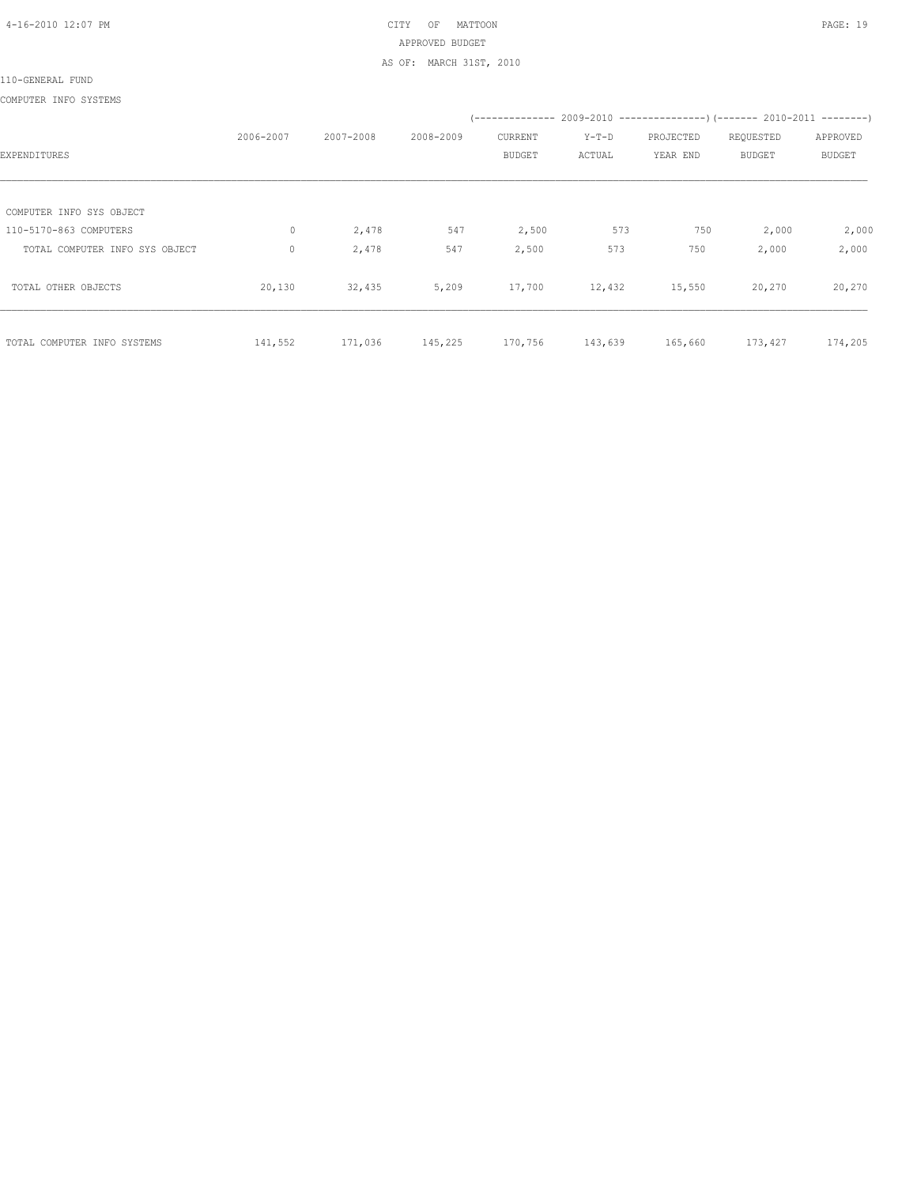# 4-16-2010 12:07 PM CITY OF MATTOON PAGE: 19 APPROVED BUDGET AS OF: MARCH 31ST, 2010

#### 110-GENERAL FUND

#### COMPUTER INFO SYSTEMS

|                                | 2006-2007    | 2007-2008 | 2008-2009 | CURRENT       | $Y-T-D$ | PROJECTED | REQUESTED     | APPROVED      |
|--------------------------------|--------------|-----------|-----------|---------------|---------|-----------|---------------|---------------|
| EXPENDITURES                   |              |           |           | <b>BUDGET</b> | ACTUAL  | YEAR END  | <b>BUDGET</b> | <b>BUDGET</b> |
|                                |              |           |           |               |         |           |               |               |
| COMPUTER INFO SYS OBJECT       |              |           |           |               |         |           |               |               |
| 110-5170-863 COMPUTERS         | $\circ$      | 2,478     | 547       | 2,500         | 573     | 750       | 2,000         | 2,000         |
| TOTAL COMPUTER INFO SYS OBJECT | $\mathbf{0}$ | 2,478     | 547       | 2,500         | 573     | 750       | 2,000         | 2,000         |
| TOTAL OTHER OBJECTS            | 20,130       | 32,435    | 5,209     | 17,700        | 12,432  | 15,550    | 20,270        | 20,270        |
| TOTAL COMPUTER INFO SYSTEMS    | 141,552      | 171,036   | 145,225   | 170,756       | 143,639 | 165,660   | 173,427       | 174,205       |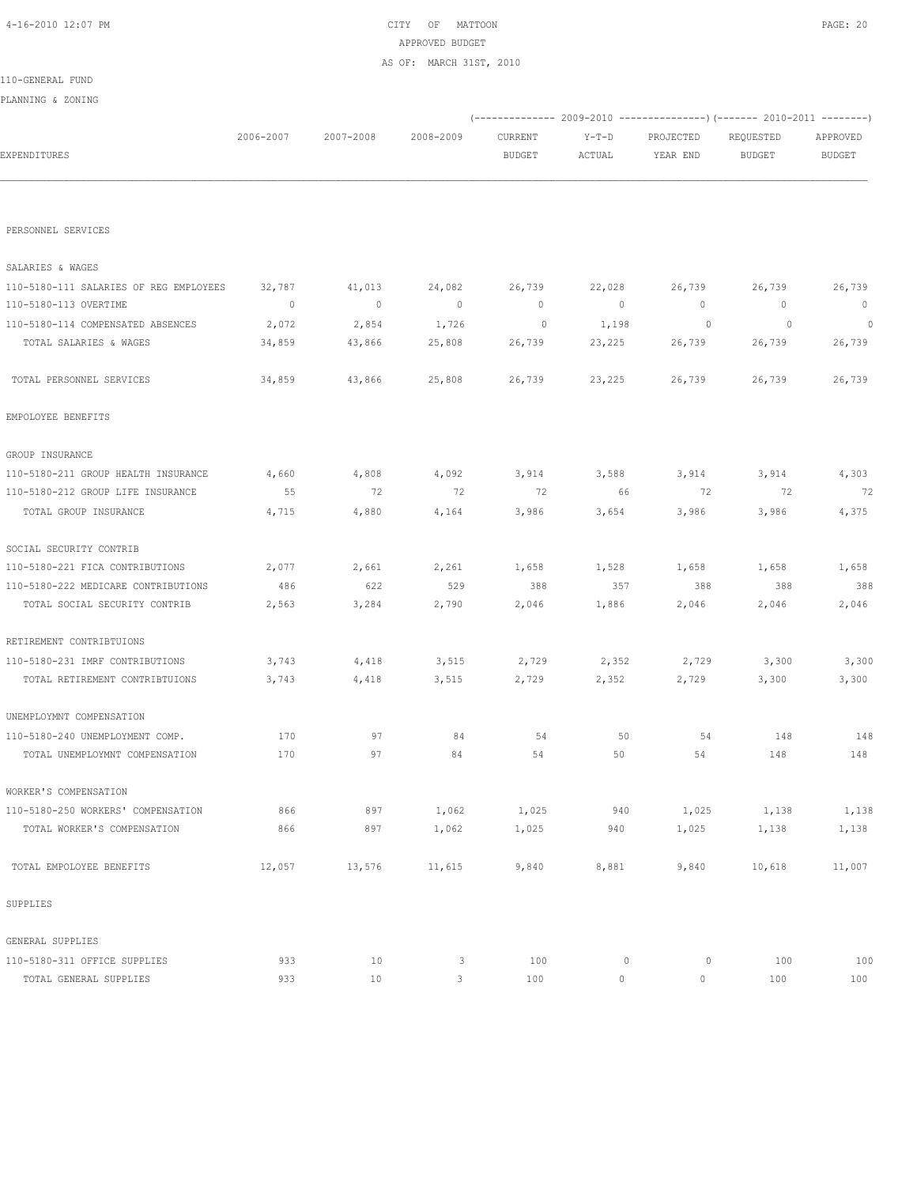### 4-16-2010 12:07 PM CITY OF MATTOON PAGE: 20 APPROVED BUDGET AS OF: MARCH 31ST, 2010

#### 110-GENERAL FUND

SUPPLIES

GENERAL SUPPLIES

| PLANNING & ZONING                      | (-------------- 2009-2010 ----------------)(------- 2010-2011 --------) |           |           |                          |                   |                       |                            |                           |  |
|----------------------------------------|-------------------------------------------------------------------------|-----------|-----------|--------------------------|-------------------|-----------------------|----------------------------|---------------------------|--|
| EXPENDITURES                           | 2006-2007                                                               | 2007-2008 | 2008-2009 | CURRENT<br><b>BUDGET</b> | $Y-T-D$<br>ACTUAL | PROJECTED<br>YEAR END | REQUESTED<br><b>BUDGET</b> | APPROVED<br><b>BUDGET</b> |  |
|                                        |                                                                         |           |           |                          |                   |                       |                            |                           |  |
| PERSONNEL SERVICES                     |                                                                         |           |           |                          |                   |                       |                            |                           |  |
| SALARIES & WAGES                       |                                                                         |           |           |                          |                   |                       |                            |                           |  |
| 110-5180-111 SALARIES OF REG EMPLOYEES | 32,787                                                                  | 41,013    | 24,082    | 26,739                   | 22,028            | 26,739                | 26,739                     | 26,739                    |  |
| 110-5180-113 OVERTIME                  | $\mathbb O$                                                             | $\circ$   | $\circ$   | $\circ$                  | $\circ$           | $\mathbf 0$           | $\mathbf 0$                | $\mathbb O$               |  |
| 110-5180-114 COMPENSATED ABSENCES      | 2,072                                                                   | 2,854     | 1,726     | $\circ$                  | 1,198             | $\overline{0}$        | $\mathbf{0}$               | $\mathbf{0}$              |  |
| TOTAL SALARIES & WAGES                 | 34,859                                                                  | 43,866    | 25,808    | 26,739                   | 23,225            | 26,739                | 26,739                     | 26,739                    |  |
| TOTAL PERSONNEL SERVICES               | 34,859                                                                  | 43,866    | 25,808    | 26,739                   | 23,225            | 26,739                | 26,739                     | 26,739                    |  |
| EMPOLOYEE BENEFITS                     |                                                                         |           |           |                          |                   |                       |                            |                           |  |
| GROUP INSURANCE                        |                                                                         |           |           |                          |                   |                       |                            |                           |  |
| 110-5180-211 GROUP HEALTH INSURANCE    | 4,660                                                                   | 4,808     | 4,092     | 3,914                    | 3,588             | 3,914                 | 3,914                      | 4,303                     |  |
| 110-5180-212 GROUP LIFE INSURANCE      | 55                                                                      | 72        | 72        | 72                       | 66                | 72                    | 72                         | 72                        |  |
| TOTAL GROUP INSURANCE                  | 4,715                                                                   | 4,880     | 4,164     | 3,986                    | 3,654             | 3,986                 | 3,986                      | 4,375                     |  |
| SOCIAL SECURITY CONTRIB                |                                                                         |           |           |                          |                   |                       |                            |                           |  |
| 110-5180-221 FICA CONTRIBUTIONS        | 2,077                                                                   | 2,661     | 2,261     | 1,658                    | 1,528             | 1,658                 | 1,658                      | 1,658                     |  |
| 110-5180-222 MEDICARE CONTRIBUTIONS    | 486                                                                     | 622       | 529       | 388                      | 357               | 388                   | 388                        | 388                       |  |
| TOTAL SOCIAL SECURITY CONTRIB          | 2,563                                                                   | 3,284     | 2,790     | 2,046                    | 1,886             | 2,046                 | 2,046                      | 2,046                     |  |
| RETIREMENT CONTRIBTUIONS               |                                                                         |           |           |                          |                   |                       |                            |                           |  |
| 110-5180-231 IMRF CONTRIBUTIONS        | 3,743                                                                   | 4,418     | 3,515     | 2,729                    | 2,352             | 2,729                 | 3,300                      | 3,300                     |  |
| TOTAL RETIREMENT CONTRIBTUIONS         | 3,743                                                                   | 4,418     | 3,515     | 2,729                    | 2,352             | 2,729                 | 3,300                      | 3,300                     |  |
| UNEMPLOYMNT COMPENSATION               |                                                                         |           |           |                          |                   |                       |                            |                           |  |
| 110-5180-240 UNEMPLOYMENT COMP.        | 170                                                                     | 97        | 84        | 54                       | 50                | 54                    | 148                        | 148                       |  |
| TOTAL UNEMPLOYMNT COMPENSATION         | 170                                                                     | 97        | 84        | 54                       | 50                | 54                    | 148                        | 148                       |  |
| WORKER'S COMPENSATION                  |                                                                         |           |           |                          |                   |                       |                            |                           |  |

 110-5180-250 WORKERS' COMPENSATION 866 897 1,062 1,025 940 1,025 1,138 1,138 TOTAL WORKER'S COMPENSATION 866 897 1,062 1,025 940 1,025 1,138 1,138

TOTAL EMPOLOYEE BENEFITS 12,057 13,576 11,615 9,840 8,881 9,840 10,618 11,007

 110-5180-311 OFFICE SUPPLIES 933 10 3 100 0 0 100 100 TOTAL GENERAL SUPPLIES 933 10 3 100 0 0 100 100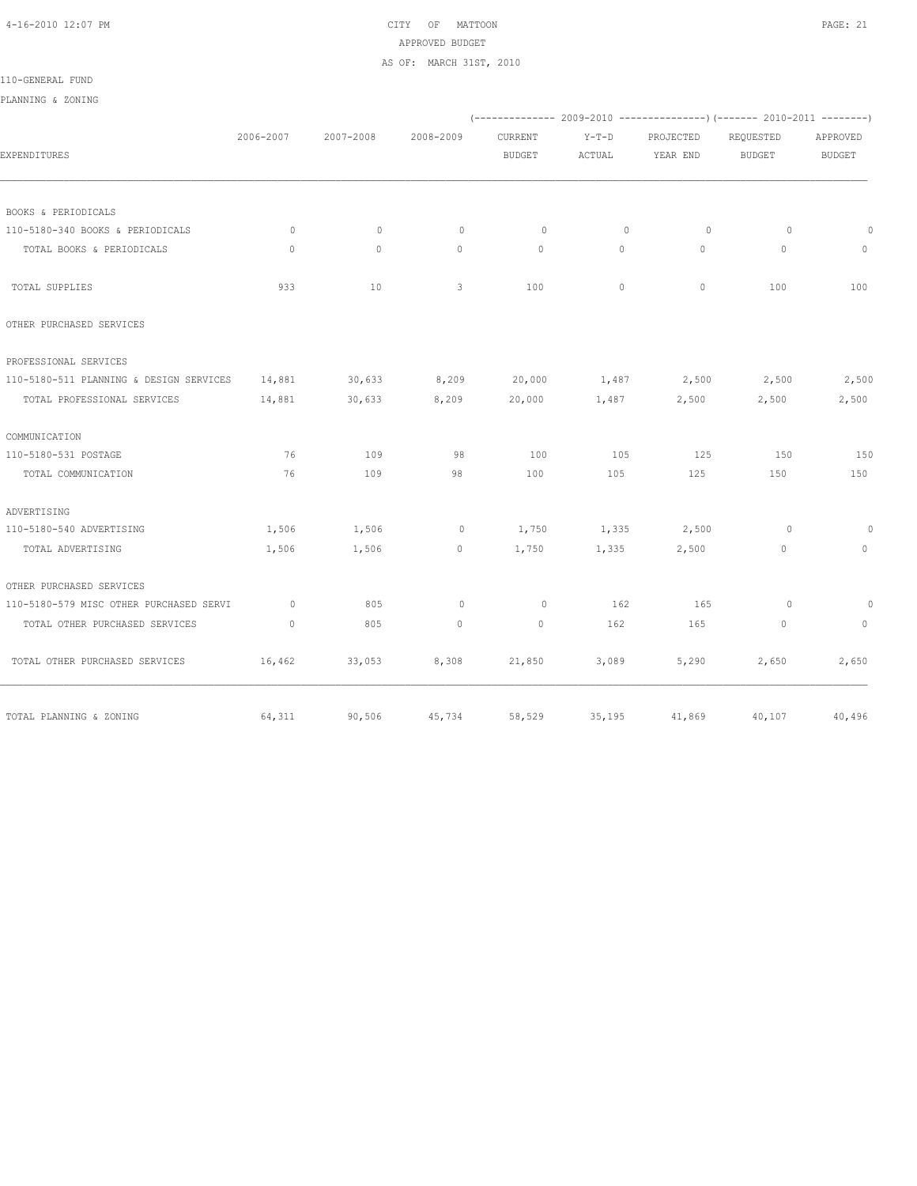# 4-16-2010 12:07 PM CITY OF MATTOON PAGE: 21 APPROVED BUDGET AS OF: MARCH 31ST, 2010

### 110-GENERAL FUND

PLANNING & ZONING

|                                         |              |              |              |                          |                   |                       | (-------------- 2009-2010 -----------------) (------- 2010-2011 --------) |                    |
|-----------------------------------------|--------------|--------------|--------------|--------------------------|-------------------|-----------------------|---------------------------------------------------------------------------|--------------------|
| EXPENDITURES                            | 2006-2007    | 2007-2008    | 2008-2009    | CURRENT<br><b>BUDGET</b> | $Y-T-D$<br>ACTUAL | PROJECTED<br>YEAR END | REQUESTED<br><b>BUDGET</b>                                                | APPROVED<br>BUDGET |
|                                         |              |              |              |                          |                   |                       |                                                                           |                    |
| BOOKS & PERIODICALS                     |              |              |              |                          |                   |                       |                                                                           |                    |
| 110-5180-340 BOOKS & PERIODICALS        | $\circ$      | $\mathbf{0}$ | $\mathbf{0}$ | $\circ$                  | $\mathbf{0}$      | $\mathbf{0}$          | $\Omega$                                                                  | $\Omega$           |
| TOTAL BOOKS & PERIODICALS               | $\mathbf{0}$ | $\circ$      | $\mathbf{0}$ | $\mathbf{0}$             | $\circ$           | $\mathbf{0}$          | $\circ$                                                                   | $\circ$            |
| TOTAL SUPPLIES                          | 933          | 10           | 3            | 100                      | $\circ$           | $\mathbf{0}$          | 100                                                                       | 100                |
| OTHER PURCHASED SERVICES                |              |              |              |                          |                   |                       |                                                                           |                    |
| PROFESSIONAL SERVICES                   |              |              |              |                          |                   |                       |                                                                           |                    |
| 110-5180-511 PLANNING & DESIGN SERVICES | 14,881       | 30,633       | 8,209        | 20,000                   | 1,487             | 2,500                 | 2,500                                                                     | 2,500              |
| TOTAL PROFESSIONAL SERVICES             | 14,881       | 30,633       | 8,209        | 20,000                   | 1,487             | 2,500                 | 2,500                                                                     | 2,500              |
| COMMUNICATION                           |              |              |              |                          |                   |                       |                                                                           |                    |
| 110-5180-531 POSTAGE                    | 76           | 109          | 98           | 100                      | 105               | 125                   | 150                                                                       | 150                |
| TOTAL COMMUNICATION                     | 76           | 109          | 98           | 100                      | 105               | 125                   | 150                                                                       | 150                |
| ADVERTISING                             |              |              |              |                          |                   |                       |                                                                           |                    |
| 110-5180-540 ADVERTISING                | 1,506        | 1,506        | $\circ$      | 1,750                    | 1,335             | 2,500                 | $\mathbf{0}$                                                              | $\Omega$           |
| TOTAL ADVERTISING                       | 1,506        | 1,506        | $\circ$      | 1,750                    | 1,335             | 2,500                 | $\circ$                                                                   | $\mathbf{0}$       |
| OTHER PURCHASED SERVICES                |              |              |              |                          |                   |                       |                                                                           |                    |
| 110-5180-579 MISC OTHER PURCHASED SERVI | $\circ$      | 805          | $\circ$      | $\circ$                  | 162               | 165                   | $\mathbf{0}$                                                              | $\mathbf{0}$       |
| TOTAL OTHER PURCHASED SERVICES          | $\mathbf{0}$ | 805          | $\mathbf{0}$ | $\circ$                  | 162               | 165                   | $\circ$                                                                   | $\circ$            |
| TOTAL OTHER PURCHASED SERVICES          | 16,462       | 33,053       | 8,308        | 21,850                   | 3,089             | 5,290                 | 2,650                                                                     | 2,650              |
| TOTAL PLANNING & ZONING                 | 64,311       | 90,506       | 45,734       | 58,529                   | 35,195            | 41,869                | 40,107                                                                    | 40,496             |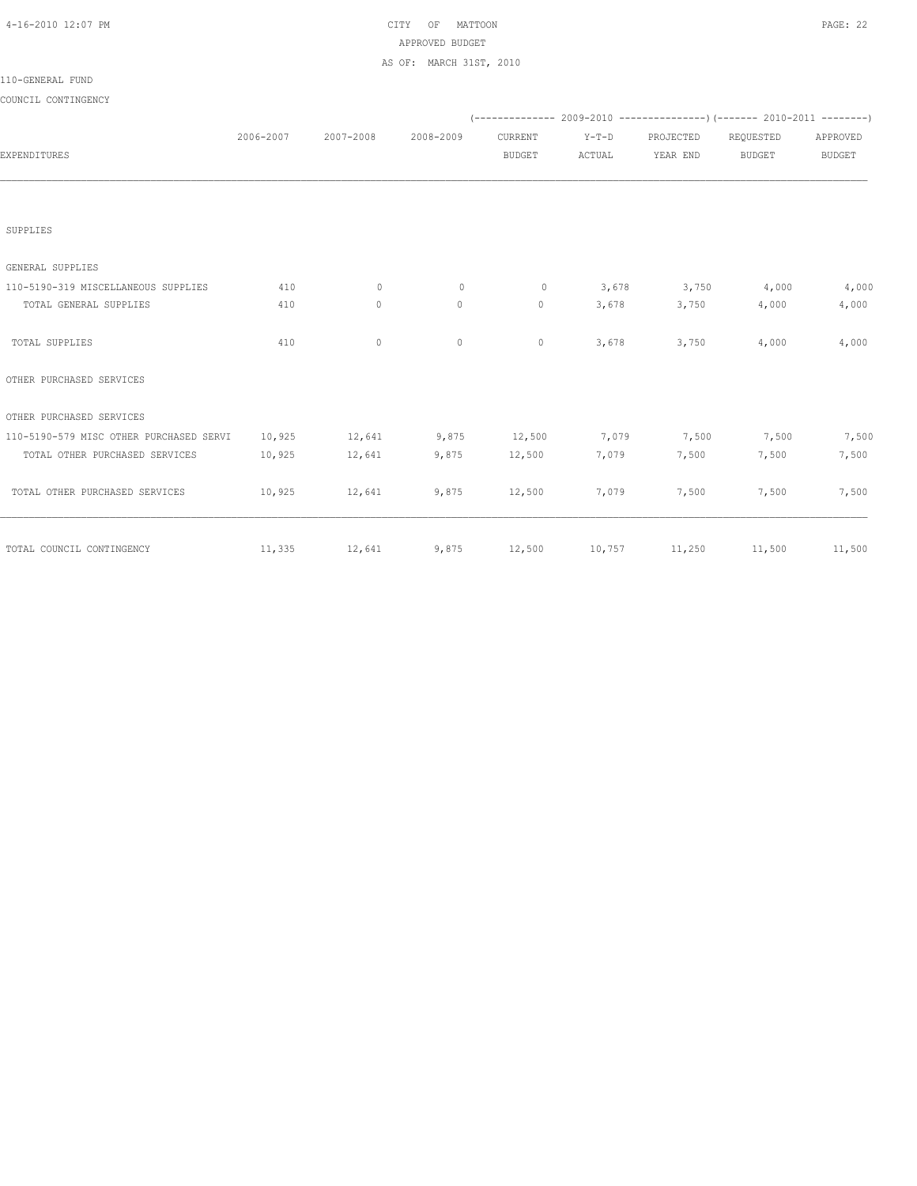# 4-16-2010 12:07 PM CITY OF MATTOON PAGE: 22 APPROVED BUDGET AS OF: MARCH 31ST, 2010

### 110-GENERAL FUND

#### COUNCIL CONTINGENCY

|                                         | 2006-2007 | 2007-2008 | 2008-2009    | CURRENT       | $Y-T-D$ | PROJECTED | REQUESTED     | APPROVED      |
|-----------------------------------------|-----------|-----------|--------------|---------------|---------|-----------|---------------|---------------|
| EXPENDITURES                            |           |           |              | <b>BUDGET</b> | ACTUAL  | YEAR END  | <b>BUDGET</b> | <b>BUDGET</b> |
|                                         |           |           |              |               |         |           |               |               |
| SUPPLIES                                |           |           |              |               |         |           |               |               |
| GENERAL SUPPLIES                        |           |           |              |               |         |           |               |               |
| 110-5190-319 MISCELLANEOUS SUPPLIES     | 410       | $\circ$   | $\circ$      | $\circ$       | 3,678   | 3,750     | 4,000         | 4,000         |
| TOTAL GENERAL SUPPLIES                  | 410       | $\circ$   | $\mathbf{0}$ | $\mathbf{0}$  | 3,678   | 3,750     | 4,000         | 4,000         |
| TOTAL SUPPLIES                          | 410       | $\circ$   | $\circ$      | $\circ$       | 3,678   | 3,750     | 4,000         | 4,000         |
| OTHER PURCHASED SERVICES                |           |           |              |               |         |           |               |               |
| OTHER PURCHASED SERVICES                |           |           |              |               |         |           |               |               |
| 110-5190-579 MISC OTHER PURCHASED SERVI | 10,925    | 12,641    | 9,875        | 12,500        | 7,079   | 7,500     | 7,500         | 7,500         |
| TOTAL OTHER PURCHASED SERVICES          | 10,925    | 12,641    | 9,875        | 12,500        | 7,079   | 7,500     | 7,500         | 7,500         |
| TOTAL OTHER PURCHASED SERVICES          | 10,925    | 12,641    | 9,875        | 12,500        | 7,079   | 7,500     | 7,500         | 7,500         |
| TOTAL COUNCIL CONTINGENCY               | 11,335    | 12,641    | 9,875        | 12,500        | 10,757  | 11,250    | 11,500        | 11,500        |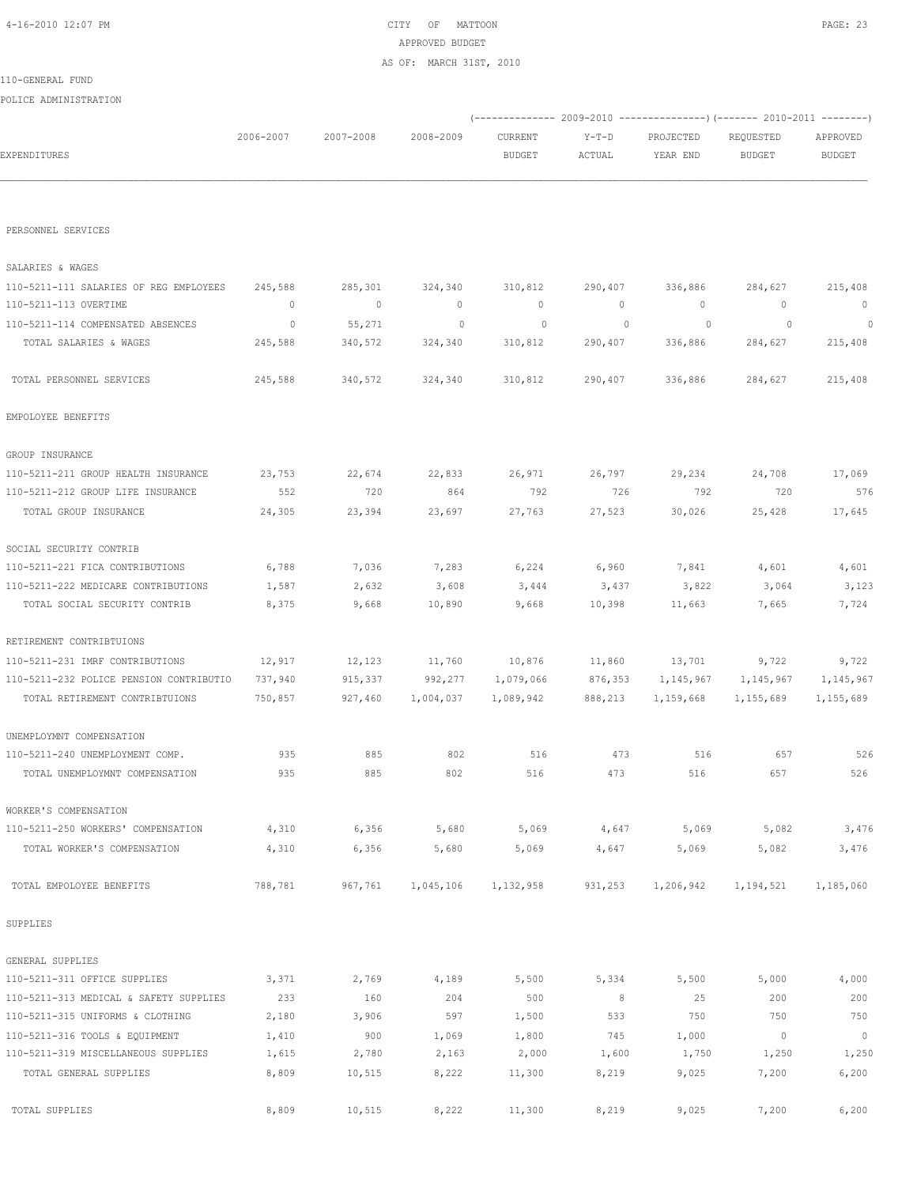# 4-16-2010 12:07 PM CITY OF MATTOON PAGE: 23 APPROVED BUDGET AS OF: MARCH 31ST, 2010

#### 110-GENERAL FUND

#### POLICE ADMINISTRATION

| EXPENDITURES                            | 2006-2007 | 2007-2008 | 2008-2009   | CURRENT<br><b>BUDGET</b> | $Y-T-D$<br>ACTUAL | PROJECTED<br>YEAR END | REQUESTED<br><b>BUDGET</b> | APPROVED<br><b>BUDGET</b> |
|-----------------------------------------|-----------|-----------|-------------|--------------------------|-------------------|-----------------------|----------------------------|---------------------------|
|                                         |           |           |             |                          |                   |                       |                            |                           |
| PERSONNEL SERVICES                      |           |           |             |                          |                   |                       |                            |                           |
| SALARIES & WAGES                        |           |           |             |                          |                   |                       |                            |                           |
| 110-5211-111 SALARIES OF REG EMPLOYEES  | 245,588   | 285,301   | 324,340     | 310,812                  | 290,407           | 336,886               | 284,627                    | 215,408                   |
| 110-5211-113 OVERTIME                   | $\circ$   | $\circ$   | $\mathbf 0$ | $\mathbf 0$              | 0                 | 0                     | 0                          | 0                         |
| 110-5211-114 COMPENSATED ABSENCES       | $\circ$   | 55,271    | $\circ$     | $\circ$                  | $\overline{0}$    | $\mathbf 0$           | $\circ$                    | $\mathbf 0$               |
| TOTAL SALARIES & WAGES                  | 245,588   | 340,572   | 324,340     | 310,812                  | 290,407           | 336,886               | 284,627                    | 215,408                   |
| TOTAL PERSONNEL SERVICES                | 245,588   | 340,572   | 324,340     | 310,812                  | 290,407           | 336,886               | 284,627                    | 215,408                   |
| EMPOLOYEE BENEFITS                      |           |           |             |                          |                   |                       |                            |                           |
| GROUP INSURANCE                         |           |           |             |                          |                   |                       |                            |                           |
| 110-5211-211 GROUP HEALTH INSURANCE     | 23,753    | 22,674    | 22,833      | 26,971                   | 26,797            | 29,234                | 24,708                     | 17,069                    |
| 110-5211-212 GROUP LIFE INSURANCE       | 552       | 720       | 864         | 792                      | 726               | 792                   | 720                        | 576                       |
| TOTAL GROUP INSURANCE                   | 24,305    | 23,394    | 23,697      | 27,763                   | 27,523            | 30,026                | 25,428                     | 17,645                    |
| SOCIAL SECURITY CONTRIB                 |           |           |             |                          |                   |                       |                            |                           |
| 110-5211-221 FICA CONTRIBUTIONS         | 6,788     | 7,036     | 7,283       | 6,224                    | 6,960             | 7,841                 | 4,601                      | 4,601                     |
| 110-5211-222 MEDICARE CONTRIBUTIONS     | 1,587     | 2,632     | 3,608       | 3,444                    | 3,437             | 3,822                 | 3,064                      | 3,123                     |
| TOTAL SOCIAL SECURITY CONTRIB           | 8,375     | 9,668     | 10,890      | 9,668                    | 10,398            | 11,663                | 7,665                      | 7,724                     |
| RETIREMENT CONTRIBTUIONS                |           |           |             |                          |                   |                       |                            |                           |
| 110-5211-231 IMRF CONTRIBUTIONS         | 12,917    | 12,123    | 11,760      | 10,876                   | 11,860            | 13,701                | 9,722                      | 9,722                     |
| 110-5211-232 POLICE PENSION CONTRIBUTIO | 737,940   | 915,337   | 992,277     | 1,079,066                | 876,353           | 1,145,967             | 1,145,967                  | 1,145,967                 |
| TOTAL RETIREMENT CONTRIBTUIONS          | 750,857   | 927,460   | 1,004,037   | 1,089,942                | 888,213           | 1,159,668             | 1,155,689                  | 1,155,689                 |
| UNEMPLOYMNT COMPENSATION                |           |           |             |                          |                   |                       |                            |                           |
| 110-5211-240 UNEMPLOYMENT COMP.         | 935       | 885       | 802         | 516                      | 473               | 516                   | 657                        | 526                       |
| TOTAL UNEMPLOYMNT COMPENSATION          | 935       | 885       | 802         | 516                      | 473               | 516                   | 657                        | 526                       |
| WORKER'S COMPENSATION                   |           |           |             |                          |                   |                       |                            |                           |
| 110-5211-250 WORKERS' COMPENSATION      | 4,310     | 6,356     | 5,680       | 5,069                    | 4,647             | 5,069                 | 5,082                      | 3,476                     |
| TOTAL WORKER'S COMPENSATION             | 4,310     | 6,356     | 5,680       | 5,069                    | 4,647             | 5,069                 | 5,082                      | 3,476                     |
| TOTAL EMPOLOYEE BENEFITS                | 788,781   | 967,761   | 1,045,106   | 1,132,958                | 931,253           | 1,206,942             | 1,194,521                  | 1,185,060                 |
| SUPPLIES                                |           |           |             |                          |                   |                       |                            |                           |
| GENERAL SUPPLIES                        |           |           |             |                          |                   |                       |                            |                           |
| 110-5211-311 OFFICE SUPPLIES            | 3,371     | 2,769     | 4,189       | 5,500                    | 5,334             | 5,500                 | 5,000                      | 4,000                     |
| 110-5211-313 MEDICAL & SAFETY SUPPLIES  | 233       | 160       | 204         | 500                      | 8                 | 25                    | 200                        | 200                       |
| 110-5211-315 UNIFORMS & CLOTHING        | 2,180     | 3,906     | 597         | 1,500                    | 533               | 750                   | 750                        | 750                       |
| 110-5211-316 TOOLS & EQUIPMENT          | 1,410     | 900       | 1,069       | 1,800                    | 745               | 1,000                 | $\mathbf 0$                | $\mathbb O$               |
| 110-5211-319 MISCELLANEOUS SUPPLIES     | 1,615     | 2,780     | 2,163       | 2,000                    | 1,600             | 1,750                 | 1,250                      | 1,250                     |
| TOTAL GENERAL SUPPLIES                  | 8,809     | 10,515    | 8,222       | 11,300                   | 8,219             | 9,025                 | 7,200                      | 6,200                     |

TOTAL SUPPLIES 8,809 10,515 8,222 11,300 8,219 9,025 7,200 6,200

(-------------- 2009-2010 ---------------)(------- 2010-2011 --------)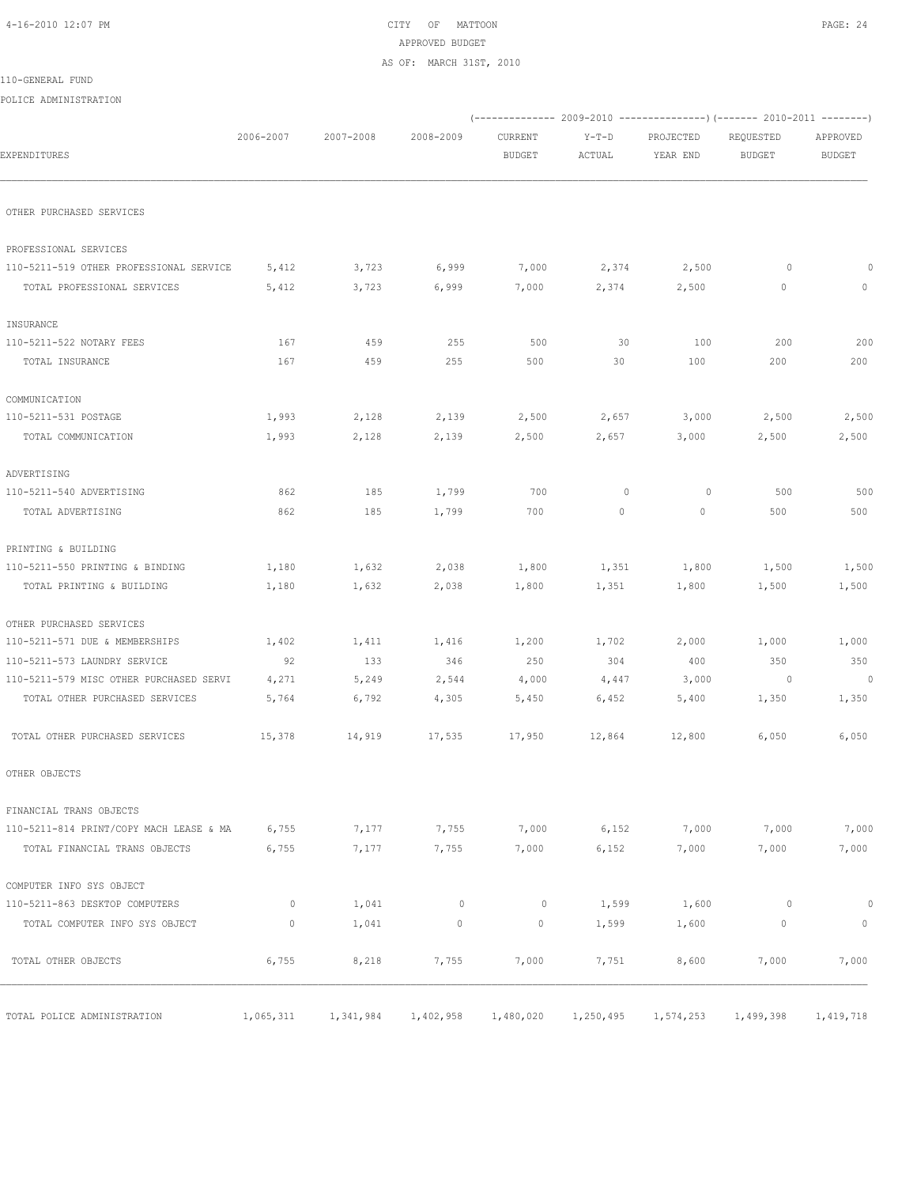### 4-16-2010 12:07 PM CITY OF MATTOON PAGE: 24 APPROVED BUDGET AS OF: MARCH 31ST, 2010

#### 110-GENERAL FUND

#### POLICE ADMINISTRATION

|                                         |              |           |           | (-------------- 2009-2010 ---------------) (------ 2010-2011 --------) |                   |                       |                     |                           |
|-----------------------------------------|--------------|-----------|-----------|------------------------------------------------------------------------|-------------------|-----------------------|---------------------|---------------------------|
| EXPENDITURES                            | 2006-2007    | 2007-2008 | 2008-2009 | CURRENT<br>BUDGET                                                      | $Y-T-D$<br>ACTUAL | PROJECTED<br>YEAR END | REQUESTED<br>BUDGET | APPROVED<br><b>BUDGET</b> |
| OTHER PURCHASED SERVICES                |              |           |           |                                                                        |                   |                       |                     |                           |
| PROFESSIONAL SERVICES                   |              |           |           |                                                                        |                   |                       |                     |                           |
| 110-5211-519 OTHER PROFESSIONAL SERVICE | 5,412        | 3,723     | 6,999     | 7,000                                                                  |                   | 2,374 2,500           | 0                   | $\mathbf 0$               |
| TOTAL PROFESSIONAL SERVICES             | 5,412        | 3,723     | 6,999     | 7,000                                                                  | 2,374             | 2,500                 | 0                   | 0                         |
| INSURANCE                               |              |           |           |                                                                        |                   |                       |                     |                           |
| 110-5211-522 NOTARY FEES                | 167          | 459       | 255       | 500                                                                    | 30                | 100                   | 200                 | 200                       |
| TOTAL INSURANCE                         | 167          | 459       | 255       | 500                                                                    | 30                | 100                   | 200                 | 200                       |
| COMMUNICATION                           |              |           |           |                                                                        |                   |                       |                     |                           |
| 110-5211-531 POSTAGE                    | 1,993        | 2,128     | 2,139     | 2,500                                                                  | 2,657             | 3,000                 | 2,500               | 2,500                     |
| TOTAL COMMUNICATION                     | 1,993        | 2,128     | 2,139     | 2,500                                                                  | 2,657             | 3,000                 | 2,500               | 2,500                     |
| ADVERTISING                             |              |           |           |                                                                        |                   |                       |                     |                           |
| 110-5211-540 ADVERTISING                | 862          | 185       | 1,799     | 700                                                                    | $\mathbf 0$       | $\mathbf 0$           | 500                 | 500                       |
| TOTAL ADVERTISING                       | 862          | 185       | 1,799     | 700                                                                    | $\circ$           | $\circ$               | 500                 | 500                       |
| PRINTING & BUILDING                     |              |           |           |                                                                        |                   |                       |                     |                           |
| 110-5211-550 PRINTING & BINDING         | 1,180        | 1,632     | 2,038     | 1,800                                                                  | 1,351             | 1,800                 | 1,500               | 1,500                     |
| TOTAL PRINTING & BUILDING               | 1,180        | 1,632     | 2,038     | 1,800                                                                  | 1,351             | 1,800                 | 1,500               | 1,500                     |
| OTHER PURCHASED SERVICES                |              |           |           |                                                                        |                   |                       |                     |                           |
| 110-5211-571 DUE & MEMBERSHIPS          | 1,402        | 1,411     | 1,416     | 1,200                                                                  | 1,702             | 2,000                 | 1,000               | 1,000                     |
| 110-5211-573 LAUNDRY SERVICE            | 92           | 133       | 346       | 250                                                                    | 304               | 400                   | 350                 | 350                       |
| 110-5211-579 MISC OTHER PURCHASED SERVI | 4,271        | 5,249     | 2,544     | 4,000                                                                  | 4,447             | 3,000                 | $\sim$ 0            | $\circ$                   |
| TOTAL OTHER PURCHASED SERVICES          | 5,764        | 6,792     | 4,305     | 5,450                                                                  | 6,452             | 5,400                 | 1,350               | 1,350                     |
| TOTAL OTHER PURCHASED SERVICES          | 15,378       | 14,919    | 17,535    | 17,950                                                                 | 12,864            | 12,800                | 6,050               | 6,050                     |
| OTHER OBJECTS                           |              |           |           |                                                                        |                   |                       |                     |                           |
| FINANCIAL TRANS OBJECTS                 |              |           |           |                                                                        |                   |                       |                     |                           |
| 110-5211-814 PRINT/COPY MACH LEASE & MA | 6,755        | 7,177     | 7,755     | 7,000                                                                  | 6,152             | 7,000                 | 7,000               | 7,000                     |
| TOTAL FINANCIAL TRANS OBJECTS           | 6,755        | 7,177     | 7,755     | 7,000                                                                  | 6,152             | 7,000                 | 7,000               | 7,000                     |
| COMPUTER INFO SYS OBJECT                |              |           |           |                                                                        |                   |                       |                     |                           |
| 110-5211-863 DESKTOP COMPUTERS          | $\circ$      | 1,041     | $\circ$   | 0                                                                      | 1,599             | 1,600                 | 0                   | $\mathbb O$               |
| TOTAL COMPUTER INFO SYS OBJECT          | $\mathbf{0}$ | 1,041     | $\circ$   | $\circ$                                                                | 1,599             | 1,600                 | $\mathbf 0$         | $\mathbb O$               |
| TOTAL OTHER OBJECTS                     | 6,755        | 8,218     | 7,755     | 7,000                                                                  | 7,751             | 8,600                 | 7,000               | 7,000                     |
| TOTAL POLICE ADMINISTRATION             | 1,065,311    | 1,341,984 | 1,402,958 | 1,480,020                                                              | 1,250,495         | 1,574,253             | 1,499,398           | 1,419,718                 |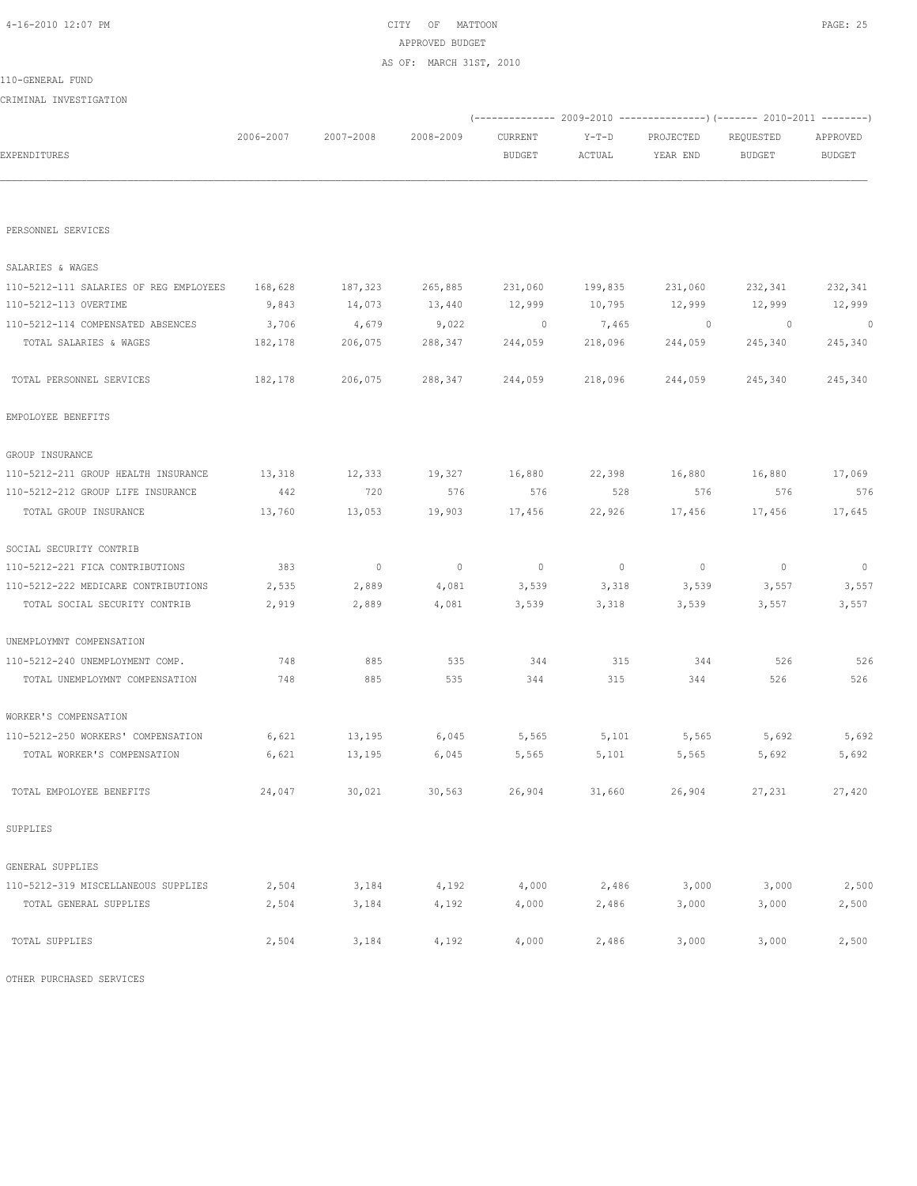# 4-16-2010 12:07 PM CITY OF MATTOON PAGE: 25 APPROVED BUDGET AS OF: MARCH 31ST, 2010

#### 110-GENERAL FUND

#### CRIMINAL INVESTIGATION

| EXPENDITURES                           | 2006-2007 | 2007-2008                | 2008-2009                | (--------------<br>CURRENT<br><b>BUDGET</b> | $Y-T-D$<br>ACTUAL | PROJECTED<br>YEAR END | 2009-2010 ---------------) (------- 2010-2011 --------<br>REQUESTED<br><b>BUDGET</b> | APPROVED<br><b>BUDGET</b> |
|----------------------------------------|-----------|--------------------------|--------------------------|---------------------------------------------|-------------------|-----------------------|--------------------------------------------------------------------------------------|---------------------------|
|                                        |           |                          |                          |                                             |                   |                       |                                                                                      |                           |
| PERSONNEL SERVICES                     |           |                          |                          |                                             |                   |                       |                                                                                      |                           |
| SALARIES & WAGES                       |           |                          |                          |                                             |                   |                       |                                                                                      |                           |
| 110-5212-111 SALARIES OF REG EMPLOYEES | 168,628   | 187,323                  | 265,885                  | 231,060                                     | 199,835           | 231,060               | 232,341                                                                              | 232,341                   |
| 110-5212-113 OVERTIME                  | 9,843     | 14,073                   | 13,440                   | 12,999                                      | 10,795            | 12,999                | 12,999                                                                               | 12,999                    |
| 110-5212-114 COMPENSATED ABSENCES      | 3,706     | 4,679                    | 9,022                    | $\circ$                                     | 7,465             | $\mathbf 0$           | $\overline{0}$                                                                       | $\mathbf{0}$              |
| TOTAL SALARIES & WAGES                 | 182,178   | 206,075                  | 288,347                  | 244,059                                     | 218,096           | 244,059               | 245,340                                                                              | 245,340                   |
| TOTAL PERSONNEL SERVICES               | 182,178   | 206,075                  | 288,347                  | 244,059                                     | 218,096           | 244,059               | 245,340                                                                              | 245,340                   |
| EMPOLOYEE BENEFITS                     |           |                          |                          |                                             |                   |                       |                                                                                      |                           |
| GROUP INSURANCE                        |           |                          |                          |                                             |                   |                       |                                                                                      |                           |
| 110-5212-211 GROUP HEALTH INSURANCE    | 13,318    | 12,333                   | 19,327                   | 16,880                                      | 22,398            | 16,880                | 16,880                                                                               | 17,069                    |
| 110-5212-212 GROUP LIFE INSURANCE      | 442       | 720                      | 576                      | 576                                         | 528               | 576                   | 576                                                                                  | 576                       |
| TOTAL GROUP INSURANCE                  | 13,760    | 13,053                   | 19,903                   | 17,456                                      | 22,926            | 17,456                | 17,456                                                                               | 17,645                    |
| SOCIAL SECURITY CONTRIB                |           |                          |                          |                                             |                   |                       |                                                                                      |                           |
| 110-5212-221 FICA CONTRIBUTIONS        | 383       | $\overline{\phantom{0}}$ | $\overline{\phantom{0}}$ | $\circ$                                     | $\circ$           | $\circ$               | $\circ$                                                                              | $\circ$                   |
| 110-5212-222 MEDICARE CONTRIBUTIONS    | 2,535     | 2,889                    | 4,081                    | 3,539                                       | 3,318             | 3,539                 | 3,557                                                                                | 3,557                     |
| TOTAL SOCIAL SECURITY CONTRIB          | 2,919     | 2,889                    | 4,081                    | 3,539                                       | 3,318             | 3,539                 | 3,557                                                                                | 3,557                     |
| UNEMPLOYMNT COMPENSATION               |           |                          |                          |                                             |                   |                       |                                                                                      |                           |
| 110-5212-240 UNEMPLOYMENT COMP.        | 748       | 885                      | 535                      | 344                                         | 315               | 344                   | 526                                                                                  | 526                       |
| TOTAL UNEMPLOYMNT COMPENSATION         | 748       | 885                      | 535                      | 344                                         | 315               | 344                   | 526                                                                                  | 526                       |
| WORKER'S COMPENSATION                  |           |                          |                          |                                             |                   |                       |                                                                                      |                           |
| 110-5212-250 WORKERS' COMPENSATION     | 6,621     | 13,195                   | 6,045                    | 5,565                                       | 5,101             | 5,565                 | 5,692                                                                                | 5,692                     |
| TOTAL WORKER'S COMPENSATION            | 6,621     | 13,195                   | 6,045                    | 5,565                                       | 5,101             | 5,565                 | 5,692                                                                                | 5,692                     |
| TOTAL EMPOLOYEE BENEFITS               | 24,047    | 30,021                   | 30,563                   | 26,904                                      | 31,660            | 26,904                | 27,231                                                                               | 27,420                    |
| SUPPLIES                               |           |                          |                          |                                             |                   |                       |                                                                                      |                           |
| GENERAL SUPPLIES                       |           |                          |                          |                                             |                   |                       |                                                                                      |                           |
| 110-5212-319 MISCELLANEOUS SUPPLIES    | 2,504     | 3,184                    | 4,192                    | 4,000                                       | 2,486             | 3,000                 | 3,000                                                                                | 2,500                     |
| TOTAL GENERAL SUPPLIES                 | 2,504     | 3,184                    | 4,192                    | 4,000                                       | 2,486             | 3,000                 | 3,000                                                                                | 2,500                     |
| TOTAL SUPPLIES                         | 2,504     | 3,184                    | 4,192                    | 4,000                                       | 2,486             | 3,000                 | 3,000                                                                                | 2,500                     |

OTHER PURCHASED SERVICES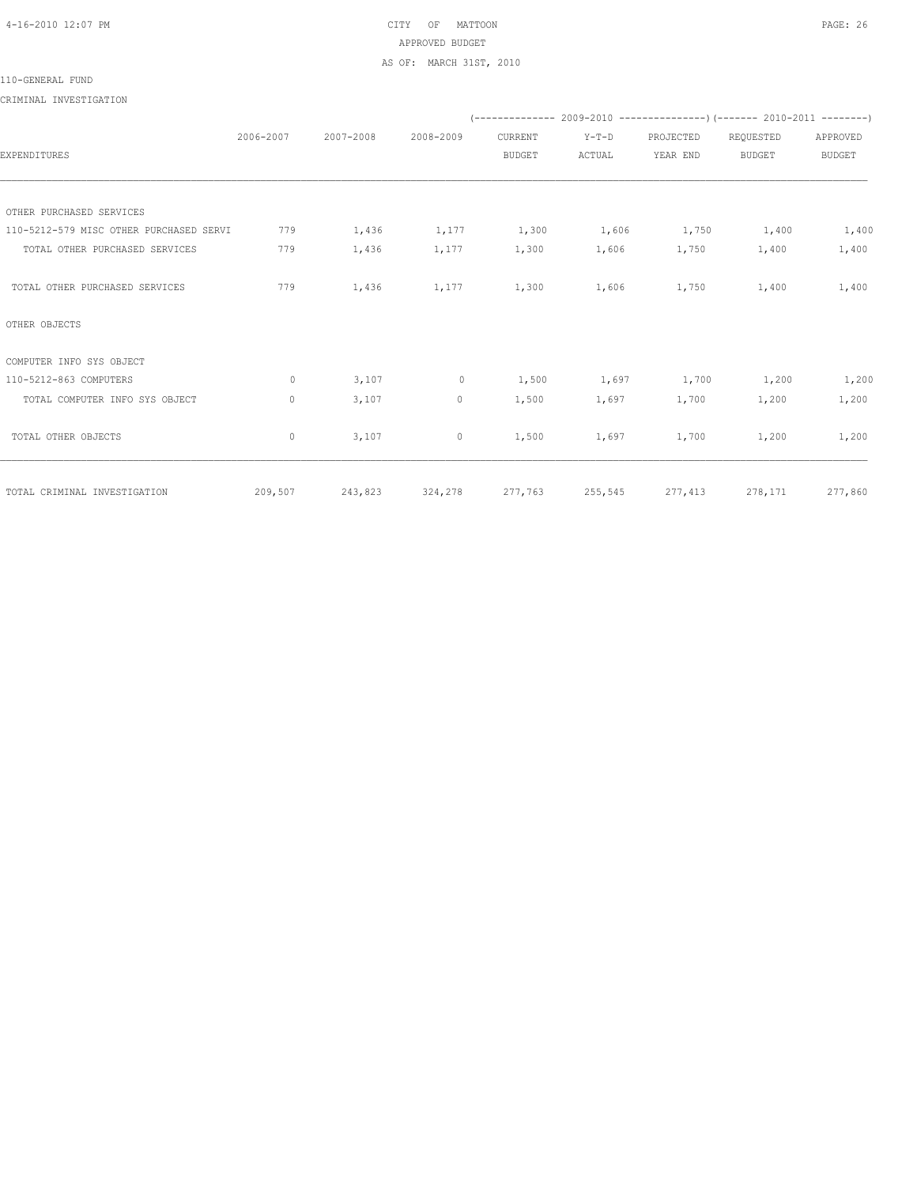# 4-16-2010 12:07 PM CITY OF MATTOON PAGE: 26 APPROVED BUDGET AS OF: MARCH 31ST, 2010

### 110-GENERAL FUND

#### CRIMINAL INVESTIGATION

|                                         |              |           |           |               |         |           | (-------------- 2009-2010 ----------------) (------- 2010-2011 --------) |               |
|-----------------------------------------|--------------|-----------|-----------|---------------|---------|-----------|--------------------------------------------------------------------------|---------------|
|                                         | 2006-2007    | 2007-2008 | 2008-2009 | CURRENT       | $Y-T-D$ | PROJECTED | REQUESTED                                                                | APPROVED      |
| EXPENDITURES                            |              |           |           | <b>BUDGET</b> | ACTUAL  | YEAR END  | <b>BUDGET</b>                                                            | <b>BUDGET</b> |
|                                         |              |           |           |               |         |           |                                                                          |               |
|                                         |              |           |           |               |         |           |                                                                          |               |
| OTHER PURCHASED SERVICES                |              |           |           |               |         |           |                                                                          |               |
| 110-5212-579 MISC OTHER PURCHASED SERVI | 779          | 1,436     | 1,177     | 1,300         | 1,606   | 1,750     | 1,400                                                                    | 1,400         |
| TOTAL OTHER PURCHASED SERVICES          | 779          | 1,436     | 1,177     | 1,300         | 1,606   | 1,750     | 1,400                                                                    | 1,400         |
| TOTAL OTHER PURCHASED SERVICES          | 779          | 1,436     | 1,177     | 1,300         | 1,606   | 1,750     | 1,400                                                                    | 1,400         |
| OTHER OBJECTS                           |              |           |           |               |         |           |                                                                          |               |
| COMPUTER INFO SYS OBJECT                |              |           |           |               |         |           |                                                                          |               |
| 110-5212-863 COMPUTERS                  | $\circ$      | 3,107     | $\circ$   | 1,500         | 1,697   | 1,700     | 1,200                                                                    | 1,200         |
| TOTAL COMPUTER INFO SYS OBJECT          | $\mathbf{0}$ | 3,107     | $\circ$   | 1,500         | 1,697   | 1,700     | 1,200                                                                    | 1,200         |
| TOTAL OTHER OBJECTS                     | $\mathbb O$  | 3,107     | $\circ$   | 1,500         | 1,697   | 1,700     | 1,200                                                                    | 1,200         |
| TOTAL CRIMINAL INVESTIGATION            | 209,507      | 243,823   | 324,278   | 277,763       | 255,545 | 277,413   | 278,171                                                                  | 277,860       |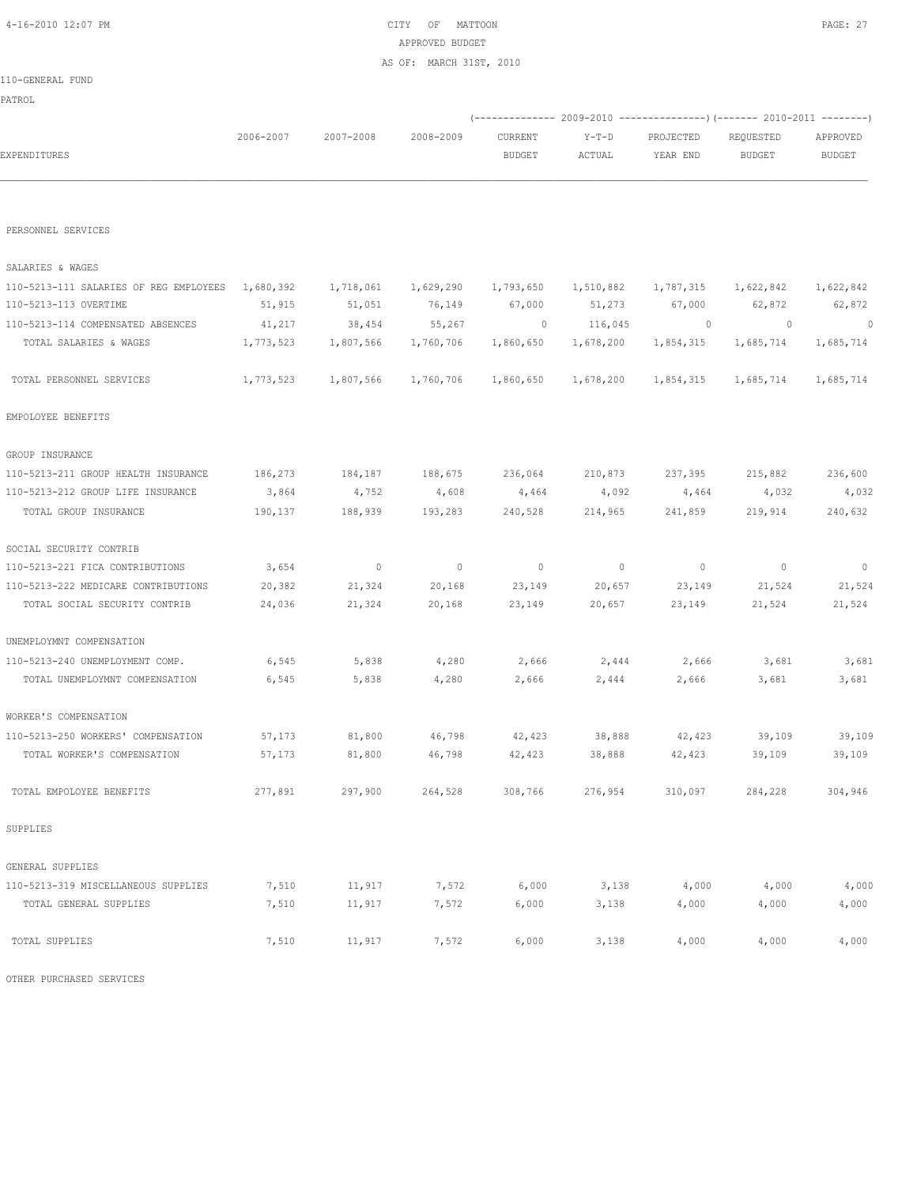# 4-16-2010 12:07 PM CITY OF MATTOON PAGE: 27 APPROVED BUDGET AS OF: MARCH 31ST, 2010

# PATROL

| PATROL                                 |           |           |           |               |           |              |               |               |
|----------------------------------------|-----------|-----------|-----------|---------------|-----------|--------------|---------------|---------------|
|                                        | 2006-2007 | 2007-2008 | 2008-2009 | CURRENT       | $Y-T-D$   | PROJECTED    | REQUESTED     | APPROVED      |
| EXPENDITURES                           |           |           |           | <b>BUDGET</b> | ACTUAL    | YEAR END     | <b>BUDGET</b> | <b>BUDGET</b> |
|                                        |           |           |           |               |           |              |               |               |
| PERSONNEL SERVICES                     |           |           |           |               |           |              |               |               |
| SALARIES & WAGES                       |           |           |           |               |           |              |               |               |
| 110-5213-111 SALARIES OF REG EMPLOYEES | 1,680,392 | 1,718,061 | 1,629,290 | 1,793,650     | 1,510,882 | 1,787,315    | 1,622,842     | 1,622,842     |
| 110-5213-113 OVERTIME                  | 51,915    | 51,051    | 76,149    | 67,000        | 51,273    | 67,000       | 62,872        | 62,872        |
| 110-5213-114 COMPENSATED ABSENCES      | 41,217    | 38,454    | 55,267    | $\circ$       | 116,045   | $\mathbf{0}$ | $\circ$       | $\circ$       |
| TOTAL SALARIES & WAGES                 | 1,773,523 | 1,807,566 | 1,760,706 | 1,860,650     | 1,678,200 | 1,854,315    | 1,685,714     | 1,685,714     |
| TOTAL PERSONNEL SERVICES               | 1,773,523 | 1,807,566 | 1,760,706 | 1,860,650     | 1,678,200 | 1,854,315    | 1,685,714     | 1,685,714     |
| EMPOLOYEE BENEFITS                     |           |           |           |               |           |              |               |               |
| GROUP INSURANCE                        |           |           |           |               |           |              |               |               |

| 110-5213-211 GROUP HEALTH INSURANCE | 186,273 | 184,187 | 188,675        | 236,064 | 210,873        | 237,395 | 215,882 | 236,600        |
|-------------------------------------|---------|---------|----------------|---------|----------------|---------|---------|----------------|
| 110-5213-212 GROUP LIFE INSURANCE   | 3,864   | 4,752   | 4,608          | 4,464   | 4,092          | 4,464   | 4,032   | 4,032          |
| TOTAL GROUP INSURANCE               | 190,137 | 188,939 | 193,283        | 240,528 | 214,965        | 241,859 | 219,914 | 240,632        |
| SOCIAL SECURITY CONTRIB             |         |         |                |         |                |         |         |                |
| 110-5213-221 FICA CONTRIBUTIONS     | 3,654   | $\circ$ | $\overline{0}$ | $\circ$ | $\overline{0}$ | $\circ$ | $\circ$ | $\overline{0}$ |
| 110-5213-222 MEDICARE CONTRIBUTIONS | 20,382  | 21,324  | 20,168         | 23,149  | 20,657         | 23,149  | 21,524  | 21,524         |
| TOTAL SOCIAL SECURITY CONTRIB       | 24,036  | 21,324  | 20,168         | 23,149  | 20,657         | 23,149  | 21,524  | 21,524         |
| UNEMPLOYMNT COMPENSATION            |         |         |                |         |                |         |         |                |
| 110-5213-240 UNEMPLOYMENT COMP.     | 6,545   | 5,838   | 4,280          | 2,666   | 2,444          | 2,666   | 3,681   | 3,681          |
| TOTAL UNEMPLOYMNT COMPENSATION      | 6,545   | 5,838   | 4,280          | 2,666   | 2,444          | 2,666   | 3,681   | 3,681          |
| WORKER'S COMPENSATION               |         |         |                |         |                |         |         |                |
| 110-5213-250 WORKERS' COMPENSATION  | 57,173  | 81,800  | 46,798         | 42,423  | 38,888         | 42,423  | 39,109  | 39,109         |
| TOTAL WORKER'S COMPENSATION         | 57,173  | 81,800  | 46,798         | 42,423  | 38,888         | 42,423  | 39,109  | 39,109         |
| TOTAL EMPOLOYEE BENEFITS            | 277,891 | 297,900 | 264,528        | 308,766 | 276,954        | 310,097 | 284,228 | 304,946        |
| SUPPLIES                            |         |         |                |         |                |         |         |                |
| GENERAL SUPPLIES                    |         |         |                |         |                |         |         |                |
| 110-5213-319 MISCELLANEOUS SUPPLIES | 7,510   | 11,917  | 7,572          | 6,000   | 3,138          | 4,000   | 4,000   | 4,000          |
| TOTAL GENERAL SUPPLIES              | 7,510   | 11,917  | 7,572          | 6,000   | 3,138          | 4,000   | 4,000   | 4,000          |
| TOTAL SUPPLIES                      | 7,510   | 11,917  | 7,572          | 6,000   | 3,138          | 4,000   | 4,000   | 4,000          |

OTHER PURCHASED SERVICES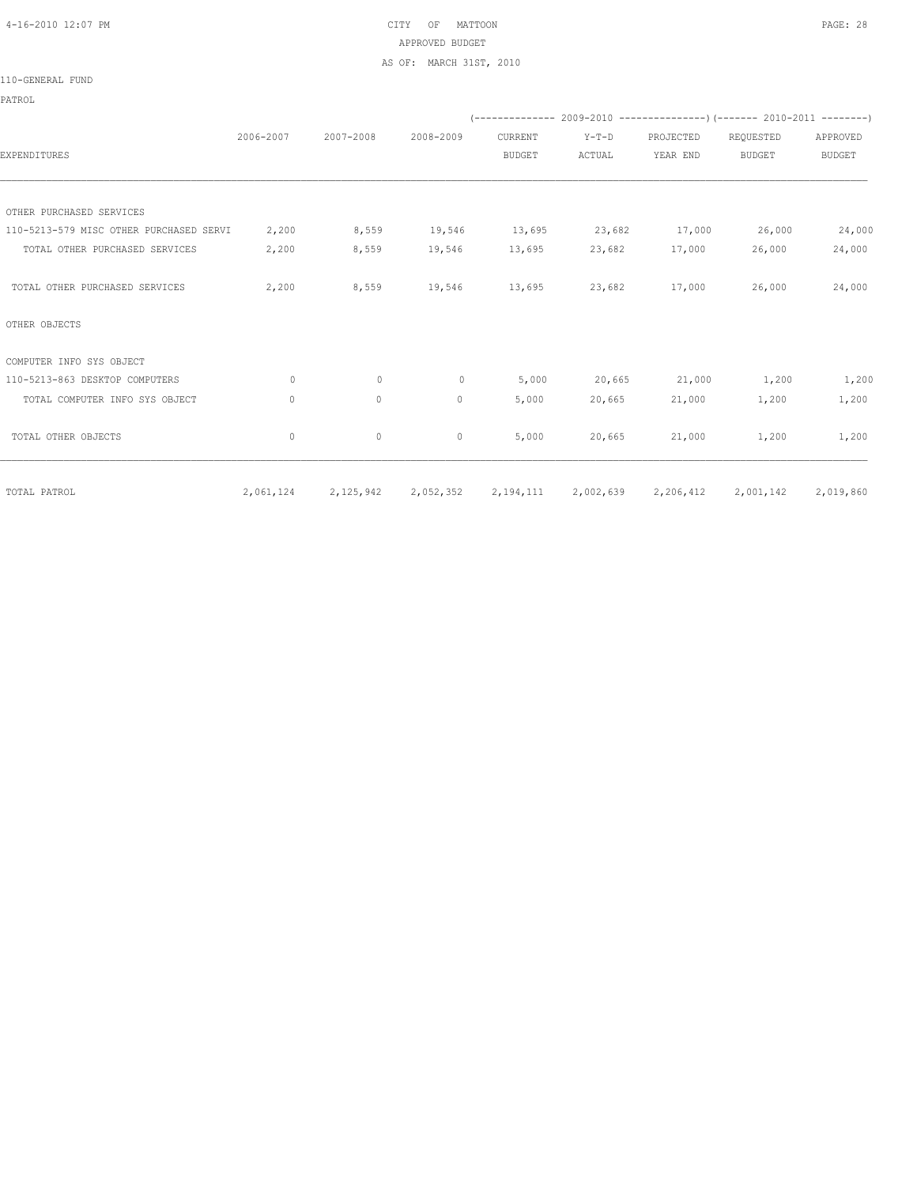# 4-16-2010 12:07 PM CITY OF MATTOON PAGE: 28 APPROVED BUDGET AS OF: MARCH 31ST, 2010

|                                         |              |           |             | (-------------- 2009-2010 ----------------) (------- 2010-2011 --------) |           |           |               |               |
|-----------------------------------------|--------------|-----------|-------------|--------------------------------------------------------------------------|-----------|-----------|---------------|---------------|
|                                         | 2006-2007    | 2007-2008 | 2008-2009   | CURRENT                                                                  | $Y-T-D$   | PROJECTED | REQUESTED     | APPROVED      |
| EXPENDITURES                            |              |           |             | <b>BUDGET</b>                                                            | ACTUAL    | YEAR END  | <b>BUDGET</b> | <b>BUDGET</b> |
|                                         |              |           |             |                                                                          |           |           |               |               |
| OTHER PURCHASED SERVICES                |              |           |             |                                                                          |           |           |               |               |
| 110-5213-579 MISC OTHER PURCHASED SERVI | 2,200        | 8,559     | 19,546      | 13,695                                                                   | 23,682    | 17,000    | 26,000        | 24,000        |
| TOTAL OTHER PURCHASED SERVICES          | 2,200        | 8,559     | 19,546      | 13,695                                                                   | 23,682    | 17,000    | 26,000        | 24,000        |
| TOTAL OTHER PURCHASED SERVICES          | 2,200        | 8,559     | 19,546      | 13,695                                                                   | 23,682    | 17,000    | 26,000        | 24,000        |
| OTHER OBJECTS                           |              |           |             |                                                                          |           |           |               |               |
| COMPUTER INFO SYS OBJECT                |              |           |             |                                                                          |           |           |               |               |
| 110-5213-863 DESKTOP COMPUTERS          | 0            | $\circ$   | 0           | 5,000                                                                    | 20,665    | 21,000    | 1,200         | 1,200         |
| TOTAL COMPUTER INFO SYS OBJECT          | $\mathbf{0}$ | $\circ$   | $\circ$     | 5,000                                                                    | 20,665    | 21,000    | 1,200         | 1,200         |
| TOTAL OTHER OBJECTS                     | 0            | 0         | $\mathbb O$ | 5,000                                                                    | 20,665    | 21,000    | 1,200         | 1,200         |
| TOTAL PATROL                            | 2,061,124    | 2,125,942 | 2,052,352   | 2, 194, 111                                                              | 2,002,639 | 2,206,412 | 2,001,142     | 2,019,860     |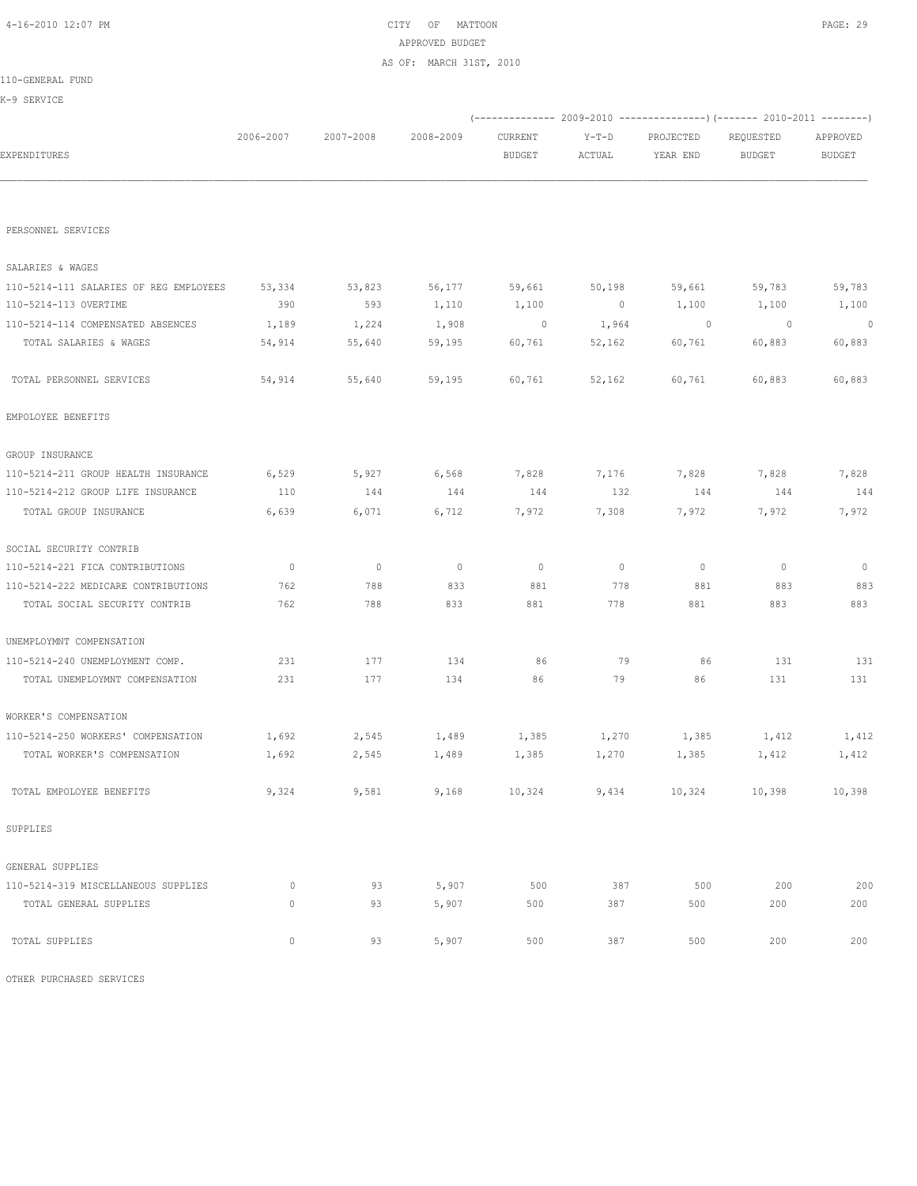# 4-16-2010 12:07 PM CITY OF MATTOON PAGE: 29 APPROVED BUDGET AS OF: MARCH 31ST, 2010

#### 110-GENERAL FUND

K-9 SERVICE

|                                        | 2006-2007                                                                                                                                                                                                                                                                                                                                                                                                                                                                                                                                                                                                                                                                                                                                                                                                                                                                                                                      | 2007-2008 | 2008-2009 | CURRENT       | $Y-T-D$ | PROJECTED | REQUESTED                | APPROVED       |
|----------------------------------------|--------------------------------------------------------------------------------------------------------------------------------------------------------------------------------------------------------------------------------------------------------------------------------------------------------------------------------------------------------------------------------------------------------------------------------------------------------------------------------------------------------------------------------------------------------------------------------------------------------------------------------------------------------------------------------------------------------------------------------------------------------------------------------------------------------------------------------------------------------------------------------------------------------------------------------|-----------|-----------|---------------|---------|-----------|--------------------------|----------------|
| EXPENDITURES                           | (-------------- 2009-2010 ---------------) (------- 2010-2011 --------)<br><b>BUDGET</b><br>ACTUAL<br>53,334<br>53,823<br>56,177<br>59,661<br>50,198<br>390<br>593<br>1,110<br>1,100<br>$\overline{0}$<br>1,189<br>1,224<br>1,908<br>$\sim$ 0<br>1,964<br>52,162<br>54,914<br>55,640<br>59,195<br>60,761<br>52,162<br>54,914<br>55,640<br>59,195<br>60,761<br>6,529<br>5,927<br>6,568<br>7,828<br>7,176<br>110<br>144<br>144<br>144<br>132<br>6,071<br>7,972<br>7,308<br>6,639<br>6,712<br>$\overline{0}$<br>$\overline{0}$<br>$\overline{0}$<br>$\overline{0}$<br>$\circ$<br>762<br>788<br>833<br>881<br>778<br>762<br>788<br>833<br>881<br>778<br>231<br>177<br>134<br>86<br>79<br>231<br>177<br>134<br>86<br>79<br>1,692<br>2,545<br>1,489<br>$1,385$ $1,270$ $1,385$<br>1,692<br>2,545<br>1,489<br>1,385<br>1,270<br>9,324<br>9,581<br>9,168<br>10,324<br>9,434<br>0<br>93<br>5,907<br>500<br>387<br>0<br>93<br>500<br>387 | YEAR END  | BUDGET    | <b>BUDGET</b> |         |           |                          |                |
|                                        |                                                                                                                                                                                                                                                                                                                                                                                                                                                                                                                                                                                                                                                                                                                                                                                                                                                                                                                                |           |           |               |         |           |                          |                |
| PERSONNEL SERVICES                     |                                                                                                                                                                                                                                                                                                                                                                                                                                                                                                                                                                                                                                                                                                                                                                                                                                                                                                                                |           |           |               |         |           |                          |                |
| SALARIES & WAGES                       |                                                                                                                                                                                                                                                                                                                                                                                                                                                                                                                                                                                                                                                                                                                                                                                                                                                                                                                                |           |           |               |         |           |                          |                |
| 110-5214-111 SALARIES OF REG EMPLOYEES |                                                                                                                                                                                                                                                                                                                                                                                                                                                                                                                                                                                                                                                                                                                                                                                                                                                                                                                                |           |           |               |         | 59,661    | 59,783                   | 59,783         |
| 110-5214-113 OVERTIME                  |                                                                                                                                                                                                                                                                                                                                                                                                                                                                                                                                                                                                                                                                                                                                                                                                                                                                                                                                |           |           |               |         | 1,100     | 1,100                    | 1,100          |
| 110-5214-114 COMPENSATED ABSENCES      |                                                                                                                                                                                                                                                                                                                                                                                                                                                                                                                                                                                                                                                                                                                                                                                                                                                                                                                                |           |           |               |         | $\sim$ 0  | $\sim$ 0                 | $\overline{0}$ |
| TOTAL SALARIES & WAGES                 |                                                                                                                                                                                                                                                                                                                                                                                                                                                                                                                                                                                                                                                                                                                                                                                                                                                                                                                                |           |           |               |         | 60,761    | 60,883                   | 60,883         |
| TOTAL PERSONNEL SERVICES               |                                                                                                                                                                                                                                                                                                                                                                                                                                                                                                                                                                                                                                                                                                                                                                                                                                                                                                                                |           |           |               |         | 60,761    | 60,883                   | 60,883         |
| EMPOLOYEE BENEFITS                     |                                                                                                                                                                                                                                                                                                                                                                                                                                                                                                                                                                                                                                                                                                                                                                                                                                                                                                                                |           |           |               |         |           |                          |                |
| GROUP INSURANCE                        |                                                                                                                                                                                                                                                                                                                                                                                                                                                                                                                                                                                                                                                                                                                                                                                                                                                                                                                                |           |           |               |         |           |                          |                |
| 110-5214-211 GROUP HEALTH INSURANCE    |                                                                                                                                                                                                                                                                                                                                                                                                                                                                                                                                                                                                                                                                                                                                                                                                                                                                                                                                |           |           |               |         |           | 7,828 7,828              | 7,828          |
| 110-5214-212 GROUP LIFE INSURANCE      |                                                                                                                                                                                                                                                                                                                                                                                                                                                                                                                                                                                                                                                                                                                                                                                                                                                                                                                                |           |           |               |         | 144       | 144                      | 144            |
| TOTAL GROUP INSURANCE                  |                                                                                                                                                                                                                                                                                                                                                                                                                                                                                                                                                                                                                                                                                                                                                                                                                                                                                                                                |           |           |               |         | 7,972     | 7,972                    | 7,972          |
| SOCIAL SECURITY CONTRIB                |                                                                                                                                                                                                                                                                                                                                                                                                                                                                                                                                                                                                                                                                                                                                                                                                                                                                                                                                |           |           |               |         |           |                          |                |
| 110-5214-221 FICA CONTRIBUTIONS        |                                                                                                                                                                                                                                                                                                                                                                                                                                                                                                                                                                                                                                                                                                                                                                                                                                                                                                                                |           |           |               |         | $\circ$   | $\overline{\phantom{0}}$ | $\circ$        |
| 110-5214-222 MEDICARE CONTRIBUTIONS    |                                                                                                                                                                                                                                                                                                                                                                                                                                                                                                                                                                                                                                                                                                                                                                                                                                                                                                                                |           |           |               |         | 881       | 883                      | 883            |
| TOTAL SOCIAL SECURITY CONTRIB          |                                                                                                                                                                                                                                                                                                                                                                                                                                                                                                                                                                                                                                                                                                                                                                                                                                                                                                                                |           |           |               |         | 881       | 883                      | 883            |
| UNEMPLOYMNT COMPENSATION               |                                                                                                                                                                                                                                                                                                                                                                                                                                                                                                                                                                                                                                                                                                                                                                                                                                                                                                                                |           |           |               |         |           |                          |                |
| 110-5214-240 UNEMPLOYMENT COMP.        |                                                                                                                                                                                                                                                                                                                                                                                                                                                                                                                                                                                                                                                                                                                                                                                                                                                                                                                                |           |           |               |         | 86        | 131                      | 131            |
| TOTAL UNEMPLOYMNT COMPENSATION         |                                                                                                                                                                                                                                                                                                                                                                                                                                                                                                                                                                                                                                                                                                                                                                                                                                                                                                                                |           |           |               |         | 86        | 131                      | 131            |
| WORKER'S COMPENSATION                  |                                                                                                                                                                                                                                                                                                                                                                                                                                                                                                                                                                                                                                                                                                                                                                                                                                                                                                                                |           |           |               |         |           |                          |                |
| 110-5214-250 WORKERS' COMPENSATION     |                                                                                                                                                                                                                                                                                                                                                                                                                                                                                                                                                                                                                                                                                                                                                                                                                                                                                                                                |           |           |               |         |           | 1,412                    | 1,412          |
| TOTAL WORKER'S COMPENSATION            |                                                                                                                                                                                                                                                                                                                                                                                                                                                                                                                                                                                                                                                                                                                                                                                                                                                                                                                                |           |           |               |         | 1,385     | 1,412                    | 1,412          |
| TOTAL EMPOLOYEE BENEFITS               |                                                                                                                                                                                                                                                                                                                                                                                                                                                                                                                                                                                                                                                                                                                                                                                                                                                                                                                                |           |           |               |         | 10,324    | 10,398                   | 10,398         |
| SUPPLIES                               |                                                                                                                                                                                                                                                                                                                                                                                                                                                                                                                                                                                                                                                                                                                                                                                                                                                                                                                                |           |           |               |         |           |                          |                |
| GENERAL SUPPLIES                       |                                                                                                                                                                                                                                                                                                                                                                                                                                                                                                                                                                                                                                                                                                                                                                                                                                                                                                                                |           |           |               |         |           |                          |                |
| 110-5214-319 MISCELLANEOUS SUPPLIES    |                                                                                                                                                                                                                                                                                                                                                                                                                                                                                                                                                                                                                                                                                                                                                                                                                                                                                                                                |           |           |               |         | 500       | 200                      | 200            |
| TOTAL GENERAL SUPPLIES                 |                                                                                                                                                                                                                                                                                                                                                                                                                                                                                                                                                                                                                                                                                                                                                                                                                                                                                                                                |           | 5,907     |               |         | 500       | 200                      | 200            |
| TOTAL SUPPLIES                         | $\mathbb O$                                                                                                                                                                                                                                                                                                                                                                                                                                                                                                                                                                                                                                                                                                                                                                                                                                                                                                                    | 93        | 5,907     | 500           | 387     | 500       | 200                      | 200            |
|                                        |                                                                                                                                                                                                                                                                                                                                                                                                                                                                                                                                                                                                                                                                                                                                                                                                                                                                                                                                |           |           |               |         |           |                          |                |

OTHER PURCHASED SERVICES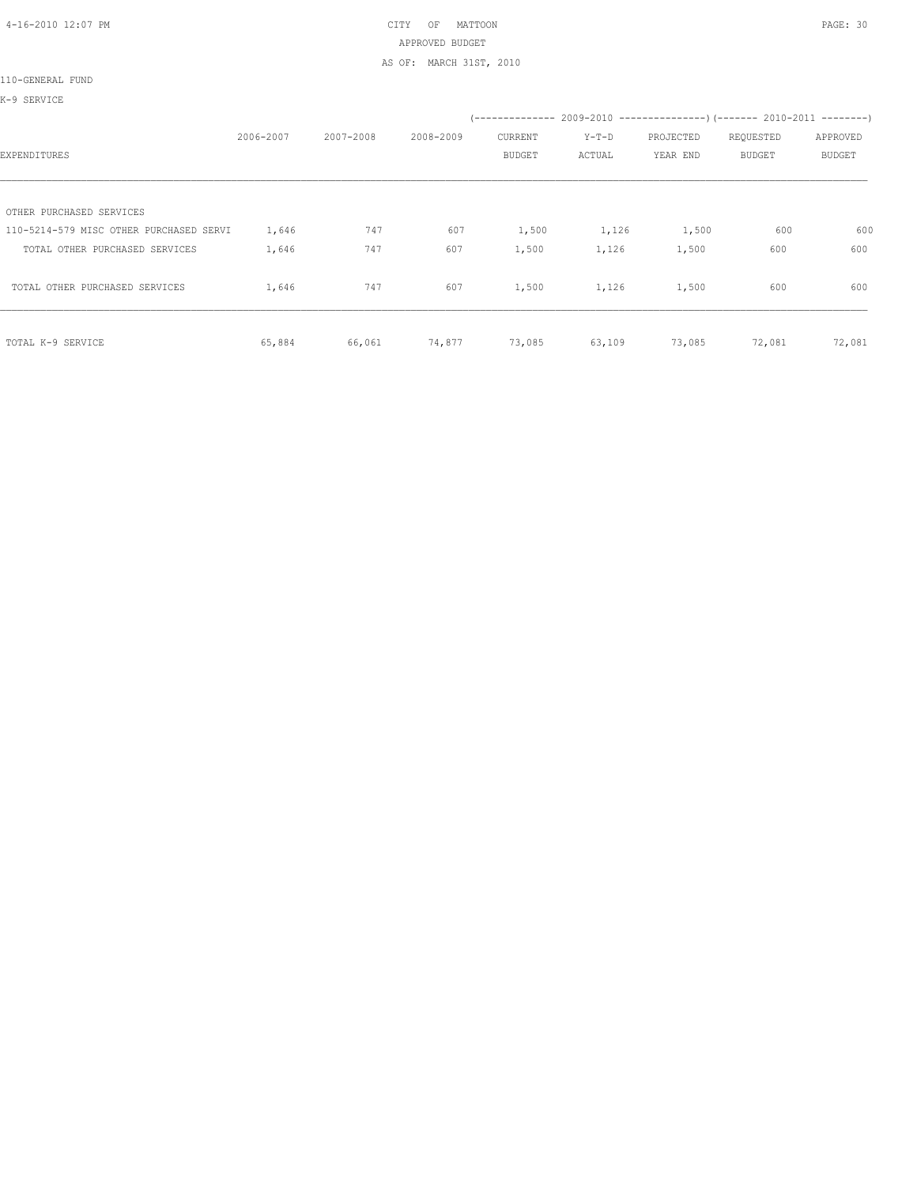# 4-16-2010 12:07 PM CITY OF MATTOON PAGE: 30 APPROVED BUDGET AS OF: MARCH 31ST, 2010

#### 110-GENERAL FUND

K-9 SERVICE

|                                         |           |           |           |               |         |           | (-------------- 2009-2010 -----------------) (------- 2010-2011 --------) |          |
|-----------------------------------------|-----------|-----------|-----------|---------------|---------|-----------|---------------------------------------------------------------------------|----------|
|                                         | 2006-2007 | 2007-2008 | 2008-2009 | CURRENT       | $Y-T-D$ | PROJECTED | REQUESTED                                                                 | APPROVED |
| EXPENDITURES                            |           |           |           | <b>BUDGET</b> | ACTUAL  | YEAR END  | <b>BUDGET</b>                                                             | BUDGET   |
|                                         |           |           |           |               |         |           |                                                                           |          |
| OTHER PURCHASED SERVICES                |           |           |           |               |         |           |                                                                           |          |
| 110-5214-579 MISC OTHER PURCHASED SERVI | 1,646     | 747       | 607       | 1,500         | 1,126   | 1,500     | 600                                                                       | 600      |
| TOTAL OTHER PURCHASED SERVICES          | 1,646     | 747       | 607       | 1,500         | 1,126   | 1,500     | 600                                                                       | 600      |
| TOTAL OTHER PURCHASED SERVICES          | 1,646     | 747       | 607       | 1,500         | 1,126   | 1,500     | 600                                                                       | 600      |
| TOTAL K-9 SERVICE                       | 65,884    | 66,061    | 74,877    | 73,085        | 63,109  | 73,085    | 72,081                                                                    | 72,081   |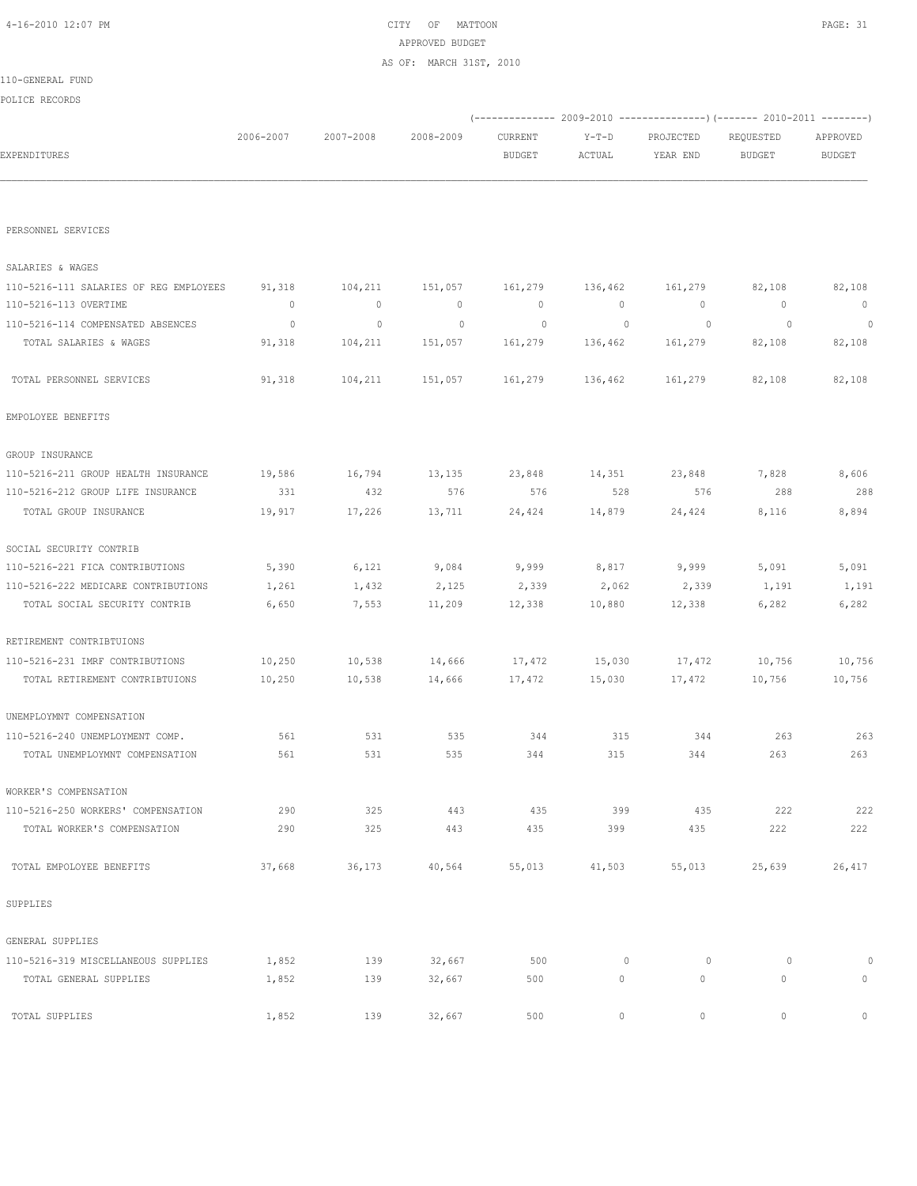# 4-16-2010 12:07 PM CITY OF MATTOON PAGE: 31 APPROVED BUDGET AS OF: MARCH 31ST, 2010

|                                        |                |             |                |                          |                          |                       | (-------------- 2009-2010 ---------------) (------- 2010-2011 --------) |                           |
|----------------------------------------|----------------|-------------|----------------|--------------------------|--------------------------|-----------------------|-------------------------------------------------------------------------|---------------------------|
| EXPENDITURES                           | 2006-2007      | 2007-2008   | 2008-2009      | CURRENT<br><b>BUDGET</b> | $Y-T-D$<br>ACTUAL        | PROJECTED<br>YEAR END | REQUESTED<br>BUDGET                                                     | APPROVED<br><b>BUDGET</b> |
|                                        |                |             |                |                          |                          |                       |                                                                         |                           |
| PERSONNEL SERVICES                     |                |             |                |                          |                          |                       |                                                                         |                           |
| SALARIES & WAGES                       |                |             |                |                          |                          |                       |                                                                         |                           |
| 110-5216-111 SALARIES OF REG EMPLOYEES | 91,318         | 104,211     | 151,057        | 161,279                  | 136,462                  | 161,279               | 82,108                                                                  | 82,108                    |
| 110-5216-113 OVERTIME                  | $\overline{0}$ | $\circ$     | $\circ$        | 0                        | $\overline{\phantom{0}}$ | $\circ$               | $\circ$                                                                 | $\overline{0}$            |
| 110-5216-114 COMPENSATED ABSENCES      | $\sim$ 0       | $\mathbf 0$ | $\overline{0}$ | 0                        | $\overline{0}$           | $\circ$               | $\circ$                                                                 | $\mathbf 0$               |
| TOTAL SALARIES & WAGES                 | 91,318         | 104,211     | 151,057        | 161,279                  | 136,462                  | 161,279               | 82,108                                                                  | 82,108                    |
| TOTAL PERSONNEL SERVICES               | 91,318         | 104,211     | 151,057        | 161,279                  | 136,462                  | 161,279               | 82,108                                                                  | 82,108                    |
| EMPOLOYEE BENEFITS                     |                |             |                |                          |                          |                       |                                                                         |                           |
| GROUP INSURANCE                        |                |             |                |                          |                          |                       |                                                                         |                           |
| 110-5216-211 GROUP HEALTH INSURANCE    | 19,586         | 16,794      | 13,135         | 23,848                   | 14,351                   | 23,848                | 7,828                                                                   | 8,606                     |
| 110-5216-212 GROUP LIFE INSURANCE      | 331            | 432         | 576            | 576                      | 528                      | 576                   | 288                                                                     | 288                       |
| TOTAL GROUP INSURANCE                  | 19,917         | 17,226      | 13,711         | 24,424                   | 14,879                   | 24,424                | 8,116                                                                   | 8,894                     |
| SOCIAL SECURITY CONTRIB                |                |             |                |                          |                          |                       |                                                                         |                           |
| 110-5216-221 FICA CONTRIBUTIONS        | 5,390          | 6,121       | 9,084          | 9,999                    | 8,817                    | 9,999                 | 5,091                                                                   | 5,091                     |
| 110-5216-222 MEDICARE CONTRIBUTIONS    | 1,261          | 1,432       | 2,125          | 2,339                    | 2,062                    | 2,339                 | 1,191                                                                   | 1,191                     |
| TOTAL SOCIAL SECURITY CONTRIB          | 6,650          | 7,553       | 11,209         | 12,338                   | 10,880                   | 12,338                | 6,282                                                                   | 6,282                     |
| RETIREMENT CONTRIBTUIONS               |                |             |                |                          |                          |                       |                                                                         |                           |
| 110-5216-231 IMRF CONTRIBUTIONS        | 10,250         | 10,538      | 14,666         | 17,472                   | 15,030                   | 17,472                | 10,756                                                                  | 10,756                    |
| TOTAL RETIREMENT CONTRIBTUIONS         | 10,250         | 10,538      | 14,666         | 17,472                   | 15,030                   | 17,472                | 10,756                                                                  | 10,756                    |
| UNEMPLOYMNT COMPENSATION               |                |             |                |                          |                          |                       |                                                                         |                           |
| 110-5216-240 UNEMPLOYMENT COMP.        | 561            | 531         | 535            | 344                      | 315                      | 344                   | 263                                                                     | 263                       |
| TOTAL UNEMPLOYMNT COMPENSATION         | 561            | 531         | 535            | 344                      | 315                      | 344                   | 263                                                                     | 263                       |
| WORKER'S COMPENSATION                  |                |             |                |                          |                          |                       |                                                                         |                           |
| 110-5216-250 WORKERS' COMPENSATION     | 290            | 325         | 443            | 435                      | 399                      | 435                   | 222                                                                     | 222                       |
| TOTAL WORKER'S COMPENSATION            | 290            | 325         | 443            | 435                      | 399                      | 435                   | 222                                                                     | 222                       |
| TOTAL EMPOLOYEE BENEFITS               | 37,668         | 36,173      | 40,564         | 55,013                   | 41,503                   | 55,013                | 25,639                                                                  | 26,417                    |
| SUPPLIES                               |                |             |                |                          |                          |                       |                                                                         |                           |
| GENERAL SUPPLIES                       |                |             |                |                          |                          |                       |                                                                         |                           |
| 110-5216-319 MISCELLANEOUS SUPPLIES    | 1,852          | 139         | 32,667         | 500                      | $\circ$                  | $\circ$               | $\mathbb O$                                                             | $\circ$                   |
| TOTAL GENERAL SUPPLIES                 | 1,852          | 139         | 32,667         | 500                      | 0                        | 0                     | $\mathsf{O}$                                                            | 0                         |
| TOTAL SUPPLIES                         | 1,852          | 139         | 32,667         | 500                      | 0                        | 0                     | 0                                                                       | $\circ$                   |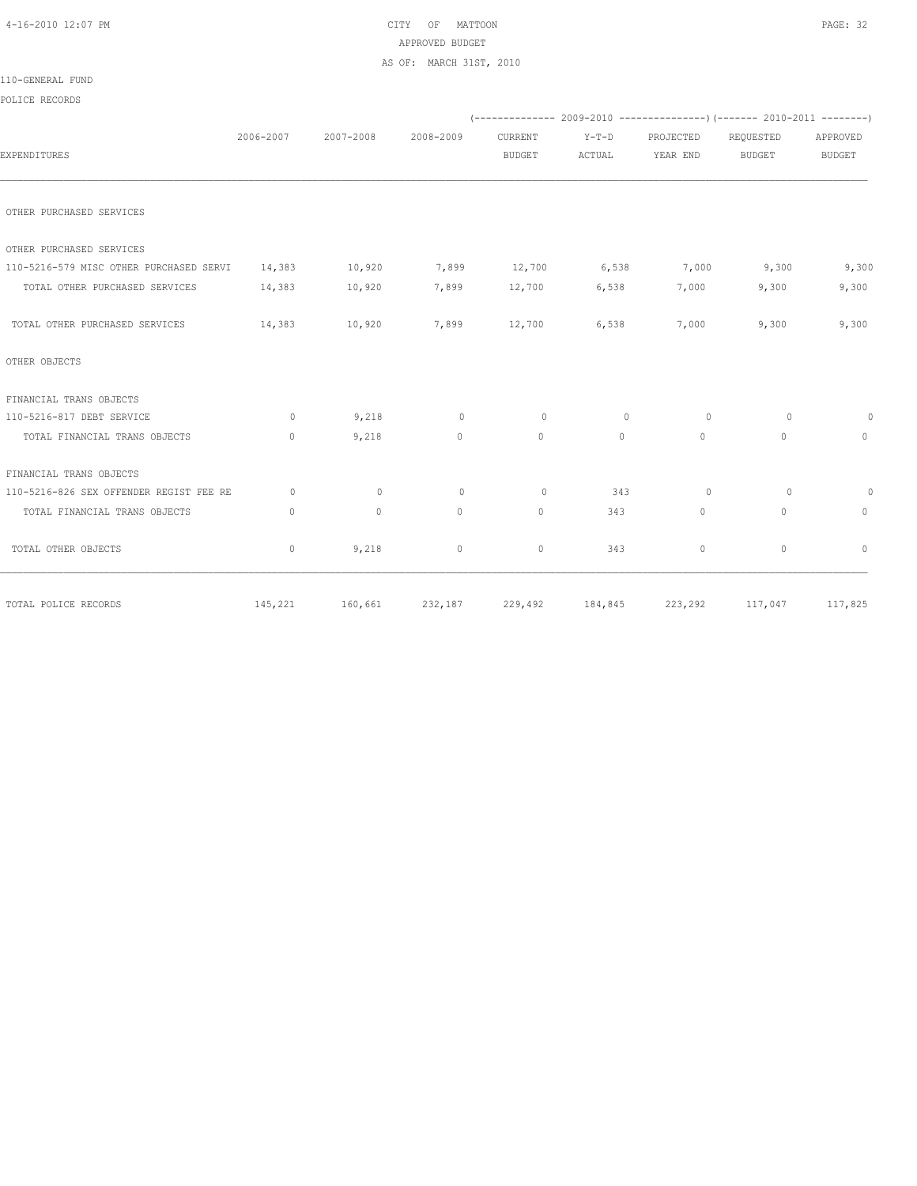# 4-16-2010 12:07 PM CITY OF MATTOON PAGE: 32 APPROVED BUDGET AS OF: MARCH 31ST, 2010

### 110-GENERAL FUND

POLICE RECORDS

|                                                |              |                 |                                         |               |          |              | (-------------- 2009-2010 ----------------)(------- 2010-2011 --------) |                 |
|------------------------------------------------|--------------|-----------------|-----------------------------------------|---------------|----------|--------------|-------------------------------------------------------------------------|-----------------|
|                                                | 2006-2007    | 2007-2008       | 2008-2009                               | CURRENT       | $Y-T-D$  | PROJECTED    | REQUESTED                                                               | APPROVED        |
| EXPENDITURES                                   |              |                 |                                         | <b>BUDGET</b> | ACTUAL   | YEAR END     | <b>BUDGET</b>                                                           | <b>BUDGET</b>   |
|                                                |              |                 |                                         |               |          |              |                                                                         |                 |
| OTHER PURCHASED SERVICES                       |              |                 |                                         |               |          |              |                                                                         |                 |
| OTHER PURCHASED SERVICES                       |              |                 |                                         |               |          |              |                                                                         |                 |
| 110-5216-579 MISC OTHER PURCHASED SERVI 14,383 |              | 10,920          | 7,899                                   | 12,700        | 6,538    | 7,000        | 9,300                                                                   | 9,300           |
| TOTAL OTHER PURCHASED SERVICES                 | 14,383       | 10,920          | 7,899                                   | 12,700        | 6,538    | 7,000        | 9,300                                                                   | 9,300           |
| TOTAL OTHER PURCHASED SERVICES                 | 14,383       | 10,920          | 7,899                                   | 12,700        | 6,538    | 7,000        | 9,300                                                                   | 9,300           |
| OTHER OBJECTS                                  |              |                 |                                         |               |          |              |                                                                         |                 |
| FINANCIAL TRANS OBJECTS                        |              |                 |                                         |               |          |              |                                                                         |                 |
| 110-5216-817 DEBT SERVICE                      | $\Omega$     | 9,218           | $\circ$                                 | $\circ$       | $\Omega$ | $\Omega$     | $\Omega$                                                                | 0               |
| TOTAL FINANCIAL TRANS OBJECTS                  | $\Omega$     | 9,218           | $\circ$                                 | $\circ$       | $\circ$  | $\mathbf{0}$ | $\Omega$                                                                | $\Omega$        |
| FINANCIAL TRANS OBJECTS                        |              |                 |                                         |               |          |              |                                                                         |                 |
| 110-5216-826 SEX OFFENDER REGIST FEE RE        | $\Omega$     | $\Omega$        | $\Omega$                                | $\Omega$      | 343      | $\Omega$     | $\Omega$                                                                | 0               |
| TOTAL FINANCIAL TRANS OBJECTS                  | $\mathbf{0}$ | $\circ$         | $\mathbf{0}$                            | $\circ$       | 343      | 0            | $\circ$                                                                 | $\mathbf{0}$    |
| TOTAL OTHER OBJECTS                            | $\circ$      | 9,218           | $\circ$                                 | $\circ$       | 343      | $\circ$      | $\circ$                                                                 | $\circ$         |
| TOTAL POLICE RECORDS                           |              | 145,221 160,661 | $232,187$ $229,492$ $184,845$ $223,292$ |               |          |              |                                                                         | 117,047 117,825 |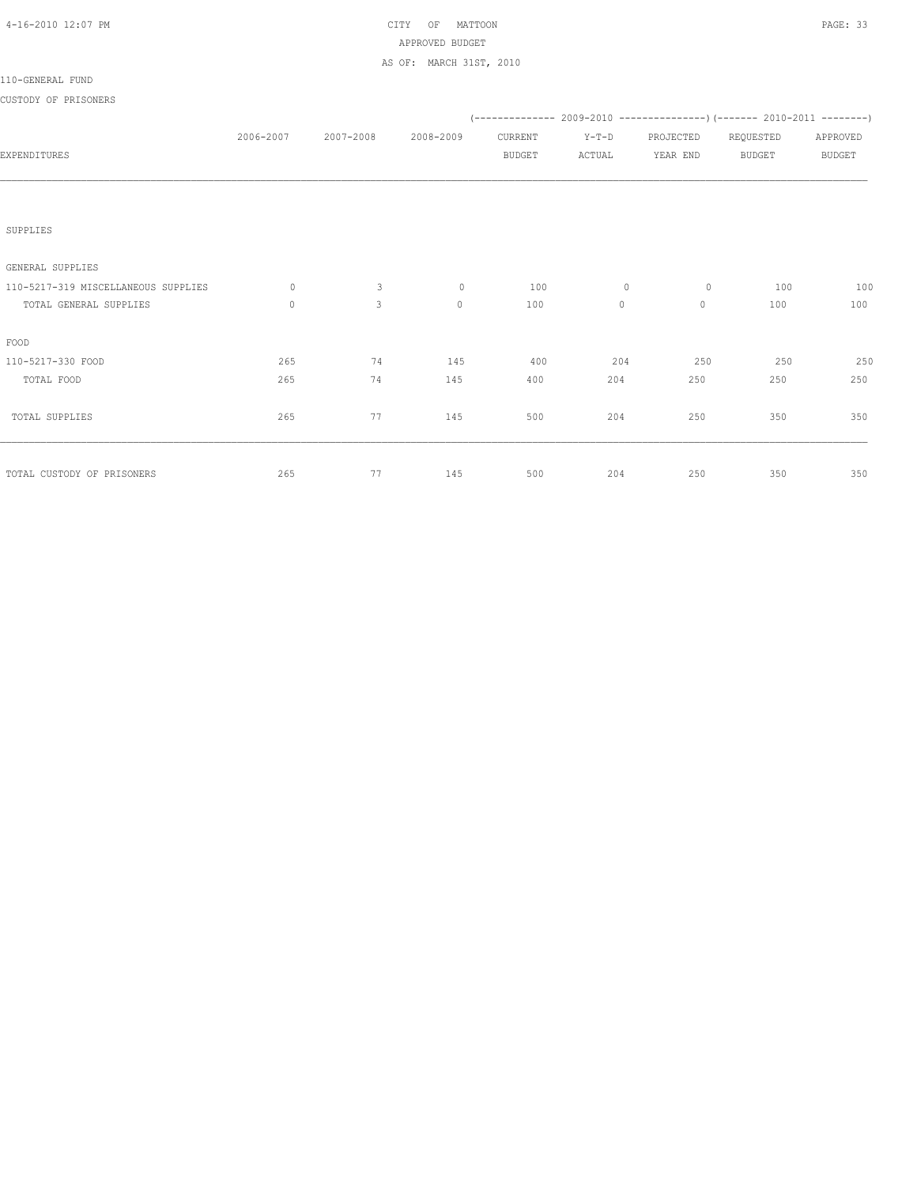# 4-16-2010 12:07 PM CITY OF MATTOON PAGE: 33 APPROVED BUDGET AS OF: MARCH 31ST, 2010

#### 110-GENERAL FUND

CUSTODY OF PRISONERS

|                                     |              |           |           |               |         | (-------------- 2009-2010 ----------------) (------- 2010-2011 ---------) |               |               |
|-------------------------------------|--------------|-----------|-----------|---------------|---------|---------------------------------------------------------------------------|---------------|---------------|
|                                     | 2006-2007    | 2007-2008 | 2008-2009 | CURRENT       | $Y-T-D$ | PROJECTED                                                                 | REQUESTED     | APPROVED      |
| EXPENDITURES                        |              |           |           | <b>BUDGET</b> | ACTUAL  | YEAR END                                                                  | <b>BUDGET</b> | <b>BUDGET</b> |
|                                     |              |           |           |               |         |                                                                           |               |               |
|                                     |              |           |           |               |         |                                                                           |               |               |
| SUPPLIES                            |              |           |           |               |         |                                                                           |               |               |
| GENERAL SUPPLIES                    |              |           |           |               |         |                                                                           |               |               |
| 110-5217-319 MISCELLANEOUS SUPPLIES | $\circ$      | $3 -$     | $\circ$   | 100           |         | $\circ$<br>$\circ$                                                        | 100           | 100           |
| TOTAL GENERAL SUPPLIES              | $\mathbf{0}$ | 3         | $\circ$   | 100           | $\circ$ | $\circ$                                                                   | 100           | 100           |
| FOOD                                |              |           |           |               |         |                                                                           |               |               |
| 110-5217-330 FOOD                   | 265          | 74        | 145       | 400           | 204     | 250                                                                       | 250           | 250           |
| TOTAL FOOD                          | 265          | 74        | 145       | 400           | 204     | 250                                                                       | 250           | 250           |
| TOTAL SUPPLIES                      | 265          | 77        | 145       | 500           | 204     | 250                                                                       | 350           | 350           |
| TOTAL CUSTODY OF PRISONERS          | 265          | 77        | 145       | 500           | 204     | 250                                                                       | 350           | 350           |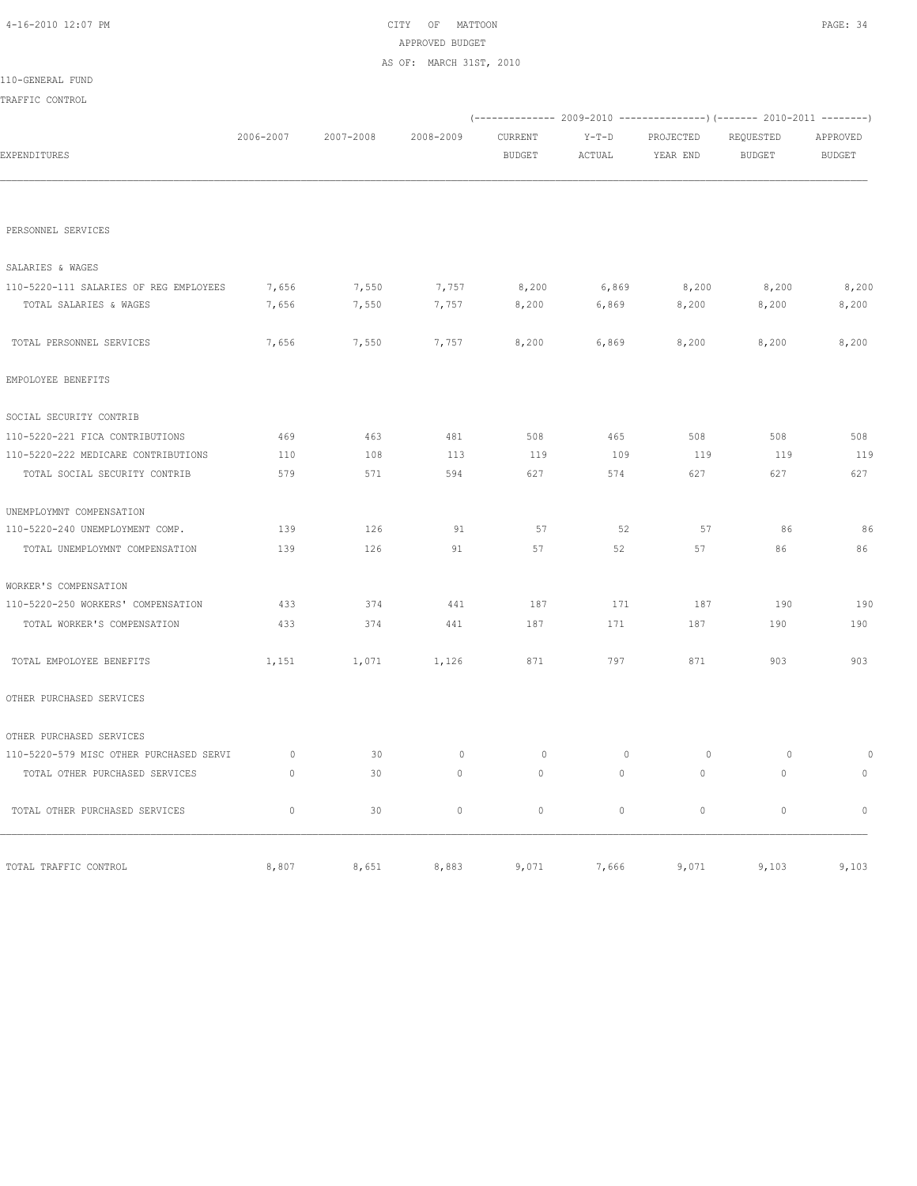# 4-16-2010 12:07 PM CITY OF MATTOON PAGE: 34 APPROVED BUDGET AS OF: MARCH 31ST, 2010

|                                         |           |           |              |                          |                   |                       | (-------------- 2009-2010 ----------------) (------- 2010-2011 --------) |                           |
|-----------------------------------------|-----------|-----------|--------------|--------------------------|-------------------|-----------------------|--------------------------------------------------------------------------|---------------------------|
| EXPENDITURES                            | 2006-2007 | 2007-2008 | 2008-2009    | CURRENT<br><b>BUDGET</b> | $Y-T-D$<br>ACTUAL | PROJECTED<br>YEAR END | REQUESTED<br><b>BUDGET</b>                                               | APPROVED<br><b>BUDGET</b> |
|                                         |           |           |              |                          |                   |                       |                                                                          |                           |
| PERSONNEL SERVICES                      |           |           |              |                          |                   |                       |                                                                          |                           |
| SALARIES & WAGES                        |           |           |              |                          |                   |                       |                                                                          |                           |
| 110-5220-111 SALARIES OF REG EMPLOYEES  | 7,656     | 7,550     | 7,757        | 8,200                    | 6,869             | 8,200                 | 8,200                                                                    | 8,200                     |
| TOTAL SALARIES & WAGES                  | 7,656     | 7,550     | 7,757        | 8,200                    | 6,869             | 8,200                 | 8,200                                                                    | 8,200                     |
| TOTAL PERSONNEL SERVICES                | 7,656     | 7,550     | 7,757        | 8,200                    | 6,869             | 8,200                 | 8,200                                                                    | 8,200                     |
| EMPOLOYEE BENEFITS                      |           |           |              |                          |                   |                       |                                                                          |                           |
| SOCIAL SECURITY CONTRIB                 |           |           |              |                          |                   |                       |                                                                          |                           |
| 110-5220-221 FICA CONTRIBUTIONS         | 469       | 463       | 481          | 508                      | 465               | 508                   | 508                                                                      | 508                       |
| 110-5220-222 MEDICARE CONTRIBUTIONS     | 110       | 108       | 113          | 119                      | 109               | 119                   | 119                                                                      | 119                       |
| TOTAL SOCIAL SECURITY CONTRIB           | 579       | 571       | 594          | 627                      | 574               | 627                   | 627                                                                      | 627                       |
| UNEMPLOYMNT COMPENSATION                |           |           |              |                          |                   |                       |                                                                          |                           |
| 110-5220-240 UNEMPLOYMENT COMP.         | 139       | 126       | 91           | 57                       | 52                | 57                    | 86                                                                       | 86                        |
| TOTAL UNEMPLOYMNT COMPENSATION          | 139       | 126       | 91           | 57                       | 52                | 57                    | 86                                                                       | 86                        |
| WORKER'S COMPENSATION                   |           |           |              |                          |                   |                       |                                                                          |                           |
| 110-5220-250 WORKERS' COMPENSATION      | 433       | 374       | 441          | 187                      | 171               | 187                   | 190                                                                      | 190                       |
| TOTAL WORKER'S COMPENSATION             | 433       | 374       | 441          | 187                      | 171               | 187                   | 190                                                                      | 190                       |
| TOTAL EMPOLOYEE BENEFITS                | 1,151     | 1,071     | 1,126        | 871                      | 797               | 871                   | 903                                                                      | 903                       |
| OTHER PURCHASED SERVICES                |           |           |              |                          |                   |                       |                                                                          |                           |
| OTHER PURCHASED SERVICES                |           |           |              |                          |                   |                       |                                                                          |                           |
| 110-5220-579 MISC OTHER PURCHASED SERVI | 0         | 30        | $\mathbb O$  | $\circ$                  | $\mathbf{0}$      | $\mathbf{0}$          | $\mathbf{0}$                                                             | 0                         |
| TOTAL OTHER PURCHASED SERVICES          | $\Omega$  | 30        | $\circ$      | $\Omega$                 | $\circ$           | $\circ$               | $\circ$                                                                  | 0                         |
| TOTAL OTHER PURCHASED SERVICES          | 0         | 30        | $\mathbf{0}$ | $\circ$                  | $\circ$           | $\circ$               | $\circ$                                                                  | $\circ$                   |
| TOTAL TRAFFIC CONTROL                   | 8,807     | 8,651     | 8,883        | 9,071                    | 7,666             | 9,071                 | 9,103                                                                    | 9,103                     |
|                                         |           |           |              |                          |                   |                       |                                                                          |                           |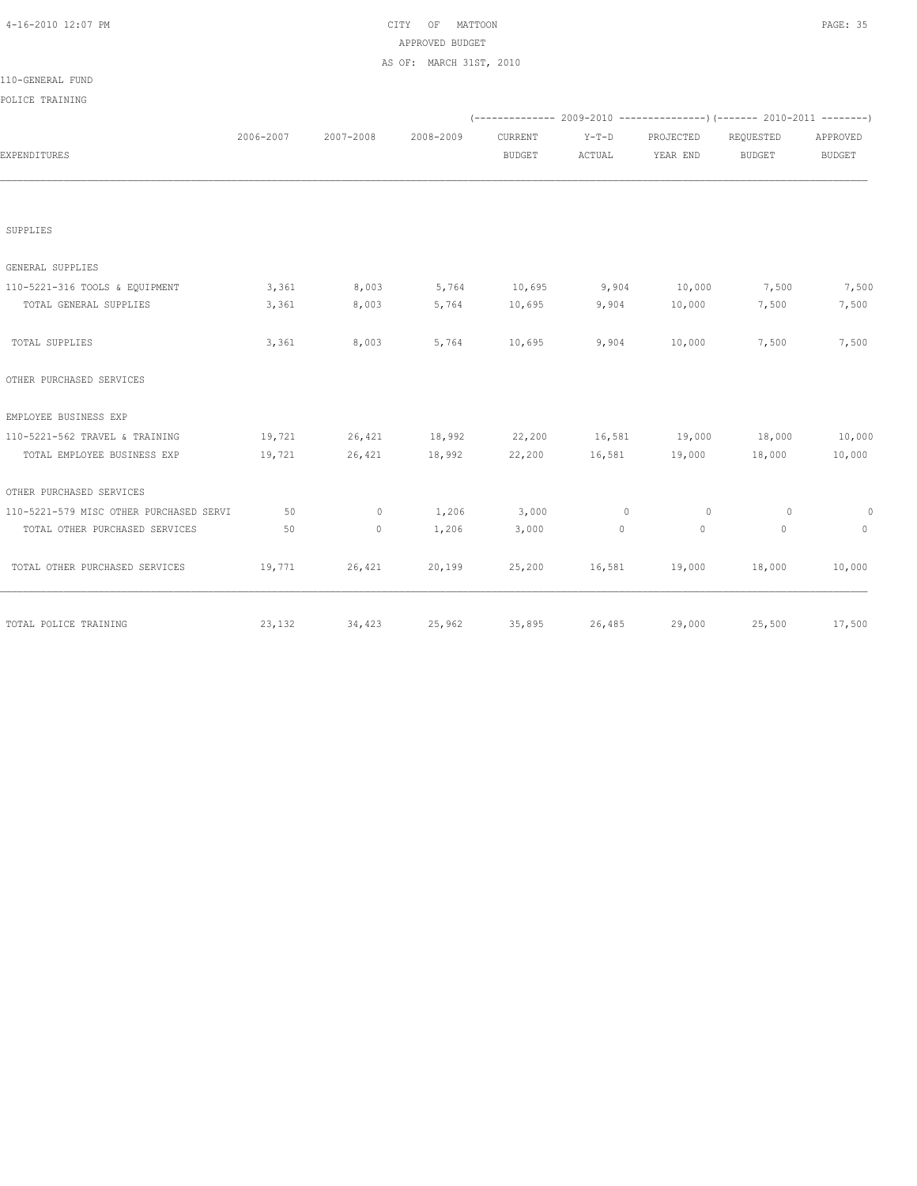# 4-16-2010 12:07 PM CITY OF MATTOON PAGE: 35 APPROVED BUDGET AS OF: MARCH 31ST, 2010

|                                         |           |                                                                |           |               |          |                      | (-------------- 2009-2010 ----------------)(------- 2010-2011 --------) |               |
|-----------------------------------------|-----------|----------------------------------------------------------------|-----------|---------------|----------|----------------------|-------------------------------------------------------------------------|---------------|
|                                         | 2006-2007 | 2007-2008                                                      | 2008-2009 | CURRENT       | $Y-T-D$  | PROJECTED            | REQUESTED                                                               | APPROVED      |
| EXPENDITURES                            |           |                                                                |           | <b>BUDGET</b> | ACTUAL   | YEAR END             | <b>BUDGET</b>                                                           | <b>BUDGET</b> |
|                                         |           |                                                                |           |               |          |                      |                                                                         |               |
| SUPPLIES                                |           |                                                                |           |               |          |                      |                                                                         |               |
| GENERAL SUPPLIES                        |           |                                                                |           |               |          |                      |                                                                         |               |
| 110-5221-316 TOOLS & EQUIPMENT          | 3,361     | 8,003                                                          | 5,764     | 10,695        | 9,904    | 10,000               | 7,500                                                                   | 7,500         |
| TOTAL GENERAL SUPPLIES                  | 3,361     | 8,003                                                          | 5,764     | 10,695        | 9,904    | 10,000               | 7,500                                                                   | 7,500         |
| TOTAL SUPPLIES                          | 3,361     | 8,003                                                          | 5,764     | 10,695        | 9,904    | 10,000               | 7,500                                                                   | 7,500         |
| OTHER PURCHASED SERVICES                |           |                                                                |           |               |          |                      |                                                                         |               |
| EMPLOYEE BUSINESS EXP                   |           |                                                                |           |               |          |                      |                                                                         |               |
| 110-5221-562 TRAVEL & TRAINING          |           | $19,721$ $26,421$ $18,992$ $22,200$ $16,581$ $19,000$ $18,000$ |           |               |          |                      |                                                                         | 10,000        |
| TOTAL EMPLOYEE BUSINESS EXP             | 19,721    | 26,421                                                         | 18,992    | 22,200        |          | 16,581 19,000        | 18,000                                                                  | 10,000        |
| OTHER PURCHASED SERVICES                |           |                                                                |           |               |          |                      |                                                                         |               |
| 110-5221-579 MISC OTHER PURCHASED SERVI | 50        | $\circ$                                                        | 1,206     | 3,000         | $\sim$ 0 | $\overline{0}$       | $\overline{0}$                                                          | $\mathbf 0$   |
| TOTAL OTHER PURCHASED SERVICES          | 50        | $\circ$                                                        | 1,206     | 3,000         | $\circ$  | $\circ$              | $\mathbf{0}$                                                            | $\mathbf{0}$  |
| TOTAL OTHER PURCHASED SERVICES          | 19,771    | 26,421                                                         | 20,199    |               |          | 25,200 16,581 19,000 | 18,000                                                                  | 10,000        |
| TOTAL POLICE TRAINING                   | 23,132    | 34,423                                                         | 25,962    | 35,895        | 26,485   | 29,000               | 25,500                                                                  | 17,500        |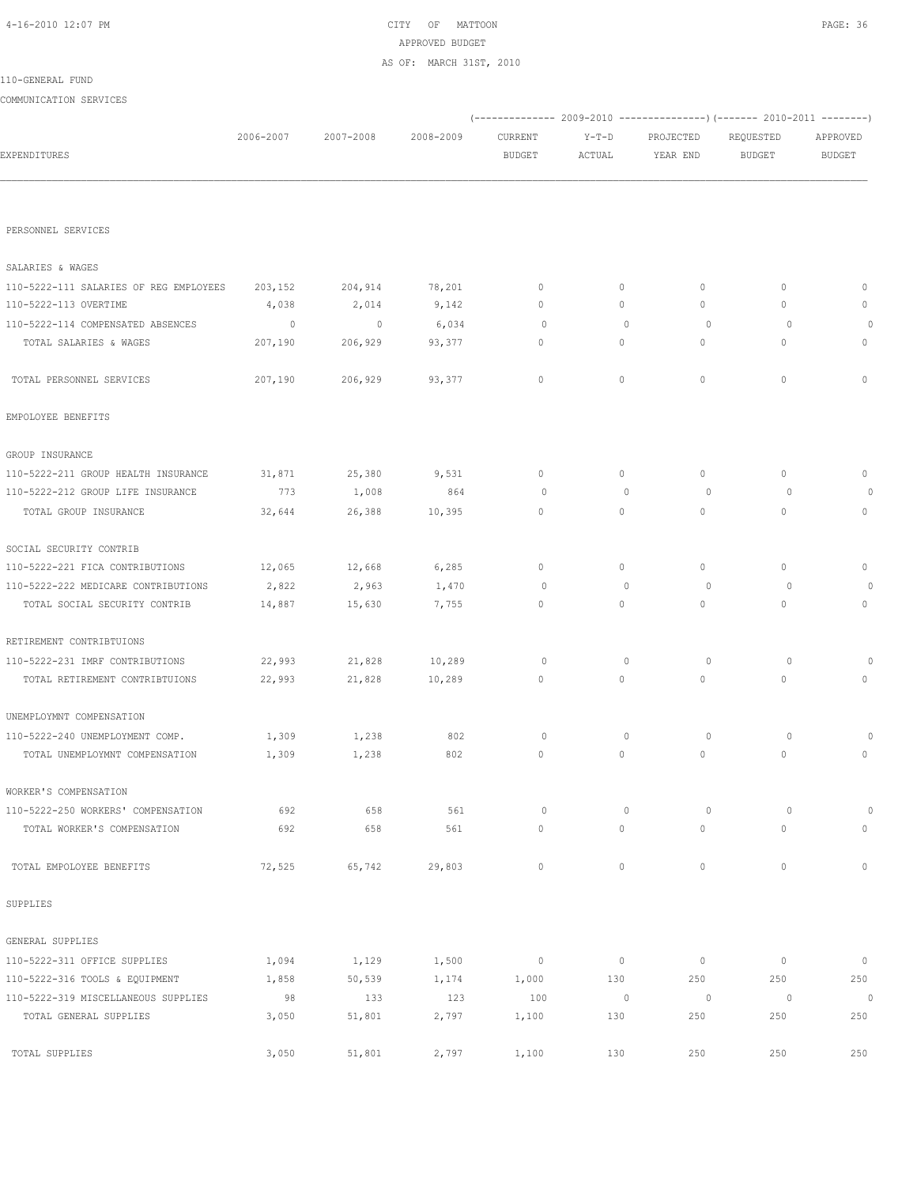# 4-16-2010 12:07 PM CITY OF MATTOON PAGE: 36 APPROVED BUDGET AS OF: MARCH 31ST, 2010

| EXPENDITURES                           | 2006-2007      | 2007-2008      | 2008-2009 | CURRENT<br><b>BUDGET</b> | $Y-T-D$<br>ACTUAL | PROJECTED<br>YEAR END | REQUESTED<br><b>BUDGET</b> | APPROVED<br><b>BUDGET</b> |
|----------------------------------------|----------------|----------------|-----------|--------------------------|-------------------|-----------------------|----------------------------|---------------------------|
|                                        |                |                |           |                          |                   |                       |                            |                           |
| PERSONNEL SERVICES                     |                |                |           |                          |                   |                       |                            |                           |
| SALARIES & WAGES                       |                |                |           |                          |                   |                       |                            |                           |
| 110-5222-111 SALARIES OF REG EMPLOYEES | 203,152        | 204,914        | 78,201    | $\mathbf 0$              | 0                 | 0                     | $\mathbf{0}$               | $\mathbf{0}$              |
| 110-5222-113 OVERTIME                  | 4,038          | 2,014          | 9,142     | $\mathbf{0}$             | 0                 | $\circ$               | $\mathbf{0}$               | $\mathbf 0$               |
| 110-5222-114 COMPENSATED ABSENCES      | $\overline{0}$ | $\overline{0}$ | 6,034     | $\circ$                  | 0                 | $\circ$               | $\mathbf{0}$               | $\mathbb{O}$              |
| TOTAL SALARIES & WAGES                 | 207,190        | 206,929        | 93,377    | $\mathbf 0$              | 0                 | $\circ$               | $\mathbf{0}$               | $\mathbf{0}$              |
| TOTAL PERSONNEL SERVICES               | 207,190        | 206,929        | 93,377    | $\mathbf{0}$             | $\circ$           | $\circ$               | $\circ$                    | $\mathbf{0}$              |
| EMPOLOYEE BENEFITS                     |                |                |           |                          |                   |                       |                            |                           |
| GROUP INSURANCE                        |                |                |           |                          |                   |                       |                            |                           |
| 110-5222-211 GROUP HEALTH INSURANCE    | 31,871         | 25,380         | 9,531     | 0                        | 0                 | $\circ$               | $\mathbf{0}$               | 0                         |
| 110-5222-212 GROUP LIFE INSURANCE      | 773            | 1,008          | 864       | 0                        | 0                 | $\mathbf{0}$          | $\mathbf{0}$               | $\mathbf 0$               |
| TOTAL GROUP INSURANCE                  | 32,644         | 26,388         | 10,395    | $\mathbf{0}$             | $\circ$           | $\circ$               | $\mathbf{0}$               | $\circ$                   |
| SOCIAL SECURITY CONTRIB                |                |                |           |                          |                   |                       |                            |                           |
| 110-5222-221 FICA CONTRIBUTIONS        | 12,065         | 12,668         | 6,285     | $\mathbf 0$              | $\circ$           | $\circ$               | $\mathbf{0}$               | $\mathbf 0$               |
| 110-5222-222 MEDICARE CONTRIBUTIONS    | 2,822          | 2,963          | 1,470     | 0                        | $\mathbf{0}$      | $\mathbf{0}$          | $\mathbf{0}$               | $\mathbf 0$               |
| TOTAL SOCIAL SECURITY CONTRIB          | 14,887         | 15,630         | 7,755     | $\mathbf{0}$             | $\circ$           | $\mathbf{0}$          | $\mathbf{0}$               | $\mathbf{0}$              |
| RETIREMENT CONTRIBTUIONS               |                |                |           |                          |                   |                       |                            |                           |
| 110-5222-231 IMRF CONTRIBUTIONS        | 22,993         | 21,828         | 10,289    | $\circ$                  | 0                 | $\circ$               | $\mathbf 0$                | $\circ$                   |
| TOTAL RETIREMENT CONTRIBTUIONS         | 22,993         | 21,828         | 10,289    | $\circ$                  | 0                 | $\circ$               | $\mathbf{0}$               | $\mathbf{0}$              |
| UNEMPLOYMNT COMPENSATION               |                |                |           |                          |                   |                       |                            |                           |
| 110-5222-240 UNEMPLOYMENT COMP.        | 1,309          | 1,238          | 802       | $\circ$                  | 0                 | $\circ$               | $\mathbf{0}$               | 0                         |
| TOTAL UNEMPLOYMNT COMPENSATION         | 1,309          | 1,238          | 802       | 0                        | 0                 | $\circ$               | $\mathbf{0}$               | $\mathbf{0}$              |
| WORKER'S COMPENSATION                  |                |                |           |                          |                   |                       |                            |                           |
| 110-5222-250 WORKERS' COMPENSATION     | 692            | 658            | 561       | $\circ$                  | $\circ$           | $\circ$               | $\circ$                    | $\mathbb O$               |
| TOTAL WORKER'S COMPENSATION            | 692            | 658            | 561       | $\circ$                  | 0                 | 0                     | $\mathbb O$                | $\circ$                   |
| TOTAL EMPOLOYEE BENEFITS               | 72,525         | 65,742         | 29,803    | $\mathbb O$              | $\circ$           | $\mathbb O$           | $\circ$                    | $\mathbb O$               |
| SUPPLIES                               |                |                |           |                          |                   |                       |                            |                           |
| GENERAL SUPPLIES                       |                |                |           |                          |                   |                       |                            |                           |
| 110-5222-311 OFFICE SUPPLIES           | 1,094          | 1,129          | 1,500     | $\mathbf 0$              | $\circ$           | $\circ$               | $\circ$                    | $\circ$                   |
| 110-5222-316 TOOLS & EQUIPMENT         | 1,858          | 50,539         | 1,174     | 1,000                    | 130               | 250                   | 250                        | 250                       |
| 110-5222-319 MISCELLANEOUS SUPPLIES    | 98             | 133            | 123       | 100                      | $\circ$           | $\mathbb O$           | $\circ$                    | $\circ$                   |
| TOTAL GENERAL SUPPLIES                 | 3,050          | 51,801         | 2,797     | 1,100                    | 130               | 250                   | 250                        | 250                       |
| TOTAL SUPPLIES                         | 3,050          | 51,801         | 2,797     | 1,100                    | 130               | 250                   | 250                        | 250                       |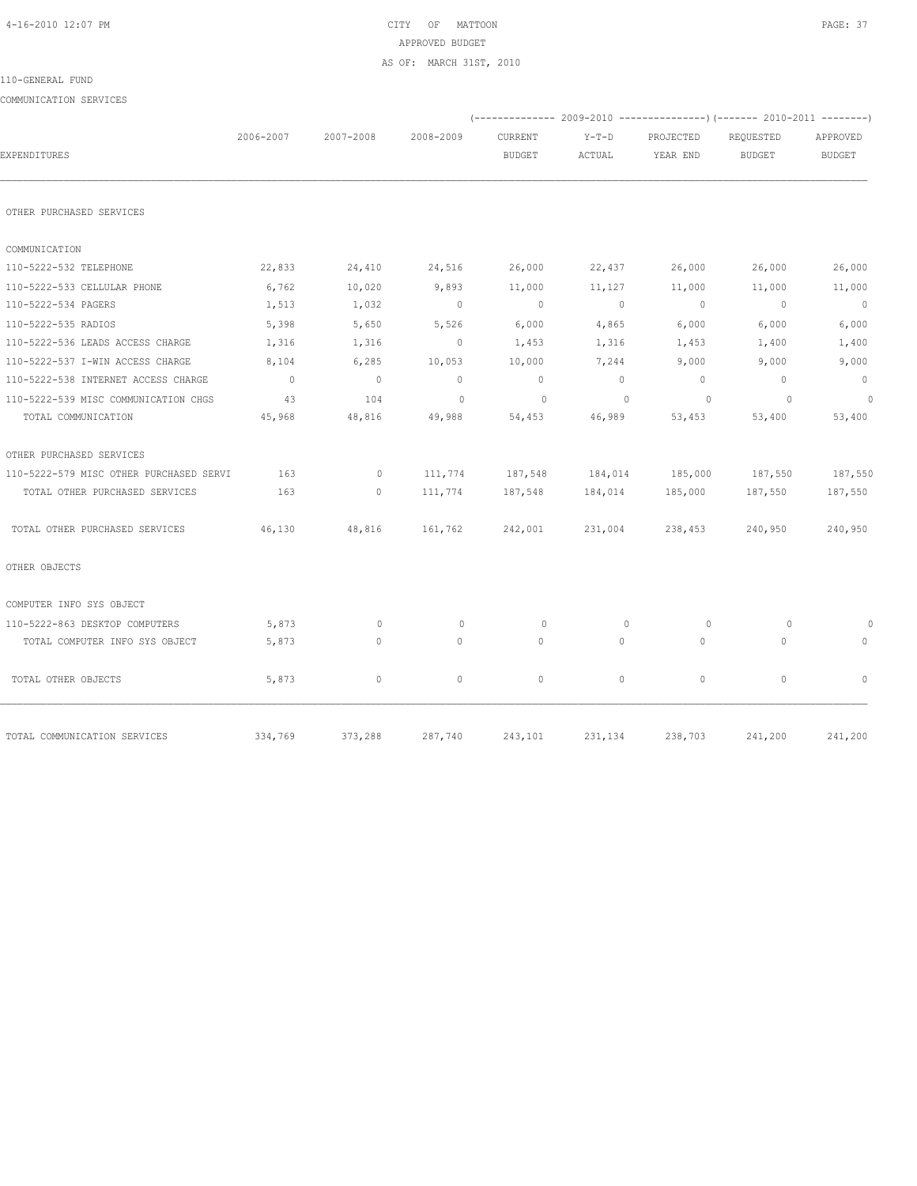## 4-16-2010 12:07 PM CITY OF MATTOON PAGE: 37 APPROVED BUDGET AS OF: MARCH 31ST, 2010

#### 110-GENERAL FUND

|                                         |                |                          |                          |                |                |                | (-------------- 2009-2010 -------------------) (------- 2010-2011 ---------) |                |
|-----------------------------------------|----------------|--------------------------|--------------------------|----------------|----------------|----------------|------------------------------------------------------------------------------|----------------|
|                                         | 2006-2007      | 2007-2008                | 2008-2009                | CURRENT        | $Y-T-D$        | PROJECTED      | REQUESTED                                                                    | APPROVED       |
| EXPENDITURES                            |                |                          |                          | <b>BUDGET</b>  | ACTUAL         | YEAR END       | <b>BUDGET</b>                                                                | <b>BUDGET</b>  |
|                                         |                |                          |                          |                |                |                |                                                                              |                |
| OTHER PURCHASED SERVICES                |                |                          |                          |                |                |                |                                                                              |                |
| COMMUNICATION                           |                |                          |                          |                |                |                |                                                                              |                |
| 110-5222-532 TELEPHONE                  | 22,833         | 24,410                   | 24,516                   | 26,000         | 22,437         | 26,000         | 26,000                                                                       | 26,000         |
| 110-5222-533 CELLULAR PHONE             | 6,762          | 10,020                   | 9,893                    | 11,000         | 11,127         | 11,000         | 11,000                                                                       | 11,000         |
| 110-5222-534 PAGERS                     | 1,513          | 1,032                    | $\overline{\phantom{0}}$ | $\sim$ 0       | $\sim$ 0       | $\sim$ 0       | $\sim$ 0                                                                     | $\overline{0}$ |
| 110-5222-535 RADIOS                     | 5,398          | 5,650                    | 5,526                    | 6,000          | 4,865          | 6,000          | 6,000                                                                        | 6,000          |
| 110-5222-536 LEADS ACCESS CHARGE        | 1,316          | 1,316                    | $\sim$ 0                 | 1,453          | 1,316          | 1,453          | 1,400                                                                        | 1,400          |
| 110-5222-537 I-WIN ACCESS CHARGE        | 8,104          | 6,285                    | 10,053                   | 10,000         | 7,244          | 9,000          | 9,000                                                                        | 9,000          |
| 110-5222-538 INTERNET ACCESS CHARGE     | $\overline{0}$ | $\overline{\phantom{0}}$ | $\overline{\phantom{0}}$ | $\overline{0}$ | $\overline{0}$ | $\overline{0}$ | $\overline{0}$                                                               | $\overline{0}$ |
| 110-5222-539 MISC COMMUNICATION CHGS    | 43             | 104                      | $\circ$                  | $\circ$        | $\mathbf 0$    | $\mathbf 0$    | $\overline{0}$                                                               | $\circ$        |
| TOTAL COMMUNICATION                     | 45,968         | 48,816                   | 49,988                   | 54,453         | 46,989         | 53,453         | 53,400                                                                       | 53,400         |
| OTHER PURCHASED SERVICES                |                |                          |                          |                |                |                |                                                                              |                |
| 110-5222-579 MISC OTHER PURCHASED SERVI | 163            | $\circ$                  | 111,774                  | 187,548        | 184,014        | 185,000        | 187,550                                                                      | 187,550        |
| TOTAL OTHER PURCHASED SERVICES          | 163            | $\circ$                  | 111,774                  | 187,548        | 184,014        | 185,000        | 187,550                                                                      | 187,550        |
| TOTAL OTHER PURCHASED SERVICES          | 46,130         | 48,816                   | 161,762                  | 242,001        | 231,004        | 238,453        | 240,950                                                                      | 240,950        |
| OTHER OBJECTS                           |                |                          |                          |                |                |                |                                                                              |                |
| COMPUTER INFO SYS OBJECT                |                |                          |                          |                |                |                |                                                                              |                |
| 110-5222-863 DESKTOP COMPUTERS          | 5,873          | $\circ$                  | $\circ$                  | $\circ$        | $\Omega$       | $\mathbf{0}$   | $\mathbf{0}$                                                                 | $\Omega$       |
| TOTAL COMPUTER INFO SYS OBJECT          | 5,873          | $\circ$                  | $\Omega$                 | $\mathbf{0}$   | $\circ$        | $\Omega$       | $\Omega$                                                                     | $\mathbf{0}$   |
| TOTAL OTHER OBJECTS                     | 5,873          | 0                        | $\circ$                  | $\circ$        | 0              | $\circ$        | $\mathbb O$                                                                  | $\circ$        |
| TOTAL COMMUNICATION SERVICES            | 334,769        | 373,288                  | 287,740                  | 243,101        | 231,134        | 238,703        | 241,200                                                                      | 241,200        |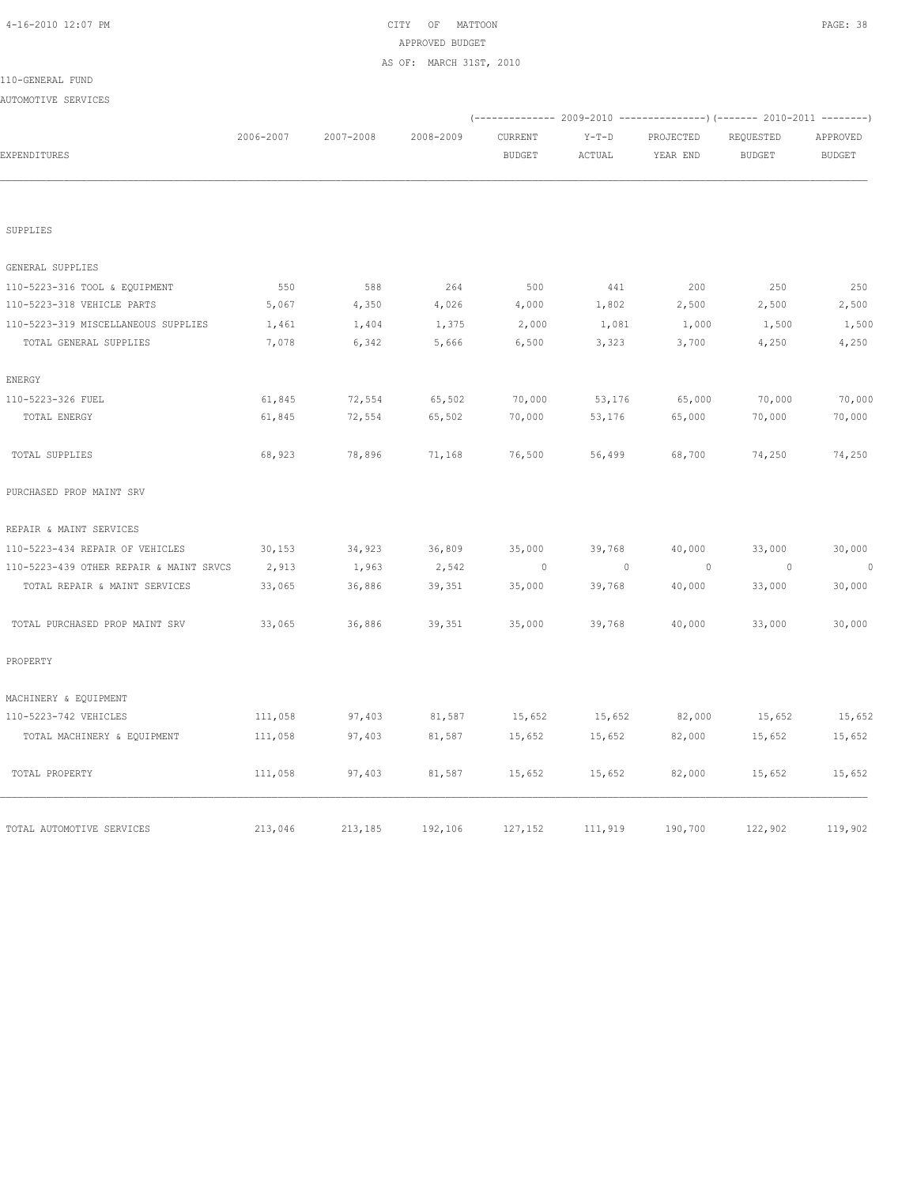## 4-16-2010 12:07 PM CITY OF MATTOON PAGE: 38 APPROVED BUDGET AS OF: MARCH 31ST, 2010

## 110-GENERAL FUND AUTOMOTIVE SERVICES

|                                         |           |           |           |               | 2009-2010                |           | ---------------) (------- 2010-2011 -------- |               |
|-----------------------------------------|-----------|-----------|-----------|---------------|--------------------------|-----------|----------------------------------------------|---------------|
|                                         | 2006-2007 | 2007-2008 | 2008-2009 | CURRENT       | $Y-T-D$                  | PROJECTED | REQUESTED                                    | APPROVED      |
| EXPENDITURES                            |           |           |           | <b>BUDGET</b> | ACTUAL                   | YEAR END  | <b>BUDGET</b>                                | <b>BUDGET</b> |
|                                         |           |           |           |               |                          |           |                                              |               |
| SUPPLIES                                |           |           |           |               |                          |           |                                              |               |
| GENERAL SUPPLIES                        |           |           |           |               |                          |           |                                              |               |
| 110-5223-316 TOOL & EQUIPMENT           | 550       | 588       | 264       | 500           | 441                      | 200       | 250                                          | 250           |
| 110-5223-318 VEHICLE PARTS              | 5,067     | 4,350     | 4,026     | 4,000         | 1,802                    | 2,500     | 2,500                                        | 2,500         |
| 110-5223-319 MISCELLANEOUS SUPPLIES     | 1,461     | 1,404     | 1,375     | 2,000         | 1,081                    | 1,000     | 1,500                                        | 1,500         |
| TOTAL GENERAL SUPPLIES                  | 7,078     | 6,342     | 5,666     | 6,500         | 3,323                    | 3,700     | 4,250                                        | 4,250         |
| ENERGY                                  |           |           |           |               |                          |           |                                              |               |
| 110-5223-326 FUEL                       | 61,845    | 72,554    | 65,502    | 70,000        | 53,176                   | 65,000    | 70,000                                       | 70,000        |
| TOTAL ENERGY                            | 61,845    | 72,554    | 65,502    | 70,000        | 53,176                   | 65,000    | 70,000                                       | 70,000        |
| TOTAL SUPPLIES                          | 68,923    | 78,896    | 71,168    | 76,500        | 56,499                   | 68,700    | 74,250                                       | 74,250        |
| PURCHASED PROP MAINT SRV                |           |           |           |               |                          |           |                                              |               |
| REPAIR & MAINT SERVICES                 |           |           |           |               |                          |           |                                              |               |
| 110-5223-434 REPAIR OF VEHICLES         | 30,153    | 34,923    | 36,809    | 35,000        | 39,768                   | 40,000    | 33,000                                       | 30,000        |
| 110-5223-439 OTHER REPAIR & MAINT SRVCS | 2,913     | 1,963     | 2,542     | $\circ$       | $\overline{\phantom{0}}$ | $\circ$   | $\overline{\phantom{0}}$                     | $\mathbf 0$   |
| TOTAL REPAIR & MAINT SERVICES           | 33,065    | 36,886    | 39,351    | 35,000        | 39,768                   | 40,000    | 33,000                                       | 30,000        |
| TOTAL PURCHASED PROP MAINT SRV          | 33,065    | 36,886    | 39,351    | 35,000        | 39,768                   | 40,000    | 33,000                                       | 30,000        |
| PROPERTY                                |           |           |           |               |                          |           |                                              |               |
| MACHINERY & EQUIPMENT                   |           |           |           |               |                          |           |                                              |               |
| 110-5223-742 VEHICLES                   | 111,058   | 97,403    | 81,587    | 15,652        | 15,652                   | 82,000    | 15,652                                       | 15,652        |
| TOTAL MACHINERY & EQUIPMENT             | 111,058   | 97,403    | 81,587    | 15,652        | 15,652                   | 82,000    | 15,652                                       | 15,652        |
| TOTAL PROPERTY                          | 111,058   | 97,403    | 81,587    | 15,652        | 15,652                   | 82,000    | 15,652                                       | 15,652        |
| TOTAL AUTOMOTIVE SERVICES               | 213,046   | 213,185   | 192,106   | 127,152       | 111,919                  | 190,700   | 122,902                                      | 119,902       |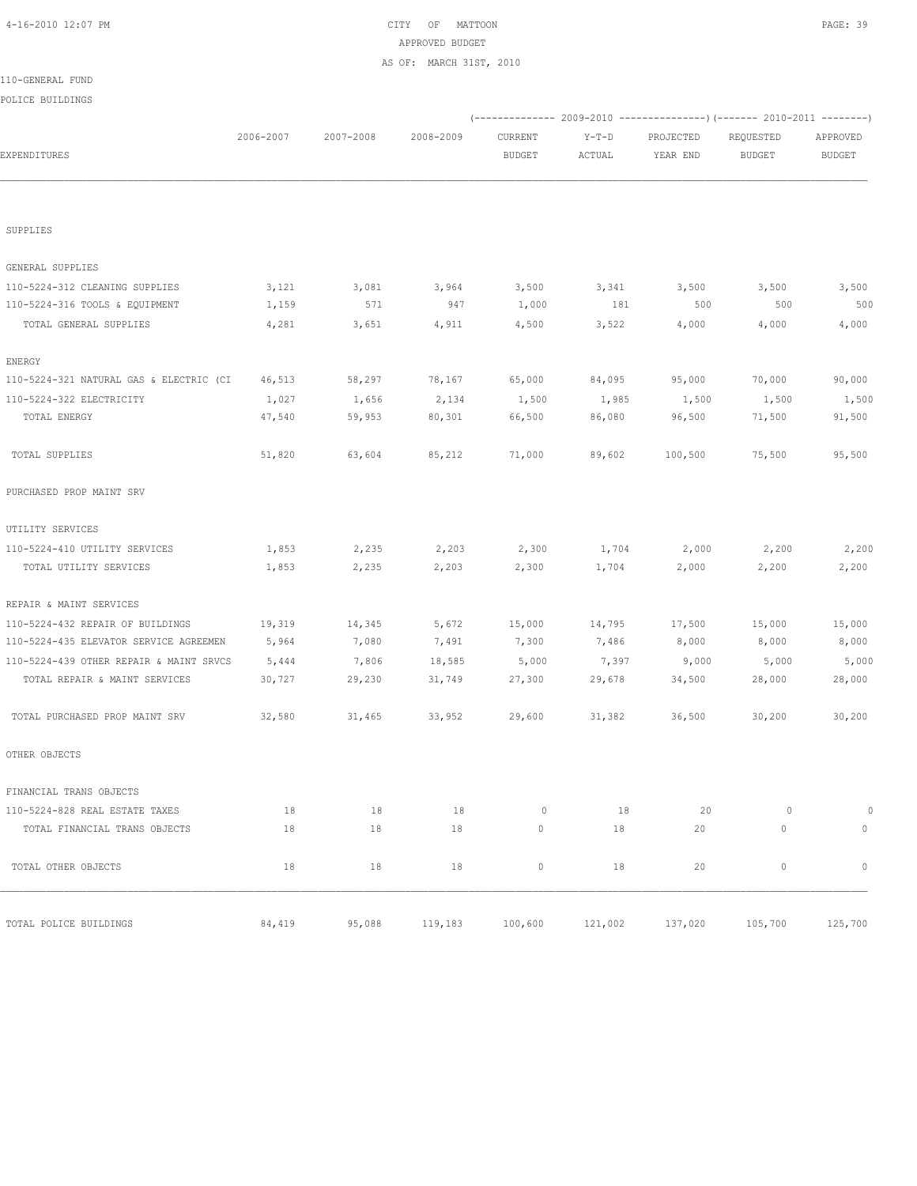## 4-16-2010 12:07 PM CITY OF MATTOON PAGE: 39 APPROVED BUDGET AS OF: MARCH 31ST, 2010

## 110-GENERAL FUND POLICE BUILDINGS

| EXPENDITURES                            | 2006-2007 | 2007-2008 | 2008-2009 | CURRENT<br><b>BUDGET</b> | $Y-T-D$<br>ACTUAL | PROJECTED<br>YEAR END | (-------------- 2009-2010 ----------------) (------- 2010-2011 --------<br>REQUESTED<br><b>BUDGET</b> | APPROVED<br><b>BUDGET</b> |
|-----------------------------------------|-----------|-----------|-----------|--------------------------|-------------------|-----------------------|-------------------------------------------------------------------------------------------------------|---------------------------|
|                                         |           |           |           |                          |                   |                       |                                                                                                       |                           |
| SUPPLIES                                |           |           |           |                          |                   |                       |                                                                                                       |                           |
| GENERAL SUPPLIES                        |           |           |           |                          |                   |                       |                                                                                                       |                           |
| 110-5224-312 CLEANING SUPPLIES          | 3,121     | 3,081     | 3,964     | 3,500                    | 3,341             | 3,500                 | 3,500                                                                                                 | 3,500                     |
| 110-5224-316 TOOLS & EQUIPMENT          | 1,159     | 571       | 947       | 1,000                    | 181               | 500                   | 500                                                                                                   | 500                       |
| TOTAL GENERAL SUPPLIES                  | 4,281     | 3,651     | 4,911     | 4,500                    | 3,522             | 4,000                 | 4,000                                                                                                 | 4,000                     |
| ENERGY                                  |           |           |           |                          |                   |                       |                                                                                                       |                           |
| 110-5224-321 NATURAL GAS & ELECTRIC (CI | 46,513    | 58,297    | 78,167    | 65,000                   | 84,095            | 95,000                | 70,000                                                                                                | 90,000                    |
| 110-5224-322 ELECTRICITY                | 1,027     | 1,656     | 2,134     | 1,500                    | 1,985             | 1,500                 | 1,500                                                                                                 | 1,500                     |
| TOTAL ENERGY                            | 47,540    | 59,953    | 80,301    | 66,500                   | 86,080            | 96,500                | 71,500                                                                                                | 91,500                    |
| TOTAL SUPPLIES                          | 51,820    | 63,604    | 85,212    | 71,000                   | 89,602            | 100,500               | 75,500                                                                                                | 95,500                    |
| PURCHASED PROP MAINT SRV                |           |           |           |                          |                   |                       |                                                                                                       |                           |
| UTILITY SERVICES                        |           |           |           |                          |                   |                       |                                                                                                       |                           |
| 110-5224-410 UTILITY SERVICES           | 1,853     | 2,235     | 2,203     | 2,300                    | 1,704             | 2,000                 | 2,200                                                                                                 | 2,200                     |
| TOTAL UTILITY SERVICES                  | 1,853     | 2,235     | 2,203     | 2,300                    | 1,704             | 2,000                 | 2,200                                                                                                 | 2,200                     |
| REPAIR & MAINT SERVICES                 |           |           |           |                          |                   |                       |                                                                                                       |                           |
| 110-5224-432 REPAIR OF BUILDINGS        | 19,319    | 14,345    | 5,672     | 15,000                   | 14,795            | 17,500                | 15,000                                                                                                | 15,000                    |
| 110-5224-435 ELEVATOR SERVICE AGREEMEN  | 5,964     | 7,080     | 7,491     | 7,300                    | 7,486             | 8,000                 | 8,000                                                                                                 | 8,000                     |
| 110-5224-439 OTHER REPAIR & MAINT SRVCS | 5,444     | 7,806     | 18,585    | 5,000                    | 7,397             | 9,000                 | 5,000                                                                                                 | 5,000                     |
| TOTAL REPAIR & MAINT SERVICES           | 30,727    | 29,230    | 31,749    | 27,300                   | 29,678            | 34,500                | 28,000                                                                                                | 28,000                    |
| TOTAL PURCHASED PROP MAINT SRV          | 32,580    | 31,465    | 33,952    | 29,600                   | 31,382            | 36,500                | 30,200                                                                                                | 30,200                    |
| OTHER OBJECTS                           |           |           |           |                          |                   |                       |                                                                                                       |                           |
| FINANCIAL TRANS OBJECTS                 |           |           |           |                          |                   |                       |                                                                                                       |                           |
| 110-5224-828 REAL ESTATE TAXES          | 18        | 18        | 18        | $\circ$                  | 18                | 20                    | $\mathbf 0$                                                                                           | $\mathbb O$               |
| TOTAL FINANCIAL TRANS OBJECTS           | 18        | 18        | 18        | $\circ$                  | 18                | 20                    | $\circ$                                                                                               | $\mathbb O$               |
| TOTAL OTHER OBJECTS                     | 18        | 18        | 18        | $\mathbb O$              | 18                | 20                    | $\mathbb O$                                                                                           | $\circ$                   |
| TOTAL POLICE BUILDINGS                  | 84,419    | 95,088    | 119,183   | 100,600                  | 121,002           | 137,020               | 105,700                                                                                               | 125,700                   |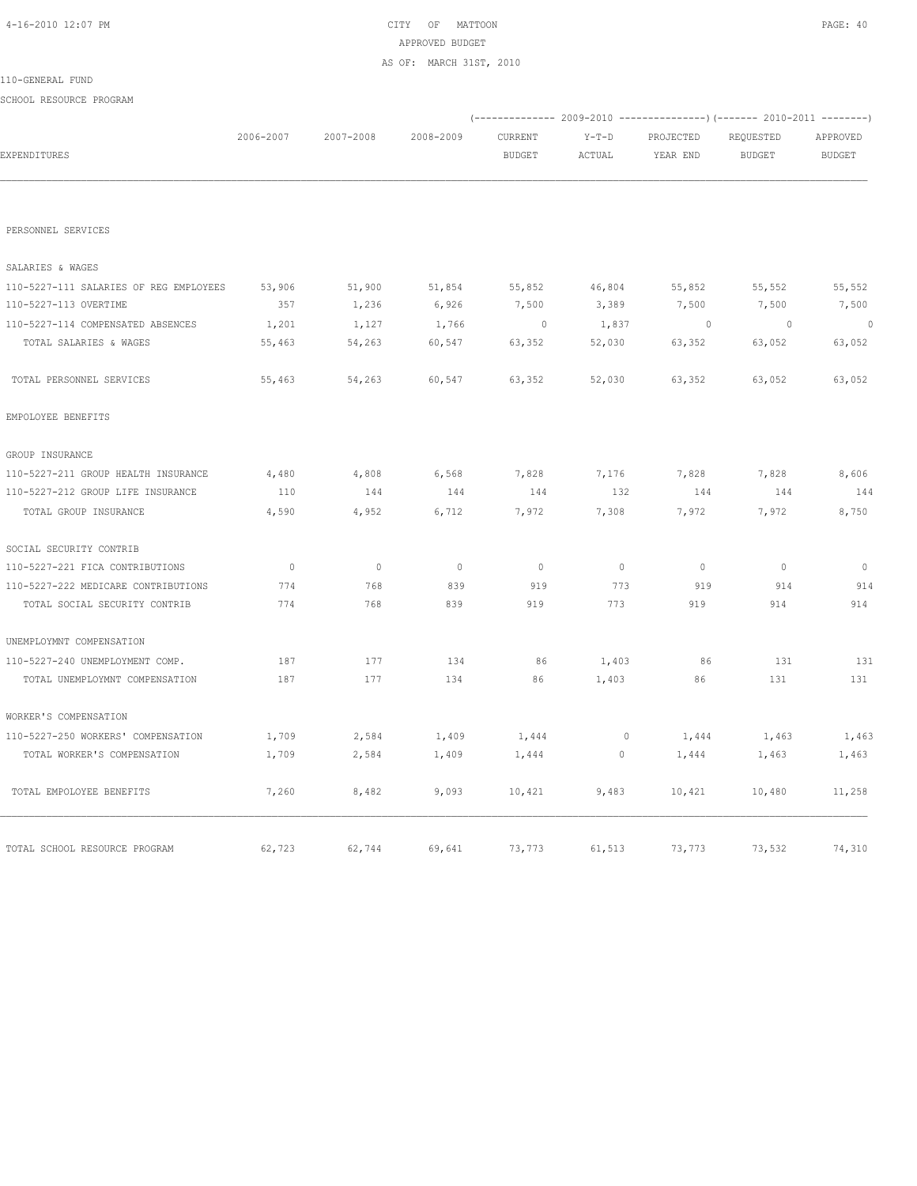## 4-16-2010 12:07 PM CITY OF MATTOON PAGE: 40 APPROVED BUDGET AS OF: MARCH 31ST, 2010

#### 110-GENERAL FUND

SCHOOL RESOURCE PROGRAM

|                                        |                |                |                |                          |                   |                       | (-------------- 2009-2010 ---------------) (------- 2010-2011 --------) |                           |
|----------------------------------------|----------------|----------------|----------------|--------------------------|-------------------|-----------------------|-------------------------------------------------------------------------|---------------------------|
| EXPENDITURES                           | 2006-2007      | 2007-2008      | 2008-2009      | CURRENT<br><b>BUDGET</b> | $Y-T-D$<br>ACTUAL | PROJECTED<br>YEAR END | REQUESTED<br><b>BUDGET</b>                                              | APPROVED<br><b>BUDGET</b> |
|                                        |                |                |                |                          |                   |                       |                                                                         |                           |
| PERSONNEL SERVICES                     |                |                |                |                          |                   |                       |                                                                         |                           |
| SALARIES & WAGES                       |                |                |                |                          |                   |                       |                                                                         |                           |
| 110-5227-111 SALARIES OF REG EMPLOYEES | 53,906         | 51,900         | 51,854         | 55,852                   | 46,804            | 55,852                | 55,552                                                                  | 55,552                    |
| 110-5227-113 OVERTIME                  | 357            | 1,236          | 6,926          | 7,500                    | 3,389             | 7,500                 | 7,500                                                                   | 7,500                     |
| 110-5227-114 COMPENSATED ABSENCES      | 1,201          | 1,127          | 1,766          | $\sim$ 0                 | 1,837             | $\sim$ 0              | $\sim$ 0                                                                | $\mathbf{0}$              |
| TOTAL SALARIES & WAGES                 | 55,463         | 54,263         | 60,547         | 63,352                   | 52,030            | 63,352                | 63,052                                                                  | 63,052                    |
| TOTAL PERSONNEL SERVICES               | 55,463         | 54,263         | 60,547         | 63,352                   | 52,030            | 63,352                | 63,052                                                                  | 63,052                    |
| EMPOLOYEE BENEFITS                     |                |                |                |                          |                   |                       |                                                                         |                           |
| GROUP INSURANCE                        |                |                |                |                          |                   |                       |                                                                         |                           |
| 110-5227-211 GROUP HEALTH INSURANCE    | 4,480          | 4,808          | 6,568          | 7,828                    | 7,176             | 7,828                 | 7,828                                                                   | 8,606                     |
| 110-5227-212 GROUP LIFE INSURANCE      | 110            | 144            | 144            | 144                      | 132               | 144                   | 144                                                                     | 144                       |
| TOTAL GROUP INSURANCE                  | 4,590          | 4,952          | 6,712          | 7,972                    | 7,308             | 7,972                 | 7,972                                                                   | 8,750                     |
| SOCIAL SECURITY CONTRIB                |                |                |                |                          |                   |                       |                                                                         |                           |
| 110-5227-221 FICA CONTRIBUTIONS        | $\overline{0}$ | $\overline{0}$ | $\overline{0}$ | $\overline{0}$           | $\circ$           | $\circ$               | $\overline{0}$                                                          | $\circ$                   |
| 110-5227-222 MEDICARE CONTRIBUTIONS    | 774            | 768            | 839            | 919                      | 773               | 919                   | 914                                                                     | 914                       |
| TOTAL SOCIAL SECURITY CONTRIB          | 774            | 768            | 839            | 919                      | 773               | 919                   | 914                                                                     | 914                       |
| UNEMPLOYMNT COMPENSATION               |                |                |                |                          |                   |                       |                                                                         |                           |
| 110-5227-240 UNEMPLOYMENT COMP.        | 187            | 177            | 134            | 86                       | 1,403             | 86                    | 131                                                                     | 131                       |
| TOTAL UNEMPLOYMNT COMPENSATION         | 187            | 177            | 134            | 86                       | 1,403             | 86                    | 131                                                                     | 131                       |
| WORKER'S COMPENSATION                  |                |                |                |                          |                   |                       |                                                                         |                           |
| 110-5227-250 WORKERS' COMPENSATION     | 1,709          | 2,584          | 1,409          | 1,444                    | 0                 | 1,444                 | 1,463                                                                   | 1,463                     |
| TOTAL WORKER'S COMPENSATION            | 1,709          | 2,584          | 1,409          | 1,444                    | $\circ$           | 1,444                 | 1,463                                                                   | 1,463                     |
| TOTAL EMPOLOYEE BENEFITS               | 7,260          | 8,482          | 9,093          | 10,421                   | 9,483             | 10,421                | 10,480                                                                  | 11,258                    |
| TOTAL SCHOOL RESOURCE PROGRAM          | 62,723         | 62,744         | 69,641         | 73,773                   | 61,513            | 73,773                | 73,532                                                                  | 74,310                    |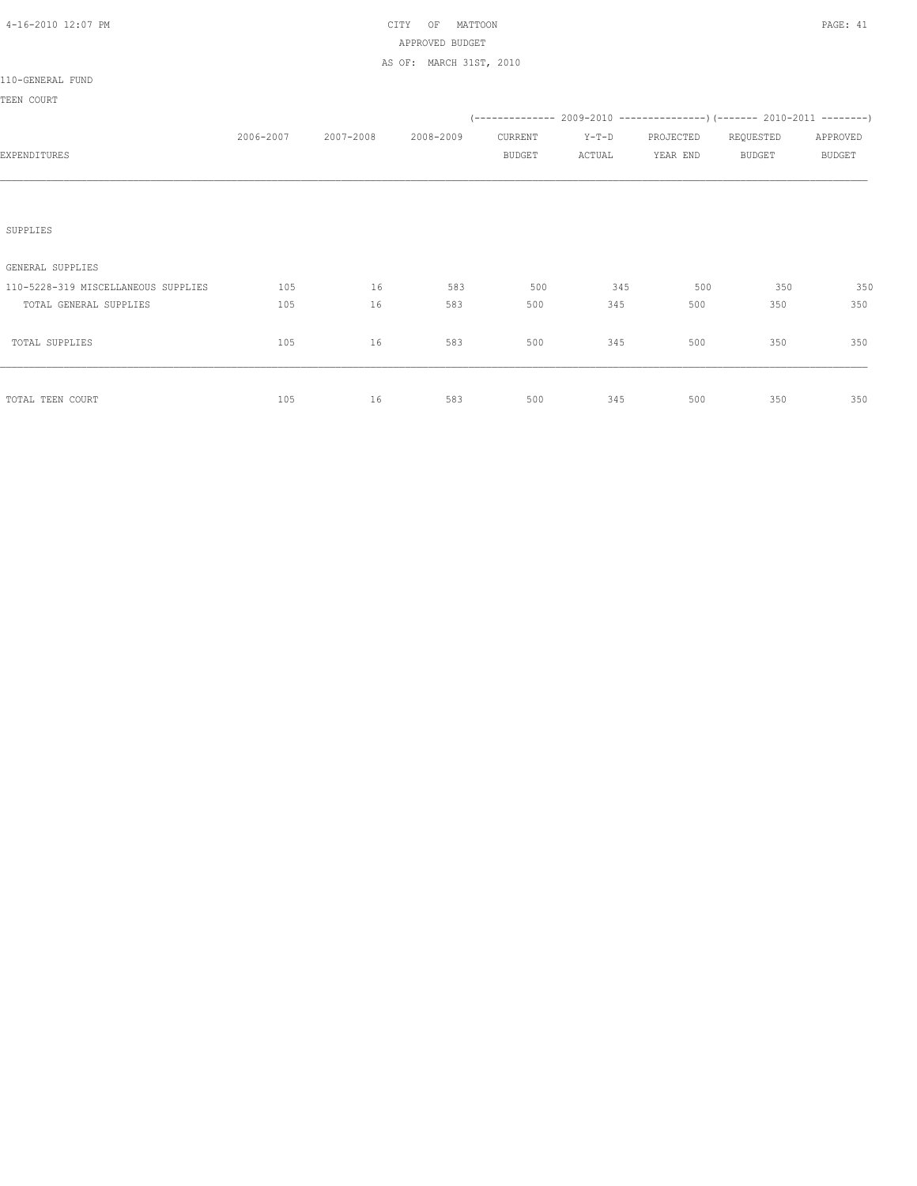## 4-16-2010 12:07 PM CITY OF MATTOON PAGE: 41 APPROVED BUDGET AS OF: MARCH 31ST, 2010

#### 110-GENERAL FUND

#### TEEN COURT

| EXPENDITURES                        | 2006-2007 | 2007-2008 | 2008-2009 | CURRENT<br><b>BUDGET</b> | $Y-T-D$<br>ACTUAL | PROJECTED<br>YEAR END | $(-$ ------------- 2009-2010 ----------------) (------- 2010-2011 --------)<br>REQUESTED<br><b>BUDGET</b> | APPROVED<br><b>BUDGET</b> |
|-------------------------------------|-----------|-----------|-----------|--------------------------|-------------------|-----------------------|-----------------------------------------------------------------------------------------------------------|---------------------------|
|                                     |           |           |           |                          |                   |                       |                                                                                                           |                           |
| SUPPLIES                            |           |           |           |                          |                   |                       |                                                                                                           |                           |
| GENERAL SUPPLIES                    |           |           |           |                          |                   |                       |                                                                                                           |                           |
| 110-5228-319 MISCELLANEOUS SUPPLIES | 105       | 16        | 583       | 500                      | 345               | 500                   | 350                                                                                                       | 350                       |
| TOTAL GENERAL SUPPLIES              | 105       | 16        | 583       | 500                      | 345               | 500                   | 350                                                                                                       | 350                       |
| TOTAL SUPPLIES                      | 105       | 16        | 583       | 500                      | 345               | 500                   | 350                                                                                                       | 350                       |
| TOTAL TEEN COURT                    | 105       | 16        | 583       | 500                      | 345               | 500                   | 350                                                                                                       | 350                       |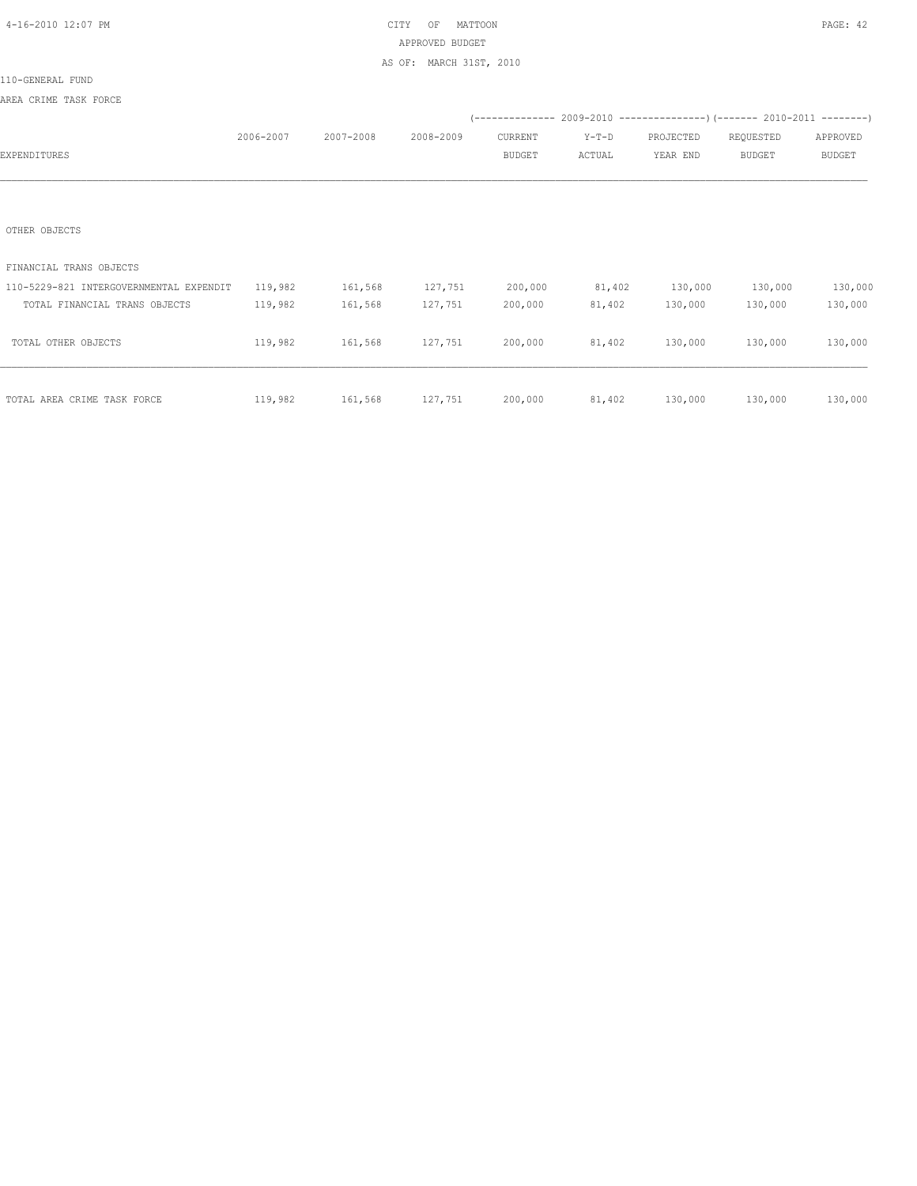## 4-16-2010 12:07 PM CITY OF MATTOON PAGE: 42 APPROVED BUDGET AS OF: MARCH 31ST, 2010

#### 110-GENERAL FUND

AREA CRIME TASK FORCE

|                                         |           |           |           |         |         |           | (-------------- 2009-2010 ----------------) (------- 2010-2011 --------) |               |
|-----------------------------------------|-----------|-----------|-----------|---------|---------|-----------|--------------------------------------------------------------------------|---------------|
|                                         | 2006-2007 | 2007-2008 | 2008-2009 | CURRENT | $Y-T-D$ | PROJECTED | REQUESTED                                                                | APPROVED      |
| <b>EXPENDITURES</b>                     |           |           |           | BUDGET  | ACTUAL  | YEAR END  | <b>BUDGET</b>                                                            | <b>BUDGET</b> |
|                                         |           |           |           |         |         |           |                                                                          |               |
|                                         |           |           |           |         |         |           |                                                                          |               |
|                                         |           |           |           |         |         |           |                                                                          |               |
| OTHER OBJECTS                           |           |           |           |         |         |           |                                                                          |               |
|                                         |           |           |           |         |         |           |                                                                          |               |
| FINANCIAL TRANS OBJECTS                 |           |           |           |         |         |           |                                                                          |               |
| 110-5229-821 INTERGOVERNMENTAL EXPENDIT | 119,982   | 161,568   | 127,751   | 200,000 | 81,402  | 130,000   | 130,000                                                                  | 130,000       |
| TOTAL FINANCIAL TRANS OBJECTS           | 119,982   | 161,568   | 127,751   | 200,000 | 81,402  | 130,000   | 130,000                                                                  | 130,000       |

| TOTAL OTHER OBJECTS         | 119,982 | 161,568 | 127,751 | 200,000 | 81,402 | 130,000 | 130,000 | 130,000 |
|-----------------------------|---------|---------|---------|---------|--------|---------|---------|---------|
| TOTAL AREA CRIME TASK FORCE | 119,982 | 161,568 | 127,751 | 200,000 | 81,402 | 130,000 | 130,000 | 130,000 |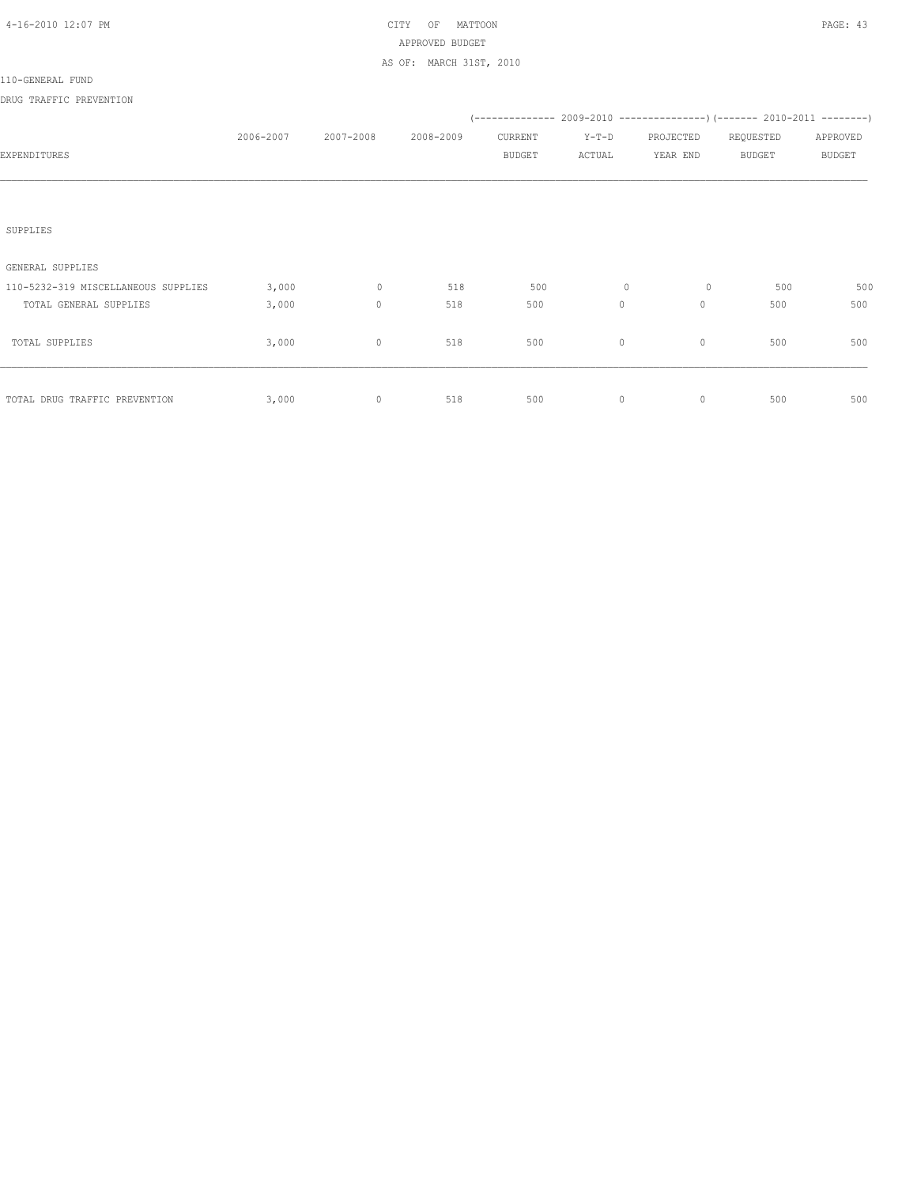## 4-16-2010 12:07 PM CITY OF MATTOON PAGE: 43 APPROVED BUDGET AS OF: MARCH 31ST, 2010

#### 110-GENERAL FUND

#### DRUG TRAFFIC PREVENTION

|                                     | 2006-2007 | 2007-2008   | 2008-2009 | CURRENT       | $Y-T-D$     | PROJECTED   | REQUESTED     | APPROVED      |
|-------------------------------------|-----------|-------------|-----------|---------------|-------------|-------------|---------------|---------------|
| EXPENDITURES                        |           |             |           | <b>BUDGET</b> | ACTUAL      | YEAR END    | <b>BUDGET</b> | <b>BUDGET</b> |
|                                     |           |             |           |               |             |             |               |               |
|                                     |           |             |           |               |             |             |               |               |
| SUPPLIES                            |           |             |           |               |             |             |               |               |
| GENERAL SUPPLIES                    |           |             |           |               |             |             |               |               |
| 110-5232-319 MISCELLANEOUS SUPPLIES | 3,000     | $\circ$     | 518       | 500           | $\mathbf 0$ | $\mathbf 0$ | 500           | 500           |
| TOTAL GENERAL SUPPLIES              | 3,000     | $\mathbb O$ | 518       | 500           | $\circ$     | $\circ$     | 500           | 500           |
| TOTAL SUPPLIES                      | 3,000     | $\circ$     | 518       | 500           | $\circ$     | $\circ$     | 500           | 500           |
| TOTAL DRUG TRAFFIC PREVENTION       | 3,000     | $\circ$     | 518       | 500           | $\circ$     | 0           | 500           | 500           |
|                                     |           |             |           |               |             |             |               |               |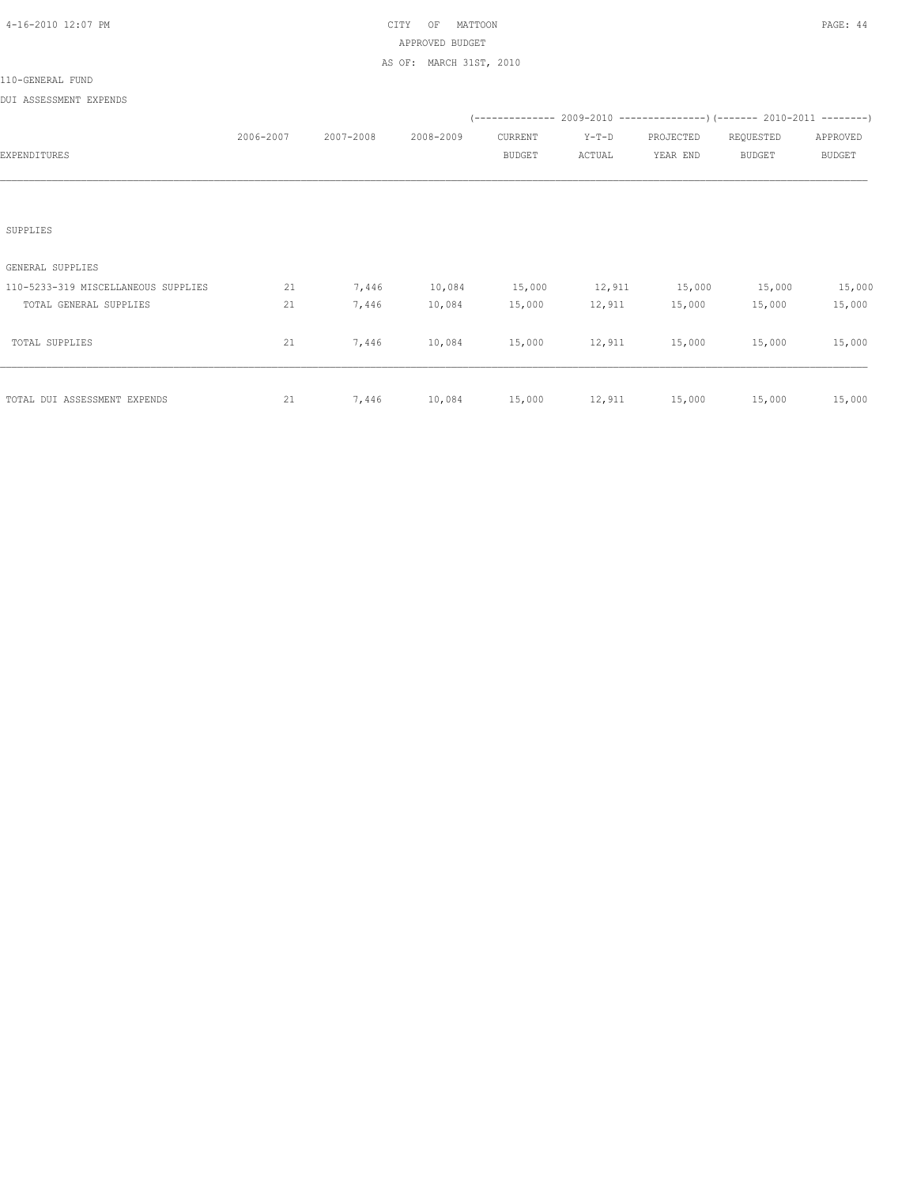## 4-16-2010 12:07 PM CITY OF MATTOON PAGE: 44 APPROVED BUDGET AS OF: MARCH 31ST, 2010

#### 110-GENERAL FUND

#### DUI ASSESSMENT EXPENDS

|              | 2006-2007 | 2007-2008 | 2008-2009 | CURRENT       | $Y-T-D$ | PROJECTED | REQUESTED | APPROVED      |
|--------------|-----------|-----------|-----------|---------------|---------|-----------|-----------|---------------|
| EXPENDITURES |           |           |           | <b>BUDGET</b> | ACTUAL  | YEAR END  | BUDGET    | <b>BUDGET</b> |
|              |           |           |           |               |         |           |           |               |
|              |           |           |           |               |         |           |           |               |
|              |           |           |           |               |         |           |           |               |

## SUPPLIES

| GENERAL SUPPLIES                    |    |       |        |        |        |        |        |        |
|-------------------------------------|----|-------|--------|--------|--------|--------|--------|--------|
| 110-5233-319 MISCELLANEOUS SUPPLIES | 21 | 7,446 | 10,084 | 15,000 | 12,911 | 15,000 | 15,000 | 15,000 |
| TOTAL GENERAL SUPPLIES              | 21 | 7,446 | 10,084 | 15,000 | 12,911 | 15,000 | 15,000 | 15,000 |
| TOTAL SUPPLIES                      | 21 | 7,446 | 10,084 | 15,000 | 12,911 | 15,000 | 15,000 | 15,000 |
| TOTAL DUI ASSESSMENT EXPENDS        | 21 | 7,446 | 10,084 | 15,000 | 12,911 | 15,000 | 15,000 | 15,000 |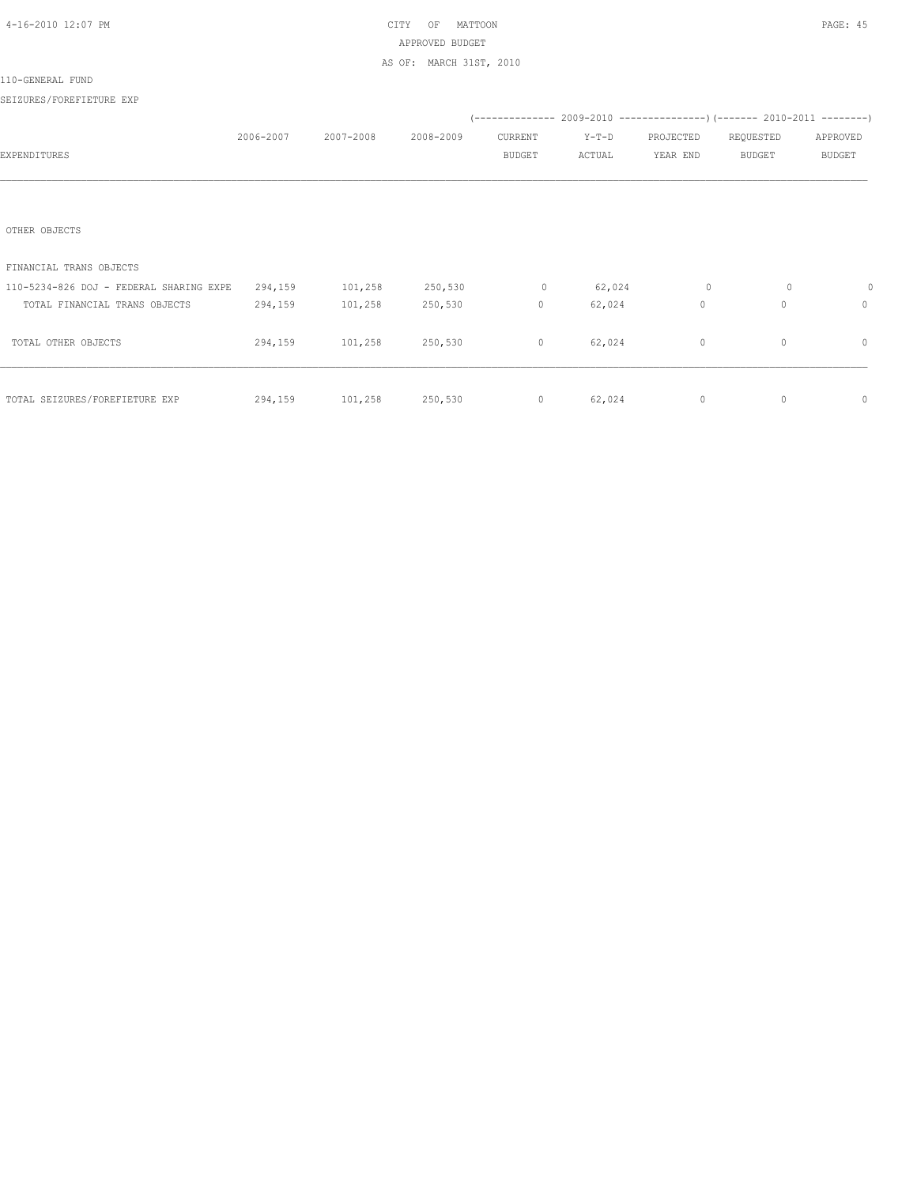## 4-16-2010 12:07 PM CITY OF MATTOON PAGE: 45 APPROVED BUDGET AS OF: MARCH 31ST, 2010

#### 110-GENERAL FUND

#### SEIZURES/FOREFIETURE EXP

|                                         |           |           |           |               |         |              | (-------------- 2009-2010 -----------------) (------- 2010-2011 --------) |               |
|-----------------------------------------|-----------|-----------|-----------|---------------|---------|--------------|---------------------------------------------------------------------------|---------------|
|                                         | 2006-2007 | 2007-2008 | 2008-2009 | CURRENT       | $Y-T-D$ | PROJECTED    | REQUESTED                                                                 | APPROVED      |
| EXPENDITURES                            |           |           |           | <b>BUDGET</b> | ACTUAL  | YEAR END     | <b>BUDGET</b>                                                             | <b>BUDGET</b> |
|                                         |           |           |           |               |         |              |                                                                           |               |
|                                         |           |           |           |               |         |              |                                                                           |               |
| OTHER OBJECTS                           |           |           |           |               |         |              |                                                                           |               |
|                                         |           |           |           |               |         |              |                                                                           |               |
| FINANCIAL TRANS OBJECTS                 |           |           |           |               |         |              |                                                                           |               |
| 110-5234-826 DOJ - FEDERAL SHARING EXPE | 294,159   | 101,258   | 250,530   | $\circ$       | 62,024  | $\mathbf{0}$ | $\mathbf{0}$                                                              | 0             |
| TOTAL FINANCIAL TRANS OBJECTS           | 294,159   | 101,258   | 250,530   | $\circ$       | 62,024  | $\circ$      | $\mathbf{0}$                                                              | 0             |
| TOTAL OTHER OBJECTS                     | 294,159   | 101,258   | 250,530   | $\circ$       | 62,024  | $\circ$      | $\mathbf 0$                                                               | 0             |
|                                         |           |           |           |               |         |              |                                                                           |               |
| TOTAL SEIZURES/FOREFIETURE EXP          | 294,159   | 101,258   | 250,530   | $\circ$       | 62,024  | 0            | $\mathbf 0$                                                               | 0             |
|                                         |           |           |           |               |         |              |                                                                           |               |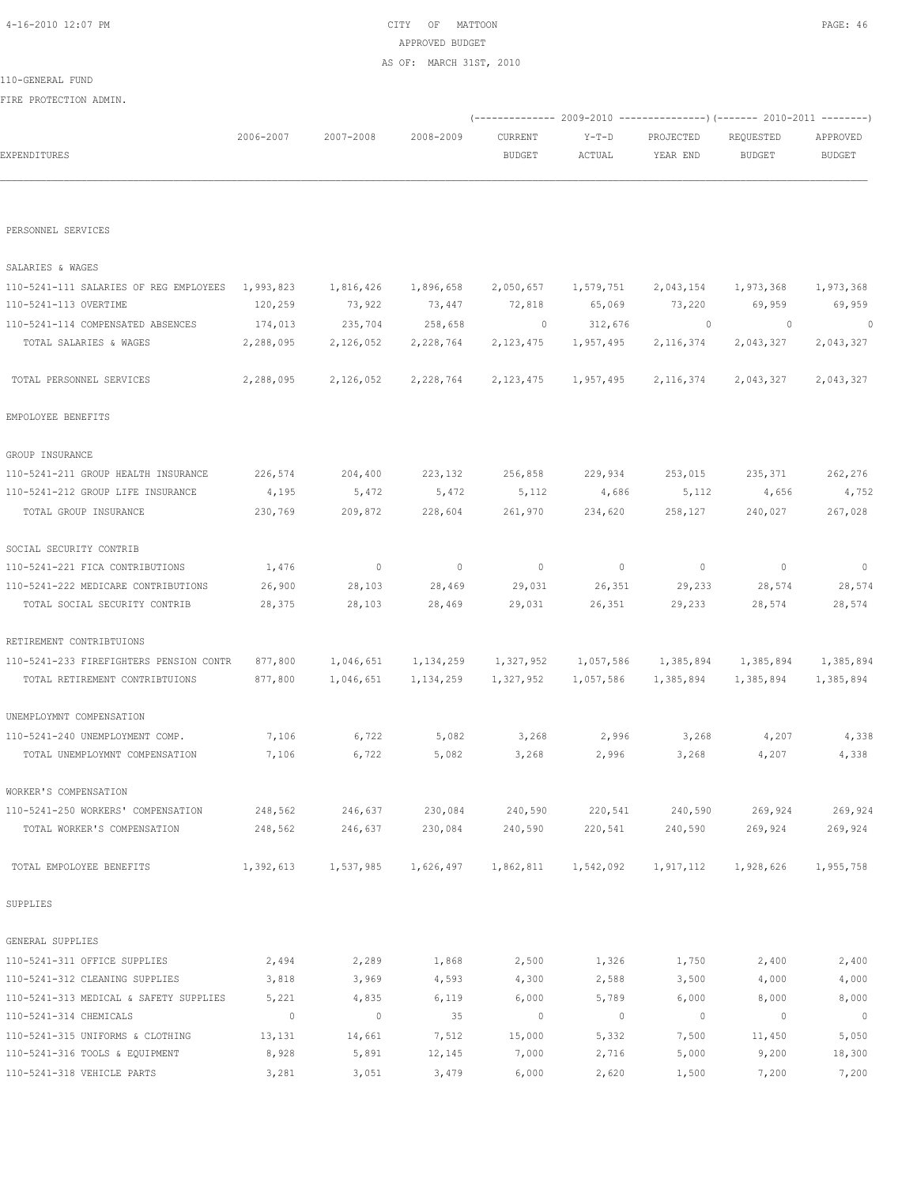## 4-16-2010 12:07 PM CITY OF MATTOON PAGE: 46 APPROVED BUDGET AS OF: MARCH 31ST, 2010

#### 110-GENERAL FUND

FIRE PROTECTION ADMIN.

|           |           | CURRENT   |        | PROJECTED | REOUESTED | APPROVED      |
|-----------|-----------|-----------|--------|-----------|-----------|---------------|
|           |           | BUDGET    | ACTUAL | YEAR END  | BUDGET    | <b>BUDGET</b> |
|           |           |           |        |           |           |               |
| 2006-2007 | 2007-2008 | 2008-2009 |        | $Y-T-D$   |           |               |

PERSONNEL SERVICES

| SALARIES & WAGES                        |           |           |                |             |           |             |                |              |
|-----------------------------------------|-----------|-----------|----------------|-------------|-----------|-------------|----------------|--------------|
| 110-5241-111 SALARIES OF REG EMPLOYEES  | 1,993,823 | 1,816,426 | 1,896,658      | 2,050,657   | 1,579,751 | 2,043,154   | 1,973,368      | 1,973,368    |
| 110-5241-113 OVERTIME                   | 120,259   | 73,922    | 73,447         | 72,818      | 65,069    | 73,220      | 69,959         | 69,959       |
| 110-5241-114 COMPENSATED ABSENCES       | 174,013   | 235,704   | 258,658        | $\circ$     | 312,676   | $\circ$     | $\overline{0}$ | $\mathbf{0}$ |
| TOTAL SALARIES & WAGES                  | 2,288,095 | 2,126,052 | 2,228,764      | 2, 123, 475 | 1,957,495 | 2, 116, 374 | 2,043,327      | 2,043,327    |
| TOTAL PERSONNEL SERVICES                | 2,288,095 | 2,126,052 | 2,228,764      | 2,123,475   | 1,957,495 | 2, 116, 374 | 2,043,327      | 2,043,327    |
| EMPOLOYEE BENEFITS                      |           |           |                |             |           |             |                |              |
| GROUP INSURANCE                         |           |           |                |             |           |             |                |              |
| 110-5241-211 GROUP HEALTH INSURANCE     | 226,574   | 204,400   | 223,132        | 256,858     | 229,934   | 253,015     | 235,371        | 262,276      |
| 110-5241-212 GROUP LIFE INSURANCE       | 4,195     | 5,472     | 5,472          | 5,112       | 4,686     | 5,112       | 4,656          | 4,752        |
| TOTAL GROUP INSURANCE                   | 230,769   | 209,872   | 228,604        | 261,970     | 234,620   | 258,127     | 240,027        | 267,028      |
| SOCIAL SECURITY CONTRIB                 |           |           |                |             |           |             |                |              |
| 110-5241-221 FICA CONTRIBUTIONS         | 1,476     | $\circ$   | $\overline{0}$ | $\circ$     | $\circ$   | $\circ$     | $\circ$        | $\mathbf 0$  |
| 110-5241-222 MEDICARE CONTRIBUTIONS     | 26,900    | 28,103    | 28,469         | 29,031      | 26,351    | 29,233      | 28,574         | 28,574       |
| TOTAL SOCIAL SECURITY CONTRIB           | 28,375    | 28,103    | 28,469         | 29,031      | 26,351    | 29,233      | 28,574         | 28,574       |
| RETIREMENT CONTRIBTUIONS                |           |           |                |             |           |             |                |              |
| 110-5241-233 FIREFIGHTERS PENSION CONTR | 877,800   | 1,046,651 | 1,134,259      | 1,327,952   | 1,057,586 | 1,385,894   | 1,385,894      | 1,385,894    |
| TOTAL RETIREMENT CONTRIBTUIONS          | 877,800   | 1,046,651 | 1,134,259      | 1,327,952   | 1,057,586 | 1,385,894   | 1,385,894      | 1,385,894    |
| UNEMPLOYMNT COMPENSATION                |           |           |                |             |           |             |                |              |
| 110-5241-240 UNEMPLOYMENT COMP.         | 7,106     | 6,722     | 5,082          | 3,268       | 2,996     | 3,268       | 4,207          | 4,338        |
| TOTAL UNEMPLOYMNT COMPENSATION          | 7,106     | 6,722     | 5,082          | 3,268       | 2,996     | 3,268       | 4,207          | 4,338        |
| WORKER'S COMPENSATION                   |           |           |                |             |           |             |                |              |
| 110-5241-250 WORKERS' COMPENSATION      | 248,562   | 246,637   | 230,084        | 240,590     | 220,541   | 240,590     | 269,924        | 269,924      |
| TOTAL WORKER'S COMPENSATION             | 248,562   | 246,637   | 230,084        | 240,590     | 220,541   | 240,590     | 269,924        | 269,924      |
| TOTAL EMPOLOYEE BENEFITS                | 1,392,613 | 1,537,985 | 1,626,497      | 1,862,811   | 1,542,092 | 1,917,112   | 1,928,626      | 1,955,758    |
| SUPPLIES                                |           |           |                |             |           |             |                |              |
| GENERAL SUPPLIES                        |           |           |                |             |           |             |                |              |
| 110-5241-311 OFFICE SUPPLIES            | 2,494     | 2,289     | 1,868          | 2,500       | 1,326     | 1,750       | 2,400          | 2,400        |
| 110-5241-312 CLEANING SUPPLIES          | 3,818     | 3,969     | 4,593          | 4,300       | 2,588     | 3,500       | 4,000          | 4,000        |
| 110-5241-313 MEDICAL & SAFETY SUPPLIES  | 5,221     | 4,835     | 6,119          | 6,000       | 5,789     | 6,000       | 8,000          | 8,000        |
| 110-5241-314 CHEMICALS                  | $\circ$   | $\circ$   | 35             | $\mathbf 0$ | $\circ$   | $\mathbf 0$ | $\mathbf 0$    | $\circ$      |
| 110-5241-315 UNIFORMS & CLOTHING        | 13,131    | 14,661    | 7,512          | 15,000      | 5,332     | 7,500       | 11,450         | 5,050        |
| 110-5241-316 TOOLS & EQUIPMENT          | 8,928     | 5,891     | 12,145         | 7,000       | 2,716     | 5,000       | 9,200          | 18,300       |
| 110-5241-318 VEHICLE PARTS              | 3,281     | 3,051     | 3,479          | 6,000       | 2,620     | 1,500       | 7,200          | 7,200        |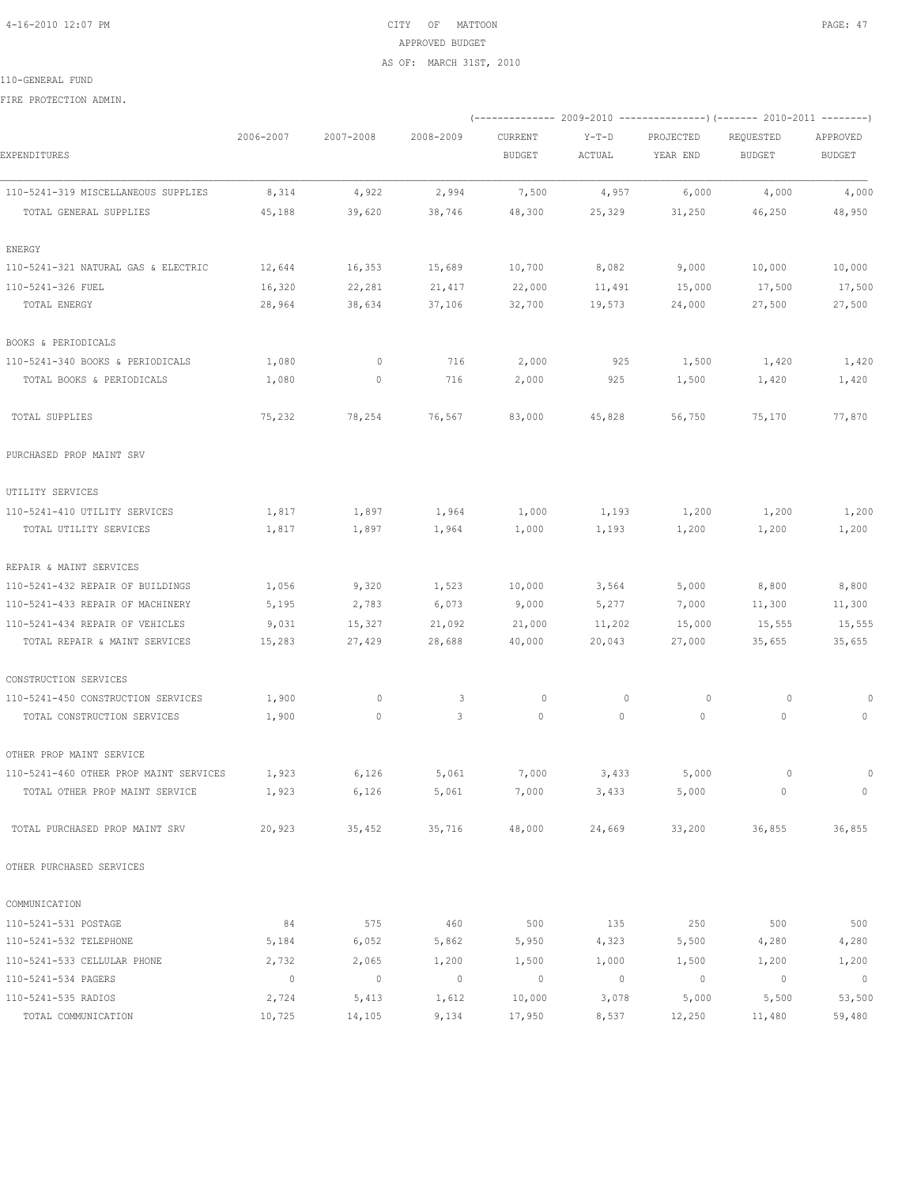## 4-16-2010 12:07 PM CITY OF MATTOON PAGE: 47 APPROVED BUDGET AS OF: MARCH 31ST, 2010

#### 110-GENERAL FUND

#### FIRE PROTECTION ADMIN.

| EXPENDITURES                           | 2006-2007 | 2007-2008   | 2008-2009 | CURRENT<br><b>BUDGET</b> | $Y-T-D$<br>ACTUAL | PROJECTED<br>YEAR END | REQUESTED<br><b>BUDGET</b> | APPROVED<br><b>BUDGET</b> |
|----------------------------------------|-----------|-------------|-----------|--------------------------|-------------------|-----------------------|----------------------------|---------------------------|
| 110-5241-319 MISCELLANEOUS SUPPLIES    | 8,314     | 4,922       | 2,994     | 7,500                    | 4,957             | 6,000                 | 4,000                      | 4,000                     |
| TOTAL GENERAL SUPPLIES                 | 45,188    | 39,620      | 38,746    | 48,300                   | 25,329            | 31,250                | 46,250                     | 48,950                    |
| ENERGY                                 |           |             |           |                          |                   |                       |                            |                           |
| 110-5241-321 NATURAL GAS & ELECTRIC    | 12,644    | 16,353      | 15,689    | 10,700                   | 8,082             | 9,000                 | 10,000                     | 10,000                    |
| 110-5241-326 FUEL                      | 16,320    | 22,281      | 21,417    | 22,000                   | 11,491            | 15,000                | 17,500                     | 17,500                    |
| TOTAL ENERGY                           | 28,964    | 38,634      | 37,106    | 32,700                   | 19,573            | 24,000                | 27,500                     | 27,500                    |
| BOOKS & PERIODICALS                    |           |             |           |                          |                   |                       |                            |                           |
| 110-5241-340 BOOKS & PERIODICALS       | 1,080     | $\mathbf 0$ | 716       | 2,000                    | 925               | 1,500                 | 1,420                      | 1,420                     |
| TOTAL BOOKS & PERIODICALS              | 1,080     | 0           | 716       | 2,000                    | 925               | 1,500                 | 1,420                      | 1,420                     |
| TOTAL SUPPLIES                         | 75,232    | 78,254      | 76,567    | 83,000                   | 45,828            | 56,750                | 75,170                     | 77,870                    |
| PURCHASED PROP MAINT SRV               |           |             |           |                          |                   |                       |                            |                           |
| UTILITY SERVICES                       |           |             |           |                          |                   |                       |                            |                           |
| 110-5241-410 UTILITY SERVICES          | 1,817     | 1,897       | 1,964     | 1,000                    | 1,193             | 1,200                 | 1,200                      | 1,200                     |
| TOTAL UTILITY SERVICES                 | 1,817     | 1,897       | 1,964     | 1,000                    | 1,193             | 1,200                 | 1,200                      | 1,200                     |
| REPAIR & MAINT SERVICES                |           |             |           |                          |                   |                       |                            |                           |
| 110-5241-432 REPAIR OF BUILDINGS       | 1,056     | 9,320       | 1,523     | 10,000                   | 3,564             | 5,000                 | 8,800                      | 8,800                     |
| 110-5241-433 REPAIR OF MACHINERY       | 5,195     | 2,783       | 6,073     | 9,000                    | 5,277             | 7,000                 | 11,300                     | 11,300                    |
| 110-5241-434 REPAIR OF VEHICLES        | 9,031     | 15,327      | 21,092    | 21,000                   | 11,202            | 15,000                | 15,555                     | 15,555                    |
| TOTAL REPAIR & MAINT SERVICES          | 15,283    | 27,429      | 28,688    | 40,000                   | 20,043            | 27,000                | 35,655                     | 35,655                    |
| CONSTRUCTION SERVICES                  |           |             |           |                          |                   |                       |                            |                           |
| 110-5241-450 CONSTRUCTION SERVICES     | 1,900     | $\mathbf 0$ | 3         | 0                        | 0                 | 0                     | $\mathbf 0$                | n                         |
| TOTAL CONSTRUCTION SERVICES            | 1,900     | $\circ$     | 3         | $\circ$                  | $\circ$           | $\mathbb O$           | 0                          | $\mathbf{0}$              |
| OTHER PROP MAINT SERVICE               |           |             |           |                          |                   |                       |                            |                           |
| 110-5241-460 OTHER PROP MAINT SERVICES | 1,923     | 6,126       | 5,061     | 7,000                    | 3,433             | 5,000                 | 0                          | $\mathbf{0}$              |
| TOTAL OTHER PROP MAINT SERVICE         | 1,923     | 6,126       | 5,061     | 7,000                    | 3,433             | 5,000                 | $\circ$                    | 0                         |
| TOTAL PURCHASED PROP MAINT SRV         | 20,923    | 35,452      | 35,716    | 48,000                   | 24,669            | 33,200                | 36,855                     | 36,855                    |
| OTHER PURCHASED SERVICES               |           |             |           |                          |                   |                       |                            |                           |
| COMMUNICATION                          |           |             |           |                          |                   |                       |                            |                           |
| 110-5241-531 POSTAGE                   | 84        | 575         | 460       | 500                      | 135               | 250                   | 500                        | 500                       |
| 110-5241-532 TELEPHONE                 | 5,184     | 6,052       | 5,862     | 5,950                    | 4,323             | 5,500                 | 4,280                      | 4,280                     |
| 110-5241-533 CELLULAR PHONE            | 2,732     | 2,065       | 1,200     | 1,500                    | 1,000             | 1,500                 | 1,200                      | 1,200                     |
| 110-5241-534 PAGERS                    | $\circ$   | $\circ$     | $\circ$   | $\circ$                  | 0                 | $\circ$               | $\mathbb O$                | $\circ$                   |
| 110-5241-535 RADIOS                    | 2,724     | 5,413       | 1,612     | 10,000                   | 3,078             | 5,000                 | 5,500                      | 53,500                    |
| TOTAL COMMUNICATION                    | 10,725    | 14,105      | 9,134     | 17,950                   | 8,537             | 12,250                | 11,480                     | 59,480                    |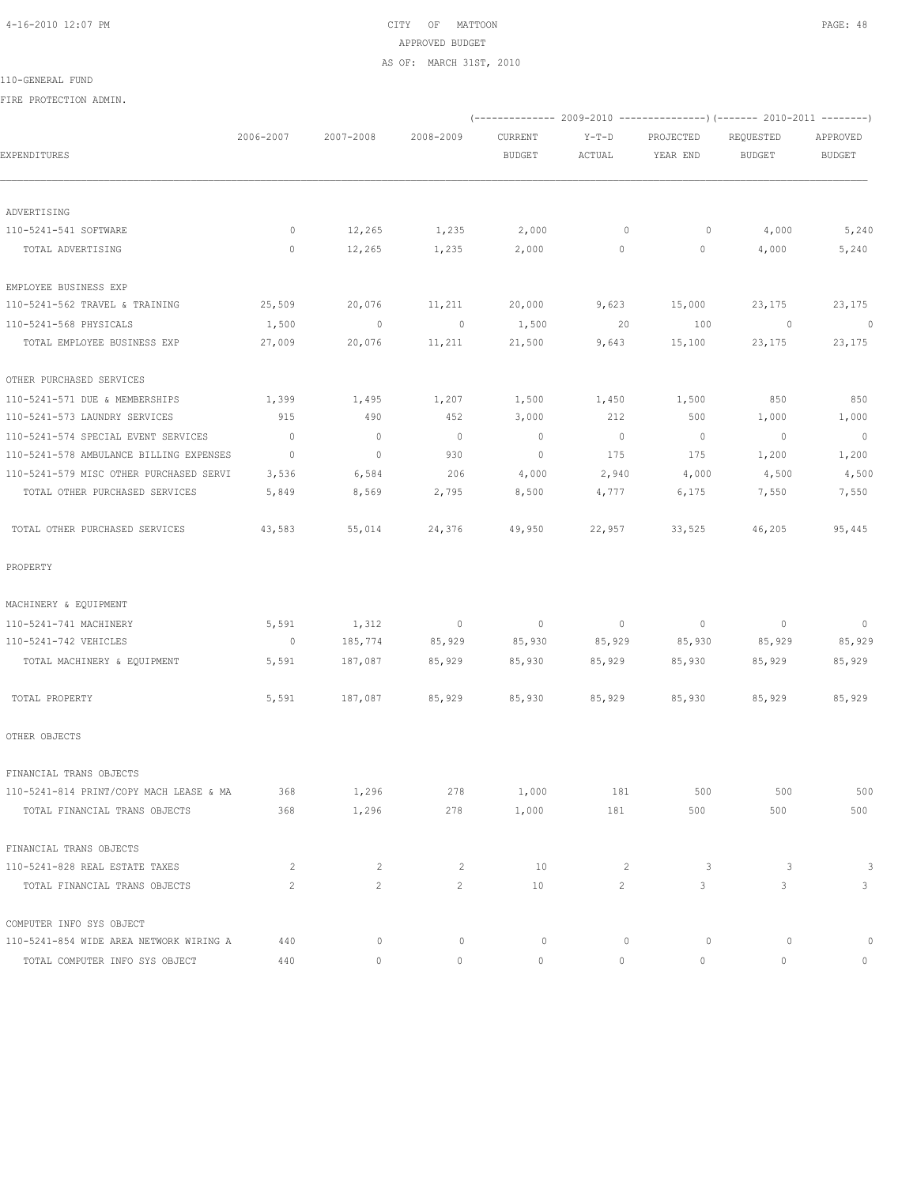## 4-16-2010 12:07 PM CITY OF MATTOON PAGE: 48 APPROVED BUDGET AS OF: MARCH 31ST, 2010

#### 110-GENERAL FUND

FIRE PROTECTION ADMIN.

|                                         |                          |                          |                |                          |                   |                          | (-------------- 2009-2010 ----------------) (------- 2010-2011 --------) |                           |
|-----------------------------------------|--------------------------|--------------------------|----------------|--------------------------|-------------------|--------------------------|--------------------------------------------------------------------------|---------------------------|
| EXPENDITURES                            | 2006-2007                | 2007-2008                | 2008-2009      | CURRENT<br><b>BUDGET</b> | $Y-T-D$<br>ACTUAL | PROJECTED<br>YEAR END    | REQUESTED<br>BUDGET                                                      | APPROVED<br><b>BUDGET</b> |
|                                         |                          |                          |                |                          |                   |                          |                                                                          |                           |
| ADVERTISING                             |                          |                          |                |                          |                   |                          |                                                                          |                           |
| 110-5241-541 SOFTWARE                   | $\circ$                  | 12,265                   | 1,235          | 2,000                    | $\mathbf 0$       | $\mathbf 0$              | 4,000                                                                    | 5,240                     |
| TOTAL ADVERTISING                       | $\mathbb O$              | 12,265                   | 1,235          | 2,000                    | 0                 | $\circ$                  | 4,000                                                                    | 5,240                     |
| EMPLOYEE BUSINESS EXP                   |                          |                          |                |                          |                   |                          |                                                                          |                           |
| 110-5241-562 TRAVEL & TRAINING          | 25,509                   | 20,076                   | 11,211         | 20,000                   | 9,623             | 15,000                   | 23,175                                                                   | 23,175                    |
| 110-5241-568 PHYSICALS                  | 1,500                    | $\overline{0}$           | $\sim$ 0       | 1,500                    | 20                | 100                      | $\sim$ 0                                                                 | $\sim$ 0                  |
| TOTAL EMPLOYEE BUSINESS EXP             | 27,009                   | 20,076                   | 11,211         | 21,500                   | 9,643             | 15,100                   | 23,175                                                                   | 23,175                    |
| OTHER PURCHASED SERVICES                |                          |                          |                |                          |                   |                          |                                                                          |                           |
| 110-5241-571 DUE & MEMBERSHIPS          | 1,399                    | 1,495                    | 1,207          | 1,500                    | 1,450             | 1,500                    | 850                                                                      | 850                       |
| 110-5241-573 LAUNDRY SERVICES           | 915                      | 490                      | 452            | 3,000                    | 212               | 500                      | 1,000                                                                    | 1,000                     |
| 110-5241-574 SPECIAL EVENT SERVICES     | $\overline{0}$           | $\overline{\phantom{0}}$ | $\overline{0}$ | $\overline{0}$           | $\overline{0}$    | $\overline{\phantom{0}}$ | $\overline{0}$                                                           | $\overline{0}$            |
| 110-5241-578 AMBULANCE BILLING EXPENSES | $\overline{\phantom{0}}$ | $\overline{0}$           | 930            | $\overline{0}$           | 175               | 175                      | 1,200                                                                    | 1,200                     |
| 110-5241-579 MISC OTHER PURCHASED SERVI | 3,536                    | 6,584                    | 206            | 4,000                    | 2,940             | 4,000                    | 4,500                                                                    | 4,500                     |
| TOTAL OTHER PURCHASED SERVICES          | 5,849                    | 8,569                    | 2,795          | 8,500                    | 4,777             | 6,175                    | 7,550                                                                    | 7,550                     |
| TOTAL OTHER PURCHASED SERVICES          | 43,583                   | 55,014                   | 24,376         | 49,950                   | 22,957            | 33,525                   | 46,205                                                                   | 95,445                    |
| PROPERTY                                |                          |                          |                |                          |                   |                          |                                                                          |                           |
| MACHINERY & EQUIPMENT                   |                          |                          |                |                          |                   |                          |                                                                          |                           |
| 110-5241-741 MACHINERY                  | 5,591                    | 1,312                    | $\sim$ 0       | $\circ$                  | $\overline{0}$    | $\sim$ 0                 | $\sim$ 0                                                                 | $\circ$                   |
| 110-5241-742 VEHICLES                   | $\overline{\phantom{0}}$ | 185,774                  | 85,929         | 85,930                   | 85,929            | 85,930                   | 85,929                                                                   | 85,929                    |
| TOTAL MACHINERY & EQUIPMENT             | 5,591                    | 187,087                  | 85,929         | 85,930                   | 85,929            | 85,930                   | 85,929                                                                   | 85,929                    |
| TOTAL PROPERTY                          | 5,591                    | 187,087                  | 85,929         | 85,930                   | 85,929            | 85,930                   | 85,929                                                                   | 85,929                    |
| OTHER OBJECTS                           |                          |                          |                |                          |                   |                          |                                                                          |                           |
| FINANCIAL TRANS OBJECTS                 |                          |                          |                |                          |                   |                          |                                                                          |                           |
| 110-5241-814 PRINT/COPY MACH LEASE & MA | 368                      | 1,296                    | 278            | 1,000                    | 181               | 500                      | 500                                                                      | 500                       |
| TOTAL FINANCIAL TRANS OBJECTS           | 368                      | 1,296                    | 278            | 1,000                    | 181               | 500                      | 500                                                                      | 500                       |
| FINANCIAL TRANS OBJECTS                 |                          |                          |                |                          |                   |                          |                                                                          |                           |
| 110-5241-828 REAL ESTATE TAXES          | 2                        | 2                        | $\overline{c}$ | 10                       | 2                 | 3                        | 3                                                                        | 3                         |
| TOTAL FINANCIAL TRANS OBJECTS           | 2                        | $\overline{2}$           | $\mathbf{2}$   | 10                       | 2                 | 3                        | 3                                                                        | 3                         |
| COMPUTER INFO SYS OBJECT                |                          |                          |                |                          |                   |                          |                                                                          |                           |
| 110-5241-854 WIDE AREA NETWORK WIRING A | 440                      | $\mathbf{0}$             | 0              | 0                        | $\mathbf 0$       | 0                        | 0                                                                        | $\mathbb O$               |
| TOTAL COMPUTER INFO SYS OBJECT          | 440                      | 0                        | $\circ$        | $\circ$                  | 0                 | $\circ$                  | 0                                                                        | $\circ$                   |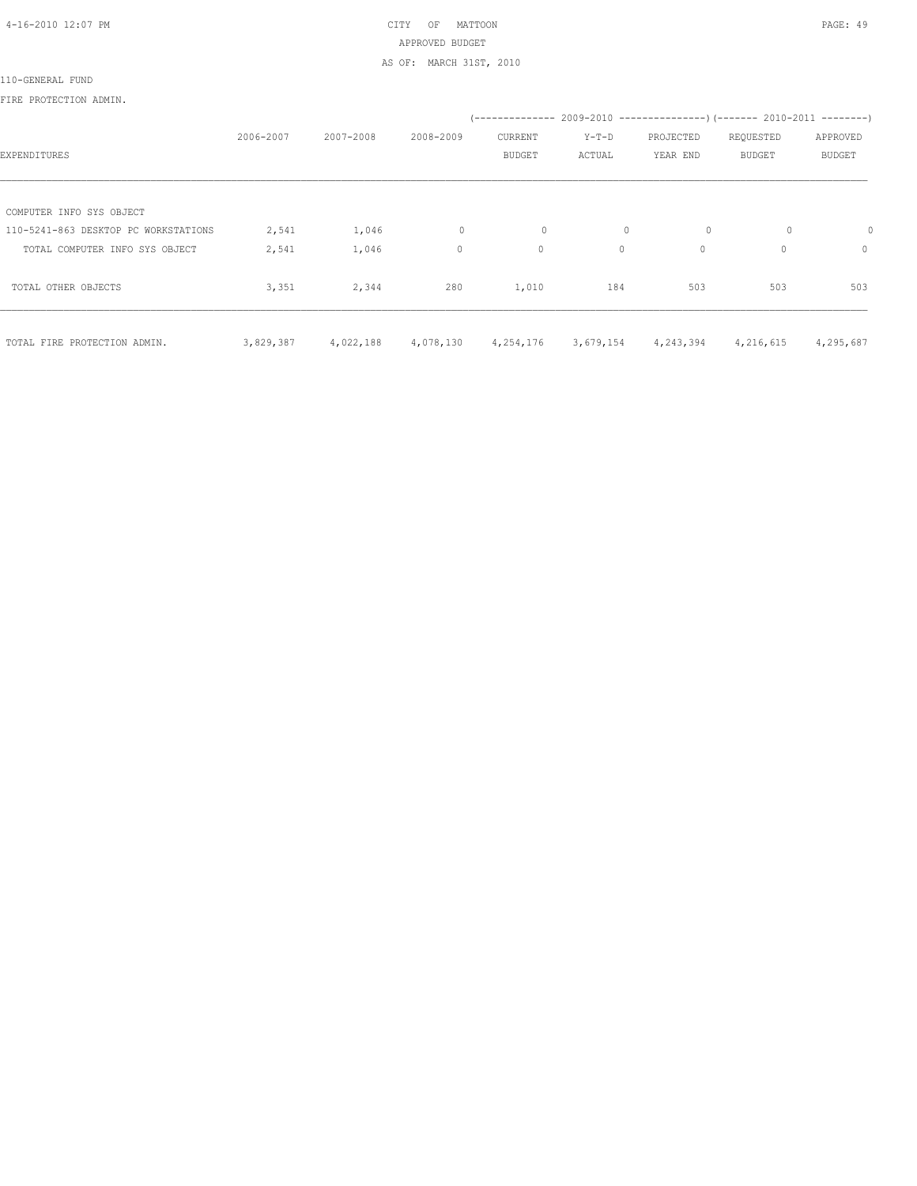## 4-16-2010 12:07 PM CITY OF MATTOON PAGE: 49 APPROVED BUDGET AS OF: MARCH 31ST, 2010

#### 110-GENERAL FUND

#### FIRE PROTECTION ADMIN.

|                                      |           |           |              |               |              | (-------------- 2009-2010 -----------------) (------- 2010-2011 --------) |               |               |
|--------------------------------------|-----------|-----------|--------------|---------------|--------------|---------------------------------------------------------------------------|---------------|---------------|
|                                      | 2006-2007 | 2007-2008 | 2008-2009    | CURRENT       | $Y-T-D$      | PROJECTED                                                                 | REQUESTED     | APPROVED      |
| EXPENDITURES                         |           |           |              | <b>BUDGET</b> | ACTUAL       | YEAR END                                                                  | <b>BUDGET</b> | <b>BUDGET</b> |
|                                      |           |           |              |               |              |                                                                           |               |               |
| COMPUTER INFO SYS OBJECT             |           |           |              |               |              |                                                                           |               |               |
| 110-5241-863 DESKTOP PC WORKSTATIONS | 2,541     | 1,046     | $\circ$      | $\circ$       | $\mathbf{0}$ | $\mathbf{0}$                                                              | $\mathbf{0}$  | 0             |
| TOTAL COMPUTER INFO SYS OBJECT       | 2,541     | 1,046     | $\mathbf{0}$ | $\mathbf{0}$  | $\circ$      | $\circ$                                                                   | 0             | $\circ$       |
| TOTAL OTHER OBJECTS                  | 3,351     | 2,344     | 280          | 1,010         | 184          | 503                                                                       | 503           | 503           |
| TOTAL FIRE PROTECTION ADMIN.         | 3,829,387 | 4,022,188 | 4,078,130    | 4,254,176     | 3,679,154    | 4,243,394                                                                 | 4,216,615     | 4,295,687     |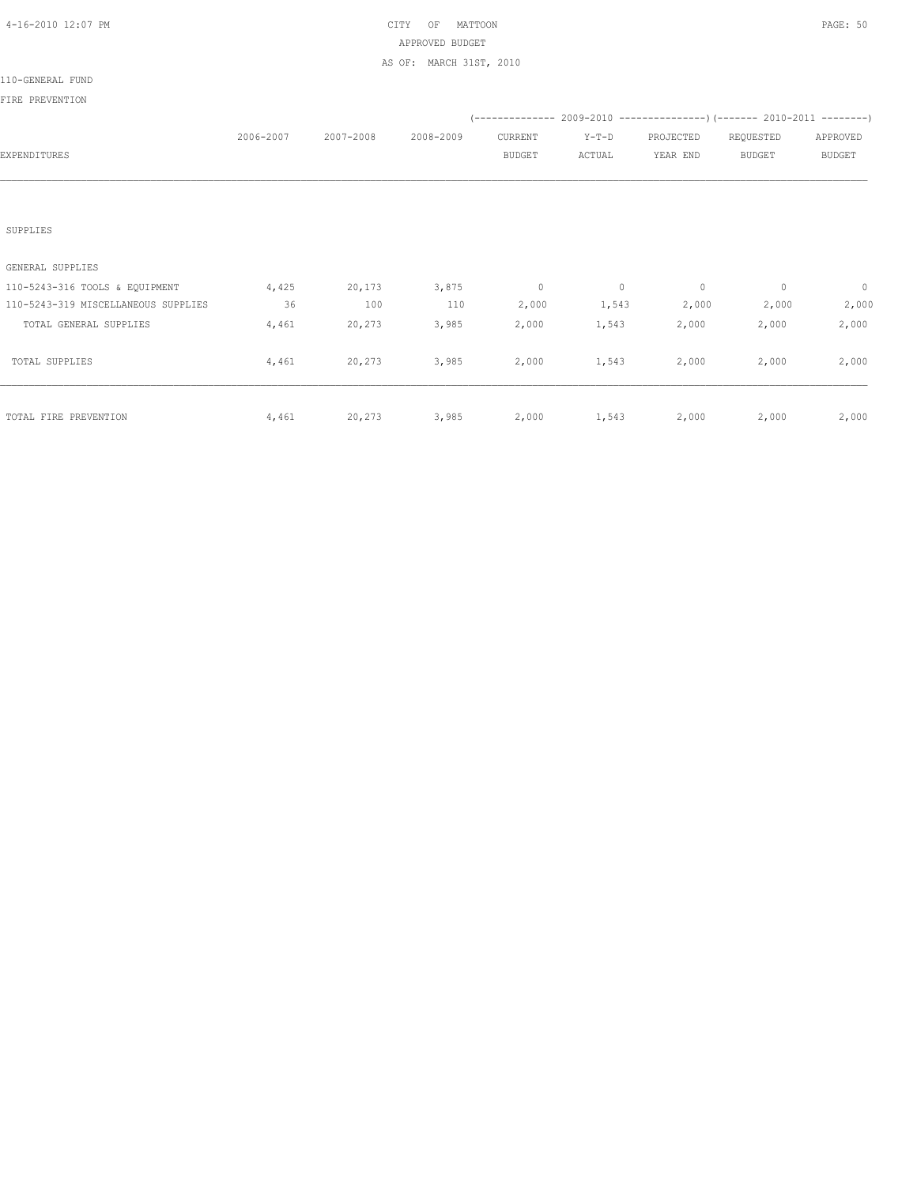## 4-16-2010 12:07 PM CITY OF MATTOON PAGE: 50 APPROVED BUDGET AS OF: MARCH 31ST, 2010

#### 110-GENERAL FUND

#### FIRE PREVENTION

|                                     | 2006-2007 | 2007-2008 | 2008-2009 | CURRENT       | $Y-T-D$ | PROJECTED | (-------------- 2009-2010 -----------------) (------- 2010-2011 --------)<br>REQUESTED | APPROVED      |
|-------------------------------------|-----------|-----------|-----------|---------------|---------|-----------|----------------------------------------------------------------------------------------|---------------|
| EXPENDITURES                        |           |           |           | <b>BUDGET</b> | ACTUAL  | YEAR END  | BUDGET                                                                                 | <b>BUDGET</b> |
|                                     |           |           |           |               |         |           |                                                                                        |               |
| SUPPLIES                            |           |           |           |               |         |           |                                                                                        |               |
| GENERAL SUPPLIES                    |           |           |           |               |         |           |                                                                                        |               |
| 110-5243-316 TOOLS & EQUIPMENT      | 4,425     | 20,173    | 3,875     | $\mathbf 0$   | $\circ$ | $\circ$   | $\mathbf 0$                                                                            | $\circ$       |
| 110-5243-319 MISCELLANEOUS SUPPLIES | 36        | 100       | 110       | 2,000         | 1,543   | 2,000     | 2,000                                                                                  | 2,000         |
| TOTAL GENERAL SUPPLIES              | 4,461     | 20,273    | 3,985     | 2,000         | 1,543   | 2,000     | 2,000                                                                                  | 2,000         |
| TOTAL SUPPLIES                      | 4,461     | 20,273    | 3,985     | 2,000         | 1,543   | 2,000     | 2,000                                                                                  | 2,000         |
| TOTAL FIRE PREVENTION               | 4,461     | 20,273    | 3,985     | 2,000         | 1,543   | 2,000     | 2,000                                                                                  | 2,000         |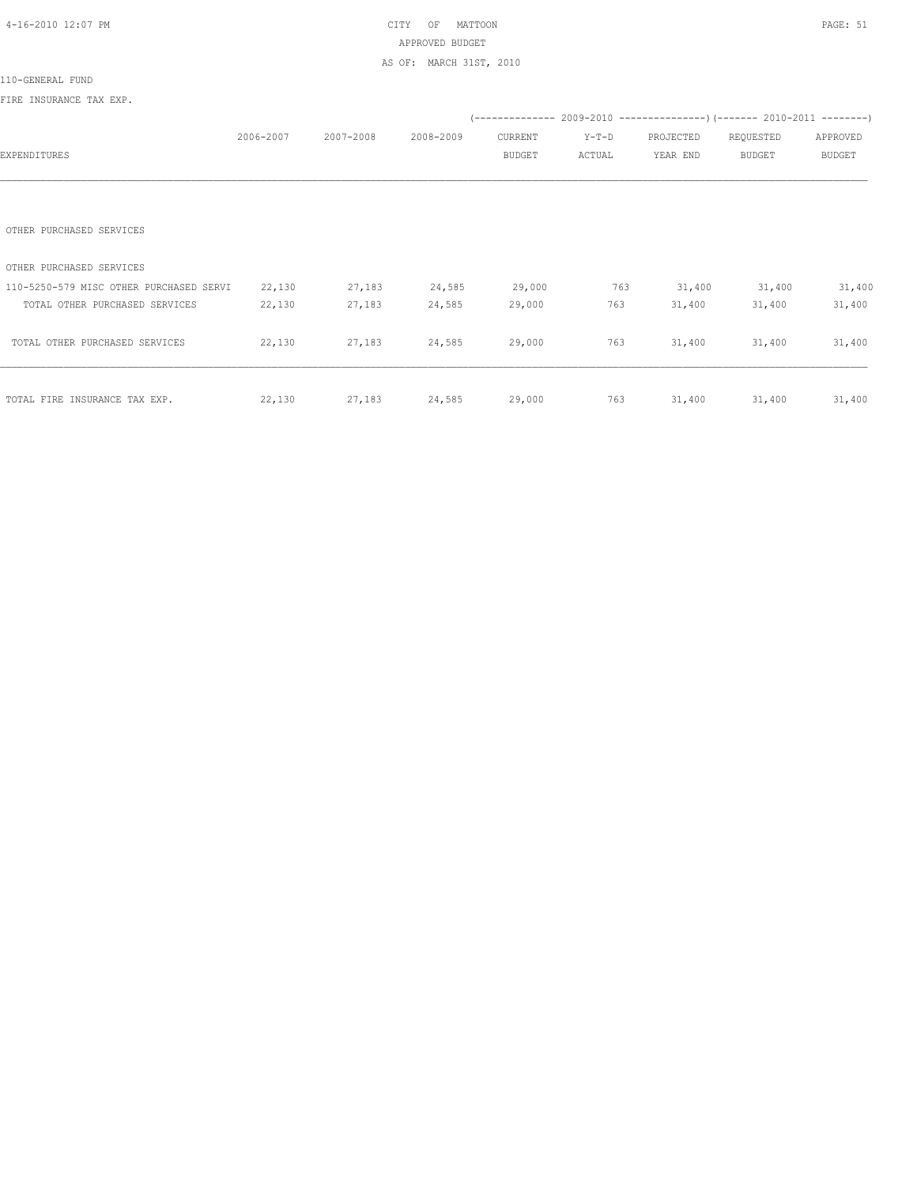## 4-16-2010 12:07 PM CITY OF MATTOON PAGE: 51 APPROVED BUDGET AS OF: MARCH 31ST, 2010

#### 110-GENERAL FUND

#### FIRE INSURANCE TAX EXP.

|                                         |           |           |           |               |         |           | $(-$ ------------- 2009-2010 ----------------) (------- 2010-2011 --------) |               |
|-----------------------------------------|-----------|-----------|-----------|---------------|---------|-----------|-----------------------------------------------------------------------------|---------------|
|                                         | 2006-2007 | 2007-2008 | 2008-2009 | CURRENT       | $Y-T-D$ | PROJECTED | REQUESTED                                                                   | APPROVED      |
| EXPENDITURES                            |           |           |           | <b>BUDGET</b> | ACTUAL  | YEAR END  | <b>BUDGET</b>                                                               | <b>BUDGET</b> |
|                                         |           |           |           |               |         |           |                                                                             |               |
|                                         |           |           |           |               |         |           |                                                                             |               |
| OTHER PURCHASED SERVICES                |           |           |           |               |         |           |                                                                             |               |
| OTHER PURCHASED SERVICES                |           |           |           |               |         |           |                                                                             |               |
| 110-5250-579 MISC OTHER PURCHASED SERVI | 22,130    | 27,183    | 24,585    | 29,000        | 763     | 31,400    | 31,400                                                                      | 31,400        |
| TOTAL OTHER PURCHASED SERVICES          | 22,130    | 27,183    | 24,585    | 29,000        | 763     | 31,400    | 31,400                                                                      | 31,400        |
| TOTAL OTHER PURCHASED SERVICES          | 22,130    | 27,183    | 24,585    | 29,000        | 763     | 31,400    | 31,400                                                                      | 31,400        |
| TOTAL FIRE INSURANCE TAX EXP.           | 22,130    | 27,183    | 24,585    | 29,000        | 763     | 31,400    | 31,400                                                                      | 31,400        |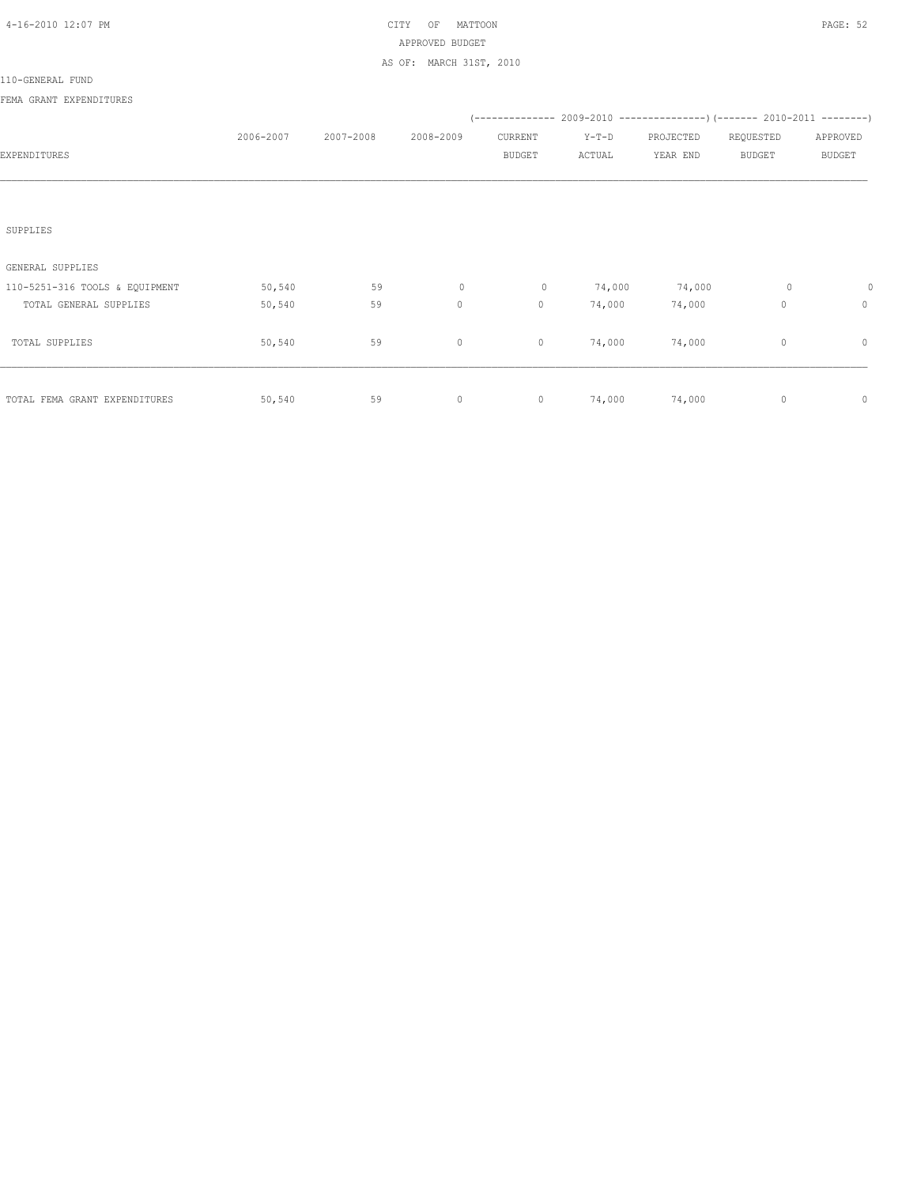## 4-16-2010 12:07 PM CITY OF MATTOON PAGE: 52 APPROVED BUDGET AS OF: MARCH 31ST, 2010

#### 110-GENERAL FUND

#### FEMA GRANT EXPENDITURES

|                                |           |           |             |               |         |           | (-------------- 2009-2010 ----------------) (------- 2010-2011 --------) |               |
|--------------------------------|-----------|-----------|-------------|---------------|---------|-----------|--------------------------------------------------------------------------|---------------|
|                                | 2006-2007 | 2007-2008 | 2008-2009   | CURRENT       | $Y-T-D$ | PROJECTED | REQUESTED                                                                | APPROVED      |
| EXPENDITURES                   |           |           |             | <b>BUDGET</b> | ACTUAL  | YEAR END  | <b>BUDGET</b>                                                            | <b>BUDGET</b> |
|                                |           |           |             |               |         |           |                                                                          |               |
|                                |           |           |             |               |         |           |                                                                          |               |
| SUPPLIES                       |           |           |             |               |         |           |                                                                          |               |
| GENERAL SUPPLIES               |           |           |             |               |         |           |                                                                          |               |
| 110-5251-316 TOOLS & EQUIPMENT | 50,540    | 59        | $\circ$     | 0             | 74,000  | 74,000    | $\mathbb O$                                                              | $\mathbf 0$   |
| TOTAL GENERAL SUPPLIES         | 50,540    | 59        | $\mathbb O$ | $\mathbb O$   | 74,000  | 74,000    | $\mathbb O$                                                              | $\circ$       |
| TOTAL SUPPLIES                 | 50,540    | 59        | $\circ$     | $\mathbb O$   | 74,000  | 74,000    | $\mathbf 0$                                                              | $\circ$       |
| TOTAL FEMA GRANT EXPENDITURES  | 50,540    | 59        | $\mathbf 0$ | $\circ$       | 74,000  | 74,000    | $\mathbf 0$                                                              | $\circ$       |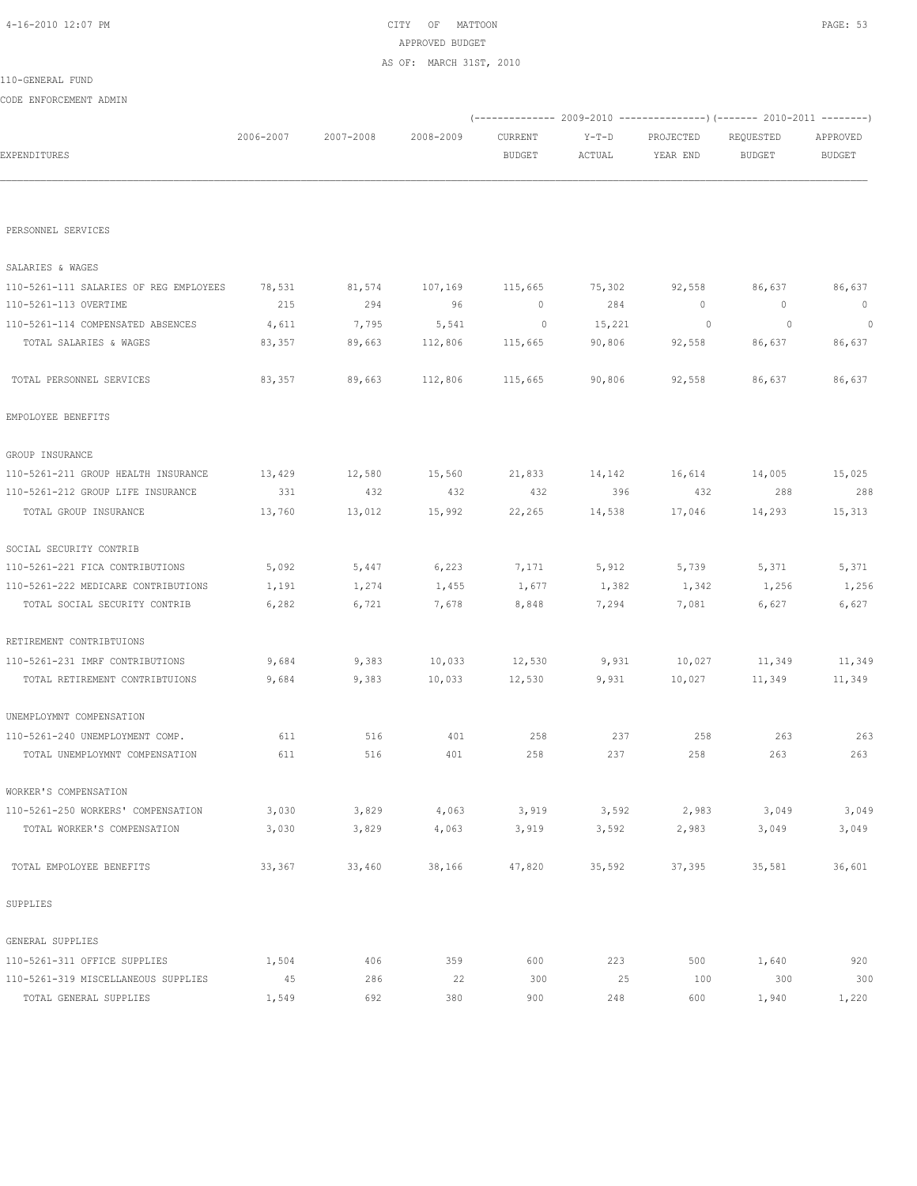## 4-16-2010 12:07 PM CITY OF MATTOON PAGE: 53 APPROVED BUDGET AS OF: MARCH 31ST, 2010

### 110-GENERAL FUND

#### CODE ENFORCEMENT ADMIN

|                                        |           |           |           |                          |                   |                       | (-------------- 2009-2010 ---------------) (------- 2010-2011 --------) |                           |
|----------------------------------------|-----------|-----------|-----------|--------------------------|-------------------|-----------------------|-------------------------------------------------------------------------|---------------------------|
| EXPENDITURES                           | 2006-2007 | 2007-2008 | 2008-2009 | CURRENT<br><b>BUDGET</b> | $Y-T-D$<br>ACTUAL | PROJECTED<br>YEAR END | REQUESTED<br>BUDGET                                                     | APPROVED<br><b>BUDGET</b> |
|                                        |           |           |           |                          |                   |                       |                                                                         |                           |
| PERSONNEL SERVICES                     |           |           |           |                          |                   |                       |                                                                         |                           |
| SALARIES & WAGES                       |           |           |           |                          |                   |                       |                                                                         |                           |
| 110-5261-111 SALARIES OF REG EMPLOYEES | 78,531    | 81,574    | 107,169   | 115,665                  | 75,302            | 92,558                | 86,637                                                                  | 86,637                    |
| 110-5261-113 OVERTIME                  | 215       | 294       | 96        | $\mathbf 0$              | 284               | $\mathbb O$           | $\circ$                                                                 | $\overline{0}$            |
| 110-5261-114 COMPENSATED ABSENCES      | 4,611     | 7,795     | 5,541     | $\circ$                  | 15,221            | $\circ$               | $\mathbf 0$                                                             | $\mathbf 0$               |
| TOTAL SALARIES & WAGES                 | 83,357    | 89,663    | 112,806   | 115,665                  | 90,806            | 92,558                | 86,637                                                                  | 86,637                    |
| TOTAL PERSONNEL SERVICES               | 83,357    | 89,663    | 112,806   | 115,665                  | 90,806            | 92,558                | 86,637                                                                  | 86,637                    |
| EMPOLOYEE BENEFITS                     |           |           |           |                          |                   |                       |                                                                         |                           |
| GROUP INSURANCE                        |           |           |           |                          |                   |                       |                                                                         |                           |
| 110-5261-211 GROUP HEALTH INSURANCE    | 13,429    | 12,580    | 15,560    | 21,833                   | 14,142            | 16,614                | 14,005                                                                  | 15,025                    |
| 110-5261-212 GROUP LIFE INSURANCE      | 331       | 432       | 432       | 432                      | 396               | 432                   | 288                                                                     | 288                       |
| TOTAL GROUP INSURANCE                  | 13,760    | 13,012    | 15,992    | 22,265                   | 14,538            | 17,046                | 14,293                                                                  | 15,313                    |
| SOCIAL SECURITY CONTRIB                |           |           |           |                          |                   |                       |                                                                         |                           |
| 110-5261-221 FICA CONTRIBUTIONS        | 5,092     | 5,447     | 6,223     | 7,171                    | 5,912             | 5,739                 | 5,371                                                                   | 5,371                     |
| 110-5261-222 MEDICARE CONTRIBUTIONS    | 1,191     | 1,274     | 1,455     | 1,677                    | 1,382             | 1,342                 | 1,256                                                                   | 1,256                     |
| TOTAL SOCIAL SECURITY CONTRIB          | 6,282     | 6,721     | 7,678     | 8,848                    | 7,294             | 7,081                 | 6,627                                                                   | 6,627                     |
| RETIREMENT CONTRIBTUIONS               |           |           |           |                          |                   |                       |                                                                         |                           |
| 110-5261-231 IMRF CONTRIBUTIONS        | 9,684     | 9,383     | 10,033    | 12,530                   | 9,931             | 10,027                | 11,349                                                                  | 11,349                    |
| TOTAL RETIREMENT CONTRIBTUIONS         | 9,684     | 9,383     | 10,033    | 12,530                   | 9,931             | 10,027                | 11,349                                                                  | 11,349                    |
| UNEMPLOYMNT COMPENSATION               |           |           |           |                          |                   |                       |                                                                         |                           |
| 110-5261-240 UNEMPLOYMENT COMP.        | 611       | 516       | 401       | 258                      | 237               | 258                   | 263                                                                     | 263                       |
| TOTAL UNEMPLOYMNT COMPENSATION         | 611       | 516       | 401       | 258                      | 237               | 258                   | 263                                                                     | 263                       |
| WORKER'S COMPENSATION                  |           |           |           |                          |                   |                       |                                                                         |                           |
| 110-5261-250 WORKERS' COMPENSATION     | 3,030     | 3,829     | 4,063     | 3,919                    | 3,592             | 2,983                 | 3,049                                                                   | 3,049                     |
| TOTAL WORKER'S COMPENSATION            | 3,030     | 3,829     | 4,063     | 3,919                    | 3,592             | 2,983                 | 3,049                                                                   | 3,049                     |
| TOTAL EMPOLOYEE BENEFITS               | 33,367    | 33,460    | 38,166    | 47,820                   | 35,592            | 37,395                | 35,581                                                                  | 36,601                    |
| SUPPLIES                               |           |           |           |                          |                   |                       |                                                                         |                           |
| GENERAL SUPPLIES                       |           |           |           |                          |                   |                       |                                                                         |                           |
| 110-5261-311 OFFICE SUPPLIES           | 1,504     | 406       | 359       | 600                      | 223               | 500                   | 1,640                                                                   | 920                       |
| 110-5261-319 MISCELLANEOUS SUPPLIES    | 45        | 286       | 22        | 300                      | 25                | 100                   | 300                                                                     | 300                       |
| TOTAL GENERAL SUPPLIES                 | 1,549     | 692       | 380       | 900                      | 248               | 600                   | 1,940                                                                   | 1,220                     |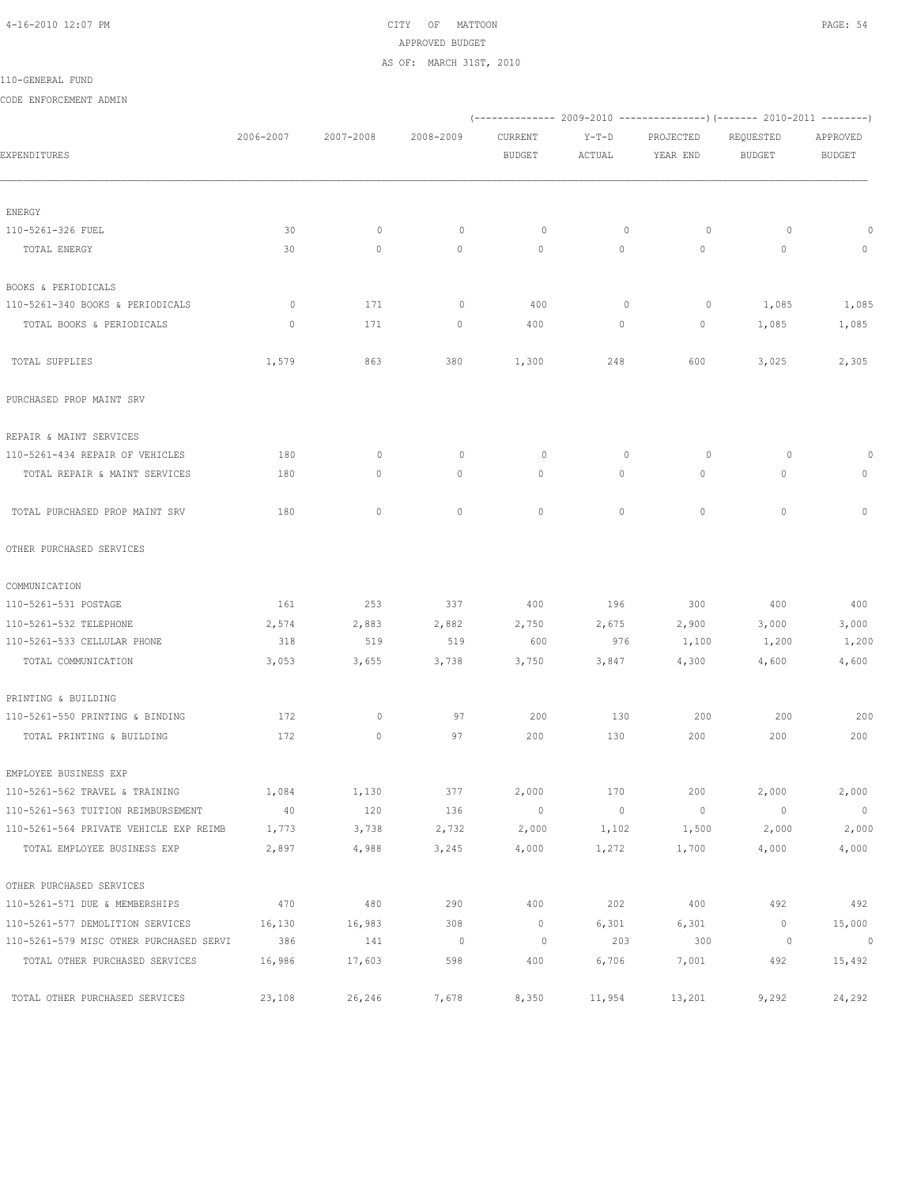## 4-16-2010 12:07 PM CITY OF MATTOON PAGE: 54 APPROVED BUDGET AS OF: MARCH 31ST, 2010

### 110-GENERAL FUND

#### CODE ENFORCEMENT ADMIN

|                                         |           |              |              |               |              |              | (-------------- 2009-2010 ----------------) (------- 2010-2011 --------) |                |
|-----------------------------------------|-----------|--------------|--------------|---------------|--------------|--------------|--------------------------------------------------------------------------|----------------|
|                                         | 2006-2007 | 2007-2008    | 2008-2009    | CURRENT       | $Y-T-D$      | PROJECTED    | REQUESTED                                                                | APPROVED       |
| EXPENDITURES                            |           |              |              | <b>BUDGET</b> | ACTUAL       | YEAR END     | <b>BUDGET</b>                                                            | <b>BUDGET</b>  |
|                                         |           |              |              |               |              |              |                                                                          |                |
| ENERGY<br>110-5261-326 FUEL             | 30        | $\mathbf{0}$ | 0            | 0             | $\mathbf 0$  | 0            | 0                                                                        | $\mathbf 0$    |
| TOTAL ENERGY                            | 30        | $\circ$      | $\mathbf{0}$ | $\circ$       | 0            | $\mathbf{0}$ | 0                                                                        | 0              |
| BOOKS & PERIODICALS                     |           |              |              |               |              |              |                                                                          |                |
| 110-5261-340 BOOKS & PERIODICALS        | 0         | 171          | 0            | 400           | 0            | $\mathbf 0$  | 1,085                                                                    | 1,085          |
| TOTAL BOOKS & PERIODICALS               | 0         | 171          | 0            | 400           | 0            | 0            | 1,085                                                                    | 1,085          |
| TOTAL SUPPLIES                          | 1,579     | 863          | 380          | 1,300         | 248          | 600          | 3,025                                                                    | 2,305          |
| PURCHASED PROP MAINT SRV                |           |              |              |               |              |              |                                                                          |                |
| REPAIR & MAINT SERVICES                 |           |              |              |               |              |              |                                                                          |                |
| 110-5261-434 REPAIR OF VEHICLES         | 180       | $\mathbf{0}$ | 0            | 0             | $\mathbf{0}$ | 0            | 0                                                                        | 0              |
| TOTAL REPAIR & MAINT SERVICES           | 180       | $\circ$      | $\mathbf{0}$ | $\mathbf{0}$  | 0            | 0            | 0                                                                        | 0              |
| TOTAL PURCHASED PROP MAINT SRV          | 180       | $\mathbb O$  | $\circ$      | $\circ$       | $\circ$      | $\circ$      | $\circ$                                                                  | $\circ$        |
| OTHER PURCHASED SERVICES                |           |              |              |               |              |              |                                                                          |                |
| COMMUNICATION                           |           |              |              |               |              |              |                                                                          |                |
| 110-5261-531 POSTAGE                    | 161       | 253          | 337          | 400           | 196          | 300          | 400                                                                      | 400            |
| 110-5261-532 TELEPHONE                  | 2,574     | 2,883        | 2,882        | 2,750         | 2,675        | 2,900        | 3,000                                                                    | 3,000          |
| 110-5261-533 CELLULAR PHONE             | 318       | 519          | 519          | 600           | 976          | 1,100        | 1,200                                                                    | 1,200          |
| TOTAL COMMUNICATION                     | 3,053     | 3,655        | 3,738        | 3,750         | 3,847        | 4,300        | 4,600                                                                    | 4,600          |
| PRINTING & BUILDING                     |           |              |              |               |              |              |                                                                          |                |
| 110-5261-550 PRINTING & BINDING         | 172       | 0            | 97           | 200           | 130          | 200          | 200                                                                      | 200            |
| TOTAL PRINTING & BUILDING               | 172       | $\circ$      | 97           | 200           | 130          | 200          | 200                                                                      | 200            |
| EMPLOYEE BUSINESS EXP                   |           |              |              |               |              |              |                                                                          |                |
| 110-5261-562 TRAVEL & TRAINING          | 1,084     | 1,130        | 377          | 2,000         | 170          | 200          | 2,000                                                                    | 2,000          |
| 110-5261-563 TUITION REIMBURSEMENT      | 40        | 120          | 136          | $\mathbb O$   | $\circ$      | $\circ$      | $\mathbb{O}$                                                             | $\overline{0}$ |
| 110-5261-564 PRIVATE VEHICLE EXP REIMB  | 1,773     | 3,738        | 2,732        | 2,000         | 1,102        | 1,500        | 2,000                                                                    | 2,000          |
| TOTAL EMPLOYEE BUSINESS EXP             | 2,897     | 4,988        | 3,245        | 4,000         | 1,272        | 1,700        | 4,000                                                                    | 4,000          |
| OTHER PURCHASED SERVICES                |           |              |              |               |              |              |                                                                          |                |
| 110-5261-571 DUE & MEMBERSHIPS          | 470       | 480          | 290          | 400           | 202          | 400          | 492                                                                      | 492            |
| 110-5261-577 DEMOLITION SERVICES        | 16,130    | 16,983       | 308          | $\mathbb O$   | 6,301        | 6,301        | $\circ$                                                                  | 15,000         |
| 110-5261-579 MISC OTHER PURCHASED SERVI | 386       | 141          | $\circ$      | 0             | 203          | 300          | $\mathbf 0$                                                              | $\mathbb O$    |
| TOTAL OTHER PURCHASED SERVICES          | 16,986    | 17,603       | 598          | 400           | 6,706        | 7,001        | 492                                                                      | 15,492         |
| TOTAL OTHER PURCHASED SERVICES          | 23,108    | 26,246       | 7,678        | 8,350         | 11,954       | 13,201       | 9,292                                                                    | 24,292         |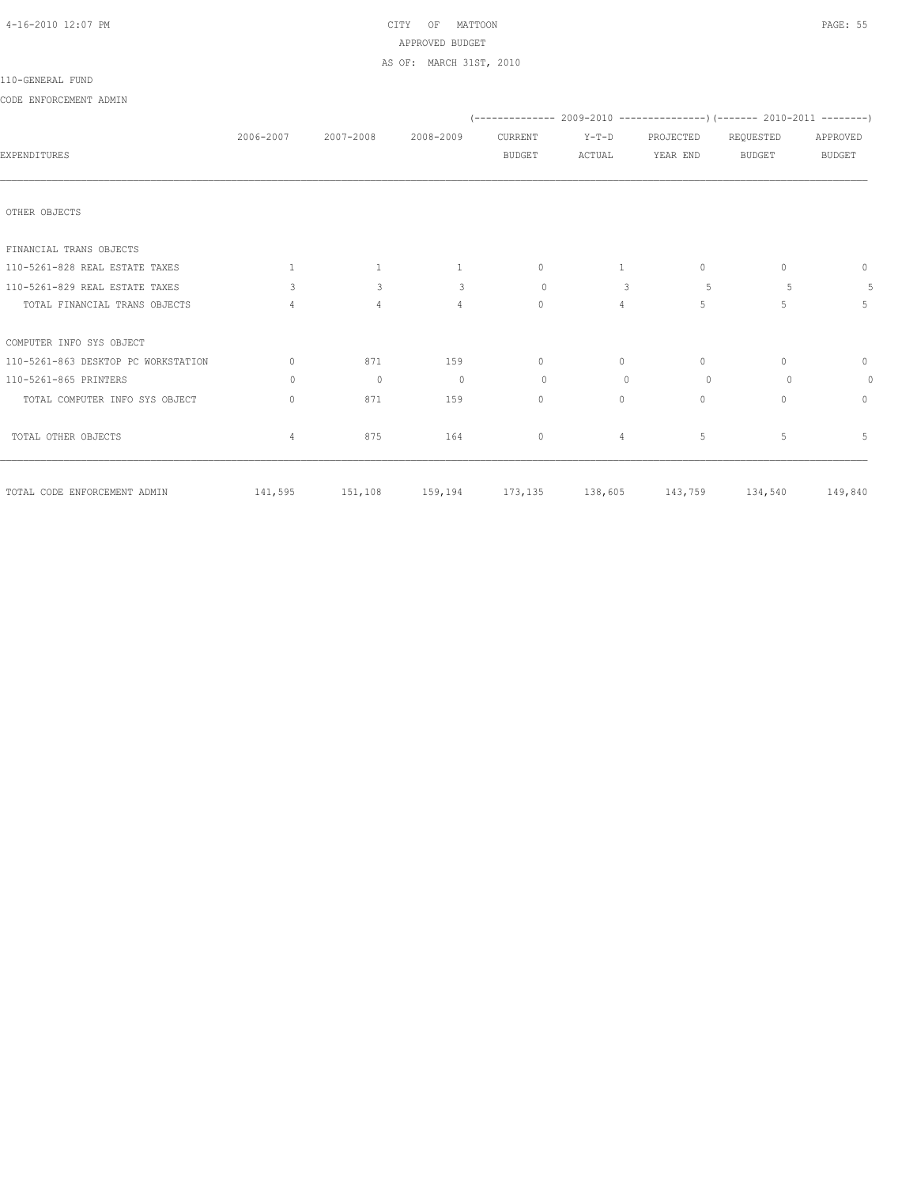## 4-16-2010 12:07 PM CITY OF MATTOON PAGE: 55 APPROVED BUDGET AS OF: MARCH 31ST, 2010

### 110-GENERAL FUND

#### CODE ENFORCEMENT ADMIN

|                                     | 2006-2007      | 2007-2008      | 2008-2009      | CURRENT                                                           | $Y-T-D$        | PROJECTED    | REQUESTED     | APPROVED      |
|-------------------------------------|----------------|----------------|----------------|-------------------------------------------------------------------|----------------|--------------|---------------|---------------|
| EXPENDITURES                        |                |                |                | <b>BUDGET</b>                                                     | <b>ACTUAL</b>  | YEAR END     | <b>BUDGET</b> | <b>BUDGET</b> |
|                                     |                |                |                |                                                                   |                |              |               |               |
| OTHER OBJECTS                       |                |                |                |                                                                   |                |              |               |               |
| FINANCIAL TRANS OBJECTS             |                |                |                |                                                                   |                |              |               |               |
| 110-5261-828 REAL ESTATE TAXES      | $\mathbf{1}$   | $\mathbf{1}$   | $\mathbf{1}$   | $\circ$                                                           | $\mathbf{1}$   | $\circ$      | $\mathbf{0}$  | $\circ$       |
| 110-5261-829 REAL ESTATE TAXES      | 3              | $\mathbf{3}$   | 3              | $\circ$                                                           | 3              | 5            | 5             | 5             |
| TOTAL FINANCIAL TRANS OBJECTS       | 4              | $\overline{4}$ | 4              | $\circ$                                                           | $\overline{4}$ | 5            | 5             | $5 -$         |
| COMPUTER INFO SYS OBJECT            |                |                |                |                                                                   |                |              |               |               |
| 110-5261-863 DESKTOP PC WORKSTATION | $\circ$        | 871            | 159            | $\circ$                                                           | $\circ$        | $\circ$      | $\mathbf{0}$  | $\circ$       |
| 110-5261-865 PRINTERS               | $\circ$        | $\mathbf{0}$   | $\overline{0}$ | $\circ$                                                           | $\mathbf{0}$   | $\mathbf{0}$ | $\mathbf{0}$  | $\mathbb O$   |
| TOTAL COMPUTER INFO SYS OBJECT      | $\mathbf{0}$   | 871            | 159            | $\mathbf{0}$                                                      | $\circ$        | $\circ$      | $\Omega$      | $\circ$       |
| TOTAL OTHER OBJECTS                 | $\overline{4}$ | 875            | 164            | $\mathbf{0}$                                                      | $\overline{4}$ | 5            | 5             | 5             |
| TOTAL CODE ENFORCEMENT ADMIN        |                |                |                | $141,595$ 151,108 159,194 173,135 138,605 143,759 134,540 149,840 |                |              |               |               |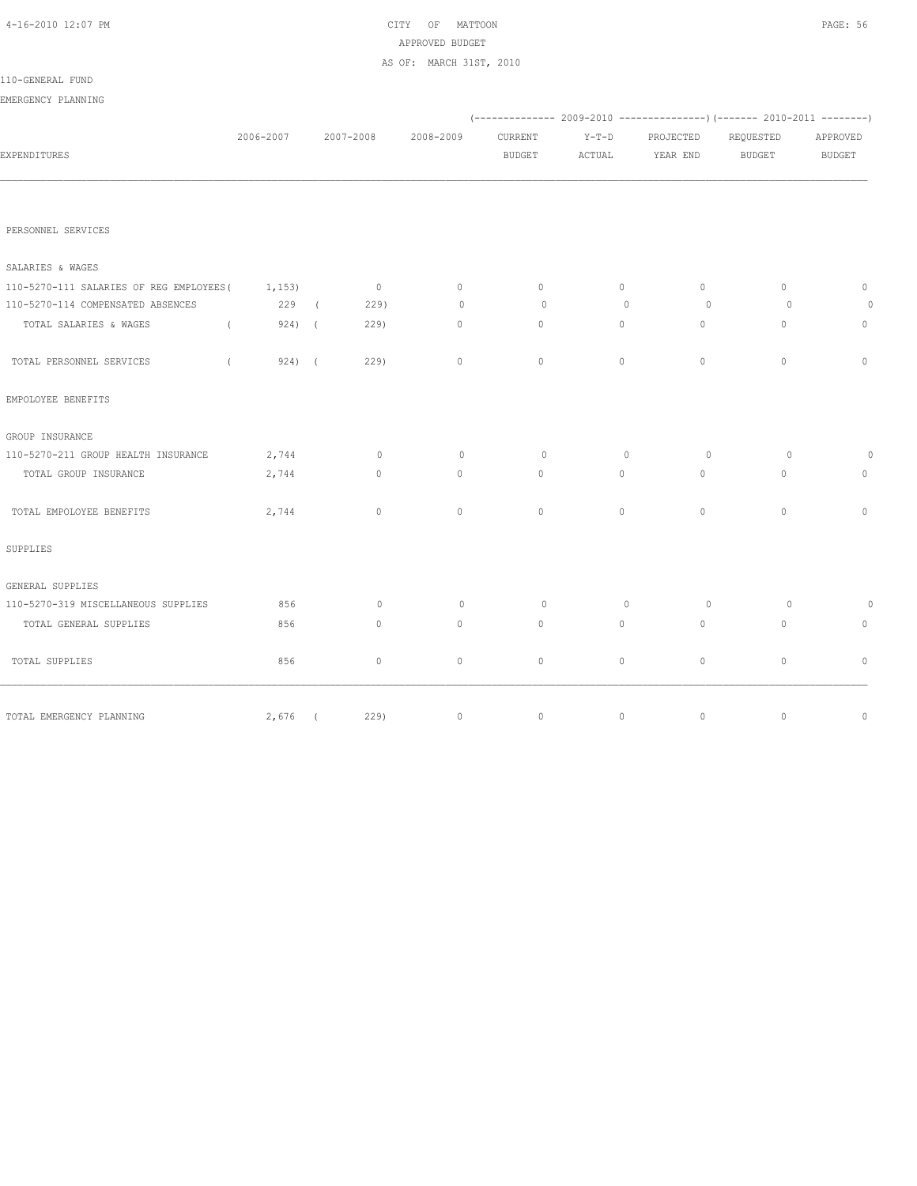## 4-16-2010 12:07 PM CITY OF MATTOON PAGE: 56 APPROVED BUDGET AS OF: MARCH 31ST, 2010

#### 110-GENERAL FUND

#### EMERGENCY PLANNING

|                                                  |           |                                                                                                                                                                                                                                                                     |                   |                |                |              | (-------------- 2009-2010 ----------------) (------- 2010-2011 --------) |                |
|--------------------------------------------------|-----------|---------------------------------------------------------------------------------------------------------------------------------------------------------------------------------------------------------------------------------------------------------------------|-------------------|----------------|----------------|--------------|--------------------------------------------------------------------------|----------------|
|                                                  | 2006-2007 | 2007-2008                                                                                                                                                                                                                                                           | 2008-2009         | CURRENT        | $Y-T-D$        | PROJECTED    | REQUESTED                                                                | APPROVED       |
| EXPENDITURES                                     |           |                                                                                                                                                                                                                                                                     |                   | <b>BUDGET</b>  | ACTUAL         | YEAR END     | <b>BUDGET</b>                                                            | <b>BUDGET</b>  |
|                                                  |           |                                                                                                                                                                                                                                                                     |                   |                |                |              |                                                                          |                |
|                                                  |           |                                                                                                                                                                                                                                                                     |                   |                |                |              |                                                                          |                |
| PERSONNEL SERVICES                               |           |                                                                                                                                                                                                                                                                     |                   |                |                |              |                                                                          |                |
|                                                  |           |                                                                                                                                                                                                                                                                     |                   |                |                |              |                                                                          |                |
| SALARIES & WAGES                                 |           |                                                                                                                                                                                                                                                                     |                   |                |                |              |                                                                          |                |
| 110-5270-111 SALARIES OF REG EMPLOYEES (1,153) 0 |           |                                                                                                                                                                                                                                                                     | $\sim$ 0          | $\circ$        | $\circ$        | $\circ$      | $\Omega$                                                                 | $\Omega$       |
| 110-5270-114 COMPENSATED ABSENCES                | $229$ (   | 229)                                                                                                                                                                                                                                                                | $\overline{0}$    | $\overline{0}$ | $\overline{0}$ | $\Omega$     | $\Omega$                                                                 | $\overline{0}$ |
| TOTAL SALARIES & WAGES                           | $924)$ (  | 229)                                                                                                                                                                                                                                                                | $\circ$           | $\circ$        | $\circ$        | $\circ$      | $\Omega$                                                                 | $\mathbf{0}$   |
| TOTAL PERSONNEL SERVICES<br>$\sqrt{2}$           | 924) (    | 229                                                                                                                                                                                                                                                                 | $\mathbf{0}$      | $\mathbf{0}$   | $\circ$        | $\circ$      | $\circ$                                                                  | $\mathbf{0}$   |
| EMPOLOYEE BENEFITS                               |           |                                                                                                                                                                                                                                                                     |                   |                |                |              |                                                                          |                |
| GROUP INSURANCE                                  |           |                                                                                                                                                                                                                                                                     |                   |                |                |              |                                                                          |                |
| 110-5270-211 GROUP HEALTH INSURANCE              | 2,744     | $\sim$ 0.000 $\sim$ 0.000 $\sim$ 0.000 $\sim$ 0.000 $\sim$ 0.000 $\sim$ 0.000 $\sim$ 0.000 $\sim$ 0.000 $\sim$ 0.000 $\sim$ 0.000 $\sim$ 0.000 $\sim$ 0.000 $\sim$ 0.000 $\sim$ 0.000 $\sim$ 0.000 $\sim$ 0.000 $\sim$ 0.000 $\sim$ 0.000 $\sim$ 0.000 $\sim$ 0.000 | $\sim$ 0          | $\sim$ 0       | $\sim$ 0       | $\Omega$     | $\circ$                                                                  | $\circ$        |
| TOTAL GROUP INSURANCE                            | 2,744     | $\circ$                                                                                                                                                                                                                                                             | $0 \qquad \qquad$ | $\circ$        | $\circ$        | $\circ$      | $\Omega$                                                                 | $\mathbf{0}$   |
| TOTAL EMPOLOYEE BENEFITS                         | 2,744     | $\circ$                                                                                                                                                                                                                                                             | $\circ$           | $\mathbf{0}$   | $\circ$        | $\circ$      | $\mathbf{0}$                                                             | $\Omega$       |
| SUPPLIES                                         |           |                                                                                                                                                                                                                                                                     |                   |                |                |              |                                                                          |                |
| GENERAL SUPPLIES                                 |           |                                                                                                                                                                                                                                                                     |                   |                |                |              |                                                                          |                |
| 110-5270-319 MISCELLANEOUS SUPPLIES              | 856       | $\circ$                                                                                                                                                                                                                                                             | $\circ$           | $\circ$        | $\circ$        | $\mathbf{0}$ | $\mathbf{0}$                                                             | $\circ$        |
| TOTAL GENERAL SUPPLIES                           | 856       | $\Omega$                                                                                                                                                                                                                                                            | $\mathbf{0}$      | $\circ$        | $\circ$        | $\mathbf{0}$ | $\circ$                                                                  | $\mathbf{0}$   |

 TOTAL SUPPLIES 856 0 0 0 0 0 0 0 \_\_\_\_\_\_\_\_\_\_\_\_\_\_\_\_\_\_\_\_\_\_\_\_\_\_\_\_\_\_\_\_\_\_\_\_\_\_\_\_\_\_\_\_\_\_\_\_\_\_\_\_\_\_\_\_\_\_\_\_\_\_\_\_\_\_\_\_\_\_\_\_\_\_\_\_\_\_\_\_\_\_\_\_\_\_\_\_\_\_\_\_\_\_\_\_\_\_\_\_\_\_\_\_\_\_\_\_\_\_\_\_\_\_\_\_\_\_\_\_\_\_\_\_\_\_\_\_\_\_\_\_\_\_\_\_\_\_\_\_\_\_\_\_\_\_\_\_\_\_

TOTAL EMERGENCY PLANNING 2,676 ( 229) 0 0 0 0 0 0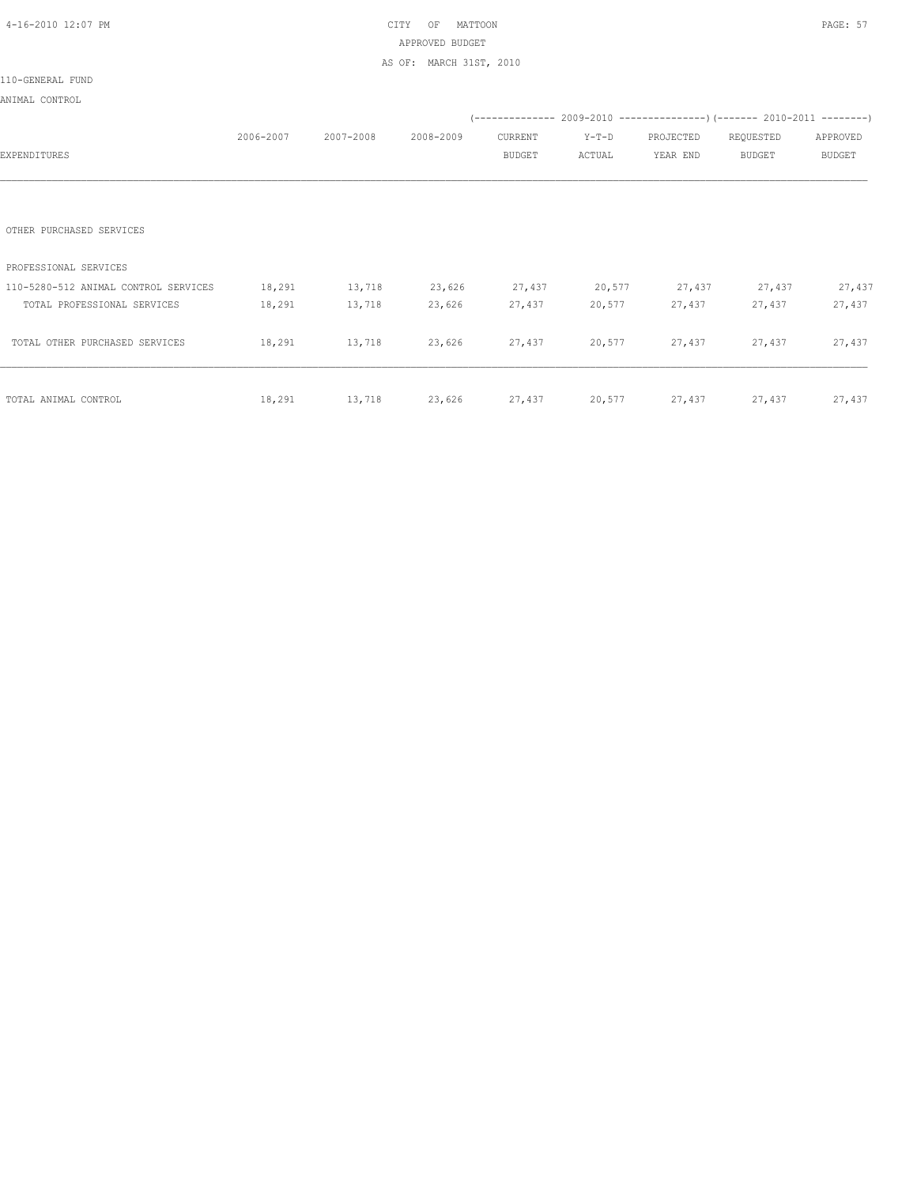## 4-16-2010 12:07 PM CITY OF MATTOON PAGE: 57 APPROVED BUDGET AS OF: MARCH 31ST, 2010

## 110-GENERAL FUND

ANIMAL CONTROL

|                                      |           |           |           |                          |                   |                       | $(---------- 2009-2010 ------------)$ $(---- 2010-2011 ------)$ |                    |
|--------------------------------------|-----------|-----------|-----------|--------------------------|-------------------|-----------------------|-----------------------------------------------------------------|--------------------|
| EXPENDITURES                         | 2006-2007 | 2007-2008 | 2008-2009 | CURRENT<br><b>BUDGET</b> | $Y-T-D$<br>ACTUAL | PROJECTED<br>YEAR END | REQUESTED<br>BUDGET                                             | APPROVED<br>BUDGET |
|                                      |           |           |           |                          |                   |                       |                                                                 |                    |
| OTHER PURCHASED SERVICES             |           |           |           |                          |                   |                       |                                                                 |                    |
| PROFESSIONAL SERVICES                |           |           |           |                          |                   |                       |                                                                 |                    |
| 110-5280-512 ANIMAL CONTROL SERVICES | 18,291    | 13,718    | 23,626    | 27,437                   | 20,577            | 27,437                | 27,437                                                          | 27,437             |
| TOTAL PROFESSIONAL SERVICES          | 18,291    | 13,718    | 23,626    | 27,437                   | 20,577            | 27,437                | 27,437                                                          | 27,437             |
| TOTAL OTHER PURCHASED SERVICES       | 18,291    | 13,718    | 23,626    | 27,437                   | 20,577            | 27,437                | 27,437                                                          | 27,437             |
| TOTAL ANIMAL CONTROL                 | 18,291    | 13,718    | 23,626    | 27,437                   | 20,577            | 27,437                | 27,437                                                          | 27,437             |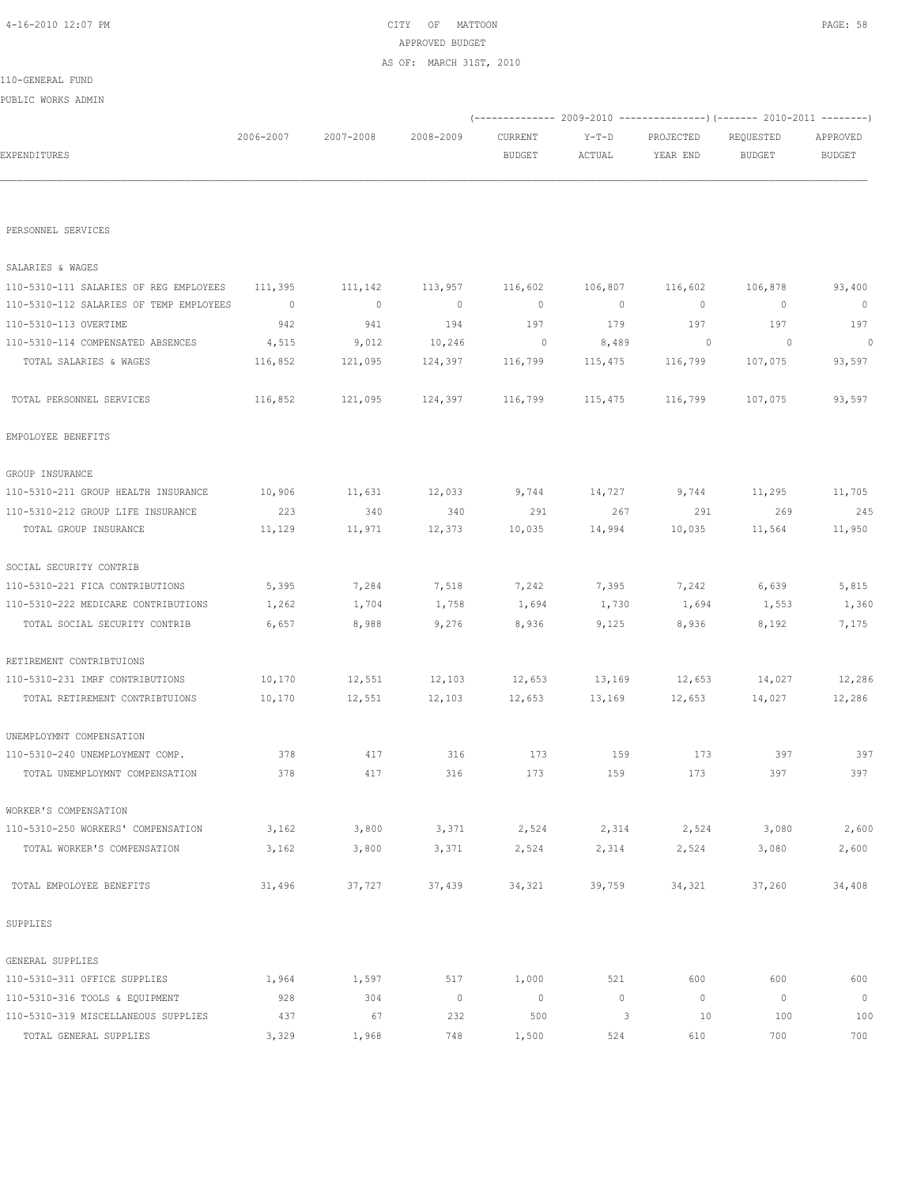# APPROVED BUDGET AS OF: MARCH 31ST, 2010

#### 110-GENERAL FUND

UNEMPLOYMNT COMPENSATION

WORKER'S COMPENSATION

SUPPLIES

GENERAL SUPPLIES

| PUBLIC WORKS ADMIN                      |           |                 |           |                 |          |                           |                                                                         |                |
|-----------------------------------------|-----------|-----------------|-----------|-----------------|----------|---------------------------|-------------------------------------------------------------------------|----------------|
|                                         |           |                 |           |                 |          |                           | (-------------- 2009-2010 ----------------) (------- 2010-2011 -------- |                |
|                                         | 2006-2007 | 2007-2008       | 2008-2009 | CURRENT         | $Y-T-D$  | PROJECTED                 | REQUESTED                                                               | APPROVED       |
| EXPENDITURES                            |           |                 |           | <b>BUDGET</b>   | ACTUAL   | YEAR END                  | <b>BUDGET</b>                                                           | <b>BUDGET</b>  |
| PERSONNEL SERVICES                      |           |                 |           |                 |          |                           |                                                                         |                |
| SALARIES & WAGES                        |           |                 |           |                 |          |                           |                                                                         |                |
| 110-5310-111 SALARIES OF REG EMPLOYEES  | 111,395   | 111,142         | 113,957   | 116,602         | 106,807  | 116,602                   | 106,878                                                                 | 93,400         |
| 110-5310-112 SALARIES OF TEMP EMPLOYEES | $\sim$ 0  | $\sim$ 0        | $\sim$ 0  | $\overline{0}$  | $\sim$ 0 | $\sim$ 0                  | $\sim$ 0                                                                | $\overline{0}$ |
| 110-5310-113 OVERTIME                   | 942       | 941             | 194       | 197             | 179      | 197                       | 197                                                                     | 197            |
| 110-5310-114 COMPENSATED ABSENCES       | 4,515     | 9,012           | 10,246    | $\sim$ 0        | 8,489    | $\sim$ 0                  | $\overline{0}$                                                          | $\mathbf 0$    |
| TOTAL SALARIES & WAGES                  | 116,852   | 121,095         | 124,397   | 116,799         | 115,475  | 116,799                   | 107,075                                                                 | 93,597         |
| TOTAL PERSONNEL SERVICES                |           | 116,852 121,095 |           | 124,397 116,799 |          | 115,475 116,799           | 107,075                                                                 | 93,597         |
| EMPOLOYEE BENEFITS                      |           |                 |           |                 |          |                           |                                                                         |                |
| GROUP INSURANCE                         |           |                 |           |                 |          |                           |                                                                         |                |
| 110-5310-211 GROUP HEALTH INSURANCE     | 10,906    | 11,631          | 12,033    |                 |          | 9,744 14,727 9,744 11,295 |                                                                         | 11,705         |
| 110-5310-212 GROUP LIFE INSURANCE       | 223       | 340             | 340       | 291             | 267      | 291                       | 269                                                                     | 245            |
| TOTAL GROUP INSURANCE                   | 11,129    | 11,971          | 12,373    | 10,035          | 14,994   | 10,035                    | 11,564                                                                  | 11,950         |
| SOCIAL SECURITY CONTRIB                 |           |                 |           |                 |          |                           |                                                                         |                |
| 110-5310-221 FICA CONTRIBUTIONS         | 5,395     | 7,284           | 7,518     | 7,242           | 7,395    | 7,242                     | 6,639                                                                   | 5,815          |
| 110-5310-222 MEDICARE CONTRIBUTIONS     | 1,262     | 1,704           | 1,758     | 1,694           | 1,730    | 1,694                     | 1,553                                                                   | 1,360          |
| TOTAL SOCIAL SECURITY CONTRIB           | 6,657     | 8,988           | 9,276     | 8,936           | 9,125    | 8,936                     | 8,192                                                                   | 7,175          |
| RETIREMENT CONTRIBTUIONS                |           |                 |           |                 |          |                           |                                                                         |                |
| 110-5310-231 IMRF CONTRIBUTIONS         | 10,170    | 12,551          | 12,103    | 12,653          | 13,169   | 12,653                    | 14,027                                                                  | 12,286         |

TOTAL RETIREMENT CONTRIBTUIONS 10,170 12,551 12,103 12,653 13,169 12,653 14,027 12,286

 110-5310-240 UNEMPLOYMENT COMP. 378 417 316 173 159 173 397 397 TOTAL UNEMPLOYMNT COMPENSATION 378 417 316 173 159 173 397 397 397

 110-5310-250 WORKERS' COMPENSATION 3,162 3,800 3,371 2,524 2,314 2,524 3,080 2,600 TOTAL WORKER'S COMPENSATION 3,162 3,800 3,371 2,524 2,314 2,524 3,080 2,600

TOTAL EMPOLOYEE BENEFITS 31,496 37,727 37,439 34,321 39,759 34,321 37,260 34,408

 110-5310-311 OFFICE SUPPLIES 1,964 1,597 517 1,000 521 600 600 600 110-5310-316 TOOLS & EQUIPMENT 928 304 0 0 0 0 0 0 110-5310-319 MISCELLANEOUS SUPPLIES 437 67 232 500 3 10 100 100 TOTAL GENERAL SUPPLIES 3,329 1,968 748 1,500 524 610 700 700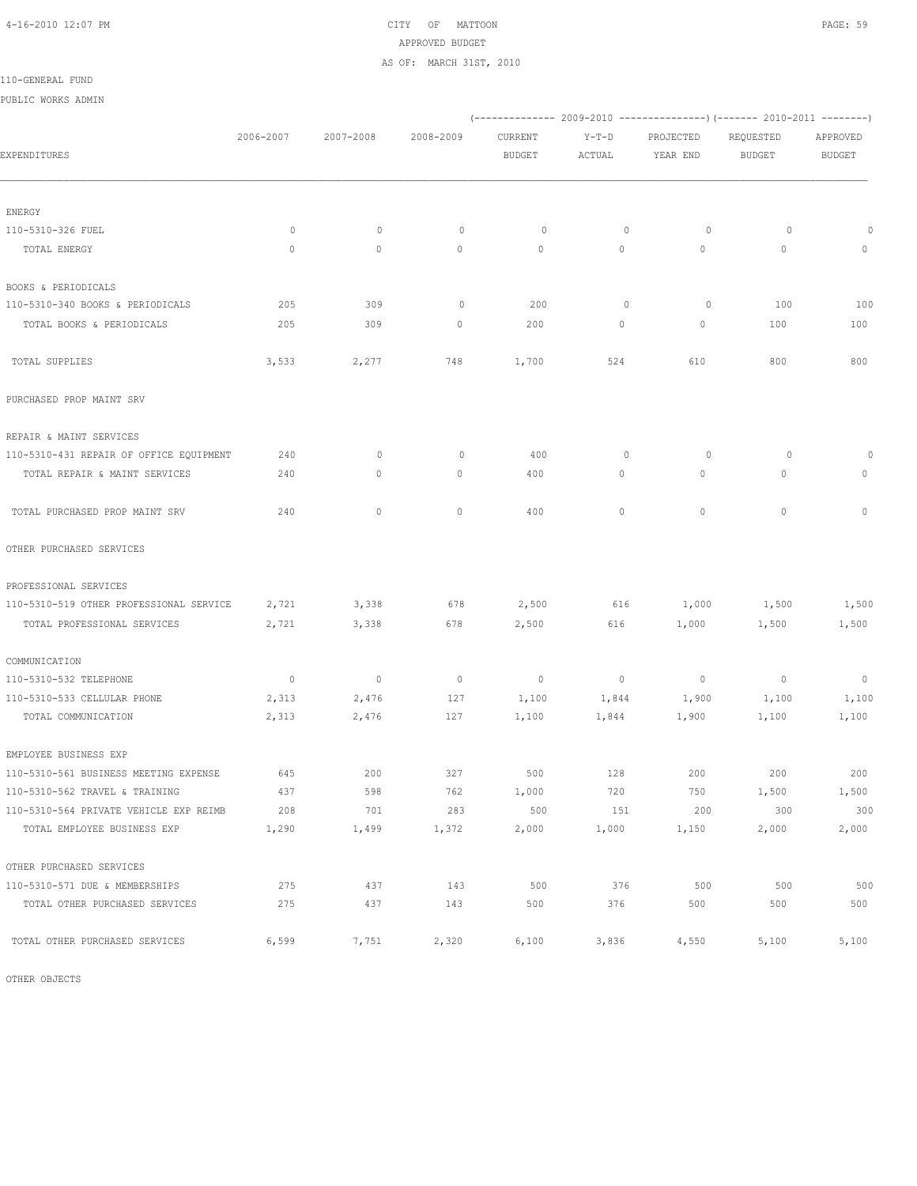## 4-16-2010 12:07 PM CITY OF MATTOON PAGE: 59 APPROVED BUDGET AS OF: MARCH 31ST, 2010

#### 110-GENERAL FUND

#### PUBLIC WORKS ADMIN

|                                         |                         |                          |                    |                    |                          |                        | (------------- 2009-2010 ---------------)(------- 2010-2011 --------) |                  |
|-----------------------------------------|-------------------------|--------------------------|--------------------|--------------------|--------------------------|------------------------|-----------------------------------------------------------------------|------------------|
|                                         | 2006-2007               | 2007-2008                | 2008-2009          | CURRENT            | $Y-T-D$                  | PROJECTED              | REQUESTED                                                             | APPROVED         |
| EXPENDITURES                            |                         |                          |                    | <b>BUDGET</b>      | ACTUAL                   | YEAR END               | <b>BUDGET</b>                                                         | <b>BUDGET</b>    |
|                                         |                         |                          |                    |                    |                          |                        |                                                                       |                  |
| ENERGY                                  |                         |                          |                    |                    |                          |                        |                                                                       |                  |
| 110-5310-326 FUEL<br>TOTAL ENERGY       | $\circ$<br>$\mathbf{0}$ | $\circ$<br>$\circ$       | $\circ$<br>$\circ$ | $\circ$<br>$\circ$ | $\mathbf 0$<br>0         | $\mathbf 0$<br>$\circ$ | $\circ$<br>0                                                          | $\mathbb O$<br>0 |
| BOOKS & PERIODICALS                     |                         |                          |                    |                    |                          |                        |                                                                       |                  |
| 110-5310-340 BOOKS & PERIODICALS        | 205                     | 309                      | $\circ$            | 200                | $\circ$                  | $\mathbf 0$            | 100                                                                   | 100              |
| TOTAL BOOKS & PERIODICALS               | 205                     | 309                      | $\circ$            | 200                | 0                        | 0                      | 100                                                                   | 100              |
| TOTAL SUPPLIES                          | 3,533                   | 2,277                    | 748                | 1,700              | 524                      | 610                    | 800                                                                   | 800              |
| PURCHASED PROP MAINT SRV                |                         |                          |                    |                    |                          |                        |                                                                       |                  |
| REPAIR & MAINT SERVICES                 |                         |                          |                    |                    |                          |                        |                                                                       |                  |
| 110-5310-431 REPAIR OF OFFICE EQUIPMENT | 240                     | 0                        | 0                  | 400                | $\mathbf 0$              | $\mathbf 0$            | 0                                                                     | 0                |
| TOTAL REPAIR & MAINT SERVICES           | 240                     | $\circ$                  | 0                  | 400                | 0                        | $\mathbf{0}$           | 0                                                                     | 0                |
| TOTAL PURCHASED PROP MAINT SRV          | 240                     | 0                        | $\circ$            | 400                | $\circ$                  | $\circ$                | $\mathbb O$                                                           | 0                |
| OTHER PURCHASED SERVICES                |                         |                          |                    |                    |                          |                        |                                                                       |                  |
| PROFESSIONAL SERVICES                   |                         |                          |                    |                    |                          |                        |                                                                       |                  |
| 110-5310-519 OTHER PROFESSIONAL SERVICE | 2,721                   | 3,338                    | 678                | 2,500              | 616                      | 1,000                  | 1,500                                                                 | 1,500            |
| TOTAL PROFESSIONAL SERVICES             | 2,721                   | 3,338                    | 678                | 2,500              | 616                      | 1,000                  | 1,500                                                                 | 1,500            |
| COMMUNICATION                           |                         |                          |                    |                    |                          |                        |                                                                       |                  |
| 110-5310-532 TELEPHONE                  | $\overline{0}$          | $\overline{\phantom{0}}$ | $\overline{0}$     | $\circ$            | $\overline{\phantom{0}}$ | $\overline{0}$         | $\sim$ 0                                                              | $\overline{0}$   |
| 110-5310-533 CELLULAR PHONE             | 2,313                   | 2,476                    | 127                | 1,100              | 1,844                    | 1,900                  | 1,100                                                                 | 1,100            |
| TOTAL COMMUNICATION                     | 2,313                   | 2,476                    | 127                | 1,100              | 1,844                    | 1,900                  | 1,100                                                                 | 1,100            |
| EMPLOYEE BUSINESS EXP                   |                         |                          |                    |                    |                          |                        |                                                                       |                  |
| 110-5310-561 BUSINESS MEETING EXPENSE   | 645                     | 200                      | 327                | 500                | 128                      | 200                    | 200                                                                   | 200              |
| 110-5310-562 TRAVEL & TRAINING          | 437                     | 598                      | 762                | 1,000              | 720                      | 750                    | 1,500                                                                 | 1,500            |
| 110-5310-564 PRIVATE VEHICLE EXP REIMB  | 208                     | 701                      | 283                | 500                | 151                      | 200                    | 300                                                                   | 300              |
| TOTAL EMPLOYEE BUSINESS EXP             | 1,290                   | 1,499                    | 1,372              | 2,000              | 1,000                    | 1,150                  | 2,000                                                                 | 2,000            |
| OTHER PURCHASED SERVICES                |                         |                          |                    |                    |                          |                        |                                                                       |                  |
| 110-5310-571 DUE & MEMBERSHIPS          | 275                     | 437                      | 143                | 500                | 376                      | 500                    | 500                                                                   | 500              |
| TOTAL OTHER PURCHASED SERVICES          | 275                     | 437                      | 143                | 500                | 376                      | 500                    | 500                                                                   | 500              |
| TOTAL OTHER PURCHASED SERVICES          | 6,599                   | 7,751                    | 2,320              | 6,100              | 3,836                    | 4,550                  | 5,100                                                                 | 5,100            |

OTHER OBJECTS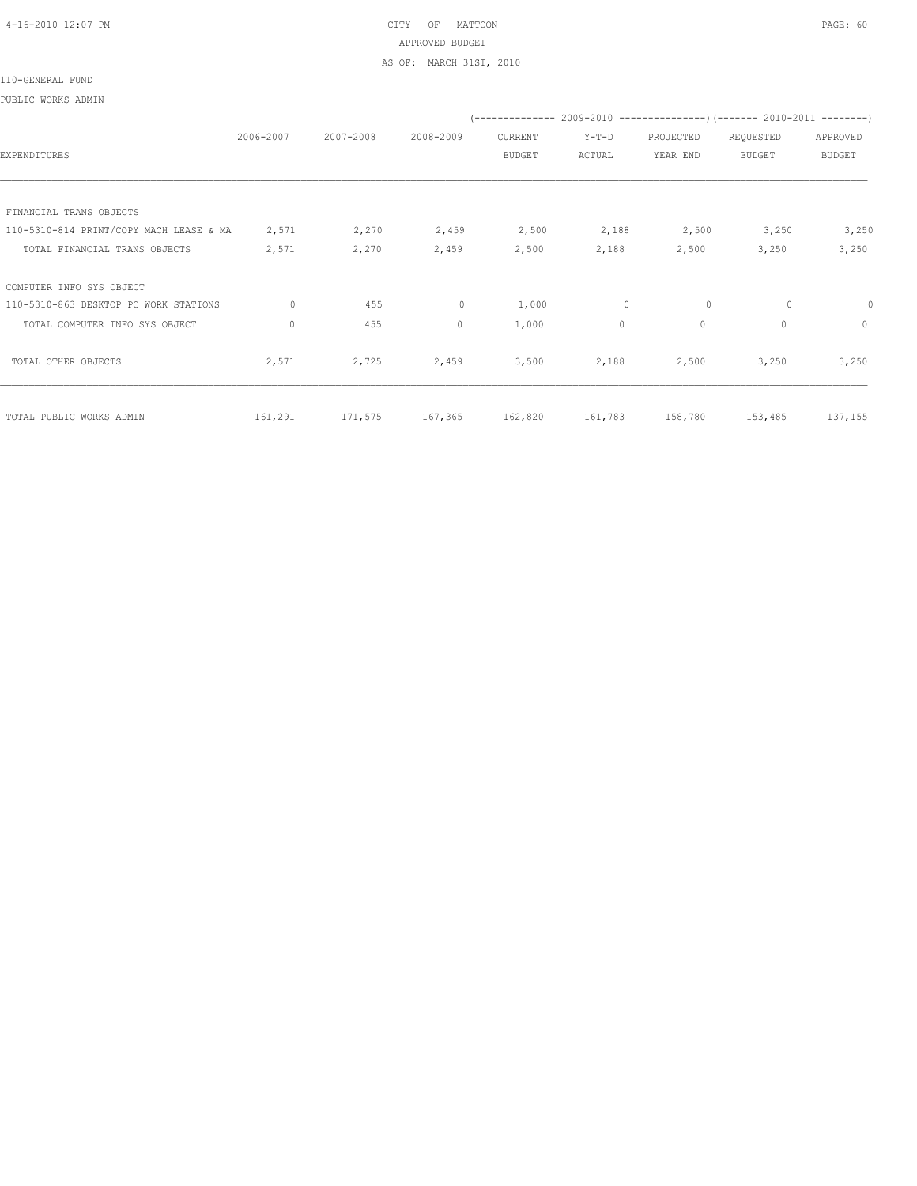## 4-16-2010 12:07 PM CITY OF MATTOON PAGE: 60 APPROVED BUDGET AS OF: MARCH 31ST, 2010

### 110-GENERAL FUND

#### PUBLIC WORKS ADMIN

|                                         |              |           |              |                                 |              |              | (-------------- 2009-2010 -----------------) (------- 2010-2011 --------) |                 |
|-----------------------------------------|--------------|-----------|--------------|---------------------------------|--------------|--------------|---------------------------------------------------------------------------|-----------------|
|                                         | 2006-2007    | 2007-2008 | 2008-2009    | CURRENT                         | $Y-T-D$      | PROJECTED    | REQUESTED                                                                 | APPROVED        |
| EXPENDITURES                            |              |           |              | <b>BUDGET</b>                   | ACTUAL       | YEAR END     | <b>BUDGET</b>                                                             | BUDGET          |
|                                         |              |           |              |                                 |              |              |                                                                           |                 |
| FINANCIAL TRANS OBJECTS                 |              |           |              |                                 |              |              |                                                                           |                 |
| 110-5310-814 PRINT/COPY MACH LEASE & MA | 2,571        | 2,270     | 2,459        | 2,500                           | 2,188        | 2,500        | 3,250                                                                     | 3,250           |
| TOTAL FINANCIAL TRANS OBJECTS           | 2,571        | 2,270     | 2,459        | 2,500                           | 2,188        | 2,500        | 3,250                                                                     | 3,250           |
| COMPUTER INFO SYS OBJECT                |              |           |              |                                 |              |              |                                                                           |                 |
| 110-5310-863 DESKTOP PC WORK STATIONS   | $\circ$      | 455       | $\circ$      | 1,000                           | $\mathbf{0}$ | $\mathbf{0}$ | $\mathbf{0}$                                                              | $\mathbf{0}$    |
| TOTAL COMPUTER INFO SYS OBJECT          | $\mathbf{0}$ | 455       | $\mathbf{0}$ | 1,000                           | $\circ$      | $\circ$      | $\mathbf{0}$                                                              | $\circ$         |
| TOTAL OTHER OBJECTS                     | 2,571        | 2,725     | 2,459        | 3,500                           | 2,188        | 2,500        | 3,250                                                                     | 3,250           |
| TOTAL PUBLIC WORKS ADMIN                | 161,291      | 171,575   |              | 167,365 162,820 161,783 158,780 |              |              |                                                                           | 153,485 137,155 |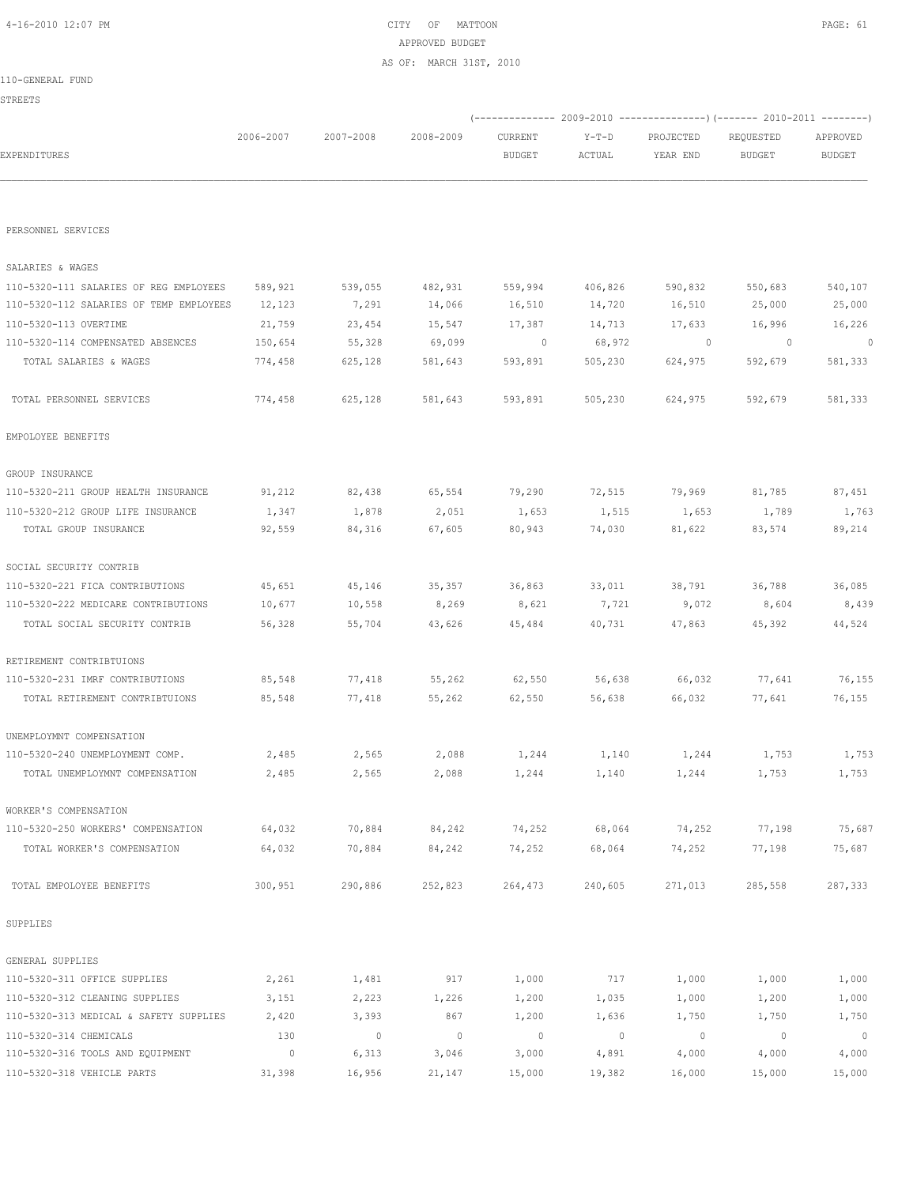## 4-16-2010 12:07 PM CITY OF MATTOON PAGE: 61 APPROVED BUDGET AS OF: MARCH 31ST, 2010

#### 110-GENERAL FUND

#### STREETS

| EXPENDITURES                            | 2006-2007      | 2007-2008 | 2008-2009 | CURRENT<br><b>BUDGET</b> | $Y-T-D$<br>ACTUAL | PROJECTED<br>YEAR END | REQUESTED<br><b>BUDGET</b> | APPROVED<br><b>BUDGET</b> |
|-----------------------------------------|----------------|-----------|-----------|--------------------------|-------------------|-----------------------|----------------------------|---------------------------|
| PERSONNEL SERVICES                      |                |           |           |                          |                   |                       |                            |                           |
| SALARIES & WAGES                        |                |           |           |                          |                   |                       |                            |                           |
| 110-5320-111 SALARIES OF REG EMPLOYEES  | 589,921        | 539,055   | 482,931   | 559,994                  | 406,826           | 590,832               | 550,683                    | 540,107                   |
| 110-5320-112 SALARIES OF TEMP EMPLOYEES | 12,123         | 7,291     | 14,066    | 16,510                   | 14,720            | 16,510                | 25,000                     | 25,000                    |
| 110-5320-113 OVERTIME                   | 21,759         | 23,454    | 15,547    | 17,387                   | 14,713            | 17,633                | 16,996                     | 16,226                    |
| 110-5320-114 COMPENSATED ABSENCES       | 150,654        | 55,328    | 69,099    | 0                        | 68,972            | $\circ$               | $\overline{\phantom{0}}$   | $\mathbf 0$               |
| TOTAL SALARIES & WAGES                  | 774,458        | 625,128   | 581,643   | 593,891                  | 505,230           | 624,975               | 592,679                    | 581,333                   |
| TOTAL PERSONNEL SERVICES                | 774,458        | 625,128   | 581,643   | 593,891                  | 505,230           | 624,975               | 592,679                    | 581,333                   |
| EMPOLOYEE BENEFITS                      |                |           |           |                          |                   |                       |                            |                           |
| GROUP INSURANCE                         |                |           |           |                          |                   |                       |                            |                           |
| 110-5320-211 GROUP HEALTH INSURANCE     | 91,212         | 82,438    | 65,554    | 79,290                   | 72,515            | 79,969                | 81,785                     | 87,451                    |
| 110-5320-212 GROUP LIFE INSURANCE       | 1,347          | 1,878     | 2,051     | 1,653                    | 1,515             | 1,653                 | 1,789                      | 1,763                     |
| TOTAL GROUP INSURANCE                   | 92,559         | 84,316    | 67,605    | 80,943                   | 74,030            | 81,622                | 83,574                     | 89,214                    |
| SOCIAL SECURITY CONTRIB                 |                |           |           |                          |                   |                       |                            |                           |
| 110-5320-221 FICA CONTRIBUTIONS         | 45,651         | 45,146    | 35,357    | 36,863                   | 33,011            | 38,791                | 36,788                     | 36,085                    |
| 110-5320-222 MEDICARE CONTRIBUTIONS     | 10,677         | 10,558    | 8,269     | 8,621                    | 7,721             | 9,072                 | 8,604                      | 8,439                     |
| TOTAL SOCIAL SECURITY CONTRIB           | 56,328         | 55,704    | 43,626    | 45,484                   | 40,731            | 47,863                | 45,392                     | 44,524                    |
| RETIREMENT CONTRIBTUIONS                |                |           |           |                          |                   |                       |                            |                           |
| 110-5320-231 IMRF CONTRIBUTIONS         | 85,548         | 77,418    | 55,262    | 62,550                   | 56,638            | 66,032                | 77,641                     | 76,155                    |
| TOTAL RETIREMENT CONTRIBTUIONS          | 85,548         | 77,418    | 55,262    | 62,550                   | 56,638            | 66,032                | 77,641                     | 76,155                    |
| UNEMPLOYMNT COMPENSATION                |                |           |           |                          |                   |                       |                            |                           |
| 110-5320-240 UNEMPLOYMENT COMP.         | 2,485          | 2,565     | 2,088     | 1,244                    | 1,140             | 1,244                 | 1,753                      | 1,753                     |
| TOTAL UNEMPLOYMNT COMPENSATION          | 2,485          | 2,565     | 2,088     | 1,244                    | 1,140             | 1,244                 | 1,753                      | 1,753                     |
| WORKER'S COMPENSATION                   |                |           |           |                          |                   |                       |                            |                           |
| 110-5320-250 WORKERS' COMPENSATION      | 64,032         | 70,884    | 84,242    | 74,252                   | 68,064            | 74,252                | 77,198                     | 75,687                    |
| TOTAL WORKER'S COMPENSATION             | 64,032         | 70,884    | 84,242    | 74,252                   | 68,064            | 74,252                | 77,198                     | 75,687                    |
| TOTAL EMPOLOYEE BENEFITS                | 300,951        | 290,886   | 252,823   | 264,473                  | 240,605           | 271,013               | 285,558                    | 287,333                   |
| SUPPLIES                                |                |           |           |                          |                   |                       |                            |                           |
| GENERAL SUPPLIES                        |                |           |           |                          |                   |                       |                            |                           |
| 110-5320-311 OFFICE SUPPLIES            | 2,261          | 1,481     | 917       | 1,000                    | 717               | 1,000                 | 1,000                      | 1,000                     |
| 110-5320-312 CLEANING SUPPLIES          | 3,151          | 2,223     | 1,226     | 1,200                    | 1,035             | 1,000                 | 1,200                      | 1,000                     |
| 110-5320-313 MEDICAL & SAFETY SUPPLIES  | 2,420          | 3,393     | 867       | 1,200                    | 1,636             | 1,750                 | 1,750                      | 1,750                     |
| 110-5320-314 CHEMICALS                  | 130            | $\circ$   | $\circ$   | $\circ$                  | $\circ$           | $\circ$               | $\overline{\phantom{0}}$   | $\overline{0}$            |
| 110-5320-316 TOOLS AND EQUIPMENT        | $\overline{0}$ | 6,313     | 3,046     | 3,000                    | 4,891             | 4,000                 | 4,000                      | 4,000                     |
| 110-5320-318 VEHICLE PARTS              | 31,398         | 16,956    | 21,147    | 15,000                   | 19,382            | 16,000                | 15,000                     | 15,000                    |

(-------------- 2009-2010 ---------------)(------- 2010-2011 --------)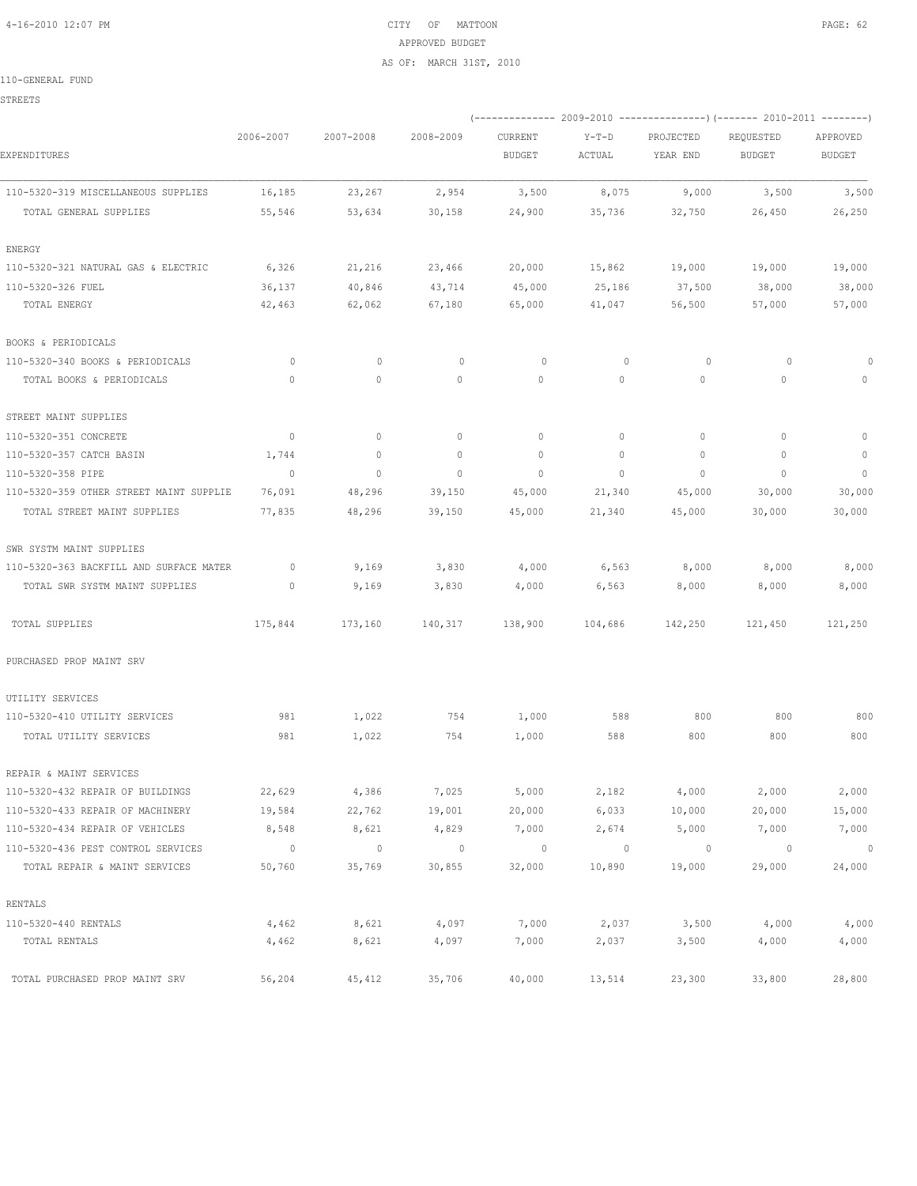## 4-16-2010 12:07 PM CITY OF MATTOON PAGE: 62 APPROVED BUDGET AS OF: MARCH 31ST, 2010

#### 110-GENERAL FUND

#### STREETS

|                                         |                |              |              |                          |                   |                          | (-------------- 2009-2010 ----------------) (------- 2010-2011 --------) |                           |
|-----------------------------------------|----------------|--------------|--------------|--------------------------|-------------------|--------------------------|--------------------------------------------------------------------------|---------------------------|
| EXPENDITURES                            | 2006-2007      | 2007-2008    | 2008-2009    | CURRENT<br><b>BUDGET</b> | $Y-T-D$<br>ACTUAL | PROJECTED<br>YEAR END    | REQUESTED<br><b>BUDGET</b>                                               | APPROVED<br><b>BUDGET</b> |
| 110-5320-319 MISCELLANEOUS SUPPLIES     | 16,185         | 23,267       | 2,954        | 3,500                    | 8,075             | 9,000                    | 3,500                                                                    | 3,500                     |
| TOTAL GENERAL SUPPLIES                  | 55,546         | 53,634       | 30,158       | 24,900                   | 35,736            | 32,750                   | 26,450                                                                   | 26,250                    |
| ENERGY                                  |                |              |              |                          |                   |                          |                                                                          |                           |
| 110-5320-321 NATURAL GAS & ELECTRIC     | 6,326          | 21,216       | 23,466       | 20,000                   | 15,862            | 19,000                   | 19,000                                                                   | 19,000                    |
| 110-5320-326 FUEL                       | 36,137         | 40,846       | 43,714       | 45,000                   | 25,186            | 37,500                   | 38,000                                                                   | 38,000                    |
| TOTAL ENERGY                            | 42,463         | 62,062       | 67,180       | 65,000                   | 41,047            | 56,500                   | 57,000                                                                   | 57,000                    |
| BOOKS & PERIODICALS                     |                |              |              |                          |                   |                          |                                                                          |                           |
| 110-5320-340 BOOKS & PERIODICALS        | $\circ$        | $\mathbf{0}$ | 0            | 0                        | $\mathbf 0$       | 0                        | $\mathbf{0}$                                                             |                           |
| TOTAL BOOKS & PERIODICALS               | $\mathbf{0}$   | 0            | $\mathbf{0}$ | 0                        | $\circ$           | 0                        | 0                                                                        | $\mathbf{0}$              |
| STREET MAINT SUPPLIES                   |                |              |              |                          |                   |                          |                                                                          |                           |
| 110-5320-351 CONCRETE                   | $\sim$ 0       | $\circ$      | $\circ$      | $\mathbf{0}$             | $\circ$           | $\mathbf{0}$             | $\mathbf{0}$                                                             | $\mathbf{0}$              |
| 110-5320-357 CATCH BASIN                | 1,744          | $\circ$      | $\circ$      | $\mathbf{0}$             | $\circ$           | $\mathbf{0}$             | $\mathbf{0}$                                                             | $\circ$                   |
| 110-5320-358 PIPE                       | $\overline{0}$ | $\circ$      | $\circ$      | $\mathbf 0$              | 0                 | 0                        | $\mathbf 0$                                                              | $\circ$                   |
| 110-5320-359 OTHER STREET MAINT SUPPLIE | 76,091         | 48,296       | 39,150       | 45,000                   | 21,340            | 45,000                   | 30,000                                                                   | 30,000                    |
| TOTAL STREET MAINT SUPPLIES             | 77,835         | 48,296       | 39,150       | 45,000                   | 21,340            | 45,000                   | 30,000                                                                   | 30,000                    |
| SWR SYSTM MAINT SUPPLIES                |                |              |              |                          |                   |                          |                                                                          |                           |
| 110-5320-363 BACKFILL AND SURFACE MATER | $\circ$        | 9,169        | 3,830        | 4,000                    | 6,563             | 8,000                    | 8,000                                                                    | 8,000                     |
| TOTAL SWR SYSTM MAINT SUPPLIES          | $\circ$        | 9,169        | 3,830        | 4,000                    | 6,563             | 8,000                    | 8,000                                                                    | 8,000                     |
| TOTAL SUPPLIES                          | 175,844        | 173,160      | 140,317      | 138,900                  | 104,686           | 142,250                  | 121,450                                                                  | 121,250                   |
| PURCHASED PROP MAINT SRV                |                |              |              |                          |                   |                          |                                                                          |                           |
| UTILITY SERVICES                        |                |              |              |                          |                   |                          |                                                                          |                           |
| 110-5320-410 UTILITY SERVICES           | 981            | 1,022        | 754          | 1,000                    | 588               | 800                      | 800                                                                      | 800                       |
| TOTAL UTILITY SERVICES                  | 981            | 1,022        | 754          | 1,000                    | 588               | 800                      | 800                                                                      | 800                       |
| REPAIR & MAINT SERVICES                 |                |              |              |                          |                   |                          |                                                                          |                           |
| 110-5320-432 REPAIR OF BUILDINGS        | 22,629         | 4,386        | 7,025        | 5,000                    | 2,182             | 4,000                    | 2,000                                                                    | 2,000                     |
| 110-5320-433 REPAIR OF MACHINERY        | 19,584         | 22,762       | 19,001       | 20,000                   | 6,033             | 10,000                   | 20,000                                                                   | 15,000                    |
| 110-5320-434 REPAIR OF VEHICLES         | 8,548          | 8,621        | 4,829        | 7,000                    | 2,674             | 5,000                    | 7,000                                                                    | 7,000                     |
| 110-5320-436 PEST CONTROL SERVICES      | $\circ$        | $\circ$      | $\circ$      | $\circ$                  | $\overline{0}$    | $\overline{\phantom{0}}$ | $\mathbf 0$                                                              | $\circ$                   |
| TOTAL REPAIR & MAINT SERVICES           | 50,760         | 35,769       | 30,855       | 32,000                   | 10,890            | 19,000                   | 29,000                                                                   | 24,000                    |
| RENTALS                                 |                |              |              |                          |                   |                          |                                                                          |                           |
| 110-5320-440 RENTALS                    | 4,462          | 8,621        | 4,097        | 7,000                    | 2,037             | 3,500                    | 4,000                                                                    | 4,000                     |
| TOTAL RENTALS                           | 4,462          | 8,621        | 4,097        | 7,000                    | 2,037             | 3,500                    | 4,000                                                                    | 4,000                     |
| TOTAL PURCHASED PROP MAINT SRV          | 56,204         | 45,412       | 35,706       | 40,000                   | 13,514            | 23,300                   | 33,800                                                                   | 28,800                    |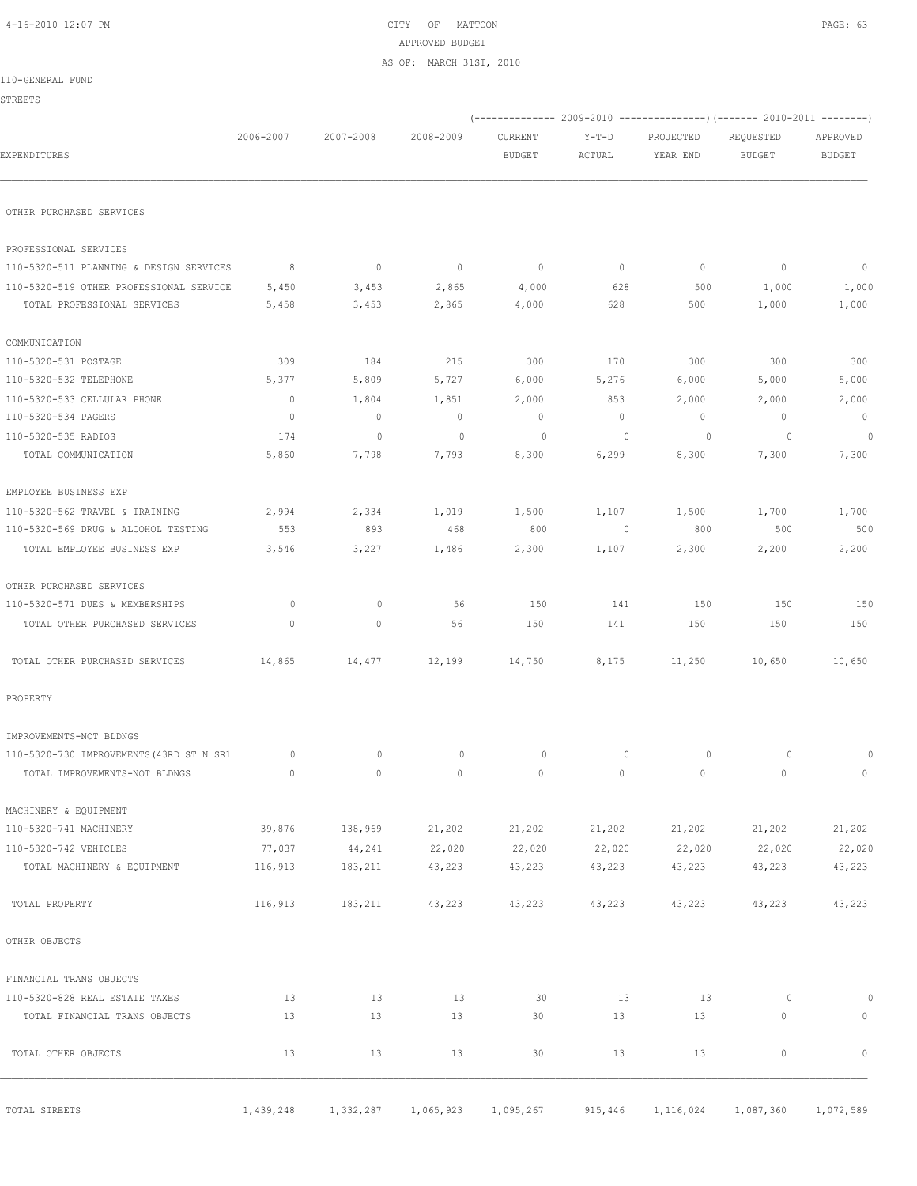## 4-16-2010 12:07 PM CITY OF MATTOON PAGE: 63 APPROVED BUDGET AS OF: MARCH 31ST, 2010

#### 110-GENERAL FUND

STREETS

| EXPENDITURES                             |                |         |                          |               | $Y-T-D$        | PROJECTED      | REQUESTED      | APPROVED       |
|------------------------------------------|----------------|---------|--------------------------|---------------|----------------|----------------|----------------|----------------|
|                                          |                |         |                          | <b>BUDGET</b> | ACTUAL         | YEAR END       | <b>BUDGET</b>  | <b>BUDGET</b>  |
| OTHER PURCHASED SERVICES                 |                |         |                          |               |                |                |                |                |
| PROFESSIONAL SERVICES                    |                |         |                          |               |                |                |                |                |
| 110-5320-511 PLANNING & DESIGN SERVICES  | 8              | $\circ$ | $\overline{\phantom{0}}$ | $\circ$       | $\circ$        | $\circ$        | $\overline{0}$ | $\overline{0}$ |
| 110-5320-519 OTHER PROFESSIONAL SERVICE  | 5,450          | 3,453   | 2,865                    | 4,000         | 628            | 500            | 1,000          | 1,000          |
| TOTAL PROFESSIONAL SERVICES              | 5,458          | 3,453   | 2,865                    | 4,000         | 628            | 500            | 1,000          | 1,000          |
| COMMUNICATION                            |                |         |                          |               |                |                |                |                |
| 110-5320-531 POSTAGE                     | 309            | 184     | 215                      | 300           | 170            | 300            | 300            | 300            |
| 110-5320-532 TELEPHONE                   | 5,377          | 5,809   | 5,727                    | 6,000         | 5,276          | 6,000          | 5,000          | 5,000          |
| 110-5320-533 CELLULAR PHONE              | $\overline{0}$ | 1,804   | 1,851                    | 2,000         | 853            | 2,000          | 2,000          | 2,000          |
| 110-5320-534 PAGERS                      | $\overline{0}$ | $\circ$ | $\circ$                  | $\circ$       | $\circ$        | $\overline{0}$ | $\mathbb{O}$   | $\overline{0}$ |
| 110-5320-535 RADIOS                      | 174            | $\circ$ | $\circ$                  | $\circ$       | $\circ$        | $\overline{0}$ | $\mathbf 0$    | $\mathbb O$    |
| TOTAL COMMUNICATION                      | 5,860          | 7,798   | 7,793                    | 8,300         | 6,299          | 8,300          | 7,300          | 7,300          |
| EMPLOYEE BUSINESS EXP                    |                |         |                          |               |                |                |                |                |
| 110-5320-562 TRAVEL & TRAINING           | 2,994          | 2,334   | 1,019                    | 1,500         | 1,107          | 1,500          | 1,700          | 1,700          |
| 110-5320-569 DRUG & ALCOHOL TESTING      | 553            | 893     | 468                      | 800           | $\overline{0}$ | 800            | 500            | 500            |
| TOTAL EMPLOYEE BUSINESS EXP              | 3,546          | 3,227   | 1,486                    | 2,300         | 1,107          | 2,300          | 2,200          | 2,200          |
| OTHER PURCHASED SERVICES                 |                |         |                          |               |                |                |                |                |
| 110-5320-571 DUES & MEMBERSHIPS          | $\circ$        | $\circ$ | 56                       | 150           | 141            | 150            | 150            | 150            |
| TOTAL OTHER PURCHASED SERVICES           | $\circ$        | 0       | 56                       | 150           | 141            | 150            | 150            | 150            |
| TOTAL OTHER PURCHASED SERVICES           | 14,865         | 14,477  | 12,199                   | 14,750        | 8,175          | 11,250         | 10,650         | 10,650         |
| PROPERTY                                 |                |         |                          |               |                |                |                |                |
| IMPROVEMENTS-NOT BLDNGS                  |                |         |                          |               |                |                |                |                |
| 110-5320-730 IMPROVEMENTS (43RD ST N SR1 | $\circ$        | 0       | 0                        | 0             | $\mathbf 0$    | 0              | 0              |                |
| TOTAL IMPROVEMENTS-NOT BLDNGS            | $\Omega$       | $\circ$ | $\circ$                  | $\mathbf{0}$  | $\circ$        | 0              | $\circ$        | 0              |
| MACHINERY & EQUIPMENT                    |                |         |                          |               |                |                |                |                |
| 110-5320-741 MACHINERY                   | 39,876         | 138,969 | 21,202                   | 21,202        | 21,202         | 21,202         | 21,202         | 21,202         |
| 110-5320-742 VEHICLES                    | 77,037         | 44,241  | 22,020                   | 22,020        | 22,020         | 22,020         | 22,020         | 22,020         |
| TOTAL MACHINERY & EQUIPMENT              | 116,913        | 183,211 | 43,223                   | 43,223        | 43,223         | 43,223         | 43,223         | 43,223         |
| TOTAL PROPERTY                           | 116,913        | 183,211 | 43,223                   | 43,223        | 43,223         | 43,223         | 43,223         | 43,223         |
| OTHER OBJECTS                            |                |         |                          |               |                |                |                |                |
| FINANCIAL TRANS OBJECTS                  |                |         |                          |               |                |                |                |                |
| 110-5320-828 REAL ESTATE TAXES           | 13             | 13      | 13                       | 30            | 13             | 13             | $\mathbb O$    | $\mathbf 0$    |
| TOTAL FINANCIAL TRANS OBJECTS            | 13             | 13      | 13                       | 30            | 13             | 13             | 0              | $\circ$        |
| TOTAL OTHER OBJECTS                      | 13             | 13      | 13                       | 30            | 13             | 13             | 0              | $\mathbb O$    |

TOTAL STREETS 1,439,248 1,332,287 1,065,923 1,095,267 915,446 1,116,024 1,087,360 1,072,589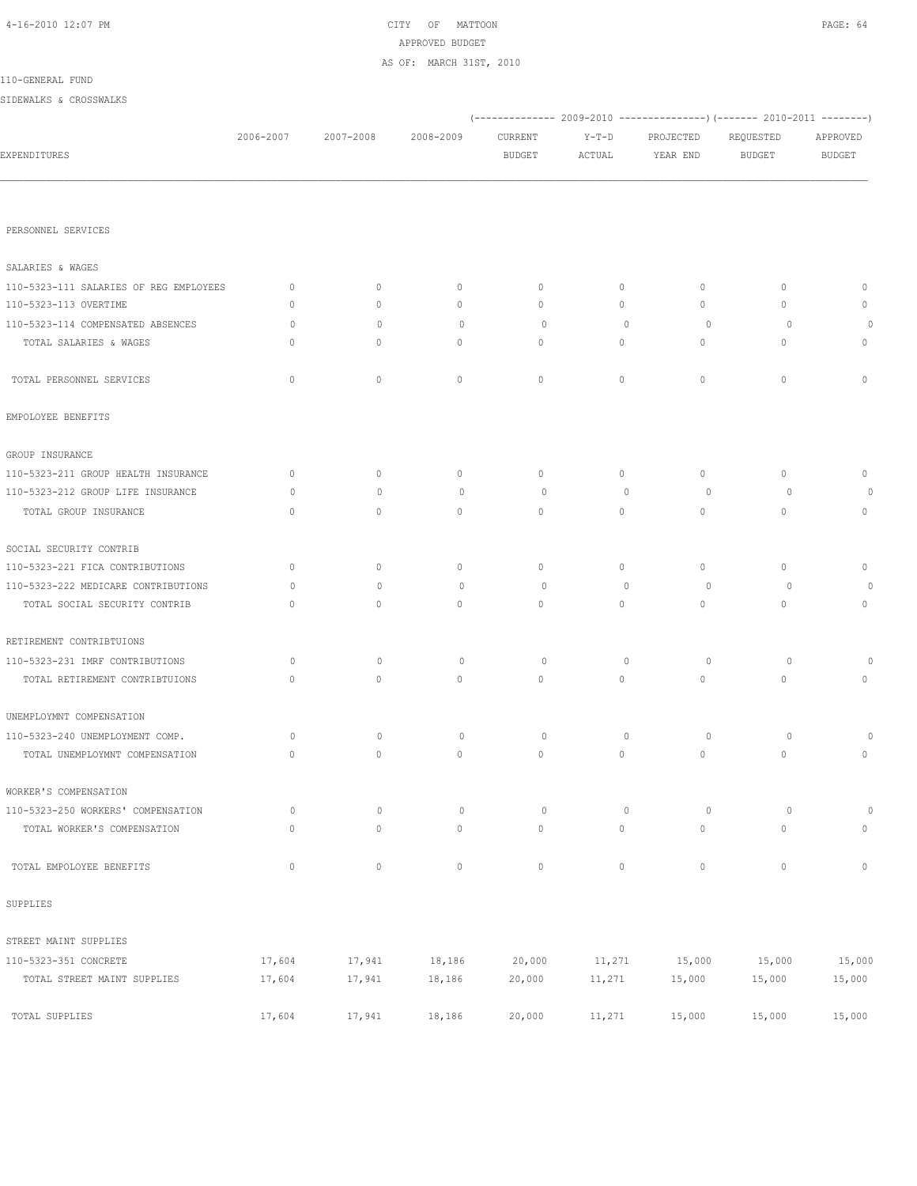## 4-16-2010 12:07 PM CITY OF MATTOON PAGE: 64 APPROVED BUDGET AS OF: MARCH 31ST, 2010

#### 110-GENERAL FUND

#### SIDEWALKS & CROSSWALKS

|                                                                 |                              |                         |                    |               |                        |                   | (-------------- 2009-2010 ----------------) (------- 2010-2011 --------) |                   |
|-----------------------------------------------------------------|------------------------------|-------------------------|--------------------|---------------|------------------------|-------------------|--------------------------------------------------------------------------|-------------------|
|                                                                 | 2006-2007                    | 2007-2008               | 2008-2009          | CURRENT       | $Y-T-D$                | PROJECTED         | REQUESTED                                                                | APPROVED          |
| EXPENDITURES                                                    |                              |                         |                    | <b>BUDGET</b> | ACTUAL                 | YEAR END          | <b>BUDGET</b>                                                            | <b>BUDGET</b>     |
|                                                                 |                              |                         |                    |               |                        |                   |                                                                          |                   |
| PERSONNEL SERVICES                                              |                              |                         |                    |               |                        |                   |                                                                          |                   |
|                                                                 |                              |                         |                    |               |                        |                   |                                                                          |                   |
| SALARIES & WAGES                                                |                              |                         |                    |               |                        |                   |                                                                          |                   |
| 110-5323-111 SALARIES OF REG EMPLOYEES<br>110-5323-113 OVERTIME | $\mathbf{0}$<br>$\mathbf{0}$ | $\mathbb O$             | $\circ$            | $\circ$       | $\circ$                | $\circ$           | 0<br>$\circ$                                                             | $\circ$           |
|                                                                 |                              | $\mathbb O$             | $\circ$            | $\circ$       | $\circ$                | $\circ$           |                                                                          | 0                 |
| 110-5323-114 COMPENSATED ABSENCES                               | 0<br>$\mathbf{0}$            | $\mathbf{0}$<br>$\circ$ | $\circ$<br>$\circ$ | 0<br>$\circ$  | $\mathbf 0$<br>$\circ$ | 0<br>$\mathbf{0}$ | 0<br>$\circ$                                                             | $\mathbf{0}$<br>0 |
| TOTAL SALARIES & WAGES                                          |                              |                         |                    |               |                        |                   |                                                                          |                   |
| TOTAL PERSONNEL SERVICES                                        | $\circ$                      | $\circ$                 | $\circ$            | $\mathbb O$   | $\circ$                | $\circ$           | $\circ$                                                                  | $\circ$           |
| EMPOLOYEE BENEFITS                                              |                              |                         |                    |               |                        |                   |                                                                          |                   |
| GROUP INSURANCE                                                 |                              |                         |                    |               |                        |                   |                                                                          |                   |
| 110-5323-211 GROUP HEALTH INSURANCE                             | $\mathbf{0}$                 | $\circ$                 | $\mathbf{0}$       | $\mathbf{0}$  | 0                      | $\mathbf{0}$      | 0                                                                        | 0                 |
| 110-5323-212 GROUP LIFE INSURANCE                               | 0                            | $\mathbf{0}$            | $\circ$            | $\circ$       | $\mathbf{0}$           | $\mathbf{0}$      | $\mathbf{0}$                                                             | $\mathbf{0}$      |
| TOTAL GROUP INSURANCE                                           | $\mathbf{0}$                 | $\circ$                 | $\circ$            | $\circ$       | $\circ$                | $\mathbf{0}$      | $\mathbf{0}$                                                             | 0                 |
| SOCIAL SECURITY CONTRIB                                         |                              |                         |                    |               |                        |                   |                                                                          |                   |
| 110-5323-221 FICA CONTRIBUTIONS                                 | $\mathbf{0}$                 | 0                       | 0                  | $\circ$       | 0                      | $\circ$           | 0                                                                        | 0                 |
| 110-5323-222 MEDICARE CONTRIBUTIONS                             | 0                            | $\mathbf{0}$            | $\circ$            | $\circ$       | $\mathbf{0}$           | 0                 | 0                                                                        | $\mathbf{0}$      |
| TOTAL SOCIAL SECURITY CONTRIB                                   | $\mathbf{0}$                 | $\circ$                 | $\mathbf{0}$       | $\mathbf{0}$  | $\circ$                | $\mathbf{0}$      | $\circ$                                                                  | 0                 |
| RETIREMENT CONTRIBTUIONS                                        |                              |                         |                    |               |                        |                   |                                                                          |                   |
| 110-5323-231 IMRF CONTRIBUTIONS                                 | $\circ$                      | $\mathbf{0}$            | $\circ$            | 0             | $\circ$                | $\mathbf{0}$      | $\mathbf 0$                                                              | $\mathbf{0}$      |
| TOTAL RETIREMENT CONTRIBTUIONS                                  | $\mathbf{0}$                 | $\circ$                 | $\circ$            | $\circ$       | $\circ$                | $\circ$           | $\circ$                                                                  | 0                 |
| UNEMPLOYMNT COMPENSATION                                        |                              |                         |                    |               |                        |                   |                                                                          |                   |
| 110-5323-240 UNEMPLOYMENT COMP.                                 | $\circ$                      | $\circ$                 | $\circ$            | 0             | $\circ$                | $\mathbf 0$       | $\mathbf 0$                                                              |                   |
| TOTAL UNEMPLOYMNT COMPENSATION                                  | $\circ$                      | $\mathbb O$             | $\circ$            | $\circ$       | $\circ$                | $\circ$           | 0                                                                        | 0                 |
| WORKER'S COMPENSATION                                           |                              |                         |                    |               |                        |                   |                                                                          |                   |
| 110-5323-250 WORKERS' COMPENSATION                              | $\circ$                      | $\mathbb O$             | $\mathbb O$        | $\circ$       | $\mathbb O$            | $\mathbb O$       | $\mathbb O$                                                              | $\mathbb O$       |
| TOTAL WORKER'S COMPENSATION                                     | $\mathbb O$                  | $\mathbb O$             | $\mathbb O$        | $\mathbb O$   | $\mathsf{O}\xspace$    | $\mathbb O$       | $\mathbb O$                                                              | $\mathbb O$       |
| TOTAL EMPOLOYEE BENEFITS                                        | $\mathbb O$                  | $\mathbb O$             | $\mathbb O$        | $\mathbb O$   | $\circ$                | $\mathbb O$       | $\mathbb O$                                                              | $\mathbb O$       |
| SUPPLIES                                                        |                              |                         |                    |               |                        |                   |                                                                          |                   |
| STREET MAINT SUPPLIES                                           |                              |                         |                    |               |                        |                   |                                                                          |                   |
| 110-5323-351 CONCRETE                                           | 17,604                       | 17,941                  | 18,186             | 20,000        | 11,271                 | 15,000            | 15,000                                                                   | 15,000            |
| TOTAL STREET MAINT SUPPLIES                                     | 17,604                       | 17,941                  | 18,186             | 20,000        | 11,271                 | 15,000            | 15,000                                                                   | 15,000            |
| TOTAL SUPPLIES                                                  | 17,604                       | 17,941                  | 18,186             | 20,000        | 11,271                 | 15,000            | 15,000                                                                   | 15,000            |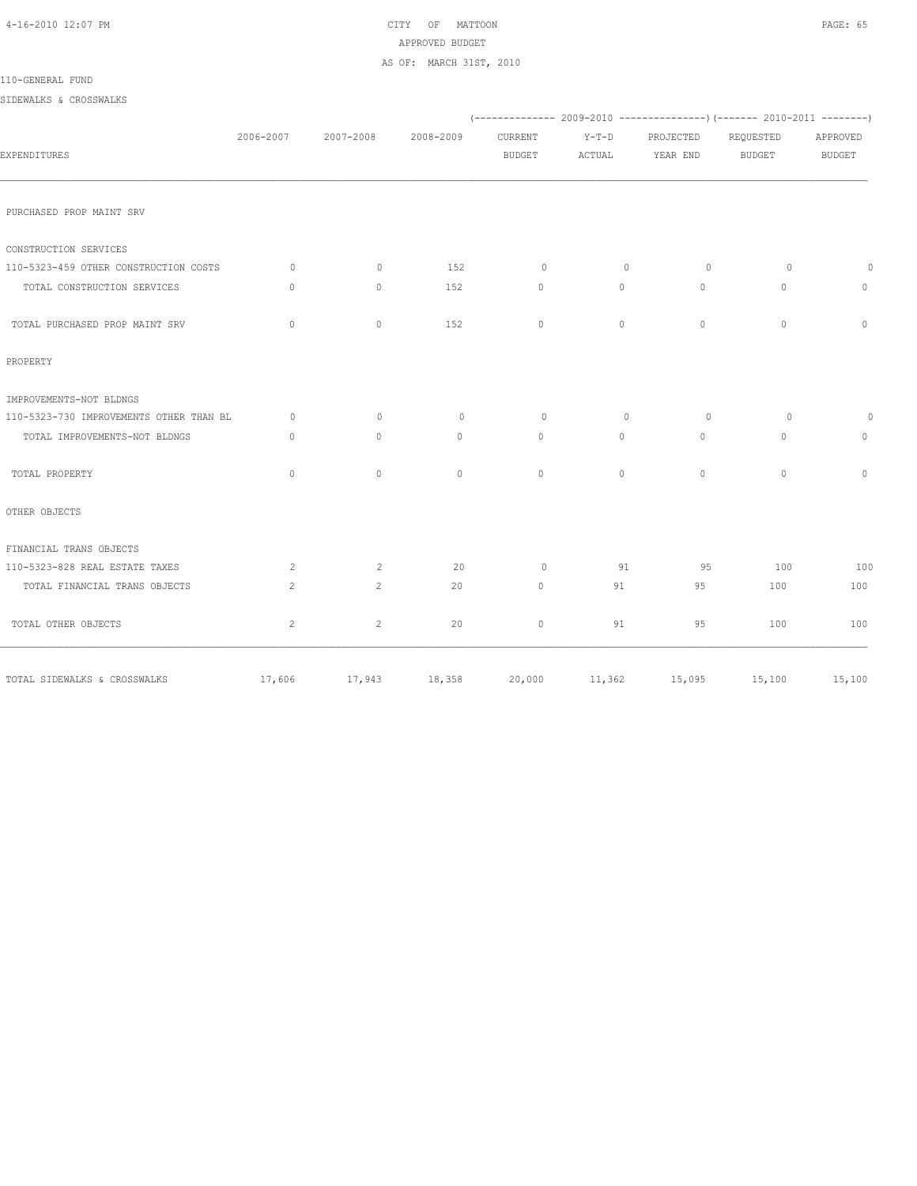## 4-16-2010 12:07 PM CITY OF MATTOON PAGE: 65 APPROVED BUDGET AS OF: MARCH 31ST, 2010

### 110-GENERAL FUND

#### SIDEWALKS & CROSSWALKS

| EXPENDITURES                            | 2006-2007      | 2007-2008      | 2008-2009    | CURRENT<br>BUDGET | $Y-T-D$<br>ACTUAL | PROJECTED<br>YEAR END | REQUESTED<br>BUDGET | APPROVED<br>BUDGET |
|-----------------------------------------|----------------|----------------|--------------|-------------------|-------------------|-----------------------|---------------------|--------------------|
|                                         |                |                |              |                   |                   |                       |                     |                    |
| PURCHASED PROP MAINT SRV                |                |                |              |                   |                   |                       |                     |                    |
| CONSTRUCTION SERVICES                   |                |                |              |                   |                   |                       |                     |                    |
| 110-5323-459 OTHER CONSTRUCTION COSTS   | $\Omega$       | $\Omega$       | 152          | $\circ$           | $\Omega$          | $\Omega$              | $\Omega$            | $\Omega$           |
| TOTAL CONSTRUCTION SERVICES             | $\Omega$       | $\circ$        | 152          | $\circ$           | $\circ$           | $\circ$               | $\Omega$            | $\circ$            |
| TOTAL PURCHASED PROP MAINT SRV          | $\mathbf{0}$   | $\circ$        | 152          | $\circ$           | $\circ$           | $\circ$               | $\Omega$            | $\mathbf{0}$       |
| PROPERTY                                |                |                |              |                   |                   |                       |                     |                    |
| IMPROVEMENTS-NOT BLDNGS                 |                |                |              |                   |                   |                       |                     |                    |
| 110-5323-730 IMPROVEMENTS OTHER THAN BL | $\circ$        | $\circ$        | $\circ$      | $\circ$           | $\circ$           | $\circ$               | $\mathbf{0}$        | $\mathbf{0}$       |
| TOTAL IMPROVEMENTS-NOT BLDNGS           | $\circ$        | $\circ$        | $\circ$      | $\circ$           | $\circ$           | $\circ$               | $\mathbf{0}$        | $\circ$            |
| TOTAL PROPERTY                          | $\mathbf{0}$   | $\mathbf{0}$   | $\mathbf{0}$ | $\circ$           | $\circ$           | $\circ$               | $\mathbf{0}$        | $\mathbf{0}$       |
| OTHER OBJECTS                           |                |                |              |                   |                   |                       |                     |                    |
| FINANCIAL TRANS OBJECTS                 |                |                |              |                   |                   |                       |                     |                    |
| 110-5323-828 REAL ESTATE TAXES          | 2              | $\overline{2}$ | 20           | $\circ$           | 91                | 95                    | 100                 | 100                |
| TOTAL FINANCIAL TRANS OBJECTS           | $\overline{2}$ | 2              | 20           | $\circ$           | 91                | 95                    | 100                 | 100                |
| TOTAL OTHER OBJECTS                     | $\overline{2}$ | $\overline{2}$ | 20           | $\circ$           | 91                | 95                    | 100                 | 100                |
| TOTAL SIDEWALKS & CROSSWALKS            | 17,606         | 17,943         | 18,358       | 20,000            | 11,362            | 15,095                | 15,100              | 15,100             |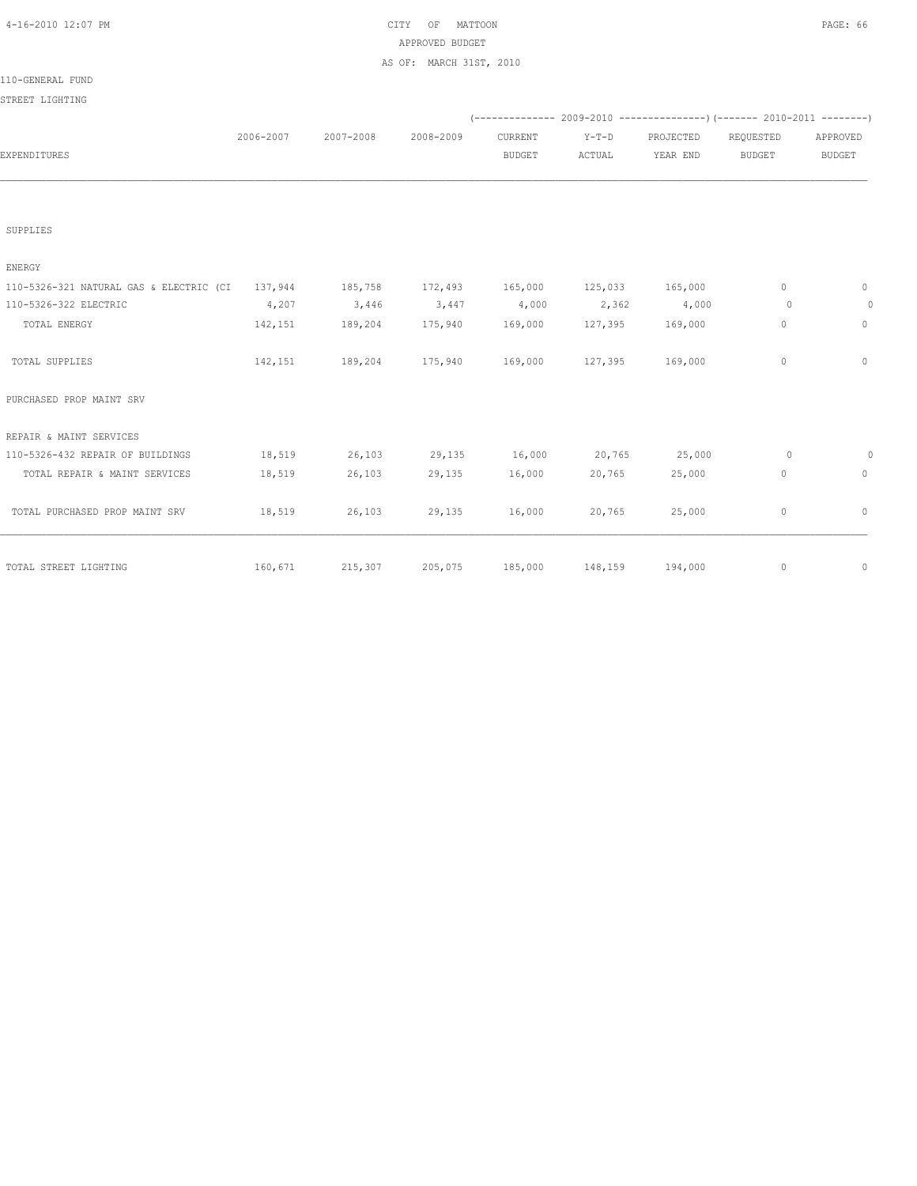## 4-16-2010 12:07 PM CITY OF MATTOON PAGE: 66 APPROVED BUDGET AS OF: MARCH 31ST, 2010

## 110-GENERAL FUND

| STREET LIGHTING        |           |         |         |           |           |          |
|------------------------|-----------|---------|---------|-----------|-----------|----------|
|                        |           |         |         |           |           |          |
| 2006-2007<br>2007-2008 | 2008-2009 | CURRENT | $Y-T-D$ | PROJECTED | REQUESTED | APPROVED |
| EXPENDITURES           |           | BUDGET  | ACTUAL  | YEAR END  | BUDGET    | BUDGET   |
|                        |           |         |         |           |           |          |
|                        |           |         |         |           |           |          |
|                        |           |         |         |           |           |          |
| SUPPLIES               |           |         |         |           |           |          |
|                        |           |         |         |           |           |          |

| ENERGY                                  |         |         |         |         |         |         |              |             |
|-----------------------------------------|---------|---------|---------|---------|---------|---------|--------------|-------------|
| 110-5326-321 NATURAL GAS & ELECTRIC (CI | 137,944 | 185,758 | 172,493 | 165,000 | 125,033 | 165,000 | $\mathbf{0}$ | $\circ$     |
| 110-5326-322 ELECTRIC                   | 4,207   | 3,446   | 3,447   | 4,000   | 2,362   | 4,000   | $\mathbf 0$  | 0           |
| TOTAL ENERGY                            | 142,151 | 189,204 | 175,940 | 169,000 | 127,395 | 169,000 | $\mathbf{0}$ | $\mathbb O$ |
| TOTAL SUPPLIES                          | 142,151 | 189,204 | 175,940 | 169,000 | 127,395 | 169,000 | $\mathbf 0$  | 0           |
| PURCHASED PROP MAINT SRV                |         |         |         |         |         |         |              |             |
| REPAIR & MAINT SERVICES                 |         |         |         |         |         |         |              |             |
| 110-5326-432 REPAIR OF BUILDINGS        | 18,519  | 26,103  | 29,135  | 16,000  | 20,765  | 25,000  | $\mathbf 0$  | 0           |
| TOTAL REPAIR & MAINT SERVICES           | 18,519  | 26,103  | 29,135  | 16,000  | 20,765  | 25,000  | $\mathbf{0}$ | 0           |
| TOTAL PURCHASED PROP MAINT SRV          | 18,519  | 26,103  | 29,135  | 16,000  | 20,765  | 25,000  | $\mathbf 0$  | $\circ$     |
| TOTAL STREET LIGHTING                   | 160,671 | 215,307 | 205,075 | 185,000 | 148,159 | 194,000 | 0            | 0           |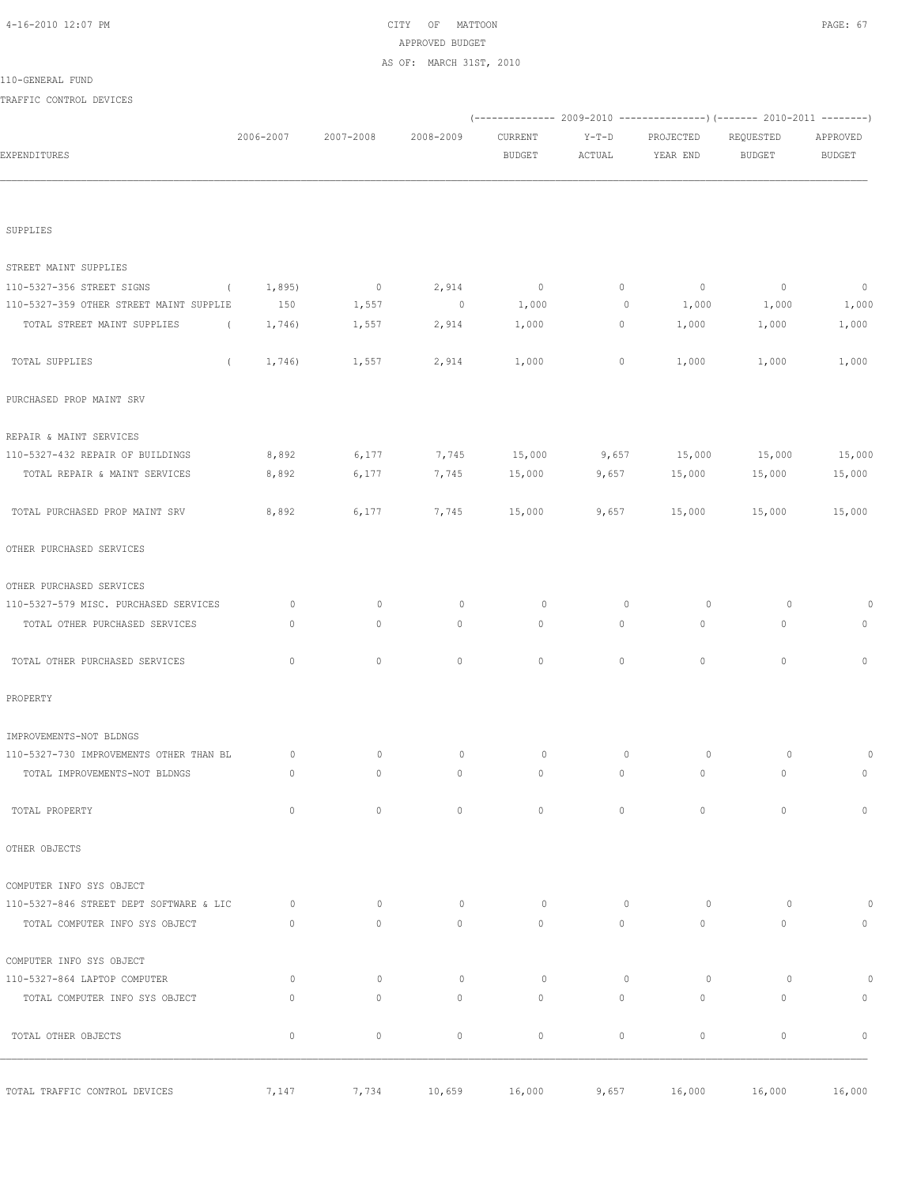## 4-16-2010 12:07 PM CITY OF MATTOON PAGE: 67 APPROVED BUDGET AS OF: MARCH 31ST, 2010

#### 110-GENERAL FUND

#### TRAFFIC CONTROL DEVICES

| EXPENDITURES                            | 2006-2007   | 2007-2008   | 2008-2009                | CURRENT<br><b>BUDGET</b> | $Y-T-D$<br>ACTUAL | PROJECTED<br>YEAR END | REQUESTED<br><b>BUDGET</b> | APPROVED<br><b>BUDGET</b> |
|-----------------------------------------|-------------|-------------|--------------------------|--------------------------|-------------------|-----------------------|----------------------------|---------------------------|
|                                         |             |             |                          |                          |                   |                       |                            |                           |
| SUPPLIES                                |             |             |                          |                          |                   |                       |                            |                           |
| STREET MAINT SUPPLIES                   |             |             |                          |                          |                   |                       |                            |                           |
| 110-5327-356 STREET SIGNS<br>$\left($   | 1,895)      | $\circ$     | 2,914                    | $\circ$                  | $\circ$           | $\overline{0}$        | $\overline{\phantom{0}}$   | $\circ$                   |
| 110-5327-359 OTHER STREET MAINT SUPPLIE | 150         | 1,557       | $\overline{\phantom{0}}$ | 1,000                    | $\circ$           | 1,000                 | 1,000                      | 1,000                     |
| TOTAL STREET MAINT SUPPLIES<br>$\left($ | 1,746)      | 1,557       | 2,914                    | 1,000                    | $\circ$           | 1,000                 | 1,000                      | 1,000                     |
| TOTAL SUPPLIES<br>$\left($              | 1,746)      | 1,557       | 2,914                    | 1,000                    | $\circ$           | 1,000                 | 1,000                      | 1,000                     |
| PURCHASED PROP MAINT SRV                |             |             |                          |                          |                   |                       |                            |                           |
| REPAIR & MAINT SERVICES                 |             |             |                          |                          |                   |                       |                            |                           |
| 110-5327-432 REPAIR OF BUILDINGS        | 8,892       | 6,177       | 7,745                    | 15,000                   | 9,657             | 15,000                | 15,000                     | 15,000                    |
| TOTAL REPAIR & MAINT SERVICES           | 8,892       | 6,177       | 7,745                    | 15,000                   | 9,657             | 15,000                | 15,000                     | 15,000                    |
| TOTAL PURCHASED PROP MAINT SRV          | 8,892       | 6,177       | 7,745                    | 15,000                   | 9,657             | 15,000                | 15,000                     | 15,000                    |
| OTHER PURCHASED SERVICES                |             |             |                          |                          |                   |                       |                            |                           |
| OTHER PURCHASED SERVICES                |             |             |                          |                          |                   |                       |                            |                           |
| 110-5327-579 MISC. PURCHASED SERVICES   | $\circ$     | $\circ$     | $\circ$                  | 0                        | $\mathbf 0$       | $\mathbf 0$           | $\mathbf 0$                | 0                         |
| TOTAL OTHER PURCHASED SERVICES          | $\circ$     | $\circ$     | 0                        | $\circ$                  | $\circ$           | $\circ$               | $\circ$                    | 0                         |
| TOTAL OTHER PURCHASED SERVICES          | $\circ$     | $\mathbb O$ | $\mathbb O$              | $\mathbb O$              | $\circ$           | $\circ$               | $\mathbb O$                | 0                         |
| PROPERTY                                |             |             |                          |                          |                   |                       |                            |                           |
| IMPROVEMENTS-NOT BLDNGS                 |             |             |                          |                          |                   |                       |                            |                           |
| 110-5327-730 IMPROVEMENTS OTHER THAN BL | $\circ$     | $\circ$     | $\circ$                  | 0                        | $\mathbf 0$       | $\mathbb O$           | $\mathbf 0$                | 0                         |
| TOTAL IMPROVEMENTS-NOT BLDNGS           | $\circ$     | $\mathbb O$ | $\mathbf 0$              | $\mathbb O$              | $\circ$           | $\mathbb O$           | $\mathbf 0$                | 0                         |
| TOTAL PROPERTY                          | $\circ$     | $\circ$     | $\circ$                  | $\mathbb O$              | $\circ$           | $\mathbb O$           | $\mathbb O$                | $\mathbb O$               |
| OTHER OBJECTS                           |             |             |                          |                          |                   |                       |                            |                           |
| COMPUTER INFO SYS OBJECT                |             |             |                          |                          |                   |                       |                            |                           |
| 110-5327-846 STREET DEPT SOFTWARE & LIC | $\circ$     | $\circ$     | $\circ$                  | $\circ$                  | $\circ$           | 0                     | $\mathbf 0$                | $\mathbb O$               |
| TOTAL COMPUTER INFO SYS OBJECT          | $\mathbf 0$ | $\circ$     | $\circ$                  | $\circ$                  | $\circ$           | $\mathbb O$           | $\circ$                    | $\mathbb O$               |
| COMPUTER INFO SYS OBJECT                |             |             |                          |                          |                   |                       |                            |                           |
| 110-5327-864 LAPTOP COMPUTER            | $\circ$     | $\circ$     | $\circ$                  | 0                        | $\mathbf 0$       | $\mathbf 0$           | $\mathbf{0}$               | $\mathbf 0$               |
| TOTAL COMPUTER INFO SYS OBJECT          | 0           | $\circ$     | $\mathbf 0$              | $\mathbf{0}$             | $\circ$           | $\circ$               | $\circ$                    | $\circ$                   |
| TOTAL OTHER OBJECTS                     | $\circ$     | $\circ$     | $\circ$                  | $\mathbb O$              | $\circ$           | $\mathbb O$           | $\circ$                    | $\mathbb O$               |
|                                         |             |             |                          |                          |                   |                       |                            |                           |

TOTAL TRAFFIC CONTROL DEVICES 7,147 7,734 10,659 16,000 9,657 16,000 16,000 16,000

(-------------- 2009-2010 ---------------)(------- 2010-2011 --------)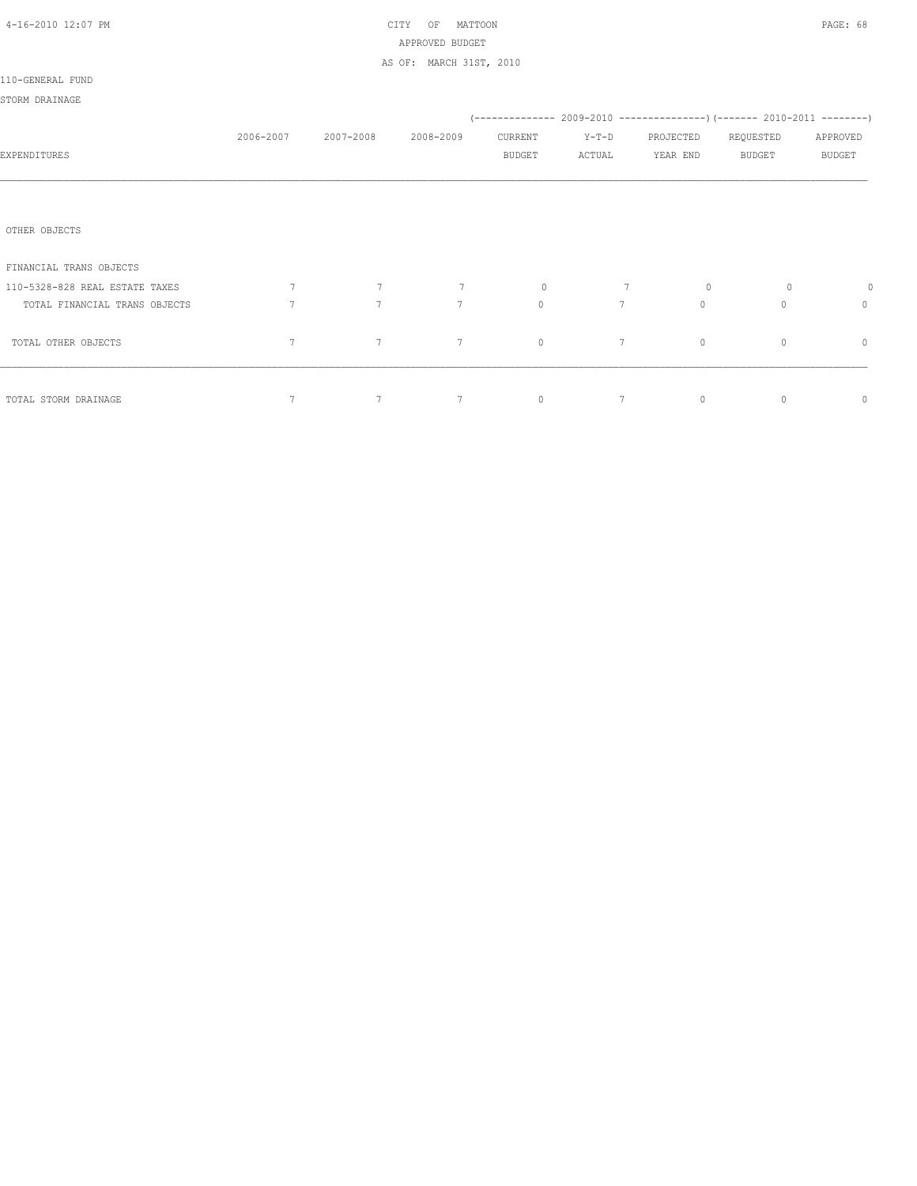## 4-16-2010 12:07 PM CITY OF MATTOON PAGE: 68 APPROVED BUDGET AS OF: MARCH 31ST, 2010

#### 110-GENERAL FUND

STORM DRAINAGE

| EXPENDITURES                   | 2006-2007      | 2007-2008       | 2008-2009       | CURRENT<br><b>BUDGET</b> | $Y-T-D$<br>ACTUAL | (-------------- 2009-2010 ----------------) (------- 2010-2011 --------)<br>PROJECTED<br>YEAR END | REQUESTED<br><b>BUDGET</b> | APPROVED<br><b>BUDGET</b> |
|--------------------------------|----------------|-----------------|-----------------|--------------------------|-------------------|---------------------------------------------------------------------------------------------------|----------------------------|---------------------------|
|                                |                |                 |                 |                          |                   |                                                                                                   |                            |                           |
| OTHER OBJECTS                  |                |                 |                 |                          |                   |                                                                                                   |                            |                           |
| FINANCIAL TRANS OBJECTS        |                |                 |                 |                          |                   |                                                                                                   |                            |                           |
| 110-5328-828 REAL ESTATE TAXES | $\overline{7}$ | $\overline{7}$  | $7\phantom{.0}$ | $\circ$                  |                   | 7<br>$\mathbf{0}$                                                                                 | $\mathbf 0$                | 0                         |
| TOTAL FINANCIAL TRANS OBJECTS  | $\overline{7}$ | $\overline{7}$  | $\overline{7}$  | $\mathbf{0}$             | $\overline{7}$    | $\circ$                                                                                           | $\Omega$                   | $\mathbb O$               |
| TOTAL OTHER OBJECTS            | $\overline{7}$ | $7\phantom{.0}$ | $7\phantom{.0}$ | $\circ$                  | $7\phantom{.0}$   | $\circ$                                                                                           | $\mathbf{0}$               | $\circ$                   |
| TOTAL STORM DRAINAGE           | $\overline{7}$ | $7\phantom{.0}$ | $\overline{7}$  | $\circ$                  | 7                 | 0                                                                                                 | $\mathbf{0}$               | $\circ$                   |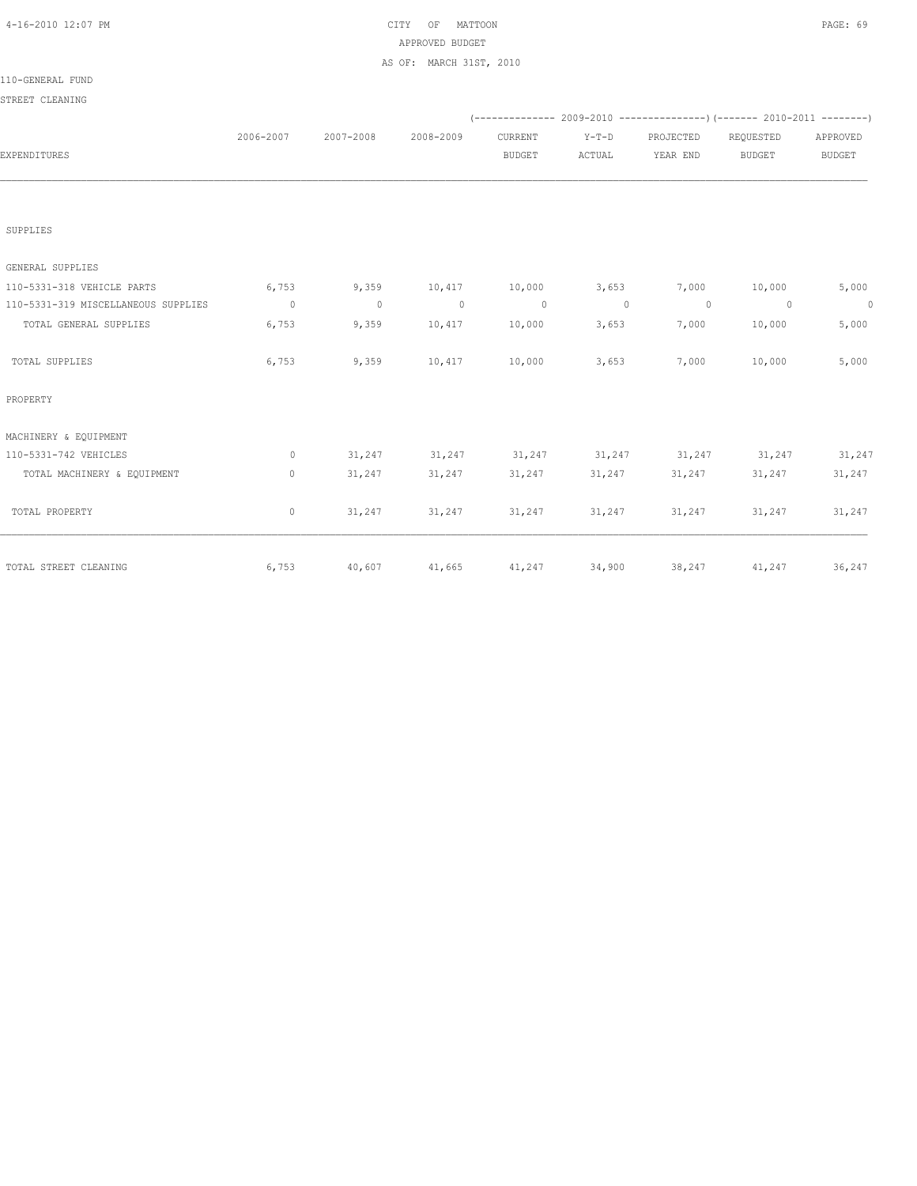## 4-16-2010 12:07 PM CITY OF MATTOON PAGE: 69 APPROVED BUDGET AS OF: MARCH 31ST, 2010

### 110-GENERAL FUND

|                                     |                |                |                 |                                     |               |           | (-------------- 2009-2010 ----------------)(------- 2010-2011 --------) |                          |
|-------------------------------------|----------------|----------------|-----------------|-------------------------------------|---------------|-----------|-------------------------------------------------------------------------|--------------------------|
|                                     | 2006-2007      | 2007-2008      | 2008-2009       | CURRENT                             | $Y-T-D$       | PROJECTED | REQUESTED                                                               | APPROVED                 |
| EXPENDITURES                        |                |                |                 | <b>BUDGET</b>                       | ACTUAL        | YEAR END  | <b>BUDGET</b>                                                           | <b>BUDGET</b>            |
|                                     |                |                |                 |                                     |               |           |                                                                         |                          |
| SUPPLIES                            |                |                |                 |                                     |               |           |                                                                         |                          |
| GENERAL SUPPLIES                    |                |                |                 |                                     |               |           |                                                                         |                          |
| 110-5331-318 VEHICLE PARTS          | 6,753          | 9,359          | 10,417          | 10,000                              | 3,653         | 7,000     | 10,000                                                                  | 5,000                    |
| 110-5331-319 MISCELLANEOUS SUPPLIES | $\overline{0}$ | $\overline{0}$ | $\sim$ 0        | $\sim$ 0                            | $\sim$ 0      | $\sim$ 0  | $\sim$ 0                                                                | $\overline{\phantom{0}}$ |
| TOTAL GENERAL SUPPLIES              | 6,753          | 9,359          | 10,417          | 10,000                              | 3,653         | 7,000     | 10,000                                                                  | 5,000                    |
| TOTAL SUPPLIES                      | 6,753          | 9,359          |                 | 10,417 10,000                       | 3,653         | 7,000     | 10,000                                                                  | 5,000                    |
| PROPERTY                            |                |                |                 |                                     |               |           |                                                                         |                          |
| MACHINERY & EQUIPMENT               |                |                |                 |                                     |               |           |                                                                         |                          |
| 110-5331-742 VEHICLES               | $\circ$        |                | 31, 247 31, 247 | $31,247$ $31,247$ $31,247$ $31,247$ |               |           |                                                                         | 31,247                   |
| TOTAL MACHINERY & EQUIPMENT         | $\mathbf{0}$   | 31,247         | 31,247          | 31,247                              | 31,247        |           | 31, 247 31, 247                                                         | 31,247                   |
| TOTAL PROPERTY                      | $\circ$        | 31,247         | 31,247          | 31,247                              | 31,247        | 31,247    | 31,247                                                                  | 31,247                   |
| TOTAL STREET CLEANING               | 6,753          | 40,607         | 41,665          |                                     | 41,247 34,900 |           | 38, 247 41, 247                                                         | 36,247                   |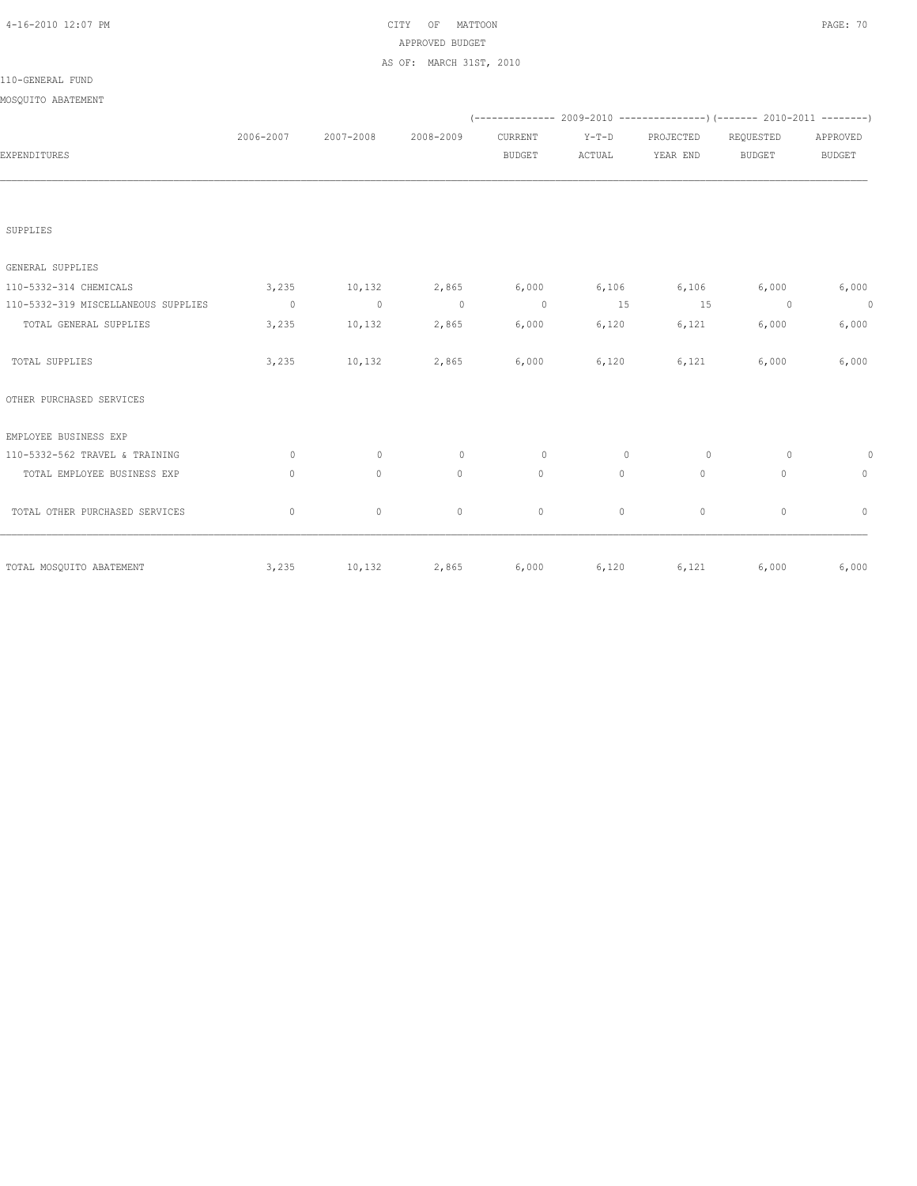## 4-16-2010 12:07 PM CITY OF MATTOON PAGE: 70 APPROVED BUDGET AS OF: MARCH 31ST, 2010

#### 110-GENERAL FUND

|                                     |                |              |              |               |              |              | (-------------- 2009-2010 ----------------) (------- 2010-2011 --------) |               |
|-------------------------------------|----------------|--------------|--------------|---------------|--------------|--------------|--------------------------------------------------------------------------|---------------|
|                                     | 2006-2007      | 2007-2008    | 2008-2009    | CURRENT       | $Y-T-D$      | PROJECTED    | REQUESTED                                                                | APPROVED      |
| EXPENDITURES                        |                |              |              | <b>BUDGET</b> | ACTUAL       | YEAR END     | <b>BUDGET</b>                                                            | <b>BUDGET</b> |
|                                     |                |              |              |               |              |              |                                                                          |               |
| SUPPLIES                            |                |              |              |               |              |              |                                                                          |               |
| GENERAL SUPPLIES                    |                |              |              |               |              |              |                                                                          |               |
| 110-5332-314 CHEMICALS              | 3,235          | 10,132       | 2,865        | 6,000         | 6,106        | 6,106        | 6,000                                                                    | 6,000         |
| 110-5332-319 MISCELLANEOUS SUPPLIES | $\overline{0}$ | $\sim$ 0     | $\sim$ 0     | $\sim$ 0      | 15           | 15           | $\overline{0}$                                                           | $\circ$       |
| TOTAL GENERAL SUPPLIES              | 3,235          | 10,132       | 2,865        | 6,000         | 6,120        | 6,121        | 6,000                                                                    | 6,000         |
| TOTAL SUPPLIES                      | 3,235          | 10,132       | 2,865        | 6,000         | 6,120        | 6,121        | 6,000                                                                    | 6,000         |
| OTHER PURCHASED SERVICES            |                |              |              |               |              |              |                                                                          |               |
| EMPLOYEE BUSINESS EXP               |                |              |              |               |              |              |                                                                          |               |
| 110-5332-562 TRAVEL & TRAINING      | $\circ$        | $\circ$      | $\circ$      | $\circ$       | $\mathbf{0}$ | $\mathbf{0}$ | $\mathbf{0}$                                                             | $\mathbf 0$   |
| TOTAL EMPLOYEE BUSINESS EXP         | $\mathbf{0}$   | $\mathbf{0}$ | $\mathbf{0}$ | $\circ$       | $\circ$      | $\mathbf{0}$ | $\mathbf{0}$                                                             | $\mathbf{0}$  |
| TOTAL OTHER PURCHASED SERVICES      | $\circ$        | $\circ$      | $\mathbf 0$  | $\circ$       | $\circ$      | $\circ$      | $\circ$                                                                  | $\circ$       |
| TOTAL MOSQUITO ABATEMENT            | 3,235          | 10, 132      | 2,865        | 6,000         | 6,120        | 6,121        | 6,000                                                                    | 6,000         |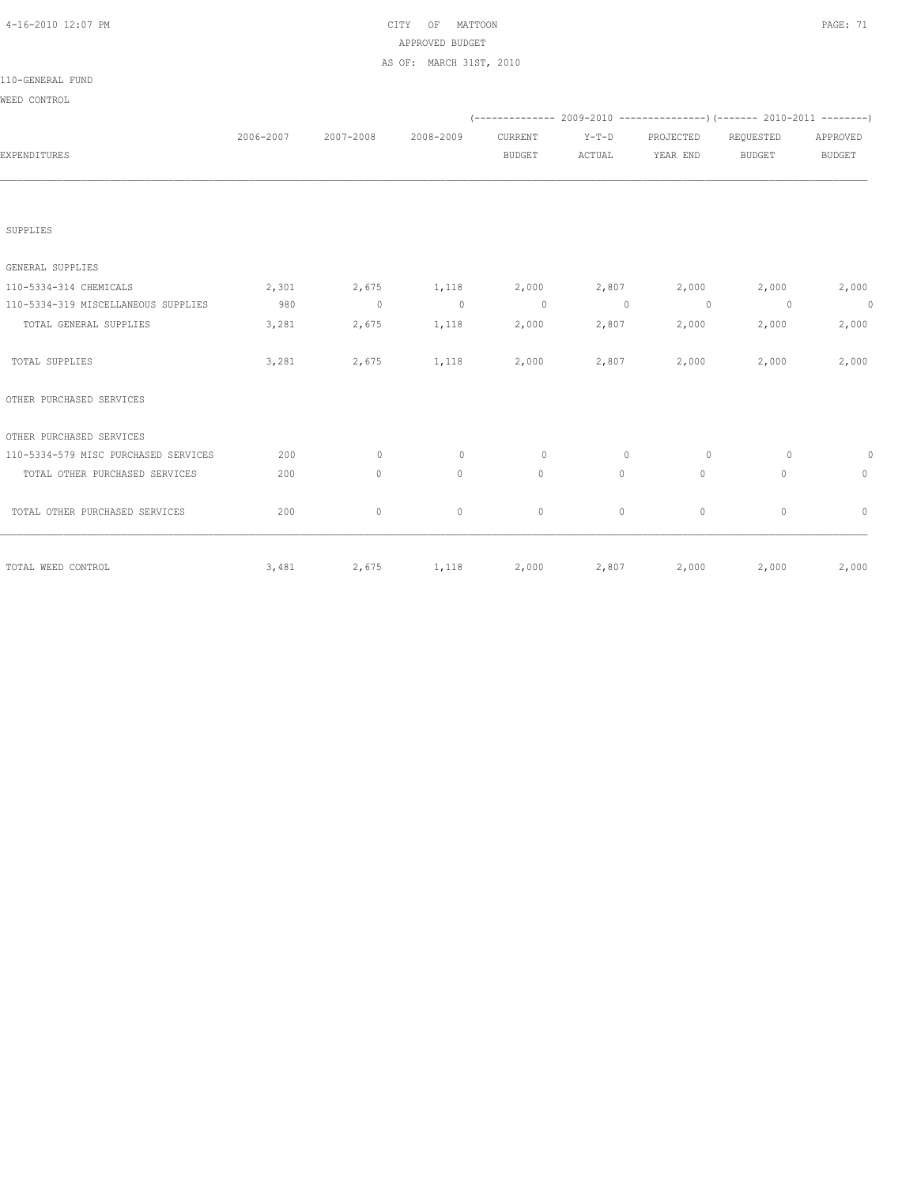## 4-16-2010 12:07 PM CITY OF MATTOON PAGE: 71 APPROVED BUDGET AS OF: MARCH 31ST, 2010

#### 110-GENERAL FUND

|                                      |           |                |              |                          |                   | (-------------- 2009-2010 ----------------) (------- 2010-2011 --------) |                            |                           |
|--------------------------------------|-----------|----------------|--------------|--------------------------|-------------------|--------------------------------------------------------------------------|----------------------------|---------------------------|
| EXPENDITURES                         | 2006-2007 | 2007-2008      | 2008-2009    | CURRENT<br><b>BUDGET</b> | $Y-T-D$<br>ACTUAL | PROJECTED<br>YEAR END                                                    | REQUESTED<br><b>BUDGET</b> | APPROVED<br><b>BUDGET</b> |
|                                      |           |                |              |                          |                   |                                                                          |                            |                           |
| <b>SUPPLIES</b>                      |           |                |              |                          |                   |                                                                          |                            |                           |
| GENERAL SUPPLIES                     |           |                |              |                          |                   |                                                                          |                            |                           |
| 110-5334-314 CHEMICALS               | 2,301     | 2,675          | 1,118        | 2,000                    | 2,807             | 2,000                                                                    | 2,000                      | 2,000                     |
| 110-5334-319 MISCELLANEOUS SUPPLIES  | 980       | $\overline{0}$ | $\mathbf{0}$ | $\circ$                  | $\mathbf{0}$      | $\overline{0}$                                                           | $\circ$                    | $\overline{0}$            |
| TOTAL GENERAL SUPPLIES               | 3,281     | 2,675          | 1,118        | 2,000                    | 2,807             | 2,000                                                                    | 2,000                      | 2,000                     |
| TOTAL SUPPLIES                       | 3,281     | 2,675          | 1,118        | 2,000                    | 2,807             | 2,000                                                                    | 2,000                      | 2,000                     |
| OTHER PURCHASED SERVICES             |           |                |              |                          |                   |                                                                          |                            |                           |
| OTHER PURCHASED SERVICES             |           |                |              |                          |                   |                                                                          |                            |                           |
| 110-5334-579 MISC PURCHASED SERVICES | 200       | $\circ$        | $\circ$      | $\circ$                  | $\mathbf{0}$      | $\mathbf{0}$                                                             | $\mathbf{0}$               | 0                         |
| TOTAL OTHER PURCHASED SERVICES       | 200       | $\circ$        | $\circ$      | $\circ$                  | $\circ$           | $\circ$                                                                  | $\circ$                    | 0                         |
| TOTAL OTHER PURCHASED SERVICES       | 200       | $\circ$        | $\mathbf 0$  | $\circ$                  | $\circ$           | 0                                                                        | $\mathbf{0}$               | $\mathbf{0}$              |

\_\_\_\_\_\_\_\_\_\_\_\_\_\_\_\_\_\_\_\_\_\_\_\_\_\_\_\_\_\_\_\_\_\_\_\_\_\_\_\_\_\_\_\_\_\_\_\_\_\_\_\_\_\_\_\_\_\_\_\_\_\_\_\_\_\_\_\_\_\_\_\_\_\_\_\_\_\_\_\_\_\_\_\_\_\_\_\_\_\_\_\_\_\_\_\_\_\_\_\_\_\_\_\_\_\_\_\_\_\_\_\_\_\_\_\_\_\_\_\_\_\_\_\_\_\_\_\_\_\_\_\_\_\_\_\_\_\_\_\_\_\_\_\_\_\_\_\_\_\_

TOTAL WEED CONTROL 3,481 2,675 1,118 2,000 2,807 2,000 2,000 2,000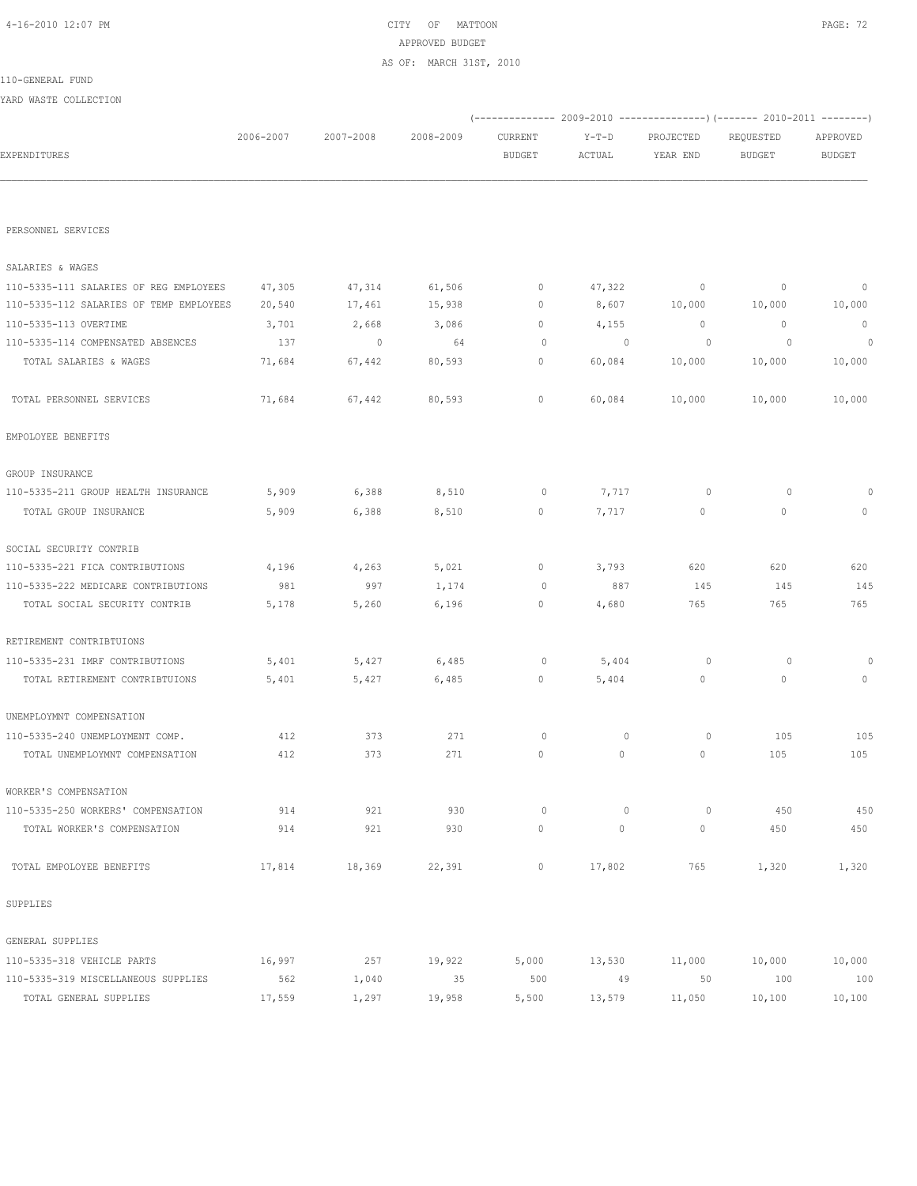## 4-16-2010 12:07 PM CITY OF MATTOON PAGE: 72 APPROVED BUDGET AS OF: MARCH 31ST, 2010

#### 110-GENERAL FUND

#### YARD WASTE COLLECTION

|                                         |           |                |           | (-------------- 2009-2010 ----------------) (------- 2010-2011 --------) |                |             |               |                |
|-----------------------------------------|-----------|----------------|-----------|--------------------------------------------------------------------------|----------------|-------------|---------------|----------------|
|                                         | 2006-2007 | 2007-2008      | 2008-2009 | CURRENT                                                                  | $Y-T-D$        | PROJECTED   | REQUESTED     | APPROVED       |
| EXPENDITURES                            |           |                |           | <b>BUDGET</b>                                                            | ACTUAL         | YEAR END    | <b>BUDGET</b> | <b>BUDGET</b>  |
|                                         |           |                |           |                                                                          |                |             |               |                |
| PERSONNEL SERVICES                      |           |                |           |                                                                          |                |             |               |                |
| SALARIES & WAGES                        |           |                |           |                                                                          |                |             |               |                |
| 110-5335-111 SALARIES OF REG EMPLOYEES  | 47,305    | 47,314         | 61,506    | 0                                                                        | 47,322         | $\sim$ 0    | $\circ$       | $\circ$        |
| 110-5335-112 SALARIES OF TEMP EMPLOYEES | 20,540    | 17,461         | 15,938    | 0                                                                        | 8,607          | 10,000      | 10,000        | 10,000         |
| 110-5335-113 OVERTIME                   | 3,701     | 2,668          | 3,086     | 0                                                                        | 4,155          | 0           | $\mathbb{O}$  | $\overline{0}$ |
| 110-5335-114 COMPENSATED ABSENCES       | 137       | $\overline{0}$ | 64        | 0                                                                        | $\overline{0}$ | $\mathbf 0$ | $\mathbf 0$   | $\mathbb O$    |
| TOTAL SALARIES & WAGES                  | 71,684    | 67,442         | 80,593    | 0                                                                        | 60,084         | 10,000      | 10,000        | 10,000         |
| TOTAL PERSONNEL SERVICES                | 71,684    | 67,442         | 80,593    | 0                                                                        | 60,084         | 10,000      | 10,000        | 10,000         |
| EMPOLOYEE BENEFITS                      |           |                |           |                                                                          |                |             |               |                |
| GROUP INSURANCE                         |           |                |           |                                                                          |                |             |               |                |
| 110-5335-211 GROUP HEALTH INSURANCE     | 5,909     | 6,388          | 8,510     | 0                                                                        | 7,717          | 0           | 0             | 0              |
| TOTAL GROUP INSURANCE                   | 5,909     | 6,388          | 8,510     | 0                                                                        | 7,717          | $\circ$     | $\mathbb O$   | 0              |
| SOCIAL SECURITY CONTRIB                 |           |                |           |                                                                          |                |             |               |                |
| 110-5335-221 FICA CONTRIBUTIONS         | 4,196     | 4,263          | 5,021     | 0                                                                        | 3,793          | 620         | 620           | 620            |
| 110-5335-222 MEDICARE CONTRIBUTIONS     | 981       | 997            | 1,174     | 0                                                                        | 887            | 145         | 145           | 145            |
| TOTAL SOCIAL SECURITY CONTRIB           | 5,178     | 5,260          | 6,196     | 0                                                                        | 4,680          | 765         | 765           | 765            |
| RETIREMENT CONTRIBTUIONS                |           |                |           |                                                                          |                |             |               |                |
| 110-5335-231 IMRF CONTRIBUTIONS         | 5,401     | 5,427          | 6,485     | 0                                                                        | 5,404          | 0           | 0             | $\mathbf 0$    |
| TOTAL RETIREMENT CONTRIBTUIONS          | 5,401     | 5,427          | 6,485     | 0                                                                        | 5,404          | $\circ$     | 0             | 0              |
| UNEMPLOYMNT COMPENSATION                |           |                |           |                                                                          |                |             |               |                |
| 110-5335-240 UNEMPLOYMENT COMP.         | 412       | 373            | 271       | 0                                                                        | 0              | 0           | 105           | 105            |
| TOTAL UNEMPLOYMNT COMPENSATION          | 412       | 373            | 271       | $\circ$                                                                  | $\circ$        | $\circ$     | 105           | 105            |
| WORKER'S COMPENSATION                   |           |                |           |                                                                          |                |             |               |                |
| 110-5335-250 WORKERS' COMPENSATION      | 914       | 921            | 930       | $\circ$                                                                  | $\mathbb O$    | $\mathbf 0$ | 450           | 450            |
| TOTAL WORKER'S COMPENSATION             | 914       | 921            | 930       | $\circ$                                                                  | $\mathbb O$    | $\mathbb O$ | 450           | 450            |
| TOTAL EMPOLOYEE BENEFITS                | 17,814    | 18,369         | 22,391    | $\mathbb O$                                                              | 17,802         | 765         | 1,320         | 1,320          |
| SUPPLIES                                |           |                |           |                                                                          |                |             |               |                |
| GENERAL SUPPLIES                        |           |                |           |                                                                          |                |             |               |                |
| 110-5335-318 VEHICLE PARTS              | 16,997    | 257            | 19,922    | 5,000                                                                    | 13,530         | 11,000      | 10,000        | 10,000         |
| 110-5335-319 MISCELLANEOUS SUPPLIES     | 562       | 1,040          | 35        | 500                                                                      | - 49           | 50          | 100           | 100            |
| TOTAL GENERAL SUPPLIES                  | 17,559    | 1,297          | 19,958    | 5,500                                                                    | 13,579         | 11,050      | 10,100        | 10,100         |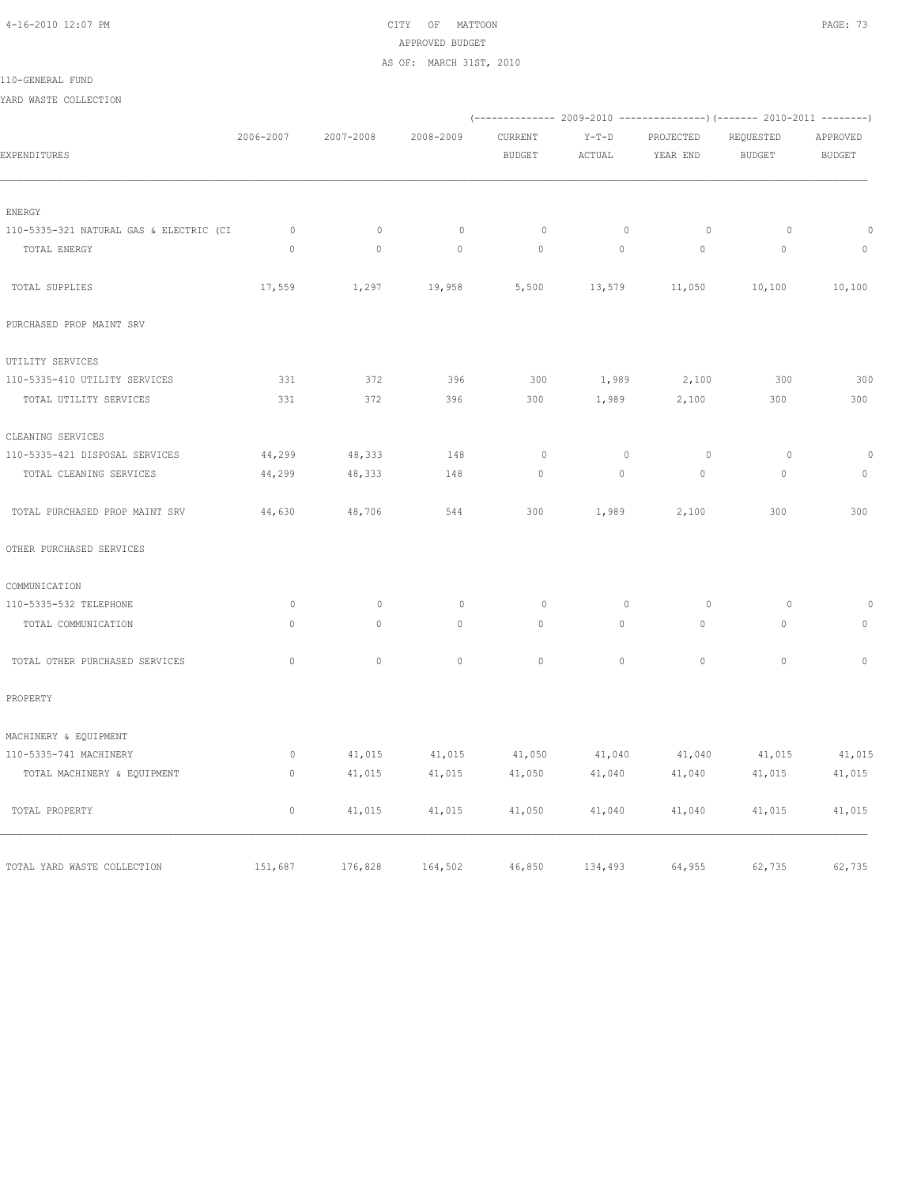# 4-16-2010 12:07 PM CITY OF MATTOON PAGE: 73 APPROVED BUDGET AS OF: MARCH 31ST, 2010

### 110-GENERAL FUND

### YARD WASTE COLLECTION

|                                         |             |           |             |               |             |             | (-------------- 2009-2010 ----------------) (------- 2010-2011 --------) |               |  |
|-----------------------------------------|-------------|-----------|-------------|---------------|-------------|-------------|--------------------------------------------------------------------------|---------------|--|
|                                         | 2006-2007   | 2007-2008 | 2008-2009   | CURRENT       | $Y-T-D$     | PROJECTED   | REQUESTED                                                                | APPROVED      |  |
| EXPENDITURES                            |             |           |             | <b>BUDGET</b> | ACTUAL      | YEAR END    | <b>BUDGET</b>                                                            | <b>BUDGET</b> |  |
|                                         |             |           |             |               |             |             |                                                                          |               |  |
| ENERGY                                  |             |           |             |               |             |             |                                                                          |               |  |
| 110-5335-321 NATURAL GAS & ELECTRIC (CI | $\circ$     | $\circ$   | $\mathbb O$ | $\circ$       | $\mathbb O$ | $\circ$     | $\mathbb O$                                                              | $\mathbb O$   |  |
| TOTAL ENERGY                            | $\Omega$    | $\circ$   | $\circ$     | $\circ$       | $\circ$     | $\circ$     | $\mathbf{0}$                                                             | $\mathbf{0}$  |  |
| TOTAL SUPPLIES                          | 17,559      | 1,297     | 19,958      | 5,500         | 13,579      | 11,050      | 10,100                                                                   | 10,100        |  |
| PURCHASED PROP MAINT SRV                |             |           |             |               |             |             |                                                                          |               |  |
| UTILITY SERVICES                        |             |           |             |               |             |             |                                                                          |               |  |
| 110-5335-410 UTILITY SERVICES           | 331         | 372       | 396         | 300           | 1,989       | 2,100       | 300                                                                      | 300           |  |
| TOTAL UTILITY SERVICES                  | 331         | 372       | 396         | 300           | 1,989       | 2,100       | 300                                                                      | 300           |  |
| CLEANING SERVICES                       |             |           |             |               |             |             |                                                                          |               |  |
| 110-5335-421 DISPOSAL SERVICES          | 44,299      | 48,333    | 148         | $\circ$       | $\circ$     | $\circ$     | $\circ$                                                                  | $\mathbb O$   |  |
| TOTAL CLEANING SERVICES                 | 44,299      | 48,333    | 148         | $\mathbb O$   | $\circ$     | $\mathbb O$ | $\mathbb O$                                                              | 0             |  |
| TOTAL PURCHASED PROP MAINT SRV          | 44,630      | 48,706    | 544         | 300           | 1,989       | 2,100       | 300                                                                      | 300           |  |
| OTHER PURCHASED SERVICES                |             |           |             |               |             |             |                                                                          |               |  |
| COMMUNICATION                           |             |           |             |               |             |             |                                                                          |               |  |
| 110-5335-532 TELEPHONE                  | $\circ$     | $\circ$   | $\mathbb O$ | $\circ$       | $\mathbb O$ | $\circ$     | $\mathbb O$                                                              | $\mathbf{0}$  |  |
| TOTAL COMMUNICATION                     | $\Omega$    | $\Omega$  | $\circ$     | $\circ$       | $\circ$     | $\mathbb O$ | $\Omega$                                                                 | $\mathbb O$   |  |
| TOTAL OTHER PURCHASED SERVICES          | $\circ$     | $\circ$   | $\circ$     | $\circ$       | $\circ$     | $\circ$     | $\mathbf 0$                                                              | $\circ$       |  |
| PROPERTY                                |             |           |             |               |             |             |                                                                          |               |  |
| MACHINERY & EQUIPMENT                   |             |           |             |               |             |             |                                                                          |               |  |
| 110-5335-741 MACHINERY                  | $\circ$     | 41,015    | 41,015      | 41,050        | 41,040      | 41,040      | 41,015                                                                   | 41,015        |  |
| TOTAL MACHINERY & EQUIPMENT             | $\circ$     | 41,015    | 41,015      | 41,050        | 41,040      | 41,040      | 41,015                                                                   | 41,015        |  |
| TOTAL PROPERTY                          | $\mathbb O$ | 41,015    | 41,015      | 41,050        | 41,040      | 41,040      | 41,015                                                                   | 41,015        |  |
| TOTAL YARD WASTE COLLECTION             | 151,687     | 176,828   | 164,502     | 46,850        | 134,493     | 64,955      | 62,735                                                                   | 62,735        |  |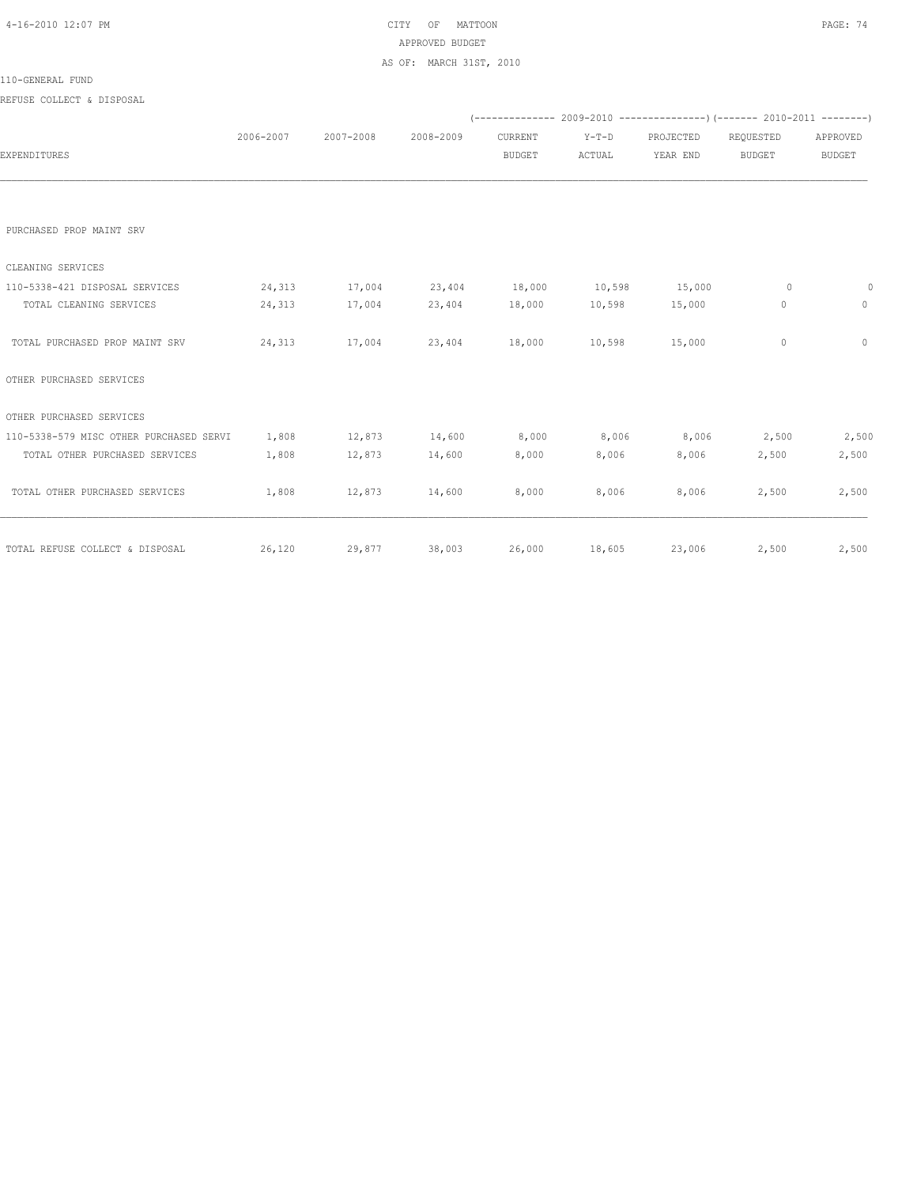# 4-16-2010 12:07 PM CITY OF MATTOON PAGE: 74 APPROVED BUDGET AS OF: MARCH 31ST, 2010

### 110-GENERAL FUND

### REFUSE COLLECT & DISPOSAL

|                                         |           |           |           |               |         |           | (-------------- 2009-2010 ----------------) (------- 2010-2011 --------) |               |
|-----------------------------------------|-----------|-----------|-----------|---------------|---------|-----------|--------------------------------------------------------------------------|---------------|
|                                         | 2006-2007 | 2007-2008 | 2008-2009 | CURRENT       | $Y-T-D$ | PROJECTED | REQUESTED                                                                | APPROVED      |
| EXPENDITURES                            |           |           |           | <b>BUDGET</b> | ACTUAL  | YEAR END  | <b>BUDGET</b>                                                            | <b>BUDGET</b> |
|                                         |           |           |           |               |         |           |                                                                          |               |
| PURCHASED PROP MAINT SRV                |           |           |           |               |         |           |                                                                          |               |
| CLEANING SERVICES                       |           |           |           |               |         |           |                                                                          |               |
| 110-5338-421 DISPOSAL SERVICES          | 24,313    | 17,004    | 23,404    | 18,000        | 10,598  | 15,000    | $\mathbf{0}$                                                             | $\mathbf 0$   |
| TOTAL CLEANING SERVICES                 | 24,313    | 17,004    | 23,404    | 18,000        | 10,598  | 15,000    | $\circ$                                                                  | $\circ$       |
| TOTAL PURCHASED PROP MAINT SRV          | 24,313    | 17,004    | 23,404    | 18,000        | 10,598  | 15,000    | $\circ$                                                                  | $\circ$       |
| OTHER PURCHASED SERVICES                |           |           |           |               |         |           |                                                                          |               |
| OTHER PURCHASED SERVICES                |           |           |           |               |         |           |                                                                          |               |
| 110-5338-579 MISC OTHER PURCHASED SERVI | 1,808     | 12,873    | 14,600    | 8,000         | 8,006   | 8,006     | 2,500                                                                    | 2,500         |
| TOTAL OTHER PURCHASED SERVICES          | 1,808     | 12,873    | 14,600    | 8,000         | 8,006   | 8,006     | 2,500                                                                    | 2,500         |
| TOTAL OTHER PURCHASED SERVICES          | 1,808     | 12,873    | 14,600    | 8,000         | 8,006   | 8,006     | 2,500                                                                    | 2,500         |
| TOTAL REFUSE COLLECT & DISPOSAL         | 26,120    | 29,877    | 38,003    | 26,000        | 18,605  | 23,006    | 2,500                                                                    | 2,500         |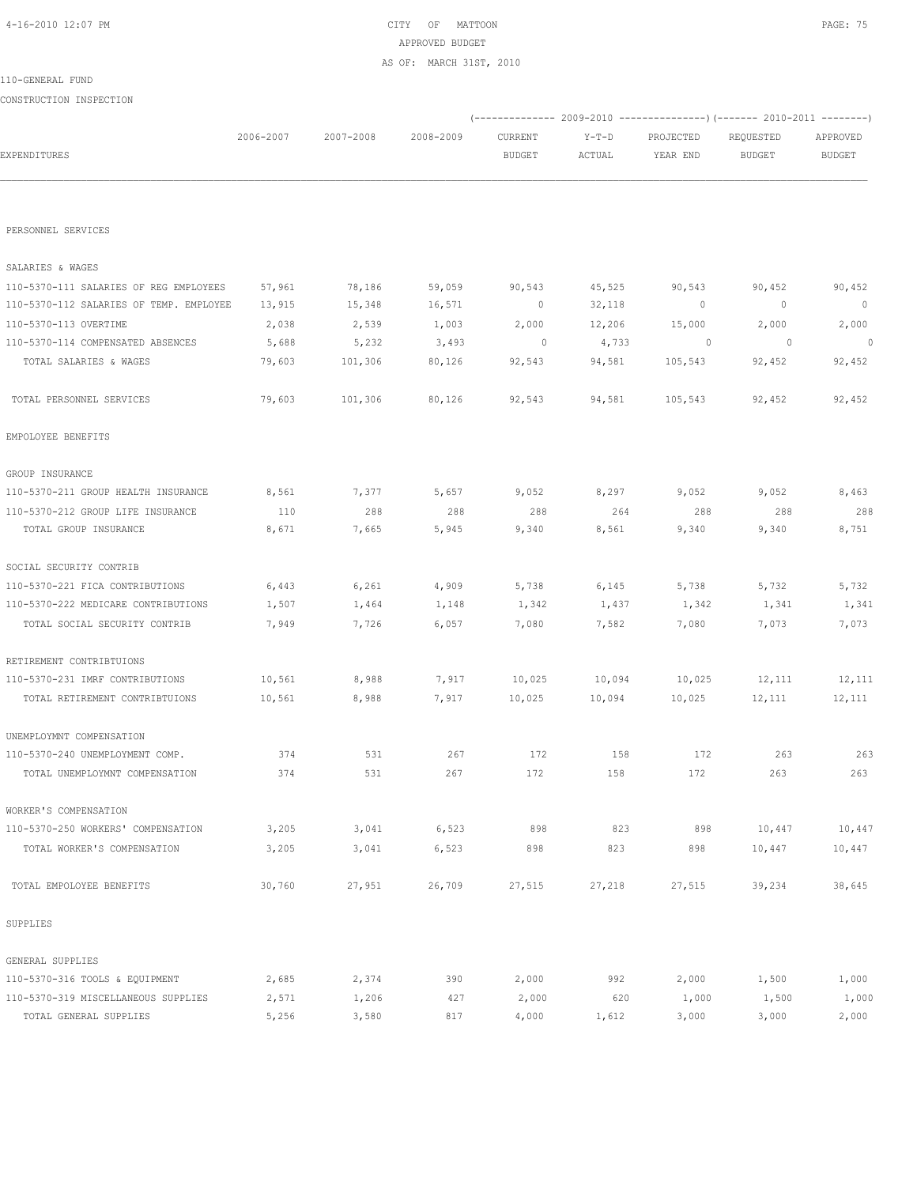# 4-16-2010 12:07 PM CITY OF MATTOON PAGE: 75 APPROVED BUDGET AS OF: MARCH 31ST, 2010

### 110-GENERAL FUND

### CONSTRUCTION INSPECTION

|                                         |           |           |           |               |         | (------------- 2009-2010 ---------------)(------- 2010-2011 --------) |                          |                |
|-----------------------------------------|-----------|-----------|-----------|---------------|---------|-----------------------------------------------------------------------|--------------------------|----------------|
|                                         | 2006-2007 | 2007-2008 | 2008-2009 | CURRENT       | $Y-T-D$ | PROJECTED                                                             | REQUESTED                | APPROVED       |
| EXPENDITURES                            |           |           |           | <b>BUDGET</b> | ACTUAL  | YEAR END                                                              | <b>BUDGET</b>            | <b>BUDGET</b>  |
|                                         |           |           |           |               |         |                                                                       |                          |                |
| PERSONNEL SERVICES                      |           |           |           |               |         |                                                                       |                          |                |
| SALARIES & WAGES                        |           |           |           |               |         |                                                                       |                          |                |
| 110-5370-111 SALARIES OF REG EMPLOYEES  | 57,961    | 78,186    | 59,059    | 90,543        | 45,525  | 90,543                                                                | 90,452                   | 90,452         |
| 110-5370-112 SALARIES OF TEMP. EMPLOYEE | 13,915    | 15,348    | 16,571    | $\circ$       | 32,118  | $\overline{0}$                                                        | $\overline{\phantom{0}}$ | $\overline{0}$ |
| 110-5370-113 OVERTIME                   | 2,038     | 2,539     | 1,003     | 2,000         | 12,206  | 15,000                                                                | 2,000                    | 2,000          |
| 110-5370-114 COMPENSATED ABSENCES       | 5,688     | 5,232     | 3,493     | $\circ$       | 4,733   | $\sim$ 0                                                              | $\mathbf 0$              | $\mathbb O$    |
| TOTAL SALARIES & WAGES                  | 79,603    | 101,306   | 80,126    | 92,543        | 94,581  | 105,543                                                               | 92,452                   | 92,452         |
| TOTAL PERSONNEL SERVICES                | 79,603    | 101,306   | 80,126    | 92,543        | 94,581  | 105,543                                                               | 92,452                   | 92,452         |
| EMPOLOYEE BENEFITS                      |           |           |           |               |         |                                                                       |                          |                |
| GROUP INSURANCE                         |           |           |           |               |         |                                                                       |                          |                |
| 110-5370-211 GROUP HEALTH INSURANCE     | 8,561     | 7,377     | 5,657     | 9,052         | 8,297   | 9,052                                                                 | 9,052                    | 8,463          |
| 110-5370-212 GROUP LIFE INSURANCE       | 110       | 288       | 288       | 288           | 264     | 288                                                                   | 288                      | 288            |
| TOTAL GROUP INSURANCE                   | 8,671     | 7,665     | 5,945     | 9,340         | 8,561   | 9,340                                                                 | 9,340                    | 8,751          |
| SOCIAL SECURITY CONTRIB                 |           |           |           |               |         |                                                                       |                          |                |
| 110-5370-221 FICA CONTRIBUTIONS         | 6,443     | 6,261     | 4,909     | 5,738         | 6,145   | 5,738                                                                 | 5,732                    | 5,732          |
| 110-5370-222 MEDICARE CONTRIBUTIONS     | 1,507     | 1,464     | 1,148     | 1,342         | 1,437   | 1,342                                                                 | 1,341                    | 1,341          |
| TOTAL SOCIAL SECURITY CONTRIB           | 7,949     | 7,726     | 6,057     | 7,080         | 7,582   | 7,080                                                                 | 7,073                    | 7,073          |
| RETIREMENT CONTRIBTUIONS                |           |           |           |               |         |                                                                       |                          |                |
| 110-5370-231 IMRF CONTRIBUTIONS         | 10,561    | 8,988     | 7,917     | 10,025        | 10,094  | 10,025                                                                | 12,111                   | 12,111         |
| TOTAL RETIREMENT CONTRIBTUIONS          | 10,561    | 8,988     | 7,917     | 10,025        | 10,094  | 10,025                                                                | 12,111                   | 12,111         |
| UNEMPLOYMNT COMPENSATION                |           |           |           |               |         |                                                                       |                          |                |
| 110-5370-240 UNEMPLOYMENT COMP.         | 374       | 531       | 267       | 172           | 158     | 172                                                                   | 263                      | 263            |
| TOTAL UNEMPLOYMNT COMPENSATION          | 374       | 531       | 267       | 172           | 158     | 172                                                                   | 263                      | 263            |
| WORKER'S COMPENSATION                   |           |           |           |               |         |                                                                       |                          |                |
| 110-5370-250 WORKERS' COMPENSATION      | 3,205     | 3,041     | 6,523     | 898           | 823     | 898                                                                   | 10,447                   | 10,447         |
| TOTAL WORKER'S COMPENSATION             | 3,205     | 3,041     | 6,523     | 898           | 823     | 898                                                                   | 10,447                   | 10,447         |
| TOTAL EMPOLOYEE BENEFITS                | 30,760    | 27,951    | 26,709    | 27,515        | 27,218  | 27,515                                                                | 39,234                   | 38,645         |
| SUPPLIES                                |           |           |           |               |         |                                                                       |                          |                |
| GENERAL SUPPLIES                        |           |           |           |               |         |                                                                       |                          |                |
| 110-5370-316 TOOLS & EQUIPMENT          | 2,685     | 2,374     | 390       | 2,000         | 992     | 2,000                                                                 | 1,500                    | 1,000          |
| 110-5370-319 MISCELLANEOUS SUPPLIES     | 2,571     | 1,206     | 427       | 2,000         | 620     | 1,000                                                                 | 1,500                    | 1,000          |
| TOTAL GENERAL SUPPLIES                  | 5,256     | 3,580     | 817       | 4,000         | 1,612   | 3,000                                                                 | 3,000                    | 2,000          |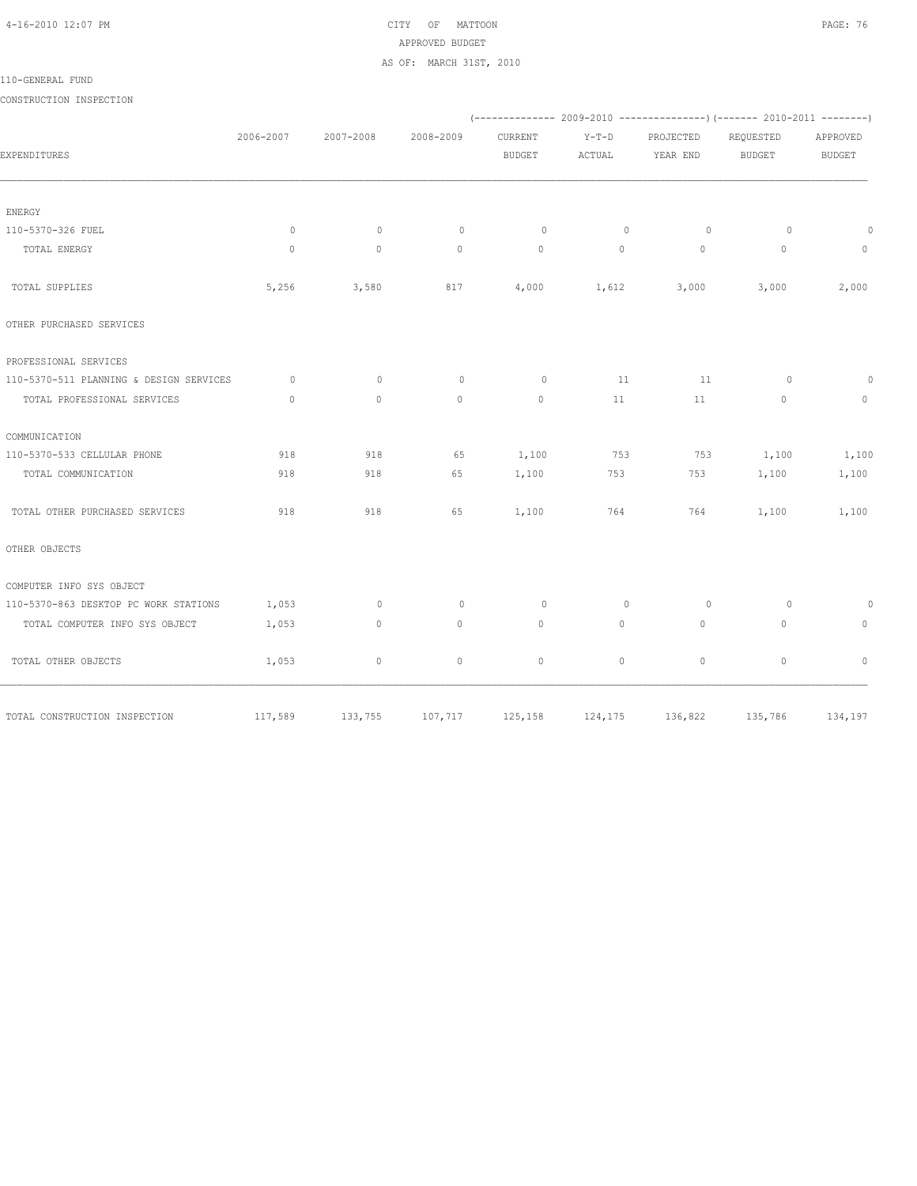# 4-16-2010 12:07 PM CITY OF MATTOON PAGE: 76 APPROVED BUDGET AS OF: MARCH 31ST, 2010

### 110-GENERAL FUND

### CONSTRUCTION INSPECTION

|                                         |           | 2007-2008    |              |               |              | (-------------- 2009-2010 ----------------) (------- 2010-2011 --------) |               |               |
|-----------------------------------------|-----------|--------------|--------------|---------------|--------------|--------------------------------------------------------------------------|---------------|---------------|
|                                         | 2006-2007 |              | 2008-2009    | CURRENT       | $Y-T-D$      | PROJECTED                                                                | REQUESTED     | APPROVED      |
| EXPENDITURES                            |           |              |              | <b>BUDGET</b> | ACTUAL       | YEAR END                                                                 | <b>BUDGET</b> | <b>BUDGET</b> |
|                                         |           |              |              |               |              |                                                                          |               |               |
| ENERGY                                  |           |              |              |               |              |                                                                          |               |               |
| 110-5370-326 FUEL                       | $\circ$   | $\mathbf{0}$ | $\circ$      | $\circ$       | $\mathbf{0}$ | $\mathbf{0}$                                                             | $\mathbf{0}$  | $\mathbf{0}$  |
| TOTAL ENERGY                            | $\circ$   | $\circ$      | $\circ$      | $\circ$       | $\circ$      | $\circ$                                                                  | $\mathbf{0}$  | $\circ$       |
| TOTAL SUPPLIES                          | 5,256     | 3,580        | 817          | 4,000         | 1,612        | 3,000                                                                    | 3,000         | 2,000         |
| OTHER PURCHASED SERVICES                |           |              |              |               |              |                                                                          |               |               |
| PROFESSIONAL SERVICES                   |           |              |              |               |              |                                                                          |               |               |
| 110-5370-511 PLANNING & DESIGN SERVICES | $\circ$   | $\circ$      | $\circ$      | $\circ$       | 11           | 11                                                                       | $\mathbb O$   | $\mathbf{0}$  |
| TOTAL PROFESSIONAL SERVICES             | $\Omega$  | $\mathbf{0}$ | $\circ$      | $\mathbf{0}$  | 11           | 11                                                                       | $\mathbf{0}$  | $\circ$       |
| COMMUNICATION                           |           |              |              |               |              |                                                                          |               |               |
| 110-5370-533 CELLULAR PHONE             | 918       | 918          | 65           | 1,100         | 753          | 753                                                                      | 1,100         | 1,100         |
| TOTAL COMMUNICATION                     | 918       | 918          | 65           | 1,100         | 753          | 753                                                                      | 1,100         | 1,100         |
| TOTAL OTHER PURCHASED SERVICES          | 918       | 918          | 65           | 1,100         | 764          | 764                                                                      | 1,100         | 1,100         |
| OTHER OBJECTS                           |           |              |              |               |              |                                                                          |               |               |
| COMPUTER INFO SYS OBJECT                |           |              |              |               |              |                                                                          |               |               |
| 110-5370-863 DESKTOP PC WORK STATIONS   | 1,053     | $\circ$      | $\circ$      | $\circ$       | $\mathbf 0$  | $\circ$                                                                  | $\circ$       | $\mathbf{0}$  |
| TOTAL COMPUTER INFO SYS OBJECT          | 1,053     | $\circ$      | $\mathbf{0}$ | $\mathbf{0}$  | $\circ$      | $\circ$                                                                  | $\circ$       | $\mathbf{0}$  |
| TOTAL OTHER OBJECTS                     | 1,053     | $\mathbb O$  | $\circ$      | $\mathbb O$   | $\circ$      | $\mathbb O$                                                              | $\circ$       | $\circ$       |
| TOTAL CONSTRUCTION INSPECTION           | 117,589   | 133,755      | 107,717      | 125,158       | 124,175      | 136,822                                                                  | 135,786       | 134,197       |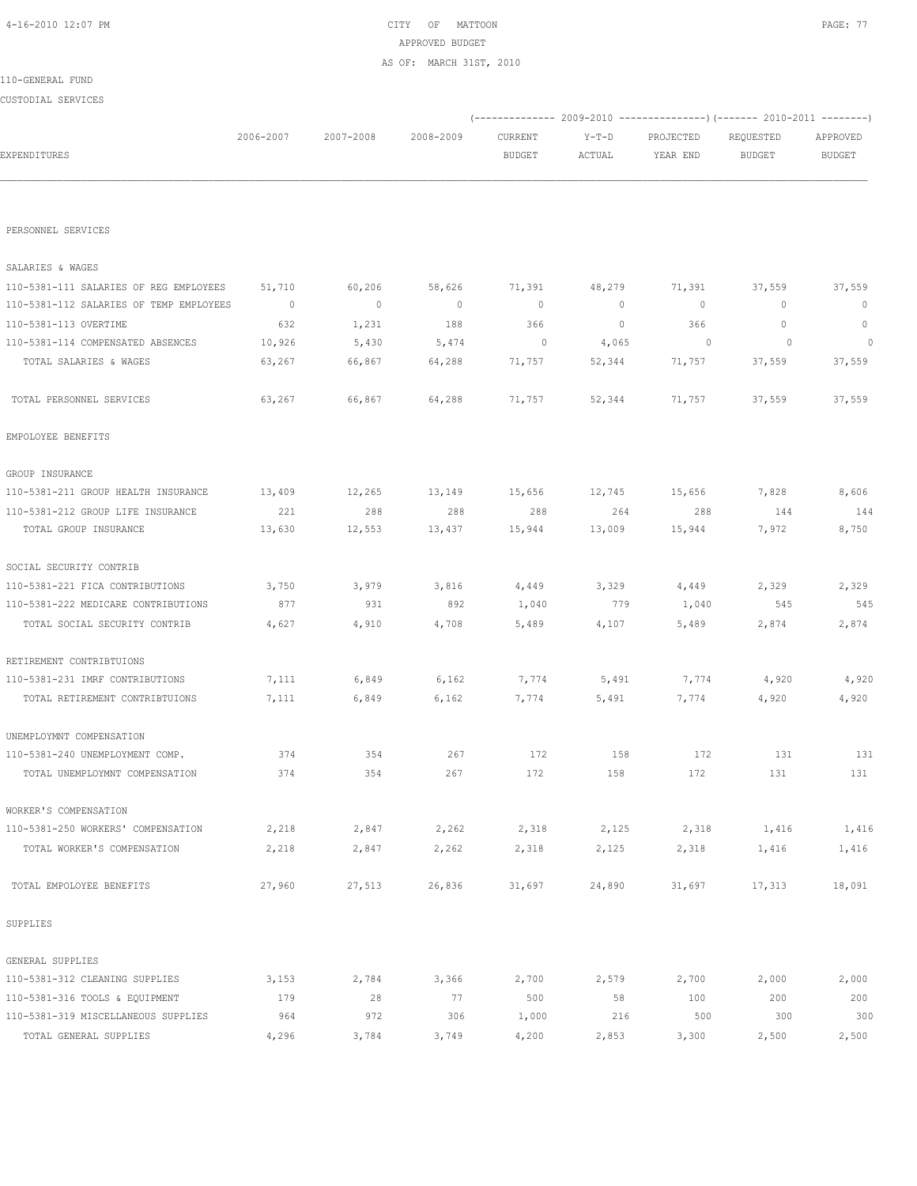# 4-16-2010 12:07 PM CITY OF MATTOON PAGE: 77 APPROVED BUDGET AS OF: MARCH 31ST, 2010

### 110-GENERAL FUND

### CUSTODIAL SERVICES

|                                         |                          | 2007-2008      |                          |                |                | (------------- 2009-2010 ---------------)(------- 2010-2011 --------) |               |                |
|-----------------------------------------|--------------------------|----------------|--------------------------|----------------|----------------|-----------------------------------------------------------------------|---------------|----------------|
|                                         | 2006-2007                |                | 2008-2009                | CURRENT        | $Y-T-D$        | PROJECTED                                                             | REQUESTED     | APPROVED       |
| EXPENDITURES                            |                          |                |                          | <b>BUDGET</b>  | ACTUAL         | YEAR END                                                              | <b>BUDGET</b> | <b>BUDGET</b>  |
|                                         |                          |                |                          |                |                |                                                                       |               |                |
| PERSONNEL SERVICES                      |                          |                |                          |                |                |                                                                       |               |                |
|                                         |                          |                |                          |                |                |                                                                       |               |                |
| SALARIES & WAGES                        |                          |                |                          |                |                |                                                                       |               |                |
| 110-5381-111 SALARIES OF REG EMPLOYEES  | 51,710                   | 60,206         | 58,626                   | 71,391         | 48,279         | 71,391                                                                | 37,559        | 37,559         |
| 110-5381-112 SALARIES OF TEMP EMPLOYEES | $\overline{\phantom{0}}$ | $\overline{0}$ | $\overline{\phantom{0}}$ | $\overline{0}$ | $\overline{0}$ | $\overline{0}$                                                        | $\mathbf 0$   | $\overline{0}$ |
| 110-5381-113 OVERTIME                   | 632                      | 1,231          | 188                      | 366            | $\overline{0}$ | 366                                                                   | $\mathbf 0$   | $\circ$        |
| 110-5381-114 COMPENSATED ABSENCES       | 10,926                   | 5,430          | 5,474                    | $\circ$        | 4,065          | $\overline{0}$                                                        | $\mathbf 0$   | $\mathbb O$    |
| TOTAL SALARIES & WAGES                  | 63,267                   | 66,867         | 64,288                   | 71,757         | 52,344         | 71,757                                                                | 37,559        | 37,559         |
| TOTAL PERSONNEL SERVICES                | 63,267                   | 66,867         | 64,288                   | 71,757         | 52,344         | 71,757                                                                | 37,559        | 37,559         |
| EMPOLOYEE BENEFITS                      |                          |                |                          |                |                |                                                                       |               |                |
| GROUP INSURANCE                         |                          |                |                          |                |                |                                                                       |               |                |
| 110-5381-211 GROUP HEALTH INSURANCE     | 13,409                   | 12,265         | 13,149                   | 15,656         | 12,745         | 15,656                                                                | 7,828         | 8,606          |
| 110-5381-212 GROUP LIFE INSURANCE       | 221                      | 288            | 288                      | 288            | 264            | 288                                                                   | 144           | 144            |
| TOTAL GROUP INSURANCE                   | 13,630                   | 12,553         | 13,437                   | 15,944         | 13,009         | 15,944                                                                | 7,972         | 8,750          |
| SOCIAL SECURITY CONTRIB                 |                          |                |                          |                |                |                                                                       |               |                |
| 110-5381-221 FICA CONTRIBUTIONS         | 3,750                    | 3,979          | 3,816                    | 4,449          | 3,329          | 4,449                                                                 | 2,329         | 2,329          |
| 110-5381-222 MEDICARE CONTRIBUTIONS     | 877                      | 931            | 892                      | 1,040          | 779            | 1,040                                                                 | 545           | 545            |
| TOTAL SOCIAL SECURITY CONTRIB           | 4,627                    | 4,910          | 4,708                    | 5,489          | 4,107          | 5,489                                                                 | 2,874         | 2,874          |
| RETIREMENT CONTRIBTUIONS                |                          |                |                          |                |                |                                                                       |               |                |
| 110-5381-231 IMRF CONTRIBUTIONS         | 7,111                    | 6,849          | 6,162                    | 7,774          | 5,491          | 7,774                                                                 | 4,920         | 4,920          |
| TOTAL RETIREMENT CONTRIBTUIONS          | 7,111                    | 6,849          | 6,162                    | 7,774          | 5,491          | 7,774                                                                 | 4,920         | 4,920          |
| UNEMPLOYMNT COMPENSATION                |                          |                |                          |                |                |                                                                       |               |                |
| 110-5381-240 UNEMPLOYMENT COMP.         | 374                      | 354            | 267                      | 172            | 158            | 172                                                                   | 131           | 131            |
| TOTAL UNEMPLOYMNT COMPENSATION          | 374                      | 354            | 267                      | 172            | 158            | 172                                                                   | 131           | 131            |
| WORKER'S COMPENSATION                   |                          |                |                          |                |                |                                                                       |               |                |
| 110-5381-250 WORKERS' COMPENSATION      | 2,218                    | 2,847          | 2,262                    | 2,318          | 2,125          | 2,318                                                                 | 1,416         | 1,416          |
| TOTAL WORKER'S COMPENSATION             | 2,218                    | 2,847          | 2,262                    | 2,318          | 2,125          | 2,318                                                                 | 1,416         | 1,416          |
| TOTAL EMPOLOYEE BENEFITS                | 27,960                   | 27,513         | 26,836                   | 31,697         | 24,890         | 31,697                                                                | 17,313        | 18,091         |
| SUPPLIES                                |                          |                |                          |                |                |                                                                       |               |                |
| GENERAL SUPPLIES                        |                          |                |                          |                |                |                                                                       |               |                |
| 110-5381-312 CLEANING SUPPLIES          | 3,153                    | 2,784          | 3,366                    | 2,700          | 2,579          | 2,700                                                                 | 2,000         | 2,000          |
| 110-5381-316 TOOLS & EQUIPMENT          | 179                      | 28             | 77                       | 500            | 58             | 100                                                                   | 200           | 200            |
| 110-5381-319 MISCELLANEOUS SUPPLIES     | 964                      | 972            | 306                      | 1,000          | 216            | 500                                                                   | 300           | 300            |
| TOTAL GENERAL SUPPLIES                  | 4,296                    | 3,784          | 3,749                    | 4,200          | 2,853          | 3,300                                                                 | 2,500         | 2,500          |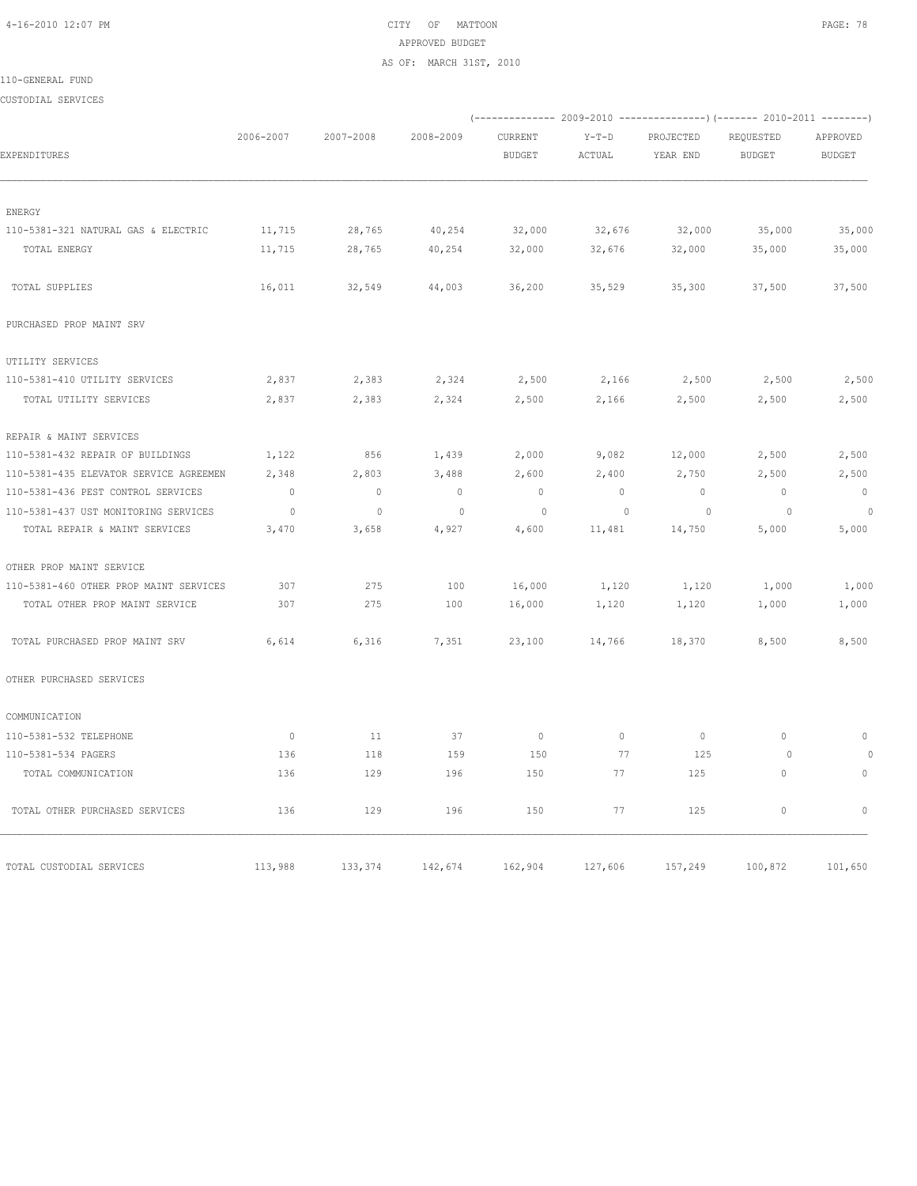# 4-16-2010 12:07 PM CITY OF MATTOON PAGE: 78 APPROVED BUDGET AS OF: MARCH 31ST, 2010

### 110-GENERAL FUND

### CUSTODIAL SERVICES

|                                        |                |                                                         |                          |                          |                | (-------------- 2009-2010 ----------------)(------- 2010-2011 --------) |                |                |
|----------------------------------------|----------------|---------------------------------------------------------|--------------------------|--------------------------|----------------|-------------------------------------------------------------------------|----------------|----------------|
|                                        | 2006-2007      | 2007-2008                                               | 2008-2009                | CURRENT                  | $Y-T-D$        | PROJECTED                                                               | REQUESTED      | APPROVED       |
| EXPENDITURES                           |                |                                                         |                          | BUDGET                   | ACTUAL         | YEAR END                                                                | <b>BUDGET</b>  | BUDGET         |
| ENERGY                                 |                |                                                         |                          |                          |                |                                                                         |                |                |
| 110-5381-321 NATURAL GAS & ELECTRIC    | 11,715         | 28,765                                                  | 40,254                   | 32,000                   | 32,676         | 32,000                                                                  | 35,000         | 35,000         |
| TOTAL ENERGY                           | 11,715         | 28,765                                                  | 40,254                   | 32,000                   | 32,676         | 32,000                                                                  | 35,000         | 35,000         |
| TOTAL SUPPLIES                         | 16,011         | 32,549                                                  | 44,003                   | 36,200                   | 35,529         | 35,300                                                                  | 37,500         | 37,500         |
| PURCHASED PROP MAINT SRV               |                |                                                         |                          |                          |                |                                                                         |                |                |
| UTILITY SERVICES                       |                |                                                         |                          |                          |                |                                                                         |                |                |
| 110-5381-410 UTILITY SERVICES          | 2,837          | 2,383                                                   | 2,324                    | 2,500                    | 2,166          | 2,500                                                                   | 2,500          | 2,500          |
| TOTAL UTILITY SERVICES                 | 2,837          | 2,383                                                   | 2,324                    | 2,500                    | 2,166          | 2,500                                                                   | 2,500          | 2,500          |
| REPAIR & MAINT SERVICES                |                |                                                         |                          |                          |                |                                                                         |                |                |
| 110-5381-432 REPAIR OF BUILDINGS       | 1,122          | 856                                                     | 1,439                    | 2,000                    | 9,082          | 12,000                                                                  | 2,500          | 2,500          |
| 110-5381-435 ELEVATOR SERVICE AGREEMEN | 2,348          | 2,803                                                   | 3,488                    | 2,600                    | 2,400          | 2,750                                                                   | 2,500          | 2,500          |
| 110-5381-436 PEST CONTROL SERVICES     | $\overline{0}$ | $\overline{\phantom{0}}$                                | $\overline{0}$           | $\overline{0}$           | $\overline{0}$ | $\overline{0}$                                                          | $\overline{0}$ | $\overline{0}$ |
| 110-5381-437 UST MONITORING SERVICES   | $\overline{0}$ | $\overline{0}$                                          | $\overline{\phantom{0}}$ | $\overline{\phantom{0}}$ | $\overline{0}$ | $\sim$ 0                                                                | $\mathbf 0$    | $\circ$        |
| TOTAL REPAIR & MAINT SERVICES          | 3,470          | 3,658                                                   | 4,927                    | 4,600                    | 11,481         | 14,750                                                                  | 5,000          | 5,000          |
| OTHER PROP MAINT SERVICE               |                |                                                         |                          |                          |                |                                                                         |                |                |
| 110-5381-460 OTHER PROP MAINT SERVICES | 307            | 275                                                     | 100                      | 16,000                   | 1,120          | 1,120                                                                   | 1,000          | 1,000          |
| TOTAL OTHER PROP MAINT SERVICE         | 307            | 275                                                     | 100                      | 16,000                   | 1,120          | 1,120                                                                   | 1,000          | 1,000          |
| TOTAL PURCHASED PROP MAINT SRV         | 6,614          | 6,316                                                   | 7,351                    | 23,100                   | 14,766         | 18,370                                                                  | 8,500          | 8,500          |
| OTHER PURCHASED SERVICES               |                |                                                         |                          |                          |                |                                                                         |                |                |
| COMMUNICATION                          |                |                                                         |                          |                          |                |                                                                         |                |                |
| 110-5381-532 TELEPHONE                 | $\overline{0}$ | 11                                                      | 37                       | $\circ$                  | $\circ$        | $\circ$                                                                 | $\circ$        | $\mathbb O$    |
| 110-5381-534 PAGERS                    | 136            | 118                                                     | 159                      | 150                      | 77             | 125                                                                     | $\mathbf{0}$   | $\mathbf 0$    |
| TOTAL COMMUNICATION                    | 136            | 129                                                     | 196                      | 150                      | 77             | 125                                                                     | $\Omega$       | 0              |
| TOTAL OTHER PURCHASED SERVICES         | 136            | 129                                                     | 196                      | 150                      | 77             | 125                                                                     | $\circ$        | $\circ$        |
| TOTAL CUSTODIAL SERVICES               |                | 113,988 133,374 142,674 162,904 127,606 157,249 100,872 |                          |                          |                |                                                                         |                | 101,650        |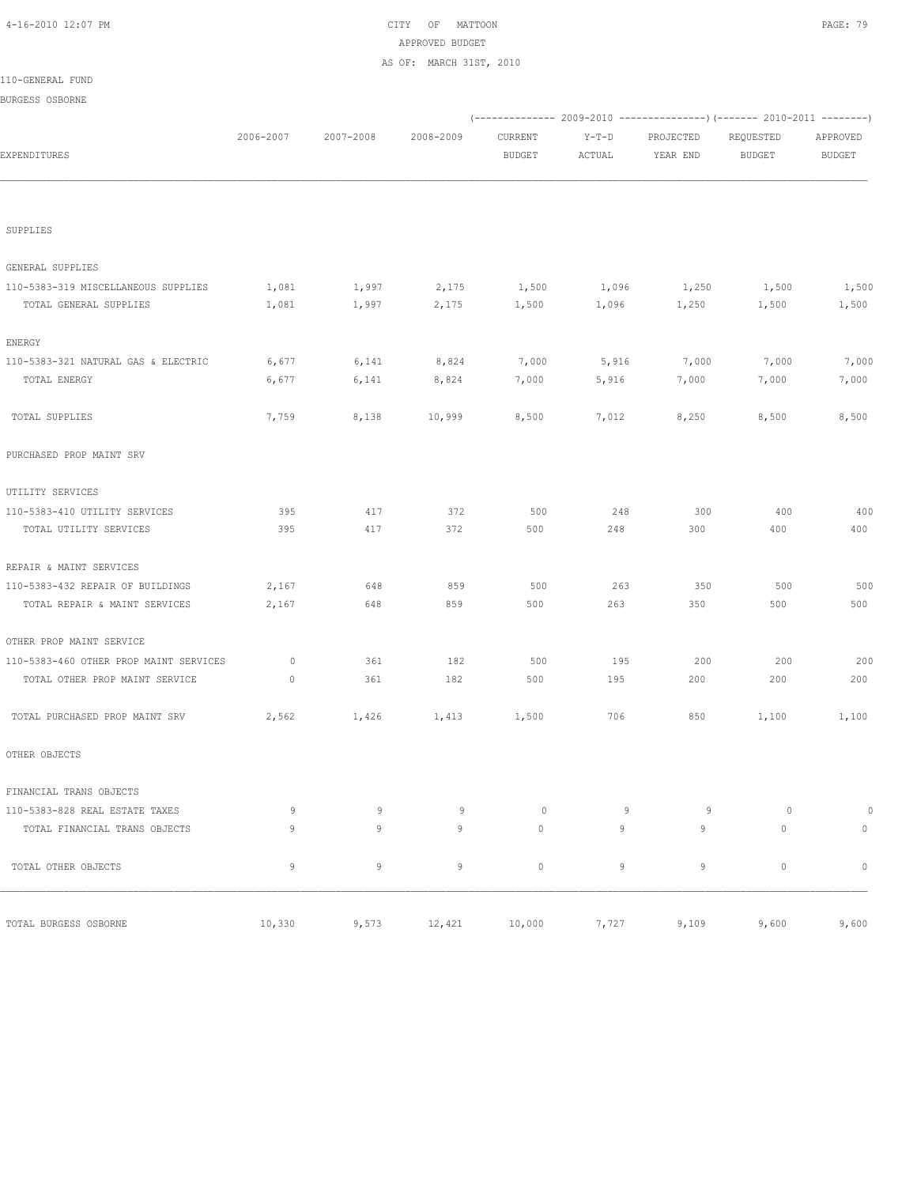# 4-16-2010 12:07 PM CITY OF MATTOON PAGE: 79 APPROVED BUDGET AS OF: MARCH 31ST, 2010

### 110-GENERAL FUND BURGESS OSBORNE

|                                        | 2006-2007 | 2007-2008 | 2008-2009 | CURRENT       | $Y-T-D$       | PROJECTED | REQUESTED     | APPROVED      |
|----------------------------------------|-----------|-----------|-----------|---------------|---------------|-----------|---------------|---------------|
| EXPENDITURES                           |           |           |           | <b>BUDGET</b> | ACTUAL        | YEAR END  | <b>BUDGET</b> | <b>BUDGET</b> |
|                                        |           |           |           |               |               |           |               |               |
| SUPPLIES                               |           |           |           |               |               |           |               |               |
| GENERAL SUPPLIES                       |           |           |           |               |               |           |               |               |
| 110-5383-319 MISCELLANEOUS SUPPLIES    | 1,081     | 1,997     | 2,175     | 1,500         | 1,096         | 1,250     | 1,500         | 1,500         |
| TOTAL GENERAL SUPPLIES                 | 1,081     | 1,997     | 2,175     | 1,500         | 1,096         | 1,250     | 1,500         | 1,500         |
| ENERGY                                 |           |           |           |               |               |           |               |               |
| 110-5383-321 NATURAL GAS & ELECTRIC    | 6,677     | 6,141     | 8,824     | 7,000         | 5,916         | 7,000     | 7,000         | 7,000         |
| TOTAL ENERGY                           | 6,677     | 6,141     | 8,824     | 7,000         | 5,916         | 7,000     | 7,000         | 7,000         |
| TOTAL SUPPLIES                         | 7,759     | 8,138     | 10,999    | 8,500         | 7,012         | 8,250     | 8,500         | 8,500         |
| PURCHASED PROP MAINT SRV               |           |           |           |               |               |           |               |               |
| UTILITY SERVICES                       |           |           |           |               |               |           |               |               |
| 110-5383-410 UTILITY SERVICES          | 395       | 417       | 372       | 500           | 248           | 300       | 400           | 400           |
| TOTAL UTILITY SERVICES                 | 395       | 417       | 372       | 500           | 248           | 300       | 400           | 400           |
| REPAIR & MAINT SERVICES                |           |           |           |               |               |           |               |               |
| 110-5383-432 REPAIR OF BUILDINGS       | 2,167     | 648       | 859       | 500           | 263           | 350       | 500           | 500           |
| TOTAL REPAIR & MAINT SERVICES          | 2,167     | 648       | 859       | 500           | 263           | 350       | 500           | 500           |
| OTHER PROP MAINT SERVICE               |           |           |           |               |               |           |               |               |
| 110-5383-460 OTHER PROP MAINT SERVICES | $\circ$   | 361       | 182       | 500           | 195           | 200       | 200           | 200           |
| TOTAL OTHER PROP MAINT SERVICE         | $\circ$   | 361       | 182       | 500           | 195           | 200       | 200           | 200           |
| TOTAL PURCHASED PROP MAINT SRV         | 2,562     | 1,426     | 1,413     | 1,500         | 706           | 850       | 1,100         | 1,100         |
| OTHER OBJECTS                          |           |           |           |               |               |           |               |               |
| FINANCIAL TRANS OBJECTS                |           |           |           |               |               |           |               |               |
| 110-5383-828 REAL ESTATE TAXES         | 9         | 9         | 9         | $\circ$       | 9             | 9         | $\mathbb O$   | $\mathbb O$   |
| TOTAL FINANCIAL TRANS OBJECTS          | 9         | 9         | 9         | $\circ$       | $\mathcal{G}$ | 9         | $\circ$       | $\circ$       |
| TOTAL OTHER OBJECTS                    | 9         | 9         | 9         | $\mathbb O$   | 9             | 9         | $\mathbb O$   | $\mathbb O$   |
| TOTAL BURGESS OSBORNE                  | 10,330    | 9,573     | 12,421    | 10,000        | 7,727         | 9,109     | 9,600         | 9,600         |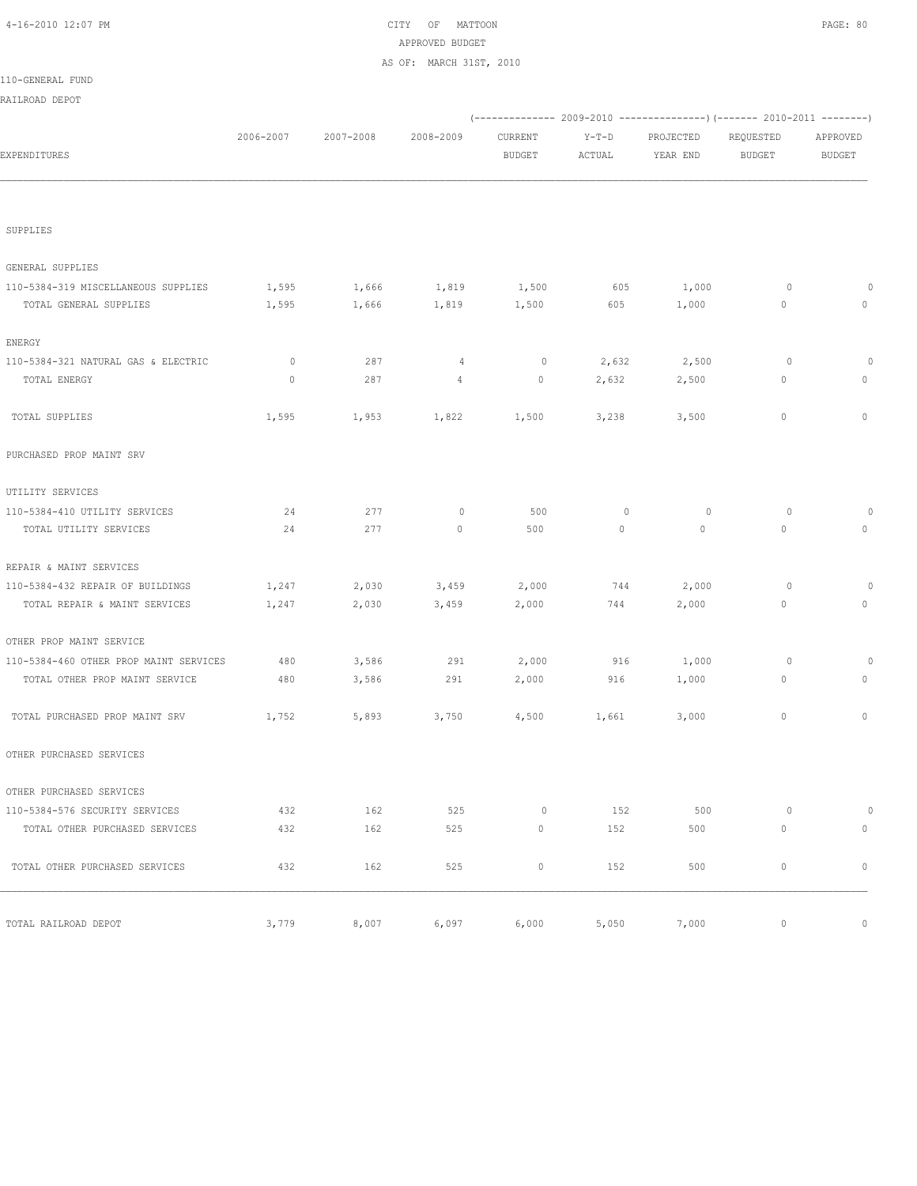# 4-16-2010 12:07 PM CITY OF MATTOON PAGE: 80 APPROVED BUDGET AS OF: MARCH 31ST, 2010

| RAILROAD DEPOT |  |
|----------------|--|
|----------------|--|

|                                        |           |           |                | (------------- 2009-2010 ---------------) (------- 2010-2011 --------) |                   |                       |                            |                           |  |
|----------------------------------------|-----------|-----------|----------------|------------------------------------------------------------------------|-------------------|-----------------------|----------------------------|---------------------------|--|
| EXPENDITURES                           | 2006-2007 | 2007-2008 | 2008-2009      | CURRENT<br><b>BUDGET</b>                                               | $Y-T-D$<br>ACTUAL | PROJECTED<br>YEAR END | REQUESTED<br><b>BUDGET</b> | APPROVED<br><b>BUDGET</b> |  |
|                                        |           |           |                |                                                                        |                   |                       |                            |                           |  |
| SUPPLIES                               |           |           |                |                                                                        |                   |                       |                            |                           |  |
| GENERAL SUPPLIES                       |           |           |                |                                                                        |                   |                       |                            |                           |  |
| 110-5384-319 MISCELLANEOUS SUPPLIES    | 1,595     | 1,666     | 1,819          | 1,500                                                                  | 605               | 1,000                 | $\mathbb O$                | 0                         |  |
| TOTAL GENERAL SUPPLIES                 | 1,595     | 1,666     | 1,819          | 1,500                                                                  | 605               | 1,000                 | $\circ$                    | 0                         |  |
| ENERGY                                 |           |           |                |                                                                        |                   |                       |                            |                           |  |
| 110-5384-321 NATURAL GAS & ELECTRIC    | 0         | 287       | $\overline{4}$ | $\circ$                                                                | 2,632             | 2,500                 | $\mathbf 0$                | $\theta$                  |  |
| TOTAL ENERGY                           | $\circ$   | 287       | 4              | $\circ$                                                                | 2,632             | 2,500                 | $\circ$                    | 0                         |  |
| TOTAL SUPPLIES                         | 1,595     | 1,953     | 1,822          | 1,500                                                                  | 3,238             | 3,500                 | $\mathbf 0$                | $\circ$                   |  |
| PURCHASED PROP MAINT SRV               |           |           |                |                                                                        |                   |                       |                            |                           |  |
| UTILITY SERVICES                       |           |           |                |                                                                        |                   |                       |                            |                           |  |
| 110-5384-410 UTILITY SERVICES          | 24        | 277       | $\mathbf 0$    | 500                                                                    | 0                 | $\mathbf 0$           | $\mathbf 0$                | 0                         |  |
| TOTAL UTILITY SERVICES                 | 24        | 277       | $\mathbf 0$    | 500                                                                    | $\circ$           | $\circ$               | $\circ$                    | 0                         |  |
| REPAIR & MAINT SERVICES                |           |           |                |                                                                        |                   |                       |                            |                           |  |
| 110-5384-432 REPAIR OF BUILDINGS       | 1,247     | 2,030     | 3,459          | 2,000                                                                  | 744               | 2,000                 | $\circ$                    | 0                         |  |
| TOTAL REPAIR & MAINT SERVICES          | 1,247     | 2,030     | 3,459          | 2,000                                                                  | 744               | 2,000                 | $\circ$                    | 0                         |  |
| OTHER PROP MAINT SERVICE               |           |           |                |                                                                        |                   |                       |                            |                           |  |
| 110-5384-460 OTHER PROP MAINT SERVICES | 480       | 3,586     | 291            | 2,000                                                                  | 916               | 1,000                 | $\mathbb O$                |                           |  |
| TOTAL OTHER PROP MAINT SERVICE         | 480       | 3,586     | 291            | 2,000                                                                  | 916               | 1,000                 | 0                          | 0                         |  |
| TOTAL PURCHASED PROP MAINT SRV         | 1,752     | 5,893     | 3,750          | 4,500                                                                  | 1,661             | 3,000                 | $\circ$                    | 0                         |  |
| OTHER PURCHASED SERVICES               |           |           |                |                                                                        |                   |                       |                            |                           |  |
| OTHER PURCHASED SERVICES               |           |           |                |                                                                        |                   |                       |                            |                           |  |
| 110-5384-576 SECURITY SERVICES         | 432       | 162       | 525            | $\circ$                                                                | 152               | 500                   | $\mathbf{0}$               | $\mathbf 0$               |  |
| TOTAL OTHER PURCHASED SERVICES         | 432       | 162       | 525            | 0                                                                      | 152               | 500                   | $\circ$                    | $\circ$                   |  |
| TOTAL OTHER PURCHASED SERVICES         | 432       | 162       | 525            | $\circ$                                                                | 152               | 500                   | $\mathbb O$                | $\circ$                   |  |
| TOTAL RAILROAD DEPOT                   | 3,779     | 8,007     | 6,097          | 6,000                                                                  | 5,050             | 7,000                 | $\circ$                    | $\mathbb O$               |  |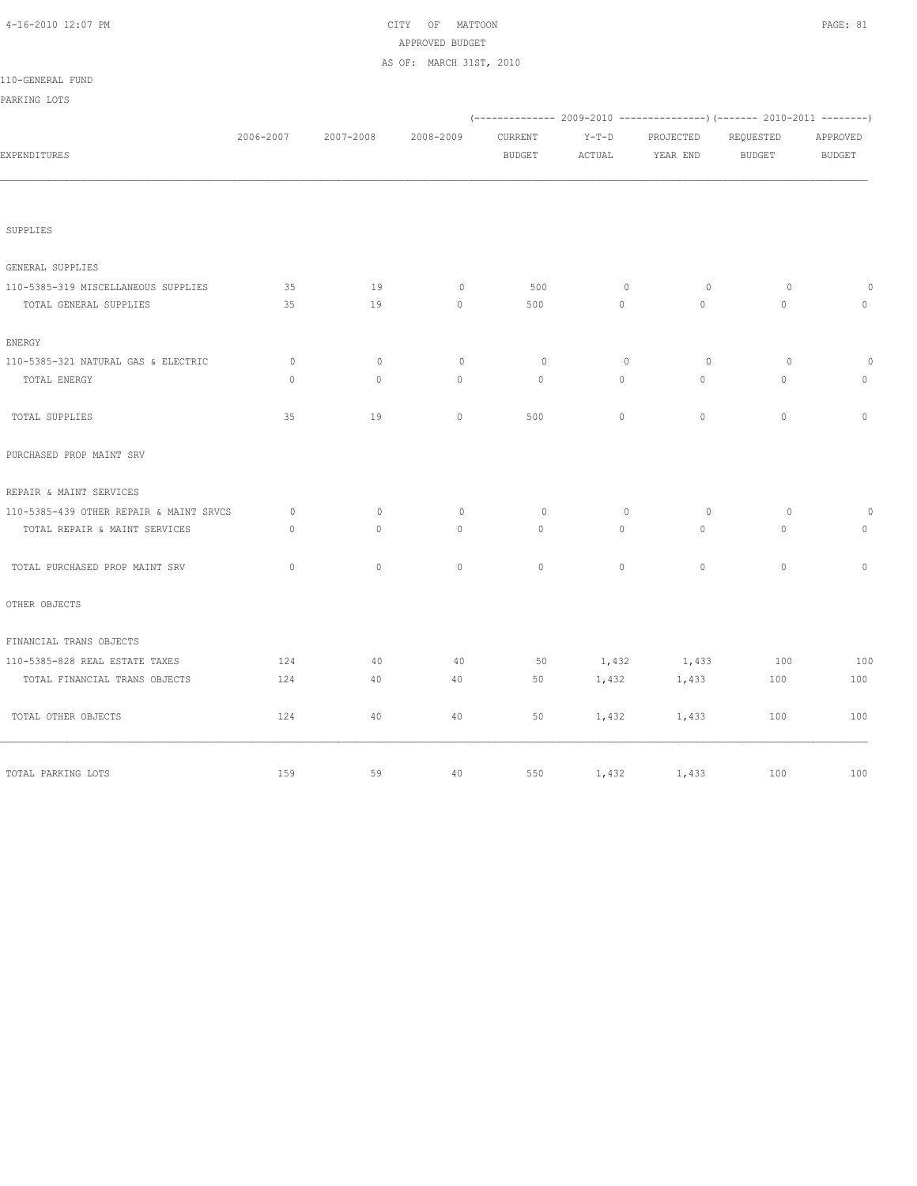# 4-16-2010 12:07 PM CITY OF MATTOON PAGE: 81 APPROVED BUDGET AS OF: MARCH 31ST, 2010

| PARKING | $\sim$<br>., |
|---------|--------------|
|         |              |

|                                         | 2006-2007    | 2007-2008 | 2008-2009    | CURRENT       | $Y-T-D$      | PROJECTED    | (-------------- 2009-2010 ----------------) (------- 2010-2011 --------) | APPROVED      |
|-----------------------------------------|--------------|-----------|--------------|---------------|--------------|--------------|--------------------------------------------------------------------------|---------------|
| EXPENDITURES                            |              |           |              | <b>BUDGET</b> | ACTUAL       | YEAR END     | REQUESTED<br><b>BUDGET</b>                                               | <b>BUDGET</b> |
|                                         |              |           |              |               |              |              |                                                                          |               |
| SUPPLIES                                |              |           |              |               |              |              |                                                                          |               |
| GENERAL SUPPLIES                        |              |           |              |               |              |              |                                                                          |               |
| 110-5385-319 MISCELLANEOUS SUPPLIES     | 35           | 19        | $\circ$      | 500           | $\circ$      | $\circ$      | $\mathbb O$                                                              | $\mathbf{0}$  |
| TOTAL GENERAL SUPPLIES                  | 35           | 19        | $\circ$      | 500           | $\circ$      | $\circ$      | $\circ$                                                                  | $\circ$       |
| ENERGY                                  |              |           |              |               |              |              |                                                                          |               |
| 110-5385-321 NATURAL GAS & ELECTRIC     | $\circ$      | $\circ$   | $\circ$      | $\circ$       | $\mathbf{0}$ | $\mathbf{0}$ | $\mathbf{0}$                                                             | $\Omega$      |
| TOTAL ENERGY                            | $\mathbf{0}$ | $\circ$   | $\circ$      | $\circ$       | $\circ$      | $\mathbf{0}$ | 0                                                                        | $\mathbf{0}$  |
| TOTAL SUPPLIES                          | 35           | 19        | $\circ$      | 500           | $\circ$      | $\circ$      | $\circ$                                                                  | $\circ$       |
| PURCHASED PROP MAINT SRV                |              |           |              |               |              |              |                                                                          |               |
| REPAIR & MAINT SERVICES                 |              |           |              |               |              |              |                                                                          |               |
| 110-5385-439 OTHER REPAIR & MAINT SRVCS | $\circ$      | $\circ$   | $\circ$      | $\circ$       | $\circ$      | $\circ$      | $\mathbf{0}$                                                             | $\Omega$      |
| TOTAL REPAIR & MAINT SERVICES           | $\Omega$     | $\circ$   | $\circ$      | $\circ$       | $\circ$      | $\circ$      | $\circ$                                                                  | $\mathbf{0}$  |
| TOTAL PURCHASED PROP MAINT SRV          | $\mathbf{0}$ | $\circ$   | $\mathbf{0}$ | $\circ$       | $\circ$      | $\mathbf{0}$ | $\mathbf{0}$                                                             | $\circ$       |
| OTHER OBJECTS                           |              |           |              |               |              |              |                                                                          |               |
| FINANCIAL TRANS OBJECTS                 |              |           |              |               |              |              |                                                                          |               |
| 110-5385-828 REAL ESTATE TAXES          | 124          | 40        | 40           | 50            |              | 1,432 1,433  | 100                                                                      | 100           |
| TOTAL FINANCIAL TRANS OBJECTS           | 124          | 40        | 40           | 50            | 1,432        | 1,433        | 100                                                                      | 100           |
| TOTAL OTHER OBJECTS                     | 124          | 40        | 40           | 50            | 1,432        | 1,433        | 100                                                                      | 100           |
| TOTAL PARKING LOTS                      | 159          | 59        | 40           | 550           | 1,432        | 1,433        | 100                                                                      | 100           |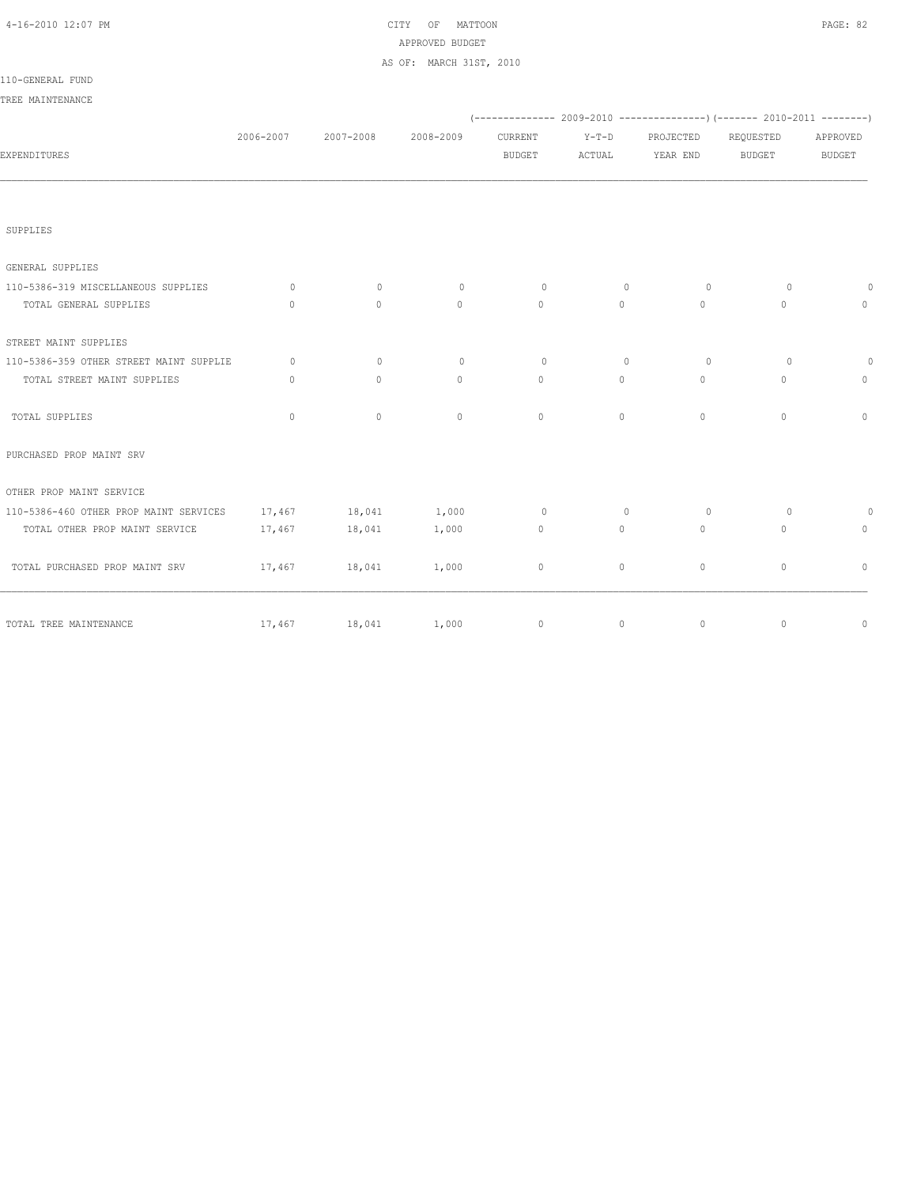# 4-16-2010 12:07 PM CITY OF MATTOON PAGE: 82 APPROVED BUDGET AS OF: MARCH 31ST, 2010

|                                                      |              |                     |              |                          |                   |                       | (-------------- 2009-2010 ----------------) (------- 2010-2011 --------) |                           |
|------------------------------------------------------|--------------|---------------------|--------------|--------------------------|-------------------|-----------------------|--------------------------------------------------------------------------|---------------------------|
| EXPENDITURES                                         | 2006-2007    | 2007-2008           | 2008-2009    | CURRENT<br><b>BUDGET</b> | $Y-T-D$<br>ACTUAL | PROJECTED<br>YEAR END | REQUESTED<br><b>BUDGET</b>                                               | APPROVED<br><b>BUDGET</b> |
|                                                      |              |                     |              |                          |                   |                       |                                                                          |                           |
| SUPPLIES                                             |              |                     |              |                          |                   |                       |                                                                          |                           |
| GENERAL SUPPLIES                                     |              |                     |              |                          |                   |                       |                                                                          |                           |
| 110-5386-319 MISCELLANEOUS SUPPLIES                  | $\Omega$     | $\Omega$            | $\Omega$     | $\Omega$                 | $\Omega$          | $\Omega$              | $\Omega$                                                                 |                           |
| TOTAL GENERAL SUPPLIES                               | $\Omega$     | $\circ$             | $\circ$      | $\circ$                  | $\circ$           | $\mathbf{0}$          | $\circ$                                                                  | $\circ$                   |
| STREET MAINT SUPPLIES                                |              |                     |              |                          |                   |                       |                                                                          |                           |
| 110-5386-359 OTHER STREET MAINT SUPPLIE              | $\circ$      | $\circ$             | $\circ$      | $\circ$                  | $\mathbf{0}$      | $\mathbf{0}$          | $\mathbf{0}$                                                             | $\theta$                  |
| TOTAL STREET MAINT SUPPLIES                          | $\mathbf{0}$ | $\circ$             | $\circ$      | $\circ$                  | $\circ$           | $\mathbf{0}$          | $\mathbf{0}$                                                             | $\mathbf{0}$              |
| TOTAL SUPPLIES                                       | $\mathbf{0}$ | $\circ$             | $\mathbf{0}$ | $\mathbf{0}$             | $\circ$           | $\circ$               | $\mathbf{0}$                                                             | $\circ$                   |
| PURCHASED PROP MAINT SRV                             |              |                     |              |                          |                   |                       |                                                                          |                           |
| OTHER PROP MAINT SERVICE                             |              |                     |              |                          |                   |                       |                                                                          |                           |
| 110-5386-460 OTHER PROP MAINT SERVICES 17,467 18,041 |              |                     | 1,000        | $\overline{0}$           | $\circ$           | $\circ$               | $\mathbf{0}$                                                             | $\mathbf{0}$              |
| TOTAL OTHER PROP MAINT SERVICE                       | 17,467       | 18,041              | 1,000        | $\circ$                  | $\circ$           | $\mathbf{0}$          | $\mathbf{0}$                                                             | $\mathbb O$               |
| TOTAL PURCHASED PROP MAINT SRV                       |              | 17,467 18,041       | 1,000        | $\circ$                  | $\circ$           | $\circ$               | $\circ$                                                                  | $\circ$                   |
| TOTAL TREE MAINTENANCE                               |              | 17,467 18,041 1,000 |              | $\circ$                  | $\circ$           | $\circ$               | $\circ$                                                                  | $\circ$                   |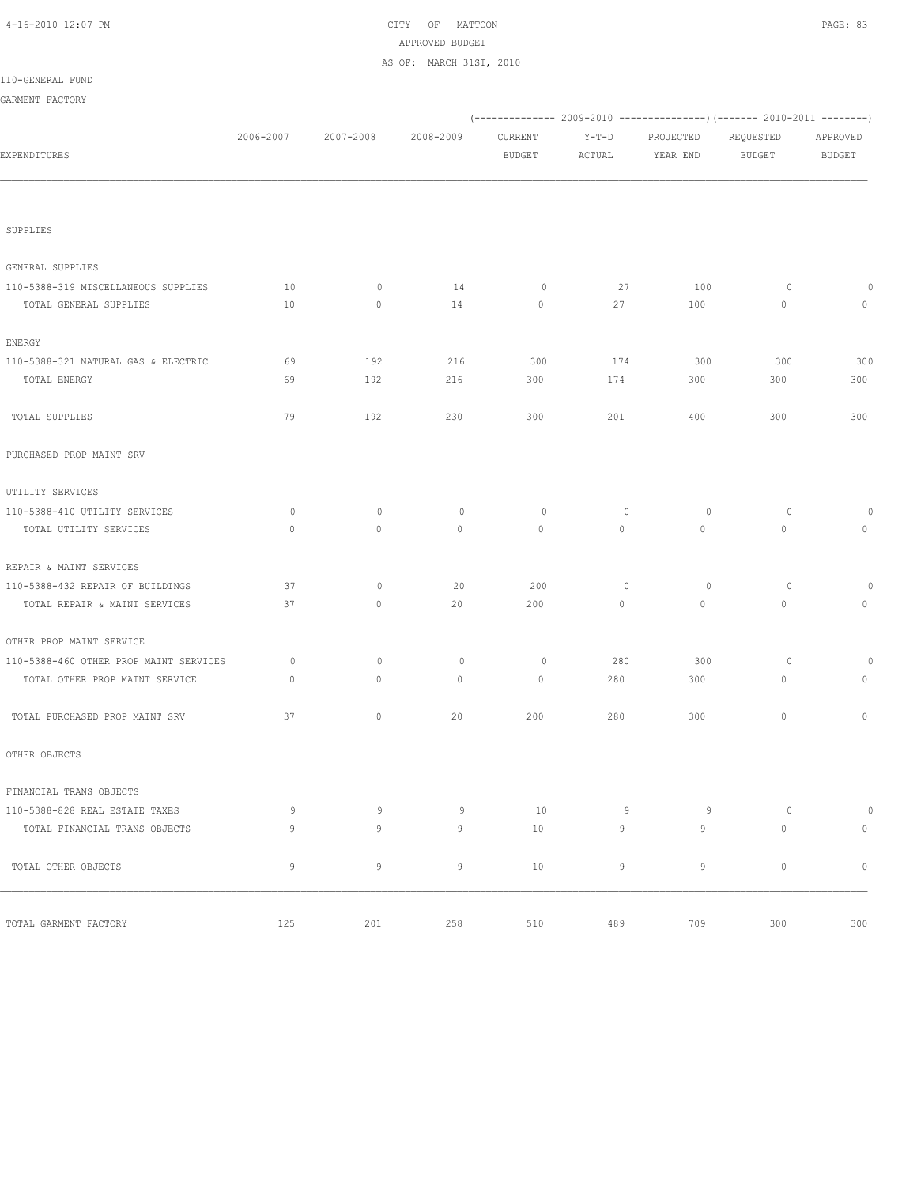# 4-16-2010 12:07 PM CITY OF MATTOON PAGE: 83 APPROVED BUDGET AS OF: MARCH 31ST, 2010

# 110-GENERAL FUND GARMENT FACTORY

|                                        |           |             |                |                          |                   |                       | (------------- 2009-2010 ---------------) (------- 2010-2011 --------) |                           |
|----------------------------------------|-----------|-------------|----------------|--------------------------|-------------------|-----------------------|------------------------------------------------------------------------|---------------------------|
| EXPENDITURES                           | 2006-2007 | 2007-2008   | 2008-2009      | CURRENT<br><b>BUDGET</b> | $Y-T-D$<br>ACTUAL | PROJECTED<br>YEAR END | REQUESTED<br><b>BUDGET</b>                                             | APPROVED<br><b>BUDGET</b> |
|                                        |           |             |                |                          |                   |                       |                                                                        |                           |
| SUPPLIES                               |           |             |                |                          |                   |                       |                                                                        |                           |
| GENERAL SUPPLIES                       |           |             |                |                          |                   |                       |                                                                        |                           |
| 110-5388-319 MISCELLANEOUS SUPPLIES    | 10        | $\circ$     | 14             | $\circ$                  | 27                | 100                   | $\mathbf 0$                                                            | $\mathbf{0}$              |
| TOTAL GENERAL SUPPLIES                 | 10        | 0           | 14             | $\circ$                  | 27                | 100                   | $\mathbf 0$                                                            | 0                         |
| ENERGY                                 |           |             |                |                          |                   |                       |                                                                        |                           |
| 110-5388-321 NATURAL GAS & ELECTRIC    | 69        | 192         | 216            | 300                      | 174               | 300                   | 300                                                                    | 300                       |
| TOTAL ENERGY                           | 69        | 192         | 216            | 300                      | 174               | 300                   | 300                                                                    | 300                       |
| TOTAL SUPPLIES                         | 79        | 192         | 230            | 300                      | 201               | 400                   | 300                                                                    | 300                       |
| PURCHASED PROP MAINT SRV               |           |             |                |                          |                   |                       |                                                                        |                           |
| UTILITY SERVICES                       |           |             |                |                          |                   |                       |                                                                        |                           |
| 110-5388-410 UTILITY SERVICES          | 0         | $\circ$     | $\mathbf 0$    | 0                        | 0                 | $\mathbf 0$           | $\circ$                                                                |                           |
| TOTAL UTILITY SERVICES                 | $\circ$   | $\circ$     | $\mathbf{0}$   | $\mathbf{0}$             | $\circ$           | $\circ$               | $\circ$                                                                | 0                         |
| REPAIR & MAINT SERVICES                |           |             |                |                          |                   |                       |                                                                        |                           |
| 110-5388-432 REPAIR OF BUILDINGS       | 37        | $\circ$     | 20             | 200                      | $\mathbf 0$       | $\mathbf 0$           | $\mathbf 0$                                                            | 0                         |
| TOTAL REPAIR & MAINT SERVICES          | 37        | $\circ$     | 20             | 200                      | $\circ$           | $\circ$               | $\mathbb O$                                                            | 0                         |
| OTHER PROP MAINT SERVICE               |           |             |                |                          |                   |                       |                                                                        |                           |
| 110-5388-460 OTHER PROP MAINT SERVICES | 0         | $\circ$     | $\circ$        | $\circ$                  | 280               | 300                   | $\mathbb O$                                                            | 0                         |
| TOTAL OTHER PROP MAINT SERVICE         | $\circ$   | $\circ$     | $\mathbb O$    | $\circ$                  | 280               | 300                   | $\mathbb O$                                                            | $\circ$                   |
| TOTAL PURCHASED PROP MAINT SRV         | 37        | $\mathbb O$ | 20             | 200                      | 280               | 300                   | $\mathbb O$                                                            | $\mathsf{O}\xspace$       |
| OTHER OBJECTS                          |           |             |                |                          |                   |                       |                                                                        |                           |
| FINANCIAL TRANS OBJECTS                |           |             |                |                          |                   |                       |                                                                        |                           |
| 110-5388-828 REAL ESTATE TAXES         | 9         | 9           | 9              | 10                       | 9                 | 9                     | $\mathbb O$                                                            | $\mathbb O$               |
| TOTAL FINANCIAL TRANS OBJECTS          | 9         | 9           | 9              | 10                       | 9                 | 9                     | $\mathbb O$                                                            | $\mathbb O$               |
| TOTAL OTHER OBJECTS                    | 9         | 9           | $\overline{9}$ | 10                       | $\overline{9}$    | 9                     | $\mathbb O$                                                            | $\mathbb O$               |
| TOTAL GARMENT FACTORY                  | 125       | 201         | 258            | 510                      | 489               | 709                   | 300                                                                    | 300                       |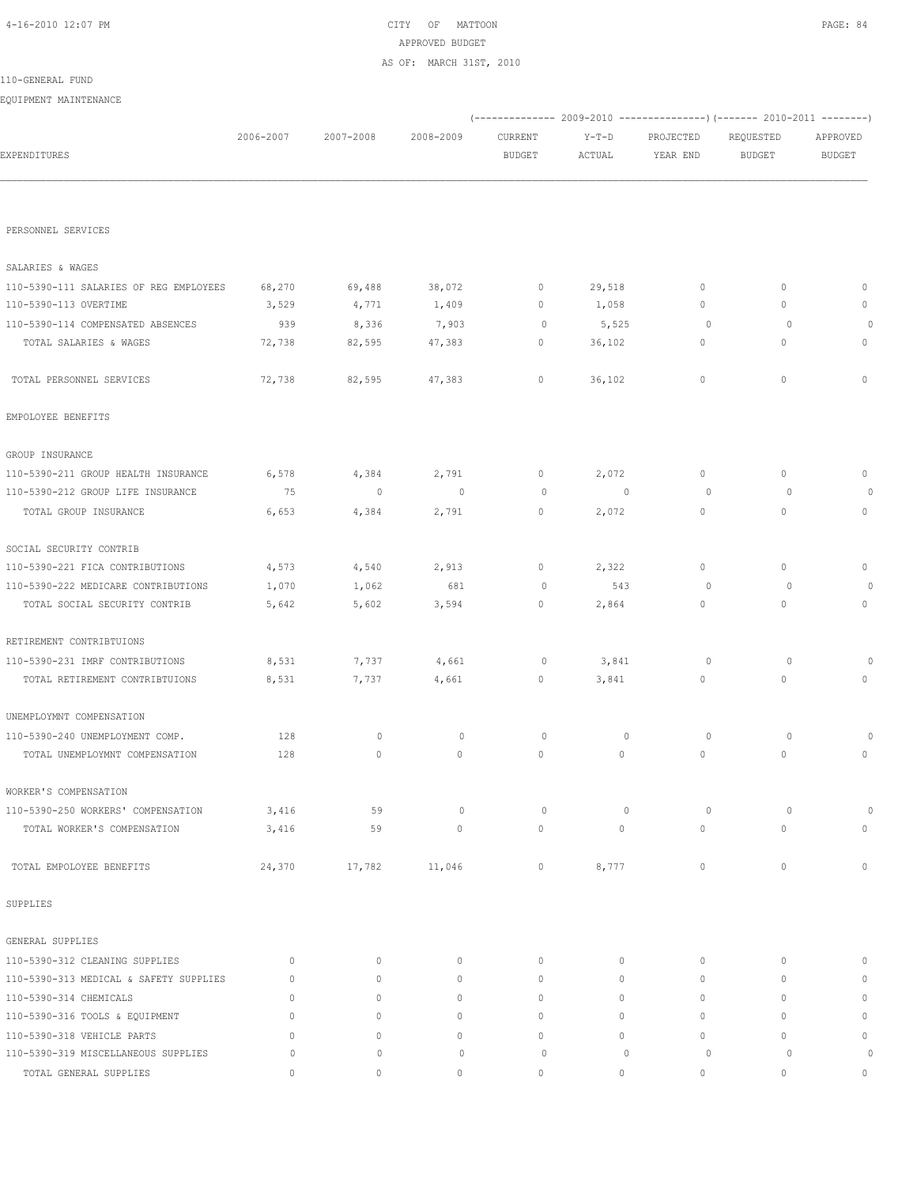# 4-16-2010 12:07 PM CITY OF MATTOON PAGE: 84 APPROVED BUDGET AS OF: MARCH 31ST, 2010

### 110-GENERAL FUND

### EQUIPMENT MAINTENANCE

|                                        |              |                |                |               |              |              | REQUESTED<br><b>BUDGET</b> |                     |  |  | (-------------- 2009-2010 ----------------) (------- 2010-2011 --------) |  |  |  |  |  |
|----------------------------------------|--------------|----------------|----------------|---------------|--------------|--------------|----------------------------|---------------------|--|--|--------------------------------------------------------------------------|--|--|--|--|--|
|                                        | 2006-2007    | 2007-2008      | 2008-2009      | CURRENT       | $Y-T-D$      | PROJECTED    |                            | APPROVED            |  |  |                                                                          |  |  |  |  |  |
| EXPENDITURES                           |              |                |                | <b>BUDGET</b> | ACTUAL       | YEAR END     |                            | <b>BUDGET</b>       |  |  |                                                                          |  |  |  |  |  |
|                                        |              |                |                |               |              |              |                            |                     |  |  |                                                                          |  |  |  |  |  |
| PERSONNEL SERVICES                     |              |                |                |               |              |              |                            |                     |  |  |                                                                          |  |  |  |  |  |
| SALARIES & WAGES                       |              |                |                |               |              |              |                            |                     |  |  |                                                                          |  |  |  |  |  |
| 110-5390-111 SALARIES OF REG EMPLOYEES | 68,270       | 69,488         | 38,072         | $\mathbf 0$   | 29,518       | 0            | 0                          | $\mathbf{0}$        |  |  |                                                                          |  |  |  |  |  |
| 110-5390-113 OVERTIME                  | 3,529        | 4,771          | 1,409          | $\mathbf 0$   | 1,058        | 0            | 0                          | 0                   |  |  |                                                                          |  |  |  |  |  |
| 110-5390-114 COMPENSATED ABSENCES      | 939          | 8,336          | 7,903          | $\circ$       | 5,525        | $\mathbf 0$  | $\mathbf{0}$               | 0                   |  |  |                                                                          |  |  |  |  |  |
| TOTAL SALARIES & WAGES                 | 72,738       | 82,595         | 47,383         | $\circ$       | 36,102       | 0            | 0                          | 0                   |  |  |                                                                          |  |  |  |  |  |
| TOTAL PERSONNEL SERVICES               | 72,738       | 82,595         | 47,383         | $\circ$       | 36,102       | $\mathbb O$  | $\mathbf{0}$               | 0                   |  |  |                                                                          |  |  |  |  |  |
| EMPOLOYEE BENEFITS                     |              |                |                |               |              |              |                            |                     |  |  |                                                                          |  |  |  |  |  |
| GROUP INSURANCE                        |              |                |                |               |              |              |                            |                     |  |  |                                                                          |  |  |  |  |  |
| 110-5390-211 GROUP HEALTH INSURANCE    | 6,578        | 4,384          | 2,791          | $\mathbb O$   | 2,072        | 0            | 0                          | 0                   |  |  |                                                                          |  |  |  |  |  |
| 110-5390-212 GROUP LIFE INSURANCE      | 75           | $\overline{0}$ | $\overline{0}$ | 0             | $\sim$ 0     | $\mathbf 0$  | $\mathbf 0$                | 0                   |  |  |                                                                          |  |  |  |  |  |
| TOTAL GROUP INSURANCE                  | 6,653        | 4,384          | 2,791          | $\mathbf 0$   | 2,072        | $\mathbb O$  | $\mathbf 0$                | 0                   |  |  |                                                                          |  |  |  |  |  |
| SOCIAL SECURITY CONTRIB                |              |                |                |               |              |              |                            |                     |  |  |                                                                          |  |  |  |  |  |
| 110-5390-221 FICA CONTRIBUTIONS        | 4,573        | 4,540          | 2,913          | $\circ$       | 2,322        | 0            | $\mathbf{0}$               | 0                   |  |  |                                                                          |  |  |  |  |  |
| 110-5390-222 MEDICARE CONTRIBUTIONS    | 1,070        | 1,062          | 681            | 0             | 543          | $\mathbf{0}$ | $\mathbf 0$                | $\mathbf 0$         |  |  |                                                                          |  |  |  |  |  |
| TOTAL SOCIAL SECURITY CONTRIB          | 5,642        | 5,602          | 3,594          | $\mathbf 0$   | 2,864        | $\circ$      | $\circ$                    | 0                   |  |  |                                                                          |  |  |  |  |  |
| RETIREMENT CONTRIBTUIONS               |              |                |                |               |              |              |                            |                     |  |  |                                                                          |  |  |  |  |  |
| 110-5390-231 IMRF CONTRIBUTIONS        | 8,531        | 7,737          | 4,661          | 0             | 3,841        | 0            | 0                          |                     |  |  |                                                                          |  |  |  |  |  |
| TOTAL RETIREMENT CONTRIBTUIONS         | 8,531        | 7,737          | 4,661          | $\circ$       | 3,841        | $\mathbb O$  | $\mathbb O$                | 0                   |  |  |                                                                          |  |  |  |  |  |
| UNEMPLOYMNT COMPENSATION               |              |                |                |               |              |              |                            |                     |  |  |                                                                          |  |  |  |  |  |
| 110-5390-240 UNEMPLOYMENT COMP.        | 128          | 0              | $\mathbf 0$    | 0             | 0            | $\mathbf 0$  | $\mathbf 0$                |                     |  |  |                                                                          |  |  |  |  |  |
| TOTAL UNEMPLOYMNT COMPENSATION         | 128          | 0              | $\mathbf 0$    | $\mathbf 0$   | $\circ$      | $\mathbb O$  | $\mathbf 0$                | 0                   |  |  |                                                                          |  |  |  |  |  |
| WORKER'S COMPENSATION                  |              |                |                |               |              |              |                            |                     |  |  |                                                                          |  |  |  |  |  |
| 110-5390-250 WORKERS' COMPENSATION     | 3,416        | 59             | $\circ$        | $\circ$       | $\mathbf{0}$ | $\mathbf{0}$ | $\mathbf 0$                | $\mathbf 0$         |  |  |                                                                          |  |  |  |  |  |
| TOTAL WORKER'S COMPENSATION            | 3,416        | 59             | $\mathbb O$    | 0             | $\circ$      | $\circ$      | $\circ$                    | $\circ$             |  |  |                                                                          |  |  |  |  |  |
| TOTAL EMPOLOYEE BENEFITS               | 24,370       | 17,782         | 11,046         | $\circ$       | 8,777        | $\circ$      | $\circ$                    | $\circ$             |  |  |                                                                          |  |  |  |  |  |
| SUPPLIES                               |              |                |                |               |              |              |                            |                     |  |  |                                                                          |  |  |  |  |  |
| GENERAL SUPPLIES                       |              |                |                |               |              |              |                            |                     |  |  |                                                                          |  |  |  |  |  |
| 110-5390-312 CLEANING SUPPLIES         | $\mathbf{0}$ | $\circ$        | $\mathbf 0$    | $\mathbf{0}$  | $\circ$      | $\circ$      | $\mathbf 0$                | $\circ$             |  |  |                                                                          |  |  |  |  |  |
| 110-5390-313 MEDICAL & SAFETY SUPPLIES | $\circ$      | $\mathbf{0}$   | $\mathbf{0}$   | $\mathbf{0}$  | $\circ$      | $\circ$      | $\mathbf{0}$               | $\circ$             |  |  |                                                                          |  |  |  |  |  |
| 110-5390-314 CHEMICALS                 | $\circ$      | $\mathbf{0}$   | $\circ$        | $\mathbf{0}$  | $\circ$      | $\circ$      | $\mathbf{0}$               | $\mathbf 0$         |  |  |                                                                          |  |  |  |  |  |
| 110-5390-316 TOOLS & EQUIPMENT         | $\mathbf{0}$ | $\mathbf{0}$   | $\circ$        | $\circ$       | $\circ$      | $\mathbf 0$  | $\mathbf 0$                | $\circ$             |  |  |                                                                          |  |  |  |  |  |
| 110-5390-318 VEHICLE PARTS             | $\mathbf{0}$ | $\circ$        | $\circ$        | $\circ$       | $\circ$      | $\circ$      | $\circ$                    | $\mathsf{O}\xspace$ |  |  |                                                                          |  |  |  |  |  |
| 110-5390-319 MISCELLANEOUS SUPPLIES    | $\circ$      | $\circ$        | $\circ$        | $\circ$       | $\mathbf{0}$ | $\mathbf{0}$ | $\mathbf{0}$               | $\mathbf 0$         |  |  |                                                                          |  |  |  |  |  |
| TOTAL GENERAL SUPPLIES                 | 0            | $\circ$        | $\mathbf 0$    | $\circ$       | $\circ$      | 0            | $\circ$                    | 0                   |  |  |                                                                          |  |  |  |  |  |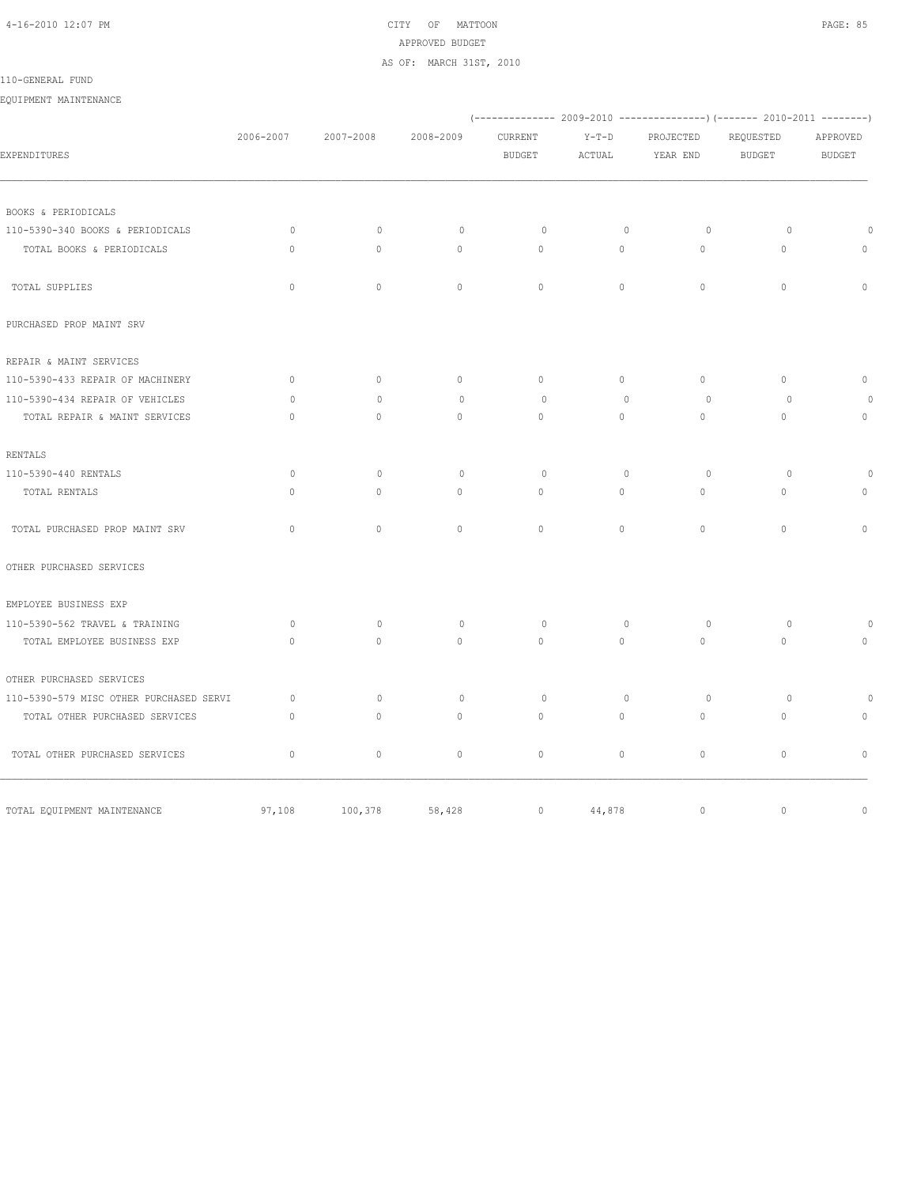# 4-16-2010 12:07 PM CITY OF MATTOON PAGE: 85 APPROVED BUDGET AS OF: MARCH 31ST, 2010

### 110-GENERAL FUND

### EQUIPMENT MAINTENANCE

|                                         |              |              |              |               |              | (-------------- 2009-2010 ---------------) (------- 2010-2011 --------) |               |               |
|-----------------------------------------|--------------|--------------|--------------|---------------|--------------|-------------------------------------------------------------------------|---------------|---------------|
|                                         | 2006-2007    | 2007-2008    | 2008-2009    | CURRENT       | $Y-T-D$      | PROJECTED                                                               | REQUESTED     | APPROVED      |
| EXPENDITURES                            |              |              |              | <b>BUDGET</b> | ACTUAL       | YEAR END                                                                | <b>BUDGET</b> | <b>BUDGET</b> |
| BOOKS & PERIODICALS                     |              |              |              |               |              |                                                                         |               |               |
| 110-5390-340 BOOKS & PERIODICALS        | $\circ$      | $\circ$      | $\mathbf{0}$ | $\circ$       | $\mathbf{0}$ | $\mathbf{0}$                                                            | $\mathbf{0}$  |               |
| TOTAL BOOKS & PERIODICALS               | $\circ$      | $\circ$      | $\circ$      | $\circ$       | $\circ$      | $\circ$                                                                 | $\mathbf{0}$  | $\mathbf{0}$  |
| TOTAL SUPPLIES                          | $\mathbf{0}$ | $\circ$      | $\circ$      | $\circ$       | $\circ$      | $\circ$                                                                 | $\mathbf{0}$  | $\circ$       |
| PURCHASED PROP MAINT SRV                |              |              |              |               |              |                                                                         |               |               |
| REPAIR & MAINT SERVICES                 |              |              |              |               |              |                                                                         |               |               |
| 110-5390-433 REPAIR OF MACHINERY        | $\Omega$     | $\circ$      | $\Omega$     | $\Omega$      | $\Omega$     | $\Omega$                                                                | $\Omega$      | $\Omega$      |
| 110-5390-434 REPAIR OF VEHICLES         | $\Omega$     | $\Omega$     | $\Omega$     | $\circ$       | $\Omega$     | $\circ$                                                                 | $\circ$       | $\mathbf{0}$  |
| TOTAL REPAIR & MAINT SERVICES           | $\mathbf{0}$ | $\circ$      | $\circ$      | $\circ$       | $\circ$      | $\circ$                                                                 | $\mathbf{0}$  | $\circ$       |
| RENTALS                                 |              |              |              |               |              |                                                                         |               |               |
| 110-5390-440 RENTALS                    | $\circ$      | $\mathbf{0}$ | $\circ$      | $\circ$       | $\mathbf{0}$ | $\mathbf{0}$                                                            | $\mathbf{0}$  |               |
| TOTAL RENTALS                           | $\Omega$     | $\circ$      | $\mathbb O$  | $\circ$       | $\circ$      | $\circ$                                                                 | $\mathbf{0}$  | $\circ$       |
| TOTAL PURCHASED PROP MAINT SRV          | $\mathbf{0}$ | $\circ$      | $\circ$      | $\circ$       | $\Omega$     | $\Omega$                                                                | $\Omega$      | $\Omega$      |
| OTHER PURCHASED SERVICES                |              |              |              |               |              |                                                                         |               |               |
| EMPLOYEE BUSINESS EXP                   |              |              |              |               |              |                                                                         |               |               |
| 110-5390-562 TRAVEL & TRAINING          | $\circ$      | $\mathbf{0}$ | $\mathbf{0}$ | $\circ$       | $\mathbf{0}$ | $\mathbf{0}$                                                            | $\mathbf{0}$  |               |
| TOTAL EMPLOYEE BUSINESS EXP             | $\mathbf{0}$ | $\circ$      | $\circ$      | $\circ$       | $\circ$      | $\circ$                                                                 | $\mathbf 0$   | $\circ$       |
| OTHER PURCHASED SERVICES                |              |              |              |               |              |                                                                         |               |               |
| 110-5390-579 MISC OTHER PURCHASED SERVI | $\circ$      | $\mathbf{0}$ | $\mathbf{0}$ | $\circ$       | $\mathbf{0}$ | $\mathbf{0}$                                                            | $\mathbf{0}$  |               |
| TOTAL OTHER PURCHASED SERVICES          | $\circ$      | $\circ$      | $\circ$      | $\circ$       | $\circ$      | $\circ$                                                                 | $\mathbf{0}$  | $\circ$       |
| TOTAL OTHER PURCHASED SERVICES          | $\circ$      | $\mathbb O$  | $\circ$      | $\circ$       | $\circ$      | $\circ$                                                                 | $\mathbb O$   | $\circ$       |
| TOTAL EQUIPMENT MAINTENANCE             | 97,108       | 100,378      | 58,428       | $\circ$       | 44,878       | $\circ$                                                                 | $\mathbf{0}$  | $\circ$       |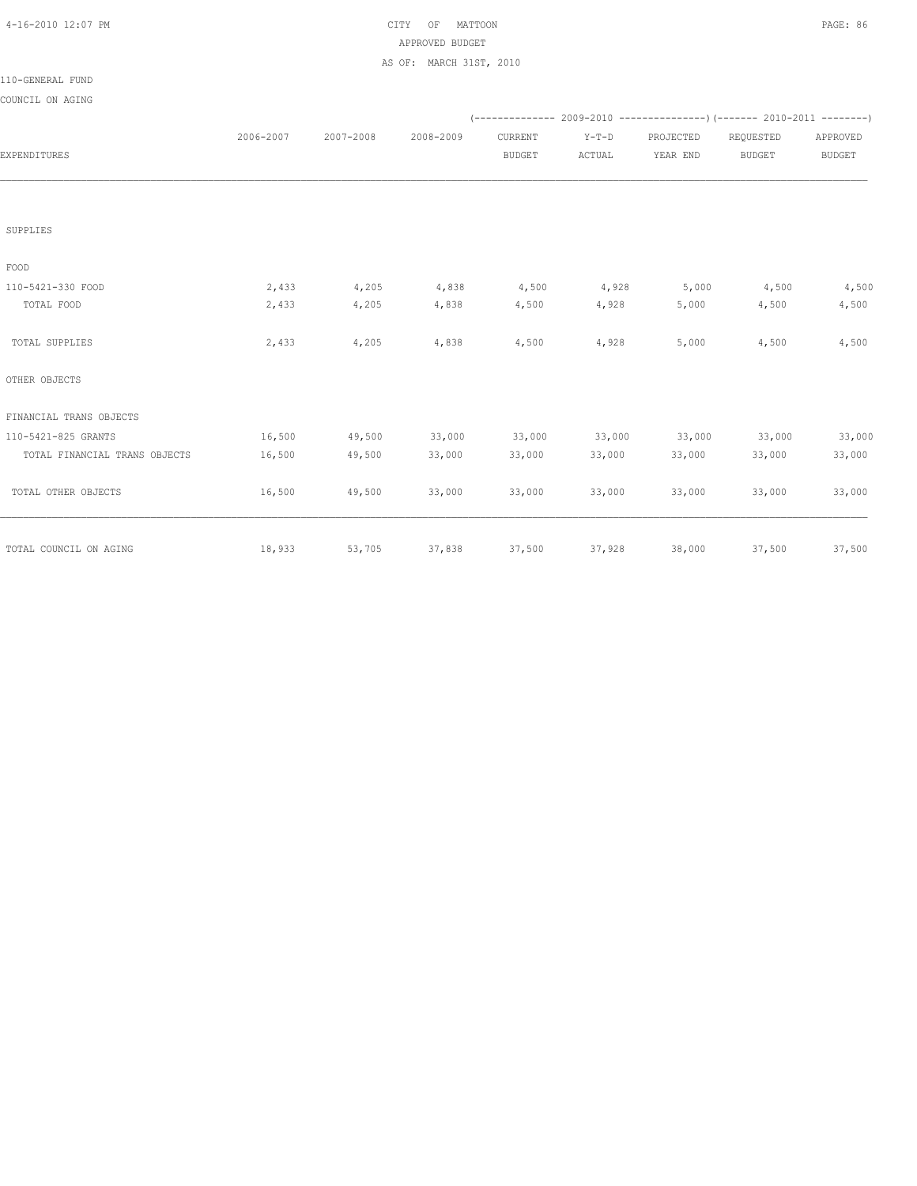# 4-16-2010 12:07 PM CITY OF MATTOON PAGE: 86 APPROVED BUDGET AS OF: MARCH 31ST, 2010

|                               |           |           |           |               |         | (-------------- 2009-2010 ----------------) (------- 2010-2011 --------) |               |               |
|-------------------------------|-----------|-----------|-----------|---------------|---------|--------------------------------------------------------------------------|---------------|---------------|
|                               | 2006-2007 | 2007-2008 | 2008-2009 | CURRENT       | $Y-T-D$ | PROJECTED                                                                | REQUESTED     | APPROVED      |
| EXPENDITURES                  |           |           |           | <b>BUDGET</b> | ACTUAL  | YEAR END                                                                 | <b>BUDGET</b> | <b>BUDGET</b> |
|                               |           |           |           |               |         |                                                                          |               |               |
| SUPPLIES                      |           |           |           |               |         |                                                                          |               |               |
| FOOD                          |           |           |           |               |         |                                                                          |               |               |
| 110-5421-330 FOOD             | 2,433     | 4,205     | 4,838     | 4,500         | 4,928   | 5,000                                                                    | 4,500         | 4,500         |
| TOTAL FOOD                    | 2,433     | 4,205     | 4,838     | 4,500         | 4,928   | 5,000                                                                    | 4,500         | 4,500         |
| TOTAL SUPPLIES                | 2,433     | 4,205     | 4,838     | 4,500         | 4,928   | 5,000                                                                    | 4,500         | 4,500         |
| OTHER OBJECTS                 |           |           |           |               |         |                                                                          |               |               |
| FINANCIAL TRANS OBJECTS       |           |           |           |               |         |                                                                          |               |               |
| 110-5421-825 GRANTS           | 16,500    | 49,500    | 33,000    | 33,000        | 33,000  | 33,000                                                                   | 33,000        | 33,000        |
| TOTAL FINANCIAL TRANS OBJECTS | 16,500    | 49,500    | 33,000    | 33,000        | 33,000  | 33,000                                                                   | 33,000        | 33,000        |
| TOTAL OTHER OBJECTS           | 16,500    | 49,500    | 33,000    | 33,000        | 33,000  | 33,000                                                                   | 33,000        | 33,000        |
| TOTAL COUNCIL ON AGING        | 18,933    | 53,705    | 37,838    | 37,500        | 37,928  | 38,000                                                                   | 37,500        | 37,500        |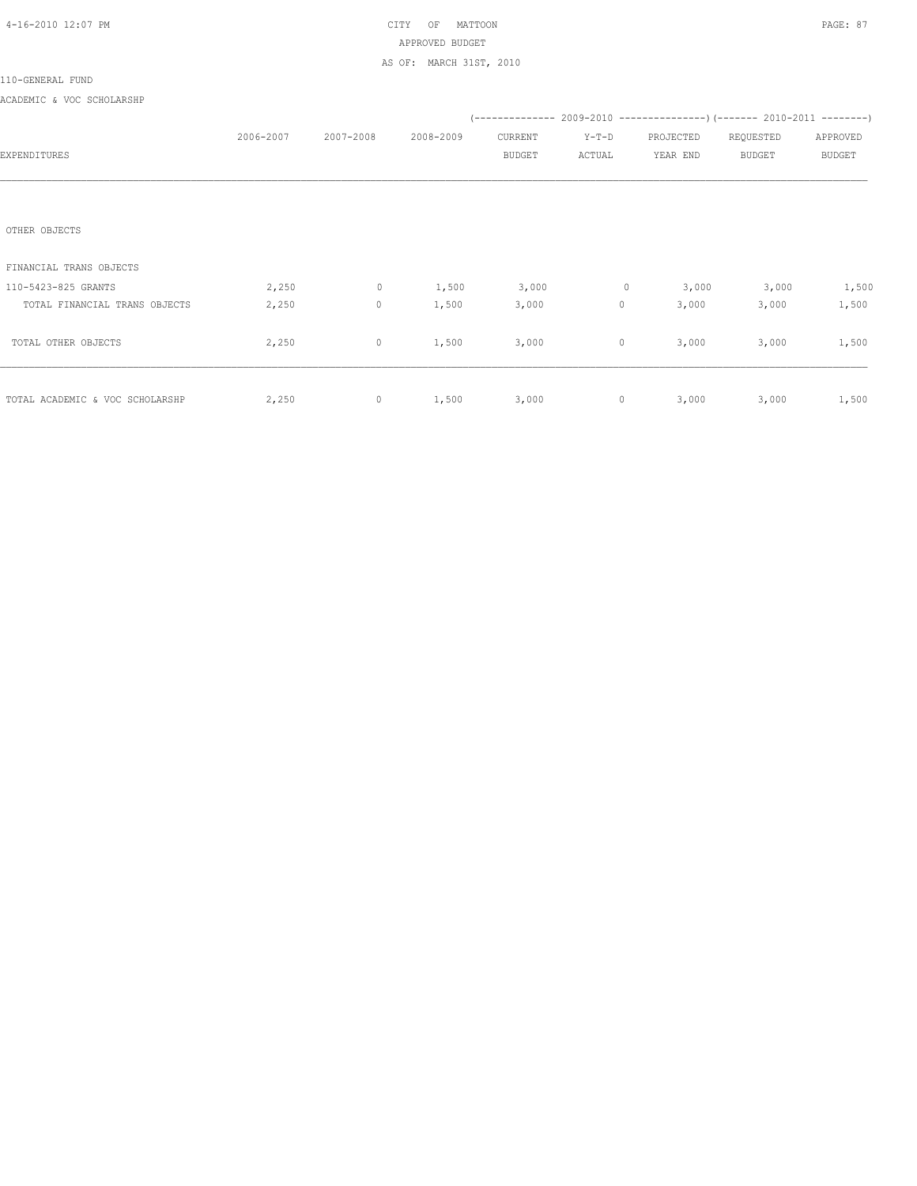# 4-16-2010 12:07 PM CITY OF MATTOON PAGE: 87 APPROVED BUDGET AS OF: MARCH 31ST, 2010

### 110-GENERAL FUND

ACADEMIC & VOC SCHOLARSHP

|                                 | 2006-2007 | 2007-2008 | 2008-2009 | CURRENT       | $Y-T-D$ | PROJECTED | REQUESTED     | APPROVED      |
|---------------------------------|-----------|-----------|-----------|---------------|---------|-----------|---------------|---------------|
| EXPENDITURES                    |           |           |           | <b>BUDGET</b> | ACTUAL  | YEAR END  | <b>BUDGET</b> | <b>BUDGET</b> |
|                                 |           |           |           |               |         |           |               |               |
| OTHER OBJECTS                   |           |           |           |               |         |           |               |               |
| FINANCIAL TRANS OBJECTS         |           |           |           |               |         |           |               |               |
| 110-5423-825 GRANTS             | 2,250     | $\circ$   | 1,500     | 3,000         | $\circ$ | 3,000     | 3,000         | 1,500         |
| TOTAL FINANCIAL TRANS OBJECTS   | 2,250     | $\circ$   | 1,500     | 3,000         | $\circ$ | 3,000     | 3,000         | 1,500         |
| TOTAL OTHER OBJECTS             | 2,250     | $\circ$   | 1,500     | 3,000         | $\circ$ | 3,000     | 3,000         | 1,500         |
| TOTAL ACADEMIC & VOC SCHOLARSHP | 2,250     | $\circ$   | 1,500     | 3,000         | $\circ$ | 3,000     | 3,000         | 1,500         |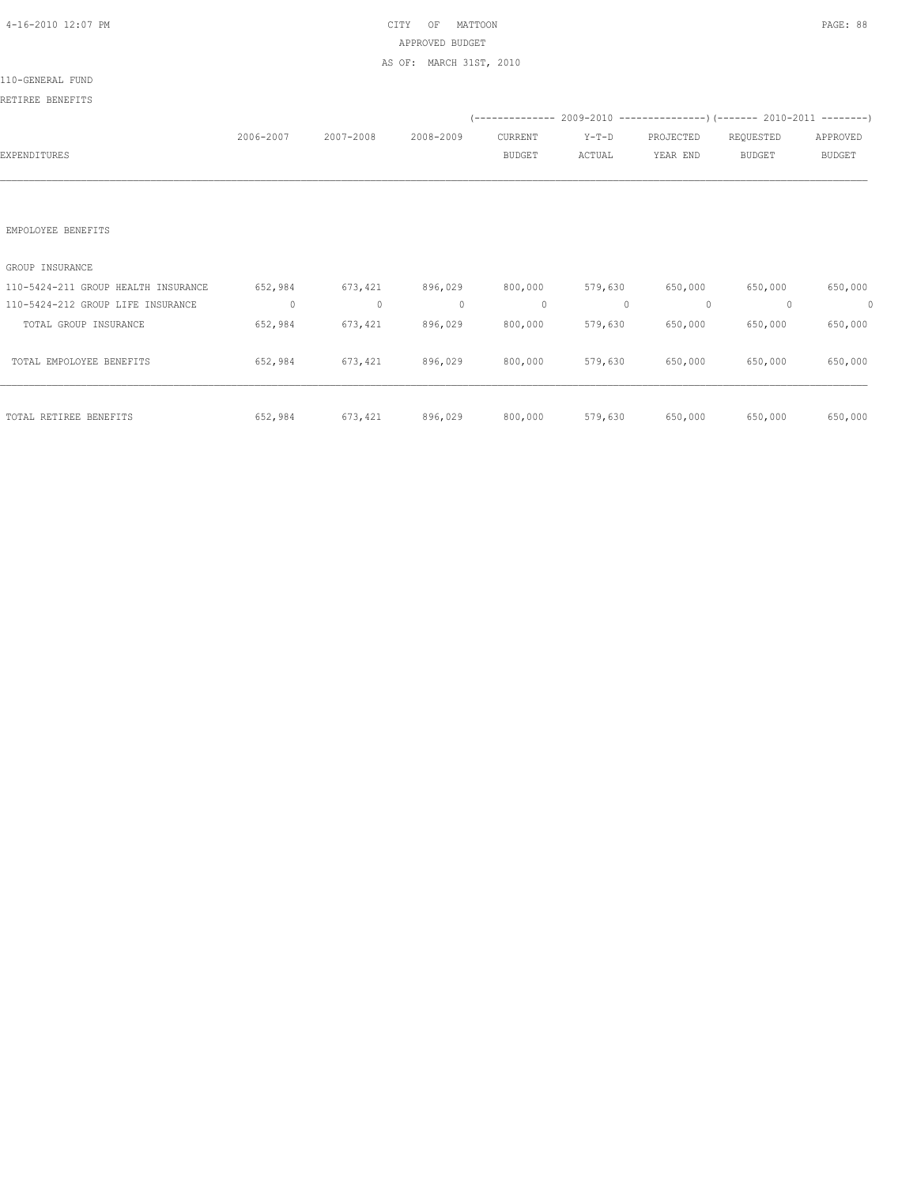# 4-16-2010 12:07 PM CITY OF MATTOON PAGE: 88 APPROVED BUDGET AS OF: MARCH 31ST, 2010

#### 110-GENERAL FUND

#### RETIREE BENEFITS

|              |           |           |           |               |        | (-------------- 2009-2010 ----------------) (------- 2010-2011 ---------) |           |               |
|--------------|-----------|-----------|-----------|---------------|--------|---------------------------------------------------------------------------|-----------|---------------|
|              | 2006-2007 | 2007-2008 | 2008-2009 | CURRENT       | Y-T-D  | PROJECTED                                                                 | REOUESTED | APPROVED      |
| EXPENDITURES |           |           |           | <b>BUDGET</b> | ACTUAL | YEAR END                                                                  | BUDGET    | <b>BUDGET</b> |
|              |           |           |           |               |        |                                                                           |           |               |

### EMPOLOYEE BENEFITS

| GROUP INSURANCE                     |         |         |         |         |         |         |         |         |
|-------------------------------------|---------|---------|---------|---------|---------|---------|---------|---------|
| 110-5424-211 GROUP HEALTH INSURANCE | 652,984 | 673,421 | 896,029 | 800,000 | 579,630 | 650,000 | 650,000 | 650,000 |
| 110-5424-212 GROUP LIFE INSURANCE   | 0       | 0       | 0       | 0       | 0       | 0       | 0       |         |
| GROUP INSURANCE<br>TOTAL.           | 652,984 | 673,421 | 896,029 | 800,000 | 579,630 | 650,000 | 650,000 | 650,000 |
| TOTAL EMPOLOYEE BENEFITS            | 652,984 | 673,421 | 896,029 | 800,000 | 579,630 | 650,000 | 650,000 | 650,000 |
| TOTAL RETIREE BENEFITS              | 652,984 | 673,421 | 896,029 | 800,000 | 579,630 | 650,000 | 650,000 | 650,000 |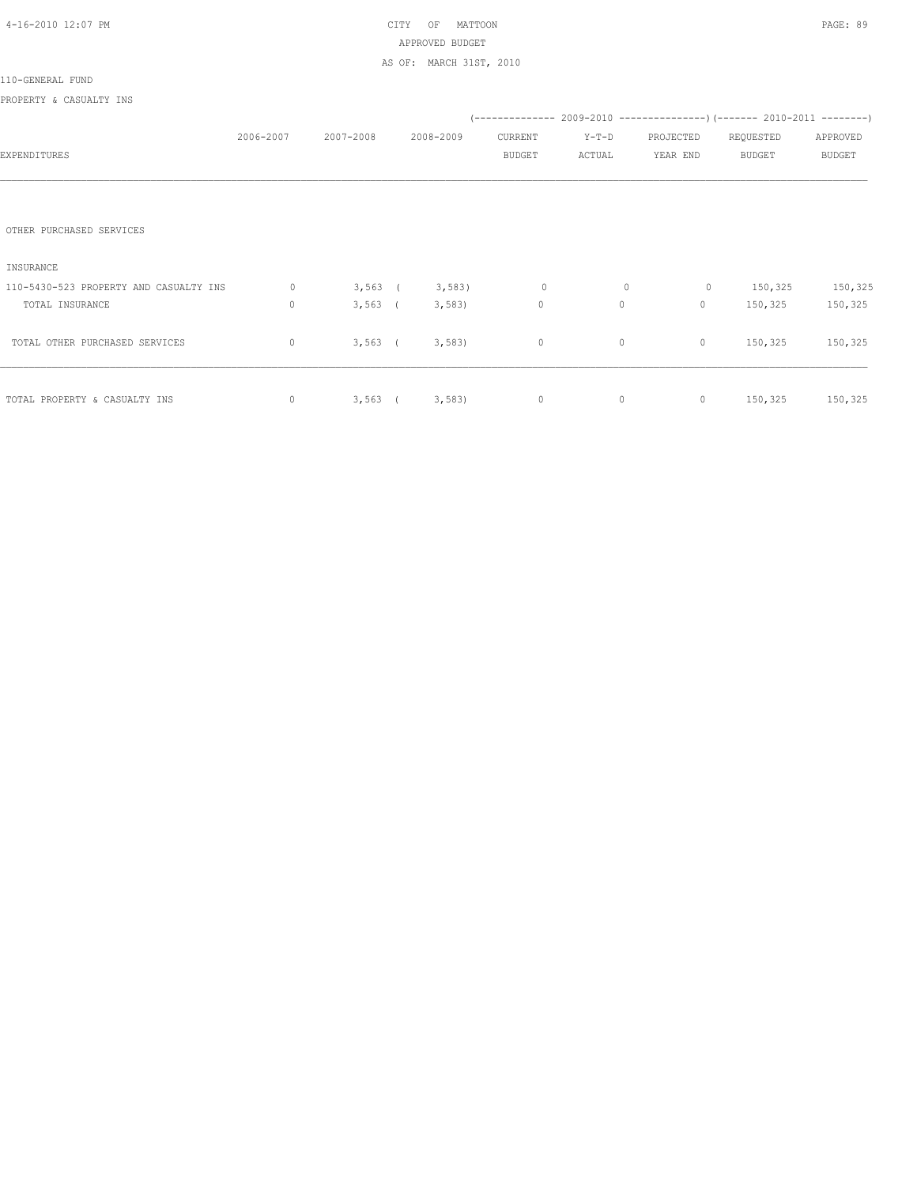# 4-16-2010 12:07 PM CITY OF MATTOON PAGE: 89 APPROVED BUDGET AS OF: MARCH 31ST, 2010

### 110-GENERAL FUND

### PROPERTY & CASUALTY INS

| EXPENDITURES                                              | 2006-2007               | 2007-2008              | 2008-2009      | CURRENT<br><b>BUDGET</b> | $Y-T-D$<br>ACTUAL | (-------------- 2009-2010 -----------------) (------- 2010-2011 --------)<br>PROJECTED<br>YEAR END | REQUESTED<br><b>BUDGET</b> | APPROVED<br><b>BUDGET</b> |
|-----------------------------------------------------------|-------------------------|------------------------|----------------|--------------------------|-------------------|----------------------------------------------------------------------------------------------------|----------------------------|---------------------------|
| OTHER PURCHASED SERVICES                                  |                         |                        |                |                          |                   |                                                                                                    |                            |                           |
| INSURANCE                                                 |                         |                        |                |                          |                   |                                                                                                    |                            |                           |
| 110-5430-523 PROPERTY AND CASUALTY INS<br>TOTAL INSURANCE | $\circ$<br>$\mathbf{0}$ | $3,563$ (<br>$3,563$ ( | 3,583<br>3,583 | 0<br>$\mathbb O$         |                   | $\mathbf{0}$<br>$\mathbf 0$<br>$\circ$<br>0                                                        | 150,325<br>150,325         | 150,325<br>150,325        |
|                                                           |                         |                        |                |                          |                   |                                                                                                    |                            |                           |
| TOTAL OTHER PURCHASED SERVICES                            | $\circ$                 | $3,563$ (              | 3,583          | $\circ$                  |                   | $\circ$<br>0                                                                                       | 150,325                    | 150,325                   |
| TOTAL PROPERTY & CASUALTY INS                             | $\circ$                 | $3,563$ (              | 3,583          | $\circ$                  |                   | $\circ$<br>0                                                                                       | 150,325                    | 150,325                   |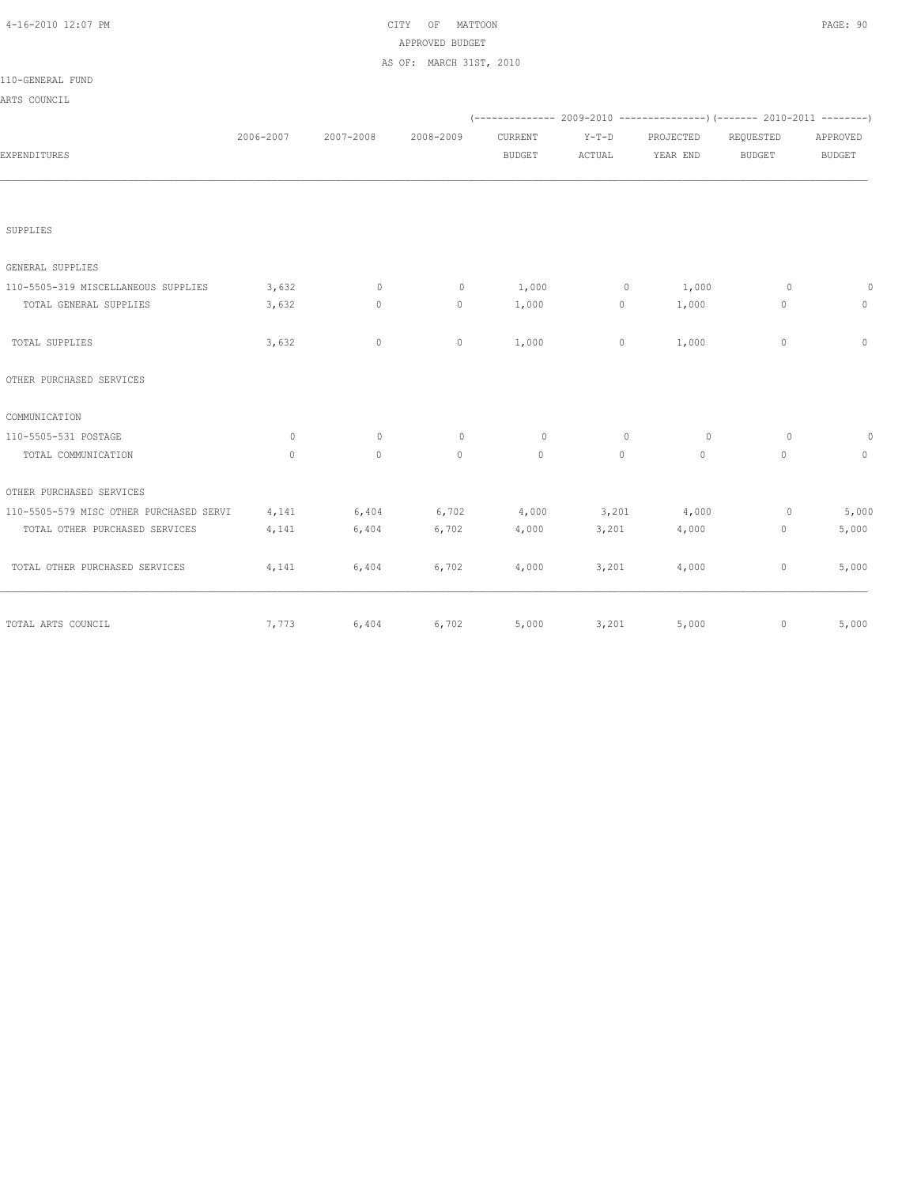# 4-16-2010 12:07 PM CITY OF MATTOON PAGE: 90 APPROVED BUDGET AS OF: MARCH 31ST, 2010

### 110-GENERAL FUND

ARTS COUNCIL

|                                         | 2006-2007    | 2007-2008    | 2008-2009    | CURRENT       | $Y-T-D$  | PROJECTED    | REQUESTED     | APPROVED      |
|-----------------------------------------|--------------|--------------|--------------|---------------|----------|--------------|---------------|---------------|
| EXPENDITURES                            |              |              |              | <b>BUDGET</b> | ACTUAL   | YEAR END     | <b>BUDGET</b> | <b>BUDGET</b> |
|                                         |              |              |              |               |          |              |               |               |
| SUPPLIES                                |              |              |              |               |          |              |               |               |
| GENERAL SUPPLIES                        |              |              |              |               |          |              |               |               |
| 110-5505-319 MISCELLANEOUS SUPPLIES     | 3,632        | $\mathbf{0}$ | $\circ$      | 1,000         | $\sim$ 0 | 1,000        | $\circ$       | 0             |
| TOTAL GENERAL SUPPLIES                  | 3,632        | $\circ$      | $\circ$      | 1,000         | $\circ$  | 1,000        | 0             | $\circ$       |
| TOTAL SUPPLIES                          | 3,632        | $\circ$      | $\mathbb O$  | 1,000         | $\circ$  | 1,000        | 0             | $\circ$       |
| OTHER PURCHASED SERVICES                |              |              |              |               |          |              |               |               |
| COMMUNICATION                           |              |              |              |               |          |              |               |               |
| 110-5505-531 POSTAGE                    | $\circ$      | $\mathbf{0}$ | $\circ$      | $\circ$       | $\circ$  | $\mathbf{0}$ | $\mathbf{0}$  | 0             |
| TOTAL COMMUNICATION                     | $\mathbf{0}$ | $\circ$      | $\mathbf{0}$ | $\circ$       | $\circ$  | $\circ$      | $\circ$       | $\mathbf{0}$  |
| OTHER PURCHASED SERVICES                |              |              |              |               |          |              |               |               |
| 110-5505-579 MISC OTHER PURCHASED SERVI | 4,141        | 6,404        | 6,702        | 4,000         | 3,201    | 4,000        | $\mathbf 0$   | 5,000         |
| TOTAL OTHER PURCHASED SERVICES          | 4,141        | 6,404        | 6,702        | 4,000         | 3,201    | 4,000        | $\circ$       | 5,000         |
| TOTAL OTHER PURCHASED SERVICES          | 4,141        | 6,404        | 6,702        | 4,000         | 3,201    | 4,000        | $\circ$       | 5,000         |
| TOTAL ARTS COUNCIL                      | 7,773        | 6,404        | 6,702        | 5,000         | 3,201    | 5,000        | $\circ$       | 5,000         |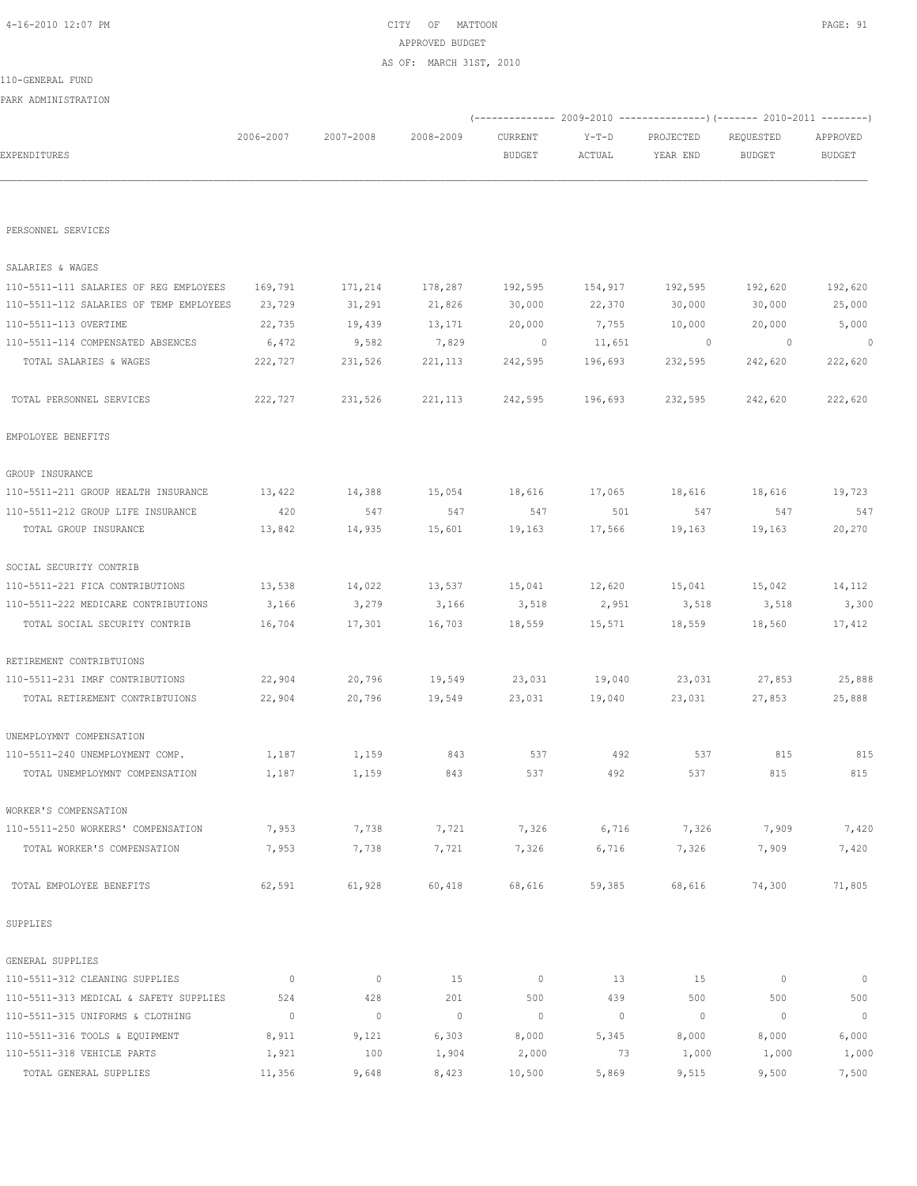# 4-16-2010 12:07 PM CITY OF MATTOON PAGE: 91 APPROVED BUDGET AS OF: MARCH 31ST, 2010

#### 110-GENERAL FUND

#### PARK ADMINISTRATION

| EXPENDITURES                            | 2006-2007 | 2007-2008 | 2008-2009 | CURRENT<br><b>BUDGET</b> | $Y-T-D$<br>ACTUAL | PROJECTED<br>YEAR END | REQUESTED<br><b>BUDGET</b> | APPROVED<br><b>BUDGET</b> |
|-----------------------------------------|-----------|-----------|-----------|--------------------------|-------------------|-----------------------|----------------------------|---------------------------|
| PERSONNEL SERVICES                      |           |           |           |                          |                   |                       |                            |                           |
| SALARIES & WAGES                        |           |           |           |                          |                   |                       |                            |                           |
| 110-5511-111 SALARIES OF REG EMPLOYEES  | 169,791   | 171,214   | 178,287   | 192,595                  | 154,917           | 192,595               | 192,620                    | 192,620                   |
| 110-5511-112 SALARIES OF TEMP EMPLOYEES | 23,729    | 31,291    | 21,826    | 30,000                   | 22,370            | 30,000                | 30,000                     | 25,000                    |
| 110-5511-113 OVERTIME                   | 22,735    | 19,439    | 13,171    | 20,000                   | 7,755             | 10,000                | 20,000                     | 5,000                     |
| 110-5511-114 COMPENSATED ABSENCES       | 6,472     | 9,582     | 7,829     | 0                        | 11,651            | $\circ$               | $\overline{0}$             | $\mathbf{0}$              |
| TOTAL SALARIES & WAGES                  | 222,727   | 231,526   | 221,113   | 242,595                  | 196,693           | 232,595               | 242,620                    | 222,620                   |
| TOTAL PERSONNEL SERVICES                | 222,727   | 231,526   | 221,113   | 242,595                  | 196,693           | 232,595               | 242,620                    | 222,620                   |
| EMPOLOYEE BENEFITS                      |           |           |           |                          |                   |                       |                            |                           |
| GROUP INSURANCE                         |           |           |           |                          |                   |                       |                            |                           |
| 110-5511-211 GROUP HEALTH INSURANCE     | 13,422    | 14,388    | 15,054    | 18,616                   | 17,065            | 18,616                | 18,616                     | 19,723                    |
| 110-5511-212 GROUP LIFE INSURANCE       | 420       | 547       | 547       | 547                      | 501               | 547                   | 547                        | 547                       |
| TOTAL GROUP INSURANCE                   | 13,842    | 14,935    | 15,601    | 19,163                   | 17,566            | 19,163                | 19,163                     | 20,270                    |
| SOCIAL SECURITY CONTRIB                 |           |           |           |                          |                   |                       |                            |                           |
| 110-5511-221 FICA CONTRIBUTIONS         | 13,538    | 14,022    | 13,537    | 15,041                   | 12,620            | 15,041                | 15,042                     | 14,112                    |
| 110-5511-222 MEDICARE CONTRIBUTIONS     | 3,166     | 3,279     | 3,166     | 3,518                    | 2,951             | 3,518                 | 3,518                      | 3,300                     |
| TOTAL SOCIAL SECURITY CONTRIB           | 16,704    | 17,301    | 16,703    | 18,559                   | 15,571            | 18,559                | 18,560                     | 17,412                    |
| RETIREMENT CONTRIBTUIONS                |           |           |           |                          |                   |                       |                            |                           |
| 110-5511-231 IMRF CONTRIBUTIONS         | 22,904    | 20,796    | 19,549    | 23,031                   | 19,040            | 23,031                | 27,853                     | 25,888                    |
| TOTAL RETIREMENT CONTRIBTUIONS          | 22,904    | 20,796    | 19,549    | 23,031                   | 19,040            | 23,031                | 27,853                     | 25,888                    |
| UNEMPLOYMNT COMPENSATION                |           |           |           |                          |                   |                       |                            |                           |
| 110-5511-240 UNEMPLOYMENT COMP.         | 1,187     | 1,159     | 843       | 537                      | 492               | 537                   | 815                        | 815                       |
| TOTAL UNEMPLOYMNT COMPENSATION          | 1,187     | 1,159     | 843       | 537                      | 492               | 537                   | 815                        | 815                       |
| WORKER'S COMPENSATION                   |           |           |           |                          |                   |                       |                            |                           |
| 110-5511-250 WORKERS' COMPENSATION      | 7,953     | 7,738     | 7,721     | 7,326                    | 6,716             | 7,326                 | 7,909                      | 7,420                     |
| TOTAL WORKER'S COMPENSATION             | 7,953     | 7,738     | 7,721     | 7,326                    | 6,716             | 7,326                 | 7,909                      | 7,420                     |
| TOTAL EMPOLOYEE BENEFITS                | 62,591    | 61,928    | 60,418    | 68,616                   | 59,385            | 68,616                | 74,300                     | 71,805                    |
| SUPPLIES                                |           |           |           |                          |                   |                       |                            |                           |
| GENERAL SUPPLIES                        |           |           |           |                          |                   |                       |                            |                           |
| 110-5511-312 CLEANING SUPPLIES          | $\circ$   | $\circ$   | 15        | $\circ$                  | 13                | 15                    | $\circ$                    | $\circ$                   |
| 110-5511-313 MEDICAL & SAFETY SUPPLIES  | 524       | 428       | 201       | 500                      | 439               | 500                   | 500                        | 500                       |
| 110-5511-315 UNIFORMS & CLOTHING        | $\circ$   | $\circ$   | $\circ$   | $\mathbf 0$              | $\circ$           | 0                     | $\circ$                    | $\circ$                   |
| 110-5511-316 TOOLS & EQUIPMENT          | 8,911     | 9,121     | 6,303     | 8,000                    | 5,345             | 8,000                 | 8,000                      | 6,000                     |
| 110-5511-318 VEHICLE PARTS              | 1,921     | 100       | 1,904     | 2,000                    | 73                | 1,000                 | 1,000                      | 1,000                     |

TOTAL GENERAL SUPPLIES 11,356 9,648 8,423 10,500 5,869 9,515 9,500 7,500

(-------------- 2009-2010 ---------------)(------- 2010-2011 --------)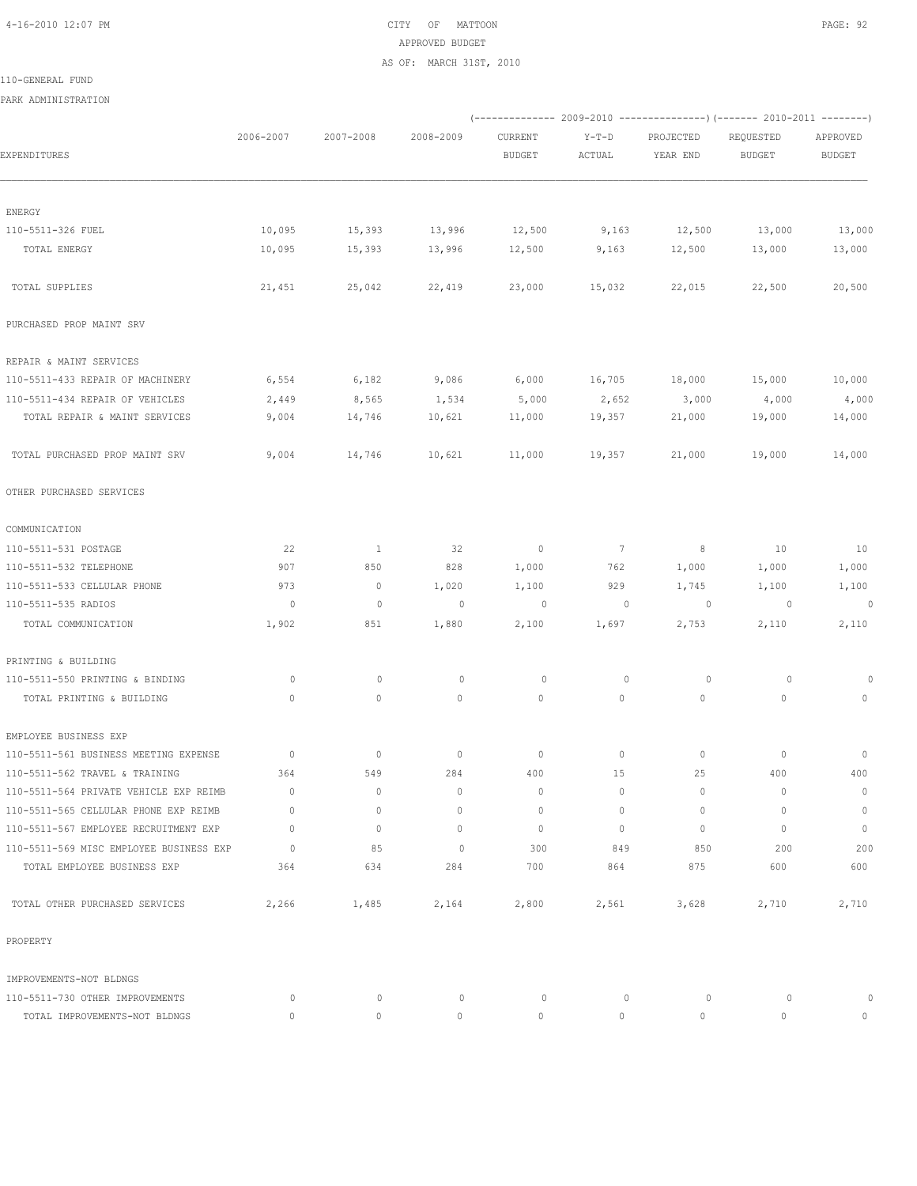# 4-16-2010 12:07 PM CITY OF MATTOON PAGE: 92 APPROVED BUDGET AS OF: MARCH 31ST, 2010

### 110-GENERAL FUND

### PARK ADMINISTRATION

|                                         |              |                |              |                          |                   |                       | (------------- 2009-2010 ---------------)(------- 2010-2011 --------) |                           |
|-----------------------------------------|--------------|----------------|--------------|--------------------------|-------------------|-----------------------|-----------------------------------------------------------------------|---------------------------|
| EXPENDITURES                            | 2006-2007    | 2007-2008      | 2008-2009    | CURRENT<br><b>BUDGET</b> | $Y-T-D$<br>ACTUAL | PROJECTED<br>YEAR END | REQUESTED<br><b>BUDGET</b>                                            | APPROVED<br><b>BUDGET</b> |
|                                         |              |                |              |                          |                   |                       |                                                                       |                           |
| ENERGY                                  |              |                |              |                          |                   |                       |                                                                       |                           |
| 110-5511-326 FUEL                       | 10,095       | 15,393         | 13,996       | 12,500                   | 9,163             | 12,500                | 13,000                                                                | 13,000                    |
| TOTAL ENERGY                            | 10,095       | 15,393         | 13,996       | 12,500                   | 9,163             | 12,500                | 13,000                                                                | 13,000                    |
| TOTAL SUPPLIES                          | 21,451       | 25,042         | 22,419       | 23,000                   | 15,032            | 22,015                | 22,500                                                                | 20,500                    |
| PURCHASED PROP MAINT SRV                |              |                |              |                          |                   |                       |                                                                       |                           |
| REPAIR & MAINT SERVICES                 |              |                |              |                          |                   |                       |                                                                       |                           |
| 110-5511-433 REPAIR OF MACHINERY        | 6,554        | 6,182          | 9,086        | 6,000                    | 16,705            | 18,000                | 15,000                                                                | 10,000                    |
| 110-5511-434 REPAIR OF VEHICLES         | 2,449        | 8,565          | 1,534        | 5,000                    | 2,652             | 3,000                 | 4,000                                                                 | 4,000                     |
| TOTAL REPAIR & MAINT SERVICES           | 9,004        | 14,746         | 10,621       | 11,000                   | 19,357            | 21,000                | 19,000                                                                | 14,000                    |
| TOTAL PURCHASED PROP MAINT SRV          | 9,004        | 14,746         | 10,621       | 11,000                   | 19,357            | 21,000                | 19,000                                                                | 14,000                    |
| OTHER PURCHASED SERVICES                |              |                |              |                          |                   |                       |                                                                       |                           |
| COMMUNICATION                           |              |                |              |                          |                   |                       |                                                                       |                           |
| 110-5511-531 POSTAGE                    | 22           | $\overline{1}$ | 32           | $\overline{\phantom{0}}$ | $\overline{7}$    | 8 <sup>8</sup>        | 10                                                                    | 10                        |
| 110-5511-532 TELEPHONE                  | 907          | 850            | 828          | 1,000                    | 762               | 1,000                 | 1,000                                                                 | 1,000                     |
| 110-5511-533 CELLULAR PHONE             | 973          | $\circ$        | 1,020        | 1,100                    | 929               | 1,745                 | 1,100                                                                 | 1,100                     |
| 110-5511-535 RADIOS                     | $\circ$      | $\overline{0}$ | $\circ$      | $\circ$                  | $\overline{0}$    | $\sim$ 0              | $\mathbf 0$                                                           | $\mathbb O$               |
| TOTAL COMMUNICATION                     | 1,902        | 851            | 1,880        | 2,100                    | 1,697             | 2,753                 | 2,110                                                                 | 2,110                     |
| PRINTING & BUILDING                     |              |                |              |                          |                   |                       |                                                                       |                           |
| 110-5511-550 PRINTING & BINDING         | 0            | $\circ$        | 0            | 0                        | $\mathbf 0$       | $\mathbf 0$           | 0                                                                     | 0                         |
| TOTAL PRINTING & BUILDING               | $\circ$      | 0              | $\circ$      | $\circ$                  | 0                 | $\circ$               | 0                                                                     | 0                         |
| EMPLOYEE BUSINESS EXP                   |              |                |              |                          |                   |                       |                                                                       |                           |
| 110-5511-561 BUSINESS MEETING EXPENSE   | $\mathbf 0$  | $\circ$        | $\mathbf 0$  | $\circ$                  | $\circ$           | $\circ$               | $\circ$                                                               | $\mathbf 0$               |
| 110-5511-562 TRAVEL & TRAINING          | 364          | 549            | 284          | 400                      | 15                | 25                    | 400                                                                   | 400                       |
| 110-5511-564 PRIVATE VEHICLE EXP REIMB  | $\mathbf{0}$ | $\mathbb O$    | $\circ$      | $\circ$                  | $\circ$           | $\circ$               | 0                                                                     | 0                         |
| 110-5511-565 CELLULAR PHONE EXP REIMB   | $\mathbf{0}$ | 0              | 0            | $\circ$                  | 0                 | $\mathbf{0}$          | 0                                                                     | $\circ$                   |
| 110-5511-567 EMPLOYEE RECRUITMENT EXP   | $\mathbf{0}$ | $\circ$        | $\mathbf{0}$ | $\mathbf{0}$             | $\circ$           | $\mathbf{0}$          | 0                                                                     | $\circ$                   |
| 110-5511-569 MISC EMPLOYEE BUSINESS EXP | $\circ$      | 85             | $\circ$      | 300                      | 849               | 850                   | 200                                                                   | 200                       |
| TOTAL EMPLOYEE BUSINESS EXP             | 364          | 634            | 284          | 700                      | 864               | 875                   | 600                                                                   | 600                       |
| TOTAL OTHER PURCHASED SERVICES          | 2,266        | 1,485          | 2,164        | 2,800                    | 2,561             | 3,628                 | 2,710                                                                 | 2,710                     |
| PROPERTY                                |              |                |              |                          |                   |                       |                                                                       |                           |
| IMPROVEMENTS-NOT BLDNGS                 |              |                |              |                          |                   |                       |                                                                       |                           |
| 110-5511-730 OTHER IMPROVEMENTS         | 0            | 0              | 0            | 0                        | $\mathbf 0$       | 0                     | 0                                                                     | $\Omega$                  |
| TOTAL IMPROVEMENTS-NOT BLDNGS           | $\circ$      | 0              | $\circ$      | $\mathbb O$              | 0                 | $\circ$               | 0                                                                     | 0                         |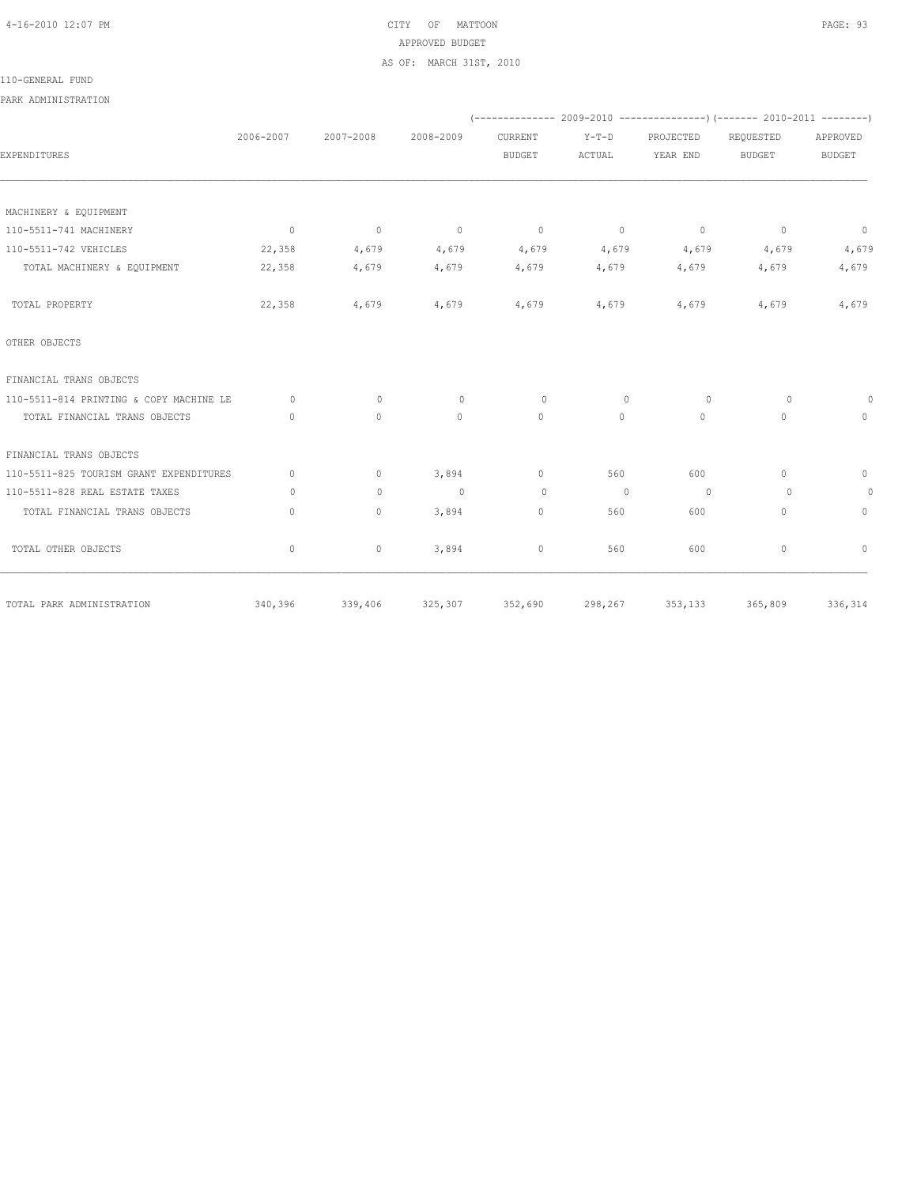# 4-16-2010 12:07 PM CITY OF MATTOON PAGE: 93 APPROVED BUDGET AS OF: MARCH 31ST, 2010

### 110-GENERAL FUND

### PARK ADMINISTRATION

|                                         |                |                |                |                          |                   |                          | (-------------- 2009-2010 ----------------) (------- 2010-2011 --------) |                           |
|-----------------------------------------|----------------|----------------|----------------|--------------------------|-------------------|--------------------------|--------------------------------------------------------------------------|---------------------------|
| EXPENDITURES                            | 2006-2007      | 2007-2008      | 2008-2009      | CURRENT<br><b>BUDGET</b> | $Y-T-D$<br>ACTUAL | PROJECTED<br>YEAR END    | REQUESTED<br><b>BUDGET</b>                                               | APPROVED<br><b>BUDGET</b> |
|                                         |                |                |                |                          |                   |                          |                                                                          |                           |
| MACHINERY & EQUIPMENT                   |                |                |                |                          |                   |                          |                                                                          |                           |
| 110-5511-741 MACHINERY                  | $\overline{0}$ | $\overline{0}$ | $\overline{0}$ | $\circ$                  | $\sim$ 0          | $\sim$ 0                 | $\overline{\phantom{0}}$                                                 | $\overline{\phantom{0}}$  |
| 110-5511-742 VEHICLES                   | 22,358         | 4,679          | 4,679          | 4,679                    | 4,679             | 4,679                    | 4,679                                                                    | 4,679                     |
| TOTAL MACHINERY & EQUIPMENT             | 22,358         | 4,679          | 4,679          | 4,679                    | 4,679             | 4,679                    | 4,679                                                                    | 4,679                     |
| TOTAL PROPERTY                          | 22,358         | 4,679          | 4,679          | 4,679                    | 4,679             | 4,679                    | 4,679                                                                    | 4,679                     |
| OTHER OBJECTS                           |                |                |                |                          |                   |                          |                                                                          |                           |
| FINANCIAL TRANS OBJECTS                 |                |                |                |                          |                   |                          |                                                                          |                           |
| 110-5511-814 PRINTING & COPY MACHINE LE | $\Omega$       | $\circ$        | $\circ$        | $\circ$                  | $\Omega$          | $\circ$                  | $\circ$                                                                  | $\Omega$                  |
| TOTAL FINANCIAL TRANS OBJECTS           | $\mathbf{0}$   | $\circ$        | $\mathbf{0}$   | $\circ$                  | $\circ$           | $\circ$                  | 0                                                                        | $\mathbf{0}$              |
| FINANCIAL TRANS OBJECTS                 |                |                |                |                          |                   |                          |                                                                          |                           |
| 110-5511-825 TOURISM GRANT EXPENDITURES | $\circ$        | $\circ$        | 3,894          | $\circ$                  | 560               | 600                      | $\mathbf{0}$                                                             | $\circ$                   |
| 110-5511-828 REAL ESTATE TAXES          | $\Omega$       | $\circ$        | $\circ$        | $\circ$                  | $\overline{0}$    | $\overline{\phantom{0}}$ | $\circ$                                                                  | $\mathbf{0}$              |
| TOTAL FINANCIAL TRANS OBJECTS           | $\mathbf{0}$   | $\circ$        | 3,894          | $\mathbf{0}$             | 560               | 600                      | 0                                                                        | $\mathbf{0}$              |
| TOTAL OTHER OBJECTS                     | $\circ$        | $\circ$        | 3,894          | $\circ$                  | 560               | 600                      | $\mathbf{0}$                                                             | $\mathbf{0}$              |
| TOTAL PARK ADMINISTRATION               | 340,396        | 339,406        |                | 325,307 352,690          | 298,267           | 353,133                  | 365,809                                                                  | 336,314                   |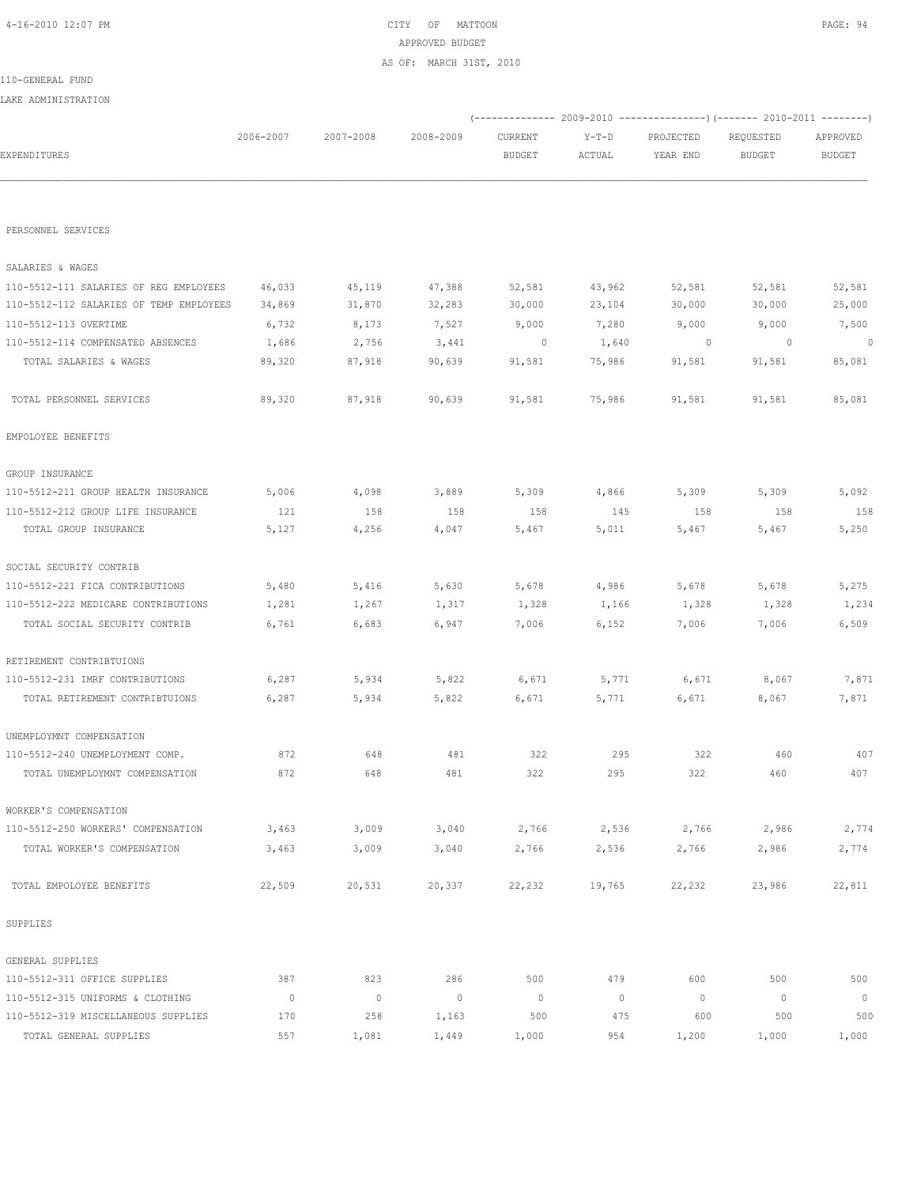# 4-16-2010 12:07 PM CITY OF MATTOON PAGE: 94 APPROVED BUDGET AS OF: MARCH 31ST, 2010

### 110-GENERAL FUND

LAKE ADMINISTRATION

|                                         |                |           |           |                          |                   |                       | (-------------  2009-2010 ---------------) (-------  2010-2011 --------) |                    |
|-----------------------------------------|----------------|-----------|-----------|--------------------------|-------------------|-----------------------|--------------------------------------------------------------------------|--------------------|
| EXPENDITURES                            | 2006-2007      | 2007-2008 | 2008-2009 | CURRENT<br><b>BUDGET</b> | $Y-T-D$<br>ACTUAL | PROJECTED<br>YEAR END | REQUESTED<br><b>BUDGET</b>                                               | APPROVED<br>BUDGET |
|                                         |                |           |           |                          |                   |                       |                                                                          |                    |
| PERSONNEL SERVICES                      |                |           |           |                          |                   |                       |                                                                          |                    |
| SALARIES & WAGES                        |                |           |           |                          |                   |                       |                                                                          |                    |
| 110-5512-111 SALARIES OF REG EMPLOYEES  | 46,033         | 45,119    | 47,388    | 52,581                   | 43,962            | 52,581                | 52,581                                                                   | 52,581             |
| 110-5512-112 SALARIES OF TEMP EMPLOYEES | 34,869         | 31,870    | 32,283    | 30,000                   | 23,104            | 30,000                | 30,000                                                                   | 25,000             |
| 110-5512-113 OVERTIME                   | 6,732          | 8,173     | 7,527     | 9,000                    | 7,280             | 9,000                 | 9,000                                                                    | 7,500              |
| 110-5512-114 COMPENSATED ABSENCES       | 1,686          | 2,756     | 3,441     | $\overline{0}$           | 1,640             | $\overline{0}$        | $\overline{\phantom{0}}$                                                 | $\circ$            |
| TOTAL SALARIES & WAGES                  | 89,320         | 87,918    | 90,639    | 91,581                   | 75,986            | 91,581                | 91,581                                                                   | 85,081             |
| TOTAL PERSONNEL SERVICES                | 89,320         | 87,918    | 90,639    | 91,581                   | 75,986            | 91,581                | 91,581                                                                   | 85,081             |
| EMPOLOYEE BENEFITS                      |                |           |           |                          |                   |                       |                                                                          |                    |
| GROUP INSURANCE                         |                |           |           |                          |                   |                       |                                                                          |                    |
| 110-5512-211 GROUP HEALTH INSURANCE     | 5,006          | 4,098     | 3,889     | 5,309                    | 4,866             | 5,309                 | 5,309                                                                    | 5,092              |
| 110-5512-212 GROUP LIFE INSURANCE       | 121            | 158       | 158       | 158                      | 145               | 158                   | 158                                                                      | 158                |
| TOTAL GROUP INSURANCE                   | 5,127          | 4,256     | 4,047     | 5,467                    | 5,011             | 5,467                 | 5,467                                                                    | 5,250              |
| SOCIAL SECURITY CONTRIB                 |                |           |           |                          |                   |                       |                                                                          |                    |
| 110-5512-221 FICA CONTRIBUTIONS         | 5,480          | 5,416     | 5,630     | 5,678                    | 4,986             | 5,678                 | 5,678                                                                    | 5,275              |
| 110-5512-222 MEDICARE CONTRIBUTIONS     | 1,281          | 1,267     | 1,317     | 1,328                    | 1,166             | 1,328                 | 1,328                                                                    | 1,234              |
| TOTAL SOCIAL SECURITY CONTRIB           | 6,761          | 6,683     | 6,947     | 7,006                    | 6,152             | 7,006                 | 7,006                                                                    | 6,509              |
| RETIREMENT CONTRIBTUIONS                |                |           |           |                          |                   |                       |                                                                          |                    |
| 110-5512-231 IMRF CONTRIBUTIONS         | 6,287          | 5,934     | 5,822     | 6,671                    | 5,771             | 6,671                 | 8,067                                                                    | 7,871              |
| TOTAL RETIREMENT CONTRIBTUIONS          | 6,287          | 5,934     | 5,822     | 6,671                    | 5,771             | 6,671                 | 8,067                                                                    | 7,871              |
| UNEMPLOYMNT COMPENSATION                |                |           |           |                          |                   |                       |                                                                          |                    |
| 110-5512-240 UNEMPLOYMENT COMP.         | 872            | 648       | 481       | 322                      | 295               | 322                   | 460                                                                      | 407                |
| TOTAL UNEMPLOYMNT COMPENSATION          | 872            | 648       | 481       | 322                      | 295               | 322                   | 460                                                                      | 407                |
| WORKER'S COMPENSATION                   |                |           |           |                          |                   |                       |                                                                          |                    |
| 110-5512-250 WORKERS' COMPENSATION      | 3,463          | 3,009     | 3,040     | 2,766                    | 2,536             | 2,766                 | 2,986                                                                    | 2,774              |
| TOTAL WORKER'S COMPENSATION             | 3,463          | 3,009     | 3,040     | 2,766                    | 2,536             | 2,766                 | 2,986                                                                    | 2,774              |
| TOTAL EMPOLOYEE BENEFITS                | 22,509         | 20,531    | 20,337    | 22,232                   | 19,765            | 22,232                | 23,986                                                                   | 22,811             |
| SUPPLIES                                |                |           |           |                          |                   |                       |                                                                          |                    |
| GENERAL SUPPLIES                        |                |           |           |                          |                   |                       |                                                                          |                    |
| 110-5512-311 OFFICE SUPPLIES            | 387            | 823       | 286       | 500                      | 479               | 600                   | 500                                                                      | 500                |
| 110-5512-315 UNIFORMS & CLOTHING        | $\overline{0}$ | $\circ$   | $\circ$   | $\circ$                  | 0                 | $\mathbf{0}$          | $\mathbf{0}$                                                             | $\mathbb O$        |
| 110-5512-319 MISCELLANEOUS SUPPLIES     | 170            | 258       | 1,163     | 500                      | 475               | 600                   | 500                                                                      | 500                |
| TOTAL GENERAL SUPPLIES                  | 557            | 1,081     | 1,449     | 1,000                    | 954               | 1,200                 | 1,000                                                                    | 1,000              |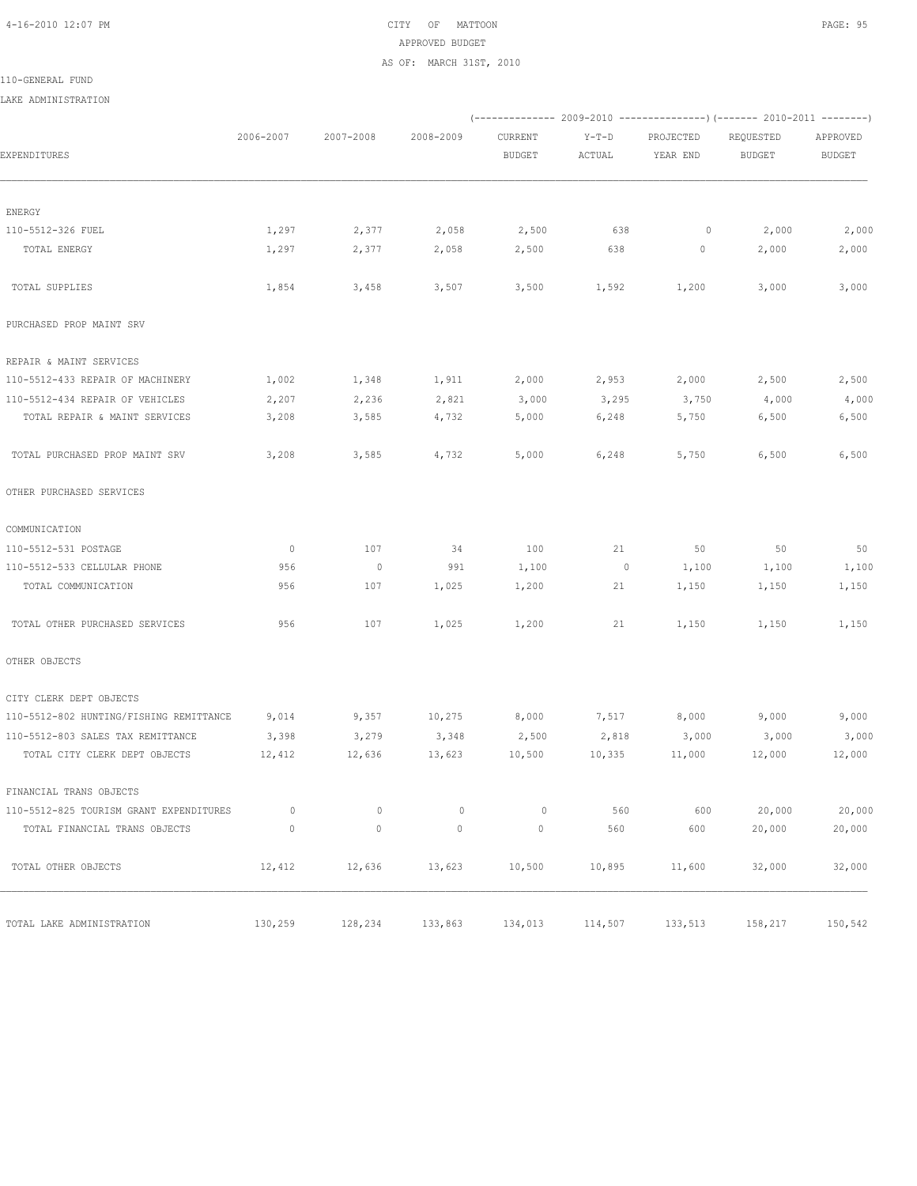# 4-16-2010 12:07 PM CITY OF MATTOON PAGE: 95 APPROVED BUDGET AS OF: MARCH 31ST, 2010

### 110-GENERAL FUND

### LAKE ADMINISTRATION

|                                         |                |                |           |             |                | (-------------- 2009-2010 ---------------) (------ 2010-2011 --------) |               |               |
|-----------------------------------------|----------------|----------------|-----------|-------------|----------------|------------------------------------------------------------------------|---------------|---------------|
|                                         | 2006-2007      | 2007-2008      | 2008-2009 | CURRENT     | $Y-T-D$        | PROJECTED                                                              | REQUESTED     | APPROVED      |
| EXPENDITURES                            |                |                |           | BUDGET      | ACTUAL         | YEAR END                                                               | <b>BUDGET</b> | <b>BUDGET</b> |
|                                         |                |                |           |             |                |                                                                        |               |               |
| ENERGY                                  |                |                |           |             |                |                                                                        |               |               |
| 110-5512-326 FUEL                       | 1,297          | 2,377          | 2,058     | 2,500       | 638            | $\circ$                                                                | 2,000         | 2,000         |
| TOTAL ENERGY                            | 1,297          | 2,377          | 2,058     | 2,500       | 638            | $\circ$                                                                | 2,000         | 2,000         |
| TOTAL SUPPLIES                          | 1,854          | 3,458          | 3,507     | 3,500       | 1,592          | 1,200                                                                  | 3,000         | 3,000         |
| PURCHASED PROP MAINT SRV                |                |                |           |             |                |                                                                        |               |               |
| REPAIR & MAINT SERVICES                 |                |                |           |             |                |                                                                        |               |               |
| 110-5512-433 REPAIR OF MACHINERY        | 1,002          | 1,348          | 1,911     | 2,000       | 2,953          | 2,000                                                                  | 2,500         | 2,500         |
| 110-5512-434 REPAIR OF VEHICLES         | 2,207          | 2,236          | 2,821     | 3,000       | 3,295          | 3,750                                                                  | 4,000         | 4,000         |
| TOTAL REPAIR & MAINT SERVICES           | 3,208          | 3,585          | 4,732     | 5,000       | 6,248          | 5,750                                                                  | 6,500         | 6,500         |
| TOTAL PURCHASED PROP MAINT SRV          | 3,208          | 3,585          | 4,732     | 5,000       | 6,248          | 5,750                                                                  | 6,500         | 6,500         |
| OTHER PURCHASED SERVICES                |                |                |           |             |                |                                                                        |               |               |
| COMMUNICATION                           |                |                |           |             |                |                                                                        |               |               |
| 110-5512-531 POSTAGE                    | $\overline{0}$ | 107            | 34        | 100         | 21             | 50                                                                     | 50            | 50            |
| 110-5512-533 CELLULAR PHONE             | 956            | $\overline{0}$ | 991       | 1,100       | $\overline{0}$ | 1,100                                                                  | 1,100         | 1,100         |
| TOTAL COMMUNICATION                     | 956            | 107            | 1,025     | 1,200       | 21             | 1,150                                                                  | 1,150         | 1,150         |
| TOTAL OTHER PURCHASED SERVICES          | 956            | 107            | 1,025     | 1,200       | 21             | 1,150                                                                  | 1,150         | 1,150         |
| OTHER OBJECTS                           |                |                |           |             |                |                                                                        |               |               |
| CITY CLERK DEPT OBJECTS                 |                |                |           |             |                |                                                                        |               |               |
| 110-5512-802 HUNTING/FISHING REMITTANCE | 9,014          | 9,357          | 10,275    | 8,000       | 7,517          | 8,000 9,000                                                            |               | 9,000         |
| 110-5512-803 SALES TAX REMITTANCE       | 3,398          | 3,279          | 3,348     | 2,500       | 2,818          | 3,000                                                                  | 3,000         | 3,000         |
| TOTAL CITY CLERK DEPT OBJECTS           | 12,412         | 12,636         | 13,623    | 10,500      | 10,335         | 11,000                                                                 | 12,000        | 12,000        |
| FINANCIAL TRANS OBJECTS                 |                |                |           |             |                |                                                                        |               |               |
| 110-5512-825 TOURISM GRANT EXPENDITURES | 0              | $\mathbb O$    | $\circ$   | $\circ$     | 560            | 600                                                                    | 20,000        | 20,000        |
| TOTAL FINANCIAL TRANS OBJECTS           | $\mathbb O$    | $\mathbb O$    | $\circ$   | $\mathbb O$ | 560            | 600                                                                    | 20,000        | 20,000        |
| TOTAL OTHER OBJECTS                     | 12,412         | 12,636         | 13,623    | 10,500      | 10,895         | 11,600                                                                 | 32,000        | 32,000        |
| TOTAL LAKE ADMINISTRATION               | 130,259        | 128,234        | 133,863   | 134,013     | 114,507        | 133,513                                                                | 158,217       | 150,542       |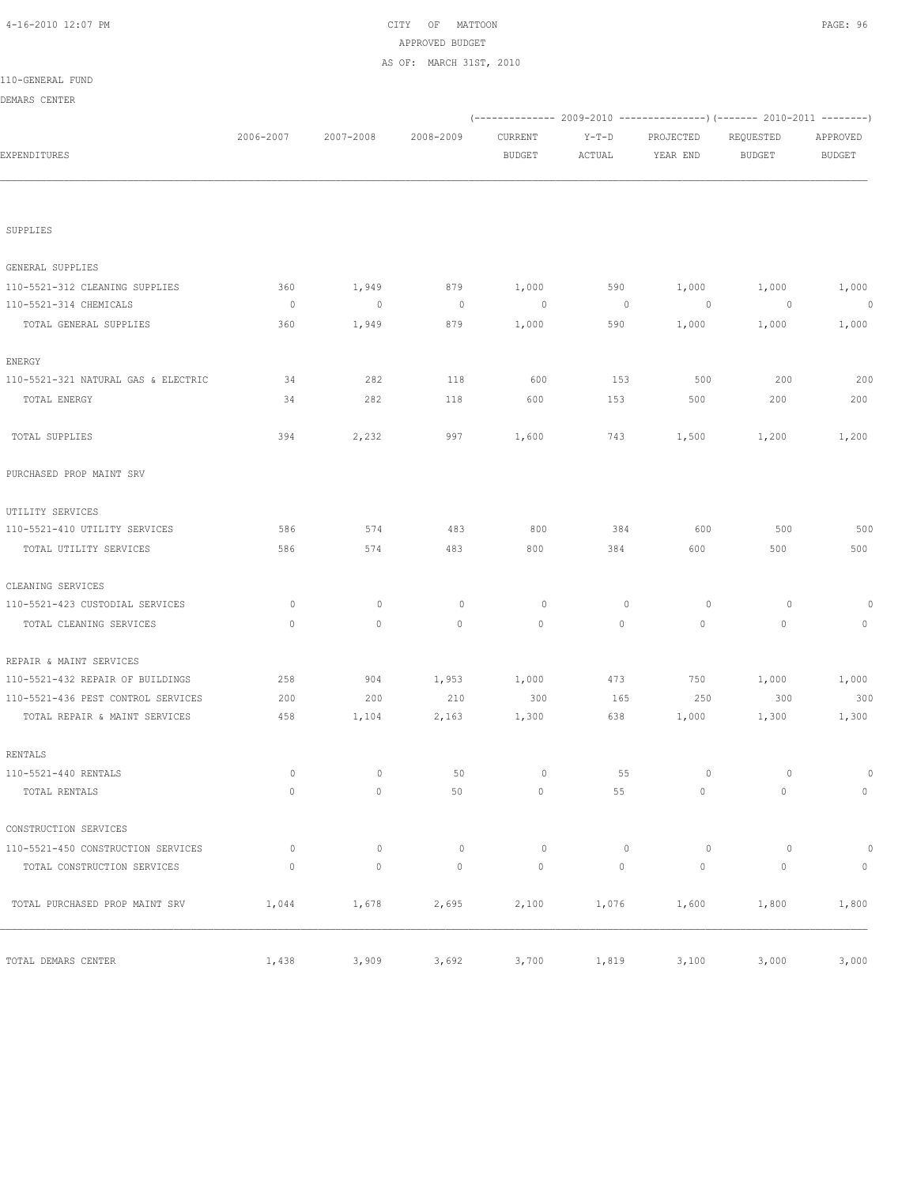# 4-16-2010 12:07 PM CITY OF MATTOON PAGE: 96 APPROVED BUDGET AS OF: MARCH 31ST, 2010

| DEMAR: |  |
|--------|--|
|        |  |

|                                     |                |                          |                |                          |                   |                       | (-------------- 2009-2010 ---------------) (------ 2010-2011 --------) |                           |  |
|-------------------------------------|----------------|--------------------------|----------------|--------------------------|-------------------|-----------------------|------------------------------------------------------------------------|---------------------------|--|
| EXPENDITURES                        | 2006-2007      | 2007-2008                | 2008-2009      | CURRENT<br><b>BUDGET</b> | $Y-T-D$<br>ACTUAL | PROJECTED<br>YEAR END | REQUESTED<br><b>BUDGET</b>                                             | APPROVED<br><b>BUDGET</b> |  |
|                                     |                |                          |                |                          |                   |                       |                                                                        |                           |  |
| SUPPLIES                            |                |                          |                |                          |                   |                       |                                                                        |                           |  |
| GENERAL SUPPLIES                    |                |                          |                |                          |                   |                       |                                                                        |                           |  |
| 110-5521-312 CLEANING SUPPLIES      | 360            | 1,949                    | 879            | 1,000                    | 590               | 1,000                 | 1,000                                                                  | 1,000                     |  |
| 110-5521-314 CHEMICALS              | $\overline{0}$ | $\overline{\phantom{0}}$ | $\overline{0}$ | $\sim$ 0                 | $\overline{0}$    | $\sim$ 0              | $\sim$ 0                                                               | $\circ$                   |  |
| TOTAL GENERAL SUPPLIES              | 360            | 1,949                    | 879            | 1,000                    | 590               | 1,000                 | 1,000                                                                  | 1,000                     |  |
| ENERGY                              |                |                          |                |                          |                   |                       |                                                                        |                           |  |
| 110-5521-321 NATURAL GAS & ELECTRIC | 34             | 282                      | 118            | 600                      | 153               | 500                   | 200                                                                    | 200                       |  |
| TOTAL ENERGY                        | 34             | 282                      | 118            | 600                      | 153               | 500                   | 200                                                                    | 200                       |  |
| TOTAL SUPPLIES                      | 394            | 2,232                    | 997            | 1,600                    | 743               | 1,500                 | 1,200                                                                  | 1,200                     |  |
| PURCHASED PROP MAINT SRV            |                |                          |                |                          |                   |                       |                                                                        |                           |  |
| UTILITY SERVICES                    |                |                          |                |                          |                   |                       |                                                                        |                           |  |
| 110-5521-410 UTILITY SERVICES       | 586            | 574                      | 483            | 800                      | 384               | 600                   | 500                                                                    | 500                       |  |
| TOTAL UTILITY SERVICES              | 586            | 574                      | 483            | 800                      | 384               | 600                   | 500                                                                    | 500                       |  |
| CLEANING SERVICES                   |                |                          |                |                          |                   |                       |                                                                        |                           |  |
| 110-5521-423 CUSTODIAL SERVICES     | 0              | $\circ$                  | $\circ$        | $\circ$                  | $\mathbf 0$       | $\mathbf 0$           | $\mathbf 0$                                                            | $\mathbf{0}$              |  |
| TOTAL CLEANING SERVICES             | $\mathbb O$    | $\circ$                  | $\mathbf{0}$   | $\circ$                  | $\circ$           | $\circ$               | $\circ$                                                                | 0                         |  |
| REPAIR & MAINT SERVICES             |                |                          |                |                          |                   |                       |                                                                        |                           |  |
| 110-5521-432 REPAIR OF BUILDINGS    | 258            | 904                      | 1,953          | 1,000                    | 473               | 750                   | 1,000                                                                  | 1,000                     |  |
| 110-5521-436 PEST CONTROL SERVICES  | 200            | 200                      | 210            | 300                      | 165               | 250                   | 300                                                                    | 300                       |  |
| TOTAL REPAIR & MAINT SERVICES       | 458            | 1,104                    | 2,163          | 1,300                    | 638               | 1,000                 | 1,300                                                                  | 1,300                     |  |
| RENTALS                             |                |                          |                |                          |                   |                       |                                                                        |                           |  |
| 110-5521-440 RENTALS                | $\circ$        | $\circ$                  | 50             | 0                        | 55                | $\mathbb O$           | $\circ$                                                                | $\mathbb O$               |  |
| TOTAL RENTALS                       | $\circ$        | $\circ$                  | 50             | $\overline{\phantom{0}}$ | 55                | $\circ$               | $\circ$                                                                | $\circ$                   |  |
| CONSTRUCTION SERVICES               |                |                          |                |                          |                   |                       |                                                                        |                           |  |
| 110-5521-450 CONSTRUCTION SERVICES  | $\overline{0}$ | $\overline{0}$           | $\overline{0}$ | $\circ$                  | $\overline{0}$    | $\circ$               | $\circ$                                                                | $\circ$                   |  |
| TOTAL CONSTRUCTION SERVICES         | $\circ$        | $\circ$                  | $\circ$        | $\circ$                  | $\circ$           | $\circ$               | $\mathbb O$                                                            | $\overline{0}$            |  |
| TOTAL PURCHASED PROP MAINT SRV      | 1,044          | 1,678                    | 2,695          | 2,100                    | 1,076             | 1,600                 | 1,800                                                                  | 1,800                     |  |
| TOTAL DEMARS CENTER                 | 1,438          | 3,909                    | 3,692          | 3,700                    | 1,819             | 3,100                 | 3,000                                                                  | 3,000                     |  |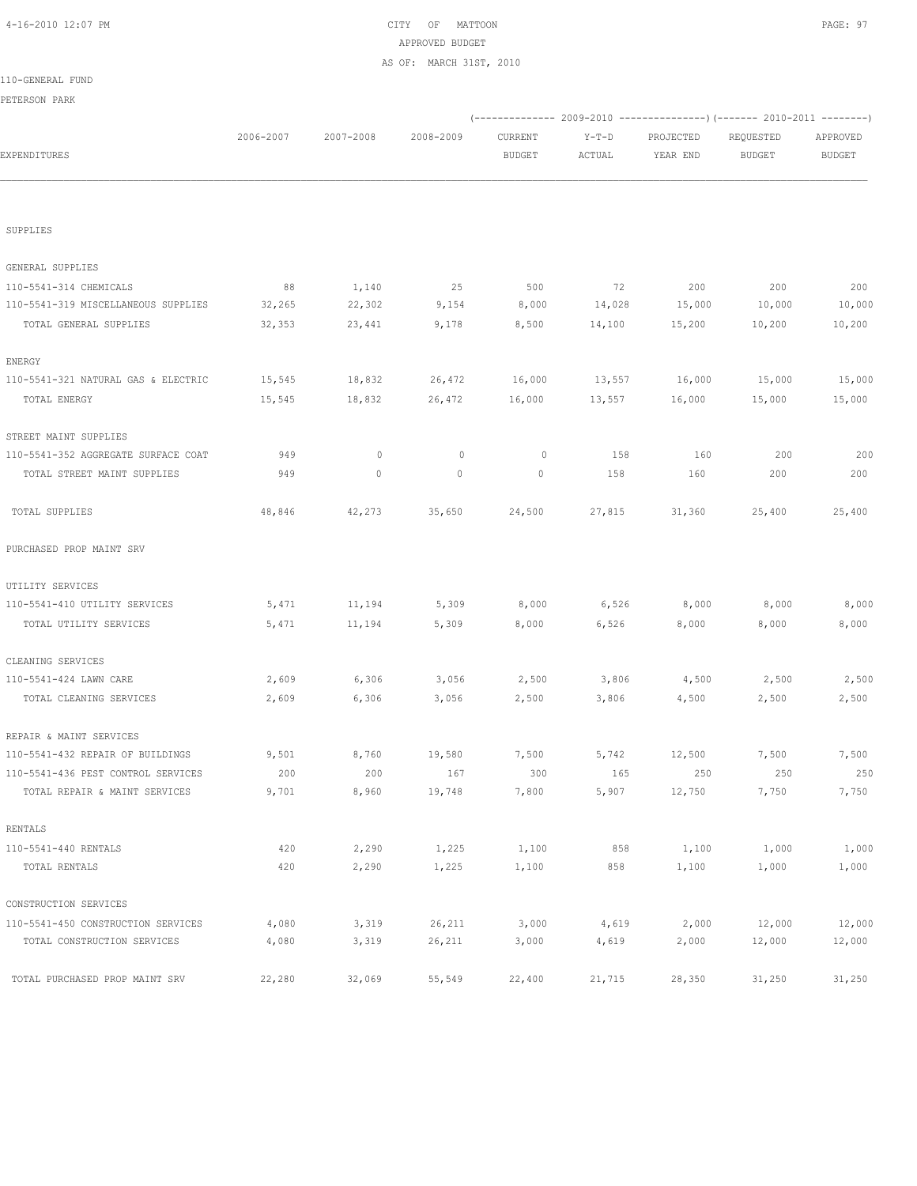# 4-16-2010 12:07 PM CITY OF MATTOON PAGE: 97 APPROVED BUDGET AS OF: MARCH 31ST, 2010

# 110-GENERAL FUND PETERSON PARK

|                                     |           |           |             |                          |                   | (------------- 2009-2010 ---------------) (------- 2010-2011 --------) |                            |                           |
|-------------------------------------|-----------|-----------|-------------|--------------------------|-------------------|------------------------------------------------------------------------|----------------------------|---------------------------|
| EXPENDITURES                        | 2006-2007 | 2007-2008 | 2008-2009   | CURRENT<br><b>BUDGET</b> | $Y-T-D$<br>ACTUAL | PROJECTED<br>YEAR END                                                  | REQUESTED<br><b>BUDGET</b> | APPROVED<br><b>BUDGET</b> |
|                                     |           |           |             |                          |                   |                                                                        |                            |                           |
| SUPPLIES                            |           |           |             |                          |                   |                                                                        |                            |                           |
| GENERAL SUPPLIES                    |           |           |             |                          |                   |                                                                        |                            |                           |
| 110-5541-314 CHEMICALS              | 88        | 1,140     | 25          | 500                      | 72                | 200                                                                    | 200                        | 200                       |
| 110-5541-319 MISCELLANEOUS SUPPLIES | 32,265    | 22,302    | 9,154       | 8,000                    | 14,028            | 15,000                                                                 | 10,000                     | 10,000                    |
| TOTAL GENERAL SUPPLIES              | 32,353    | 23,441    | 9,178       | 8,500                    | 14,100            | 15,200                                                                 | 10,200                     | 10,200                    |
| ENERGY                              |           |           |             |                          |                   |                                                                        |                            |                           |
| 110-5541-321 NATURAL GAS & ELECTRIC | 15,545    | 18,832    | 26,472      | 16,000                   | 13,557            | 16,000                                                                 | 15,000                     | 15,000                    |
| TOTAL ENERGY                        | 15,545    | 18,832    | 26,472      | 16,000                   | 13,557            | 16,000                                                                 | 15,000                     | 15,000                    |
| STREET MAINT SUPPLIES               |           |           |             |                          |                   |                                                                        |                            |                           |
| 110-5541-352 AGGREGATE SURFACE COAT | 949       | 0         | $\mathbf 0$ | 0                        | 158               | 160                                                                    | 200                        | 200                       |
| TOTAL STREET MAINT SUPPLIES         | 949       | $\circ$   | $\circ$     | $\mathbb O$              | 158               | 160                                                                    | 200                        | 200                       |
| TOTAL SUPPLIES                      | 48,846    | 42,273    | 35,650      | 24,500                   | 27,815            | 31,360                                                                 | 25,400                     | 25,400                    |
| PURCHASED PROP MAINT SRV            |           |           |             |                          |                   |                                                                        |                            |                           |
| UTILITY SERVICES                    |           |           |             |                          |                   |                                                                        |                            |                           |
| 110-5541-410 UTILITY SERVICES       | 5,471     | 11,194    | 5,309       | 8,000                    | 6,526             | 8,000                                                                  | 8,000                      | 8,000                     |
| TOTAL UTILITY SERVICES              | 5,471     | 11,194    | 5,309       | 8,000                    | 6,526             | 8,000                                                                  | 8,000                      | 8,000                     |
| CLEANING SERVICES                   |           |           |             |                          |                   |                                                                        |                            |                           |
| 110-5541-424 LAWN CARE              | 2,609     | 6,306     | 3,056       | 2,500                    | 3,806             | 4,500                                                                  | 2,500                      | 2,500                     |
| TOTAL CLEANING SERVICES             | 2,609     | 6,306     | 3,056       | 2,500                    | 3,806             | 4,500                                                                  | 2,500                      | 2,500                     |
| REPAIR & MAINT SERVICES             |           |           |             |                          |                   |                                                                        |                            |                           |
| 110-5541-432 REPAIR OF BUILDINGS    | 9,501     | 8,760     | 19,580      | 7,500                    | 5,742             | 12,500                                                                 | 7,500                      | 7,500                     |
| 110-5541-436 PEST CONTROL SERVICES  | 200       | 200       | 167         | 300                      | 165               | 250                                                                    | 250                        | 250                       |
| TOTAL REPAIR & MAINT SERVICES       | 9,701     | 8,960     | 19,748      | 7,800                    | 5,907             | 12,750                                                                 | 7,750                      | 7,750                     |
| RENTALS                             |           |           |             |                          |                   |                                                                        |                            |                           |
| 110-5541-440 RENTALS                | 420       | 2,290     | 1,225       | 1,100                    | 858               | 1,100                                                                  | 1,000                      | 1,000                     |
| TOTAL RENTALS                       | 420       | 2,290     | 1,225       | 1,100                    | 858               | 1,100                                                                  | 1,000                      | 1,000                     |
| CONSTRUCTION SERVICES               |           |           |             |                          |                   |                                                                        |                            |                           |
| 110-5541-450 CONSTRUCTION SERVICES  | 4,080     | 3,319     | 26,211      | 3,000                    | 4,619             | 2,000                                                                  | 12,000                     | 12,000                    |
| TOTAL CONSTRUCTION SERVICES         | 4,080     | 3,319     | 26,211      | 3,000                    | 4,619             | 2,000                                                                  | 12,000                     | 12,000                    |
| TOTAL PURCHASED PROP MAINT SRV      | 22,280    | 32,069    | 55,549      | 22,400                   | 21,715            | 28,350                                                                 | 31,250                     | 31,250                    |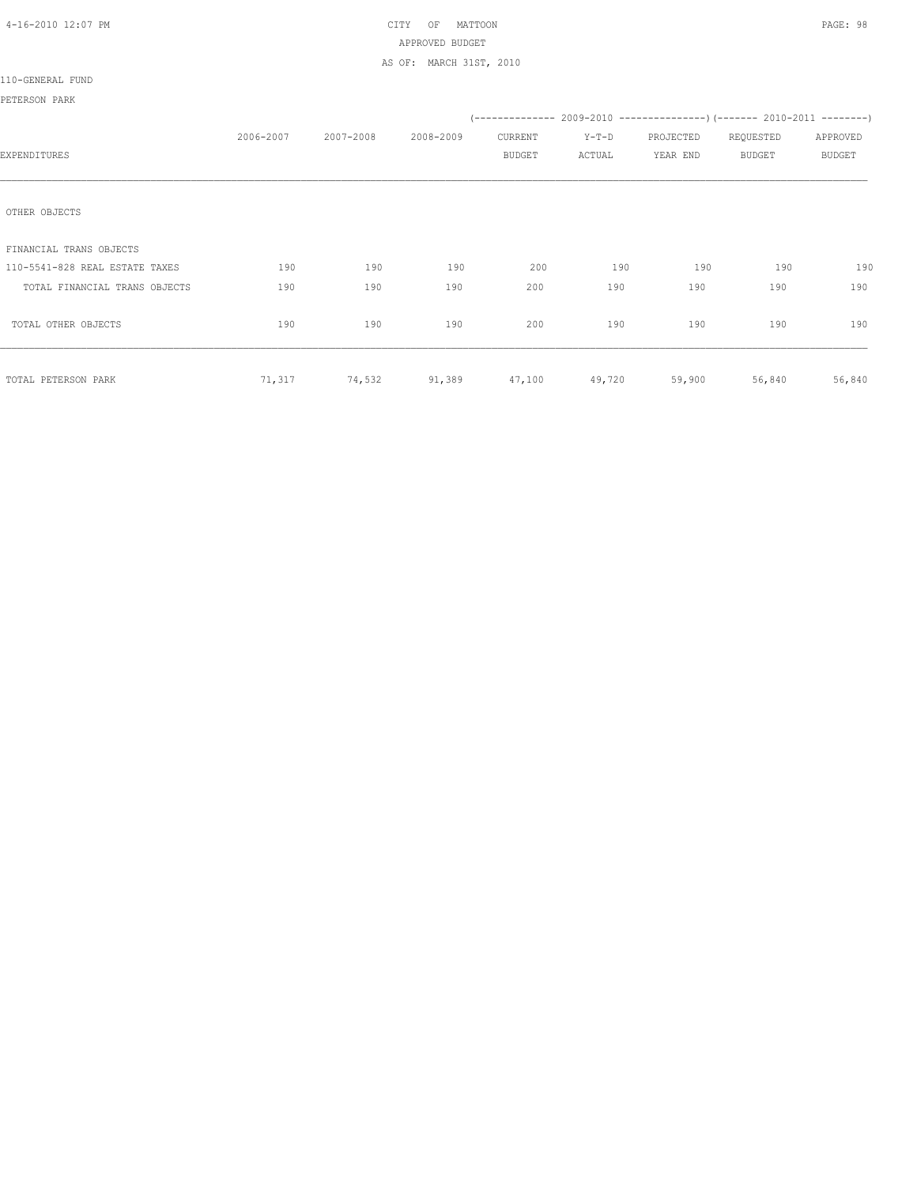# 4-16-2010 12:07 PM CITY OF MATTOON PAGE: 98 APPROVED BUDGET AS OF: MARCH 31ST, 2010

### 110-GENERAL FUND

### PETERSON PARK

| EXPENDITURES                   | 2006-2007 | 2007-2008 | 2008-2009 | CURRENT<br><b>BUDGET</b> | $Y-T-D$<br>ACTUAL | PROJECTED<br>YEAR END | (-------------- 2009-2010 ----------------) (------- 2010-2011 --------)<br>REQUESTED<br><b>BUDGET</b> | APPROVED<br><b>BUDGET</b> |
|--------------------------------|-----------|-----------|-----------|--------------------------|-------------------|-----------------------|--------------------------------------------------------------------------------------------------------|---------------------------|
| OTHER OBJECTS                  |           |           |           |                          |                   |                       |                                                                                                        |                           |
| FINANCIAL TRANS OBJECTS        |           |           |           |                          |                   |                       |                                                                                                        |                           |
| 110-5541-828 REAL ESTATE TAXES | 190       | 190       | 190       | 200                      | 190               | 190                   | 190                                                                                                    | 190                       |
| TOTAL FINANCIAL TRANS OBJECTS  | 190       | 190       | 190       | 200                      | 190               | 190                   | 190                                                                                                    | 190                       |
| TOTAL OTHER OBJECTS            | 190       | 190       | 190       | 200                      | 190               | 190                   | 190                                                                                                    | 190                       |
| TOTAL PETERSON PARK            | 71,317    | 74,532    | 91,389    | 47,100                   | 49,720            | 59,900                | 56,840                                                                                                 | 56,840                    |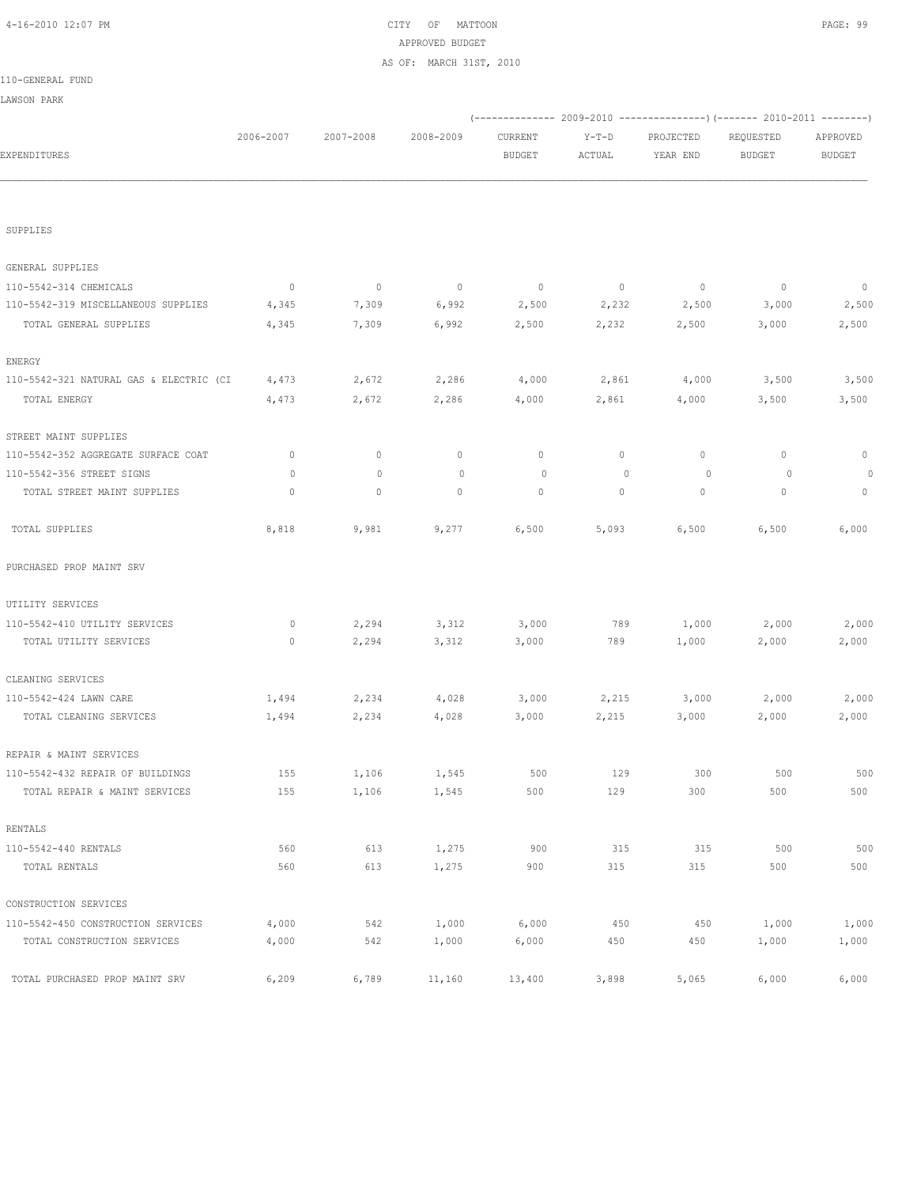# 4-16-2010 12:07 PM CITY OF MATTOON PAGE: 99 APPROVED BUDGET AS OF: MARCH 31ST, 2010

### 110-GENERAL FUND

LAWSON PARK

|                                         |                |                |                | (-------------- 2009-2010 ---------------) (------- 2010-2011 --------) |                   |                          |                            |                           |
|-----------------------------------------|----------------|----------------|----------------|-------------------------------------------------------------------------|-------------------|--------------------------|----------------------------|---------------------------|
| EXPENDITURES                            | 2006-2007      | 2007-2008      | 2008-2009      | CURRENT<br><b>BUDGET</b>                                                | $Y-T-D$<br>ACTUAL | PROJECTED<br>YEAR END    | REQUESTED<br><b>BUDGET</b> | APPROVED<br><b>BUDGET</b> |
|                                         |                |                |                |                                                                         |                   |                          |                            |                           |
| SUPPLIES                                |                |                |                |                                                                         |                   |                          |                            |                           |
| GENERAL SUPPLIES                        |                |                |                |                                                                         |                   |                          |                            |                           |
| 110-5542-314 CHEMICALS                  | $\overline{0}$ | $\overline{0}$ | $\overline{0}$ | $\overline{\phantom{0}}$                                                | $\overline{0}$    | $\overline{\phantom{0}}$ | $\overline{0}$             | $\overline{0}$            |
| 110-5542-319 MISCELLANEOUS SUPPLIES     | 4,345          | 7,309          | 6,992          | 2,500                                                                   | 2,232             | 2,500                    | 3,000                      | 2,500                     |
| TOTAL GENERAL SUPPLIES                  | 4,345          | 7,309          | 6,992          | 2,500                                                                   | 2,232             | 2,500                    | 3,000                      | 2,500                     |
| ENERGY                                  |                |                |                |                                                                         |                   |                          |                            |                           |
| 110-5542-321 NATURAL GAS & ELECTRIC (CI | 4,473          | 2,672          | 2,286          | 4,000                                                                   | 2,861             | 4,000                    | 3,500                      | 3,500                     |
| TOTAL ENERGY                            | 4,473          | 2,672          | 2,286          | 4,000                                                                   | 2,861             | 4,000                    | 3,500                      | 3,500                     |
| STREET MAINT SUPPLIES                   |                |                |                |                                                                         |                   |                          |                            |                           |
| 110-5542-352 AGGREGATE SURFACE COAT     | $\circ$        | $\circ$        | $\circ$        | $\circ$                                                                 | $\circ$           | 0                        | $\circ$                    | 0                         |
| 110-5542-356 STREET SIGNS               | 0              | $\mathbf 0$    | $\mathbf 0$    | $\circ$                                                                 | $\mathbf 0$       | $\overline{0}$           | $\circ$                    | $\circ$                   |
| TOTAL STREET MAINT SUPPLIES             | $\circ$        | 0              | $\mathbf 0$    | $\mathbf 0$                                                             | $\circ$           | $\circ$                  | $\mathbf 0$                | $\circ$                   |
| TOTAL SUPPLIES                          | 8,818          | 9,981          | 9,277          | 6,500                                                                   | 5,093             | 6,500                    | 6,500                      | 6,000                     |
| PURCHASED PROP MAINT SRV                |                |                |                |                                                                         |                   |                          |                            |                           |
| UTILITY SERVICES                        |                |                |                |                                                                         |                   |                          |                            |                           |
| 110-5542-410 UTILITY SERVICES           | 0              | 2,294          | 3,312          | 3,000                                                                   | 789               | 1,000                    | 2,000                      | 2,000                     |
| TOTAL UTILITY SERVICES                  | 0              | 2,294          | 3,312          | 3,000                                                                   | 789               | 1,000                    | 2,000                      | 2,000                     |
| CLEANING SERVICES                       |                |                |                |                                                                         |                   |                          |                            |                           |
| 110-5542-424 LAWN CARE                  | 1,494          | 2,234          | 4,028          | 3,000                                                                   | 2,215             | 3,000                    | 2,000                      | 2,000                     |
| TOTAL CLEANING SERVICES                 | 1,494          | 2,234          | 4,028          | 3,000                                                                   | 2,215             | 3,000                    | 2,000                      | 2,000                     |
| REPAIR & MAINT SERVICES                 |                |                |                |                                                                         |                   |                          |                            |                           |
| 110-5542-432 REPAIR OF BUILDINGS        | 155            | 1,106          | 1,545          | 500                                                                     | 129               | 300                      | 500                        | 500                       |
| TOTAL REPAIR & MAINT SERVICES           | 155            | 1,106          | 1,545          | 500                                                                     | 129               | 300                      | 500                        | 500                       |
| RENTALS                                 |                |                |                |                                                                         |                   |                          |                            |                           |
| 110-5542-440 RENTALS                    | 560            | 613            | 1,275          | 900                                                                     | 315               | 315                      | 500                        | 500                       |
| TOTAL RENTALS                           | 560            | 613            | 1,275          | 900                                                                     | 315               | 315                      | 500                        | 500                       |
| CONSTRUCTION SERVICES                   |                |                |                |                                                                         |                   |                          |                            |                           |
| 110-5542-450 CONSTRUCTION SERVICES      | 4,000          | 542            | 1,000          | 6,000                                                                   | 450               | 450                      | 1,000                      | 1,000                     |
| TOTAL CONSTRUCTION SERVICES             | 4,000          | 542            | 1,000          | 6,000                                                                   | 450               | 450                      | 1,000                      | 1,000                     |
| TOTAL PURCHASED PROP MAINT SRV          | 6,209          | 6,789          | 11,160         | 13,400                                                                  | 3,898             | 5,065                    | 6,000                      | 6,000                     |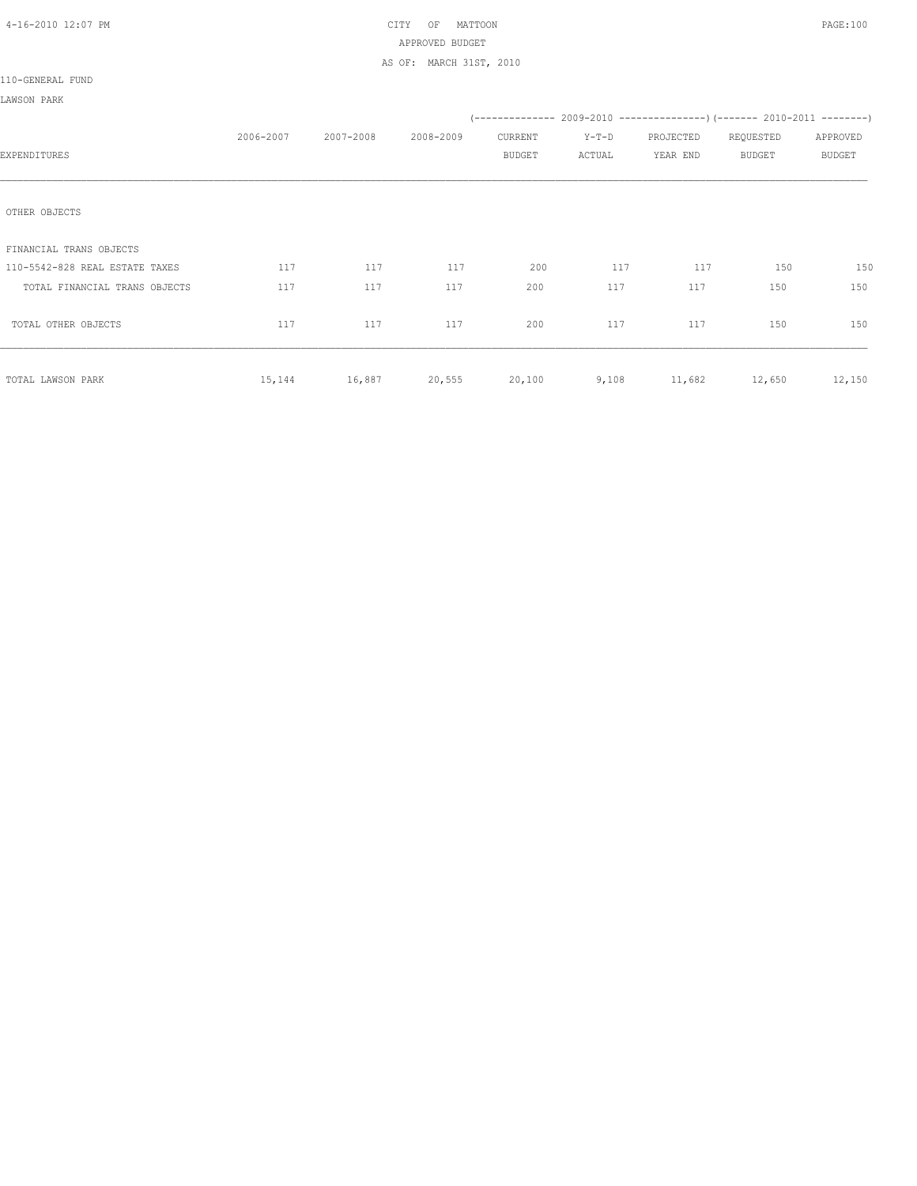# 4-16-2010 12:07 PM CITY OF MATTOON PAGE:100 APPROVED BUDGET AS OF: MARCH 31ST, 2010

|                                | 2006-2007 | 2007-2008 | 2008-2009 | CURRENT       | $Y-T-D$ | PROJECTED | $(---------- 2009-2010 ------------)$ $(---- 2010-2011 ------)$<br>REQUESTED | APPROVED      |
|--------------------------------|-----------|-----------|-----------|---------------|---------|-----------|------------------------------------------------------------------------------|---------------|
| EXPENDITURES                   |           |           |           | <b>BUDGET</b> | ACTUAL  | YEAR END  | <b>BUDGET</b>                                                                | <b>BUDGET</b> |
| OTHER OBJECTS                  |           |           |           |               |         |           |                                                                              |               |
| FINANCIAL TRANS OBJECTS        |           |           |           |               |         |           |                                                                              |               |
| 110-5542-828 REAL ESTATE TAXES | 117       | 117       | 117       | 200           | 117     | 117       | 150                                                                          | 150           |
| TOTAL FINANCIAL TRANS OBJECTS  | 117       | 117       | 117       | 200           | 117     | 117       | 150                                                                          | 150           |
| TOTAL OTHER OBJECTS            | 117       | 117       | 117       | 200           | 117     | 117       | 150                                                                          | 150           |
| TOTAL LAWSON PARK              | 15,144    | 16,887    | 20,555    | 20,100        | 9,108   | 11,682    | 12,650                                                                       | 12,150        |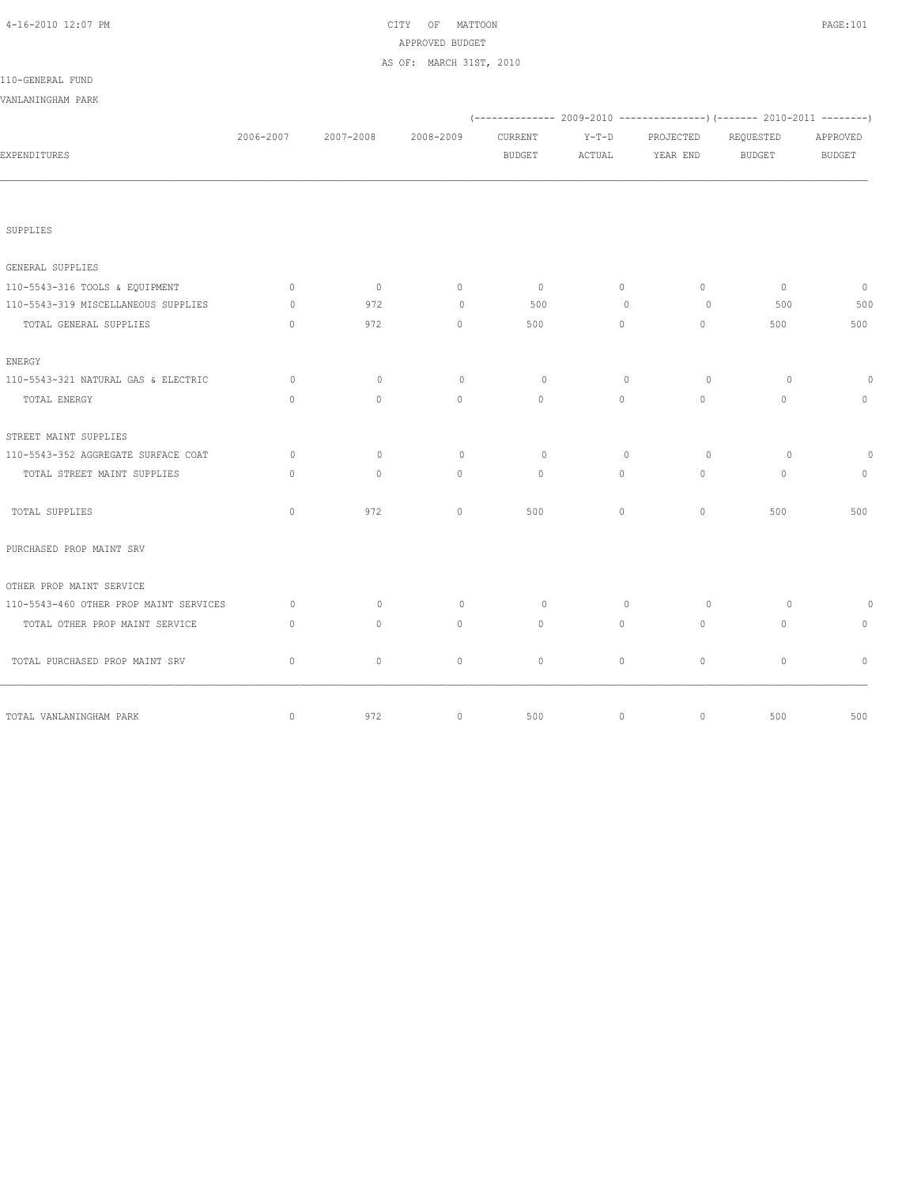# 4-16-2010 12:07 PM CITY OF MATTOON PAGE:101 APPROVED BUDGET AS OF: MARCH 31ST, 2010

| VANLANINGHAM PARK                      |              |                |              |                          |                   |                       |                                                                                                        |                    |
|----------------------------------------|--------------|----------------|--------------|--------------------------|-------------------|-----------------------|--------------------------------------------------------------------------------------------------------|--------------------|
| EXPENDITURES                           | 2006-2007    | $2007 - 2008$  | 2008-2009    | CURRENT<br><b>BUDGET</b> | $Y-T-D$<br>ACTUAL | PROJECTED<br>YEAR END | (-------------- 2009-2010 ----------------) (------- 2010-2011 --------)<br>REQUESTED<br><b>BUDGET</b> | APPROVED<br>BUDGET |
| SUPPLIES                               |              |                |              |                          |                   |                       |                                                                                                        |                    |
| GENERAL SUPPLIES                       |              |                |              |                          |                   |                       |                                                                                                        |                    |
| 110-5543-316 TOOLS & EQUIPMENT         | $\mathbf{0}$ | $\overline{0}$ | $\circ$      | $\circ$                  | $\circ$           | $\circ$               | $\circ$                                                                                                | $\mathbf{0}$       |
| 110-5543-319 MISCELLANEOUS SUPPLIES    | $\circ$      | 972            | $\circ$      | 500                      | $\circ$           | $\circ$               | 500                                                                                                    | 500                |
| TOTAL GENERAL SUPPLIES                 | $\mathbf{0}$ | 972            | $\circ$      | 500                      | $\circ$           | $\circ$               | 500                                                                                                    | 500                |
| ENERGY                                 |              |                |              |                          |                   |                       |                                                                                                        |                    |
| 110-5543-321 NATURAL GAS & ELECTRIC    | $\circ$      | $\mathbf{0}$   | $\circ$      | $\circ$                  | $\circ$           | $\mathbf{0}$          | $\mathbf{0}$                                                                                           | $\mathbf{0}$       |
| TOTAL ENERGY                           | $\mathbf{0}$ | $\circ$        | $\mathbf{0}$ | $\mathbf{0}$             | $\circ$           | $\circ$               | $\circ$                                                                                                | $\circ$            |
| STREET MAINT SUPPLIES                  |              |                |              |                          |                   |                       |                                                                                                        |                    |
| 110-5543-352 AGGREGATE SURFACE COAT    | 0            | $\circ$        | $\circ$      | $\circ$                  | $\mathbf{0}$      | $\mathbf{0}$          | $\mathbf{0}$                                                                                           | $\theta$           |
| TOTAL STREET MAINT SUPPLIES            | $\circ$      | $\circ$        | $\mathbb O$  | $\mathbf{0}$             | $\circ$           | $\circ$               | $\mathbb O$                                                                                            | $\circ$            |
| TOTAL SUPPLIES                         | $\circ$      | 972            | $\mathbf{0}$ | 500                      | $\circ$           | $\circ$               | 500                                                                                                    | 500                |
| PURCHASED PROP MAINT SRV               |              |                |              |                          |                   |                       |                                                                                                        |                    |
| OTHER PROP MAINT SERVICE               |              |                |              |                          |                   |                       |                                                                                                        |                    |
| 110-5543-460 OTHER PROP MAINT SERVICES | $\circ$      | $\mathbb O$    | $\mathbb O$  | $\circ$                  | $\mathbf{0}$      | $\mathbb O$           | $\mathbb O$                                                                                            | $\mathbf{0}$       |
| TOTAL OTHER PROP MAINT SERVICE         | $\mathbf{0}$ | $\circ$        | $\circ$      | $\mathbb O$              | $\circ$           | $\mathbf{0}$          | $\mathbb O$                                                                                            | $\circ$            |
| TOTAL PURCHASED PROP MAINT SRV         | $\circ$      | $\mathbb O$    | $\circ$      | $\circ$                  | $\circ$           | $\circ$               | $\circ$                                                                                                | $\circ$            |
| TOTAL VANLANINGHAM PARK                | $\circ$      | 972            | $\mathbf{0}$ | 500                      | $\circ$           | $\circ$               | 500                                                                                                    | 500                |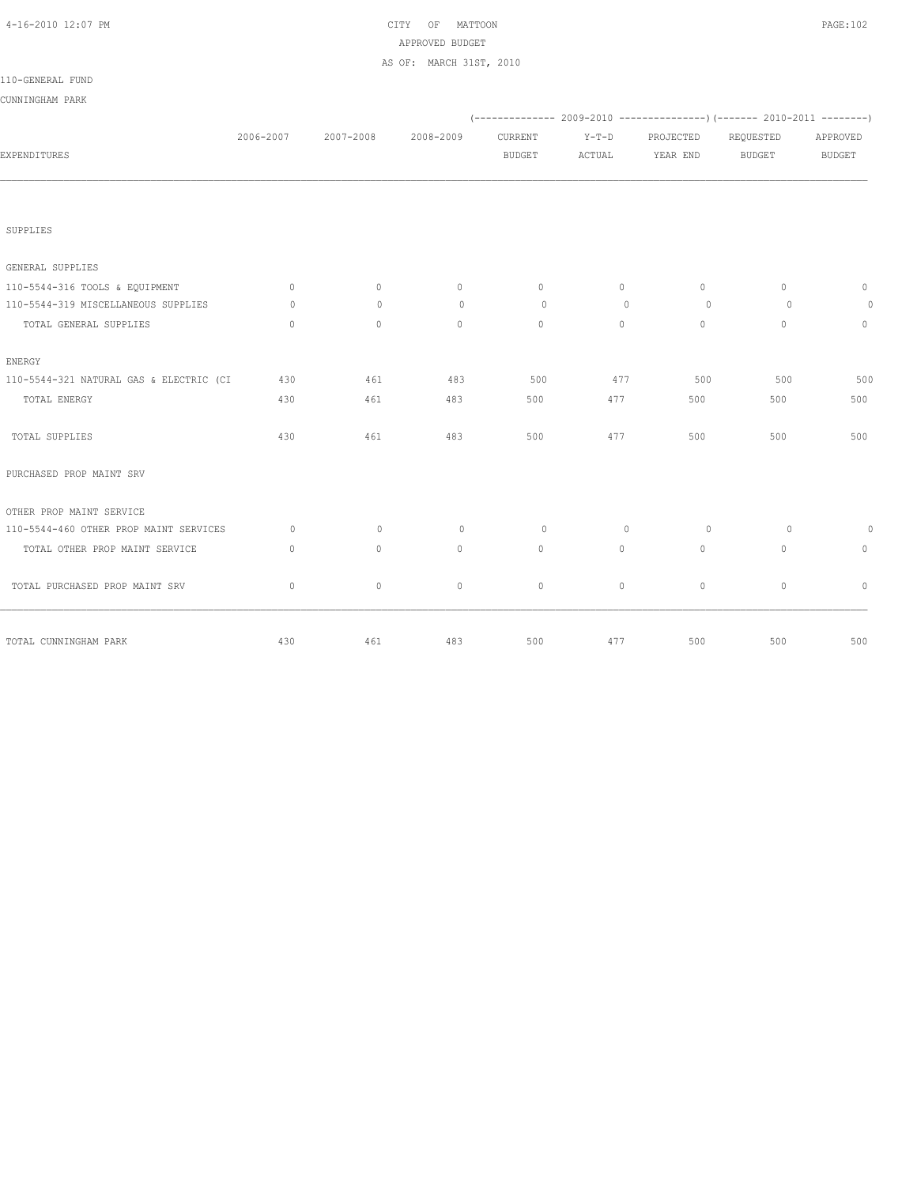# 4-16-2010 12:07 PM CITY OF MATTOON PAGE:102 APPROVED BUDGET AS OF: MARCH 31ST, 2010

# 110-GENERAL FUND CUNNINGHAM PARK

|                                         |              |           |             |               |                |              | (-------------- 2009-2010 ----------------) (------- 2010-2011 --------) |               |
|-----------------------------------------|--------------|-----------|-------------|---------------|----------------|--------------|--------------------------------------------------------------------------|---------------|
|                                         | 2006-2007    | 2007-2008 | 2008-2009   | CURRENT       | $Y-T-D$        | PROJECTED    | REQUESTED                                                                | APPROVED      |
| EXPENDITURES                            |              |           |             | <b>BUDGET</b> | ACTUAL         | YEAR END     | <b>BUDGET</b>                                                            | <b>BUDGET</b> |
|                                         |              |           |             |               |                |              |                                                                          |               |
| SUPPLIES                                |              |           |             |               |                |              |                                                                          |               |
| GENERAL SUPPLIES                        |              |           |             |               |                |              |                                                                          |               |
| 110-5544-316 TOOLS & EQUIPMENT          | $\circ$      | $\circ$   | $\circ$     | $\circ$       | $\circ$        | $\circ$      | $\mathbf{0}$                                                             | $\circ$       |
| 110-5544-319 MISCELLANEOUS SUPPLIES     | $\circ$      | $\circ$   | $\circ$     | $\circ$       | $\circ$        | $\circ$      | $\mathbf{0}$                                                             | $\mathbf 0$   |
| TOTAL GENERAL SUPPLIES                  | $\mathbf{0}$ | $\circ$   | $\circ$     | $\circ$       | $\circ$        | $\mathbf{0}$ | $\mathbf{0}$                                                             | $\mathbf{0}$  |
| ENERGY                                  |              |           |             |               |                |              |                                                                          |               |
| 110-5544-321 NATURAL GAS & ELECTRIC (CI | 430          | 461       | 483         | 500           | 477            | 500          | 500                                                                      | 500           |
| TOTAL ENERGY                            | 430          | 461       | 483         | 500           | 477            | 500          | 500                                                                      | 500           |
| TOTAL SUPPLIES                          | 430          | 461       | 483         | 500           | 477            | 500          | 500                                                                      | 500           |
| PURCHASED PROP MAINT SRV                |              |           |             |               |                |              |                                                                          |               |
| OTHER PROP MAINT SERVICE                |              |           |             |               |                |              |                                                                          |               |
| 110-5544-460 OTHER PROP MAINT SERVICES  | $\circ$      | $\circ$   | $\circ$     | $\circ$       | $\overline{0}$ | $\mathbf{0}$ | $\mathbf{0}$                                                             | $\mathbf{0}$  |
| TOTAL OTHER PROP MAINT SERVICE          | $\circ$      | $\circ$   | $\circ$     | $\circ$       | $\circ$        | $\mathbf{0}$ | $\mathbf{0}$                                                             | $\circ$       |
| TOTAL PURCHASED PROP MAINT SRV          | $\circ$      | $\circ$   | $\mathbb O$ | $\circ$       | $\circ$        | $\circ$      | $\circ$                                                                  | $\circ$       |
| TOTAL CUNNINGHAM PARK                   | 430          | 461       | 483         | 500           | 477            | 500          | 500                                                                      | 500           |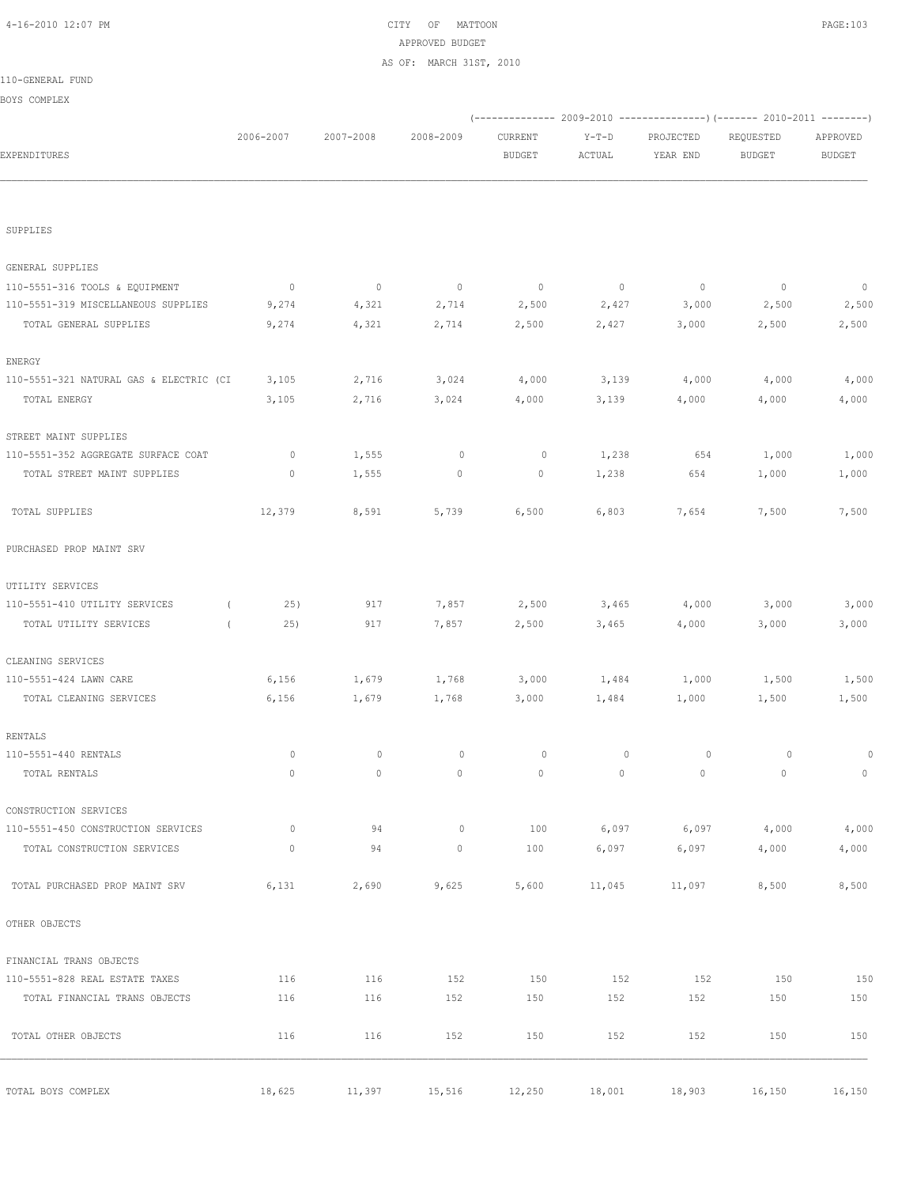# 4-16-2010 12:07 PM CITY OF MATTOON PAGE:103 APPROVED BUDGET AS OF: MARCH 31ST, 2010

#### 110-GENERAL FUND

BOYS COMPLEX

|                                         | 2006-2007       | 2007-2008      | 2008-2009      | CURRENT        | $Y-T-D$        | PROJECTED                | (-------------- 2009-2010 ---------------) (------ 2010-2011 --------)<br>REQUESTED | APPROVED                 |
|-----------------------------------------|-----------------|----------------|----------------|----------------|----------------|--------------------------|-------------------------------------------------------------------------------------|--------------------------|
| EXPENDITURES                            |                 |                |                | <b>BUDGET</b>  | ACTUAL         | YEAR END                 | <b>BUDGET</b>                                                                       | <b>BUDGET</b>            |
|                                         |                 |                |                |                |                |                          |                                                                                     |                          |
| SUPPLIES                                |                 |                |                |                |                |                          |                                                                                     |                          |
| GENERAL SUPPLIES                        |                 |                |                |                |                |                          |                                                                                     |                          |
| 110-5551-316 TOOLS & EQUIPMENT          | $\overline{0}$  | $\overline{0}$ | $\overline{0}$ | $\overline{0}$ | $\overline{0}$ | $\overline{\phantom{0}}$ | $\overline{0}$                                                                      | $\overline{\phantom{0}}$ |
| 110-5551-319 MISCELLANEOUS SUPPLIES     | 9,274           | 4,321          | 2,714          | 2,500          | 2,427          | 3,000                    | 2,500                                                                               | 2,500                    |
| TOTAL GENERAL SUPPLIES                  | 9,274           | 4,321          | 2,714          | 2,500          | 2,427          | 3,000                    | 2,500                                                                               | 2,500                    |
| ENERGY                                  |                 |                |                |                |                |                          |                                                                                     |                          |
| 110-5551-321 NATURAL GAS & ELECTRIC (CI | 3,105           | 2,716          | 3,024          | 4,000          | 3,139          | 4,000                    | 4,000                                                                               | 4,000                    |
| TOTAL ENERGY                            | 3,105           | 2,716          | 3,024          | 4,000          | 3,139          | 4,000                    | 4,000                                                                               | 4,000                    |
| STREET MAINT SUPPLIES                   |                 |                |                |                |                |                          |                                                                                     |                          |
| 110-5551-352 AGGREGATE SURFACE COAT     | 0               | 1,555          | $\circ$        | $\circ$        | 1,238          | 654                      | 1,000                                                                               | 1,000                    |
| TOTAL STREET MAINT SUPPLIES             | $\mathbf 0$     | 1,555          | $\circ$        | $\circ$        | 1,238          | 654                      | 1,000                                                                               | 1,000                    |
| TOTAL SUPPLIES                          | 12,379          | 8,591          | 5,739          | 6,500          | 6,803          | 7,654                    | 7,500                                                                               | 7,500                    |
| PURCHASED PROP MAINT SRV                |                 |                |                |                |                |                          |                                                                                     |                          |
| UTILITY SERVICES                        |                 |                |                |                |                |                          |                                                                                     |                          |
| 110-5551-410 UTILITY SERVICES           | 25)<br>$\left($ | 917            | 7,857          | 2,500          | 3,465          | 4,000                    | 3,000                                                                               | 3,000                    |
| TOTAL UTILITY SERVICES                  | 25)<br>$\left($ | 917            | 7,857          | 2,500          | 3,465          | 4,000                    | 3,000                                                                               | 3,000                    |
| CLEANING SERVICES                       |                 |                |                |                |                |                          |                                                                                     |                          |
| 110-5551-424 LAWN CARE                  | 6,156           | 1,679          | 1,768          | 3,000          | 1,484          | 1,000                    | 1,500                                                                               | 1,500                    |
| TOTAL CLEANING SERVICES                 | 6,156           | 1,679          | 1,768          | 3,000          | 1,484          | 1,000                    | 1,500                                                                               | 1,500                    |
| RENTALS                                 |                 |                |                |                |                |                          |                                                                                     |                          |
| 110-5551-440 RENTALS                    | 0               | $\circ$        | $\circ$        | 0              | $\mathbf 0$    | $\mathbf 0$              | $\mathbf 0$                                                                         | $\mathbb O$              |
| TOTAL RENTALS                           | $\circ$         | $\circ$        | $\mathbf 0$    | $\circ$        | $\circ$        | 0                        | $\mathbf 0$                                                                         | 0                        |
| CONSTRUCTION SERVICES                   |                 |                |                |                |                |                          |                                                                                     |                          |
| 110-5551-450 CONSTRUCTION SERVICES      | $\circ$         | 94             | $\mathbb O$    | 100            | 6,097          | 6,097                    | 4,000                                                                               | 4,000                    |
| TOTAL CONSTRUCTION SERVICES             | $\mathbb O$     | 94             | $\mathbb O$    | 100            | 6,097          | 6,097                    | 4,000                                                                               | 4,000                    |
| TOTAL PURCHASED PROP MAINT SRV          | 6,131           | 2,690          | 9,625          | 5,600          | 11,045         | 11,097                   | 8,500                                                                               | 8,500                    |
| OTHER OBJECTS                           |                 |                |                |                |                |                          |                                                                                     |                          |
| FINANCIAL TRANS OBJECTS                 |                 |                |                |                |                |                          |                                                                                     |                          |
| 110-5551-828 REAL ESTATE TAXES          | 116             | 116            | 152            | 150            | 152            | 152                      | 150                                                                                 | 150                      |
| TOTAL FINANCIAL TRANS OBJECTS           | 116             | 116            | 152            | 150            | 152            | 152                      | 150                                                                                 | 150                      |
| TOTAL OTHER OBJECTS                     | 116             | 116            | 152            | 150            | 152            | 152                      | 150                                                                                 | 150                      |
| TOTAL BOYS COMPLEX                      | 18,625          | 11,397         | 15,516         | 12,250         | 18,001         | 18,903                   | 16, 150                                                                             | 16, 150                  |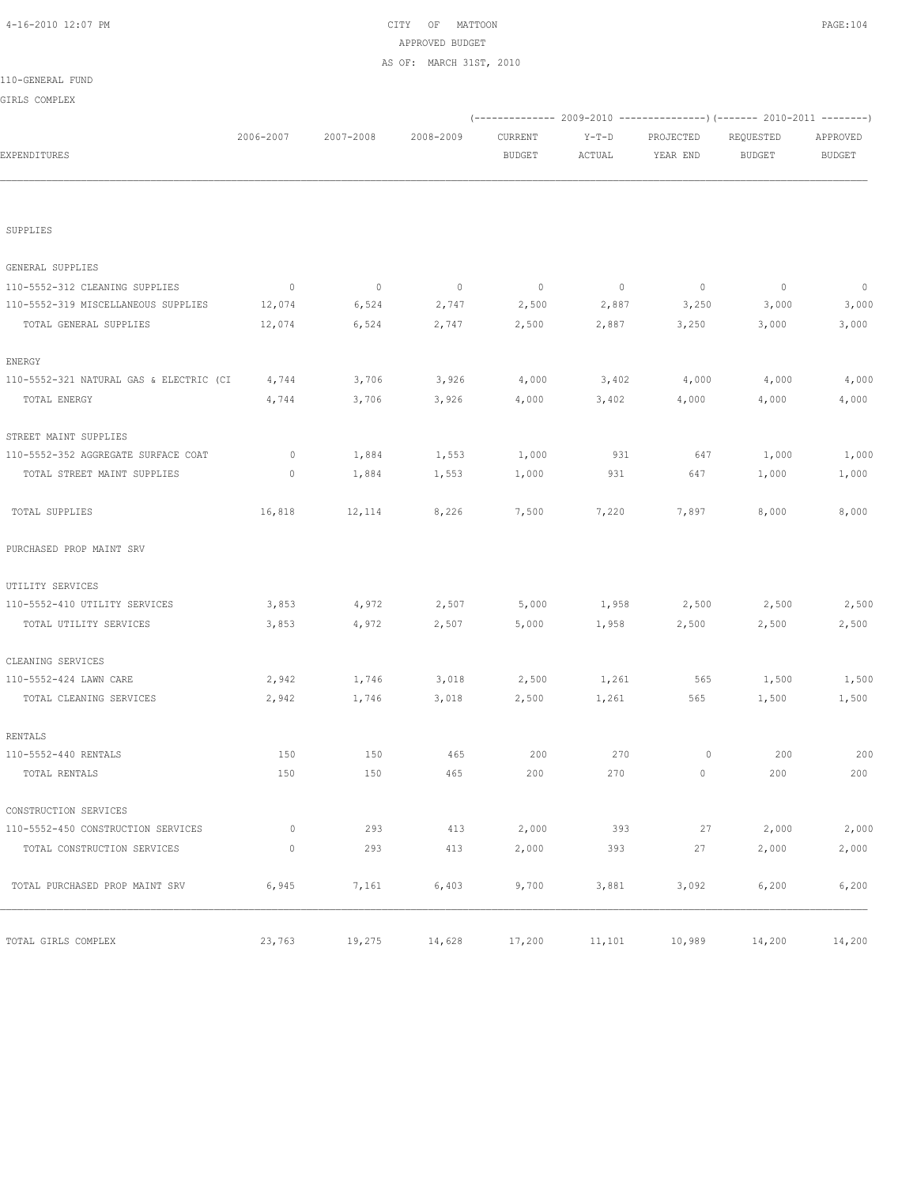# 4-16-2010 12:07 PM CITY OF MATTOON PAGE:104 APPROVED BUDGET AS OF: MARCH 31ST, 2010

#### 110-GENERAL FUND

GIRLS COMPLEX

|                                         |                |                |                          |                          |                   |                       | (------------- 2009-2010 ---------------) (------- 2010-2011 --------) |                           |  |
|-----------------------------------------|----------------|----------------|--------------------------|--------------------------|-------------------|-----------------------|------------------------------------------------------------------------|---------------------------|--|
| EXPENDITURES                            | 2006-2007      | 2007-2008      | 2008-2009                | CURRENT<br><b>BUDGET</b> | $Y-T-D$<br>ACTUAL | PROJECTED<br>YEAR END | REQUESTED<br><b>BUDGET</b>                                             | APPROVED<br><b>BUDGET</b> |  |
|                                         |                |                |                          |                          |                   |                       |                                                                        |                           |  |
| SUPPLIES                                |                |                |                          |                          |                   |                       |                                                                        |                           |  |
| GENERAL SUPPLIES                        |                |                |                          |                          |                   |                       |                                                                        |                           |  |
| 110-5552-312 CLEANING SUPPLIES          | $\overline{0}$ | $\overline{0}$ | $\overline{\phantom{0}}$ | $\overline{0}$           | $\overline{0}$    | $\overline{0}$        | $\overline{0}$                                                         | $\overline{\phantom{0}}$  |  |
| 110-5552-319 MISCELLANEOUS SUPPLIES     | 12,074         | 6,524          | 2,747                    | 2,500                    | 2,887             | 3,250                 | 3,000                                                                  | 3,000                     |  |
| TOTAL GENERAL SUPPLIES                  | 12,074         | 6,524          | 2,747                    | 2,500                    | 2,887             | 3,250                 | 3,000                                                                  | 3,000                     |  |
| ENERGY                                  |                |                |                          |                          |                   |                       |                                                                        |                           |  |
| 110-5552-321 NATURAL GAS & ELECTRIC (CI | 4,744          | 3,706          | 3,926                    | 4,000                    | 3,402             | 4,000                 | 4,000                                                                  | 4,000                     |  |
| TOTAL ENERGY                            | 4,744          | 3,706          | 3,926                    | 4,000                    | 3,402             | 4,000                 | 4,000                                                                  | 4,000                     |  |
| STREET MAINT SUPPLIES                   |                |                |                          |                          |                   |                       |                                                                        |                           |  |
| 110-5552-352 AGGREGATE SURFACE COAT     | 0              | 1,884          | 1,553                    | 1,000                    | 931               | 647                   | 1,000                                                                  | 1,000                     |  |
| TOTAL STREET MAINT SUPPLIES             | $\mathbf 0$    | 1,884          | 1,553                    | 1,000                    | 931               | 647                   | 1,000                                                                  | 1,000                     |  |
| TOTAL SUPPLIES                          | 16,818         | 12,114         | 8,226                    | 7,500                    | 7,220             | 7,897                 | 8,000                                                                  | 8,000                     |  |
| PURCHASED PROP MAINT SRV                |                |                |                          |                          |                   |                       |                                                                        |                           |  |
| UTILITY SERVICES                        |                |                |                          |                          |                   |                       |                                                                        |                           |  |
| 110-5552-410 UTILITY SERVICES           | 3,853          | 4,972          | 2,507                    | 5,000                    | 1,958             | 2,500                 | 2,500                                                                  | 2,500                     |  |
| TOTAL UTILITY SERVICES                  | 3,853          | 4,972          | 2,507                    | 5,000                    | 1,958             | 2,500                 | 2,500                                                                  | 2,500                     |  |
| CLEANING SERVICES                       |                |                |                          |                          |                   |                       |                                                                        |                           |  |
| 110-5552-424 LAWN CARE                  | 2,942          | 1,746          | 3,018                    | 2,500                    | 1,261             | 565                   | 1,500                                                                  | 1,500                     |  |
| TOTAL CLEANING SERVICES                 | 2,942          | 1,746          | 3,018                    | 2,500                    | 1,261             | 565                   | 1,500                                                                  | 1,500                     |  |
| RENTALS                                 |                |                |                          |                          |                   |                       |                                                                        |                           |  |
| 110-5552-440 RENTALS                    | 150            | 150            | 465                      | 200                      | 270               | $\mathbf 0$           | 200                                                                    | 200                       |  |
| TOTAL RENTALS                           | 150            | 150            | 465                      | 200                      | 270               | 0                     | 200                                                                    | 200                       |  |
| CONSTRUCTION SERVICES                   |                |                |                          |                          |                   |                       |                                                                        |                           |  |
| 110-5552-450 CONSTRUCTION SERVICES      | $\circ$        | 293            | 413                      | 2,000                    | 393               | 27                    | 2,000                                                                  | 2,000                     |  |
| TOTAL CONSTRUCTION SERVICES             | $\mathbb O$    | 293            | 413                      | 2,000                    | 393               | 27                    | 2,000                                                                  | 2,000                     |  |
| TOTAL PURCHASED PROP MAINT SRV          | 6,945          | 7,161          | 6,403                    | 9,700                    | 3,881             | 3,092                 | 6,200                                                                  | 6,200                     |  |
| TOTAL GIRLS COMPLEX                     | 23,763         | 19,275         | 14,628                   | 17,200                   | 11,101            | 10,989                | 14,200                                                                 | 14,200                    |  |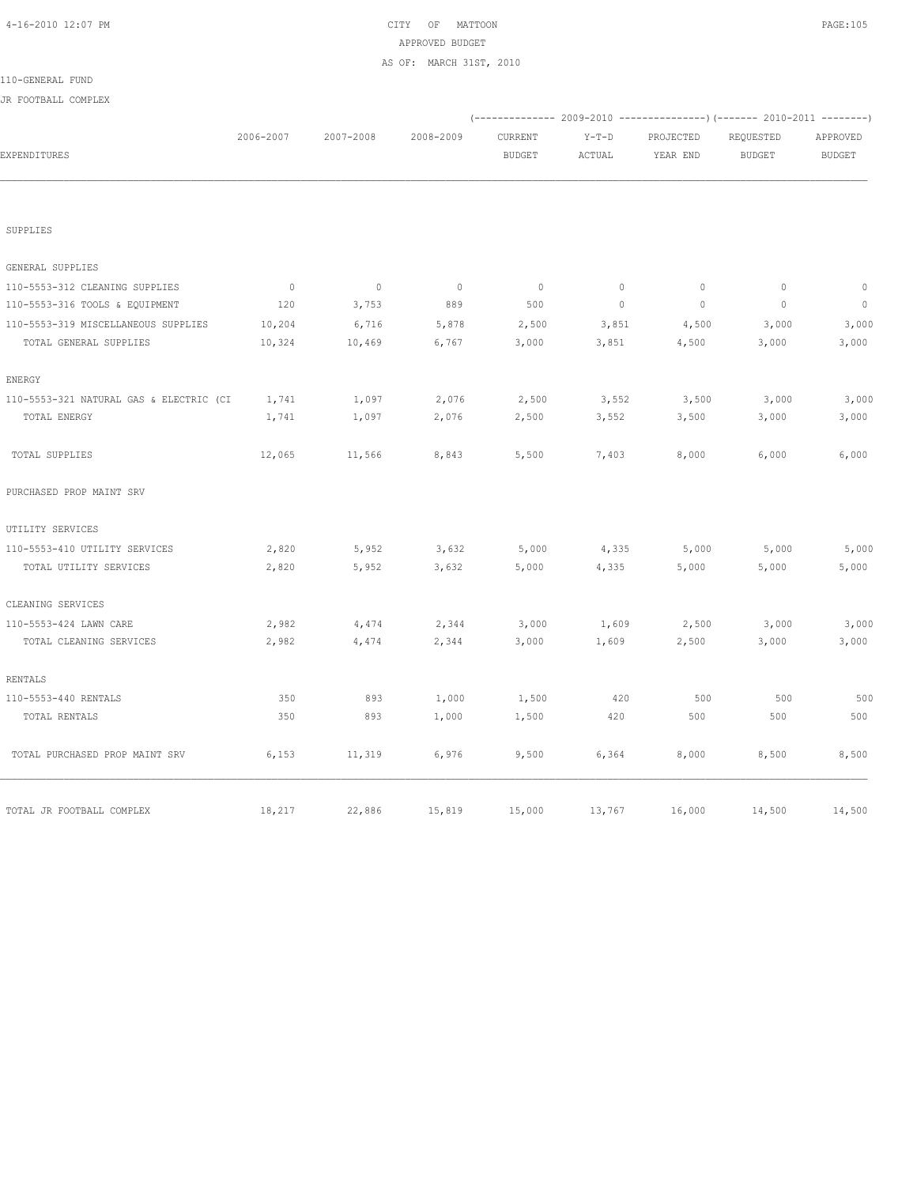# 4-16-2010 12:07 PM CITY OF MATTOON PAGE:105 APPROVED BUDGET AS OF: MARCH 31ST, 2010

# 110-GENERAL FUND JR FOOTBALL COMPLEX

|                                         |                |                |                          |                |                |                | (-------------- 2009-2010 ----------------) (------- 2010-2011 --------) |                |  |
|-----------------------------------------|----------------|----------------|--------------------------|----------------|----------------|----------------|--------------------------------------------------------------------------|----------------|--|
|                                         | 2006-2007      | 2007-2008      | 2008-2009                | CURRENT        | $Y-T-D$        | PROJECTED      | REQUESTED                                                                | APPROVED       |  |
| EXPENDITURES                            |                |                |                          | <b>BUDGET</b>  | ACTUAL         | YEAR END       | <b>BUDGET</b>                                                            | <b>BUDGET</b>  |  |
|                                         |                |                |                          |                |                |                |                                                                          |                |  |
| SUPPLIES                                |                |                |                          |                |                |                |                                                                          |                |  |
| GENERAL SUPPLIES                        |                |                |                          |                |                |                |                                                                          |                |  |
| 110-5553-312 CLEANING SUPPLIES          | $\overline{0}$ | $\overline{0}$ | $\overline{\phantom{0}}$ | $\overline{0}$ | $\overline{0}$ | $\circ$        | $\sim$ 0                                                                 | $\circ$        |  |
| 110-5553-316 TOOLS & EQUIPMENT          | 120            | 3,753          | 889                      | 500            | $\circ$        | $\overline{0}$ | $\overline{\phantom{0}}$                                                 | $\overline{0}$ |  |
| 110-5553-319 MISCELLANEOUS SUPPLIES     | 10,204         | 6,716          | 5,878                    | 2,500          | 3,851          | 4,500          | 3,000                                                                    | 3,000          |  |
| TOTAL GENERAL SUPPLIES                  | 10,324         | 10,469         | 6,767                    | 3,000          | 3,851          | 4,500          | 3,000                                                                    | 3,000          |  |
| ENERGY                                  |                |                |                          |                |                |                |                                                                          |                |  |
| 110-5553-321 NATURAL GAS & ELECTRIC (CI | 1,741          | 1,097          | 2,076                    | 2,500          | 3,552          | 3,500          | 3,000                                                                    | 3,000          |  |
| TOTAL ENERGY                            | 1,741          | 1,097          | 2,076                    | 2,500          | 3,552          | 3,500          | 3,000                                                                    | 3,000          |  |
| TOTAL SUPPLIES                          | 12,065         | 11,566         | 8,843                    | 5,500          | 7,403          | 8,000          | 6,000                                                                    | 6,000          |  |
| PURCHASED PROP MAINT SRV                |                |                |                          |                |                |                |                                                                          |                |  |
| UTILITY SERVICES                        |                |                |                          |                |                |                |                                                                          |                |  |
| 110-5553-410 UTILITY SERVICES           | 2,820          | 5,952          | 3,632                    | 5,000          | 4,335          | 5,000          | 5,000                                                                    | 5,000          |  |
| TOTAL UTILITY SERVICES                  | 2,820          | 5,952          | 3,632                    | 5,000          | 4,335          | 5,000          | 5,000                                                                    | 5,000          |  |
| CLEANING SERVICES                       |                |                |                          |                |                |                |                                                                          |                |  |
| 110-5553-424 LAWN CARE                  | 2,982          | 4,474          | 2,344                    | 3,000          | 1,609          | 2,500          | 3,000                                                                    | 3,000          |  |
| TOTAL CLEANING SERVICES                 | 2,982          | 4,474          | 2,344                    | 3,000          | 1,609          | 2,500          | 3,000                                                                    | 3,000          |  |
| RENTALS                                 |                |                |                          |                |                |                |                                                                          |                |  |
| 110-5553-440 RENTALS                    | 350            | 893            | 1,000                    | 1,500          | 420            | 500            | 500                                                                      | 500            |  |
| TOTAL RENTALS                           | 350            | 893            | 1,000                    | 1,500          | 420            | 500            | 500                                                                      | 500            |  |
| TOTAL PURCHASED PROP MAINT SRV          | 6,153          | 11,319         | 6,976                    | 9,500          | 6,364          | 8,000          | 8,500                                                                    | 8,500          |  |
| TOTAL JR FOOTBALL COMPLEX               | 18,217         | 22,886         | 15,819                   | 15,000         | 13,767         | 16,000         | 14,500                                                                   | 14,500         |  |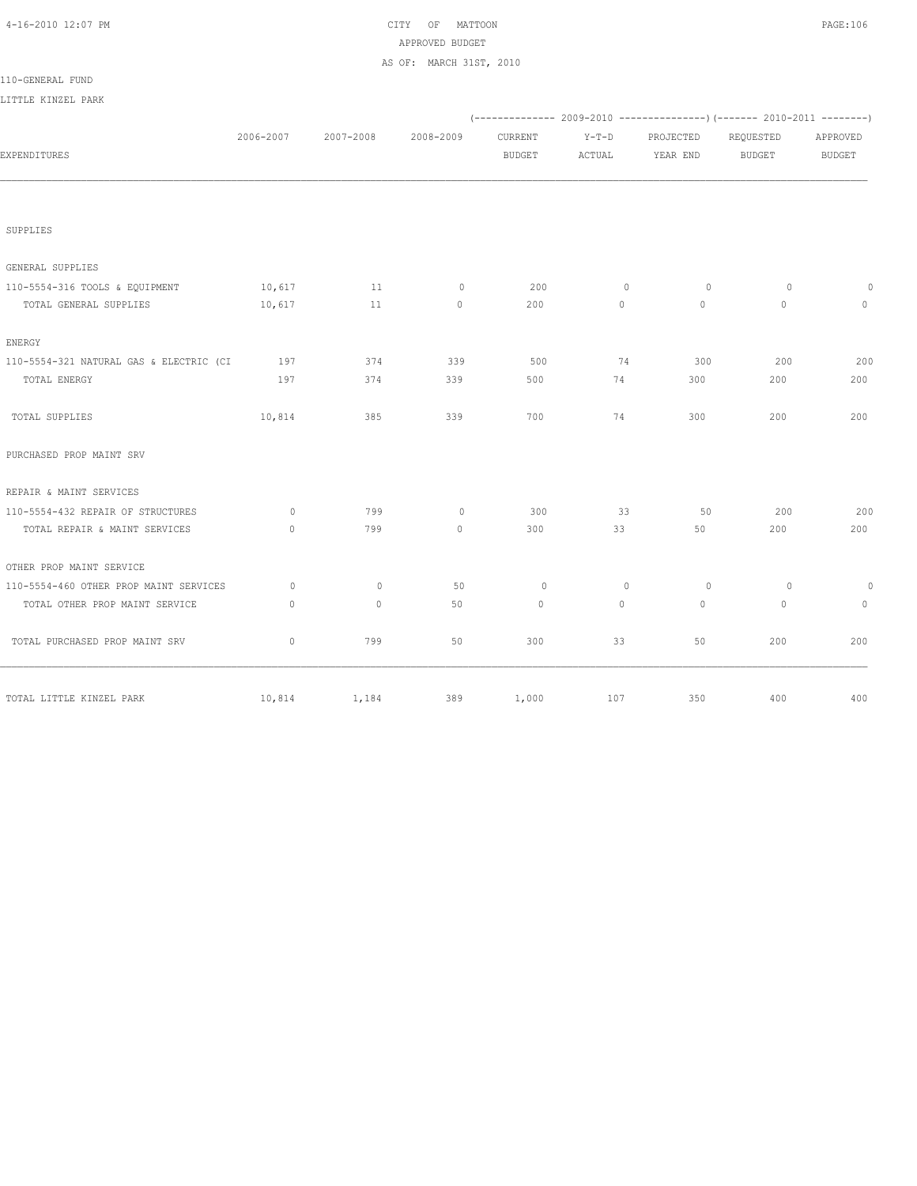# 4-16-2010 12:07 PM CITY OF MATTOON PAGE:106 APPROVED BUDGET AS OF: MARCH 31ST, 2010

| LITTLE KINZEL PARK |  |  |  |  |
|--------------------|--|--|--|--|
|--------------------|--|--|--|--|

|                                         |              |              |             |         |              |              | (-------------- 2009-2010 -----------------) (------- 2010-2011 --------) |               |
|-----------------------------------------|--------------|--------------|-------------|---------|--------------|--------------|---------------------------------------------------------------------------|---------------|
|                                         | 2006-2007    | 2007-2008    | 2008-2009   | CURRENT | $Y-T-D$      | PROJECTED    | REQUESTED                                                                 | APPROVED      |
| EXPENDITURES                            |              |              |             | BUDGET  | ACTUAL       | YEAR END     | BUDGET                                                                    | <b>BUDGET</b> |
|                                         |              |              |             |         |              |              |                                                                           |               |
| SUPPLIES                                |              |              |             |         |              |              |                                                                           |               |
| GENERAL SUPPLIES                        |              |              |             |         |              |              |                                                                           |               |
| 110-5554-316 TOOLS & EQUIPMENT          | 10,617       | 11           | $\circ$     | 200     | $\circ$      | $\mathbf{0}$ | $\mathbf{0}$                                                              | $\mathbf{0}$  |
| TOTAL GENERAL SUPPLIES                  | 10,617       | 11           | $\circ$     | 200     | $\circ$      | $\circ$      | $\circ$                                                                   | $\circ$       |
| ENERGY                                  |              |              |             |         |              |              |                                                                           |               |
| 110-5554-321 NATURAL GAS & ELECTRIC (CI | 197          | 374          | 339         | 500     | 74           | 300          | 200                                                                       | 200           |
| TOTAL ENERGY                            | 197          | 374          | 339         | 500     | 74           | 300          | 200                                                                       | 200           |
| TOTAL SUPPLIES                          | 10,814       | 385          | 339         | 700     | 74           | 300          | 200                                                                       | 200           |
| PURCHASED PROP MAINT SRV                |              |              |             |         |              |              |                                                                           |               |
| REPAIR & MAINT SERVICES                 |              |              |             |         |              |              |                                                                           |               |
| 110-5554-432 REPAIR OF STRUCTURES       | $\Omega$     | 799          | $\circ$     | 300     | 33           | 50           | 200                                                                       | 200           |
| TOTAL REPAIR & MAINT SERVICES           | $\mathbf{0}$ | 799          | $\mathbf 0$ | 300     | 33           | 50           | 200                                                                       | 200           |
| OTHER PROP MAINT SERVICE                |              |              |             |         |              |              |                                                                           |               |
| 110-5554-460 OTHER PROP MAINT SERVICES  | $\circ$      | $\circ$      | 50          | $\circ$ | $\mathbf{0}$ | $\mathbf{0}$ | $\circ$                                                                   | $\Omega$      |
| TOTAL OTHER PROP MAINT SERVICE          | $\circ$      | $\mathbf{0}$ | 50          | $\circ$ | $\circ$      | $\circ$      | $\mathbf{0}$                                                              | $\mathbf{0}$  |
| TOTAL PURCHASED PROP MAINT SRV          | $\mathbf 0$  | 799          | 50          | 300     | 33           | 50           | 200                                                                       | 200           |
| TOTAL LITTLE KINZEL PARK                | 10,814       | 1,184        | 389         | 1,000   | 107          | 350          | 400                                                                       | 400           |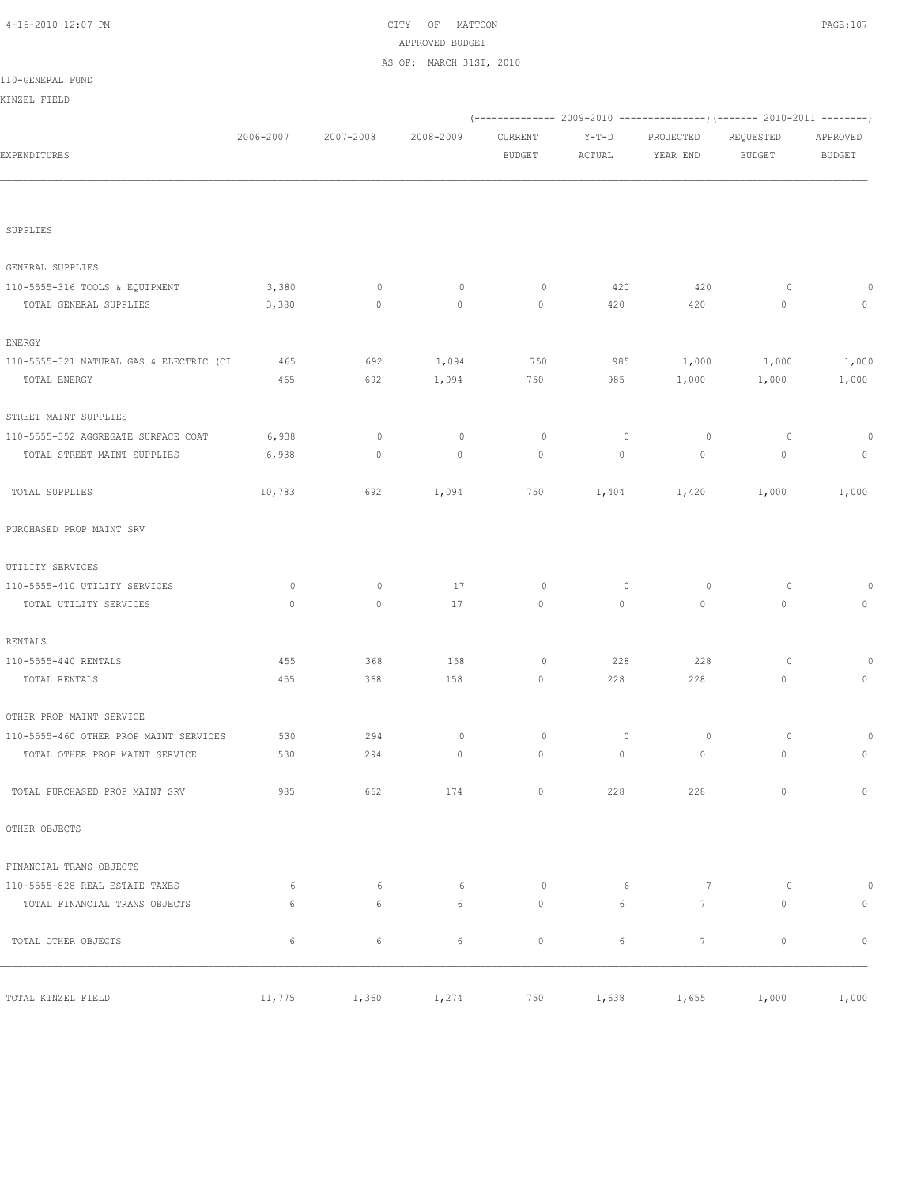# 4-16-2010 12:07 PM CITY OF MATTOON PAGE:107 APPROVED BUDGET AS OF: MARCH 31ST, 2010

### 110-GENERAL FUND

### KINZEL FIELD

|                                         |           |           |             | (-------------- 2009-2010 ---------------) (------- 2010-2011 --------) |             |                 |               |               |
|-----------------------------------------|-----------|-----------|-------------|-------------------------------------------------------------------------|-------------|-----------------|---------------|---------------|
|                                         | 2006-2007 | 2007-2008 | 2008-2009   | CURRENT                                                                 | $Y-T-D$     | PROJECTED       | REQUESTED     | APPROVED      |
| EXPENDITURES                            |           |           |             | <b>BUDGET</b>                                                           | ACTUAL      | YEAR END        | <b>BUDGET</b> | <b>BUDGET</b> |
|                                         |           |           |             |                                                                         |             |                 |               |               |
| SUPPLIES                                |           |           |             |                                                                         |             |                 |               |               |
| GENERAL SUPPLIES                        |           |           |             |                                                                         |             |                 |               |               |
| 110-5555-316 TOOLS & EQUIPMENT          | 3,380     | $\circ$   | $\circ$     | 0                                                                       | 420         | 420             | $\mathbf 0$   | $\mathbf 0$   |
| TOTAL GENERAL SUPPLIES                  | 3,380     | $\circ$   | $\circ$     | $\circ$                                                                 | 420         | 420             | $\circ$       | $\circ$       |
| ENERGY                                  |           |           |             |                                                                         |             |                 |               |               |
| 110-5555-321 NATURAL GAS & ELECTRIC (CI | 465       | 692       | 1,094       | 750                                                                     | 985         | 1,000           | 1,000         | 1,000         |
| TOTAL ENERGY                            | 465       | 692       | 1,094       | 750                                                                     | 985         | 1,000           | 1,000         | 1,000         |
| STREET MAINT SUPPLIES                   |           |           |             |                                                                         |             |                 |               |               |
| 110-5555-352 AGGREGATE SURFACE COAT     | 6,938     | $\circ$   | $\mathbf 0$ | 0                                                                       | $\mathbf 0$ | $\mathbf 0$     | $\mathbf 0$   | $\mathbf 0$   |
| TOTAL STREET MAINT SUPPLIES             | 6,938     | $\circ$   | $\circ$     | $\circ$                                                                 | $\circ$     | $\circ$         | $\circ$       | $\mathbb O$   |
| TOTAL SUPPLIES                          | 10,783    | 692       | 1,094       | 750                                                                     | 1,404       | 1,420           | 1,000         | 1,000         |
| PURCHASED PROP MAINT SRV                |           |           |             |                                                                         |             |                 |               |               |
| UTILITY SERVICES                        |           |           |             |                                                                         |             |                 |               |               |
| 110-5555-410 UTILITY SERVICES           | 0         | $\circ$   | 17          | 0                                                                       | $\circ$     | $\mathbf 0$     | $\mathbb O$   |               |
| TOTAL UTILITY SERVICES                  | $\circ$   | $\circ$   | 17          | $\circ$                                                                 | $\circ$     | $\mathbb O$     | $\circ$       | 0             |
| RENTALS                                 |           |           |             |                                                                         |             |                 |               |               |
| 110-5555-440 RENTALS                    | 455       | 368       | 158         | $\circ$                                                                 | 228         | 228             | $\mathbb O$   | 0             |
| TOTAL RENTALS                           | 455       | 368       | 158         | $\circ$                                                                 | 228         | 228             | $\circ$       | 0             |
| OTHER PROP MAINT SERVICE                |           |           |             |                                                                         |             |                 |               |               |
| 110-5555-460 OTHER PROP MAINT SERVICES  | 530       | 294       | $\circ$     | 0                                                                       | $\mathbf 0$ | $\mathbf 0$     | $\mathbb O$   | 0             |
| TOTAL OTHER PROP MAINT SERVICE          | 530       | 294       | $\mathbb O$ | $\circ$                                                                 | $\circ$     | $\mathbb O$     | $\circ$       | 0             |
| TOTAL PURCHASED PROP MAINT SRV          | 985       | 662       | 174         | $\mathbb O$                                                             | 228         | 228             | $\mathbb O$   | $\mathbb O$   |
| OTHER OBJECTS                           |           |           |             |                                                                         |             |                 |               |               |
| FINANCIAL TRANS OBJECTS                 |           |           |             |                                                                         |             |                 |               |               |
| 110-5555-828 REAL ESTATE TAXES          | 6         | 6         | 6           | $\circ$                                                                 | 6           | $7\phantom{.0}$ | $\circ$       | $\mathbb O$   |
| TOTAL FINANCIAL TRANS OBJECTS           | 6         | 6         | 6           | $\mathbb O$                                                             | 6           | $7\phantom{.0}$ | $\circ$       | $\mathbb O$   |
| TOTAL OTHER OBJECTS                     | 6         | 6         | 6           | $\mathbb O$                                                             | 6           | $7\phantom{.0}$ | $\circ$       | $\mathbb O$   |
| TOTAL KINZEL FIELD                      | 11,775    | 1,360     | 1,274       | 750                                                                     | 1,638       | 1,655           | 1,000         | 1,000         |
|                                         |           |           |             |                                                                         |             |                 |               |               |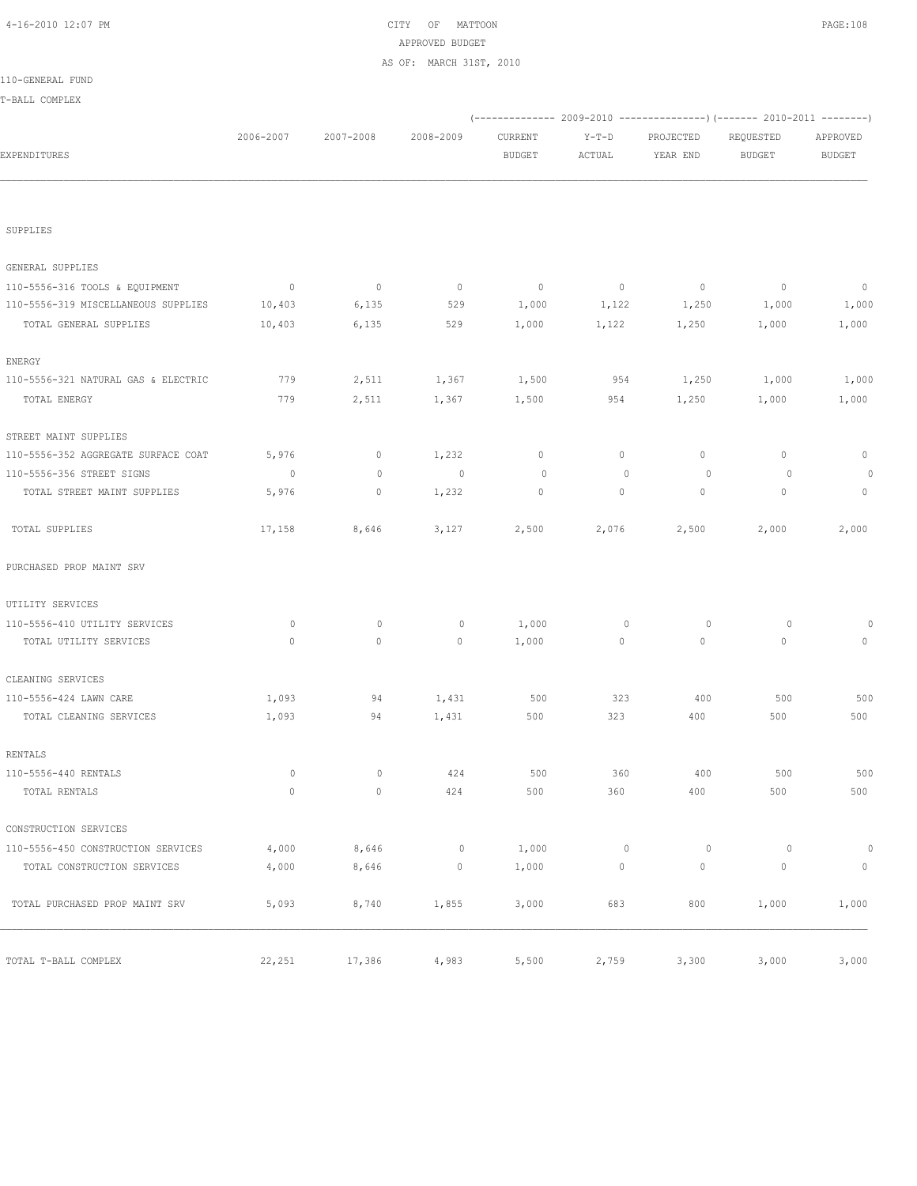# 4-16-2010 12:07 PM CITY OF MATTOON PAGE:108 APPROVED BUDGET AS OF: MARCH 31ST, 2010

### 110-GENERAL FUND T-BALL COMPLEX

|                                     |                |                          |                |                          |                   |                          | (------------- 2009-2010 ---------------) (------- 2010-2011 --------) |                           |
|-------------------------------------|----------------|--------------------------|----------------|--------------------------|-------------------|--------------------------|------------------------------------------------------------------------|---------------------------|
| EXPENDITURES                        | 2006-2007      | 2007-2008                | 2008-2009      | CURRENT<br><b>BUDGET</b> | $Y-T-D$<br>ACTUAL | PROJECTED<br>YEAR END    | REQUESTED<br><b>BUDGET</b>                                             | APPROVED<br><b>BUDGET</b> |
|                                     |                |                          |                |                          |                   |                          |                                                                        |                           |
| SUPPLIES                            |                |                          |                |                          |                   |                          |                                                                        |                           |
| GENERAL SUPPLIES                    |                |                          |                |                          |                   |                          |                                                                        |                           |
| 110-5556-316 TOOLS & EQUIPMENT      | $\overline{0}$ | $\overline{\phantom{0}}$ | $\overline{0}$ | $\overline{0}$           | $\overline{0}$    | $\overline{\phantom{0}}$ | $\overline{0}$                                                         | $\overline{\phantom{0}}$  |
| 110-5556-319 MISCELLANEOUS SUPPLIES | 10,403         | 6,135                    | 529            | 1,000                    | 1,122             | 1,250                    | 1,000                                                                  | 1,000                     |
| TOTAL GENERAL SUPPLIES              | 10,403         | 6,135                    | 529            | 1,000                    | 1,122             | 1,250                    | 1,000                                                                  | 1,000                     |
| ENERGY                              |                |                          |                |                          |                   |                          |                                                                        |                           |
| 110-5556-321 NATURAL GAS & ELECTRIC | 779            | 2,511                    | 1,367          | 1,500                    | 954               | 1,250                    | 1,000                                                                  | 1,000                     |
| TOTAL ENERGY                        | 779            | 2,511                    | 1,367          | 1,500                    | 954               | 1,250                    | 1,000                                                                  | 1,000                     |
| STREET MAINT SUPPLIES               |                |                          |                |                          |                   |                          |                                                                        |                           |
| 110-5556-352 AGGREGATE SURFACE COAT | 5,976          | $\mathbb O$              | 1,232          | $\mathbb O$              | $\circ$           | $\circ$                  | $\mathbf{0}$                                                           | $\circ$                   |
| 110-5556-356 STREET SIGNS           | $\overline{0}$ | $\circ$                  | $\overline{0}$ | $\circ$                  | $\overline{0}$    | $\overline{0}$           | $\overline{0}$                                                         | $\circ$                   |
| TOTAL STREET MAINT SUPPLIES         | 5,976          | $\circ$                  | 1,232          | $\circ$                  | $\circ$           | $\circ$                  | $\circ$                                                                | 0                         |
| TOTAL SUPPLIES                      | 17,158         | 8,646                    | 3,127          | 2,500                    | 2,076             | 2,500                    | 2,000                                                                  | 2,000                     |
| PURCHASED PROP MAINT SRV            |                |                          |                |                          |                   |                          |                                                                        |                           |
| UTILITY SERVICES                    |                |                          |                |                          |                   |                          |                                                                        |                           |
| 110-5556-410 UTILITY SERVICES       | 0              | $\mathbb O$              | 0              | 1,000                    | $\circ$           | $\mathbf 0$              | $\mathbf 0$                                                            | 0                         |
| TOTAL UTILITY SERVICES              | $\mathbf{0}$   | 0                        | $\circ$        | 1,000                    | $\circ$           | $\circ$                  | $\circ$                                                                | $\circ$                   |
| CLEANING SERVICES                   |                |                          |                |                          |                   |                          |                                                                        |                           |
| 110-5556-424 LAWN CARE              | 1,093          | 94                       | 1,431          | 500                      | 323               | 400                      | 500                                                                    | 500                       |
| TOTAL CLEANING SERVICES             | 1,093          | 94                       | 1,431          | 500                      | 323               | 400                      | 500                                                                    | 500                       |
| RENTALS                             |                |                          |                |                          |                   |                          |                                                                        |                           |
| 110-5556-440 RENTALS                | $\circ$        | $\circ$                  | 424            | 500                      | 360               | 400                      | 500                                                                    | 500                       |
| TOTAL RENTALS                       | $\mathbb O$    | $\circ$                  | 424            | 500                      | 360               | 400                      | 500                                                                    | 500                       |
| CONSTRUCTION SERVICES               |                |                          |                |                          |                   |                          |                                                                        |                           |
| 110-5556-450 CONSTRUCTION SERVICES  | 4,000          | 8,646                    | $\circ$        | 1,000                    | $\circ$           | $\mathbb O$              | $\mathbb O$                                                            | $\mathbb O$               |
| TOTAL CONSTRUCTION SERVICES         | 4,000          | 8,646                    | $\mathbb O$    | 1,000                    | $\circ$           | $\mathbb O$              | $\mathbb O$                                                            | $\mathbb O$               |
| TOTAL PURCHASED PROP MAINT SRV      | 5,093          | 8,740                    | 1,855          | 3,000                    | 683               | 800                      | 1,000                                                                  | 1,000                     |
| TOTAL T-BALL COMPLEX                | 22,251         | 17,386                   | 4,983          | 5,500                    | 2,759             | 3,300                    | 3,000                                                                  | 3,000                     |
|                                     |                |                          |                |                          |                   |                          |                                                                        |                           |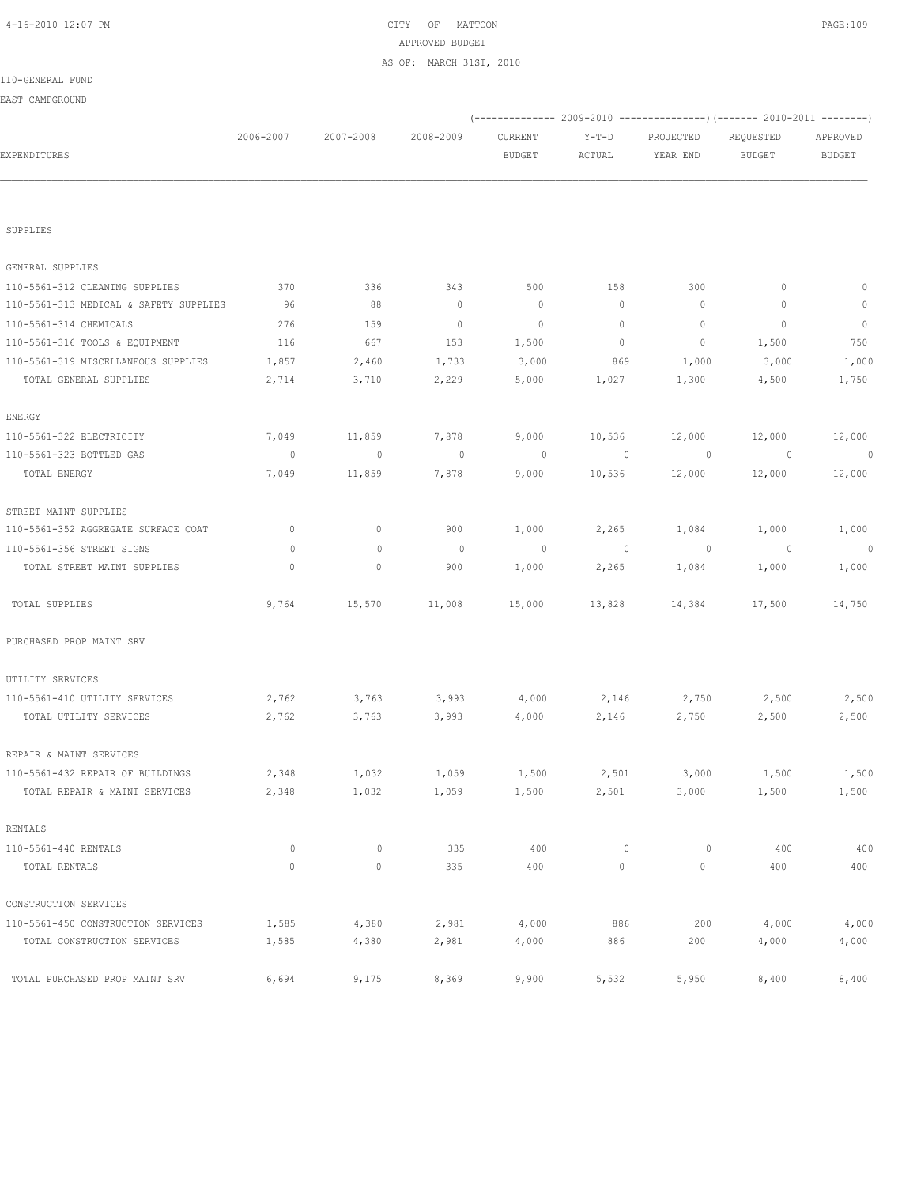# 4-16-2010 12:07 PM CITY OF MATTOON PAGE:109 APPROVED BUDGET

AS OF: MARCH 31ST, 2010

#### 110-GENERAL FUND

| EAST CAMPGROUND                        |                          |                |                |                |                |                          |                                                                        |               |
|----------------------------------------|--------------------------|----------------|----------------|----------------|----------------|--------------------------|------------------------------------------------------------------------|---------------|
|                                        |                          |                |                |                |                |                          | (------------- 2009-2010 ---------------) (------- 2010-2011 --------) |               |
|                                        | 2006-2007                | 2007-2008      | 2008-2009      | CURRENT        | $Y-T-D$        | PROJECTED                | REQUESTED                                                              | APPROVED      |
| EXPENDITURES                           |                          |                |                | <b>BUDGET</b>  | ACTUAL         | YEAR END                 | <b>BUDGET</b>                                                          | <b>BUDGET</b> |
|                                        |                          |                |                |                |                |                          |                                                                        |               |
| SUPPLIES                               |                          |                |                |                |                |                          |                                                                        |               |
| GENERAL SUPPLIES                       |                          |                |                |                |                |                          |                                                                        |               |
| 110-5561-312 CLEANING SUPPLIES         | 370                      | 336            | 343            | 500            | 158            | 300                      | 0                                                                      | 0             |
| 110-5561-313 MEDICAL & SAFETY SUPPLIES | 96                       | 88             | $\circ$        | $\circ$        | $\circ$        | $\circ$                  | $\mathbf 0$                                                            | $\mathbb O$   |
| 110-5561-314 CHEMICALS                 | 276                      | 159            | $\circ$        | $\mathbf 0$    | $\circ$        | 0                        | $\mathbf 0$                                                            | $\circ$       |
| 110-5561-316 TOOLS & EQUIPMENT         | 116                      | 667            | 153            | 1,500          | $\circ$        | $\circ$                  | 1,500                                                                  | 750           |
| 110-5561-319 MISCELLANEOUS SUPPLIES    | 1,857                    | 2,460          | 1,733          | 3,000          | 869            | 1,000                    | 3,000                                                                  | 1,000         |
| TOTAL GENERAL SUPPLIES                 | 2,714                    | 3,710          | 2,229          | 5,000          | 1,027          | 1,300                    | 4,500                                                                  | 1,750         |
| ENERGY                                 |                          |                |                |                |                |                          |                                                                        |               |
| 110-5561-322 ELECTRICITY               | 7,049                    | 11,859         | 7,878          | 9,000          | 10,536         | 12,000                   | 12,000                                                                 | 12,000        |
| 110-5561-323 BOTTLED GAS               | $\overline{\phantom{0}}$ | $\overline{0}$ | $\sim$ 0       | $\overline{0}$ | $\sim$ 0       | $\sim$ 0                 | $\sim$ 0                                                               | $\mathbf 0$   |
| TOTAL ENERGY                           | 7,049                    | 11,859         | 7,878          | 9,000          | 10,536         | 12,000                   | 12,000                                                                 | 12,000        |
| STREET MAINT SUPPLIES                  |                          |                |                |                |                |                          |                                                                        |               |
| 110-5561-352 AGGREGATE SURFACE COAT    | 0                        | 0              | 900            | 1,000          | 2,265          | 1,084                    | 1,000                                                                  | 1,000         |
| 110-5561-356 STREET SIGNS              | $\circ$                  | $\circ$        | $\overline{0}$ | $\overline{0}$ | $\overline{0}$ | $\overline{\phantom{0}}$ | $\overline{\phantom{0}}$                                               | $\circ$       |
| TOTAL STREET MAINT SUPPLIES            | $\mathbf{0}$             | 0              | 900            | 1,000          | 2,265          | 1,084                    | 1,000                                                                  | 1,000         |
| TOTAL SUPPLIES                         | 9,764                    | 15,570         | 11,008         | 15,000         | 13,828         | 14,384                   | 17,500                                                                 | 14,750        |
| PURCHASED PROP MAINT SRV               |                          |                |                |                |                |                          |                                                                        |               |
| UTILITY SERVICES                       |                          |                |                |                |                |                          |                                                                        |               |
| 110-5561-410 UTILITY SERVICES          | 2,762                    | 3,763          | 3,993          | 4,000          | 2,146          | 2,750                    | 2,500                                                                  | 2,500         |
| TOTAL UTILITY SERVICES                 | 2,762                    | 3,763          | 3,993          | 4,000          | 2,146          | 2,750                    | 2,500                                                                  | 2,500         |
| REPAIR & MAINT SERVICES                |                          |                |                |                |                |                          |                                                                        |               |
| 110-5561-432 REPAIR OF BUILDINGS       | 2,348                    | 1,032          | 1,059          | 1,500          | 2,501          | 3,000                    | 1,500                                                                  | 1,500         |
| TOTAL REPAIR & MAINT SERVICES          | 2,348                    | 1,032          | 1,059          | 1,500          | 2,501          | 3,000                    | 1,500                                                                  | 1,500         |
| RENTALS                                |                          |                |                |                |                |                          |                                                                        |               |
| 110-5561-440 RENTALS                   | 0                        | $\circ$        | 335            | 400            | $\mathbb O$    | $\mathbb O$              | 400                                                                    | 400           |
| TOTAL RENTALS                          | 0                        | $\mathbb O$    | 335            | 400            | $\circ$        | 0                        | 400                                                                    | 400           |
| CONSTRUCTION SERVICES                  |                          |                |                |                |                |                          |                                                                        |               |
| 110-5561-450 CONSTRUCTION SERVICES     | 1,585                    | 4,380          | 2,981          | 4,000          | 886            | 200                      | 4,000                                                                  | 4,000         |
| TOTAL CONSTRUCTION SERVICES            | 1,585                    | 4,380          | 2,981          | 4,000          | 886            | 200                      | 4,000                                                                  | 4,000         |
| TOTAL PURCHASED PROP MAINT SRV         | 6,694                    | 9,175          | 8,369          | 9,900          | 5,532          | 5,950                    | 8,400                                                                  | 8,400         |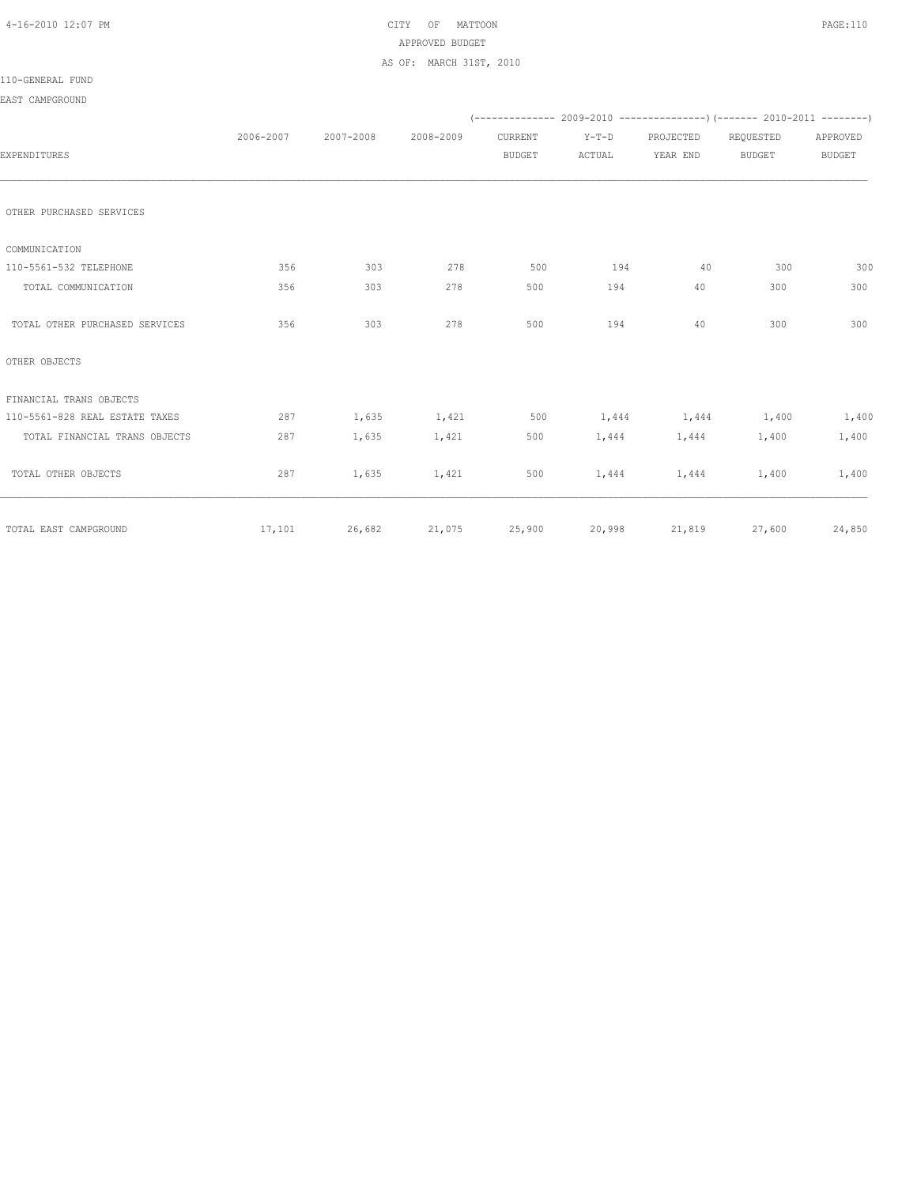## 4-16-2010 12:07 PM CITY OF MATTOON PAGE:110 APPROVED BUDGET AS OF: MARCH 31ST, 2010

#### 110-GENERAL FUND

#### EAST CAMPGROUND

|                                |           |           |           |               |         |             | $(---------- 2009-2010 ---------- 2010-2011 ---- 2010-2011 ---- 2000-2010 ---- 2000-2010 ---- 2000-2010 ---- 2000-2010 ---- 2000-2010 ---- 2000-2010 ---- 2000-2010 ---- 2000-2010 ---- 2000-2010 ---- 2000-2010 ---- 2000-2010 ---- 2000-2010 ---- 2000-2010 ---- 2000-2010 ---- 2000-2010$ |               |
|--------------------------------|-----------|-----------|-----------|---------------|---------|-------------|----------------------------------------------------------------------------------------------------------------------------------------------------------------------------------------------------------------------------------------------------------------------------------------------|---------------|
|                                | 2006-2007 | 2007-2008 | 2008-2009 | CURRENT       | $Y-T-D$ | PROJECTED   | REQUESTED                                                                                                                                                                                                                                                                                    | APPROVED      |
| EXPENDITURES                   |           |           |           | <b>BUDGET</b> | ACTUAL  | YEAR END    | <b>BUDGET</b>                                                                                                                                                                                                                                                                                | <b>BUDGET</b> |
|                                |           |           |           |               |         |             |                                                                                                                                                                                                                                                                                              |               |
| OTHER PURCHASED SERVICES       |           |           |           |               |         |             |                                                                                                                                                                                                                                                                                              |               |
| COMMUNICATION                  |           |           |           |               |         |             |                                                                                                                                                                                                                                                                                              |               |
| 110-5561-532 TELEPHONE         | 356       | 303       | 278       | 500           | 194     | 40          | 300                                                                                                                                                                                                                                                                                          | 300           |
| TOTAL COMMUNICATION            | 356       | 303       | 278       | 500           | 194     | 40          | 300                                                                                                                                                                                                                                                                                          | 300           |
| TOTAL OTHER PURCHASED SERVICES | 356       | 303       | 278       | 500           | 194     | 40          | 300                                                                                                                                                                                                                                                                                          | 300           |
| OTHER OBJECTS                  |           |           |           |               |         |             |                                                                                                                                                                                                                                                                                              |               |
| FINANCIAL TRANS OBJECTS        |           |           |           |               |         |             |                                                                                                                                                                                                                                                                                              |               |
| 110-5561-828 REAL ESTATE TAXES | 287       | 1,635     | 1,421     | 500           |         | 1,444 1,444 | 1,400                                                                                                                                                                                                                                                                                        | 1,400         |
| TOTAL FINANCIAL TRANS OBJECTS  | 287       | 1,635     | 1,421     | 500           | 1,444   | 1,444       | 1,400                                                                                                                                                                                                                                                                                        | 1,400         |
| TOTAL OTHER OBJECTS            | 287       | 1,635     | 1,421     | 500           | 1,444   | 1,444       | 1,400                                                                                                                                                                                                                                                                                        | 1,400         |
| TOTAL EAST CAMPGROUND          | 17,101    | 26,682    | 21,075    | 25,900        | 20,998  | 21,819      | 27,600                                                                                                                                                                                                                                                                                       | 24,850        |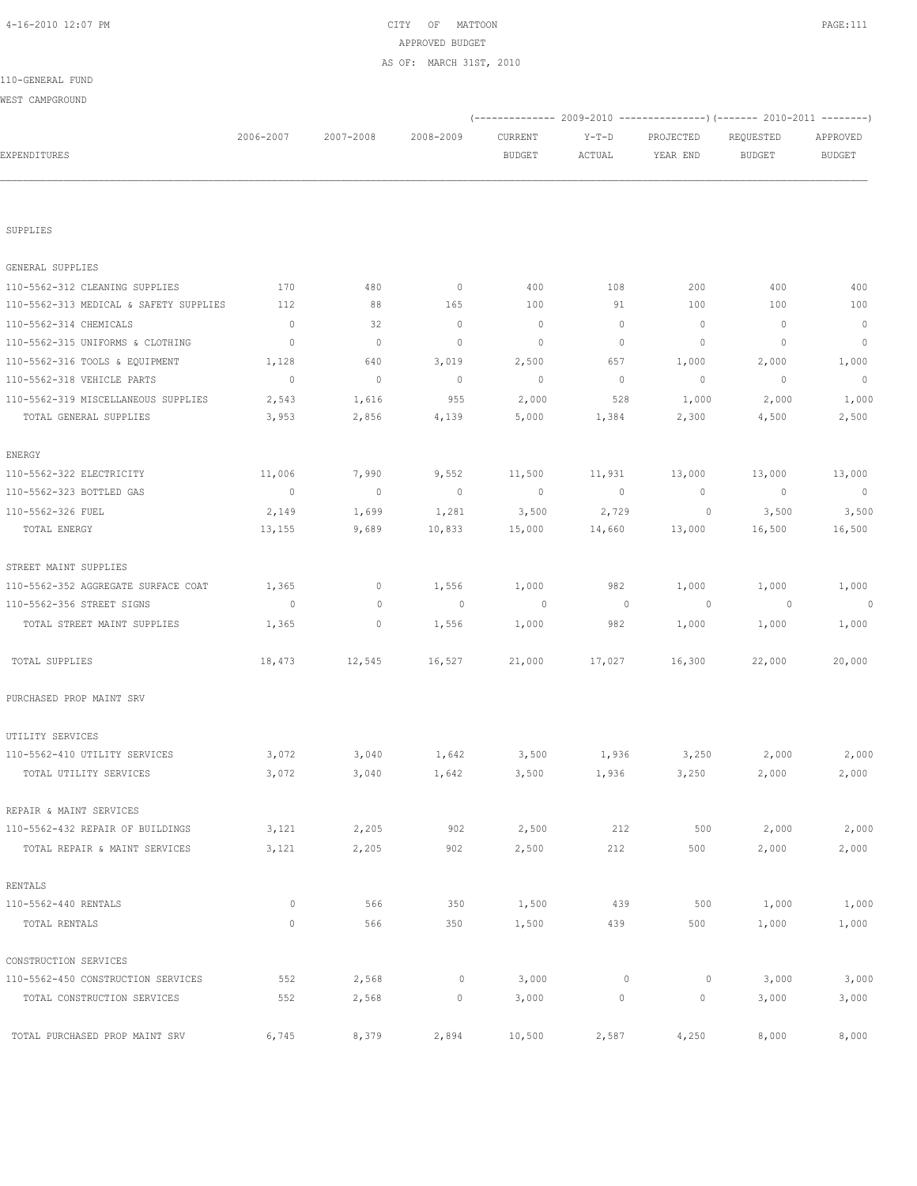## 4-16-2010 12:07 PM CITY OF MATTOON PAGE:111 APPROVED BUDGET AS OF: MARCH 31ST, 2010

## 110-GENERAL FUND

| WEST CAMPGROUND |  |
|-----------------|--|
|                 |  |

|                                        |                          |                          |                          |                          |                          |                       | (-------------- 2009-2010 ----------------) (------- 2010-2011 --------) |                           |
|----------------------------------------|--------------------------|--------------------------|--------------------------|--------------------------|--------------------------|-----------------------|--------------------------------------------------------------------------|---------------------------|
| EXPENDITURES                           | 2006-2007                | 2007-2008                | 2008-2009                | CURRENT<br><b>BUDGET</b> | $Y-T-D$<br>ACTUAL        | PROJECTED<br>YEAR END | REQUESTED<br><b>BUDGET</b>                                               | APPROVED<br><b>BUDGET</b> |
|                                        |                          |                          |                          |                          |                          |                       |                                                                          |                           |
| SUPPLIES                               |                          |                          |                          |                          |                          |                       |                                                                          |                           |
| GENERAL SUPPLIES                       |                          |                          |                          |                          |                          |                       |                                                                          |                           |
| 110-5562-312 CLEANING SUPPLIES         | 170                      | 480                      | $\overline{\phantom{0}}$ | 400                      | 108                      | 200                   | 400                                                                      | 400                       |
| 110-5562-313 MEDICAL & SAFETY SUPPLIES | 112                      | 88                       | 165                      | 100                      | 91                       | 100                   | 100                                                                      | 100                       |
| 110-5562-314 CHEMICALS                 | $\overline{0}$           | 32                       | $\mathbf{0}$             | $\mathbf{0}$             | $\circ$                  | $\circ$               | $\mathbf{0}$                                                             | $\overline{0}$            |
| 110-5562-315 UNIFORMS & CLOTHING       | $\overline{0}$           | $\overline{0}$           | $\mathbf 0$              | $\mathbb{O}$             | $\circ$                  | $\mathbf{0}$          | $\circ$                                                                  | $\overline{0}$            |
| 110-5562-316 TOOLS & EQUIPMENT         | 1,128                    | 640                      | 3,019                    | 2,500                    | 657                      | 1,000                 | 2,000                                                                    | 1,000                     |
| 110-5562-318 VEHICLE PARTS             | $\circ$                  | $\circ$                  | $\overline{\phantom{0}}$ | $\circ$                  | $\overline{0}$           | $\overline{0}$        | $\overline{\phantom{0}}$                                                 | $\overline{0}$            |
| 110-5562-319 MISCELLANEOUS SUPPLIES    | 2,543                    | 1,616                    | 955                      | 2,000                    | 528                      | 1,000                 | 2,000                                                                    | 1,000                     |
| TOTAL GENERAL SUPPLIES                 | 3,953                    | 2,856                    | 4,139                    | 5,000                    | 1,384                    | 2,300                 | 4,500                                                                    | 2,500                     |
| ENERGY                                 |                          |                          |                          |                          |                          |                       |                                                                          |                           |
| 110-5562-322 ELECTRICITY               | 11,006                   | 7,990                    | 9,552                    | 11,500                   | 11,931                   | 13,000                | 13,000                                                                   | 13,000                    |
| 110-5562-323 BOTTLED GAS               | $\overline{\phantom{0}}$ | $\overline{\phantom{0}}$ | $\overline{\phantom{0}}$ | $\overline{\phantom{0}}$ | $\overline{\phantom{0}}$ | $\circ$               | $\overline{0}$                                                           | $\overline{0}$            |
| 110-5562-326 FUEL                      | 2,149                    | 1,699                    | 1,281                    | 3,500                    | 2,729                    | $\overline{0}$        | 3,500                                                                    | 3,500                     |
| TOTAL ENERGY                           | 13,155                   | 9,689                    | 10,833                   | 15,000                   | 14,660                   | 13,000                | 16,500                                                                   | 16,500                    |
| STREET MAINT SUPPLIES                  |                          |                          |                          |                          |                          |                       |                                                                          |                           |
| 110-5562-352 AGGREGATE SURFACE COAT    | 1,365                    | $\circ$                  | 1,556                    | 1,000                    | 982                      | 1,000                 | 1,000                                                                    | 1,000                     |
| 110-5562-356 STREET SIGNS              | $\overline{0}$           | $\circ$                  | $\sim$ 0                 | $\sim$ 0                 | $\overline{\phantom{0}}$ | $\sim$ 0              | $\sim$ 0                                                                 | $\overline{0}$            |
| TOTAL STREET MAINT SUPPLIES            | 1,365                    | 0                        | 1,556                    | 1,000                    | 982                      | 1,000                 | 1,000                                                                    | 1,000                     |
| TOTAL SUPPLIES                         | 18,473                   | 12,545                   | 16,527                   | 21,000                   | 17,027                   | 16,300                | 22,000                                                                   | 20,000                    |
| PURCHASED PROP MAINT SRV               |                          |                          |                          |                          |                          |                       |                                                                          |                           |
| UTILITY SERVICES                       |                          |                          |                          |                          |                          |                       |                                                                          |                           |
| 110-5562-410 UTILITY SERVICES          | 3,072                    | 3,040                    | 1,642                    | 3,500                    |                          | $1,936$ $3,250$       | 2,000                                                                    | 2,000                     |
| TOTAL UTILITY SERVICES                 | 3,072                    | 3,040                    | 1,642                    | 3,500                    | 1,936                    | 3,250                 | 2,000                                                                    | 2,000                     |
| REPAIR & MAINT SERVICES                |                          |                          |                          |                          |                          |                       |                                                                          |                           |
| 110-5562-432 REPAIR OF BUILDINGS       | 3,121                    | 2,205                    | 902                      | 2,500                    | 212                      | 500                   | 2,000                                                                    | 2,000                     |
| TOTAL REPAIR & MAINT SERVICES          | 3,121                    | 2,205                    | 902                      | 2,500                    | 212                      | 500                   | 2,000                                                                    | 2,000                     |
| RENTALS                                |                          |                          |                          |                          |                          |                       |                                                                          |                           |
| 110-5562-440 RENTALS                   | 0                        | 566                      | 350                      | 1,500                    | 439                      | 500                   | 1,000                                                                    | 1,000                     |
| TOTAL RENTALS                          | $\mathbb O$              | 566                      | 350                      | 1,500                    | 439                      | 500                   | 1,000                                                                    | 1,000                     |
| CONSTRUCTION SERVICES                  |                          |                          |                          |                          |                          |                       |                                                                          |                           |
| 110-5562-450 CONSTRUCTION SERVICES     | 552                      | 2,568                    | $\mathbf 0$              | 3,000                    | 0                        | $\mathbf 0$           | 3,000                                                                    | 3,000                     |
| TOTAL CONSTRUCTION SERVICES            | 552                      | 2,568                    | $\mathbf 0$              | 3,000                    | $\circ$                  | 0                     | 3,000                                                                    | 3,000                     |
| TOTAL PURCHASED PROP MAINT SRV         | 6,745                    | 8,379                    | 2,894                    | 10,500                   | 2,587                    | 4,250                 | 8,000                                                                    | 8,000                     |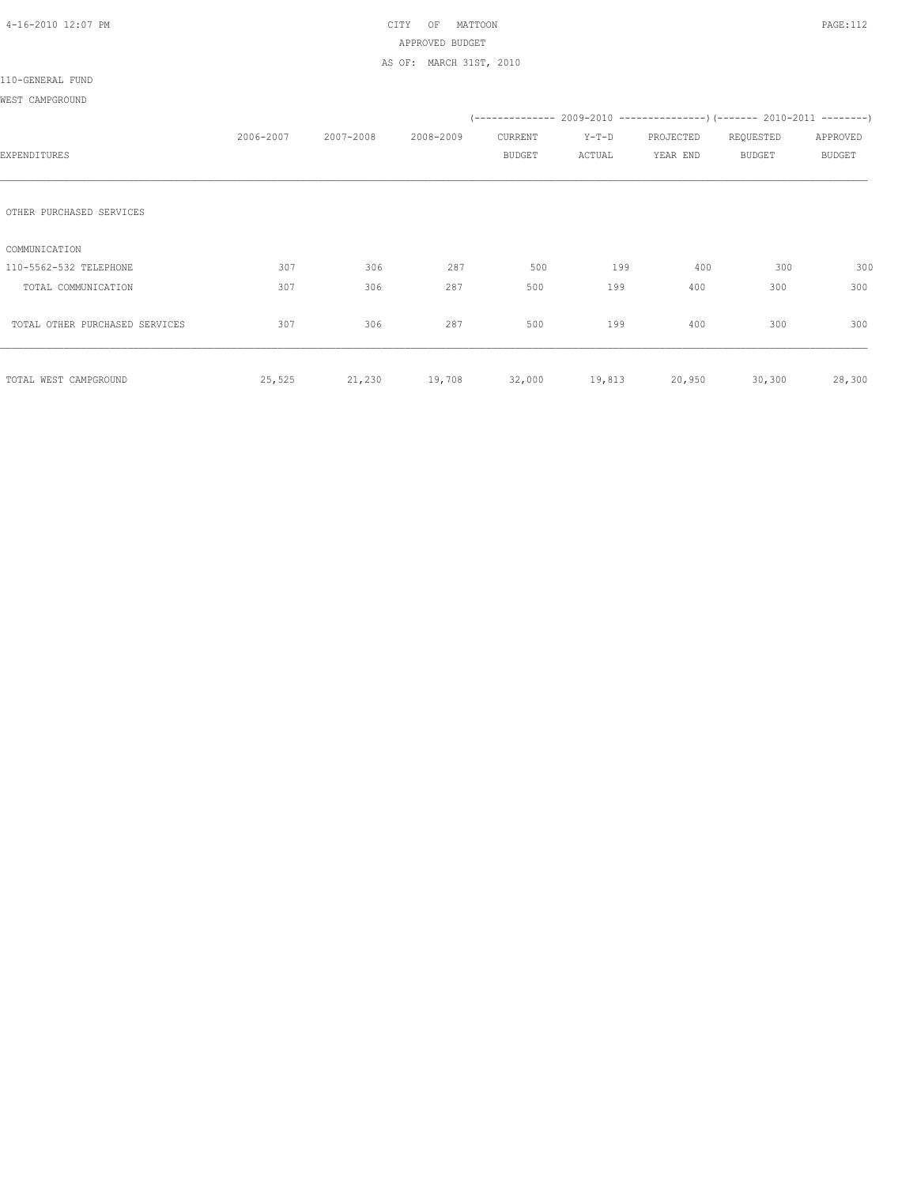## 4-16-2010 12:07 PM CITY OF MATTOON PAGE:112 APPROVED BUDGET AS OF: MARCH 31ST, 2010

#### 110-GENERAL FUND

#### WEST CAMPGROUND

|                                |           |           |           |               |         | (-------------- 2009-2010 ----------------) (------- 2010-2011 --------) |               |          |
|--------------------------------|-----------|-----------|-----------|---------------|---------|--------------------------------------------------------------------------|---------------|----------|
|                                | 2006-2007 | 2007-2008 | 2008-2009 | CURRENT       | $Y-T-D$ | PROJECTED                                                                | REQUESTED     | APPROVED |
| EXPENDITURES                   |           |           |           | <b>BUDGET</b> | ACTUAL  | YEAR END                                                                 | <b>BUDGET</b> | BUDGET   |
|                                |           |           |           |               |         |                                                                          |               |          |
| OTHER PURCHASED SERVICES       |           |           |           |               |         |                                                                          |               |          |
| COMMUNICATION                  |           |           |           |               |         |                                                                          |               |          |
| 110-5562-532 TELEPHONE         | 307       | 306       | 287       | 500           | 199     | 400                                                                      | 300           | 300      |
| TOTAL COMMUNICATION            | 307       | 306       | 287       | 500           | 199     | 400                                                                      | 300           | 300      |
| TOTAL OTHER PURCHASED SERVICES | 307       | 306       | 287       | 500           | 199     | 400                                                                      | 300           | 300      |
| TOTAL WEST CAMPGROUND          | 25,525    | 21,230    | 19,708    | 32,000        | 19,813  | 20,950                                                                   | 30,300        | 28,300   |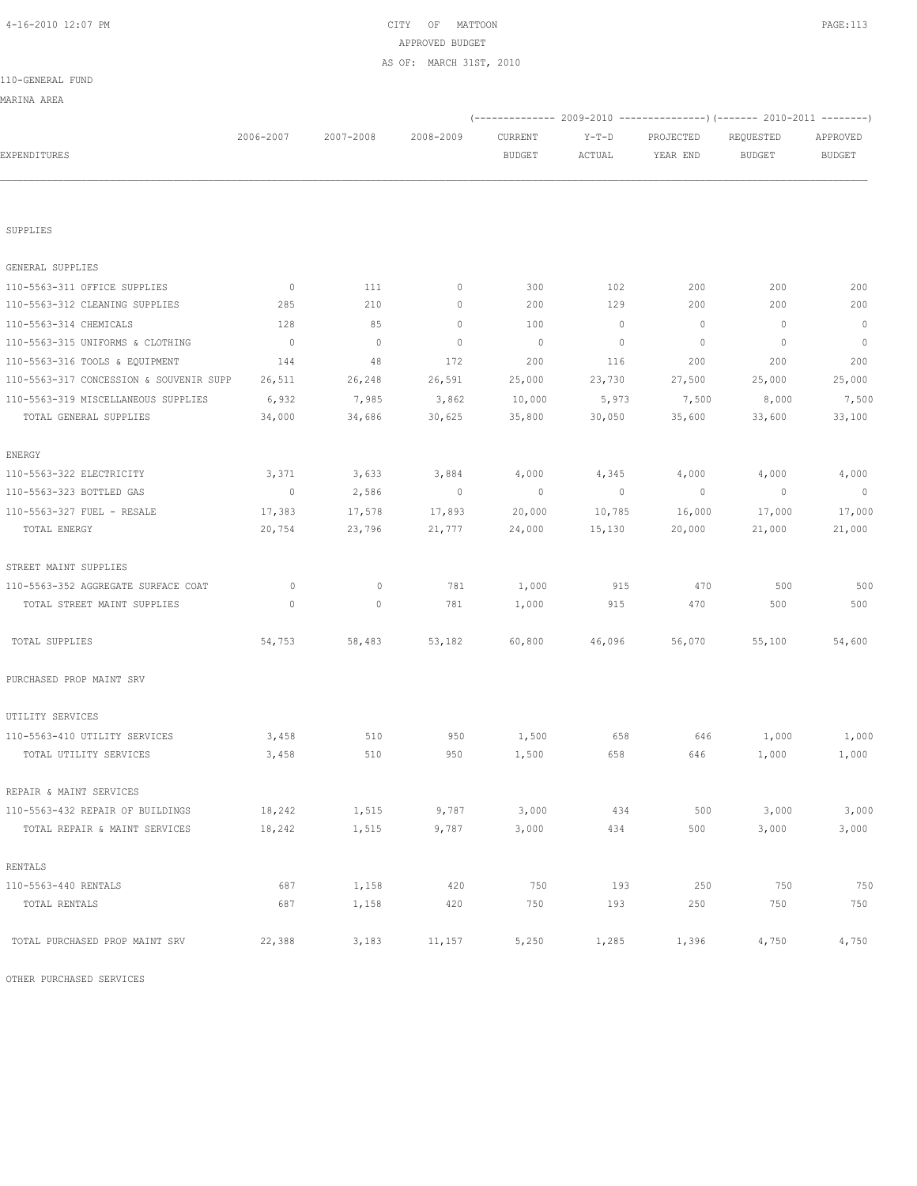## 4-16-2010 12:07 PM CITY OF MATTOON PAGE:113 APPROVED BUDGET AS OF: MARCH 31ST, 2010

## 110-GENERAL FUND

| ħ |  |
|---|--|

|                                         |                          |              |                          |                          |                          | (-------------- 2009-2010 ----------------) (------- 2010-2011 --------) |                            |                           |
|-----------------------------------------|--------------------------|--------------|--------------------------|--------------------------|--------------------------|--------------------------------------------------------------------------|----------------------------|---------------------------|
| EXPENDITURES                            | 2006-2007                | 2007-2008    | 2008-2009                | CURRENT<br><b>BUDGET</b> | $Y-T-D$<br>ACTUAL        | PROJECTED<br>YEAR END                                                    | REQUESTED<br><b>BUDGET</b> | APPROVED<br><b>BUDGET</b> |
|                                         |                          |              |                          |                          |                          |                                                                          |                            |                           |
| SUPPLIES                                |                          |              |                          |                          |                          |                                                                          |                            |                           |
| GENERAL SUPPLIES                        |                          |              |                          |                          |                          |                                                                          |                            |                           |
| 110-5563-311 OFFICE SUPPLIES            | $\overline{0}$           | 111          | $\mathbf 0$              | 300                      | 102                      | 200                                                                      | 200                        | 200                       |
| 110-5563-312 CLEANING SUPPLIES          | 285                      | 210          | $\mathbf 0$              | 200                      | 129                      | 200                                                                      | 200                        | 200                       |
| 110-5563-314 CHEMICALS                  | 128                      | 85           | $\mathbf{0}$             | 100                      | $\circ$                  | $\circ$                                                                  | $\mathbf{0}$               | $\overline{0}$            |
| 110-5563-315 UNIFORMS & CLOTHING        | $\overline{0}$           | $\mathbf{0}$ | $\mathbb{O}$             | $\sim$ 0                 | $\circ$                  | $\mathbf{0}$                                                             | $\circ$                    | $\overline{0}$            |
| 110-5563-316 TOOLS & EQUIPMENT          | 144                      | 48           | 172                      | 200                      | 116                      | 200                                                                      | 200                        | 200                       |
| 110-5563-317 CONCESSION & SOUVENIR SUPP | 26,511                   | 26,248       | 26,591                   | 25,000                   | 23,730                   | 27,500                                                                   | 25,000                     | 25,000                    |
| 110-5563-319 MISCELLANEOUS SUPPLIES     | 6,932                    | 7,985        | 3,862                    | 10,000                   | 5,973                    | 7,500                                                                    | 8,000                      | 7,500                     |
| TOTAL GENERAL SUPPLIES                  | 34,000                   | 34,686       | 30,625                   | 35,800                   | 30,050                   | 35,600                                                                   | 33,600                     | 33,100                    |
| ENERGY                                  |                          |              |                          |                          |                          |                                                                          |                            |                           |
| 110-5563-322 ELECTRICITY                | 3,371                    | 3,633        | 3,884                    | 4,000                    | 4,345                    | 4,000                                                                    | 4,000                      | 4,000                     |
| 110-5563-323 BOTTLED GAS                | $\overline{\phantom{0}}$ | 2,586        | $\overline{\phantom{0}}$ | $\overline{0}$           | $\overline{\phantom{0}}$ | $\overline{\phantom{0}}$                                                 | $\overline{0}$             | $\overline{0}$            |
| 110-5563-327 FUEL - RESALE              | 17,383                   | 17,578       | 17,893                   | 20,000                   | 10,785                   | 16,000                                                                   | 17,000                     | 17,000                    |
| TOTAL ENERGY                            | 20,754                   | 23,796       | 21,777                   | 24,000                   | 15,130                   | 20,000                                                                   | 21,000                     | 21,000                    |
| STREET MAINT SUPPLIES                   |                          |              |                          |                          |                          |                                                                          |                            |                           |
| 110-5563-352 AGGREGATE SURFACE COAT     | 0                        | $\circ$      | 781                      | 1,000                    | 915                      | 470                                                                      | 500                        | 500                       |
| TOTAL STREET MAINT SUPPLIES             | $\mathbf{0}$             | 0            | 781                      | 1,000                    | 915                      | 470                                                                      | 500                        | 500                       |
| TOTAL SUPPLIES                          | 54,753                   | 58,483       | 53,182                   | 60,800                   | 46,096                   | 56,070                                                                   | 55,100                     | 54,600                    |
| PURCHASED PROP MAINT SRV                |                          |              |                          |                          |                          |                                                                          |                            |                           |
| UTILITY SERVICES                        |                          |              |                          |                          |                          |                                                                          |                            |                           |
| 110-5563-410 UTILITY SERVICES           | 3,458                    | 510          | 950                      | 1,500                    | 658                      | 646                                                                      | 1,000                      | 1,000                     |
| TOTAL UTILITY SERVICES                  | 3,458                    | 510          | 950                      | 1,500                    | 658                      | 646                                                                      | 1,000                      | 1,000                     |
| REPAIR & MAINT SERVICES                 |                          |              |                          |                          |                          |                                                                          |                            |                           |
| 110-5563-432 REPAIR OF BUILDINGS        | 18,242                   | 1,515        | 9,787                    | 3,000                    | 434                      | 500                                                                      | 3,000                      | 3,000                     |
| TOTAL REPAIR & MAINT SERVICES           | 18,242                   | 1,515        | 9,787                    | 3,000                    | 434                      | 500                                                                      | 3,000                      | 3,000                     |
| RENTALS                                 |                          |              |                          |                          |                          |                                                                          |                            |                           |
| 110-5563-440 RENTALS                    | 687                      | 1,158        | 420                      | 750                      | 193                      | 250                                                                      | 750                        | 750                       |
| TOTAL RENTALS                           | 687                      | 1,158        | 420                      | 750                      | 193                      | 250                                                                      | 750                        | 750                       |
| TOTAL PURCHASED PROP MAINT SRV          | 22,388                   | 3,183        | 11,157                   | 5,250                    | 1,285                    | 1,396                                                                    | 4,750                      | 4,750                     |
|                                         |                          |              |                          |                          |                          |                                                                          |                            |                           |

OTHER PURCHASED SERVICES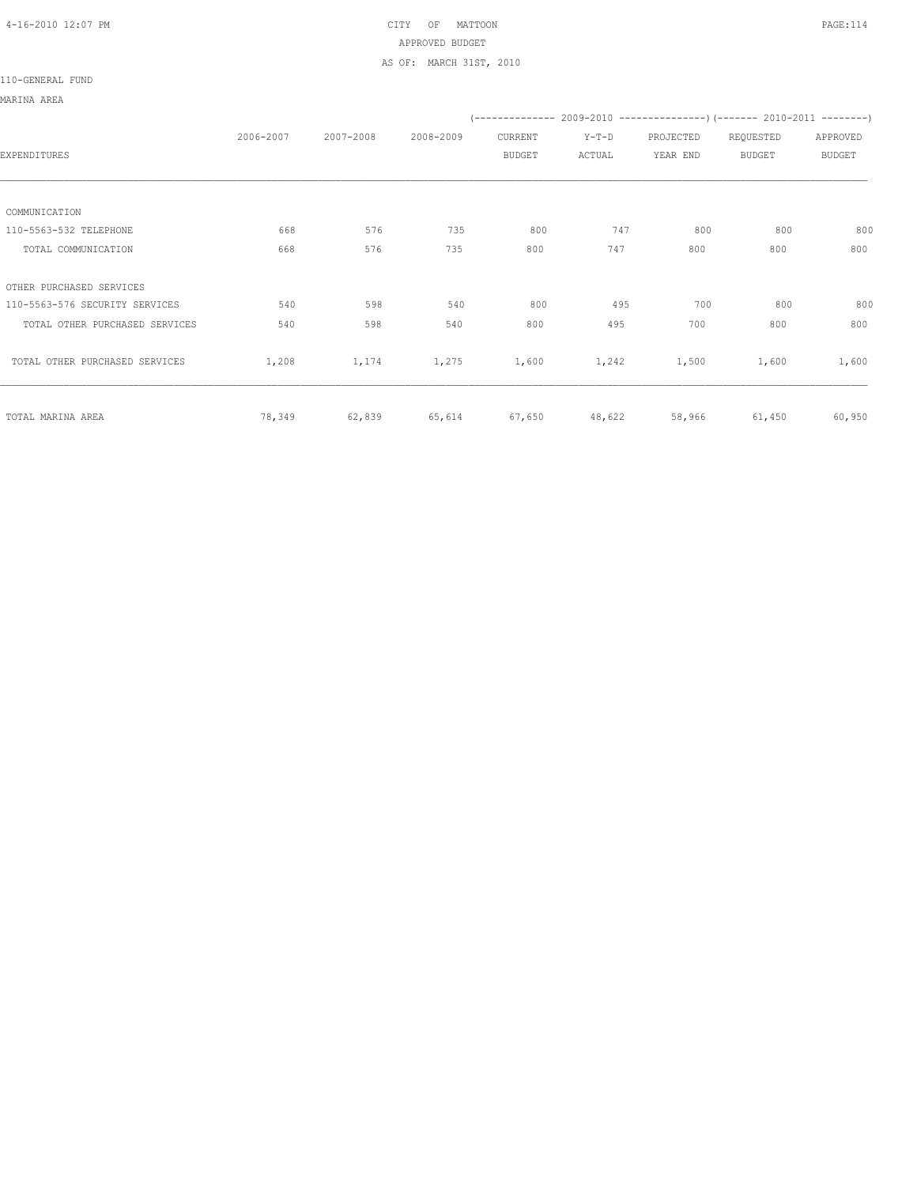## 4-16-2010 12:07 PM CITY OF MATTOON PAGE:114 APPROVED BUDGET AS OF: MARCH 31ST, 2010

## 110-GENERAL FUND

#### MARINA AREA

|                                | 2006-2007 | 2007-2008 | 2008-2009 | CURRENT       | $Y-T-D$ | PROJECTED | REQUESTED     | APPROVED      |
|--------------------------------|-----------|-----------|-----------|---------------|---------|-----------|---------------|---------------|
| EXPENDITURES                   |           |           |           | <b>BUDGET</b> | ACTUAL  | YEAR END  | <b>BUDGET</b> | <b>BUDGET</b> |
|                                |           |           |           |               |         |           |               |               |
| COMMUNICATION                  |           |           |           |               |         |           |               |               |
| 110-5563-532 TELEPHONE         | 668       | 576       | 735       | 800           | 747     | 800       | 800           | 800           |
| TOTAL COMMUNICATION            | 668       | 576       | 735       | 800           | 747     | 800       | 800           | 800           |
| OTHER PURCHASED SERVICES       |           |           |           |               |         |           |               |               |
| 110-5563-576 SECURITY SERVICES | 540       | 598       | 540       | 800           | 495     | 700       | 800           | 800           |
| TOTAL OTHER PURCHASED SERVICES | 540       | 598       | 540       | 800           | 495     | 700       | 800           | 800           |
| TOTAL OTHER PURCHASED SERVICES | 1,208     | 1,174     | 1,275     | 1,600         | 1,242   | 1,500     | 1,600         | 1,600         |
| TOTAL MARINA AREA              | 78,349    | 62,839    | 65,614    | 67,650        | 48,622  | 58,966    | 61,450        | 60,950        |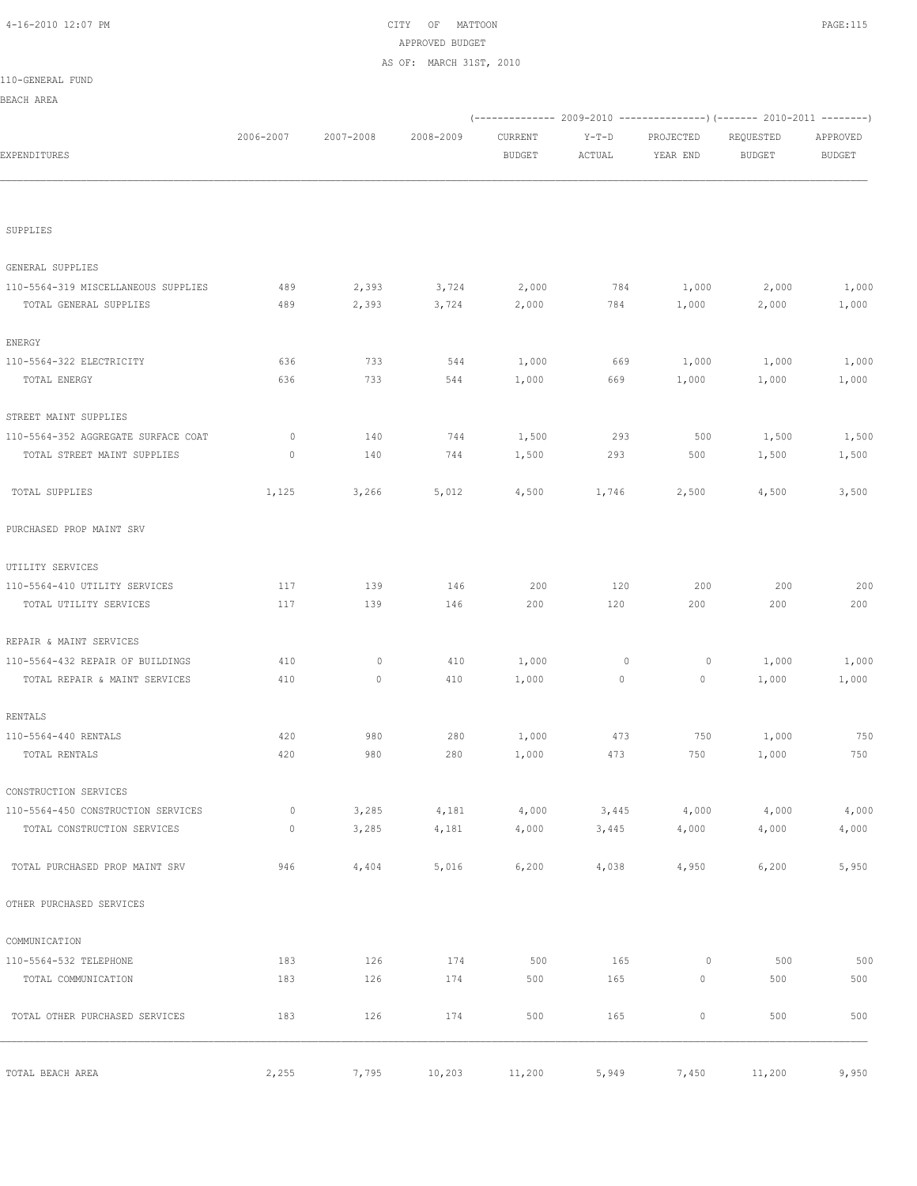## 4-16-2010 12:07 PM CITY OF MATTOON PAGE:115 APPROVED BUDGET AS OF: MARCH 31ST, 2010

#### 110-GENERAL FUND

BEACH AREA

| 2006-2007<br>2007-2008<br>2008-2009<br>CURRENT<br>PROJECTED<br>$Y-T-D$<br>REQUESTED<br>YEAR END<br>EXPENDITURES<br><b>BUDGET</b><br>ACTUAL<br><b>BUDGET</b><br>SUPPLIES<br>GENERAL SUPPLIES<br>110-5564-319 MISCELLANEOUS SUPPLIES<br>2,393<br>3,724<br>2,000<br>1,000<br>2,000<br>489<br>784<br>TOTAL GENERAL SUPPLIES<br>489<br>2,393<br>3,724<br>2,000<br>784<br>1,000<br>2,000<br>ENERGY<br>636<br>110-5564-322 ELECTRICITY<br>733<br>544<br>1,000<br>669<br>1,000<br>1,000<br>636<br>TOTAL ENERGY<br>733<br>1,000<br>1,000<br>1,000<br>544<br>669<br>STREET MAINT SUPPLIES<br>110-5564-352 AGGREGATE SURFACE COAT<br>$\circ$<br>140<br>744<br>1,500<br>293<br>500<br>1,500<br>TOTAL STREET MAINT SUPPLIES<br>$\circ$<br>140<br>744<br>1,500<br>293<br>500<br>1,500<br>TOTAL SUPPLIES<br>1,125<br>3,266<br>5,012<br>4,500<br>1,746<br>2,500<br>4,500<br>PURCHASED PROP MAINT SRV<br>UTILITY SERVICES<br>110-5564-410 UTILITY SERVICES<br>117<br>139<br>146<br>200<br>120<br>200<br>200<br>139<br>200<br>200<br>117<br>146<br>120<br>200<br>TOTAL UTILITY SERVICES<br>REPAIR & MAINT SERVICES<br>110-5564-432 REPAIR OF BUILDINGS<br>410<br>410<br>1,000<br>1,000<br>$\mathbb O$<br>$\mathbf 0$<br>$\mathbf 0$<br>1,000<br>TOTAL REPAIR & MAINT SERVICES<br>410<br>410<br>$\circ$<br>$\circ$<br>1,000<br>$\circ$<br>RENTALS<br>420<br>110-5564-440 RENTALS<br>980<br>280<br>1,000<br>473<br>750<br>1,000<br>280<br>1,000<br>TOTAL RENTALS<br>420<br>980<br>1,000<br>473<br>750<br>CONSTRUCTION SERVICES<br>110-5564-450 CONSTRUCTION SERVICES<br>0<br>3,285<br>4,181<br>4,000<br>3,445<br>4,000<br>4,000<br>$\mathbb O$<br>3,285<br>4,000<br>TOTAL CONSTRUCTION SERVICES<br>4,181<br>4,000<br>3,445<br>4,000<br>946<br>4,404<br>5,016<br>6,200<br>4,038<br>4,950<br>6,200<br>TOTAL PURCHASED PROP MAINT SRV |               |
|----------------------------------------------------------------------------------------------------------------------------------------------------------------------------------------------------------------------------------------------------------------------------------------------------------------------------------------------------------------------------------------------------------------------------------------------------------------------------------------------------------------------------------------------------------------------------------------------------------------------------------------------------------------------------------------------------------------------------------------------------------------------------------------------------------------------------------------------------------------------------------------------------------------------------------------------------------------------------------------------------------------------------------------------------------------------------------------------------------------------------------------------------------------------------------------------------------------------------------------------------------------------------------------------------------------------------------------------------------------------------------------------------------------------------------------------------------------------------------------------------------------------------------------------------------------------------------------------------------------------------------------------------------------------------------------------------------------------------------------------------------------------------------------------------------------|---------------|
|                                                                                                                                                                                                                                                                                                                                                                                                                                                                                                                                                                                                                                                                                                                                                                                                                                                                                                                                                                                                                                                                                                                                                                                                                                                                                                                                                                                                                                                                                                                                                                                                                                                                                                                                                                                                                | APPROVED      |
|                                                                                                                                                                                                                                                                                                                                                                                                                                                                                                                                                                                                                                                                                                                                                                                                                                                                                                                                                                                                                                                                                                                                                                                                                                                                                                                                                                                                                                                                                                                                                                                                                                                                                                                                                                                                                | <b>BUDGET</b> |
|                                                                                                                                                                                                                                                                                                                                                                                                                                                                                                                                                                                                                                                                                                                                                                                                                                                                                                                                                                                                                                                                                                                                                                                                                                                                                                                                                                                                                                                                                                                                                                                                                                                                                                                                                                                                                |               |
|                                                                                                                                                                                                                                                                                                                                                                                                                                                                                                                                                                                                                                                                                                                                                                                                                                                                                                                                                                                                                                                                                                                                                                                                                                                                                                                                                                                                                                                                                                                                                                                                                                                                                                                                                                                                                |               |
|                                                                                                                                                                                                                                                                                                                                                                                                                                                                                                                                                                                                                                                                                                                                                                                                                                                                                                                                                                                                                                                                                                                                                                                                                                                                                                                                                                                                                                                                                                                                                                                                                                                                                                                                                                                                                |               |
|                                                                                                                                                                                                                                                                                                                                                                                                                                                                                                                                                                                                                                                                                                                                                                                                                                                                                                                                                                                                                                                                                                                                                                                                                                                                                                                                                                                                                                                                                                                                                                                                                                                                                                                                                                                                                | 1,000         |
|                                                                                                                                                                                                                                                                                                                                                                                                                                                                                                                                                                                                                                                                                                                                                                                                                                                                                                                                                                                                                                                                                                                                                                                                                                                                                                                                                                                                                                                                                                                                                                                                                                                                                                                                                                                                                | 1,000         |
|                                                                                                                                                                                                                                                                                                                                                                                                                                                                                                                                                                                                                                                                                                                                                                                                                                                                                                                                                                                                                                                                                                                                                                                                                                                                                                                                                                                                                                                                                                                                                                                                                                                                                                                                                                                                                |               |
|                                                                                                                                                                                                                                                                                                                                                                                                                                                                                                                                                                                                                                                                                                                                                                                                                                                                                                                                                                                                                                                                                                                                                                                                                                                                                                                                                                                                                                                                                                                                                                                                                                                                                                                                                                                                                | 1,000         |
|                                                                                                                                                                                                                                                                                                                                                                                                                                                                                                                                                                                                                                                                                                                                                                                                                                                                                                                                                                                                                                                                                                                                                                                                                                                                                                                                                                                                                                                                                                                                                                                                                                                                                                                                                                                                                | 1,000         |
|                                                                                                                                                                                                                                                                                                                                                                                                                                                                                                                                                                                                                                                                                                                                                                                                                                                                                                                                                                                                                                                                                                                                                                                                                                                                                                                                                                                                                                                                                                                                                                                                                                                                                                                                                                                                                |               |
|                                                                                                                                                                                                                                                                                                                                                                                                                                                                                                                                                                                                                                                                                                                                                                                                                                                                                                                                                                                                                                                                                                                                                                                                                                                                                                                                                                                                                                                                                                                                                                                                                                                                                                                                                                                                                | 1,500         |
|                                                                                                                                                                                                                                                                                                                                                                                                                                                                                                                                                                                                                                                                                                                                                                                                                                                                                                                                                                                                                                                                                                                                                                                                                                                                                                                                                                                                                                                                                                                                                                                                                                                                                                                                                                                                                | 1,500         |
|                                                                                                                                                                                                                                                                                                                                                                                                                                                                                                                                                                                                                                                                                                                                                                                                                                                                                                                                                                                                                                                                                                                                                                                                                                                                                                                                                                                                                                                                                                                                                                                                                                                                                                                                                                                                                | 3,500         |
|                                                                                                                                                                                                                                                                                                                                                                                                                                                                                                                                                                                                                                                                                                                                                                                                                                                                                                                                                                                                                                                                                                                                                                                                                                                                                                                                                                                                                                                                                                                                                                                                                                                                                                                                                                                                                |               |
|                                                                                                                                                                                                                                                                                                                                                                                                                                                                                                                                                                                                                                                                                                                                                                                                                                                                                                                                                                                                                                                                                                                                                                                                                                                                                                                                                                                                                                                                                                                                                                                                                                                                                                                                                                                                                |               |
|                                                                                                                                                                                                                                                                                                                                                                                                                                                                                                                                                                                                                                                                                                                                                                                                                                                                                                                                                                                                                                                                                                                                                                                                                                                                                                                                                                                                                                                                                                                                                                                                                                                                                                                                                                                                                | 200           |
|                                                                                                                                                                                                                                                                                                                                                                                                                                                                                                                                                                                                                                                                                                                                                                                                                                                                                                                                                                                                                                                                                                                                                                                                                                                                                                                                                                                                                                                                                                                                                                                                                                                                                                                                                                                                                | 200           |
|                                                                                                                                                                                                                                                                                                                                                                                                                                                                                                                                                                                                                                                                                                                                                                                                                                                                                                                                                                                                                                                                                                                                                                                                                                                                                                                                                                                                                                                                                                                                                                                                                                                                                                                                                                                                                |               |
|                                                                                                                                                                                                                                                                                                                                                                                                                                                                                                                                                                                                                                                                                                                                                                                                                                                                                                                                                                                                                                                                                                                                                                                                                                                                                                                                                                                                                                                                                                                                                                                                                                                                                                                                                                                                                | 1,000         |
|                                                                                                                                                                                                                                                                                                                                                                                                                                                                                                                                                                                                                                                                                                                                                                                                                                                                                                                                                                                                                                                                                                                                                                                                                                                                                                                                                                                                                                                                                                                                                                                                                                                                                                                                                                                                                | 1,000         |
|                                                                                                                                                                                                                                                                                                                                                                                                                                                                                                                                                                                                                                                                                                                                                                                                                                                                                                                                                                                                                                                                                                                                                                                                                                                                                                                                                                                                                                                                                                                                                                                                                                                                                                                                                                                                                |               |
|                                                                                                                                                                                                                                                                                                                                                                                                                                                                                                                                                                                                                                                                                                                                                                                                                                                                                                                                                                                                                                                                                                                                                                                                                                                                                                                                                                                                                                                                                                                                                                                                                                                                                                                                                                                                                | 750           |
|                                                                                                                                                                                                                                                                                                                                                                                                                                                                                                                                                                                                                                                                                                                                                                                                                                                                                                                                                                                                                                                                                                                                                                                                                                                                                                                                                                                                                                                                                                                                                                                                                                                                                                                                                                                                                | 750           |
|                                                                                                                                                                                                                                                                                                                                                                                                                                                                                                                                                                                                                                                                                                                                                                                                                                                                                                                                                                                                                                                                                                                                                                                                                                                                                                                                                                                                                                                                                                                                                                                                                                                                                                                                                                                                                |               |
|                                                                                                                                                                                                                                                                                                                                                                                                                                                                                                                                                                                                                                                                                                                                                                                                                                                                                                                                                                                                                                                                                                                                                                                                                                                                                                                                                                                                                                                                                                                                                                                                                                                                                                                                                                                                                | 4,000         |
|                                                                                                                                                                                                                                                                                                                                                                                                                                                                                                                                                                                                                                                                                                                                                                                                                                                                                                                                                                                                                                                                                                                                                                                                                                                                                                                                                                                                                                                                                                                                                                                                                                                                                                                                                                                                                | 4,000         |
|                                                                                                                                                                                                                                                                                                                                                                                                                                                                                                                                                                                                                                                                                                                                                                                                                                                                                                                                                                                                                                                                                                                                                                                                                                                                                                                                                                                                                                                                                                                                                                                                                                                                                                                                                                                                                | 5,950         |
| OTHER PURCHASED SERVICES                                                                                                                                                                                                                                                                                                                                                                                                                                                                                                                                                                                                                                                                                                                                                                                                                                                                                                                                                                                                                                                                                                                                                                                                                                                                                                                                                                                                                                                                                                                                                                                                                                                                                                                                                                                       |               |
| COMMUNICATION                                                                                                                                                                                                                                                                                                                                                                                                                                                                                                                                                                                                                                                                                                                                                                                                                                                                                                                                                                                                                                                                                                                                                                                                                                                                                                                                                                                                                                                                                                                                                                                                                                                                                                                                                                                                  |               |
| 110-5564-532 TELEPHONE<br>183<br>126<br>174<br>500<br>165<br>$\mathbb O$<br>500                                                                                                                                                                                                                                                                                                                                                                                                                                                                                                                                                                                                                                                                                                                                                                                                                                                                                                                                                                                                                                                                                                                                                                                                                                                                                                                                                                                                                                                                                                                                                                                                                                                                                                                                | 500           |
| 183<br>126<br>174<br>500<br>165<br>0<br>500<br>TOTAL COMMUNICATION                                                                                                                                                                                                                                                                                                                                                                                                                                                                                                                                                                                                                                                                                                                                                                                                                                                                                                                                                                                                                                                                                                                                                                                                                                                                                                                                                                                                                                                                                                                                                                                                                                                                                                                                             | 500           |
| 183<br>126<br>174<br>500<br>165<br>$\circ$<br>500<br>TOTAL OTHER PURCHASED SERVICES                                                                                                                                                                                                                                                                                                                                                                                                                                                                                                                                                                                                                                                                                                                                                                                                                                                                                                                                                                                                                                                                                                                                                                                                                                                                                                                                                                                                                                                                                                                                                                                                                                                                                                                            | 500           |
| TOTAL BEACH AREA<br>2,255<br>7,795<br>10,203<br>11,200<br>5,949<br>7,450<br>11,200                                                                                                                                                                                                                                                                                                                                                                                                                                                                                                                                                                                                                                                                                                                                                                                                                                                                                                                                                                                                                                                                                                                                                                                                                                                                                                                                                                                                                                                                                                                                                                                                                                                                                                                             |               |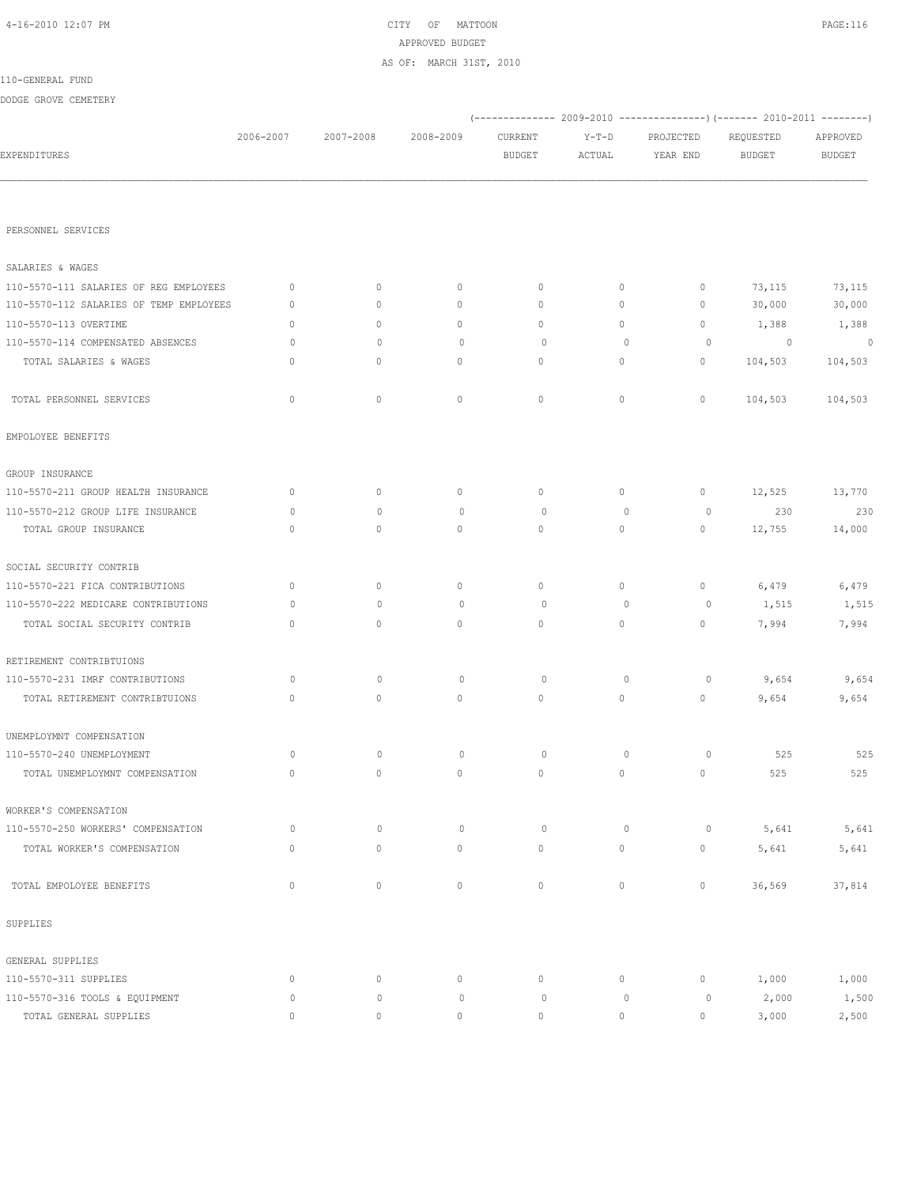# 4-16-2010 12:07 PM CITY OF MATTOON PAGE:116 APPROVED BUDGET

AS OF: MARCH 31ST, 2010

## 110-GENERAL FUND

|  | DODGE GROVE CEMETERY |  |
|--|----------------------|--|
|  |                      |  |

|                                         |              |              |              |                          |                   |                       | (------------- 2009-2010 ---------------) (------- 2010-2011 --------) |                           |
|-----------------------------------------|--------------|--------------|--------------|--------------------------|-------------------|-----------------------|------------------------------------------------------------------------|---------------------------|
| EXPENDITURES                            | 2006-2007    | 2007-2008    | 2008-2009    | CURRENT<br><b>BUDGET</b> | $Y-T-D$<br>ACTUAL | PROJECTED<br>YEAR END | REQUESTED<br>BUDGET                                                    | APPROVED<br><b>BUDGET</b> |
|                                         |              |              |              |                          |                   |                       |                                                                        |                           |
| PERSONNEL SERVICES                      |              |              |              |                          |                   |                       |                                                                        |                           |
| SALARIES & WAGES                        |              |              |              |                          |                   |                       |                                                                        |                           |
| 110-5570-111 SALARIES OF REG EMPLOYEES  | $\circ$      | $\circ$      | $\circ$      | $\mathbf 0$              | $\circ$           | 0                     | 73,115                                                                 | 73,115                    |
| 110-5570-112 SALARIES OF TEMP EMPLOYEES | $\mathbf{0}$ | 0            | $\mathbf 0$  | $\mathbf 0$              | $\circ$           | 0                     | 30,000                                                                 | 30,000                    |
| 110-5570-113 OVERTIME                   | $\mathbf{0}$ | $\circ$      | $\mathbf{0}$ | $\circ$                  | $\circ$           | 0                     | 1,388                                                                  | 1,388                     |
| 110-5570-114 COMPENSATED ABSENCES       | $\circ$      | $\circ$      | $\circ$      | 0                        | $\mathbf 0$       | $\mathbf 0$           | $\overline{0}$                                                         | $\mathbf 0$               |
| TOTAL SALARIES & WAGES                  | $\mathbf{0}$ | $\mathbf{0}$ | $\circ$      | $\circ$                  | $\circ$           | 0                     | 104,503                                                                | 104,503                   |
| TOTAL PERSONNEL SERVICES                | $\mathbb O$  | $\circ$      | $\mathbb O$  | $\circ$                  | $\circ$           | $\circ$               | 104,503                                                                | 104,503                   |
| EMPOLOYEE BENEFITS                      |              |              |              |                          |                   |                       |                                                                        |                           |
| GROUP INSURANCE                         |              |              |              |                          |                   |                       |                                                                        |                           |
| 110-5570-211 GROUP HEALTH INSURANCE     | $\mathbf{0}$ | $\circ$      | $\mathbf 0$  | $\mathbb O$              | $\circ$           | 0                     | 12,525                                                                 | 13,770                    |
| 110-5570-212 GROUP LIFE INSURANCE       | 0            | $\circ$      | $\circ$      | $\circ$                  | $\mathbf 0$       | $\mathbf 0$           | 230                                                                    | 230                       |
| TOTAL GROUP INSURANCE                   | $\mathbf{0}$ | $\circ$      | $\mathbf 0$  | $\circ$                  | $\circ$           | 0                     | 12,755                                                                 | 14,000                    |
| SOCIAL SECURITY CONTRIB                 |              |              |              |                          |                   |                       |                                                                        |                           |
| 110-5570-221 FICA CONTRIBUTIONS         | 0            | $\circ$      | $\mathbf 0$  | $\mathbf 0$              | $\circ$           | 0                     | 6,479                                                                  | 6,479                     |
| 110-5570-222 MEDICARE CONTRIBUTIONS     | 0            | 0            | $\mathbf 0$  | 0                        | $\mathbf 0$       | $\mathbf 0$           | 1,515                                                                  | 1,515                     |
| TOTAL SOCIAL SECURITY CONTRIB           | $\circ$      | $\circ$      | $\mathbb O$  | $\circ$                  | $\circ$           | 0                     | 7,994                                                                  | 7,994                     |
| RETIREMENT CONTRIBTUIONS                |              |              |              |                          |                   |                       |                                                                        |                           |
| 110-5570-231 IMRF CONTRIBUTIONS         | $\circ$      | 0            | $\circ$      | 0                        | $\circ$           | 0                     | 9,654                                                                  | 9,654                     |
| TOTAL RETIREMENT CONTRIBTUIONS          | 0            | $\circ$      | 0            | $\circ$                  | $\circ$           | 0                     | 9,654                                                                  | 9,654                     |
| UNEMPLOYMNT COMPENSATION                |              |              |              |                          |                   |                       |                                                                        |                           |
| 110-5570-240 UNEMPLOYMENT               | $\circ$      | $\circ$      | $\circ$      | $\circ$                  | $\mathbf 0$       | $\mathbf 0$           | 525                                                                    | 525                       |
| TOTAL UNEMPLOYMNT COMPENSATION          | $\mathbf{0}$ | $\circ$      | 0            | 0                        | $\circ$           | $\mathbb O$           | 525                                                                    | 525                       |
| WORKER'S COMPENSATION                   |              |              |              |                          |                   |                       |                                                                        |                           |
| 110-5570-250 WORKERS' COMPENSATION      | 0            | $\circ$      | $\circ$      | $\circ$                  | $\mathbf 0$       | $\mathbf{0}$          | 5,641                                                                  | 5,641                     |
| TOTAL WORKER'S COMPENSATION             | $\mathbb O$  | $\circ$      | $\circ$      | $\circ$                  | $\circ$           | $\circ$               | 5,641                                                                  | 5,641                     |
| TOTAL EMPOLOYEE BENEFITS                | $\circ$      | $\circ$      | $\circ$      | $\circ$                  | $\circ$           | 0                     | 36,569                                                                 | 37,814                    |
| SUPPLIES                                |              |              |              |                          |                   |                       |                                                                        |                           |
| GENERAL SUPPLIES                        |              |              |              |                          |                   |                       |                                                                        |                           |
| 110-5570-311 SUPPLIES                   | $\circ$      | $\circ$      | $\mathbf 0$  | $\circ$                  | $\circ$           | 0                     | 1,000                                                                  | 1,000                     |
| 110-5570-316 TOOLS & EQUIPMENT          | $\circ$      | 0            | $\circ$      | 0                        | $\mathbf 0$       | $\mathbf{0}$          | 2,000                                                                  | 1,500                     |
| TOTAL GENERAL SUPPLIES                  | 0            | $\mathbb O$  | 0            | $\circ$                  | $\circ$           | 0                     | 3,000                                                                  | 2,500                     |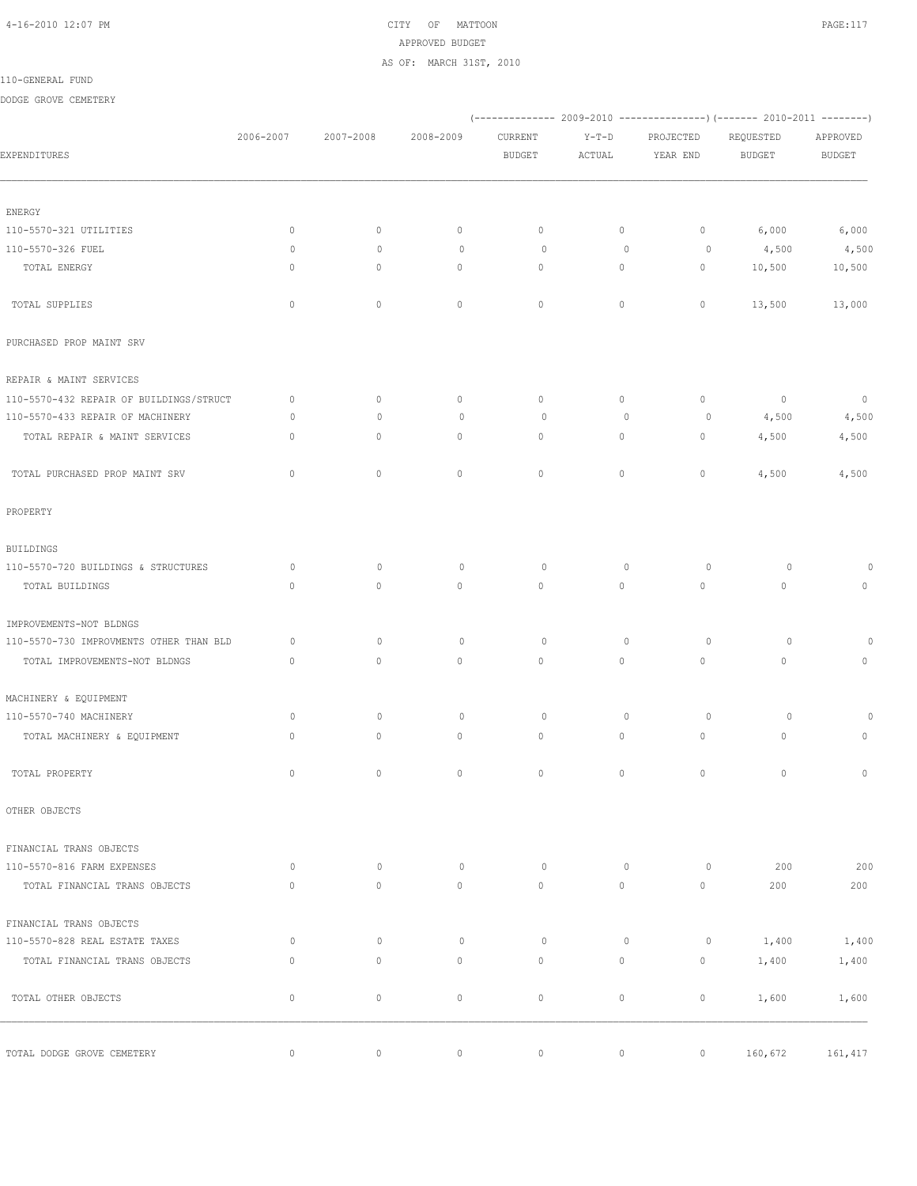## 4-16-2010 12:07 PM CITY OF MATTOON PAGE:117 APPROVED BUDGET AS OF: MARCH 31ST, 2010

#### 110-GENERAL FUND

#### DODGE GROVE CEMETERY

|                                         |              |                         |                    |                    |              |                    | (-------------- 2009-2010 ---------------)(------- 2010-2011 --------) |                 |
|-----------------------------------------|--------------|-------------------------|--------------------|--------------------|--------------|--------------------|------------------------------------------------------------------------|-----------------|
|                                         | 2006-2007    | 2007-2008               | 2008-2009          | CURRENT            | $Y-T-D$      | PROJECTED          | REQUESTED                                                              | APPROVED        |
| EXPENDITURES                            |              |                         |                    | <b>BUDGET</b>      | ACTUAL       | YEAR END           | <b>BUDGET</b>                                                          | <b>BUDGET</b>   |
|                                         |              |                         |                    |                    |              |                    |                                                                        |                 |
| ENERGY                                  |              |                         |                    |                    |              |                    |                                                                        |                 |
| 110-5570-321 UTILITIES                  | $\circ$      | 0                       | $\circ$            | $\circ$            | $\circ$      | $\circ$            | 6,000                                                                  | 6,000           |
| 110-5570-326 FUEL<br>TOTAL ENERGY       | 0<br>0       | $\mathbf{0}$<br>$\circ$ | $\circ$<br>$\circ$ | $\circ$<br>$\circ$ | $\circ$<br>0 | $\circ$<br>$\circ$ | 4,500<br>10,500                                                        | 4,500<br>10,500 |
|                                         |              |                         |                    |                    |              |                    |                                                                        |                 |
| TOTAL SUPPLIES                          | $\circ$      | $\mathbb O$             | $\mathbb O$        | $\circ$            | $\circ$      | $\circ$            | 13,500                                                                 | 13,000          |
| PURCHASED PROP MAINT SRV                |              |                         |                    |                    |              |                    |                                                                        |                 |
| REPAIR & MAINT SERVICES                 |              |                         |                    |                    |              |                    |                                                                        |                 |
| 110-5570-432 REPAIR OF BUILDINGS/STRUCT | $\mathbf 0$  | $\mathbb O$             | $\circ$            | $\circ$            | $\circ$      | $\circ$            | $\circ$                                                                | $\overline{0}$  |
| 110-5570-433 REPAIR OF MACHINERY        | 0            | $\circ$                 | 0                  | 0                  | $\mathbf 0$  | $\circ$            | 4,500                                                                  | 4,500           |
| TOTAL REPAIR & MAINT SERVICES           | $\mathbf{0}$ | 0                       | 0                  | $\circ$            | $\circ$      | $\circ$            | 4,500                                                                  | 4,500           |
| TOTAL PURCHASED PROP MAINT SRV          | $\circ$      | $\mathbb O$             | $\mathbb O$        | $\mathbb O$        | $\circ$      | 0                  | 4,500                                                                  | 4,500           |
| PROPERTY                                |              |                         |                    |                    |              |                    |                                                                        |                 |
| BUILDINGS                               |              |                         |                    |                    |              |                    |                                                                        |                 |
| 110-5570-720 BUILDINGS & STRUCTURES     | $\circ$      | $\circ$                 | $\circ$            | 0                  | $\circ$      | $\mathbf 0$        | $\circ$                                                                | $\cap$          |
| TOTAL BUILDINGS                         | $\circ$      | $\circ$                 | $\circ$            | $\circ$            | $\circ$      | $\circ$            | 0                                                                      | 0               |
| IMPROVEMENTS-NOT BLDNGS                 |              |                         |                    |                    |              |                    |                                                                        |                 |
| 110-5570-730 IMPROVMENTS OTHER THAN BLD | $\circ$      | $\circ$                 | $\circ$            | 0                  | $\mathbf 0$  | $\mathbf 0$        | $\circ$                                                                | 0               |
| TOTAL IMPROVEMENTS-NOT BLDNGS           | $\circ$      | 0                       | 0                  | $\circ$            | 0            | $\circ$            | 0                                                                      | 0               |
| MACHINERY & EQUIPMENT                   |              |                         |                    |                    |              |                    |                                                                        |                 |
| 110-5570-740 MACHINERY                  | 0            | 0                       | $\circ$            | 0                  | 0            | $\mathbf 0$        | 0                                                                      | $\mathbf{0}$    |
| TOTAL MACHINERY & EQUIPMENT             | $\circ$      | 0                       | $\circ$            | $\circ$            | $\circ$      | $\circ$            | $\mathbb O$                                                            | 0               |
| TOTAL PROPERTY                          | $\circ$      | $\mathbb O$             | $\circ$            | $\circ$            | $\circ$      | $\circ$            | 0                                                                      | 0               |
| OTHER OBJECTS                           |              |                         |                    |                    |              |                    |                                                                        |                 |
| FINANCIAL TRANS OBJECTS                 |              |                         |                    |                    |              |                    |                                                                        |                 |
| 110-5570-816 FARM EXPENSES              | $\circ$      | $\circ$                 | $\circ$            | $\circ$            | $\circ$      | $\mathbb O$        | 200                                                                    | 200             |
| TOTAL FINANCIAL TRANS OBJECTS           | $\circ$      | $\mathbb O$             | $\circ$            | $\circ$            | $\circ$      | 0                  | 200                                                                    | 200             |
| FINANCIAL TRANS OBJECTS                 |              |                         |                    |                    |              |                    |                                                                        |                 |
| 110-5570-828 REAL ESTATE TAXES          | $\circ$      | $\circ$                 | $\circ$            | 0                  | $\mathbf 0$  | $\circ$            | 1,400                                                                  | 1,400           |
| TOTAL FINANCIAL TRANS OBJECTS           | $\circ$      | $\circ$                 | $\circ$            | $\circ$            | $\circ$      | $\mathbb O$        | 1,400                                                                  | 1,400           |
| TOTAL OTHER OBJECTS                     | $\circ$      | $\mathbb O$             | $\mathbb O$        | $\mathbb O$        | $\circ$      | 0                  | 1,600                                                                  | 1,600           |
| TOTAL DODGE GROVE CEMETERY              | $\circ$      | $\mathbb O$             | $\circ$            | $\mathbb O$        | $\circ$      | $\circ$            | 160,672                                                                | 161,417         |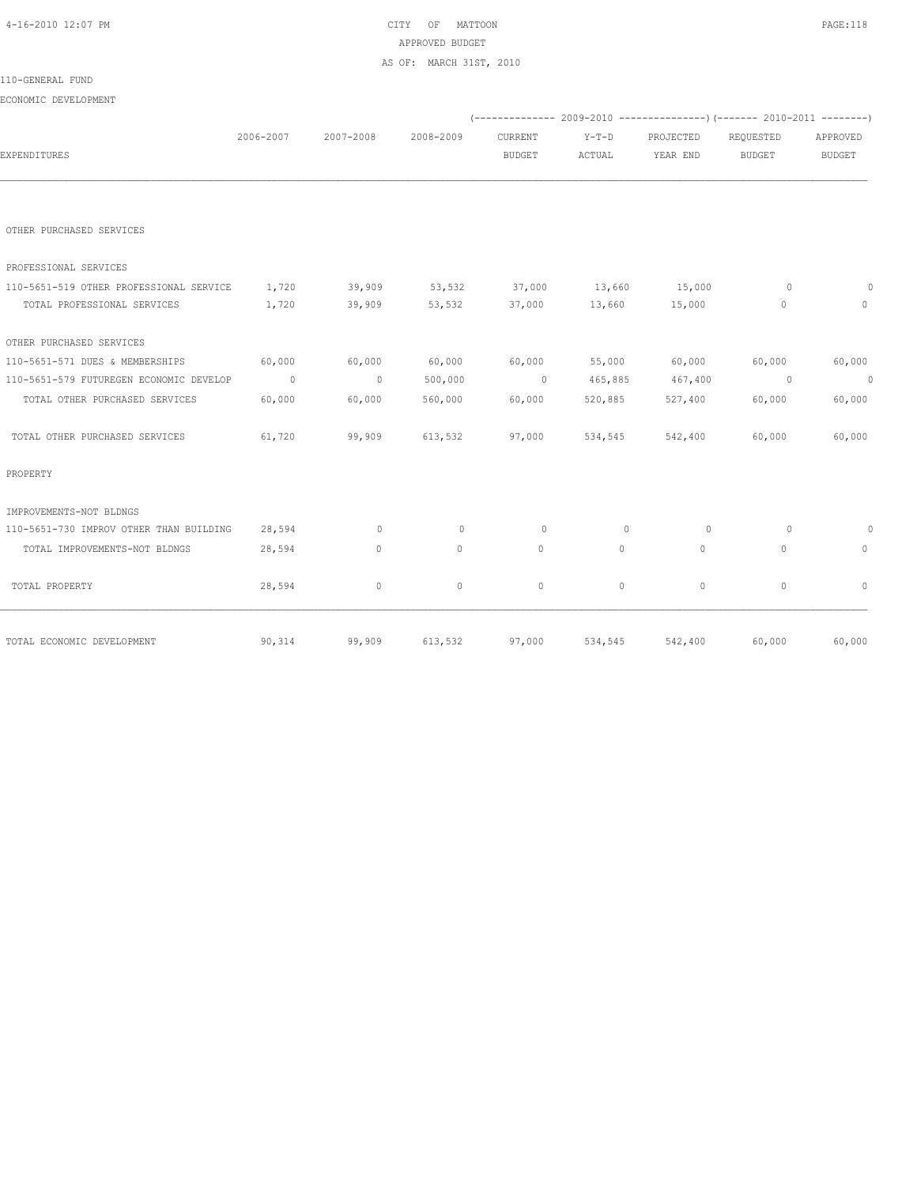## 4-16-2010 12:07 PM CITY OF MATTOON PAGE:118 APPROVED BUDGET AS OF: MARCH 31ST, 2010

#### 110-GENERAL FUND

#### ECONOMIC DEVELOPMENT

|                                         |           |              |              |               |              |              | (-------------- 2009-2010 -------------------) (------- 2010-2011 ---------) |               |
|-----------------------------------------|-----------|--------------|--------------|---------------|--------------|--------------|------------------------------------------------------------------------------|---------------|
|                                         | 2006-2007 | 2007-2008    | 2008-2009    | CURRENT       | $Y-T-D$      | PROJECTED    | REQUESTED                                                                    | APPROVED      |
| EXPENDITURES                            |           |              |              | <b>BUDGET</b> | ACTUAL       | YEAR END     | <b>BUDGET</b>                                                                | <b>BUDGET</b> |
|                                         |           |              |              |               |              |              |                                                                              |               |
| OTHER PURCHASED SERVICES                |           |              |              |               |              |              |                                                                              |               |
| PROFESSIONAL SERVICES                   |           |              |              |               |              |              |                                                                              |               |
| 110-5651-519 OTHER PROFESSIONAL SERVICE | 1,720     | 39,909       | 53, 532      | 37,000        | 13,660       | 15,000       | $\mathbf{0}$                                                                 |               |
| TOTAL PROFESSIONAL SERVICES             | 1,720     | 39,909       | 53,532       | 37,000        | 13,660       | 15,000       | $\circ$                                                                      | $\mathbf{0}$  |
| OTHER PURCHASED SERVICES                |           |              |              |               |              |              |                                                                              |               |
| 110-5651-571 DUES & MEMBERSHIPS         | 60,000    | 60,000       | 60,000       | 60,000        | 55,000       | 60,000       | 60,000                                                                       | 60,000        |
| 110-5651-579 FUTUREGEN ECONOMIC DEVELOP | $\sim$ 0  | $\circ$      | 500,000      | $\circ$       | 465,885      | 467,400      | $\overline{0}$                                                               | $\circ$       |
| TOTAL OTHER PURCHASED SERVICES          | 60,000    | 60,000       | 560,000      | 60,000        | 520,885      | 527,400      | 60,000                                                                       | 60,000        |
| TOTAL OTHER PURCHASED SERVICES          | 61,720    | 99,909       | 613,532      | 97,000        | 534,545      | 542,400      | 60,000                                                                       | 60,000        |
| PROPERTY                                |           |              |              |               |              |              |                                                                              |               |
| IMPROVEMENTS-NOT BLDNGS                 |           |              |              |               |              |              |                                                                              |               |
| 110-5651-730 IMPROV OTHER THAN BUILDING | 28,594    | $\mathbf{0}$ | $\mathbf{0}$ | $\circ$       | $\mathbf{0}$ | $\mathbf{0}$ | $\mathbf{0}$                                                                 | $\mathbf{0}$  |
| TOTAL IMPROVEMENTS-NOT BLDNGS           | 28,594    | 0            | $\mathbf{0}$ | 0             | $\circ$      | $\circ$      | $\circ$                                                                      | $\mathbf{0}$  |
| TOTAL PROPERTY                          | 28,594    | $\mathbb O$  | $\circ$      | $\mathbb O$   | $\circ$      | $\circ$      | $\circ$                                                                      | $\mathbf{0}$  |
| TOTAL ECONOMIC DEVELOPMENT              | 90,314    | 99,909       | 613,532      | 97,000        | 534,545      | 542,400      | 60,000                                                                       | 60,000        |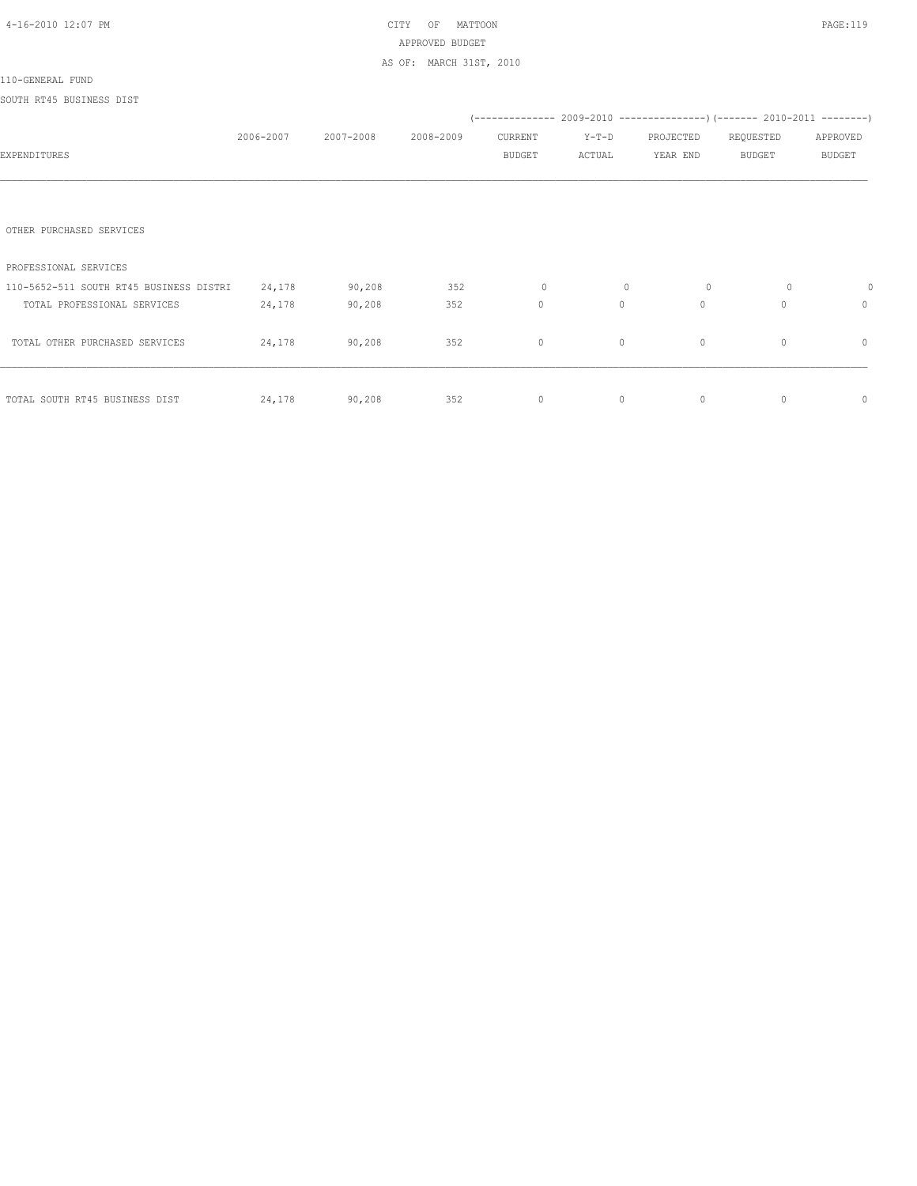## 4-16-2010 12:07 PM CITY OF MATTOON PAGE:119 APPROVED BUDGET AS OF: MARCH 31ST, 2010

#### 110-GENERAL FUND

#### SOUTH RT45 BUSINESS DIST

| EXPENDITURES                            | 2006-2007 | 2007-2008 | 2008-2009 | CURRENT<br><b>BUDGET</b> | $Y-T-D$<br>ACTUAL | PROJECTED<br>YEAR END      | (-------------- 2009-2010 ----------------) (------- 2010-2011 --------)<br>REQUESTED<br><b>BUDGET</b> | APPROVED<br><b>BUDGET</b> |
|-----------------------------------------|-----------|-----------|-----------|--------------------------|-------------------|----------------------------|--------------------------------------------------------------------------------------------------------|---------------------------|
| OTHER PURCHASED SERVICES                |           |           |           |                          |                   |                            |                                                                                                        |                           |
| PROFESSIONAL SERVICES                   |           |           |           |                          |                   |                            |                                                                                                        |                           |
| 110-5652-511 SOUTH RT45 BUSINESS DISTRI | 24,178    | 90,208    | 352       | 0                        |                   | $\mathbf 0$<br>$\mathbf 0$ | $\mathbf 0$                                                                                            | 0                         |
| TOTAL PROFESSIONAL SERVICES             | 24,178    | 90,208    | 352       | $\mathbf{0}$             |                   | $\circ$<br>$\circ$         | $\Omega$                                                                                               | $\circ$                   |
| TOTAL OTHER PURCHASED SERVICES          | 24,178    | 90,208    | 352       | $\mathbb O$              |                   | $\circ$<br>$\circ$         | $\mathbf{0}$                                                                                           | $\mathbf{0}$              |
| TOTAL SOUTH RT45 BUSINESS DIST          | 24,178    | 90,208    | 352       | $\circ$                  |                   | $\circ$<br>$\mathbb O$     | $\mathbf{0}$                                                                                           | $\circ$                   |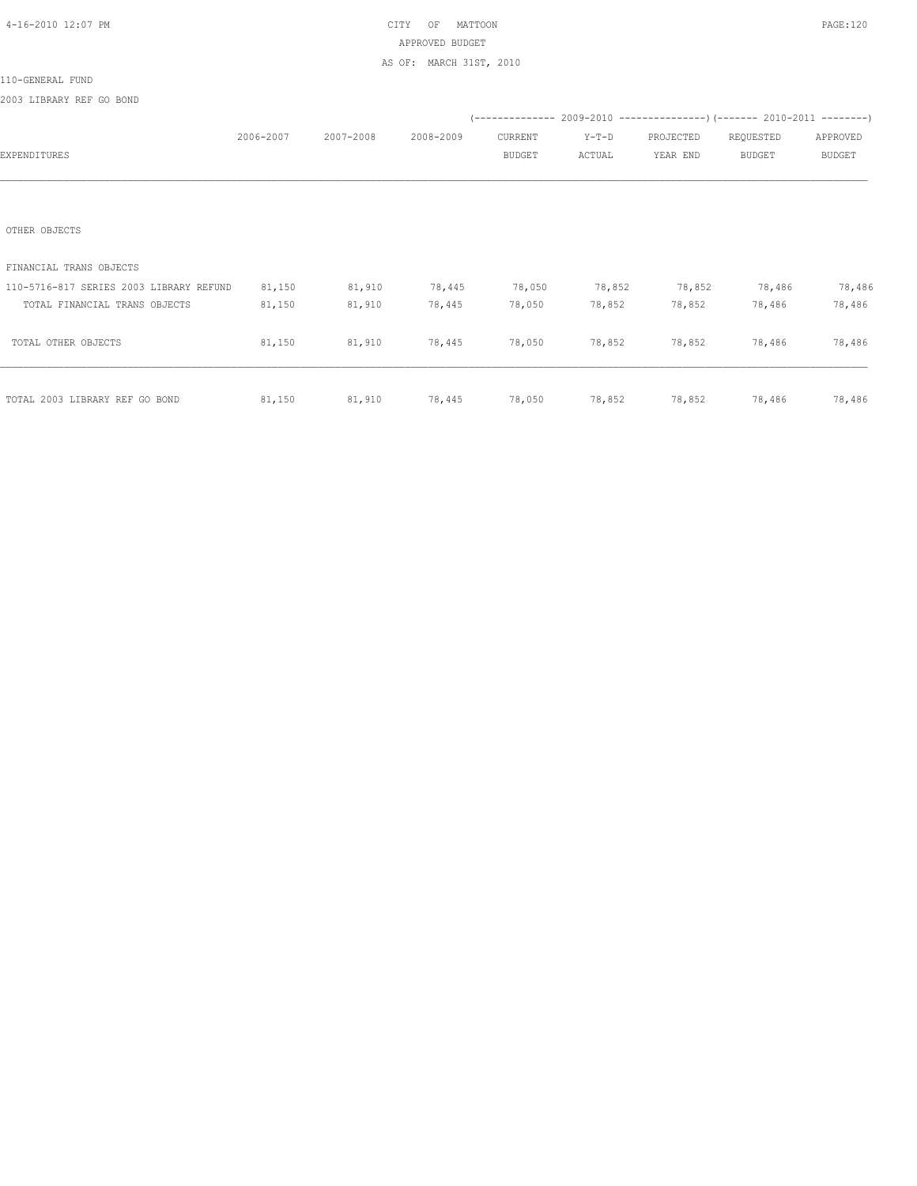## 4-16-2010 12:07 PM CITY OF MATTOON PAGE:120 APPROVED BUDGET AS OF: MARCH 31ST, 2010

## 110-GENERAL FUND

2003 LIBRARY REF GO BOND

| ZUUS BIBRARI REP GU BUND                |           |           |           |                          |                   |                       |                                                                                                       |                           |
|-----------------------------------------|-----------|-----------|-----------|--------------------------|-------------------|-----------------------|-------------------------------------------------------------------------------------------------------|---------------------------|
| EXPENDITURES                            | 2006-2007 | 2007-2008 | 2008-2009 | CURRENT<br><b>BUDGET</b> | $Y-T-D$<br>ACTUAL | PROJECTED<br>YEAR END | (-------------- 2009-2010 ---------------) (------- 2010-2011 --------)<br>REQUESTED<br><b>BUDGET</b> | APPROVED<br><b>BUDGET</b> |
|                                         |           |           |           |                          |                   |                       |                                                                                                       |                           |
| OTHER OBJECTS                           |           |           |           |                          |                   |                       |                                                                                                       |                           |
| FINANCIAL TRANS OBJECTS                 |           |           |           |                          |                   |                       |                                                                                                       |                           |
| 110-5716-817 SERIES 2003 LIBRARY REFUND | 81,150    | 81,910    | 78,445    | 78,050                   | 78,852            | 78,852                | 78,486                                                                                                | 78,486                    |
| TOTAL FINANCIAL TRANS OBJECTS           | 81,150    | 81,910    | 78,445    | 78,050                   | 78,852            | 78,852                | 78,486                                                                                                | 78,486                    |
| TOTAL OTHER OBJECTS                     | 81,150    | 81,910    | 78,445    | 78,050                   | 78,852            | 78,852                | 78,486                                                                                                | 78,486                    |

| TOTAL 2003 LIBRARY REF GO BOND | 81,150   81,910   78,445   78,050   78,852   78,852   78,486   78,486 |  |  |  |  |
|--------------------------------|-----------------------------------------------------------------------|--|--|--|--|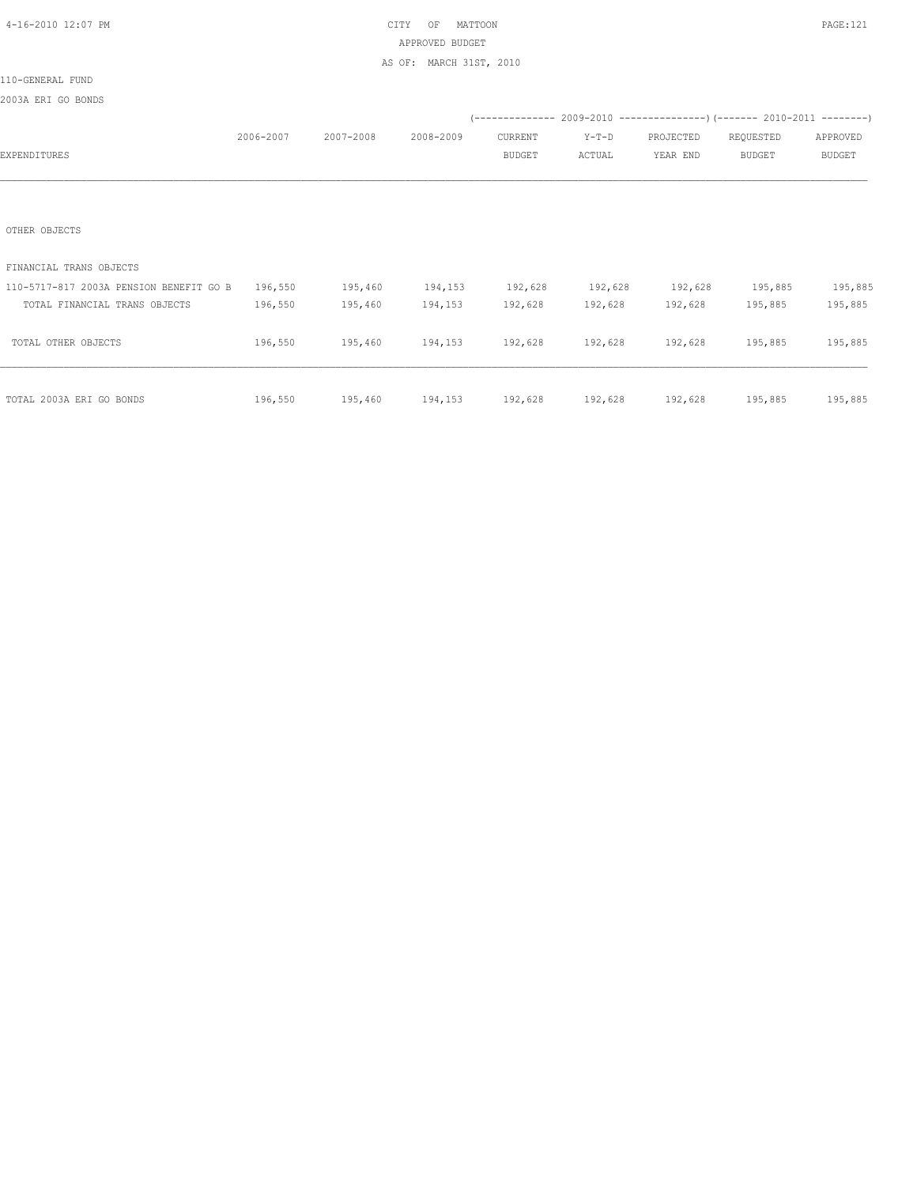## 4-16-2010 12:07 PM CITY OF MATTOON PAGE:121 APPROVED BUDGET AS OF: MARCH 31ST, 2010

#### 110-GENERAL FUND

2003A ERI GO BONDS

| CUNDU INI UU DUNDU                      |           |                 |           |                          |                   |                       |                            |                           |
|-----------------------------------------|-----------|-----------------|-----------|--------------------------|-------------------|-----------------------|----------------------------|---------------------------|
| EXPENDITURES                            | 2006-2007 | 2007-2008       | 2008-2009 | CURRENT<br><b>BUDGET</b> | $Y-T-D$<br>ACTUAL | PROJECTED<br>YEAR END | REQUESTED<br><b>BUDGET</b> | APPROVED<br><b>BUDGET</b> |
|                                         |           |                 |           |                          |                   |                       |                            |                           |
|                                         |           |                 |           |                          |                   |                       |                            |                           |
| OTHER OBJECTS                           |           |                 |           |                          |                   |                       |                            |                           |
| FINANCIAL TRANS OBJECTS                 |           |                 |           |                          |                   |                       |                            |                           |
| 110-5717-817 2003A PENSION BENEFIT GO B | 196,550   | 195,460         | 194,153   | 192,628                  | 192,628           | 192,628               | 195,885                    | 195,885                   |
| TOTAL FINANCIAL TRANS OBJECTS           | 196,550   | 195,460         | 194,153   | 192,628                  | 192,628           | 192,628               | 195,885                    | 195,885                   |
| TOTAL OTHER OBJECTS                     | 196,550   | 195,460         | 194,153   | 192,628                  | 192,628           | 192,628               | 195,885                    | 195,885                   |
| TOTAL 2003A ERI GO BONDS                |           | 196,550 195,460 |           | 194,153 192,628          | 192,628 192,628   |                       | 195,885                    | 195,885                   |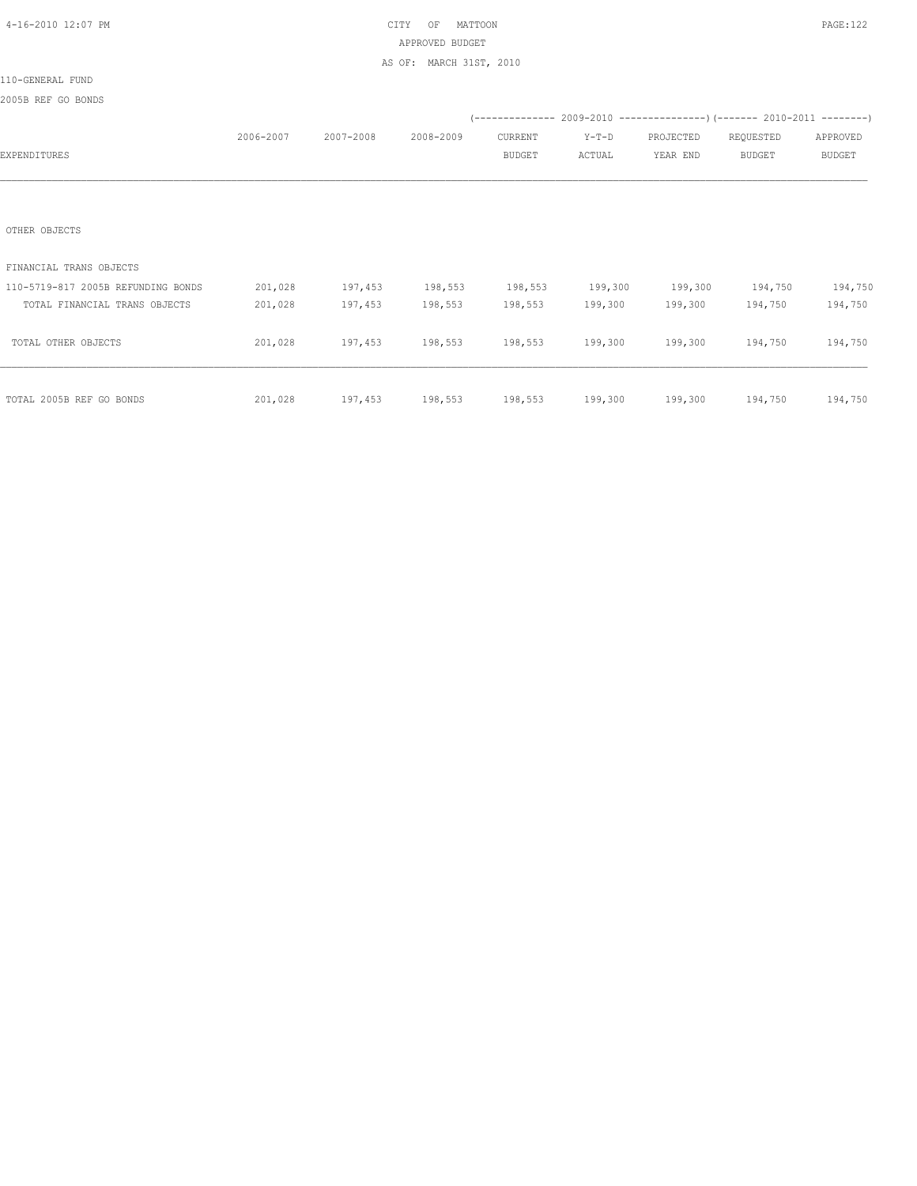## 4-16-2010 12:07 PM CITY OF MATTOON PAGE:122 APPROVED BUDGET AS OF: MARCH 31ST, 2010

#### 110-GENERAL FUND

| 2005B REF GO BONDS                 |           |           |           | (-------------- 2009-2010 ----------------) (------- 2010-2011 --------) |                   |                       |                            |                           |
|------------------------------------|-----------|-----------|-----------|--------------------------------------------------------------------------|-------------------|-----------------------|----------------------------|---------------------------|
| EXPENDITURES                       | 2006-2007 | 2007-2008 | 2008-2009 | CURRENT<br><b>BUDGET</b>                                                 | $Y-T-D$<br>ACTUAL | PROJECTED<br>YEAR END | REQUESTED<br><b>BUDGET</b> | APPROVED<br><b>BUDGET</b> |
|                                    |           |           |           |                                                                          |                   |                       |                            |                           |
|                                    |           |           |           |                                                                          |                   |                       |                            |                           |
| OTHER OBJECTS                      |           |           |           |                                                                          |                   |                       |                            |                           |
| FINANCIAL TRANS OBJECTS            |           |           |           |                                                                          |                   |                       |                            |                           |
| 110-5719-817 2005B REFUNDING BONDS | 201,028   | 197,453   | 198,553   | 198,553                                                                  | 199,300           | 199,300               | 194,750                    | 194,750                   |
| TOTAL FINANCIAL TRANS OBJECTS      | 201,028   | 197,453   | 198,553   | 198,553                                                                  | 199,300           | 199,300               | 194,750                    | 194,750                   |
| TOTAL OTHER OBJECTS                | 201,028   | 197,453   | 198,553   | 198,553                                                                  | 199,300           | 199,300               | 194,750                    | 194,750                   |
| TOTAL 2005B REF GO BONDS           | 201,028   | 197,453   | 198,553   | 198,553                                                                  | 199,300           | 199,300               | 194,750                    | 194,750                   |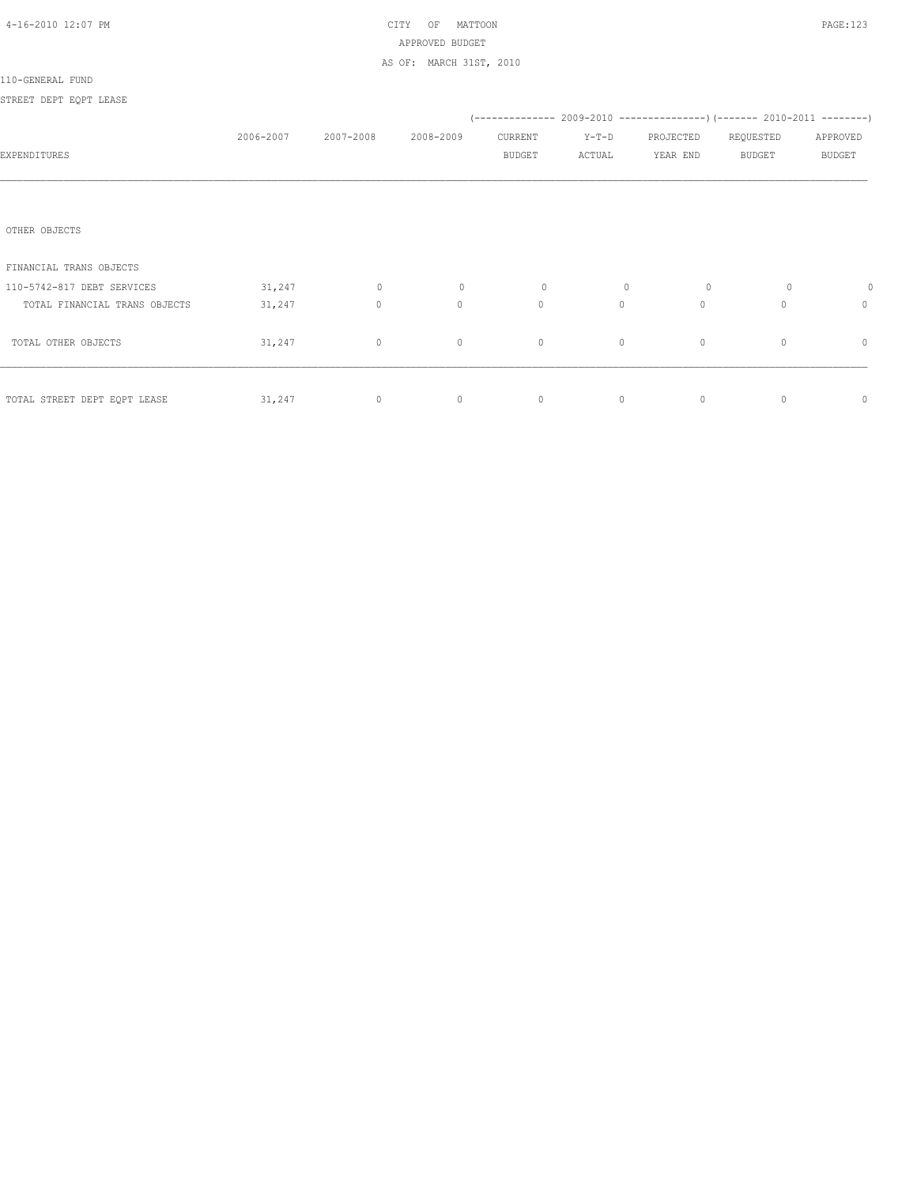## 4-16-2010 12:07 PM CITY OF MATTOON PAGE:123 APPROVED BUDGET AS OF: MARCH 31ST, 2010

#### 110-GENERAL FUND

#### STREET DEPT EQPT LEASE

|                               |           |             |              |               |              | (-------------- 2009-2010 ----------------) (------- 2010-2011 --------) |               |               |
|-------------------------------|-----------|-------------|--------------|---------------|--------------|--------------------------------------------------------------------------|---------------|---------------|
|                               | 2006-2007 | 2007-2008   | 2008-2009    | CURRENT       | $Y-T-D$      | PROJECTED                                                                | REQUESTED     | APPROVED      |
| EXPENDITURES                  |           |             |              | <b>BUDGET</b> | ACTUAL       | YEAR END                                                                 | <b>BUDGET</b> | <b>BUDGET</b> |
|                               |           |             |              |               |              |                                                                          |               |               |
|                               |           |             |              |               |              |                                                                          |               |               |
| OTHER OBJECTS                 |           |             |              |               |              |                                                                          |               |               |
| FINANCIAL TRANS OBJECTS       |           |             |              |               |              |                                                                          |               |               |
| 110-5742-817 DEBT SERVICES    | 31,247    | $\circ$     | $\circ$      | 0             | $\mathbf{0}$ | $\mathbf{0}$                                                             | $\mathbf 0$   | 0             |
| TOTAL FINANCIAL TRANS OBJECTS | 31,247    | $\mathbb O$ | $\mathbf{0}$ | $\mathbf{0}$  | $\circ$      | $\circ$                                                                  | $\circ$       | $\mathbf{0}$  |
| TOTAL OTHER OBJECTS           | 31,247    | $\circ$     | $\circ$      | $\circ$       | $\circ$      | $\circ$                                                                  | $\circ$       | $\mathbf{0}$  |
| TOTAL STREET DEPT EQPT LEASE  | 31,247    | $\circ$     | $\circ$      | $\circ$       | $\circ$      | $\circ$                                                                  | $\mathbf{0}$  | $\mathbf{0}$  |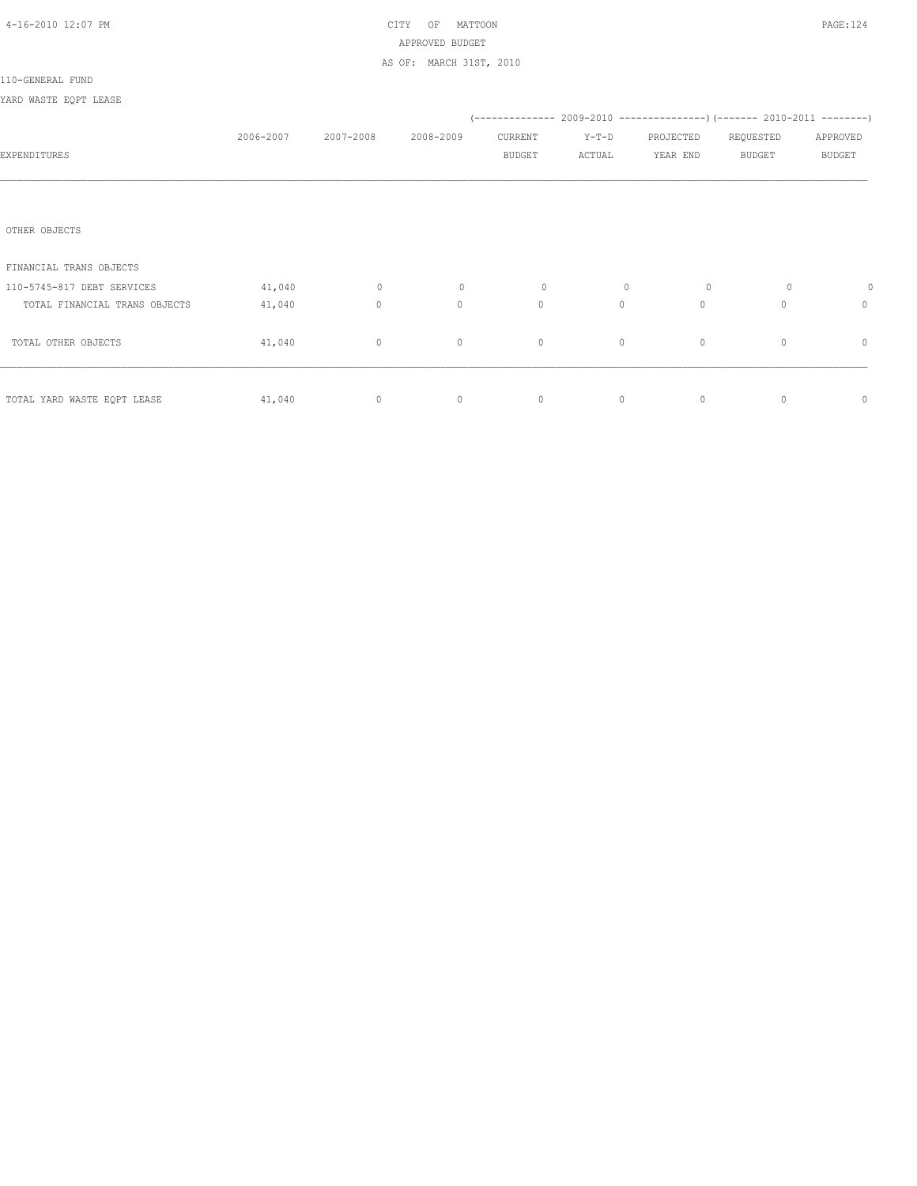## 4-16-2010 12:07 PM CITY OF MATTOON PAGE:124 APPROVED BUDGET AS OF: MARCH 31ST, 2010

#### 110-GENERAL FUND

#### YARD WASTE EQPT LEASE

|                               |           |             |              |               |             | (-------------- 2009-2010 ----------------) (------- 2010-2011 --------) |               |               |
|-------------------------------|-----------|-------------|--------------|---------------|-------------|--------------------------------------------------------------------------|---------------|---------------|
|                               | 2006-2007 | 2007-2008   | 2008-2009    | CURRENT       | $Y-T-D$     | PROJECTED                                                                | REQUESTED     | APPROVED      |
| EXPENDITURES                  |           |             |              | <b>BUDGET</b> | ACTUAL      | YEAR END                                                                 | <b>BUDGET</b> | <b>BUDGET</b> |
|                               |           |             |              |               |             |                                                                          |               |               |
|                               |           |             |              |               |             |                                                                          |               |               |
| OTHER OBJECTS                 |           |             |              |               |             |                                                                          |               |               |
| FINANCIAL TRANS OBJECTS       |           |             |              |               |             |                                                                          |               |               |
| 110-5745-817 DEBT SERVICES    | 41,040    | $\circ$     | $\circ$      | 0             | $\mathbf 0$ | $\mathbf 0$                                                              | $\mathbf 0$   | 0             |
| TOTAL FINANCIAL TRANS OBJECTS | 41,040    | $\mathbb O$ | $\mathbf{0}$ | $\mathbf{0}$  | $\circ$     | $\circ$                                                                  | $\mathbf{0}$  | $\circ$       |
| TOTAL OTHER OBJECTS           | 41,040    | $\mathbb O$ | $\circ$      | $\mathbb O$   | $\circ$     | $\mathbb O$                                                              | $\mathbf{0}$  | $\mathbf{0}$  |
| TOTAL YARD WASTE EQPT LEASE   | 41,040    | $\circ$     | $\mathbf{0}$ | $\circ$       | $\circ$     | $\mathbb O$                                                              | $\mathbf{0}$  | 0             |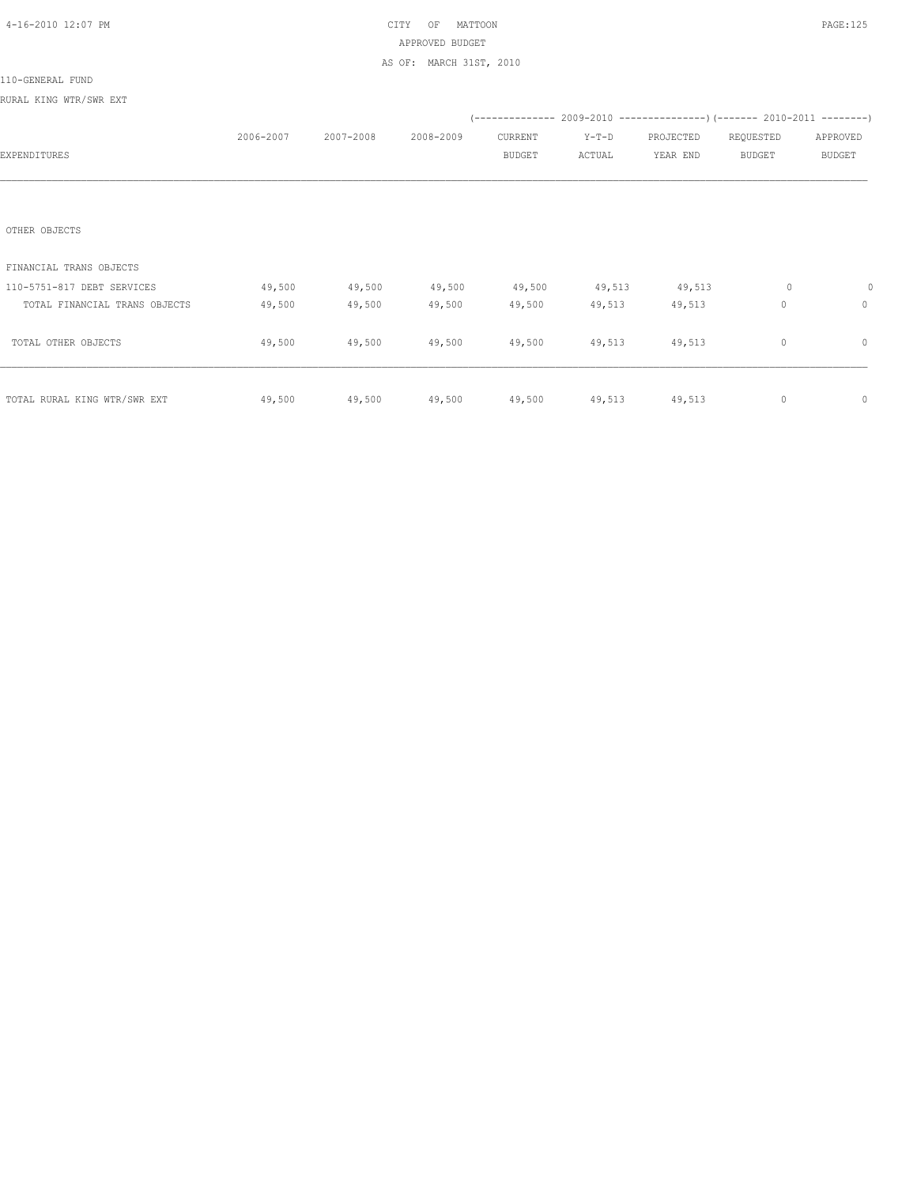## 4-16-2010 12:07 PM CITY OF MATTOON PAGE:125 APPROVED BUDGET AS OF: MARCH 31ST, 2010

#### 110-GENERAL FUND

| EXPENDITURES                  | 2006-2007 | 2007-2008 | 2008-2009 | CURRENT<br><b>BUDGET</b> | $Y-T-D$<br>ACTUAL | (-------------- 2009-2010 -----------------) (------- 2010-2011 --------)<br>PROJECTED<br>YEAR END | REQUESTED<br><b>BUDGET</b> | APPROVED<br><b>BUDGET</b> |
|-------------------------------|-----------|-----------|-----------|--------------------------|-------------------|----------------------------------------------------------------------------------------------------|----------------------------|---------------------------|
|                               |           |           |           |                          |                   |                                                                                                    |                            |                           |
| OTHER OBJECTS                 |           |           |           |                          |                   |                                                                                                    |                            |                           |
| FINANCIAL TRANS OBJECTS       |           |           |           |                          |                   |                                                                                                    |                            |                           |
| 110-5751-817 DEBT SERVICES    | 49,500    | 49,500    | 49,500    | 49,500                   | 49,513            | 49,513                                                                                             | $\mathbf{0}$               | 0                         |
| TOTAL FINANCIAL TRANS OBJECTS | 49,500    | 49,500    | 49,500    | 49,500                   | 49,513            | 49,513                                                                                             | 0                          | $\circ$                   |
| TOTAL OTHER OBJECTS           | 49,500    | 49,500    | 49,500    | 49,500                   | 49,513            | 49,513                                                                                             | $\mathbf{0}$               | $\mathbf{0}$              |
| TOTAL RURAL KING WTR/SWR EXT  | 49,500    | 49,500    | 49,500    | 49,500                   | 49,513            | 49,513                                                                                             | $\mathbf{0}$               | $\circ$                   |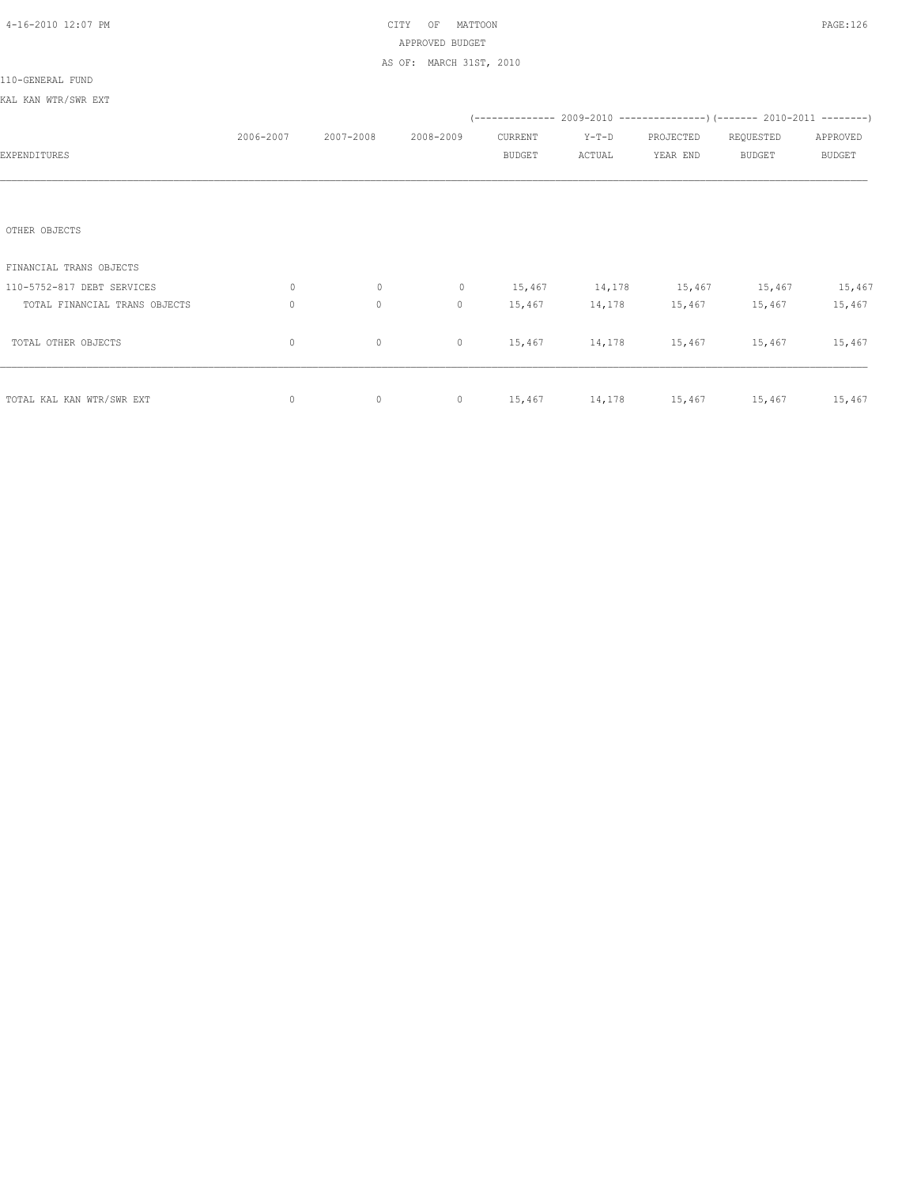## 4-16-2010 12:07 PM CITY OF MATTOON PAGE:126 APPROVED BUDGET AS OF: MARCH 31ST, 2010

#### 110-GENERAL FUND

KAL KAN WTR/SWR EXT

|                               |              |             |           |               |         | $(-$ ------------- 2009-2010 ----------------) (------- 2010-2011 --------) |               |               |  |
|-------------------------------|--------------|-------------|-----------|---------------|---------|-----------------------------------------------------------------------------|---------------|---------------|--|
|                               | 2006-2007    | 2007-2008   | 2008-2009 | CURRENT       | $Y-T-D$ | PROJECTED                                                                   | REQUESTED     | APPROVED      |  |
| EXPENDITURES                  |              |             |           | <b>BUDGET</b> | ACTUAL  | YEAR END                                                                    | <b>BUDGET</b> | <b>BUDGET</b> |  |
|                               |              |             |           |               |         |                                                                             |               |               |  |
| OTHER OBJECTS                 |              |             |           |               |         |                                                                             |               |               |  |
| FINANCIAL TRANS OBJECTS       |              |             |           |               |         |                                                                             |               |               |  |
| 110-5752-817 DEBT SERVICES    | $\circ$      | $\circ$     | $\circ$   | 15,467        | 14,178  | 15,467                                                                      | 15,467        | 15,467        |  |
| TOTAL FINANCIAL TRANS OBJECTS | $\mathbf{0}$ | $\mathbb O$ | $\circ$   | 15,467        | 14,178  | 15,467                                                                      | 15,467        | 15,467        |  |
| TOTAL OTHER OBJECTS           | 0            | $\circ$     | $\circ$   | 15,467        | 14,178  | 15,467                                                                      | 15,467        | 15,467        |  |
| TOTAL KAL KAN WTR/SWR EXT     | 0            | $\circ$     | $\circ$   | 15,467        |         | 14,178 15,467                                                               | 15,467        | 15,467        |  |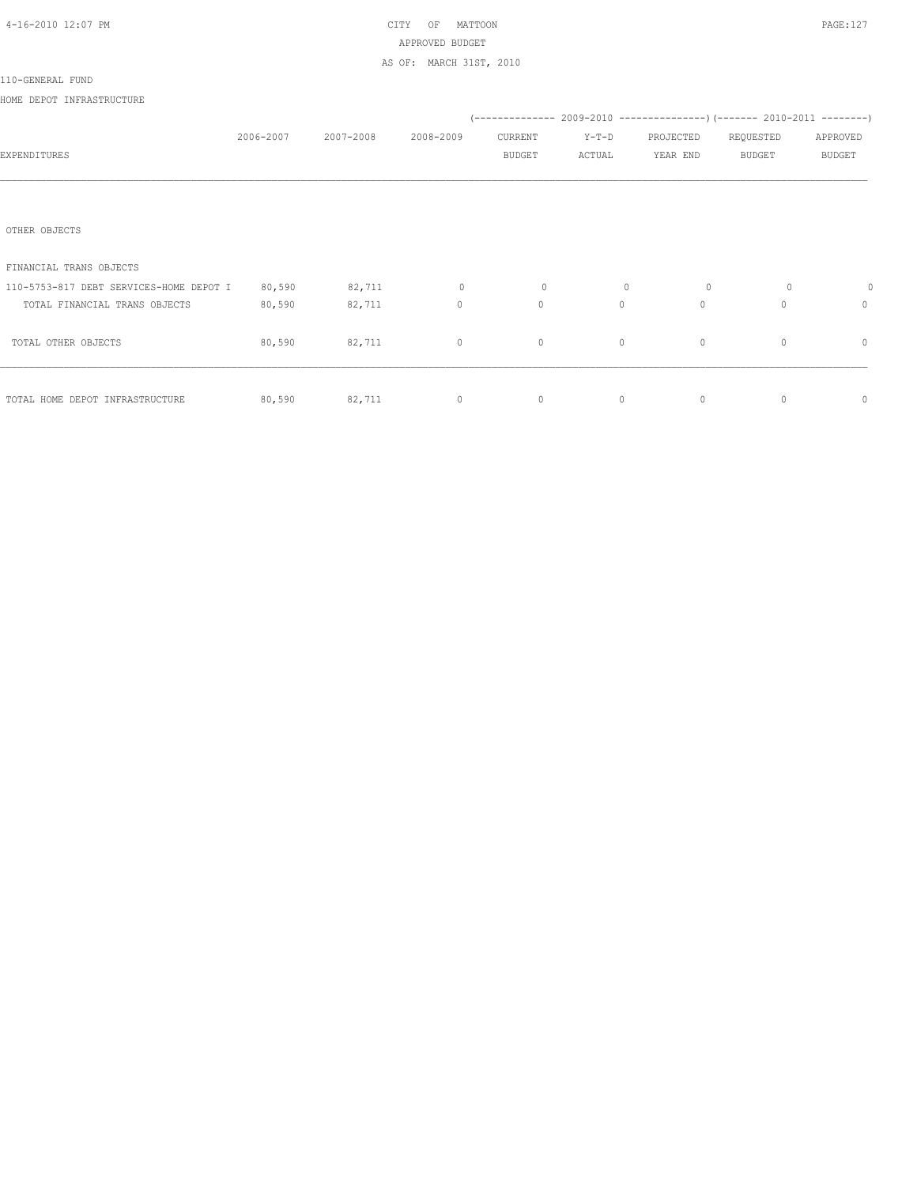## 4-16-2010 12:07 PM CITY OF MATTOON PAGE:127 APPROVED BUDGET AS OF: MARCH 31ST, 2010

## 110-GENERAL FUND

#### HOME DEPOT INFRASTRUCTURE

|                                         |           |           |             |               |             | (-------------- 2009-2010 ----------------) (------- 2010-2011 --------) |               |               |
|-----------------------------------------|-----------|-----------|-------------|---------------|-------------|--------------------------------------------------------------------------|---------------|---------------|
|                                         | 2006-2007 | 2007-2008 | 2008-2009   | CURRENT       | $Y-T-D$     | PROJECTED                                                                | REQUESTED     | APPROVED      |
| EXPENDITURES                            |           |           |             | <b>BUDGET</b> | ACTUAL      | YEAR END                                                                 | <b>BUDGET</b> | <b>BUDGET</b> |
|                                         |           |           |             |               |             |                                                                          |               |               |
|                                         |           |           |             |               |             |                                                                          |               |               |
| OTHER OBJECTS                           |           |           |             |               |             |                                                                          |               |               |
| FINANCIAL TRANS OBJECTS                 |           |           |             |               |             |                                                                          |               |               |
| 110-5753-817 DEBT SERVICES-HOME DEPOT I | 80,590    | 82,711    | $\circ$     | 0             | $\mathbf 0$ | $\mathbf 0$                                                              | $\mathbf 0$   | 0             |
| TOTAL FINANCIAL TRANS OBJECTS           | 80,590    | 82,711    | $\mathbb O$ | $\mathbf{0}$  | $\circ$     | $\circ$                                                                  | $\mathbf{0}$  | $\circ$       |
| TOTAL OTHER OBJECTS                     | 80,590    | 82,711    | $\circ$     | $\circ$       | $\circ$     | $\circ$                                                                  | $\circ$       | $\mathbf{0}$  |
| TOTAL HOME DEPOT INFRASTRUCTURE         | 80,590    | 82,711    | $\circ$     | $\circ$       | $\circ$     | $\circ$                                                                  | $\mathbf{0}$  | $\mathbf{0}$  |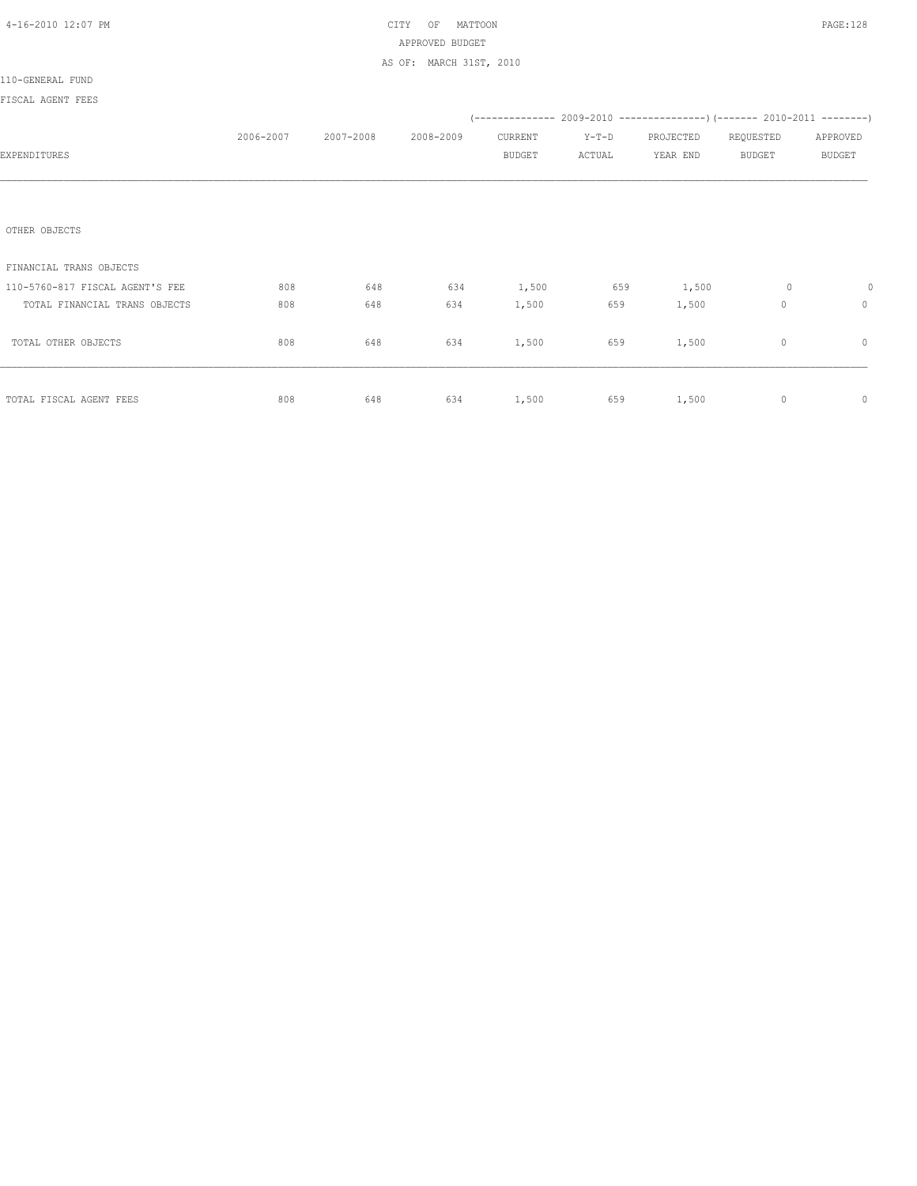## 4-16-2010 12:07 PM CITY OF MATTOON PAGE:128 APPROVED BUDGET AS OF: MARCH 31ST, 2010

#### 110-GENERAL FUND

#### FISCAL AGENT FEES

| EXPENDITURES                                                                                | 2006-2007  | 2007-2008  | 2008-2009  | CURRENT<br><b>BUDGET</b> | $Y-T-D$<br>ACTUAL | PROJECTED<br>YEAR END | (-------------- 2009-2010 ----------------) (------- 2010-2011 --------)<br>REQUESTED<br><b>BUDGET</b> | APPROVED<br><b>BUDGET</b> |
|---------------------------------------------------------------------------------------------|------------|------------|------------|--------------------------|-------------------|-----------------------|--------------------------------------------------------------------------------------------------------|---------------------------|
| OTHER OBJECTS                                                                               |            |            |            |                          |                   |                       |                                                                                                        |                           |
| FINANCIAL TRANS OBJECTS<br>110-5760-817 FISCAL AGENT'S FEE<br>TOTAL FINANCIAL TRANS OBJECTS | 808<br>808 | 648<br>648 | 634<br>634 | 1,500<br>1,500           | 659<br>659        | 1,500<br>1,500        | $\mathbf 0$<br>$\circ$                                                                                 | 0<br>$\circ$              |
| TOTAL OTHER OBJECTS                                                                         | 808        | 648        | 634        | 1,500                    | 659               | 1,500                 | $\circ$                                                                                                | $\circ$                   |
| TOTAL FISCAL AGENT FEES                                                                     | 808        | 648        | 634        | 1,500                    | 659               | 1,500                 | $\circ$                                                                                                | $\circ$                   |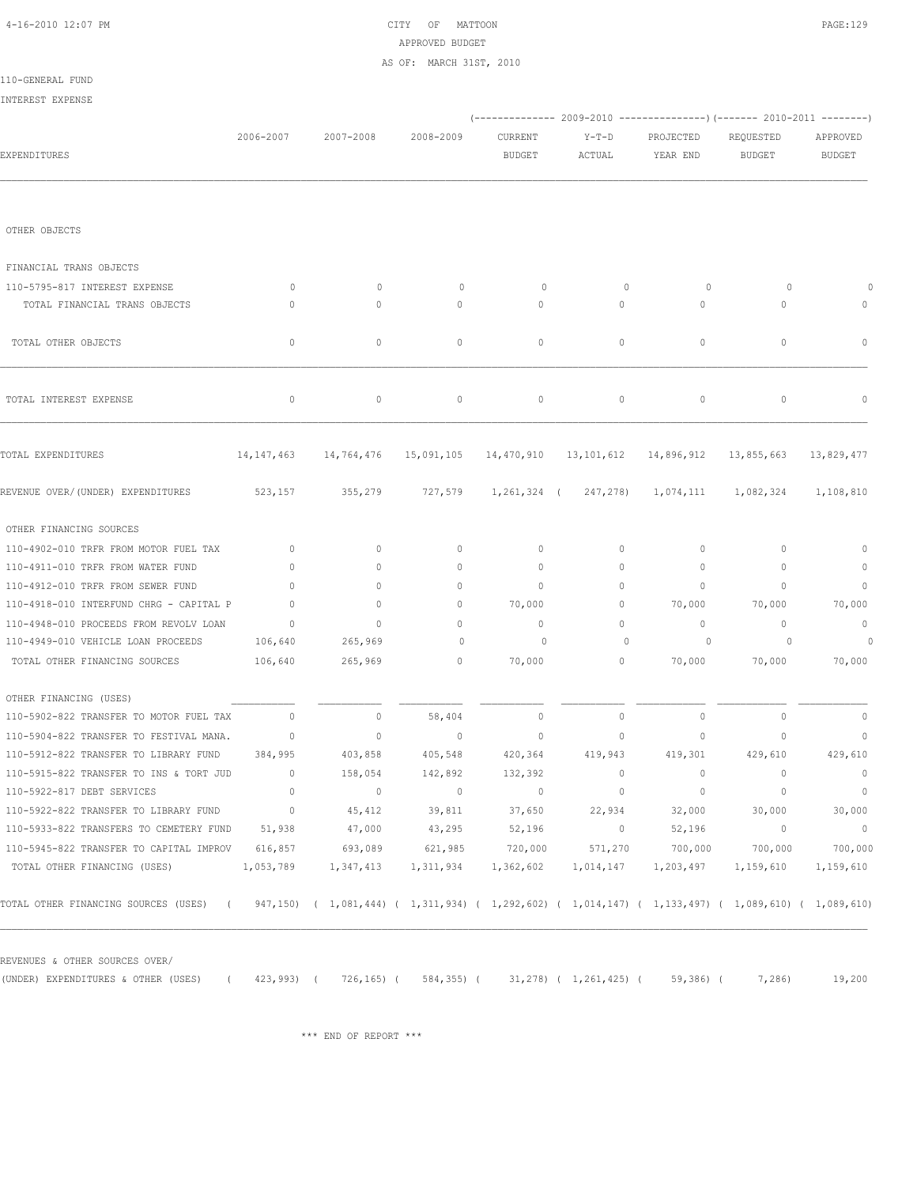# 4-16-2010 12:07 PM CITY OF MATTOON PAGE:129 APPROVED BUDGET

AS OF: MARCH 31ST, 2010

## 110-GENERAL FUND INTEREST EXPENSE

|                                                                       |                |                                                                                              |                |                          | (-------------- 2009-2010 ---------------) (------- 2010-2011 --------) |                       |                            |                          |
|-----------------------------------------------------------------------|----------------|----------------------------------------------------------------------------------------------|----------------|--------------------------|-------------------------------------------------------------------------|-----------------------|----------------------------|--------------------------|
| EXPENDITURES                                                          | 2006-2007      | 2007-2008                                                                                    | 2008-2009      | CURRENT<br><b>BUDGET</b> | $Y-T-D$<br>ACTUAL                                                       | PROJECTED<br>YEAR END | REQUESTED<br><b>BUDGET</b> | APPROVED<br>BUDGET       |
|                                                                       |                |                                                                                              |                |                          |                                                                         |                       |                            |                          |
| OTHER OBJECTS                                                         |                |                                                                                              |                |                          |                                                                         |                       |                            |                          |
| FINANCIAL TRANS OBJECTS                                               |                |                                                                                              |                |                          |                                                                         |                       |                            |                          |
| 110-5795-817 INTEREST EXPENSE                                         | 0              | 0                                                                                            | 0              | 0                        | $\mathbf 0$                                                             | $\mathbf{0}$          | $\mathbf 0$                |                          |
| TOTAL FINANCIAL TRANS OBJECTS                                         | $\mathbf{0}$   | $\circ$                                                                                      | $\mathbf{0}$   | $\mathbf{0}$             | $\circ$                                                                 | $\circ$               | $\circ$                    | 0                        |
| TOTAL OTHER OBJECTS                                                   | 0              | $\circ$                                                                                      | $\mathbf 0$    | $\circ$                  | $\circ$                                                                 | 0                     | $\mathbf{0}$               | 0                        |
| TOTAL INTEREST EXPENSE                                                | $\circ$        | $\circ$                                                                                      | $\circ$        | $\circ$                  | $\circ$                                                                 | 0                     | $\mathbf 0$                | $\circ$                  |
| TOTAL EXPENDITURES                                                    | 14, 147, 463   | 14,764,476  15,091,105  14,470,910  13,101,612  14,896,912                                   |                |                          |                                                                         |                       | 13,855,663                 | 13,829,477               |
| REVENUE OVER/(UNDER) EXPENDITURES                                     | 523, 157       | 355,279                                                                                      | 727,579        |                          | 1,261,324 ( 247,278) 1,074,111                                          |                       | 1,082,324                  | 1,108,810                |
| OTHER FINANCING SOURCES                                               |                |                                                                                              |                |                          |                                                                         |                       |                            |                          |
| 110-4902-010 TRFR FROM MOTOR FUEL TAX                                 | $\circ$        | $\circ$                                                                                      | $\circ$        | $\circ$                  | $\circ$                                                                 | 0                     | $\mathbf 0$                | $\mathbf 0$              |
| 110-4911-010 TRFR FROM WATER FUND                                     | $\mathbf{0}$   | $\circ$                                                                                      | $\mathbf{0}$   | $\mathbf{0}$             | $\circ$                                                                 | $\circ$               | $\mathbf 0$                | $\circ$                  |
| 110-4912-010 TRFR FROM SEWER FUND                                     | $\mathbf{0}$   | $\mathbf{0}$                                                                                 | $\mathbf 0$    | $\mathbf{0}$             | $\circ$                                                                 | $\circ$               | $\mathbf{0}$               | $\mathbb O$              |
| 110-4918-010 INTERFUND CHRG - CAPITAL P                               | $\mathbf{0}$   | $\mathbf{0}$                                                                                 | $\mathbf{0}$   | 70,000                   | $\circ$                                                                 | 70,000                | 70,000                     | 70,000                   |
| 110-4948-010 PROCEEDS FROM REVOLV LOAN                                | $\circ$        | $\mathbf{0}$                                                                                 | $\mathbb O$    | $\circ$                  | $\circ$                                                                 | $\circ$               | $\circ$                    | $\circ$                  |
| 110-4949-010 VEHICLE LOAN PROCEEDS                                    | 106,640        | 265,969                                                                                      | 0              | 0                        | $\mathbf 0$                                                             | $\mathbf 0$           | $\overline{0}$             | $\circ$                  |
| TOTAL OTHER FINANCING SOURCES                                         | 106,640        | 265,969                                                                                      | $\circ$        | 70,000                   | $\circ$                                                                 | 70,000                | 70,000                     | 70,000                   |
| OTHER FINANCING (USES)                                                |                |                                                                                              |                |                          |                                                                         |                       |                            |                          |
| 110-5902-822 TRANSFER TO MOTOR FUEL TAX                               | $\overline{0}$ | $\circ$                                                                                      | 58,404         | $\mathbb{O}$             | $\circ$                                                                 | $\circ$               | $\mathbb O$                | $\mathbf 0$              |
| 110-5904-822 TRANSFER TO FESTIVAL MANA.                               | $\circ$        | $\circ$                                                                                      | $\circ$        | $\circ$                  | 0                                                                       | 0                     | 0                          | $\mathbf 0$              |
| 110-5912-822 TRANSFER TO LIBRARY FUND                                 | 384,995        | 403,858                                                                                      | 405,548        | 420,364                  | 419,943                                                                 | 419,301               | 429,610                    | 429,610                  |
| 110-5915-822 TRANSFER TO INS & TORT JUD                               | $\overline{0}$ | 158,054                                                                                      | 142,892        | 132,392                  | $\circ$                                                                 | $\circ$               | $\overline{0}$             | $\circ$                  |
| 110-5922-817 DEBT SERVICES                                            | $\mathbb O$    | $\circ$                                                                                      | $\overline{0}$ | $\circ$                  | $\overline{0}$                                                          | $\circ$               | $\overline{\phantom{0}}$   | $\overline{0}$           |
| 110-5922-822 TRANSFER TO LIBRARY FUND                                 | $\overline{0}$ | 45,412                                                                                       | 39,811         | 37,650                   | 22,934                                                                  | 32,000                | 30,000                     | 30,000                   |
| 110-5933-822 TRANSFERS TO CEMETERY FUND                               | 51,938         | 47,000                                                                                       | 43,295         | 52,196                   | $\sim$ 0                                                                | 52,196                | $\overline{0}$             | $\overline{\phantom{0}}$ |
| 110-5945-822 TRANSFER TO CAPITAL IMPROV                               | 616,857        | 693,089                                                                                      | 621,985        | 720,000                  | 571,270                                                                 | 700,000               | 700,000                    | 700,000                  |
| TOTAL OTHER FINANCING (USES)                                          | 1,053,789      | 1,347,413                                                                                    | 1,311,934      | 1,362,602                | 1,014,147                                                               | 1,203,497             | 1,159,610                  | 1,159,610                |
| TOTAL OTHER FINANCING SOURCES (USES)<br>- (                           |                | 947,150) (1,081,444) (1,311,934) (1,292,602) (1,014,147) (1,133,497) (1,089,610) (1,089,610) |                |                          |                                                                         |                       |                            |                          |
| REVENUES & OTHER SOURCES OVER/<br>(UNDER) EXPENDITURES & OTHER (USES) | $\sqrt{2}$     | 423,993) ( 726,165) ( 584,355) ( 31,278) ( 1,261,425) ( 59,386) (                            |                |                          |                                                                         |                       | 7,286)                     | 19,200                   |

\*\*\* END OF REPORT \*\*\*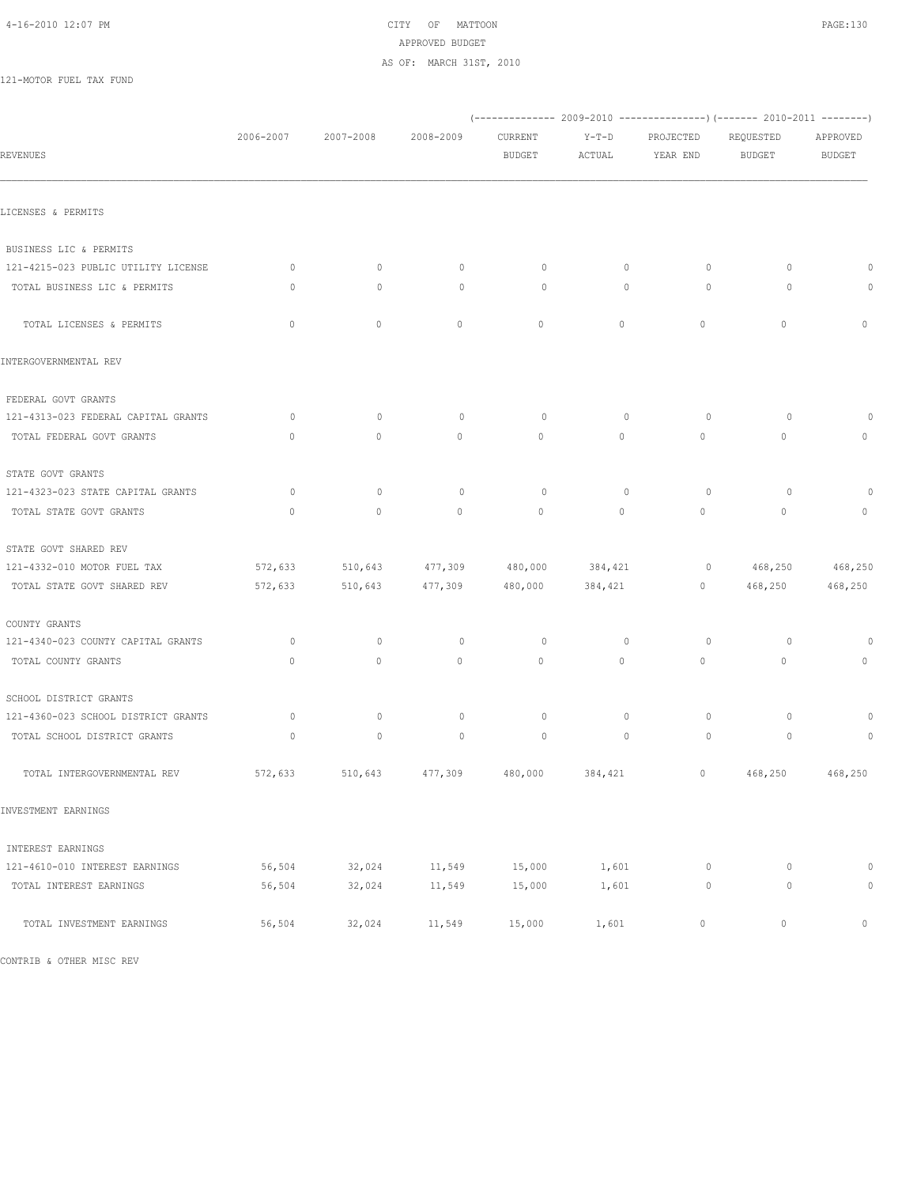## 4-16-2010 12:07 PM CITY OF MATTOON PAGE:130 APPROVED BUDGET AS OF: MARCH 31ST, 2010

121-MOTOR FUEL TAX FUND

| (-------------- 2009-2010<br>---------------) (------- 2010-2011 ---------)<br>CURRENT<br>REQUESTED<br>$Y-T-D$<br>PROJECTED<br>APPROVED<br>ACTUAL<br><b>BUDGET</b><br><b>BUDGET</b><br><b>BUDGET</b><br>YEAR END | 2008-2009 | 2007-2008    | 2006-2007   | <b>REVENUES</b>                     |
|------------------------------------------------------------------------------------------------------------------------------------------------------------------------------------------------------------------|-----------|--------------|-------------|-------------------------------------|
|                                                                                                                                                                                                                  |           |              |             | LICENSES & PERMITS                  |
|                                                                                                                                                                                                                  |           |              |             | BUSINESS LIC & PERMITS              |
| $\circ$<br>$\circ$<br>$\circ$<br>$\circ$<br>$\mathbf{0}$                                                                                                                                                         |           | $\circ$      | $\circ$     | 121-4215-023 PUBLIC UTILITY LICENSE |
| 0<br>$\circ$<br>$\circ$<br>$\circ$<br>$\mathbf 0$                                                                                                                                                                |           | $\mathbf{0}$ | $\circ$     | TOTAL BUSINESS LIC & PERMITS        |
| $\mathbb O$<br>$\circ$<br>$\circ$<br>$\circ$<br>$\circ$<br>$\mathbf{0}$                                                                                                                                          |           | $\circ$      | $\mathbf 0$ | TOTAL LICENSES & PERMITS            |
|                                                                                                                                                                                                                  |           |              |             | INTERGOVERNMENTAL REV               |
|                                                                                                                                                                                                                  |           |              |             | FEDERAL GOVT GRANTS                 |
| $\mathbb O$<br>$\circ$<br>$\mathbf 0$<br>$\mathbf 0$<br>$\mathbf 0$<br>0                                                                                                                                         |           | $\mathbf{0}$ | $\circ$     | 121-4313-023 FEDERAL CAPITAL GRANTS |
| 0<br>$\circ$<br>$\circ$<br>$\circ$<br>0<br>0                                                                                                                                                                     |           | $\circ$      | $\circ$     | TOTAL FEDERAL GOVT GRANTS           |
|                                                                                                                                                                                                                  |           |              |             | STATE GOVT GRANTS                   |
| $\mathbb O$<br>$\circ$<br>$\mathbf 0$<br>$\mathbf 0$<br>$\mathbf 0$                                                                                                                                              |           | $\mathbf 0$  | $\circ$     | 121-4323-023 STATE CAPITAL GRANTS   |
| $\mathbb O$<br>$\circ$<br>$\mathbb O$<br>$\circ$<br>$\mathbf 0$<br>0                                                                                                                                             |           | $\mathbb O$  | $\mathbb O$ | TOTAL STATE GOVT GRANTS             |
|                                                                                                                                                                                                                  |           |              |             | STATE GOVT SHARED REV               |
| 480,000<br>384,421<br>$\circ$<br>468,250<br>468,250                                                                                                                                                              | 477,309   | 510,643      | 572,633     | 121-4332-010 MOTOR FUEL TAX         |
| 468,250<br>480,000<br>384,421<br>468,250<br>0                                                                                                                                                                    | 477,309   | 510,643      | 572,633     | TOTAL STATE GOVT SHARED REV         |
|                                                                                                                                                                                                                  |           |              |             | COUNTY GRANTS                       |
| $\circ$<br>$\circ$<br>$\mathbf 0$<br>$\mathbf 0$<br>$\mathbf 0$                                                                                                                                                  |           | $\mathbf 0$  | $\circ$     | 121-4340-023 COUNTY CAPITAL GRANTS  |
| $\mathbb O$<br>0<br>$\mathbf{0}$<br>$\circ$<br>$\circ$<br>0                                                                                                                                                      |           | $\circ$      | $\circ$     | TOTAL COUNTY GRANTS                 |
|                                                                                                                                                                                                                  |           |              |             | SCHOOL DISTRICT GRANTS              |
| $\mathbb O$<br>$\circ$<br>$\mathbf 0$<br>$\mathbf 0$<br>$\mathbf 0$                                                                                                                                              |           | $\mathbf 0$  | $\circ$     | 121-4360-023 SCHOOL DISTRICT GRANTS |
| $\mathbb O$<br>$\circ$<br>$\mathbf 0$<br>$\mathbf 0$<br>$\mathbf 0$<br>0                                                                                                                                         |           | $\mathbf 0$  | $\circ$     | TOTAL SCHOOL DISTRICT GRANTS        |
| 480,000<br>384,421<br>$\circ$<br>468,250<br>468,250                                                                                                                                                              | 477,309   | 510,643      | 572,633     | TOTAL INTERGOVERNMENTAL REV         |
|                                                                                                                                                                                                                  |           |              |             | INVESTMENT EARNINGS                 |
|                                                                                                                                                                                                                  |           |              |             | INTEREST EARNINGS                   |
| 15,000<br>1,601<br>$\mathbb O$<br>$\mathbf 0$<br>0                                                                                                                                                               | 11,549    | 32,024       | 56,504      | 121-4610-010 INTEREST EARNINGS      |
| 15,000<br>1,601<br>$\mathbb O$<br>$\mathbf 0$<br>0                                                                                                                                                               | 11,549    | 32,024       | 56,504      | TOTAL INTEREST EARNINGS             |
| $\mathbb O$<br>$\mathbb O$<br>$\mathbb O$<br>15,000<br>1,601                                                                                                                                                     | 11,549    | 32,024       | 56,504      | TOTAL INVESTMENT EARNINGS           |
|                                                                                                                                                                                                                  |           |              |             |                                     |

CONTRIB & OTHER MISC REV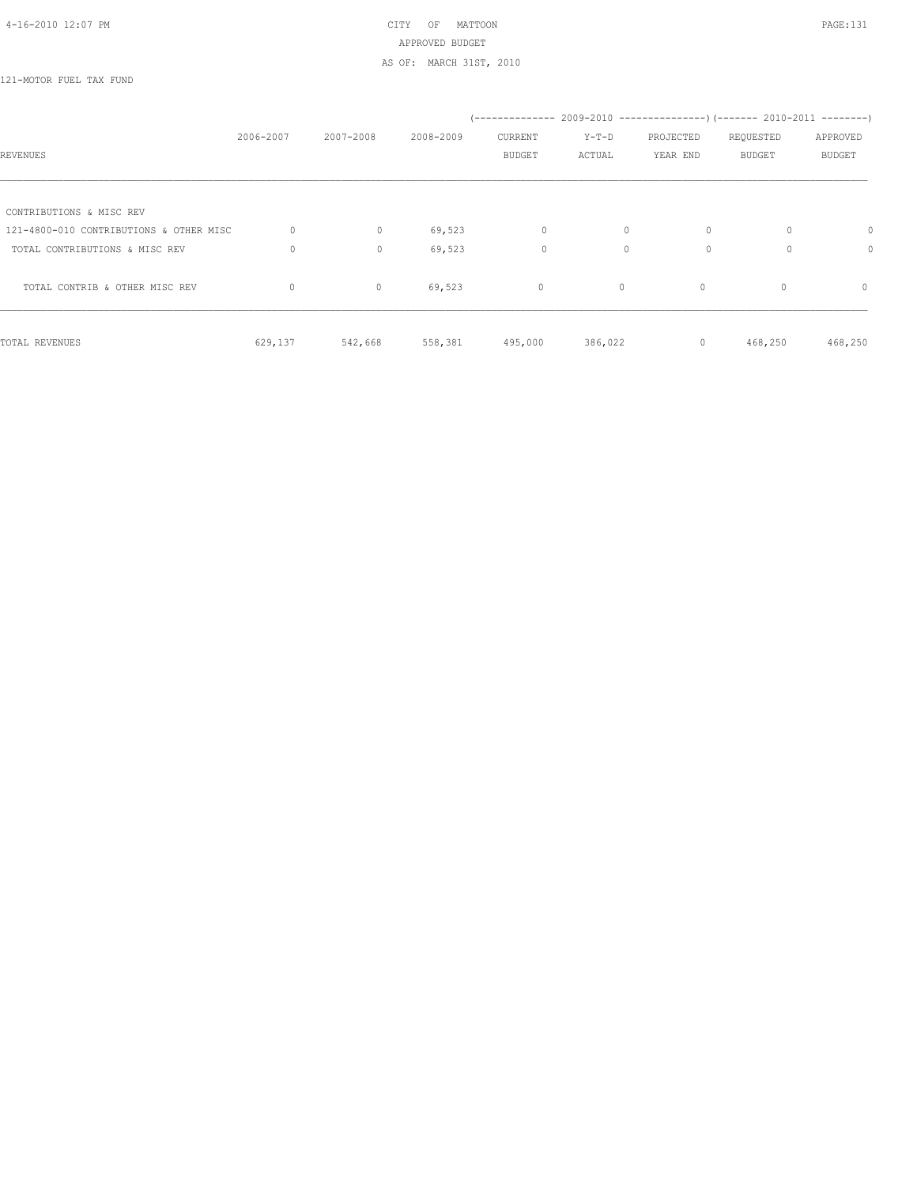## 4-16-2010 12:07 PM CITY OF MATTOON PAGE:131 APPROVED BUDGET AS OF: MARCH 31ST, 2010

121-MOTOR FUEL TAX FUND

|                                         | 2006-2007 | 2007-2008 | 2008-2009 | CURRENT       | $Y-T-D$      | PROJECTED    | REQUESTED     | APPROVED       |
|-----------------------------------------|-----------|-----------|-----------|---------------|--------------|--------------|---------------|----------------|
| <b>REVENUES</b>                         |           |           |           | <b>BUDGET</b> | ACTUAL       | YEAR END     | <b>BUDGET</b> | BUDGET         |
|                                         |           |           |           |               |              |              |               |                |
| CONTRIBUTIONS & MISC REV                |           |           |           |               |              |              |               |                |
| 121-4800-010 CONTRIBUTIONS & OTHER MISC | 0         | $\circ$   | 69,523    | $\circ$       | $\mathbf{0}$ | $\mathbf{0}$ | $\mathbf{0}$  |                |
| TOTAL CONTRIBUTIONS & MISC REV          | 0         | $\circ$   | 69,523    | $\circ$       | $\mathbf{0}$ | $\circ$      | $\mathbf{0}$  | 0              |
| TOTAL CONTRIB & OTHER MISC REV          | $\circ$   | 0         | 69,523    | $\circ$       | $\circ$      | $\mathbf{0}$ | $\mathbf{0}$  | $\overline{0}$ |
| TOTAL REVENUES                          | 629,137   | 542,668   | 558,381   | 495,000       | 386,022      | 0            | 468,250       | 468,250        |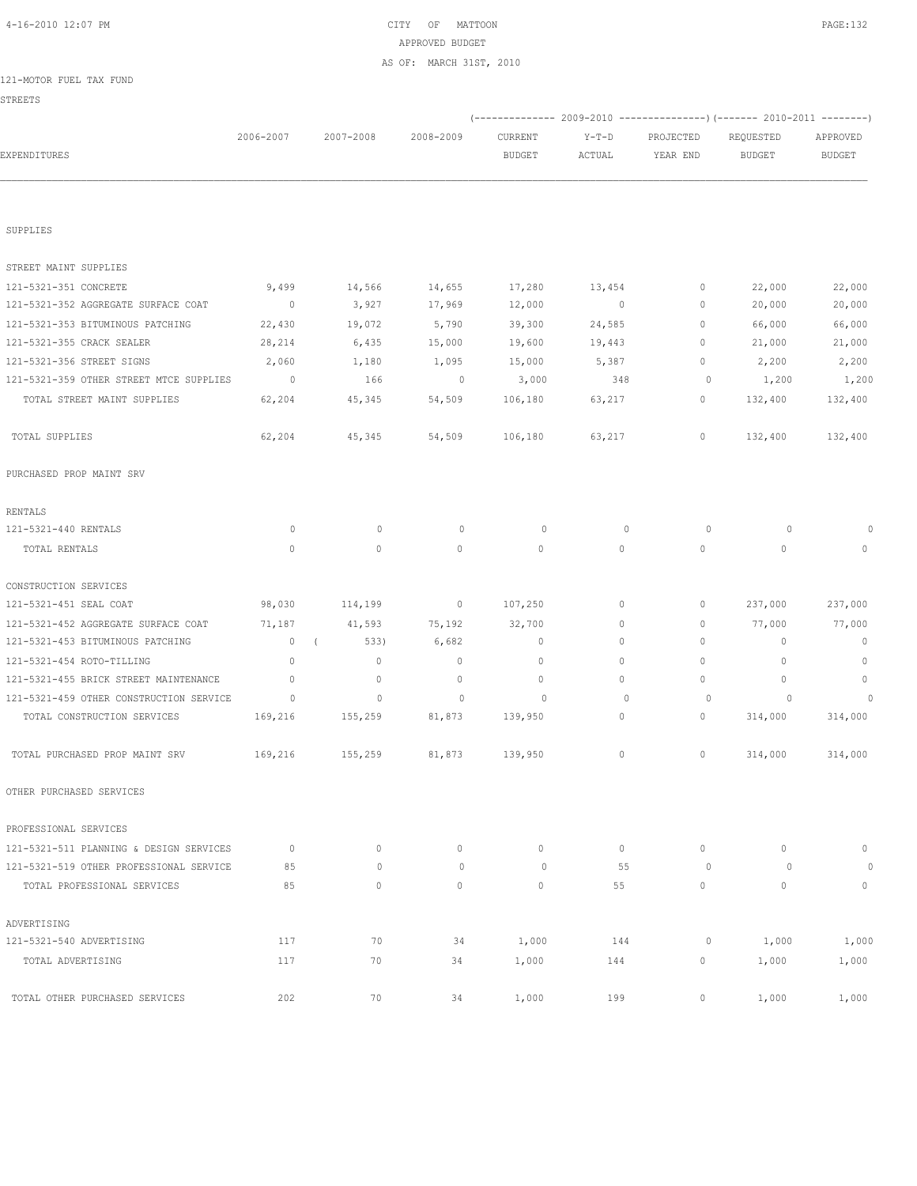STREETS

## 4-16-2010 12:07 PM CITY OF MATTOON PAGE:132 APPROVED BUDGET AS OF: MARCH 31ST, 2010

#### 121-MOTOR FUEL TAX FUND

|                                         |              |                    |                          |               |                |              | (------------- 2009-2010 ---------------) (------- 2010-2011 --------) |                |
|-----------------------------------------|--------------|--------------------|--------------------------|---------------|----------------|--------------|------------------------------------------------------------------------|----------------|
|                                         | 2006-2007    | 2007-2008          | 2008-2009                | CURRENT       | $Y-T-D$        | PROJECTED    | REQUESTED                                                              | APPROVED       |
| EXPENDITURES                            |              |                    |                          | <b>BUDGET</b> | ACTUAL         | YEAR END     | <b>BUDGET</b>                                                          | BUDGET         |
|                                         |              |                    |                          |               |                |              |                                                                        |                |
| SUPPLIES                                |              |                    |                          |               |                |              |                                                                        |                |
| STREET MAINT SUPPLIES                   |              |                    |                          |               |                |              |                                                                        |                |
| 121-5321-351 CONCRETE                   | 9,499        | 14,566             | 14,655                   | 17,280        | 13,454         | 0            | 22,000                                                                 | 22,000         |
| 121-5321-352 AGGREGATE SURFACE COAT     | $\sim$ 0     | 3,927              | 17,969                   | 12,000        | $\overline{0}$ | 0            | 20,000                                                                 | 20,000         |
| 121-5321-353 BITUMINOUS PATCHING        | 22,430       | 19,072             | 5,790                    | 39,300        | 24,585         | $\circ$      | 66,000                                                                 | 66,000         |
| 121-5321-355 CRACK SEALER               | 28,214       | 6,435              | 15,000                   | 19,600        | 19,443         | $\circ$      | 21,000                                                                 | 21,000         |
| 121-5321-356 STREET SIGNS               | 2,060        | 1,180              | 1,095                    | 15,000        | 5,387          | 0            | 2,200                                                                  | 2,200          |
| 121-5321-359 OTHER STREET MTCE SUPPLIES | $\sim$ 0     | 166                | $\overline{\phantom{0}}$ | 3,000         | 348            | $\mathbf 0$  | 1,200                                                                  | 1,200          |
| TOTAL STREET MAINT SUPPLIES             | 62,204       | 45,345             | 54,509                   | 106,180       | 63,217         | 0            | 132,400                                                                | 132,400        |
| TOTAL SUPPLIES                          | 62,204       | 45,345             | 54,509                   | 106,180       | 63,217         | 0            | 132,400                                                                | 132,400        |
| PURCHASED PROP MAINT SRV                |              |                    |                          |               |                |              |                                                                        |                |
| RENTALS                                 |              |                    |                          |               |                |              |                                                                        |                |
| 121-5321-440 RENTALS                    | $\circ$      | 0                  | $\mathbf 0$              | 0             | 0              | $\mathbf{0}$ | $\mathbf{0}$                                                           |                |
| TOTAL RENTALS                           | $\mathbf{0}$ | $\circ$            | $\mathbf{0}$             | $\mathbf{0}$  | $\circ$        | $\circ$      | $\circ$                                                                | 0              |
| CONSTRUCTION SERVICES                   |              |                    |                          |               |                |              |                                                                        |                |
| 121-5321-451 SEAL COAT                  | 98,030       | 114,199            | $\sim$ 0                 | 107,250       | $\circ$        | 0            | 237,000                                                                | 237,000        |
| 121-5321-452 AGGREGATE SURFACE COAT     | 71,187       | 41,593             | 75,192                   | 32,700        | $\circ$        | 0            | 77,000                                                                 | 77,000         |
| 121-5321-453 BITUMINOUS PATCHING        | $\mathbf 0$  | 533)<br>$\sqrt{2}$ | 6,682                    | $\circ$       | $\circ$        | 0            | $\circ$                                                                | $\circ$        |
| 121-5321-454 ROTO-TILLING               | $\circ$      | 0                  | $\circ$                  | $\mathbb O$   | $\circ$        | $\circ$      | 0                                                                      | $\overline{0}$ |
| 121-5321-455 BRICK STREET MAINTENANCE   | $\mathbf{0}$ | 0                  | $\circ$                  | $\circ$       | $\circ$        | 0            | $\mathbf 0$                                                            | $\mathbb O$    |
| 121-5321-459 OTHER CONSTRUCTION SERVICE | 0            | $\circ$            | $\circ$                  | $\circ$       | $\mathbf{0}$   | $\mathbf 0$  | $\overline{0}$                                                         | $\mathbf 0$    |
| TOTAL CONSTRUCTION SERVICES             | 169,216      | 155,259            | 81,873                   | 139,950       | $\circ$        | 0            | 314,000                                                                | 314,000        |
| TOTAL PURCHASED PROP MAINT SRV          | 169,216      | 155,259            | 81,873                   | 139,950       | $\circ$        | $\circ$      | 314,000                                                                | 314,000        |
| OTHER PURCHASED SERVICES                |              |                    |                          |               |                |              |                                                                        |                |
| PROFESSIONAL SERVICES                   |              |                    |                          |               |                |              |                                                                        |                |
| 121-5321-511 PLANNING & DESIGN SERVICES | $\circ$      | $\circ$            | $\circ$                  | $\circ$       | $\circ$        | 0            | $\circ$                                                                | $\circ$        |
| 121-5321-519 OTHER PROFESSIONAL SERVICE | 85           | 0                  | $\circ$                  | 0             | 55             | $\mathbf{0}$ | $\mathbf 0$                                                            | $\mathbf 0$    |
| TOTAL PROFESSIONAL SERVICES             | 85           | $\circ$            | $\mathbf{0}$             | $\mathbf{0}$  | 55             | $\circ$      | $\mathbf{0}$                                                           | $\circ$        |
| ADVERTISING                             |              |                    |                          |               |                |              |                                                                        |                |
| 121-5321-540 ADVERTISING                | 117          | 70                 | 34                       | 1,000         | 144            | $\mathbf 0$  | 1,000                                                                  | 1,000          |
| TOTAL ADVERTISING                       | 117          | 70                 | 34                       | 1,000         | 144            | 0            | 1,000                                                                  | 1,000          |
| TOTAL OTHER PURCHASED SERVICES          | 202          | 70                 | 34                       | 1,000         | 199            | 0            | 1,000                                                                  | 1,000          |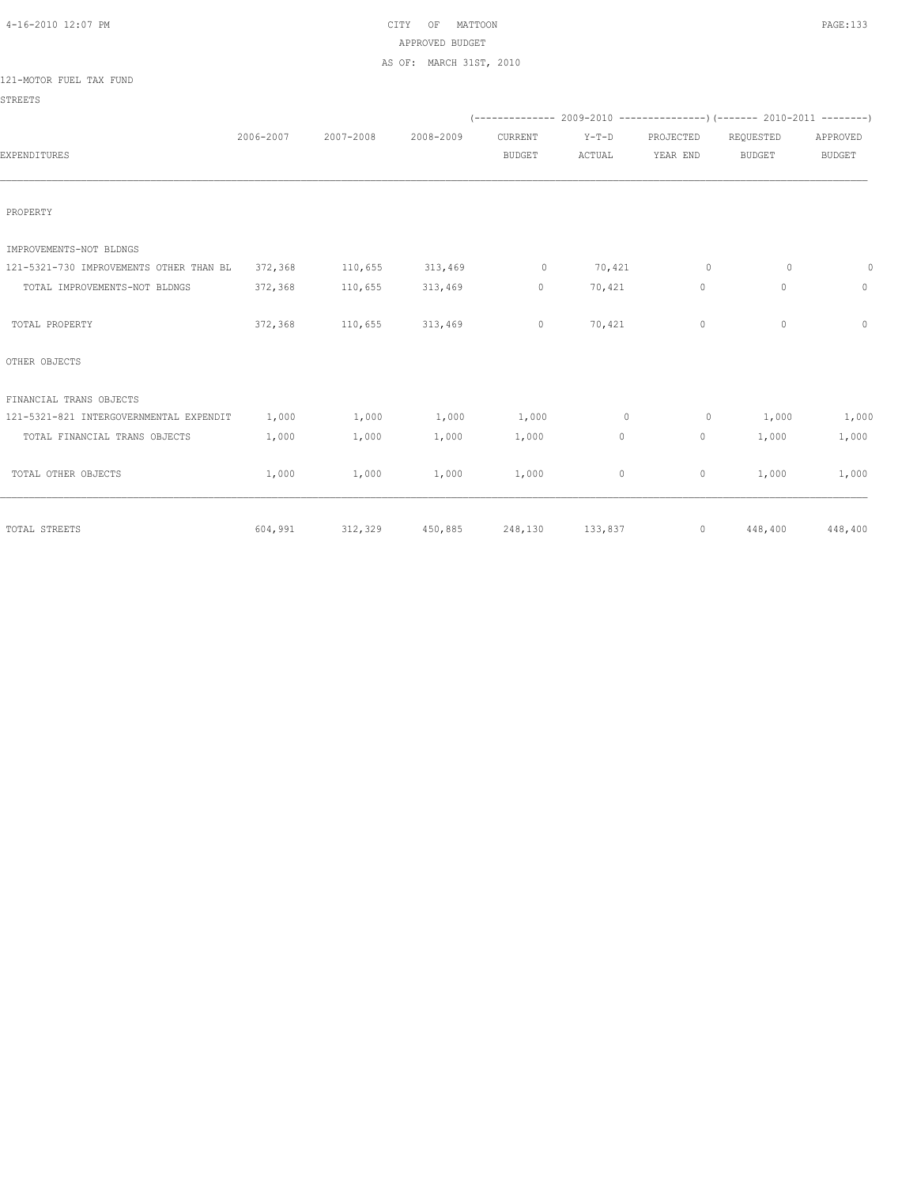## 4-16-2010 12:07 PM CITY OF MATTOON PAGE:133 APPROVED BUDGET AS OF: MARCH 31ST, 2010

#### 121-MOTOR FUEL TAX FUND

|                                         |           |           |           |               |                |              | $(-$ ------------- 2009-2010 ----------------) $(-$ ------ 2010-2011 --------) |               |
|-----------------------------------------|-----------|-----------|-----------|---------------|----------------|--------------|--------------------------------------------------------------------------------|---------------|
|                                         | 2006-2007 | 2007-2008 | 2008-2009 | CURRENT       | $Y-T-D$        | PROJECTED    | REQUESTED                                                                      | APPROVED      |
| EXPENDITURES                            |           |           |           | <b>BUDGET</b> | ACTUAL         | YEAR END     | <b>BUDGET</b>                                                                  | <b>BUDGET</b> |
|                                         |           |           |           |               |                |              |                                                                                |               |
| PROPERTY                                |           |           |           |               |                |              |                                                                                |               |
| IMPROVEMENTS-NOT BLDNGS                 |           |           |           |               |                |              |                                                                                |               |
| 121-5321-730 IMPROVEMENTS OTHER THAN BL | 372,368   | 110,655   | 313,469   | $\circ$       | 70,421         | $\mathbf 0$  | $\mathbf{0}$                                                                   | 0             |
| TOTAL IMPROVEMENTS-NOT BLDNGS           | 372,368   | 110,655   | 313,469   | $\circ$       | 70,421         | 0            | $\circ$                                                                        | $\mathbf{0}$  |
| TOTAL PROPERTY                          | 372,368   | 110,655   | 313,469   | $\circ$       | 70,421         | $\circ$      | $\mathbf 0$                                                                    | $\circ$       |
| OTHER OBJECTS                           |           |           |           |               |                |              |                                                                                |               |
| FINANCIAL TRANS OBJECTS                 |           |           |           |               |                |              |                                                                                |               |
| 121-5321-821 INTERGOVERNMENTAL EXPENDIT | 1,000     | 1,000     | 1,000     | 1,000         | $\overline{0}$ | $\mathbf{0}$ | 1,000                                                                          | 1,000         |
| TOTAL FINANCIAL TRANS OBJECTS           | 1,000     | 1,000     | 1,000     | 1,000         | $\circ$        | $\circ$      | 1,000                                                                          | 1,000         |
| TOTAL OTHER OBJECTS                     | 1,000     | 1,000     | 1,000     | 1,000         | $\circ$        | $\circ$      | 1,000                                                                          | 1,000         |
| TOTAL STREETS                           | 604,991   | 312,329   | 450,885   | 248,130       | 133,837        | $\circ$      | 448,400                                                                        | 448,400       |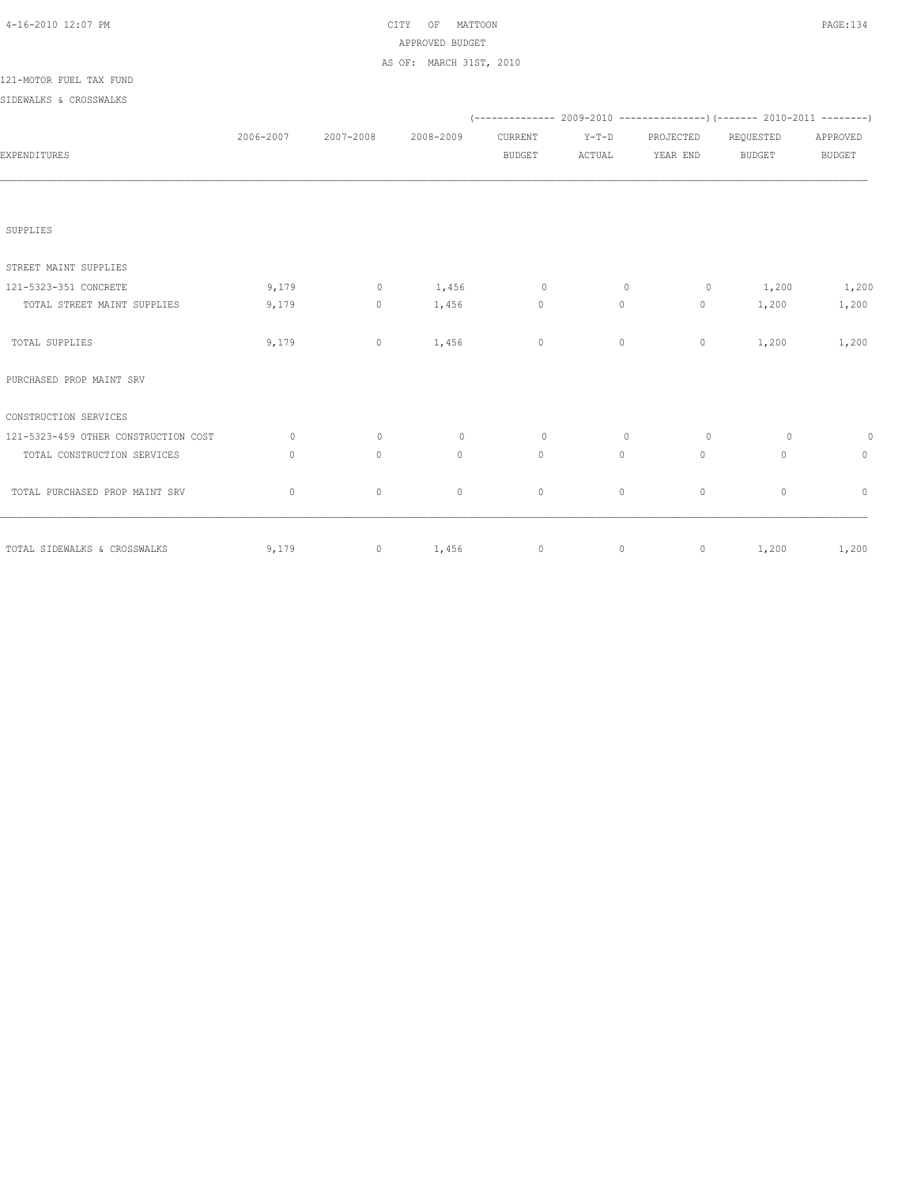## 4-16-2010 12:07 PM CITY OF MATTOON PAGE:134 APPROVED BUDGET AS OF: MARCH 31ST, 2010

## 121-MOTOR FUEL TAX FUND

#### SIDEWALKS & CROSSWALKS

|                                      |              |           |              |                                               |                |              | (-------------- 2009-2010 ----------------)(------- 2010-2011 --------) |               |
|--------------------------------------|--------------|-----------|--------------|-----------------------------------------------|----------------|--------------|-------------------------------------------------------------------------|---------------|
|                                      | 2006-2007    | 2007-2008 | 2008-2009    | CURRENT                                       | $Y-T-D$        | PROJECTED    | REQUESTED                                                               | APPROVED      |
| EXPENDITURES                         |              |           |              | <b>BUDGET</b>                                 | ACTUAL         | YEAR END     | <b>BUDGET</b>                                                           | <b>BUDGET</b> |
|                                      |              |           |              |                                               |                |              |                                                                         |               |
| SUPPLIES                             |              |           |              |                                               |                |              |                                                                         |               |
| STREET MAINT SUPPLIES                |              |           |              |                                               |                |              |                                                                         |               |
| 121-5323-351 CONCRETE                | 9,179        |           | $0 \t 1,456$ | $\sim$ 0.000 $\sim$ 0.000 $\sim$ 0.000 $\sim$ | $\overline{0}$ |              | $0 \t 1,200$                                                            | 1,200         |
| TOTAL STREET MAINT SUPPLIES          | 9,179        | $\circ$   | 1,456        | $\circ$                                       | $\circ$        | $\circ$      | 1,200                                                                   | 1,200         |
| TOTAL SUPPLIES                       | 9,179        | $\circ$   | 1,456        | $\mathbf{0}$                                  | $\circ$        | $\circ$      | 1,200                                                                   | 1,200         |
| PURCHASED PROP MAINT SRV             |              |           |              |                                               |                |              |                                                                         |               |
| CONSTRUCTION SERVICES                |              |           |              |                                               |                |              |                                                                         |               |
| 121-5323-459 OTHER CONSTRUCTION COST | $\circ$      | $\circ$   | $\circ$      | $\circ$                                       | $\circ$        | $\mathbf{0}$ | $\mathbf{0}$                                                            | $\mathbf 0$   |
| TOTAL CONSTRUCTION SERVICES          | $\mathbf{0}$ | $\circ$   | $\circ$      | $\circ$                                       | $\circ$        | $\mathbf{0}$ | $\mathbf{0}$                                                            | $\circ$       |
| TOTAL PURCHASED PROP MAINT SRV       | $\circ$      | $\circ$   | $\circ$      | $\circ$                                       | $\circ$        | $\mathbb O$  | $\mathbb O$                                                             | $\circ$       |
| TOTAL SIDEWALKS & CROSSWALKS         | 9,179        |           | $0 \t 1,456$ | $\circ$                                       | $\circ$        |              | $0 \t 1,200$                                                            | 1,200         |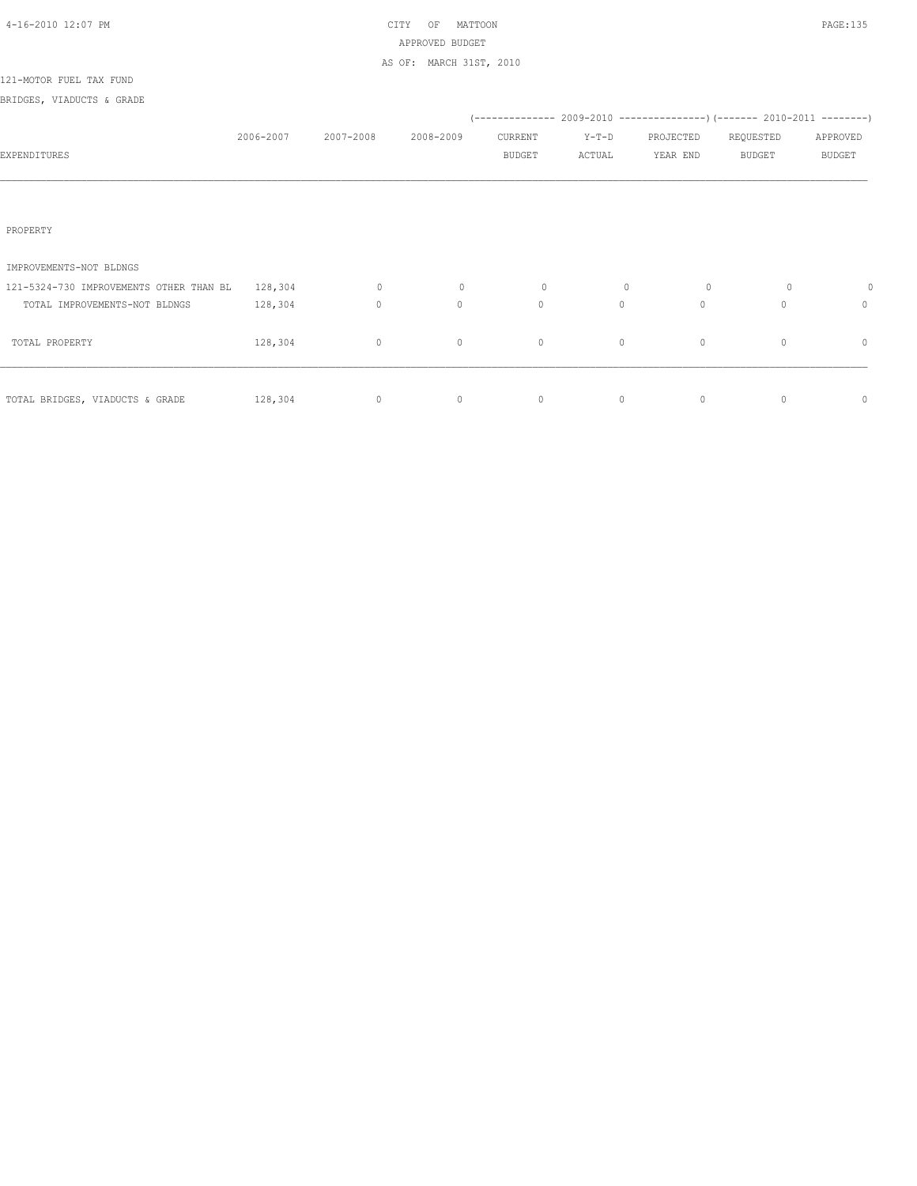## 4-16-2010 12:07 PM CITY OF MATTOON PAGE:135 APPROVED BUDGET AS OF: MARCH 31ST, 2010

### 121-MOTOR FUEL TAX FUND

BRIDGES, VIADUCTS & GRADE

|                                         | 2006-2007 | 2007-2008 | 2008-2009    | CURRENT       | $Y-T-D$ | PROJECTED               | REQUESTED     | APPROVED      |
|-----------------------------------------|-----------|-----------|--------------|---------------|---------|-------------------------|---------------|---------------|
| EXPENDITURES                            |           |           |              | <b>BUDGET</b> | ACTUAL  | YEAR END                | <b>BUDGET</b> | <b>BUDGET</b> |
|                                         |           |           |              |               |         |                         |               |               |
|                                         |           |           |              |               |         |                         |               |               |
| PROPERTY                                |           |           |              |               |         |                         |               |               |
| IMPROVEMENTS-NOT BLDNGS                 |           |           |              |               |         |                         |               |               |
| 121-5324-730 IMPROVEMENTS OTHER THAN BL | 128,304   | $\circ$   | $\circ$      | $\circ$       |         | $\mathbf{0}$<br>$\circ$ | $\mathbf 0$   | 0             |
| TOTAL IMPROVEMENTS-NOT BLDNGS           | 128,304   | $\circ$   | $\mathbf{0}$ | $\circ$       | $\circ$ | $\mathbf{0}$            | $\mathbf{0}$  | $\circ$       |
| TOTAL PROPERTY                          | 128,304   | $\circ$   | $\mathbf{0}$ | $\circ$       | $\circ$ | $\circ$                 | $\mathbf{0}$  | $\mathbf{0}$  |
| TOTAL BRIDGES, VIADUCTS & GRADE         | 128,304   | $\circ$   | $\circ$      | $\circ$       | $\circ$ | $\circ$                 | $\mathbf{0}$  | $\mathbf{0}$  |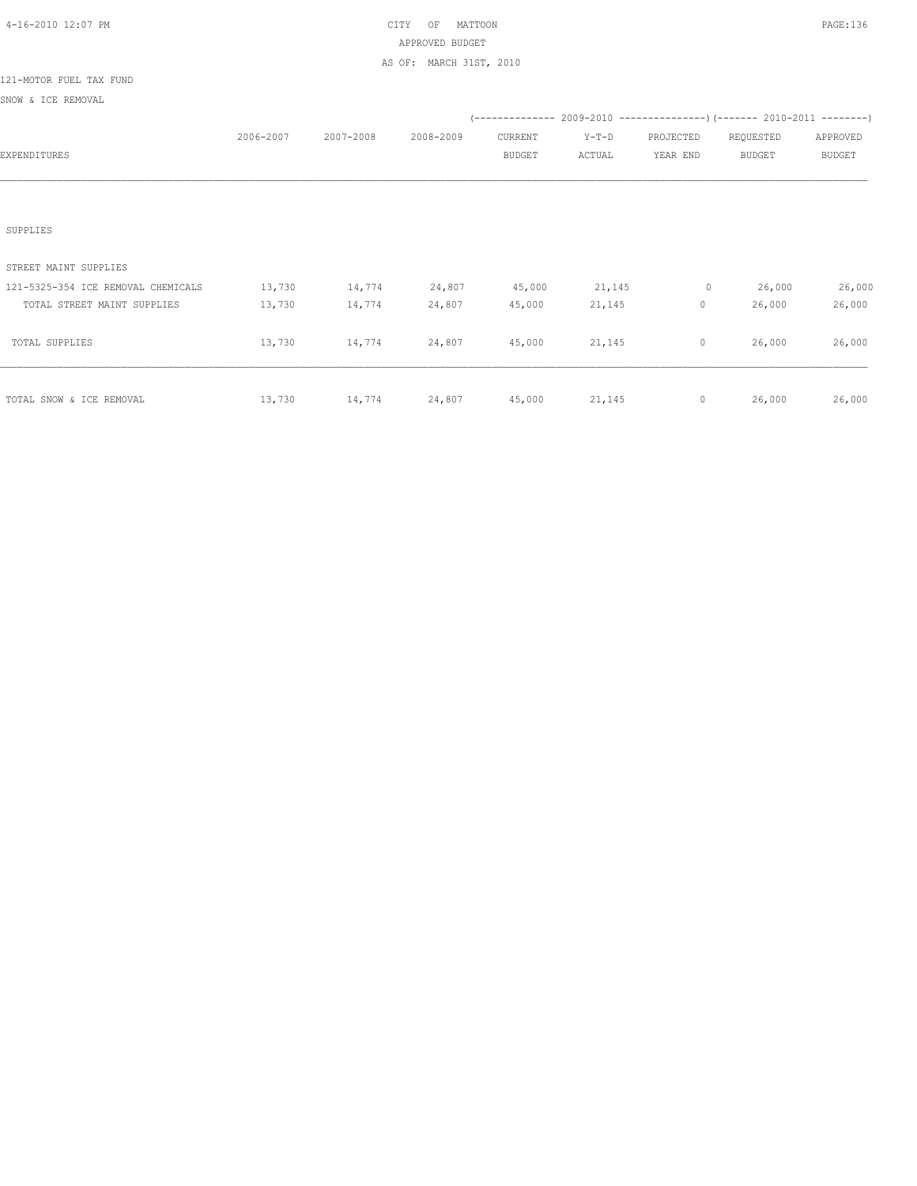## 4-16-2010 12:07 PM CITY OF MATTOON PAGE:136 APPROVED BUDGET AS OF: MARCH 31ST, 2010

#### 121-MOTOR FUEL TAX FUND

SNOW & ICE REMOVAL

| EXPENDITURES                       | 2006-2007 | 2007-2008 | 2008-2009 | CURRENT<br><b>BUDGET</b> | $Y-T-D$<br>ACTUAL | PROJECTED<br>YEAR END | (-------------- 2009-2010 ---------------) (------- 2010-2011 --------)<br>REQUESTED<br><b>BUDGET</b> | APPROVED<br><b>BUDGET</b> |
|------------------------------------|-----------|-----------|-----------|--------------------------|-------------------|-----------------------|-------------------------------------------------------------------------------------------------------|---------------------------|
|                                    |           |           |           |                          |                   |                       |                                                                                                       |                           |
| SUPPLIES                           |           |           |           |                          |                   |                       |                                                                                                       |                           |
| STREET MAINT SUPPLIES              |           |           |           |                          |                   |                       |                                                                                                       |                           |
| 121-5325-354 ICE REMOVAL CHEMICALS | 13,730    | 14,774    | 24,807    | 45,000                   | 21,145            | $\mathbf 0$           | 26,000                                                                                                | 26,000                    |
| TOTAL STREET MAINT SUPPLIES        | 13,730    | 14,774    | 24,807    | 45,000                   | 21,145            | 0                     | 26,000                                                                                                | 26,000                    |
| TOTAL SUPPLIES                     | 13,730    | 14,774    | 24,807    | 45,000                   | 21,145            | 0                     | 26,000                                                                                                | 26,000                    |
| TOTAL SNOW & ICE REMOVAL           | 13,730    | 14,774    | 24,807    | 45,000                   | 21,145            | 0                     | 26,000                                                                                                | 26,000                    |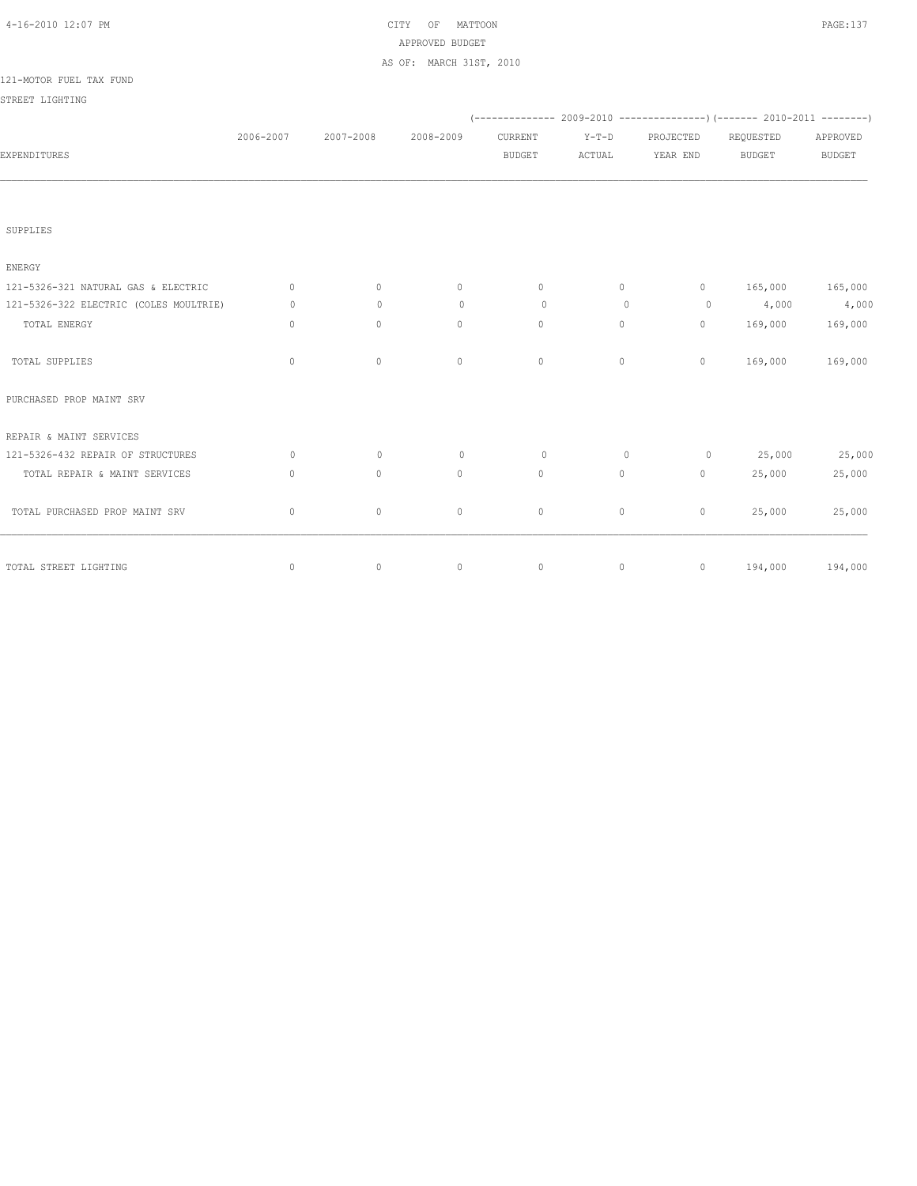## 4-16-2010 12:07 PM CITY OF MATTOON PAGE:137 APPROVED BUDGET AS OF: MARCH 31ST, 2010

#### 121-MOTOR FUEL TAX FUND

STREET LIGHTING

|                                        | 2006-2007    | 2007-2008    | 2008-2009 | CURRENT       | $Y-T-D$      | PROJECTED    | REQUESTED | APPROVED      |
|----------------------------------------|--------------|--------------|-----------|---------------|--------------|--------------|-----------|---------------|
| EXPENDITURES                           |              |              |           | <b>BUDGET</b> | ACTUAL       | YEAR END     | BUDGET    | <b>BUDGET</b> |
|                                        |              |              |           |               |              |              |           |               |
| SUPPLIES                               |              |              |           |               |              |              |           |               |
| ENERGY                                 |              |              |           |               |              |              |           |               |
| 121-5326-321 NATURAL GAS & ELECTRIC    | $\circ$      | $\circ$      | $\circ$   | $\circ$       | $\circ$      | $\circ$      | 165,000   | 165,000       |
| 121-5326-322 ELECTRIC (COLES MOULTRIE) | $\circ$      | $\circ$      | $\circ$   | $\circ$       | $\mathbf{0}$ | $\mathbf{0}$ | 4,000     | 4,000         |
| TOTAL ENERGY                           | $\mathbf{0}$ | $\mathbf{0}$ | $\circ$   | $\circ$       | $\circ$      | $\circ$      | 169,000   | 169,000       |
| TOTAL SUPPLIES                         | $\circ$      | $\mathbb O$  | $\circ$   | $\mathbb O$   | $\circ$      | $\circ$      | 169,000   | 169,000       |
| PURCHASED PROP MAINT SRV               |              |              |           |               |              |              |           |               |
| REPAIR & MAINT SERVICES                |              |              |           |               |              |              |           |               |
| 121-5326-432 REPAIR OF STRUCTURES      | $\circ$      | $\circ$      | $\circ$   | $\circ$       | $\circ$      | $\circ$      | 25,000    | 25,000        |
| TOTAL REPAIR & MAINT SERVICES          | $\circ$      | $\circ$      | $\circ$   | $\circ$       | $\circ$      | $\circ$      | 25,000    | 25,000        |
| TOTAL PURCHASED PROP MAINT SRV         | $\circ$      | $\circ$      | $\circ$   | $\mathbb O$   | $\circ$      | $\circ$      | 25,000    | 25,000        |
| TOTAL STREET LIGHTING                  | $\mathbf{0}$ | $\circ$      | $\circ$   | $\circ$       | $\circ$      | $\circ$      | 194,000   | 194,000       |
|                                        |              |              |           |               |              |              |           |               |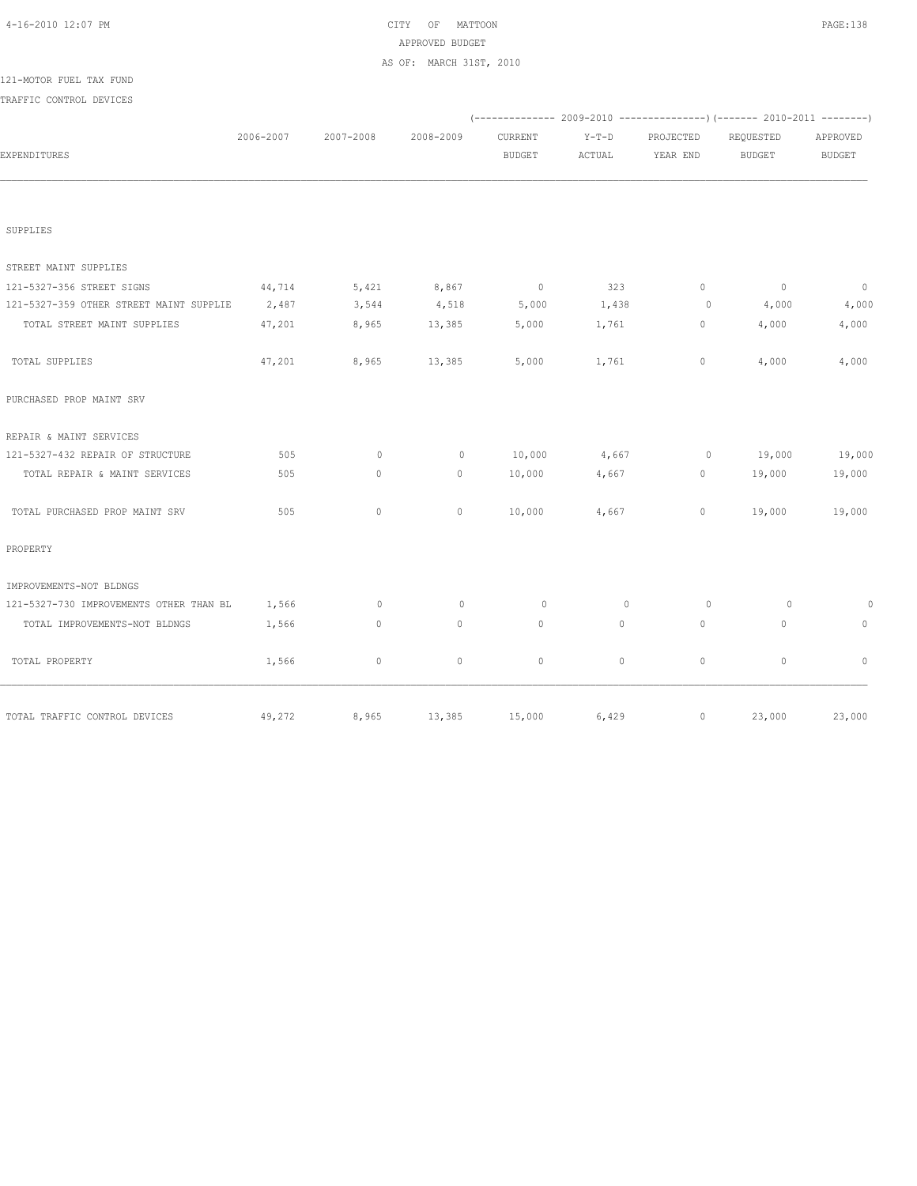## 4-16-2010 12:07 PM CITY OF MATTOON PAGE:138 APPROVED BUDGET AS OF: MARCH 31ST, 2010

## 121-MOTOR FUEL TAX FUND

#### TRAFFIC CONTROL DEVICES

|                                         |           |             |             |                |             |             | (-------------- 2009-2010 -----------------) (------- 2010-2011 --------) |                |
|-----------------------------------------|-----------|-------------|-------------|----------------|-------------|-------------|---------------------------------------------------------------------------|----------------|
|                                         | 2006-2007 | 2007-2008   | 2008-2009   | CURRENT        | $Y-T-D$     | PROJECTED   | REQUESTED                                                                 | APPROVED       |
| EXPENDITURES                            |           |             |             | <b>BUDGET</b>  | ACTUAL      | YEAR END    | <b>BUDGET</b>                                                             | BUDGET         |
|                                         |           |             |             |                |             |             |                                                                           |                |
| SUPPLIES                                |           |             |             |                |             |             |                                                                           |                |
| STREET MAINT SUPPLIES                   |           |             |             |                |             |             |                                                                           |                |
| 121-5327-356 STREET SIGNS               | 44,714    | 5,421       | 8,867       | $\overline{0}$ | 323         | $\circ$     | $\overline{0}$                                                            | $\overline{0}$ |
| 121-5327-359 OTHER STREET MAINT SUPPLIE | 2,487     | 3,544       | 4,518       | 5,000          | 1,438       | $\circ$     | 4,000                                                                     | 4,000          |
| TOTAL STREET MAINT SUPPLIES             | 47,201    | 8,965       | 13,385      | 5,000          | 1,761       | 0           | 4,000                                                                     | 4,000          |
| TOTAL SUPPLIES                          | 47,201    | 8,965       | 13,385      | 5,000          | 1,761       | $\circ$     | 4,000                                                                     | 4,000          |
| PURCHASED PROP MAINT SRV                |           |             |             |                |             |             |                                                                           |                |
| REPAIR & MAINT SERVICES                 |           |             |             |                |             |             |                                                                           |                |
| 121-5327-432 REPAIR OF STRUCTURE        | 505       | $\circ$     | $\circ$     | 10,000         | 4,667       | $\circ$     | 19,000                                                                    | 19,000         |
| TOTAL REPAIR & MAINT SERVICES           | 505       | $\circ$     | $\circ$     | 10,000         | 4,667       | $\circ$     | 19,000                                                                    | 19,000         |
| TOTAL PURCHASED PROP MAINT SRV          | 505       | $\mathbb O$ | $\circ$     | 10,000         | 4,667       | $\mathbb O$ | 19,000                                                                    | 19,000         |
| PROPERTY                                |           |             |             |                |             |             |                                                                           |                |
| IMPROVEMENTS-NOT BLDNGS                 |           |             |             |                |             |             |                                                                           |                |
| 121-5327-730 IMPROVEMENTS OTHER THAN BL | 1,566     | $\circ$     | $\circ$     | 0              | $\mathbf 0$ | $\mathbf 0$ | $\circ$                                                                   | $\Omega$       |
| TOTAL IMPROVEMENTS-NOT BLDNGS           | 1,566     | $\circ$     | $\circ$     | $\circ$        | $\circ$     | $\circ$     | $\mathbf{0}$                                                              | $\mathbf{0}$   |
| TOTAL PROPERTY                          | 1,566     | $\mathbb O$ | $\mathbb O$ | $\mathbb O$    | $\circ$     | $\mathbb O$ | $\mathbf{0}$                                                              | $\mathbf{0}$   |
| TOTAL TRAFFIC CONTROL DEVICES           | 49,272    | 8,965       | 13,385      | 15,000         | 6,429       | $\mathbb O$ | 23,000                                                                    | 23,000         |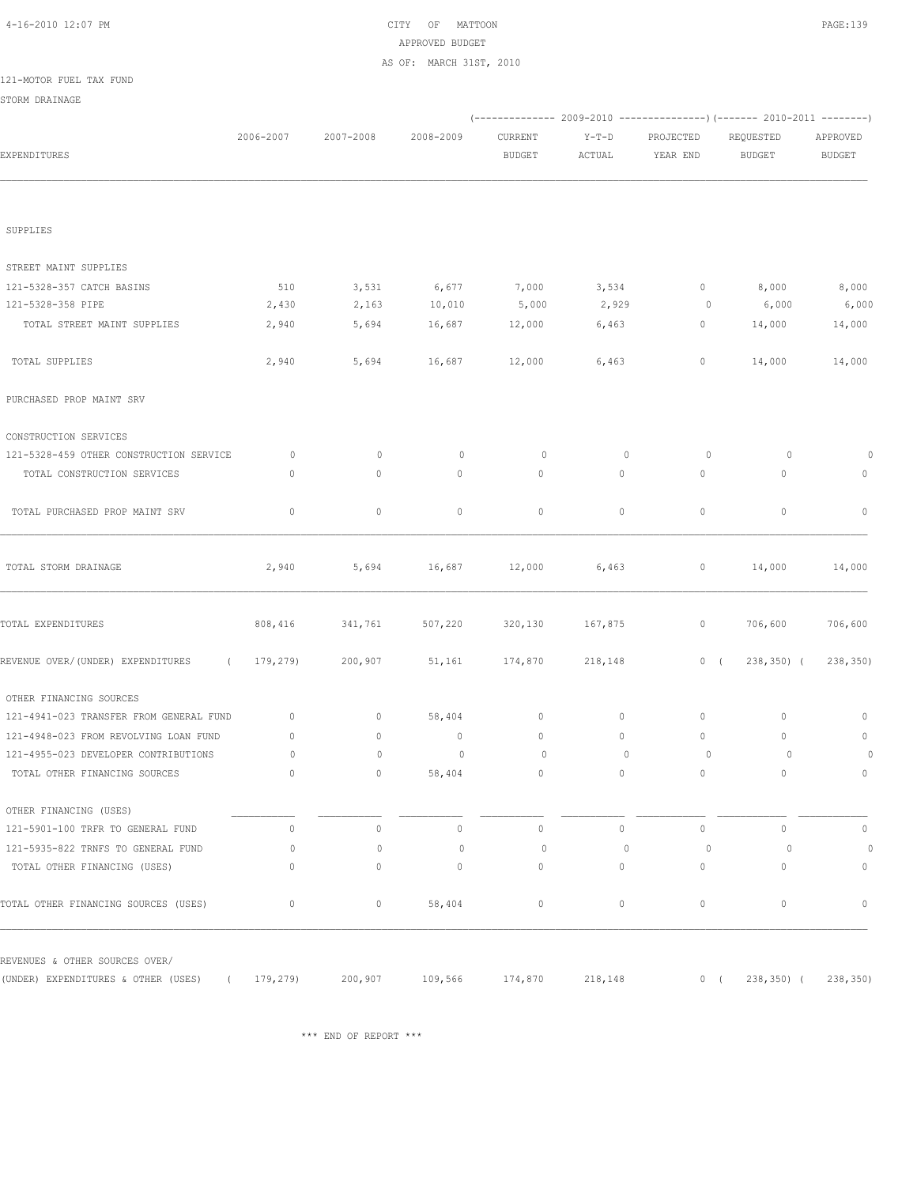STORM DRAINAGE

## 4-16-2010 12:07 PM CITY OF MATTOON PAGE:139 APPROVED BUDGET AS OF: MARCH 31ST, 2010

#### 121-MOTOR FUEL TAX FUND

|                                         |                        |              |              |                          |                   | (-------------- 2009-2010 ----------------) (------- 2010-2011 --------) |                            |                           |
|-----------------------------------------|------------------------|--------------|--------------|--------------------------|-------------------|--------------------------------------------------------------------------|----------------------------|---------------------------|
| EXPENDITURES                            | 2006-2007              | 2007-2008    | 2008-2009    | CURRENT<br><b>BUDGET</b> | $Y-T-D$<br>ACTUAL | PROJECTED<br>YEAR END                                                    | REQUESTED<br><b>BUDGET</b> | APPROVED<br><b>BUDGET</b> |
|                                         |                        |              |              |                          |                   |                                                                          |                            |                           |
| SUPPLIES                                |                        |              |              |                          |                   |                                                                          |                            |                           |
| STREET MAINT SUPPLIES                   |                        |              |              |                          |                   |                                                                          |                            |                           |
| 121-5328-357 CATCH BASINS               | 510                    | 3,531        | 6,677        | 7,000                    | 3,534             | 0                                                                        | 8,000                      | 8,000                     |
| 121-5328-358 PIPE                       | 2,430                  | 2,163        | 10,010       | 5,000                    | 2,929             | $\circ$                                                                  | 6,000                      | 6,000                     |
| TOTAL STREET MAINT SUPPLIES             | 2,940                  | 5,694        | 16,687       | 12,000                   | 6,463             | $\circ$                                                                  | 14,000                     | 14,000                    |
| TOTAL SUPPLIES                          | 2,940                  | 5,694        | 16,687       | 12,000                   | 6,463             | $\circ$                                                                  | 14,000                     | 14,000                    |
| PURCHASED PROP MAINT SRV                |                        |              |              |                          |                   |                                                                          |                            |                           |
| CONSTRUCTION SERVICES                   |                        |              |              |                          |                   |                                                                          |                            |                           |
| 121-5328-459 OTHER CONSTRUCTION SERVICE | $\circ$                | $\mathbf{0}$ | $\circ$      | 0                        | $\circ$           | $\circ$                                                                  | $\circ$                    | $\mathbf{0}$              |
| TOTAL CONSTRUCTION SERVICES             | $\circ$                | $\circ$      | $\circ$      | $\circ$                  | $\circ$           | $\circ$                                                                  | $\circ$                    | $\circ$                   |
| TOTAL PURCHASED PROP MAINT SRV          | $\circ$                | $\mathbb O$  | $\mathbb O$  | $\circ$                  | 0                 | 0                                                                        | $\circ$                    | $\mathbf{0}$              |
| TOTAL STORM DRAINAGE                    | 2,940                  | 5,694        | 16,687       | 12,000                   | 6,463             | $\circ$                                                                  | 14,000                     | 14,000                    |
| TOTAL EXPENDITURES                      | 808,416                | 341,761      | 507,220      | 320,130                  | 167,875           | $\circ$                                                                  | 706,600                    | 706,600                   |
| REVENUE OVER/(UNDER) EXPENDITURES       | (179, 279)             | 200,907      | 51,161       | 174,870                  | 218,148           | 0(                                                                       | $238,350$ (                | 238,350                   |
| OTHER FINANCING SOURCES                 |                        |              |              |                          |                   |                                                                          |                            |                           |
| 121-4941-023 TRANSFER FROM GENERAL FUND | $\mathbf 0$            | $\circ$      | 58,404       | $\mathbb O$              | $\circ$           | $\circ$                                                                  | $\circ$                    | $\mathbb{O}$              |
| 121-4948-023 FROM REVOLVING LOAN FUND   | $\mathbf{0}$           | 0            | $\circ$      | $\mathbf{0}$             | $\circ$           | $\circ$                                                                  | $\circ$                    | 0                         |
| 121-4955-023 DEVELOPER CONTRIBUTIONS    | $\circ$                | $\mathbf 0$  | $\circ$      | $\circ$                  | $\mathbf{0}$      | $\circ$                                                                  | $\circ$                    | $\circ$                   |
| TOTAL OTHER FINANCING SOURCES           | $\circ$                | $\circ$      | 58,404       | 0                        | 0                 | 0                                                                        | $\circ$                    | 0                         |
| OTHER FINANCING (USES)                  |                        |              |              |                          |                   |                                                                          |                            |                           |
| 121-5901-100 TRFR TO GENERAL FUND       | $\mathbb O$            | $\mathbb O$  | $\mathbb O$  | $\mathbb O$              | $\circ$           | $\mathbb O$                                                              | $\circ$                    | $\circ$                   |
| 121-5935-822 TRNFS TO GENERAL FUND      | $\circ$                | 0            | $\circ$      | 0                        | $\mathbf 0$       | $\circ$                                                                  | $\circ$                    | $\mathbf 0$               |
| TOTAL OTHER FINANCING (USES)            | $\mathbf{0}$           | $\circ$      | $\mathbf{0}$ | $\circ$                  | 0                 | $\circ$                                                                  | $\circ$                    | $\mathbf 0$               |
| TOTAL OTHER FINANCING SOURCES (USES)    | 0                      | $\circ$      | 58,404       | $\circ$                  | 0                 | $\circ$                                                                  | $\mathbf{0}$               | $\circ$                   |
| REVENUES & OTHER SOURCES OVER/          |                        |              |              |                          |                   |                                                                          |                            |                           |
| (UNDER) EXPENDITURES & OTHER (USES)     | 179,279)<br>$\sqrt{2}$ | 200,907      | 109,566      | 174,870                  | 218,148           | 0(                                                                       | $238,350$ (                | 238,350                   |

\*\*\* END OF REPORT \*\*\*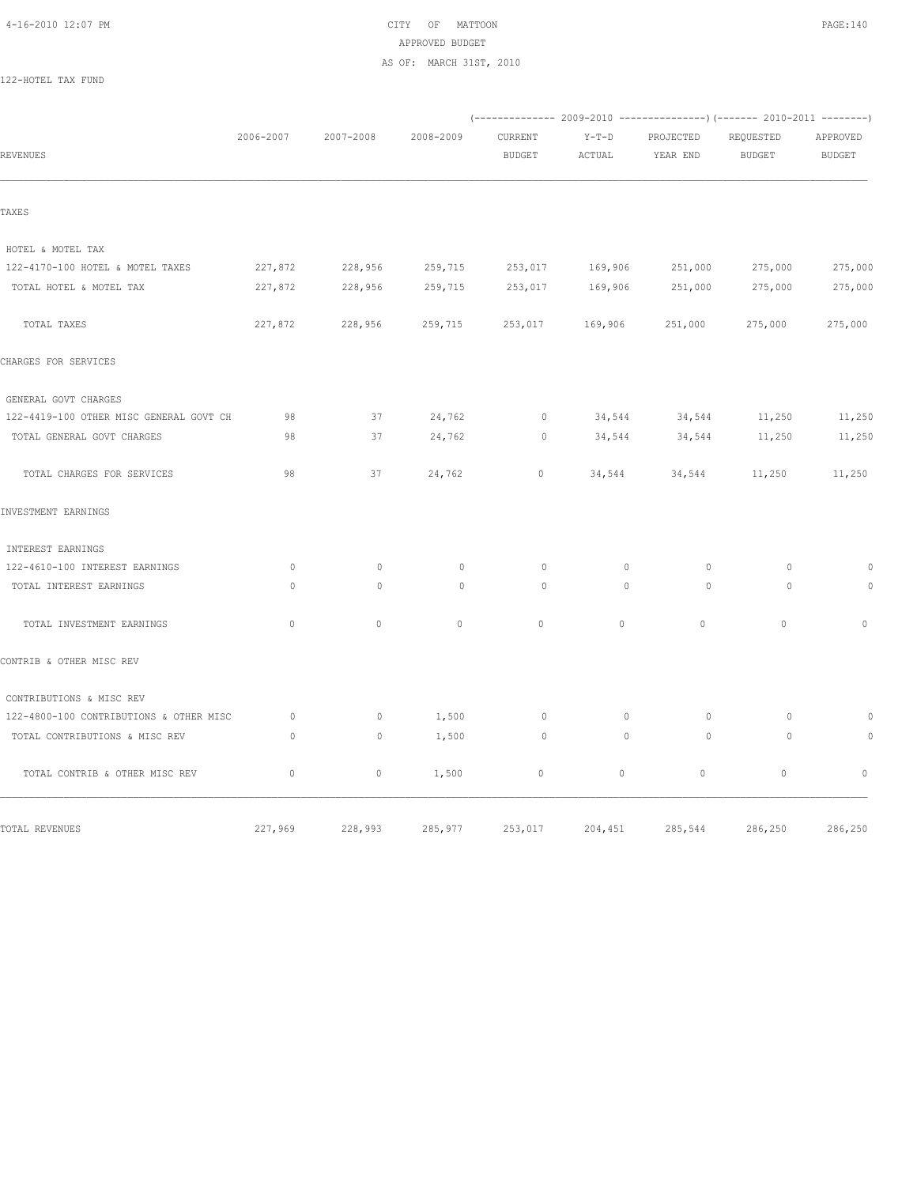## 4-16-2010 12:07 PM CITY OF MATTOON PAGE:140 APPROVED BUDGET AS OF: MARCH 31ST, 2010

122-HOTEL TAX FUND

|                                         |           |             |             |                          |                   | (-------------- 2009-2010 ----------------) (------- 2010-2011 ---------) |                            |                           |
|-----------------------------------------|-----------|-------------|-------------|--------------------------|-------------------|---------------------------------------------------------------------------|----------------------------|---------------------------|
| <b>REVENUES</b>                         | 2006-2007 | 2007-2008   | 2008-2009   | CURRENT<br><b>BUDGET</b> | $Y-T-D$<br>ACTUAL | PROJECTED<br>YEAR END                                                     | REQUESTED<br><b>BUDGET</b> | APPROVED<br><b>BUDGET</b> |
| TAXES                                   |           |             |             |                          |                   |                                                                           |                            |                           |
|                                         |           |             |             |                          |                   |                                                                           |                            |                           |
| HOTEL & MOTEL TAX                       |           |             |             |                          |                   |                                                                           |                            |                           |
| 122-4170-100 HOTEL & MOTEL TAXES        | 227,872   | 228,956     | 259,715     | 253,017                  | 169,906           | 251,000                                                                   | 275,000                    | 275,000                   |
| TOTAL HOTEL & MOTEL TAX                 | 227,872   | 228,956     | 259,715     | 253,017                  | 169,906           | 251,000                                                                   | 275,000                    | 275,000                   |
| TOTAL TAXES                             | 227,872   | 228,956     | 259,715     | 253,017                  | 169,906           | 251,000                                                                   | 275,000                    | 275,000                   |
| CHARGES FOR SERVICES                    |           |             |             |                          |                   |                                                                           |                            |                           |
| GENERAL GOVT CHARGES                    |           |             |             |                          |                   |                                                                           |                            |                           |
| 122-4419-100 OTHER MISC GENERAL GOVT CH | 98        | 37          | 24,762      | $\circ$                  | 34,544            | 34,544 11,250                                                             |                            | 11,250                    |
| TOTAL GENERAL GOVT CHARGES              | 98        | 37          | 24,762      | $\circ$                  | 34,544            | 34,544                                                                    | 11,250                     | 11,250                    |
| TOTAL CHARGES FOR SERVICES              | 98        | 37          | 24,762      | $\circ$                  | 34,544            | 34,544                                                                    | 11,250                     | 11,250                    |
| INVESTMENT EARNINGS                     |           |             |             |                          |                   |                                                                           |                            |                           |
| INTEREST EARNINGS                       |           |             |             |                          |                   |                                                                           |                            |                           |
| 122-4610-100 INTEREST EARNINGS          | $\circ$   | $\circ$     | $\circ$     | $\circ$                  | $\circ$           | $\mathbf{0}$                                                              | $\mathbf 0$                |                           |
| TOTAL INTEREST EARNINGS                 | $\Omega$  | $\Omega$    | $\circ$     | $\circ$                  | $\circ$           | $\mathbf{0}$                                                              | $\mathbf{0}$               | $\Omega$                  |
| TOTAL INVESTMENT EARNINGS               | $\Omega$  | $\mathbb O$ | $\mathbb O$ | $\mathbb O$              | $\circ$           | $\Omega$                                                                  | $\mathbb O$                | $\Omega$                  |
| CONTRIB & OTHER MISC REV                |           |             |             |                          |                   |                                                                           |                            |                           |
| CONTRIBUTIONS & MISC REV                |           |             |             |                          |                   |                                                                           |                            |                           |
| 122-4800-100 CONTRIBUTIONS & OTHER MISC | $\circ$   | $\circ$     | 1,500       | 0                        | $\circ$           | $\circ$                                                                   | $\mathbf{0}$               |                           |
| TOTAL CONTRIBUTIONS & MISC REV          | 0         | $\circ$     | 1,500       | 0                        | $\circ$           | $\mathbf 0$                                                               | $\circ$                    | $\mathbf 0$               |
| TOTAL CONTRIB & OTHER MISC REV          | $\circ$   | $\circ$     | 1,500       | $\circ$                  | $\circ$           | $\circ$                                                                   | $\mathbb O$                | $\circ$                   |
| TOTAL REVENUES                          | 227,969   | 228,993     | 285,977     | 253,017                  | 204,451           | 285,544                                                                   | 286,250                    | 286,250                   |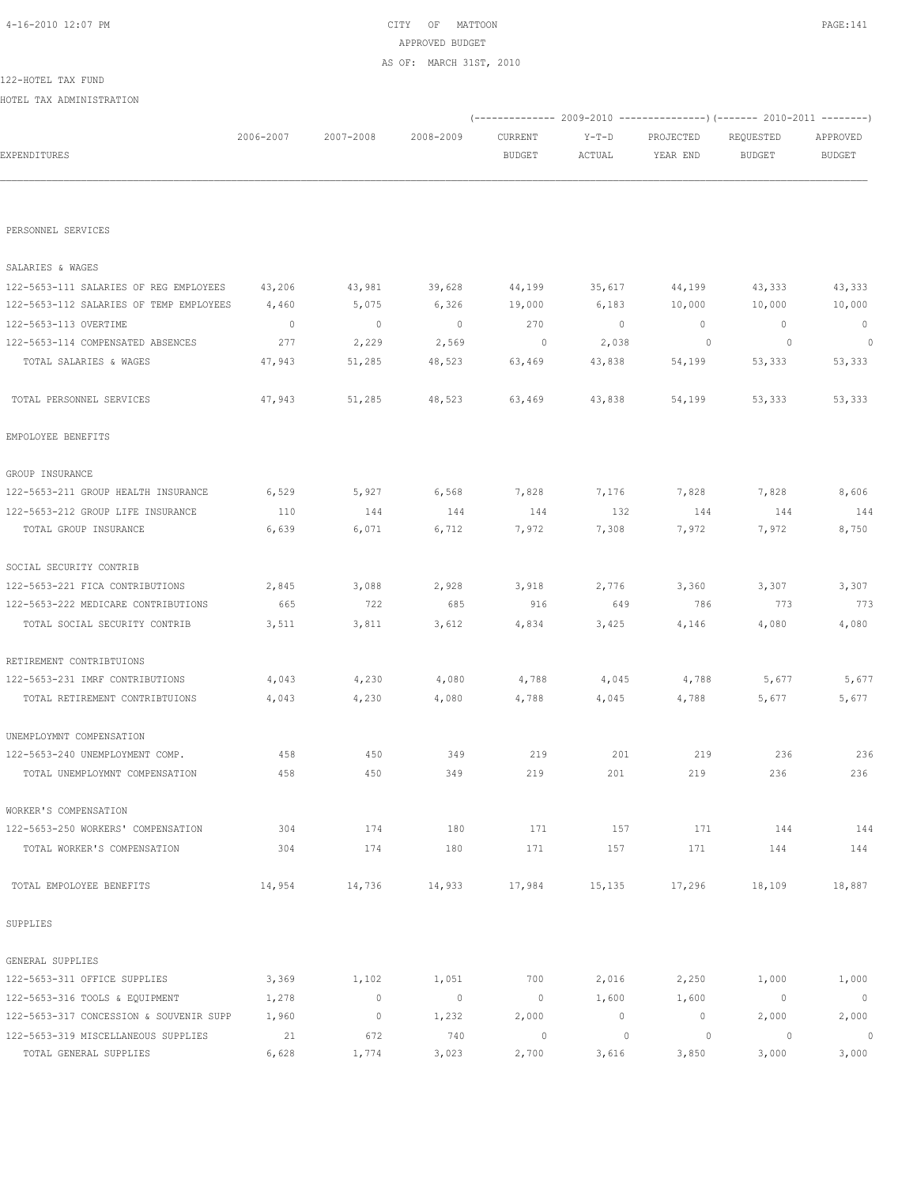## 4-16-2010 12:07 PM CITY OF MATTOON PAGE:141 APPROVED BUDGET AS OF: MARCH 31ST, 2010

### 122-HOTEL TAX FUND

#### HOTEI

| HOTEL TAX ADMINISTRATION                |                |           |                |               |         |                |                                                                                        |                |
|-----------------------------------------|----------------|-----------|----------------|---------------|---------|----------------|----------------------------------------------------------------------------------------|----------------|
|                                         | 2006-2007      | 2007-2008 | 2008-2009      | CURRENT       | $Y-T-D$ | PROJECTED      | (-------------- 2009-2010 -----------------) (------- 2010-2011 --------)<br>REQUESTED | APPROVED       |
| EXPENDITURES                            |                |           |                | <b>BUDGET</b> | ACTUAL  | YEAR END       | <b>BUDGET</b>                                                                          | <b>BUDGET</b>  |
|                                         |                |           |                |               |         |                |                                                                                        |                |
| PERSONNEL SERVICES                      |                |           |                |               |         |                |                                                                                        |                |
| SALARIES & WAGES                        |                |           |                |               |         |                |                                                                                        |                |
| 122-5653-111 SALARIES OF REG EMPLOYEES  | 43,206         | 43,981    | 39,628         | 44,199        | 35,617  | 44,199         | 43,333                                                                                 | 43,333         |
| 122-5653-112 SALARIES OF TEMP EMPLOYEES | 4,460          | 5,075     | 6,326          | 19,000        | 6,183   | 10,000         | 10,000                                                                                 | 10,000         |
| 122-5653-113 OVERTIME                   | $\overline{0}$ | $\circ$   | $\overline{0}$ | 270           | $\circ$ | $\Omega$       | $\mathbf{0}$                                                                           | $\Omega$       |
| 122-5653-114 COMPENSATED ABSENCES       | 277            | 2,229     | 2,569          | $\sim$ 0      | 2,038   | $\overline{0}$ | $\mathbf{0}$                                                                           | $\overline{0}$ |
| TOTAL SALARIES & WAGES                  | 47,943         | 51,285    | 48,523         | 63,469        | 43,838  | 54,199         | 53,333                                                                                 | 53,333         |
| TOTAL PERSONNEL SERVICES                | 47,943         | 51,285    | 48,523         | 63,469        | 43,838  | 54,199         | 53,333                                                                                 | 53,333         |
| EMPOLOYEE BENEFITS                      |                |           |                |               |         |                |                                                                                        |                |
| GROUP INSURANCE                         |                |           |                |               |         |                |                                                                                        |                |
| 122-5653-211 GROUP HEALTH INSURANCE     | 6,529          | 5,927     | 6,568          | 7,828         | 7,176   | 7,828          | 7,828                                                                                  | 8,606          |
| 122-5653-212 GROUP LIFE INSURANCE       | 110            | 144       | 144            | 144           | 132     | 144            | 144                                                                                    | 144            |
| TOTAL GROUP INSURANCE                   | 6,639          | 6,071     | 6,712          | 7,972         | 7,308   | 7,972          | 7,972                                                                                  | 8,750          |
| SOCIAL SECURITY CONTRIB                 |                |           |                |               |         |                |                                                                                        |                |
| 122-5653-221 FICA CONTRIBUTIONS         | 2,845          | 3,088     | 2,928          | 3,918         | 2,776   | 3,360          | 3,307                                                                                  | 3,307          |
| 122-5653-222 MEDICARE CONTRIBUTIONS     | 665            | 722       | 685            | 916           | 649     | 786            | 773                                                                                    | 773            |
| TOTAL SOCIAL SECURITY CONTRIB           | 3,511          | 3,811     | 3,612          | 4,834         | 3,425   | 4,146          | 4,080                                                                                  | 4,080          |

| RETIREMENT CONTRIBTUIONS           |        |        |        |        |        |        |        |        |
|------------------------------------|--------|--------|--------|--------|--------|--------|--------|--------|
| 122-5653-231 IMRF CONTRIBUTIONS    | 4,043  | 4,230  | 4,080  | 4,788  | 4,045  | 4,788  | 5,677  | 5,677  |
| TOTAL RETIREMENT CONTRIBTUIONS     | 4,043  | 4,230  | 4,080  | 4,788  | 4,045  | 4,788  | 5,677  | 5,677  |
| UNEMPLOYMNT COMPENSATION           |        |        |        |        |        |        |        |        |
| 122-5653-240 UNEMPLOYMENT COMP.    | 458    | 450    | 349    | 219    | 201    | 219    | 236    | 236    |
| TOTAL UNEMPLOYMNT COMPENSATION     | 458    | 450    | 349    | 219    | 201    | 219    | 236    | 236    |
| WORKER'S COMPENSATION              |        |        |        |        |        |        |        |        |
| 122-5653-250 WORKERS' COMPENSATION | 304    | 174    | 180    | 171    | 157    | 171    | 144    | 144    |
| TOTAL WORKER'S COMPENSATION        | 304    | 174    | 180    | 171    | 157    | 171    | 144    | 144    |
| TOTAL EMPOLOYEE BENEFITS           | 14,954 | 14,736 | 14,933 | 17,984 | 15,135 | 17,296 | 18,109 | 18,887 |
| SUPPLIES                           |        |        |        |        |        |        |        |        |
| GENERAL SUPPLIES                   |        |        |        |        |        |        |        |        |

| 122-5653-311 OFFICE SUPPLIES            | 3,369 | 1,102    | 1,051 | 700   | 2,016 | 2,250 | 1,000 | 1,000        |
|-----------------------------------------|-------|----------|-------|-------|-------|-------|-------|--------------|
| 122-5653-316 TOOLS & EQUIPMENT          | 1,278 | 0        |       |       | 1,600 | 1,600 |       | $\mathbf{0}$ |
| 122-5653-317 CONCESSION & SOUVENIR SUPP | 1,960 | $\Omega$ | 1,232 | 2,000 |       |       | 2,000 | 2,000        |
| 122-5653-319 MISCELLANEOUS SUPPLIES     | 21    | 672      | 740   |       |       |       |       |              |
| TOTAL GENERAL SUPPLIES                  | 6,628 | 1,774    | 3,023 | 2,700 | 3,616 | 3,850 | 3,000 | 3,000        |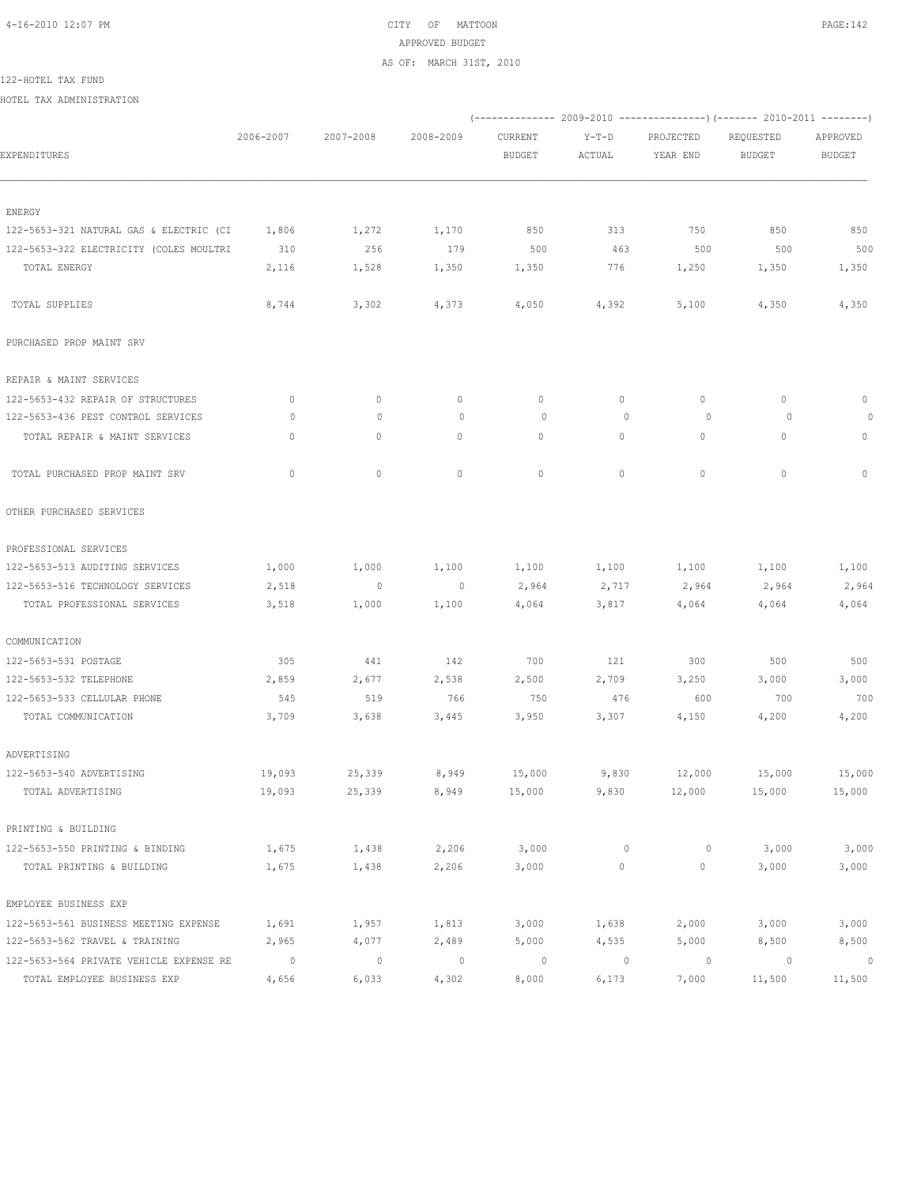## 4-16-2010 12:07 PM CITY OF MATTOON PAGE:142 APPROVED BUDGET AS OF: MARCH 31ST, 2010

### 122-HOTEL TAX FUND

#### HOTEL TAX ADMINISTRATION

|                                         |                |                          |                |                          |                          | (-------------- 2009-2010 ----------------) (------- 2010-2011 --------) |                            |                           |
|-----------------------------------------|----------------|--------------------------|----------------|--------------------------|--------------------------|--------------------------------------------------------------------------|----------------------------|---------------------------|
| EXPENDITURES                            | 2006-2007      | 2007-2008                | 2008-2009      | CURRENT<br><b>BUDGET</b> | $Y-T-D$<br>ACTUAL        | PROJECTED<br>YEAR END                                                    | REQUESTED<br><b>BUDGET</b> | APPROVED<br><b>BUDGET</b> |
|                                         |                |                          |                |                          |                          |                                                                          |                            |                           |
| ENERGY                                  |                |                          |                |                          |                          |                                                                          |                            |                           |
| 122-5653-321 NATURAL GAS & ELECTRIC (CI | 1,806          | 1,272                    | 1,170          | 850                      | 313                      | 750                                                                      | 850                        | 850                       |
| 122-5653-322 ELECTRICITY (COLES MOULTRI | 310            | 256                      | 179            | 500                      | 463                      | 500                                                                      | 500                        | 500                       |
| TOTAL ENERGY                            | 2,116          | 1,528                    | 1,350          | 1,350                    | 776                      | 1,250                                                                    | 1,350                      | 1,350                     |
| TOTAL SUPPLIES                          | 8,744          | 3,302                    | 4,373          | 4,050                    | 4,392                    | 5,100                                                                    | 4,350                      | 4,350                     |
| PURCHASED PROP MAINT SRV                |                |                          |                |                          |                          |                                                                          |                            |                           |
| REPAIR & MAINT SERVICES                 |                |                          |                |                          |                          |                                                                          |                            |                           |
| 122-5653-432 REPAIR OF STRUCTURES       | $\mathbf{0}$   | $\mathbb O$              | 0              | $\circ$                  | 0                        | $\circ$                                                                  | $\circ$                    | $\mathbf{0}$              |
| 122-5653-436 PEST CONTROL SERVICES      | 0              | $\circ$                  | $\circ$        | $\circ$                  | $\mathbf{0}$             | $\mathbf{0}$                                                             | $\mathbf{0}$               | $\mathbf 0$               |
| TOTAL REPAIR & MAINT SERVICES           | $\mathbf{0}$   | 0                        | 0              | $\circ$                  | $\circ$                  | $\circ$                                                                  | $\mathbf{0}$               | 0                         |
| TOTAL PURCHASED PROP MAINT SRV          | $\mathbf{0}$   | $\mathbb O$              | $\circ$        | $\circ$                  | $\circ$                  | 0                                                                        | $\circ$                    | $\mathbf{0}$              |
| OTHER PURCHASED SERVICES                |                |                          |                |                          |                          |                                                                          |                            |                           |
| PROFESSIONAL SERVICES                   |                |                          |                |                          |                          |                                                                          |                            |                           |
| 122-5653-513 AUDITING SERVICES          | 1,000          | 1,000                    | 1,100          | 1,100                    | 1,100                    | 1,100                                                                    | 1,100                      | 1,100                     |
| 122-5653-516 TECHNOLOGY SERVICES        | 2,518          | $\overline{\phantom{0}}$ | $\sim$ 0       | 2,964                    | 2,717                    | 2,964                                                                    | 2,964                      | 2,964                     |
| TOTAL PROFESSIONAL SERVICES             | 3,518          | 1,000                    | 1,100          | 4,064                    | 3,817                    | 4,064                                                                    | 4,064                      | 4,064                     |
| COMMUNICATION                           |                |                          |                |                          |                          |                                                                          |                            |                           |
| 122-5653-531 POSTAGE                    | 305            | 441                      | 142            | 700                      | 121                      | 300                                                                      | 500                        | 500                       |
| 122-5653-532 TELEPHONE                  | 2,859          | 2,677                    | 2,538          | 2,500                    | 2,709                    | 3,250                                                                    | 3,000                      | 3,000                     |
| 122-5653-533 CELLULAR PHONE             | 545            | 519                      | 766            | 750                      | 476                      | 600                                                                      | 700                        | 700                       |
| TOTAL COMMUNICATION                     | 3,709          | 3,638                    | 3,445          | 3,950                    | 3,307                    | 4,150                                                                    | 4,200                      | 4,200                     |
| ADVERTISING                             |                |                          |                |                          |                          |                                                                          |                            |                           |
| 122-5653-540 ADVERTISING                | 19,093         | 25,339                   | 8,949          | 15,000                   | 9,830                    | 12,000                                                                   | 15,000                     | 15,000                    |
| TOTAL ADVERTISING                       | 19,093         | 25,339                   | 8,949          | 15,000                   | 9,830                    | 12,000                                                                   | 15,000                     | 15,000                    |
| PRINTING & BUILDING                     |                |                          |                |                          |                          |                                                                          |                            |                           |
| 122-5653-550 PRINTING & BINDING         | 1,675          | 1,438                    | 2,206          | 3,000                    | $\mathbb O$              | $\circ$                                                                  | 3,000                      | 3,000                     |
| TOTAL PRINTING & BUILDING               | 1,675          | 1,438                    | 2,206          | 3,000                    | $\circ$                  | 0                                                                        | 3,000                      | 3,000                     |
| EMPLOYEE BUSINESS EXP                   |                |                          |                |                          |                          |                                                                          |                            |                           |
| 122-5653-561 BUSINESS MEETING EXPENSE   | 1,691          | 1,957                    | 1,813          | 3,000                    | 1,638                    | 2,000                                                                    | 3,000                      | 3,000                     |
| 122-5653-562 TRAVEL & TRAINING          | 2,965          | 4,077                    | 2,489          | 5,000                    | 4,535                    | 5,000                                                                    | 8,500                      | 8,500                     |
| 122-5653-564 PRIVATE VEHICLE EXPENSE RE | $\overline{0}$ | $\overline{0}$           | $\overline{0}$ | $\circ$                  | $\overline{\phantom{0}}$ | $\overline{0}$                                                           | $\sim$ 0                   | $\circ$                   |
| TOTAL EMPLOYEE BUSINESS EXP             | 4,656          | 6,033                    | 4,302          | 8,000                    | 6,173                    | 7,000                                                                    | 11,500                     | 11,500                    |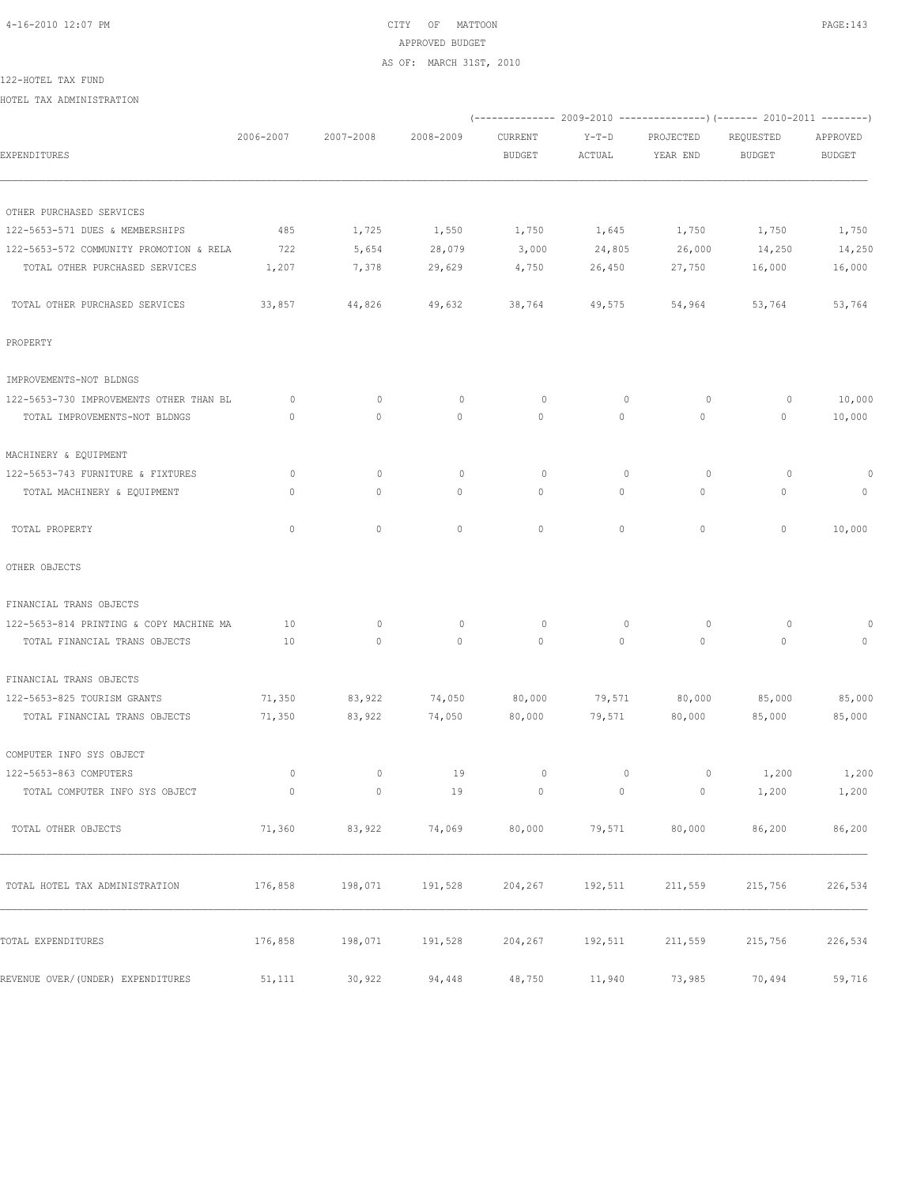## 4-16-2010 12:07 PM CITY OF MATTOON PAGE:143 APPROVED BUDGET AS OF: MARCH 31ST, 2010

#### 122-HOTEL TAX FUND

#### HOTEL TAX ADMINISTRATION

|                                                                           |              |                |                  | (-------------- 2009-2010 ----------------) (------- 2010-2011 --------) |                   |                       |                            |                           |
|---------------------------------------------------------------------------|--------------|----------------|------------------|--------------------------------------------------------------------------|-------------------|-----------------------|----------------------------|---------------------------|
| EXPENDITURES                                                              | 2006-2007    | 2007-2008      | 2008-2009        | CURRENT<br><b>BUDGET</b>                                                 | $Y-T-D$<br>ACTUAL | PROJECTED<br>YEAR END | REQUESTED<br><b>BUDGET</b> | APPROVED<br><b>BUDGET</b> |
|                                                                           |              |                |                  |                                                                          |                   |                       |                            |                           |
| OTHER PURCHASED SERVICES                                                  |              |                |                  |                                                                          |                   |                       |                            |                           |
| 122-5653-571 DUES & MEMBERSHIPS                                           | 485          | 1,725          | 1,550            | 1,750                                                                    | 1,645             | 1,750                 | 1,750                      | 1,750                     |
| 122-5653-572 COMMUNITY PROMOTION & RELA<br>TOTAL OTHER PURCHASED SERVICES | 722<br>1,207 | 5,654<br>7,378 | 28,079<br>29,629 | 3,000<br>4,750                                                           | 24,805<br>26,450  | 26,000<br>27,750      | 14,250<br>16,000           | 14,250<br>16,000          |
| TOTAL OTHER PURCHASED SERVICES                                            | 33,857       | 44,826         | 49,632           | 38,764                                                                   | 49,575            | 54,964                | 53,764                     | 53,764                    |
| PROPERTY                                                                  |              |                |                  |                                                                          |                   |                       |                            |                           |
| IMPROVEMENTS-NOT BLDNGS                                                   |              |                |                  |                                                                          |                   |                       |                            |                           |
| 122-5653-730 IMPROVEMENTS OTHER THAN BL                                   | $\circ$      | $\circ$        | 0                | 0                                                                        | $\mathbf 0$       | $\mathbf 0$           | 0                          | 10,000                    |
| TOTAL IMPROVEMENTS-NOT BLDNGS                                             | $\mathbf{0}$ | 0              | $\circ$          | $\circ$                                                                  | 0                 | $\circ$               | 0                          | 10,000                    |
| MACHINERY & EQUIPMENT                                                     |              |                |                  |                                                                          |                   |                       |                            |                           |
| 122-5653-743 FURNITURE & FIXTURES                                         | 0            | 0              | 0                | 0                                                                        | $\mathbf 0$       | 0                     | 0                          | $\mathbf{0}$              |
| TOTAL MACHINERY & EQUIPMENT                                               | $\mathbf{0}$ | 0              | 0                | 0                                                                        | 0                 | $\mathbf{0}$          | $\circ$                    | $\mathbb O$               |
| TOTAL PROPERTY                                                            | $\circ$      | $\circ$        | $\circ$          | $\circ$                                                                  | $\circ$           | $\circ$               | 0                          | 10,000                    |
| OTHER OBJECTS                                                             |              |                |                  |                                                                          |                   |                       |                            |                           |
| FINANCIAL TRANS OBJECTS                                                   |              |                |                  |                                                                          |                   |                       |                            |                           |
| 122-5653-814 PRINTING & COPY MACHINE MA                                   | 10           | $\circ$        | 0                | 0                                                                        | $\mathbf 0$       | $\mathbf 0$           | 0                          | 0                         |
| TOTAL FINANCIAL TRANS OBJECTS                                             | 10           | $\circ$        | $\circ$          | $\circ$                                                                  | 0                 | $\circ$               | 0                          | $\mathbf{0}$              |
| FINANCIAL TRANS OBJECTS                                                   |              |                |                  |                                                                          |                   |                       |                            |                           |
| 122-5653-825 TOURISM GRANTS                                               | 71,350       | 83,922         | 74,050           | 80,000                                                                   | 79,571            | 80,000                | 85,000                     | 85,000                    |
| TOTAL FINANCIAL TRANS OBJECTS                                             | 71,350       | 83,922         | 74,050           | 80,000                                                                   | 79,571            | 80,000                | 85,000                     | 85,000                    |
| COMPUTER INFO SYS OBJECT                                                  |              |                |                  |                                                                          |                   |                       |                            |                           |
| 122-5653-863 COMPUTERS                                                    | $\circ$      | $\circ$        | 19               | 0                                                                        | $\circ$           | 0                     | 1,200                      | 1,200                     |
| TOTAL COMPUTER INFO SYS OBJECT                                            | $\mathbb O$  | $\mathbb O$    | 19               | $\mathbb O$                                                              | $\circ$           | $\circ$               | 1,200                      | 1,200                     |
| TOTAL OTHER OBJECTS                                                       | 71,360       | 83,922         | 74,069           | 80,000                                                                   | 79,571            | 80,000                | 86,200                     | 86,200                    |
| TOTAL HOTEL TAX ADMINISTRATION                                            | 176,858      | 198,071        | 191,528          | 204,267                                                                  | 192,511           | 211,559               | 215,756                    | 226,534                   |
| TOTAL EXPENDITURES                                                        | 176,858      | 198,071        | 191,528          | 204,267                                                                  | 192,511           | 211,559               | 215,756                    | 226,534                   |
| REVENUE OVER/(UNDER) EXPENDITURES                                         | 51,111       | 30,922         | 94,448           | 48,750                                                                   | 11,940            | 73,985                | 70,494                     | 59,716                    |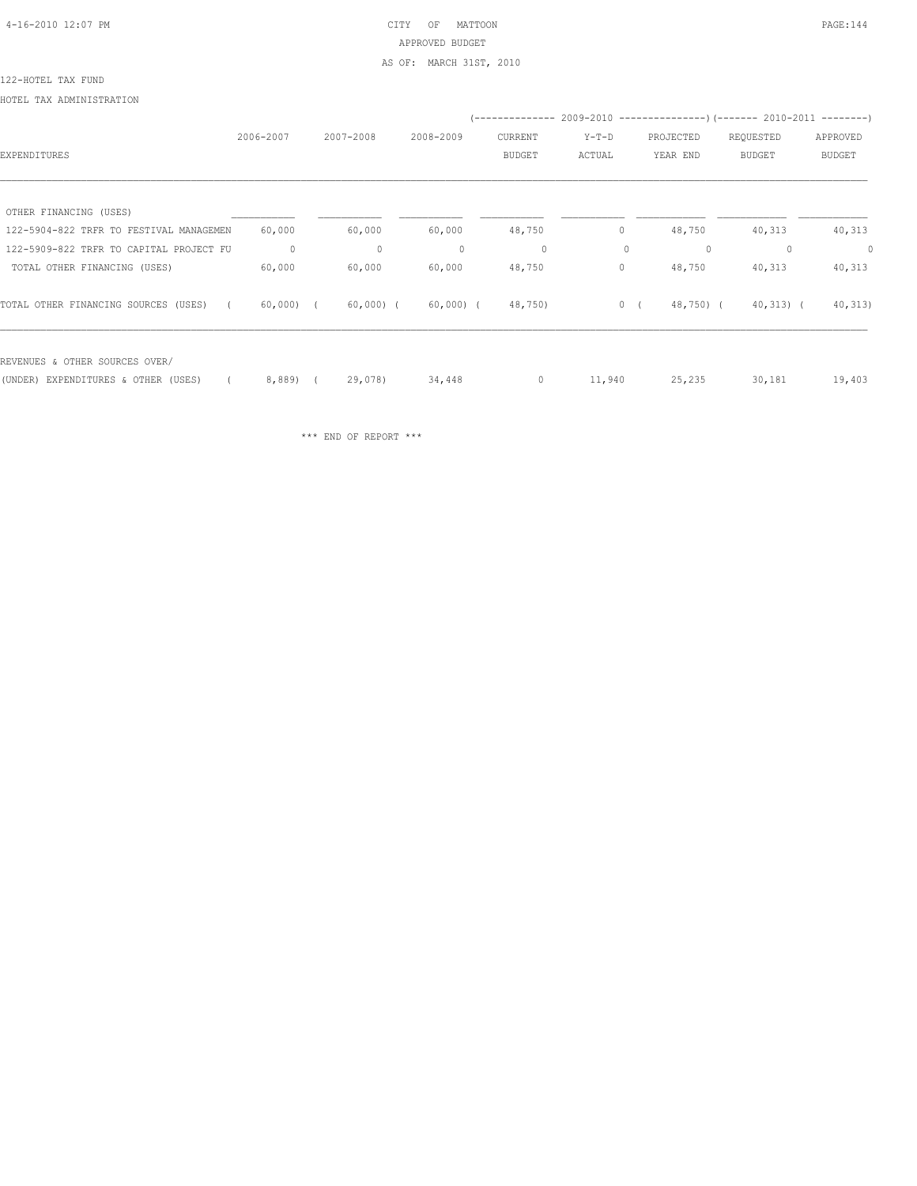## 4-16-2010 12:07 PM CITY OF MATTOON PAGE:144 APPROVED BUDGET AS OF: MARCH 31ST, 2010

#### 122-HOTEL TAX FUND

#### HOTEL TAX ADMINISTRATION

|                                                    |           |           |              |               |              | (-------------- 2009-2010 -----------------) (------- 2010-2011 --------) |              |               |
|----------------------------------------------------|-----------|-----------|--------------|---------------|--------------|---------------------------------------------------------------------------|--------------|---------------|
|                                                    | 2006-2007 | 2007-2008 | 2008-2009    | CURRENT       | $Y-T-D$      | PROJECTED                                                                 | REQUESTED    | APPROVED      |
| <b>EXPENDITURES</b>                                |           |           |              | <b>BUDGET</b> | ACTUAL       | YEAR END                                                                  | BUDGET       | <b>BUDGET</b> |
|                                                    |           |           |              |               |              |                                                                           |              |               |
| OTHER FINANCING (USES)                             |           |           |              |               |              |                                                                           |              |               |
| 122-5904-822 TRFR TO FESTIVAL MANAGEMEN            | 60,000    | 60,000    | 60,000       | 48,750        | 0            | 48,750                                                                    | 40,313       | 40,313        |
| 122-5909-822 TRFR TO CAPITAL PROJECT FU            | 0         | $\circ$   | $\mathbf{0}$ | 0             | $\mathbf{0}$ | $\mathbf{0}$                                                              | 0            | $\mathbf 0$   |
| TOTAL OTHER FINANCING (USES)                       | 60,000    | 60,000    | 60,000       | 48,750        | $\circ$      | 48,750                                                                    | 40,313       | 40,313        |
| TOTAL OTHER FINANCING SOURCES (USES)<br>$\sqrt{2}$ | 60,000) ( | 60,000) ( | 60,000) (    | 48,750)       |              | 0(<br>48,750) (                                                           | $40, 313)$ ( | 40, 313)      |
| REVENUES & OTHER SOURCES OVER/                     |           |           |              |               |              |                                                                           |              |               |

(UNDER) EXPENDITURES & OTHER (USES) (8,889) (29,078) 34,448 0 11,940 25,235 30,181 19,403

\*\*\* END OF REPORT \*\*\*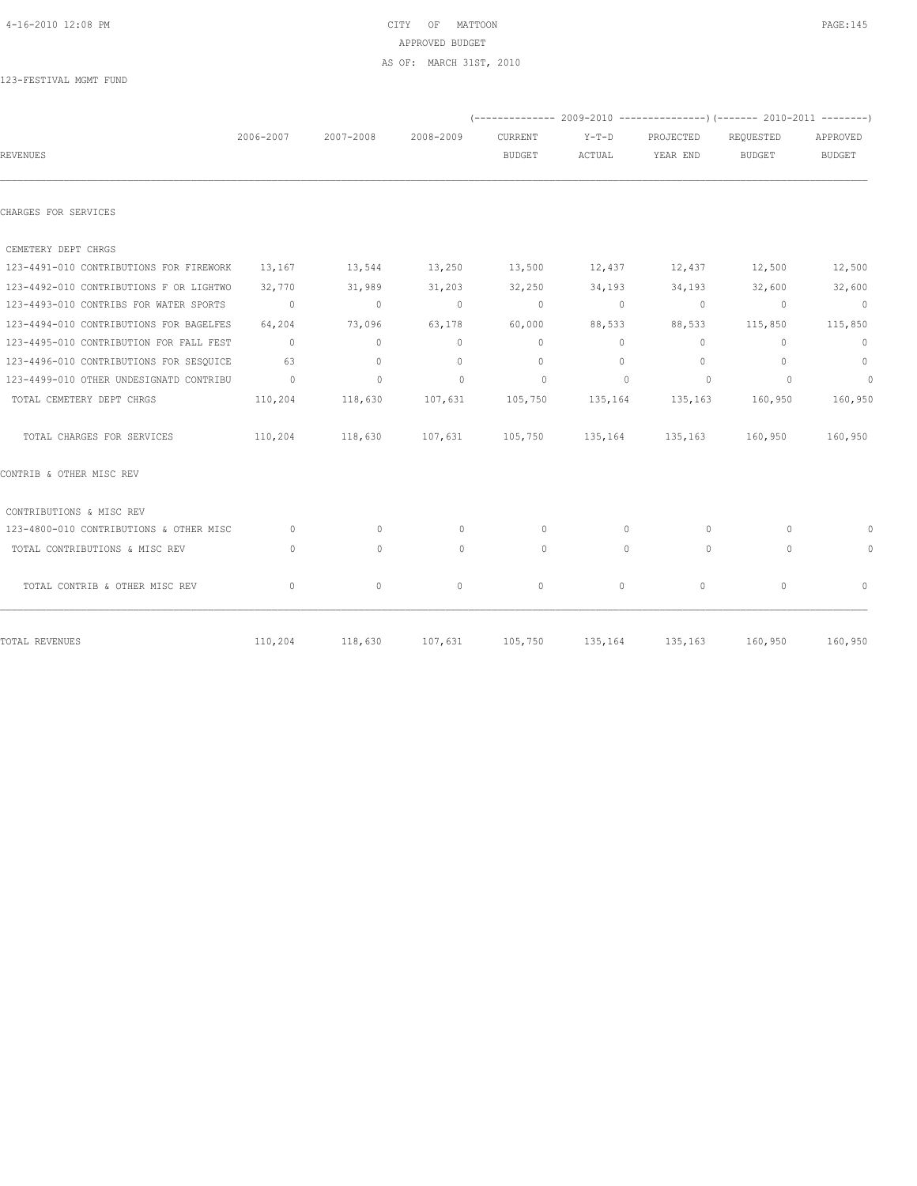# 4-16-2010 12:08 PM CITY OF MATTOON PAGE:145 APPROVED BUDGET AS OF: MARCH 31ST, 2010

### 123-FESTIVAL MGMT FUND

|                                         |              |                                                             |                                         |               |              |                | (-------------- 2009-2010 -----------------) (------- 2010-2011 --------) |                |
|-----------------------------------------|--------------|-------------------------------------------------------------|-----------------------------------------|---------------|--------------|----------------|---------------------------------------------------------------------------|----------------|
|                                         | 2006-2007    | 2007-2008                                                   | 2008-2009                               | CURRENT       | $Y-T-D$      | PROJECTED      | REQUESTED                                                                 | APPROVED       |
| REVENUES                                |              |                                                             |                                         | <b>BUDGET</b> | ACTUAL       | YEAR END       | <b>BUDGET</b>                                                             | <b>BUDGET</b>  |
|                                         |              |                                                             |                                         |               |              |                |                                                                           |                |
| CHARGES FOR SERVICES                    |              |                                                             |                                         |               |              |                |                                                                           |                |
| CEMETERY DEPT CHRGS                     |              |                                                             |                                         |               |              |                |                                                                           |                |
| 123-4491-010 CONTRIBUTIONS FOR FIREWORK | 13,167       | 13,544                                                      | 13,250                                  | 13,500        | 12,437       | 12,437 12,500  |                                                                           | 12,500         |
| 123-4492-010 CONTRIBUTIONS F OR LIGHTWO | 32,770       | 31,989                                                      | 31,203                                  | 32,250        | 34,193       | 34,193         | 32,600                                                                    | 32,600         |
| 123-4493-010 CONTRIBS FOR WATER SPORTS  | $\sim$ 0     | $\sim$ 0                                                    | $\sim$ 0                                | $\circ$       | $\sim$ 0     | $\overline{0}$ | $\sim$ 0                                                                  | $\overline{0}$ |
| 123-4494-010 CONTRIBUTIONS FOR BAGELFES | 64,204       | 73,096                                                      | 63,178                                  | 60,000        | 88,533       | 88,533         | 115,850                                                                   | 115,850        |
| 123-4495-010 CONTRIBUTION FOR FALL FEST | $\sim$ 0     | $\mathbf{0}$                                                | $\mathbf{0}$                            | $\circ$       | $\circ$      | $\circ$        | $\mathbf{0}$                                                              | $\circ$        |
| 123-4496-010 CONTRIBUTIONS FOR SESOUICE | 63           | $\circ$                                                     | $\Omega$                                | $\circ$       | $\Omega$     | $\Omega$       | $\Omega$                                                                  | $\circ$        |
| 123-4499-010 OTHER UNDESIGNATD CONTRIBU | $\sim$ 0     | $\mathbb O$                                                 | $\circ$                                 | $\circ$       | $\mathbf{0}$ | $\mathbf 0$    | $\mathbf{0}$                                                              | $\overline{0}$ |
| TOTAL CEMETERY DEPT CHRGS               | 110,204      | 118,630                                                     | 107,631                                 | 105,750       | 135,164      | 135,163        | 160,950                                                                   | 160,950        |
| TOTAL CHARGES FOR SERVICES              | 110,204      | $118,630$ $107,631$ $105,750$ $135,164$ $135,163$ $160,950$ |                                         |               |              |                |                                                                           | 160,950        |
| CONTRIB & OTHER MISC REV                |              |                                                             |                                         |               |              |                |                                                                           |                |
| CONTRIBUTIONS & MISC REV                |              |                                                             |                                         |               |              |                |                                                                           |                |
| 123-4800-010 CONTRIBUTIONS & OTHER MISC | $\circ$      | $\circ$                                                     | $\circ$                                 | 0             | $\mathbf{0}$ | $\mathbf{0}$   | $\begin{array}{c} \n\end{array}$                                          |                |
| TOTAL CONTRIBUTIONS & MISC REV          | $\Omega$     | $\Omega$                                                    | $\Omega$                                | $\Omega$      | $\Omega$     | $\Omega$       | $\Omega$                                                                  | $\Omega$       |
| TOTAL CONTRIB & OTHER MISC REV          | $\mathbf{0}$ | $\circ$                                                     | $\mathbf{0}$                            | $\circ$       | $\circ$      | $\circ$        | $\mathbf{0}$                                                              | $\circ$        |
| TOTAL REVENUES                          | 110,204      | 118,630                                                     | 107,631 105,750 135,164 135,163 160,950 |               |              |                |                                                                           | 160,950        |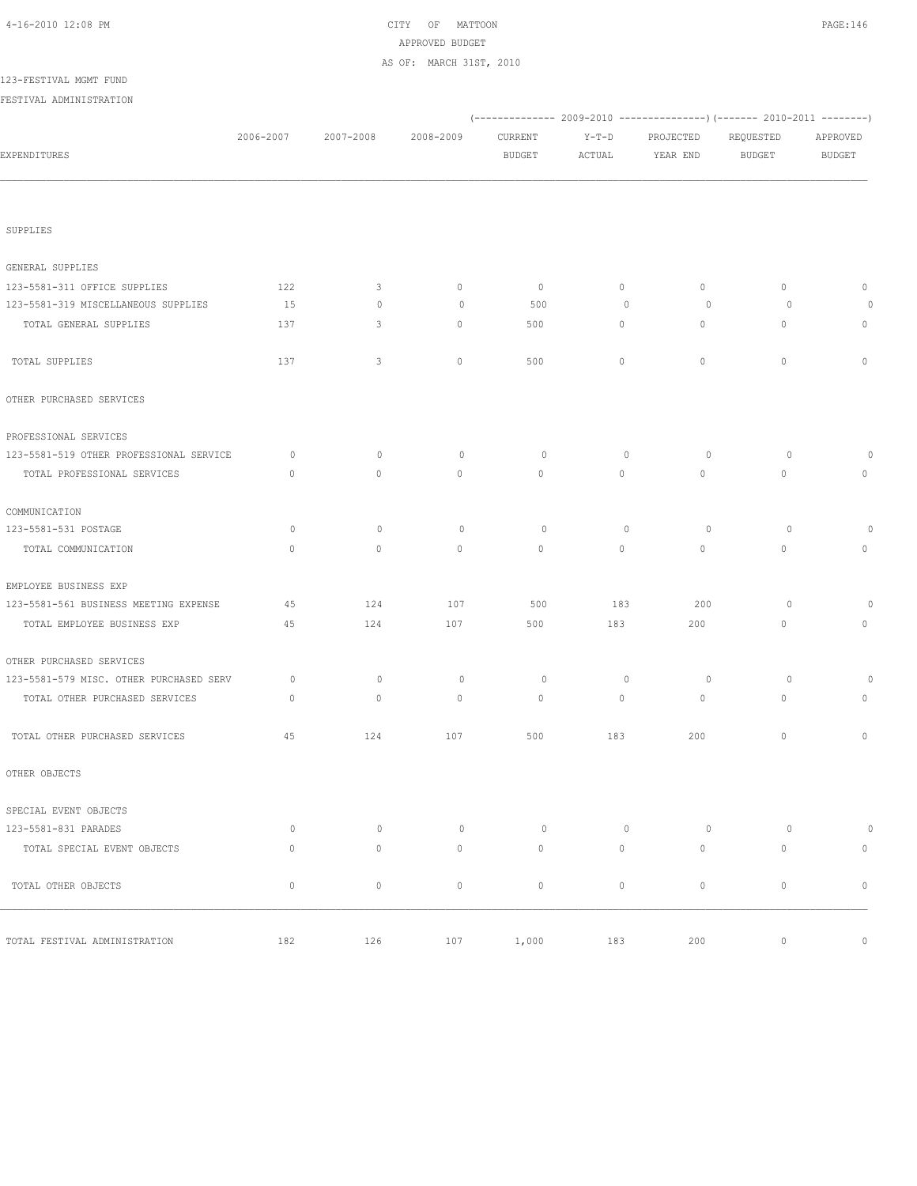# 4-16-2010 12:08 PM CITY OF MATTOON PAGE:146 APPROVED BUDGET AS OF: MARCH 31ST, 2010

## 123-FESTIVAL MGMT FUND

|                                         |             |              |              |                          |                   |                       | (-------------- 2009-2010 ----------------) (------- 2010-2011 ---------) |                                  |
|-----------------------------------------|-------------|--------------|--------------|--------------------------|-------------------|-----------------------|---------------------------------------------------------------------------|----------------------------------|
| EXPENDITURES                            | 2006-2007   | 2007-2008    | 2008-2009    | CURRENT<br><b>BUDGET</b> | $Y-T-D$<br>ACTUAL | PROJECTED<br>YEAR END | REQUESTED<br>BUDGET                                                       | APPROVED<br><b>BUDGET</b>        |
|                                         |             |              |              |                          |                   |                       |                                                                           |                                  |
| SUPPLIES                                |             |              |              |                          |                   |                       |                                                                           |                                  |
| GENERAL SUPPLIES                        |             |              |              |                          |                   |                       |                                                                           |                                  |
| 123-5581-311 OFFICE SUPPLIES            | 122         | 3            | $\mathbb O$  | $\circ$                  | $\circ$           | 0                     | $\circ$                                                                   | $\circ$                          |
| 123-5581-319 MISCELLANEOUS SUPPLIES     | 15          | 0            | $\mathbb O$  | 500                      | $\mathbf 0$       | $\circ$               | $\circ$                                                                   | $\mathbf{0}$                     |
| TOTAL GENERAL SUPPLIES                  | 137         | 3            | $\circ$      | 500                      | $\circ$           | 0                     | 0                                                                         | $\circ$                          |
| TOTAL SUPPLIES                          | 137         | 3            | $\mathbb O$  | 500                      | $\circ$           | $\circ$               | $\circ$                                                                   | $\circ$                          |
| OTHER PURCHASED SERVICES                |             |              |              |                          |                   |                       |                                                                           |                                  |
| PROFESSIONAL SERVICES                   |             |              |              |                          |                   |                       |                                                                           |                                  |
| 123-5581-519 OTHER PROFESSIONAL SERVICE | 0           | $\circ$      | $\circ$      | $\circ$                  | $\circ$           | $\mathbb O$           | $\circ$                                                                   | $\begin{array}{c} \n\end{array}$ |
| TOTAL PROFESSIONAL SERVICES             | $\circ$     | $\circ$      | $\mathbf{0}$ | $\circ$                  | $\circ$           | 0                     | $\circ$                                                                   | $\mathbf{0}$                     |
| COMMUNICATION                           |             |              |              |                          |                   |                       |                                                                           |                                  |
| 123-5581-531 POSTAGE                    | $\circ$     | $\circ$      | $\mathbb O$  | $\circ$                  | $\mathbf 0$       | $\circ$               | $\circ$                                                                   | $\mathbf{0}$                     |
| TOTAL COMMUNICATION                     | $\circ$     | $\circ$      | $\mathbf{0}$ | $\circ$                  | $\circ$           | 0                     | 0                                                                         | $\circ$                          |
| EMPLOYEE BUSINESS EXP                   |             |              |              |                          |                   |                       |                                                                           |                                  |
| 123-5581-561 BUSINESS MEETING EXPENSE   | 45          | 124          | 107          | 500                      | 183               | 200                   | $\mathbf{0}$                                                              | $\mathbf{0}$                     |
| TOTAL EMPLOYEE BUSINESS EXP             | 45          | 124          | 107          | 500                      | 183               | 200                   | 0                                                                         | $\circ$                          |
| OTHER PURCHASED SERVICES                |             |              |              |                          |                   |                       |                                                                           |                                  |
| 123-5581-579 MISC. OTHER PURCHASED SERV | $\circ$     | $\circ$      | $\circ$      | $\circ$                  | $\circ$           | $\mathbb O$           | $\circ$                                                                   | $\mathbf{0}$                     |
| TOTAL OTHER PURCHASED SERVICES          | $\circ$     | $\mathbf{0}$ | $\circ$      | $\circ$                  | $\circ$           | $\circ$               | $\circ$                                                                   | $\mathbf{0}$                     |
| TOTAL OTHER PURCHASED SERVICES          | 45          | 124          | 107          | 500                      | 183               | 200                   | $\circ$                                                                   | $\circ$                          |
| OTHER OBJECTS                           |             |              |              |                          |                   |                       |                                                                           |                                  |
| SPECIAL EVENT OBJECTS                   |             |              |              |                          |                   |                       |                                                                           |                                  |
| 123-5581-831 PARADES                    | $\circ$     | $\mathbb O$  | $\circ$      | $\circ$                  | $\circ$           | $\mathbb O$           | $\mathbb O$                                                               | $\mathbb O$                      |
| TOTAL SPECIAL EVENT OBJECTS             | $\mathbb O$ | $\circ$      | $\circ$      | $\circ$                  | $\circ$           | $\circ$               | $\circ$                                                                   | $\circ$                          |
| TOTAL OTHER OBJECTS                     | $\mathbb O$ | $\circ$      | $\mathbb O$  | $\circ$                  | $\circ$           | $\circ$               | $\mathbb O$                                                               | $\circ$                          |
| TOTAL FESTIVAL ADMINISTRATION           | 182         | 126          | 107          | 1,000                    | 183               | 200                   | $\circ$                                                                   | $\circ$                          |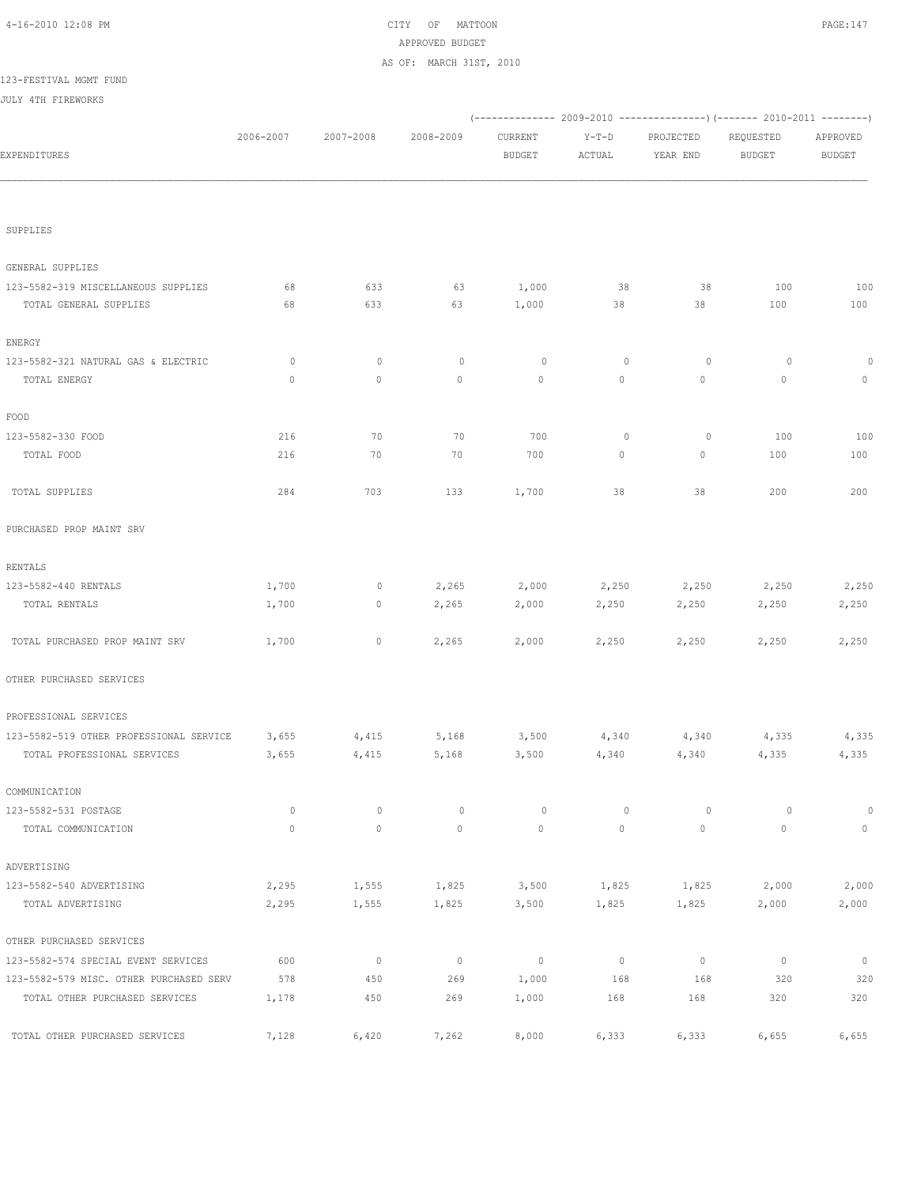# 4-16-2010 12:08 PM CITY OF MATTOON PAGE:147 APPROVED BUDGET AS OF: MARCH 31ST, 2010

### 123-FESTIVAL MGMT FUND

JULY 4TH FIREWORKS

|                                         |           |             |             |                          |                   |                       | (-------------- 2009-2010 ---------------) (------- 2010-2011 --------) |                           |
|-----------------------------------------|-----------|-------------|-------------|--------------------------|-------------------|-----------------------|-------------------------------------------------------------------------|---------------------------|
| EXPENDITURES                            | 2006-2007 | 2007-2008   | 2008-2009   | CURRENT<br><b>BUDGET</b> | $Y-T-D$<br>ACTUAL | PROJECTED<br>YEAR END | REQUESTED<br><b>BUDGET</b>                                              | APPROVED<br><b>BUDGET</b> |
|                                         |           |             |             |                          |                   |                       |                                                                         |                           |
| SUPPLIES                                |           |             |             |                          |                   |                       |                                                                         |                           |
| GENERAL SUPPLIES                        |           |             |             |                          |                   |                       |                                                                         |                           |
| 123-5582-319 MISCELLANEOUS SUPPLIES     | 68        | 633         | 63          | 1,000                    | 38                | 38                    | 100                                                                     | 100                       |
| TOTAL GENERAL SUPPLIES                  | 68        | 633         | 63          | 1,000                    | 38                | 38                    | 100                                                                     | 100                       |
| ENERGY                                  |           |             |             |                          |                   |                       |                                                                         |                           |
| 123-5582-321 NATURAL GAS & ELECTRIC     | 0         | $\circ$     | $\circ$     | $\circ$                  | $\mathbf 0$       | $\circ$               | $\mathbf 0$                                                             | $\mathbf 0$               |
| TOTAL ENERGY                            | $\circ$   | $\mathbb O$ | $\mathbb O$ | $\circ$                  | $\circ$           | $\mathbb O$           | $\circ$                                                                 | 0                         |
| FOOD                                    |           |             |             |                          |                   |                       |                                                                         |                           |
| 123-5582-330 FOOD                       | 216       | 70          | 70          | 700                      | 0                 | $\mathbf 0$           | 100                                                                     | 100                       |
| TOTAL FOOD                              | 216       | 70          | 70          | 700                      | $\circ$           | $\circ$               | 100                                                                     | 100                       |
| TOTAL SUPPLIES                          | 284       | 703         | 133         | 1,700                    | 38                | 38                    | 200                                                                     | 200                       |
| PURCHASED PROP MAINT SRV                |           |             |             |                          |                   |                       |                                                                         |                           |
| RENTALS                                 |           |             |             |                          |                   |                       |                                                                         |                           |
| 123-5582-440 RENTALS                    | 1,700     | 0           | 2,265       | 2,000                    | 2,250             | 2,250                 | 2,250                                                                   | 2,250                     |
| TOTAL RENTALS                           | 1,700     | 0           | 2,265       | 2,000                    | 2,250             | 2,250                 | 2,250                                                                   | 2,250                     |
| TOTAL PURCHASED PROP MAINT SRV          | 1,700     | $\circ$     | 2,265       | 2,000                    | 2,250             | 2,250                 | 2,250                                                                   | 2,250                     |
| OTHER PURCHASED SERVICES                |           |             |             |                          |                   |                       |                                                                         |                           |
| PROFESSIONAL SERVICES                   |           |             |             |                          |                   |                       |                                                                         |                           |
| 123-5582-519 OTHER PROFESSIONAL SERVICE | 3,655     | 4,415       | 5,168       | 3,500                    | 4,340             | 4,340                 | 4,335                                                                   | 4,335                     |
| TOTAL PROFESSIONAL SERVICES             | 3,655     | 4,415       | 5,168       | 3,500                    | 4,340             | 4,340                 | 4,335                                                                   | 4,335                     |
| COMMUNICATION                           |           |             |             |                          |                   |                       |                                                                         |                           |
| 123-5582-531 POSTAGE                    | $\circ$   | $\circ$     | $\circ$     | $\circ$                  | $\mathbf 0$       | $\mathbf{0}$          | $\mathbf 0$                                                             | $\mathbf 0$               |
| TOTAL COMMUNICATION                     | $\circ$   | $\circ$     | $\mathbb O$ | $\circ$                  | $\circ$           | $\circ$               | $\circ$                                                                 | $\circ$                   |
| ADVERTISING                             |           |             |             |                          |                   |                       |                                                                         |                           |
| 123-5582-540 ADVERTISING                | 2,295     | 1,555       | 1,825       | 3,500                    | 1,825             | 1,825                 | 2,000                                                                   | 2,000                     |
| TOTAL ADVERTISING                       | 2,295     | 1,555       | 1,825       | 3,500                    | 1,825             | 1,825                 | 2,000                                                                   | 2,000                     |
| OTHER PURCHASED SERVICES                |           |             |             |                          |                   |                       |                                                                         |                           |
| 123-5582-574 SPECIAL EVENT SERVICES     | 600       | $\circ$     | $\circ$     | $\circ$                  | $\circ$           | $\circ$               | $\circ$                                                                 | $\circ$                   |
| 123-5582-579 MISC. OTHER PURCHASED SERV | 578       | 450         | 269         | 1,000                    | 168               | 168                   | 320                                                                     | 320                       |
| TOTAL OTHER PURCHASED SERVICES          | 1,178     | 450         | 269         | 1,000                    | 168               | 168                   | 320                                                                     | 320                       |
| TOTAL OTHER PURCHASED SERVICES          | 7,128     | 6,420       | 7,262       | 8,000                    | 6,333             | 6,333                 | 6,655                                                                   | 6,655                     |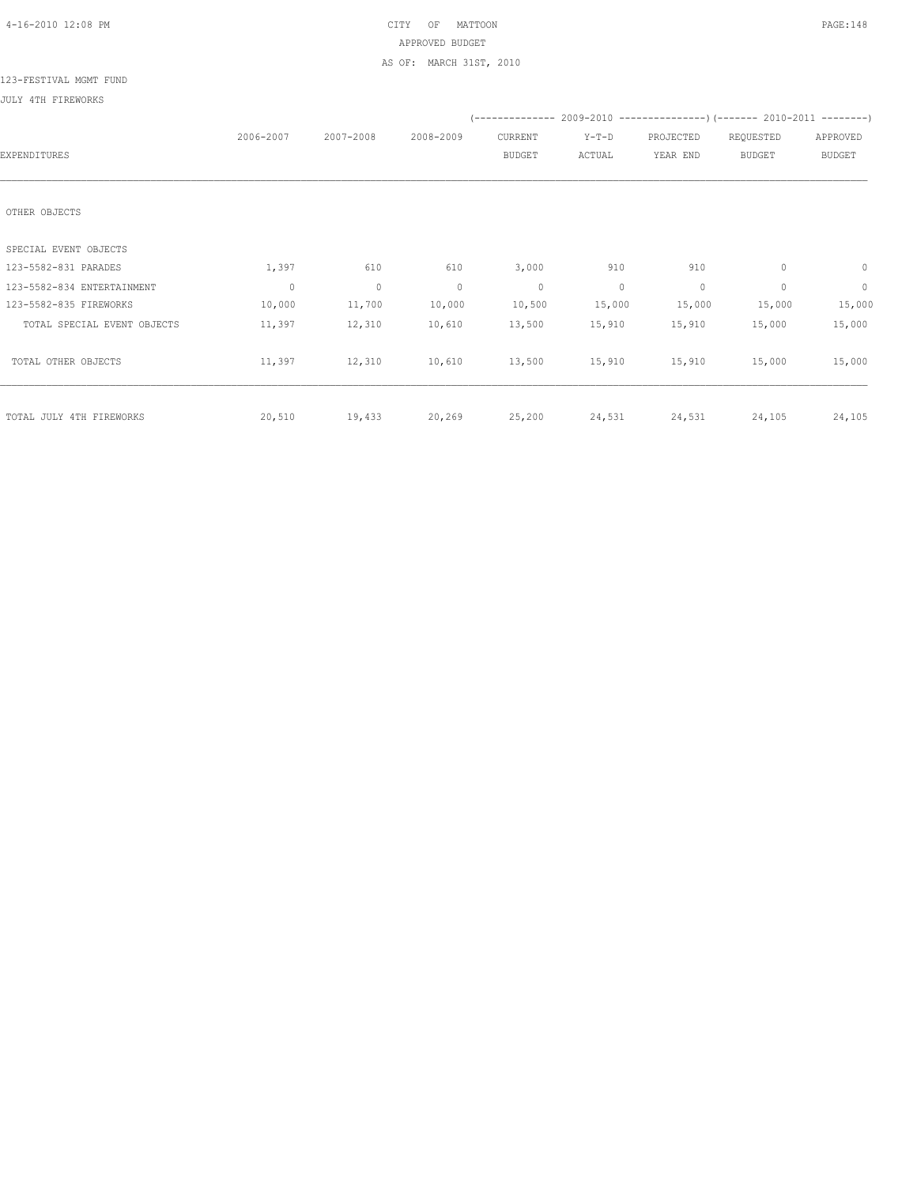# 4-16-2010 12:08 PM CITY OF MATTOON PAGE:148 APPROVED BUDGET AS OF: MARCH 31ST, 2010

## 123-FESTIVAL MGMT FUND

### JULY 4TH FIREWORKS

|                             |              |           |              |               |         |           | (-------------- 2009-2010 ----------------) (------- 2010-2011 --------) |               |
|-----------------------------|--------------|-----------|--------------|---------------|---------|-----------|--------------------------------------------------------------------------|---------------|
|                             | 2006-2007    | 2007-2008 | 2008-2009    | CURRENT       | $Y-T-D$ | PROJECTED | REQUESTED                                                                | APPROVED      |
| EXPENDITURES                |              |           |              | <b>BUDGET</b> | ACTUAL  | YEAR END  | <b>BUDGET</b>                                                            | <b>BUDGET</b> |
|                             |              |           |              |               |         |           |                                                                          |               |
| OTHER OBJECTS               |              |           |              |               |         |           |                                                                          |               |
| SPECIAL EVENT OBJECTS       |              |           |              |               |         |           |                                                                          |               |
| 123-5582-831 PARADES        | 1,397        | 610       | 610          | 3,000         | 910     | 910       | $\mathbf 0$                                                              | 0             |
| 123-5582-834 ENTERTAINMENT  | $\mathbf{0}$ | $\circ$   | $\mathbf{0}$ | $\mathbf 0$   | $\circ$ | $\circ$   | $\mathbf{0}$                                                             | $\circ$       |
| 123-5582-835 FIREWORKS      | 10,000       | 11,700    | 10,000       | 10,500        | 15,000  | 15,000    | 15,000                                                                   | 15,000        |
| TOTAL SPECIAL EVENT OBJECTS | 11,397       | 12,310    | 10,610       | 13,500        | 15,910  | 15,910    | 15,000                                                                   | 15,000        |
| TOTAL OTHER OBJECTS         | 11,397       | 12,310    | 10,610       | 13,500        | 15,910  | 15,910    | 15,000                                                                   | 15,000        |
| TOTAL JULY 4TH FIREWORKS    | 20,510       | 19,433    | 20,269       | 25,200        | 24,531  | 24,531    | 24,105                                                                   | 24,105        |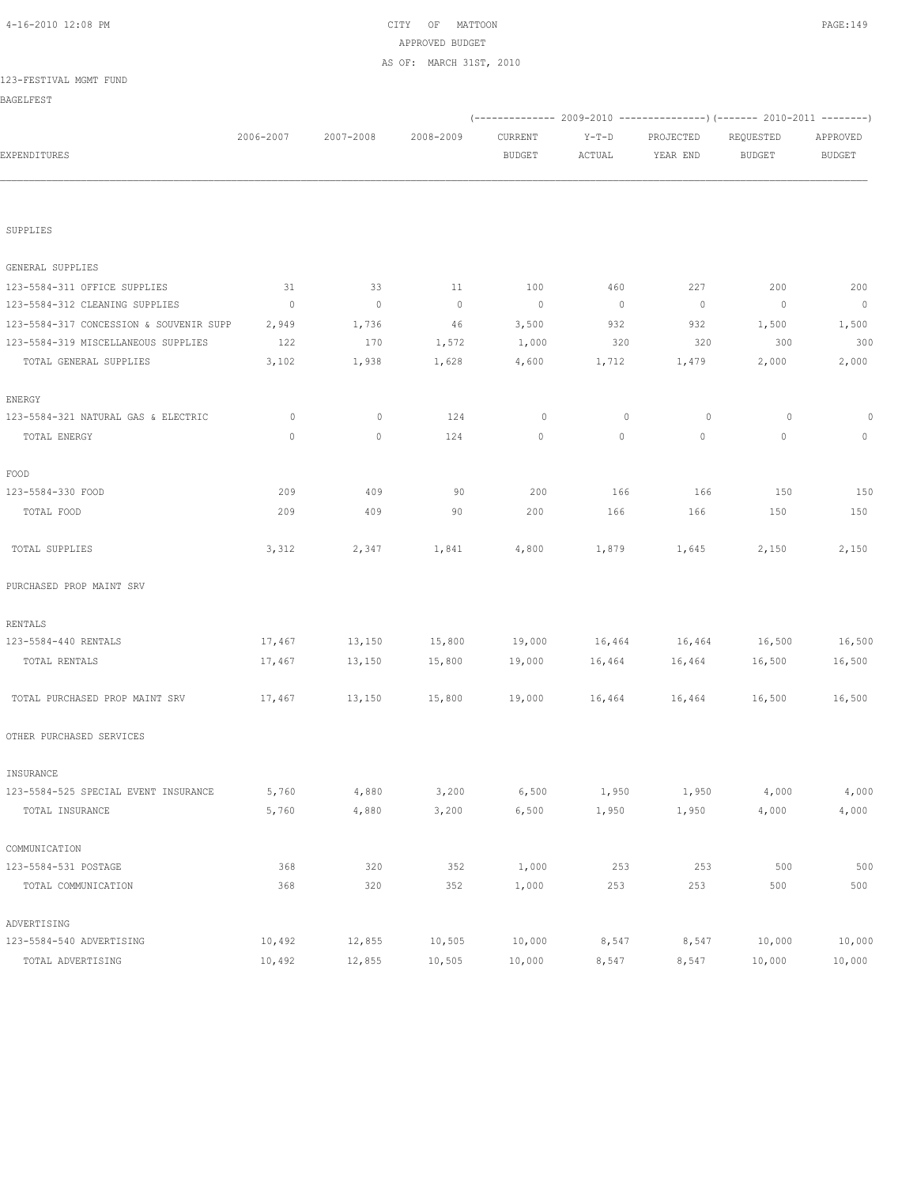# 4-16-2010 12:08 PM CITY OF MATTOON PAGE:149 APPROVED BUDGET AS OF: MARCH 31ST, 2010

### 123-FESTIVAL MGMT FUND

#### BAGELFEST

|                                         |                |           |           |                          |                   |                       | (-------------- 2009-2010 ---------------) (------- 2010-2011 --------) |                    |  |
|-----------------------------------------|----------------|-----------|-----------|--------------------------|-------------------|-----------------------|-------------------------------------------------------------------------|--------------------|--|
| EXPENDITURES                            | 2006-2007      | 2007-2008 | 2008-2009 | CURRENT<br><b>BUDGET</b> | $Y-T-D$<br>ACTUAL | PROJECTED<br>YEAR END | REQUESTED<br>BUDGET                                                     | APPROVED<br>BUDGET |  |
|                                         |                |           |           |                          |                   |                       |                                                                         |                    |  |
| SUPPLIES                                |                |           |           |                          |                   |                       |                                                                         |                    |  |
| GENERAL SUPPLIES                        |                |           |           |                          |                   |                       |                                                                         |                    |  |
| 123-5584-311 OFFICE SUPPLIES            | 31             | 33        | 11        | 100                      | 460               | 227                   | 200                                                                     | 200                |  |
| 123-5584-312 CLEANING SUPPLIES          | $\overline{0}$ | $\circ$   | $\circ$   | $\mathbf 0$              | $\overline{0}$    | $\overline{0}$        | $\overline{0}$                                                          | $\overline{0}$     |  |
| 123-5584-317 CONCESSION & SOUVENIR SUPP | 2,949          | 1,736     | 46        | 3,500                    | 932               | 932                   | 1,500                                                                   | 1,500              |  |
| 123-5584-319 MISCELLANEOUS SUPPLIES     | 122            | 170       | 1,572     | 1,000                    | 320               | 320                   | 300                                                                     | 300                |  |
| TOTAL GENERAL SUPPLIES                  | 3,102          | 1,938     | 1,628     | 4,600                    | 1,712             | 1,479                 | 2,000                                                                   | 2,000              |  |
| ENERGY                                  |                |           |           |                          |                   |                       |                                                                         |                    |  |
| 123-5584-321 NATURAL GAS & ELECTRIC     | 0              | $\circ$   | 124       | 0                        | $\mathbf 0$       | $\mathbb{O}$          | $\circ$                                                                 | $\mathbf{0}$       |  |
| TOTAL ENERGY                            | $\circ$        | $\circ$   | 124       | 0                        | $\circ$           | 0                     | $\mathbb O$                                                             | $\circ$            |  |
| FOOD                                    |                |           |           |                          |                   |                       |                                                                         |                    |  |
| 123-5584-330 FOOD                       | 209            | 409       | 90        | 200                      | 166               | 166                   | 150                                                                     | 150                |  |
| TOTAL FOOD                              | 209            | 409       | 90        | 200                      | 166               | 166                   | 150                                                                     | 150                |  |
| TOTAL SUPPLIES                          | 3,312          | 2,347     | 1,841     | 4,800                    | 1,879             | 1,645                 | 2,150                                                                   | 2,150              |  |
| PURCHASED PROP MAINT SRV                |                |           |           |                          |                   |                       |                                                                         |                    |  |
| RENTALS                                 |                |           |           |                          |                   |                       |                                                                         |                    |  |
| 123-5584-440 RENTALS                    | 17,467         | 13,150    | 15,800    | 19,000                   | 16,464            | 16,464                | 16,500                                                                  | 16,500             |  |
| TOTAL RENTALS                           | 17,467         | 13,150    | 15,800    | 19,000                   | 16,464            | 16,464                | 16,500                                                                  | 16,500             |  |
| TOTAL PURCHASED PROP MAINT SRV          | 17,467         | 13,150    | 15,800    | 19,000                   | 16,464            | 16,464                | 16,500                                                                  | 16,500             |  |
| OTHER PURCHASED SERVICES                |                |           |           |                          |                   |                       |                                                                         |                    |  |
| INSURANCE                               |                |           |           |                          |                   |                       |                                                                         |                    |  |
| 123-5584-525 SPECIAL EVENT INSURANCE    | 5,760          | 4,880     | 3,200     | 6,500                    | 1,950             | 1,950                 | 4,000                                                                   | 4,000              |  |
| TOTAL INSURANCE                         | 5,760          | 4,880     | 3,200     | 6,500                    | 1,950             | 1,950                 | 4,000                                                                   | 4,000              |  |
| COMMUNICATION                           |                |           |           |                          |                   |                       |                                                                         |                    |  |
| 123-5584-531 POSTAGE                    | 368            | 320       | 352       | 1,000                    | 253               | 253                   | 500                                                                     | 500                |  |
| TOTAL COMMUNICATION                     | 368            | 320       | 352       | 1,000                    | 253               | 253                   | 500                                                                     | 500                |  |
| ADVERTISING                             |                |           |           |                          |                   |                       |                                                                         |                    |  |
| 123-5584-540 ADVERTISING                | 10,492         | 12,855    | 10,505    | 10,000                   | 8,547             | 8,547                 | 10,000                                                                  | 10,000             |  |
| TOTAL ADVERTISING                       | 10,492         | 12,855    | 10,505    | 10,000                   | 8,547             | 8,547                 | 10,000                                                                  | 10,000             |  |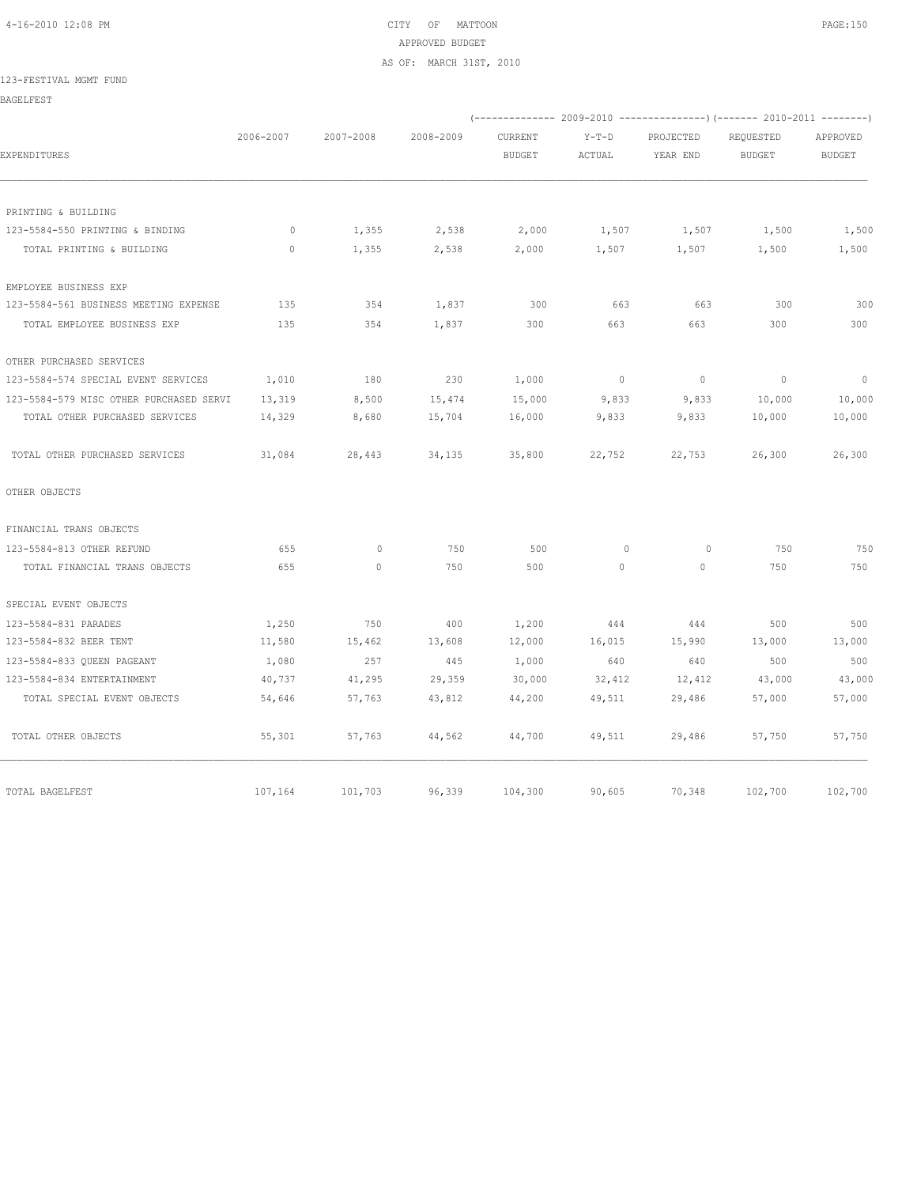# 4-16-2010 12:08 PM CITY OF MATTOON PAGE:150 APPROVED BUDGET AS OF: MARCH 31ST, 2010

## 123-FESTIVAL MGMT FUND

BAGELFEST

|                                                        |              |           |           | (-------------- 2009-2010 ----------------) (------- 2010-2011 --------) |                |                          |                          |                |
|--------------------------------------------------------|--------------|-----------|-----------|--------------------------------------------------------------------------|----------------|--------------------------|--------------------------|----------------|
|                                                        | 2006-2007    | 2007-2008 | 2008-2009 | CURRENT                                                                  | Y-T-D          | PROJECTED                | REQUESTED                | APPROVED       |
| EXPENDITURES                                           |              |           |           | BUDGET                                                                   | ACTUAL         | YEAR END                 | <b>BUDGET</b>            | <b>BUDGET</b>  |
|                                                        |              |           |           |                                                                          |                |                          |                          |                |
| PRINTING & BUILDING<br>123-5584-550 PRINTING & BINDING | $\circ$      | 1,355     | 2,538     | 2,000                                                                    | 1,507          | 1,507                    | 1,500                    | 1,500          |
| TOTAL PRINTING & BUILDING                              | $\mathbf{0}$ | 1,355     | 2,538     | 2,000                                                                    | 1,507          | 1,507                    | 1,500                    | 1,500          |
|                                                        |              |           |           |                                                                          |                |                          |                          |                |
| EMPLOYEE BUSINESS EXP                                  |              |           |           |                                                                          |                |                          |                          |                |
| 123-5584-561 BUSINESS MEETING EXPENSE                  | 135          | 354       | 1,837     | 300                                                                      | 663            | 663                      | 300                      | 300            |
| TOTAL EMPLOYEE BUSINESS EXP                            | 135          | 354       | 1,837     | 300                                                                      | 663            | 663                      | 300                      | 300            |
| OTHER PURCHASED SERVICES                               |              |           |           |                                                                          |                |                          |                          |                |
| 123-5584-574 SPECIAL EVENT SERVICES                    | 1,010        | 180       | 230       | 1,000                                                                    | $\overline{0}$ | $\overline{\phantom{0}}$ | $\overline{\phantom{0}}$ | $\overline{0}$ |
| 123-5584-579 MISC OTHER PURCHASED SERVI                | 13,319       | 8,500     | 15,474    | 15,000                                                                   | 9,833          | 9,833                    | 10,000                   | 10,000         |
| TOTAL OTHER PURCHASED SERVICES                         | 14,329       | 8,680     | 15,704    | 16,000                                                                   | 9,833          | 9,833                    | 10,000                   | 10,000         |
| TOTAL OTHER PURCHASED SERVICES                         | 31,084       | 28,443    | 34,135    | 35,800                                                                   | 22,752         | 22,753                   | 26,300                   | 26,300         |
| OTHER OBJECTS                                          |              |           |           |                                                                          |                |                          |                          |                |
| FINANCIAL TRANS OBJECTS                                |              |           |           |                                                                          |                |                          |                          |                |
| 123-5584-813 OTHER REFUND                              | 655          | $\circ$   | 750       | 500                                                                      | $\mathbf 0$    | $\circ$                  | 750                      | 750            |
| TOTAL FINANCIAL TRANS OBJECTS                          | 655          | 0         | 750       | 500                                                                      | $\circ$        | $\circ$                  | 750                      | 750            |
| SPECIAL EVENT OBJECTS                                  |              |           |           |                                                                          |                |                          |                          |                |
| 123-5584-831 PARADES                                   | 1,250        | 750       | 400       | 1,200                                                                    | 444            | 444                      | 500                      | 500            |
| 123-5584-832 BEER TENT                                 | 11,580       | 15,462    | 13,608    | 12,000                                                                   | 16,015         | 15,990                   | 13,000                   | 13,000         |
| 123-5584-833 QUEEN PAGEANT                             | 1,080        | 257       | 445       | 1,000                                                                    | 640            | 640                      | 500                      | 500            |
| 123-5584-834 ENTERTAINMENT                             | 40,737       | 41,295    | 29,359    | 30,000                                                                   | 32,412         | 12,412                   | 43,000                   | 43,000         |
| TOTAL SPECIAL EVENT OBJECTS                            | 54,646       | 57,763    | 43,812    | 44,200                                                                   | 49,511         | 29,486                   | 57,000                   | 57,000         |
| TOTAL OTHER OBJECTS                                    | 55,301       | 57,763    | 44,562    | 44,700                                                                   | 49,511         | 29,486                   | 57,750                   | 57,750         |
| TOTAL BAGELFEST                                        | 107,164      | 101,703   | 96,339    | 104,300                                                                  | 90,605         | 70,348                   | 102,700                  | 102,700        |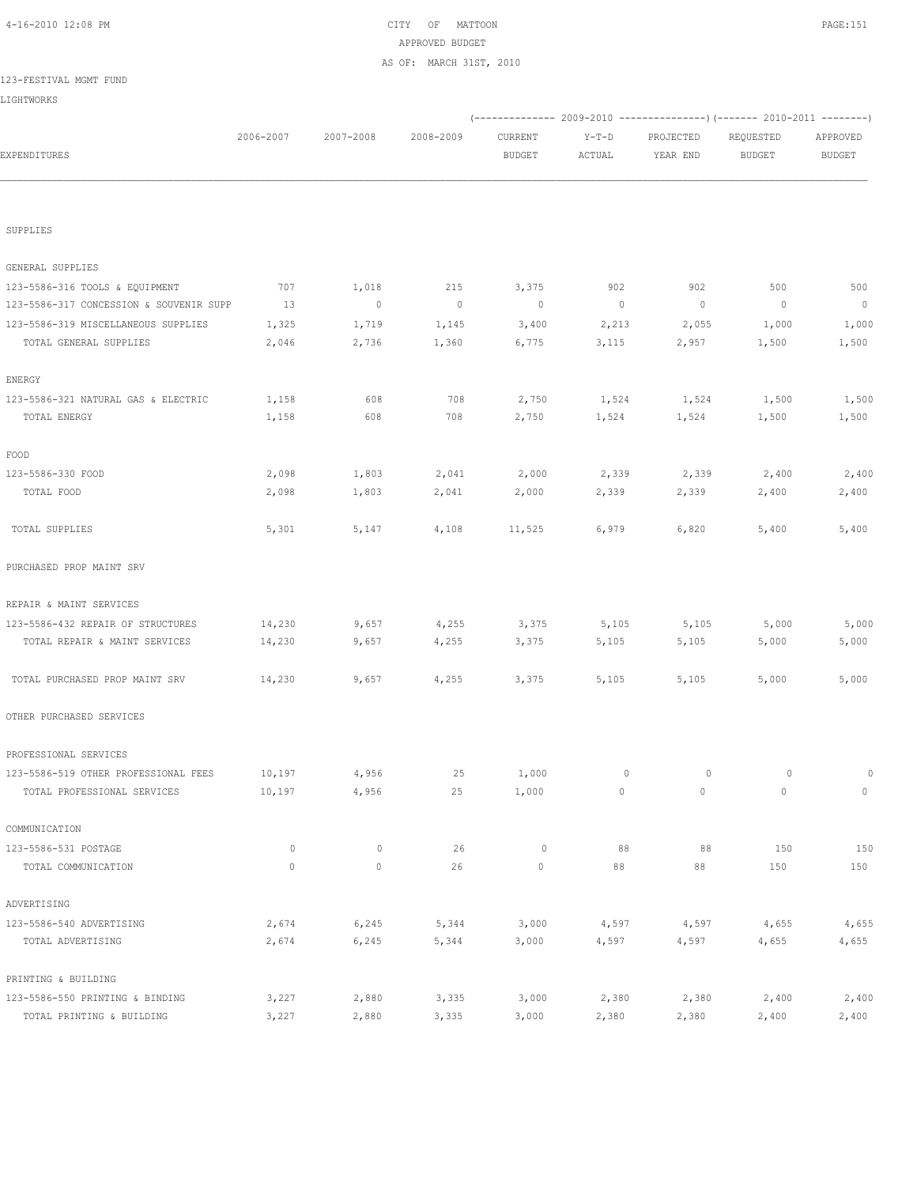# 4-16-2010 12:08 PM CITY OF MATTOON PAGE:151 APPROVED BUDGET AS OF: MARCH 31ST, 2010

### 123-FESTIVAL MGMT FUND

|                                         |             |                |                | (-------------- 2009-2010 ----------------) (------- 2010-2011 ---------) |                 |                       |                            |                           |
|-----------------------------------------|-------------|----------------|----------------|---------------------------------------------------------------------------|-----------------|-----------------------|----------------------------|---------------------------|
| EXPENDITURES                            | 2006-2007   | 2007-2008      | 2008-2009      | CURRENT<br><b>BUDGET</b>                                                  | Y-T-D<br>ACTUAL | PROJECTED<br>YEAR END | REQUESTED<br><b>BUDGET</b> | APPROVED<br><b>BUDGET</b> |
|                                         |             |                |                |                                                                           |                 |                       |                            |                           |
| SUPPLIES                                |             |                |                |                                                                           |                 |                       |                            |                           |
| GENERAL SUPPLIES                        |             |                |                |                                                                           |                 |                       |                            |                           |
| 123-5586-316 TOOLS & EQUIPMENT          | 707         | 1,018          | 215            | 3,375                                                                     | 902             | 902                   | 500                        | 500                       |
| 123-5586-317 CONCESSION & SOUVENIR SUPP | 13          | $\overline{0}$ | $\overline{0}$ | $\overline{0}$                                                            | $\overline{0}$  | $\overline{0}$        | $\overline{0}$             | $\overline{0}$            |
| 123-5586-319 MISCELLANEOUS SUPPLIES     | 1,325       | 1,719          | 1,145          | 3,400                                                                     | 2,213           | 2,055                 | 1,000                      | 1,000                     |
| TOTAL GENERAL SUPPLIES                  | 2,046       | 2,736          | 1,360          | 6,775                                                                     | 3,115           | 2,957                 | 1,500                      | 1,500                     |
| ENERGY                                  |             |                |                |                                                                           |                 |                       |                            |                           |
| 123-5586-321 NATURAL GAS & ELECTRIC     | 1,158       | 608            | 708            | 2,750                                                                     | 1,524           | 1,524                 | 1,500                      | 1,500                     |
| TOTAL ENERGY                            | 1,158       | 608            | 708            | 2,750                                                                     | 1,524           | 1,524                 | 1,500                      | 1,500                     |
| FOOD                                    |             |                |                |                                                                           |                 |                       |                            |                           |
| 123-5586-330 FOOD                       | 2,098       | 1,803          | 2,041          | 2,000                                                                     | 2,339           | 2,339                 | 2,400                      | 2,400                     |
| TOTAL FOOD                              | 2,098       | 1,803          | 2,041          | 2,000                                                                     | 2,339           | 2,339                 | 2,400                      | 2,400                     |
| TOTAL SUPPLIES                          | 5,301       | 5,147          | 4,108          | 11,525                                                                    | 6,979           | 6,820                 | 5,400                      | 5,400                     |
| PURCHASED PROP MAINT SRV                |             |                |                |                                                                           |                 |                       |                            |                           |
| REPAIR & MAINT SERVICES                 |             |                |                |                                                                           |                 |                       |                            |                           |
| 123-5586-432 REPAIR OF STRUCTURES       | 14,230      | 9,657          | 4,255          | 3,375                                                                     | 5,105           | 5,105                 | 5,000                      | 5,000                     |
| TOTAL REPAIR & MAINT SERVICES           | 14,230      | 9,657          | 4,255          | 3,375                                                                     | 5,105           | 5,105                 | 5,000                      | 5,000                     |
| TOTAL PURCHASED PROP MAINT SRV          | 14,230      | 9,657          | 4,255          | 3,375                                                                     | 5,105           | 5,105                 | 5,000                      | 5,000                     |
| OTHER PURCHASED SERVICES                |             |                |                |                                                                           |                 |                       |                            |                           |
| PROFESSIONAL SERVICES                   |             |                |                |                                                                           |                 |                       |                            |                           |
| 123-5586-519 OTHER PROFESSIONAL FEES    | 10,197      | 4,956          | 25             | 1,000                                                                     | $\mathbb O$     | $\mathbb O$           | $\mathbb O$                | $\mathbb O$               |
| TOTAL PROFESSIONAL SERVICES             | 10,197      | 4,956          | 25             | 1,000                                                                     | $\circ$         | $\circ$               | $\circ$                    | $\circ$                   |
| COMMUNICATION                           |             |                |                |                                                                           |                 |                       |                            |                           |
| 123-5586-531 POSTAGE                    | $\circ$     | $\circ$        | 26             | $\circ$                                                                   | 88              | 88                    | 150                        | 150                       |
| TOTAL COMMUNICATION                     | $\mathbb O$ | $\mathbb O$    | 26             | $\circ$                                                                   | 88              | 88                    | 150                        | 150                       |
| ADVERTISING                             |             |                |                |                                                                           |                 |                       |                            |                           |
| 123-5586-540 ADVERTISING                | 2,674       | 6, 245         | 5,344          | 3,000                                                                     | 4,597           | 4,597                 | 4,655                      | 4,655                     |
| TOTAL ADVERTISING                       | 2,674       | 6,245          | 5,344          | 3,000                                                                     | 4,597           | 4,597                 | 4,655                      | 4,655                     |
| PRINTING & BUILDING                     |             |                |                |                                                                           |                 |                       |                            |                           |
| 123-5586-550 PRINTING & BINDING         | 3,227       | 2,880          | 3,335          | 3,000                                                                     | 2,380           | 2,380                 | 2,400                      | 2,400                     |
| TOTAL PRINTING & BUILDING               | 3,227       | 2,880          | 3,335          | 3,000                                                                     | 2,380           | 2,380                 | 2,400                      | 2,400                     |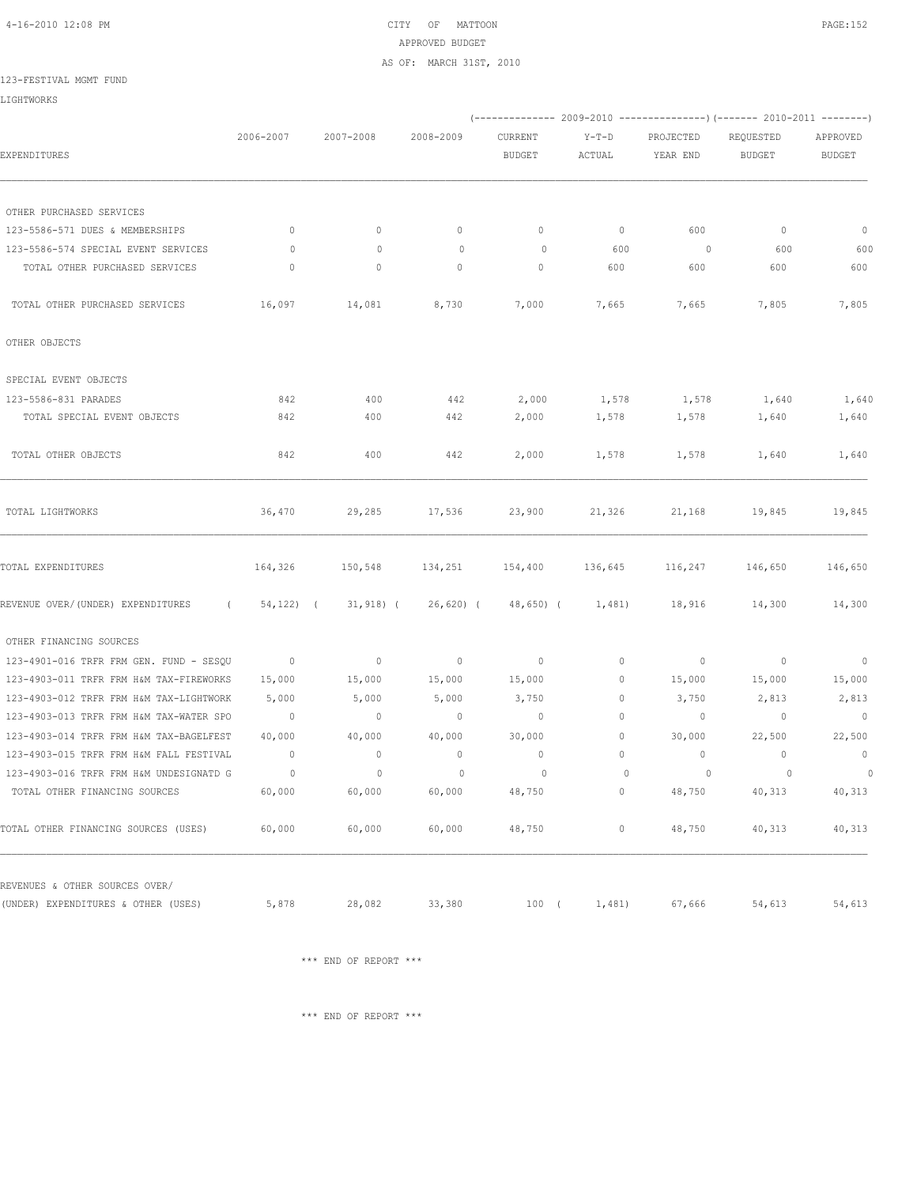## 4-16-2010 12:08 PM CITY OF MATTOON PAGE:152 APPROVED BUDGET AS OF: MARCH 31ST, 2010

### 123-FESTIVAL MGMT FUND

LIGHTWORKS

|                |                |                          |               |             |                  |                | (-------------- 2009-2010 ----------------) (------- 2010-2011 --------) |
|----------------|----------------|--------------------------|---------------|-------------|------------------|----------------|--------------------------------------------------------------------------|
| 2006-2007      | 2007-2008      | 2008-2009                | CURRENT       | $Y-T-D$     | PROJECTED        | REQUESTED      | APPROVED                                                                 |
|                |                |                          | <b>BUDGET</b> | ACTUAL      | YEAR END         | <b>BUDGET</b>  | BUDGET                                                                   |
|                |                |                          |               |             |                  |                |                                                                          |
| $\mathbf{0}$   | $\circ$        | $\mathbf 0$              | $\circ$       | $\circ$     | 600              | $\circ$        | $\circ$                                                                  |
| 0              | $\circ$        | $\mathbf 0$              | 0             | 600         | $\overline{0}$   | 600            | 600                                                                      |
| $\mathbf{0}$   | $\circ$        | 0                        | $\circ$       | 600         | 600              | 600            | 600                                                                      |
| 16,097         | 14,081         | 8,730                    | 7,000         | 7,665       | 7,665            | 7,805          | 7,805                                                                    |
|                |                |                          |               |             |                  |                |                                                                          |
|                |                |                          |               |             |                  |                |                                                                          |
| 842            | 400            | 442                      | 2,000         | 1,578       | 1,578            | 1,640          | 1,640                                                                    |
| 842            | 400            | 442                      | 2,000         | 1,578       | 1,578            | 1,640          | 1,640                                                                    |
| 842            | 400            | 442                      | 2,000         | 1,578       | 1,578            | 1,640          | 1,640                                                                    |
| 36,470         | 29,285         | 17,536                   | 23,900        | 21,326      | 21,168           | 19,845         | 19,845                                                                   |
| 164,326        | 150,548        | 134,251                  | 154,400       | 136,645     | 116,247          | 146,650        | 146,650                                                                  |
| $\sqrt{2}$     |                |                          |               |             | 18,916           | 14,300         | 14,300                                                                   |
|                |                |                          |               |             |                  |                |                                                                          |
| $\overline{0}$ | $\overline{0}$ | $\overline{\phantom{0}}$ | $\mathbf 0$   | 0           | $\sim$ 0         | $\overline{0}$ | $\mathbf 0$                                                              |
| 15,000         | 15,000         | 15,000                   | 15,000        | 0           | 15,000           | 15,000         | 15,000                                                                   |
| 5,000          | 5,000          | 5,000                    | 3,750         | 0           | 3,750            | 2,813          | 2,813                                                                    |
| $\overline{0}$ | $\circ$        | $\overline{0}$           | $\mathbf 0$   | 0           | $\circ$          | $\circ$        | $\overline{\phantom{0}}$                                                 |
| 40,000         | 40,000         | 40,000                   | 30,000        | 0           | 30,000           | 22,500         | 22,500                                                                   |
| $\overline{0}$ | $\mathbf 0$    | $\circ$                  | $\circ$       | $\circ$     | $\circ$          | $\circ$        | $\overline{0}$                                                           |
| 0              | $\mathbf 0$    | 0                        | 0             | $\mathbf 0$ | 0                | $\circ$        | $\mathbf{0}$                                                             |
| 60,000         | 60,000         | 60,000                   | 48,750        | 0           | 48,750           | 40,313         | 40,313                                                                   |
| 60,000         | 60,000         | 60,000                   | 48,750        | 0           | 48,750           | 40,313         | 40,313                                                                   |
|                |                |                          |               |             |                  |                |                                                                          |
| 5,878          | 28,082         | 33,380                   | 100 (         | 1,481)      | 67,666           | 54,613         | 54,613                                                                   |
|                |                | $54, 122$ ) (            | $31,918$ (    | 26,620) (   | 48,650) ( 1,481) |                |                                                                          |

\*\*\* END OF REPORT \*\*\*

\*\*\* END OF REPORT \*\*\*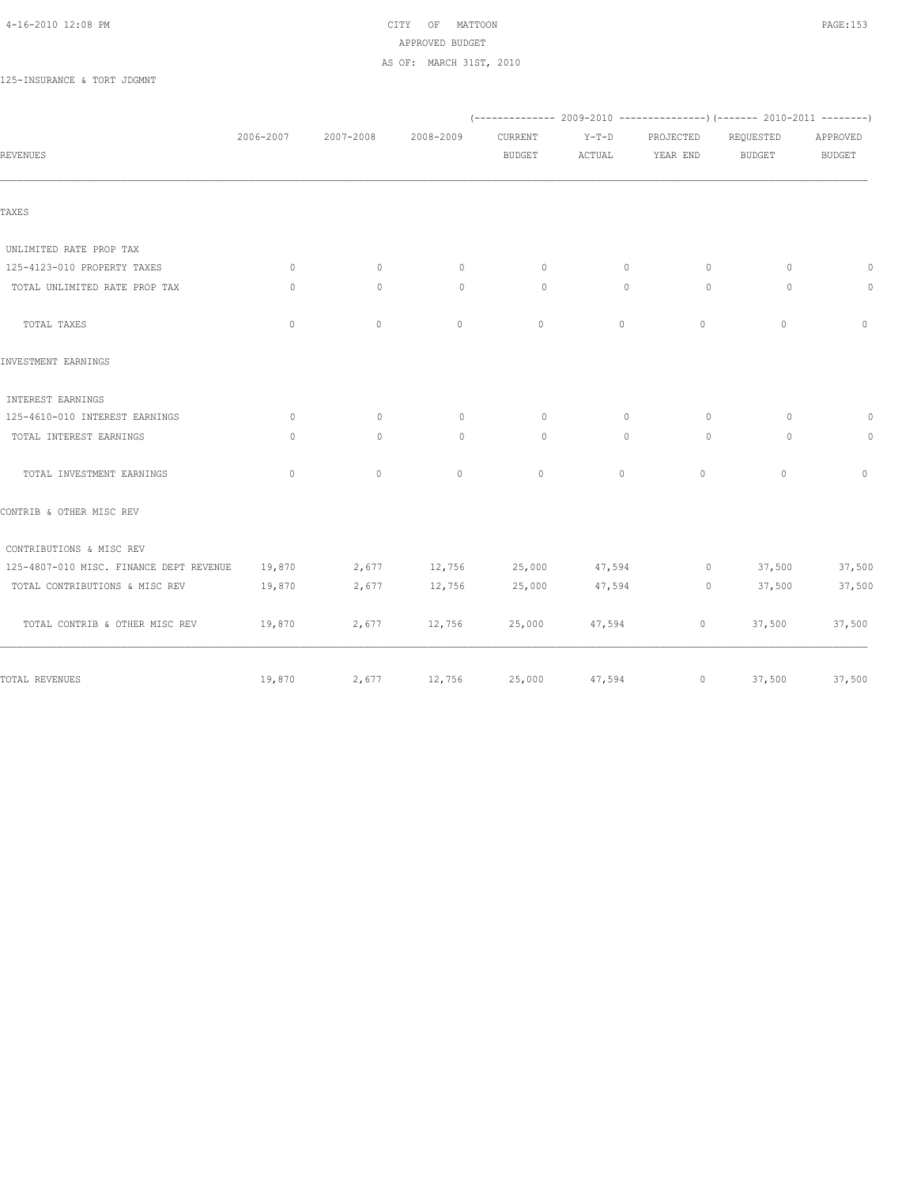# 4-16-2010 12:08 PM CITY OF MATTOON PAGE:153 APPROVED BUDGET AS OF: MARCH 31ST, 2010

125-INSURANCE & TORT JDGMNT

|                                                |              |           |                     |               |               |              | $(-$ -------------- 2009-2010 ----------------) (------- 2010-2011 --------) |               |
|------------------------------------------------|--------------|-----------|---------------------|---------------|---------------|--------------|------------------------------------------------------------------------------|---------------|
|                                                | 2006-2007    | 2007-2008 | 2008-2009           | CURRENT       | $Y-T-D$       | PROJECTED    | REQUESTED                                                                    | APPROVED      |
| <b>REVENUES</b>                                |              |           |                     | <b>BUDGET</b> | ACTUAL        | YEAR END     | <b>BUDGET</b>                                                                | <b>BUDGET</b> |
|                                                |              |           |                     |               |               |              |                                                                              |               |
| TAXES                                          |              |           |                     |               |               |              |                                                                              |               |
| UNLIMITED RATE PROP TAX                        |              |           |                     |               |               |              |                                                                              |               |
| 125-4123-010 PROPERTY TAXES                    | $\circ$      | $\circ$   | $\circ$             | $\circ$       | $\circ$       | $\mathbf{0}$ | $\mathbf{0}$                                                                 | $\circ$       |
| TOTAL UNLIMITED RATE PROP TAX                  | $\circ$      | $\circ$   | $\circ$             | $\circ$       | $\mathbf{0}$  | $\circ$      | $\mathbf{0}$                                                                 | $\mathbf 0$   |
| TOTAL TAXES                                    | $\mathbf{0}$ | $\circ$   | $\circ$             | $\mathbf{0}$  | $\circ$       | $\circ$      | $\circ$                                                                      | $\circ$       |
| INVESTMENT EARNINGS                            |              |           |                     |               |               |              |                                                                              |               |
| INTEREST EARNINGS                              |              |           |                     |               |               |              |                                                                              |               |
| 125-4610-010 INTEREST EARNINGS                 | $\circ$      | $\circ$   | $\circ$             | $\circ$       | $\circ$       | $\circ$      | $\mathbf{0}$                                                                 | 0             |
| TOTAL INTEREST EARNINGS                        | $\circ$      | $\circ$   | $\circ$             | $\circ$       | $\mathbf{0}$  | $\mathbf{0}$ | $\mathbf{0}$                                                                 | $\mathbb O$   |
| TOTAL INVESTMENT EARNINGS                      | $\mathbf{0}$ | $\circ$   | $\mathbf{0}$        | $\mathbf{0}$  | $\circ$       | $\mathbf{0}$ | $\circ$                                                                      | $\circ$       |
| CONTRIB & OTHER MISC REV                       |              |           |                     |               |               |              |                                                                              |               |
| CONTRIBUTIONS & MISC REV                       |              |           |                     |               |               |              |                                                                              |               |
| 125-4807-010 MISC. FINANCE DEPT REVENUE 19,870 |              |           | 2,677 12,756        | 25,000        | 47,594        |              | $0 \t 37,500$                                                                | 37,500        |
| TOTAL CONTRIBUTIONS & MISC REV                 | 19,870       | 2,677     | 12,756              | 25,000        | 47,594        | $\circ$      | 37,500                                                                       | 37,500        |
| TOTAL CONTRIB & OTHER MISC REV                 | 19,870       |           | 2,677 12,756        |               | 25,000 47,594 | $\circ$      | 37,500                                                                       | 37,500        |
| TOTAL REVENUES                                 | 19,870       |           | 2,677 12,756 25,000 |               | 47,594        |              | $0 \t 37,500$                                                                | 37,500        |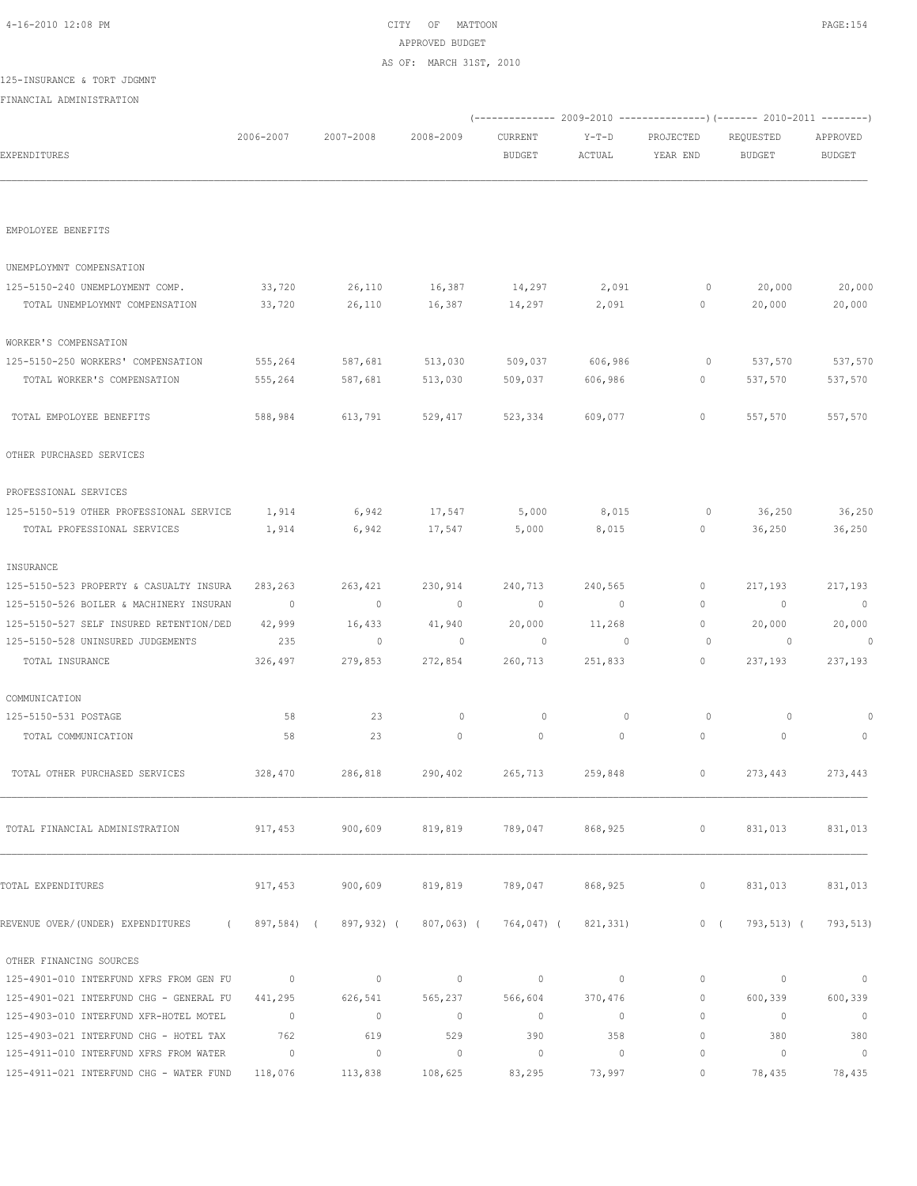## 4-16-2010 12:08 PM CITY OF MATTOON PAGE:154 APPROVED BUDGET AS OF: MARCH 31ST, 2010

#### 125-INSURANCE & TORT JDGMNT

#### FINANCIAL ADMINISTRATION

|                                         |                          |             |             |               |             |             | (------------- 2009-2010 ---------------) (------- 2010-2011 --------) |                          |
|-----------------------------------------|--------------------------|-------------|-------------|---------------|-------------|-------------|------------------------------------------------------------------------|--------------------------|
|                                         | 2006-2007                | 2007-2008   | 2008-2009   | CURRENT       | $Y-T-D$     | PROJECTED   | REQUESTED                                                              | APPROVED                 |
| EXPENDITURES                            |                          |             |             | <b>BUDGET</b> | ACTUAL      | YEAR END    | <b>BUDGET</b>                                                          | <b>BUDGET</b>            |
|                                         |                          |             |             |               |             |             |                                                                        |                          |
| EMPOLOYEE BENEFITS                      |                          |             |             |               |             |             |                                                                        |                          |
| UNEMPLOYMNT COMPENSATION                |                          |             |             |               |             |             |                                                                        |                          |
| 125-5150-240 UNEMPLOYMENT COMP.         | 33,720                   | 26,110      | 16,387      | 14,297        | 2,091       | 0           | 20,000                                                                 | 20,000                   |
| TOTAL UNEMPLOYMNT COMPENSATION          | 33,720                   | 26,110      | 16,387      | 14,297        | 2,091       | $\circ$     | 20,000                                                                 | 20,000                   |
| WORKER'S COMPENSATION                   |                          |             |             |               |             |             |                                                                        |                          |
| 125-5150-250 WORKERS' COMPENSATION      | 555,264                  | 587,681     | 513,030     | 509,037       | 606,986     | 0           | 537,570                                                                | 537,570                  |
| TOTAL WORKER'S COMPENSATION             | 555,264                  | 587,681     | 513,030     | 509,037       | 606,986     | $\circ$     | 537,570                                                                | 537,570                  |
| TOTAL EMPOLOYEE BENEFITS                | 588,984                  | 613,791     | 529,417     | 523,334       | 609,077     | 0           | 557,570                                                                | 557,570                  |
| OTHER PURCHASED SERVICES                |                          |             |             |               |             |             |                                                                        |                          |
| PROFESSIONAL SERVICES                   |                          |             |             |               |             |             |                                                                        |                          |
| 125-5150-519 OTHER PROFESSIONAL SERVICE | 1,914                    | 6,942       | 17,547      | 5,000         | 8,015       | 0           | 36,250                                                                 | 36,250                   |
| TOTAL PROFESSIONAL SERVICES             | 1,914                    | 6,942       | 17,547      | 5,000         | 8,015       | $\circ$     | 36,250                                                                 | 36,250                   |
| INSURANCE                               |                          |             |             |               |             |             |                                                                        |                          |
| 125-5150-523 PROPERTY & CASUALTY INSURA | 283,263                  | 263,421     | 230,914     | 240,713       | 240,565     | 0           | 217,193                                                                | 217,193                  |
| 125-5150-526 BOILER & MACHINERY INSURAN | $\sim$ 0                 | $\circ$     | $\sim$ 0    | $\circ$       | $\sim$ 0    | 0           | $\overline{0}$                                                         | $\overline{0}$           |
| 125-5150-527 SELF INSURED RETENTION/DED | 42,999                   | 16,433      | 41,940      | 20,000        | 11,268      | $\circ$     | 20,000                                                                 | 20,000                   |
| 125-5150-528 UNINSURED JUDGEMENTS       | 235                      | $\mathbf 0$ | $\circ$     | $\circ$       | $\circ$     | 0           | $\mathbf 0$                                                            | $\mathbf{0}$             |
| TOTAL INSURANCE                         | 326,497                  | 279,853     | 272,854     | 260,713       | 251,833     | $\circ$     | 237,193                                                                | 237,193                  |
| COMMUNICATION                           |                          |             |             |               |             |             |                                                                        |                          |
| 125-5150-531 POSTAGE                    | 58                       | 23          | $\circ$     | 0             | $\mathbf 0$ | $\mathbf 0$ | 0                                                                      | 0                        |
| TOTAL COMMUNICATION                     | 58                       | 23          | $\mathbb O$ | $\circ$       | 0           | $\circ$     | 0                                                                      | 0                        |
| TOTAL OTHER PURCHASED SERVICES          | 328,470                  | 286,818     | 290,402     | 265,713       | 259,848     | $\circ$     | 273,443                                                                | 273,443                  |
| TOTAL FINANCIAL ADMINISTRATION          | 917,453                  | 900,609     | 819,819     | 789,047       | 868,925     | $\circ$     | 831,013                                                                | 831,013                  |
| TOTAL EXPENDITURES                      | 917,453                  | 900,609     | 819,819     | 789,047       | 868,925     | 0           | 831,013                                                                | 831,013                  |
| REVENUE OVER/(UNDER) EXPENDITURES       | 897,584) (<br>$\left($   | 897,932) (  | 807,063) (  | 764,047) (    | 821,331)    | 0(          | 793,513) (                                                             | 793,513)                 |
| OTHER FINANCING SOURCES                 |                          |             |             |               |             |             |                                                                        |                          |
| 125-4901-010 INTERFUND XFRS FROM GEN FU | $\overline{0}$           | $\circ$     | $\circ$     | $\mathbb O$   | 0           | 0           | $\overline{0}$                                                         | $\circ$                  |
| 125-4901-021 INTERFUND CHG - GENERAL FU | 441,295                  | 626,541     | 565,237     | 566,604       | 370,476     | 0           | 600,339                                                                | 600,339                  |
| 125-4903-010 INTERFUND XFR-HOTEL MOTEL  | $\overline{\phantom{0}}$ | $\circ$     | $\circ$     | 0             | 0           | 0           | $\overline{0}$                                                         | $\overline{\phantom{0}}$ |
| 125-4903-021 INTERFUND CHG - HOTEL TAX  | 762                      | 619         | 529         | 390           | 358         | 0           | 380                                                                    | 380                      |
| 125-4911-010 INTERFUND XFRS FROM WATER  | $\overline{\phantom{0}}$ | 0           | $\circ$     | 0             | 0           | 0           | $\circ$                                                                | $\overline{\phantom{0}}$ |
| 125-4911-021 INTERFUND CHG - WATER FUND | 118,076                  | 113,838     | 108,625     | 83,295        | 73,997      | 0           | 78,435                                                                 | 78,435                   |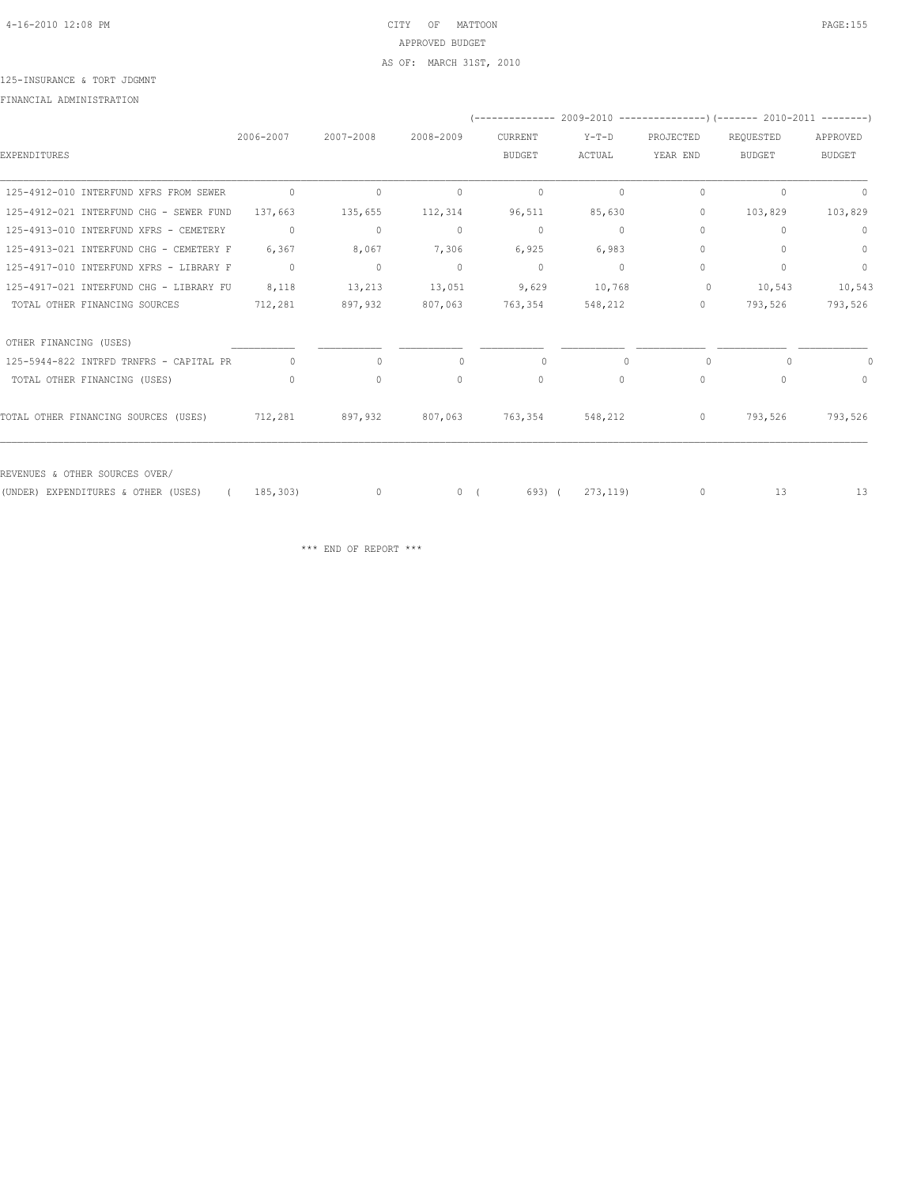## 4-16-2010 12:08 PM CITY OF MATTOON PAGE:155 APPROVED BUDGET AS OF: MARCH 31ST, 2010

#### 125-INSURANCE & TORT JDGMNT

#### FINANCIAL ADMINISTRATION

|                                         |                |                                  |              |               |          |                                  | ------------- 2009-2010 ----------------) (------- 2010-2011 --------) |                                  |
|-----------------------------------------|----------------|----------------------------------|--------------|---------------|----------|----------------------------------|------------------------------------------------------------------------|----------------------------------|
|                                         | 2006-2007      | 2007-2008                        | 2008-2009    | CURRENT       | $Y-T-D$  | PROJECTED                        | REQUESTED                                                              | APPROVED                         |
| EXPENDITURES                            |                |                                  |              | <b>BUDGET</b> | ACTUAL   | YEAR END                         | <b>BUDGET</b>                                                          | <b>BUDGET</b>                    |
| 125-4912-010 INTERFUND XFRS FROM SEWER  | $\Omega$       | $\mathbf{0}$                     | $\mathbf{0}$ | $\mathbf{0}$  | $\circ$  | $\Omega$                         | $\Omega$                                                               | $\begin{array}{c} \n\end{array}$ |
| 125-4912-021 INTERFUND CHG - SEWER FUND | 137,663        | 135,655                          | 112,314      | 96,511        | 85,630   | 0                                | 103,829                                                                | 103,829                          |
| 125-4913-010 INTERFUND XFRS - CEMETERY  | $\circ$        | $\mathbf{0}$                     | $\mathbf{0}$ | $\mathbf{0}$  | $\circ$  | 0                                | $\Omega$                                                               | $\circ$                          |
| 125-4913-021 INTERFUND CHG - CEMETERY F | 6,367          | 8,067                            | 7,306        | 6,925         | 6,983    | 0                                | $\cap$                                                                 | $\circ$                          |
| 125-4917-010 INTERFUND XFRS - LIBRARY F | $\overline{0}$ | $\mathbf{0}$                     | $\mathbf{0}$ | $\mathbf{0}$  | $\circ$  | $\begin{array}{c} \n\end{array}$ | $\Omega$                                                               | $\circ$                          |
| 125-4917-021 INTERFUND CHG - LIBRARY FU | 8,118          | 13,213                           | 13,051       | 9,629         | 10,768   | $\mathbf{0}$                     | 10,543                                                                 | 10,543                           |
| TOTAL OTHER FINANCING SOURCES           | 712,281        | 897,932                          | 807,063      | 763,354       | 548,212  | $\Omega$                         | 793,526                                                                | 793,526                          |
| OTHER FINANCING (USES)                  |                |                                  |              |               |          |                                  |                                                                        |                                  |
| 125-5944-822 INTRFD TRNFRS - CAPITAL PR | $\cap$         | $\begin{array}{c} \n\end{array}$ | $\Omega$     | $\Omega$      | $\cap$   |                                  | $\bigcap$                                                              |                                  |
| TOTAL OTHER FINANCING (USES)            | $\Omega$       | $\mathbf{0}$                     | $\Omega$     | $\mathbf{0}$  | $\Omega$ | $\Omega$                         | $\Omega$                                                               | $\Omega$                         |
| TOTAL OTHER FINANCING SOURCES (USES)    | 712,281        | 897,932                          | 807,063      | 763,354       | 548,212  | $\circ$                          | 793,526                                                                | 793,526                          |

REVENUES & OTHER SOURCES OVER/

(UNDER) EXPENDITURES & OTHER (USES) ( 185,303) 0 0 ( 693) ( 273,119) 0 13 13

\*\*\* END OF REPORT \*\*\*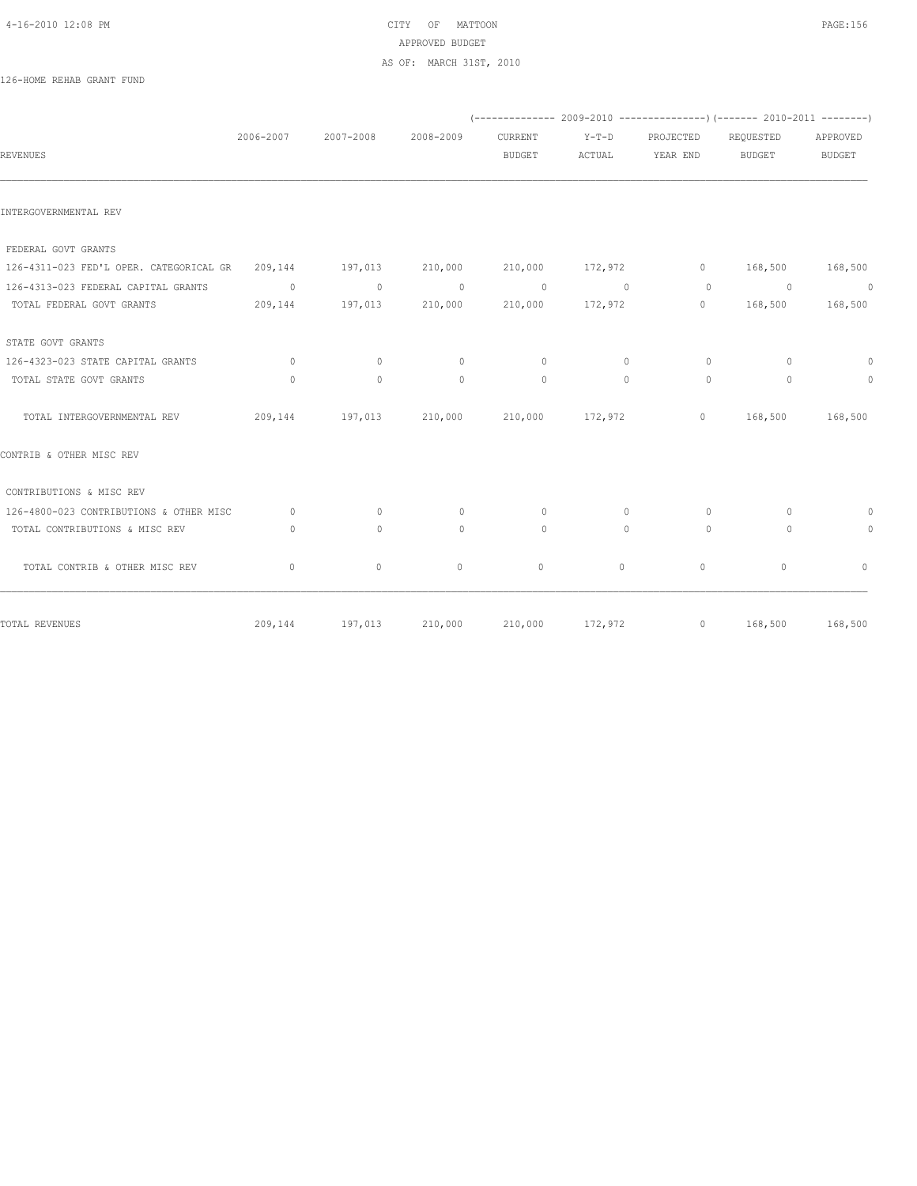# 4-16-2010 12:08 PM CITY OF MATTOON PAGE:156 APPROVED BUDGET AS OF: MARCH 31ST, 2010

126-HOME REHAB GRANT FUND

|                                                                                      |                |                   |              |               |              |                | (-------------- 2009-2010 -----------------) (------- 2010-2011 --------) |                |
|--------------------------------------------------------------------------------------|----------------|-------------------|--------------|---------------|--------------|----------------|---------------------------------------------------------------------------|----------------|
|                                                                                      | 2006-2007      | 2007-2008         | 2008-2009    | CURRENT       | $Y-T-D$      | PROJECTED      | REQUESTED                                                                 | APPROVED       |
| <b>REVENUES</b>                                                                      |                |                   |              | <b>BUDGET</b> | ACTUAL       | YEAR END       | <b>BUDGET</b>                                                             | <b>BUDGET</b>  |
|                                                                                      |                |                   |              |               |              |                |                                                                           |                |
| INTERGOVERNMENTAL REV                                                                |                |                   |              |               |              |                |                                                                           |                |
| FEDERAL GOVT GRANTS                                                                  |                |                   |              |               |              |                |                                                                           |                |
| 126-4311-023 FED'L OPER. CATEGORICAL GR  209,144  197,013  210,000  210,000  172,972 |                |                   |              |               |              | $\circ$        | 168,500                                                                   | 168,500        |
| 126-4313-023 FEDERAL CAPITAL GRANTS                                                  | $\sim$ 0       | $\sim$ 0          | $\sim$ 0     | $\sim$ 0      | $\sim$ 0     | $\overline{0}$ | $\sim$ 0                                                                  | $\overline{0}$ |
| TOTAL FEDERAL GOVT GRANTS                                                            | 209,144        | 197,013           | 210,000      | 210,000       | 172,972      | $\circ$        | 168,500                                                                   | 168,500        |
| STATE GOVT GRANTS                                                                    |                |                   |              |               |              |                |                                                                           |                |
| 126-4323-023 STATE CAPITAL GRANTS                                                    | $\overline{0}$ | $\circ$           | $\circ$      | $\circ$       | $\circ$      | $\circ$        | $\mathbf{0}$                                                              | $\mathbf{0}$   |
| TOTAL STATE GOVT GRANTS                                                              | $\circ$        | $\mathbf{0}$      | $\mathbf{0}$ | $\circ$       | $\mathbf{0}$ | $\mathbf{0}$   | $\mathbf{0}$                                                              | $\theta$       |
|                                                                                      |                |                   |              |               |              |                | 168,500<br>$\overline{0}$                                                 | 168,500        |
| CONTRIB & OTHER MISC REV                                                             |                |                   |              |               |              |                |                                                                           |                |
| CONTRIBUTIONS & MISC REV                                                             |                |                   |              |               |              |                |                                                                           |                |
| 126-4800-023 CONTRIBUTIONS & OTHER MISC                                              | $\circ$        | $\circ$           | $\circ$      | $\circ$       | $\circ$      | $\circ$        | $\mathbf{0}$                                                              | 0              |
| TOTAL CONTRIBUTIONS & MISC REV                                                       | $\circ$        | $\mathbf{0}$      | $\mathbf{0}$ | $\circ$       | $\mathbf{0}$ | $\mathbf{0}$   | $\mathbf{0}$                                                              | $\theta$       |
| TOTAL CONTRIB & OTHER MISC REV                                                       | $\mathbf{0}$   | $\circ$           | $\mathbf{0}$ | $\mathbb O$   | $\circ$      | $\mathbf{0}$   | $\mathbf{0}$                                                              | $\mathbf{0}$   |
| TOTAL REVENUES                                                                       |                | 209, 144 197, 013 |              |               |              |                | 210,000 210,000 172,972 0 168,500 168,500                                 |                |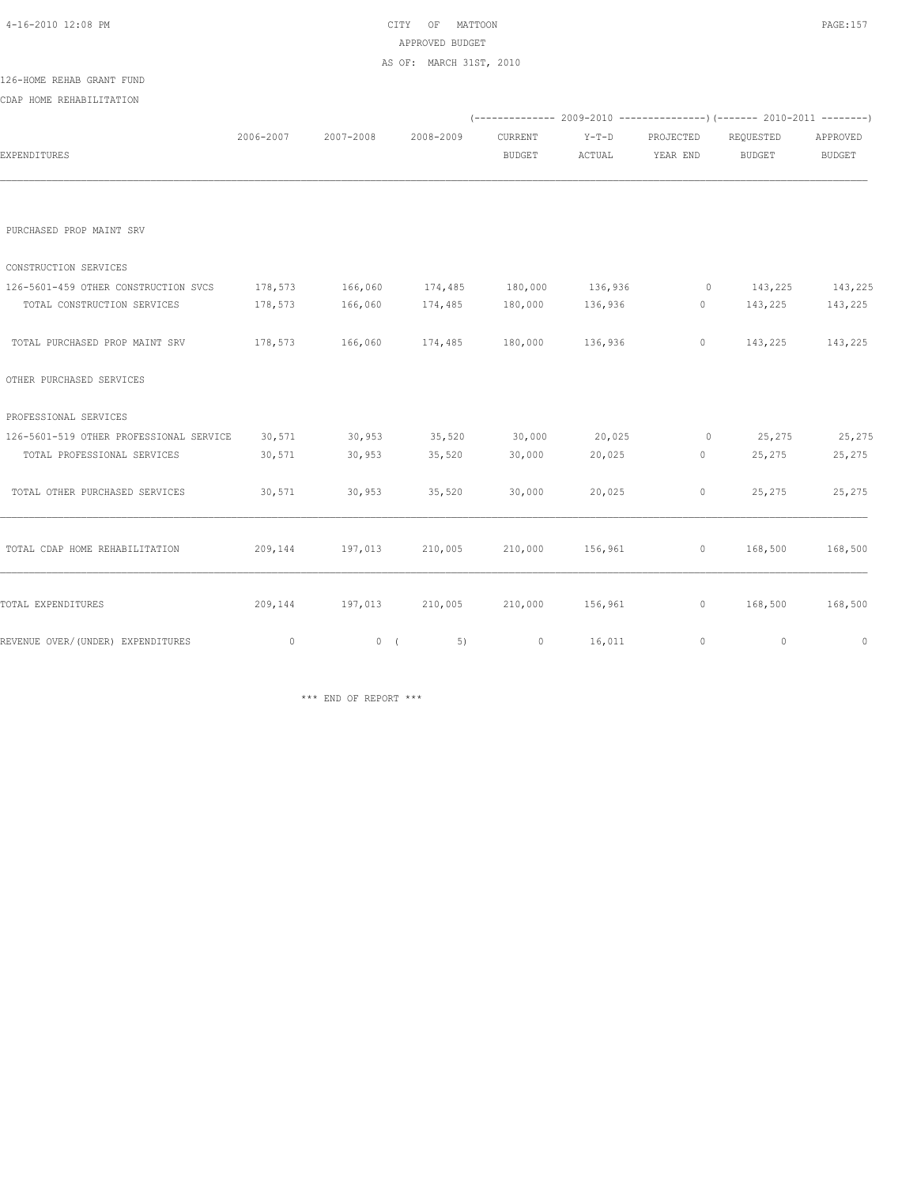## 4-16-2010 12:08 PM CITY OF MATTOON PAGE:157 APPROVED BUDGET AS OF: MARCH 31ST, 2010

#### 126-HOME REHAB GRANT FUND

### CDAP HOME REHABILITATION

|                                         |           |           |           | $(-$ ------------- 2009-2010 ----------------) $(-$ ------- 2010-2011 --------) |         |              |               |               |
|-----------------------------------------|-----------|-----------|-----------|---------------------------------------------------------------------------------|---------|--------------|---------------|---------------|
|                                         | 2006-2007 | 2007-2008 | 2008-2009 | CURRENT                                                                         | $Y-T-D$ | PROJECTED    | REQUESTED     | APPROVED      |
| EXPENDITURES                            |           |           |           | <b>BUDGET</b>                                                                   | ACTUAL  | YEAR END     | <b>BUDGET</b> | <b>BUDGET</b> |
|                                         |           |           |           |                                                                                 |         |              |               |               |
| PURCHASED PROP MAINT SRV                |           |           |           |                                                                                 |         |              |               |               |
| CONSTRUCTION SERVICES                   |           |           |           |                                                                                 |         |              |               |               |
| 126-5601-459 OTHER CONSTRUCTION SVCS    | 178,573   | 166,060   | 174,485   | 180,000                                                                         | 136,936 | $\circ$      | 143,225       | 143,225       |
| TOTAL CONSTRUCTION SERVICES             | 178,573   | 166,060   | 174,485   | 180,000                                                                         | 136,936 | $\circ$      | 143,225       | 143,225       |
| TOTAL PURCHASED PROP MAINT SRV          | 178,573   | 166,060   | 174,485   | 180,000                                                                         | 136,936 | $\circ$      | 143,225       | 143,225       |
| OTHER PURCHASED SERVICES                |           |           |           |                                                                                 |         |              |               |               |
| PROFESSIONAL SERVICES                   |           |           |           |                                                                                 |         |              |               |               |
| 126-5601-519 OTHER PROFESSIONAL SERVICE | 30,571    | 30,953    | 35,520    | 30,000                                                                          | 20,025  | $\circ$      | 25,275        | 25,275        |
| TOTAL PROFESSIONAL SERVICES             | 30,571    | 30,953    | 35,520    | 30,000                                                                          | 20,025  | $\circ$      | 25,275        | 25,275        |
| TOTAL OTHER PURCHASED SERVICES          | 30,571    | 30,953    | 35,520    | 30,000                                                                          | 20,025  | $\circ$      | 25,275        | 25,275        |
| TOTAL CDAP HOME REHABILITATION          | 209,144   | 197,013   | 210,005   | 210,000                                                                         | 156,961 | $\circ$      | 168,500       | 168,500       |
| TOTAL EXPENDITURES                      | 209,144   | 197,013   | 210,005   | 210,000                                                                         | 156,961 | $\circ$      | 168,500       | 168,500       |
| REVENUE OVER/(UNDER) EXPENDITURES       | $\circ$   | 0(        | 5)        | $\sim$ 0                                                                        | 16,011  | $\mathbf{0}$ | $\circ$       | $\circ$       |

 $\hspace{0.1mm}^{\star\star\star}$  END OF REPORT  $\hspace{0.1mm}^{\star\star\star}$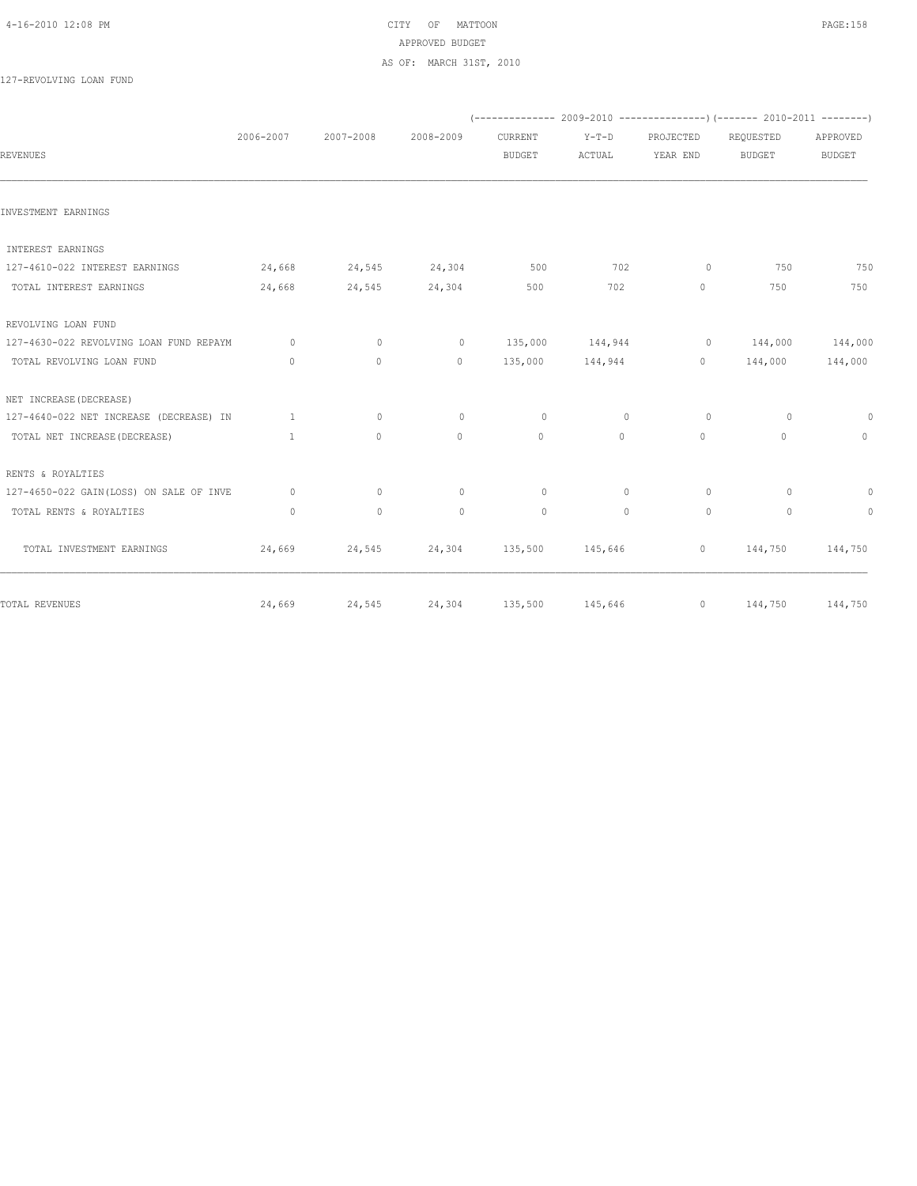# 4-16-2010 12:08 PM CITY OF MATTOON PAGE:158 APPROVED BUDGET AS OF: MARCH 31ST, 2010

127-REVOLVING LOAN FUND

|                                         |              |                               |           |               |          |                           | (-------------- 2009-2010 ----------------) (------- 2010-2011 --------) |               |
|-----------------------------------------|--------------|-------------------------------|-----------|---------------|----------|---------------------------|--------------------------------------------------------------------------|---------------|
|                                         | 2006-2007    | 2007-2008                     | 2008-2009 | CURRENT       | $Y-T-D$  | PROJECTED                 | REQUESTED                                                                | APPROVED      |
| <b>REVENUES</b>                         |              |                               |           | <b>BUDGET</b> | ACTUAL   | YEAR END                  | <b>BUDGET</b>                                                            | <b>BUDGET</b> |
| INVESTMENT EARNINGS                     |              |                               |           |               |          |                           |                                                                          |               |
| INTEREST EARNINGS                       |              |                               |           |               |          |                           |                                                                          |               |
| 127-4610-022 INTEREST EARNINGS          | 24,668       | 24,545 24,304                 |           | 500           | 702      | $\circ$                   | 750                                                                      | 750           |
| TOTAL INTEREST EARNINGS                 | 24,668       | 24,545                        | 24,304    | 500           | 702      | $\circ$                   | 750                                                                      | 750           |
| REVOLVING LOAN FUND                     |              |                               |           |               |          |                           |                                                                          |               |
| 127-4630-022 REVOLVING LOAN FUND REPAYM | $\circ$      | $\mathbf{0}$                  | $\sim$ 0  |               |          | 135,000 144,944 0 144,000 |                                                                          | 144,000       |
| TOTAL REVOLVING LOAN FUND               | $\mathbf{0}$ | $\circ$                       | $\circ$   | 135,000       | 144,944  | $\circ$                   | 144,000                                                                  | 144,000       |
| NET INCREASE (DECREASE)                 |              |                               |           |               |          |                           |                                                                          |               |
| 127-4640-022 NET INCREASE (DECREASE) IN | $\mathbf{1}$ | $\circ$                       | $\circ$   | $\circ$       | $\Omega$ | $\circ$                   | $\mathbf{0}$                                                             | $\mathbf{0}$  |
| TOTAL NET INCREASE (DECREASE)           | $\mathbf{1}$ | $\circ$                       | $\circ$   | $\circ$       | $\circ$  | $\circ$                   | $\Omega$                                                                 | $\Omega$      |
| RENTS & ROYALTIES                       |              |                               |           |               |          |                           |                                                                          |               |
| 127-4650-022 GAIN(LOSS) ON SALE OF INVE | $\circ$      | $\mathbf{0}$                  | $\circ$   | $\circ$       | $\Omega$ | $\circ$                   | $\Omega$                                                                 | 0             |
| TOTAL RENTS & ROYALTIES                 | $\Omega$     | $\mathbf{0}$                  | $\Omega$  | $\circ$       | $\Omega$ | $\Omega$                  | $\Omega$                                                                 | $\mathbf{0}$  |
| TOTAL INVESTMENT EARNINGS               | 24,669       | 24,545 24,304 135,500 145,646 |           |               |          |                           | $0 \t 144,750 \t 144,750$                                                |               |
| TOTAL REVENUES                          | 24,669       | 24,545 24,304 135,500 145,646 |           |               |          |                           | $0 \t 144,750 \t 144,750$                                                |               |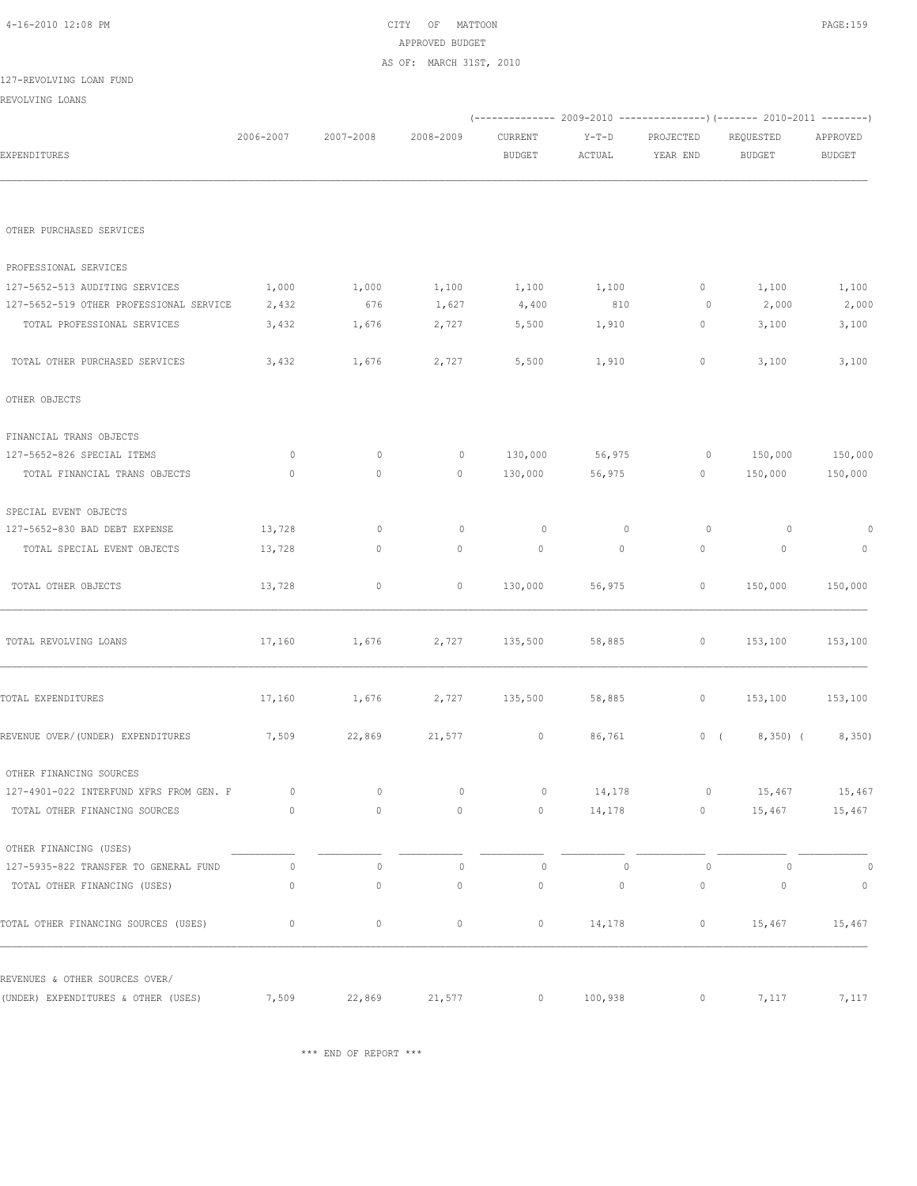|  | 4-16-2010 12:08 PM |  |
|--|--------------------|--|

# CITY OF MATTOON PAGE:159 APPROVED BUDGET AS OF: MARCH 31ST, 2010

#### 127-REVOLVING LOAN FUND

| EXPENDITURES                            | 2006-2007 | 2007-2008 | 2008-2009   | CURRENT<br><b>BUDGET</b> | $Y-T-D$<br>ACTUAL | (-------------- 2009-2010 ----------------) (------- 2010-2011 --------)<br>PROJECTED<br>YEAR END | REQUESTED<br><b>BUDGET</b> | APPROVED<br><b>BUDGET</b> |
|-----------------------------------------|-----------|-----------|-------------|--------------------------|-------------------|---------------------------------------------------------------------------------------------------|----------------------------|---------------------------|
|                                         |           |           |             |                          |                   |                                                                                                   |                            |                           |
| OTHER PURCHASED SERVICES                |           |           |             |                          |                   |                                                                                                   |                            |                           |
| PROFESSIONAL SERVICES                   |           |           |             |                          |                   |                                                                                                   |                            |                           |
| 127-5652-513 AUDITING SERVICES          | 1,000     | 1,000     | 1,100       | 1,100                    | 1,100             | $\circ$                                                                                           | 1,100                      | 1,100                     |
| 127-5652-519 OTHER PROFESSIONAL SERVICE | 2,432     | 676       | 1,627       | 4,400                    | 810               | $\mathbf 0$                                                                                       | 2,000                      | 2,000                     |
| TOTAL PROFESSIONAL SERVICES             | 3,432     | 1,676     | 2,727       | 5,500                    | 1,910             | 0                                                                                                 | 3,100                      | 3,100                     |
| TOTAL OTHER PURCHASED SERVICES          | 3,432     | 1,676     | 2,727       | 5,500                    | 1,910             | $\mathbb O$                                                                                       | 3,100                      | 3,100                     |
| OTHER OBJECTS                           |           |           |             |                          |                   |                                                                                                   |                            |                           |
| FINANCIAL TRANS OBJECTS                 |           |           |             |                          |                   |                                                                                                   |                            |                           |
| 127-5652-826 SPECIAL ITEMS              | 0         | 0         | $\circ$     | 130,000                  | 56,975            | 0                                                                                                 | 150,000                    | 150,000                   |
| TOTAL FINANCIAL TRANS OBJECTS           | $\circ$   | 0         | $\mathbb O$ | 130,000                  | 56,975            | $\circ$                                                                                           | 150,000                    | 150,000                   |
| SPECIAL EVENT OBJECTS                   |           |           |             |                          |                   |                                                                                                   |                            |                           |
| 127-5652-830 BAD DEBT EXPENSE           | 13,728    | 0         | 0           | $\circ$                  | 0                 | $\circ$                                                                                           | $\mathbf 0$                | $\mathbf{0}$              |
| TOTAL SPECIAL EVENT OBJECTS             | 13,728    | 0         | $\circ$     | $\mathbb O$              | 0                 | $\mathbb O$                                                                                       | $\mathbb O$                | $\circ$                   |
| TOTAL OTHER OBJECTS                     | 13,728    | 0         | $\circ$     | 130,000                  | 56,975            | 0                                                                                                 | 150,000                    | 150,000                   |
| TOTAL REVOLVING LOANS                   | 17,160    | 1,676     | 2,727       | 135,500                  | 58,885            | 0                                                                                                 | 153,100                    | 153,100                   |
| TOTAL EXPENDITURES                      | 17,160    | 1,676     | 2,727       | 135,500                  | 58,885            | $\circ$                                                                                           | 153,100                    | 153,100                   |
| REVENUE OVER/(UNDER) EXPENDITURES       | 7,509     | 22,869    | 21,577      | $\circ$                  | 86,761            | 0(                                                                                                | $8,350)$ (                 | 8,350)                    |
| OTHER FINANCING SOURCES                 |           |           |             |                          |                   |                                                                                                   |                            |                           |
| 127-4901-022 INTERFUND XFRS FROM GEN. F | $\circ$   | 0         | $\circ$     | $\circ$                  | 14,178            |                                                                                                   | 0 $15,467$                 | 15,467                    |
| TOTAL OTHER FINANCING SOURCES           | 0         | 0         | 0           | 0                        | 14,178            | $0 \qquad \qquad$                                                                                 | 15,467                     | 15,467                    |
| OTHER FINANCING (USES)                  |           |           |             |                          |                   |                                                                                                   |                            |                           |
| 127-5935-822 TRANSFER TO GENERAL FUND   | $\circ$   | $\circ$   | $\circ$     | $\circ$                  | $\mathbf{0}$      | $\mathbf 0$                                                                                       | $\mathbb O$                | $\mathbf{0}$              |
| TOTAL OTHER FINANCING (USES)            | 0         | 0         | $\mathbb O$ | $\circ$                  | $\circ$           | $\mathbb O$                                                                                       | $\mathbb O$                | $\overline{0}$            |
| TOTAL OTHER FINANCING SOURCES (USES)    | $\circ$   | 0         | $\mathbb O$ | $\circ$                  | 14,178            | $\circ$                                                                                           | 15,467                     | 15,467                    |
| REVENUES & OTHER SOURCES OVER/          |           |           |             |                          |                   |                                                                                                   |                            |                           |
| (UNDER) EXPENDITURES & OTHER (USES)     | 7,509     | 22,869    | 21,577      | $\overline{0}$           | 100,938           | $\circ$                                                                                           | 7,117                      | 7,117                     |

 $\hspace{0.1mm}^{\star\,\star\,\star}$  END OF REPORT  $\hspace{0.1mm}^{\star\,\star\,\star}$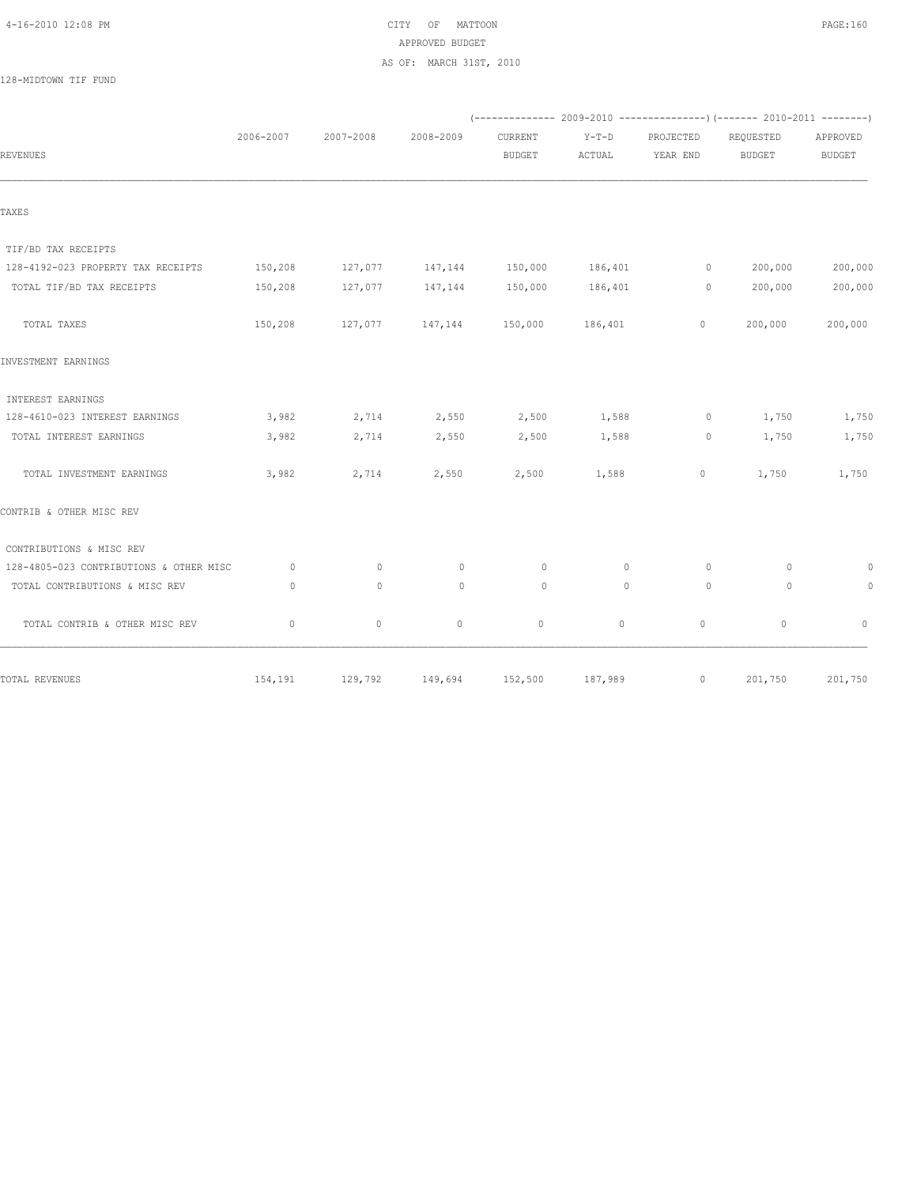# 4-16-2010 12:08 PM CITY OF MATTOON PAGE:160 APPROVED BUDGET AS OF: MARCH 31ST, 2010

128-MIDTOWN TIF FUND

|                                         |             |                 |                 |               |              |              | (-------------- 2009-2010 ----------------) (------- 2010-2011 --------) |               |
|-----------------------------------------|-------------|-----------------|-----------------|---------------|--------------|--------------|--------------------------------------------------------------------------|---------------|
|                                         | 2006-2007   | 2007-2008       | 2008-2009       | CURRENT       | $Y-T-D$      | PROJECTED    | REQUESTED                                                                | APPROVED      |
| <b>REVENUES</b>                         |             |                 |                 | <b>BUDGET</b> | ACTUAL       | YEAR END     | <b>BUDGET</b>                                                            | <b>BUDGET</b> |
|                                         |             |                 |                 |               |              |              |                                                                          |               |
| TAXES                                   |             |                 |                 |               |              |              |                                                                          |               |
| TIF/BD TAX RECEIPTS                     |             |                 |                 |               |              |              |                                                                          |               |
| 128-4192-023 PROPERTY TAX RECEIPTS      | 150,208     | 127,077 147,144 |                 | 150,000       | 186,401      | $\circ$      | 200,000                                                                  | 200,000       |
| TOTAL TIF/BD TAX RECEIPTS               | 150,208     | 127,077         | 147,144         | 150,000       | 186,401      | $\circ$      | 200,000                                                                  | 200,000       |
| TOTAL TAXES                             | 150,208     | 127,077         | 147,144 150,000 |               | 186,401      | 0            | 200,000                                                                  | 200,000       |
| INVESTMENT EARNINGS                     |             |                 |                 |               |              |              |                                                                          |               |
| INTEREST EARNINGS                       |             |                 |                 |               |              |              |                                                                          |               |
| 128-4610-023 INTEREST EARNINGS          | 3,982       | 2,714           | 2,550           | 2,500         | 1,588        | $\circ$      | 1,750                                                                    | 1,750         |
| TOTAL INTEREST EARNINGS                 | 3,982       | 2,714           | 2,550           | 2,500         | 1,588        | $\circ$      | 1,750                                                                    | 1,750         |
| TOTAL INVESTMENT EARNINGS               | 3,982       | 2,714           | 2,550           | 2,500         | 1,588        | 0            | 1,750                                                                    | 1,750         |
| CONTRIB & OTHER MISC REV                |             |                 |                 |               |              |              |                                                                          |               |
| CONTRIBUTIONS & MISC REV                |             |                 |                 |               |              |              |                                                                          |               |
| 128-4805-023 CONTRIBUTIONS & OTHER MISC | $\circ$     | $\mathbf{0}$    | $\circ$         | $\circ$       | $\mathbf{0}$ | $\mathbf{0}$ | $\mathbf{0}$                                                             |               |
| TOTAL CONTRIBUTIONS & MISC REV          | $\circ$     | 0               | $\circ$         | $\circ$       | $\mathbf{0}$ | $\mathbf{0}$ | $\circ$                                                                  | 0             |
| TOTAL CONTRIB & OTHER MISC REV          | $\mathbf 0$ | $\mathbb O$     | $\mathbf 0$     | $\mathbb O$   | $\circ$      | $\mathbb O$  | $\mathbf 0$                                                              | $\circ$       |
| TOTAL REVENUES                          | 154,191     | 129,792         | 149,694 152,500 |               | 187,989      | $\circ$      | 201,750                                                                  | 201,750       |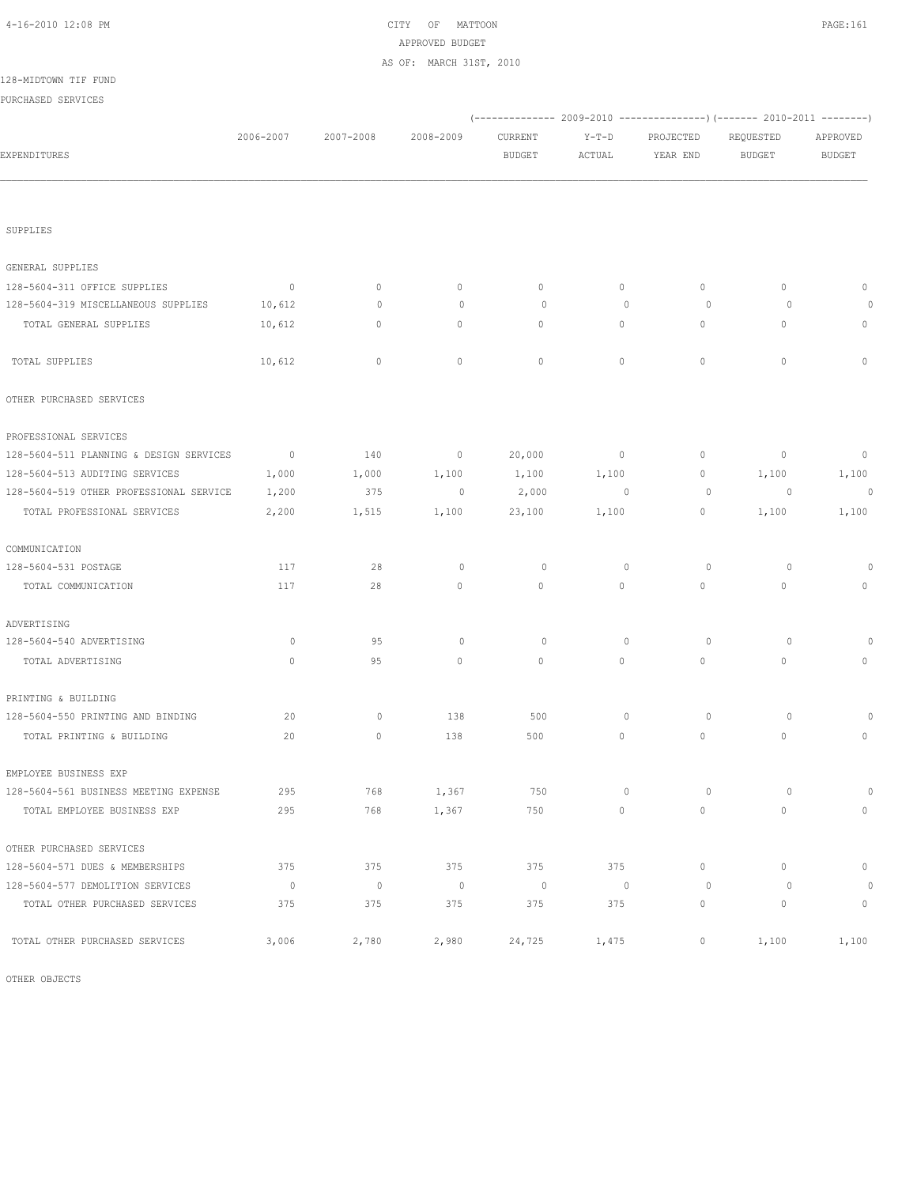# 4-16-2010 12:08 PM CITY OF MATTOON PAGE:161 APPROVED BUDGET AS OF: MARCH 31ST, 2010

# 128-MIDTOWN TIF FUND PURCHASED SERVICES

|                                         |                |             |                |                |                | (-------------- 2009-2010 ---------------) (------ 2010-2011 --------) |                |                          |  |
|-----------------------------------------|----------------|-------------|----------------|----------------|----------------|------------------------------------------------------------------------|----------------|--------------------------|--|
|                                         | 2006-2007      | 2007-2008   | 2008-2009      | CURRENT        | $Y-T-D$        | PROJECTED                                                              | REQUESTED      | APPROVED                 |  |
| EXPENDITURES                            |                |             |                | <b>BUDGET</b>  | ACTUAL         | YEAR END                                                               | <b>BUDGET</b>  | <b>BUDGET</b>            |  |
|                                         |                |             |                |                |                |                                                                        |                |                          |  |
| SUPPLIES                                |                |             |                |                |                |                                                                        |                |                          |  |
| GENERAL SUPPLIES                        |                |             |                |                |                |                                                                        |                |                          |  |
| 128-5604-311 OFFICE SUPPLIES            | $\overline{0}$ | $\circ$     | $\circ$        | $\circ$        | $\circ$        | $\circ$                                                                | 0              | $\circ$                  |  |
| 128-5604-319 MISCELLANEOUS SUPPLIES     | 10,612         | $\mathbf 0$ | $\circ$        | $\circ$        | $\mathbf 0$    | $\mathbf 0$                                                            | $\mathbf 0$    | 0                        |  |
| TOTAL GENERAL SUPPLIES                  | 10,612         | $\circ$     | $\circ$        | $\circ$        | 0              | $\circ$                                                                | $\circ$        | 0                        |  |
| TOTAL SUPPLIES                          | 10,612         | $\mathbb O$ | $\mathbb O$    | $\circ$        | $\circ$        | $\mathbb O$                                                            | $\circ$        | 0                        |  |
| OTHER PURCHASED SERVICES                |                |             |                |                |                |                                                                        |                |                          |  |
| PROFESSIONAL SERVICES                   |                |             |                |                |                |                                                                        |                |                          |  |
| 128-5604-511 PLANNING & DESIGN SERVICES | $\overline{0}$ | 140         | $\overline{0}$ | 20,000         | $\overline{0}$ | 0                                                                      | $\overline{0}$ | $\overline{\phantom{0}}$ |  |
| 128-5604-513 AUDITING SERVICES          | 1,000          | 1,000       | 1,100          | 1,100          | 1,100          | $\circ$                                                                | 1,100          | 1,100                    |  |
| 128-5604-519 OTHER PROFESSIONAL SERVICE | 1,200          | 375         | $\overline{0}$ | 2,000          | $\sim$ 0       | $\mathbf 0$                                                            | $\overline{0}$ | $\mathbf 0$              |  |
| TOTAL PROFESSIONAL SERVICES             | 2,200          | 1,515       | 1,100          | 23,100         | 1,100          | $\circ$                                                                | 1,100          | 1,100                    |  |
| COMMUNICATION                           |                |             |                |                |                |                                                                        |                |                          |  |
| 128-5604-531 POSTAGE                    | 117            | 28          | 0              | $\circ$        | $\mathbf 0$    | $\mathbf 0$                                                            | 0              | 0                        |  |
| TOTAL COMMUNICATION                     | 117            | 28          | $\circ$        | $\circ$        | $\circ$        | $\circ$                                                                | $\mathbb O$    | 0                        |  |
| ADVERTISING                             |                |             |                |                |                |                                                                        |                |                          |  |
| 128-5604-540 ADVERTISING                | $\circ$        | 95          | $\mathbf 0$    | $\circ$        | $\mathbf 0$    | $\mathbf 0$                                                            | 0              |                          |  |
| TOTAL ADVERTISING                       | $\circ$        | 95          | $\circ$        | $\circ$        | 0              | $\circ$                                                                | $\circ$        | 0                        |  |
| PRINTING & BUILDING                     |                |             |                |                |                |                                                                        |                |                          |  |
| 128-5604-550 PRINTING AND BINDING       | 20             | $\mathbf 0$ | 138            | 500            | $\mathbf 0$    | $\mathbf 0$                                                            | 0              |                          |  |
| TOTAL PRINTING & BUILDING               | 20             | $\circ$     | 138            | 500            | 0              | $\mathbb O$                                                            | $\circ$        |                          |  |
| EMPLOYEE BUSINESS EXP                   |                |             |                |                |                |                                                                        |                |                          |  |
| 128-5604-561 BUSINESS MEETING EXPENSE   | 295            | 768         | 1,367          | 750            | $\mathbf 0$    | $\mathbf 0$                                                            | 0              | $\mathbf 0$              |  |
| TOTAL EMPLOYEE BUSINESS EXP             | 295            | 768         | 1,367          | 750            | $\circ$        | $\circ$                                                                | $\mathbb O$    | $\circ$                  |  |
| OTHER PURCHASED SERVICES                |                |             |                |                |                |                                                                        |                |                          |  |
| 128-5604-571 DUES & MEMBERSHIPS         | 375            | 375         | 375            | 375            | 375            | $\circ$                                                                | 0              | $\mathbb O$              |  |
| 128-5604-577 DEMOLITION SERVICES        | $\overline{0}$ | $\circ$     | $\overline{0}$ | $\overline{0}$ | $\overline{0}$ | $\circ$                                                                | $\mathbf 0$    | $\mathbb O$              |  |
| TOTAL OTHER PURCHASED SERVICES          | 375            | 375         | 375            | 375            | 375            | $\circ$                                                                | $\circ$        | $\mathbb O$              |  |
| TOTAL OTHER PURCHASED SERVICES          | 3,006          | 2,780       | 2,980          | 24,725         | 1,475          | $\circ$                                                                | 1,100          | 1,100                    |  |

OTHER OBJECTS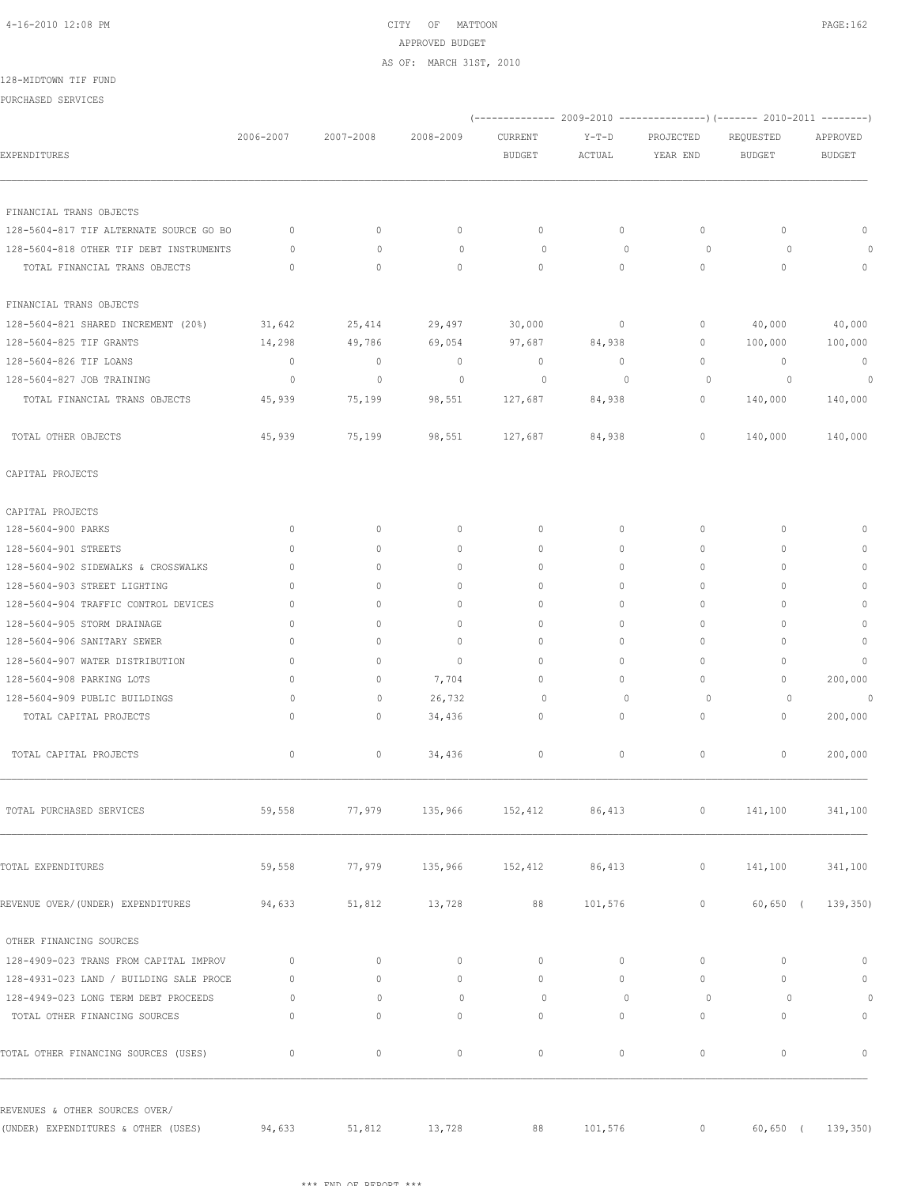## 4-16-2010 12:08 PM CITY OF MATTOON PAGE:162 APPROVED BUDGET AS OF: MARCH 31ST, 2010

#### 128-MIDTOWN TIF FUND

#### PURCHASED SERVICES

| EXPENDITURES                                            | 2006-2007    | 2007-2008              | 2008-2009        | CURRENT<br><b>BUDGET</b> | $Y-T-D$<br>ACTUAL       | PROJECTED<br>YEAR END  | REQUESTED<br><b>BUDGET</b> | APPROVED<br><b>BUDGET</b> |
|---------------------------------------------------------|--------------|------------------------|------------------|--------------------------|-------------------------|------------------------|----------------------------|---------------------------|
| FINANCIAL TRANS OBJECTS                                 |              |                        |                  |                          |                         |                        |                            |                           |
| 128-5604-817 TIF ALTERNATE SOURCE GO BO                 | $\mathbf{0}$ | $\circ$                | $\circ$          | $\circ$                  | $\circ$                 | $\mathbf{0}$           | $\circ$                    | $\mathbf{0}$              |
| 128-5604-818 OTHER TIF DEBT INSTRUMENTS                 | 0            | $\circ$                | $\mathbb O$      | $\circ$                  | $\circ$                 | $\mathbf 0$            | $\mathbf 0$                | $\mathbf{0}$              |
| TOTAL FINANCIAL TRANS OBJECTS                           | $\mathbf{0}$ | $\circ$                | $\mathbf{0}$     | $\circ$                  | $\circ$                 | $\circ$                | $\circ$                    | 0                         |
| FINANCIAL TRANS OBJECTS                                 |              |                        |                  |                          |                         |                        |                            |                           |
| 128-5604-821 SHARED INCREMENT (20%)                     | 31,642       | 25,414                 | 29,497           | 30,000                   | 0                       | $\mathbf{0}$           | 40,000                     | 40,000                    |
| 128-5604-825 TIF GRANTS                                 | 14,298       | 49,786                 | 69,054           | 97,687                   | 84,938                  | 0                      | 100,000                    | 100,000                   |
| 128-5604-826 TIF LOANS                                  | $\mathbf{0}$ | $\mathbb O$            | $\circ$          | $\circ$                  | $\circ$                 | $\circ$                | $\mathbb O$                | $\mathbb O$               |
| 128-5604-827 JOB TRAINING                               | $\circ$      | $\mathbf 0$            | $\circ$          | $\circ$                  | $\circ$                 | $\mathbf 0$            | $\circ$                    | $\mathbb O$               |
| TOTAL FINANCIAL TRANS OBJECTS                           | 45,939       | 75,199                 | 98,551           | 127,687                  | 84,938                  | $\circ$                | 140,000                    | 140,000                   |
| TOTAL OTHER OBJECTS                                     | 45,939       | 75,199                 | 98,551           | 127,687                  | 84,938                  | 0                      | 140,000                    | 140,000                   |
| CAPITAL PROJECTS                                        |              |                        |                  |                          |                         |                        |                            |                           |
| CAPITAL PROJECTS                                        |              |                        |                  |                          |                         |                        |                            |                           |
| 128-5604-900 PARKS                                      | $\mathbf{0}$ | $\circ$                | $\circ$          | $\mathbb O$              | $\circ$                 | $\mathbf{0}$           | $\circ$                    | $\circ$                   |
| 128-5604-901 STREETS                                    | $\mathbf{0}$ | $\circ$                | $\mathbf{0}$     | $\circ$                  | $\circ$                 | $\mathbf{0}$           | $\circ$                    | $\circ$                   |
| 128-5604-902 SIDEWALKS & CROSSWALKS                     | $\mathbf{0}$ | $\circ$                | $\circ$          | $\mathbf{0}$             | $\circ$                 | $\mathbf{0}$           | $\circ$                    | $\circ$                   |
| 128-5604-903 STREET LIGHTING                            | $\mathbf{0}$ | $\circ$                | $\circ$          | $\mathbb O$              | $\mathbf 0$             | $\mathbf{0}$           | $\circ$                    | $\mathbf{0}$              |
| 128-5604-904 TRAFFIC CONTROL DEVICES                    | $\mathbf{0}$ | $\circ$                | $\circ$          | $\circ$                  | $\circ$                 | $\mathbf{0}$           | $\circ$                    | $\mathbf{0}$              |
| 128-5604-905 STORM DRAINAGE                             | $\Omega$     | $\circ$                | $\circ$          | $\mathbf{0}$             | $\circ$                 | $\mathbf{0}$           | $\mathbf 0$                | $\mathbf{0}$              |
| 128-5604-906 SANITARY SEWER                             | $\Omega$     | $\circ$                | $\circ$          | $\mathbf{0}$             | $\circ$                 | $\mathbf{0}$           | $\Omega$                   | $\mathbf{0}$              |
| 128-5604-907 WATER DISTRIBUTION                         | $\mathbf{0}$ | $\circ$                | $\mathbf{0}$     | $\circ$                  | $\circ$                 | $\mathbf{0}$           | $\mathbf 0$                | $\mathbf{0}$              |
| 128-5604-908 PARKING LOTS                               | $\mathbf{0}$ | $\circ$                | 7,704            | $\circ$                  | $\circ$                 | $\mathbf{0}$           | $\circ$                    | 200,000                   |
| 128-5604-909 PUBLIC BUILDINGS<br>TOTAL CAPITAL PROJECTS | 0<br>$\circ$ | $\circ$<br>$\mathbb O$ | 26,732<br>34,436 | 0<br>$\circ$             | $\mathbf{0}$<br>$\circ$ | $\mathbf 0$<br>$\circ$ | $\mathbb O$<br>0           | $\mathbf{0}$<br>200,000   |
|                                                         |              |                        |                  |                          |                         |                        |                            |                           |
| TOTAL CAPITAL PROJECTS                                  | $\circ$      | $\mathbb O$            | 34,436           | $\mathbb O$              | $\circ$                 | $\circ$                | 0                          | 200,000                   |
| TOTAL PURCHASED SERVICES                                | 59,558       | 77,979                 | 135,966          | 152,412                  | 86,413                  | $\circ$                | 141,100                    | 341,100                   |
| TOTAL EXPENDITURES                                      | 59,558       | 77,979                 | 135,966          | 152,412                  | 86,413                  | $\circ$                | 141,100                    | 341,100                   |
| REVENUE OVER/ (UNDER) EXPENDITURES                      | 94,633       | 51,812                 | 13,728           | 88                       | 101,576                 | 0                      | $60,650$ (                 | 139,350                   |
| OTHER FINANCING SOURCES                                 |              |                        |                  |                          |                         |                        |                            |                           |
| 128-4909-023 TRANS FROM CAPITAL IMPROV                  | $\circ$      | $\circ$                | $\mathbb O$      | $\mathbb O$              | 0                       | 0                      | $\mathbb O$                | $\circ$                   |
| 128-4931-023 LAND / BUILDING SALE PROCE                 | $\circ$      | 0                      | $\circ$          | $\circ$                  | $\circ$                 | $\circ$                | 0                          | $\mathbb O$               |
| 128-4949-023 LONG TERM DEBT PROCEEDS                    | 0            | 0                      | 0                | 0                        | $\mathbf 0$             | $\mathbf 0$            | $\mathbb O$                | $\mathbb O$               |
| TOTAL OTHER FINANCING SOURCES                           | $\circ$      | 0                      | 0                | $\circ$                  | 0                       | $\circ$                | 0                          | $\circ$                   |
| TOTAL OTHER FINANCING SOURCES (USES)                    | $\circ$      | $\mathbb O$            | $\mathbb O$      | $\mathbb O$              | 0                       | $\mathbb O$            | 0                          | $\mathbb O$               |
| REVENUES & OTHER SOURCES OVER/                          |              |                        |                  |                          |                         |                        |                            |                           |
| (UNDER) EXPENDITURES & OTHER (USES)                     | 94,633       | 51,812                 | 13,728           | 88                       | 101,576                 | $\circ$                | 60,650 (                   | 139,350)                  |

(-------------- 2009-2010 ---------------)(------- 2010-2011 --------)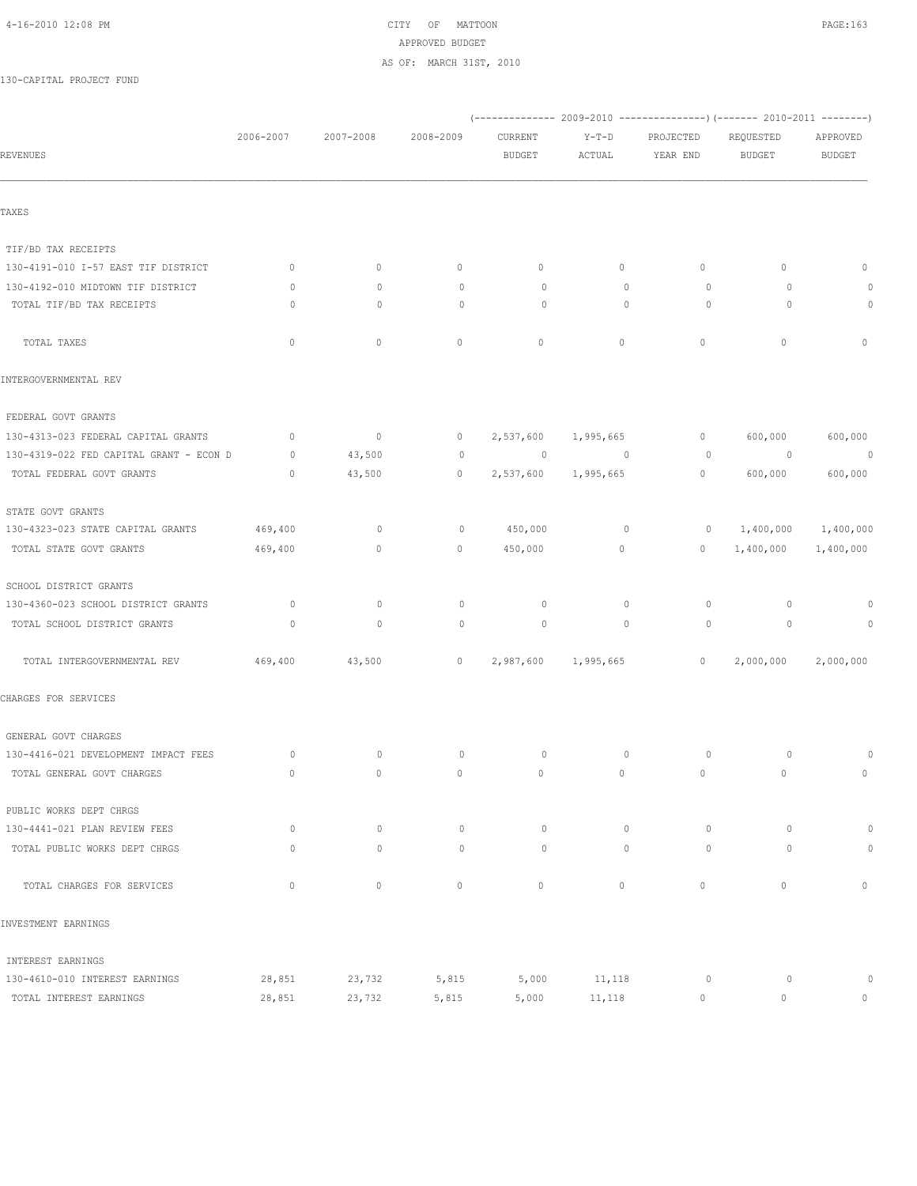# 4-16-2010 12:08 PM CITY OF MATTOON PAGE:163 APPROVED BUDGET AS OF: MARCH 31ST, 2010

130-CAPITAL PROJECT FUND

|                                         | 2006-2007      | 2007-2008    | 2008-2009   | CURRENT             | $Y-T-D$             | PROJECTED      | REQUESTED                             | APPROVED       |
|-----------------------------------------|----------------|--------------|-------------|---------------------|---------------------|----------------|---------------------------------------|----------------|
| <b>REVENUES</b>                         |                |              |             | <b>BUDGET</b>       | ACTUAL              | YEAR END       | BUDGET                                | <b>BUDGET</b>  |
| TAXES                                   |                |              |             |                     |                     |                |                                       |                |
|                                         |                |              |             |                     |                     |                |                                       |                |
| TIF/BD TAX RECEIPTS                     |                |              |             |                     |                     |                |                                       |                |
| 130-4191-010 I-57 EAST TIF DISTRICT     | $\mathbf{0}$   | $\circ$      | $\circ$     | $\circ$             | $\circ$             | $\circ$        | $\circ$                               | $\circ$        |
| 130-4192-010 MIDTOWN TIF DISTRICT       | $\circ$        | $\mathbf{0}$ | $\circ$     | 0                   | $\circ$             | $\circ$        | $\mathbf 0$                           | $\mathbf 0$    |
| TOTAL TIF/BD TAX RECEIPTS               | 0              | $\mathbf{0}$ | $\circ$     | 0                   | $\circ$             | $\mathbb O$    | $\circ$                               | 0              |
| TOTAL TAXES                             | $\circ$        | $\mathbb O$  | $\circ$     | $\circ$             | $\circ$             | $\circ$        | $\circ$                               | $\mathbf 0$    |
| INTERGOVERNMENTAL REV                   |                |              |             |                     |                     |                |                                       |                |
| FEDERAL GOVT GRANTS                     |                |              |             |                     |                     |                |                                       |                |
| 130-4313-023 FEDERAL CAPITAL GRANTS     | $\circ$        | $\sim$ 0     | $\circ$     | 2,537,600           | 1,995,665           | $\circ$        | 600,000                               | 600,000        |
| 130-4319-022 FED CAPITAL GRANT - ECON D | $\overline{0}$ | 43,500       | $\circ$     | $\sim$ 0            | $\sim$ 0            |                | $\overline{0}$<br>$\sim$ 0            | $\overline{0}$ |
| TOTAL FEDERAL GOVT GRANTS               | $\circ$        | 43,500       | 0           |                     | 2,537,600 1,995,665 | $\circ$        | 600,000                               | 600,000        |
| STATE GOVT GRANTS                       |                |              |             |                     |                     |                |                                       |                |
| 130-4323-023 STATE CAPITAL GRANTS       | 469,400        | $\circ$      | $\circ$     | 450,000             | $\mathbb O$         |                | $0 \qquad 1,400,000 \qquad 1,400,000$ |                |
| TOTAL STATE GOVT GRANTS                 | 469,400        | $\circ$      | $\circ$     | 450,000             | $\circ$             | $\overline{0}$ | 1,400,000                             | 1,400,000      |
| SCHOOL DISTRICT GRANTS                  |                |              |             |                     |                     |                |                                       |                |
| 130-4360-023 SCHOOL DISTRICT GRANTS     | $\overline{0}$ | $\circ$      | $\circ$     | $\circ$             | 0                   | $\circ$        | $\mathbf 0$                           | 0              |
| TOTAL SCHOOL DISTRICT GRANTS            | $\circ$        | $\circ$      | $\circ$     | 0                   | $\circ$             | $\circ$        | $\circ$                               | $\mathbf 0$    |
| TOTAL INTERGOVERNMENTAL REV             | 469,400        | 43,500       | $\circ$     | 2,987,600 1,995,665 |                     |                | $0 \qquad 2,000,000$                  | 2,000,000      |
| CHARGES FOR SERVICES                    |                |              |             |                     |                     |                |                                       |                |
| GENERAL GOVT CHARGES                    |                |              |             |                     |                     |                |                                       |                |
| 130-4416-021 DEVELOPMENT IMPACT FEES    | $\circ$        | $\circ$      | $\circ$     | $\circ$             | $\mathbf 0$         | $\circ$        | $\mathbf 0$                           | 0              |
| TOTAL GENERAL GOVT CHARGES              | $\circ$        | $\circ$      | $\circ$     | $\circ$             | $\circ$             | $\circ$        | $\mathbb O$                           | $\circ$        |
| PUBLIC WORKS DEPT CHRGS                 |                |              |             |                     |                     |                |                                       |                |
| 130-4441-021 PLAN REVIEW FEES           | $\circ$        | $\circ$      | $\circ$     | 0                   | $\circ$             | $\circ$        | $\circ$                               |                |
| TOTAL PUBLIC WORKS DEPT CHRGS           | $\circ$        | $\mathbf{0}$ | $\mathbb O$ | $\circ$             | $\circ$             | $\circ$        | $\circ$                               | 0              |
| TOTAL CHARGES FOR SERVICES              | $\circ$        | $\circ$      | $\circ$     | $\circ$             | $\circ$             | $\mathbb O$    | $\mathbb O$                           | $\circ$        |
| INVESTMENT EARNINGS                     |                |              |             |                     |                     |                |                                       |                |
| INTEREST EARNINGS                       |                |              |             |                     |                     |                |                                       |                |
| 130-4610-010 INTEREST EARNINGS          | 28,851         | 23,732       | 5,815       | 5,000               | 11,118              | $\mathbf 0$    | $\mathbf 0$                           | $\mathbf 0$    |
| TOTAL INTEREST EARNINGS                 | 28,851         | 23,732       | 5,815       | 5,000               | 11,118              | $\circ$        | $\mathbb O$                           | $\mathbb O$    |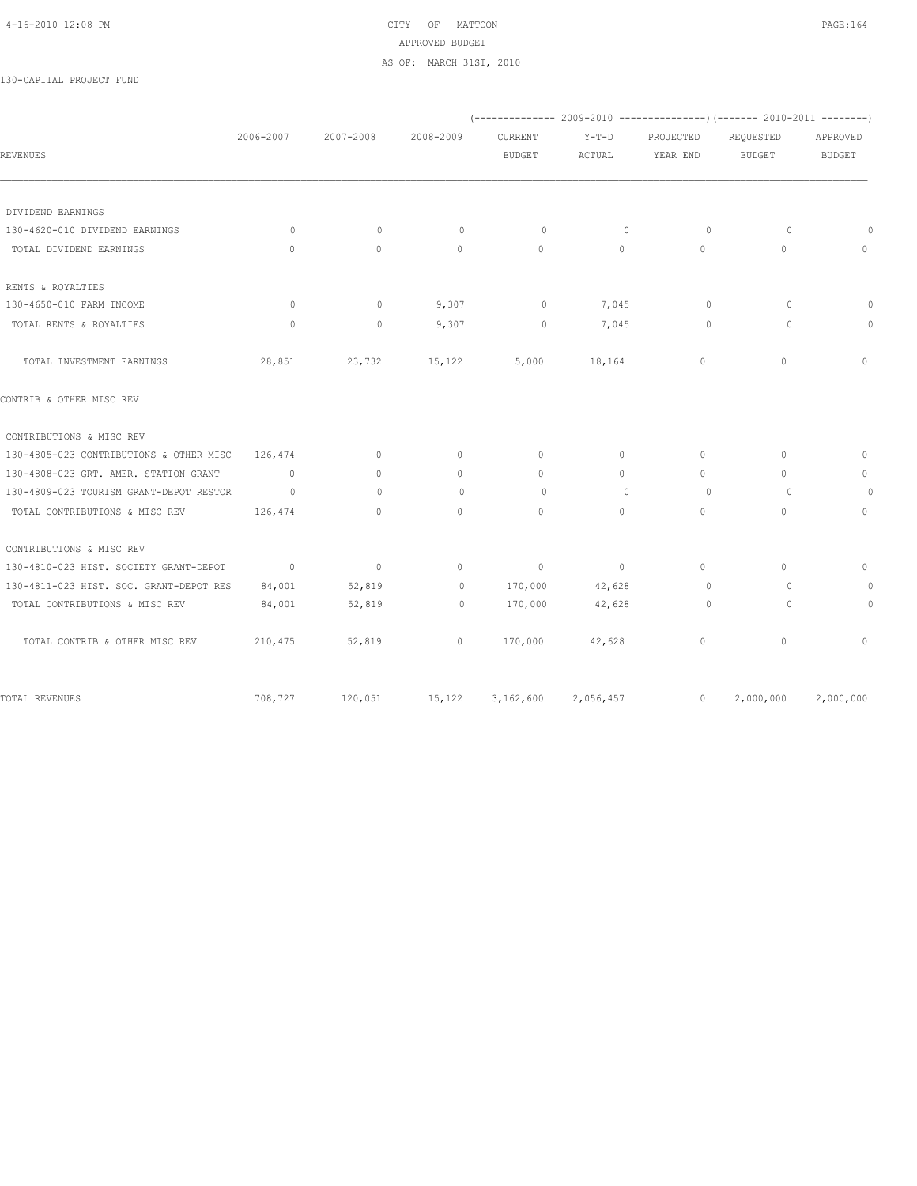# 4-16-2010 12:08 PM CITY OF MATTOON PAGE:164 APPROVED BUDGET AS OF: MARCH 31ST, 2010

### 130-CAPITAL PROJECT FUND

|                                         |              |              |                |                          |                   |                       | (-------------- 2009-2010 ----------------) (------- 2010-2011 --------) |                           |
|-----------------------------------------|--------------|--------------|----------------|--------------------------|-------------------|-----------------------|--------------------------------------------------------------------------|---------------------------|
| <b>REVENUES</b>                         | 2006-2007    | 2007-2008    | 2008-2009      | CURRENT<br><b>BUDGET</b> | $Y-T-D$<br>ACTUAL | PROJECTED<br>YEAR END | REQUESTED<br><b>BUDGET</b>                                               | APPROVED<br><b>BUDGET</b> |
|                                         |              |              |                |                          |                   |                       |                                                                          |                           |
| DIVIDEND EARNINGS                       |              |              |                |                          |                   |                       |                                                                          |                           |
| 130-4620-010 DIVIDEND EARNINGS          | $\Omega$     | $\Omega$     | $\Omega$       | $\Omega$                 | $\Omega$          | $\Omega$              | $\Omega$                                                                 | $\mathbf{0}$              |
| TOTAL DIVIDEND EARNINGS                 | $\mathbf{0}$ | $\circ$      | $\mathbb O$    | $\circ$                  | $\circ$           | $\circ$               | $\mathbf{0}$                                                             | $\circ$                   |
| RENTS & ROYALTIES                       |              |              |                |                          |                   |                       |                                                                          |                           |
| 130-4650-010 FARM INCOME                | $\circ$      | $\circ$      | 9,307          | $\overline{0}$           | 7,045             | $\mathbf{0}$          | $\Omega$                                                                 |                           |
| TOTAL RENTS & ROYALTIES                 | $\circ$      | $\mathbf{0}$ | 9,307          | $\circ$                  | 7,045             | $\mathbf{0}$          | $\mathbf{0}$                                                             | $\Omega$                  |
| TOTAL INVESTMENT EARNINGS               | 28,851       | 23,732       | 15,122         | 5,000                    | 18,164            | $\circ$               | $\circ$                                                                  | $\circ$                   |
| CONTRIB & OTHER MISC REV                |              |              |                |                          |                   |                       |                                                                          |                           |
| CONTRIBUTIONS & MISC REV                |              |              |                |                          |                   |                       |                                                                          |                           |
| 130-4805-023 CONTRIBUTIONS & OTHER MISC | 126,474      | $\circ$      | $\circ$        | $\circ$                  | $\circ$           | $\mathbf{0}$          | 0                                                                        | $\circ$                   |
| 130-4808-023 GRT. AMER. STATION GRANT   | $\bigcirc$   | $\Omega$     | $\circ$        | $\circ$                  | $\circ$           | $\Omega$              | $\Omega$                                                                 | $\circ$                   |
| 130-4809-023 TOURISM GRANT-DEPOT RESTOR | $\circ$      | $\mathbf{0}$ | $\circ$        | $\circ$                  | $\mathbf{0}$      | $\mathbf{0}$          | $\mathbf{0}$                                                             | $\mathbf{0}$              |
| TOTAL CONTRIBUTIONS & MISC REV          | 126,474      | $\circ$      | $\mathbf{0}$   | $\mathbf{0}$             | $\circ$           | $\mathbf{0}$          | $\circ$                                                                  | $\circ$                   |
| CONTRIBUTIONS & MISC REV                |              |              |                |                          |                   |                       |                                                                          |                           |
| 130-4810-023 HIST. SOCIETY GRANT-DEPOT  | $\sim$ 0     | $\sim$ 0     | $\overline{0}$ | $\circ$                  | $\sim$ 0          | $\circ$               | $\mathbf{0}$                                                             | $\circ$                   |
| 130-4811-023 HIST, SOC. GRANT-DEPOT RES | 84,001       | 52,819       | $\circ$        | 170,000                  | 42,628            | $\Omega$              | $\Omega$                                                                 | $\circ$                   |
| TOTAL CONTRIBUTIONS & MISC REV          | 84,001       | 52,819       | $\circ$        | 170,000                  | 42,628            | $\circ$               | $\mathbf{0}$                                                             | $\circ$                   |
| TOTAL CONTRIB & OTHER MISC REV          | 210,475      | 52,819       | $\circ$        | 170,000                  | 42,628            | $\mathbf{0}$          | $\mathbf{0}$                                                             | $\Omega$                  |
| TOTAL REVENUES                          | 708,727      | 120,051      | 15,122         | 3,162,600                | 2,056,457         | $0 \qquad \qquad$     | 2,000,000                                                                | 2,000,000                 |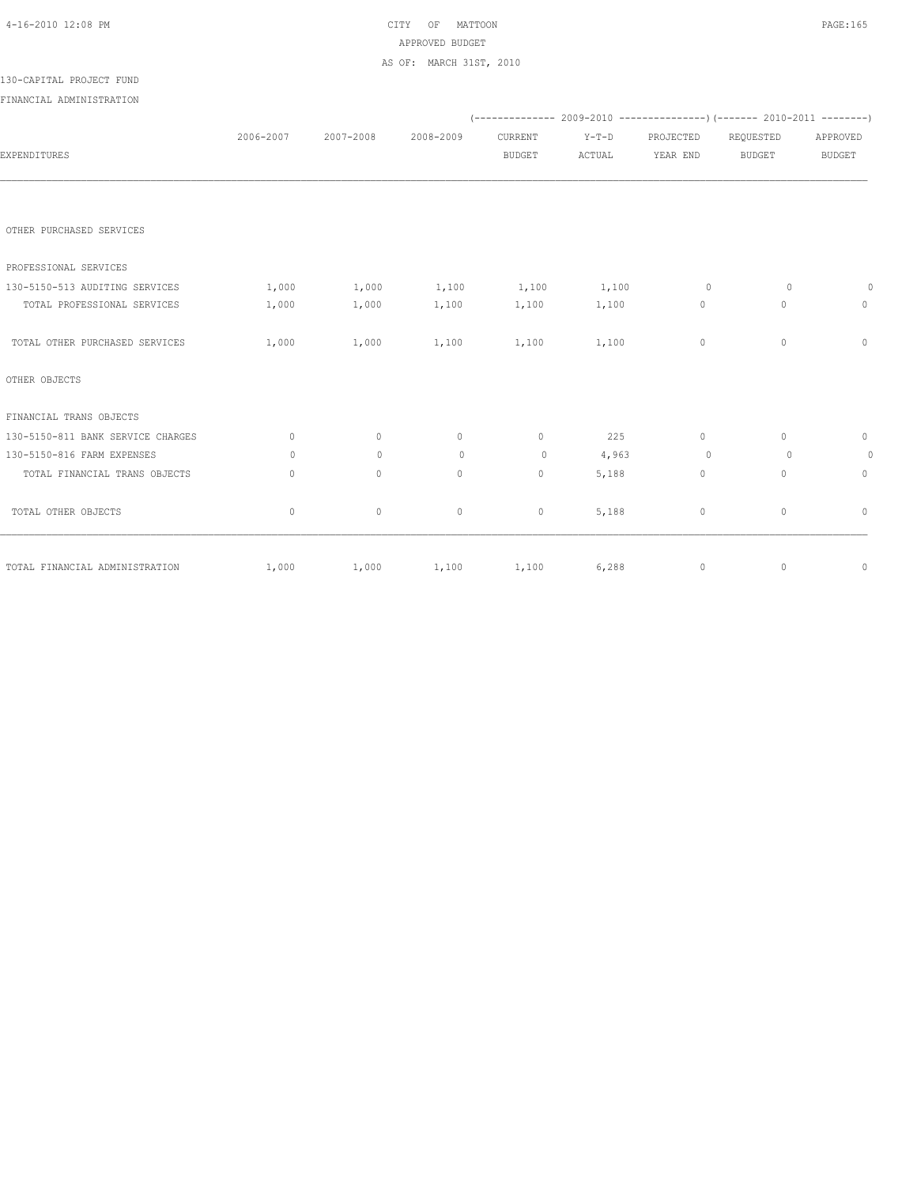# 4-16-2010 12:08 PM CITY OF MATTOON PAGE:165 APPROVED BUDGET AS OF: MARCH 31ST, 2010

## 130-CAPITAL PROJECT FUND

### FINANCIAL ADMINISTRATION

|                                   |              |           |                         |               |         |              | (-------------- 2009-2010 ----------------) (------- 2010-2011 --------) |               |
|-----------------------------------|--------------|-----------|-------------------------|---------------|---------|--------------|--------------------------------------------------------------------------|---------------|
|                                   | 2006-2007    | 2007-2008 | 2008-2009               | CURRENT       | $Y-T-D$ | PROJECTED    | REQUESTED                                                                | APPROVED      |
| EXPENDITURES                      |              |           |                         | <b>BUDGET</b> | ACTUAL  | YEAR END     | <b>BUDGET</b>                                                            | <b>BUDGET</b> |
|                                   |              |           |                         |               |         |              |                                                                          |               |
|                                   |              |           |                         |               |         |              |                                                                          |               |
|                                   |              |           |                         |               |         |              |                                                                          |               |
| OTHER PURCHASED SERVICES          |              |           |                         |               |         |              |                                                                          |               |
| PROFESSIONAL SERVICES             |              |           |                         |               |         |              |                                                                          |               |
| 130-5150-513 AUDITING SERVICES    | 1,000        | 1,000     | 1,100                   | 1,100         | 1,100   | $\circ$      | $\mathbf{0}$                                                             | $\theta$      |
| TOTAL PROFESSIONAL SERVICES       | 1,000        | 1,000     | 1,100                   | 1,100         | 1,100   | $\mathbf{0}$ | $\mathbf{0}$                                                             | $\circ$       |
| TOTAL OTHER PURCHASED SERVICES    | 1,000        | 1,000     | 1,100                   | 1,100         | 1,100   | $\mathbf{0}$ | $\mathbf{0}$                                                             | $\circ$       |
| OTHER OBJECTS                     |              |           |                         |               |         |              |                                                                          |               |
|                                   |              |           |                         |               |         |              |                                                                          |               |
| FINANCIAL TRANS OBJECTS           |              |           |                         |               |         |              |                                                                          |               |
| 130-5150-811 BANK SERVICE CHARGES | $\mathbf{0}$ | $\circ$   | $\circ$                 | $\circ$       | 225     | $\circ$      | $\mathbf{0}$                                                             | $\mathbf{0}$  |
| 130-5150-816 FARM EXPENSES        | $\Omega$     | $\circ$   | $\circ$                 | $\circ$       | 4,963   | $\Omega$     | $\Omega$                                                                 | $\mathbf 0$   |
| TOTAL FINANCIAL TRANS OBJECTS     | $\mathbf{0}$ | $\circ$   | $\mathbf{0}$            | $\mathbf{0}$  | 5,188   | $\circ$      | $\circ$                                                                  | $\circ$       |
| TOTAL OTHER OBJECTS               | $\circ$      | $\circ$   | $\mathbf 0$             | $\mathbb O$   | 5,188   | $\circ$      | $\mathbf{0}$                                                             | $\mathbf{0}$  |
|                                   |              |           |                         |               |         |              |                                                                          |               |
| TOTAL FINANCIAL ADMINISTRATION    | 1,000        |           | $1,000$ $1,100$ $1,100$ |               | 6,288   | 0            | $\circ$                                                                  | $\circ$       |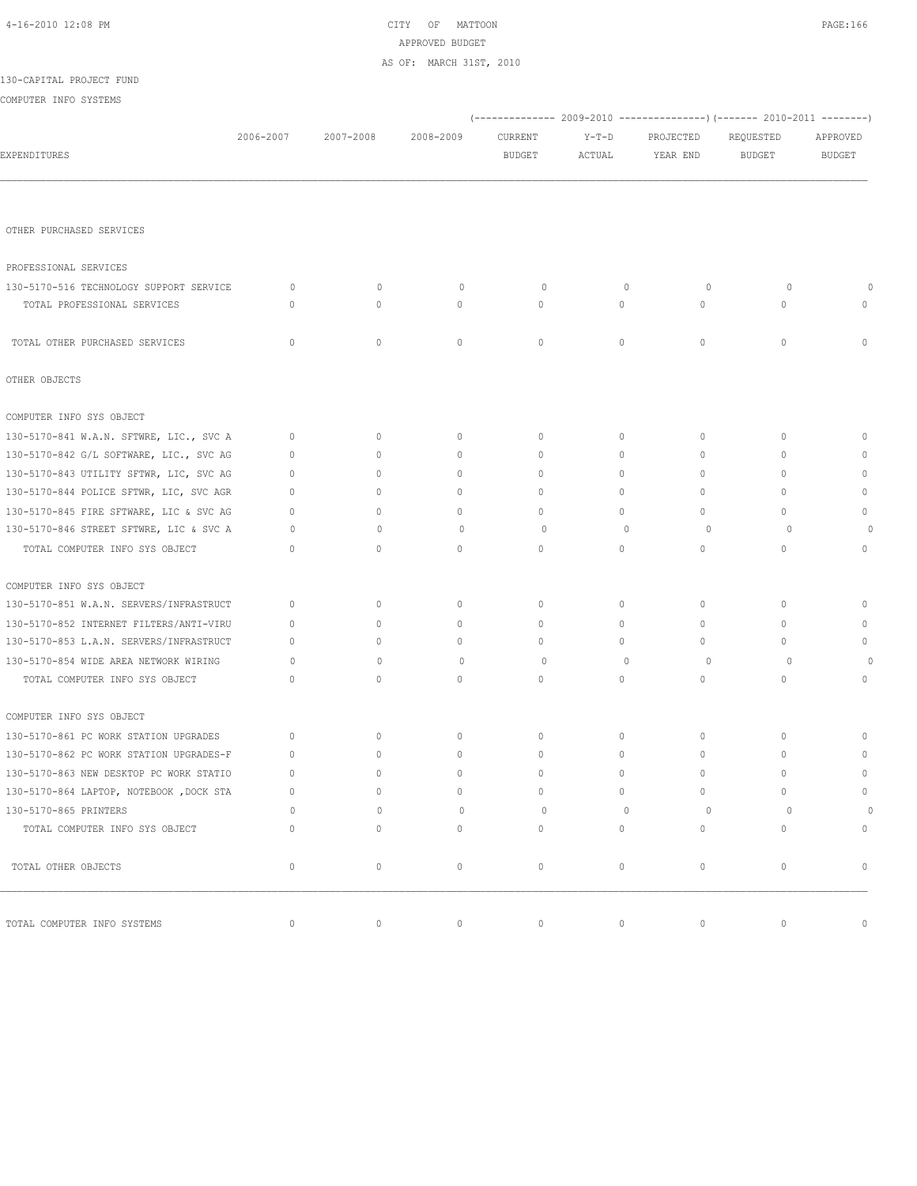# 4-16-2010 12:08 PM CITY OF MATTOON PAGE:166 APPROVED BUDGET AS OF: MARCH 31ST, 2010

## 130-CAPITAL PROJECT FUND

COMPUTER INFO SYSTEMS

|                                          |              |              |              | (-------------- 2009-2010 ---------------) (------- 2010-2011 --------) |                   |                       |                            |                           |
|------------------------------------------|--------------|--------------|--------------|-------------------------------------------------------------------------|-------------------|-----------------------|----------------------------|---------------------------|
| EXPENDITURES                             | 2006-2007    | 2007-2008    | 2008-2009    | CURRENT<br><b>BUDGET</b>                                                | $Y-T-D$<br>ACTUAL | PROJECTED<br>YEAR END | REQUESTED<br><b>BUDGET</b> | APPROVED<br><b>BUDGET</b> |
|                                          |              |              |              |                                                                         |                   |                       |                            |                           |
| OTHER PURCHASED SERVICES                 |              |              |              |                                                                         |                   |                       |                            |                           |
| PROFESSIONAL SERVICES                    |              |              |              |                                                                         |                   |                       |                            |                           |
| 130-5170-516 TECHNOLOGY SUPPORT SERVICE  | 0            | $\circ$      | $\circ$      | 0                                                                       | $\mathbf 0$       | $\mathbf 0$           | $\mathbf 0$                |                           |
| TOTAL PROFESSIONAL SERVICES              | $\mathbf{0}$ | $\mathbf{0}$ | $\mathbf 0$  | $\circ$                                                                 | $\circ$           | $\mathbb O$           | $\mathbf 0$                | $\cap$                    |
| TOTAL OTHER PURCHASED SERVICES           | $\circ$      | $\mathbf{0}$ | $\mathbf{0}$ | $\mathbf{0}$                                                            | $\circ$           | $\mathbf{0}$          | $\mathbf{0}$               | $\mathbf 0$               |
| OTHER OBJECTS                            |              |              |              |                                                                         |                   |                       |                            |                           |
| COMPUTER INFO SYS OBJECT                 |              |              |              |                                                                         |                   |                       |                            |                           |
| 130-5170-841 W.A.N. SFTWRE, LIC., SVC A  | $\circ$      | $\circ$      | $\mathbf 0$  | $\mathbf 0$                                                             | $\circ$           | 0                     | $\mathbf 0$                | 0                         |
| 130-5170-842 G/L SOFTWARE, LIC., SVC AG  | $\mathbf{0}$ | 0            | $\mathbf 0$  | $\mathbf 0$                                                             | $\circ$           | 0                     | $\mathbf 0$                | $\mathbf 0$               |
| 130-5170-843 UTILITY SFTWR, LIC, SVC AG  | $\mathbf{0}$ | 0            | $\mathbf 0$  | $\mathbf 0$                                                             | 0                 | 0                     | $\mathbf 0$                | 0                         |
| 130-5170-844 POLICE SFTWR, LIC, SVC AGR  | $\mathbf{0}$ | 0            | $\mathbf 0$  | $\mathbf 0$                                                             | 0                 | $\circ$               | $\mathbf{0}$               | $\circ$                   |
| 130-5170-845 FIRE SFTWARE, LIC & SVC AG  | $\mathbf{0}$ | $\circ$      | $\mathbf 0$  | $\circ$                                                                 | $\circ$           | $\circ$               | $\mathbf{0}$               | $\circ$                   |
| 130-5170-846 STREET SFTWRE, LIC & SVC A  | 0            | 0            | 0            | $\circ$                                                                 | $\mathbf{0}$      | $\mathbf{0}$          | $\mathbf{0}$               | 0                         |
| TOTAL COMPUTER INFO SYS OBJECT           | $\mathbf{0}$ | $\mathbf{0}$ | $\circ$      | $\mathbf{0}$                                                            | $\circ$           | $\circ$               | $\mathbf{0}$               | 0                         |
| COMPUTER INFO SYS OBJECT                 |              |              |              |                                                                         |                   |                       |                            |                           |
| 130-5170-851 W.A.N. SERVERS/INFRASTRUCT  | $\mathbf{0}$ | $\circ$      | $\mathbf 0$  | $\mathbf 0$                                                             | $\circ$           | $\circ$               | $\mathbf 0$                | $\mathbf 0$               |
| 130-5170-852 INTERNET FILTERS/ANTI-VIRU  | 0            | $\circ$      | $\mathbf 0$  | $\circ$                                                                 | $\circ$           | $\circ$               | $\mathbf 0$                | 0                         |
| 130-5170-853 L.A.N. SERVERS/INFRASTRUCT  | 0            | 0            | $\mathbf 0$  | $\circ$                                                                 | $\circ$           | $\circ$               | $\circ$                    | 0                         |
| 130-5170-854 WIDE AREA NETWORK WIRING    | $\circ$      | $\mathbf{0}$ | $\circ$      | $\circ$                                                                 | 0                 | $\mathbf 0$           | $\mathbf 0$                | 0                         |
| TOTAL COMPUTER INFO SYS OBJECT           | $\circ$      | 0            | $\circ$      | $\mathbf{0}$                                                            | $\circ$           | 0                     | $\mathbf 0$                | $\mathbf 0$               |
| COMPUTER INFO SYS OBJECT                 |              |              |              |                                                                         |                   |                       |                            |                           |
| 130-5170-861 PC WORK STATION UPGRADES    | 0            | 0            | $\mathbf 0$  | $\mathbf 0$                                                             | 0                 | 0                     | 0                          | 0                         |
| 130-5170-862 PC WORK STATION UPGRADES-F  | $\circ$      | 0            | $\mathbf 0$  | $\mathbf 0$                                                             | $\circ$           | $\circ$               | $\mathbf 0$                | 0                         |
| 130-5170-863 NEW DESKTOP PC WORK STATIO  | $\mathbf{0}$ | $\mathbf{0}$ | $\circ$      | $\mathbf{0}$                                                            | $\circ$           | $\mathbf 0$           | $\mathbf{0}$               | 0                         |
| 130-5170-864 LAPTOP, NOTEBOOK , DOCK STA | 0            | 0            | 0            | 0                                                                       | $\circ$           | $\circ$               | $\circ$                    | $\circ$                   |
| 130-5170-865 PRINTERS                    | $\circ$      | $\circ$      | $\mathbb O$  | $\circ$                                                                 | $\mathbf{0}$      | $\mathbf{0}$          | $\circ$                    | $\overline{0}$            |
| TOTAL COMPUTER INFO SYS OBJECT           | 0            | $\circ$      | $\circ$      | $\circ$                                                                 | $\circ$           | $\mathbb O$           | $\mathbb O$                | $\mathbb O$               |
| TOTAL OTHER OBJECTS                      | $\circ$      | $\circ$      | $\mathbb O$  | $\circ$                                                                 | $\circ$           | $\circ$               | $\mathbb O$                | $\mathbb O$               |
| TOTAL COMPUTER INFO SYSTEMS              | $\circ$      | $\circ$      | $\circ$      | $\mathbb O$                                                             | $\circ$           | $\circ$               | $\circ$                    | $\mathbb O$               |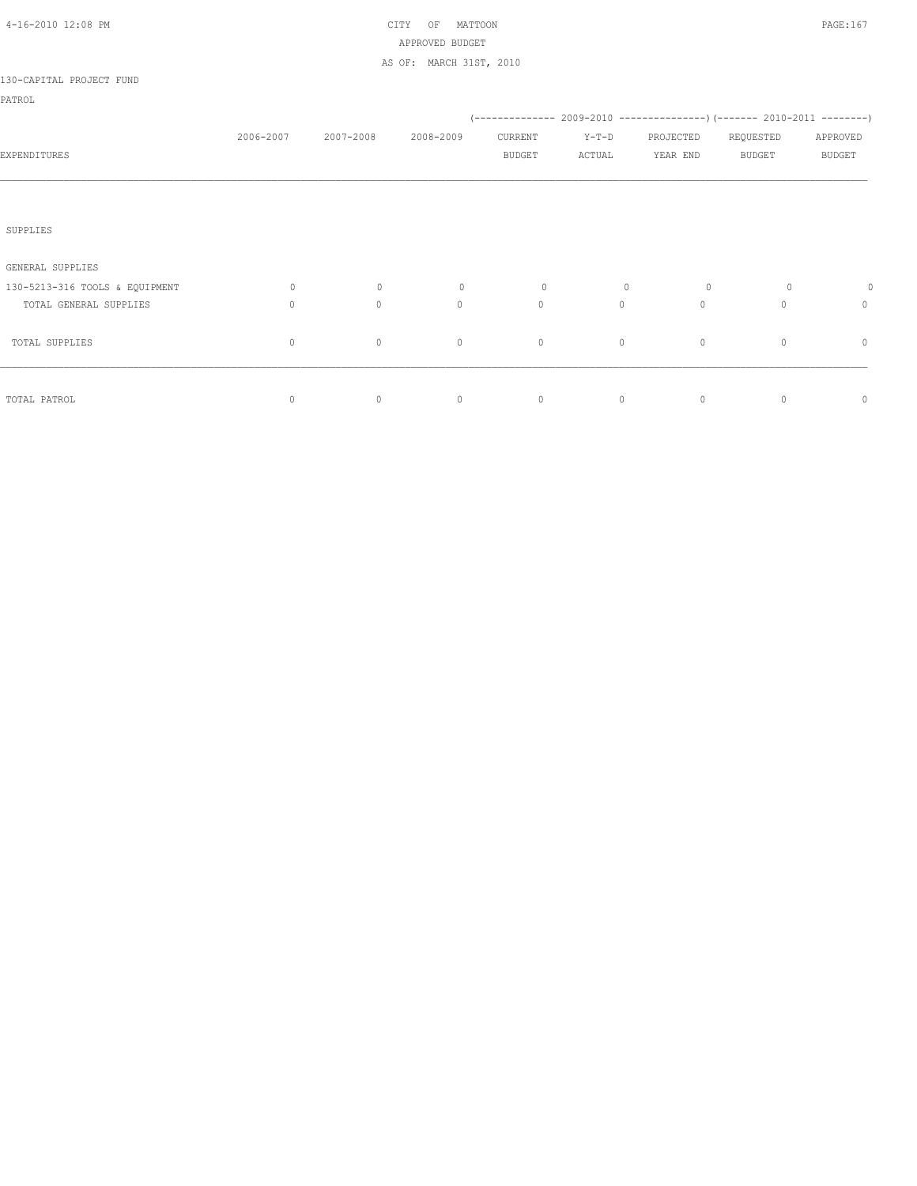# 4-16-2010 12:08 PM CITY OF MATTOON PAGE:167 APPROVED BUDGET AS OF: MARCH 31ST, 2010

### 130-CAPITAL PROJECT FUND

| EXPENDITURES                   | 2006-2007    | 2007-2008 | 2008-2009    | CURRENT<br><b>BUDGET</b> | $Y-T-D$<br>ACTUAL | PROJECTED<br>YEAR END | (-------------- 2009-2010 ---------------) (------- 2010-2011 --------)<br>REQUESTED<br><b>BUDGET</b> | APPROVED<br><b>BUDGET</b> |
|--------------------------------|--------------|-----------|--------------|--------------------------|-------------------|-----------------------|-------------------------------------------------------------------------------------------------------|---------------------------|
|                                |              |           |              |                          |                   |                       |                                                                                                       |                           |
|                                |              |           |              |                          |                   |                       |                                                                                                       |                           |
| SUPPLIES                       |              |           |              |                          |                   |                       |                                                                                                       |                           |
| GENERAL SUPPLIES               |              |           |              |                          |                   |                       |                                                                                                       |                           |
| 130-5213-316 TOOLS & EQUIPMENT | $\circ$      | $\circ$   | $\circ$      | $\circ$                  | $\mathbf{0}$      | $\mathbf{0}$          | $\mathbf 0$                                                                                           | 0                         |
| TOTAL GENERAL SUPPLIES         | $\circ$      | $\circ$   | $\mathbf{0}$ | $\mathbf{0}$             | $\circ$           | $\circ$               | $\mathbf{0}$                                                                                          | 0                         |
| TOTAL SUPPLIES                 | $\mathbf{0}$ | $\circ$   | $\mathbb O$  | $\circ$                  | $\circ$           | $\mathbb O$           | $\mathbb O$                                                                                           | $\circ$                   |
| TOTAL PATROL                   | $\mathbf{0}$ | $\circ$   | $\circ$      | $\circ$                  | $\circ$           | $\circ$               | $\circ$                                                                                               | $\circ$                   |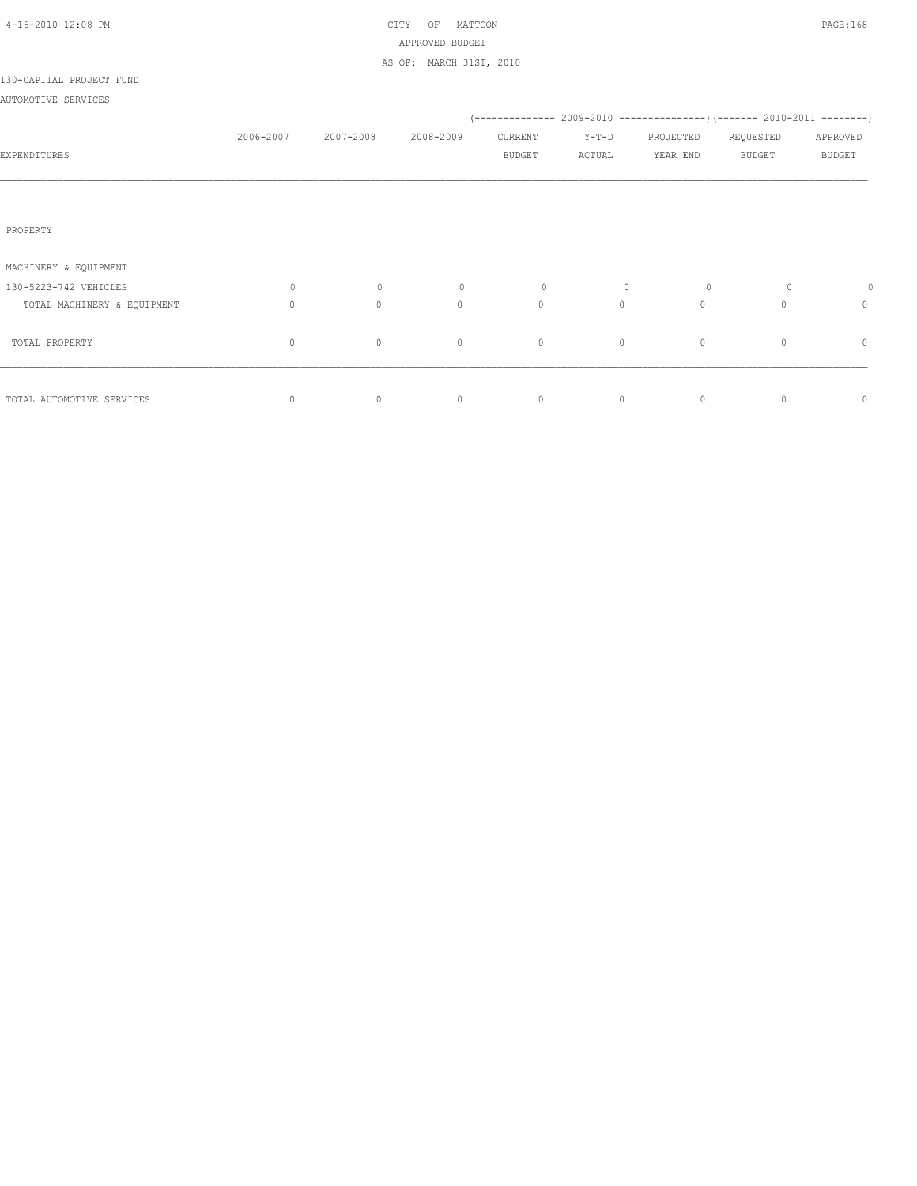# 4-16-2010 12:08 PM CITY OF MATTOON PAGE:168 APPROVED BUDGET AS OF: MARCH 31ST, 2010

## 130-CAPITAL PROJECT FUND

|                             |              |           |              |               |         | (-------------- 2009-2010 -----------------) (------- 2010-2011 --------) |               |               |
|-----------------------------|--------------|-----------|--------------|---------------|---------|---------------------------------------------------------------------------|---------------|---------------|
|                             | 2006-2007    | 2007-2008 | 2008-2009    | CURRENT       | $Y-T-D$ | PROJECTED                                                                 | REQUESTED     | APPROVED      |
| EXPENDITURES                |              |           |              | <b>BUDGET</b> | ACTUAL  | YEAR END                                                                  | <b>BUDGET</b> | <b>BUDGET</b> |
|                             |              |           |              |               |         |                                                                           |               |               |
|                             |              |           |              |               |         |                                                                           |               |               |
| PROPERTY                    |              |           |              |               |         |                                                                           |               |               |
| MACHINERY & EQUIPMENT       |              |           |              |               |         |                                                                           |               |               |
| 130-5223-742 VEHICLES       | $\circ$      | $\circ$   | $\mathbb O$  | 0             |         | $\mathbf 0$<br>$\mathbf 0$                                                | $\mathbf 0$   | 0             |
| TOTAL MACHINERY & EQUIPMENT | $\mathbf{0}$ | $\circ$   | $\mathbf{0}$ | $\mathbf{0}$  | $\circ$ | $\circ$                                                                   | $\circ$       | $\mathbf{0}$  |
| TOTAL PROPERTY              | $\circ$      | $\circ$   | $\circ$      | $\circ$       | $\circ$ | $\circ$                                                                   | $\circ$       | 0             |
| TOTAL AUTOMOTIVE SERVICES   | 0            | $\circ$   | $\circ$      | $\circ$       | $\circ$ | $\circ$                                                                   | $\mathbf{0}$  | $\circ$       |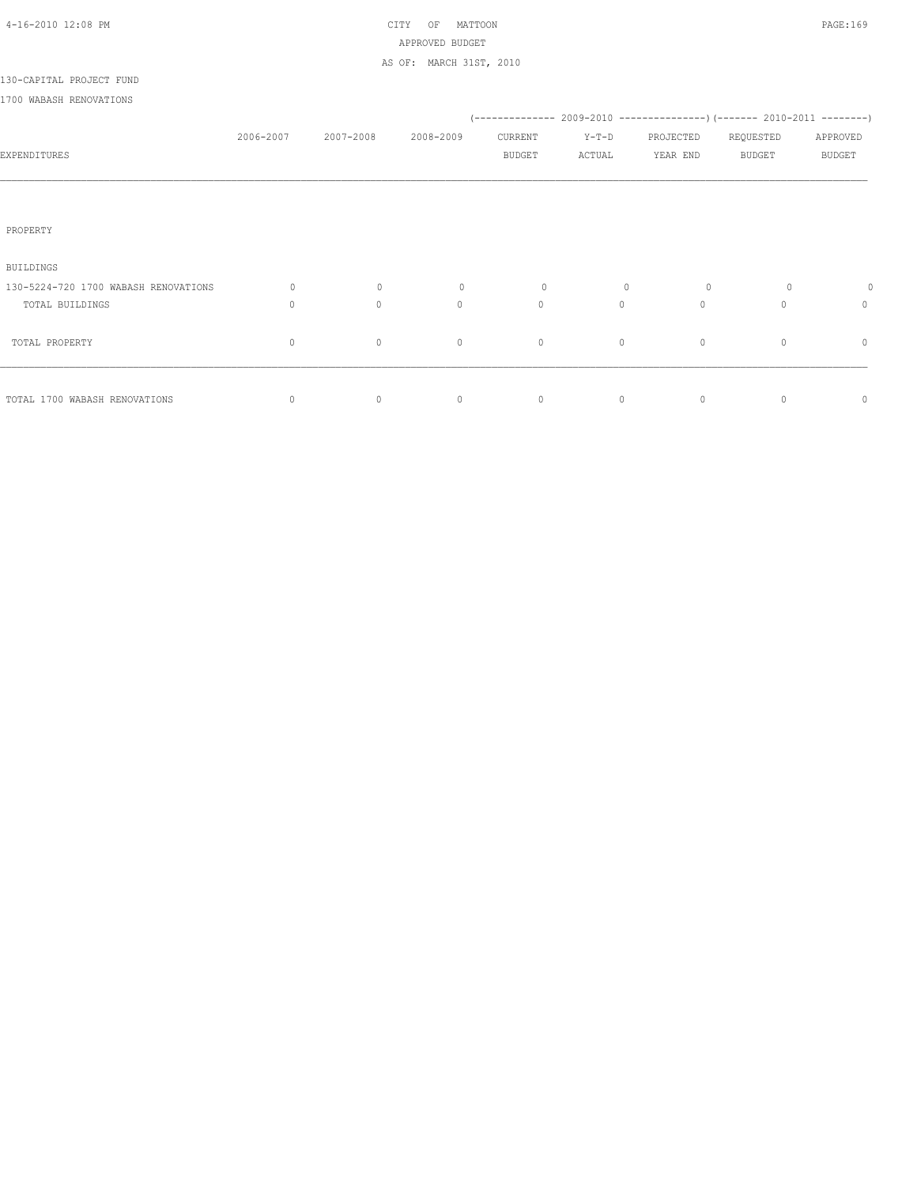# 4-16-2010 12:08 PM CITY OF MATTOON PAGE:169 APPROVED BUDGET AS OF: MARCH 31ST, 2010

### 130-CAPITAL PROJECT FUND

1700 WABASH RENOVATIONS

|                                      |              |           |           |               |         | (-------------- 2009-2010 ----------------) (------- 2010-2011 --------) |               |               |
|--------------------------------------|--------------|-----------|-----------|---------------|---------|--------------------------------------------------------------------------|---------------|---------------|
|                                      | 2006-2007    | 2007-2008 | 2008-2009 | CURRENT       | $Y-T-D$ | PROJECTED                                                                | REQUESTED     | APPROVED      |
| EXPENDITURES                         |              |           |           | <b>BUDGET</b> | ACTUAL  | YEAR END                                                                 | <b>BUDGET</b> | <b>BUDGET</b> |
|                                      |              |           |           |               |         |                                                                          |               |               |
|                                      |              |           |           |               |         |                                                                          |               |               |
| PROPERTY                             |              |           |           |               |         |                                                                          |               |               |
| <b>BUILDINGS</b>                     |              |           |           |               |         |                                                                          |               |               |
| 130-5224-720 1700 WABASH RENOVATIONS | 0            | $\circ$   | $\circ$   | $\circ$       |         | $\mathbf{0}$<br>$\mathbf 0$                                              | $\mathbf 0$   | 0             |
| TOTAL BUILDINGS                      | $\mathbf{0}$ | $\circ$   | $\circ$   | $\mathbb O$   | $\circ$ | $\mathbb O$                                                              | $\mathbf{0}$  | $\mathbb O$   |
| TOTAL PROPERTY                       | $\mathbf{0}$ | $\circ$   | $\circ$   | $\mathbb O$   | $\circ$ | $\circ$                                                                  | $\mathbf{0}$  | $\mathbf{0}$  |
|                                      |              |           |           |               |         |                                                                          |               |               |
| TOTAL 1700 WABASH RENOVATIONS        | $\mathbf{0}$ | $\circ$   | $\circ$   | $\circ$       | 0       | 0                                                                        | $\mathbf{0}$  | $\mathbf{0}$  |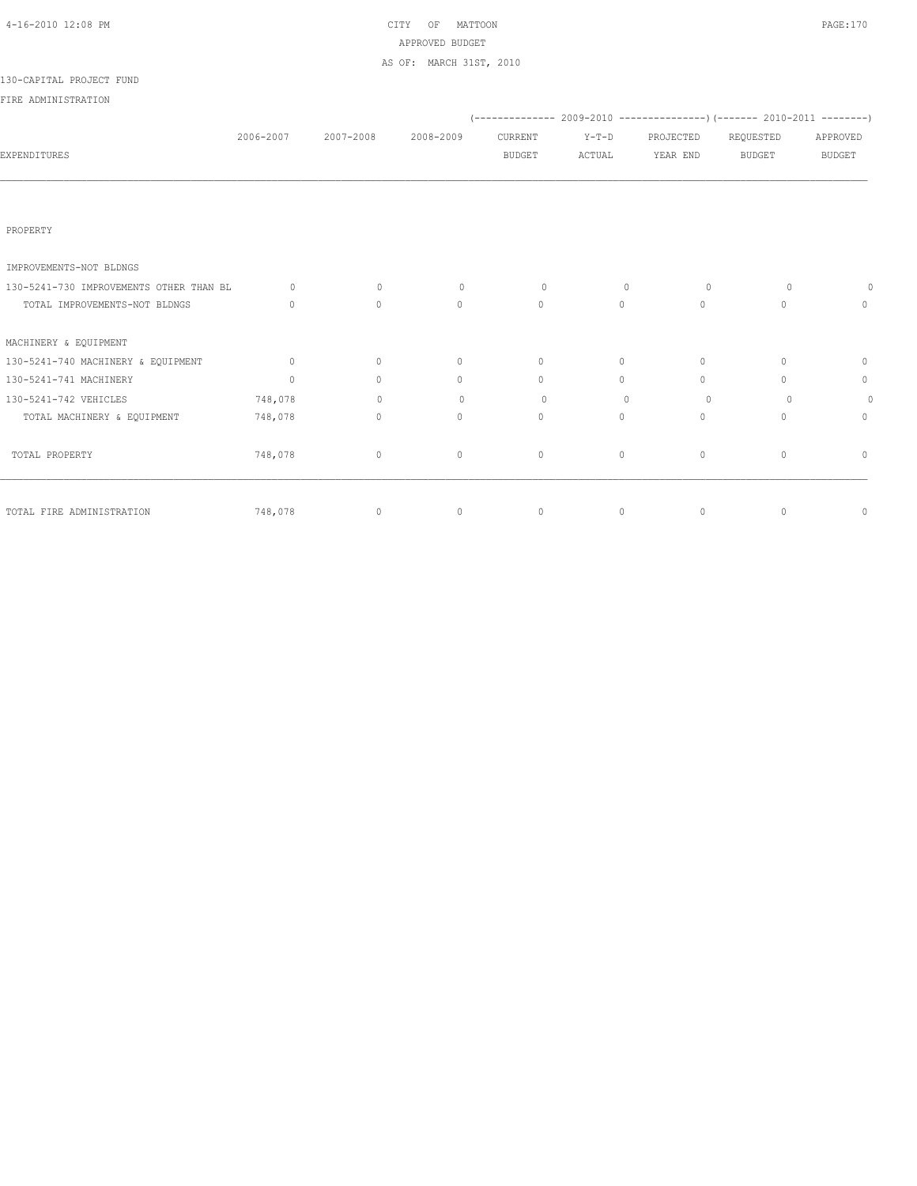# 4-16-2010 12:08 PM CITY OF MATTOON PAGE:170 APPROVED BUDGET AS OF: MARCH 31ST, 2010

### 130-CAPITAL PROJECT FUND

FIRE ADMINISTRATION

|                                         |              |              |              |               |              |              | (-------------- 2009-2010 ----------------) (------- 2010-2011 --------) |               |
|-----------------------------------------|--------------|--------------|--------------|---------------|--------------|--------------|--------------------------------------------------------------------------|---------------|
|                                         | 2006-2007    | 2007-2008    | 2008-2009    | CURRENT       | $Y-T-D$      | PROJECTED    | REQUESTED                                                                | APPROVED      |
| EXPENDITURES                            |              |              |              | <b>BUDGET</b> | ACTUAL       | YEAR END     | <b>BUDGET</b>                                                            | <b>BUDGET</b> |
|                                         |              |              |              |               |              |              |                                                                          |               |
| PROPERTY                                |              |              |              |               |              |              |                                                                          |               |
| IMPROVEMENTS-NOT BLDNGS                 |              |              |              |               |              |              |                                                                          |               |
| 130-5241-730 IMPROVEMENTS OTHER THAN BL | $\Omega$     | $\mathbf{0}$ | $\circ$      | $\circ$       | $\Omega$     | $\mathbf{0}$ | $\Omega$                                                                 |               |
| TOTAL IMPROVEMENTS-NOT BLDNGS           | $\Omega$     | $\circ$      | $\mathbf{0}$ | $\mathbf{0}$  | $\circ$      | $\mathbf{0}$ | $\mathbf{0}$                                                             | $\mathbf{0}$  |
| MACHINERY & EQUIPMENT                   |              |              |              |               |              |              |                                                                          |               |
| 130-5241-740 MACHINERY & EQUIPMENT      | $\circ$      | $\circ$      | $\circ$      | $\circ$       | $\circ$      | $\mathbf{0}$ | $\mathbf{0}$                                                             | $\mathbf{0}$  |
| 130-5241-741 MACHINERY                  | $\mathbf{0}$ | $\mathbf{0}$ | $\circ$      | $\mathbf{0}$  | $\circ$      | $\mathbf{0}$ | $\Omega$                                                                 | $\circ$       |
| 130-5241-742 VEHICLES                   | 748,078      | $\circ$      | $\circ$      | $\circ$       | $\mathbf{0}$ | $\mathbf{0}$ | $\mathbf{0}$                                                             | $\mathbf{0}$  |
| TOTAL MACHINERY & EQUIPMENT             | 748,078      | $\circ$      | $\circ$      | $\mathbf{0}$  | $\circ$      | $\circ$      | $\mathbf{0}$                                                             | $\mathbf{0}$  |
| TOTAL PROPERTY                          | 748,078      | $\circ$      | $\circ$      | $\mathbb O$   | $\circ$      | $\circ$      | $\mathbf{0}$                                                             | $\mathbf{0}$  |
| TOTAL FIRE ADMINISTRATION               | 748,078      | $\circ$      | $\circ$      | $\mathbb O$   | 0            | $\circ$      | $\mathbf{0}$                                                             | $\circ$       |
|                                         |              |              |              |               |              |              |                                                                          |               |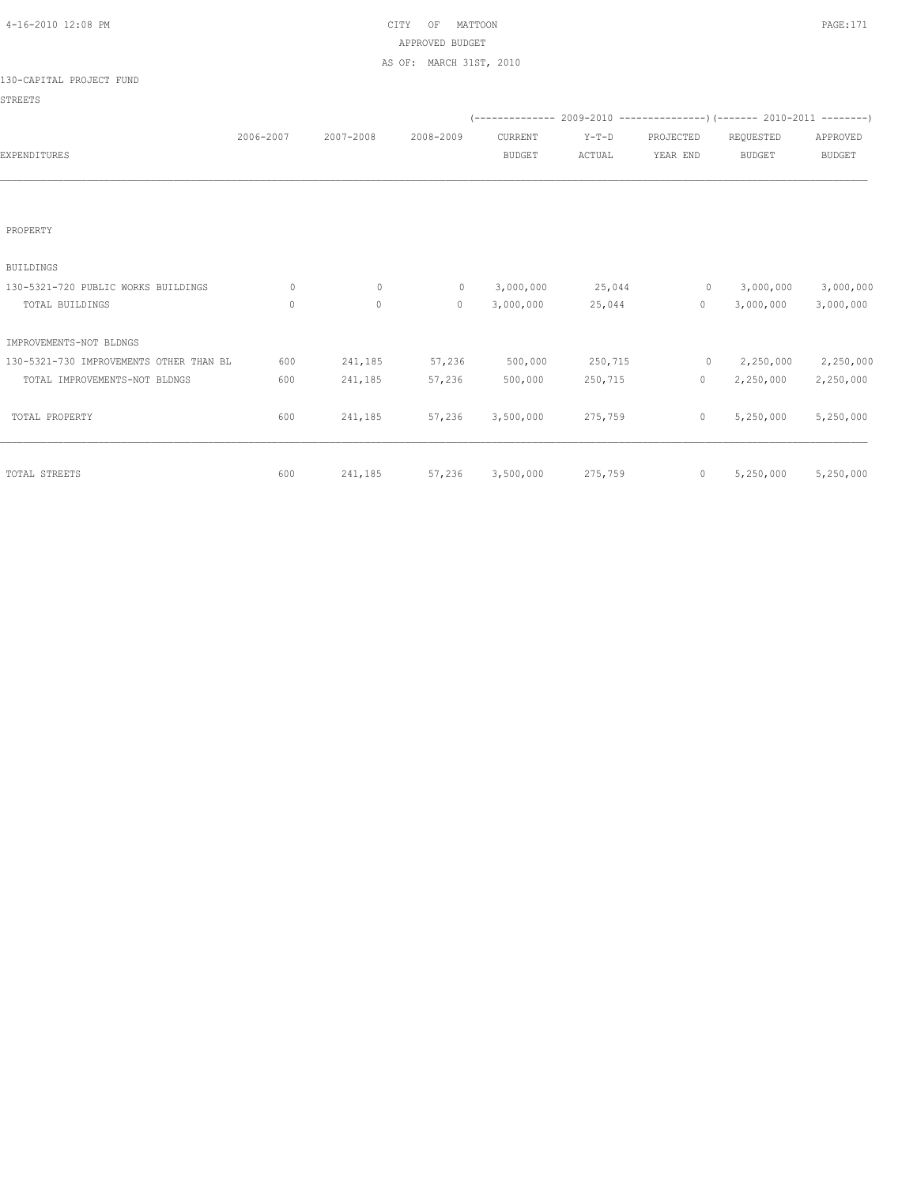# 4-16-2010 12:08 PM CITY OF MATTOON PAGE:171 APPROVED BUDGET AS OF: MARCH 31ST, 2010

### 130-CAPITAL PROJECT FUND

| ن ⊥ ششہ⊥ ن                              |              |           |           |               |         |           | (-------------- 2009-2010 ----------------)(------- 2010-2011 --------) |               |
|-----------------------------------------|--------------|-----------|-----------|---------------|---------|-----------|-------------------------------------------------------------------------|---------------|
|                                         | 2006-2007    | 2007-2008 | 2008-2009 | CURRENT       | $Y-T-D$ | PROJECTED | REQUESTED                                                               | APPROVED      |
| EXPENDITURES                            |              |           |           | <b>BUDGET</b> | ACTUAL  | YEAR END  | <b>BUDGET</b>                                                           | <b>BUDGET</b> |
|                                         |              |           |           |               |         |           |                                                                         |               |
|                                         |              |           |           |               |         |           |                                                                         |               |
| PROPERTY                                |              |           |           |               |         |           |                                                                         |               |
| <b>BUILDINGS</b>                        |              |           |           |               |         |           |                                                                         |               |
| 130-5321-720 PUBLIC WORKS BUILDINGS     | $\circ$      | $\circ$   | $\circ$   | 3,000,000     | 25,044  | $\circ$   | 3,000,000                                                               | 3,000,000     |
| TOTAL BUILDINGS                         | $\mathbf{0}$ | $\circ$   | $\circ$   | 3,000,000     | 25,044  | $\circ$   | 3,000,000                                                               | 3,000,000     |
| IMPROVEMENTS-NOT BLDNGS                 |              |           |           |               |         |           |                                                                         |               |
| 130-5321-730 IMPROVEMENTS OTHER THAN BL | 600          | 241,185   | 57,236    | 500,000       | 250,715 | $\circ$   | 2,250,000                                                               | 2,250,000     |
| TOTAL IMPROVEMENTS-NOT BLDNGS           | 600          | 241,185   | 57,236    | 500,000       | 250,715 | $\circ$   | 2,250,000                                                               | 2,250,000     |
| TOTAL PROPERTY                          | 600          | 241,185   | 57,236    | 3,500,000     | 275,759 | $\circ$   | 5,250,000                                                               | 5,250,000     |
| TOTAL STREETS                           | 600          | 241,185   | 57,236    | 3,500,000     | 275,759 | $\circ$   | 5,250,000                                                               | 5,250,000     |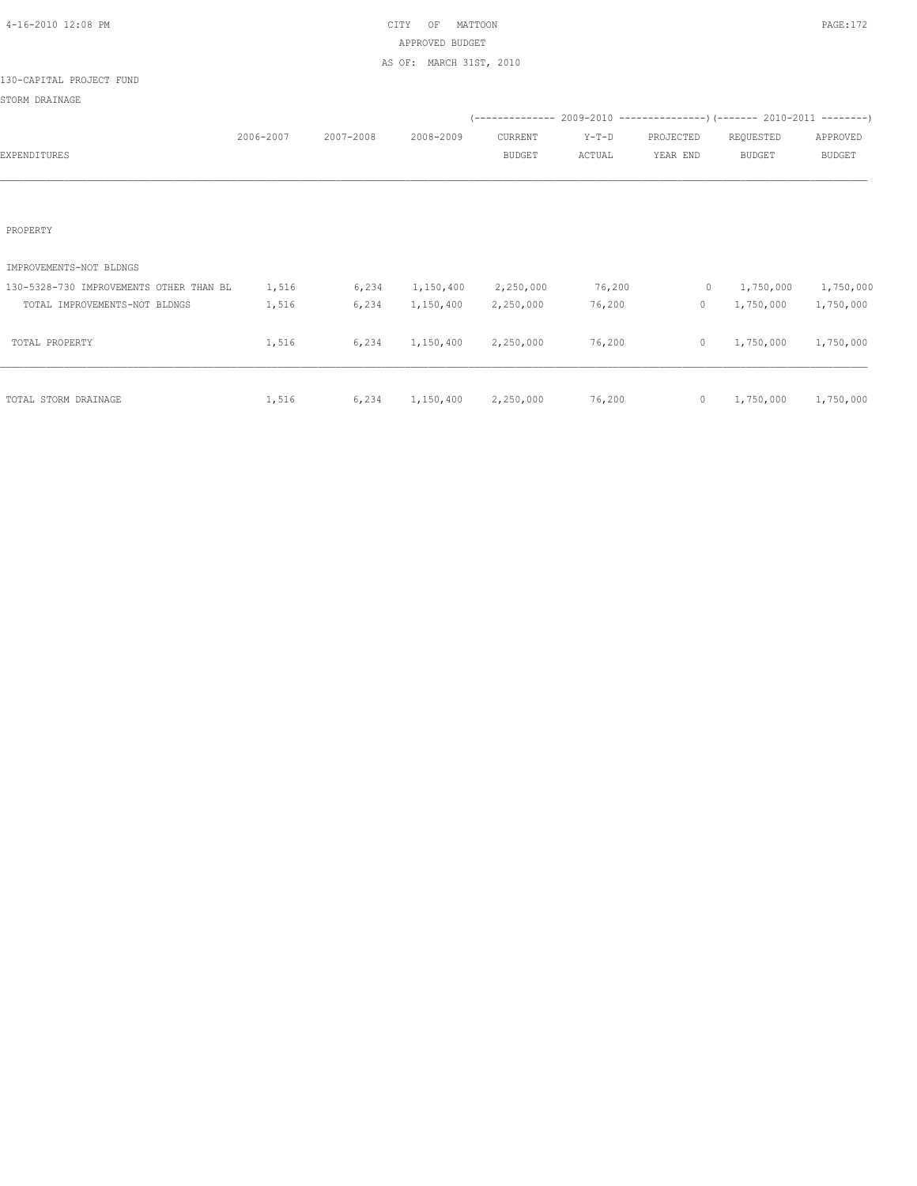# 4-16-2010 12:08 PM CITY OF MATTOON PAGE:172 APPROVED BUDGET AS OF: MARCH 31ST, 2010

## 130-CAPITAL PROJECT FUND

STORM DRAINAGE

|              |           |           |           |               |        | (-------------- 2009-2010 ----------------) (------- 2010-2011 --------) |               |               |
|--------------|-----------|-----------|-----------|---------------|--------|--------------------------------------------------------------------------|---------------|---------------|
|              | 2006-2007 | 2007-2008 | 2008-2009 | CURRENT       | Y-T-D  | PROJECTED                                                                | REQUESTED     | APPROVED      |
| EXPENDITURES |           |           |           | <b>BUDGET</b> | ACTUAL | YEAR END                                                                 | <b>BUDGET</b> | <b>BUDGET</b> |
|              |           |           |           |               |        |                                                                          |               |               |
|              |           |           |           |               |        |                                                                          |               |               |

PROPERTY

| TOTAL STORM DRAINAGE                    | 1,516 | 6,234 | 1,150,400 | 2,250,000 | 76,200 | 0            | 1,750,000 | 1,750,000 |
|-----------------------------------------|-------|-------|-----------|-----------|--------|--------------|-----------|-----------|
| TOTAL PROPERTY                          | 1,516 | 6,234 | 1,150,400 | 2,250,000 | 76,200 | 0            | 1,750,000 | 1,750,000 |
| TOTAL IMPROVEMENTS-NOT BLDNGS           | 1,516 | 6,234 | 1,150,400 | 2,250,000 | 76,200 | $\mathbf{0}$ | 1,750,000 | 1,750,000 |
| 130-5328-730 IMPROVEMENTS OTHER THAN BL | 1,516 | 6,234 | 1,150,400 | 2,250,000 | 76,200 | $\Omega$     | 1,750,000 | 1,750,000 |
| IMPROVEMENTS-NOT BLDNGS                 |       |       |           |           |        |              |           |           |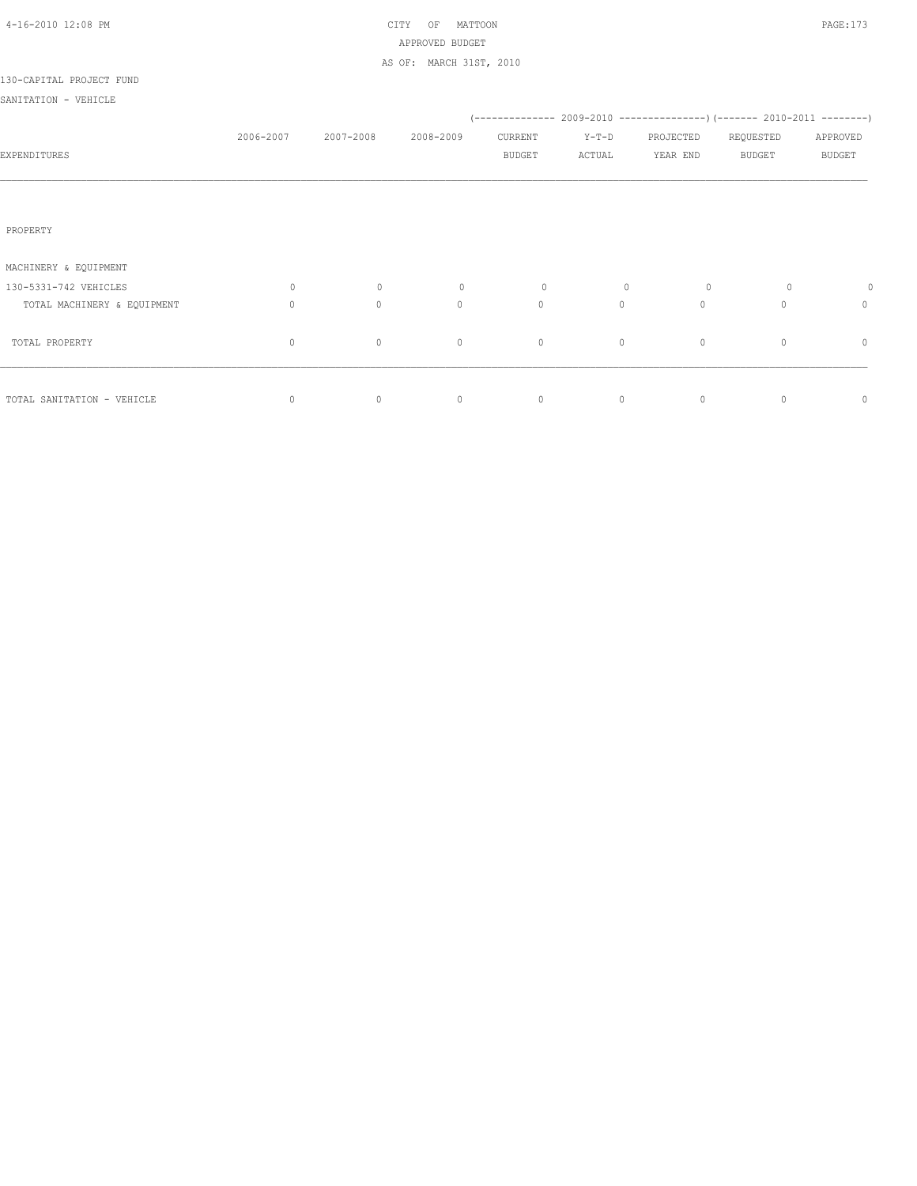# 4-16-2010 12:08 PM CITY OF MATTOON PAGE:173 APPROVED BUDGET AS OF: MARCH 31ST, 2010

## 130-CAPITAL PROJECT FUND

SANITATION - VEHICLE

|                             |              |             |              |               |         | (-------------- 2009-2010 ----------------) (------- 2010-2011 --------) |               |               |
|-----------------------------|--------------|-------------|--------------|---------------|---------|--------------------------------------------------------------------------|---------------|---------------|
|                             | 2006-2007    | 2007-2008   | 2008-2009    | CURRENT       | $Y-T-D$ | PROJECTED                                                                | REQUESTED     | APPROVED      |
| EXPENDITURES                |              |             |              | <b>BUDGET</b> | ACTUAL  | YEAR END                                                                 | <b>BUDGET</b> | <b>BUDGET</b> |
|                             |              |             |              |               |         |                                                                          |               |               |
|                             |              |             |              |               |         |                                                                          |               |               |
| PROPERTY                    |              |             |              |               |         |                                                                          |               |               |
| MACHINERY & EQUIPMENT       |              |             |              |               |         |                                                                          |               |               |
| 130-5331-742 VEHICLES       | $\circ$      | $\circ$     | $\mathbf{0}$ | $\circ$       |         | $\mathbf{0}$<br>$\mathbf{0}$                                             | $\mathbf 0$   | 0             |
| TOTAL MACHINERY & EQUIPMENT | $\mathbf{0}$ | $\mathbb O$ | $\mathbf{0}$ | $\mathbf{0}$  | $\circ$ | $\circ$                                                                  | $\mathbf{0}$  | $\mathbb O$   |
| TOTAL PROPERTY              | $\mathbf{0}$ | $\circ$     | $\circ$      | $\circ$       | $\circ$ | $\circ$                                                                  | $\mathbf{0}$  | $\circ$       |
| TOTAL SANITATION - VEHICLE  | $\circ$      | $\circ$     | $\mathbf{0}$ | $\circ$       | $\circ$ | $\mathbb O$                                                              | $\mathbf{0}$  | $\circ$       |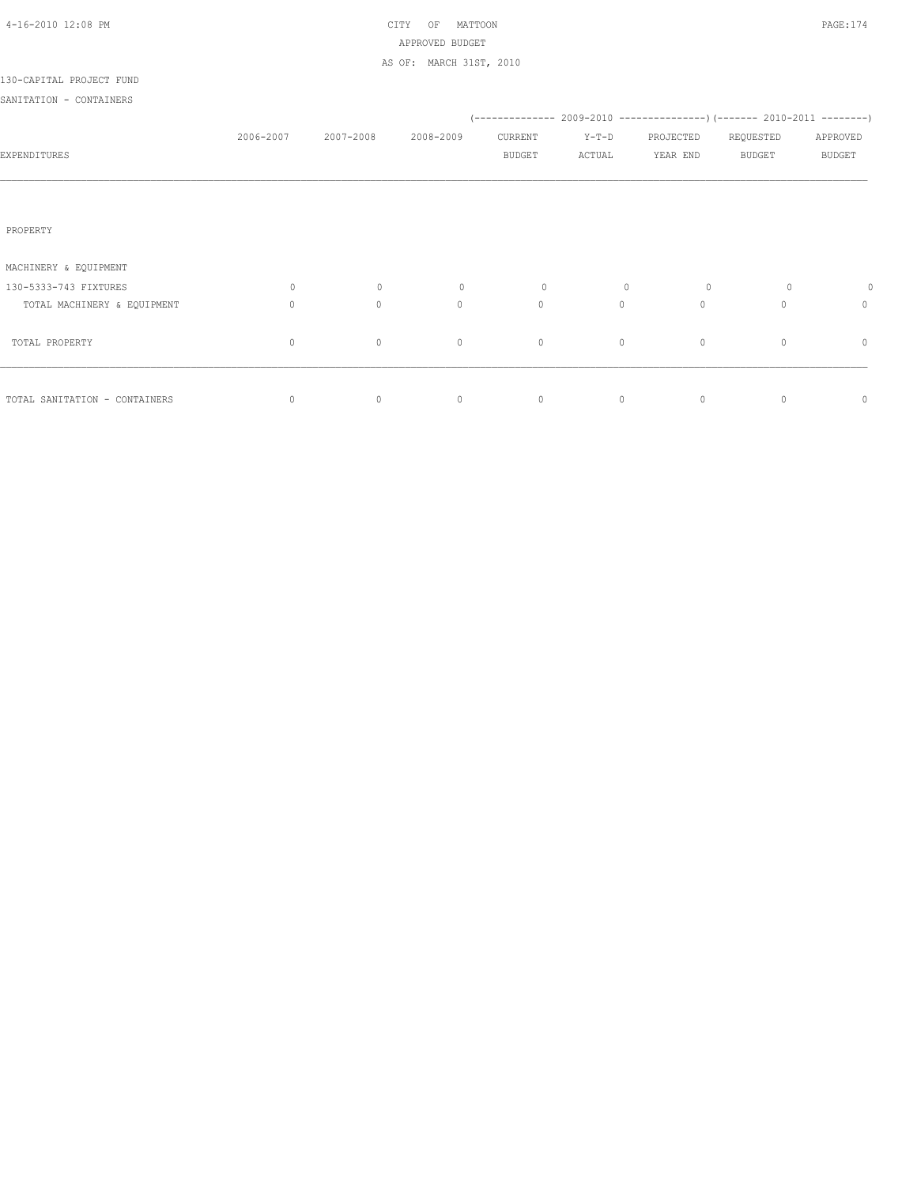# 4-16-2010 12:08 PM CITY OF MATTOON PAGE:174 APPROVED BUDGET AS OF: MARCH 31ST, 2010

## 130-CAPITAL PROJECT FUND

### SANITATION - CONTAINERS

|                               |              |           |              |               |             | (-------------- 2009-2010 ----------------) (------- 2010-2011 --------) |               |               |
|-------------------------------|--------------|-----------|--------------|---------------|-------------|--------------------------------------------------------------------------|---------------|---------------|
|                               | 2006-2007    | 2007-2008 | 2008-2009    | CURRENT       | $Y-T-D$     | PROJECTED                                                                | REQUESTED     | APPROVED      |
| EXPENDITURES                  |              |           |              | <b>BUDGET</b> | ACTUAL      | YEAR END                                                                 | <b>BUDGET</b> | <b>BUDGET</b> |
|                               |              |           |              |               |             |                                                                          |               |               |
|                               |              |           |              |               |             |                                                                          |               |               |
| PROPERTY                      |              |           |              |               |             |                                                                          |               |               |
| MACHINERY & EQUIPMENT         |              |           |              |               |             |                                                                          |               |               |
| 130-5333-743 FIXTURES         | $\circ$      | $\circ$   | $\circ$      | 0             | $\mathbf 0$ | $\mathbf{0}$                                                             | $\mathbf 0$   | 0             |
| TOTAL MACHINERY & EQUIPMENT   | $\mathbf{0}$ | $\circ$   | $\mathbf{0}$ | $\mathbf{0}$  | $\circ$     | $\circ$                                                                  | $\circ$       | 0             |
| TOTAL PROPERTY                | $\circ$      | $\circ$   | $\circ$      | $\circ$       | $\circ$     | $\circ$                                                                  | $\circ$       | $\mathbf{0}$  |
| TOTAL SANITATION - CONTAINERS | 0            | $\circ$   | $\mathbb{O}$ | $\circ$       | $\circ$     | 0                                                                        | $\mathbf{0}$  | 0             |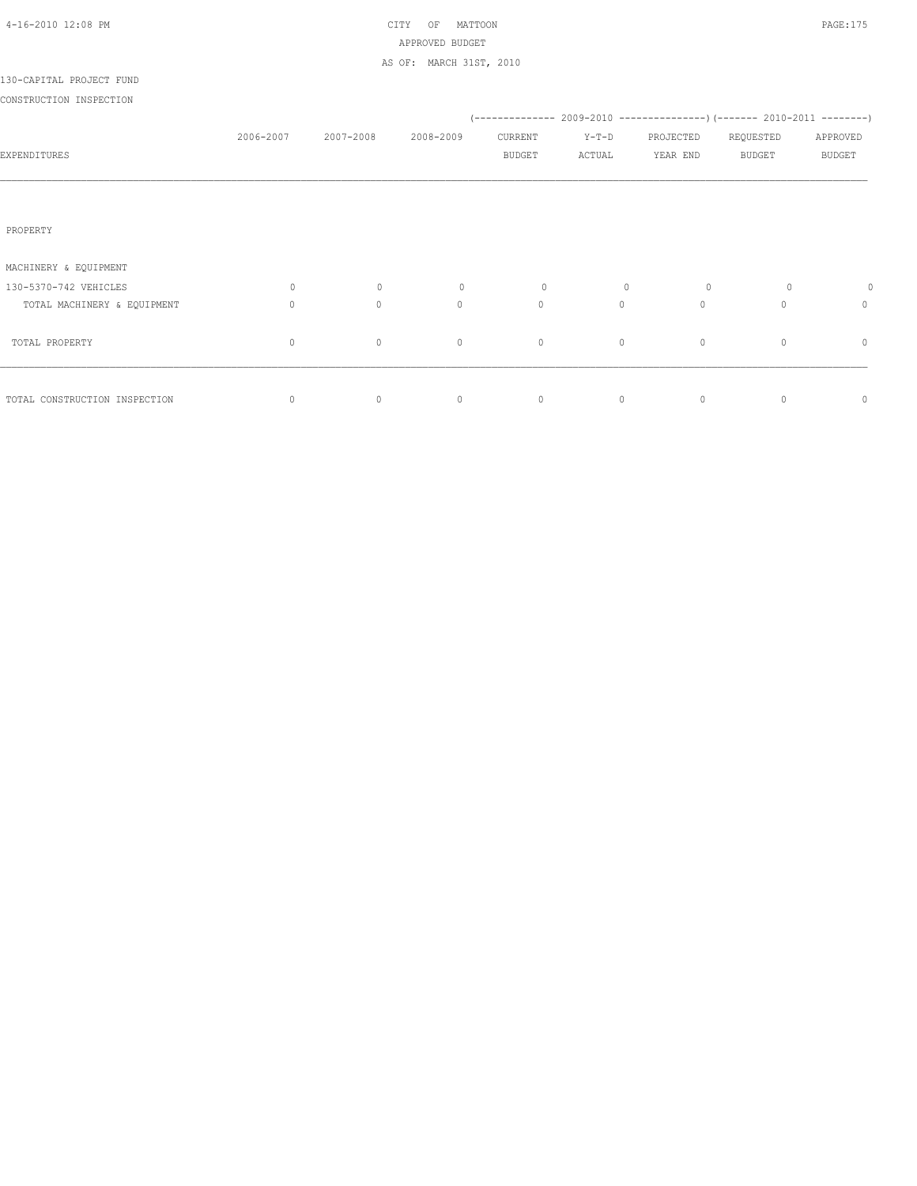# 4-16-2010 12:08 PM CITY OF MATTOON PAGE:175 APPROVED BUDGET AS OF: MARCH 31ST, 2010

## 130-CAPITAL PROJECT FUND

### CONSTRUCTION INSPECTION

|                               |              |             |              |               |              | (-------------- 2009-2010 ----------------) (------- 2010-2011 --------) |               |               |
|-------------------------------|--------------|-------------|--------------|---------------|--------------|--------------------------------------------------------------------------|---------------|---------------|
|                               | 2006-2007    | 2007-2008   | 2008-2009    | CURRENT       | $Y-T-D$      | PROJECTED                                                                | REQUESTED     | APPROVED      |
| EXPENDITURES                  |              |             |              | <b>BUDGET</b> | ACTUAL       | YEAR END                                                                 | <b>BUDGET</b> | <b>BUDGET</b> |
|                               |              |             |              |               |              |                                                                          |               |               |
|                               |              |             |              |               |              |                                                                          |               |               |
| PROPERTY                      |              |             |              |               |              |                                                                          |               |               |
| MACHINERY & EQUIPMENT         |              |             |              |               |              |                                                                          |               |               |
| 130-5370-742 VEHICLES         | $\circ$      | $\circ$     | $\circ$      | $\circ$       | $\mathbf{0}$ | $\mathbf{0}$                                                             | $\mathbf{0}$  | 0             |
| TOTAL MACHINERY & EQUIPMENT   | $\mathbf{0}$ | $\circ$     | $\mathbf{0}$ | $\mathbf{0}$  | $\circ$      | $\circ$                                                                  | $\circ$       | $\mathbb O$   |
| TOTAL PROPERTY                | $\circ$      | $\mathbb O$ | $\circ$      | $\mathbb O$   | $\circ$      | $\mathbb O$                                                              | $\circ$       | 0             |
| TOTAL CONSTRUCTION INSPECTION | 0            | $\mathbb O$ | $\mathbf 0$  | $\circ$       | $\circ$      | $\circ$                                                                  | $\mathbf{0}$  | 0             |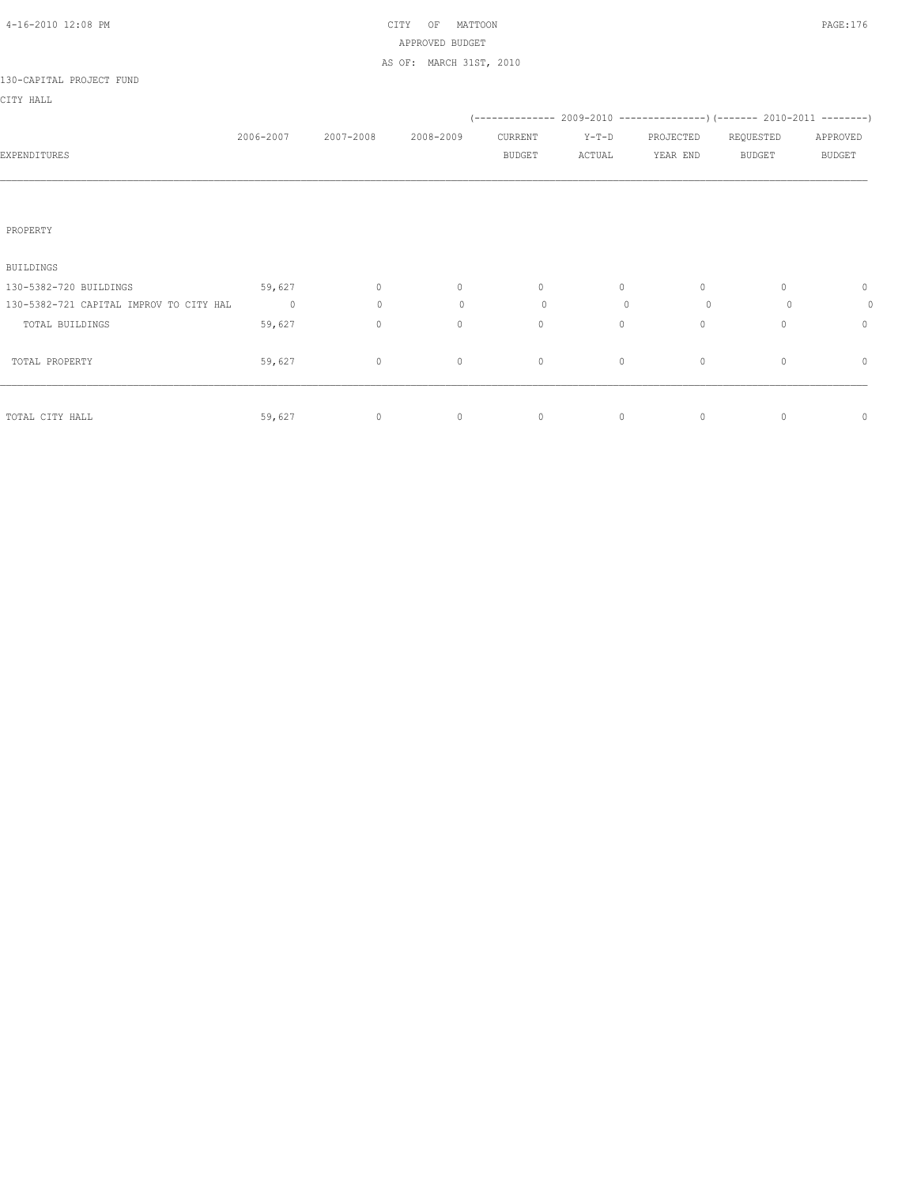# 4-16-2010 12:08 PM CITY OF MATTOON PAGE:176 APPROVED BUDGET AS OF: MARCH 31ST, 2010

## 130-CAPITAL PROJECT FUND

CITY HALL

|                                         |                |           |              |               |              | (-------------- 2009-2010 ----------------) (------- 2010-2011 --------) |               |               |
|-----------------------------------------|----------------|-----------|--------------|---------------|--------------|--------------------------------------------------------------------------|---------------|---------------|
|                                         | 2006-2007      | 2007-2008 | 2008-2009    | CURRENT       | $Y-T-D$      | PROJECTED                                                                | REQUESTED     | APPROVED      |
| EXPENDITURES                            |                |           |              | <b>BUDGET</b> | ACTUAL       | YEAR END                                                                 | <b>BUDGET</b> | <b>BUDGET</b> |
|                                         |                |           |              |               |              |                                                                          |               |               |
|                                         |                |           |              |               |              |                                                                          |               |               |
| PROPERTY                                |                |           |              |               |              |                                                                          |               |               |
| <b>BUILDINGS</b>                        |                |           |              |               |              |                                                                          |               |               |
| 130-5382-720 BUILDINGS                  | 59,627         | $\circ$   | $\circ$      | $\circ$       | $\circ$      | 0                                                                        | $\circ$       | 0             |
| 130-5382-721 CAPITAL IMPROV TO CITY HAL | $\overline{0}$ | 0         | $\circ$      | $\circ$       | $\mathbf{0}$ | $\mathbf{0}$                                                             | $\mathbf{0}$  | 0             |
| TOTAL BUILDINGS                         | 59,627         | $\circ$   | $\mathbf{0}$ | $\mathbf{0}$  | $\circ$      | $\circ$                                                                  | $\circ$       | $\mathbf{0}$  |
| TOTAL PROPERTY                          | 59,627         | $\circ$   | $\mathbb O$  | $\circ$       | $\circ$      | $\mathbb O$                                                              | $\mathbf{0}$  | $\circ$       |
| TOTAL CITY HALL                         | 59,627         | $\circ$   | $\circ$      | $\circ$       | $\circ$      | $\circ$                                                                  | $\mathbf 0$   | $\circ$       |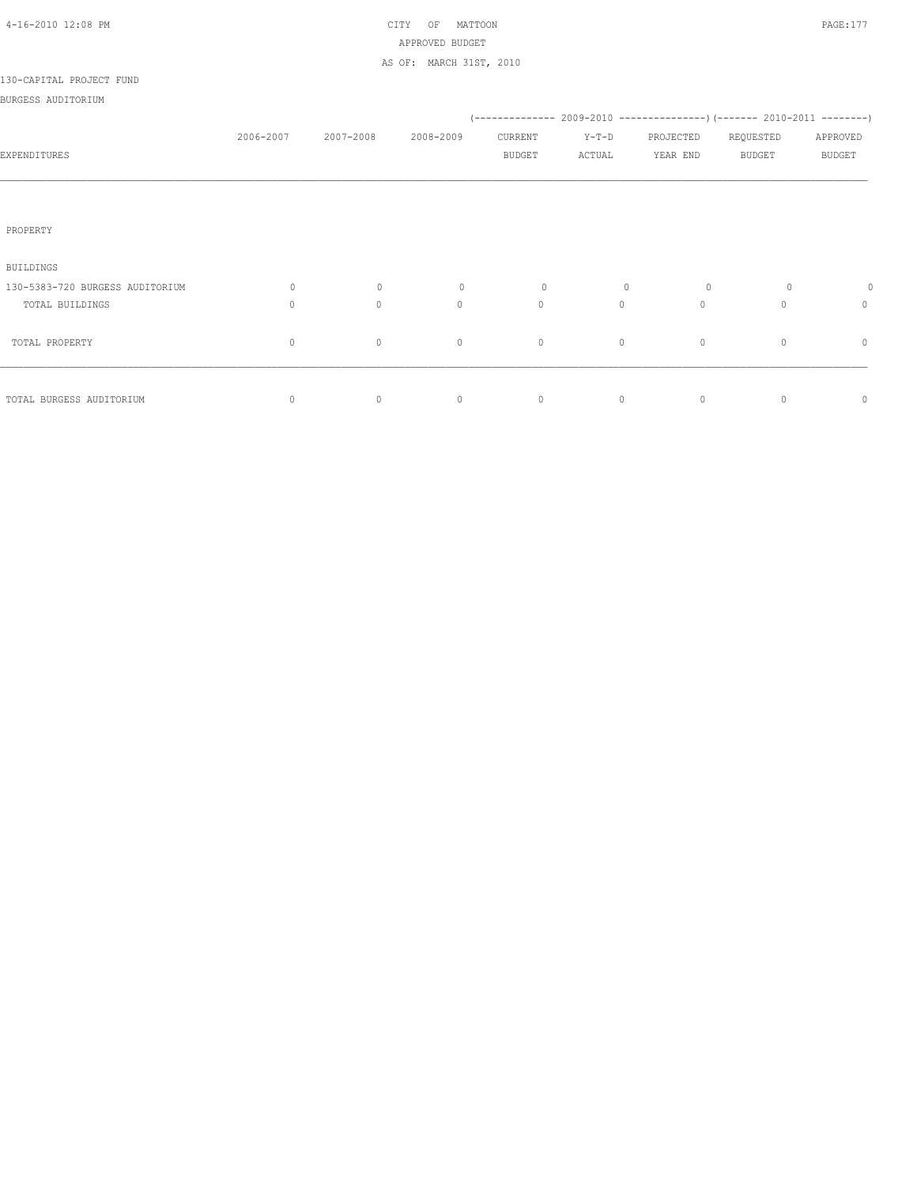# 4-16-2010 12:08 PM CITY OF MATTOON PAGE:177 APPROVED BUDGET AS OF: MARCH 31ST, 2010

## 130-CAPITAL PROJECT FUND

BURGESS AUDITORIUM

|                                 |              |             |              |               |         | (-------------- 2009-2010 ----------------) (------- 2010-2011 --------) |               |               |
|---------------------------------|--------------|-------------|--------------|---------------|---------|--------------------------------------------------------------------------|---------------|---------------|
|                                 | 2006-2007    | 2007-2008   | 2008-2009    | CURRENT       | $Y-T-D$ | PROJECTED                                                                | REQUESTED     | APPROVED      |
| EXPENDITURES                    |              |             |              | <b>BUDGET</b> | ACTUAL  | YEAR END                                                                 | <b>BUDGET</b> | <b>BUDGET</b> |
|                                 |              |             |              |               |         |                                                                          |               |               |
|                                 |              |             |              |               |         |                                                                          |               |               |
| PROPERTY                        |              |             |              |               |         |                                                                          |               |               |
| <b>BUILDINGS</b>                |              |             |              |               |         |                                                                          |               |               |
| 130-5383-720 BURGESS AUDITORIUM | $\circ$      | $\circ$     | $\circ$      | 0             |         | $\mathbf 0$<br>$\mathbf 0$                                               | $\mathbf 0$   | 0             |
| TOTAL BUILDINGS                 | $\circ$      | $\circ$     | $\mathbf{0}$ | $\mathbf{0}$  | $\circ$ | $\mathbf{0}$                                                             | $\mathbf{0}$  | $\circ$       |
| TOTAL PROPERTY                  | $\mathbf{0}$ | $\mathbb O$ | $\circ$      | $\mathbb O$   | $\circ$ | $\mathbb O$                                                              | $\mathbf{0}$  | $\mathbf{0}$  |
| TOTAL BURGESS AUDITORIUM        | $\mathbf{0}$ | $\circ$     | $\circ$      | $\circ$       | $\circ$ | $\circ$                                                                  | $\mathbf{0}$  | 0             |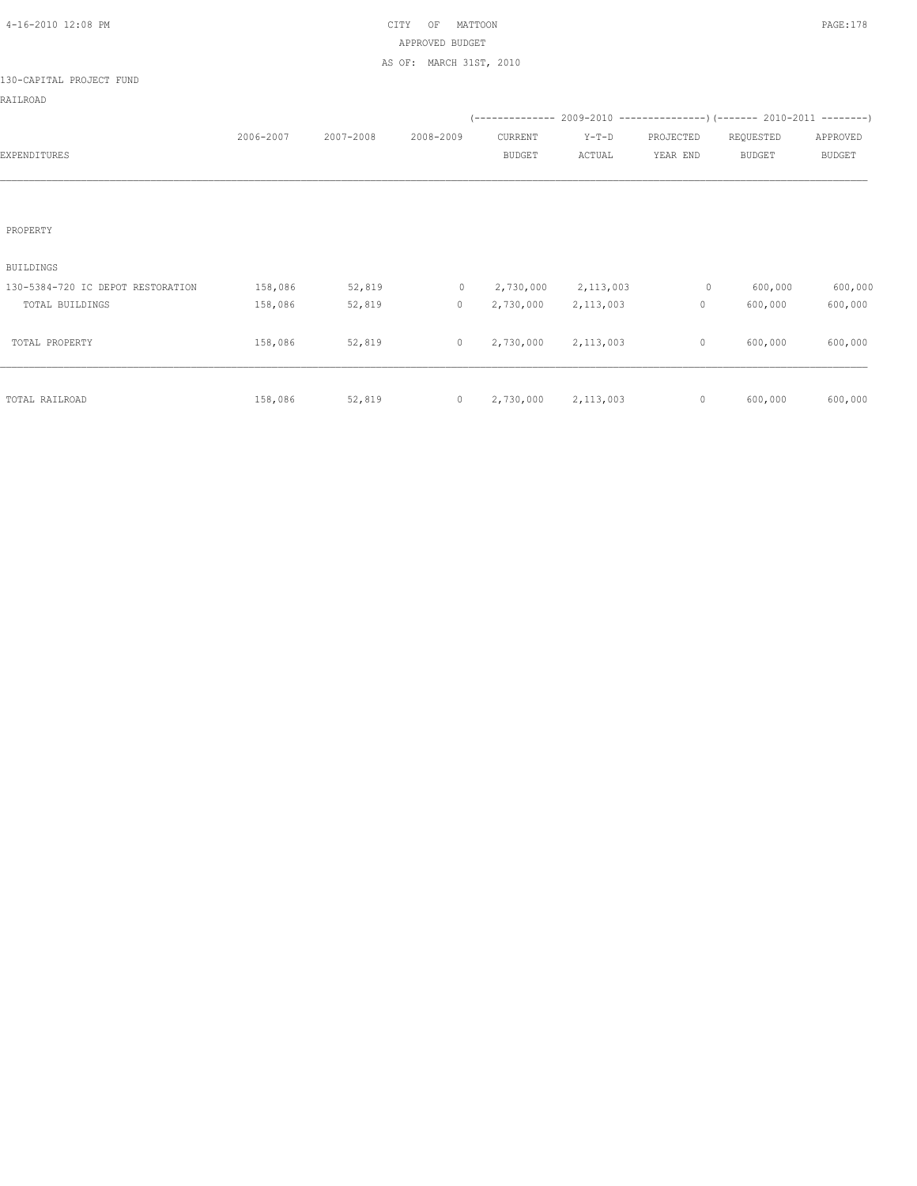# 4-16-2010 12:08 PM CITY OF MATTOON PAGE:178 APPROVED BUDGET AS OF: MARCH 31ST, 2010

# 130-CAPITAL PROJECT FUND

RAILROAD

| mathoun                           |           |           |           |                          |                   |                       |                            |                           |
|-----------------------------------|-----------|-----------|-----------|--------------------------|-------------------|-----------------------|----------------------------|---------------------------|
| EXPENDITURES                      | 2006-2007 | 2007-2008 | 2008-2009 | CURRENT<br><b>BUDGET</b> | $Y-T-D$<br>ACTUAL | PROJECTED<br>YEAR END | REQUESTED<br><b>BUDGET</b> | APPROVED<br><b>BUDGET</b> |
|                                   |           |           |           |                          |                   |                       |                            |                           |
| PROPERTY                          |           |           |           |                          |                   |                       |                            |                           |
| <b>BUILDINGS</b>                  |           |           |           |                          |                   |                       |                            |                           |
| 130-5384-720 IC DEPOT RESTORATION | 158,086   | 52,819    | $\circ$   | 2,730,000                | 2,113,003         | $\mathbf{0}$          | 600,000                    | 600,000                   |
| TOTAL BUILDINGS                   | 158,086   | 52,819    | $\circ$   | 2,730,000                | 2,113,003         | 0                     | 600,000                    | 600,000                   |
| TOTAL PROPERTY                    | 158,086   | 52,819    | $\circ$   | 2,730,000                | 2,113,003         | 0                     | 600,000                    | 600,000                   |
| TOTAL RAILROAD                    | 158,086   | 52,819    | $\circ$   | 2,730,000                | 2,113,003         | 0                     | 600,000                    | 600,000                   |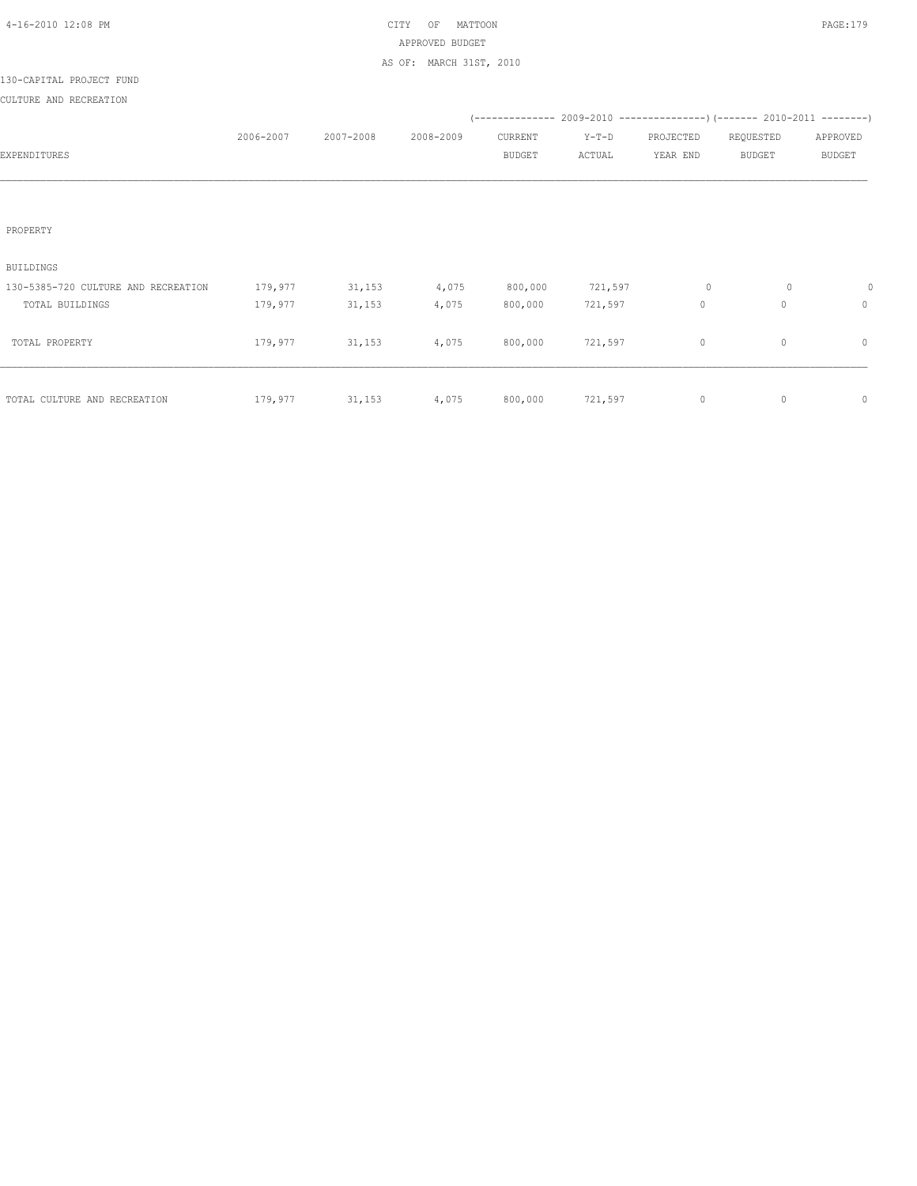# 4-16-2010 12:08 PM CITY OF MATTOON PAGE:179 APPROVED BUDGET AS OF: MARCH 31ST, 2010

### 130-CAPITAL PROJECT FUND

CULTURE AND RECREATION

| EXPENDITURES                        | 2006-2007 | 2007-2008 | 2008-2009 | CURRENT<br><b>BUDGET</b> | $Y-T-D$<br>ACTUAL | PROJECTED<br>YEAR END | (-------------- 2009-2010 ----------------) (------- 2010-2011 --------)<br>REQUESTED<br><b>BUDGET</b> | APPROVED<br><b>BUDGET</b> |
|-------------------------------------|-----------|-----------|-----------|--------------------------|-------------------|-----------------------|--------------------------------------------------------------------------------------------------------|---------------------------|
|                                     |           |           |           |                          |                   |                       |                                                                                                        |                           |
| PROPERTY                            |           |           |           |                          |                   |                       |                                                                                                        |                           |
| <b>BUILDINGS</b>                    |           |           |           |                          |                   |                       |                                                                                                        |                           |
| 130-5385-720 CULTURE AND RECREATION | 179,977   | 31,153    | 4,075     | 800,000                  | 721,597           | $\mathbf{0}$          | $\circ$                                                                                                | 0                         |
| TOTAL BUILDINGS                     | 179,977   | 31,153    | 4,075     | 800,000                  | 721,597           | $\circ$               | $\mathbf{0}$                                                                                           | 0                         |
| TOTAL PROPERTY                      | 179,977   | 31,153    | 4,075     | 800,000                  | 721,597           | $\mathbb O$           | $\mathbb O$                                                                                            | $\circ$                   |
| TOTAL CULTURE AND RECREATION        | 179,977   | 31,153    | 4,075     | 800,000                  | 721,597           | $\circ$               | $\mathbf{0}$                                                                                           | 0                         |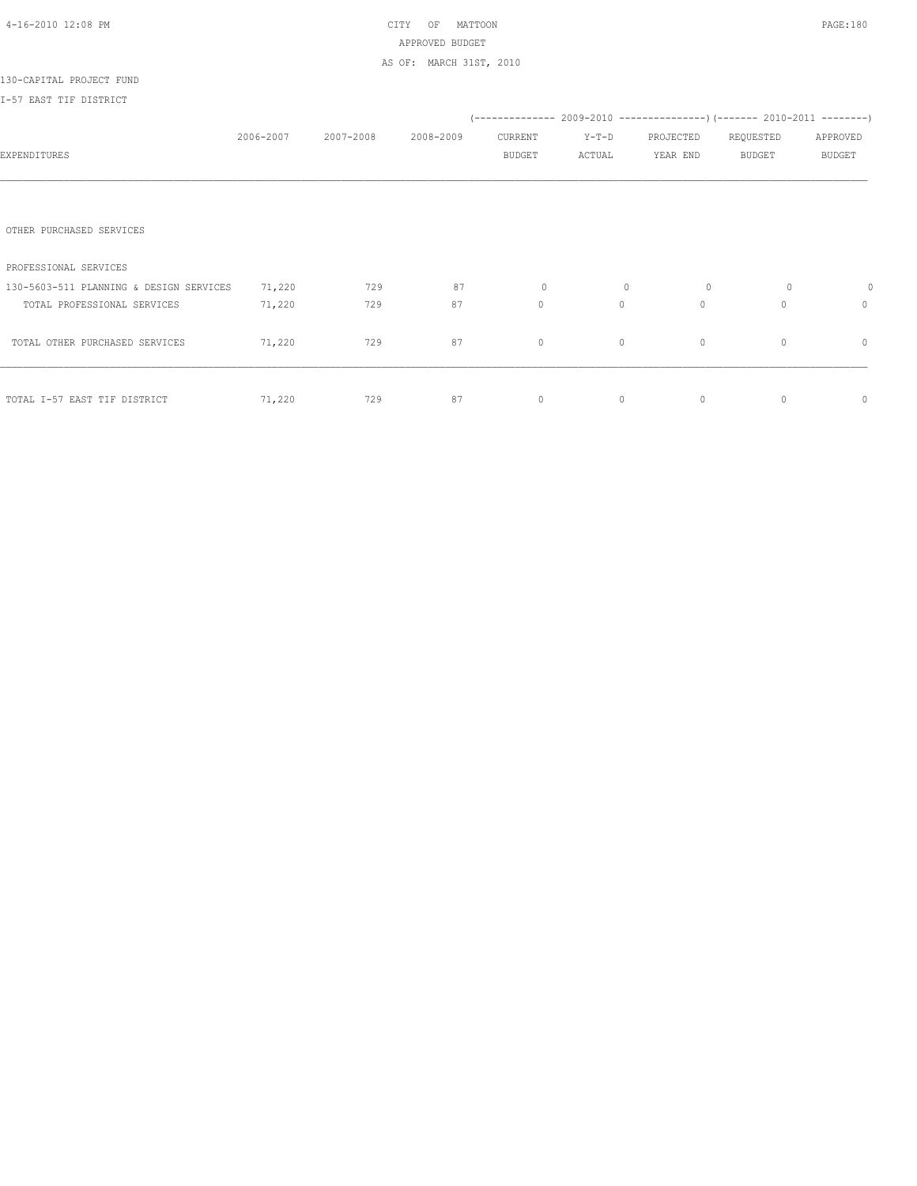# 4-16-2010 12:08 PM CITY OF MATTOON PAGE:180 APPROVED BUDGET AS OF: MARCH 31ST, 2010

## 130-CAPITAL PROJECT FUND

### I-57 EAST TIF DISTRICT

|                                         |           |           |           |               |              | (-------------- 2009-2010 ----------------) (------- 2010-2011 --------) |               |               |
|-----------------------------------------|-----------|-----------|-----------|---------------|--------------|--------------------------------------------------------------------------|---------------|---------------|
|                                         | 2006-2007 | 2007-2008 | 2008-2009 | CURRENT       | $Y-T-D$      | PROJECTED                                                                | REQUESTED     | APPROVED      |
| EXPENDITURES                            |           |           |           | <b>BUDGET</b> | ACTUAL       | YEAR END                                                                 | <b>BUDGET</b> | <b>BUDGET</b> |
|                                         |           |           |           |               |              |                                                                          |               |               |
|                                         |           |           |           |               |              |                                                                          |               |               |
| OTHER PURCHASED SERVICES                |           |           |           |               |              |                                                                          |               |               |
| PROFESSIONAL SERVICES                   |           |           |           |               |              |                                                                          |               |               |
| 130-5603-511 PLANNING & DESIGN SERVICES | 71,220    | 729       | 87        | 0             | $\mathbf{0}$ | $\mathbf{0}$                                                             | $\mathbf{0}$  | 0             |
| TOTAL PROFESSIONAL SERVICES             | 71,220    | 729       | 87        | $\mathbf{0}$  | $\circ$      | $\circ$                                                                  | $\Omega$      | $\mathbf{0}$  |
| TOTAL OTHER PURCHASED SERVICES          | 71,220    | 729       | 87        | $\circ$       | $\circ$      | $\circ$                                                                  | $\circ$       | $\circ$       |
| TOTAL I-57 EAST TIF DISTRICT            | 71,220    | 729       | 87        | $\mathbb O$   | $\circ$      | $\circ$                                                                  | $\mathbf{0}$  | $\mathbf{0}$  |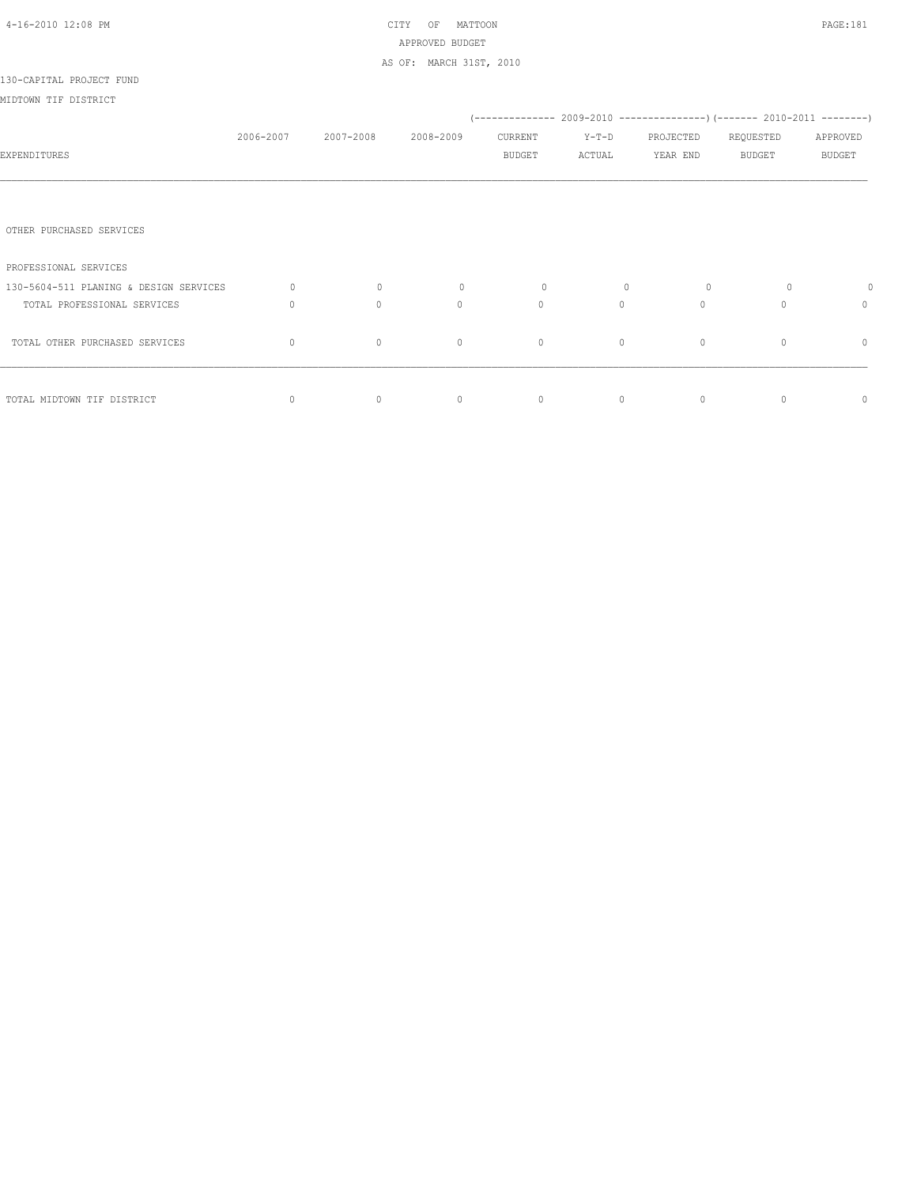# 4-16-2010 12:08 PM CITY OF MATTOON PAGE:181 APPROVED BUDGET AS OF: MARCH 31ST, 2010

## 130-CAPITAL PROJECT FUND

#### MIDTOWN TIF DISTRICT

|                                        | 2006-2007 | 2007-2008    | 2008-2009    | CURRENT      | $Y-T-D$      | PROJECTED    | REQUESTED                        | APPROVED      |
|----------------------------------------|-----------|--------------|--------------|--------------|--------------|--------------|----------------------------------|---------------|
| EXPENDITURES                           |           |              |              | BUDGET       | ACTUAL       | YEAR END     | <b>BUDGET</b>                    | <b>BUDGET</b> |
|                                        |           |              |              |              |              |              |                                  |               |
|                                        |           |              |              |              |              |              |                                  |               |
| OTHER PURCHASED SERVICES               |           |              |              |              |              |              |                                  |               |
| PROFESSIONAL SERVICES                  |           |              |              |              |              |              |                                  |               |
| 130-5604-511 PLANING & DESIGN SERVICES | $\circ$   | $\circ$      | $\circ$      | $\circ$      | $\mathbf{0}$ | $\mathbf{0}$ | $\mathbf{0}$                     | 0             |
| TOTAL PROFESSIONAL SERVICES            | $\Omega$  | $\mathbf{0}$ | $\mathbf{0}$ | $\mathbf{0}$ | $\circ$      | $\circ$      | $\Omega$                         | $\mathbf{0}$  |
| TOTAL OTHER PURCHASED SERVICES         | $\Omega$  | $\circ$      | $\circ$      | $\circ$      | $\circ$      | $\mathbf{0}$ | $\Omega$                         | $\Omega$      |
| TOTAL MIDTOWN TIF DISTRICT             | $\circ$   | $\circ$      | $\mathbf{0}$ | $\mathbf{0}$ | $\circ$      | $\circ$      | $\begin{array}{c} \n\end{array}$ | $\mathbf{0}$  |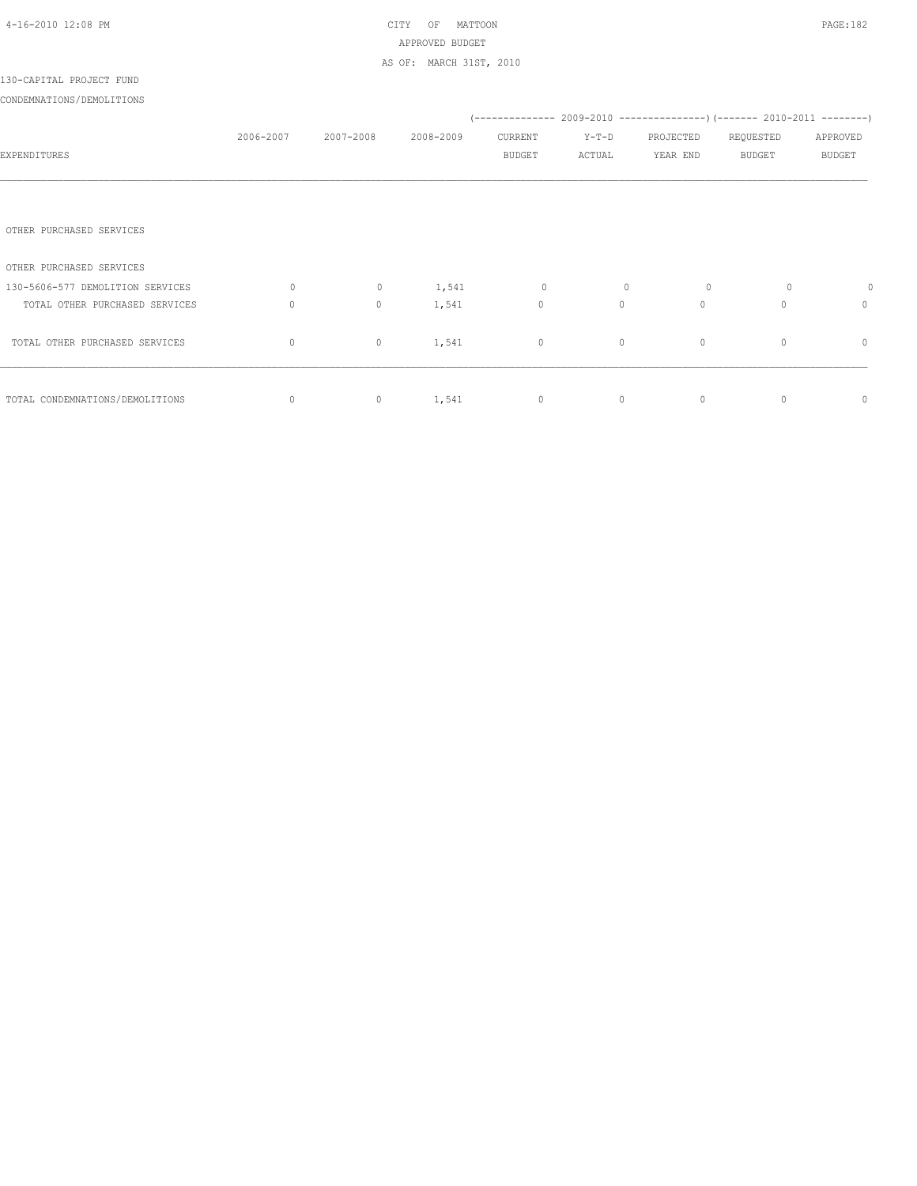# 4-16-2010 12:08 PM CITY OF MATTOON PAGE:182 APPROVED BUDGET AS OF: MARCH 31ST, 2010

## 130-CAPITAL PROJECT FUND

#### CONDEMNATIONS/DEMOLITIONS

|                                  |              |              |           |               |              | (-------------- 2009-2010 ----------------) (------- 2010-2011 --------) |               |               |
|----------------------------------|--------------|--------------|-----------|---------------|--------------|--------------------------------------------------------------------------|---------------|---------------|
|                                  | 2006-2007    | 2007-2008    | 2008-2009 | CURRENT       | $Y-T-D$      | PROJECTED                                                                | REQUESTED     | APPROVED      |
| EXPENDITURES                     |              |              |           | <b>BUDGET</b> | ACTUAL       | YEAR END                                                                 | <b>BUDGET</b> | <b>BUDGET</b> |
|                                  |              |              |           |               |              |                                                                          |               |               |
|                                  |              |              |           |               |              |                                                                          |               |               |
| OTHER PURCHASED SERVICES         |              |              |           |               |              |                                                                          |               |               |
| OTHER PURCHASED SERVICES         |              |              |           |               |              |                                                                          |               |               |
| 130-5606-577 DEMOLITION SERVICES | $\circ$      | $\circ$      | 1,541     | $\circ$       | $\mathbf{0}$ | $\mathbf{0}$                                                             | $\mathbf{0}$  | 0             |
| TOTAL OTHER PURCHASED SERVICES   | $\mathbf{0}$ | $\mathbf{0}$ | 1,541     | $\mathbf{0}$  | $\circ$      | $\circ$                                                                  | $\Omega$      | $\circ$       |
| TOTAL OTHER PURCHASED SERVICES   | $\mathbf{0}$ | $\circ$      | 1,541     | $\circ$       | $\circ$      | $\circ$                                                                  | $\circ$       | $\mathbf{0}$  |
| TOTAL CONDEMNATIONS/DEMOLITIONS  | 0            | $\circ$      | 1,541     | $\circ$       | $\circ$      | $\circ$                                                                  | $\mathbf{0}$  | $\mathbf{0}$  |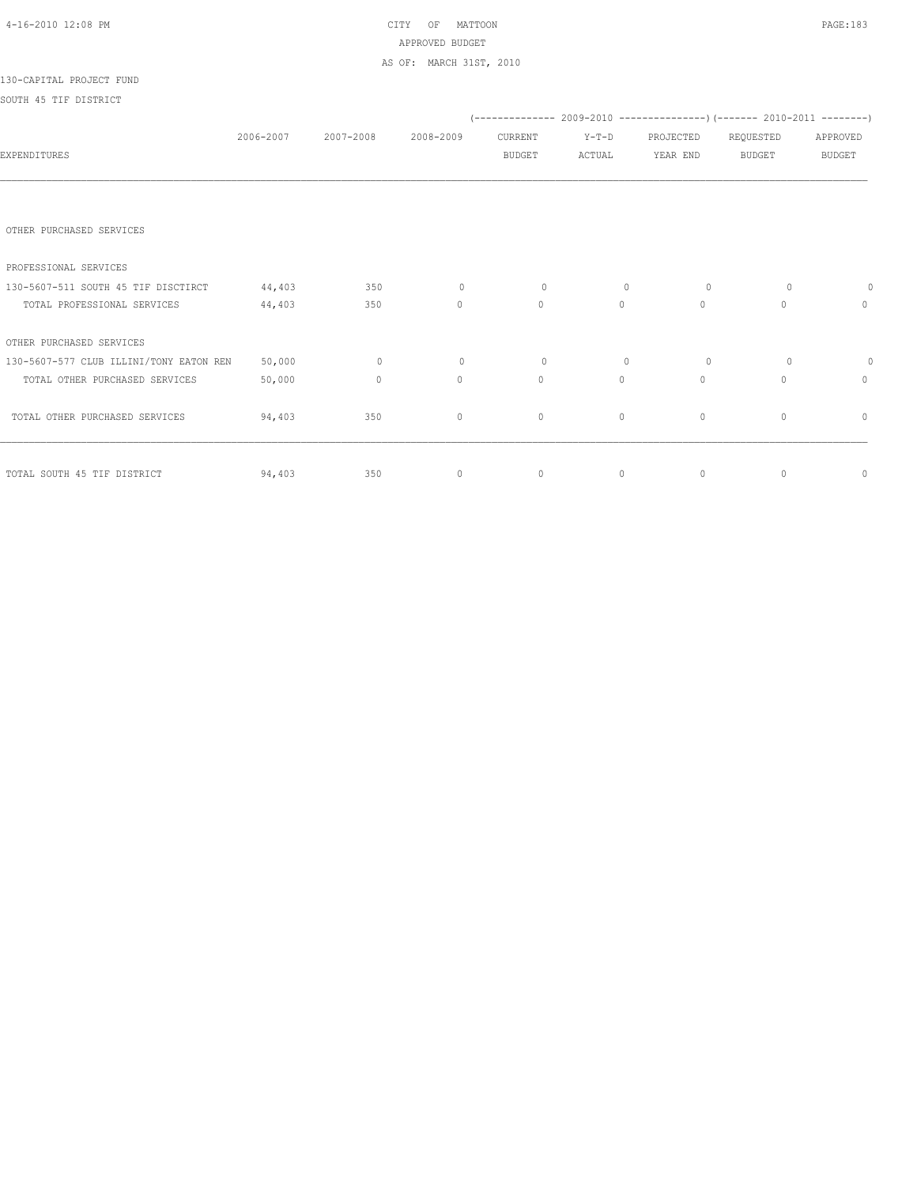# 4-16-2010 12:08 PM CITY OF MATTOON PAGE:183 APPROVED BUDGET AS OF: MARCH 31ST, 2010

#### 130-CAPITAL PROJECT FUND

SOUTH 45 TIF DISTRICT

|                                         |           |           |              |               |              | (-------------- 2009-2010 ------------------- 2010-2011 --------- ) |               |               |
|-----------------------------------------|-----------|-----------|--------------|---------------|--------------|---------------------------------------------------------------------|---------------|---------------|
|                                         | 2006-2007 | 2007-2008 | 2008-2009    | CURRENT       | $Y-T-D$      | PROJECTED                                                           | REQUESTED     | APPROVED      |
| <b>EXPENDITURES</b>                     |           |           |              | <b>BUDGET</b> | ACTUAL       | YEAR END                                                            | <b>BUDGET</b> | <b>BUDGET</b> |
|                                         |           |           |              |               |              |                                                                     |               |               |
|                                         |           |           |              |               |              |                                                                     |               |               |
| OTHER PURCHASED SERVICES                |           |           |              |               |              |                                                                     |               |               |
|                                         |           |           |              |               |              |                                                                     |               |               |
| PROFESSIONAL SERVICES                   |           |           |              |               |              |                                                                     |               |               |
| 130-5607-511 SOUTH 45 TIF DISCTIRCT     | 44,403    | 350       | $\circ$      | $\circ$       | $\mathbf{0}$ | $\mathbf{0}$                                                        | $\mathbf{0}$  | 0             |
| TOTAL PROFESSIONAL SERVICES             | 44,403    | 350       | $\circ$      | $\circ$       | $\circ$      | $\circ$                                                             | $\Omega$      | $\circ$       |
| OTHER PURCHASED SERVICES                |           |           |              |               |              |                                                                     |               |               |
| 130-5607-577 CLUB ILLINI/TONY EATON REN | 50,000    | $\circ$   | $\circ$      | $\circ$       | $\mathbf{0}$ | $\mathbf{0}$                                                        | $\mathbf{0}$  | $\theta$      |
| TOTAL OTHER PURCHASED SERVICES          | 50,000    | $\circ$   | $\circ$      | $\circ$       | $\circ$      | $\circ$                                                             | $\Omega$      | $\circ$       |
| TOTAL OTHER PURCHASED SERVICES          | 94,403    | 350       | $\circ$      | $\mathbb O$   | $\circ$      | $\circ$                                                             | $\mathbf{0}$  | $\circ$       |
|                                         |           |           |              |               |              |                                                                     |               |               |
|                                         |           |           |              |               |              |                                                                     |               |               |
| TOTAL SOUTH 45 TIF DISTRICT             | 94,403    | 350       | $\mathbf{0}$ | $\circ$       | $\circ$      | $\mathbf{0}$                                                        | $\Omega$      | $\mathbf{0}$  |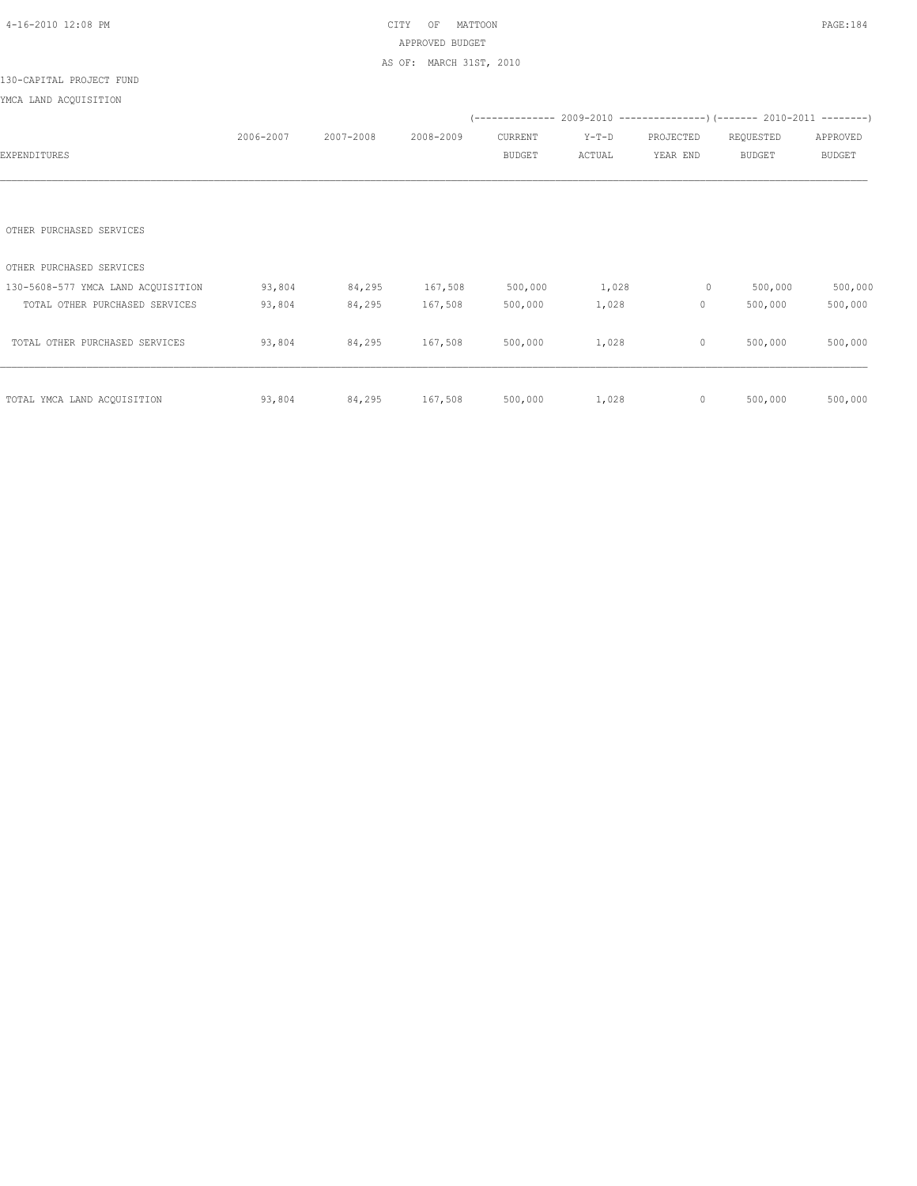# 4-16-2010 12:08 PM CITY OF MATTOON PAGE:184 APPROVED BUDGET AS OF: MARCH 31ST, 2010

## 130-CAPITAL PROJECT FUND

#### YMCA LAND ACQUISITION

| TMCW MWIND WARDTOTTIOM   |           |           |           |               |         |           |           |          |
|--------------------------|-----------|-----------|-----------|---------------|---------|-----------|-----------|----------|
|                          |           |           |           |               |         |           |           |          |
|                          | 2006-2007 | 2007-2008 | 2008-2009 | CURRENT       | $Y-T-D$ | PROJECTED | REQUESTED | APPROVED |
| EXPENDITURES             |           |           |           | <b>BUDGET</b> | ACTUAL  | YEAR END  | BUDGET    | BUDGET   |
|                          |           |           |           |               |         |           |           |          |
|                          |           |           |           |               |         |           |           |          |
|                          |           |           |           |               |         |           |           |          |
| OTHER PURCHASED SERVICES |           |           |           |               |         |           |           |          |
|                          |           |           |           |               |         |           |           |          |

| TOTAL YMCA LAND ACOUISITION        | 93,804 | 84,295 | 167,508 | 500,000 | 1,028 | $\circ$ | 500,000 | 500,000 |
|------------------------------------|--------|--------|---------|---------|-------|---------|---------|---------|
| OTHER PURCHASED SERVICES<br>TOTAL. | 93,804 | 84,295 | 167,508 | 500,000 | 1,028 | 0       | 500,000 | 500,000 |
| TOTAL OTHER PURCHASED SERVICES     | 93,804 | 84,295 | 167,508 | 500,000 | 1,028 | $\circ$ | 500,000 | 500,000 |
| 130-5608-577 YMCA LAND ACOUISITION | 93,804 | 84,295 | 167,508 | 500,000 | 1,028 | 0       | 500,000 | 500,000 |
| OTHER PURCHASED SERVICES           |        |        |         |         |       |         |         |         |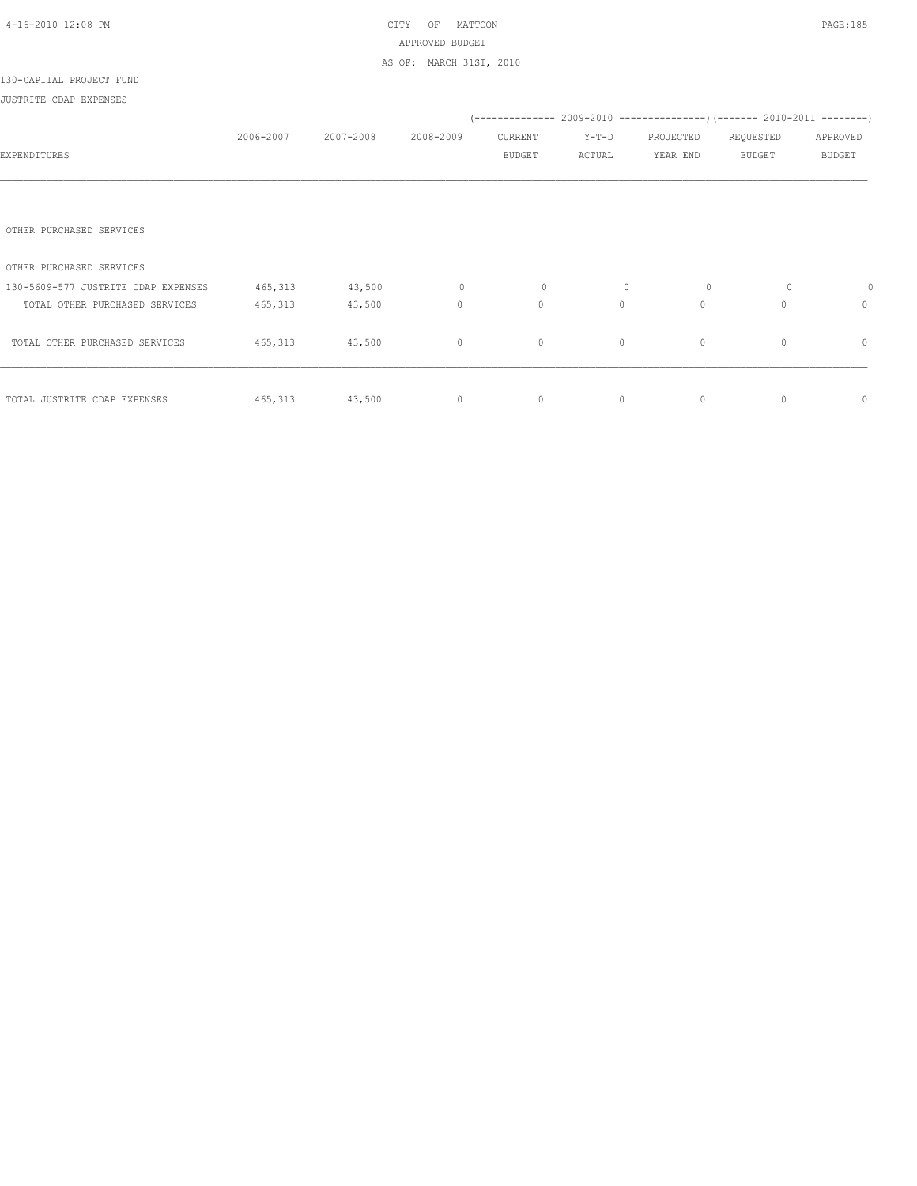# 4-16-2010 12:08 PM CITY OF MATTOON PAGE:185 APPROVED BUDGET AS OF: MARCH 31ST, 2010

## 130-CAPITAL PROJECT FUND

#### JUSTRITE CDAP EXPENSES

|                                     |           |           |              |               |              | (-------------- 2009-2010 -----------------) (------- 2010-2011 --------) |               |               |
|-------------------------------------|-----------|-----------|--------------|---------------|--------------|---------------------------------------------------------------------------|---------------|---------------|
|                                     | 2006-2007 | 2007-2008 | 2008-2009    | CURRENT       | $Y-T-D$      | PROJECTED                                                                 | REQUESTED     | APPROVED      |
| EXPENDITURES                        |           |           |              | <b>BUDGET</b> | ACTUAL       | YEAR END                                                                  | <b>BUDGET</b> | <b>BUDGET</b> |
|                                     |           |           |              |               |              |                                                                           |               |               |
|                                     |           |           |              |               |              |                                                                           |               |               |
| OTHER PURCHASED SERVICES            |           |           |              |               |              |                                                                           |               |               |
| OTHER PURCHASED SERVICES            |           |           |              |               |              |                                                                           |               |               |
| 130-5609-577 JUSTRITE CDAP EXPENSES | 465,313   | 43,500    | $\circ$      | $\circ$       | $\mathbf{0}$ | $\mathbf{0}$                                                              | $\mathbf{0}$  | 0             |
| TOTAL OTHER PURCHASED SERVICES      | 465,313   | 43,500    | $\mathbf{0}$ | $\mathbb O$   | $\circ$      | $\circ$                                                                   | $\mathbf{0}$  | 0             |
| TOTAL OTHER PURCHASED SERVICES      | 465,313   | 43,500    | $\circ$      | $\circ$       | $\circ$      | $\mathbb O$                                                               | $\circ$       | 0             |
| TOTAL JUSTRITE CDAP EXPENSES        | 465,313   | 43,500    | $\mathbf 0$  | $\mathbb O$   | 0            | 0                                                                         | $\mathbf{0}$  | 0             |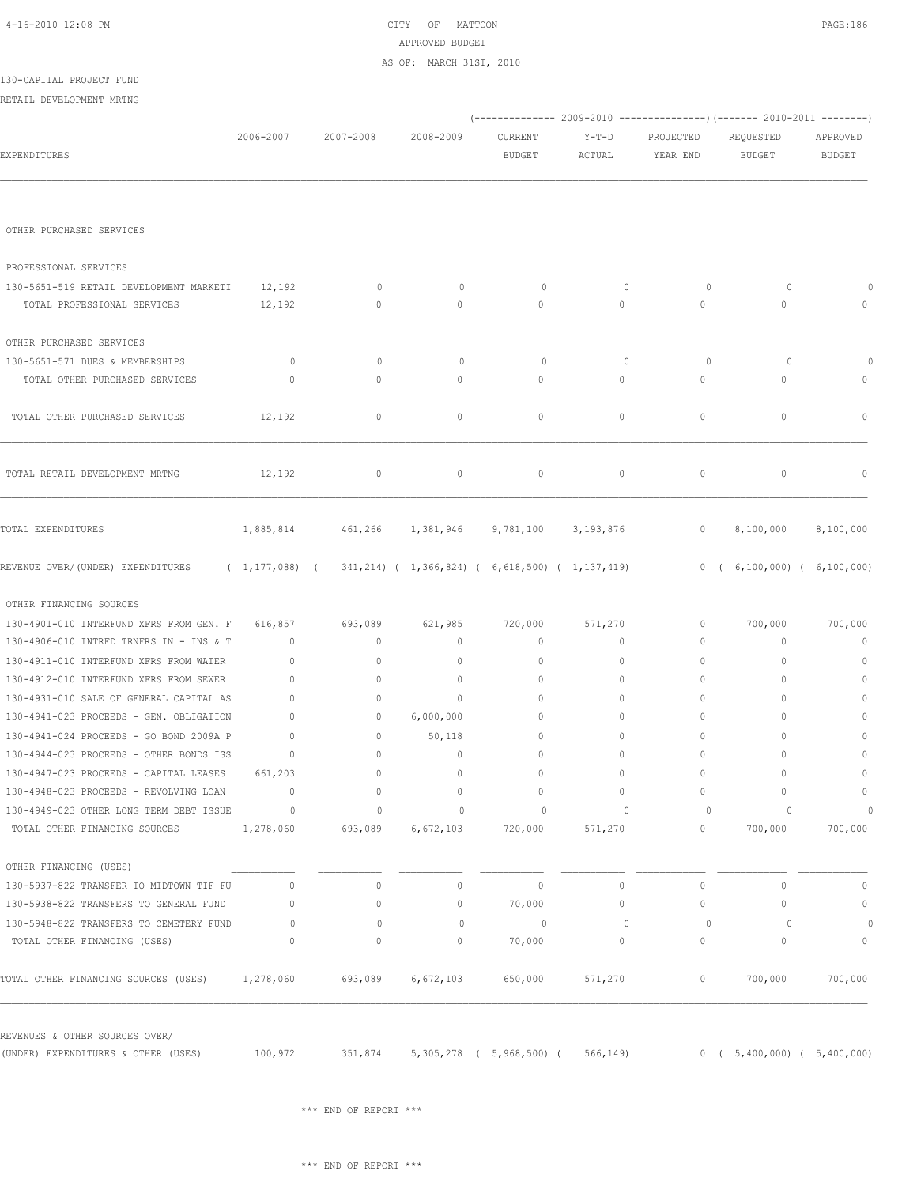# 4-16-2010 12:08 PM CITY OF MATTOON PAGE:186 APPROVED BUDGET AS OF: MARCH 31ST, 2010

#### 130-CAPITAL PROJECT FUND

RETAIL DEVELOPMENT MRTNG

|                                                |              |                                                                              |                   |                          |                   |                       | (-------------- 2009-2010 ---------------) (------ 2010-2011 --------) |                           |
|------------------------------------------------|--------------|------------------------------------------------------------------------------|-------------------|--------------------------|-------------------|-----------------------|------------------------------------------------------------------------|---------------------------|
| EXPENDITURES                                   | 2006-2007    | 2007-2008                                                                    | 2008-2009         | CURRENT<br><b>BUDGET</b> | $Y-T-D$<br>ACTUAL | PROJECTED<br>YEAR END | REQUESTED<br><b>BUDGET</b>                                             | APPROVED<br><b>BUDGET</b> |
|                                                |              |                                                                              |                   |                          |                   |                       |                                                                        |                           |
| OTHER PURCHASED SERVICES                       |              |                                                                              |                   |                          |                   |                       |                                                                        |                           |
| PROFESSIONAL SERVICES                          |              |                                                                              |                   |                          |                   |                       |                                                                        |                           |
| 130-5651-519 RETAIL DEVELOPMENT MARKETI        | 12,192       | $\mathbf{0}$                                                                 | $\circ$           | $\circ$                  | $\circ$           | $\mathbb O$           | $\mathbf{0}$                                                           | n                         |
| TOTAL PROFESSIONAL SERVICES                    | 12,192       | $\circ$                                                                      | $\mathbf{0}$      | $\circ$                  | $\circ$           | $\circ$               | $\circ$                                                                | 0                         |
| OTHER PURCHASED SERVICES                       |              |                                                                              |                   |                          |                   |                       |                                                                        |                           |
| 130-5651-571 DUES & MEMBERSHIPS                | $\circ$      | $\mathbf{0}$                                                                 | $\mathbf{0}$      | $\circ$                  | 0                 | $\mathbf 0$           | $\mathbf{0}$                                                           |                           |
| TOTAL OTHER PURCHASED SERVICES                 | $\mathbf{0}$ | $\circ$                                                                      | $\mathbf{0}$      | $\mathbf{0}$             | $\circ$           | $\circ$               | $\mathbf{0}$                                                           | 0                         |
| TOTAL OTHER PURCHASED SERVICES                 | 12,192       | 0                                                                            | 0                 | $\circ$                  | $\circ$           | $\circ$               | $\mathbf{0}$                                                           | $\mathbf{0}$              |
| TOTAL RETAIL DEVELOPMENT MRTNG                 | 12,192       | $\mathbb O$                                                                  | $\circ$           | $\circ$                  | $\circ$           | $\circ$               | $\mathbf 0$                                                            | $\mathbf{0}$              |
| TOTAL EXPENDITURES                             | 1,885,814    | 461,266 1,381,946                                                            |                   | 9,781,100                | 3,193,876         | $\circ$               | 8,100,000                                                              | 8,100,000                 |
| REVENUE OVER/(UNDER) EXPENDITURES              |              | $(1, 177, 088)$ $(341, 214)$ $(1, 366, 824)$ $(6, 618, 500)$ $(1, 137, 419)$ |                   |                          |                   |                       | $0 \quad (6,100,000) \quad (6,100,000)$                                |                           |
| OTHER FINANCING SOURCES                        |              |                                                                              |                   |                          |                   |                       |                                                                        |                           |
| 130-4901-010 INTERFUND XFRS FROM GEN. F        | 616,857      | 693,089                                                                      | 621,985 720,000   |                          | 571,270           | 0                     | 700,000                                                                | 700,000                   |
| 130-4906-010 INTRFD TRNFRS IN - INS & T        | $\circ$      | $\circ$                                                                      | $\circ$           | $\mathbf 0$              | $\circ$           | 0                     | 0                                                                      | $\mathbf 0$               |
| 130-4911-010 INTERFUND XFRS FROM WATER         | $\circ$      | $\mathbf{0}$                                                                 | $\mathbb O$       | $\mathbf{0}$             | $\circ$           | 0                     | 0                                                                      | $\mathbf 0$               |
| 130-4912-010 INTERFUND XFRS FROM SEWER         | $\mathbf{0}$ | 0                                                                            | $\mathbf{0}$      | $\mathbf{0}$             | $\circ$           | 0                     | $\mathbf{0}$                                                           | $\mathbf 0$               |
| 130-4931-010 SALE OF GENERAL CAPITAL AS        | $\mathbf{0}$ | $\circ$                                                                      | $\mathbf{0}$      | $\circ$                  | $\circ$           | $\circ$               | $\mathbf{0}$                                                           | $\mathbf{0}$              |
| 130-4941-023 PROCEEDS - GEN. OBLIGATION        | $\circ$      | $\circ$                                                                      | 6,000,000         | $\circ$                  | $\circ$           | $\circ$               | $\mathbf{0}$                                                           | $\mathbf{0}$              |
| 130-4941-024 PROCEEDS - GO BOND 2009A P        | $\circ$      | $\mathbf{0}$                                                                 | 50,118            | $\mathbf{0}$             | $\circ$           | $\circ$               | $\mathbf{0}$                                                           | $\mathbf{0}$              |
| 130-4944-023 PROCEEDS - OTHER BONDS ISS        | $\circ$      | $\circ$                                                                      | $\circ$           | $\circ$                  | $\circ$           | 0                     | $\begin{array}{c} \n\end{array}$                                       | 0                         |
| 130-4947-023 PROCEEDS - CAPITAL LEASES         | 661,203      | $\circ$                                                                      | $\mathbf{0}$      | $\mathbf{0}$             | $\circ$           | $\circ$               | $\mathbf{0}$                                                           | $\mathbf 0$               |
| 130-4948-023 PROCEEDS - REVOLVING LOAN         | $\mathbb O$  | $\circ$                                                                      | $\circ$           | $\circ$                  | $\circ$           | $\circ$               | $\mathbb O$                                                            | $\circ$                   |
| 130-4949-023 OTHER LONG TERM DEBT ISSUE        | $\circ$      | $\mathbb O$                                                                  | $\circ$           | $\circ$                  | $\circ$           | $\mathbb O$           | $\mathbf 0$                                                            | $\mathbb O$               |
| TOTAL OTHER FINANCING SOURCES                  | 1,278,060    |                                                                              | 693,089 6,672,103 | 720,000                  | 571,270           | $\circ$               | 700,000                                                                | 700,000                   |
| OTHER FINANCING (USES)                         |              |                                                                              |                   |                          |                   |                       |                                                                        |                           |
| 130-5937-822 TRANSFER TO MIDTOWN TIF FU        | $\circ$      | $\mathbb O$                                                                  | $\mathbb O$       | $\mathbb O$              | $\circ$           | 0                     | $\mathbf 0$                                                            | $\circ$                   |
| 130-5938-822 TRANSFERS TO GENERAL FUND         | $\circ$      | 0                                                                            | 0                 | 70,000                   | 0                 | 0                     | $\circ$                                                                | $\mathbb O$               |
| 130-5948-822 TRANSFERS TO CEMETERY FUND        | 0            | 0                                                                            | $\circ$           | $\circ$                  | $\mathbf 0$       | $\mathbf 0$           | $\mathbf 0$                                                            | $\mathbb O$               |
| TOTAL OTHER FINANCING (USES)                   | $\circ$      | $\mathbb O$                                                                  | $\circ$           | 70,000                   | $\circ$           | 0                     | $\mathbf 0$                                                            | $\mathbb O$               |
| TOTAL OTHER FINANCING SOURCES (USES) 1,278,060 |              | 693,089                                                                      | 6,672,103         | 650,000                  | 571,270           | $\circ$               | 700,000                                                                | 700,000                   |
| REVENUES & OTHER SOURCES OVER/                 |              |                                                                              |                   |                          |                   |                       |                                                                        |                           |

(UNDER) EXPENDITURES & OTHER (USES) 100,972 351,874 5,305,278 ( 5,968,500) ( 566,149) 0 ( 5,400,000) ( 5,400,000)

\*\*\* END OF REPORT \*\*\*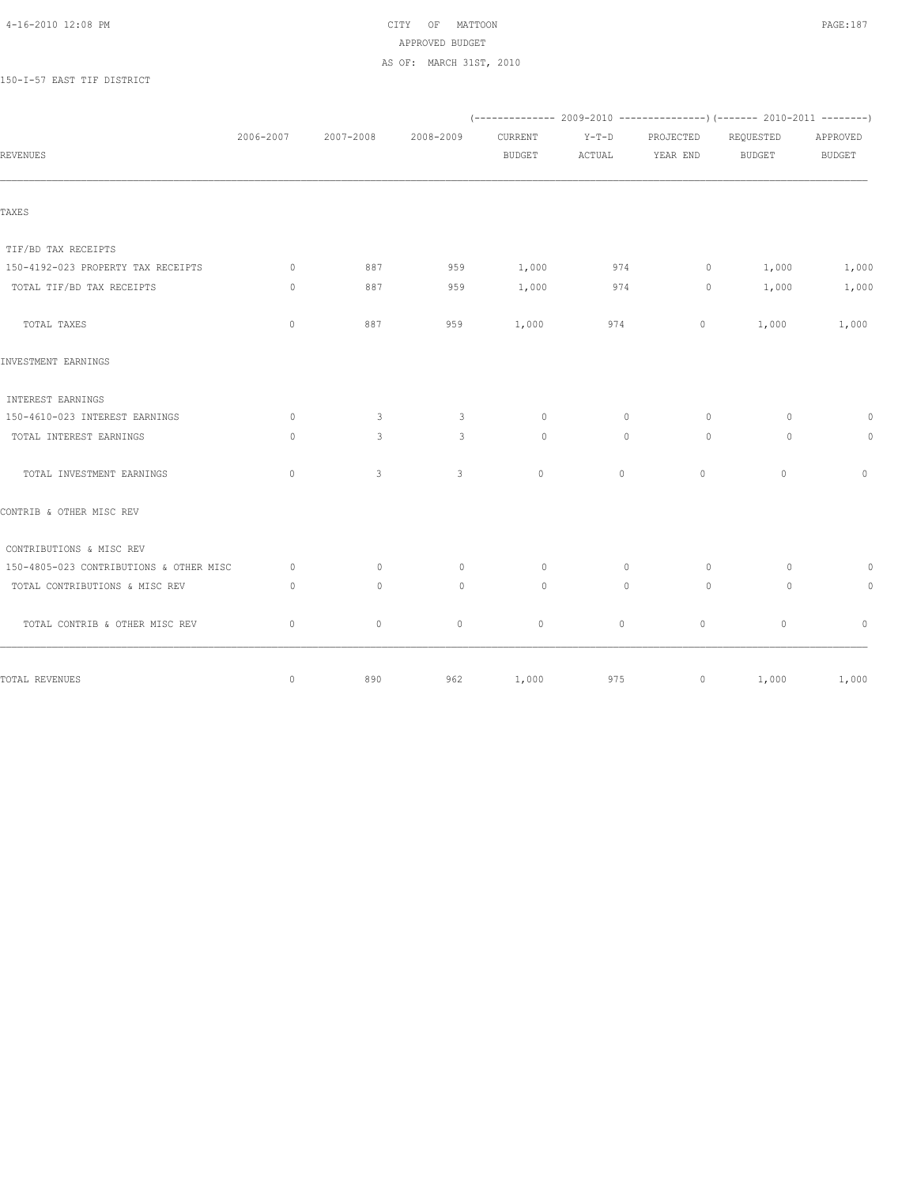# 4-16-2010 12:08 PM CITY OF MATTOON PAGE:187 APPROVED BUDGET AS OF: MARCH 31ST, 2010

## 150-I-57 EAST TIF DISTRICT

|                                         |              |                |              |               |              |              | $(-$ -------------- 2009-2010 ----------------) (------- 2010-2011 --------) |               |
|-----------------------------------------|--------------|----------------|--------------|---------------|--------------|--------------|------------------------------------------------------------------------------|---------------|
|                                         | 2006-2007    | 2007-2008      | 2008-2009    | CURRENT       | $Y-T-D$      | PROJECTED    | REQUESTED                                                                    | APPROVED      |
| REVENUES                                |              |                |              | <b>BUDGET</b> | ACTUAL       | YEAR END     | <b>BUDGET</b>                                                                | <b>BUDGET</b> |
|                                         |              |                |              |               |              |              |                                                                              |               |
| TAXES                                   |              |                |              |               |              |              |                                                                              |               |
| TIF/BD TAX RECEIPTS                     |              |                |              |               |              |              |                                                                              |               |
| 150-4192-023 PROPERTY TAX RECEIPTS      | $\circ$      | 887            | 959          | 1,000         | 974          |              | $0 \t 1,000$                                                                 | 1,000         |
| TOTAL TIF/BD TAX RECEIPTS               | $\circ$      | 887            | 959          | 1,000         | 974          | $\circ$      | 1,000                                                                        | 1,000         |
| TOTAL TAXES                             | $\circ$      | 887            | 959          | 1,000         | 974          | $\circ$      | 1,000                                                                        | 1,000         |
| INVESTMENT EARNINGS                     |              |                |              |               |              |              |                                                                              |               |
| INTEREST EARNINGS                       |              |                |              |               |              |              |                                                                              |               |
| 150-4610-023 INTEREST EARNINGS          | $\circ$      | 3              | $\mathbf{3}$ | $\circ$       | $\mathbf{0}$ | $\mathbf{0}$ | $\mathbf{0}$                                                                 | $\mathbf 0$   |
| TOTAL INTEREST EARNINGS                 | $\circ$      | 3 <sup>7</sup> | 3            | $\circ$       | $\mathbf{0}$ | $\mathbf{0}$ | $\mathbf 0$                                                                  | $\mathbf 0$   |
| TOTAL INVESTMENT EARNINGS               | $\mathbf{0}$ | 3              | 3            | $\circ$       | $\circ$      | $\mathbf{0}$ | $\mathbb O$                                                                  | $\mathbf{0}$  |
| CONTRIB & OTHER MISC REV                |              |                |              |               |              |              |                                                                              |               |
| CONTRIBUTIONS & MISC REV                |              |                |              |               |              |              |                                                                              |               |
| 150-4805-023 CONTRIBUTIONS & OTHER MISC | $\circ$      | $\circ$        | $\circ$      | $\circ$       | $\mathbf{0}$ | $\mathbf{0}$ | $\mathbf{0}$                                                                 | $\circ$       |
| TOTAL CONTRIBUTIONS & MISC REV          | $\circ$      | $\circ$        | $\circ$      | $\circ$       | $\mathbf{0}$ | $\mathbf{0}$ | $\mathbf{0}$                                                                 | $\mathbb O$   |
| TOTAL CONTRIB & OTHER MISC REV          | $\circ$      | $\mathbb O$    | $\mathbb O$  | $\mathbb O$   | $\circ$      | $\circ$      | $\circ$                                                                      | $\mathbb O$   |
| TOTAL REVENUES                          | $\mathbf{0}$ | 890            | 962          | 1,000         | 975          | $\circ$      | 1,000                                                                        | 1,000         |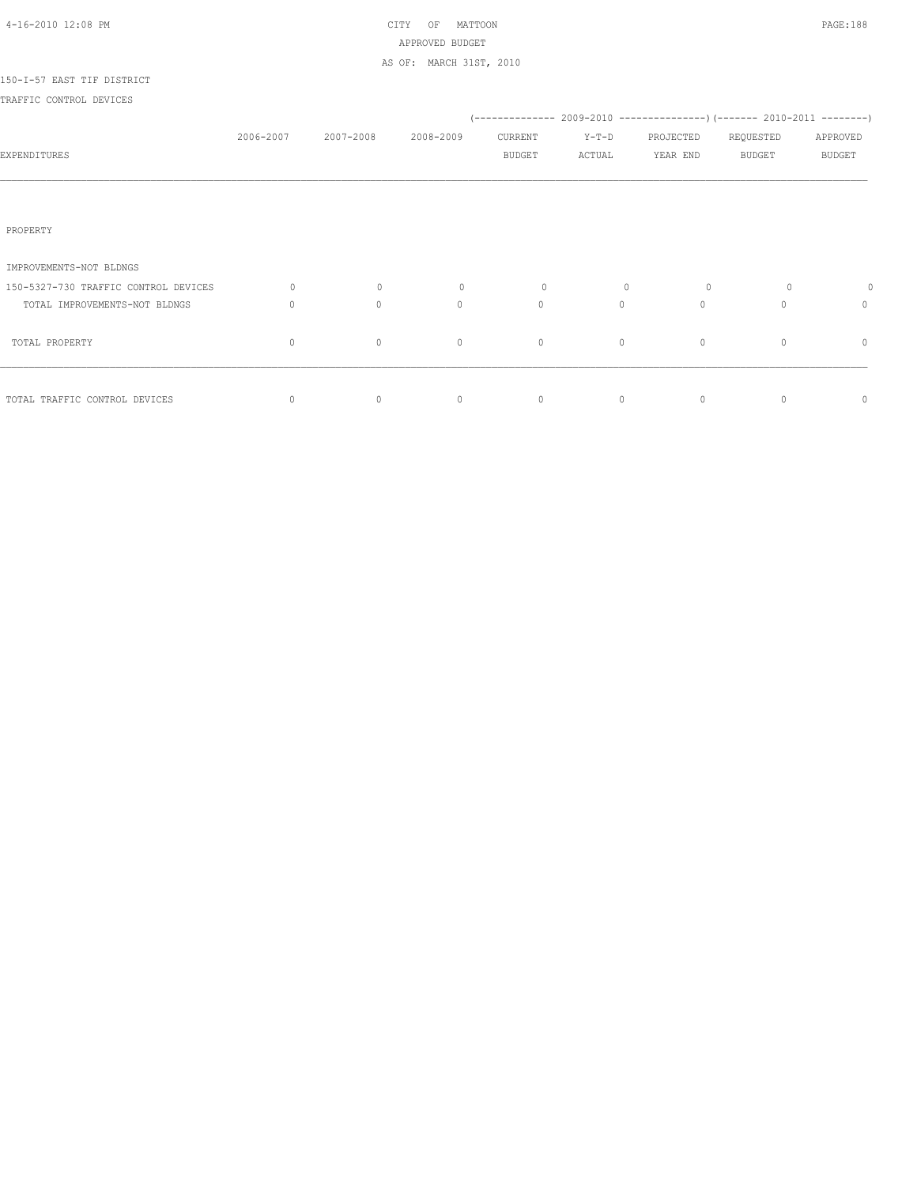# 4-16-2010 12:08 PM CITY OF MATTOON PAGE:188 APPROVED BUDGET AS OF: MARCH 31ST, 2010

## 150-I-57 EAST TIF DISTRICT

#### TRAFFIC CONTROL DEVICES

|                                      |           |           |              |               |              | (-------------- 2009-2010 ----------------) (------- 2010-2011 --------) |               |               |
|--------------------------------------|-----------|-----------|--------------|---------------|--------------|--------------------------------------------------------------------------|---------------|---------------|
|                                      | 2006-2007 | 2007-2008 | 2008-2009    | CURRENT       | $Y-T-D$      | PROJECTED                                                                | REQUESTED     | APPROVED      |
| EXPENDITURES                         |           |           |              | <b>BUDGET</b> | ACTUAL       | YEAR END                                                                 | <b>BUDGET</b> | <b>BUDGET</b> |
|                                      |           |           |              |               |              |                                                                          |               |               |
|                                      |           |           |              |               |              |                                                                          |               |               |
| PROPERTY                             |           |           |              |               |              |                                                                          |               |               |
| IMPROVEMENTS-NOT BLDNGS              |           |           |              |               |              |                                                                          |               |               |
| 150-5327-730 TRAFFIC CONTROL DEVICES | $\circ$   | $\circ$   | $\circ$      | 0             | $\mathbf{0}$ | $\mathbf{0}$                                                             | $\mathbf{0}$  | 0             |
| TOTAL IMPROVEMENTS-NOT BLDNGS        | $\Omega$  | $\circ$   | $\mathbf{0}$ | $\mathbf{0}$  | $\circ$      | $\circ$                                                                  | $\Omega$      | $\mathbf{0}$  |
| TOTAL PROPERTY                       | $\circ$   | $\circ$   | $\circ$      | $\circ$       | $\circ$      | $\circ$                                                                  | $\circ$       | $\mathbf{0}$  |
| TOTAL TRAFFIC CONTROL DEVICES        | 0         | $\circ$   | $\circ$      | $\circ$       | $\circ$      | 0                                                                        | $\mathbf{0}$  | $\mathbf{0}$  |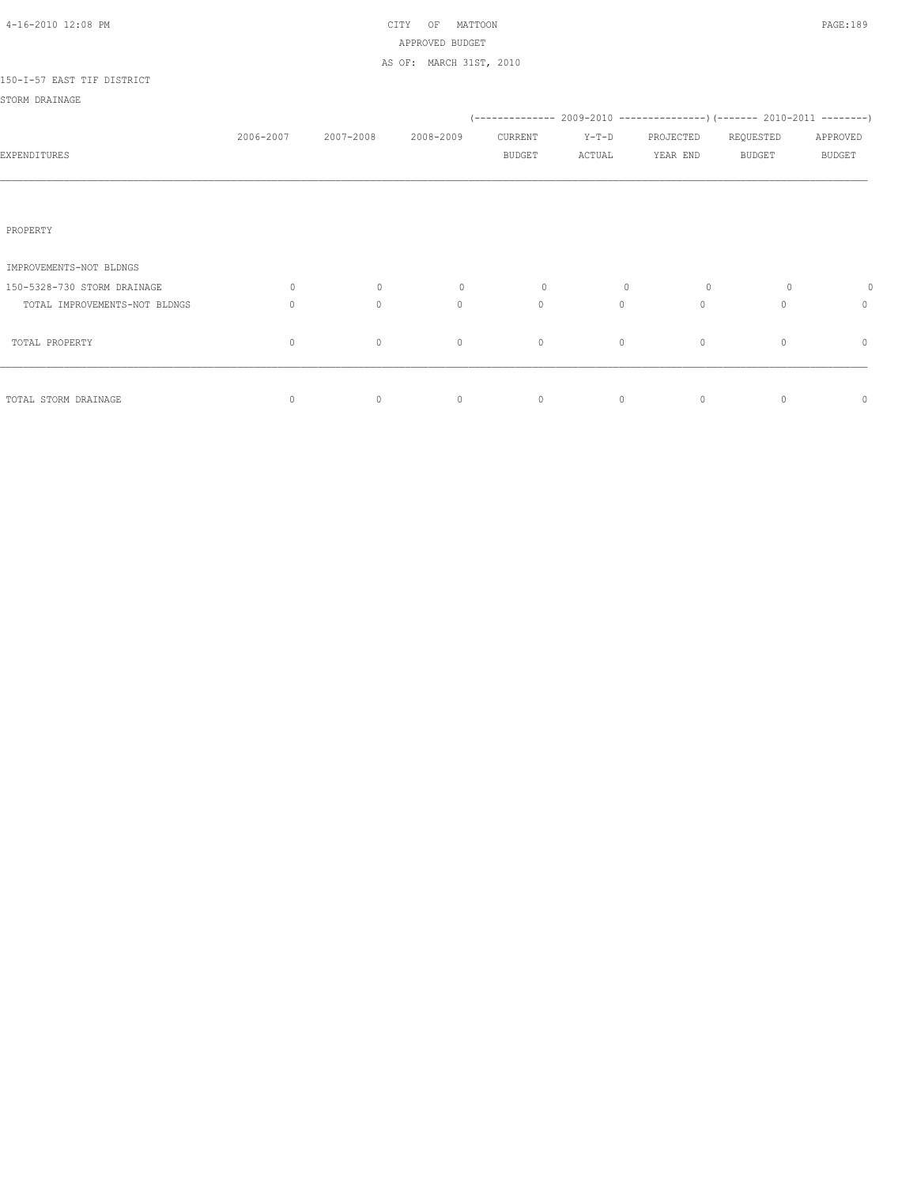# 4-16-2010 12:08 PM CITY OF MATTOON PAGE:189 APPROVED BUDGET AS OF: MARCH 31ST, 2010

## 150-I-57 EAST TIF DISTRICT

STORM DRAINAGE

|                               |              |           |              |               |              | (-------------- 2009-2010 ----------------) (------- 2010-2011 --------) |               |               |
|-------------------------------|--------------|-----------|--------------|---------------|--------------|--------------------------------------------------------------------------|---------------|---------------|
|                               | 2006-2007    | 2007-2008 | 2008-2009    | CURRENT       | $Y-T-D$      | PROJECTED                                                                | REQUESTED     | APPROVED      |
| EXPENDITURES                  |              |           |              | <b>BUDGET</b> | ACTUAL       | YEAR END                                                                 | <b>BUDGET</b> | <b>BUDGET</b> |
|                               |              |           |              |               |              |                                                                          |               |               |
|                               |              |           |              |               |              |                                                                          |               |               |
| PROPERTY                      |              |           |              |               |              |                                                                          |               |               |
| IMPROVEMENTS-NOT BLDNGS       |              |           |              |               |              |                                                                          |               |               |
| 150-5328-730 STORM DRAINAGE   | $\circ$      | $\circ$   | $\circ$      | $\circ$       | $\mathbf{0}$ | $\mathbf{0}$                                                             | $\mathbf{0}$  | 0             |
| TOTAL IMPROVEMENTS-NOT BLDNGS | $\circ$      | $\circ$   | $\mathbf{0}$ | $\mathbf{0}$  | $\circ$      | $\circ$                                                                  | $\circ$       | $\mathbb O$   |
| TOTAL PROPERTY                | $\circ$      | $\circ$   | $\circ$      | $\circ$       | $\circ$      | $\circ$                                                                  | $\circ$       | 0             |
| TOTAL STORM DRAINAGE          | $\mathbf{0}$ | $\circ$   | $\circ$      | $\circ$       | $\circ$      | $\circ$                                                                  | $\mathbf{0}$  | 0             |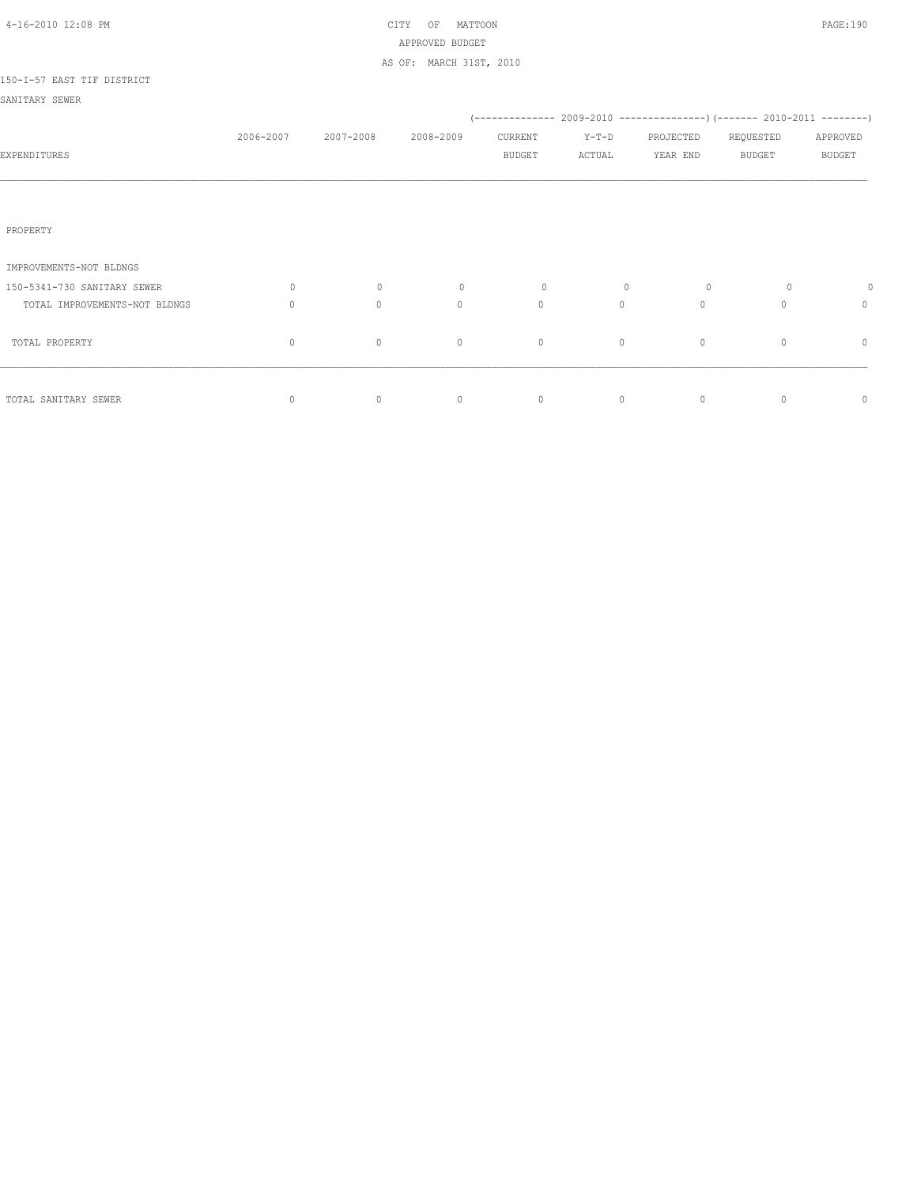# 4-16-2010 12:08 PM CITY OF MATTOON PAGE:190 APPROVED BUDGET AS OF: MARCH 31ST, 2010

## 150-I-57 EAST TIF DISTRICT

SANITARY SEWER

|                               |              |           |              |               |              | (-------------- 2009-2010 ----------------) (------- 2010-2011 --------) |               |               |
|-------------------------------|--------------|-----------|--------------|---------------|--------------|--------------------------------------------------------------------------|---------------|---------------|
|                               | 2006-2007    | 2007-2008 | 2008-2009    | CURRENT       | $Y-T-D$      | PROJECTED                                                                | REQUESTED     | APPROVED      |
| EXPENDITURES                  |              |           |              | <b>BUDGET</b> | ACTUAL       | YEAR END                                                                 | <b>BUDGET</b> | <b>BUDGET</b> |
|                               |              |           |              |               |              |                                                                          |               |               |
|                               |              |           |              |               |              |                                                                          |               |               |
| PROPERTY                      |              |           |              |               |              |                                                                          |               |               |
| IMPROVEMENTS-NOT BLDNGS       |              |           |              |               |              |                                                                          |               |               |
| 150-5341-730 SANITARY SEWER   | $\circ$      | $\circ$   | $\circ$      | $\circ$       | $\mathbf{0}$ | $\mathbf{0}$                                                             | $\mathbf{0}$  | 0             |
| TOTAL IMPROVEMENTS-NOT BLDNGS | $\mathbf{0}$ | $\circ$   | $\mathbf{0}$ | $\mathbf{0}$  | $\circ$      | $\circ$                                                                  | $\circ$       | 0             |
| TOTAL PROPERTY                | $\circ$      | $\circ$   | $\circ$      | $\circ$       | $\circ$      | $\circ$                                                                  | $\circ$       | $\mathbf{0}$  |
| TOTAL SANITARY SEWER          | $\mathbf{0}$ | 0         | $\circ$      | $\mathbb O$   | 0            | 0                                                                        | $\mathbf{0}$  | 0             |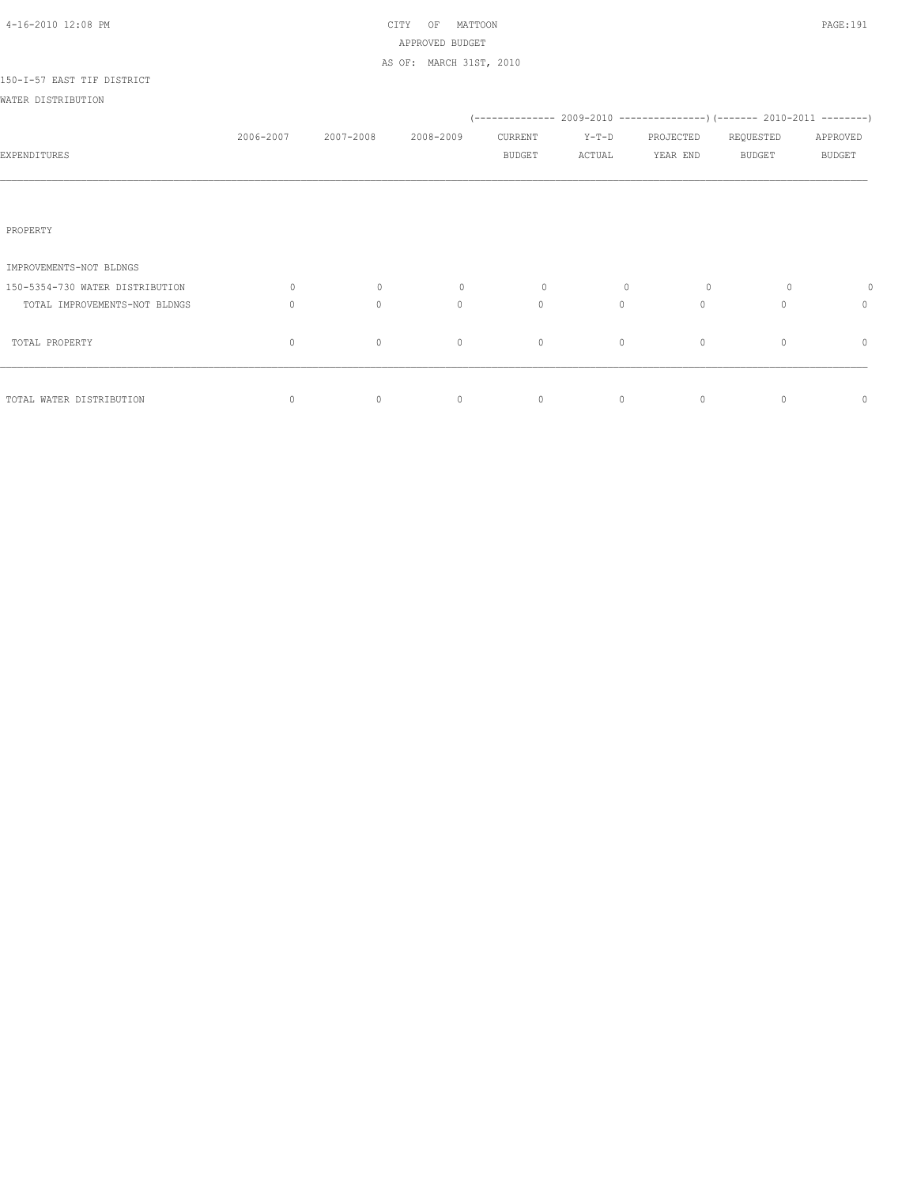# 4-16-2010 12:08 PM CITY OF MATTOON PAGE:191 APPROVED BUDGET AS OF: MARCH 31ST, 2010

#### 150-I-57 EAST TIF DISTRICT

WATER DISTRIBUTION

|                                 |              |           |              |               |         | (-------------- 2009-2010 ----------------) (------- 2010-2011 --------) |               |               |
|---------------------------------|--------------|-----------|--------------|---------------|---------|--------------------------------------------------------------------------|---------------|---------------|
|                                 | 2006-2007    | 2007-2008 | 2008-2009    | CURRENT       | $Y-T-D$ | PROJECTED                                                                | REQUESTED     | APPROVED      |
| EXPENDITURES                    |              |           |              | <b>BUDGET</b> | ACTUAL  | YEAR END                                                                 | <b>BUDGET</b> | <b>BUDGET</b> |
|                                 |              |           |              |               |         |                                                                          |               |               |
|                                 |              |           |              |               |         |                                                                          |               |               |
| PROPERTY                        |              |           |              |               |         |                                                                          |               |               |
| IMPROVEMENTS-NOT BLDNGS         |              |           |              |               |         |                                                                          |               |               |
| 150-5354-730 WATER DISTRIBUTION | $\circ$      | $\circ$   | $\circ$      | 0             |         | $\mathbf{0}$<br>$\mathbf{0}$                                             | $\mathbf{0}$  | 0             |
| TOTAL IMPROVEMENTS-NOT BLDNGS   | $\circ$      | $\circ$   | $\mathbf{0}$ | $\mathbf{0}$  | $\circ$ | $\mathbf{0}$                                                             | $\mathbf{0}$  | $\circ$       |
| TOTAL PROPERTY                  | $\mathbf{0}$ | $\circ$   | $\mathbf{0}$ | $\mathbb O$   | $\circ$ | $\mathbf{0}$                                                             | $\mathbf{0}$  | $\mathbf{0}$  |
| TOTAL WATER DISTRIBUTION        | $\circ$      | $\circ$   | $\mathbf{0}$ | $\mathbf 0$   | $\circ$ | $\circ$                                                                  | $\mathbf{0}$  | $\circ$       |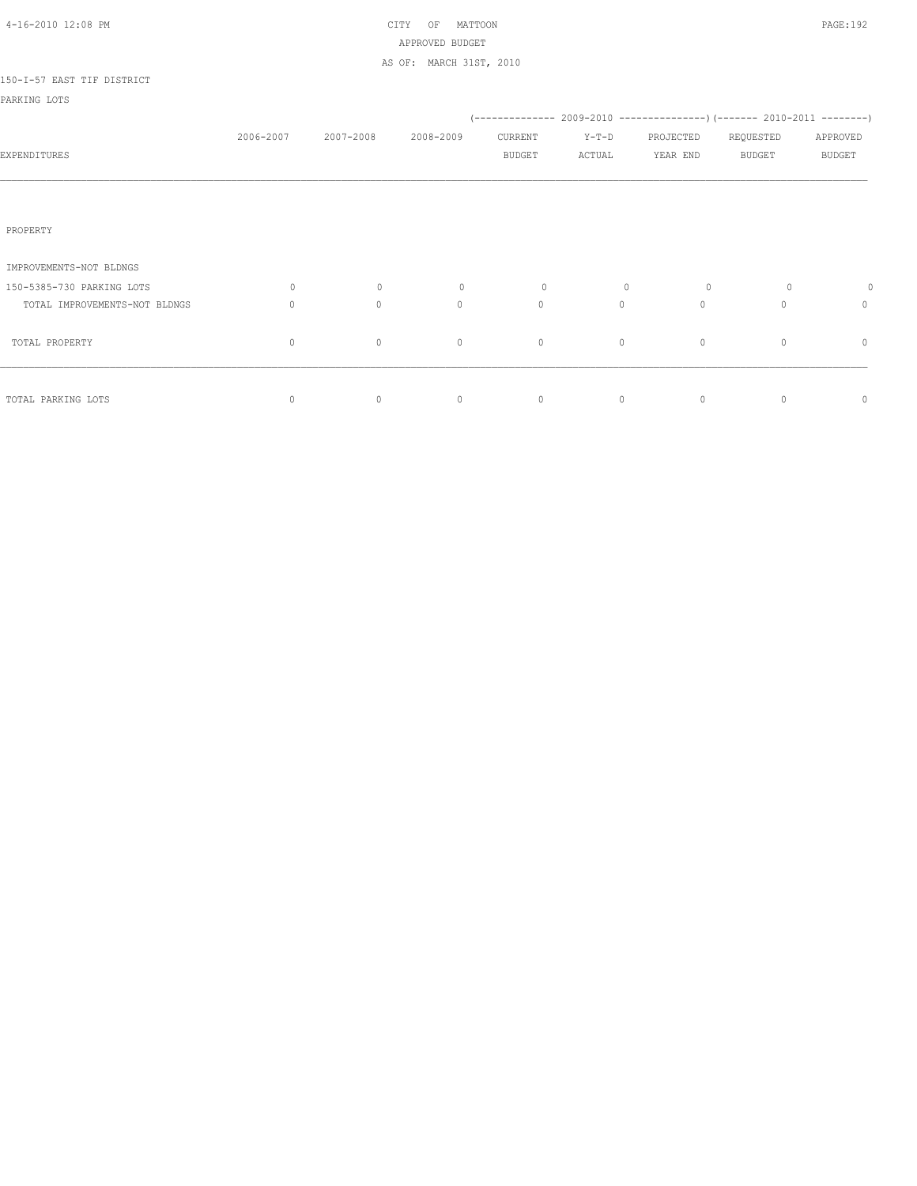# 4-16-2010 12:08 PM CITY OF MATTOON PAGE:192 APPROVED BUDGET AS OF: MARCH 31ST, 2010

#### 150-I-57 EAST TIF DISTRICT

PARKING LOTS

|                               |              |           |              |               |         | (-------------- 2009-2010 ----------------) (------- 2010-2011 --------) |               |               |
|-------------------------------|--------------|-----------|--------------|---------------|---------|--------------------------------------------------------------------------|---------------|---------------|
|                               | 2006-2007    | 2007-2008 | 2008-2009    | CURRENT       | $Y-T-D$ | PROJECTED                                                                | REQUESTED     | APPROVED      |
| EXPENDITURES                  |              |           |              | <b>BUDGET</b> | ACTUAL  | YEAR END                                                                 | <b>BUDGET</b> | <b>BUDGET</b> |
|                               |              |           |              |               |         |                                                                          |               |               |
|                               |              |           |              |               |         |                                                                          |               |               |
| PROPERTY                      |              |           |              |               |         |                                                                          |               |               |
| IMPROVEMENTS-NOT BLDNGS       |              |           |              |               |         |                                                                          |               |               |
| 150-5385-730 PARKING LOTS     | $\circ$      | $\circ$   | $\circ$      | 0             |         | $\mathbf{0}$<br>$\mathbf 0$                                              | $\mathbf 0$   | 0             |
| TOTAL IMPROVEMENTS-NOT BLDNGS | $\mathbf{0}$ | $\circ$   | $\mathbf{0}$ | $\mathbf{0}$  | $\circ$ | $\circ$                                                                  | $\circ$       | $\mathbf{0}$  |
| TOTAL PROPERTY                | $\circ$      | $\circ$   | $\circ$      | $\circ$       | $\circ$ | $\circ$                                                                  | $\circ$       | $\mathbf{0}$  |
| TOTAL PARKING LOTS            | $\mathbf{0}$ | $\circ$   | $\mathbf 0$  | $\circ$       | $\circ$ | $\circ$                                                                  | $\mathbf{0}$  | 0             |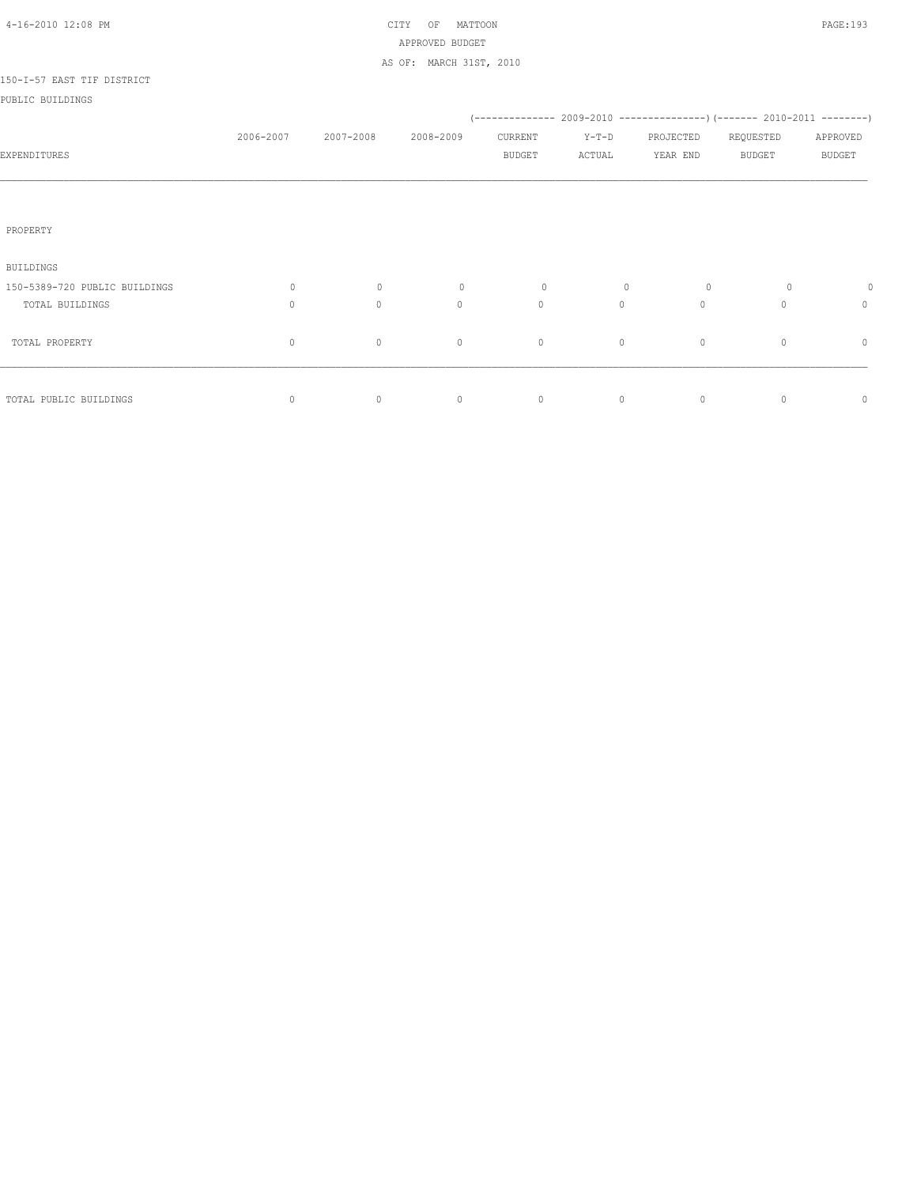# 4-16-2010 12:08 PM CITY OF MATTOON PAGE:193 APPROVED BUDGET AS OF: MARCH 31ST, 2010

## 150-I-57 EAST TIF DISTRICT

PUBLIC BUILDINGS

|                               |              |             |              |               |              | (-------------- 2009-2010 ---------------) (------- 2010-2011 --------) |               |               |
|-------------------------------|--------------|-------------|--------------|---------------|--------------|-------------------------------------------------------------------------|---------------|---------------|
|                               | 2006-2007    | 2007-2008   | 2008-2009    | CURRENT       | $Y-T-D$      | PROJECTED                                                               | REQUESTED     | APPROVED      |
| EXPENDITURES                  |              |             |              | <b>BUDGET</b> | ACTUAL       | YEAR END                                                                | <b>BUDGET</b> | <b>BUDGET</b> |
|                               |              |             |              |               |              |                                                                         |               |               |
|                               |              |             |              |               |              |                                                                         |               |               |
| PROPERTY                      |              |             |              |               |              |                                                                         |               |               |
| <b>BUILDINGS</b>              |              |             |              |               |              |                                                                         |               |               |
| 150-5389-720 PUBLIC BUILDINGS | $\circ$      | $\mathbb O$ | $\circ$      | $\circ$       | $\mathbf{0}$ | $\mathbf{0}$                                                            | $\mathbf{0}$  | 0             |
| TOTAL BUILDINGS               | $\mathbf{0}$ | $\mathbb O$ | $\mathbf{0}$ | $\mathbb O$   | $\circ$      | $\circ$                                                                 | $\mathbf{0}$  | $\mathbb O$   |
| TOTAL PROPERTY                | 0            | $\circ$     | $\circ$      | $\circ$       | $\circ$      | $\circ$                                                                 | $\mathbf 0$   | 0             |
| TOTAL PUBLIC BUILDINGS        | 0            | $\circ$     | $\circ$      | $\circ$       | $\circ$      | $\circ$                                                                 | $\mathbf 0$   | $\circ$       |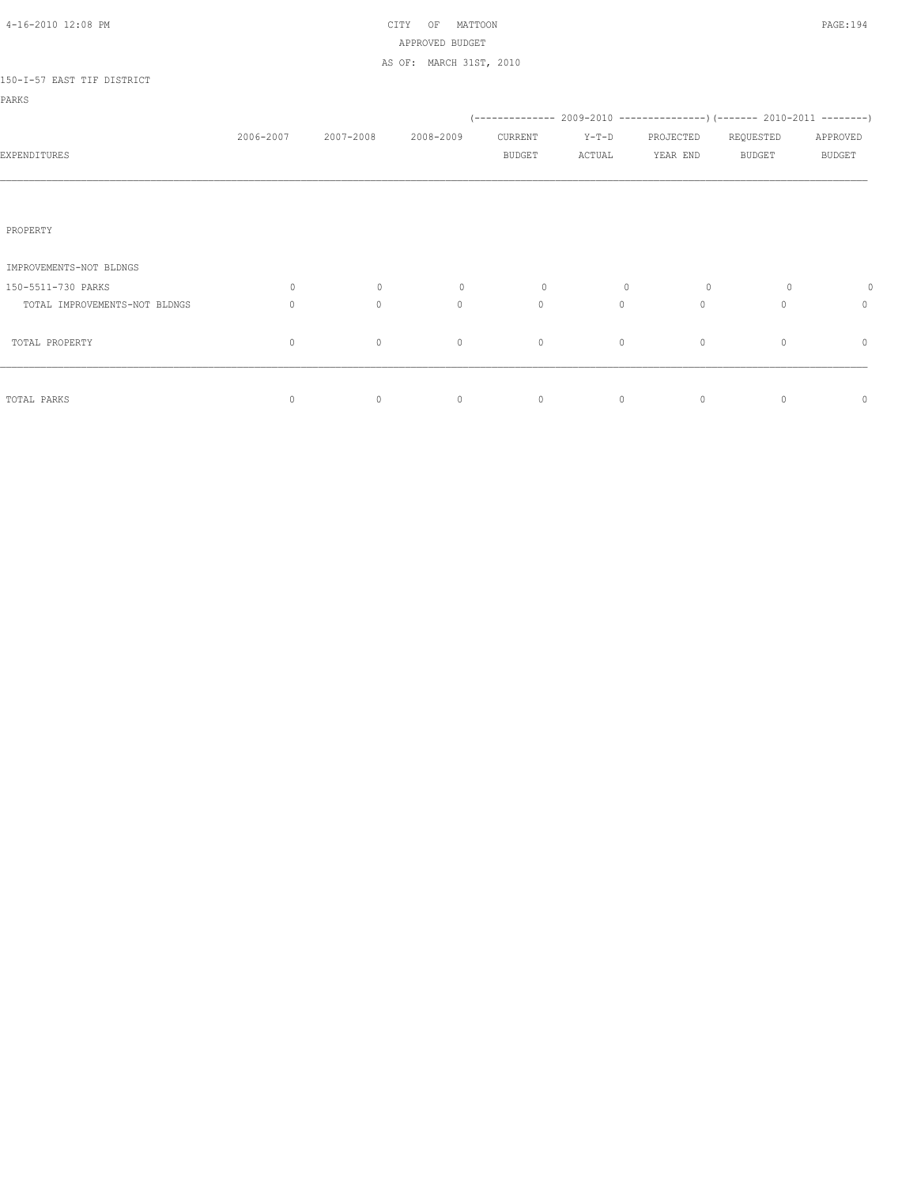# 4-16-2010 12:08 PM CITY OF MATTOON PAGE:194 APPROVED BUDGET AS OF: MARCH 31ST, 2010

## 150-I-57 EAST TIF DISTRICT

|                               |              |             |              |               |             | (-------------- 2009-2010 ----------------) (------- 2010-2011 --------) |               |               |
|-------------------------------|--------------|-------------|--------------|---------------|-------------|--------------------------------------------------------------------------|---------------|---------------|
|                               | 2006-2007    | 2007-2008   | 2008-2009    | CURRENT       | $Y-T-D$     | PROJECTED                                                                | REQUESTED     | APPROVED      |
| EXPENDITURES                  |              |             |              | <b>BUDGET</b> | ACTUAL      | YEAR END                                                                 | <b>BUDGET</b> | <b>BUDGET</b> |
|                               |              |             |              |               |             |                                                                          |               |               |
|                               |              |             |              |               |             |                                                                          |               |               |
| PROPERTY                      |              |             |              |               |             |                                                                          |               |               |
| IMPROVEMENTS-NOT BLDNGS       |              |             |              |               |             |                                                                          |               |               |
| 150-5511-730 PARKS            | $\circ$      | $\circ$     | $\circ$      | $\circ$       | $\mathbf 0$ | $\mathbf 0$                                                              | $\mathbf 0$   | 0             |
| TOTAL IMPROVEMENTS-NOT BLDNGS | $\mathbf{0}$ | $\circ$     | $\mathbf{0}$ | $\mathbf{0}$  | $\circ$     | $\circ$                                                                  | $\mathbf{0}$  | $\circ$       |
| TOTAL PROPERTY                | $\circ$      | $\mathbb O$ | $\mathbb{O}$ | $\circ$       | $\circ$     | $\circ$                                                                  | $\mathbf{0}$  | 0             |
| TOTAL PARKS                   | $\circ$      | $\circ$     | $\circ$      | $\circ$       | $\circ$     | 0                                                                        | 0             | 0             |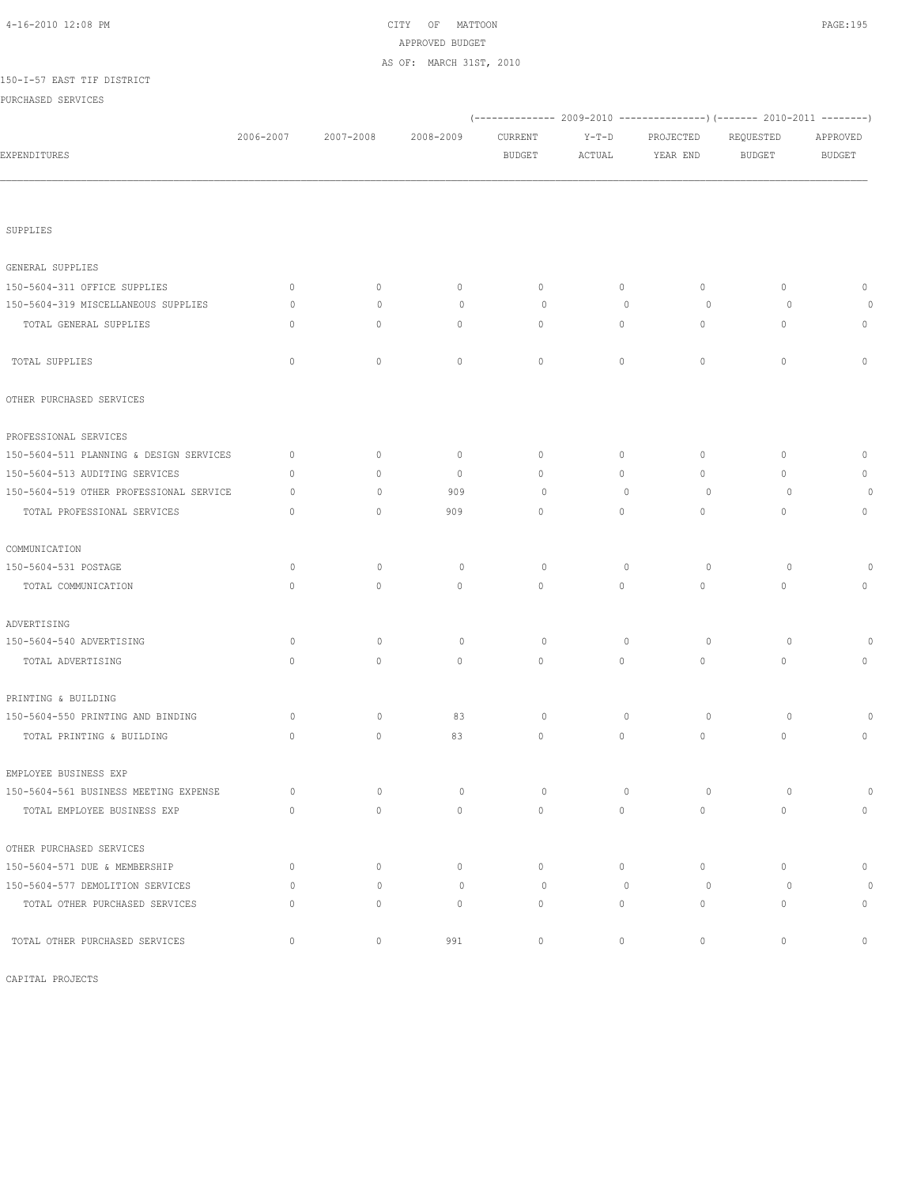# 4-16-2010 12:08 PM CITY OF MATTOON PAGE:195 APPROVED BUDGET AS OF: MARCH 31ST, 2010

#### 150-I-57 EAST TIF DISTRICT

PURCHASED SERVICES

| EXPENDITURES                            | 2006-2007   | 2007-2008    | 2008-2009   | (-------------- 2009-2010 ----------------) (------- 2010-2011 --------)<br>CURRENT<br><b>BUDGET</b> | $Y-T-D$<br>ACTUAL | PROJECTED<br>YEAR END | REQUESTED<br><b>BUDGET</b> | APPROVED<br><b>BUDGET</b> |
|-----------------------------------------|-------------|--------------|-------------|------------------------------------------------------------------------------------------------------|-------------------|-----------------------|----------------------------|---------------------------|
| SUPPLIES                                |             |              |             |                                                                                                      |                   |                       |                            |                           |
| GENERAL SUPPLIES                        |             |              |             |                                                                                                      |                   |                       |                            |                           |
| 150-5604-311 OFFICE SUPPLIES            | $\circ$     | $\circ$      | $\mathbf 0$ | $\circ$                                                                                              | $\circ$           | $\circ$               | $\circ$                    | 0                         |
| 150-5604-319 MISCELLANEOUS SUPPLIES     | $\circ$     | $\circ$      | $\mathbf 0$ | $\circ$                                                                                              | 0                 | $\mathbf 0$           | 0                          | 0                         |
| TOTAL GENERAL SUPPLIES                  | $\circ$     | $\circ$      | 0           | $\mathbf 0$                                                                                          | $\circ$           | $\circ$               | $\mathbf 0$                | 0                         |
| TOTAL SUPPLIES                          | $\mathbb O$ | $\mathbb O$  | $\mathbb O$ | $\circ$                                                                                              | $\circ$           | $\mathbb O$           | $\mathbb O$                | $\mathbb O$               |
| OTHER PURCHASED SERVICES                |             |              |             |                                                                                                      |                   |                       |                            |                           |
| PROFESSIONAL SERVICES                   |             |              |             |                                                                                                      |                   |                       |                            |                           |
| 150-5604-511 PLANNING & DESIGN SERVICES | $\circ$     | $\circ$      | $\circ$     | $\mathbf 0$                                                                                          | $\circ$           | $\circ$               | $\mathbf 0$                | $\circ$                   |
| 150-5604-513 AUDITING SERVICES          | $\circ$     | $\circ$      | $\circ$     | $\circ$                                                                                              | $\circ$           | $\mathbb O$           | $\mathbb O$                | 0                         |
| 150-5604-519 OTHER PROFESSIONAL SERVICE | 0           | $\circ$      | 909         | $\circ$                                                                                              | $\mathbf 0$       | $\mathbf 0$           | $\mathbf 0$                | $\mathbf 0$               |
| TOTAL PROFESSIONAL SERVICES             | $\circ$     | $\circ$      | 909         | $\mathbf 0$                                                                                          | $\circ$           | $\circ$               | $\mathbf 0$                | 0                         |
| COMMUNICATION                           |             |              |             |                                                                                                      |                   |                       |                            |                           |
| 150-5604-531 POSTAGE                    | $\circ$     | $\circ$      | $\circ$     | $\circ$                                                                                              | $\mathbf 0$       | $\mathbf 0$           | $\circ$                    |                           |
| TOTAL COMMUNICATION                     | $\circ$     | $\circ$      | $\mathbb O$ | $\mathbb O$                                                                                          | $\circ$           | $\mathbb O$           | $\mathbb O$                | 0                         |
| ADVERTISING                             |             |              |             |                                                                                                      |                   |                       |                            |                           |
| 150-5604-540 ADVERTISING                | 0           | $\circ$      | $\circ$     | $\circ$                                                                                              | $\mathbf 0$       | $\mathbf 0$           | $\circ$                    |                           |
| TOTAL ADVERTISING                       | $\circ$     | $\circ$      | 0           | $\mathbf 0$                                                                                          | $\circ$           | $\mathbb O$           | $\mathbb O$                | 0                         |
| PRINTING & BUILDING                     |             |              |             |                                                                                                      |                   |                       |                            |                           |
| 150-5604-550 PRINTING AND BINDING       | $\circ$     | $\circ$      | 83          | $\circ$                                                                                              | 0                 | $\mathbf 0$           | $\circ$                    |                           |
| TOTAL PRINTING & BUILDING               | 0           | $\circ$      | 83          | $\circ$                                                                                              | $\circ$           | $\circ$               | $\mathbf 0$                | 0                         |
| EMPLOYEE BUSINESS EXP                   |             |              |             |                                                                                                      |                   |                       |                            |                           |
| 150-5604-561 BUSINESS MEETING EXPENSE   | 0           | 0            | 0           | 0                                                                                                    | 0                 | 0                     | 0                          |                           |
| TOTAL EMPLOYEE BUSINESS EXP             | $\circ$     | $\circ$      | $\mathbf 0$ | $\mathbf 0$                                                                                          | $\circ$           | 0                     | $\mathbf 0$                | $\circ$                   |
| OTHER PURCHASED SERVICES                |             |              |             |                                                                                                      |                   |                       |                            |                           |
| 150-5604-571 DUE & MEMBERSHIP           | $\circ$     | $\circ$      | $\circ$     | $\mathbf{0}$                                                                                         | $\circ$           | $\circ$               | $\circ$                    | $\mathbb O$               |
| 150-5604-577 DEMOLITION SERVICES        | $\circ$     | $\circ$      | $\circ$     | 0                                                                                                    | $\circ$           | $\mathbf 0$           | $\mathbf 0$                | $\mathbf 0$               |
| TOTAL OTHER PURCHASED SERVICES          | $\circ$     | $\mathbf{0}$ | $\mathbb O$ | $\mathbf{0}$                                                                                         | $\circ$           | $\circ$               | $\circ$                    | $\circ$                   |
| TOTAL OTHER PURCHASED SERVICES          | $\circ$     | $\circ$      | 991         | $\mathbb O$                                                                                          | $\circ$           | $\mathbb O$           | $\circ$                    | $\mathbb O$               |

CAPITAL PROJECTS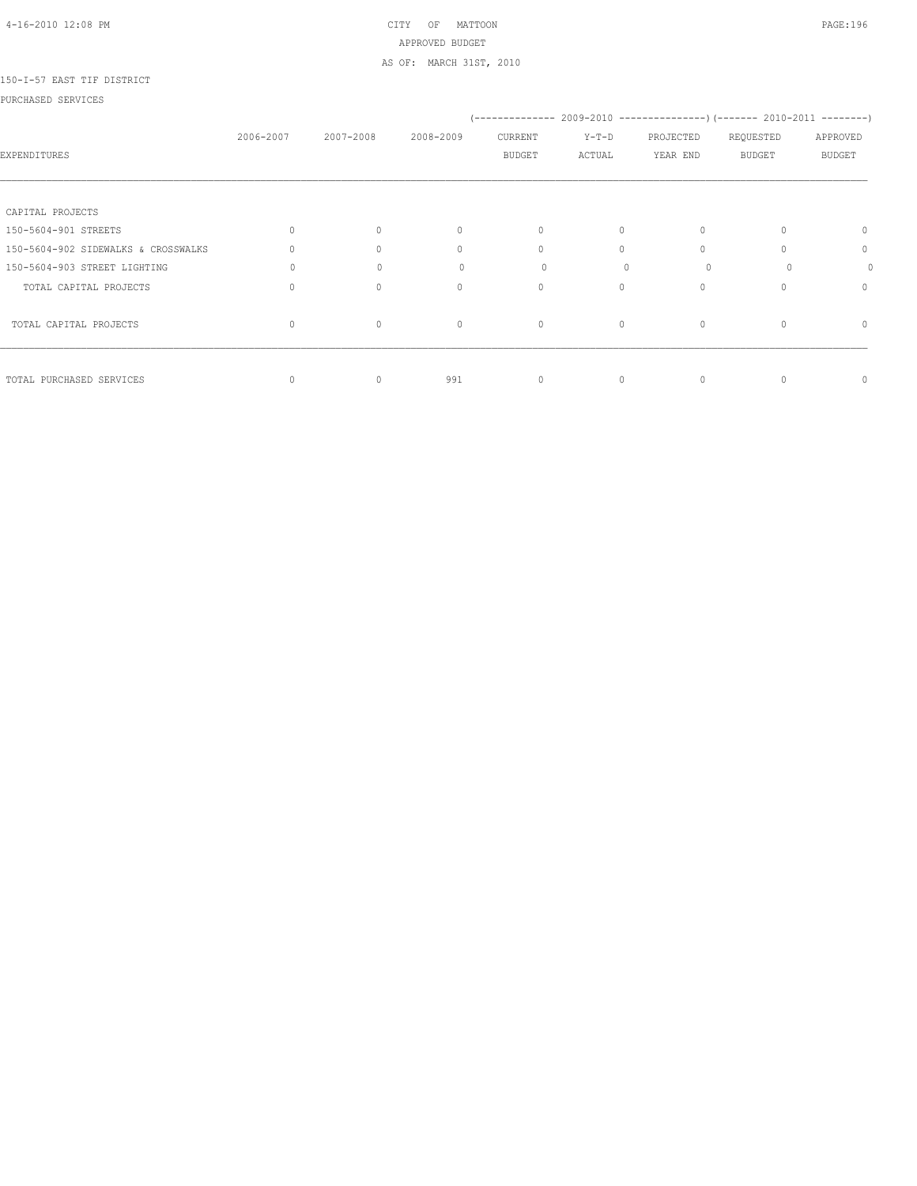# 4-16-2010 12:08 PM CITY OF MATTOON PAGE:196 APPROVED BUDGET AS OF: MARCH 31ST, 2010

## 150-I-57 EAST TIF DISTRICT

## PURCHASED SERVICES

|                                     |              |              |              |               |              |           | (-------------- 2009-2010 ---------------) (------- 2010-2011 --------) |               |
|-------------------------------------|--------------|--------------|--------------|---------------|--------------|-----------|-------------------------------------------------------------------------|---------------|
|                                     | 2006-2007    | 2007-2008    | 2008-2009    | CURRENT       | $Y-T-D$      | PROJECTED | REQUESTED                                                               | APPROVED      |
| EXPENDITURES                        |              |              |              | <b>BUDGET</b> | ACTUAL       | YEAR END  | <b>BUDGET</b>                                                           | <b>BUDGET</b> |
|                                     |              |              |              |               |              |           |                                                                         |               |
| CAPITAL PROJECTS                    |              |              |              |               |              |           |                                                                         |               |
| 150-5604-901 STREETS                | $\mathbf{0}$ | $\mathbf{0}$ | $\mathbf{0}$ | $\mathbf{0}$  | $\circ$      | $\circ$   | 0                                                                       | 0             |
| 150-5604-902 SIDEWALKS & CROSSWALKS |              | $\Omega$     | $\Omega$     | $\Omega$      | $\Omega$     | $\Omega$  | $\bigcap$                                                               | 0             |
| 150-5604-903 STREET LIGHTING        | $\Omega$     | $\circ$      | $\circ$      | 0             | $\mathbf{0}$ | $\Omega$  | $\mathbf{0}$                                                            | 0             |
| TOTAL CAPITAL PROJECTS              | $\Omega$     | $\circ$      | $\Omega$     | $\mathbf{0}$  | $\Omega$     | $\Omega$  | $\bigcap$                                                               | $\circ$       |
| TOTAL CAPITAL PROJECTS              | 0            | $\circ$      | $\mathbf{0}$ | $\mathbf{0}$  | $\circ$      | $\circ$   | $\Omega$                                                                | $\Omega$      |
| TOTAL PURCHASED SERVICES            | $\Omega$     | 0            | 991          | $\mathbf 0$   | $\circ$      | 0         | $\Omega$                                                                | 0             |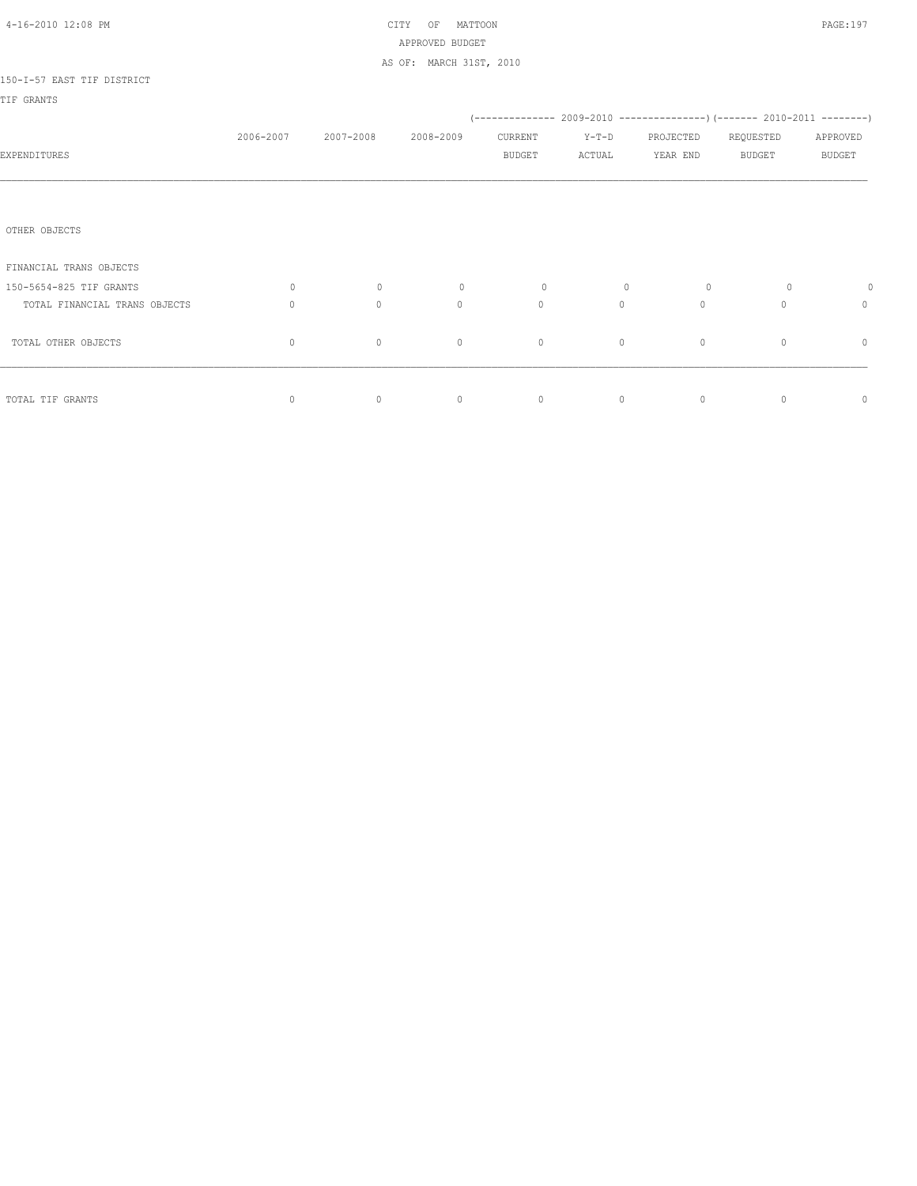# 4-16-2010 12:08 PM CITY OF MATTOON PAGE:197 APPROVED BUDGET AS OF: MARCH 31ST, 2010

## 150-I-57 EAST TIF DISTRICT

| --- ------                    |              |              |              |                          |                   | (-------------- 2009-2010 ----------------) (------- 2010-2011 --------) |                     |                           |
|-------------------------------|--------------|--------------|--------------|--------------------------|-------------------|--------------------------------------------------------------------------|---------------------|---------------------------|
| EXPENDITURES                  | 2006-2007    | 2007-2008    | 2008-2009    | CURRENT<br><b>BUDGET</b> | $Y-T-D$<br>ACTUAL | PROJECTED<br>YEAR END                                                    | REQUESTED<br>BUDGET | APPROVED<br><b>BUDGET</b> |
|                               |              |              |              |                          |                   |                                                                          |                     |                           |
| OTHER OBJECTS                 |              |              |              |                          |                   |                                                                          |                     |                           |
| FINANCIAL TRANS OBJECTS       |              |              |              |                          |                   |                                                                          |                     |                           |
| 150-5654-825 TIF GRANTS       | $\circ$      | $\mathbf{0}$ | $\mathbf{0}$ | $\circ$                  | $\mathbf{0}$      | $\mathbf{0}$                                                             | $\mathbf{0}$        | 0                         |
| TOTAL FINANCIAL TRANS OBJECTS | $\mathbf{0}$ | $\circ$      | $\mathbf{0}$ | $\mathbf{0}$             | $\circ$           | $\circ$                                                                  | $\mathbf{0}$        | $\circ$                   |
| TOTAL OTHER OBJECTS           | $\mathbf{0}$ | $\circ$      | $\mathbf{0}$ | $\circ$                  | $\circ$           | $\circ$                                                                  | $\mathbf{0}$        | $\mathbf{0}$              |
| TOTAL TIF GRANTS              | $\circ$      | $\circ$      | $\mathbf{0}$ | $\circ$                  | $\circ$           | $\mathbb O$                                                              | $\mathbf{0}$        | $\mathbb O$               |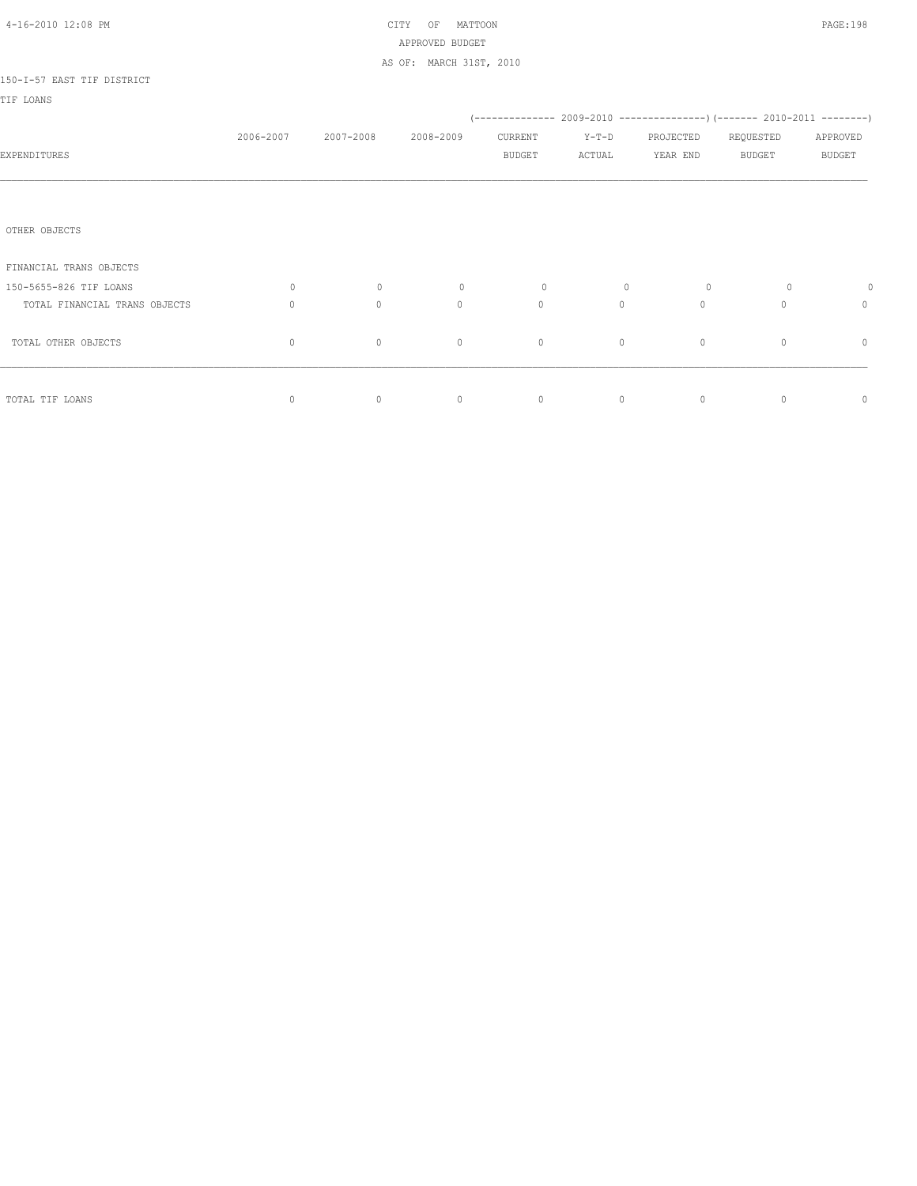# 4-16-2010 12:08 PM CITY OF MATTOON PAGE:198 APPROVED BUDGET AS OF: MARCH 31ST, 2010

## 150-I-57 EAST TIF DISTRICT

TIF LOANS

| EXPENDITURES                  | 2006-2007    | 2007-2008 | 2008-2009    | CURRENT<br>BUDGET | $Y-T-D$<br>ACTUAL | (-------------- 2009-2010 ---------------) (------- 2010-2011 --------)<br>PROJECTED<br>YEAR END | REQUESTED<br>BUDGET | APPROVED<br><b>BUDGET</b> |
|-------------------------------|--------------|-----------|--------------|-------------------|-------------------|--------------------------------------------------------------------------------------------------|---------------------|---------------------------|
|                               |              |           |              |                   |                   |                                                                                                  |                     |                           |
| OTHER OBJECTS                 |              |           |              |                   |                   |                                                                                                  |                     |                           |
| FINANCIAL TRANS OBJECTS       |              |           |              |                   |                   |                                                                                                  |                     |                           |
| 150-5655-826 TIF LOANS        | $\circ$      | $\circ$   | $\circ$      | $\circ$           | $\mathbf{0}$      | $\mathbf{0}$                                                                                     | $\mathbf 0$         | 0                         |
| TOTAL FINANCIAL TRANS OBJECTS | $\circ$      | $\circ$   | $\mathbf{0}$ | $\mathbf{0}$      | $\circ$           | $\circ$                                                                                          | $\mathbf{0}$        | $\mathbb O$               |
| TOTAL OTHER OBJECTS           | $\mathbf{0}$ | $\circ$   | $\circ$      | $\mathbb O$       | $\circ$           | $\circ$                                                                                          | $\mathbf 0$         | $\circ$                   |
| TOTAL TIF LOANS               | $\circ$      | $\circ$   | $\circ$      | $\circ$           | $\circ$           | $\circ$                                                                                          | $\mathbf 0$         | $\circ$                   |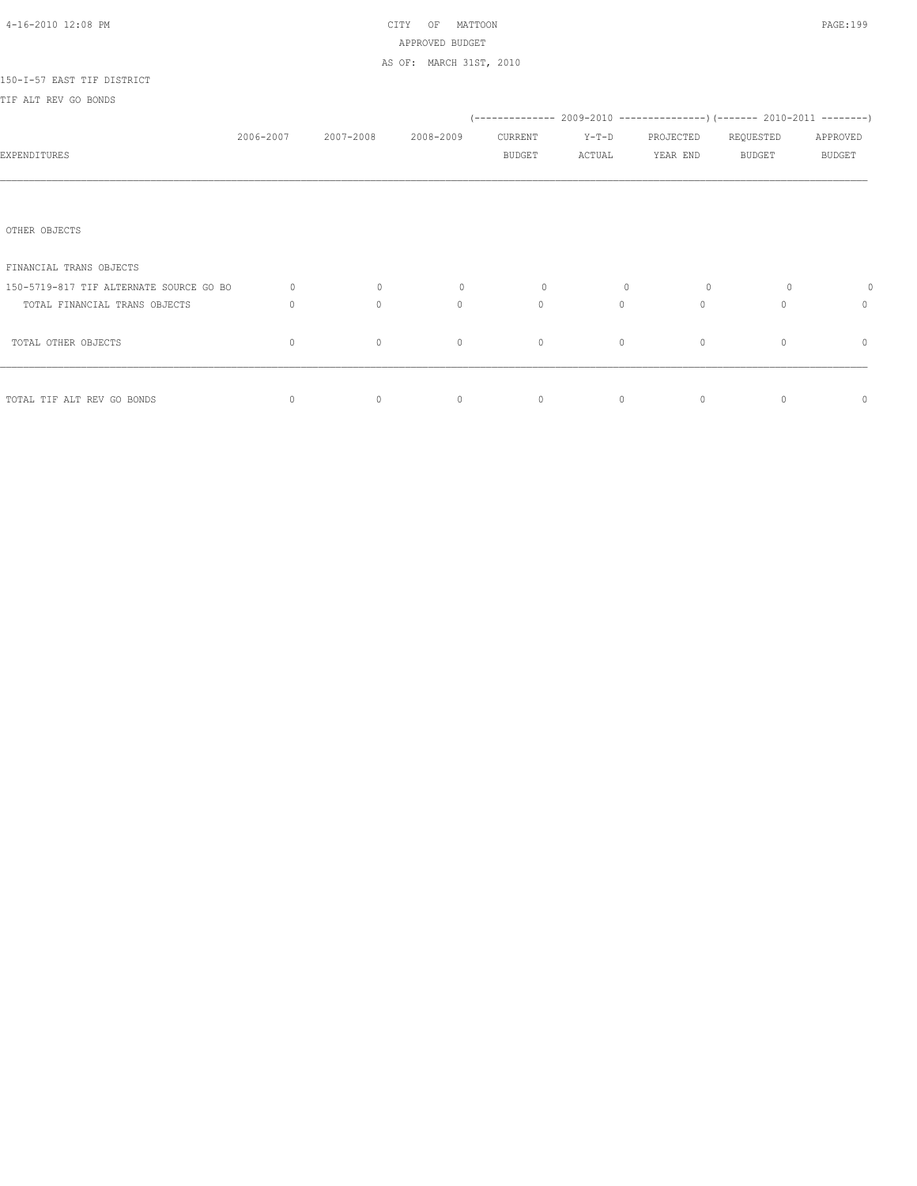# 4-16-2010 12:08 PM CITY OF MATTOON PAGE:199 APPROVED BUDGET AS OF: MARCH 31ST, 2010

## 150-I-57 EAST TIF DISTRICT

TIF ALT REV GO BONDS

|                                         |              |              |              |               |         | (-------------- 2009-2010 ----------------) (------- 2010-2011 --------) |               |               |
|-----------------------------------------|--------------|--------------|--------------|---------------|---------|--------------------------------------------------------------------------|---------------|---------------|
|                                         | 2006-2007    | 2007-2008    | 2008-2009    | CURRENT       | $Y-T-D$ | PROJECTED                                                                | REQUESTED     | APPROVED      |
| EXPENDITURES                            |              |              |              | <b>BUDGET</b> | ACTUAL  | YEAR END                                                                 | <b>BUDGET</b> | <b>BUDGET</b> |
|                                         |              |              |              |               |         |                                                                          |               |               |
|                                         |              |              |              |               |         |                                                                          |               |               |
| OTHER OBJECTS                           |              |              |              |               |         |                                                                          |               |               |
| FINANCIAL TRANS OBJECTS                 |              |              |              |               |         |                                                                          |               |               |
| 150-5719-817 TIF ALTERNATE SOURCE GO BO | $\circ$      | $\mathbf{0}$ | $\circ$      | $\circ$       |         | $\mathbf{0}$<br>$\mathbf{0}$                                             | $\mathbf{0}$  | 0             |
| TOTAL FINANCIAL TRANS OBJECTS           | $\mathbf{0}$ | $\mathbb O$  | $\mathbf{0}$ | $\mathbf{0}$  | $\circ$ | $\circ$                                                                  | $\circ$       | $\circ$       |
|                                         |              |              |              |               |         |                                                                          |               |               |
| TOTAL OTHER OBJECTS                     | $\mathbf{0}$ | $\circ$      | $\circ$      | $\circ$       | $\circ$ | $\circ$                                                                  | $\mathbf{0}$  | $\mathbf{0}$  |
|                                         |              |              |              |               |         |                                                                          |               |               |
| TOTAL TIF ALT REV GO BONDS              | $\mathbf{0}$ | $\circ$      | $\mathbf{0}$ | $\mathbf{0}$  | $\circ$ | $\circ$                                                                  | $\mathbf{0}$  | $\Omega$      |
|                                         |              |              |              |               |         |                                                                          |               |               |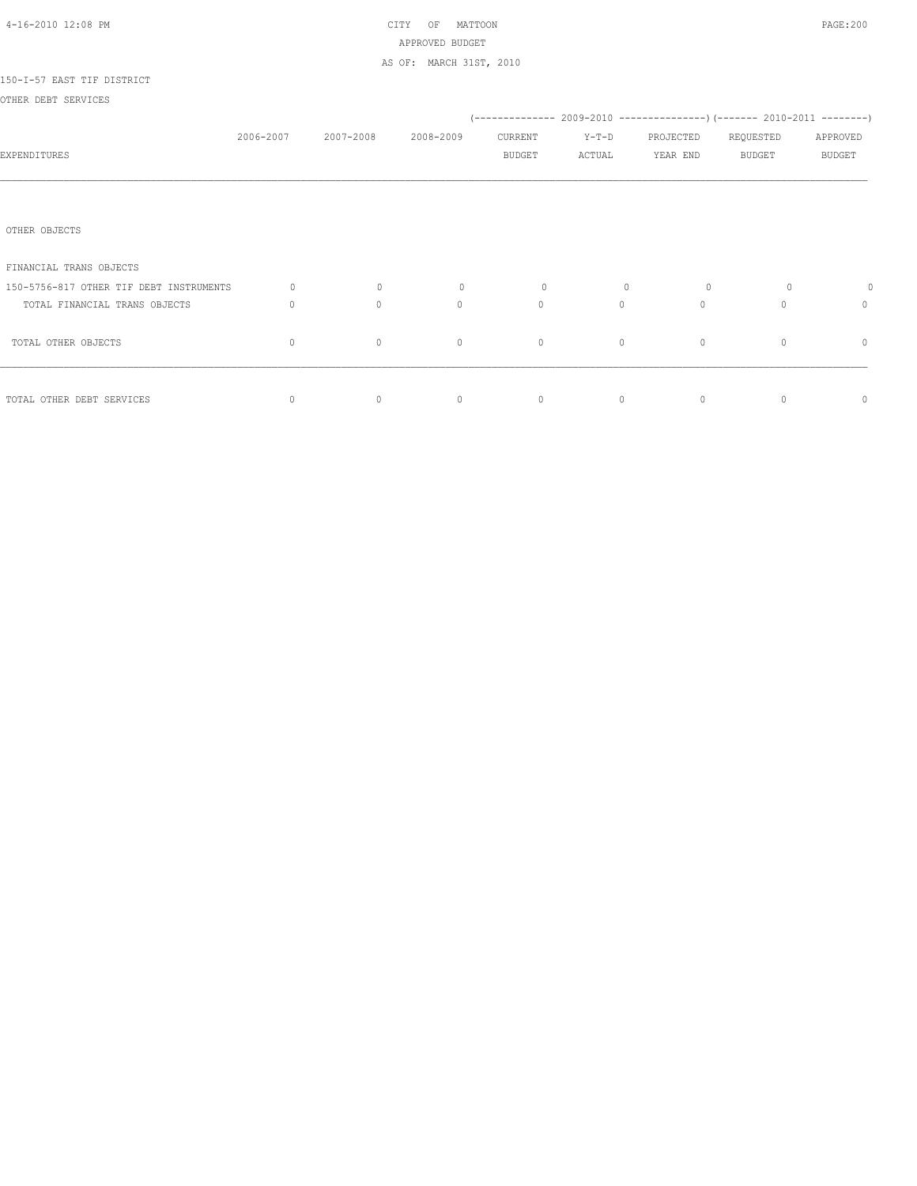# 4-16-2010 12:08 PM CITY OF MATTOON PAGE:200 APPROVED BUDGET AS OF: MARCH 31ST, 2010

## 150-I-57 EAST TIF DISTRICT

OTHER DEBT SERVICES

|                                         |              |              |              |               |         | $(-$ ------------- 2009-2010 ----------------) (------- 2010-2011 --------) |               |               |
|-----------------------------------------|--------------|--------------|--------------|---------------|---------|-----------------------------------------------------------------------------|---------------|---------------|
|                                         | 2006-2007    | 2007-2008    | 2008-2009    | CURRENT       | $Y-T-D$ | PROJECTED                                                                   | REQUESTED     | APPROVED      |
| EXPENDITURES                            |              |              |              | <b>BUDGET</b> | ACTUAL  | YEAR END                                                                    | <b>BUDGET</b> | <b>BUDGET</b> |
|                                         |              |              |              |               |         |                                                                             |               |               |
|                                         |              |              |              |               |         |                                                                             |               |               |
| OTHER OBJECTS                           |              |              |              |               |         |                                                                             |               |               |
| FINANCIAL TRANS OBJECTS                 |              |              |              |               |         |                                                                             |               |               |
| 150-5756-817 OTHER TIF DEBT INSTRUMENTS | $\circ$      | $\mathbf{0}$ | $\mathbf{0}$ | $\circ$       |         | $\mathbf{0}$<br>$\mathbf{0}$                                                | $\mathbf{0}$  | 0             |
| TOTAL FINANCIAL TRANS OBJECTS           | $\circ$      | $\circ$      | $\mathbf{0}$ | $\mathbf{0}$  | $\circ$ | $\circ$                                                                     | $\mathbf{0}$  | $\circ$       |
| TOTAL OTHER OBJECTS                     | $\mathbf{0}$ | $\circ$      | $\mathbf{0}$ | $\mathbf{0}$  | $\circ$ | $\circ$                                                                     | $\Omega$      | $\mathbf{0}$  |
| TOTAL OTHER DEBT SERVICES               | $\mathbf{0}$ | $\circ$      | $\mathbf{0}$ | $\circ$       | $\circ$ | $\circ$                                                                     | $\mathbf{0}$  | $\mathbf{0}$  |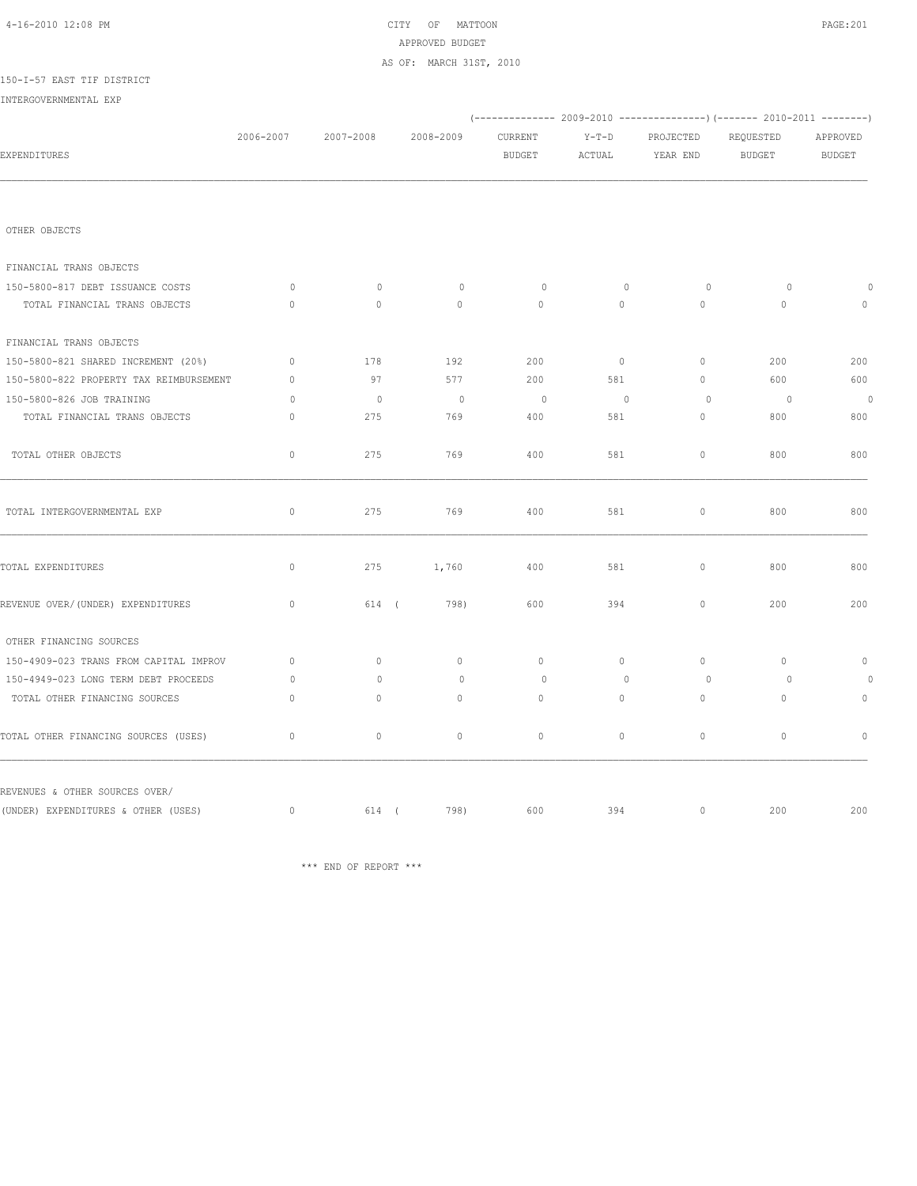# 4-16-2010 12:08 PM CITY OF MATTOON PAGE:201 APPROVED BUDGET AS OF: MARCH 31ST, 2010

#### 150-I-57 EAST TIF DISTRICT

INTERGOVERNMENTAL EXP

| OTHER OBJECTS<br>FINANCIAL TRANS OBJECTS<br>150-5800-817 DEBT ISSUANCE COSTS<br>TOTAL FINANCIAL TRANS OBJECTS<br>FINANCIAL TRANS OBJECTS |              |              |              |                          |                   |                       | (-------------- 2009-2010 ----------------) (------- 2010-2011 ---------) |                           |  |
|------------------------------------------------------------------------------------------------------------------------------------------|--------------|--------------|--------------|--------------------------|-------------------|-----------------------|---------------------------------------------------------------------------|---------------------------|--|
| EXPENDITURES                                                                                                                             | 2006-2007    | 2007-2008    | 2008-2009    | CURRENT<br><b>BUDGET</b> | $Y-T-D$<br>ACTUAL | PROJECTED<br>YEAR END | REQUESTED<br><b>BUDGET</b>                                                | APPROVED<br><b>BUDGET</b> |  |
|                                                                                                                                          |              |              |              |                          |                   |                       |                                                                           |                           |  |
|                                                                                                                                          |              |              |              |                          |                   |                       |                                                                           |                           |  |
|                                                                                                                                          |              |              |              |                          |                   |                       |                                                                           |                           |  |
|                                                                                                                                          | $\circ$      | $\circ$      | $\circ$      | $\circ$                  | $\mathbf 0$       | $\circ$               | $\mathbb O$                                                               | $\theta$                  |  |
|                                                                                                                                          | $\circ$      | $\mathbf{0}$ | $\circ$      | $\mathbf{0}$             | $\circ$           | $\mathbf{0}$          | $\circ$                                                                   | $\circ$                   |  |
|                                                                                                                                          |              |              |              |                          |                   |                       |                                                                           |                           |  |
| 150-5800-821 SHARED INCREMENT (20%)                                                                                                      | $\circ$      | 178          | 192          | 200                      | $\circ$           | $\circ$               | 200                                                                       | 200                       |  |
| 150-5800-822 PROPERTY TAX REIMBURSEMENT                                                                                                  | 0            | 97           | 577          | 200                      | 581               | $\circ$               | 600                                                                       | 600                       |  |
| 150-5800-826 JOB TRAINING                                                                                                                | 0            | $\mathbf{0}$ | $\circ$      | $\circ$                  | $\mathbf 0$       | $\mathbf{0}$          | $\overline{0}$                                                            | $\mathbf{0}$              |  |
| TOTAL FINANCIAL TRANS OBJECTS                                                                                                            | $\mathbb O$  | 275          | 769          | 400                      | 581               | $\mathbb O$           | 800                                                                       | 800                       |  |
| TOTAL OTHER OBJECTS                                                                                                                      | $\circ$      | 275          | 769          | 400                      | 581               | $\circ$               | 800                                                                       | 800                       |  |
| TOTAL INTERGOVERNMENTAL EXP                                                                                                              | $\circ$      | 275          | 769          | 400                      | 581               | $\circ$               | 800                                                                       | 800                       |  |
| TOTAL EXPENDITURES                                                                                                                       | $\mathbb O$  | 275          | 1,760        | 400                      | 581               | $\circ$               | 800                                                                       | 800                       |  |
| REVENUE OVER/(UNDER) EXPENDITURES                                                                                                        | $\mathbb O$  | 614 (        | 798)         | 600                      | 394               | $\circ$               | 200                                                                       | 200                       |  |
| OTHER FINANCING SOURCES                                                                                                                  |              |              |              |                          |                   |                       |                                                                           |                           |  |
| 150-4909-023 TRANS FROM CAPITAL IMPROV                                                                                                   | $\mathbf{0}$ | $\circ$      | $\circ$      | $\mathbb O$              | $\circ$           | $\mathbf{0}$          | $\circ$                                                                   | $\mathbb O$               |  |
| 150-4949-023 LONG TERM DEBT PROCEEDS                                                                                                     | $\circ$      | $\mathbf{0}$ | $\circ$      | $\circ$                  | $\mathbf{0}$      | $\mathbf{0}$          | $\mathbf 0$                                                               | $\circ$                   |  |
| TOTAL OTHER FINANCING SOURCES                                                                                                            | $\circ$      | $\Omega$     | $\mathbf{0}$ | $\circ$                  | $\circ$           | $\circ$               | $\circ$                                                                   | $\mathbb O$               |  |
| TOTAL OTHER FINANCING SOURCES (USES)                                                                                                     | $\mathbb O$  | $\mathbb O$  | $\circ$      | $\mathbb O$              | $\circ$           | $\mathbb O$           | $\mathbb O$                                                               | $\mathbb O$               |  |
| REVENUES & OTHER SOURCES OVER/                                                                                                           |              |              |              |                          |                   |                       |                                                                           |                           |  |
| (UNDER) EXPENDITURES & OTHER (USES)                                                                                                      | $\circ$      | 614 (        | 798)         | 600                      | 394               | $\circ$               | 200                                                                       | 200                       |  |
|                                                                                                                                          |              |              |              |                          |                   |                       |                                                                           |                           |  |

 $\hspace{0.1mm}^{\star\star\star}$  END OF REPORT  $\hspace{0.1mm}^{\star\star\star}$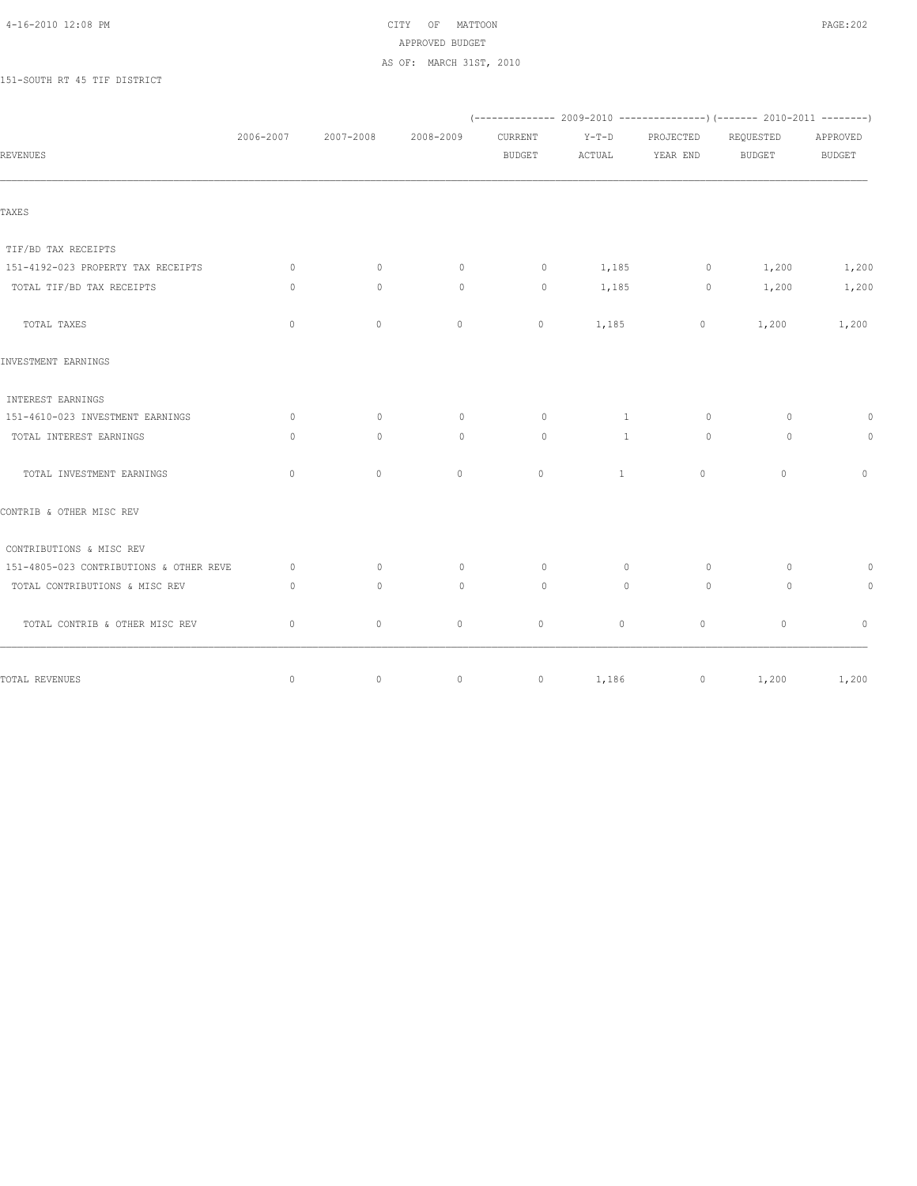# 4-16-2010 12:08 PM CITY OF MATTOON PAGE:202 APPROVED BUDGET AS OF: MARCH 31ST, 2010

## 151-SOUTH RT 45 TIF DISTRICT

|                                         |              |              |              |                          |                   |                                 | (-------------- 2009-2010 -------------------) (------- 2010-2011 ---------) |                           |
|-----------------------------------------|--------------|--------------|--------------|--------------------------|-------------------|---------------------------------|------------------------------------------------------------------------------|---------------------------|
| <b>REVENUES</b>                         | 2006-2007    | 2007-2008    | 2008-2009    | CURRENT<br><b>BUDGET</b> | $Y-T-D$<br>ACTUAL | PROJECTED REQUESTED<br>YEAR END | <b>BUDGET</b>                                                                | APPROVED<br><b>BUDGET</b> |
|                                         |              |              |              |                          |                   |                                 |                                                                              |                           |
| TAXES                                   |              |              |              |                          |                   |                                 |                                                                              |                           |
| TIF/BD TAX RECEIPTS                     |              |              |              |                          |                   |                                 |                                                                              |                           |
| 151-4192-023 PROPERTY TAX RECEIPTS      | $\circ$      | $\circ$      | $\circ$      |                          |                   | 0 1,185 0 1,200                 |                                                                              | 1,200                     |
| TOTAL TIF/BD TAX RECEIPTS               | $\Omega$     | $\Omega$     | $\circ$      | $\circ$                  | 1,185             | $\overline{0}$                  | 1,200                                                                        | 1,200                     |
| TOTAL TAXES                             | $\Omega$     | $\circ$      | $\mathbf{0}$ | $\circ$                  | 1,185             | $\circ$                         | 1,200                                                                        | 1,200                     |
| INVESTMENT EARNINGS                     |              |              |              |                          |                   |                                 |                                                                              |                           |
| INTEREST EARNINGS                       |              |              |              |                          |                   |                                 |                                                                              |                           |
| 151-4610-023 INVESTMENT EARNINGS        | $\circ$      | $\mathbf{0}$ | $\circ$      | $\circ$                  | $\overline{1}$    | $\circ$                         | $\Omega$                                                                     | $\circ$                   |
| TOTAL INTEREST EARNINGS                 | $\circ$      | $\circ$      | $\circ$      | $\circ$                  | $\mathbf{1}$      | $\circ$                         | $\mathbf{0}$                                                                 | $\mathbf 0$               |
| TOTAL INVESTMENT EARNINGS               | $\mathbf{0}$ | $\circ$      | $\mathbf{0}$ | $\circ$                  | $\mathbf{1}$      | $\circ$                         | 0                                                                            | $\mathbb O$               |
| CONTRIB & OTHER MISC REV                |              |              |              |                          |                   |                                 |                                                                              |                           |
| CONTRIBUTIONS & MISC REV                |              |              |              |                          |                   |                                 |                                                                              |                           |
| 151-4805-023 CONTRIBUTIONS & OTHER REVE | $\circ$      | $\circ$      | $\circ$      | $\circ$                  | $\mathbf{0}$      | $\circ$                         | $\mathbf{0}$                                                                 | $\circ$                   |
| TOTAL CONTRIBUTIONS & MISC REV          | $\circ$      | $\circ$      | $\circ$      | $\circ$                  | $\mathbf{0}$      | $\mathbf{0}$                    | $\mathbf{0}$                                                                 | $\mathbf 0$               |
| TOTAL CONTRIB & OTHER MISC REV          | $\mathbf 0$  | $\circ$      | $\circ$      | $\circ$                  | $\circ$           | $\circ$                         | $\circ$                                                                      | $\circ$                   |
| TOTAL REVENUES                          | $\mathbf{0}$ | $\circ$      | $\circ$      | $\circ$                  | 1,186             | $\circ$                         | 1,200                                                                        | 1,200                     |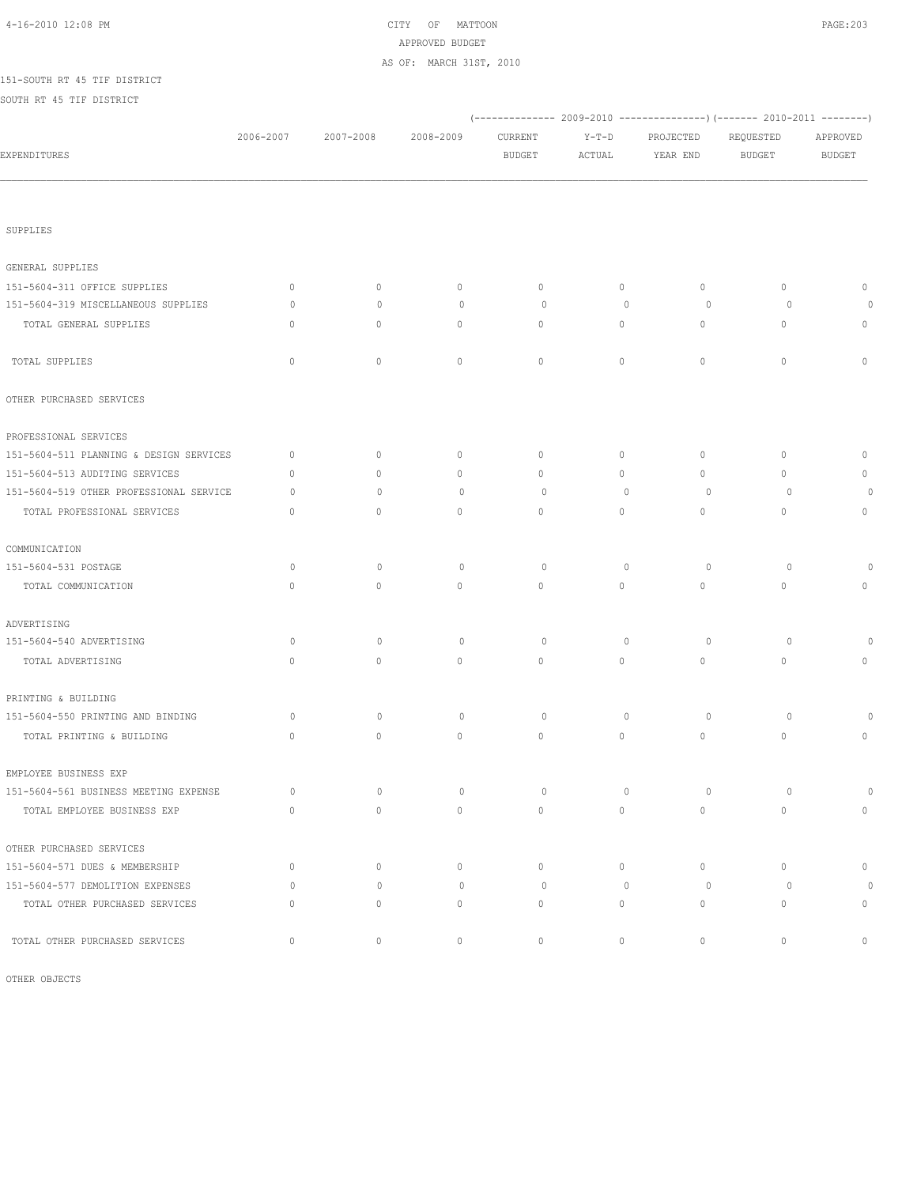# 4-16-2010 12:08 PM CITY OF MATTOON PAGE:203 APPROVED BUDGET AS OF: MARCH 31ST, 2010

#### 151-SOUTH RT 45 TIF DISTRICT

SOUTH RT 45 TIF DISTRICT

|                                         |                |              |                          |                          |                   |                       | (-------------- 2009-2010 ----------------) (------- 2010-2011 --------) |                           |
|-----------------------------------------|----------------|--------------|--------------------------|--------------------------|-------------------|-----------------------|--------------------------------------------------------------------------|---------------------------|
| EXPENDITURES                            | 2006-2007      | 2007-2008    | 2008-2009                | CURRENT<br><b>BUDGET</b> | $Y-T-D$<br>ACTUAL | PROJECTED<br>YEAR END | REQUESTED<br><b>BUDGET</b>                                               | APPROVED<br><b>BUDGET</b> |
|                                         |                |              |                          |                          |                   |                       |                                                                          |                           |
| SUPPLIES                                |                |              |                          |                          |                   |                       |                                                                          |                           |
| GENERAL SUPPLIES                        |                |              |                          |                          |                   |                       |                                                                          |                           |
| 151-5604-311 OFFICE SUPPLIES            | $\circ$        | $\circ$      | $\circ$                  | $\circ$                  | $\circ$           | $\circ$               | $\circ$                                                                  | $\circ$                   |
| 151-5604-319 MISCELLANEOUS SUPPLIES     | $\circ$        | $\circ$      | 0                        | 0                        | 0                 | $\mathbf{0}$          | $\mathbf 0$                                                              | 0                         |
| TOTAL GENERAL SUPPLIES                  | $\mathbf{0}$   | $\mathbf{0}$ | $\circ$                  | $\mathbf{0}$             | $\circ$           | $\mathbb O$           | $\mathbf 0$                                                              | 0                         |
| TOTAL SUPPLIES                          | $\mathbb O$    | $\circ$      | $\mathbb O$              | $\circ$                  | $\circ$           | $\circ$               | $\mathbf{0}$                                                             | $\mathbb O$               |
| OTHER PURCHASED SERVICES                |                |              |                          |                          |                   |                       |                                                                          |                           |
| PROFESSIONAL SERVICES                   |                |              |                          |                          |                   |                       |                                                                          |                           |
| 151-5604-511 PLANNING & DESIGN SERVICES | $\circ$        | $\circ$      | $\mathbf 0$              | $\mathbf 0$              | $\circ$           | $\mathbb O$           | $\mathbf 0$                                                              | 0                         |
| 151-5604-513 AUDITING SERVICES          | 0              | $\circ$      | $\mathbf 0$              | $\circ$                  | $\circ$           | $\circ$               | $\circ$                                                                  | $\circ$                   |
| 151-5604-519 OTHER PROFESSIONAL SERVICE | 0              | 0            | $\mathbf 0$              | 0                        | 0                 | $\mathbf 0$           | $\circ$                                                                  | $\mathbf 0$               |
| TOTAL PROFESSIONAL SERVICES             | $\circ$        | $\circ$      | $\circ$                  | $\mathbf{0}$             | $\circ$           | $\circ$               | $\mathbf 0$                                                              | 0                         |
| COMMUNICATION                           |                |              |                          |                          |                   |                       |                                                                          |                           |
| 151-5604-531 POSTAGE                    | $\circ$        | $\mathbf 0$  | 0                        | $\circ$                  | $\mathbf 0$       | $\mathbf 0$           | $\mathbf 0$                                                              |                           |
| TOTAL COMMUNICATION                     | $\mathbf{0}$   | $\circ$      | 0                        | $\circ$                  | $\circ$           | $\circ$               | $\circ$                                                                  | 0                         |
| ADVERTISING                             |                |              |                          |                          |                   |                       |                                                                          |                           |
| 151-5604-540 ADVERTISING                | 0              | $\circ$      | $\circ$                  | 0                        | 0                 | $\mathbf{0}$          | $\circ$                                                                  |                           |
| TOTAL ADVERTISING                       | $\circ$        | $\circ$      | $\mathbb O$              | $\circ$                  | $\circ$           | $\mathbb O$           | $\mathbb O$                                                              | 0                         |
| PRINTING & BUILDING                     |                |              |                          |                          |                   |                       |                                                                          |                           |
| 151-5604-550 PRINTING AND BINDING       | 0              | $\circ$      | $\circ$                  | 0                        | 0                 | $\mathbf 0$           | $\mathbb O$                                                              |                           |
| TOTAL PRINTING & BUILDING               | 0              | $\circ$      | $\mathbf 0$              | $\mathbf 0$              | $\circ$           | $\circ$               | $\mathbf 0$                                                              | 0                         |
| EMPLOYEE BUSINESS EXP                   |                |              |                          |                          |                   |                       |                                                                          |                           |
| 151-5604-561 BUSINESS MEETING EXPENSE   | 0              | $\circ$      | $\circ$                  | 0                        | $\circ$           | 0                     | $\mathbf 0$                                                              | $\circ$                   |
| TOTAL EMPLOYEE BUSINESS EXP             | $\mathbf{0}$   | $\circ$      | $\circ$                  | $\mathbf{0}$             | $\circ$           | $\mathbf{0}$          | $\circ$                                                                  | $\circ$                   |
| OTHER PURCHASED SERVICES                |                |              |                          |                          |                   |                       |                                                                          |                           |
| 151-5604-571 DUES & MEMBERSHIP          | $\overline{0}$ | $\circ$      | $\overline{\phantom{0}}$ | $\circ$                  | $\circ$           | $\circ$               | $\mathbf 0$                                                              | $\mathbb O$               |
| 151-5604-577 DEMOLITION EXPENSES        | $\circ$        | $\circ$      | $\circ$                  | $\circ$                  | $\circ$           | $\circ$               | $\circ$                                                                  | $\mathbb O$               |
| TOTAL OTHER PURCHASED SERVICES          | $\circ$        | $\circ$      | $\circ$                  | $\circ$                  | $\circ$           | $\circ$               | $\circ$                                                                  | $\mathbb O$               |
| TOTAL OTHER PURCHASED SERVICES          | $\circ$        | $\circ$      | $\circ$                  | $\circ$                  | $\circ$           | $\circ$               | $\mathbb O$                                                              | $\mathbb O$               |

OTHER OBJECTS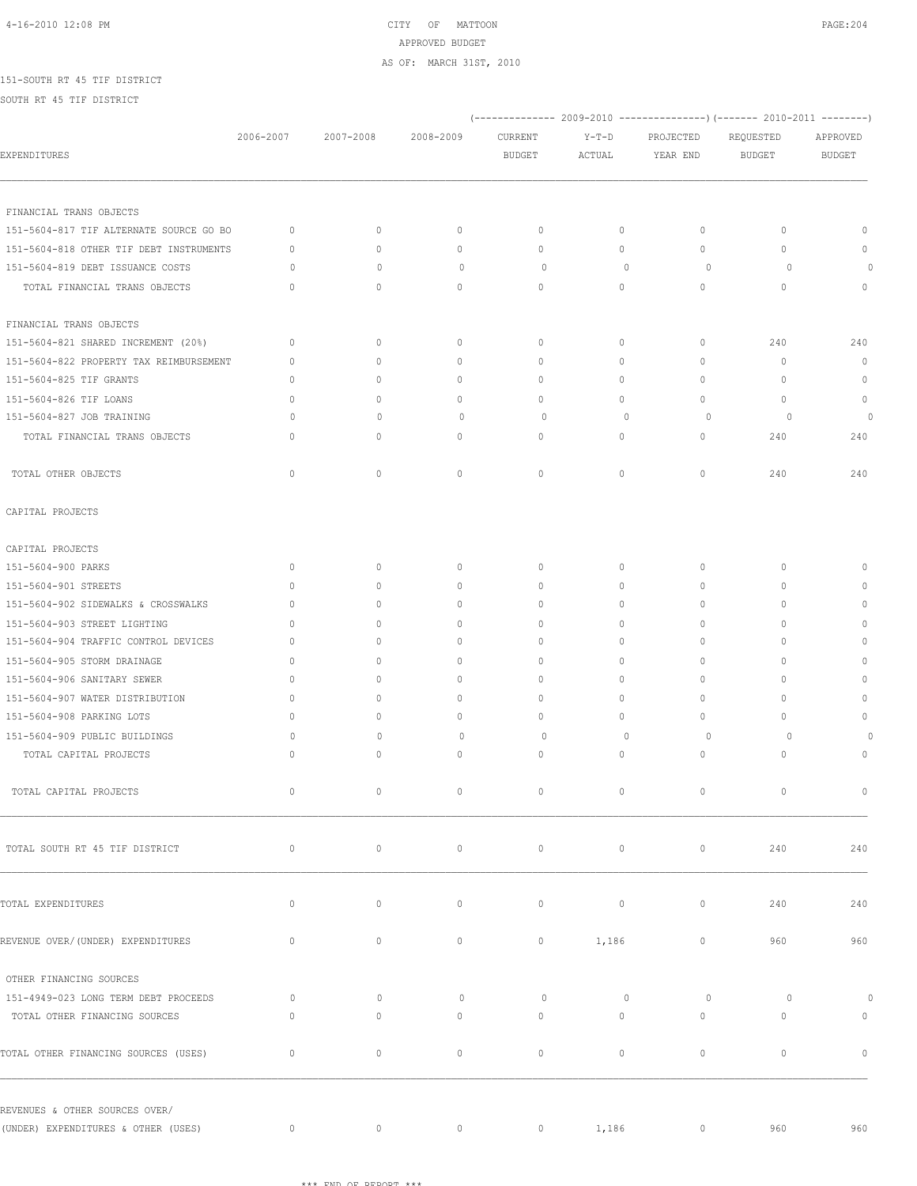# APPROVED BUDGET AS OF: MARCH 31ST, 2010

## 151-SOUTH RT 45 TIF DISTRICT

SOUTH RT 45 TIF DISTRICT

|                                         |              |                                        |                |                                  |                                  |                       | (-------------- 2009-2010 ----------------) (------- 2010-2011 --------) |                           |  |  |
|-----------------------------------------|--------------|----------------------------------------|----------------|----------------------------------|----------------------------------|-----------------------|--------------------------------------------------------------------------|---------------------------|--|--|
| EXPENDITURES                            | 2006-2007    | 2007-2008                              | 2008-2009      | CURRENT<br><b>BUDGET</b>         | $Y-T-D$<br>ACTUAL                | PROJECTED<br>YEAR END | REQUESTED<br><b>BUDGET</b>                                               | APPROVED<br><b>BUDGET</b> |  |  |
|                                         |              |                                        |                |                                  |                                  |                       |                                                                          |                           |  |  |
| FINANCIAL TRANS OBJECTS                 |              |                                        |                |                                  |                                  |                       |                                                                          |                           |  |  |
| 151-5604-817 TIF ALTERNATE SOURCE GO BO | $\mathbf{0}$ | $\circ$                                | $\mathbf{0}$   | $\circ$                          | $\circ$                          | $\mathbf{0}$          | $\mathbf{0}$                                                             | $\mathbf{0}$              |  |  |
| 151-5604-818 OTHER TIF DEBT INSTRUMENTS | $\circ$      | $\circ$                                | $\mathbf{0}$   | $\mathbf{0}$                     | $\circ$                          | $\mathbf{0}$          | $\circ$                                                                  | $\circ$                   |  |  |
| 151-5604-819 DEBT ISSUANCE COSTS        | $\Omega$     | $\mathbf{0}$                           | $\mathbf{0}$   | $\circ$                          | $\mathbf{0}$                     | $\mathbf{0}$          | $\mathbf{0}$                                                             | $\mathbf{0}$              |  |  |
| TOTAL FINANCIAL TRANS OBJECTS           | $\circ$      | $\circ$                                | $\mathbf{0}$   | $\circ$                          | $\circ$                          | $\circ$               | $\mathbf{0}$                                                             | 0                         |  |  |
| FINANCIAL TRANS OBJECTS                 |              |                                        |                |                                  |                                  |                       |                                                                          |                           |  |  |
| 151-5604-821 SHARED INCREMENT (20%)     | $\circ$      | $\circ$                                | $\mathbf{0}$   | $\circ$                          | 0                                | $\circ$               | 240                                                                      | 240                       |  |  |
| 151-5604-822 PROPERTY TAX REIMBURSEMENT | $\circ$      | $\circ$                                | $\circ$        | $\circ$                          | $\circ$                          | $\mathbf{0}$          | $\circ$                                                                  | $\mathbb{O}$              |  |  |
| 151-5604-825 TIF GRANTS                 | $\mathbf{0}$ | $\circ$                                | $\circ$        | $\circ$                          | $\circ$                          | $\circ$               | $\mathbf{0}$                                                             | $\circ$                   |  |  |
| 151-5604-826 TIF LOANS                  | $\circ$      | $\circ$                                | $\mathbf{0}$   | $\circ$                          | $\circ$                          | $\circ$               | $\mathbf{0}$                                                             | $\mathbf{0}$              |  |  |
| 151-5604-827 JOB TRAINING               | 0            | $\mathbf{0}$                           | $\circ$        | $\circ$                          | $\begin{array}{c} \n\end{array}$ | $\mathbf{0}$          | $\mathbf{0}$                                                             | $\mathbb O$               |  |  |
| TOTAL FINANCIAL TRANS OBJECTS           | $\circ$      | $\circ$                                | $\mathbf{0}$   | 0                                | $\circ$                          | $\circ$               | 240                                                                      | 240                       |  |  |
| TOTAL OTHER OBJECTS                     | $\circ$      | $\circ$                                | $\mathbf{0}$   | $\circ$                          | $\circ$                          | $\circ$               | 240                                                                      | 240                       |  |  |
| CAPITAL PROJECTS                        |              |                                        |                |                                  |                                  |                       |                                                                          |                           |  |  |
| CAPITAL PROJECTS                        |              |                                        |                |                                  |                                  |                       |                                                                          |                           |  |  |
| 151-5604-900 PARKS                      | $\circ$      | $\circ$                                | $\mathbf{0}$   | $\circ$                          | 0                                | $\circ$               | $\mathbf{0}$                                                             | $\circ$                   |  |  |
| 151-5604-901 STREETS                    | $\circ$      | $\circ$                                | $\circ$        | $\circ$                          | $\circ$                          | $\circ$               | $\circ$                                                                  | $\mathbf 0$               |  |  |
| 151-5604-902 SIDEWALKS & CROSSWALKS     | $\circ$      | $\mathbf{0}$                           | $\mathbf{0}$   | $\circ$                          | $\circ$                          | $\circ$               | $\mathbf{0}$                                                             | $\mathbf 0$               |  |  |
| 151-5604-903 STREET LIGHTING            | $\circ$      | $\mathbf{0}$                           | $\mathbf{0}$   | $\mathbf{0}$                     | $\circ$                          | $\circ$               | $\mathbf{0}$                                                             | $\circ$                   |  |  |
| 151-5604-904 TRAFFIC CONTROL DEVICES    | $\circ$      | $\mathbf{0}$                           | $\mathbf{0}$   | $\mathbf{0}$                     | $\circ$                          | $\circ$               | $\mathbf{0}$                                                             | $\circ$                   |  |  |
| 151-5604-905 STORM DRAINAGE             | 0            | $\circ$                                | $\mathbf{0}$   | 0                                | $\circ$                          | $\mathbf{0}$          | $\mathbf{0}$                                                             | $\mathbf{0}$              |  |  |
| 151-5604-906 SANITARY SEWER             | $\mathbf{0}$ | $\mathbf{0}$                           | $\mathbf{0}$   | 0                                | $\circ$                          | 0                     | $\mathbf{0}$                                                             | $\circ$                   |  |  |
| 151-5604-907 WATER DISTRIBUTION         | $\circ$      | $\circ$                                | $\mathbf{0}$   | $\circ$                          | $\circ$                          | $\circ$               | $\mathbf{0}$                                                             | 0                         |  |  |
| 151-5604-908 PARKING LOTS               | $\circ$      | $\circ$                                | $\mathbf{0}$   | $\circ$                          | $\circ$                          | $\circ$               | $\mathbf{0}$                                                             | 0                         |  |  |
| 151-5604-909 PUBLIC BUILDINGS           | 0            | $\mathbf{0}$                           | $\circ$        | $\circ$                          | $\mathbf{0}$                     | $\mathbf{0}$          | $\mathbf{0}$                                                             | $\mathbf{0}$              |  |  |
| TOTAL CAPITAL PROJECTS                  | $\circ$      | $\circ$                                | $\mathbf{0}$   | $\circ$                          | $\circ$                          | $\mathbf{0}$          | $\mathbf{0}$                                                             | 0                         |  |  |
| TOTAL CAPITAL PROJECTS                  | $\circ$      | $\overline{0}$                         | $\overline{0}$ | $\overline{0}$                   | $\overline{0}$                   | $\overline{0}$        | $\overline{0}$                                                           | $\overline{0}$            |  |  |
| TOTAL SOUTH RT 45 TIF DISTRICT          | $\circ$      | $\circ$                                | $\circ$        | $\circ$                          | $\circ$                          | $\circ$               | 240                                                                      | 240                       |  |  |
| TOTAL EXPENDITURES                      | $\mathbb O$  | $\circ$                                | $\circ$        | $\mathbf 0$                      | $\circ$                          | $\circ$               | 240                                                                      | 240                       |  |  |
| REVENUE OVER/(UNDER) EXPENDITURES       | $\circ$      | $\circ$                                | $\circ$        | $\circ$                          | 1,186                            | $\circ$               | 960                                                                      | 960                       |  |  |
| OTHER FINANCING SOURCES                 |              |                                        |                |                                  |                                  |                       |                                                                          |                           |  |  |
| 151-4949-023 LONG TERM DEBT PROCEEDS    | $\circ$      | $\circ$                                | $\circ$        | $\circ$                          | $\overline{0}$                   | $\mathbf 0$           | $\overline{0}$                                                           | $\mathbf 0$               |  |  |
| TOTAL OTHER FINANCING SOURCES           | $\circ$      | $\mathbf{0}$                           | $\circ$        | $\circ$                          | $\circ$                          | $\circ$               | $\circ$                                                                  | $\circ$                   |  |  |
| TOTAL OTHER FINANCING SOURCES (USES)    | $\circ$      | $\circ$                                | $\circ$        | $\circ$                          | $\circ$                          | $\circ$               | $\circ$                                                                  | $\circ$                   |  |  |
| REVENUES & OTHER SOURCES OVER/          |              |                                        |                |                                  |                                  |                       |                                                                          |                           |  |  |
| (UNDER) EXPENDITURES & OTHER (USES)     |              | $0 \qquad \qquad$<br>$0 \qquad \qquad$ |                | $\overline{0}$<br>$\overline{0}$ | 1,186                            | $\overline{0}$        | 960                                                                      | 960                       |  |  |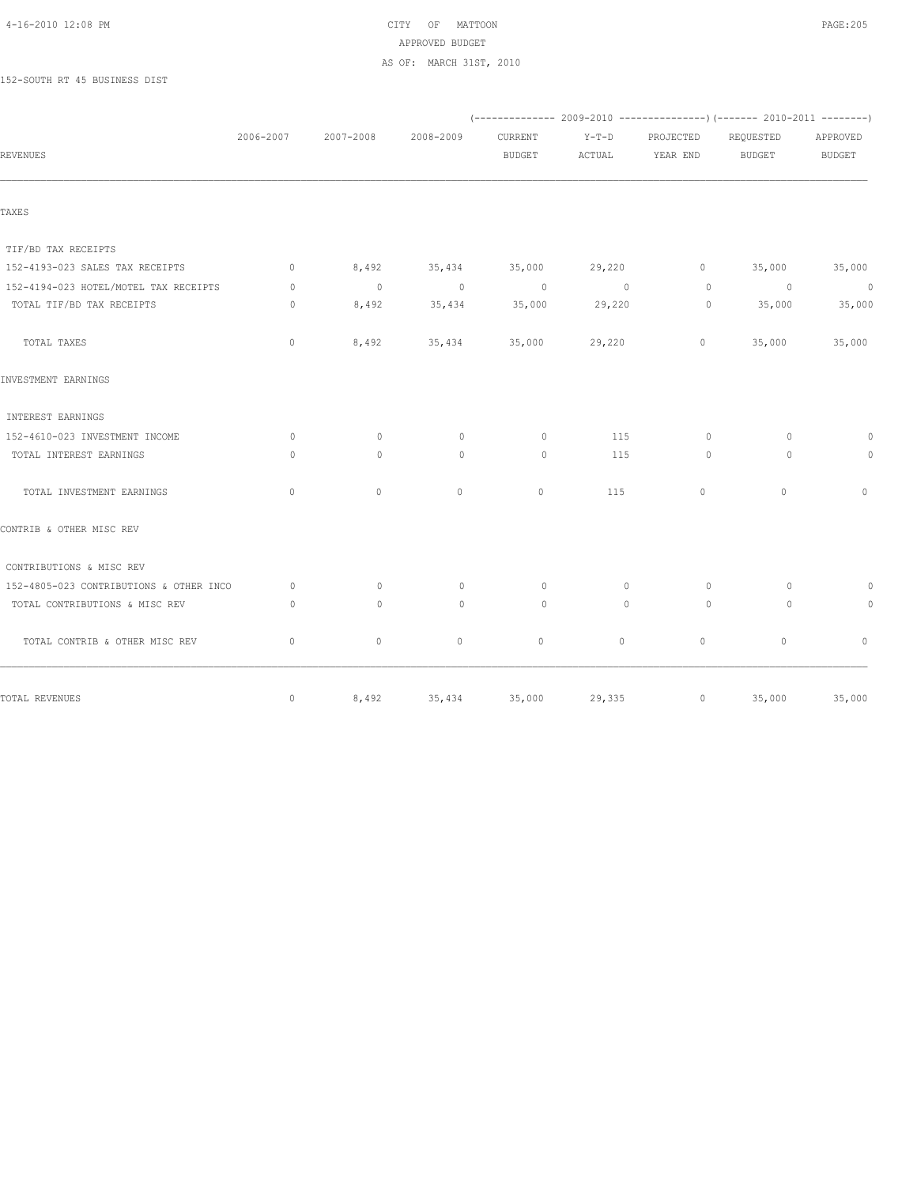# 4-16-2010 12:08 PM CITY OF MATTOON PAGE:205 APPROVED BUDGET AS OF: MARCH 31ST, 2010

152-SOUTH RT 45 BUSINESS DIST

|                                         |              |              |                                     |               |              |                     | (-------------- 2009-2010 -------------------) (------- 2010-2011 ---------) |                          |
|-----------------------------------------|--------------|--------------|-------------------------------------|---------------|--------------|---------------------|------------------------------------------------------------------------------|--------------------------|
|                                         | 2006-2007    | 2007-2008    | 2008-2009                           | CURRENT       | $Y-T-D$      | PROJECTED REQUESTED |                                                                              | APPROVED                 |
| <b>REVENUES</b>                         |              |              |                                     | <b>BUDGET</b> | ACTUAL       | YEAR END            | <b>BUDGET</b>                                                                | BUDGET                   |
|                                         |              |              |                                     |               |              |                     |                                                                              |                          |
| TAXES                                   |              |              |                                     |               |              |                     |                                                                              |                          |
| TIF/BD TAX RECEIPTS                     |              |              |                                     |               |              |                     |                                                                              |                          |
| 152-4193-023 SALES TAX RECEIPTS         | $\circ$      |              | 8,492 35,434 35,000 29,220          |               |              |                     | $0 \t 35,000$                                                                | 35,000                   |
| 152-4194-023 HOTEL/MOTEL TAX RECEIPTS   | $\circ$      | $\sim$ 0     | $\sim$ 0                            | $\sim$ 0      | $\sim$ 0     | $\sim$ 0            | $\sim$ 0                                                                     | $\overline{\phantom{0}}$ |
| TOTAL TIF/BD TAX RECEIPTS               | $\bigcirc$   |              | 8,492 35,434 35,000 29,220 0 35,000 |               |              |                     |                                                                              | 35,000                   |
| TOTAL TAXES                             | $\circ$      |              | 8,492 35,434 35,000 29,220          |               |              |                     | $0 \t 35,000$                                                                | 35,000                   |
| INVESTMENT EARNINGS                     |              |              |                                     |               |              |                     |                                                                              |                          |
| INTEREST EARNINGS                       |              |              |                                     |               |              |                     |                                                                              |                          |
| 152-4610-023 INVESTMENT INCOME          | $\circ$      | $\circ$      | $\circ$                             | $\circ$       | 115          | $\overline{0}$      | $\mathbf{0}$                                                                 |                          |
| TOTAL INTEREST EARNINGS                 | $\circ$      | $\mathbf{0}$ | $\circ$                             | $\circ$       | 115          | $\circ$             | $\mathbf{0}$                                                                 | $\mathbf{0}$             |
| TOTAL INVESTMENT EARNINGS               | $\circ$      | $\circ$      | $\circ$                             | $\circ$       | 115          | $\circ$             | $\mathbf{0}$                                                                 | $\circ$                  |
| CONTRIB & OTHER MISC REV                |              |              |                                     |               |              |                     |                                                                              |                          |
| CONTRIBUTIONS & MISC REV                |              |              |                                     |               |              |                     |                                                                              |                          |
| 152-4805-023 CONTRIBUTIONS & OTHER INCO | $\circ$      | $\circ$      | $\circ$                             | $\circ$       | $\circ$      | $\circ$             | $\mathbf{0}$                                                                 | $\mathbf 0$              |
| TOTAL CONTRIBUTIONS & MISC REV          | $\circ$      | $\circ$      | $\circ$                             | $\circ$       | $\mathbf{0}$ | $\circ$             | $\mathbf{0}$                                                                 | $\mathbf{0}$             |
| TOTAL CONTRIB & OTHER MISC REV          | $\mathbf{0}$ | $\circ$      | $\mathbf{0}$                        | $\circ$       | $\circ$      | $\mathbf{0}$        | $\Omega$                                                                     | $\Omega$                 |
| TOTAL REVENUES                          | 0            |              | 8,492 35,434 35,000 29,335          |               |              |                     | $0 \t 35,000$                                                                | 35,000                   |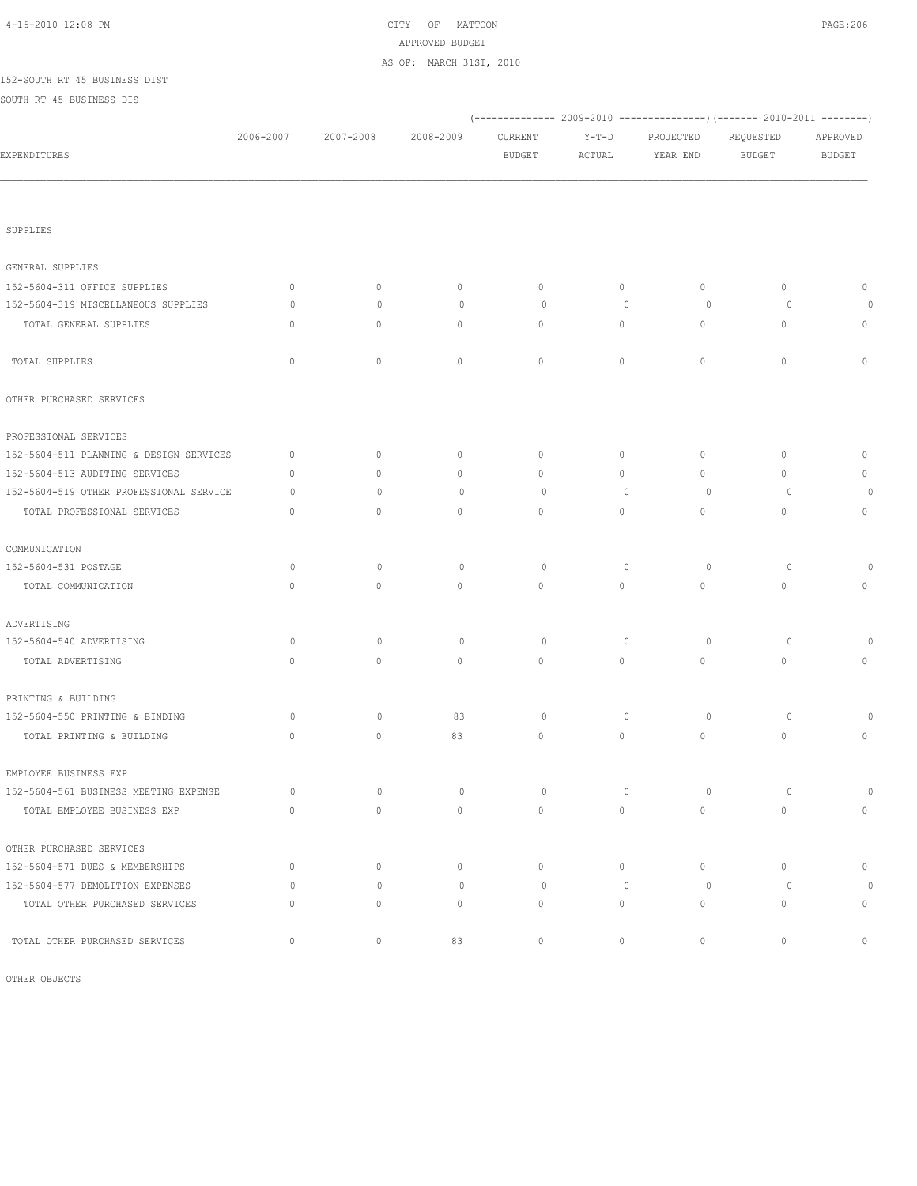# 4-16-2010 12:08 PM CITY OF MATTOON PAGE:206 APPROVED BUDGET AS OF: MARCH 31ST, 2010

#### 152-SOUTH RT 45 BUSINESS DIST

SOUTH RT 45 BUSINESS DIS

| EXPENDITURES                            | 2006-2007    | 2007-2008    | 2008-2009    | CURRENT<br><b>BUDGET</b> | $Y-T-D$<br>ACTUAL | PROJECTED<br>YEAR END | (------------- 2009-2010 ---------------) (------- 2010-2011 --------)<br>REQUESTED<br><b>BUDGET</b> | APPROVED<br><b>BUDGET</b> |
|-----------------------------------------|--------------|--------------|--------------|--------------------------|-------------------|-----------------------|------------------------------------------------------------------------------------------------------|---------------------------|
| SUPPLIES                                |              |              |              |                          |                   |                       |                                                                                                      |                           |
|                                         |              |              |              |                          |                   |                       |                                                                                                      |                           |
| GENERAL SUPPLIES                        |              |              |              |                          |                   |                       |                                                                                                      |                           |
| 152-5604-311 OFFICE SUPPLIES            | $\mathbf{0}$ | $\circ$      | $\mathbf 0$  | $\mathbb O$              | $\circ$           | $\circ$               | 0                                                                                                    | 0                         |
| 152-5604-319 MISCELLANEOUS SUPPLIES     | $\circ$      | $\mathbf{0}$ | $\mathbf 0$  | 0                        | $\mathbf{0}$      | $\mathbf{0}$          | $\mathbf 0$                                                                                          | $\mathbf{0}$              |
| TOTAL GENERAL SUPPLIES                  | $\mathbf{0}$ | $\circ$      | $\mathbf 0$  | $\circ$                  | $\circ$           | $\mathbb O$           | $\mathbf 0$                                                                                          | 0                         |
| TOTAL SUPPLIES                          | $\mathbf{0}$ | $\mathbb O$  | $\mathbf{0}$ | $\mathbb O$              | $\circ$           | $\circ$               | $\mathbf{0}$                                                                                         | $\mathbb O$               |
| OTHER PURCHASED SERVICES                |              |              |              |                          |                   |                       |                                                                                                      |                           |
| PROFESSIONAL SERVICES                   |              |              |              |                          |                   |                       |                                                                                                      |                           |
| 152-5604-511 PLANNING & DESIGN SERVICES | $\circ$      | $\mathbb O$  | $\mathbf 0$  | $\mathbf 0$              | $\circ$           | $\circ$               | $\mathbf 0$                                                                                          | 0                         |
| 152-5604-513 AUDITING SERVICES          | $\mathbf{0}$ | $\circ$      | $\mathbf 0$  | $\circ$                  | $\circ$           | $\circ$               | $\mathbf 0$                                                                                          | $\circ$                   |
| 152-5604-519 OTHER PROFESSIONAL SERVICE | 0            | 0            | 0            | 0                        | 0                 | $\mathbf 0$           | $\mathbf 0$                                                                                          | $\mathbf 0$               |
| TOTAL PROFESSIONAL SERVICES             | $\circ$      | $\mathbf{0}$ | $\circ$      | $\mathbf{0}$             | $\circ$           | $\mathbb O$           | $\mathbf 0$                                                                                          | 0                         |
| COMMUNICATION                           |              |              |              |                          |                   |                       |                                                                                                      |                           |
| 152-5604-531 POSTAGE                    | $\circ$      | $\circ$      | $\circ$      | $\circ$                  | $\mathbf 0$       | $\mathbf 0$           | $\circ$                                                                                              |                           |
| TOTAL COMMUNICATION                     | $\mathbf{0}$ | $\mathbf{0}$ | $\circ$      | $\mathbf{0}$             | $\circ$           | $\circ$               | $\mathbf{0}$                                                                                         | 0                         |
| ADVERTISING                             |              |              |              |                          |                   |                       |                                                                                                      |                           |
| 152-5604-540 ADVERTISING                | 0            | $\circ$      | $\mathbf 0$  | 0                        | 0                 | $\mathbf 0$           | $\circ$                                                                                              |                           |
| TOTAL ADVERTISING                       | $\circ$      | $\circ$      | $\mathbb O$  | $\circ$                  | $\circ$           | $\mathbb O$           | $\mathbb O$                                                                                          | 0                         |
| PRINTING & BUILDING                     |              |              |              |                          |                   |                       |                                                                                                      |                           |
| 152-5604-550 PRINTING & BINDING         | 0            | $\circ$      | 83           | 0                        | 0                 | $\mathbf 0$           | $\circ$                                                                                              |                           |
| TOTAL PRINTING & BUILDING               | $\mathbb O$  | $\circ$      | 83           | $\circ$                  | $\circ$           | $\mathbb O$           | $\mathbf 0$                                                                                          | 0                         |
| EMPLOYEE BUSINESS EXP                   |              |              |              |                          |                   |                       |                                                                                                      |                           |
| 152-5604-561 BUSINESS MEETING EXPENSE   | 0            | 0            | $\circ$      | 0                        | 0                 | $\mathbf 0$           | $\mathbb O$                                                                                          | $\mathbf{0}$              |
| TOTAL EMPLOYEE BUSINESS EXP             | $\mathbf{0}$ | $\mathbf{0}$ | $\mathbf{0}$ | $\mathbf{0}$             | $\circ$           | $\circ$               | $\circ$                                                                                              | $\mathbb O$               |
| OTHER PURCHASED SERVICES                |              |              |              |                          |                   |                       |                                                                                                      |                           |
| 152-5604-571 DUES & MEMBERSHIPS         | $\circ$      | $\circ$      | $\circ$      | $\circ$                  | $\circ$           | $\circ$               | $\circ$                                                                                              | $\mathbb O$               |
| 152-5604-577 DEMOLITION EXPENSES        | $\circ$      | $\mathbb O$  | $\circ$      | $\circ$                  | $\circ$           | $\mathbb O$           | $\mathbb O$                                                                                          | $\mathbf 0$               |
| TOTAL OTHER PURCHASED SERVICES          | $\circ$      | $\circ$      | $\circ$      | $\circ$                  | $\circ$           | $\mathbb O$           | $\mathbb O$                                                                                          | $\mathbb O$               |
| TOTAL OTHER PURCHASED SERVICES          | $\circ$      | $\circ$      | 83           | $\circ$                  | $\circ$           | 0                     | $\circ$                                                                                              | $\mathbb O$               |

OTHER OBJECTS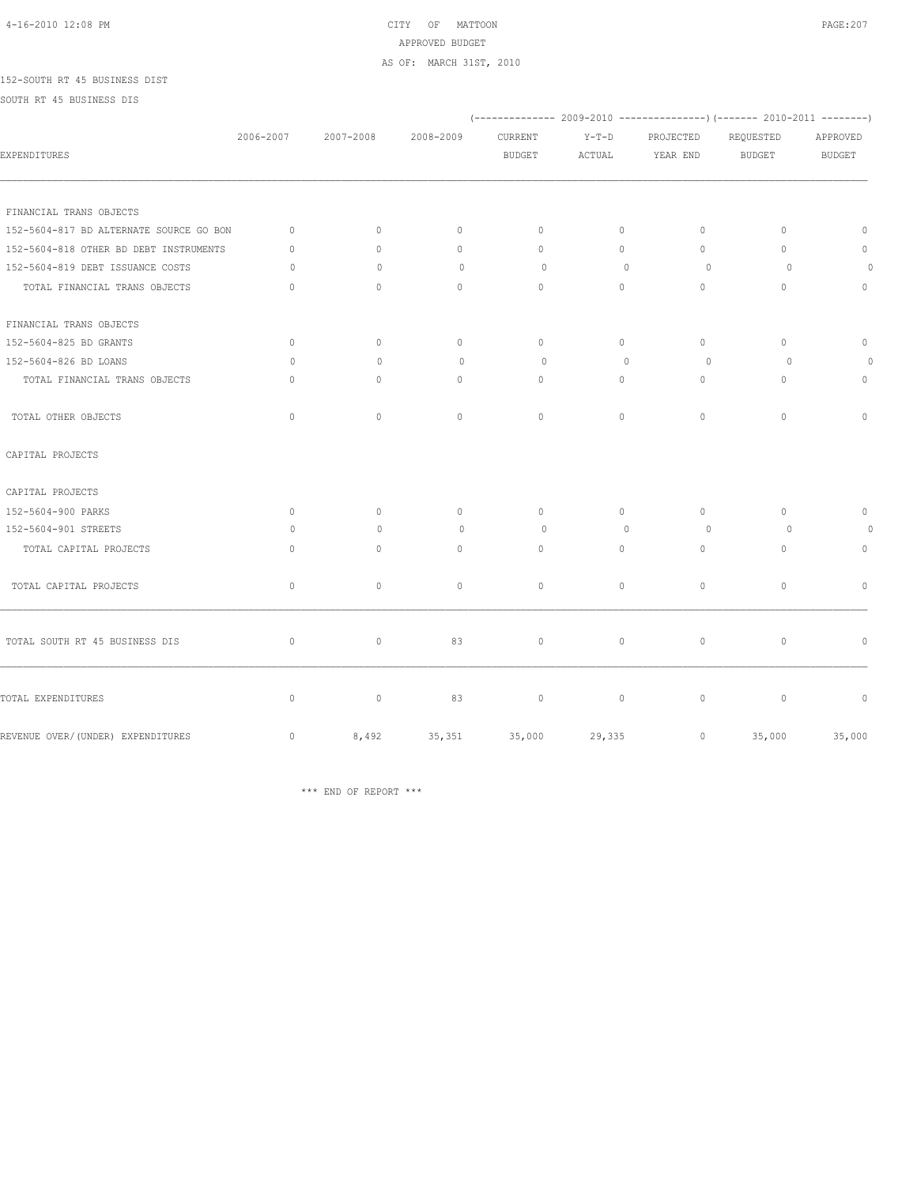# 4-16-2010 12:08 PM CITY OF MATTOON PAGE:207 APPROVED BUDGET AS OF: MARCH 31ST, 2010

#### 152-SOUTH RT 45 BUSINESS DIST

SOUTH RT 45 BUSINESS DIS

|                                         |                          |                     |                         |                    |                         |                         | (-------------- 2009-2010 ----------------) (------- 2010-2011 ---------) |                    |
|-----------------------------------------|--------------------------|---------------------|-------------------------|--------------------|-------------------------|-------------------------|---------------------------------------------------------------------------|--------------------|
|                                         | 2006-2007                | 2007-2008           | 2008-2009               | CURRENT            | $Y-T-D$                 | PROJECTED               | REQUESTED                                                                 | APPROVED           |
| EXPENDITURES                            |                          |                     |                         | <b>BUDGET</b>      | ACTUAL                  | YEAR END                | <b>BUDGET</b>                                                             | <b>BUDGET</b>      |
|                                         |                          |                     |                         |                    |                         |                         |                                                                           |                    |
| FINANCIAL TRANS OBJECTS                 |                          |                     |                         |                    |                         |                         |                                                                           |                    |
| 152-5604-817 BD ALTERNATE SOURCE GO BON | $\mathbf{0}$             | $\circ$             | $\circ$                 | $\circ$            | 0                       | $\mathbf{0}$            | $\mathbf{0}$                                                              | $\mathbb{O}$       |
| 152-5604-818 OTHER BD DEBT INSTRUMENTS  | $\mathbf{0}$<br>$\Omega$ | $\circ$<br>$\Omega$ | $\circ$<br>$\mathbf{0}$ | $\circ$<br>$\circ$ | $\circ$<br>$\mathbf{0}$ | $\circ$<br>$\mathbf{0}$ | $\mathbf{0}$<br>$\mathbf{0}$                                              | $\circ$<br>$\circ$ |
| 152-5604-819 DEBT ISSUANCE COSTS        | $\Omega$                 | $\Omega$            | $\mathbf{0}$            | $\mathbf{0}$       | $\circ$                 | $\mathbf{0}$            | $\mathbf{0}$                                                              | $\circ$            |
| TOTAL FINANCIAL TRANS OBJECTS           |                          |                     |                         |                    |                         |                         |                                                                           |                    |
| FINANCIAL TRANS OBJECTS                 |                          |                     |                         |                    |                         |                         |                                                                           |                    |
| 152-5604-825 BD GRANTS                  | $\circ$                  | $\circ$             | $\circ$                 | $\circ$            | $\circ$                 | $\circ$                 | $\mathbf{0}$                                                              | $\circ$            |
| 152-5604-826 BD LOANS                   | $\circ$                  | $\mathbf{0}$        | $\circ$                 | $\circ$            | $\mathbf 0$             | $\mathbf{0}$            | $\mathbf{0}$                                                              | $\circ$            |
| TOTAL FINANCIAL TRANS OBJECTS           | $\mathbf{0}$             | $\circ$             | $\circ$                 | $\mathbf{0}$       | $\circ$                 | $\mathbf{0}$            | $\mathbf{0}$                                                              | $\circ$            |
| TOTAL OTHER OBJECTS                     | $\Omega$                 | $\circ$             | $\mathbf{0}$            | $\circ$            | $\circ$                 | $\Omega$                | $\Omega$                                                                  | $\mathbf{0}$       |
| CAPITAL PROJECTS                        |                          |                     |                         |                    |                         |                         |                                                                           |                    |
| CAPITAL PROJECTS                        |                          |                     |                         |                    |                         |                         |                                                                           |                    |
| 152-5604-900 PARKS                      | $\mathbf{0}$             | $\circ$             | $\circ$                 | $\mathbf{0}$       | $\circ$                 | $\circ$                 | $\mathbf{0}$                                                              | $\circ$            |
| 152-5604-901 STREETS                    | $\circ$                  | $\mathbf{0}$        | $\circ$                 | $\circ$            | $\mathbf{0}$            | $\mathbf{0}$            | $\mathbf{0}$                                                              | $\mathbb O$        |
| TOTAL CAPITAL PROJECTS                  | $\circ$                  | $\circ$             | $\mathbf{0}$            | $\circ$            | $\circ$                 | $\mathbf{0}$            | $\mathbf{0}$                                                              | $\circ$            |
| TOTAL CAPITAL PROJECTS                  | $\mathbb O$              | $\mathbb O$         | $\mathbb O$             | $\mathbb O$        | $\circ$                 | $\mathbf{0}$            | $\circ$                                                                   | $\mathbf{0}$       |
| TOTAL SOUTH RT 45 BUSINESS DIS          | $\mathbb O$              | $\mathbb O$         | 83                      | $\circ$            | $\circ$                 | $\mathbb O$             | $\mathbb O$                                                               | $\circ$            |
| TOTAL EXPENDITURES                      | $\mathbb O$              | $\mathbb O$         | 83                      | $\mathbb O$        | $\circ$                 | $\mathbb O$             | $\mathbb O$                                                               | $\circ$            |
| REVENUE OVER/(UNDER) EXPENDITURES       | $\circ$                  | 8,492               | 35,351                  | 35,000             | 29,335                  | $\circ$                 | 35,000                                                                    | 35,000             |

\*\*\* END OF REPORT \*\*\*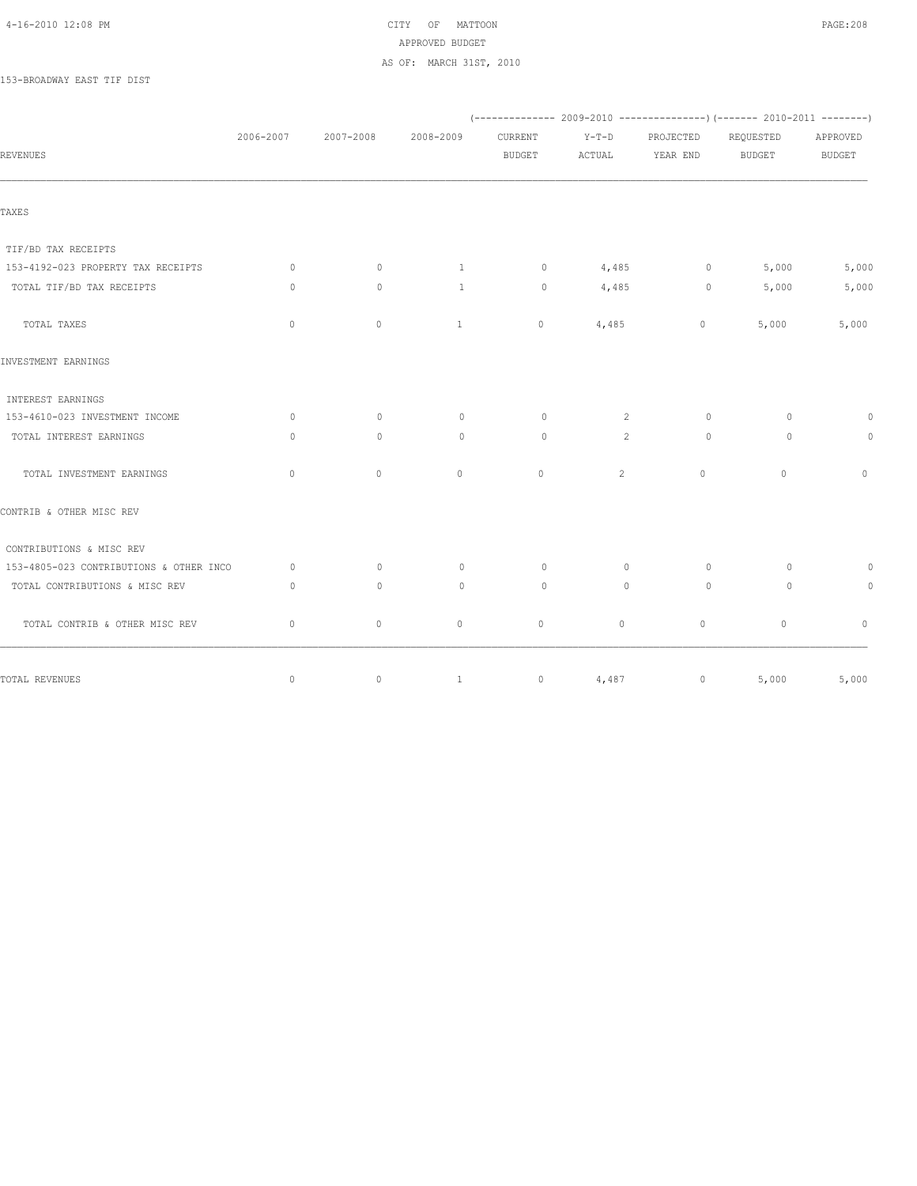# 4-16-2010 12:08 PM CITY OF MATTOON PAGE:208 APPROVED BUDGET AS OF: MARCH 31ST, 2010

## 153-BROADWAY EAST TIF DIST

|                                         |              |             |              |               | (------------- 2009-2010 ---------------)(------- 2010-2011 --------) |              |                         |               |  |
|-----------------------------------------|--------------|-------------|--------------|---------------|-----------------------------------------------------------------------|--------------|-------------------------|---------------|--|
|                                         | 2006-2007    | 2007-2008   | 2008-2009    | CURRENT       | $Y-T-D$                                                               | PROJECTED    | REQUESTED               | APPROVED      |  |
| <b>REVENUES</b>                         |              |             |              | <b>BUDGET</b> | ACTUAL                                                                | YEAR END     | <b>BUDGET</b>           | <b>BUDGET</b> |  |
|                                         |              |             |              |               |                                                                       |              |                         |               |  |
| TAXES                                   |              |             |              |               |                                                                       |              |                         |               |  |
| TIF/BD TAX RECEIPTS                     |              |             |              |               |                                                                       |              |                         |               |  |
| 153-4192-023 PROPERTY TAX RECEIPTS      | $\circ$      | $\mathbb O$ | $\mathbf{1}$ | $\circ$       | 4,485                                                                 |              | 5,000<br>$\overline{0}$ | 5,000         |  |
| TOTAL TIF/BD TAX RECEIPTS               | $\circ$      | $\circ$     | $\mathbf{1}$ | $\circ$       | 4,485                                                                 | $\circ$      | 5,000                   | 5,000         |  |
| TOTAL TAXES                             | $\mathbf{0}$ | $\mathbb O$ | $\mathbf{1}$ | $\circ$       | 4,485                                                                 | 0            | 5,000                   | 5,000         |  |
| INVESTMENT EARNINGS                     |              |             |              |               |                                                                       |              |                         |               |  |
| INTEREST EARNINGS                       |              |             |              |               |                                                                       |              |                         |               |  |
| 153-4610-023 INVESTMENT INCOME          | $\circ$      | $\circ$     | $\circ$      | $\circ$       | 2                                                                     | $\mathbf{0}$ | $\mathbf{0}$            | $\mathbf 0$   |  |
| TOTAL INTEREST EARNINGS                 | $\circ$      | $\circ$     | $\circ$      | $\circ$       | 2                                                                     | $\mathbf{0}$ | $\mathbf{0}$            | $\mathbf 0$   |  |
| TOTAL INVESTMENT EARNINGS               | $\mathbf{0}$ | $\circ$     | $\mathbf{0}$ | $\circ$       | 2                                                                     | $\mathbf{0}$ | $\mathbf{0}$            | $\mathbf{0}$  |  |
| CONTRIB & OTHER MISC REV                |              |             |              |               |                                                                       |              |                         |               |  |
| CONTRIBUTIONS & MISC REV                |              |             |              |               |                                                                       |              |                         |               |  |
| 153-4805-023 CONTRIBUTIONS & OTHER INCO | $\circ$      | $\circ$     | $\circ$      | $\circ$       | $\mathbf{0}$                                                          | $\mathbf{0}$ | $\mathbf{0}$            | $\circ$       |  |
| TOTAL CONTRIBUTIONS & MISC REV          | $\circ$      | $\circ$     | $\circ$      | $\circ$       | $\mathbf{0}$                                                          | $\circ$      | $\mathbf{0}$            | $\mathbb O$   |  |
| TOTAL CONTRIB & OTHER MISC REV          | $\circ$      | $\circ$     | $\circ$      | $\circ$       | $\circ$                                                               | $\mathbb O$  | $\circ$                 | $\circ$       |  |
| TOTAL REVENUES                          | $\circ$      | $\circ$     | $\mathbf{1}$ | $\circ$       | 4,487                                                                 | $\circ$      | 5,000                   | 5,000         |  |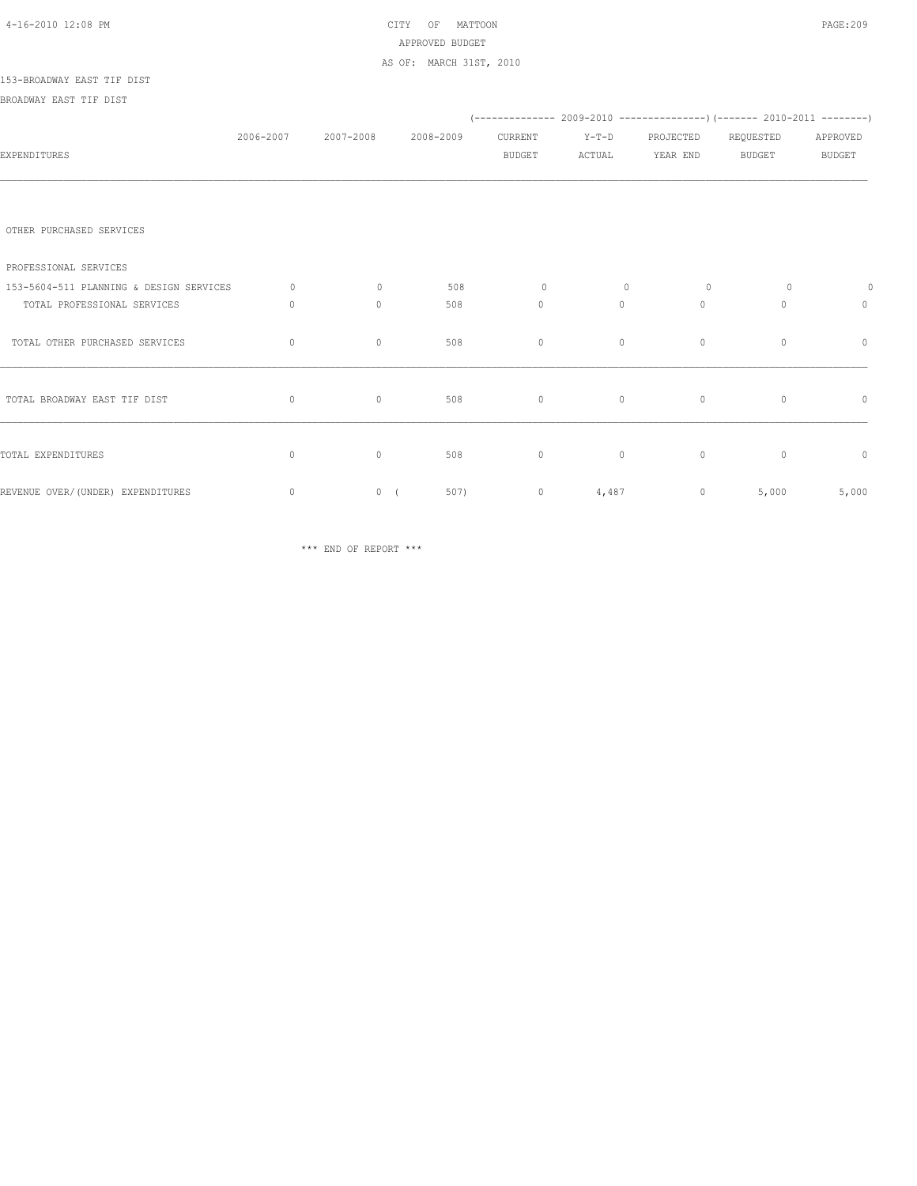# 4-16-2010 12:08 PM CITY OF MATTOON PAGE:209 APPROVED BUDGET AS OF: MARCH 31ST, 2010

#### 153-BROADWAY EAST TIF DIST

BROADWAY EAST TIF DIST

|                                           |              |                               |      |                |                | $(-$ -------------- 2009-2010 -----------------) (------- 2010-2011 --------) |                |               |
|-------------------------------------------|--------------|-------------------------------|------|----------------|----------------|-------------------------------------------------------------------------------|----------------|---------------|
|                                           |              | 2006-2007 2007-2008 2008-2009 |      | CURRENT        | $Y-T-D$        | PROJECTED REQUESTED                                                           |                | APPROVED      |
| <b>EXPENDITURES</b>                       |              |                               |      | <b>BUDGET</b>  | ACTUAL         | YEAR END                                                                      | <b>BUDGET</b>  | <b>BUDGET</b> |
|                                           |              |                               |      |                |                |                                                                               |                |               |
|                                           |              |                               |      |                |                |                                                                               |                |               |
| OTHER PURCHASED SERVICES                  |              |                               |      |                |                |                                                                               |                |               |
| PROFESSIONAL SERVICES                     |              |                               |      |                |                |                                                                               |                |               |
| 153-5604-511 PLANNING & DESIGN SERVICES 0 |              | $\sim$ 0                      | 508  | $\sim$ 0       | $\overline{0}$ | $\sim$ 0                                                                      | $\circ$        | $\mathbf 0$   |
| TOTAL PROFESSIONAL SERVICES               | $\mathbf{0}$ | $\circ$                       | 508  | $\circ$        | $\circ$        | $\circ$                                                                       | $\Omega$       | $\circ$       |
| TOTAL OTHER PURCHASED SERVICES            | $\circ$      | $\circ$                       | 508  | $\circ$        | $\circ$        | $\circ$                                                                       | $\mathbf{0}$   | $\circ$       |
| TOTAL BROADWAY EAST TIF DIST              | $\circ$      | $\circ$                       | 508  | $\circ$        | $\overline{0}$ | $\circ$                                                                       | $\mathbf{0}$   | $\circ$       |
| TOTAL EXPENDITURES                        | $\mathbf{0}$ | 0                             | 508  | $\overline{0}$ | $\sim$ 0       | $\circ$                                                                       | $\overline{0}$ | $\circ$       |
| REVENUE OVER/(UNDER) EXPENDITURES         | $\circ$      | 0(                            | 507) | $\circ$        |                | 4,487<br>$\circ$                                                              | 5,000          | 5,000         |

 $\hspace{0.1cm}^{\star\star\star}$  END OF REPORT  $\hspace{0.1cm}^{\star\star\star}$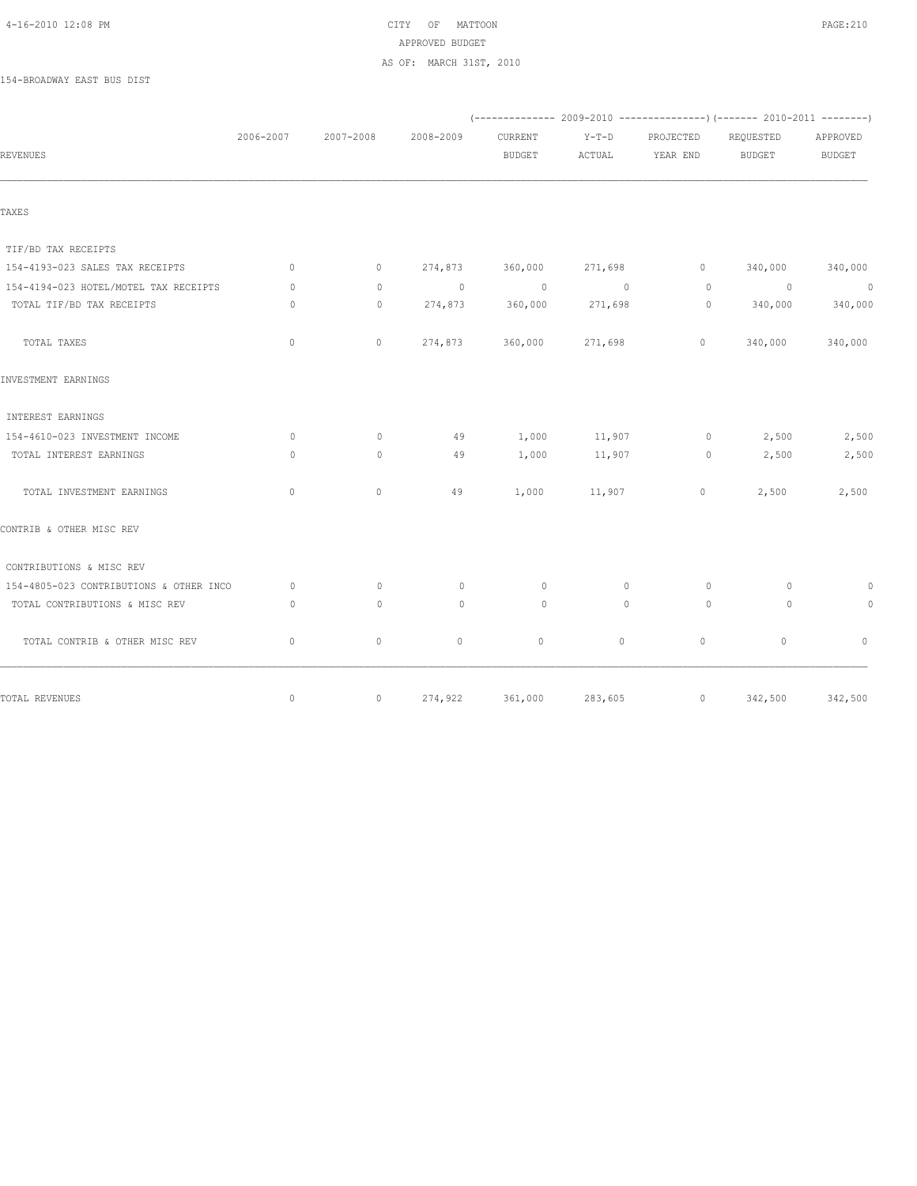# 4-16-2010 12:08 PM CITY OF MATTOON PAGE:210 APPROVED BUDGET AS OF: MARCH 31ST, 2010

154-BROADWAY EAST BUS DIST

|                                         |              |                   |                         |                         |              |                | (-------------- 2009-2010 ----------------) (------- 2010-2011 --------) |               |
|-----------------------------------------|--------------|-------------------|-------------------------|-------------------------|--------------|----------------|--------------------------------------------------------------------------|---------------|
|                                         | 2006-2007    | 2007-2008         | 2008-2009               | CURRENT                 | $Y-T-D$      | PROJECTED      | REQUESTED                                                                | APPROVED      |
| <b>REVENUES</b>                         |              |                   |                         | <b>BUDGET</b>           | ACTUAL       | YEAR END       | <b>BUDGET</b>                                                            | <b>BUDGET</b> |
|                                         |              |                   |                         |                         |              |                |                                                                          |               |
| TAXES                                   |              |                   |                         |                         |              |                |                                                                          |               |
| TIF/BD TAX RECEIPTS                     |              |                   |                         |                         |              |                |                                                                          |               |
| 154-4193-023 SALES TAX RECEIPTS         | $\circ$      | $\overline{0}$    | 274,873 360,000 271,698 |                         |              |                | $0 \t340,000$                                                            | 340,000       |
| 154-4194-023 HOTEL/MOTEL TAX RECEIPTS   | $\circ$      | $\circ$           | $\sim$ 0                | $\sim$ 0                | $\sim$ 0     | $\overline{0}$ | $\sim$ 0                                                                 | $\sim$ 0      |
| TOTAL TIF/BD TAX RECEIPTS               | 0            | $\circ$           |                         | 274,873 360,000 271,698 |              |                | $0 \t340,000$                                                            | 340,000       |
| TOTAL TAXES                             | $\circ$      | $\circ$           |                         | 274,873 360,000         | 271,698      | $\circ$        | 340,000                                                                  | 340,000       |
| INVESTMENT EARNINGS                     |              |                   |                         |                         |              |                |                                                                          |               |
| INTEREST EARNINGS                       |              |                   |                         |                         |              |                |                                                                          |               |
| 154-4610-023 INVESTMENT INCOME          | $\circ$      | $\Omega$          | 49                      |                         | 1,000 11,907 | $\overline{0}$ | 2,500                                                                    | 2,500         |
| TOTAL INTEREST EARNINGS                 | $\circ$      | $\circ$           | 49                      | 1,000                   | 11,907       | $\circ$        | 2,500                                                                    | 2,500         |
| TOTAL INVESTMENT EARNINGS               | $\Omega$     | $\circ$           | 49                      | 1,000                   | 11,907       | $\circ$        | 2,500                                                                    | 2,500         |
| CONTRIB & OTHER MISC REV                |              |                   |                         |                         |              |                |                                                                          |               |
| CONTRIBUTIONS & MISC REV                |              |                   |                         |                         |              |                |                                                                          |               |
| 154-4805-023 CONTRIBUTIONS & OTHER INCO | $\Omega$     | $\Omega$          | $\circ$                 | $\Omega$                | $\Omega$     | $\mathbf{0}$   | $\begin{array}{c} \n\end{array}$                                         | $\mathbf 0$   |
| TOTAL CONTRIBUTIONS & MISC REV          | $\circ$      | $\circ$           | $\circ$                 | $\circ$                 | $\mathbf{0}$ | $\circ$        | $\mathbf{0}$                                                             | $\mathbf 0$   |
| TOTAL CONTRIB & OTHER MISC REV          | $\mathbf{0}$ | $\circ$           | $\mathbf{0}$            | $\circ$                 | $\circ$      | $\circ$        | $\mathbf{0}$                                                             | $\circ$       |
| TOTAL REVENUES                          | $\mathbf{0}$ | $0 \qquad \qquad$ |                         | 274,922 361,000 283,605 |              |                | 0 342,500 342,500                                                        |               |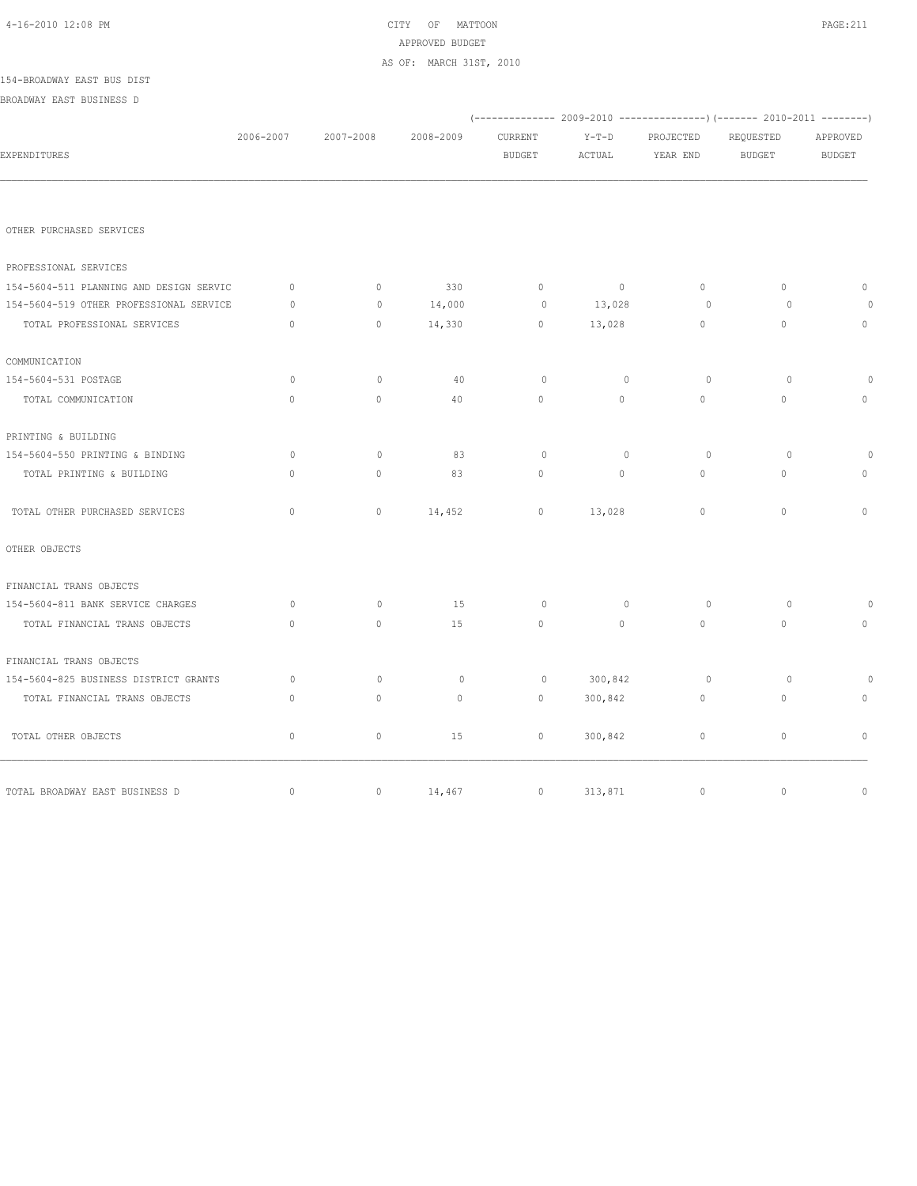# 4-16-2010 12:08 PM CITY OF MATTOON PAGE:211 APPROVED BUDGET AS OF: MARCH 31ST, 2010

#### 154-BROADWAY EAST BUS DIST

BROADWAY EAST BUSINESS D

|                                         |              |              |              |                          |                   |                       | (-------------- 2009-2010 ----------------) (------- 2010-2011 ---------) |                           |
|-----------------------------------------|--------------|--------------|--------------|--------------------------|-------------------|-----------------------|---------------------------------------------------------------------------|---------------------------|
| EXPENDITURES                            | 2006-2007    | 2007-2008    | 2008-2009    | CURRENT<br><b>BUDGET</b> | $Y-T-D$<br>ACTUAL | PROJECTED<br>YEAR END | REQUESTED<br><b>BUDGET</b>                                                | APPROVED<br><b>BUDGET</b> |
|                                         |              |              |              |                          |                   |                       |                                                                           |                           |
| OTHER PURCHASED SERVICES                |              |              |              |                          |                   |                       |                                                                           |                           |
| PROFESSIONAL SERVICES                   |              |              |              |                          |                   |                       |                                                                           |                           |
| 154-5604-511 PLANNING AND DESIGN SERVIC | $\circ$      | $\mathbb O$  | 330          | $\circ$                  | $\circ$           | $\circ$               | $\circ$                                                                   | $\circ$                   |
| 154-5604-519 OTHER PROFESSIONAL SERVICE | $\Omega$     | $\mathbf{0}$ | 14,000       | $\circ$                  | 13,028            | $\mathbf{0}$          | $\mathbf{0}$                                                              | $\circ$                   |
| TOTAL PROFESSIONAL SERVICES             | $\Omega$     | $\mathbf{0}$ | 14,330       | $\circ$                  | 13,028            | $\circ$               | $\mathbf{0}$                                                              | $\mathbf{0}$              |
| COMMUNICATION                           |              |              |              |                          |                   |                       |                                                                           |                           |
| 154-5604-531 POSTAGE                    | $\circ$      | $\circ$      | 40           | $\circ$                  | $\mathbf{0}$      | $\mathbf{0}$          | $\mathbf{0}$                                                              | $\mathbf{0}$              |
| TOTAL COMMUNICATION                     | $\Omega$     | $\Omega$     | 40           | $\Omega$                 | $\Omega$          | $\Omega$              | $\mathbf{0}$                                                              | $\circ$                   |
| PRINTING & BUILDING                     |              |              |              |                          |                   |                       |                                                                           |                           |
| 154-5604-550 PRINTING & BINDING         | $\Omega$     | $\circ$      | 83           | $\Omega$                 | $\mathbf{0}$      | $\circ$               | $\Omega$                                                                  | $\circ$                   |
| TOTAL PRINTING & BUILDING               | $\mathbf{0}$ | $\mathbf{0}$ | 83           | $\circ$                  | $\circ$           | $\circ$               | $\mathbf{0}$                                                              | $\circ$                   |
| TOTAL OTHER PURCHASED SERVICES          | $\circ$      | $\circ$      | 14,452       | $\circ$                  | 13,028            | $\circ$               | $\mathbf{0}$                                                              | $\circ$                   |
| OTHER OBJECTS                           |              |              |              |                          |                   |                       |                                                                           |                           |
| FINANCIAL TRANS OBJECTS                 |              |              |              |                          |                   |                       |                                                                           |                           |
| 154-5604-811 BANK SERVICE CHARGES       | $\circ$      | $\circ$      | 15           | $\circ$                  | $\mathbf{0}$      | $\circ$               | $\circ$                                                                   | $\circ$                   |
| TOTAL FINANCIAL TRANS OBJECTS           | $\circ$      | $\circ$      | 15           | $\circ$                  | $\circ$           | $\circ$               | $\mathbf{0}$                                                              | $\circ$                   |
| FINANCIAL TRANS OBJECTS                 |              |              |              |                          |                   |                       |                                                                           |                           |
| 154-5604-825 BUSINESS DISTRICT GRANTS   | $\circ$      | $\circ$      | $\mathbb O$  | $\circ$                  | 300,842           | $\circ$               | $\circ$                                                                   | $\circ$                   |
| TOTAL FINANCIAL TRANS OBJECTS           | $\Omega$     | $\circ$      | $\mathbf{0}$ | $\mathbf{0}$             | 300,842           | $\circ$               | $\mathbf{0}$                                                              | $\mathbf{0}$              |
| TOTAL OTHER OBJECTS                     | $\circ$      | $\mathbb O$  | 15           | $\circ$                  | 300,842           | $\circ$               | $\circ$                                                                   | $\circ$                   |
| TOTAL BROADWAY EAST BUSINESS D          | $\circ$      | $\mathbb O$  | 14,467       | $\circ$                  | 313,871           | $\circ$               | $\circ$                                                                   | $\mathbb O$               |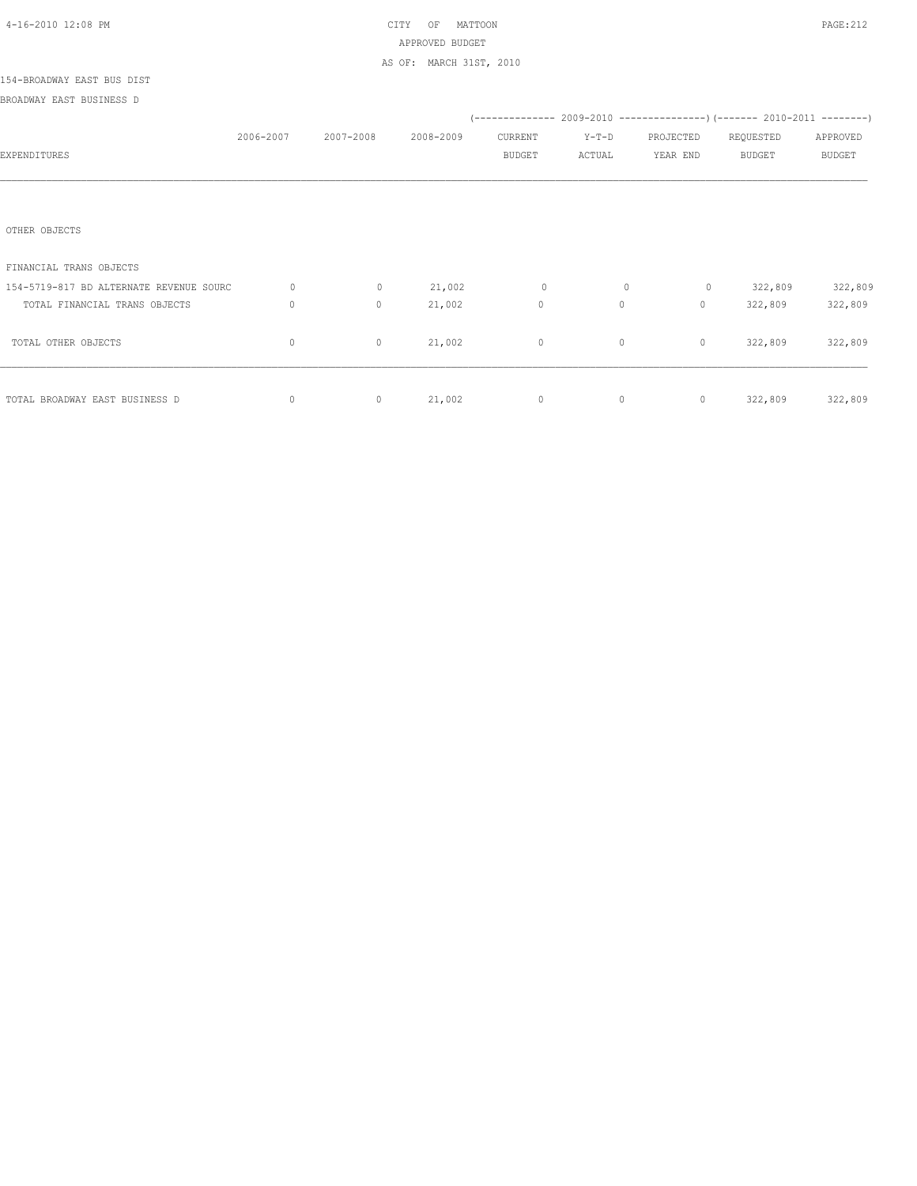# 4-16-2010 12:08 PM CITY OF MATTOON PAGE:212 APPROVED BUDGET AS OF: MARCH 31ST, 2010

#### 154-BROADWAY EAST BUS DIST

BROADWAY EAST BUSINESS D

|                                         | 2006-2007    | 2007-2008 | 2008-2009 | CURRENT       | $Y-T-D$ | PROJECTED               | REQUESTED     | APPROVED      |
|-----------------------------------------|--------------|-----------|-----------|---------------|---------|-------------------------|---------------|---------------|
| EXPENDITURES                            |              |           |           | <b>BUDGET</b> | ACTUAL  | YEAR END                | <b>BUDGET</b> | <b>BUDGET</b> |
|                                         |              |           |           |               |         |                         |               |               |
| OTHER OBJECTS                           |              |           |           |               |         |                         |               |               |
| FINANCIAL TRANS OBJECTS                 |              |           |           |               |         |                         |               |               |
| 154-5719-817 BD ALTERNATE REVENUE SOURC | 0            | $\circ$   | 21,002    | $\circ$       |         | $\mathbf{0}$<br>$\circ$ | 322,809       | 322,809       |
| TOTAL FINANCIAL TRANS OBJECTS           | $\mathbf{0}$ | $\circ$   | 21,002    | $\circ$       | $\circ$ | $\circ$                 | 322,809       | 322,809       |
| TOTAL OTHER OBJECTS                     | $\mathbf{0}$ | $\circ$   | 21,002    | $\circ$       | $\circ$ | $\circ$                 | 322,809       | 322,809       |
| TOTAL BROADWAY EAST BUSINESS D          | $\circ$      | $\circ$   | 21,002    | $\circ$       | $\circ$ | 0                       | 322,809       | 322,809       |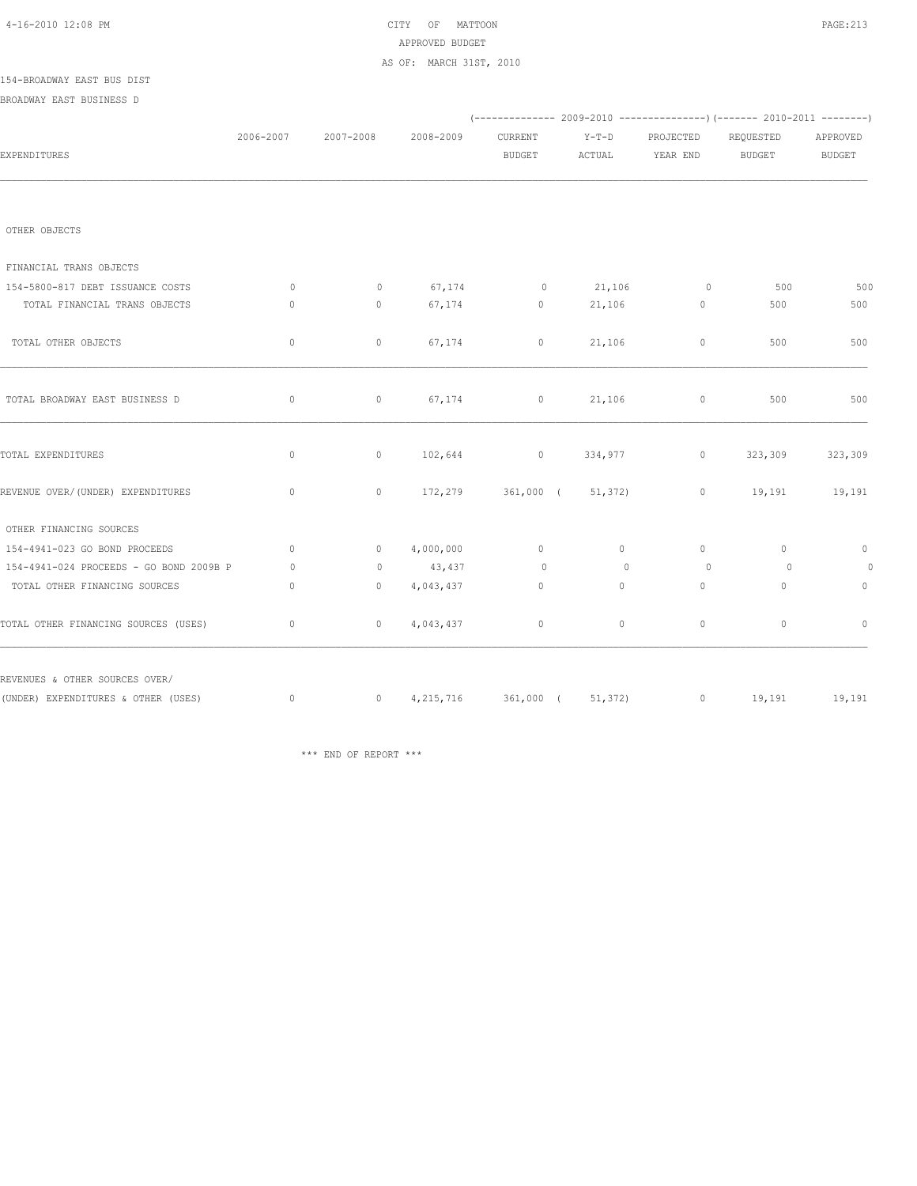# 4-16-2010 12:08 PM CITY OF MATTOON PAGE:213 APPROVED BUDGET AS OF: MARCH 31ST, 2010

#### 154-BROADWAY EAST BUS DIST

| BROADWAY EAST BUSINESS D                |              |           |           |                                                                                                      |                   |                       |                            |                           |
|-----------------------------------------|--------------|-----------|-----------|------------------------------------------------------------------------------------------------------|-------------------|-----------------------|----------------------------|---------------------------|
| EXPENDITURES                            | 2006-2007    | 2007-2008 | 2008-2009 | (-------------- 2009-2010 ----------------) (------- 2010-2011 --------)<br>CURRENT<br><b>BUDGET</b> | $Y-T-D$<br>ACTUAL | PROJECTED<br>YEAR END | REQUESTED<br><b>BUDGET</b> | APPROVED<br><b>BUDGET</b> |
|                                         |              |           |           |                                                                                                      |                   |                       |                            |                           |
| OTHER OBJECTS                           |              |           |           |                                                                                                      |                   |                       |                            |                           |
| FINANCIAL TRANS OBJECTS                 |              |           |           |                                                                                                      |                   |                       |                            |                           |
| 154-5800-817 DEBT ISSUANCE COSTS        | $\circ$      | $\circ$   | 67,174    | $\overline{0}$                                                                                       | 21,106            | $\overline{0}$        | 500                        | 500                       |
| TOTAL FINANCIAL TRANS OBJECTS           | $\mathbf 0$  | $\circ$   | 67,174    | $\circ$                                                                                              | 21,106            | $\circ$               | 500                        | 500                       |
| TOTAL OTHER OBJECTS                     | $\mathbf 0$  | $\circ$   | 67,174    | $\circ$                                                                                              | 21,106            | $\circ$               | 500                        | 500                       |
| TOTAL BROADWAY EAST BUSINESS D          | $\circ$      | $\circ$   | 67,174    | 0                                                                                                    | 21,106            | $\circ$               | 500                        | 500                       |
| TOTAL EXPENDITURES                      | $\circ$      | $\circ$   |           | $102,644$ 0                                                                                          | 334,977           | 0                     | 323,309                    | 323,309                   |
| REVENUE OVER/(UNDER) EXPENDITURES       | $\mathbf{0}$ | $\circ$   |           | 172,279 361,000 (51,372)                                                                             |                   | $\circ$               | 19,191                     | 19,191                    |
| OTHER FINANCING SOURCES                 |              |           |           |                                                                                                      |                   |                       |                            |                           |
| 154-4941-023 GO BOND PROCEEDS           | $\mathbf 0$  | $\circ$   | 4,000,000 | $\circ$                                                                                              | $\circ$           | 0                     | $\circ$                    | $\circ$                   |
| 154-4941-024 PROCEEDS - GO BOND 2009B P | $\circ$      | $\circ$   | 43,437    | $\circ$                                                                                              | $\circ$           | $\overline{0}$        | $\circ$                    | $\circ$                   |
| TOTAL OTHER FINANCING SOURCES           | $\mathbf{0}$ | $\circ$   | 4,043,437 | $\circ$                                                                                              | $\circ$           | $\mathbf{0}$          | $\mathbf{0}$               | $\circ$                   |
| TOTAL OTHER FINANCING SOURCES (USES)    | $\mathbb O$  | $\circ$   | 4,043,437 | $\mathbb O$                                                                                          | $\circ$           | $\mathbb O$           | $\circ$                    | $\mathbb O$               |
| REVENUES & OTHER SOURCES OVER/          |              |           |           |                                                                                                      |                   |                       |                            |                           |
| (UNDER) EXPENDITURES & OTHER (USES)     | $\circ$      |           |           | $0 \qquad 4,215,716 \qquad 361,000 \qquad (51,372)$                                                  |                   | $\overline{0}$        | 19,191                     | 19,191                    |

\*\*\* END OF REPORT \*\*\*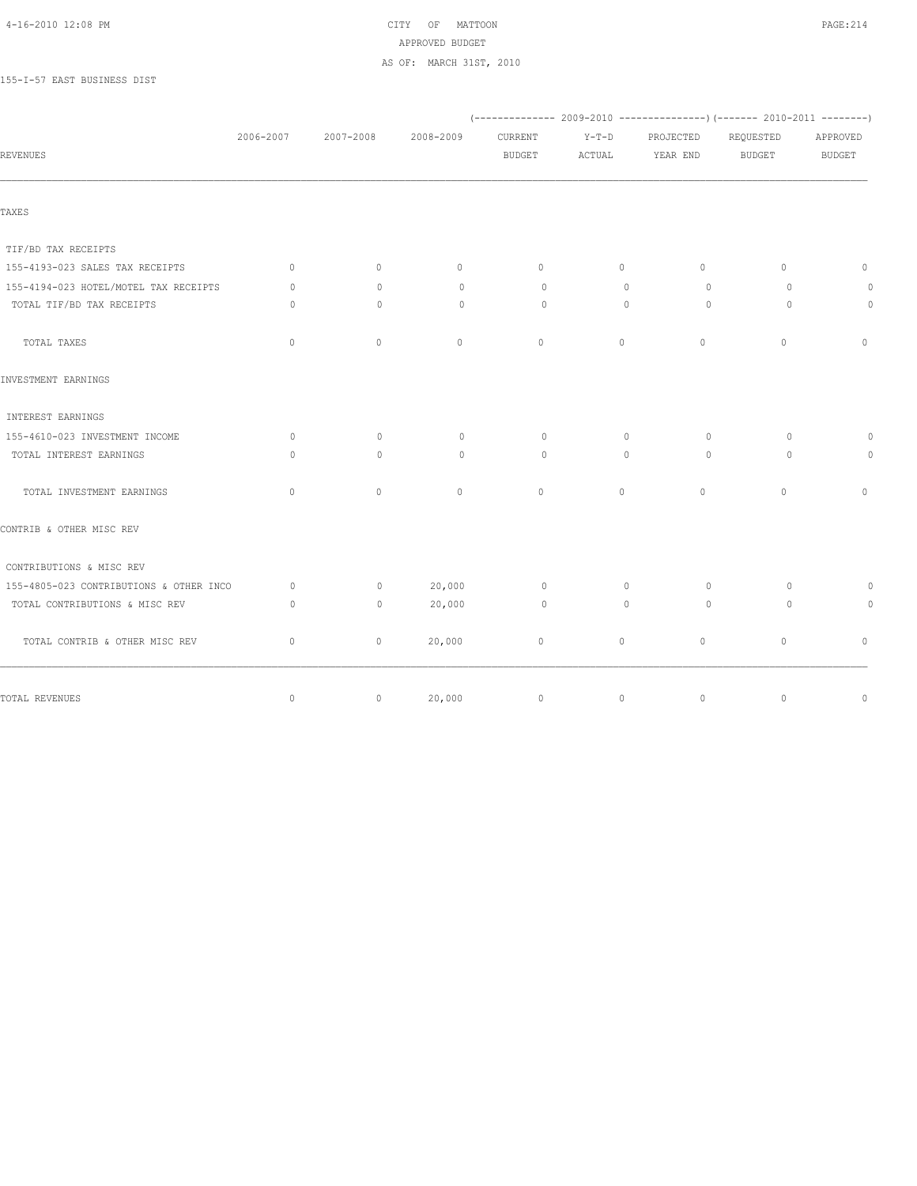# 4-16-2010 12:08 PM CITY OF MATTOON PAGE:214 APPROVED BUDGET AS OF: MARCH 31ST, 2010

155-I-57 EAST BUSINESS DIST

|                                         |              |              |               |               |              |              | $(-$ -------------- 2009-2010 ----------------) (------- 2010-2011 --------) |                |
|-----------------------------------------|--------------|--------------|---------------|---------------|--------------|--------------|------------------------------------------------------------------------------|----------------|
|                                         | 2006-2007    | 2007-2008    | 2008-2009     | CURRENT       | Y-T-D        | PROJECTED    | REQUESTED                                                                    | APPROVED       |
| <b>REVENUES</b>                         |              |              |               | <b>BUDGET</b> | ACTUAL       | YEAR END     | <b>BUDGET</b>                                                                | <b>BUDGET</b>  |
|                                         |              |              |               |               |              |              |                                                                              |                |
| TAXES                                   |              |              |               |               |              |              |                                                                              |                |
| TIF/BD TAX RECEIPTS                     |              |              |               |               |              |              |                                                                              |                |
| 155-4193-023 SALES TAX RECEIPTS         | $\circ$      | $\circ$      | $\circ$       | $\circ$       | $\circ$      | $\circ$      | 0                                                                            | $\circ$        |
| 155-4194-023 HOTEL/MOTEL TAX RECEIPTS   | $\circ$      | $\mathbf{0}$ | $\circ$       | $\circ$       | $\mathbf{0}$ | $\circ$      | $\mathbf{0}$                                                                 | $\overline{0}$ |
| TOTAL TIF/BD TAX RECEIPTS               | 0            | $\mathbf{0}$ | $\circ$       | $\circ$       | $\mathbf{0}$ | $\circ$      | $\mathbf 0$                                                                  | $\mathbf 0$    |
| TOTAL TAXES                             | $\mathbf{0}$ | $\circ$      | $\mathbf{0}$  | $\circ$       | $\circ$      | $\circ$      | $\circ$                                                                      | $\circ$        |
| INVESTMENT EARNINGS                     |              |              |               |               |              |              |                                                                              |                |
| INTEREST EARNINGS                       |              |              |               |               |              |              |                                                                              |                |
| 155-4610-023 INVESTMENT INCOME          | $\circ$      | $\Omega$     | $\circ$       | $\circ$       | $\Omega$     | $\mathbf{0}$ | $\Omega$                                                                     |                |
| TOTAL INTEREST EARNINGS                 | $\circ$      | $\Omega$     | $\circ$       | $\circ$       | $\mathbf{0}$ | $\mathbf{0}$ | $\mathbb O$                                                                  | $\mathbf{0}$   |
| TOTAL INVESTMENT EARNINGS               | $\circ$      | $\circ$      | $\mathbf{0}$  | $\circ$       | $\circ$      | $\circ$      | $\circ$                                                                      | $\circ$        |
| CONTRIB & OTHER MISC REV                |              |              |               |               |              |              |                                                                              |                |
| CONTRIBUTIONS & MISC REV                |              |              |               |               |              |              |                                                                              |                |
| 155-4805-023 CONTRIBUTIONS & OTHER INCO | $\circ$      |              | $0 \t 20,000$ | $\circ$       | $\Omega$     | $\mathbf{0}$ | $\Omega$                                                                     | $\mathbf 0$    |
| TOTAL CONTRIBUTIONS & MISC REV          | $\circ$      | $\circ$      | 20,000        | $\circ$       | $\mathbf{0}$ | $\mathbf{0}$ | $\mathbf{0}$                                                                 | $\mathbf 0$    |
| TOTAL CONTRIB & OTHER MISC REV          | $\circ$      | $\circ$      | 20,000        | $\circ$       | $\circ$      | $\circ$      | $\mathbf{0}$                                                                 | $\circ$        |
| TOTAL REVENUES                          | $\mathbb O$  | $\circ$      | 20,000        | $\mathbb O$   | $\circ$      | $\circ$      | $\mathbb O$                                                                  | $\mathbb O$    |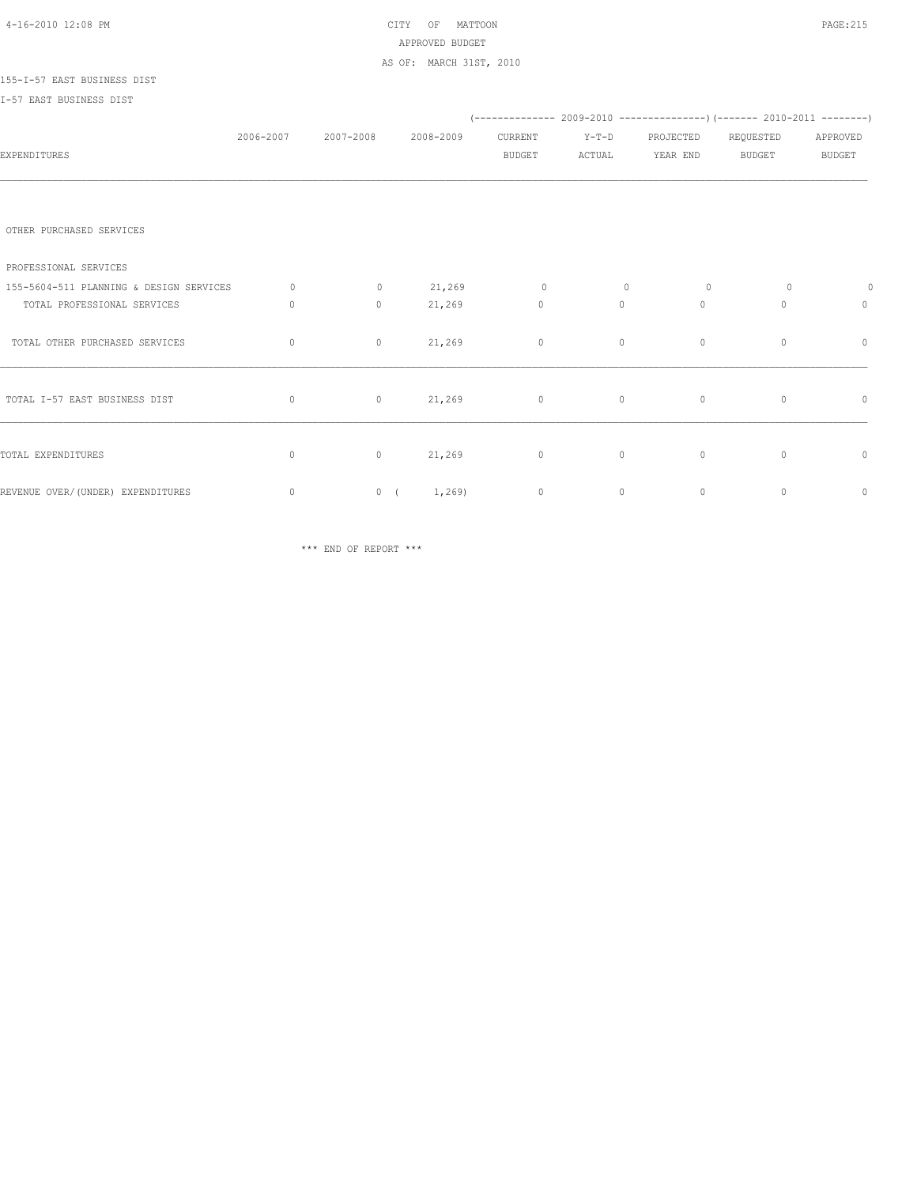# 4-16-2010 12:08 PM CITY OF MATTOON PAGE:215 APPROVED BUDGET AS OF: MARCH 31ST, 2010

#### I-57 EAST BUSINESS DIST

|                                         |             |                   |                    |                |         | $(---------- 2009-2010 ---------- 2010-2011 ---- 2010-2011 ---- 2000-2010 ---- 2000-2010 ---- 2000-2010 ---- 2000-2010 ---- 2000-2010 ---- 2000-2010 ---- 2000-2010 ---- 2000-2010 ---- 2000-2010 ---- 2000-2010 ---- 2000-2010 ---- 2000-2010 ---- 2000-2010 ---- 2000-2010 ---- 2000-2010$ |               |               |
|-----------------------------------------|-------------|-------------------|--------------------|----------------|---------|----------------------------------------------------------------------------------------------------------------------------------------------------------------------------------------------------------------------------------------------------------------------------------------------|---------------|---------------|
|                                         | 2006-2007   | 2007-2008         | 2008-2009          | CURRENT        | $Y-T-D$ | PROJECTED                                                                                                                                                                                                                                                                                    | REQUESTED     | APPROVED      |
| EXPENDITURES                            |             |                   |                    | <b>BUDGET</b>  | ACTUAL  | YEAR END                                                                                                                                                                                                                                                                                     | <b>BUDGET</b> | <b>BUDGET</b> |
|                                         |             |                   |                    |                |         |                                                                                                                                                                                                                                                                                              |               |               |
|                                         |             |                   |                    |                |         |                                                                                                                                                                                                                                                                                              |               |               |
| OTHER PURCHASED SERVICES                |             |                   |                    |                |         |                                                                                                                                                                                                                                                                                              |               |               |
|                                         |             |                   |                    |                |         |                                                                                                                                                                                                                                                                                              |               |               |
| PROFESSIONAL SERVICES                   |             |                   |                    |                |         |                                                                                                                                                                                                                                                                                              |               |               |
| 155-5604-511 PLANNING & DESIGN SERVICES | $\circ$     |                   | $0 \t 21,269$      | $\overline{0}$ |         | $\mathbf{0}$<br>$\mathbf{0}$                                                                                                                                                                                                                                                                 | $\mathbf{0}$  | $\mathbf 0$   |
| TOTAL PROFESSIONAL SERVICES             | $\circ$     | $\circ$           | 21,269             | $\circ$        | $\circ$ | $\Omega$                                                                                                                                                                                                                                                                                     | $\Omega$      | $\circ$       |
|                                         |             |                   |                    |                |         |                                                                                                                                                                                                                                                                                              |               |               |
| TOTAL OTHER PURCHASED SERVICES          | $\mathbf 0$ | $\circ$           | 21,269             | $\circ$        | $\circ$ | $\circ$                                                                                                                                                                                                                                                                                      | $\circ$       | $\mathbf{0}$  |
|                                         |             |                   |                    |                |         |                                                                                                                                                                                                                                                                                              |               |               |
| TOTAL I-57 EAST BUSINESS DIST           | $\circ$     |                   | $0 \t 21,269$      | $\circ$        | $\circ$ | 0                                                                                                                                                                                                                                                                                            | $\circ$       | $\circ$       |
|                                         |             |                   |                    |                |         |                                                                                                                                                                                                                                                                                              |               |               |
|                                         |             |                   |                    |                |         |                                                                                                                                                                                                                                                                                              |               |               |
| TOTAL EXPENDITURES                      | $\mathbf 0$ | $0 \qquad \qquad$ | 21,269             | $\circ$        | $\circ$ | 0                                                                                                                                                                                                                                                                                            | $\circ$       | $\circ$       |
| REVENUE OVER/ (UNDER) EXPENDITURES      | $\circ$     |                   | $0 \quad (1, 269)$ | $\circledcirc$ | $\circ$ | $\circ$                                                                                                                                                                                                                                                                                      | $\circ$       | $\mathbb O$   |
|                                         |             |                   |                    |                |         |                                                                                                                                                                                                                                                                                              |               |               |

\*\*\* END OF REPORT \*\*\*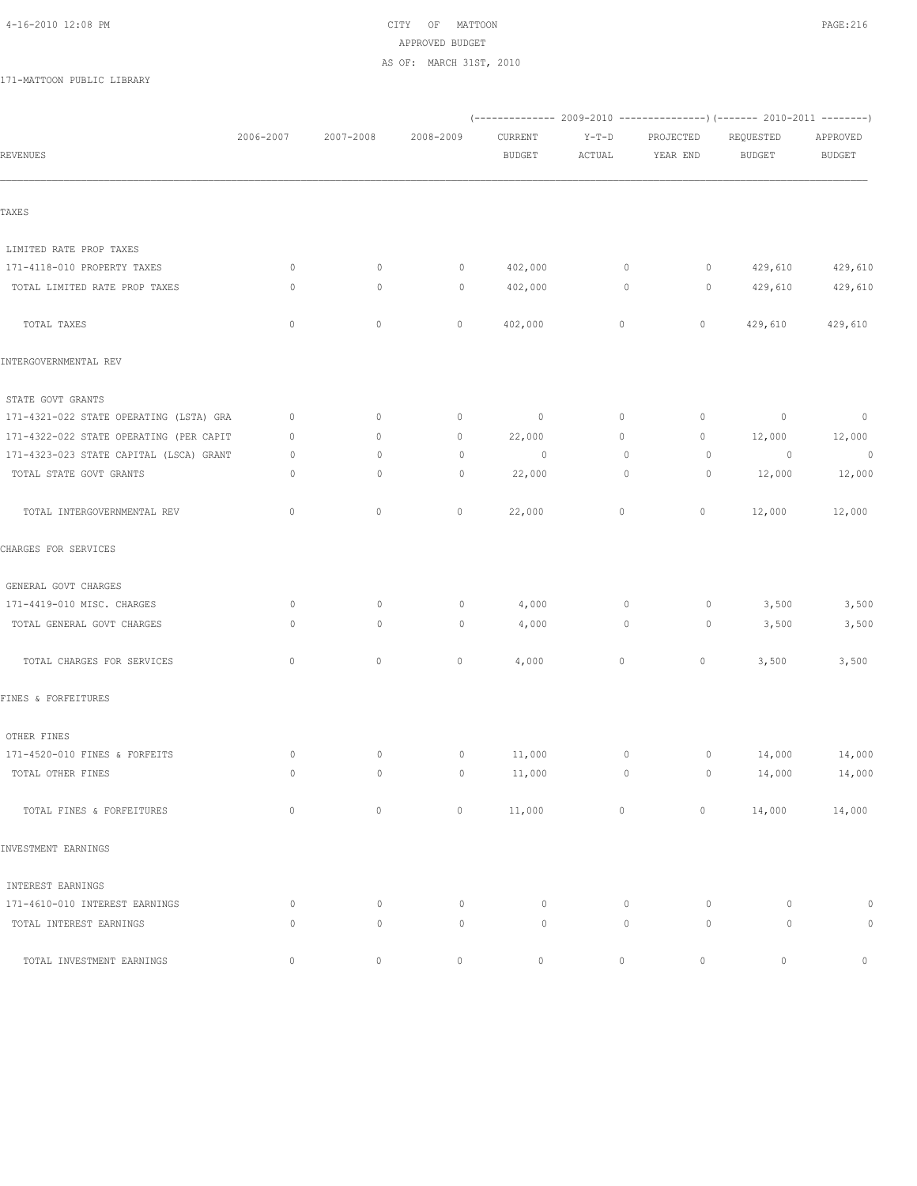# 4-16-2010 12:08 PM CITY OF MATTOON PAGE:216 APPROVED BUDGET AS OF: MARCH 31ST, 2010

## 171-MATTOON PUBLIC LIBRARY

|                                         |             | 2007-2008   |             | (-------------- 2009-2010 ----------------) (------- 2010-2011 --------) |              |                |                              |                          |
|-----------------------------------------|-------------|-------------|-------------|--------------------------------------------------------------------------|--------------|----------------|------------------------------|--------------------------|
| REVENUES                                | 2006-2007   |             | 2008-2009   | CURRENT                                                                  | $Y-T-D$      | PROJECTED      | REQUESTED                    | APPROVED                 |
|                                         |             |             |             | <b>BUDGET</b>                                                            | ACTUAL       | YEAR END       | <b>BUDGET</b>                | <b>BUDGET</b>            |
| TAXES                                   |             |             |             |                                                                          |              |                |                              |                          |
|                                         |             |             |             |                                                                          |              |                |                              |                          |
| LIMITED RATE PROP TAXES                 |             |             |             |                                                                          |              |                |                              |                          |
| 171-4118-010 PROPERTY TAXES             | $\circ$     | $\circ$     | $\circ$     | 402,000                                                                  | $\circ$      |                | 0 429,610 429,610            |                          |
| TOTAL LIMITED RATE PROP TAXES           | $\circ$     | $\circ$     | $\circ$     | 402,000                                                                  | $\mathbf 0$  |                | 429,610<br>$0 \qquad \qquad$ | 429,610                  |
| TOTAL TAXES                             | $\circ$     | $\circ$     | $\mathbb O$ | 402,000                                                                  | $\circ$      | 0              | 429,610                      | 429,610                  |
| INTERGOVERNMENTAL REV                   |             |             |             |                                                                          |              |                |                              |                          |
| STATE GOVT GRANTS                       |             |             |             |                                                                          |              |                |                              |                          |
| 171-4321-022 STATE OPERATING (LSTA) GRA | $\circ$     | $\mathbb O$ | $\circ$     | $\overline{0}$                                                           | $\circ$      | $\circ$        | $\sim$ 0                     | $\overline{\phantom{0}}$ |
| 171-4322-022 STATE OPERATING (PER CAPIT | $\mathbf 0$ | 0           | $\circ$     | 22,000                                                                   | $\circ$      | $\overline{0}$ | 12,000                       | 12,000                   |
| 171-4323-023 STATE CAPITAL (LSCA) GRANT | $\circ$     | $\circ$     | $\circ$     | $\circ$                                                                  | $\mathbb{O}$ | $\circ$        | $\overline{0}$               | $\circ$                  |
| TOTAL STATE GOVT GRANTS                 | $\circ$     | $\circ$     | $\circ$     | 22,000                                                                   | $\mathbb O$  | $\circ$        | 12,000                       | 12,000                   |
| TOTAL INTERGOVERNMENTAL REV             | $\mathbb O$ | $\mathbb O$ | $\circ$     | 22,000                                                                   | $\circ$      | $\circ$        | 12,000                       | 12,000                   |
| CHARGES FOR SERVICES                    |             |             |             |                                                                          |              |                |                              |                          |
| GENERAL GOVT CHARGES                    |             |             |             |                                                                          |              |                |                              |                          |
| 171-4419-010 MISC. CHARGES              | $\circ$     | $\circ$     | $\circ$     | 4,000                                                                    | $\mathbb O$  | $\circ$        | 3,500                        | 3,500                    |
| TOTAL GENERAL GOVT CHARGES              | $\circ$     | 0           | $\circ$     | 4,000                                                                    | $\mathbb O$  | $\circ$        | 3,500                        | 3,500                    |
| TOTAL CHARGES FOR SERVICES              | $\mathbf 0$ | $\circ$     | $\mathbb O$ | 4,000                                                                    | $\circ$      | 0              | 3,500                        | 3,500                    |
| FINES & FORFEITURES                     |             |             |             |                                                                          |              |                |                              |                          |
| OTHER FINES                             |             |             |             |                                                                          |              |                |                              |                          |
| 171-4520-010 FINES & FORFEITS           | 0           | $\circ$     | $\circ$     | 11,000                                                                   | $\circ$      | $\circ$        | 14,000                       | 14,000                   |
| TOTAL OTHER FINES                       | $\circ$     | $\mathbb O$ | $\mathbf 0$ | 11,000                                                                   | $\mathbb O$  |                | $0 \t 14,000$                | 14,000                   |
| TOTAL FINES & FORFEITURES               | $\circ$     | $\circ$     | $\circ$     | 11,000                                                                   | $\circ$      | $\circ$        | 14,000                       | 14,000                   |
| INVESTMENT EARNINGS                     |             |             |             |                                                                          |              |                |                              |                          |
| INTEREST EARNINGS                       |             |             |             |                                                                          |              |                |                              |                          |
| 171-4610-010 INTEREST EARNINGS          | $\circ$     | $\circ$     | $\circ$     | 0                                                                        | $\mathbb O$  | 0              | $\mathbf 0$                  |                          |
| TOTAL INTEREST EARNINGS                 | 0           | 0           | $\circ$     | $\circ$                                                                  | $\mathbf 0$  | $\circ$        | $\circ$                      | $\theta$                 |
| TOTAL INVESTMENT EARNINGS               | 0           | $\mathbb O$ | $\mathbb O$ | $\circ$                                                                  | $\circ$      | 0              | $\circ$                      | 0                        |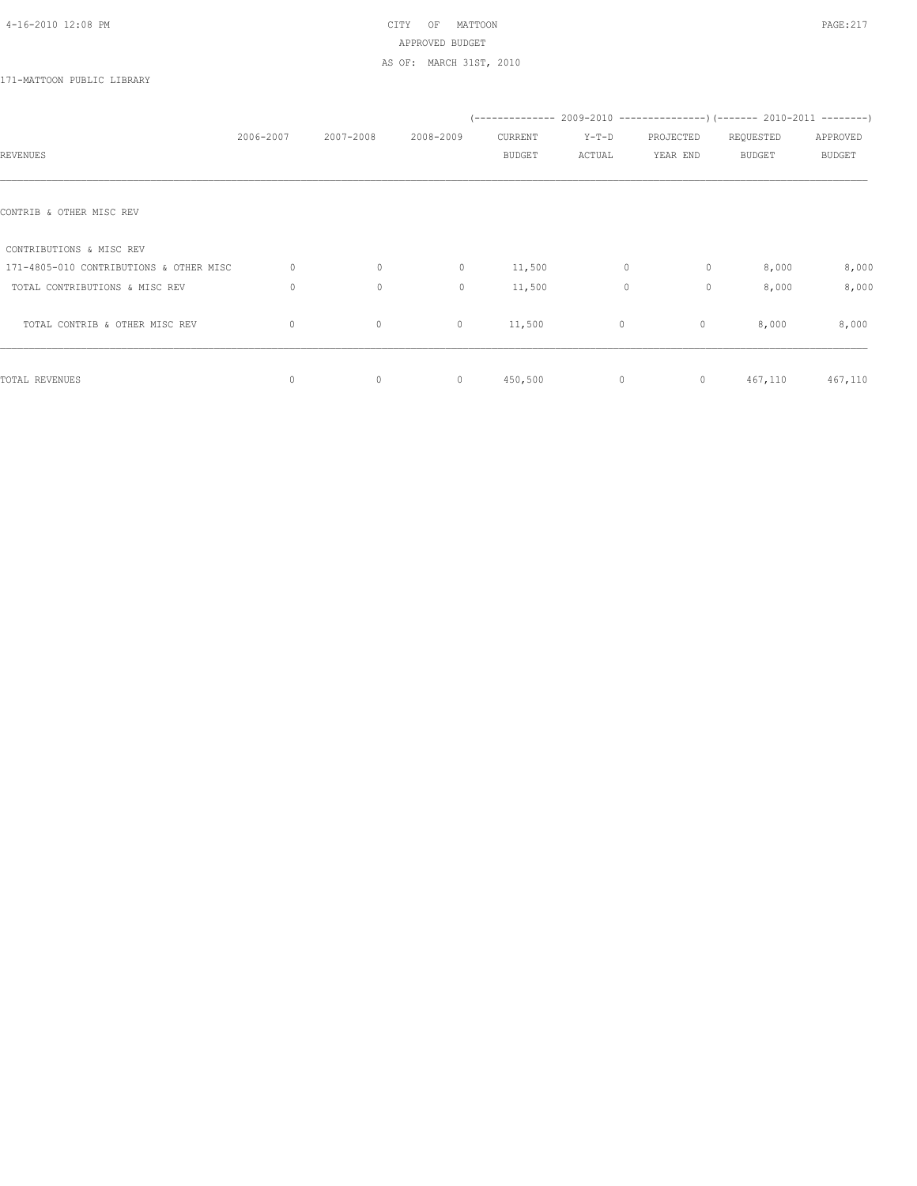## 4-16-2010 12:08 PM CITY OF MATTOON PAGE:217 APPROVED BUDGET AS OF: MARCH 31ST, 2010

### 171-MATTOON PUBLIC LIBRARY

|                                         |              |             |              |               |              | $(---------- 2009-2010 ------------)$ $(---- 2010-2011 ------)$ |               |               |
|-----------------------------------------|--------------|-------------|--------------|---------------|--------------|-----------------------------------------------------------------|---------------|---------------|
|                                         | 2006-2007    | 2007-2008   | 2008-2009    | CURRENT       | $Y-T-D$      | PROJECTED                                                       | REQUESTED     | APPROVED      |
| REVENUES                                |              |             |              | <b>BUDGET</b> | ACTUAL       | YEAR END                                                        | <b>BUDGET</b> | <b>BUDGET</b> |
|                                         |              |             |              |               |              |                                                                 |               |               |
| CONTRIB & OTHER MISC REV                |              |             |              |               |              |                                                                 |               |               |
| CONTRIBUTIONS & MISC REV                |              |             |              |               |              |                                                                 |               |               |
| 171-4805-010 CONTRIBUTIONS & OTHER MISC | 0            | $\circ$     | 0            | 11,500        | 0            | 0                                                               | 8,000         | 8,000         |
| TOTAL CONTRIBUTIONS & MISC REV          | 0            | $\circ$     | $\circ$      | 11,500        | $\mathbf{0}$ | $\mathbf{0}$                                                    | 8,000         | 8,000         |
| TOTAL CONTRIB & OTHER MISC REV          | $\mathbf{0}$ | $\mathbb O$ | $\circ$      | 11,500        | $\circ$      | 0                                                               | 8,000         | 8,000         |
| TOTAL REVENUES                          | $\mathbf{0}$ | 0           | $\mathbf{0}$ | 450,500       | $\circ$      | 0                                                               | 467,110       | 467,110       |
|                                         |              |             |              |               |              |                                                                 |               |               |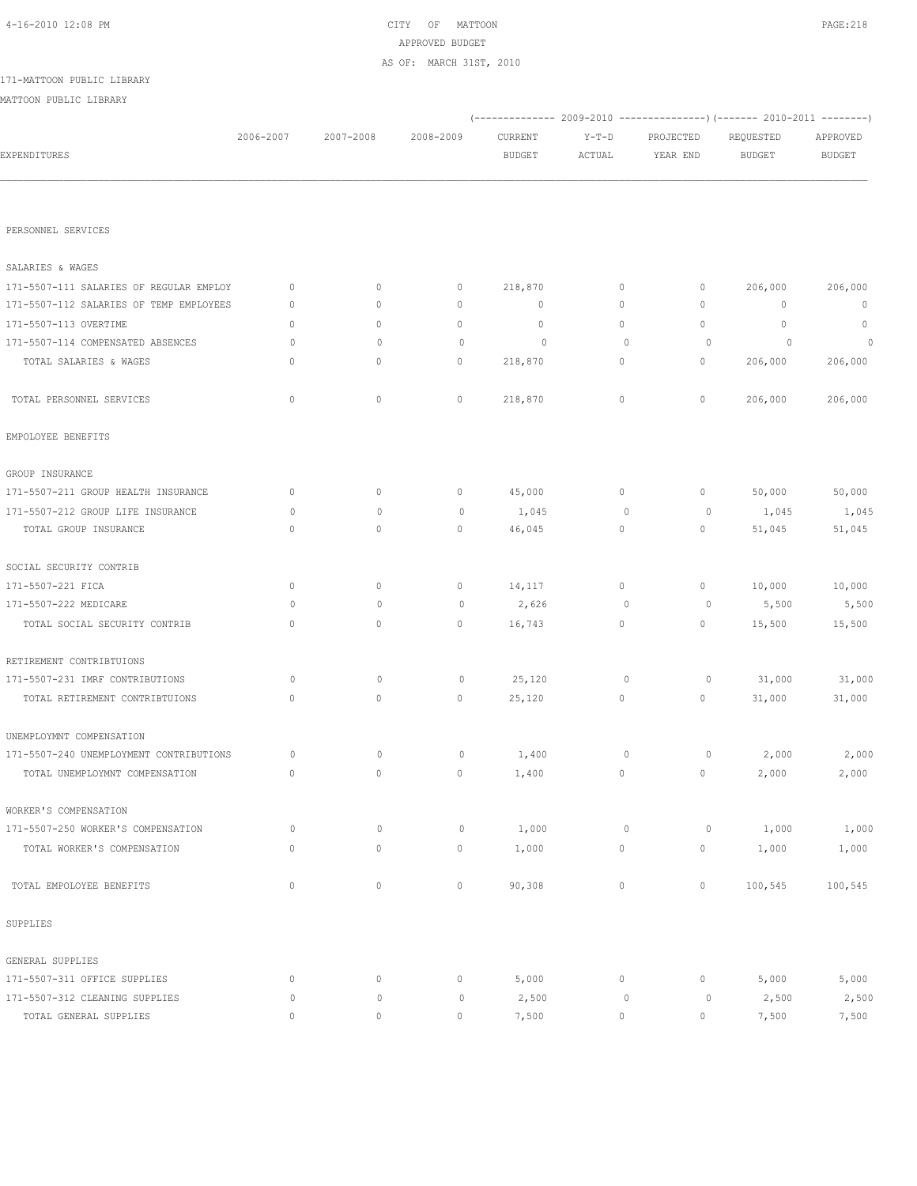## 4-16-2010 12:08 PM CITY OF MATTOON PAGE:218 APPROVED BUDGET AS OF: MARCH 31ST, 2010

### 171-MATTOON PUBLIC LIBRARY

MATTOON PUBLIC LIBRARY

|                                         |              |              |             |               |              |             | (-------------- 2009-2010 ---------------) (------- 2010-2011 --------) |               |
|-----------------------------------------|--------------|--------------|-------------|---------------|--------------|-------------|-------------------------------------------------------------------------|---------------|
|                                         | 2006-2007    | 2007-2008    | 2008-2009   | CURRENT       | $Y-T-D$      | PROJECTED   | REQUESTED                                                               | APPROVED      |
| EXPENDITURES                            |              |              |             | <b>BUDGET</b> | ACTUAL       | YEAR END    | <b>BUDGET</b>                                                           | <b>BUDGET</b> |
|                                         |              |              |             |               |              |             |                                                                         |               |
| PERSONNEL SERVICES                      |              |              |             |               |              |             |                                                                         |               |
| SALARIES & WAGES                        |              |              |             |               |              |             |                                                                         |               |
| 171-5507-111 SALARIES OF REGULAR EMPLOY | $\circ$      | $\circ$      | $\circ$     | 218,870       | $\circ$      | 0           | 206,000                                                                 | 206,000       |
| 171-5507-112 SALARIES OF TEMP EMPLOYEES | $\mathbf{0}$ | $\circ$      | $\mathbf 0$ | $\circ$       | $\circ$      | 0           | $\mathbb O$                                                             | $\circ$       |
| 171-5507-113 OVERTIME                   | $\mathbf{0}$ | $\circ$      | $\mathbf 0$ | $\circ$       | $\circ$      | $\circ$     | $\circ$                                                                 | $\circ$       |
| 171-5507-114 COMPENSATED ABSENCES       | $\circ$      | $\circ$      | $\circ$     | $\circ$       | $\mathbf 0$  | $\mathbf 0$ | $\circ$                                                                 | $\mathbb O$   |
| TOTAL SALARIES & WAGES                  | $\circ$      | $\circ$      | $\circ$     | 218,870       | $\circ$      | $\circ$     | 206,000                                                                 | 206,000       |
| TOTAL PERSONNEL SERVICES                | $\circ$      | $\mathbb O$  | $\mathbb O$ | 218,870       | $\circ$      | $\circ$     | 206,000                                                                 | 206,000       |
| EMPOLOYEE BENEFITS                      |              |              |             |               |              |             |                                                                         |               |
| GROUP INSURANCE                         |              |              |             |               |              |             |                                                                         |               |
| 171-5507-211 GROUP HEALTH INSURANCE     | 0            | $\circ$      | $\circ$     | 45,000        | $\circ$      | 0           | 50,000                                                                  | 50,000        |
| 171-5507-212 GROUP LIFE INSURANCE       | $\circ$      | $\mathbf{0}$ | $\circ$     | 1,045         | $\mathbb{O}$ | $\circ$     | 1,045                                                                   | 1,045         |
| TOTAL GROUP INSURANCE                   | $\circ$      | $\circ$      | $\mathbf 0$ | 46,045        | $\circ$      | $\circ$     | 51,045                                                                  | 51,045        |
| SOCIAL SECURITY CONTRIB                 |              |              |             |               |              |             |                                                                         |               |
| 171-5507-221 FICA                       | $\circ$      | $\circ$      | $\circ$     | 14,117        | $\circ$      | $\circ$     | 10,000                                                                  | 10,000        |
| 171-5507-222 MEDICARE                   | $\circ$      | 0            | $\circ$     | 2,626         | $\mathbf 0$  | $\circ$     | 5,500                                                                   | 5,500         |
| TOTAL SOCIAL SECURITY CONTRIB           | 0            | $\circ$      | $\mathbf 0$ | 16,743        | $\circ$      | $\circ$     | 15,500                                                                  | 15,500        |
| RETIREMENT CONTRIBTUIONS                |              |              |             |               |              |             |                                                                         |               |
| 171-5507-231 IMRF CONTRIBUTIONS         | $\circ$      | 0            | $\circ$     | 25,120        | $\mathbb O$  | $\circ$     | 31,000                                                                  | 31,000        |
| TOTAL RETIREMENT CONTRIBTUIONS          | $\circ$      | $\circ$      | $\circ$     | 25,120        | $\circ$      | $\circ$     | 31,000                                                                  | 31,000        |
| UNEMPLOYMNT COMPENSATION                |              |              |             |               |              |             |                                                                         |               |
| 171-5507-240 UNEMPLOYMENT CONTRIBUTIONS | $\circ$      | $\circ$      | $\circ$     | 1,400         | $\circ$      | $\circ$     | 2,000                                                                   | 2,000         |
| TOTAL UNEMPLOYMNT COMPENSATION          | $\circ$      | $\circ$      | $\mathbf 0$ | 1,400         | $\circ$      | $\circ$     | 2,000                                                                   | 2,000         |
| WORKER'S COMPENSATION                   |              |              |             |               |              |             |                                                                         |               |
| 171-5507-250 WORKER'S COMPENSATION      | 0            | $\mathbb O$  | $\circ$     | 1,000         | $\mathbf 0$  | $\mathbf 0$ | 1,000                                                                   | 1,000         |
| TOTAL WORKER'S COMPENSATION             | $\mathbb O$  | $\circ$      | $\circ$     | 1,000         | $\circ$      | 0           | 1,000                                                                   | 1,000         |
| TOTAL EMPOLOYEE BENEFITS                | 0            | $\circ$      | $\mathbf 0$ | 90,308        | $\circ$      | $\circ$     | 100,545                                                                 | 100,545       |
| SUPPLIES                                |              |              |             |               |              |             |                                                                         |               |
| GENERAL SUPPLIES                        |              |              |             |               |              |             |                                                                         |               |
| 171-5507-311 OFFICE SUPPLIES            | $\circ$      | $\circ$      | 0           | 5,000         | $\circ$      | 0           | 5,000                                                                   | 5,000         |
| 171-5507-312 CLEANING SUPPLIES          | $\circ$      | $\circ$      | $\circ$     | 2,500         | $\mathbf 0$  | $\mathbf 0$ | 2,500                                                                   | 2,500         |
| TOTAL GENERAL SUPPLIES                  | 0            | $\mathbb O$  | $\mathbf 0$ | 7,500         | $\circ$      | 0           | 7,500                                                                   | 7,500         |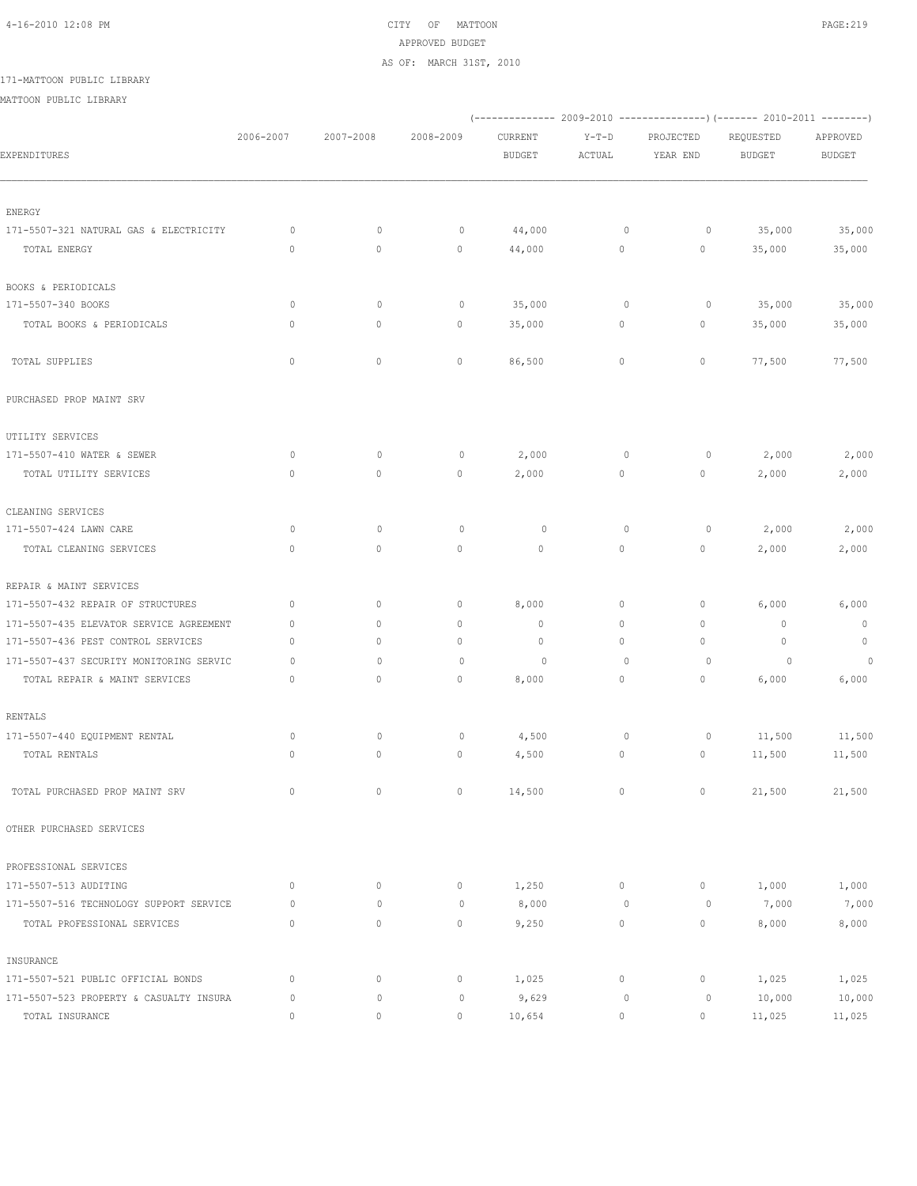### 4-16-2010 12:08 PM CITY OF MATTOON PAGE:219 APPROVED BUDGET AS OF: MARCH 31ST, 2010

#### 171-MATTOON PUBLIC LIBRARY

#### MATTOON PUBLIC LIBRARY

| EXPENDITURES                            | 2006-2007    | 2007-2008   | 2008-2009   | CURRENT<br><b>BUDGET</b> | $Y-T-D$<br>ACTUAL | PROJECTED<br>YEAR END | REQUESTED<br><b>BUDGET</b> | APPROVED<br><b>BUDGET</b> |
|-----------------------------------------|--------------|-------------|-------------|--------------------------|-------------------|-----------------------|----------------------------|---------------------------|
|                                         |              |             |             |                          |                   |                       |                            |                           |
| ENERGY                                  |              |             |             |                          |                   |                       |                            |                           |
| 171-5507-321 NATURAL GAS & ELECTRICITY  | 0            | $\circ$     | 0           | 44,000                   | 0                 | $\mathbf 0$           | 35,000                     | 35,000                    |
| TOTAL ENERGY                            | $\circ$      | $\mathbb O$ | $\mathbb O$ | 44,000                   | $\circ$           | $\mathbb O$           | 35,000                     | 35,000                    |
| BOOKS & PERIODICALS                     |              |             |             |                          |                   |                       |                            |                           |
| 171-5507-340 BOOKS                      | $\circ$      | $\circ$     | $\circ$     | 35,000                   | $\mathbf 0$       | $\mathbf 0$           | 35,000                     | 35,000                    |
| TOTAL BOOKS & PERIODICALS               | $\circ$      | $\mathbb O$ | $\mathbb O$ | 35,000                   | $\circ$           | 0                     | 35,000                     | 35,000                    |
| TOTAL SUPPLIES                          | $\circ$      | $\mathbb O$ | $\mathbb O$ | 86,500                   | $\circ$           | $\mathbb O$           | 77,500                     | 77,500                    |
| PURCHASED PROP MAINT SRV                |              |             |             |                          |                   |                       |                            |                           |
| UTILITY SERVICES                        |              |             |             |                          |                   |                       |                            |                           |
| 171-5507-410 WATER & SEWER              | $\circ$      | $\circ$     | 0           | 2,000                    | 0                 | $\mathbf 0$           | 2,000                      | 2,000                     |
| TOTAL UTILITY SERVICES                  | $\circ$      | $\circ$     | $\mathbb O$ | 2,000                    | $\circ$           | 0                     | 2,000                      | 2,000                     |
| CLEANING SERVICES                       |              |             |             |                          |                   |                       |                            |                           |
| 171-5507-424 LAWN CARE                  | $\circ$      | $\circ$     | $\circ$     | 0                        | 0                 | $\mathbf 0$           | 2,000                      | 2,000                     |
| TOTAL CLEANING SERVICES                 | $\circ$      | $\circ$     | 0           | $\mathbf 0$              | $\circ$           | $\mathbb O$           | 2,000                      | 2,000                     |
| REPAIR & MAINT SERVICES                 |              |             |             |                          |                   |                       |                            |                           |
| 171-5507-432 REPAIR OF STRUCTURES       | $\circ$      | $\mathbb O$ | $\mathbf 0$ | 8,000                    | $\circ$           | 0                     | 6,000                      | 6,000                     |
| 171-5507-435 ELEVATOR SERVICE AGREEMENT | $\mathbf{0}$ | $\circ$     | 0           | $\mathbf 0$              | $\circ$           | $\mathbb O$           | $\mathbf 0$                | $\circ$                   |
| 171-5507-436 PEST CONTROL SERVICES      | $\mathbf{0}$ | $\circ$     | 0           | $\mathbf 0$              | $\circ$           | $\circ$               | $\mathbf 0$                | $\mathbb O$               |
| 171-5507-437 SECURITY MONITORING SERVIC | 0            | $\mathbf 0$ | $\circ$     | $\circ$                  | $\mathbf 0$       | $\mathbf{0}$          | $\mathbf 0$                | $\mathbf 0$               |
| TOTAL REPAIR & MAINT SERVICES           | 0            | $\circ$     | 0           | 8,000                    | $\circ$           | 0                     | 6,000                      | 6,000                     |
| RENTALS                                 |              |             |             |                          |                   |                       |                            |                           |
| 171-5507-440 EQUIPMENT RENTAL           | 0            | $\circ$     | $\circ$     | 4,500                    | 0                 | $\mathbf 0$           | 11,500                     | 11,500                    |
| TOTAL RENTALS                           | $\circ$      | $\mathbb O$ | 0           | 4,500                    | $\circ$           | 0                     | 11,500                     | 11,500                    |
| TOTAL PURCHASED PROP MAINT SRV          | $\circ$      | $\circ$     | $\mathbf 0$ | 14,500                   | $\circ$           | $\circ$               | 21,500                     | 21,500                    |
| OTHER PURCHASED SERVICES                |              |             |             |                          |                   |                       |                            |                           |
| PROFESSIONAL SERVICES                   |              |             |             |                          |                   |                       |                            |                           |
| 171-5507-513 AUDITING                   | $\circ$      | $\circ$     | $\mathbf 0$ | 1,250                    | $\circ$           | $\circ$               | 1,000                      | 1,000                     |
| 171-5507-516 TECHNOLOGY SUPPORT SERVICE | 0            | 0           | $\circ$     | 8,000                    | $\mathbf 0$       | $\mathbf{0}$          | 7,000                      | 7,000                     |
| TOTAL PROFESSIONAL SERVICES             | $\circ$      | $\mathbb O$ | $\mathbb O$ | 9,250                    | $\circ$           | $\circ$               | 8,000                      | 8,000                     |
| INSURANCE                               |              |             |             |                          |                   |                       |                            |                           |
| 171-5507-521 PUBLIC OFFICIAL BONDS      | $\circ$      | $\circ$     | $\mathbf 0$ | 1,025                    | $\circ$           | $\circ$               | 1,025                      | 1,025                     |
| 171-5507-523 PROPERTY & CASUALTY INSURA | 0            | $\circ$     | $\mathbb O$ | 9,629                    | $\mathbb O$       | $\mathbb O$           | 10,000                     | 10,000                    |
| TOTAL INSURANCE                         | 0            | $\mathbb O$ | 0           | 10,654                   | $\circ$           | 0                     | 11,025                     | 11,025                    |

(-------------- 2009-2010 ---------------)(------- 2010-2011 --------)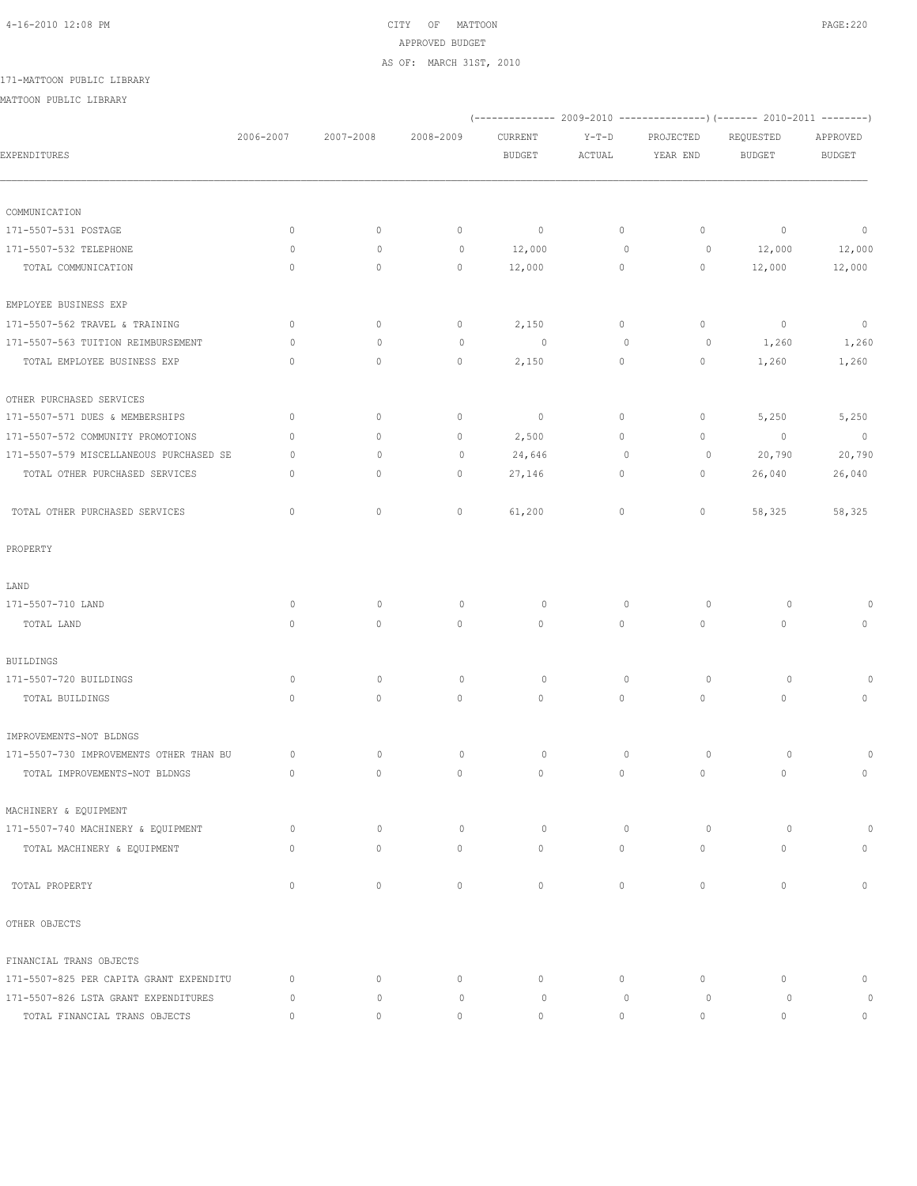### 4-16-2010 12:08 PM CITY OF MATTOON PAGE:220 APPROVED BUDGET AS OF: MARCH 31ST, 2010

#### 171-MATTOON PUBLIC LIBRARY

MATTOON PUBLIC LIBRARY

|                                         |                                  |              |             |               |             |             | (-------------- 2009-2010 ----------------) (------- 2010-2011 --------) |                |
|-----------------------------------------|----------------------------------|--------------|-------------|---------------|-------------|-------------|--------------------------------------------------------------------------|----------------|
|                                         | 2006-2007                        | 2007-2008    | 2008-2009   | CURRENT       | $Y-T-D$     | PROJECTED   | REQUESTED                                                                | APPROVED       |
| EXPENDITURES                            |                                  |              |             | <b>BUDGET</b> | ACTUAL      | YEAR END    | <b>BUDGET</b>                                                            | <b>BUDGET</b>  |
| COMMUNICATION                           |                                  |              |             |               |             |             |                                                                          |                |
| 171-5507-531 POSTAGE                    | $\mathbf{0}$                     | $\mathbb O$  | $\circ$     | $\circ$       | $\circ$     | $\circ$     | $\circ$                                                                  | $\circ$        |
| 171-5507-532 TELEPHONE                  | 0                                | $\circ$      | $\circ$     | 12,000        | $\mathbf 0$ | $\mathbf 0$ | 12,000                                                                   | 12,000         |
| TOTAL COMMUNICATION                     | 0                                | $\circ$      | $\circ$     | 12,000        | 0           | $\circ$     | 12,000                                                                   | 12,000         |
| EMPLOYEE BUSINESS EXP                   |                                  |              |             |               |             |             |                                                                          |                |
| 171-5507-562 TRAVEL & TRAINING          | 0                                | $\mathbb O$  | 0           | 2,150         | 0           | $\circ$     | $\circ$                                                                  | $\overline{0}$ |
| 171-5507-563 TUITION REIMBURSEMENT      | 0                                | 0            | $\circ$     | $\circ$       | $\circ$     | $\circ$     | 1,260                                                                    | 1,260          |
| TOTAL EMPLOYEE BUSINESS EXP             | 0                                | $\mathbb O$  | 0           | 2,150         | 0           | $\circ$     | 1,260                                                                    | 1,260          |
| OTHER PURCHASED SERVICES                |                                  |              |             |               |             |             |                                                                          |                |
| 171-5507-571 DUES & MEMBERSHIPS         | $\mathbf 0$                      | $\mathbb O$  | $\circ$     | $\circ$       | $\circ$     | 0           | 5,250                                                                    | 5,250          |
| 171-5507-572 COMMUNITY PROMOTIONS       | $\begin{array}{c} \n\end{array}$ | $\circ$      | $\circ$     | 2,500         | $\circ$     | $\circ$     | $\overline{\phantom{0}}$                                                 | $\overline{0}$ |
| 171-5507-579 MISCELLANEOUS PURCHASED SE | 0                                | $\circ$      | $\circ$     | 24,646        | $\mathbf 0$ | $\mathbf 0$ | 20,790                                                                   | 20,790         |
| TOTAL OTHER PURCHASED SERVICES          | $\mathbf{0}$                     | $\circ$      | 0           | 27,146        | $\circ$     | 0           | 26,040                                                                   | 26,040         |
| TOTAL OTHER PURCHASED SERVICES          | $\circ$                          | $\circ$      | $\circ$     | 61,200        | $\circ$     | $\circ$     | 58,325                                                                   | 58,325         |
| PROPERTY                                |                                  |              |             |               |             |             |                                                                          |                |
| LAND                                    |                                  |              |             |               |             |             |                                                                          |                |
| 171-5507-710 LAND                       | $\circ$                          | 0            | 0           | 0             | $\mathbf 0$ | 0           | 0                                                                        |                |
| TOTAL LAND                              | $\mathbf{0}$                     | $\mathbb O$  | $\circ$     | $\mathbb O$   | $\circ$     | $\circ$     | 0                                                                        | 0              |
| <b>BUILDINGS</b>                        |                                  |              |             |               |             |             |                                                                          |                |
| 171-5507-720 BUILDINGS                  | $\circ$                          | $\circ$      | $\circ$     | 0             | $\circ$     | $\mathbf 0$ | $\mathbf 0$                                                              | $\mathbf{0}$   |
| TOTAL BUILDINGS                         | $\circ$                          | $\mathbb O$  | $\circ$     | $\circ$       | $\circ$     | $\circ$     | 0                                                                        | 0              |
| IMPROVEMENTS-NOT BLDNGS                 |                                  |              |             |               |             |             |                                                                          |                |
| 171-5507-730 IMPROVEMENTS OTHER THAN BU | $\circ$                          | $\circ$      | $\circ$     | 0             | $\mathbf 0$ | $\mathbf 0$ | $\mathbf 0$                                                              | $\Omega$       |
| TOTAL IMPROVEMENTS-NOT BLDNGS           | $\mathbf{0}$                     | $\mathbb O$  | 0           | $\circ$       | $\circ$     | $\circ$     | 0                                                                        | 0              |
| MACHINERY & EQUIPMENT                   |                                  |              |             |               |             |             |                                                                          |                |
| 171-5507-740 MACHINERY & EQUIPMENT      | $\circ$                          | $\circ$      | $\circ$     | $\circ$       | $\circ$     | $\circ$     | $\mathbf{0}$                                                             | $\mathbf{0}$   |
| TOTAL MACHINERY & EQUIPMENT             | $\circ$                          | $\circ$      | $\circ$     | $\circ$       | $\circ$     | $\mathbb O$ | $\mathbb O$                                                              | 0              |
| TOTAL PROPERTY                          | $\circ$                          | $\mathbf{0}$ | $\mathbb O$ | $\circ$       | $\circ$     | $\circ$     | $\mathbf{0}$                                                             | $\mathbb O$    |
| OTHER OBJECTS                           |                                  |              |             |               |             |             |                                                                          |                |
| FINANCIAL TRANS OBJECTS                 |                                  |              |             |               |             |             |                                                                          |                |
| 171-5507-825 PER CAPITA GRANT EXPENDITU | $\circ$                          | $\mathbb O$  | $\circ$     | $\circ$       | 0           | $\circ$     | 0                                                                        | $\mathbb O$    |
| 171-5507-826 LSTA GRANT EXPENDITURES    | 0                                | $\circ$      | $\circ$     | 0             | $\mathbf 0$ | $\mathbf 0$ | $\circ$                                                                  | $\mathbf 0$    |
| TOTAL FINANCIAL TRANS OBJECTS           | $\circ$                          | $\mathbb O$  | $\circ$     | $\mathbb O$   | $\circ$     | $\mathbb O$ | $\mathbb O$                                                              | $\mathbb O$    |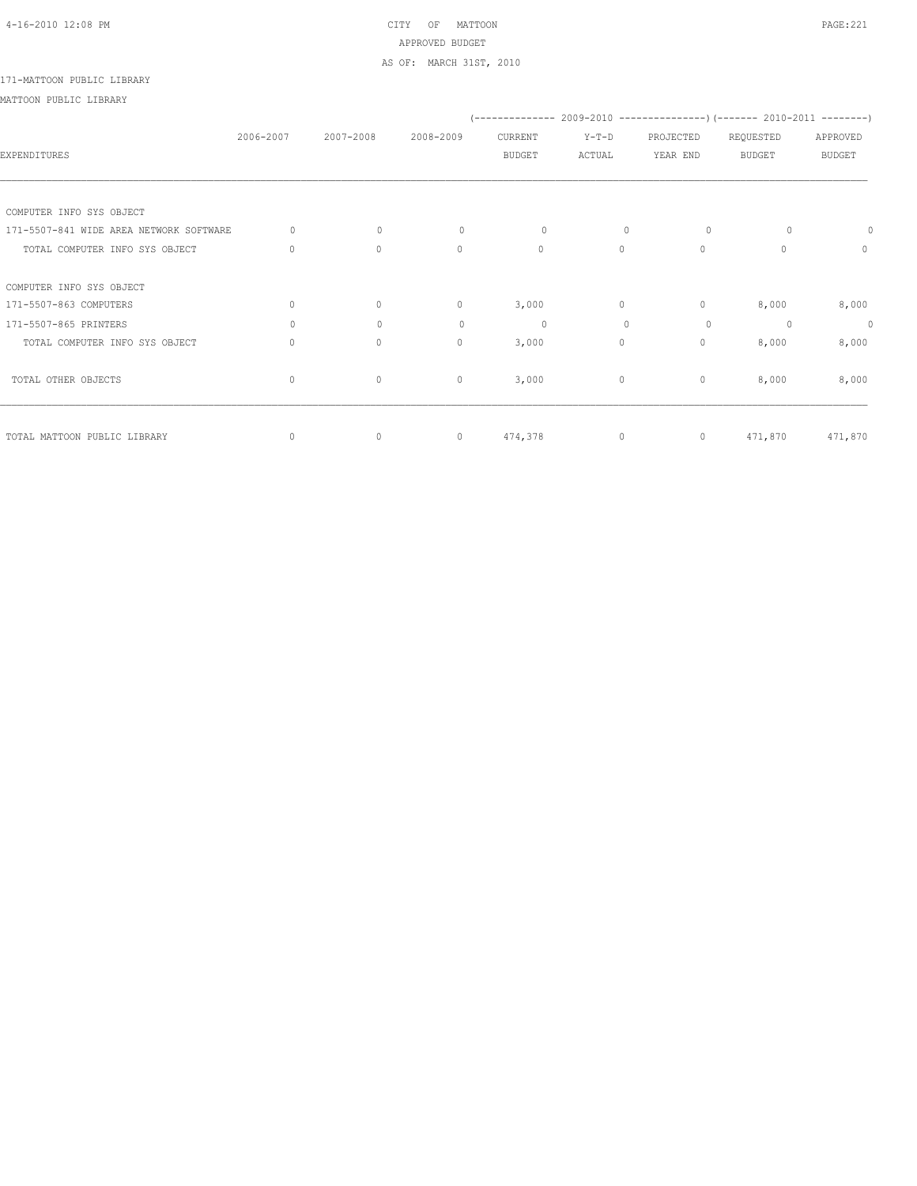## 4-16-2010 12:08 PM CITY OF MATTOON PAGE:221 APPROVED BUDGET AS OF: MARCH 31ST, 2010

### 171-MATTOON PUBLIC LIBRARY

#### MATTOON PUBLIC LIBRARY

|                                         | 2006-2007    | 2007-2008    | 2008-2009    | CURRENT       | $Y-T-D$                          | PROJECTED    | REQUESTED     | APPROVED      |
|-----------------------------------------|--------------|--------------|--------------|---------------|----------------------------------|--------------|---------------|---------------|
| EXPENDITURES                            |              |              |              | <b>BUDGET</b> | ACTUAL                           | YEAR END     | <b>BUDGET</b> | <b>BUDGET</b> |
|                                         |              |              |              |               |                                  |              |               |               |
|                                         |              |              |              |               |                                  |              |               |               |
| COMPUTER INFO SYS OBJECT                |              |              |              |               |                                  |              |               |               |
| 171-5507-841 WIDE AREA NETWORK SOFTWARE | $\circ$      | $\mathbf{0}$ | $\mathbf{0}$ | $\Omega$      | $\begin{array}{c} \n\end{array}$ | $\Omega$     | $\Omega$      | 0             |
| TOTAL COMPUTER INFO SYS OBJECT          | $\Omega$     | $\circ$      | $\mathbf{0}$ | $\mathbf{0}$  | $\circ$                          | $\circ$      | $\Omega$      | $\mathbf{0}$  |
| COMPUTER INFO SYS OBJECT                |              |              |              |               |                                  |              |               |               |
| 171-5507-863 COMPUTERS                  | $\mathbf{0}$ | $\circ$      | $\circ$      | 3,000         | $\circ$                          | 0            | 8,000         | 8,000         |
| 171-5507-865 PRINTERS                   | $\circ$      | $\mathbf{0}$ | $\mathbf{0}$ | $\circ$       | $\mathbf{0}$                     | $\mathbf{0}$ | $\mathbf 0$   | $\mathbf 0$   |
| TOTAL COMPUTER INFO SYS OBJECT          | $\Omega$     | $\circ$      | $\mathbf{0}$ | 3,000         | $\circ$                          | 0            | 8,000         | 8,000         |
| TOTAL OTHER OBJECTS                     | $\circ$      | $\circ$      | $\circ$      | 3,000         | $\circ$                          | $\circ$      | 8,000         | 8,000         |
|                                         |              |              |              |               |                                  |              |               |               |
| TOTAL MATTOON PUBLIC LIBRARY            | 0            | $\mathbb O$  | $\circ$      | 474,378       | $\circ$                          | $\circ$      | 471,870       | 471,870       |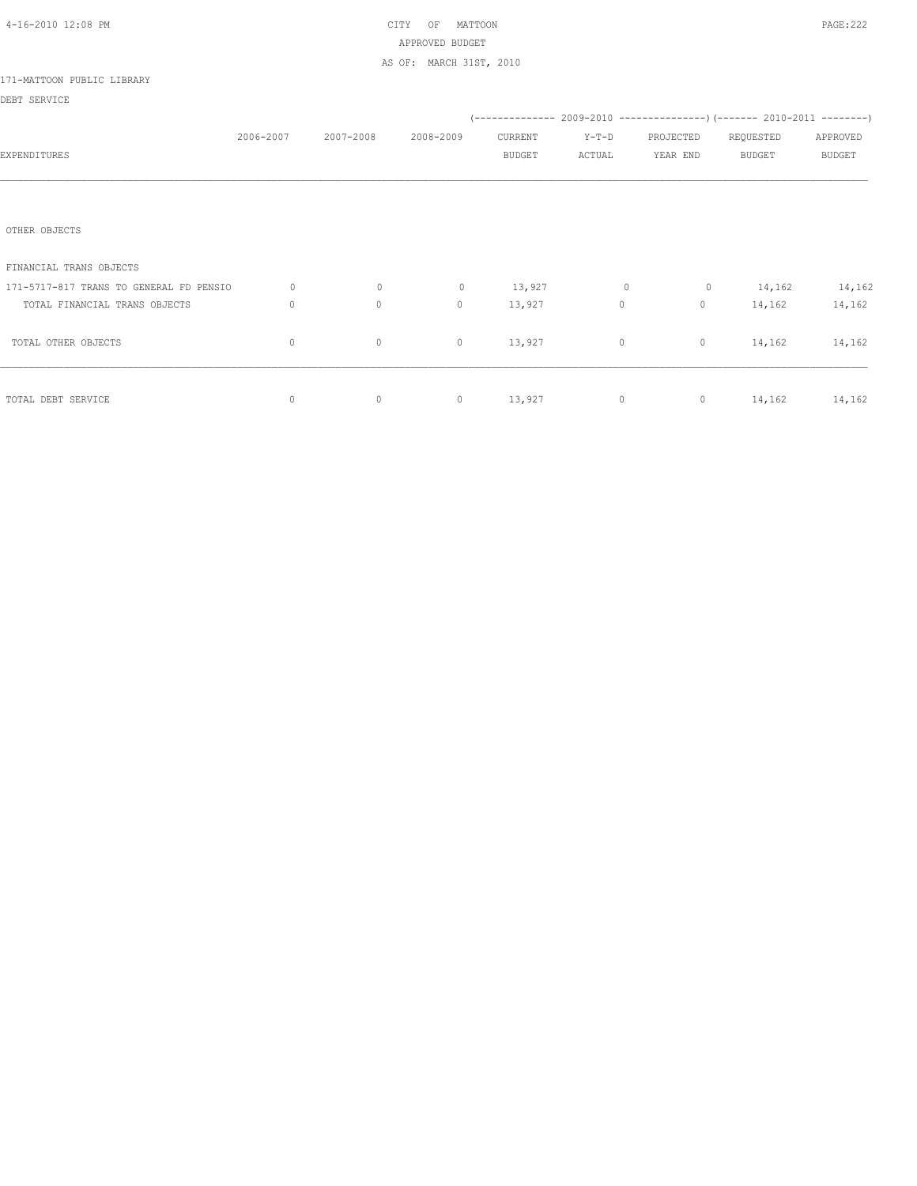## 4-16-2010 12:08 PM CITY OF MATTOON PAGE:222 APPROVED BUDGET AS OF: MARCH 31ST, 2010

### 171-MATTOON PUBLIC LIBRARY

DEBT SERVICE

|                                         |              |           |           |               |             | (-------------- 2009-2010 ----------------) (------- 2010-2011 --------) |               |               |
|-----------------------------------------|--------------|-----------|-----------|---------------|-------------|--------------------------------------------------------------------------|---------------|---------------|
|                                         | 2006-2007    | 2007-2008 | 2008-2009 | CURRENT       | $Y-T-D$     | PROJECTED                                                                | REQUESTED     | APPROVED      |
| EXPENDITURES                            |              |           |           | <b>BUDGET</b> | ACTUAL      | YEAR END                                                                 | <b>BUDGET</b> | <b>BUDGET</b> |
|                                         |              |           |           |               |             |                                                                          |               |               |
|                                         |              |           |           |               |             |                                                                          |               |               |
| OTHER OBJECTS                           |              |           |           |               |             |                                                                          |               |               |
| FINANCIAL TRANS OBJECTS                 |              |           |           |               |             |                                                                          |               |               |
| 171-5717-817 TRANS TO GENERAL FD PENSIO | $\circ$      | $\circ$   | $\circ$   | 13,927        | $\mathbf 0$ | $\circ$                                                                  | 14,162        | 14,162        |
| TOTAL FINANCIAL TRANS OBJECTS           | $\mathbf{0}$ | $\circ$   | $\circ$   | 13,927        | $\circ$     | $\circ$                                                                  | 14,162        | 14,162        |
| TOTAL OTHER OBJECTS                     | $\circ$      | $\circ$   | $\circ$   | 13,927        | $\circ$     | $\circ$                                                                  | 14,162        | 14,162        |
|                                         |              |           |           |               |             |                                                                          |               |               |
| TOTAL DEBT SERVICE                      | $\mathbf{0}$ | $\circ$   | $\circ$   | 13,927        | $\circ$     | 0                                                                        | 14,162        | 14,162        |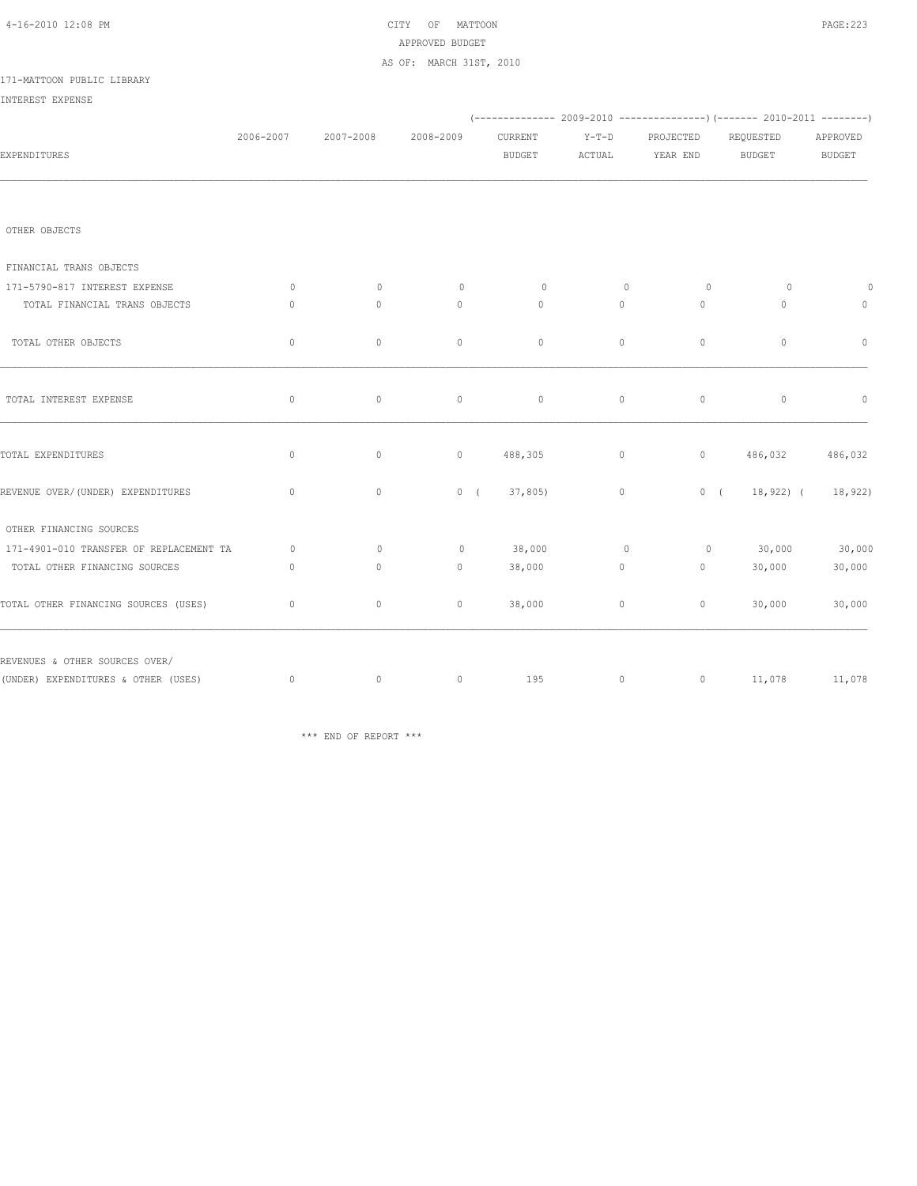## 4-16-2010 12:08 PM CITY OF MATTOON PAGE:223 APPROVED BUDGET AS OF: MARCH 31ST, 2010

#### 171-MATTOON PUBLIC LIBRARY

|                                         |              |              |             |               |          | (-------------- 2009-2010 ----------------) (------- 2010-2011 ---------) |                             |               |
|-----------------------------------------|--------------|--------------|-------------|---------------|----------|---------------------------------------------------------------------------|-----------------------------|---------------|
|                                         | 2006-2007    | 2007-2008    | 2008-2009   | CURRENT       | $Y-T-D$  | PROJECTED                                                                 | REQUESTED                   | APPROVED      |
| EXPENDITURES                            |              |              |             | <b>BUDGET</b> | ACTUAL   | YEAR END                                                                  | <b>BUDGET</b>               | <b>BUDGET</b> |
|                                         |              |              |             |               |          |                                                                           |                             |               |
| OTHER OBJECTS                           |              |              |             |               |          |                                                                           |                             |               |
| FINANCIAL TRANS OBJECTS                 |              |              |             |               |          |                                                                           |                             |               |
| 171-5790-817 INTEREST EXPENSE           | $\circ$      | $\circ$      | $\circ$     | $\circ$       | $\circ$  | $\mathbf{0}$                                                              | $\Omega$                    | 0             |
| TOTAL FINANCIAL TRANS OBJECTS           | $\circ$      | $\mathbf{0}$ | $\circ$     | $\circ$       | $\circ$  | $\mathbf{0}$                                                              | $\mathbb O$                 | $\circ$       |
| TOTAL OTHER OBJECTS                     | $\circ$      | $\mathbb O$  | $\mathbb O$ | $\mathbb O$   | $\circ$  | $\mathbb O$                                                               | $\circ$                     | $\mathbb O$   |
| TOTAL INTEREST EXPENSE                  | $\circ$      | $\mathbb O$  | $\circ$     | $\circ$       | $\circ$  | $\circ$                                                                   | $\circ$                     | $\circ$       |
| TOTAL EXPENDITURES                      | $\circ$      | $\mathbb O$  | $\circ$     | 488,305       | $\circ$  | $\circ$                                                                   | 486,032                     | 486,032       |
| REVENUE OVER/ (UNDER) EXPENDITURES      | $\circ$      | $\circ$      |             | 0(37,805)     | $\circ$  |                                                                           | $0 \t (18,922) \t (18,922)$ |               |
| OTHER FINANCING SOURCES                 |              |              |             |               |          |                                                                           |                             |               |
| 171-4901-010 TRANSFER OF REPLACEMENT TA | $\circ$      | $\circ$      | $\circ$     | 38,000        | $\sim$ 0 | $\circ$                                                                   | 30,000                      | 30,000        |
| TOTAL OTHER FINANCING SOURCES           | $\mathbf{0}$ | $\mathbf{0}$ | $\circ$     | 38,000        | $\circ$  | $\circ$                                                                   | 30,000                      | 30,000        |
| TOTAL OTHER FINANCING SOURCES (USES)    | $\circ$      | $\circ$      | $\circ$     | 38,000        | $\circ$  | 0                                                                         | 30,000                      | 30,000        |
| REVENUES & OTHER SOURCES OVER/          |              |              |             |               |          |                                                                           |                             |               |
| (UNDER) EXPENDITURES & OTHER (USES)     | $\circ$      | $\circ$      |             | $0$ 195       | $\circ$  | $0 \t 11,078 \t 11,078$                                                   |                             |               |

\*\*\* END OF REPORT \*\*\*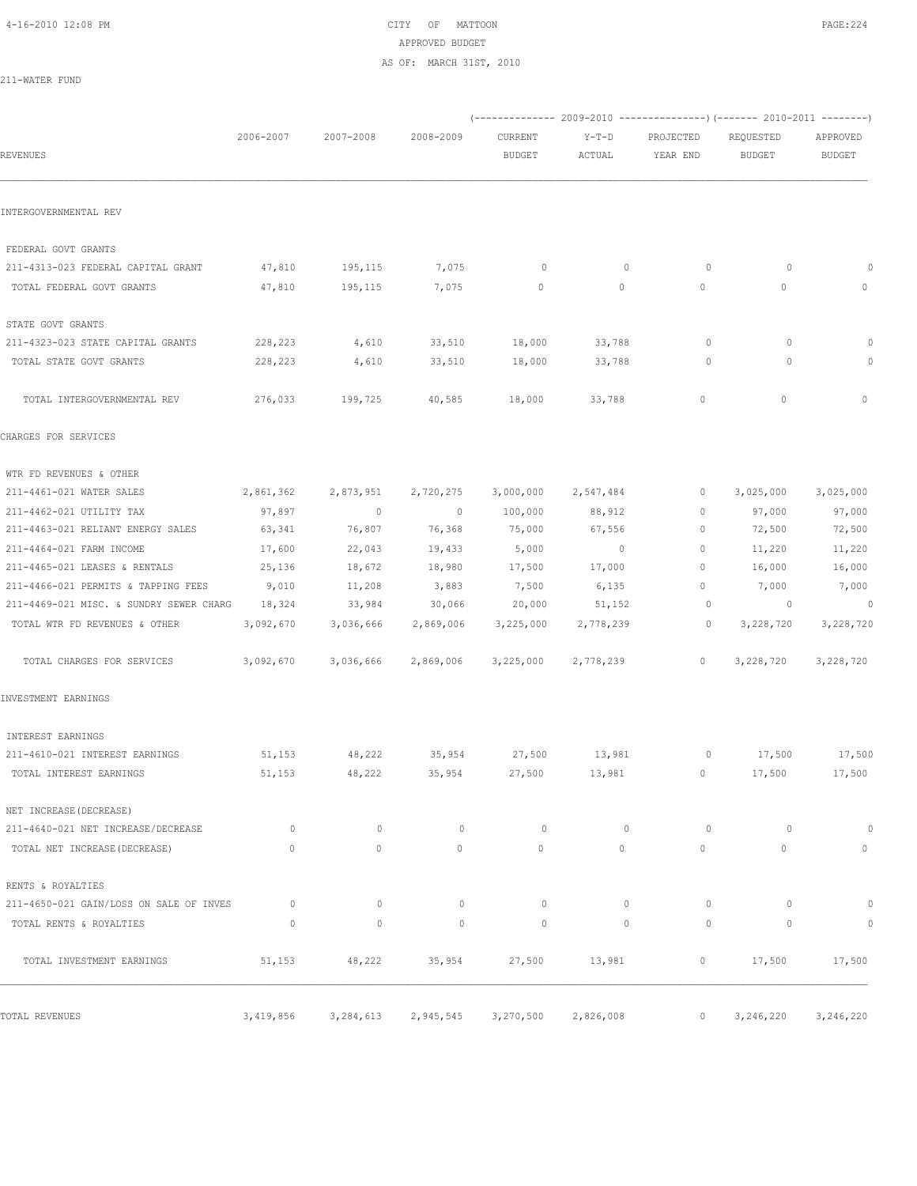## 4-16-2010 12:08 PM CITY OF MATTOON PAGE:224 APPROVED BUDGET AS OF: MARCH 31ST, 2010

211-WATER FUND

|                                                |           |                                     |               |                          |                          |                       | (------------- 2009-2010 ---------------) (------- 2010-2011 --------) |                           |
|------------------------------------------------|-----------|-------------------------------------|---------------|--------------------------|--------------------------|-----------------------|------------------------------------------------------------------------|---------------------------|
| <b>REVENUES</b>                                | 2006-2007 | 2007-2008                           | 2008-2009     | CURRENT<br><b>BUDGET</b> | $Y-T-D$<br>ACTUAL        | PROJECTED<br>YEAR END | REQUESTED<br>BUDGET                                                    | APPROVED<br><b>BUDGET</b> |
|                                                |           |                                     |               |                          |                          |                       |                                                                        |                           |
| INTERGOVERNMENTAL REV                          |           |                                     |               |                          |                          |                       |                                                                        |                           |
| FEDERAL GOVT GRANTS                            |           |                                     |               |                          |                          |                       |                                                                        |                           |
| 211-4313-023 FEDERAL CAPITAL GRANT             | 47,810    |                                     | 195,115 7,075 | $\overline{\phantom{0}}$ | $\overline{\phantom{0}}$ | $\circ$               | $\mathbf 0$                                                            |                           |
| TOTAL FEDERAL GOVT GRANTS                      | 47,810    | 195, 115                            | 7,075         | 0                        | $\circ$                  | $\circ$               | $\circ$                                                                | 0                         |
| STATE GOVT GRANTS                              |           |                                     |               |                          |                          |                       |                                                                        |                           |
| 211-4323-023 STATE CAPITAL GRANTS              | 228,223   | 4,610                               | 33,510        | 18,000                   | 33,788                   | $\mathbf 0$           | $\mathbf{0}$                                                           |                           |
| TOTAL STATE GOVT GRANTS                        | 228,223   | 4,610                               | 33,510        | 18,000                   | 33,788                   | $\mathbf{0}$          | 0                                                                      |                           |
| TOTAL INTERGOVERNMENTAL REV                    | 276,033   | 199,725                             | 40,585        | 18,000                   | 33,788                   | $\circ$               | $\mathbf{0}$                                                           | 0                         |
| CHARGES FOR SERVICES                           |           |                                     |               |                          |                          |                       |                                                                        |                           |
| WTR FD REVENUES & OTHER                        |           |                                     |               |                          |                          |                       |                                                                        |                           |
| 211-4461-021 WATER SALES                       | 2,861,362 | 2,873,951                           | 2,720,275     | 3,000,000                | 2,547,484                | $\circ$               | 3,025,000                                                              | 3,025,000                 |
| 211-4462-021 UTILITY TAX                       | 97,897    | $\sim$ 0                            | $\sim$ 0      | 100,000                  | 88,912                   | $\circ$               | 97,000                                                                 | 97,000                    |
| 211-4463-021 RELIANT ENERGY SALES              | 63,341    | 76,807                              | 76,368        | 75,000                   | 67,556                   | $\circ$               | 72,500                                                                 | 72,500                    |
| 211-4464-021 FARM INCOME                       | 17,600    | 22,043                              | 19,433        | 5,000                    | $\overline{0}$           | $\circ$               | 11,220                                                                 | 11,220                    |
| 211-4465-021 LEASES & RENTALS                  | 25,136    | 18,672                              | 18,980        | 17,500                   | 17,000                   | $\circ$               | 16,000                                                                 | 16,000                    |
| 211-4466-021 PERMITS & TAPPING FEES            | 9,010     | 11,208                              | 3,883         | 7,500                    | 6,135                    | $\circ$               | 7,000                                                                  | 7,000                     |
| 211-4469-021 MISC. & SUNDRY SEWER CHARG 18,324 |           | 33,984                              | 30,066        | 20,000                   | 51,152                   | $\circ$               | $\sim$ 0                                                               | $\mathbf 0$               |
| TOTAL WTR FD REVENUES & OTHER                  | 3,092,670 | 3,036,666                           | 2,869,006     | 3,225,000                | 2,778,239                | $\mathbb O$           | 3,228,720                                                              | 3,228,720                 |
| TOTAL CHARGES FOR SERVICES                     | 3,092,670 | 3,036,666                           | 2,869,006     | 3,225,000                | 2,778,239                | $\circ$               | 3,228,720                                                              | 3,228,720                 |
| INVESTMENT EARNINGS                            |           |                                     |               |                          |                          |                       |                                                                        |                           |
| INTEREST EARNINGS                              |           |                                     |               |                          |                          |                       |                                                                        |                           |
| 211-4610-021 INTEREST EARNINGS                 |           | $51,153$ $48,222$ $35,954$ $27,500$ |               |                          | 13,981                   | $\overline{0}$        | 17,500 17,500                                                          |                           |
| TOTAL INTEREST EARNINGS                        | 51, 153   | 48,222                              | 35,954        | 27,500                   | 13,981                   | $\circ$               | 17,500                                                                 | 17,500                    |
| NET INCREASE (DECREASE)                        |           |                                     |               |                          |                          |                       |                                                                        |                           |
| 211-4640-021 NET INCREASE/DECREASE             | $\circ$   | $\mathbf{0}$                        | $\circ$       | $\circ$                  | $\circ$                  | $\mathbf{0}$          | $\mathbf{0}$                                                           | 0                         |
| TOTAL NET INCREASE (DECREASE)                  | $\circ$   | $\circ$                             | $\circ$       | $\mathbf{0}$             | $\circ$                  | $\circ$               | $\circ$                                                                | 0                         |
| RENTS & ROYALTIES                              |           |                                     |               |                          |                          |                       |                                                                        |                           |
| 211-4650-021 GAIN/LOSS ON SALE OF INVES        | 0         | $\circ$                             | $\circ$       | $\circ$                  | $\mathbf 0$              | $\circ$               | $\mathbf{0}$                                                           |                           |
| TOTAL RENTS & ROYALTIES                        | $\circ$   | $\circ$                             | $\circ$       | $\circ$                  | $\circ$                  | $\mathbf{0}$          | $\mathbf{0}$                                                           | $\circ$                   |
| TOTAL INVESTMENT EARNINGS                      | 51,153    | 48,222                              | 35,954        | 27,500                   | 13,981                   | 0                     | 17,500                                                                 | 17,500                    |
| TOTAL REVENUES                                 | 3,419,856 |                                     |               |                          | 2,826,008                | $\circ$               |                                                                        |                           |
|                                                |           | 3,284,613                           | 2,945,545     | 3,270,500                |                          |                       | 3, 246, 220                                                            | 3, 246, 220               |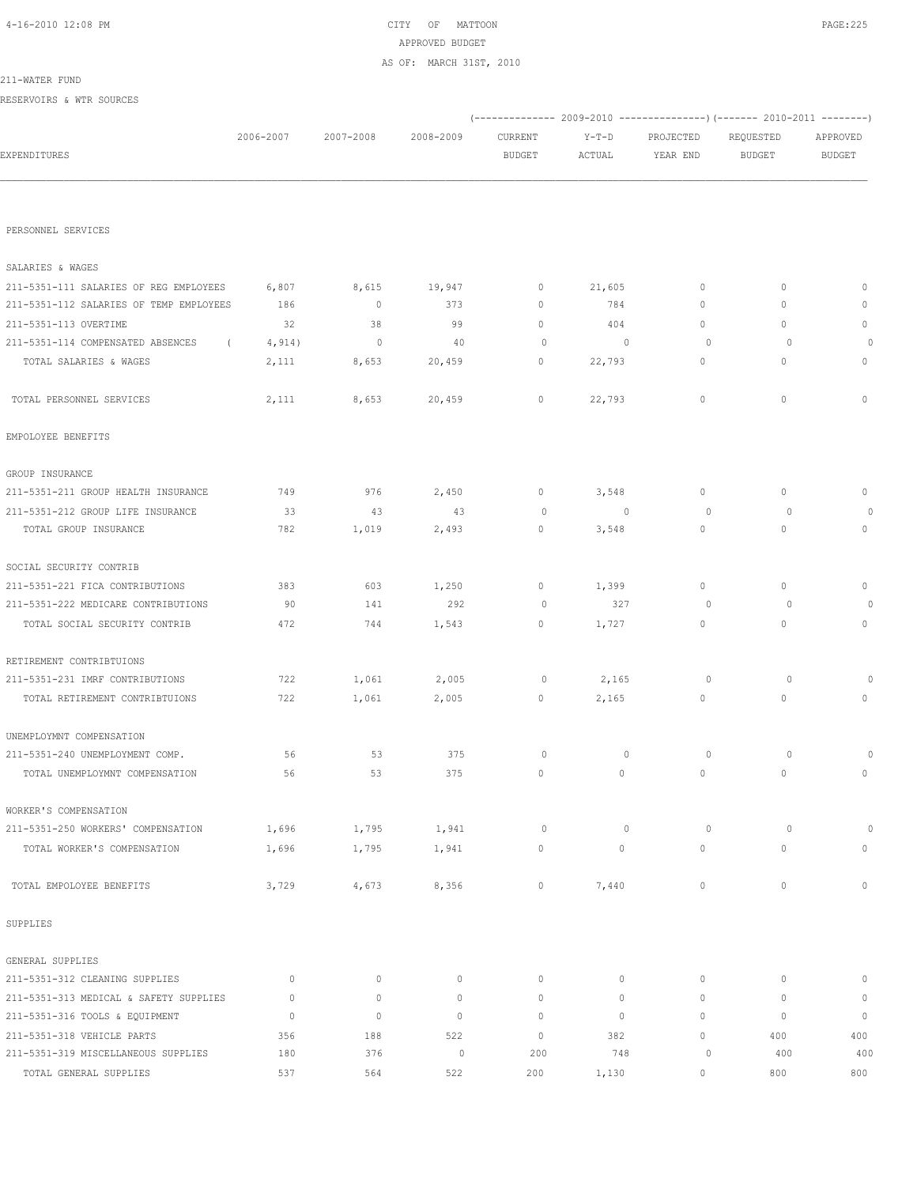## 4-16-2010 12:08 PM CITY OF MATTOON PAGE:225 APPROVED BUDGET AS OF: MARCH 31ST, 2010

#### 211-WATER FUND

RESERVOIRS & WTR SOURCES

|                                                 |              |                          |              |               |                          |              | (-------------- 2009-2010 ----------------) (------- 2010-2011 --------) |               |
|-------------------------------------------------|--------------|--------------------------|--------------|---------------|--------------------------|--------------|--------------------------------------------------------------------------|---------------|
|                                                 | 2006-2007    | 2007-2008                | 2008-2009    | CURRENT       | $Y-T-D$                  | PROJECTED    | REQUESTED                                                                | APPROVED      |
| EXPENDITURES                                    |              |                          |              | <b>BUDGET</b> | ACTUAL                   | YEAR END     | <b>BUDGET</b>                                                            | <b>BUDGET</b> |
|                                                 |              |                          |              |               |                          |              |                                                                          |               |
| PERSONNEL SERVICES                              |              |                          |              |               |                          |              |                                                                          |               |
| SALARIES & WAGES                                |              |                          |              |               |                          |              |                                                                          |               |
| 211-5351-111 SALARIES OF REG EMPLOYEES          | 6,807        | 8,615                    | 19,947       | $\mathbb O$   | 21,605                   | $\mathbb O$  | $\mathbf 0$                                                              | $\mathbf 0$   |
| 211-5351-112 SALARIES OF TEMP EMPLOYEES         | 186          | $\overline{\phantom{0}}$ | 373          | $\mathbb O$   | 784                      | $\circ$      | $\mathbf 0$                                                              | 0             |
| 211-5351-113 OVERTIME                           | 32           | 38                       | 99           | $\mathbb O$   | 404                      | 0            | $\mathbf 0$                                                              | 0             |
| 211-5351-114 COMPENSATED ABSENCES<br>$\sqrt{2}$ | 4,914)       | $\overline{\phantom{0}}$ | 40           | 0             | $\overline{\phantom{0}}$ | $\mathbf 0$  | $\mathbf 0$                                                              | $\mathbf{0}$  |
| TOTAL SALARIES & WAGES                          | 2,111        | 8,653                    | 20,459       | $\mathbb O$   | 22,793                   | 0            | 0                                                                        | 0             |
| TOTAL PERSONNEL SERVICES                        | 2,111        | 8,653                    | 20,459       | 0             | 22,793                   | $\mathbb O$  | $\mathbf 0$                                                              | $\mathbf{0}$  |
| EMPOLOYEE BENEFITS                              |              |                          |              |               |                          |              |                                                                          |               |
| GROUP INSURANCE                                 |              |                          |              |               |                          |              |                                                                          |               |
| 211-5351-211 GROUP HEALTH INSURANCE             | 749          | 976                      | 2,450        | $\mathbf 0$   | 3,548                    | 0            | 0                                                                        | 0             |
| 211-5351-212 GROUP LIFE INSURANCE               | 33           | 43                       | 43           | 0             | $\overline{\phantom{0}}$ | $\mathbf{0}$ | $\mathbf 0$                                                              | $\mathbf{0}$  |
| TOTAL GROUP INSURANCE                           | 782          | 1,019                    | 2,493        | $\mathbf 0$   | 3,548                    | $\circ$      | $\circ$                                                                  | 0             |
| SOCIAL SECURITY CONTRIB                         |              |                          |              |               |                          |              |                                                                          |               |
| 211-5351-221 FICA CONTRIBUTIONS                 | 383          | 603                      | 1,250        | $\mathbf 0$   | 1,399                    | 0            | 0                                                                        | 0             |
| 211-5351-222 MEDICARE CONTRIBUTIONS             | 90           | 141                      | 292          | 0             | 327                      | $\mathbf 0$  | $\mathbf 0$                                                              | 0             |
| TOTAL SOCIAL SECURITY CONTRIB                   | 472          | 744                      | 1,543        | $\mathbb O$   | 1,727                    | $\mathbb O$  | $\circ$                                                                  | $\circ$       |
| RETIREMENT CONTRIBTUIONS                        |              |                          |              |               |                          |              |                                                                          |               |
| 211-5351-231 IMRF CONTRIBUTIONS                 | 722          | 1,061                    | 2,005        | 0             | 2,165                    | $\mathbf{0}$ | $\mathbf{0}$                                                             | $\mathbf{0}$  |
| TOTAL RETIREMENT CONTRIBTUIONS                  | 722          | 1,061                    | 2,005        | $\circ$       | 2,165                    | $\circ$      | 0                                                                        | 0             |
| UNEMPLOYMNT COMPENSATION                        |              |                          |              |               |                          |              |                                                                          |               |
| 211-5351-240 UNEMPLOYMENT COMP.                 | 56           | 53                       | 375          | $\circ$       | $\mathbf 0$              | $\mathbf{0}$ | $\mathbf 0$                                                              | 0             |
| TOTAL UNEMPLOYMNT COMPENSATION                  | 56           | 53                       | 375          | $\mathbf{0}$  | $\circ$                  | $\circ$      | $\mathbf{0}$                                                             | 0             |
| WORKER'S COMPENSATION                           |              |                          |              |               |                          |              |                                                                          |               |
| 211-5351-250 WORKERS' COMPENSATION              | 1,696        | 1,795                    | 1,941        | 0             | $\mathbf 0$              | $\mathbf 0$  | $\mathbf 0$                                                              | $\theta$      |
| TOTAL WORKER'S COMPENSATION                     | 1,696        | 1,795                    | 1,941        | $\circ$       | $\circ$                  | $\mathbb O$  | $\mathbf 0$                                                              | $\circ$       |
| TOTAL EMPOLOYEE BENEFITS                        | 3,729        | 4,673                    | 8,356        | $\circ$       | 7,440                    | $\mathbf{0}$ | $\mathbf{0}$                                                             | $\circ$       |
| <b>SUPPLIES</b>                                 |              |                          |              |               |                          |              |                                                                          |               |
| GENERAL SUPPLIES                                |              |                          |              |               |                          |              |                                                                          |               |
| 211-5351-312 CLEANING SUPPLIES                  | $\circ$      | $\circ$                  | $\mathbf 0$  | $\circ$       | $\circ$                  | $\circ$      | $\mathbf 0$                                                              | $\circ$       |
| 211-5351-313 MEDICAL & SAFETY SUPPLIES          | $\mathbf{0}$ | $\circ$                  | $\mathbf{0}$ | $\mathbf 0$   | $\circ$                  | $\mathbb O$  | $\mathbf 0$                                                              | $\mathbf 0$   |
| 211-5351-316 TOOLS & EQUIPMENT                  | $\circ$      | $\circ$                  | $\mathbf{0}$ | $\mathbf 0$   | $\circ$                  | $\circ$      | $\mathbf 0$                                                              | $\circ$       |
| 211-5351-318 VEHICLE PARTS                      | 356          | 188                      | 522          | $\mathbf 0$   | 382                      | 0            | 400                                                                      | 400           |
| 211-5351-319 MISCELLANEOUS SUPPLIES             | 180          | 376                      | $\circ$      | 200           | 748                      | $\mathbf 0$  | 400                                                                      | 400           |
| TOTAL GENERAL SUPPLIES                          | 537          | 564                      | 522          | 200           | 1,130                    | 0            | 800                                                                      | 800           |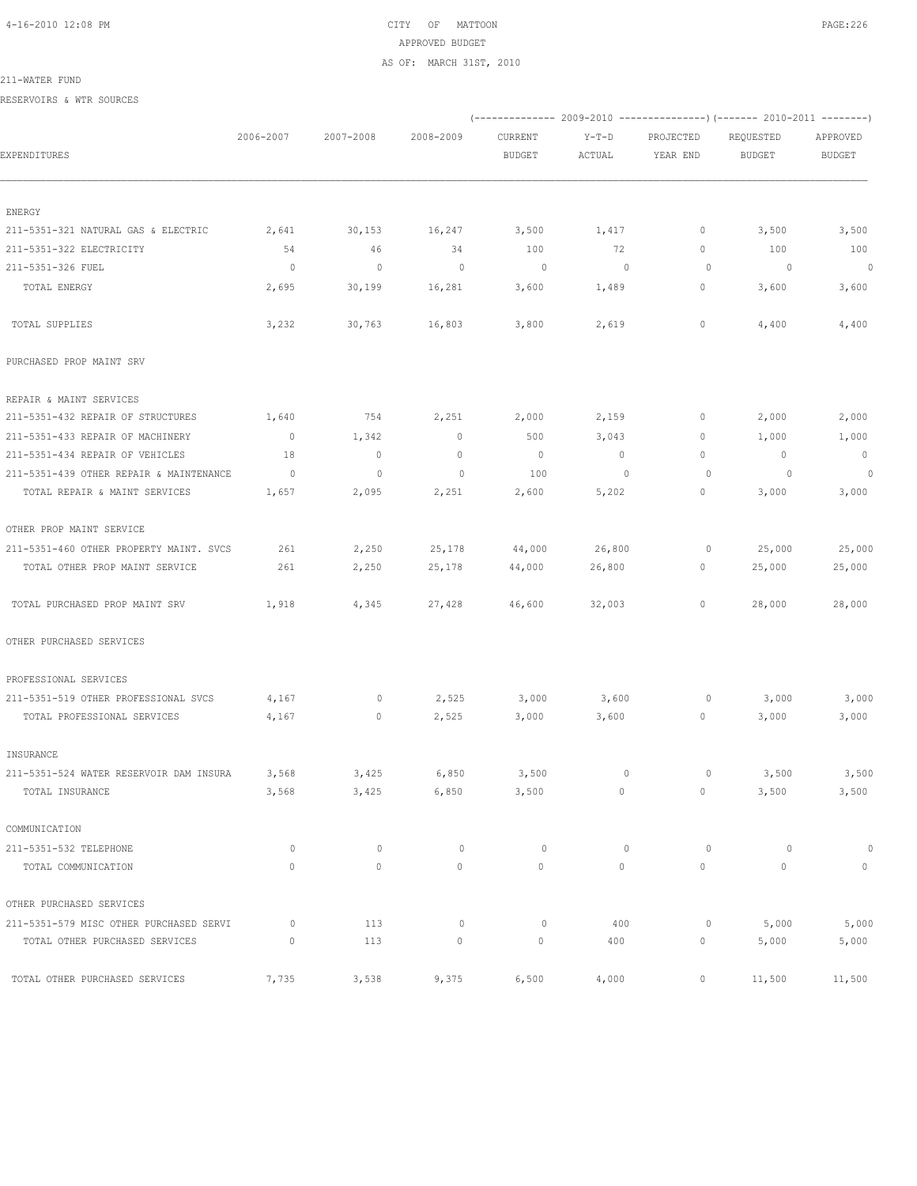## 4-16-2010 12:08 PM CITY OF MATTOON PAGE:226 APPROVED BUDGET AS OF: MARCH 31ST, 2010

#### 211-WATER FUND

RESERVOIRS & WTR SOURCES

|                                         |                          |                          |                          |                          |                          |                       | (-------------- 2009-2010 ----------------) (------- 2010-2011 --------) |                           |
|-----------------------------------------|--------------------------|--------------------------|--------------------------|--------------------------|--------------------------|-----------------------|--------------------------------------------------------------------------|---------------------------|
| EXPENDITURES                            | 2006-2007                | 2007-2008                | 2008-2009                | CURRENT<br><b>BUDGET</b> | $Y-T-D$<br>ACTUAL        | PROJECTED<br>YEAR END | REQUESTED<br><b>BUDGET</b>                                               | APPROVED<br><b>BUDGET</b> |
|                                         |                          |                          |                          |                          |                          |                       |                                                                          |                           |
| ENERGY                                  |                          |                          |                          |                          |                          |                       |                                                                          |                           |
| 211-5351-321 NATURAL GAS & ELECTRIC     | 2,641                    | 30, 153                  | 16,247                   | 3,500                    | 1,417                    | 0                     | 3,500                                                                    | 3,500                     |
| 211-5351-322 ELECTRICITY                | 54                       | 46                       | 34                       | 100                      | 72                       | $\circ$               | 100                                                                      | 100                       |
| 211-5351-326 FUEL                       | $\overline{0}$           | $\overline{\phantom{0}}$ | $\overline{\phantom{0}}$ | $\overline{0}$           | $\overline{0}$           | $\mathbf 0$           | $\overline{\phantom{0}}$                                                 | $\mathbb O$               |
| TOTAL ENERGY                            | 2,695                    | 30,199                   | 16,281                   | 3,600                    | 1,489                    | 0                     | 3,600                                                                    | 3,600                     |
| TOTAL SUPPLIES                          | 3,232                    | 30,763                   | 16,803                   | 3,800                    | 2,619                    | $\circ$               | 4,400                                                                    | 4,400                     |
| PURCHASED PROP MAINT SRV                |                          |                          |                          |                          |                          |                       |                                                                          |                           |
| REPAIR & MAINT SERVICES                 |                          |                          |                          |                          |                          |                       |                                                                          |                           |
| 211-5351-432 REPAIR OF STRUCTURES       | 1,640                    | 754                      | 2,251                    | 2,000                    | 2,159                    | 0                     | 2,000                                                                    | 2,000                     |
| 211-5351-433 REPAIR OF MACHINERY        | $\overline{0}$           | 1,342                    | $\circ$                  | 500                      | 3,043                    | $\circ$               | 1,000                                                                    | 1,000                     |
| 211-5351-434 REPAIR OF VEHICLES         | 18                       | $\overline{0}$           | $\circ$                  | $\overline{0}$           | $\overline{0}$           | $\circ$               | $\overline{0}$                                                           | $\overline{0}$            |
| 211-5351-439 OTHER REPAIR & MAINTENANCE | $\overline{\phantom{0}}$ | $\overline{\phantom{0}}$ | $\circ$                  | 100                      | $\overline{\phantom{0}}$ | $\mathbf 0$           | $\mathbf 0$                                                              | $\mathbb O$               |
| TOTAL REPAIR & MAINT SERVICES           | 1,657                    | 2,095                    | 2,251                    | 2,600                    | 5,202                    | $\circ$               | 3,000                                                                    | 3,000                     |
| OTHER PROP MAINT SERVICE                |                          |                          |                          |                          |                          |                       |                                                                          |                           |
| 211-5351-460 OTHER PROPERTY MAINT. SVCS | 261                      | 2,250                    | 25,178                   | 44,000                   | 26,800                   | $\circ$               | 25,000                                                                   | 25,000                    |
| TOTAL OTHER PROP MAINT SERVICE          | 261                      | 2,250                    | 25,178                   | 44,000                   | 26,800                   | $\circ$               | 25,000                                                                   | 25,000                    |
| TOTAL PURCHASED PROP MAINT SRV          | 1,918                    | 4,345                    | 27,428                   | 46,600                   | 32,003                   | $\circ$               | 28,000                                                                   | 28,000                    |
| OTHER PURCHASED SERVICES                |                          |                          |                          |                          |                          |                       |                                                                          |                           |
| PROFESSIONAL SERVICES                   |                          |                          |                          |                          |                          |                       |                                                                          |                           |
| 211-5351-519 OTHER PROFESSIONAL SVCS    | 4,167                    | $\circ$                  | 2,525                    | 3,000                    | 3,600                    | 0                     | 3,000                                                                    | 3,000                     |
| TOTAL PROFESSIONAL SERVICES             | 4,167                    | $\circ$                  | 2,525                    | 3,000                    | 3,600                    | 0                     | 3,000                                                                    | 3,000                     |
| INSURANCE                               |                          |                          |                          |                          |                          |                       |                                                                          |                           |
| 211-5351-524 WATER RESERVOIR DAM INSURA | 3,568                    | 3,425                    | 6,850                    | 3,500                    | $\circ$                  | $\circ$               | 3,500                                                                    | 3,500                     |
| TOTAL INSURANCE                         | 3,568                    | 3,425                    | 6,850                    | 3,500                    | $\circ$                  | $\circ$               | 3,500                                                                    | 3,500                     |
| COMMUNICATION                           |                          |                          |                          |                          |                          |                       |                                                                          |                           |
| 211-5351-532 TELEPHONE                  | $\circ$                  | $\mathbb O$              | $\circ$                  | $\circ$                  | $\mathbb O$              | $\mathbb O$           | $\circ$                                                                  | $\mathbb O$               |
| TOTAL COMMUNICATION                     | $\circ$                  | $\mathbb O$              | $\mathbb O$              | $\circ$                  | $\circ$                  | $\mathbb O$           | $\mathbb O$                                                              | $\mathbb O$               |
| OTHER PURCHASED SERVICES                |                          |                          |                          |                          |                          |                       |                                                                          |                           |
| 211-5351-579 MISC OTHER PURCHASED SERVI | $\circ$                  | 113                      | $\circ$                  | $\circ$                  | 400                      | $\mathbb O$           | 5,000                                                                    | 5,000                     |
| TOTAL OTHER PURCHASED SERVICES          | $\mathbf 0$              | 113                      | $\mathbb O$              | $\mathbb O$              | 400                      | $\circ$               | 5,000                                                                    | 5,000                     |
| TOTAL OTHER PURCHASED SERVICES          | 7,735                    | 3,538                    | 9,375                    | 6,500                    | 4,000                    | $\circ$               | 11,500                                                                   | 11,500                    |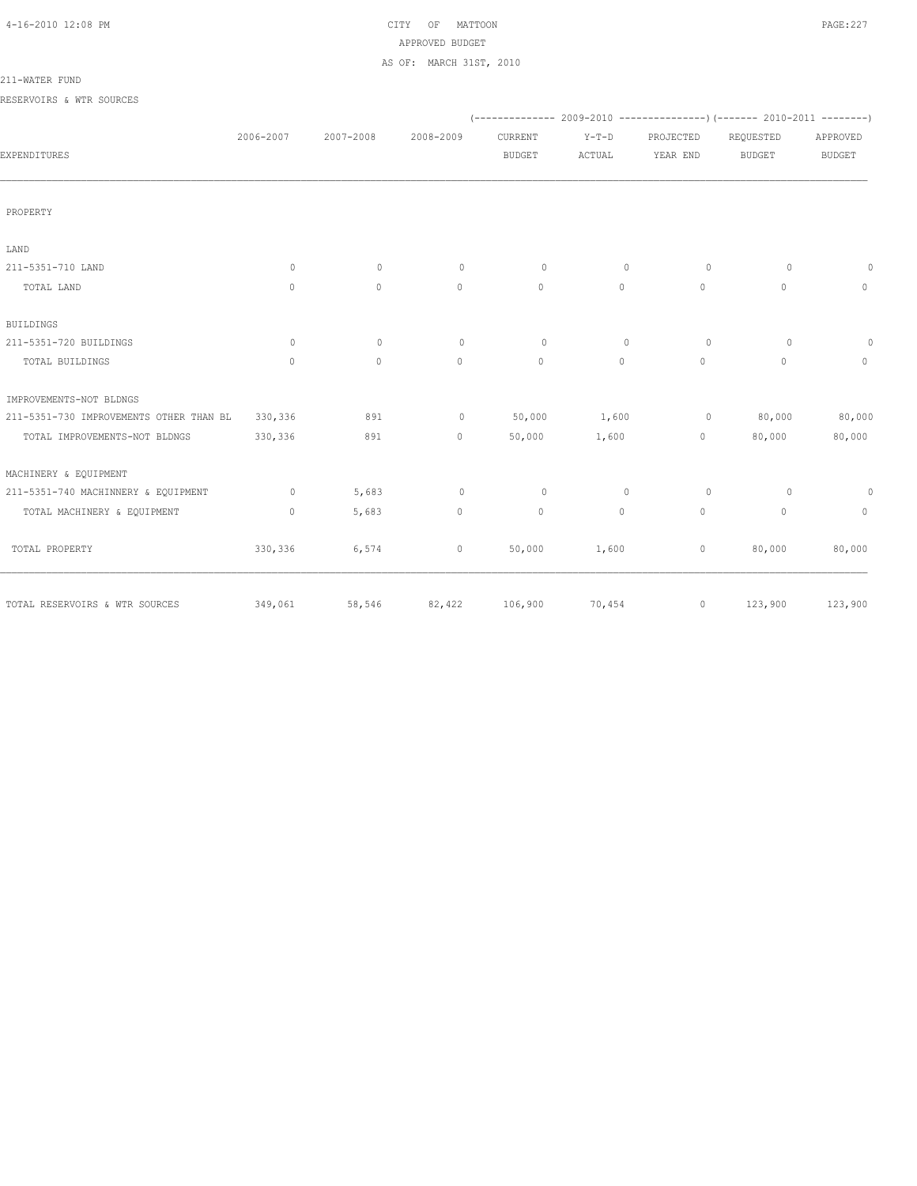## 4-16-2010 12:08 PM CITY OF MATTOON PAGE:227 APPROVED BUDGET AS OF: MARCH 31ST, 2010

### 211-WATER FUND

RESERVOIRS & WTR SOURCES

|                                         |              |              |              |                          | 2009-2010         |                       | ---------------) (------- 2010-2011 -------- |                           |
|-----------------------------------------|--------------|--------------|--------------|--------------------------|-------------------|-----------------------|----------------------------------------------|---------------------------|
| EXPENDITURES                            | 2006-2007    | 2007-2008    | 2008-2009    | CURRENT<br><b>BUDGET</b> | $Y-T-D$<br>ACTUAL | PROJECTED<br>YEAR END | REQUESTED<br><b>BUDGET</b>                   | APPROVED<br><b>BUDGET</b> |
|                                         |              |              |              |                          |                   |                       |                                              |                           |
| PROPERTY                                |              |              |              |                          |                   |                       |                                              |                           |
| LAND                                    |              |              |              |                          |                   |                       |                                              |                           |
| 211-5351-710 LAND                       | $\circ$      | $\circ$      | $\circ$      | $\circ$                  | $\mathbf{0}$      | $\mathbf{0}$          | $\mathbf 0$                                  |                           |
| TOTAL LAND                              | $\mathbf{0}$ | $\circ$      | $\mathbf{0}$ | $\circ$                  | $\circ$           | $\circ$               | $\circ$                                      | $\mathbb O$               |
| <b>BUILDINGS</b>                        |              |              |              |                          |                   |                       |                                              |                           |
| 211-5351-720 BUILDINGS                  | $\circ$      | $\mathbf{0}$ | $\circ$      | $\circ$                  | $\mathbf{0}$      | $\mathbf{0}$          | $\mathbf{0}$                                 | $\mathbf{0}$              |
| TOTAL BUILDINGS                         | 0            | $\mathbb O$  | $\circ$      | $\circ$                  | $\circ$           | $\mathbb O$           | $\circ$                                      | 0                         |
| IMPROVEMENTS-NOT BLDNGS                 |              |              |              |                          |                   |                       |                                              |                           |
| 211-5351-730 IMPROVEMENTS OTHER THAN BL | 330,336      | 891          | 0            | 50,000                   | 1,600             | $\circ$               | 80,000                                       | 80,000                    |
| TOTAL IMPROVEMENTS-NOT BLDNGS           | 330,336      | 891          | $\circ$      | 50,000                   | 1,600             | 0                     | 80,000                                       | 80,000                    |
| MACHINERY & EQUIPMENT                   |              |              |              |                          |                   |                       |                                              |                           |
| 211-5351-740 MACHINNERY & EQUIPMENT     | $\circ$      | 5,683        | $\circ$      | $\circ$                  | $\mathbf{0}$      | $\mathbf{0}$          | $\mathbf{0}$                                 | 0                         |
| TOTAL MACHINERY & EQUIPMENT             | $\mathbf{0}$ | 5,683        | $\mathbf{0}$ | $\circ$                  | $\circ$           | $\circ$               | $\mathbf{0}$                                 | $\mathbf{0}$              |
| TOTAL PROPERTY                          | 330,336      | 6,574        | $\circ$      | 50,000                   | 1,600             | $\circ$               | 80,000                                       | 80,000                    |
| TOTAL RESERVOIRS & WTR SOURCES          | 349,061      | 58,546       | 82,422       | 106,900                  | 70,454            | 0                     | 123,900                                      | 123,900                   |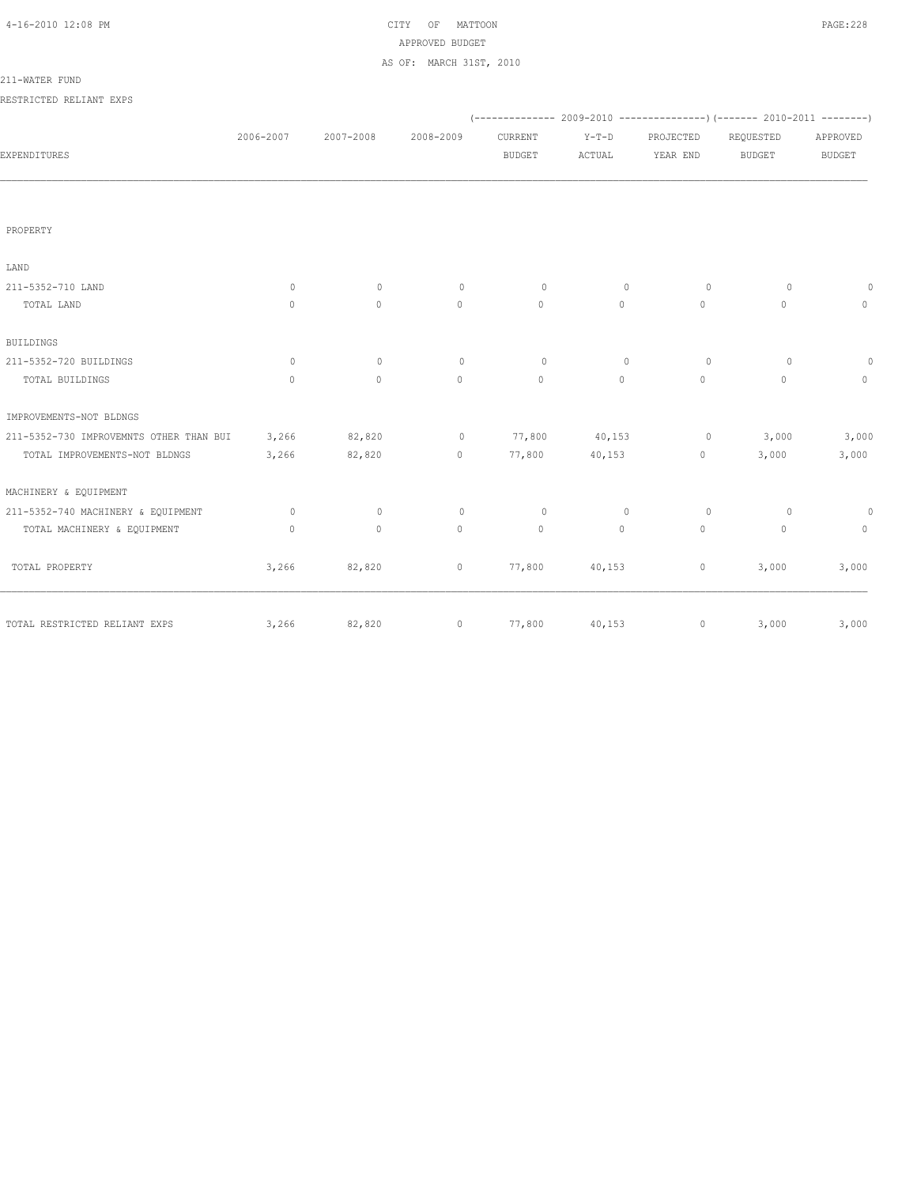## 4-16-2010 12:08 PM CITY OF MATTOON PAGE:228 APPROVED BUDGET AS OF: MARCH 31ST, 2010

#### 211-WATER FUND

RESTRICTED RELIANT EXPS

|                                         |             |               |              | (--------------          |                   |                       | 2009-2010 ----------------) (------- 2010-2011 --------) |                           |
|-----------------------------------------|-------------|---------------|--------------|--------------------------|-------------------|-----------------------|----------------------------------------------------------|---------------------------|
| EXPENDITURES                            | 2006-2007   | $2007 - 2008$ | 2008-2009    | CURRENT<br><b>BUDGET</b> | $Y-T-D$<br>ACTUAL | PROJECTED<br>YEAR END | REQUESTED<br><b>BUDGET</b>                               | APPROVED<br><b>BUDGET</b> |
|                                         |             |               |              |                          |                   |                       |                                                          |                           |
| PROPERTY                                |             |               |              |                          |                   |                       |                                                          |                           |
| LAND                                    |             |               |              |                          |                   |                       |                                                          |                           |
| 211-5352-710 LAND                       | $\circ$     | $\circ$       | $\circ$      | $\circ$                  | $\circ$           | $\mathbf{0}$          | $\mathbf{0}$                                             |                           |
| TOTAL LAND                              | $\circ$     | $\circ$       | $\mathbf{0}$ | $\mathbf{0}$             | $\circ$           | $\mathbf{0}$          | $\circ$                                                  | $\mathbf{0}$              |
| <b>BUILDINGS</b>                        |             |               |              |                          |                   |                       |                                                          |                           |
| 211-5352-720 BUILDINGS                  | $\circ$     | $\mathbf{0}$  | $\circ$      | $\circ$                  | $\mathbf{0}$      | $\mathbf{0}$          | $\mathbf{0}$                                             | $\mathbf{0}$              |
| TOTAL BUILDINGS                         | 0           | $\circ$       | $\circ$      | $\circ$                  | $\circ$           | $\mathbb O$           | $\circ$                                                  | 0                         |
| IMPROVEMENTS-NOT BLDNGS                 |             |               |              |                          |                   |                       |                                                          |                           |
| 211-5352-730 IMPROVEMNTS OTHER THAN BUI | 3,266       | 82,820        | $\circ$      | 77,800                   | 40, 153           | $\circ$               | 3,000                                                    | 3,000                     |
| TOTAL IMPROVEMENTS-NOT BLDNGS           | 3,266       | 82,820        | $\circ$      | 77,800                   | 40,153            | $\circ$               | 3,000                                                    | 3,000                     |
| MACHINERY & EQUIPMENT                   |             |               |              |                          |                   |                       |                                                          |                           |
| 211-5352-740 MACHINERY & EQUIPMENT      | $\circ$     | $\circ$       | $\circ$      | $\circ$                  | $\mathbf{0}$      | $\circ$               | $\circ$                                                  | $\circ$                   |
| TOTAL MACHINERY & EQUIPMENT             | $\mathbf 0$ | $\circ$       | $\mathbb O$  | $\circ$                  | $\circ$           | $\mathbb O$           | $\circ$                                                  | $\mathbb O$               |
| TOTAL PROPERTY                          | 3,266       | 82,820        | $\circ$      | 77,800                   | 40,153            | 0                     | 3,000                                                    | 3,000                     |
| TOTAL RESTRICTED RELIANT EXPS           | 3,266       | 82,820        | $\circ$      | 77,800                   | 40,153            | $\circ$               | 3,000                                                    | 3,000                     |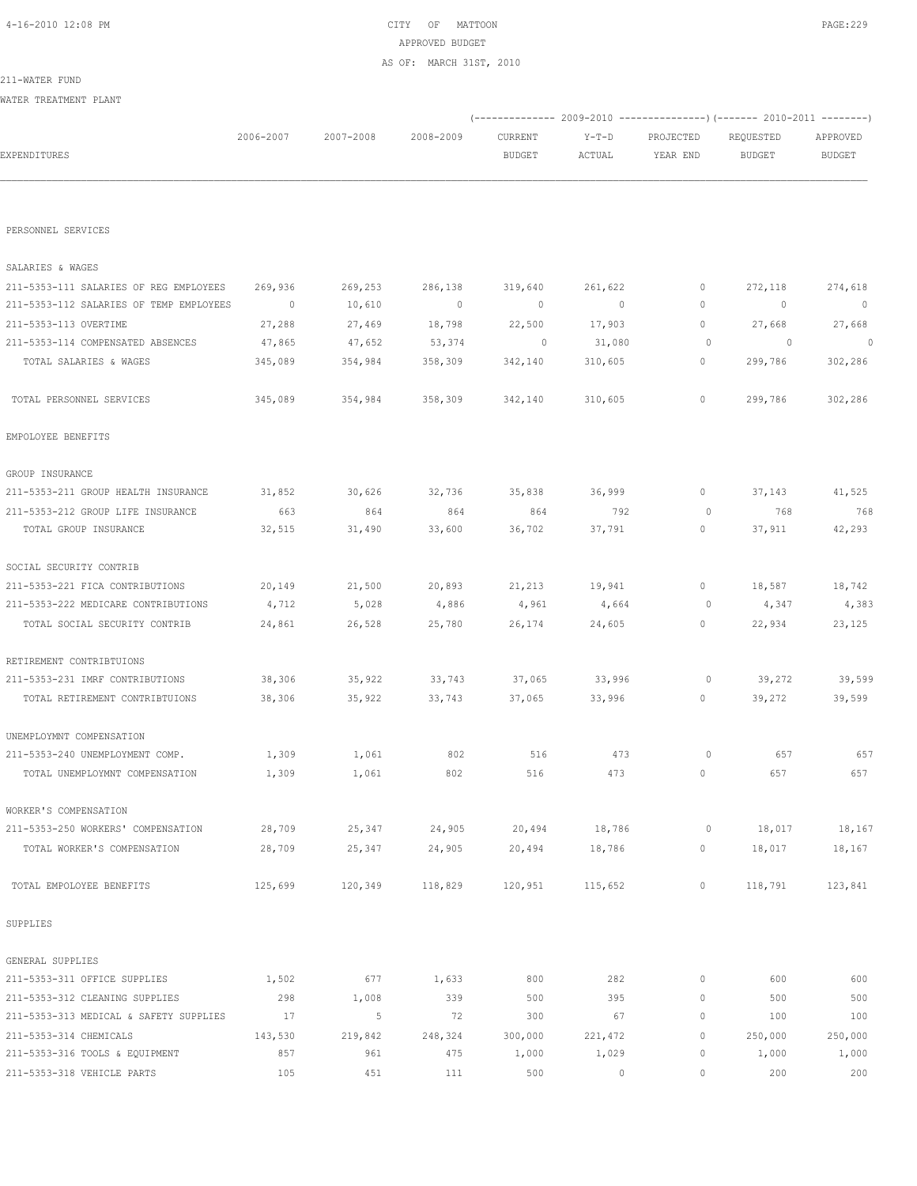# 4-16-2010 12:08 PM CITY OF MATTOON PAGE:229 APPROVED BUDGET

(-------------- 2009-2010 ---------------)(------- 2010-2011 --------)

AS OF: MARCH 31ST, 2010

### 211-WATER FUND

#### WATER TREATMENT PLANT

| EXPENDITURES                            | 2006-2007 | 2007-2008 | 2008-2009                | CURRENT<br><b>BUDGET</b> | $Y-T-D$<br>ACTUAL        | PROJECTED<br>YEAR END | REQUESTED<br><b>BUDGET</b> | APPROVED<br><b>BUDGET</b> |
|-----------------------------------------|-----------|-----------|--------------------------|--------------------------|--------------------------|-----------------------|----------------------------|---------------------------|
|                                         |           |           |                          |                          |                          |                       |                            |                           |
| PERSONNEL SERVICES                      |           |           |                          |                          |                          |                       |                            |                           |
| SALARIES & WAGES                        |           |           |                          |                          |                          |                       |                            |                           |
| 211-5353-111 SALARIES OF REG EMPLOYEES  | 269,936   | 269,253   | 286,138                  | 319,640                  | 261,622                  | 0                     | 272,118                    | 274,618                   |
| 211-5353-112 SALARIES OF TEMP EMPLOYEES | $\sim$ 0  | 10,610    | $\overline{\phantom{0}}$ | $\circ$                  | $\overline{\phantom{0}}$ | $\circ$               | $\overline{0}$             | $\overline{0}$            |
| 211-5353-113 OVERTIME                   | 27,288    | 27,469    | 18,798                   | 22,500                   | 17,903                   | 0                     | 27,668                     | 27,668                    |
| 211-5353-114 COMPENSATED ABSENCES       | 47,865    | 47,652    | 53,374                   | $\circ$                  | 31,080                   | $\mathbf 0$           | $\sim$ 0                   | $\mathbf{0}$              |
| TOTAL SALARIES & WAGES                  | 345,089   | 354,984   | 358,309                  | 342,140                  | 310,605                  | 0                     | 299,786                    | 302,286                   |
| TOTAL PERSONNEL SERVICES                | 345,089   | 354,984   | 358,309                  | 342,140                  | 310,605                  | 0                     | 299,786                    | 302,286                   |
| EMPOLOYEE BENEFITS                      |           |           |                          |                          |                          |                       |                            |                           |
| GROUP INSURANCE                         |           |           |                          |                          |                          |                       |                            |                           |
| 211-5353-211 GROUP HEALTH INSURANCE     | 31,852    | 30,626    | 32,736                   | 35,838                   | 36,999                   | 0                     | 37,143                     | 41,525                    |
| 211-5353-212 GROUP LIFE INSURANCE       | 663       | 864       | 864                      | 864                      | 792                      | $\mathbf{0}$          | 768                        | 768                       |
| TOTAL GROUP INSURANCE                   | 32,515    | 31,490    | 33,600                   | 36,702                   | 37,791                   | 0                     | 37,911                     | 42,293                    |
| SOCIAL SECURITY CONTRIB                 |           |           |                          |                          |                          |                       |                            |                           |
| 211-5353-221 FICA CONTRIBUTIONS         | 20,149    | 21,500    | 20,893                   | 21,213                   | 19,941                   | 0                     | 18,587                     | 18,742                    |
| 211-5353-222 MEDICARE CONTRIBUTIONS     | 4,712     | 5,028     | 4,886                    | 4,961                    | 4,664                    | 0                     | 4,347                      | 4,383                     |
| TOTAL SOCIAL SECURITY CONTRIB           | 24,861    | 26,528    | 25,780                   | 26,174                   | 24,605                   | 0                     | 22,934                     | 23,125                    |
| RETIREMENT CONTRIBTUIONS                |           |           |                          |                          |                          |                       |                            |                           |
| 211-5353-231 IMRF CONTRIBUTIONS         | 38,306    | 35,922    | 33,743                   | 37,065                   | 33,996                   | $\mathbf 0$           | 39,272                     | 39,599                    |
| TOTAL RETIREMENT CONTRIBTUIONS          | 38,306    | 35,922    | 33,743                   | 37,065                   | 33,996                   | 0                     | 39,272                     | 39,599                    |
| UNEMPLOYMNT COMPENSATION                |           |           |                          |                          |                          |                       |                            |                           |
| 211-5353-240 UNEMPLOYMENT COMP.         | 1,309     | 1,061     | 802                      | 516                      | 473                      | $\mathbf 0$           | 657                        | 657                       |
| TOTAL UNEMPLOYMNT COMPENSATION          | 1,309     | 1,061     | 802                      | 516                      | 473                      | 0                     | 657                        | 657                       |
| WORKER'S COMPENSATION                   |           |           |                          |                          |                          |                       |                            |                           |
| 211-5353-250 WORKERS' COMPENSATION      | 28,709    | 25,347    | 24,905                   | 20,494                   | 18,786                   | $\mathbf 0$           | 18,017                     | 18,167                    |
| TOTAL WORKER'S COMPENSATION             | 28,709    | 25,347    | 24,905                   | 20,494                   | 18,786                   | 0                     | 18,017                     | 18,167                    |
| TOTAL EMPOLOYEE BENEFITS                | 125,699   | 120,349   | 118,829                  | 120,951                  | 115,652                  | 0                     | 118,791                    | 123,841                   |
| SUPPLIES                                |           |           |                          |                          |                          |                       |                            |                           |
| GENERAL SUPPLIES                        |           |           |                          |                          |                          |                       |                            |                           |
| 211-5353-311 OFFICE SUPPLIES            | 1,502     | 677       | 1,633                    | 800                      | 282                      | 0                     | 600                        | 600                       |
| 211-5353-312 CLEANING SUPPLIES          | 298       | 1,008     | 339                      | 500                      | 395                      | $\mathbb O$           | 500                        | 500                       |
| 211-5353-313 MEDICAL & SAFETY SUPPLIES  | 17        | 5         | 72                       | 300                      | 67                       | $\mathbb O$           | 100                        | 100                       |
| 211-5353-314 CHEMICALS                  | 143,530   | 219,842   | 248,324                  | 300,000                  | 221,472                  | 0                     | 250,000                    | 250,000                   |
| 211-5353-316 TOOLS & EQUIPMENT          | 857       | 961       | 475                      | 1,000                    | 1,029                    | $\mathbb O$           | 1,000                      | 1,000                     |
| 211-5353-318 VEHICLE PARTS              | 105       | 451       | 111                      | 500                      | $\circ$                  | 0                     | 200                        | 200                       |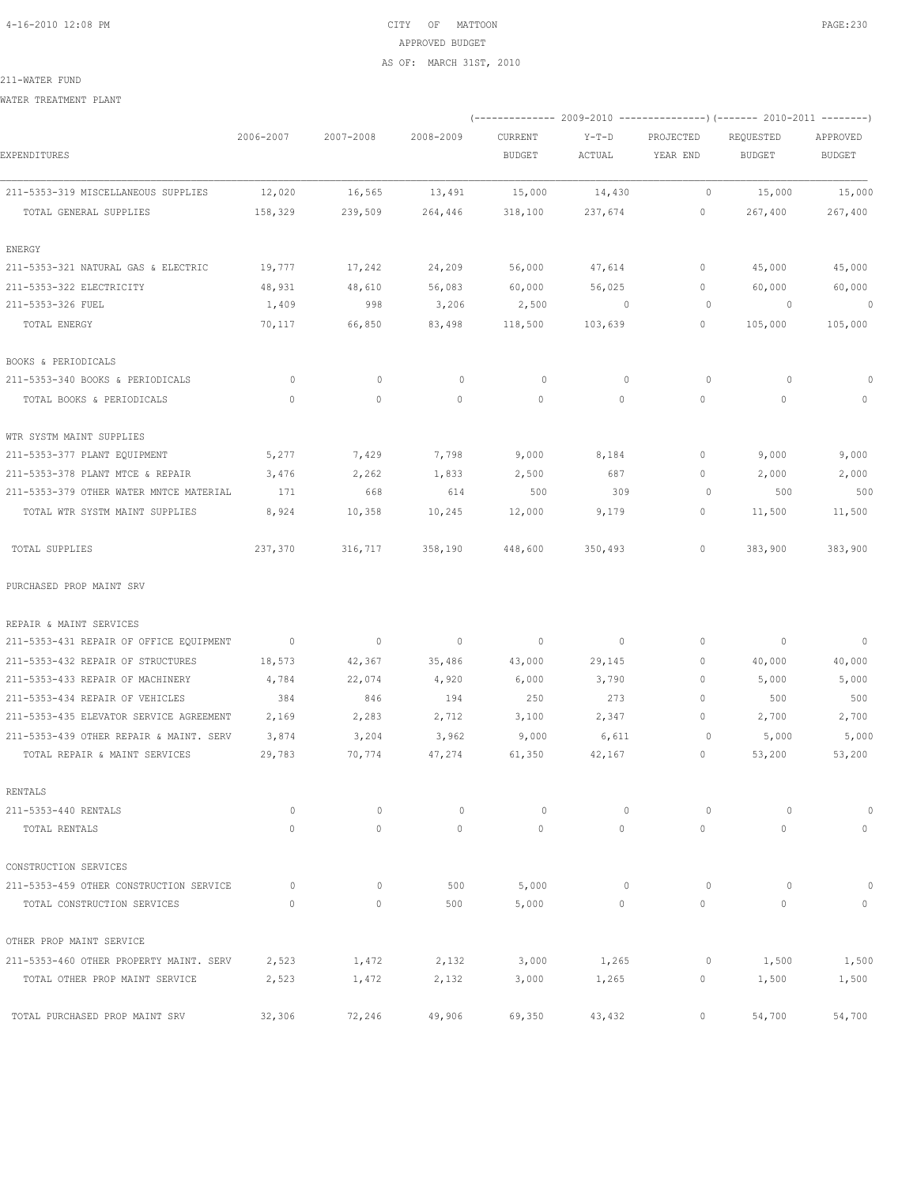### 4-16-2010 12:08 PM CITY OF MATTOON PAGE:230 APPROVED BUDGET AS OF: MARCH 31ST, 2010

#### 211-WATER FUND

#### WATER TREATMENT PLANT

| EXPENDITURES                            | 2006-2007    | 2007-2008    | 2008-2009    | CURRENT<br><b>BUDGET</b> | $Y-T-D$<br>ACTUAL | PROJECTED<br>YEAR END | REQUESTED<br><b>BUDGET</b> | APPROVED<br><b>BUDGET</b> |
|-----------------------------------------|--------------|--------------|--------------|--------------------------|-------------------|-----------------------|----------------------------|---------------------------|
| 211-5353-319 MISCELLANEOUS SUPPLIES     | 12,020       | 16,565       | 13,491       | 15,000                   | 14,430            | $\mathbf{0}$          | 15,000                     | 15,000                    |
| TOTAL GENERAL SUPPLIES                  | 158,329      | 239,509      | 264,446      | 318,100                  | 237,674           | 0                     | 267,400                    | 267,400                   |
| ENERGY                                  |              |              |              |                          |                   |                       |                            |                           |
| 211-5353-321 NATURAL GAS & ELECTRIC     | 19,777       | 17,242       | 24,209       | 56,000                   | 47,614            | 0                     | 45,000                     | 45,000                    |
| 211-5353-322 ELECTRICITY                | 48,931       | 48,610       | 56,083       | 60,000                   | 56,025            | 0                     | 60,000                     | 60,000                    |
| 211-5353-326 FUEL                       | 1,409        | 998          | 3,206        | 2,500                    | $\overline{0}$    | $\mathbf 0$           | $\overline{0}$             | $\theta$                  |
| TOTAL ENERGY                            | 70,117       | 66,850       | 83,498       | 118,500                  | 103,639           | 0                     | 105,000                    | 105,000                   |
| BOOKS & PERIODICALS                     |              |              |              |                          |                   |                       |                            |                           |
| 211-5353-340 BOOKS & PERIODICALS        | 0            | $\circ$      | 0            | 0                        | $\mathbf{0}$      | $\mathbf{0}$          | $\mathbf{0}$               |                           |
| TOTAL BOOKS & PERIODICALS               | $\mathbf{0}$ | $\mathbf{0}$ | $\circ$      | $\mathbf{0}$             | $\circ$           | $\circ$               | $\mathbf{0}$               | $\Omega$                  |
| WTR SYSTM MAINT SUPPLIES                |              |              |              |                          |                   |                       |                            |                           |
| 211-5353-377 PLANT EQUIPMENT            | 5,277        | 7,429        | 7,798        | 9,000                    | 8,184             | 0                     | 9,000                      | 9,000                     |
| 211-5353-378 PLANT MTCE & REPAIR        | 3,476        | 2,262        | 1,833        | 2,500                    | 687               | $\circ$               | 2,000                      | 2,000                     |
| 211-5353-379 OTHER WATER MNTCE MATERIAL | 171          | 668          | 614          | 500                      | 309               | $\mathbf{0}$          | 500                        | 500                       |
| TOTAL WTR SYSTM MAINT SUPPLIES          | 8,924        | 10,358       | 10,245       | 12,000                   | 9,179             | 0                     | 11,500                     | 11,500                    |
| TOTAL SUPPLIES                          | 237,370      | 316,717      | 358,190      | 448,600                  | 350,493           | 0                     | 383,900                    | 383,900                   |
| PURCHASED PROP MAINT SRV                |              |              |              |                          |                   |                       |                            |                           |
| REPAIR & MAINT SERVICES                 |              |              |              |                          |                   |                       |                            |                           |
| 211-5353-431 REPAIR OF OFFICE EQUIPMENT | $\sim$ 0     | $\circ$      | $\mathbb{O}$ | $\mathbf{0}$             | $\circ$           | 0                     | 0                          | $\circ$                   |
| 211-5353-432 REPAIR OF STRUCTURES       | 18,573       | 42,367       | 35,486       | 43,000                   | 29,145            | $\circ$               | 40,000                     | 40,000                    |
| 211-5353-433 REPAIR OF MACHINERY        | 4,784        | 22,074       | 4,920        | 6,000                    | 3,790             | $\circ$               | 5,000                      | 5,000                     |
| 211-5353-434 REPAIR OF VEHICLES         | 384          | 846          | 194          | 250                      | 273               | $\circ$               | 500                        | 500                       |
| 211-5353-435 ELEVATOR SERVICE AGREEMENT | 2,169        | 2,283        | 2,712        | 3,100                    | 2,347             | 0                     | 2,700                      | 2,700                     |
| 211-5353-439 OTHER REPAIR & MAINT. SERV | 3,874        | 3,204        | 3,962        | 9,000                    | 6,611             | $\mathbf{0}$          | 5,000                      | 5,000                     |
| TOTAL REPAIR & MAINT SERVICES           | 29,783       | 70,774       | 47,274       | 61,350                   | 42,167            | 0                     | 53,200                     | 53,200                    |
| RENTALS                                 |              |              |              |                          |                   |                       |                            |                           |
| 211-5353-440 RENTALS                    | 0            | $\circ$      | $\circ$      | $\circ$                  | $\mathbf 0$       | $\mathbf 0$           | $\circ$                    | $\mathbb O$               |
| TOTAL RENTALS                           | $\circ$      | $\circ$      | $\mathbf{0}$ | $\circ$                  | $\circ$           | $\circ$               | $\mathbb O$                | $\circ$                   |
| CONSTRUCTION SERVICES                   |              |              |              |                          |                   |                       |                            |                           |
| 211-5353-459 OTHER CONSTRUCTION SERVICE | 0            | $\circ$      | 500          | 5,000                    | 0                 | $\mathbf 0$           | $\mathbf 0$                | $\mathbf 0$               |
| TOTAL CONSTRUCTION SERVICES             | $\circ$      | $\circ$      | 500          | 5,000                    | $\circ$           | $\circ$               | $\circ$                    | $\circ$                   |
| OTHER PROP MAINT SERVICE                |              |              |              |                          |                   |                       |                            |                           |
| 211-5353-460 OTHER PROPERTY MAINT. SERV | 2,523        | 1,472        | 2,132        | 3,000                    | 1,265             | $\mathbf 0$           | 1,500                      | 1,500                     |
| TOTAL OTHER PROP MAINT SERVICE          | 2,523        | 1,472        | 2,132        | 3,000                    | 1,265             | 0                     | 1,500                      | 1,500                     |
| TOTAL PURCHASED PROP MAINT SRV          | 32,306       | 72,246       | 49,906       | 69,350                   | 43,432            | 0                     | 54,700                     | 54,700                    |

(-------------- 2009-2010 ---------------)(------- 2010-2011 --------)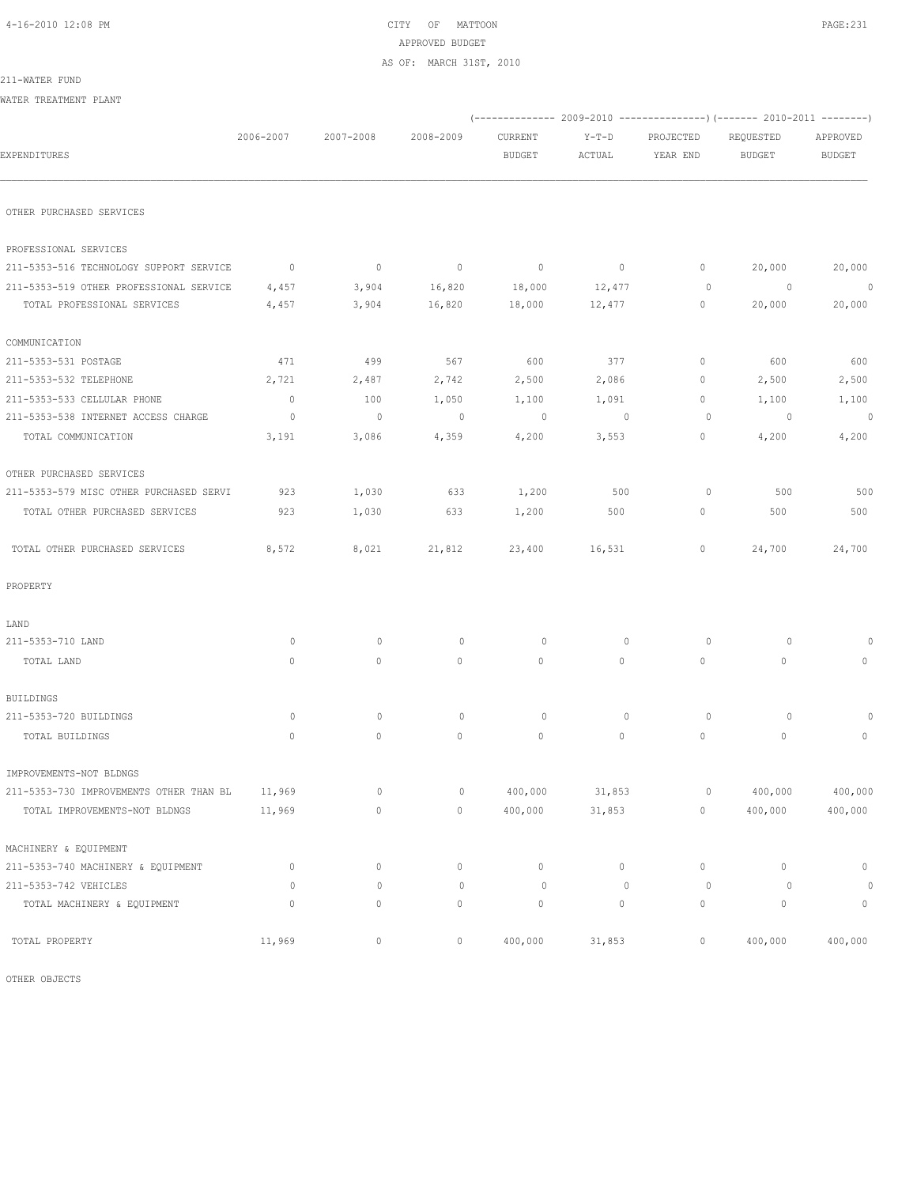## 4-16-2010 12:08 PM CITY OF MATTOON PAGE:231 APPROVED BUDGET AS OF: MARCH 31ST, 2010

#### 211-WATER FUND

| EXPENDITURES                            | 2006-2007                | 2007-2008      | 2008-2009                | CURRENT<br><b>BUDGET</b> | $Y-T-D$<br>ACTUAL | PROJECTED<br>YEAR END | REQUESTED<br>BUDGET | APPROVED<br><b>BUDGET</b> |
|-----------------------------------------|--------------------------|----------------|--------------------------|--------------------------|-------------------|-----------------------|---------------------|---------------------------|
| OTHER PURCHASED SERVICES                |                          |                |                          |                          |                   |                       |                     |                           |
| PROFESSIONAL SERVICES                   |                          |                |                          |                          |                   |                       |                     |                           |
| 211-5353-516 TECHNOLOGY SUPPORT SERVICE | $\sim$ 0                 | $\overline{0}$ | $\overline{0}$           | $\overline{0}$           | $\overline{0}$    | 0                     | 20,000              | 20,000                    |
| 211-5353-519 OTHER PROFESSIONAL SERVICE | 4,457                    | 3,904          | 16,820                   | 18,000                   | 12,477            | $\circ$               | $\overline{0}$      | $\overline{\phantom{0}}$  |
| TOTAL PROFESSIONAL SERVICES             | 4,457                    | 3,904          | 16,820                   | 18,000                   | 12,477            | 0                     | 20,000              | 20,000                    |
| COMMUNICATION                           |                          |                |                          |                          |                   |                       |                     |                           |
| 211-5353-531 POSTAGE                    | 471                      | 499            | 567                      | 600                      | 377               | 0                     | 600                 | 600                       |
| 211-5353-532 TELEPHONE                  | 2,721                    | 2,487          | 2,742                    | 2,500                    | 2,086             | 0                     | 2,500               | 2,500                     |
| 211-5353-533 CELLULAR PHONE             | $\overline{0}$           | 100            | 1,050                    | 1,100                    | 1,091             | 0                     | 1,100               | 1,100                     |
| 211-5353-538 INTERNET ACCESS CHARGE     | $\overline{\phantom{0}}$ | $\sim$ 0       | $\overline{\phantom{0}}$ | $\circ$                  | $\mathbf 0$       | 0                     | $\circ$             | $\overline{0}$            |
| TOTAL COMMUNICATION                     | 3,191                    | 3,086          | 4,359                    | 4,200                    | 3,553             | 0                     | 4,200               | 4,200                     |
| OTHER PURCHASED SERVICES                |                          |                |                          |                          |                   |                       |                     |                           |
| 211-5353-579 MISC OTHER PURCHASED SERVI | 923                      | 1,030          | 633                      | 1,200                    | 500               | 0                     | 500                 | 500                       |
| TOTAL OTHER PURCHASED SERVICES          | 923                      | 1,030          | 633                      | 1,200                    | 500               | 0                     | 500                 | 500                       |
| TOTAL OTHER PURCHASED SERVICES          | 8,572                    | 8,021          | 21,812                   | 23,400                   | 16,531            | 0                     | 24,700              | 24,700                    |
| PROPERTY                                |                          |                |                          |                          |                   |                       |                     |                           |
| LAND                                    |                          |                |                          |                          |                   |                       |                     |                           |
| 211-5353-710 LAND                       | 0                        | 0              | 0                        | 0                        | 0                 | $\circ$               | $\circ$             | 0                         |
| TOTAL LAND                              | $\mathbf 0$              | $\circ$        | 0                        | 0                        | $\circ$           | 0                     | 0                   | 0                         |
| <b>BUILDINGS</b>                        |                          |                |                          |                          |                   |                       |                     |                           |
| 211-5353-720 BUILDINGS                  | 0                        | 0              | 0                        | 0                        | $\mathbf 0$       | 0                     | $\mathbf 0$         |                           |
| TOTAL BUILDINGS                         | $\mathbf 0$              | 0              | $\circ$                  | $\circ$                  | $\circ$           | 0                     | $\mathbb O$         | 0                         |
| IMPROVEMENTS-NOT BLDNGS                 |                          |                |                          |                          |                   |                       |                     |                           |
| 211-5353-730 IMPROVEMENTS OTHER THAN BL | 11,969                   | $\mathbb O$    | 0                        | 400,000                  | 31,853            | $\circ$               | 400,000             | 400,000                   |
| TOTAL IMPROVEMENTS-NOT BLDNGS           | 11,969                   | 0              | 0                        | 400,000                  | 31,853            | 0                     | 400,000             | 400,000                   |
| MACHINERY & EQUIPMENT                   |                          |                |                          |                          |                   |                       |                     |                           |
| 211-5353-740 MACHINERY & EQUIPMENT      | $\circ$                  | $\mathbb O$    | $\circ$                  | $\circ$                  | 0                 | 0                     | 0                   | $\circ$                   |
| 211-5353-742 VEHICLES                   | 0                        | $\circ$        | $\mathbb O$              | 0                        | $\circ$           | $\circ$               | $\circ$             | $\mathbb O$               |
| TOTAL MACHINERY & EQUIPMENT             | $\circ$                  | $\circ$        | $\mathbb O$              | $\mathbb O$              | $\mathbb O$       | $\mathbb O$           | $\mathbb O$         | $\circ$                   |
| TOTAL PROPERTY                          | 11,969                   | $\mathbb O$    | $\circ$                  | 400,000                  | 31,853            | $\circ$               | 400,000             | 400,000                   |

OTHER OBJECTS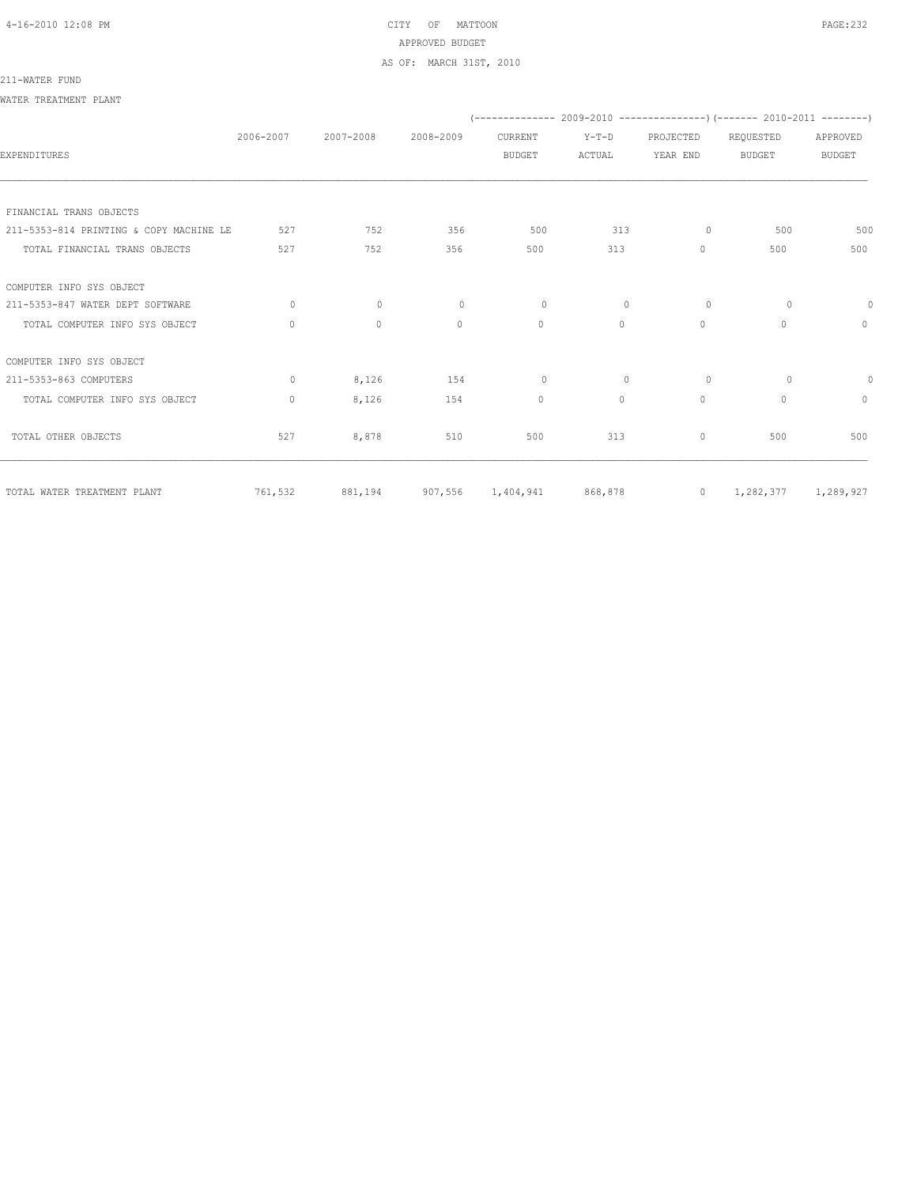## 4-16-2010 12:08 PM CITY OF MATTOON PAGE:232 APPROVED BUDGET AS OF: MARCH 31ST, 2010

#### 211-WATER FUND

#### WATER TREATMENT PLANT

|                                         |              |                                   |           |               |              |              | (-------------- 2009-2010 ----------------) (------- 2010-2011 --------) |               |
|-----------------------------------------|--------------|-----------------------------------|-----------|---------------|--------------|--------------|--------------------------------------------------------------------------|---------------|
|                                         | 2006-2007    | 2007-2008                         | 2008-2009 | CURRENT       | $Y-T-D$      | PROJECTED    | REQUESTED                                                                | APPROVED      |
| EXPENDITURES                            |              |                                   |           | <b>BUDGET</b> | ACTUAL       | YEAR END     | <b>BUDGET</b>                                                            | <b>BUDGET</b> |
|                                         |              |                                   |           |               |              |              |                                                                          |               |
| FINANCIAL TRANS OBJECTS                 |              |                                   |           |               |              |              |                                                                          |               |
| 211-5353-814 PRINTING & COPY MACHINE LE | 527          | 752                               | 356       | 500           | 313          | $\mathbf{0}$ | 500                                                                      | 500           |
| TOTAL FINANCIAL TRANS OBJECTS           | 527          | 752                               | 356       | 500           | 313          | $\circ$      | 500                                                                      | 500           |
| COMPUTER INFO SYS OBJECT                |              |                                   |           |               |              |              |                                                                          |               |
| 211-5353-847 WATER DEPT SOFTWARE        | $\Omega$     | $\mathbf{0}$                      | $\circ$   | $\circ$       | $\Omega$     | $\mathbf{0}$ | $\Omega$                                                                 | $\mathbf 0$   |
| TOTAL COMPUTER INFO SYS OBJECT          | $\Omega$     | $\circ$                           | $\Omega$  | $\circ$       | $\Omega$     | $\circ$      | $\Omega$                                                                 | $\circ$       |
| COMPUTER INFO SYS OBJECT                |              |                                   |           |               |              |              |                                                                          |               |
| 211-5353-863 COMPUTERS                  | $\circ$      | 8,126                             | 154       | $\circ$       | $\mathbf{0}$ | $\mathbf{0}$ | $\mathbf{0}$                                                             | $\mathbf 0$   |
| TOTAL COMPUTER INFO SYS OBJECT          | $\mathbf{0}$ | 8,126                             | 154       | $\mathbf{0}$  | $\circ$      | $\circ$      | $\Omega$                                                                 | $\circ$       |
| TOTAL OTHER OBJECTS                     | 527          | 8,878                             | 510       | 500           | 313          | 0            | 500                                                                      | 500           |
| TOTAL WATER TREATMENT PLANT             |              | 761,532 881,194 907,556 1,404,941 |           |               | 868,878      |              | $0 \qquad 1,282,377 \qquad 1,289,927$                                    |               |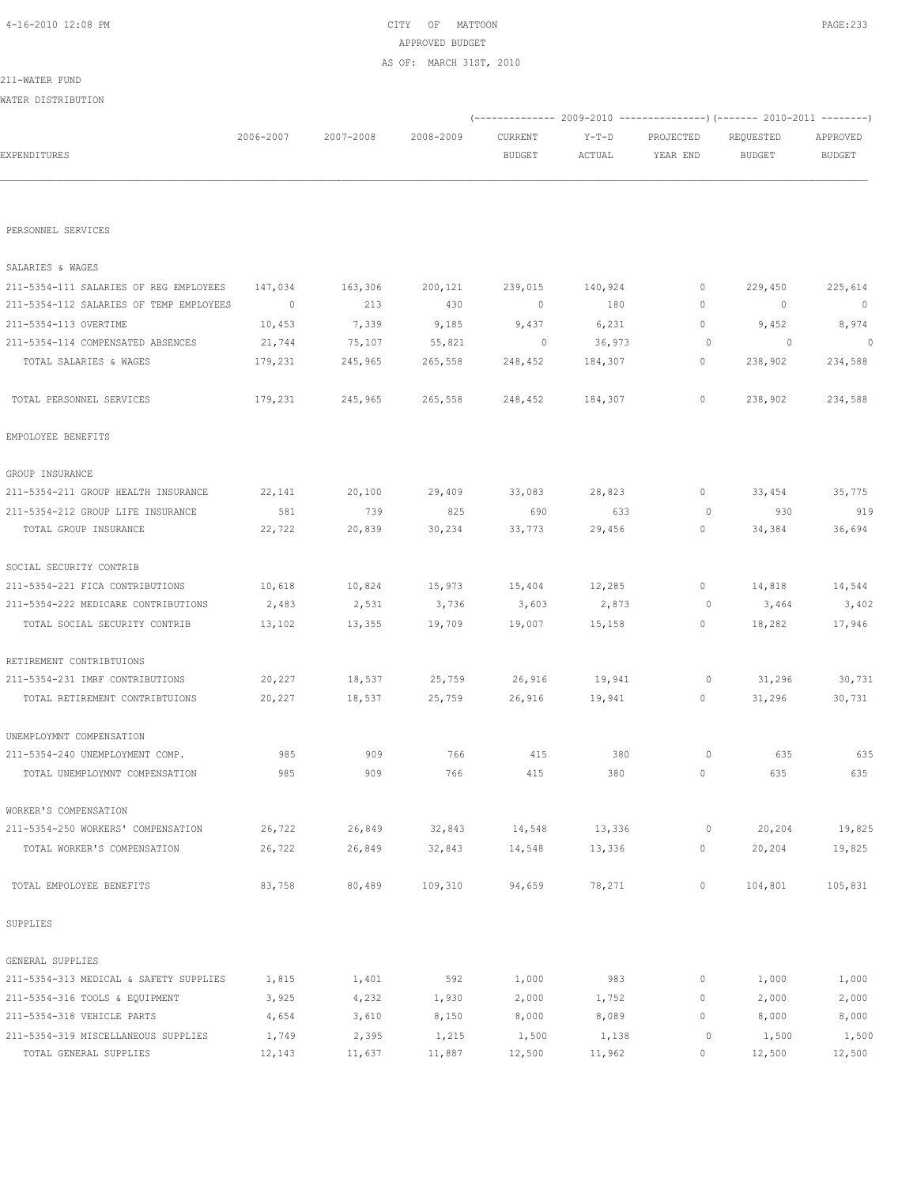## 4-16-2010 12:08 PM CITY OF MATTOON PAGE:233 APPROVED BUDGET AS OF: MARCH 31ST, 2010

#### 211-WATER FUND

#### WATER DISTRIBUTION

|                                         |           |           |           |               |         |             | (-------------- 2009-2010 ----------------) (------- 2010-2011 --------) |                |
|-----------------------------------------|-----------|-----------|-----------|---------------|---------|-------------|--------------------------------------------------------------------------|----------------|
|                                         | 2006-2007 | 2007-2008 | 2008-2009 | CURRENT       | $Y-T-D$ | PROJECTED   | REQUESTED                                                                | APPROVED       |
| EXPENDITURES                            |           |           |           | <b>BUDGET</b> | ACTUAL  | YEAR END    | BUDGET                                                                   | <b>BUDGET</b>  |
|                                         |           |           |           |               |         |             |                                                                          |                |
| PERSONNEL SERVICES                      |           |           |           |               |         |             |                                                                          |                |
| SALARIES & WAGES                        |           |           |           |               |         |             |                                                                          |                |
| 211-5354-111 SALARIES OF REG EMPLOYEES  | 147,034   | 163,306   | 200,121   | 239,015       | 140,924 | 0           | 229,450                                                                  | 225,614        |
| 211-5354-112 SALARIES OF TEMP EMPLOYEES | $\sim$ 0  | 213       | 430       | $\circ$       | 180     | 0           | $\overline{\phantom{0}}$                                                 | $\overline{0}$ |
| 211-5354-113 OVERTIME                   | 10,453    | 7,339     | 9,185     | 9,437         | 6,231   | $\circ$     | 9,452                                                                    | 8,974          |
| 211-5354-114 COMPENSATED ABSENCES       | 21,744    | 75,107    | 55,821    | 0             | 36,973  | 0           | $\overline{0}$                                                           | $\mathbb O$    |
| TOTAL SALARIES & WAGES                  | 179,231   | 245,965   | 265,558   | 248,452       | 184,307 | 0           | 238,902                                                                  | 234,588        |
| TOTAL PERSONNEL SERVICES                | 179,231   | 245,965   | 265,558   | 248,452       | 184,307 | 0           | 238,902                                                                  | 234,588        |
| EMPOLOYEE BENEFITS                      |           |           |           |               |         |             |                                                                          |                |
| GROUP INSURANCE                         |           |           |           |               |         |             |                                                                          |                |
| 211-5354-211 GROUP HEALTH INSURANCE     | 22,141    | 20,100    | 29,409    | 33,083        | 28,823  | $\circ$     | 33,454                                                                   | 35,775         |
| 211-5354-212 GROUP LIFE INSURANCE       | 581       | 739       | 825       | 690           | 633     | $\mathbf 0$ | 930                                                                      | 919            |
| TOTAL GROUP INSURANCE                   | 22,722    | 20,839    | 30,234    | 33,773        | 29,456  | $\circ$     | 34,384                                                                   | 36,694         |
| SOCIAL SECURITY CONTRIB                 |           |           |           |               |         |             |                                                                          |                |
| 211-5354-221 FICA CONTRIBUTIONS         | 10,618    | 10,824    | 15,973    | 15,404        | 12,285  | $\circ$     | 14,818                                                                   | 14,544         |
| 211-5354-222 MEDICARE CONTRIBUTIONS     | 2,483     | 2,531     | 3,736     | 3,603         | 2,873   | $\circ$     | 3,464                                                                    | 3,402          |
| TOTAL SOCIAL SECURITY CONTRIB           | 13,102    | 13,355    | 19,709    | 19,007        | 15,158  | $\circ$     | 18,282                                                                   | 17,946         |
| RETIREMENT CONTRIBTUIONS                |           |           |           |               |         |             |                                                                          |                |
| 211-5354-231 IMRF CONTRIBUTIONS         | 20,227    | 18,537    | 25,759    | 26,916        | 19,941  | 0           | 31,296                                                                   | 30,731         |
| TOTAL RETIREMENT CONTRIBTUIONS          | 20,227    | 18,537    | 25,759    | 26,916        | 19,941  | 0           | 31,296                                                                   | 30,731         |
| UNEMPLOYMNT COMPENSATION                |           |           |           |               |         |             |                                                                          |                |
| 211-5354-240 UNEMPLOYMENT COMP.         | 985       | 909       | 766       | 415           | 380     | $\mathbf 0$ | 635                                                                      | 635            |
| TOTAL UNEMPLOYMNT COMPENSATION          | 985       | 909       | 766       | 415           | 380     | 0           | 635                                                                      | 635            |
| WORKER'S COMPENSATION                   |           |           |           |               |         |             |                                                                          |                |
| 211-5354-250 WORKERS' COMPENSATION      | 26,722    | 26,849    | 32,843    | 14,548        | 13,336  | 0           | 20,204                                                                   | 19,825         |
| TOTAL WORKER'S COMPENSATION             | 26,722    | 26,849    | 32,843    | 14,548        | 13,336  | 0           | 20,204                                                                   | 19,825         |
| TOTAL EMPOLOYEE BENEFITS                | 83,758    | 80,489    | 109,310   | 94,659        | 78,271  | $\circ$     | 104,801                                                                  | 105,831        |
| SUPPLIES                                |           |           |           |               |         |             |                                                                          |                |
| GENERAL SUPPLIES                        |           |           |           |               |         |             |                                                                          |                |
| 211-5354-313 MEDICAL & SAFETY SUPPLIES  | 1,815     | 1,401     | 592       | 1,000         | 983     | $\circ$     | 1,000                                                                    | 1,000          |
| 211-5354-316 TOOLS & EQUIPMENT          | 3,925     | 4,232     | 1,930     | 2,000         | 1,752   | 0           | 2,000                                                                    | 2,000          |
| 211-5354-318 VEHICLE PARTS              | 4,654     | 3,610     | 8,150     | 8,000         | 8,089   | 0           | 8,000                                                                    | 8,000          |
| 211-5354-319 MISCELLANEOUS SUPPLIES     | 1,749     | 2,395     | 1,215     | 1,500         | 1,138   | 0           | 1,500                                                                    | 1,500          |
| TOTAL GENERAL SUPPLIES                  | 12,143    | 11,637    | 11,887    | 12,500        | 11,962  | 0           | 12,500                                                                   | 12,500         |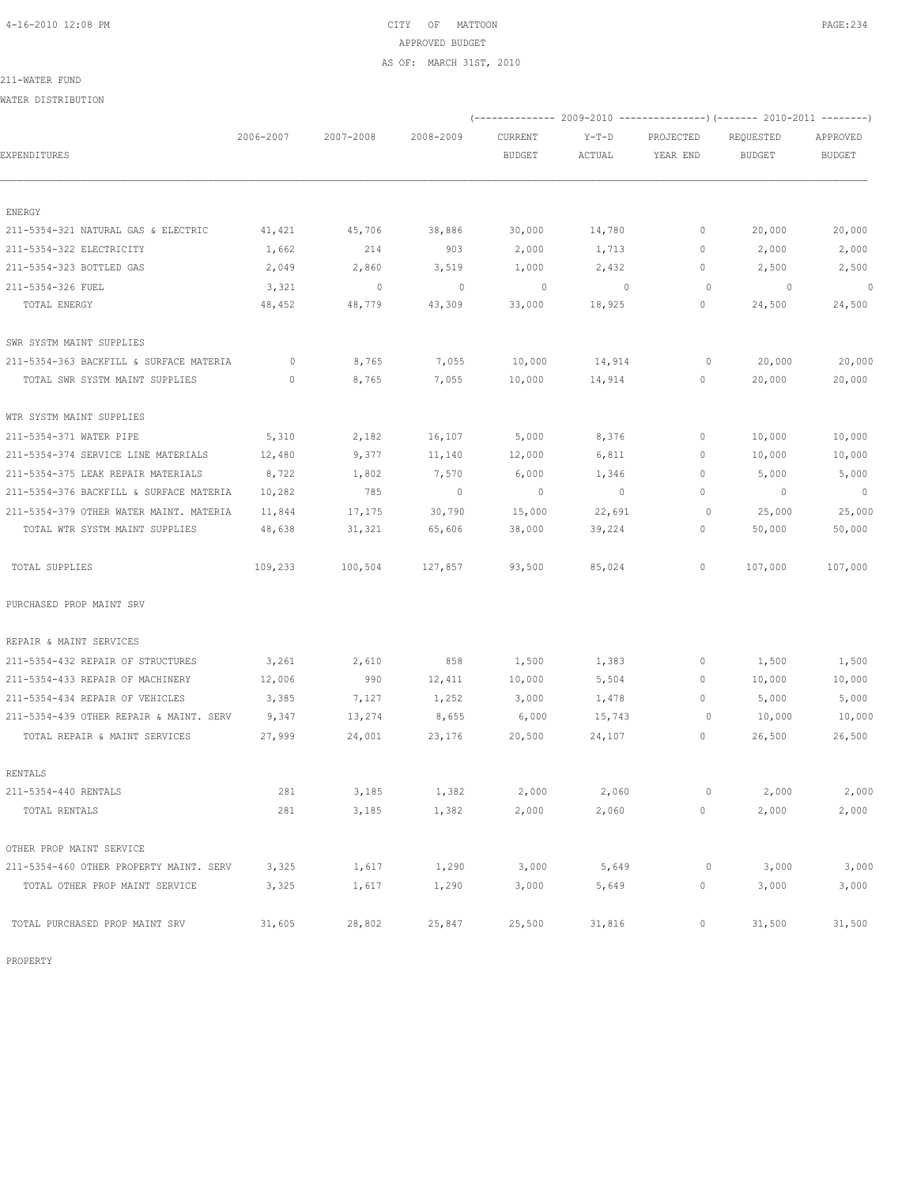## 4-16-2010 12:08 PM CITY OF MATTOON PAGE:234 APPROVED BUDGET AS OF: MARCH 31ST, 2010

### 211-WATER FUND

#### WATER DISTRIBUTION

|                                         |              |           |           |                          |                          |              | (-------------- 2009-2010 -----------------) (------- 2010-2011 --------) |                          |
|-----------------------------------------|--------------|-----------|-----------|--------------------------|--------------------------|--------------|---------------------------------------------------------------------------|--------------------------|
|                                         | 2006-2007    | 2007-2008 | 2008-2009 | CURRENT                  | $Y-T-D$                  | PROJECTED    | REQUESTED                                                                 | APPROVED                 |
| EXPENDITURES                            |              |           |           | BUDGET                   | ACTUAL                   | YEAR END     | BUDGET                                                                    | BUDGET                   |
|                                         |              |           |           |                          |                          |              |                                                                           |                          |
| ENERGY                                  |              |           |           |                          |                          |              |                                                                           |                          |
| 211-5354-321 NATURAL GAS & ELECTRIC     | 41,421       | 45,706    | 38,886    | 30,000                   | 14,780                   | $\circ$      | 20,000                                                                    | 20,000                   |
| 211-5354-322 ELECTRICITY                | 1,662        | 214       | 903       | 2,000                    | 1,713                    | $\circ$      | 2,000                                                                     | 2,000                    |
| 211-5354-323 BOTTLED GAS                | 2,049        | 2,860     | 3,519     | 1,000                    | 2,432                    | $\mathbf{0}$ | 2,500                                                                     | 2,500                    |
| 211-5354-326 FUEL                       | 3,321        | $\sim$ 0  | $\sim$ 0  | $\sim$ 0                 | $\sim$ 0                 | 0            | $\sim$ 0                                                                  | $\circ$                  |
| TOTAL ENERGY                            | 48,452       | 48,779    | 43,309    | 33,000                   | 18,925                   | $\circ$      | 24,500                                                                    | 24,500                   |
| SWR SYSTM MAINT SUPPLIES                |              |           |           |                          |                          |              |                                                                           |                          |
| 211-5354-363 BACKFILL & SURFACE MATERIA | $\circ$      | 8,765     | 7,055     | 10,000                   | 14,914                   | $\mathbf 0$  | 20,000                                                                    | 20,000                   |
| TOTAL SWR SYSTM MAINT SUPPLIES          | $\mathbf{0}$ | 8,765     | 7,055     | 10,000                   | 14,914                   | $\circ$      | 20,000                                                                    | 20,000                   |
| WTR SYSTM MAINT SUPPLIES                |              |           |           |                          |                          |              |                                                                           |                          |
| 211-5354-371 WATER PIPE                 | 5,310        | 2,182     | 16,107    | 5,000                    | 8,376                    | $\circ$      | 10,000                                                                    | 10,000                   |
| 211-5354-374 SERVICE LINE MATERIALS     | 12,480       | 9,377     | 11,140    | 12,000                   | 6,811                    | 0            | 10,000                                                                    | 10,000                   |
| 211-5354-375 LEAK REPAIR MATERIALS      | 8,722        | 1,802     | 7,570     | 6,000                    | 1,346                    | $\circ$      | 5,000                                                                     | 5,000                    |
| 211-5354-376 BACKFILL & SURFACE MATERIA | 10,282       | 785       | $\sim$ 0  | $\overline{\phantom{0}}$ | $\overline{\phantom{0}}$ | $\circ$      | $\overline{\phantom{0}}$                                                  | $\overline{\phantom{0}}$ |
| 211-5354-379 OTHER WATER MAINT. MATERIA | 11,844       | 17,175    | 30,790    | 15,000                   | 22,691                   | $\mathbf 0$  | 25,000                                                                    | 25,000                   |
| TOTAL WTR SYSTM MAINT SUPPLIES          | 48,638       | 31,321    | 65,606    | 38,000                   | 39,224                   | $\circ$      | 50,000                                                                    | 50,000                   |
| TOTAL SUPPLIES                          | 109,233      | 100,504   | 127,857   | 93,500                   | 85,024                   | $\circ$      | 107,000                                                                   | 107,000                  |
| PURCHASED PROP MAINT SRV                |              |           |           |                          |                          |              |                                                                           |                          |
| REPAIR & MAINT SERVICES                 |              |           |           |                          |                          |              |                                                                           |                          |
| 211-5354-432 REPAIR OF STRUCTURES       | 3,261        | 2,610     | 858       | 1,500                    | 1,383                    | $\circ$      | 1,500                                                                     | 1,500                    |
| 211-5354-433 REPAIR OF MACHINERY        | 12,006       | 990       | 12,411    | 10,000                   | 5,504                    | $\circ$      | 10,000                                                                    | 10,000                   |
| 211-5354-434 REPAIR OF VEHICLES         | 3,385        | 7,127     | 1,252     | 3,000                    | 1,478                    | $\circ$      | 5,000                                                                     | 5,000                    |
| 211-5354-439 OTHER REPAIR & MAINT. SERV | 9,347        | 13,274    | 8,655     | 6,000                    | 15,743                   | $\mathbf 0$  | 10,000                                                                    | 10,000                   |
| TOTAL REPAIR & MAINT SERVICES           | 27,999       | 24,001    | 23,176    | 20,500                   | 24,107                   | $\circ$      | 26,500                                                                    | 26,500                   |
| RENTALS                                 |              |           |           |                          |                          |              |                                                                           |                          |
| 211-5354-440 RENTALS                    | 281          | 3,185     | 1,382     | 2,000                    | 2,060                    | 0            | 2,000                                                                     | 2,000                    |
| TOTAL RENTALS                           | 281          | 3,185     | 1,382     | 2,000                    | 2,060                    | 0            | 2,000                                                                     | 2,000                    |
| OTHER PROP MAINT SERVICE                |              |           |           |                          |                          |              |                                                                           |                          |
| 211-5354-460 OTHER PROPERTY MAINT. SERV | 3,325        | 1,617     | 1,290     | 3,000                    | 5,649                    | 0            | 3,000                                                                     | 3,000                    |
| TOTAL OTHER PROP MAINT SERVICE          | 3,325        | 1,617     | 1,290     | 3,000                    | 5,649                    | 0            | 3,000                                                                     | 3,000                    |
| TOTAL PURCHASED PROP MAINT SRV          | 31,605       | 28,802    | 25,847    | 25,500                   | 31,816                   | 0            | 31,500                                                                    | 31,500                   |

PROPERTY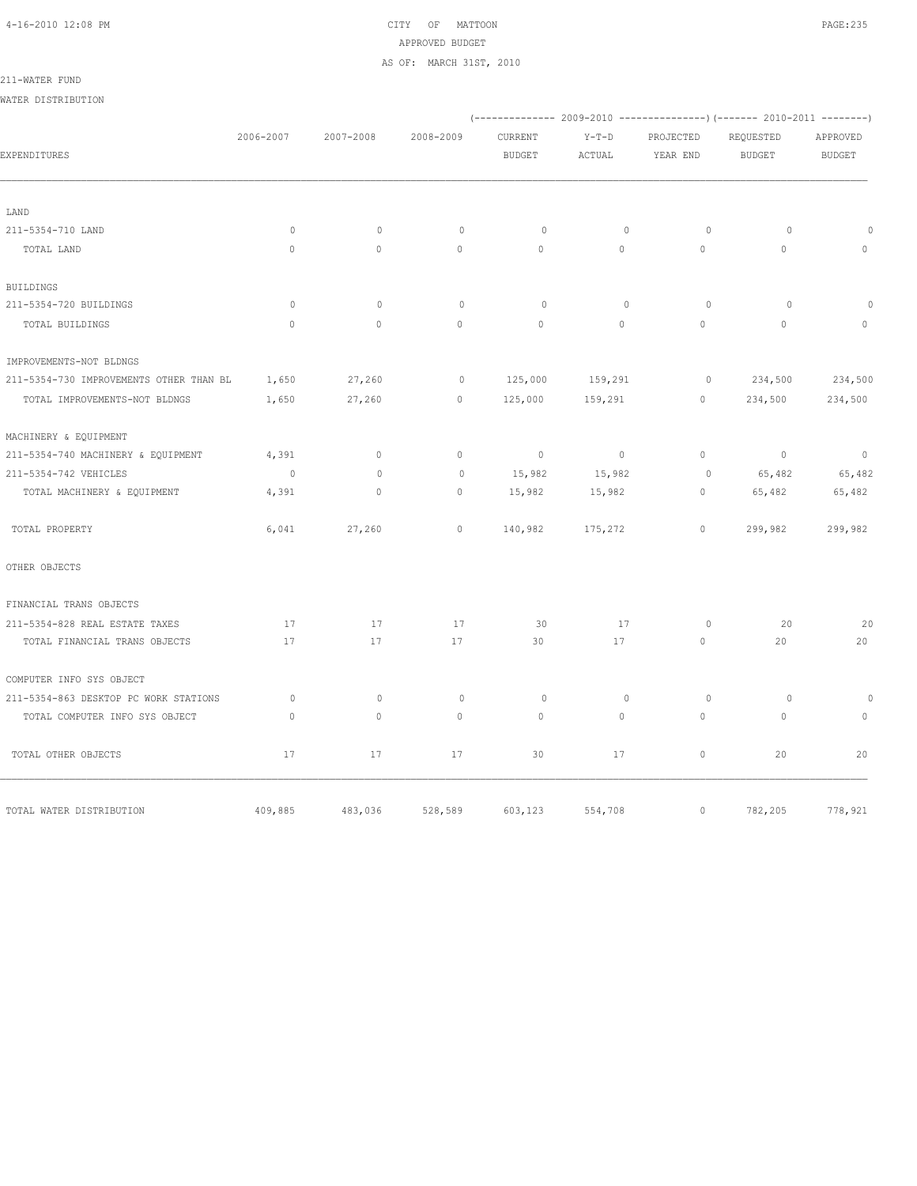### 4-16-2010 12:08 PM CITY OF MATTOON PAGE:235 APPROVED BUDGET AS OF: MARCH 31ST, 2010

### 211-WATER FUND

#### WATER DISTRIBUTION

|                                         |                |              |              |               |                |              | (-------------- 2009-2010 ---------------)(------- 2010-2011 --------) |               |
|-----------------------------------------|----------------|--------------|--------------|---------------|----------------|--------------|------------------------------------------------------------------------|---------------|
|                                         | 2006-2007      | 2007-2008    | 2008-2009    | CURRENT       | $Y-T-D$        | PROJECTED    | REQUESTED                                                              | APPROVED      |
| EXPENDITURES                            |                |              |              | <b>BUDGET</b> | ACTUAL         | YEAR END     | <b>BUDGET</b>                                                          | <b>BUDGET</b> |
| LAND                                    |                |              |              |               |                |              |                                                                        |               |
| 211-5354-710 LAND                       | $\circ$        | $\circ$      | $\mathbb O$  | $\circ$       | $\mathbb O$    | $\circ$      | $\circ$                                                                |               |
| TOTAL LAND                              | $\circ$        | $\circ$      | $\circ$      | $\circ$       | $\circ$        | $\circ$      | $\mathbf{0}$                                                           | $\mathbf{0}$  |
| BUILDINGS                               |                |              |              |               |                |              |                                                                        |               |
| 211-5354-720 BUILDINGS                  | $\circ$        | $\circ$      | $\circ$      | $\circ$       | $\mathbf{0}$   | $\mathbf{0}$ | $\circ$                                                                |               |
| TOTAL BUILDINGS                         | $\circ$        | $\circ$      | $\circ$      | $\circ$       | $\circ$        | $\circ$      | $\mathbf{0}$                                                           | $\mathbf{0}$  |
| IMPROVEMENTS-NOT BLDNGS                 |                |              |              |               |                |              |                                                                        |               |
| 211-5354-730 IMPROVEMENTS OTHER THAN BL | 1,650          | 27,260       | $\circ$      | 125,000       | 159,291        | $\circ$      | 234,500                                                                | 234,500       |
| TOTAL IMPROVEMENTS-NOT BLDNGS           | 1,650          | 27,260       | $\circ$      | 125,000       | 159,291        | $\circ$      | 234,500                                                                | 234,500       |
| MACHINERY & EQUIPMENT                   |                |              |              |               |                |              |                                                                        |               |
| 211-5354-740 MACHINERY & EQUIPMENT      | 4,391          | $\circ$      | $\circ$      | $\circ$       | $\overline{0}$ | $\circ$      | $\overline{\phantom{0}}$                                               | $\mathbb O$   |
| 211-5354-742 VEHICLES                   | $\overline{0}$ | $\mathbf{0}$ | $\circ$      | 15,982        | 15,982         | $\mathbf{0}$ | 65,482                                                                 | 65,482        |
| TOTAL MACHINERY & EQUIPMENT             | 4,391          | $\circ$      | $\circ$      | 15,982        | 15,982         | $\circ$      | 65,482                                                                 | 65,482        |
| TOTAL PROPERTY                          | 6,041          | 27,260       | $\circ$      | 140,982       | 175,272        | $\circ$      | 299,982                                                                | 299,982       |
| OTHER OBJECTS                           |                |              |              |               |                |              |                                                                        |               |
| FINANCIAL TRANS OBJECTS                 |                |              |              |               |                |              |                                                                        |               |
| 211-5354-828 REAL ESTATE TAXES          | 17             | 17           | 17           | 30            | 17             | $\circ$      | 20                                                                     | 20            |
| TOTAL FINANCIAL TRANS OBJECTS           | 17             | 17           | 17           | 30            | 17             | $\circ$      | 20                                                                     | 20            |
| COMPUTER INFO SYS OBJECT                |                |              |              |               |                |              |                                                                        |               |
| 211-5354-863 DESKTOP PC WORK STATIONS   | $\circ$        | $\circ$      | $\circ$      | $\circ$       | $\mathbb O$    | $\mathbb O$  | $\mathbb O$                                                            | $\mathbf{0}$  |
| TOTAL COMPUTER INFO SYS OBJECT          | $\mathbf{0}$   | $\circ$      | $\mathbf{0}$ | $\circ$       | $\circ$        | $\circ$      | $\circ$                                                                | $\mathbf{0}$  |
| TOTAL OTHER OBJECTS                     | 17             | 17           | 17           | 30            | 17             | $\circ$      | 20                                                                     | 20            |
| TOTAL WATER DISTRIBUTION                | 409,885        | 483,036      | 528,589      | 603,123       | 554,708        | $\mathbf{0}$ | 782,205                                                                | 778,921       |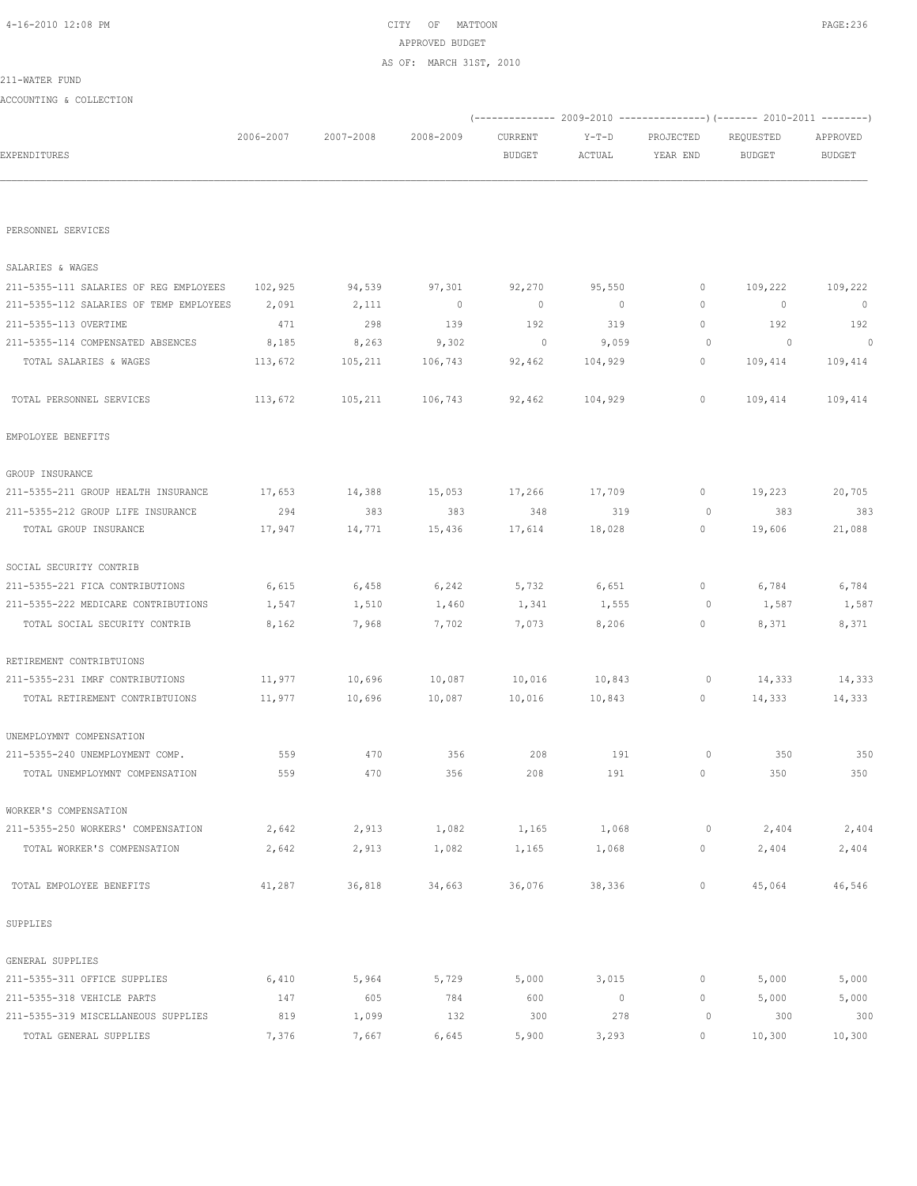## 4-16-2010 12:08 PM CITY OF MATTOON PAGE:236 APPROVED BUDGET AS OF: MARCH 31ST, 2010

#### 211-WATER FUND

#### ACCOUNTING & COLLECTION

| EXPENDITURES                            | 2006-2007 | 2007-2008 | 2008-2009      | (--------------<br>CURRENT<br><b>BUDGET</b> | 2009-2010<br>$Y-T-D$<br>ACTUAL | PROJECTED<br>YEAR END | ---------------) (------- 2010-2011 --------<br>REQUESTED<br><b>BUDGET</b> | APPROVED<br><b>BUDGET</b> |
|-----------------------------------------|-----------|-----------|----------------|---------------------------------------------|--------------------------------|-----------------------|----------------------------------------------------------------------------|---------------------------|
|                                         |           |           |                |                                             |                                |                       |                                                                            |                           |
| PERSONNEL SERVICES                      |           |           |                |                                             |                                |                       |                                                                            |                           |
| SALARIES & WAGES                        |           |           |                |                                             |                                |                       |                                                                            |                           |
| 211-5355-111 SALARIES OF REG EMPLOYEES  | 102,925   | 94,539    | 97,301         | 92,270                                      | 95,550                         | 0                     | 109,222                                                                    | 109,222                   |
| 211-5355-112 SALARIES OF TEMP EMPLOYEES | 2,091     | 2,111     | $\overline{0}$ | $\circ$                                     | $\overline{0}$                 | 0                     | 0                                                                          | $\overline{0}$            |
| 211-5355-113 OVERTIME                   | 471       | 298       | 139            | 192                                         | 319                            | 0                     | 192                                                                        | 192                       |
| 211-5355-114 COMPENSATED ABSENCES       | 8,185     | 8,263     | 9,302          | $\circ$                                     | 9,059                          | $\mathbf 0$           | $\overline{0}$                                                             | $\mathbf{0}$              |
| TOTAL SALARIES & WAGES                  | 113,672   | 105,211   | 106,743        | 92,462                                      | 104,929                        | 0                     | 109,414                                                                    | 109,414                   |
| TOTAL PERSONNEL SERVICES                | 113,672   | 105,211   | 106,743        | 92,462                                      | 104,929                        | 0                     | 109,414                                                                    | 109,414                   |
| EMPOLOYEE BENEFITS                      |           |           |                |                                             |                                |                       |                                                                            |                           |
| GROUP INSURANCE                         |           |           |                |                                             |                                |                       |                                                                            |                           |
| 211-5355-211 GROUP HEALTH INSURANCE     | 17,653    | 14,388    | 15,053         | 17,266                                      | 17,709                         | 0                     | 19,223                                                                     | 20,705                    |
| 211-5355-212 GROUP LIFE INSURANCE       | 294       | 383       | 383            | 348                                         | 319                            | $\mathbf 0$           | 383                                                                        | 383                       |
| TOTAL GROUP INSURANCE                   | 17,947    | 14,771    | 15,436         | 17,614                                      | 18,028                         | 0                     | 19,606                                                                     | 21,088                    |
| SOCIAL SECURITY CONTRIB                 |           |           |                |                                             |                                |                       |                                                                            |                           |
| 211-5355-221 FICA CONTRIBUTIONS         | 6,615     | 6,458     | 6,242          | 5,732                                       | 6,651                          | 0                     | 6,784                                                                      | 6,784                     |
| 211-5355-222 MEDICARE CONTRIBUTIONS     | 1,547     | 1,510     | 1,460          | 1,341                                       | 1,555                          | 0                     | 1,587                                                                      | 1,587                     |
| TOTAL SOCIAL SECURITY CONTRIB           | 8,162     | 7,968     | 7,702          | 7,073                                       | 8,206                          | 0                     | 8,371                                                                      | 8,371                     |
| RETIREMENT CONTRIBTUIONS                |           |           |                |                                             |                                |                       |                                                                            |                           |
| 211-5355-231 IMRF CONTRIBUTIONS         | 11,977    | 10,696    | 10,087         | 10,016                                      | 10,843                         | $\mathbf 0$           | 14,333                                                                     | 14,333                    |
| TOTAL RETIREMENT CONTRIBTUIONS          | 11,977    | 10,696    | 10,087         | 10,016                                      | 10,843                         | 0                     | 14,333                                                                     | 14,333                    |
| UNEMPLOYMNT COMPENSATION                |           |           |                |                                             |                                |                       |                                                                            |                           |
| 211-5355-240 UNEMPLOYMENT COMP.         | 559       | 470       | 356            | 208                                         | 191                            | $\mathbf 0$           | 350                                                                        | 350                       |
| TOTAL UNEMPLOYMNT COMPENSATION          | 559       | 470       | 356            | 208                                         | 191                            | $\mathbb O$           | 350                                                                        | 350                       |
| WORKER'S COMPENSATION                   |           |           |                |                                             |                                |                       |                                                                            |                           |
| 211-5355-250 WORKERS' COMPENSATION      | 2,642     | 2,913     | 1,082          | 1,165                                       | 1,068                          | $\mathbf 0$           | 2,404                                                                      | 2,404                     |
| TOTAL WORKER'S COMPENSATION             | 2,642     | 2,913     | 1,082          | 1,165                                       | 1,068                          | 0                     | 2,404                                                                      | 2,404                     |
| TOTAL EMPOLOYEE BENEFITS                | 41,287    | 36,818    | 34,663         | 36,076                                      | 38,336                         | $\circ$               | 45,064                                                                     | 46,546                    |
| SUPPLIES                                |           |           |                |                                             |                                |                       |                                                                            |                           |
| GENERAL SUPPLIES                        |           |           |                |                                             |                                |                       |                                                                            |                           |
| 211-5355-311 OFFICE SUPPLIES            | 6,410     | 5,964     | 5,729          | 5,000                                       | 3,015                          | 0                     | 5,000                                                                      | 5,000                     |
| 211-5355-318 VEHICLE PARTS              | 147       | 605       | 784            | 600                                         | $\circ$                        | 0                     | 5,000                                                                      | 5,000                     |
| 211-5355-319 MISCELLANEOUS SUPPLIES     | 819       | 1,099     | 132            | 300                                         | 278                            | $\mathbf 0$           | 300                                                                        | 300                       |
| TOTAL GENERAL SUPPLIES                  | 7,376     | 7,667     | 6,645          | 5,900                                       | 3,293                          | 0                     | 10,300                                                                     | 10,300                    |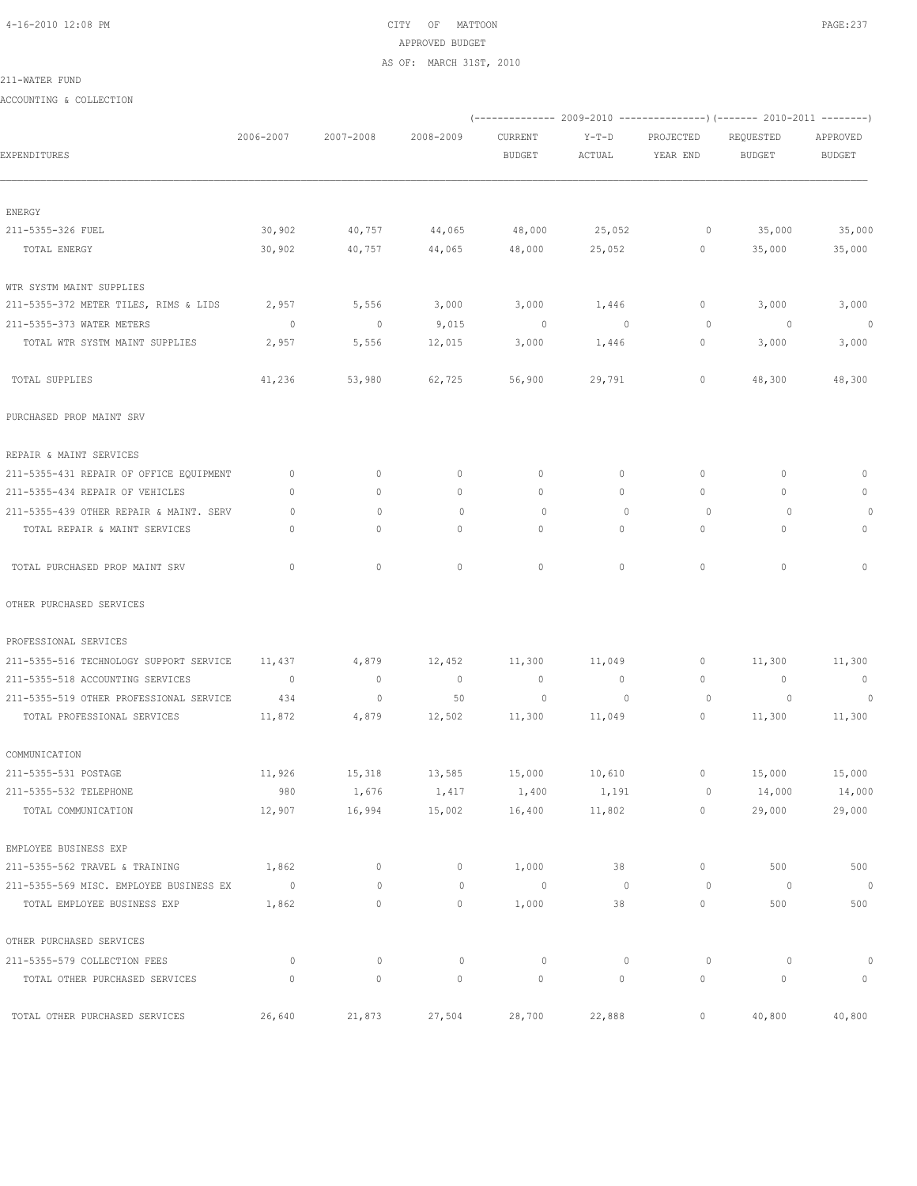### 4-16-2010 12:08 PM CITY OF MATTOON PAGE:237 APPROVED BUDGET AS OF: MARCH 31ST, 2010

#### 211-WATER FUND

#### ACCOUNTING & COLLECTION

|                                         |                          |                          |                |                          |                          |                       | (-------------- 2009-2010 ----------------) (------- 2010-2011 --------) |                           |  |
|-----------------------------------------|--------------------------|--------------------------|----------------|--------------------------|--------------------------|-----------------------|--------------------------------------------------------------------------|---------------------------|--|
| EXPENDITURES                            | 2006-2007                | 2007-2008                | 2008-2009      | CURRENT<br><b>BUDGET</b> | $Y-T-D$<br>ACTUAL        | PROJECTED<br>YEAR END | REQUESTED<br><b>BUDGET</b>                                               | APPROVED<br><b>BUDGET</b> |  |
|                                         |                          |                          |                |                          |                          |                       |                                                                          |                           |  |
| ENERGY                                  |                          |                          |                |                          |                          |                       |                                                                          |                           |  |
| 211-5355-326 FUEL                       | 30,902                   | 40,757                   | 44,065         | 48,000                   | 25,052                   | $\circ$               | 35,000                                                                   | 35,000                    |  |
| TOTAL ENERGY                            | 30,902                   | 40,757                   | 44,065         | 48,000                   | 25,052                   | $\circ$               | 35,000                                                                   | 35,000                    |  |
| WTR SYSTM MAINT SUPPLIES                |                          |                          |                |                          |                          |                       |                                                                          |                           |  |
| 211-5355-372 METER TILES, RIMS & LIDS   | 2,957                    | 5,556                    | 3,000          | 3,000                    | 1,446                    | $\circ$               | 3,000                                                                    | 3,000                     |  |
| 211-5355-373 WATER METERS               | $\overline{\phantom{0}}$ | $\overline{\phantom{0}}$ | 9,015          | $\sim$ 0                 | $\overline{\phantom{0}}$ | $\circ$               | $\overline{0}$                                                           | $\circ$                   |  |
| TOTAL WTR SYSTM MAINT SUPPLIES          | 2,957                    | 5,556                    | 12,015         | 3,000                    | 1,446                    | $\circ$               | 3,000                                                                    | 3,000                     |  |
| TOTAL SUPPLIES                          | 41,236                   | 53,980                   | 62,725         | 56,900                   | 29,791                   | 0                     | 48,300                                                                   | 48,300                    |  |
| PURCHASED PROP MAINT SRV                |                          |                          |                |                          |                          |                       |                                                                          |                           |  |
| REPAIR & MAINT SERVICES                 |                          |                          |                |                          |                          |                       |                                                                          |                           |  |
| 211-5355-431 REPAIR OF OFFICE EQUIPMENT | $\circ$                  | 0                        | $\mathbf 0$    | $\circ$                  | 0                        | $\circ$               | $\mathbf 0$                                                              | $\circ$                   |  |
| 211-5355-434 REPAIR OF VEHICLES         | $\mathbf{0}$             | 0                        | $\circ$        | $\mathbf{0}$             | $\circ$                  | $\circ$               | $\mathbf{0}$                                                             | 0                         |  |
| 211-5355-439 OTHER REPAIR & MAINT. SERV | $\circ$                  | $\mathbf{0}$             | $\mathbf{0}$   | $\circ$                  | $\mathbf{0}$             | $\mathbf 0$           | $\mathbf{0}$                                                             | $\mathbf{0}$              |  |
| TOTAL REPAIR & MAINT SERVICES           | $\mathbf{0}$             | $\circ$                  | $\mathbf{0}$   | $\mathbf{0}$             | $\circ$                  | $\circ$               | $\circ$                                                                  | 0                         |  |
| TOTAL PURCHASED PROP MAINT SRV          | $\mathbf{0}$             | $\circ$                  | $\mathbf{0}$   | $\mathbf{0}$             | $\circ$                  | $\circ$               | $\circ$                                                                  | $\mathbf{0}$              |  |
| OTHER PURCHASED SERVICES                |                          |                          |                |                          |                          |                       |                                                                          |                           |  |
| PROFESSIONAL SERVICES                   |                          |                          |                |                          |                          |                       |                                                                          |                           |  |
| 211-5355-516 TECHNOLOGY SUPPORT SERVICE | 11,437                   | 4,879                    | 12,452         | 11,300                   | 11,049                   | $\circ$               | 11,300                                                                   | 11,300                    |  |
| 211-5355-518 ACCOUNTING SERVICES        | $\overline{0}$           | $\overline{\phantom{0}}$ | $\overline{0}$ | $\circ$                  | $\overline{0}$           | $\circ$               | $\overline{0}$                                                           | $\overline{0}$            |  |
| 211-5355-519 OTHER PROFESSIONAL SERVICE | 434                      | $\overline{0}$           | 50             | $\circ$                  | $\overline{\phantom{0}}$ | $\mathbf 0$           | $\mathbf 0$                                                              | $\circ$                   |  |
| TOTAL PROFESSIONAL SERVICES             | 11,872                   | 4,879                    | 12,502         | 11,300                   | 11,049                   | $\circ$               | 11,300                                                                   | 11,300                    |  |
| COMMUNICATION                           |                          |                          |                |                          |                          |                       |                                                                          |                           |  |
| 211-5355-531 POSTAGE                    | 11,926                   | 15,318                   | 13,585         | 15,000                   | 10,610                   | $\circ$               | 15,000                                                                   | 15,000                    |  |
| 211-5355-532 TELEPHONE                  | 980                      | 1,676                    | 1,417          | 1,400                    | 1,191                    | 0                     | 14,000                                                                   | 14,000                    |  |
| TOTAL COMMUNICATION                     | 12,907                   | 16,994                   | 15,002         | 16,400                   | 11,802                   | 0                     | 29,000                                                                   | 29,000                    |  |
| EMPLOYEE BUSINESS EXP                   |                          |                          |                |                          |                          |                       |                                                                          |                           |  |
| 211-5355-562 TRAVEL & TRAINING          | 1,862                    | $\mathbb O$              | 0              | 1,000                    | 38                       | $\circ$               | 500                                                                      | 500                       |  |
| 211-5355-569 MISC. EMPLOYEE BUSINESS EX | $\overline{0}$           | $\circ$                  | $\circ$        | $\circ$                  | $\overline{0}$           | $\mathbf 0$           | $\mathbf 0$                                                              | $\overline{0}$            |  |
| TOTAL EMPLOYEE BUSINESS EXP             | 1,862                    | $\mathbb O$              | 0              | 1,000                    | 38                       | $\circ$               | 500                                                                      | 500                       |  |
| OTHER PURCHASED SERVICES                |                          |                          |                |                          |                          |                       |                                                                          |                           |  |
| 211-5355-579 COLLECTION FEES            | $\circ$                  | $\circ$                  | $\circ$        | $\circ$                  | $\mathbf 0$              | $\mathbf 0$           | $\mathbf 0$                                                              | $\mathbb O$               |  |
| TOTAL OTHER PURCHASED SERVICES          | $\circ$                  | $\mathbb O$              | $\circ$        | $\circ$                  | $\circ$                  | $\circ$               | $\mathbb O$                                                              | $\circ$                   |  |
| TOTAL OTHER PURCHASED SERVICES          | 26,640                   | 21,873                   | 27,504         | 28,700                   | 22,888                   | $\circ$               | 40,800                                                                   | 40,800                    |  |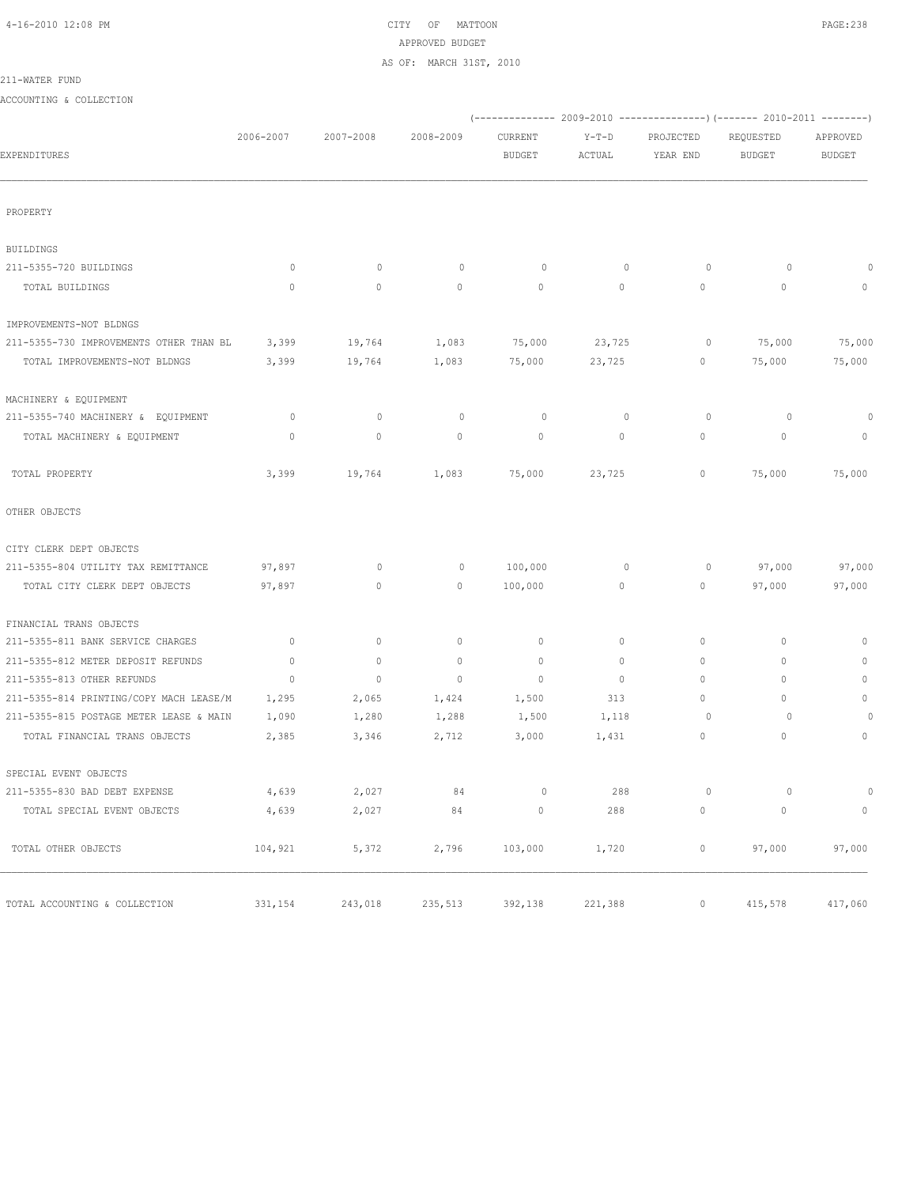## 4-16-2010 12:08 PM CITY OF MATTOON PAGE:238 APPROVED BUDGET AS OF: MARCH 31ST, 2010

#### 211-WATER FUND

|                                         | 2006-2007   | 2007-2008                                                                                                                                                                                                                                                                                                                                                                                                                                                                                                                                                                                                                                                                                                                                                                                                                                                                                                                                                                                                                                                                                                                                                                                                   | 2008-2009     | CURRENT | $Y-T-D$ | PROJECTED | REQUESTED | APPROVED     |
|-----------------------------------------|-------------|-------------------------------------------------------------------------------------------------------------------------------------------------------------------------------------------------------------------------------------------------------------------------------------------------------------------------------------------------------------------------------------------------------------------------------------------------------------------------------------------------------------------------------------------------------------------------------------------------------------------------------------------------------------------------------------------------------------------------------------------------------------------------------------------------------------------------------------------------------------------------------------------------------------------------------------------------------------------------------------------------------------------------------------------------------------------------------------------------------------------------------------------------------------------------------------------------------------|---------------|---------|---------|-----------|-----------|--------------|
| EXPENDITURES                            |             | (-------------- 2009-2010 ---------------) (------- 2010-2011 --------)<br><b>BUDGET</b><br>ACTUAL<br>YEAR END<br><b>BUDGET</b><br>$\mathbf 0$<br>0<br>0<br>$\mathbf 0$<br>$\mathbf 0$<br>0<br>$\circ$<br>$\circ$<br>0<br>0<br>0<br>0<br>19,764<br>1,083<br>75,000<br>23,725<br>75,000<br>0<br>23,725<br>75,000<br>19,764<br>1,083<br>75,000<br>0<br>0<br>$\mathbf 0$<br>0<br>$\mathbf 0$<br>$\mathbf 0$<br>$\mathbf 0$<br>$\circ$<br>$\mathbf{0}$<br>$\circ$<br>$\circ$<br>0<br>$\circ$<br>19,764<br>1,083<br>75,000<br>23,725<br>0<br>75,000<br>100,000<br>97,000<br>0<br>$\circ$<br>$\mathbf 0$<br>0<br>100,000<br>97,000<br>0<br>$\mathbb O$<br>0<br>0<br>$\circ$<br>$\mathbf 0$<br>$\mathbf 0$<br>0<br>0<br>0<br>$\circ$<br>$\circ$<br>$\mathbf 0$<br>$\circ$<br>0<br>$\circ$<br>$\circ$<br>$\circ$<br>$\mathbf 0$<br>$\circ$<br>0<br>$\circ$<br>$\circ$<br>2,065<br>1,424<br>1,500<br>313<br>0<br>1,280<br>1,288<br>1,500<br>1,118<br>0<br>$\mathbf 0$<br>0<br>3,346<br>2,712<br>3,000<br>1,431<br>0<br>84<br>$\circ$<br>288<br>$\mathbb O$<br>$\mathbb O$<br>2,027<br>2,027<br>84<br>$\mathbb O$<br>288<br>$\mathbb O$<br>$\mathbb O$<br>$\mathbb O$<br>97,000<br>5,372<br>2,796<br>103,000<br>1,720 | <b>BUDGET</b> |         |         |           |           |              |
| PROPERTY                                |             |                                                                                                                                                                                                                                                                                                                                                                                                                                                                                                                                                                                                                                                                                                                                                                                                                                                                                                                                                                                                                                                                                                                                                                                                             |               |         |         |           |           |              |
|                                         |             |                                                                                                                                                                                                                                                                                                                                                                                                                                                                                                                                                                                                                                                                                                                                                                                                                                                                                                                                                                                                                                                                                                                                                                                                             |               |         |         |           |           |              |
| BUILDINGS                               |             |                                                                                                                                                                                                                                                                                                                                                                                                                                                                                                                                                                                                                                                                                                                                                                                                                                                                                                                                                                                                                                                                                                                                                                                                             |               |         |         |           |           | $\Omega$     |
| 211-5355-720 BUILDINGS                  | 0           |                                                                                                                                                                                                                                                                                                                                                                                                                                                                                                                                                                                                                                                                                                                                                                                                                                                                                                                                                                                                                                                                                                                                                                                                             |               |         |         |           |           |              |
| TOTAL BUILDINGS                         | $\circ$     |                                                                                                                                                                                                                                                                                                                                                                                                                                                                                                                                                                                                                                                                                                                                                                                                                                                                                                                                                                                                                                                                                                                                                                                                             |               |         |         |           |           | 0            |
| IMPROVEMENTS-NOT BLDNGS                 |             |                                                                                                                                                                                                                                                                                                                                                                                                                                                                                                                                                                                                                                                                                                                                                                                                                                                                                                                                                                                                                                                                                                                                                                                                             |               |         |         |           |           |              |
| 211-5355-730 IMPROVEMENTS OTHER THAN BL | 3,399       |                                                                                                                                                                                                                                                                                                                                                                                                                                                                                                                                                                                                                                                                                                                                                                                                                                                                                                                                                                                                                                                                                                                                                                                                             |               |         |         |           |           | 75,000       |
| TOTAL IMPROVEMENTS-NOT BLDNGS           | 3,399       |                                                                                                                                                                                                                                                                                                                                                                                                                                                                                                                                                                                                                                                                                                                                                                                                                                                                                                                                                                                                                                                                                                                                                                                                             |               |         |         |           |           | 75,000       |
| MACHINERY & EQUIPMENT                   |             |                                                                                                                                                                                                                                                                                                                                                                                                                                                                                                                                                                                                                                                                                                                                                                                                                                                                                                                                                                                                                                                                                                                                                                                                             |               |         |         |           |           |              |
| 211-5355-740 MACHINERY & EQUIPMENT      | 0           |                                                                                                                                                                                                                                                                                                                                                                                                                                                                                                                                                                                                                                                                                                                                                                                                                                                                                                                                                                                                                                                                                                                                                                                                             |               |         |         |           |           | 0            |
| TOTAL MACHINERY & EQUIPMENT             | $\circ$     |                                                                                                                                                                                                                                                                                                                                                                                                                                                                                                                                                                                                                                                                                                                                                                                                                                                                                                                                                                                                                                                                                                                                                                                                             |               |         |         |           |           | $\mathbf{0}$ |
| TOTAL PROPERTY                          | 3,399       |                                                                                                                                                                                                                                                                                                                                                                                                                                                                                                                                                                                                                                                                                                                                                                                                                                                                                                                                                                                                                                                                                                                                                                                                             |               |         |         |           |           | 75,000       |
| OTHER OBJECTS                           |             |                                                                                                                                                                                                                                                                                                                                                                                                                                                                                                                                                                                                                                                                                                                                                                                                                                                                                                                                                                                                                                                                                                                                                                                                             |               |         |         |           |           |              |
| CITY CLERK DEPT OBJECTS                 |             |                                                                                                                                                                                                                                                                                                                                                                                                                                                                                                                                                                                                                                                                                                                                                                                                                                                                                                                                                                                                                                                                                                                                                                                                             |               |         |         |           |           |              |
| 211-5355-804 UTILITY TAX REMITTANCE     | 97,897      |                                                                                                                                                                                                                                                                                                                                                                                                                                                                                                                                                                                                                                                                                                                                                                                                                                                                                                                                                                                                                                                                                                                                                                                                             |               |         |         |           |           | 97,000       |
| TOTAL CITY CLERK DEPT OBJECTS           | 97,897      |                                                                                                                                                                                                                                                                                                                                                                                                                                                                                                                                                                                                                                                                                                                                                                                                                                                                                                                                                                                                                                                                                                                                                                                                             |               |         |         |           |           | 97,000       |
| FINANCIAL TRANS OBJECTS                 |             |                                                                                                                                                                                                                                                                                                                                                                                                                                                                                                                                                                                                                                                                                                                                                                                                                                                                                                                                                                                                                                                                                                                                                                                                             |               |         |         |           |           |              |
| 211-5355-811 BANK SERVICE CHARGES       | $\mathbf 0$ |                                                                                                                                                                                                                                                                                                                                                                                                                                                                                                                                                                                                                                                                                                                                                                                                                                                                                                                                                                                                                                                                                                                                                                                                             |               |         |         |           |           | 0            |
| 211-5355-812 METER DEPOSIT REFUNDS      | $\circ$     |                                                                                                                                                                                                                                                                                                                                                                                                                                                                                                                                                                                                                                                                                                                                                                                                                                                                                                                                                                                                                                                                                                                                                                                                             |               |         |         |           |           | $\mathbf{0}$ |
| 211-5355-813 OTHER REFUNDS              | $\circ$     |                                                                                                                                                                                                                                                                                                                                                                                                                                                                                                                                                                                                                                                                                                                                                                                                                                                                                                                                                                                                                                                                                                                                                                                                             |               |         |         |           |           | 0            |
| 211-5355-814 PRINTING/COPY MACH LEASE/M | 1,295       |                                                                                                                                                                                                                                                                                                                                                                                                                                                                                                                                                                                                                                                                                                                                                                                                                                                                                                                                                                                                                                                                                                                                                                                                             |               |         |         |           |           | $\circ$      |
| 211-5355-815 POSTAGE METER LEASE & MAIN | 1,090       |                                                                                                                                                                                                                                                                                                                                                                                                                                                                                                                                                                                                                                                                                                                                                                                                                                                                                                                                                                                                                                                                                                                                                                                                             |               |         |         |           |           | $\mathbf{0}$ |
| TOTAL FINANCIAL TRANS OBJECTS           | 2,385       |                                                                                                                                                                                                                                                                                                                                                                                                                                                                                                                                                                                                                                                                                                                                                                                                                                                                                                                                                                                                                                                                                                                                                                                                             |               |         |         |           |           | 0            |
| SPECIAL EVENT OBJECTS                   |             |                                                                                                                                                                                                                                                                                                                                                                                                                                                                                                                                                                                                                                                                                                                                                                                                                                                                                                                                                                                                                                                                                                                                                                                                             |               |         |         |           |           |              |
| 211-5355-830 BAD DEBT EXPENSE           | 4,639       |                                                                                                                                                                                                                                                                                                                                                                                                                                                                                                                                                                                                                                                                                                                                                                                                                                                                                                                                                                                                                                                                                                                                                                                                             |               |         |         |           |           | $\mathbb O$  |
| TOTAL SPECIAL EVENT OBJECTS             | 4,639       |                                                                                                                                                                                                                                                                                                                                                                                                                                                                                                                                                                                                                                                                                                                                                                                                                                                                                                                                                                                                                                                                                                                                                                                                             |               |         |         |           |           | $\mathbb O$  |
| TOTAL OTHER OBJECTS                     | 104,921     |                                                                                                                                                                                                                                                                                                                                                                                                                                                                                                                                                                                                                                                                                                                                                                                                                                                                                                                                                                                                                                                                                                                                                                                                             |               |         |         |           |           | 97,000       |
| TOTAL ACCOUNTING & COLLECTION           | 331,154     | 243,018                                                                                                                                                                                                                                                                                                                                                                                                                                                                                                                                                                                                                                                                                                                                                                                                                                                                                                                                                                                                                                                                                                                                                                                                     | 235,513       | 392,138 | 221,388 | $\circ$   | 415,578   | 417,060      |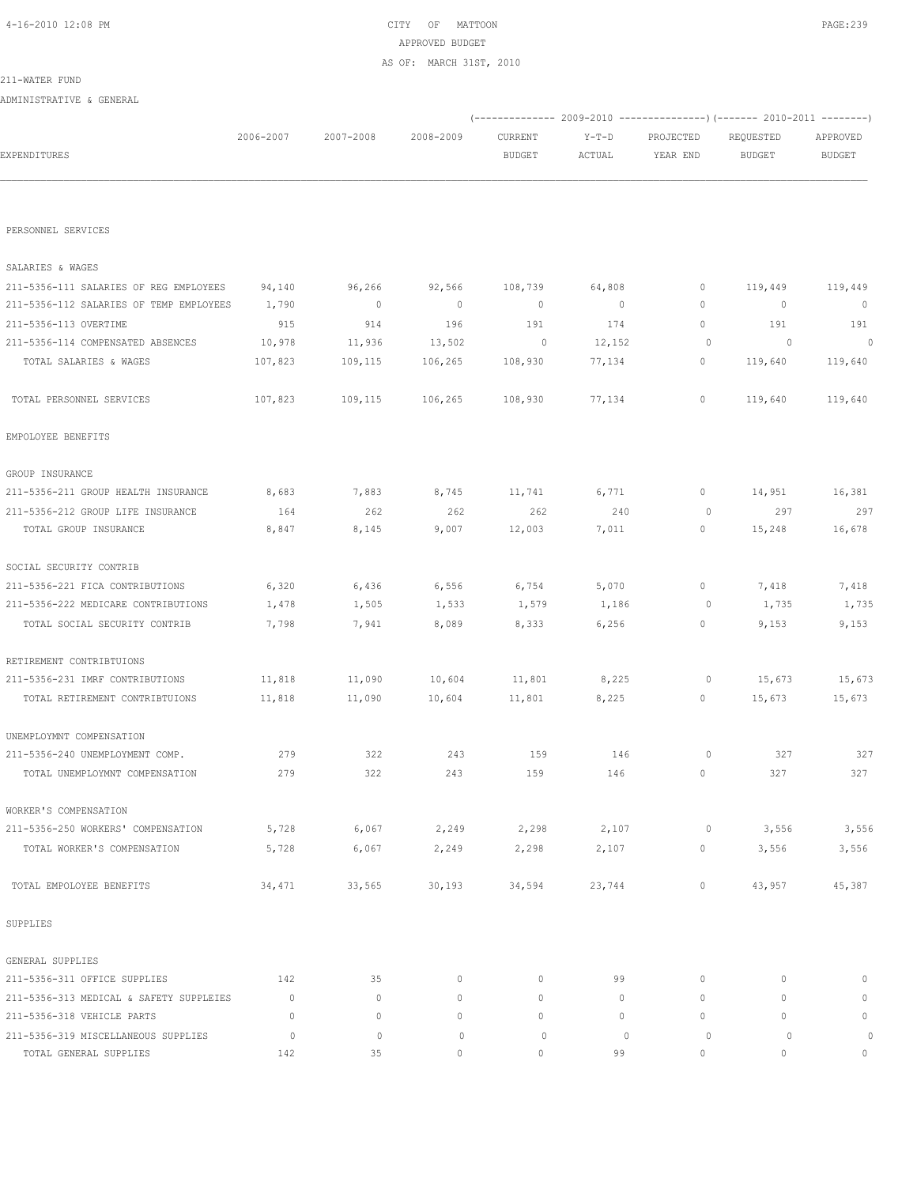## 4-16-2010 12:08 PM CITY OF MATTOON PAGE:239 APPROVED BUDGET AS OF: MARCH 31ST, 2010

#### 211-WATER FUND

ADMINISTRATIVE & GENERAL

|                                         |              |                          |                          | (-------------- 2009-2010 ----------------) (------- 2010-2011 --------) |                          |                       |                            |                           |
|-----------------------------------------|--------------|--------------------------|--------------------------|--------------------------------------------------------------------------|--------------------------|-----------------------|----------------------------|---------------------------|
| EXPENDITURES                            | 2006-2007    | 2007-2008                | 2008-2009                | CURRENT<br><b>BUDGET</b>                                                 | $Y-T-D$<br>ACTUAL        | PROJECTED<br>YEAR END | REQUESTED<br><b>BUDGET</b> | APPROVED<br><b>BUDGET</b> |
|                                         |              |                          |                          |                                                                          |                          |                       |                            |                           |
| PERSONNEL SERVICES                      |              |                          |                          |                                                                          |                          |                       |                            |                           |
| SALARIES & WAGES                        |              |                          |                          |                                                                          |                          |                       |                            |                           |
| 211-5356-111 SALARIES OF REG EMPLOYEES  | 94,140       | 96,266                   | 92,566                   | 108,739                                                                  | 64,808                   | 0                     | 119,449                    | 119,449                   |
| 211-5356-112 SALARIES OF TEMP EMPLOYEES | 1,790        | $\overline{\phantom{0}}$ | $\overline{\phantom{0}}$ | $\overline{0}$                                                           | $\overline{\phantom{0}}$ | 0                     | $\overline{0}$             | $\overline{0}$            |
| 211-5356-113 OVERTIME                   | 915          | 914                      | 196                      | 191                                                                      | 174                      | 0                     | 191                        | 191                       |
| 211-5356-114 COMPENSATED ABSENCES       | 10,978       | 11,936                   | 13,502                   | $\sim$ 0                                                                 | 12,152                   | $\mathbf 0$           | $\sim$ 0                   | $\circ$                   |
| TOTAL SALARIES & WAGES                  | 107,823      | 109,115                  | 106,265                  | 108,930                                                                  | 77,134                   | 0                     | 119,640                    | 119,640                   |
| TOTAL PERSONNEL SERVICES                | 107,823      | 109,115                  | 106,265                  | 108,930                                                                  | 77,134                   | $\circ$               | 119,640                    | 119,640                   |
| EMPOLOYEE BENEFITS                      |              |                          |                          |                                                                          |                          |                       |                            |                           |
| GROUP INSURANCE                         |              |                          |                          |                                                                          |                          |                       |                            |                           |
| 211-5356-211 GROUP HEALTH INSURANCE     | 8,683        | 7,883                    | 8,745                    | 11,741                                                                   | 6,771                    | $\circ$               | 14,951                     | 16,381                    |
| 211-5356-212 GROUP LIFE INSURANCE       | 164          | 262                      | 262                      | 262                                                                      | 240                      | $\mathbb O$           | 297                        | 297                       |
| TOTAL GROUP INSURANCE                   | 8,847        | 8,145                    | 9,007                    | 12,003                                                                   | 7,011                    | $\circ$               | 15,248                     | 16,678                    |
| SOCIAL SECURITY CONTRIB                 |              |                          |                          |                                                                          |                          |                       |                            |                           |
| 211-5356-221 FICA CONTRIBUTIONS         | 6,320        | 6,436                    | 6,556                    | 6,754                                                                    | 5,070                    | 0                     | 7,418                      | 7,418                     |
| 211-5356-222 MEDICARE CONTRIBUTIONS     | 1,478        | 1,505                    | 1,533                    | 1,579                                                                    | 1,186                    | $\circ$               | 1,735                      | 1,735                     |
| TOTAL SOCIAL SECURITY CONTRIB           | 7,798        | 7,941                    | 8,089                    | 8,333                                                                    | 6,256                    | $\circ$               | 9,153                      | 9,153                     |
| RETIREMENT CONTRIBTUIONS                |              |                          |                          |                                                                          |                          |                       |                            |                           |
| 211-5356-231 IMRF CONTRIBUTIONS         | 11,818       | 11,090                   | 10,604                   | 11,801                                                                   | 8,225                    | 0                     | 15,673                     | 15,673                    |
| TOTAL RETIREMENT CONTRIBTUIONS          | 11,818       | 11,090                   | 10,604                   | 11,801                                                                   | 8,225                    | 0                     | 15,673                     | 15,673                    |
| UNEMPLOYMNT COMPENSATION                |              |                          |                          |                                                                          |                          |                       |                            |                           |
| 211-5356-240 UNEMPLOYMENT COMP.         | 279          | 322                      | 243                      | 159                                                                      | 146                      | 0                     | 327                        | 327                       |
| TOTAL UNEMPLOYMNT COMPENSATION          | 279          | 322                      | 243                      | 159                                                                      | 146                      | 0                     | 327                        | 327                       |
| WORKER'S COMPENSATION                   |              |                          |                          |                                                                          |                          |                       |                            |                           |
| 211-5356-250 WORKERS' COMPENSATION      | 5,728        | 6,067                    | 2,249                    | 2,298                                                                    | 2,107                    | $\mathbf 0$           | 3,556                      | 3,556                     |
| TOTAL WORKER'S COMPENSATION             | 5,728        | 6,067                    | 2,249                    | 2,298                                                                    | 2,107                    | 0                     | 3,556                      | 3,556                     |
| TOTAL EMPOLOYEE BENEFITS                | 34,471       | 33,565                   | 30,193                   | 34,594                                                                   | 23,744                   | $\circ$               | 43,957                     | 45,387                    |
| <b>SUPPLIES</b>                         |              |                          |                          |                                                                          |                          |                       |                            |                           |
| GENERAL SUPPLIES                        |              |                          |                          |                                                                          |                          |                       |                            |                           |
| 211-5356-311 OFFICE SUPPLIES            | 142          | 35                       | $\mathbf 0$              | $\circ$                                                                  | 99                       | $\circ$               | $\mathbf 0$                | $\circ$                   |
| 211-5356-313 MEDICAL & SAFETY SUPPLEIES | $\mathbf{0}$ | $\mathbf{0}$             | $\circ$                  | $\circ$                                                                  | $\circ$                  | $\circ$               | $\mathbf{0}$               | $\circ$                   |
| 211-5356-318 VEHICLE PARTS              | $\circ$      | $\circ$                  | $\circ$                  | $\mathbf{0}$                                                             | $\circ$                  | $\circ$               | $\circ$                    | $\circ$                   |
| 211-5356-319 MISCELLANEOUS SUPPLIES     | $\circ$      | $\mathbf 0$              | $\circ$                  | $\circ$                                                                  | $\mathbf{0}$             | $\mathbf 0$           | $\mathbb O$                | $\mathbf 0$               |
| TOTAL GENERAL SUPPLIES                  | 142          | 35                       | 0                        | $\circ$                                                                  | 99                       | $\circ$               | $\circ$                    | $\circ$                   |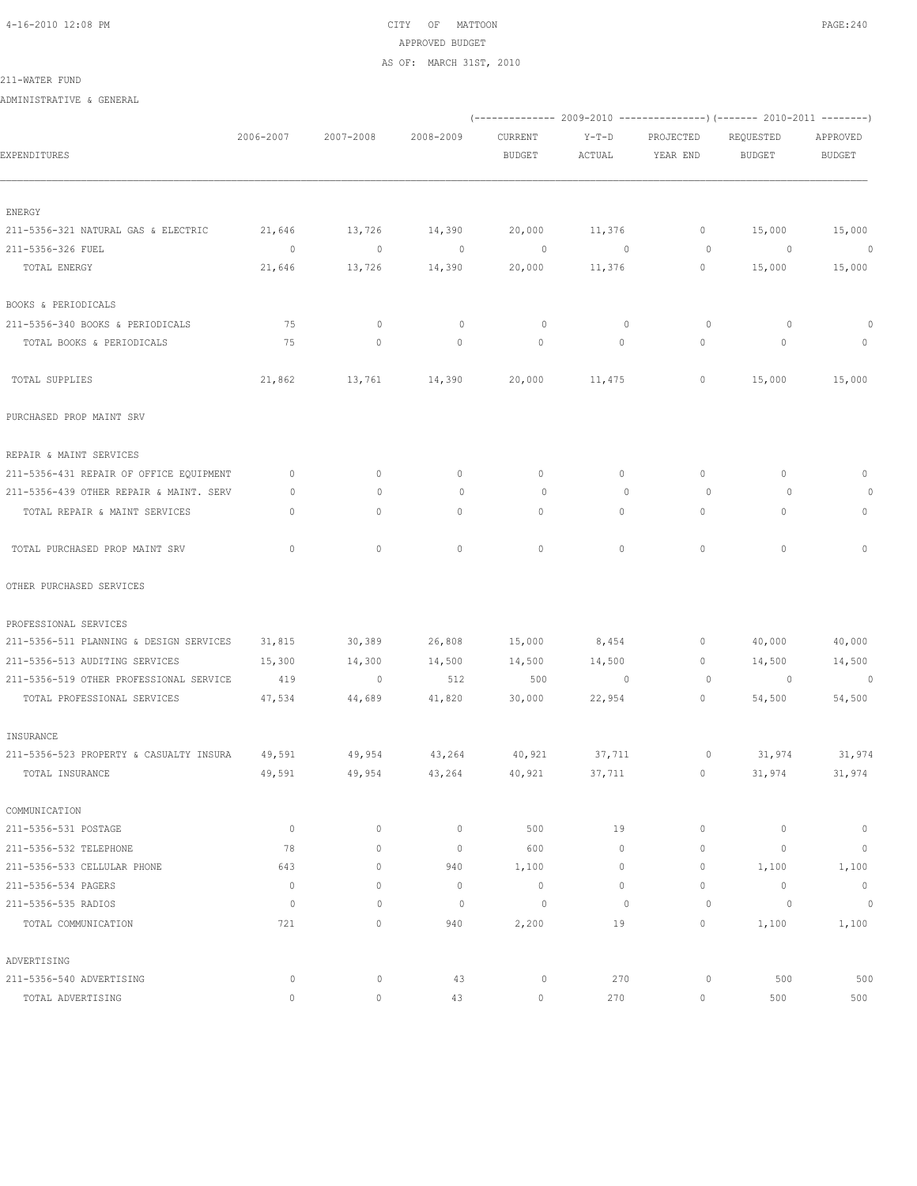### 4-16-2010 12:08 PM CITY OF MATTOON PAGE:240 APPROVED BUDGET AS OF: MARCH 31ST, 2010

#### 211-WATER FUND

#### ADMINISTRATIVE & GENERAL

|                                                          |                          |                          |                    | (-------------- 2009-2010 ----------------) (------- 2010-2011 --------) |                    |                          |                                    |                    |
|----------------------------------------------------------|--------------------------|--------------------------|--------------------|--------------------------------------------------------------------------|--------------------|--------------------------|------------------------------------|--------------------|
|                                                          | 2006-2007                | 2007-2008                | 2008-2009          | CURRENT                                                                  | $Y-T-D$            | PROJECTED                | REQUESTED                          | APPROVED           |
| EXPENDITURES                                             |                          |                          |                    | <b>BUDGET</b>                                                            | ACTUAL             | YEAR END                 | BUDGET                             | <b>BUDGET</b>      |
|                                                          |                          |                          |                    |                                                                          |                    |                          |                                    |                    |
| ENERGY                                                   |                          |                          |                    |                                                                          |                    |                          |                                    |                    |
| 211-5356-321 NATURAL GAS & ELECTRIC<br>211-5356-326 FUEL | 21,646<br>$\overline{0}$ | 13,726<br>$\overline{0}$ | 14,390<br>$\sim$ 0 | 20,000<br>$\sim$ 0                                                       | 11,376<br>$\sim$ 0 | $\circ$<br>$\circ$       | 15,000<br>$\overline{\phantom{0}}$ | 15,000<br>$\sim$ 0 |
| TOTAL ENERGY                                             | 21,646                   | 13,726                   | 14,390             | 20,000                                                                   | 11,376             | $\circ$                  | 15,000                             | 15,000             |
|                                                          |                          |                          |                    |                                                                          |                    |                          |                                    |                    |
| BOOKS & PERIODICALS                                      |                          |                          |                    |                                                                          |                    |                          |                                    |                    |
| 211-5356-340 BOOKS & PERIODICALS                         | 75                       | $\mathbf 0$              | $\circ$            | $\circ$                                                                  | $\overline{0}$     | $\circ$                  | $\mathbf 0$                        | $\mathbb O$        |
| TOTAL BOOKS & PERIODICALS                                | 75                       | 0                        | $\circ$            | $\circ$                                                                  | $\circ$            | 0                        | $\circ$                            | $\circ$            |
| TOTAL SUPPLIES                                           | 21,862                   | 13,761                   | $14,390$ 20,000    |                                                                          | 11,475             | $\circ$                  | 15,000                             | 15,000             |
| PURCHASED PROP MAINT SRV                                 |                          |                          |                    |                                                                          |                    |                          |                                    |                    |
| REPAIR & MAINT SERVICES                                  |                          |                          |                    |                                                                          |                    |                          |                                    |                    |
| 211-5356-431 REPAIR OF OFFICE EQUIPMENT                  | $\circ$                  | $\circ$                  | $\circ$            | $\mathbf{0}$                                                             | $\circ$            | $\circ$                  | $\circ$                            | 0                  |
| 211-5356-439 OTHER REPAIR & MAINT. SERV                  | $\circ$                  | $\circ$                  | $\circ$            | $\circ$                                                                  | $\mathbf{0}$       | $\mathbf 0$              | $\overline{0}$                     | $\mathbf 0$        |
| TOTAL REPAIR & MAINT SERVICES                            | $\mathbf{0}$             | $\circ$                  | $\circ$            | $\circ$                                                                  | $\circ$            | $\circ$                  | $\circ$                            | 0                  |
| TOTAL PURCHASED PROP MAINT SRV                           | $\mathbf{0}$             | 0                        | $\mathbf{0}$       | $\circ$                                                                  | $\circ$            | $\circ$                  | $\mathbf{0}$                       | $\mathbf{0}$       |
| OTHER PURCHASED SERVICES                                 |                          |                          |                    |                                                                          |                    |                          |                                    |                    |
| PROFESSIONAL SERVICES                                    |                          |                          |                    |                                                                          |                    |                          |                                    |                    |
| 211-5356-511 PLANNING & DESIGN SERVICES                  | 31,815                   | 30,389                   | 26,808             | 15,000                                                                   | 8,454              | $\circ$                  | 40,000                             | 40,000             |
| 211-5356-513 AUDITING SERVICES                           | 15,300                   | 14,300                   | 14,500             | 14,500                                                                   | 14,500             | $\overline{0}$           | 14,500                             | 14,500             |
| 211-5356-519 OTHER PROFESSIONAL SERVICE                  | 419                      | $\overline{0}$           | 512                | 500                                                                      | $\sim$ 0           | $\overline{\phantom{0}}$ | $\sim$ 0                           | $\mathbb O$        |
| TOTAL PROFESSIONAL SERVICES                              | 47,534                   | 44,689                   | 41,820             | 30,000                                                                   | 22,954             | $\circ$                  | 54,500                             | 54,500             |
| INSURANCE                                                |                          |                          |                    |                                                                          |                    |                          |                                    |                    |
| 211-5356-523 PROPERTY & CASUALTY INSURA                  | 49,591                   |                          | 49,954 43,264      |                                                                          | 40,921 37,711      | $\circ$                  | 31,974                             | 31,974             |
| TOTAL INSURANCE                                          | 49,591                   | 49,954                   | 43,264             | 40,921                                                                   | 37,711             | $\circ$                  | 31,974                             | 31,974             |
| COMMUNICATION                                            |                          |                          |                    |                                                                          |                    |                          |                                    |                    |
| 211-5356-531 POSTAGE                                     | $\circ$                  | $\circ$                  | $\circ$            | 500                                                                      | 19                 | $\circ$                  | $\mathbf 0$                        | $\circ$            |
| 211-5356-532 TELEPHONE                                   | 78                       | $\mathbb O$              | $\mathbf 0$        | 600                                                                      | $\circ$            | $\circ$                  | $\mathbf 0$                        | $\circ$            |
| 211-5356-533 CELLULAR PHONE                              | 643                      | $\mathbb O$              | 940                | 1,100                                                                    | $\circ$            | $\circ$                  | 1,100                              | 1,100              |
| 211-5356-534 PAGERS                                      | $\mathbf{0}$             | $\mathbb O$              | $\circ$            | $\circ$                                                                  | $\circ$            | $\circ$                  | $\mathbf{0}$                       | $\circ$            |
| 211-5356-535 RADIOS                                      | $\circ$                  | $\circ$                  | $\circ$            | $\circ$                                                                  | $\mathbf{0}$       | $\mathbf{0}$             | $\circ$                            | $\mathbb O$        |
| TOTAL COMMUNICATION                                      | 721                      | $\circ$                  | 940                | 2,200                                                                    | 19                 | $\circ$                  | 1,100                              | 1,100              |
| ADVERTISING                                              |                          |                          |                    |                                                                          |                    |                          |                                    |                    |
| 211-5356-540 ADVERTISING                                 | $\circ$                  | $\mathbb O$              | 43                 | 0                                                                        | 270                | $\mathbb O$              | 500                                | 500                |
| TOTAL ADVERTISING                                        | $\mathbb O$              | $\circ$                  | 43                 | $\circ$                                                                  | 270                | 0                        | 500                                | 500                |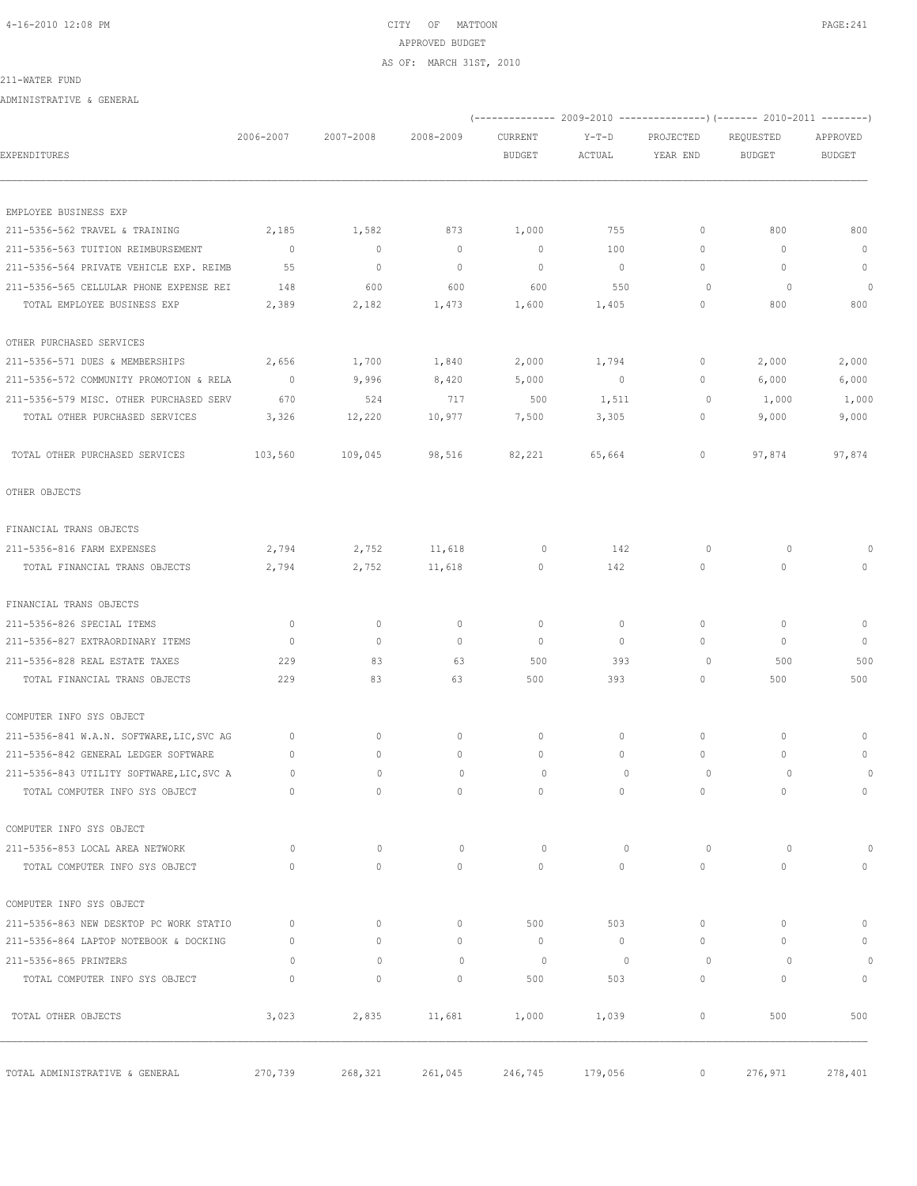## 4-16-2010 12:08 PM CITY OF MATTOON PAGE:241 APPROVED BUDGET AS OF: MARCH 31ST, 2010

#### 211-WATER FUND

ADMINISTRATIVE & GENERAL

|                                           |                          |           |                |                |                |              | (-------------- 2009-2010 ----------------) (------- 2010-2011 --------) |                |
|-------------------------------------------|--------------------------|-----------|----------------|----------------|----------------|--------------|--------------------------------------------------------------------------|----------------|
|                                           | 2006-2007                | 2007-2008 | 2008-2009      | CURRENT        | $Y-T-D$        | PROJECTED    | REQUESTED                                                                | APPROVED       |
| EXPENDITURES                              |                          |           |                | <b>BUDGET</b>  | ACTUAL         | YEAR END     | <b>BUDGET</b>                                                            | <b>BUDGET</b>  |
| EMPLOYEE BUSINESS EXP                     |                          |           |                |                |                |              |                                                                          |                |
| 211-5356-562 TRAVEL & TRAINING            | 2,185                    | 1,582     | 873            | 1,000          | 755            | $\circ$      | 800                                                                      | 800            |
| 211-5356-563 TUITION REIMBURSEMENT        | $\overline{0}$           | $\circ$   | $\mathbf{0}$   | $\overline{0}$ | 100            | $\mathbf{0}$ | $\mathbf{0}$                                                             | $\overline{0}$ |
| 211-5356-564 PRIVATE VEHICLE EXP. REIMB   | 55                       | $\circ$   | $\overline{0}$ | $\overline{0}$ | $\overline{0}$ | $\circ$      | $\mathbf{0}$                                                             | $\circ$        |
| 211-5356-565 CELLULAR PHONE EXPENSE REI   | 148                      | 600       | 600            | 600            | 550            | $\mathbf{0}$ | $\mathbf{0}$                                                             | $\circ$        |
| TOTAL EMPLOYEE BUSINESS EXP               | 2,389                    | 2,182     | 1,473          | 1,600          | 1,405          | 0            | 800                                                                      | 800            |
| OTHER PURCHASED SERVICES                  |                          |           |                |                |                |              |                                                                          |                |
| 211-5356-571 DUES & MEMBERSHIPS           | 2,656                    | 1,700     | 1,840          | 2,000          | 1,794          | 0            | 2,000                                                                    | 2,000          |
| 211-5356-572 COMMUNITY PROMOTION & RELA   | $\overline{\phantom{0}}$ | 9,996     | 8,420          | 5,000          | $\overline{0}$ | 0            | 6,000                                                                    | 6,000          |
| 211-5356-579 MISC. OTHER PURCHASED SERV   | 670                      | 524       | 717            | 500            | 1,511          | $\mathbf 0$  | 1,000                                                                    | 1,000          |
| TOTAL OTHER PURCHASED SERVICES            | 3,326                    | 12,220    | 10,977         | 7,500          | 3,305          | 0            | 9,000                                                                    | 9,000          |
| TOTAL OTHER PURCHASED SERVICES            | 103,560                  | 109,045   | 98,516         | 82,221         | 65,664         | 0            | 97,874                                                                   | 97,874         |
| OTHER OBJECTS                             |                          |           |                |                |                |              |                                                                          |                |
| FINANCIAL TRANS OBJECTS                   |                          |           |                |                |                |              |                                                                          |                |
| 211-5356-816 FARM EXPENSES                | 2,794                    | 2,752     | 11,618         | 0              | 142            | $\mathbf 0$  | $\mathbf 0$                                                              |                |
| TOTAL FINANCIAL TRANS OBJECTS             | 2,794                    | 2,752     | 11,618         | $\circ$        | 142            | 0            | $\circ$                                                                  | 0              |
| FINANCIAL TRANS OBJECTS                   |                          |           |                |                |                |              |                                                                          |                |
| 211-5356-826 SPECIAL ITEMS                | $\mathbb O$              | $\circ$   | $\circ$        | $\circ$        | 0              | 0            | $\circ$                                                                  | $\circ$        |
| 211-5356-827 EXTRAORDINARY ITEMS          | $\mathbb O$              | $\circ$   | 0              | $\mathbf 0$    | $\circ$        | $\circ$      | $\mathbf{0}$                                                             | $\circ$        |
| 211-5356-828 REAL ESTATE TAXES            | 229                      | 83        | 63             | 500            | 393            | $\mathbf{0}$ | 500                                                                      | 500            |
| TOTAL FINANCIAL TRANS OBJECTS             | 229                      | 83        | 63             | 500            | 393            | 0            | 500                                                                      | 500            |
| COMPUTER INFO SYS OBJECT                  |                          |           |                |                |                |              |                                                                          |                |
| 211-5356-841 W.A.N. SOFTWARE, LIC, SVC AG | 0                        | 0         | $\mathbf 0$    | $\circ$        | 0              | 0            | $\circ$                                                                  | 0              |
| 211-5356-842 GENERAL LEDGER SOFTWARE      | $\mathbf{0}$             | 0         | $\mathbf 0$    | $\circ$        | $\circ$        | 0            | $\circ$                                                                  | $\mathbf 0$    |
| 211-5356-843 UTILITY SOFTWARE, LIC, SVC A | 0                        | $\circ$   | 0              | 0              | $\mathbf{0}$   | $\mathbf{0}$ | $\mathbf{0}$                                                             | $\mathbf 0$    |
| TOTAL COMPUTER INFO SYS OBJECT            | 0                        | $\circ$   | 0              | $\circ$        | $\circ$        | $\circ$      | $\mathbb O$                                                              | $\circ$        |
| COMPUTER INFO SYS OBJECT                  |                          |           |                |                |                |              |                                                                          |                |
| 211-5356-853 LOCAL AREA NETWORK           | $\circ$                  | $\circ$   | 0              | $\circ$        | 0              | 0            | 0                                                                        | $\mathbb O$    |
| TOTAL COMPUTER INFO SYS OBJECT            | $\circ$                  | $\circ$   | $\circ$        | $\circ$        | $\circ$        | $\mathbf{0}$ | $\mathbf{0}$                                                             | $\circ$        |
| COMPUTER INFO SYS OBJECT                  |                          |           |                |                |                |              |                                                                          |                |
| 211-5356-863 NEW DESKTOP PC WORK STATIO   | 0                        | 0         | 0              | 500            | 503            | 0            | 0                                                                        | $\circ$        |
| 211-5356-864 LAPTOP NOTEBOOK & DOCKING    | 0                        | 0         | $\mathbf{0}$   | $\circ$        | $\circ$        | 0            | $\mathbf{0}$                                                             | 0              |
| 211-5356-865 PRINTERS                     | 0                        | $\circ$   | $\circ$        | $\circ$        | $\mathbf 0$    | $\circ$      | $\mathbf 0$                                                              | $\circ$        |
| TOTAL COMPUTER INFO SYS OBJECT            | $\circ$                  | $\circ$   | $\mathbf 0$    | 500            | 503            | $\mathbb O$  | $\circ$                                                                  | $\mathbf 0$    |
| TOTAL OTHER OBJECTS                       | 3,023                    | 2,835     | 11,681         | 1,000          | 1,039          | 0            | 500                                                                      | 500            |
| TOTAL ADMINISTRATIVE & GENERAL            | 270,739                  | 268,321   | 261,045        | 246,745        | 179,056        | 0            | 276,971                                                                  | 278,401        |
|                                           |                          |           |                |                |                |              |                                                                          |                |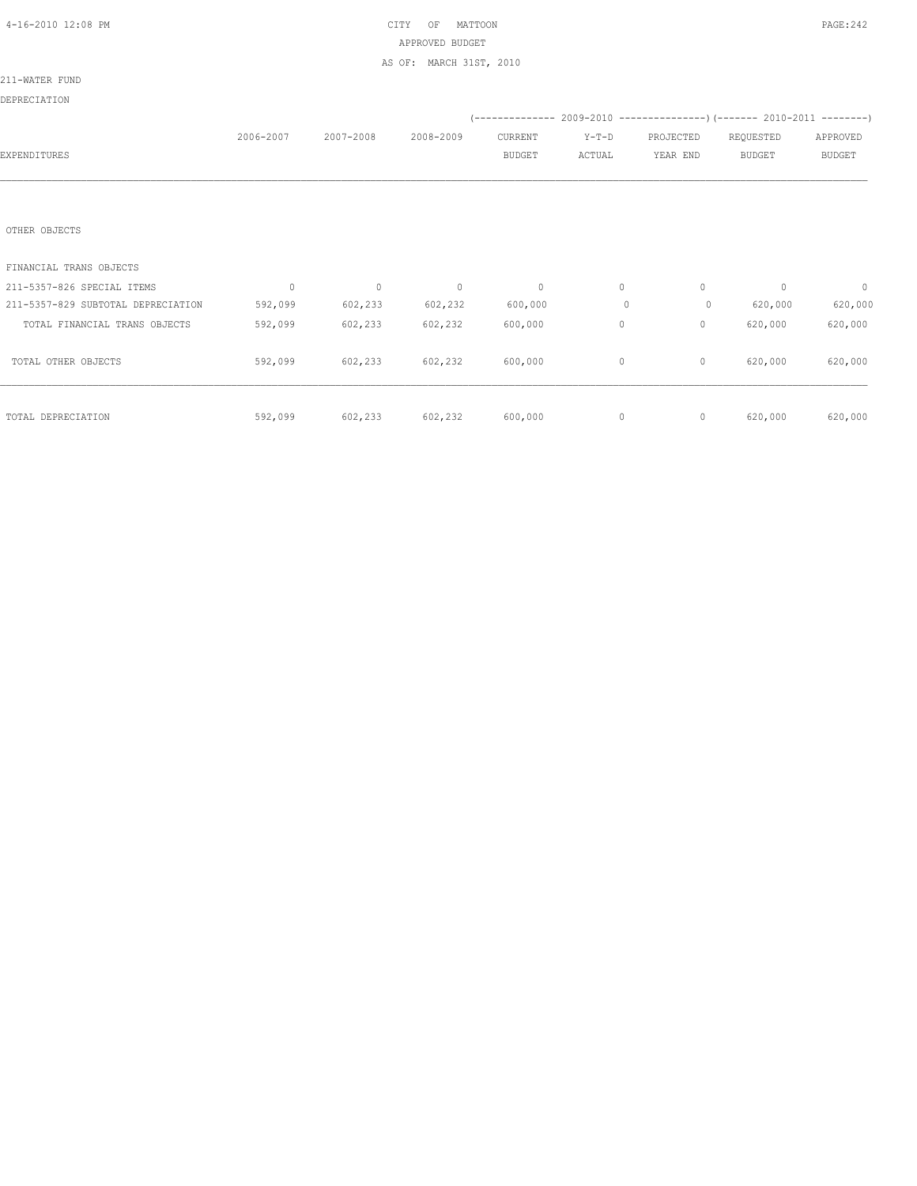## 4-16-2010 12:08 PM CITY OF MATTOON PAGE:242 APPROVED BUDGET AS OF: MARCH 31ST, 2010

### 211-WATER FUND

### DEPRECIATION

|                                    | 2006-2007    | 2007-2008 | 2008-2009    | CURRENT       | $Y-T-D$      | PROJECTED    | REQUESTED     | APPROVED      |
|------------------------------------|--------------|-----------|--------------|---------------|--------------|--------------|---------------|---------------|
| EXPENDITURES                       |              |           |              | <b>BUDGET</b> | ACTUAL       | YEAR END     | <b>BUDGET</b> | <b>BUDGET</b> |
|                                    |              |           |              |               |              |              |               |               |
|                                    |              |           |              |               |              |              |               |               |
| OTHER OBJECTS                      |              |           |              |               |              |              |               |               |
|                                    |              |           |              |               |              |              |               |               |
| FINANCIAL TRANS OBJECTS            |              |           |              |               |              |              |               |               |
| 211-5357-826 SPECIAL ITEMS         | $\mathbf{0}$ | $\circ$   | $\mathbf{0}$ | $\circ$       | $\circ$      | 0            | $\mathbf{0}$  | $\circ$       |
| 211-5357-829 SUBTOTAL DEPRECIATION | 592,099      | 602,233   | 602,232      | 600,000       | $\mathbf{0}$ | $\mathbf{0}$ | 620,000       | 620,000       |
| TOTAL FINANCIAL TRANS OBJECTS      | 592,099      | 602,233   | 602,232      | 600,000       | $\circ$      | 0            | 620,000       | 620,000       |
| TOTAL OTHER OBJECTS                | 592,099      | 602,233   | 602,232      | 600,000       | $\circ$      | 0            | 620,000       | 620,000       |
|                                    |              |           |              |               |              |              |               |               |
| TOTAL DEPRECIATION                 | 592,099      | 602,233   | 602,232      | 600,000       | $\circ$      | 0            | 620,000       | 620,000       |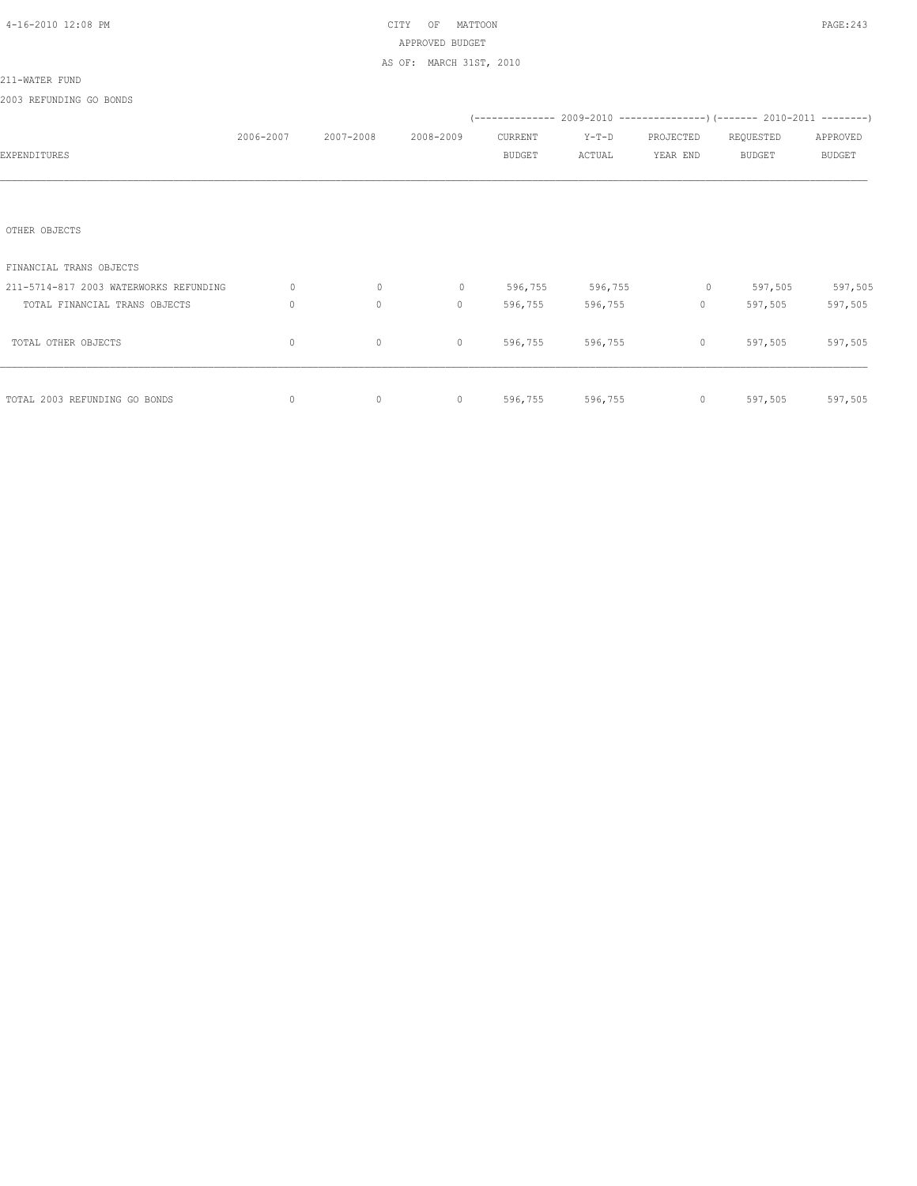## 4-16-2010 12:08 PM CITY OF MATTOON PAGE:243 APPROVED BUDGET AS OF: MARCH 31ST, 2010

#### 211-WATER FUND

2003 REFUNDING GO BONDS

|                                        |              |             |              |               |         |           | (-------------- 2009-2010 -----------------) (------- 2010-2011 --------) |               |
|----------------------------------------|--------------|-------------|--------------|---------------|---------|-----------|---------------------------------------------------------------------------|---------------|
|                                        | 2006-2007    | 2007-2008   | 2008-2009    | CURRENT       | $Y-T-D$ | PROJECTED | REQUESTED                                                                 | APPROVED      |
| EXPENDITURES                           |              |             |              | <b>BUDGET</b> | ACTUAL  | YEAR END  | <b>BUDGET</b>                                                             | <b>BUDGET</b> |
|                                        |              |             |              |               |         |           |                                                                           |               |
|                                        |              |             |              |               |         |           |                                                                           |               |
| OTHER OBJECTS                          |              |             |              |               |         |           |                                                                           |               |
| FINANCIAL TRANS OBJECTS                |              |             |              |               |         |           |                                                                           |               |
| 211-5714-817 2003 WATERWORKS REFUNDING | $\circ$      | $\circ$     | $\circ$      | 596,755       | 596,755 | 0         | 597,505                                                                   | 597,505       |
| TOTAL FINANCIAL TRANS OBJECTS          | $\mathbf{0}$ | $\circ$     | $\mathbf{0}$ | 596,755       | 596,755 | $\circ$   | 597,505                                                                   | 597,505       |
| TOTAL OTHER OBJECTS                    | 0            | $\circ$     | $\circ$      | 596,755       | 596,755 | $\circ$   | 597,505                                                                   | 597,505       |
| TOTAL 2003 REFUNDING GO BONDS          | 0            | $\mathbb O$ | $\circ$      | 596,755       | 596,755 | 0         | 597,505                                                                   | 597,505       |
|                                        |              |             |              |               |         |           |                                                                           |               |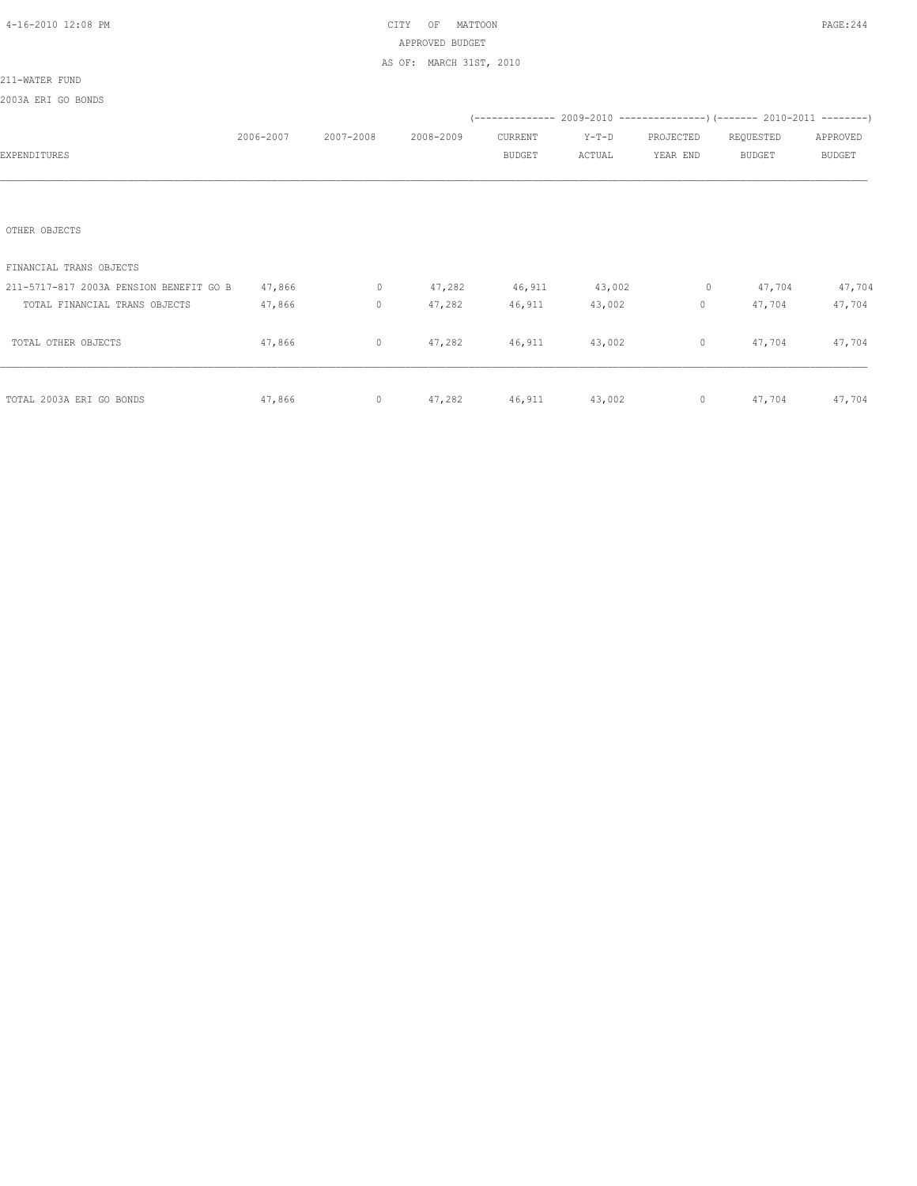## 4-16-2010 12:08 PM CITY OF MATTOON PAGE:244 APPROVED BUDGET AS OF: MARCH 31ST, 2010

#### 211-WATER FUND

2003A ERI GO BONDS

|                                         |           |           |           |               |         |              | $(---------- 2009-2010 ------------ 2010-2011 ------ 2010-2011$ |               |
|-----------------------------------------|-----------|-----------|-----------|---------------|---------|--------------|-----------------------------------------------------------------|---------------|
|                                         | 2006-2007 | 2007-2008 | 2008-2009 | CURRENT       | $Y-T-D$ | PROJECTED    | REQUESTED                                                       | APPROVED      |
| EXPENDITURES                            |           |           |           | <b>BUDGET</b> | ACTUAL  | YEAR END     | BUDGET                                                          | <b>BUDGET</b> |
|                                         |           |           |           |               |         |              |                                                                 |               |
| OTHER OBJECTS                           |           |           |           |               |         |              |                                                                 |               |
| FINANCIAL TRANS OBJECTS                 |           |           |           |               |         |              |                                                                 |               |
| 211-5717-817 2003A PENSION BENEFIT GO B | 47,866    | $\circ$   | 47,282    | 46,911        | 43,002  | $\mathbf{0}$ | 47,704                                                          | 47,704        |
| TOTAL FINANCIAL TRANS OBJECTS           | 47,866    | $\circ$   | 47,282    | 46,911        | 43,002  | 0            | 47,704                                                          | 47,704        |
| TOTAL OTHER OBJECTS                     | 47,866    | $\circ$   | 47,282    | 46,911        | 43,002  | $\circ$      | 47,704                                                          | 47,704        |
| TOTAL 2003A ERI GO BONDS                | 47,866    | $\circ$   | 47,282    | 46,911        | 43,002  | 0            | 47,704                                                          | 47,704        |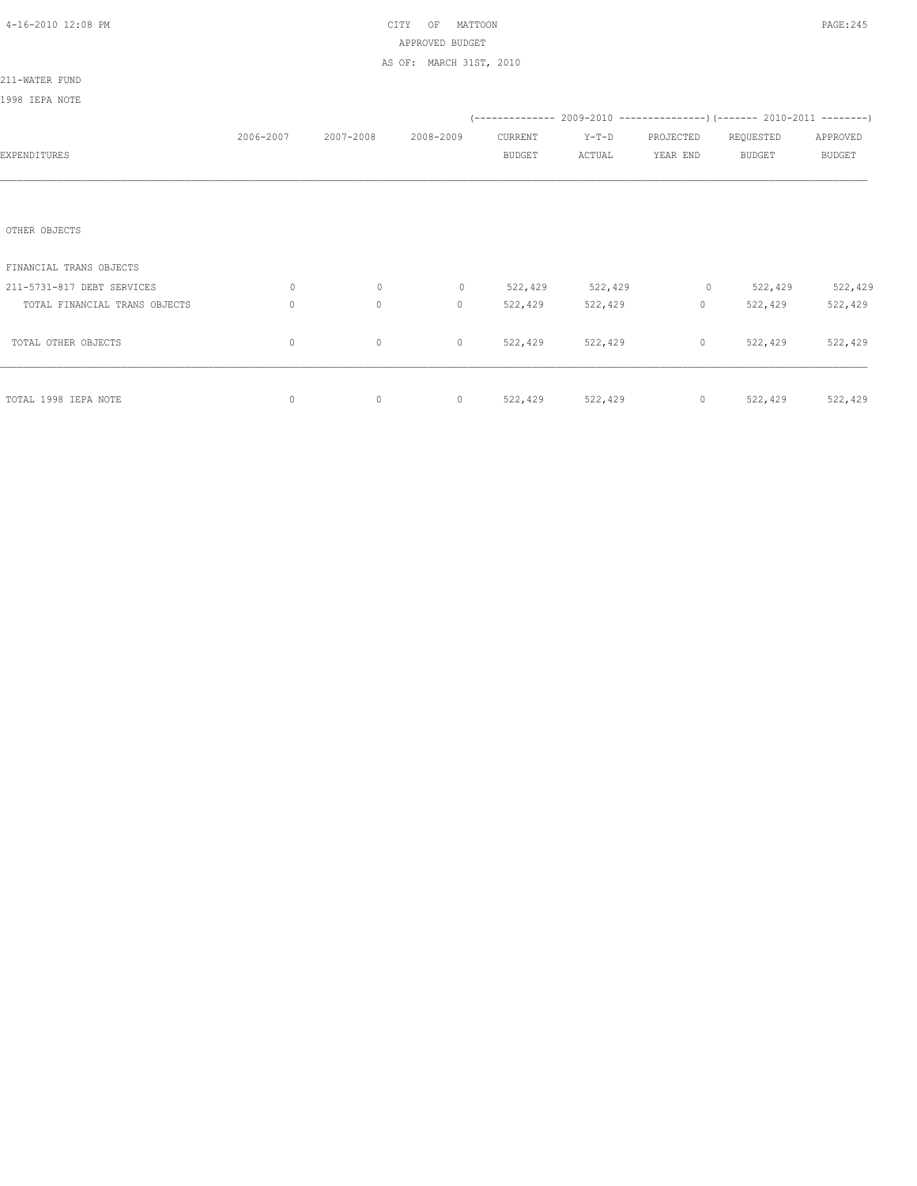## 4-16-2010 12:08 PM CITY OF MATTOON PAGE:245 APPROVED BUDGET AS OF: MARCH 31ST, 2010

#### 211-WATER FUND

#### 1998 IEPA NOTE

| tan umum mata                 |              |           |                   |                          |                   |                       | (-------------- 2009-2010 ---------------) (------- 2010-2011 --------) |                           |
|-------------------------------|--------------|-----------|-------------------|--------------------------|-------------------|-----------------------|-------------------------------------------------------------------------|---------------------------|
| EXPENDITURES                  | 2006-2007    | 2007-2008 | 2008-2009         | CURRENT<br><b>BUDGET</b> | $Y-T-D$<br>ACTUAL | PROJECTED<br>YEAR END | REQUESTED<br><b>BUDGET</b>                                              | APPROVED<br><b>BUDGET</b> |
|                               |              |           |                   |                          |                   |                       |                                                                         |                           |
| OTHER OBJECTS                 |              |           |                   |                          |                   |                       |                                                                         |                           |
| FINANCIAL TRANS OBJECTS       |              |           |                   |                          |                   |                       |                                                                         |                           |
| 211-5731-817 DEBT SERVICES    | 0            | $\circ$   | $\overline{0}$    | 522,429                  | 522,429           | $\circ$               | 522,429                                                                 | 522,429                   |
| TOTAL FINANCIAL TRANS OBJECTS | $\mathbf{0}$ | $\circ$   | $0 \qquad \qquad$ | 522,429                  | 522,429           | $\circ$               | 522,429                                                                 | 522,429                   |
| TOTAL OTHER OBJECTS           | $\mathbf{0}$ | $\circ$   | $\circ$           | 522,429                  | 522,429           | $\circ$               | 522,429                                                                 | 522,429                   |
| TOTAL 1998 IEPA NOTE          | 0            | $\circ$   | $\circ$           |                          | 522,429 522,429   | $\circ$               | 522,429                                                                 | 522,429                   |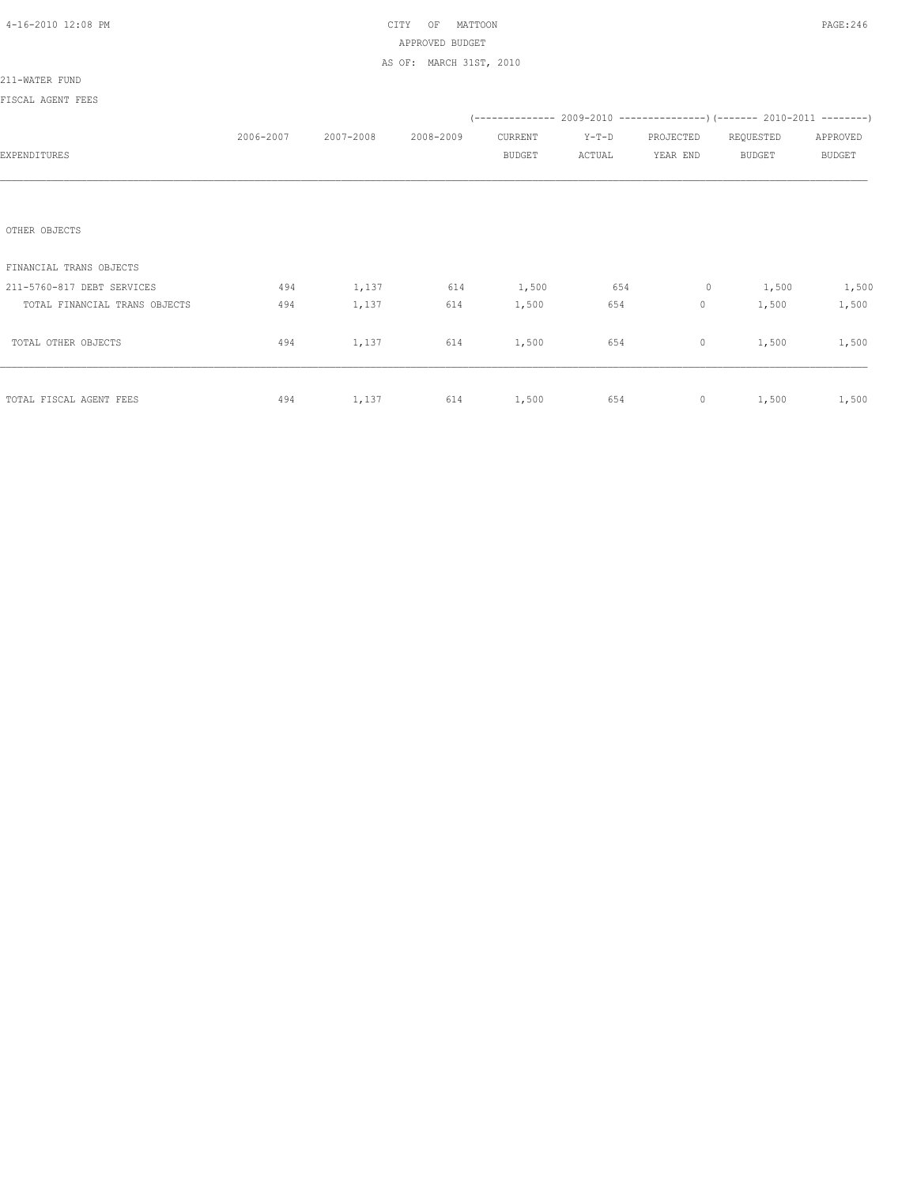## 4-16-2010 12:08 PM CITY OF MATTOON PAGE:246 APPROVED BUDGET AS OF: MARCH 31ST, 2010

## 211-WATER FUND

| FISCAL AGENT FEES |  |  |
|-------------------|--|--|
|-------------------|--|--|

|                               |           |           |           |               |         |           | (-------------- 2009-2010 ---------------) (------- 2010-2011 --------) |               |
|-------------------------------|-----------|-----------|-----------|---------------|---------|-----------|-------------------------------------------------------------------------|---------------|
|                               | 2006-2007 | 2007-2008 | 2008-2009 | CURRENT       | $Y-T-D$ | PROJECTED | REQUESTED                                                               | APPROVED      |
| EXPENDITURES                  |           |           |           | <b>BUDGET</b> | ACTUAL  | YEAR END  | <b>BUDGET</b>                                                           | <b>BUDGET</b> |
|                               |           |           |           |               |         |           |                                                                         |               |
|                               |           |           |           |               |         |           |                                                                         |               |
| OTHER OBJECTS                 |           |           |           |               |         |           |                                                                         |               |
| FINANCIAL TRANS OBJECTS       |           |           |           |               |         |           |                                                                         |               |
| 211-5760-817 DEBT SERVICES    | 494       | 1,137     | 614       | 1,500         | 654     | $\circ$   | 1,500                                                                   | 1,500         |
| TOTAL FINANCIAL TRANS OBJECTS | 494       | 1,137     | 614       | 1,500         | 654     | 0         | 1,500                                                                   | 1,500         |
| TOTAL OTHER OBJECTS           | 494       | 1,137     | 614       | 1,500         | 654     | 0         | 1,500                                                                   | 1,500         |
|                               |           |           |           |               |         |           |                                                                         |               |
| TOTAL FISCAL AGENT FEES       | 494       | 1,137     | 614       | 1,500         | 654     | 0         | 1,500                                                                   | 1,500         |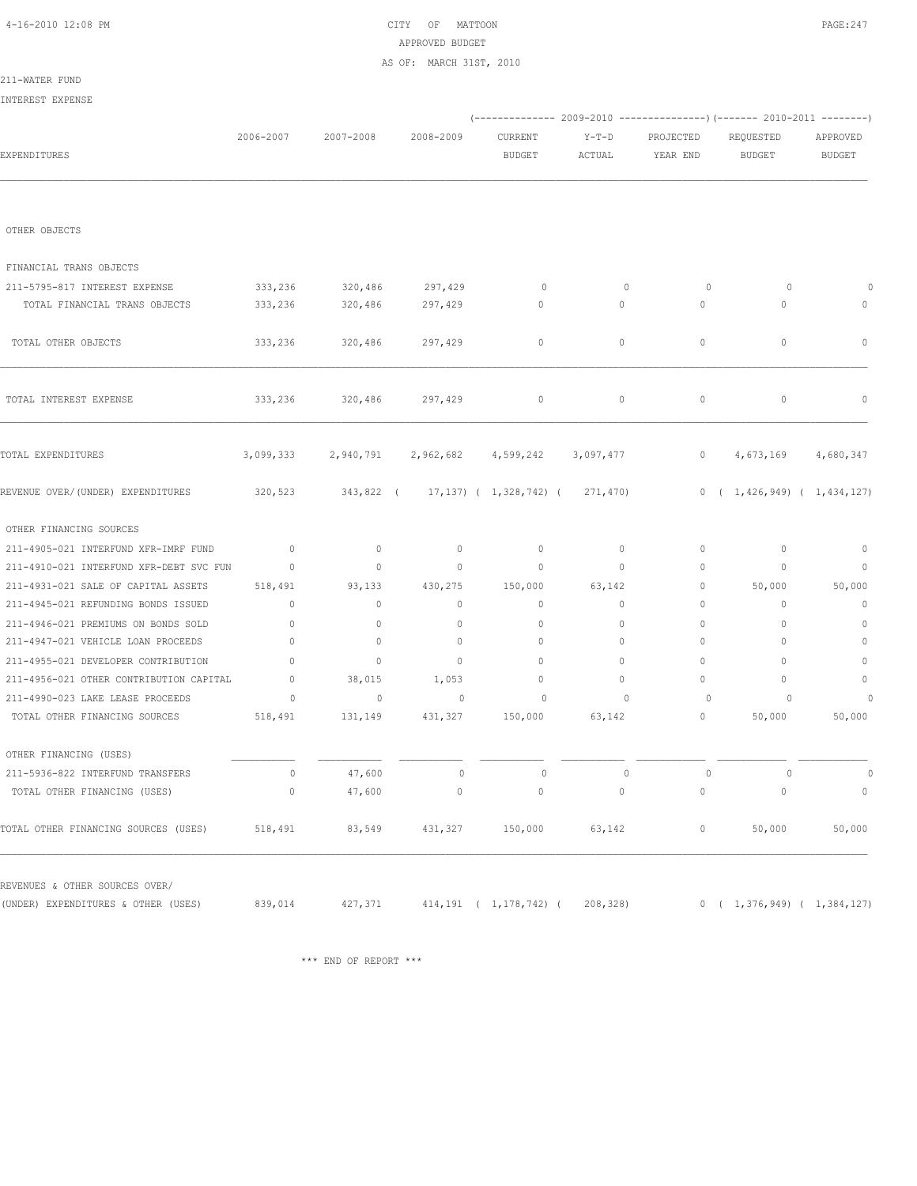## 4-16-2010 12:08 PM CITY OF MATTOON PAGE:247 APPROVED BUDGET AS OF: MARCH 31ST, 2010

## 211-WATER FUND INTEREST EXPENSE

|                                         |              |              |              |                                     |              | (-------------- 2009-2010 ---------------) (------- 2010-2011 --------) |                                             |             |
|-----------------------------------------|--------------|--------------|--------------|-------------------------------------|--------------|-------------------------------------------------------------------------|---------------------------------------------|-------------|
|                                         | 2006-2007    | 2007-2008    | 2008-2009    | CURRENT                             | $Y-T-D$      | PROJECTED                                                               | REQUESTED                                   | APPROVED    |
| EXPENDITURES                            |              |              |              | <b>BUDGET</b>                       | ACTUAL       | YEAR END                                                                | <b>BUDGET</b>                               | BUDGET      |
|                                         |              |              |              |                                     |              |                                                                         |                                             |             |
| OTHER OBJECTS                           |              |              |              |                                     |              |                                                                         |                                             |             |
| FINANCIAL TRANS OBJECTS                 |              |              |              |                                     |              |                                                                         |                                             |             |
| 211-5795-817 INTEREST EXPENSE           | 333,236      | 320,486      | 297,429      | 0                                   | 0            | $\mathbf 0$                                                             | $\mathbf 0$                                 | 0           |
| TOTAL FINANCIAL TRANS OBJECTS           | 333,236      | 320,486      | 297,429      | $\circ$                             | 0            | $\circ$                                                                 | 0                                           | 0           |
| TOTAL OTHER OBJECTS                     | 333,236      | 320,486      | 297,429      | $\circ$                             | $\circ$      | $\circ$                                                                 | $\circ$                                     | $\circ$     |
| TOTAL INTEREST EXPENSE                  | 333,236      | 320,486      | 297,429      | $\mathbb O$                         | $\circ$      | $\circ$                                                                 | $\mathbb O$                                 | $\circ$     |
| TOTAL EXPENDITURES                      | 3,099,333    | 2,940,791    |              | 2,962,682 4,599,242                 | 3,097,477    | $\circ$                                                                 | 4,673,169                                   | 4,680,347   |
| REVENUE OVER/(UNDER) EXPENDITURES       | 320,523      | 343,822 (    |              | 17, 137) ( 1, 328, 742) ( 271, 470) |              |                                                                         | $0 \quad (1,426,949) \quad (1,434,127)$     |             |
| OTHER FINANCING SOURCES                 |              |              |              |                                     |              |                                                                         |                                             |             |
| 211-4905-021 INTERFUND XFR-IMRF FUND    | $\circ$      | $\circ$      | $\circ$      | $\circ$                             | $\circ$      | 0                                                                       | $\mathbf 0$                                 | $\circ$     |
| 211-4910-021 INTERFUND XFR-DEBT SVC FUN | $\circ$      | $\circ$      | $\mathbf 0$  | $\mathbb O$                         | $\circ$      | $\circ$                                                                 | 0                                           | $\circ$     |
| 211-4931-021 SALE OF CAPITAL ASSETS     | 518,491      | 93,133       | 430,275      | 150,000                             | 63,142       | 0                                                                       | 50,000                                      | 50,000      |
| 211-4945-021 REFUNDING BONDS ISSUED     | $\circ$      | $\circ$      | $\circ$      | 0                                   | 0            | 0                                                                       | $\mathbf 0$                                 | $\circ$     |
| 211-4946-021 PREMIUMS ON BONDS SOLD     | $\mathbf 0$  | 0            | $\mathbf 0$  | 0                                   | 0            | 0                                                                       | 0                                           | $\circ$     |
| 211-4947-021 VEHICLE LOAN PROCEEDS      | $\mathbf{0}$ | 0            | $\mathbf 0$  | $\mathbf{0}$                        | 0            | $\mathbf{0}$                                                            | $\mathbf{0}$                                | $\circ$     |
| 211-4955-021 DEVELOPER CONTRIBUTION     | $\mathbf{0}$ | $\circ$      | $\mathbf{0}$ | $\circ$                             | $\circ$      | $\circ$                                                                 | $\mathbf{0}$                                | $\mathbb O$ |
| 211-4956-021 OTHER CONTRIBUTION CAPITAL | $\circ$      | 38,015       | 1,053        | $\mathbf 0$                         | $\circ$      | $\circ$                                                                 | $\mathbf{0}$                                | $\mathbb O$ |
| 211-4990-023 LAKE LEASE PROCEEDS        | $\circ$      | $\mathbf{0}$ | $\circ$      | $\circ$                             | $\mathbf{0}$ | $\circ$                                                                 | $\mathbf{0}$                                | $\mathbf 0$ |
| TOTAL OTHER FINANCING SOURCES           | 518,491      | 131,149      | 431,327      | 150,000                             | 63,142       | 0                                                                       | 50,000                                      | 50,000      |
| OTHER FINANCING (USES)                  |              |              |              |                                     |              |                                                                         |                                             |             |
| 211-5936-822 INTERFUND TRANSFERS        | $\circ$      | 47,600       | $\circ$      | $\mathbb O$                         | $\mathbf 0$  | $\mathbb O$                                                             | $\circ$                                     | $\mathbf 0$ |
| TOTAL OTHER FINANCING (USES)            | $\circ$      | 47,600       | $\circ$      | $\mathbb O$                         | $\circ$      | $\circ$                                                                 | $\mathbb O$                                 | $\circ$     |
| TOTAL OTHER FINANCING SOURCES (USES)    | 518,491      | 83,549       | 431,327      | 150,000                             | 63,142       | $\circ$                                                                 | 50,000                                      | 50,000      |
| REVENUES & OTHER SOURCES OVER/          |              |              |              |                                     |              |                                                                         |                                             |             |
| (UNDER) EXPENDITURES & OTHER (USES)     | 839,014      | 427,371      |              | 414,191 ( 1,178,742) (              | 208,328)     |                                                                         | $0 \quad (1, 376, 949) \quad (1, 384, 127)$ |             |

\*\*\* END OF REPORT \*\*\*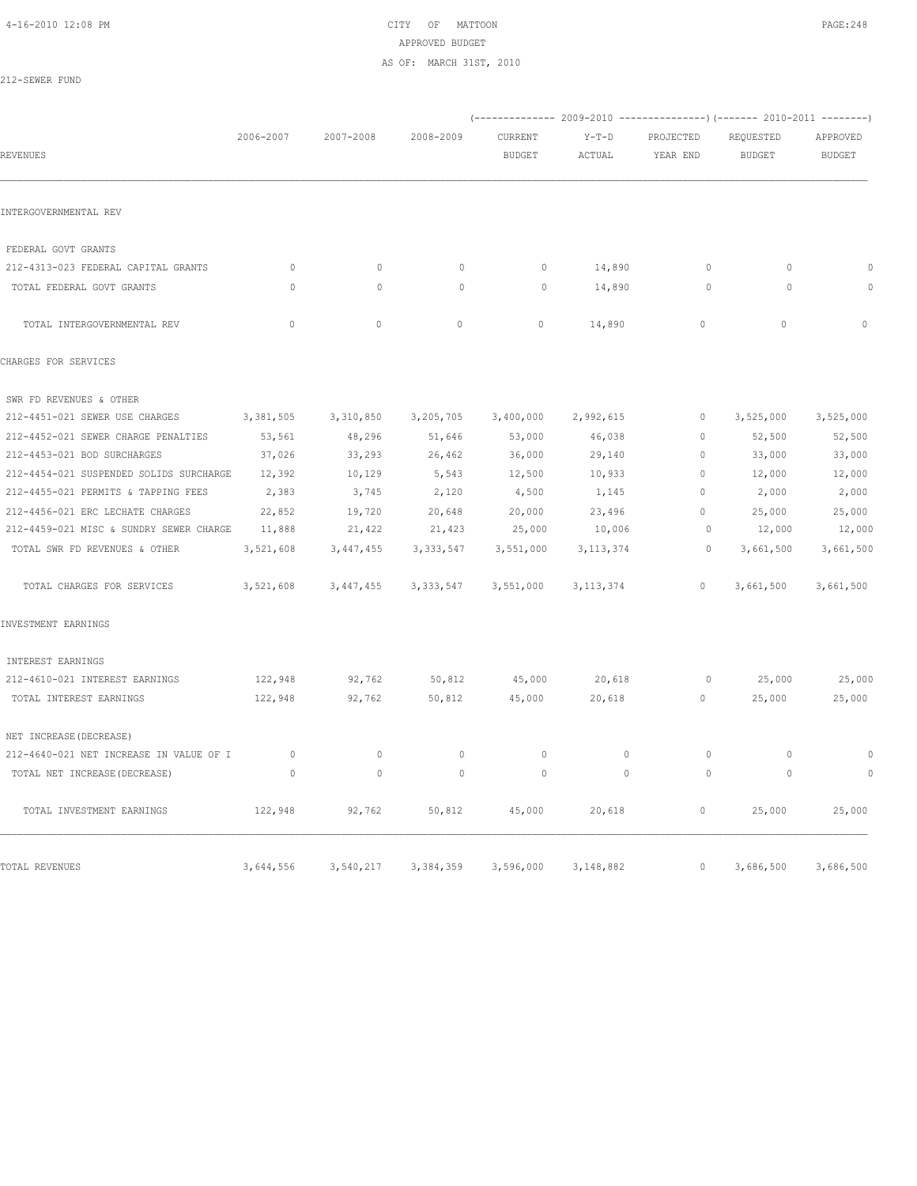## 4-16-2010 12:08 PM CITY OF MATTOON PAGE:248 APPROVED BUDGET AS OF: MARCH 31ST, 2010

| REVENUES                                | 2006-2007 | 2007-2008    | 2008-2009    | CURRENT<br><b>BUDGET</b> | $Y-T-D$<br>ACTUAL | (-------------- 2009-2010 ---------------) (------- 2010-2011 --------)<br>PROJECTED<br>YEAR END | REQUESTED<br><b>BUDGET</b> | APPROVED<br><b>BUDGET</b> |
|-----------------------------------------|-----------|--------------|--------------|--------------------------|-------------------|--------------------------------------------------------------------------------------------------|----------------------------|---------------------------|
| INTERGOVERNMENTAL REV                   |           |              |              |                          |                   |                                                                                                  |                            |                           |
| FEDERAL GOVT GRANTS                     |           |              |              |                          |                   |                                                                                                  |                            |                           |
| 212-4313-023 FEDERAL CAPITAL GRANTS     | $\circ$   | $\mathbf{0}$ | $\circ$      | $\circ$                  | 14,890            | $\circ$                                                                                          | $\mathbf{0}$               |                           |
| TOTAL FEDERAL GOVT GRANTS               | $\Omega$  | 0            | $\circ$      | $\circ$                  | 14,890            | $\mathbf 0$                                                                                      | $\mathbf 0$                |                           |
| TOTAL INTERGOVERNMENTAL REV             | $\Omega$  | $\Omega$     | $\mathbf{0}$ | $\mathbf{0}$             | 14,890            | $\circ$                                                                                          | $\circ$                    | $\Omega$                  |
| CHARGES FOR SERVICES                    |           |              |              |                          |                   |                                                                                                  |                            |                           |
| SWR FD REVENUES & OTHER                 |           |              |              |                          |                   |                                                                                                  |                            |                           |
| 212-4451-021 SEWER USE CHARGES          | 3,381,505 | 3,310,850    | 3,205,705    | 3,400,000                | 2,992,615         | $\circ$                                                                                          | 3,525,000                  | 3,525,000                 |
| 212-4452-021 SEWER CHARGE PENALTIES     | 53,561    | 48,296       | 51,646       | 53,000                   | 46,038            | 0                                                                                                | 52,500                     | 52,500                    |
| 212-4453-021 BOD SURCHARGES             | 37,026    | 33,293       | 26,462       | 36,000                   | 29,140            | 0                                                                                                | 33,000                     | 33,000                    |
| 212-4454-021 SUSPENDED SOLIDS SURCHARGE | 12,392    | 10,129       | 5,543        | 12,500                   | 10,933            | $\circ$                                                                                          | 12,000                     | 12,000                    |
| 212-4455-021 PERMITS & TAPPING FEES     | 2,383     | 3,745        | 2,120        | 4,500                    | 1,145             | 0                                                                                                | 2,000                      | 2,000                     |
| 212-4456-021 ERC LECHATE CHARGES        | 22,852    | 19,720       | 20,648       | 20,000                   | 23,496            | $\mathbf{0}$                                                                                     | 25,000                     | 25,000                    |
| 212-4459-021 MISC & SUNDRY SEWER CHARGE | 11,888    | 21,422       | 21,423       | 25,000                   | 10,006            | 0                                                                                                | 12,000                     | 12,000                    |
| TOTAL SWR FD REVENUES & OTHER           | 3,521,608 | 3,447,455    | 3, 333, 547  | 3,551,000                | 3, 113, 374       | $\mathbf 0$                                                                                      | 3,661,500                  | 3,661,500                 |
| TOTAL CHARGES FOR SERVICES              | 3,521,608 | 3,447,455    | 3, 333, 547  | 3,551,000                | 3, 113, 374       | $\circ$                                                                                          | 3,661,500                  | 3,661,500                 |
| INVESTMENT EARNINGS                     |           |              |              |                          |                   |                                                                                                  |                            |                           |
| INTEREST EARNINGS                       |           |              |              |                          |                   |                                                                                                  |                            |                           |
| 212-4610-021 INTEREST EARNINGS          | 122,948   | 92,762       | 50,812       | 45,000                   | 20,618            | $\mathbf 0$                                                                                      | 25,000                     | 25,000                    |
| TOTAL INTEREST EARNINGS                 | 122,948   | 92,762       | 50,812       | 45,000                   | 20,618            | 0                                                                                                | 25,000                     | 25,000                    |
| NET INCREASE (DECREASE)                 |           |              |              |                          |                   |                                                                                                  |                            |                           |
| 212-4640-021 NET INCREASE IN VALUE OF I | $\circ$   | $\circ$      | $\circ$      | $\circ$                  | $\mathbf 0$       | $\mathbf{0}$                                                                                     | $\mathbb O$                |                           |
| TOTAL NET INCREASE (DECREASE)           | $\Omega$  | $\mathbf{0}$ | $\circ$      | $\circ$                  | $\Omega$          | $\Omega$                                                                                         | $\Omega$                   | $\mathbf{0}$              |
| TOTAL INVESTMENT EARNINGS               | 122,948   | 92,762       | 50,812       | 45,000                   | 20,618            | 0                                                                                                | 25,000                     | 25,000                    |
| TOTAL REVENUES                          | 3,644,556 | 3,540,217    | 3,384,359    | 3,596,000                | 3,148,882         | $\circ$                                                                                          | 3,686,500                  | 3,686,500                 |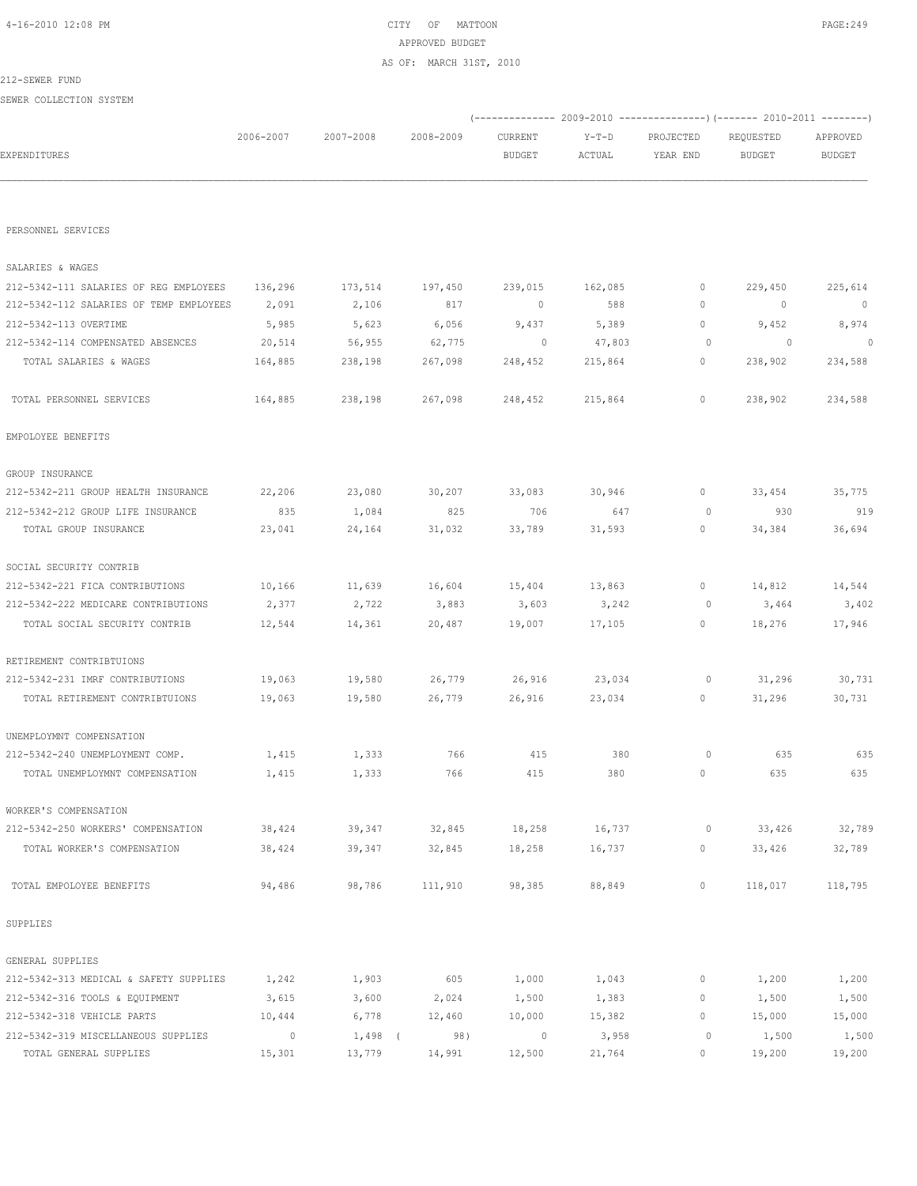## 4-16-2010 12:08 PM CITY OF MATTOON PAGE:249 APPROVED BUDGET AS OF: MARCH 31ST, 2010

#### 212-SEWER FUND

SEWER COLLECTION SYSTEM

|                                         |                          |           |           | (-------------- 2009-2010 ----------------) (------- 2010-2011 --------) |         |             |               |                |
|-----------------------------------------|--------------------------|-----------|-----------|--------------------------------------------------------------------------|---------|-------------|---------------|----------------|
|                                         | 2006-2007                | 2007-2008 | 2008-2009 | CURRENT                                                                  | $Y-T-D$ | PROJECTED   | REQUESTED     | APPROVED       |
| EXPENDITURES                            |                          |           |           | <b>BUDGET</b>                                                            | ACTUAL  | YEAR END    | <b>BUDGET</b> | BUDGET         |
|                                         |                          |           |           |                                                                          |         |             |               |                |
| PERSONNEL SERVICES                      |                          |           |           |                                                                          |         |             |               |                |
| SALARIES & WAGES                        |                          |           |           |                                                                          |         |             |               |                |
| 212-5342-111 SALARIES OF REG EMPLOYEES  | 136,296                  | 173,514   | 197,450   | 239,015                                                                  | 162,085 | 0           | 229,450       | 225,614        |
| 212-5342-112 SALARIES OF TEMP EMPLOYEES | 2,091                    | 2,106     | 817       | $\sim$ 0                                                                 | 588     | $\circ$     | $\sim$ 0      | $\overline{0}$ |
| 212-5342-113 OVERTIME                   | 5,985                    | 5,623     | 6,056     | 9,437                                                                    | 5,389   | $\circ$     | 9,452         | 8,974          |
| 212-5342-114 COMPENSATED ABSENCES       | 20,514                   | 56,955    | 62,775    | $\sim$ 0                                                                 | 47,803  | $\mathbf 0$ | $\sim$ 0      | $\circ$        |
| TOTAL SALARIES & WAGES                  | 164,885                  | 238,198   | 267,098   | 248,452                                                                  | 215,864 | 0           | 238,902       | 234,588        |
| TOTAL PERSONNEL SERVICES                | 164,885                  | 238,198   | 267,098   | 248,452                                                                  | 215,864 | 0           | 238,902       | 234,588        |
| EMPOLOYEE BENEFITS                      |                          |           |           |                                                                          |         |             |               |                |
| GROUP INSURANCE                         |                          |           |           |                                                                          |         |             |               |                |
| 212-5342-211 GROUP HEALTH INSURANCE     | 22,206                   | 23,080    | 30, 207   | 33,083                                                                   | 30,946  | $\circ$     | 33,454        | 35,775         |
| 212-5342-212 GROUP LIFE INSURANCE       | 835                      | 1,084     | 825       | 706                                                                      | 647     | $\mathbb O$ | 930           | 919            |
| TOTAL GROUP INSURANCE                   | 23,041                   | 24,164    | 31,032    | 33,789                                                                   | 31,593  | $\circ$     | 34,384        | 36,694         |
| SOCIAL SECURITY CONTRIB                 |                          |           |           |                                                                          |         |             |               |                |
| 212-5342-221 FICA CONTRIBUTIONS         | 10,166                   | 11,639    | 16,604    | 15,404                                                                   | 13,863  | $\circ$     | 14,812        | 14,544         |
| 212-5342-222 MEDICARE CONTRIBUTIONS     | 2,377                    | 2,722     | 3,883     | 3,603                                                                    | 3,242   | $\mathbf 0$ | 3,464         | 3,402          |
| TOTAL SOCIAL SECURITY CONTRIB           | 12,544                   | 14,361    | 20,487    | 19,007                                                                   | 17,105  | $\circ$     | 18,276        | 17,946         |
| RETIREMENT CONTRIBTUIONS                |                          |           |           |                                                                          |         |             |               |                |
| 212-5342-231 IMRF CONTRIBUTIONS         | 19,063                   | 19,580    | 26,779    | 26,916                                                                   | 23,034  | $\circ$     | 31,296        | 30,731         |
| TOTAL RETIREMENT CONTRIBTUIONS          | 19,063                   | 19,580    | 26,779    | 26,916                                                                   | 23,034  |             | $0 \t 31,296$ | 30,731         |
| UNEMPLOYMNT COMPENSATION                |                          |           |           |                                                                          |         |             |               |                |
| 212-5342-240 UNEMPLOYMENT COMP.         | 1,415                    | 1,333     | 766       | 415                                                                      | 380     | $\mathbf 0$ | 635           | 635            |
| TOTAL UNEMPLOYMNT COMPENSATION          | 1,415                    | 1,333     | 766       | 415                                                                      | 380     | 0           | 635           | 635            |
| WORKER'S COMPENSATION                   |                          |           |           |                                                                          |         |             |               |                |
| 212-5342-250 WORKERS' COMPENSATION      | 38,424                   | 39,347    | 32,845    | 18,258                                                                   | 16,737  | $\mathbf 0$ | 33,426        | 32,789         |
| TOTAL WORKER'S COMPENSATION             | 38,424                   | 39,347    | 32,845    | 18,258                                                                   | 16,737  | 0           | 33,426        | 32,789         |
| TOTAL EMPOLOYEE BENEFITS                | 94,486                   | 98,786    | 111,910   | 98,385                                                                   | 88,849  | 0           | 118,017       | 118,795        |
| SUPPLIES                                |                          |           |           |                                                                          |         |             |               |                |
| GENERAL SUPPLIES                        |                          |           |           |                                                                          |         |             |               |                |
| 212-5342-313 MEDICAL & SAFETY SUPPLIES  | 1,242                    | 1,903     | 605       | 1,000                                                                    | 1,043   | 0           | 1,200         | 1,200          |
| 212-5342-316 TOOLS & EQUIPMENT          | 3,615                    | 3,600     | 2,024     | 1,500                                                                    | 1,383   | $\circ$     | 1,500         | 1,500          |
| 212-5342-318 VEHICLE PARTS              | 10,444                   | 6,778     | 12,460    | 10,000                                                                   | 15,382  | 0           | 15,000        | 15,000         |
| 212-5342-319 MISCELLANEOUS SUPPLIES     | $\overline{\phantom{0}}$ | $1,498$ ( | 98)       | $\circ$                                                                  | 3,958   | $\mathbf 0$ | 1,500         | 1,500          |
| TOTAL GENERAL SUPPLIES                  | 15,301                   | 13,779    | 14,991    | 12,500                                                                   | 21,764  | 0           | 19,200        | 19,200         |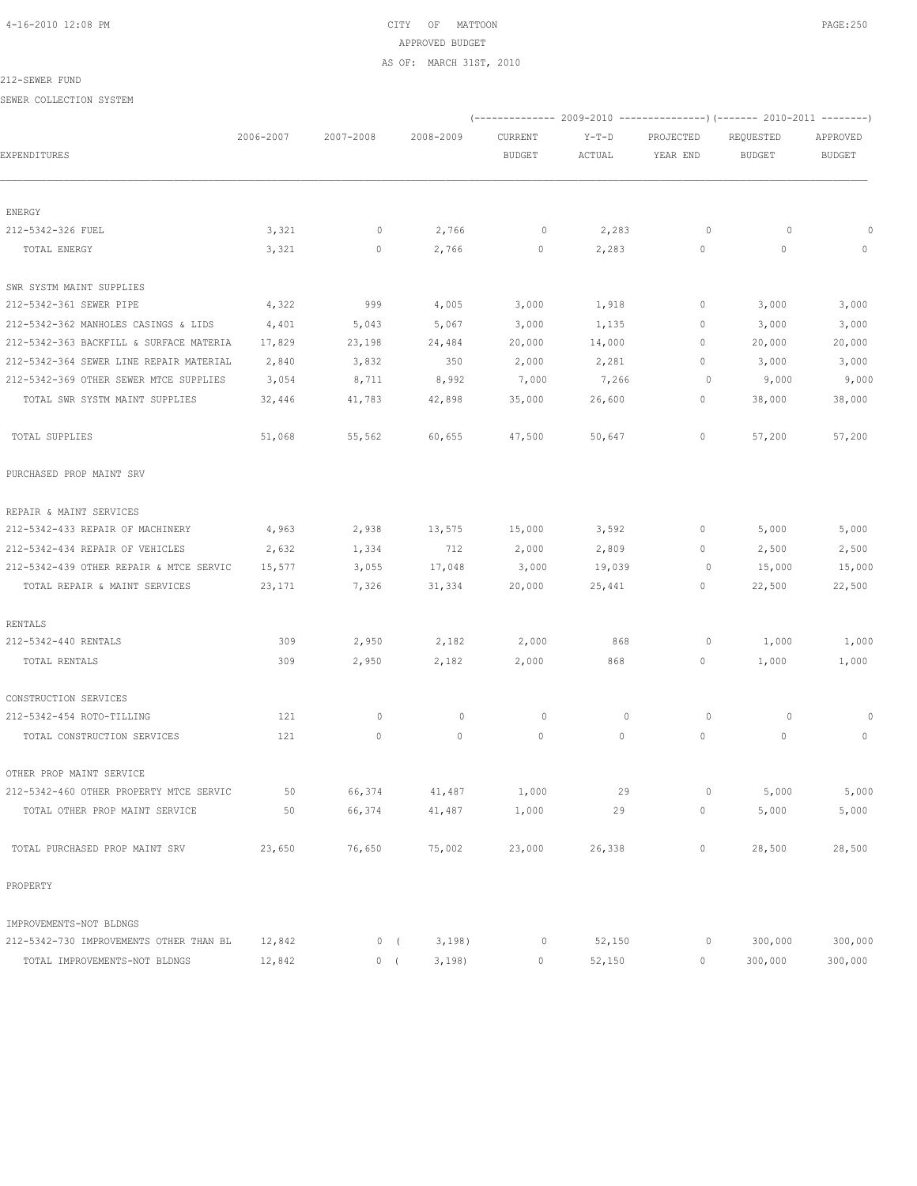## 4-16-2010 12:08 PM CITY OF MATTOON PAGE:250 APPROVED BUDGET AS OF: MARCH 31ST, 2010

#### 212-SEWER FUND

#### SEWER COLLECTION SYSTEM

|                                         |           | 2007-2008   |           |               |              | (-------------- 2009-2010 ----------------) (------- 2010-2011 --------) |               |               |
|-----------------------------------------|-----------|-------------|-----------|---------------|--------------|--------------------------------------------------------------------------|---------------|---------------|
| EXPENDITURES                            | 2006-2007 |             | 2008-2009 | CURRENT       | $Y-T-D$      | PROJECTED                                                                | REQUESTED     | APPROVED      |
|                                         |           |             |           | <b>BUDGET</b> | ACTUAL       | YEAR END                                                                 | <b>BUDGET</b> | <b>BUDGET</b> |
|                                         |           |             |           |               |              |                                                                          |               |               |
| ENERGY                                  |           |             |           |               |              |                                                                          |               |               |
| 212-5342-326 FUEL                       | 3,321     | 0           | 2,766     | 0             | 2,283        | 0                                                                        | 0             | 0             |
| TOTAL ENERGY                            | 3,321     | 0           | 2,766     | 0             | 2,283        | 0                                                                        | 0             | 0             |
| SWR SYSTM MAINT SUPPLIES                |           |             |           |               |              |                                                                          |               |               |
| 212-5342-361 SEWER PIPE                 | 4,322     | 999         | 4,005     | 3,000         | 1,918        | 0                                                                        | 3,000         | 3,000         |
| 212-5342-362 MANHOLES CASINGS & LIDS    | 4,401     | 5,043       | 5,067     | 3,000         | 1,135        | 0                                                                        | 3,000         | 3,000         |
| 212-5342-363 BACKFILL & SURFACE MATERIA | 17,829    | 23,198      | 24,484    | 20,000        | 14,000       | 0                                                                        | 20,000        | 20,000        |
| 212-5342-364 SEWER LINE REPAIR MATERIAL | 2,840     | 3,832       | 350       | 2,000         | 2,281        | 0                                                                        | 3,000         | 3,000         |
| 212-5342-369 OTHER SEWER MTCE SUPPLIES  | 3,054     | 8,711       | 8,992     | 7,000         | 7,266        | $\circ$                                                                  | 9,000         | 9,000         |
| TOTAL SWR SYSTM MAINT SUPPLIES          | 32,446    | 41,783      | 42,898    | 35,000        | 26,600       | 0                                                                        | 38,000        | 38,000        |
| TOTAL SUPPLIES                          | 51,068    | 55,562      | 60,655    | 47,500        | 50,647       | 0                                                                        | 57,200        | 57,200        |
| PURCHASED PROP MAINT SRV                |           |             |           |               |              |                                                                          |               |               |
| REPAIR & MAINT SERVICES                 |           |             |           |               |              |                                                                          |               |               |
| 212-5342-433 REPAIR OF MACHINERY        | 4,963     | 2,938       | 13,575    | 15,000        | 3,592        | 0                                                                        | 5,000         | 5,000         |
| 212-5342-434 REPAIR OF VEHICLES         | 2,632     | 1,334       | 712       | 2,000         | 2,809        | 0                                                                        | 2,500         | 2,500         |
| 212-5342-439 OTHER REPAIR & MTCE SERVIC | 15,577    | 3,055       | 17,048    | 3,000         | 19,039       | 0                                                                        | 15,000        | 15,000        |
| TOTAL REPAIR & MAINT SERVICES           | 23,171    | 7,326       | 31,334    | 20,000        | 25,441       | 0                                                                        | 22,500        | 22,500        |
| RENTALS                                 |           |             |           |               |              |                                                                          |               |               |
| 212-5342-440 RENTALS                    | 309       | 2,950       | 2,182     | 2,000         | 868          | 0                                                                        | 1,000         | 1,000         |
| TOTAL RENTALS                           | 309       | 2,950       | 2,182     | 2,000         | 868          | $\circ$                                                                  | 1,000         | 1,000         |
| CONSTRUCTION SERVICES                   |           |             |           |               |              |                                                                          |               |               |
| 212-5342-454 ROTO-TILLING               | 121       | 0           | 0         | 0             | $\mathbf{0}$ | 0                                                                        | 0             | 0             |
| TOTAL CONSTRUCTION SERVICES             | 121       | $\mathbb O$ | $\circ$   | $\circ$       | 0            | $\mathbb O$                                                              | $\mathbb O$   | 0             |
| OTHER PROP MAINT SERVICE                |           |             |           |               |              |                                                                          |               |               |
| 212-5342-460 OTHER PROPERTY MTCE SERVIC | 50        | 66,374      | 41,487    | 1,000         | 29           | $\mathbb O$                                                              | 5,000         | 5,000         |
| TOTAL OTHER PROP MAINT SERVICE          | 50        | 66,374      | 41,487    | 1,000         | 29           | 0                                                                        | 5,000         | 5,000         |
| TOTAL PURCHASED PROP MAINT SRV          | 23,650    | 76,650      | 75,002    | 23,000        | 26,338       | 0                                                                        | 28,500        | 28,500        |
| PROPERTY                                |           |             |           |               |              |                                                                          |               |               |
| IMPROVEMENTS-NOT BLDNGS                 |           |             |           |               |              |                                                                          |               |               |
| 212-5342-730 IMPROVEMENTS OTHER THAN BL | 12,842    | $0$ (       | 3,198)    | 0             | 52,150       | 0                                                                        | 300,000       | 300,000       |
| TOTAL IMPROVEMENTS-NOT BLDNGS           | 12,842    | 0(          | 3,198)    | $\mathsf{O}$  | 52,150       | $\circ$                                                                  | 300,000       | 300,000       |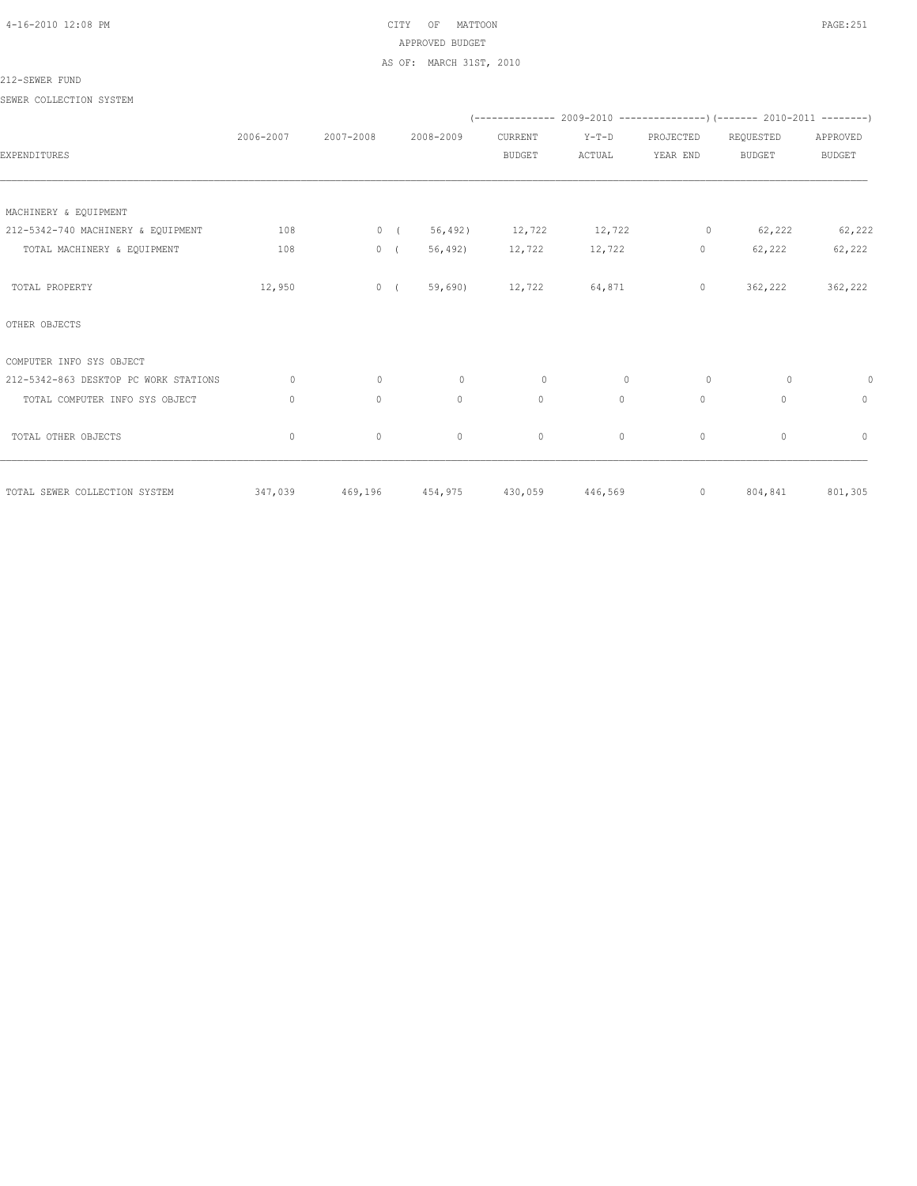## 4-16-2010 12:08 PM CITY OF MATTOON PAGE:251 APPROVED BUDGET AS OF: MARCH 31ST, 2010

#### 212-SEWER FUND

#### SEWER COLLECTION SYSTEM

|                                       |              |              | (-------------- 2009-2010 ----------------) (------- 2010-2011 --------) |               |              |              |               |               |  |  |
|---------------------------------------|--------------|--------------|--------------------------------------------------------------------------|---------------|--------------|--------------|---------------|---------------|--|--|
|                                       | 2006-2007    | 2007-2008    | 2008-2009                                                                | CURRENT       | $Y-T-D$      | PROJECTED    | REQUESTED     | APPROVED      |  |  |
| EXPENDITURES                          |              |              |                                                                          | <b>BUDGET</b> | ACTUAL       | YEAR END     | <b>BUDGET</b> | <b>BUDGET</b> |  |  |
|                                       |              |              |                                                                          |               |              |              |               |               |  |  |
| MACHINERY & EQUIPMENT                 |              |              |                                                                          |               |              |              |               |               |  |  |
| 212-5342-740 MACHINERY & EQUIPMENT    | 108          | 0(           | 56, 492)                                                                 | 12,722        | 12,722       | $\circ$      | 62,222        | 62,222        |  |  |
| TOTAL MACHINERY & EQUIPMENT           | 108          | 0(           | 56,492)                                                                  | 12,722        | 12,722       | $\circ$      | 62,222        | 62,222        |  |  |
| TOTAL PROPERTY                        | 12,950       | 0(           | 59,690)                                                                  | 12,722        | 64,871       | $\circ$      | 362,222       | 362,222       |  |  |
| OTHER OBJECTS                         |              |              |                                                                          |               |              |              |               |               |  |  |
| COMPUTER INFO SYS OBJECT              |              |              |                                                                          |               |              |              |               |               |  |  |
| 212-5342-863 DESKTOP PC WORK STATIONS | $\circ$      | $\circ$      | $\circ$                                                                  | 0             | $\mathbf{0}$ | $\mathbf{0}$ | $\mathbf{0}$  | $\mathbf 0$   |  |  |
| TOTAL COMPUTER INFO SYS OBJECT        | $\mathbf{0}$ | $\mathbf{0}$ | $\mathbf{0}$                                                             | $\mathbf{0}$  | $\circ$      | $\circ$      | $\circ$       | $\circ$       |  |  |
| TOTAL OTHER OBJECTS                   | $\circ$      | $\circ$      | $\mathbf{0}$                                                             | $\circ$       | $\circ$      | $\circ$      | $\circ$       | $\mathbf{0}$  |  |  |
| TOTAL SEWER COLLECTION SYSTEM         | 347,039      | 469,196      | 454,975                                                                  | 430,059       | 446,569      | $\circ$      | 804,841       | 801,305       |  |  |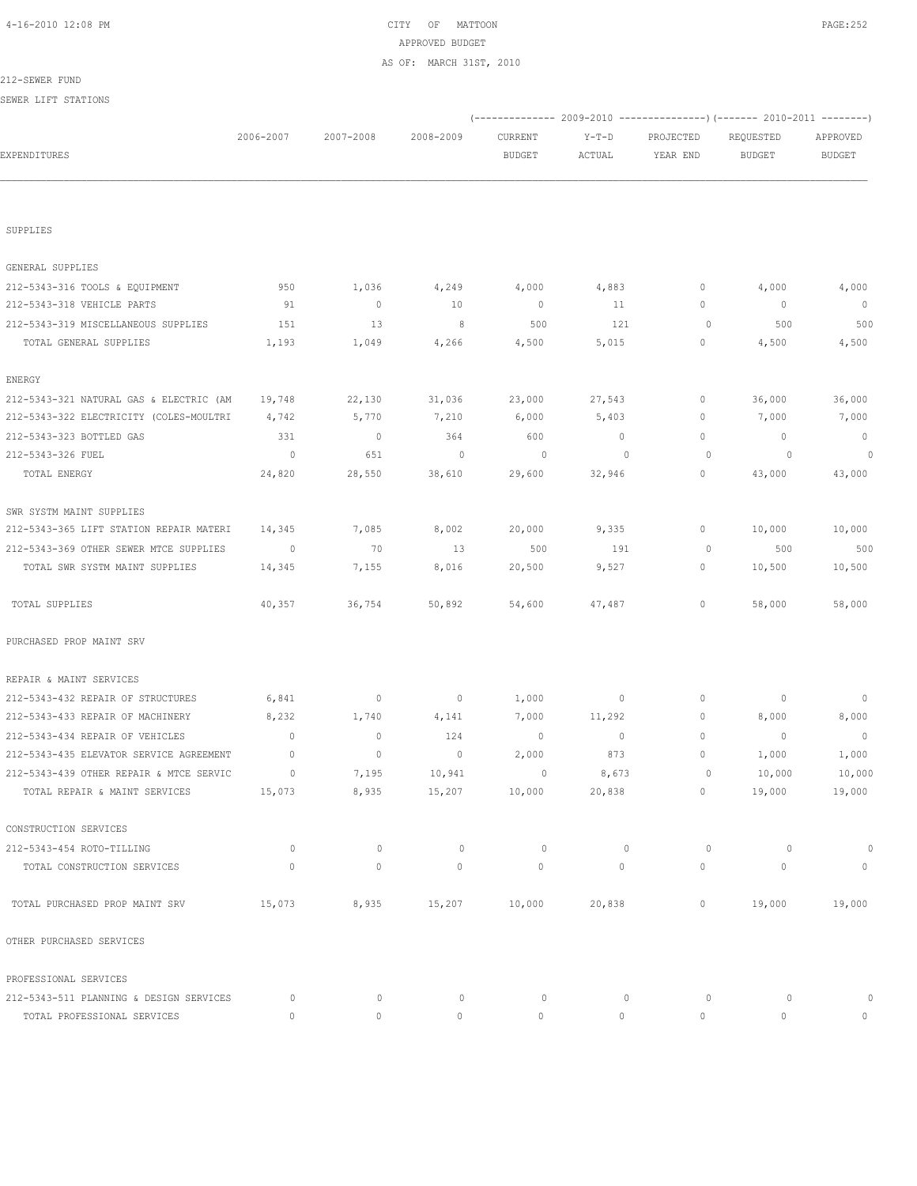| SUPPLIES                                |                          |                          |                          |             |             |              |                          |                |
|-----------------------------------------|--------------------------|--------------------------|--------------------------|-------------|-------------|--------------|--------------------------|----------------|
| GENERAL SUPPLIES                        |                          |                          |                          |             |             |              |                          |                |
| 212-5343-316 TOOLS & EQUIPMENT          | 950                      | 1,036                    | 4,249                    | 4,000       | 4,883       | $\mathbb O$  | 4,000                    | 4,000          |
| 212-5343-318 VEHICLE PARTS              | 91                       | $\circ$                  | 10                       | $\circ$     | - 11        | $\circ$      | $\overline{\phantom{0}}$ | $\overline{0}$ |
| 212-5343-319 MISCELLANEOUS SUPPLIES     | 151                      | 13                       | 8                        | 500         | 121         | $\mathbf{0}$ | 500                      | 500            |
| TOTAL GENERAL SUPPLIES                  | 1,193                    | 1,049                    | 4,266                    | 4,500       | 5,015       | 0            | 4,500                    | 4,500          |
| ENERGY                                  |                          |                          |                          |             |             |              |                          |                |
| 212-5343-321 NATURAL GAS & ELECTRIC (AM | 19,748                   | 22,130                   | 31,036                   | 23,000      | 27,543      | 0            | 36,000                   | 36,000         |
| 212-5343-322 ELECTRICITY (COLES-MOULTRI | 4,742                    | 5,770                    | 7,210                    | 6,000       | 5,403       | $\circ$      | 7,000                    | 7,000          |
| 212-5343-323 BOTTLED GAS                | 331                      | $\overline{\phantom{0}}$ | 364                      | 600         | $\circ$     | 0            | $\circ$                  | $\overline{0}$ |
| 212-5343-326 FUEL                       | $\overline{\phantom{0}}$ | 651                      | $\overline{\phantom{0}}$ | $\circ$     | $\mathbf 0$ | $\mathbf{0}$ | $\circ$                  | $\circ$        |
| TOTAL ENERGY                            | 24,820                   | 28,550                   | 38,610                   | 29,600      | 32,946      | 0            | 43,000                   | 43,000         |
| SWR SYSTM MAINT SUPPLIES                |                          |                          |                          |             |             |              |                          |                |
| 212-5343-365 LIFT STATION REPAIR MATERI | 14,345                   | 7,085                    | 8,002                    | 20,000      | 9,335       | 0            | 10,000                   | 10,000         |
| 212-5343-369 OTHER SEWER MTCE SUPPLIES  | $\sim$ 0                 | 70                       | 13                       | 500         | 191         | $\mathbf{0}$ | 500                      | 500            |
| TOTAL SWR SYSTM MAINT SUPPLIES          | 14,345                   | 7,155                    | 8,016                    | 20,500      | 9,527       | 0            | 10,500                   | 10,500         |
| TOTAL SUPPLIES                          | 40,357                   | 36,754                   | 50,892                   | 54,600      | 47,487      | 0            | 58,000                   | 58,000         |
| PURCHASED PROP MAINT SRV                |                          |                          |                          |             |             |              |                          |                |
| REPAIR & MAINT SERVICES                 |                          |                          |                          |             |             |              |                          |                |
| 212-5343-432 REPAIR OF STRUCTURES       | 6,841                    | $\mathbf 0$              | $\overline{\phantom{0}}$ | 1,000       | 0           | $\circ$      | $\sim$ 0                 | $\mathbf 0$    |
| 212-5343-433 REPAIR OF MACHINERY        | 8,232                    | 1,740                    | 4,141                    | 7,000       | 11,292      | 0            | 8,000                    | 8,000          |
| 212-5343-434 REPAIR OF VEHICLES         | $\mathbf{0}$             | $\circ$                  | 124                      | $\mathbf 0$ | $\circ$     | $\circ$      | $\mathbf{0}$             | $\overline{0}$ |
| 212-5343-435 ELEVATOR SERVICE AGREEMENT | $\mathbf{0}$             | $\circ$                  | $\overline{0}$           | 2,000       | 873         | 0            | 1,000                    | 1,000          |
| 212-5343-439 OTHER REPAIR & MTCE SERVIC | 0                        | 7,195                    | 10,941                   | $\circ$     | 8,673       | $\mathbf{0}$ | 10,000                   | 10,000         |
| TOTAL REPAIR & MAINT SERVICES           | 15,073                   | 8,935                    | 15,207                   | 10,000      | 20,838      | 0            | 19,000                   | 19,000         |
| CONSTRUCTION SERVICES                   |                          |                          |                          |             |             |              |                          |                |
| 212-5343-454 ROTO-TILLING               | 0                        | 0                        | $\circ$                  | 0           | $\mathbf 0$ | $\circ$      | $\mathbb O$              | 0              |
| TOTAL CONSTRUCTION SERVICES             | $\circ$                  | $\mathbf{0}$             | $\circ$                  | $\circ$     | $\circ$     | $\circ$      | $\Omega$                 | $\Omega$       |
| TOTAL PURCHASED PROP MAINT SRV          | 15,073                   | 8,935                    | 15,207                   | 10,000      | 20,838      | $\circ$      | 19,000                   | 19,000         |
| OTHER PURCHASED SERVICES                |                          |                          |                          |             |             |              |                          |                |
| PROFESSIONAL SERVICES                   |                          |                          |                          |             |             |              |                          |                |
| 212-5343-511 PLANNING & DESIGN SERVICES | 0                        | 0                        | $\circ$                  | 0           | 0           | $\mathbf{0}$ | $\mathbf 0$              | 0              |
| TOTAL PROFESSIONAL SERVICES             | 0                        | 0                        | 0                        | 0           | $\circ$     | 0            | $\circ$                  | 0              |

### 212-SEWER FUND SEWER LIFT STATIONS

### 4-16-2010 12:08 PM CITY OF MATTOON PAGE:252 APPROVED BUDGET AS OF: MARCH 31ST, 2010

EXPENDITURES BUDGET ACTUAL YEAR END BUDGET BUDGET \_\_\_\_\_\_\_\_\_\_\_\_\_\_\_\_\_\_\_\_\_\_\_\_\_\_\_\_\_\_\_\_\_\_\_\_\_\_\_\_\_\_\_\_\_\_\_\_\_\_\_\_\_\_\_\_\_\_\_\_\_\_\_\_\_\_\_\_\_\_\_\_\_\_\_\_\_\_\_\_\_\_\_\_\_\_\_\_\_\_\_\_\_\_\_\_\_\_\_\_\_\_\_\_\_\_\_\_\_\_\_\_\_\_\_\_\_\_\_\_\_\_\_\_\_\_\_\_\_\_\_\_\_\_\_\_\_\_\_\_\_\_\_\_\_\_\_\_\_\_

2006-2007 2007-2008 2008-2009 CURRENT Y-T-D PROJECTED REQUESTED APPROVED

(-------------- 2009-2010 ---------------)(------- 2010-2011 --------)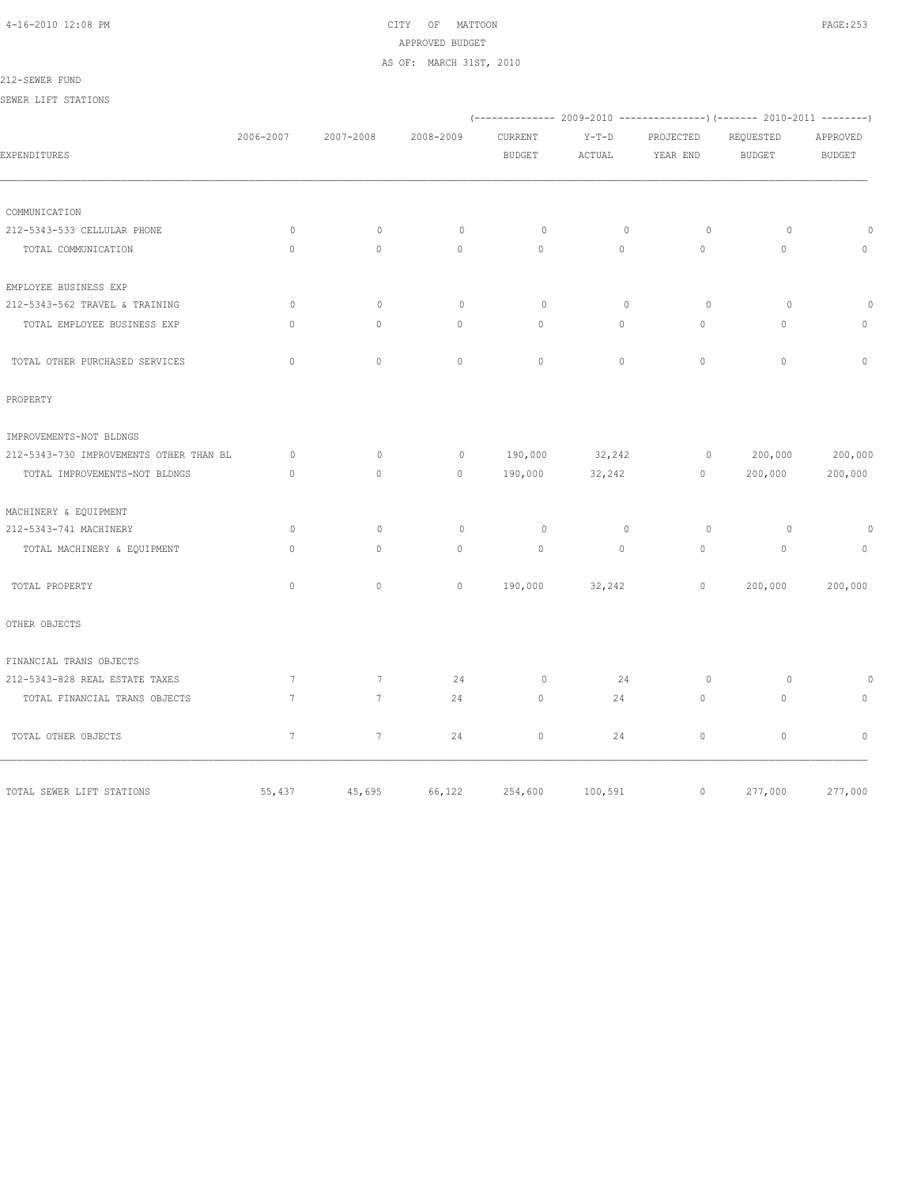# 4-16-2010 12:08 PM CITY OF MATTOON PAGE:253 APPROVED BUDGET AS OF: MARCH 31ST, 2010

### 212-SEWER FUND

### SEWER LIFT STATIONS

|                                                                                                                                                                                                                                                                                                                                       |                 |                 |                |               |          |                | (-------------- 2009-2010 -------------------) (------- 2010-2011 ---------) |               |
|---------------------------------------------------------------------------------------------------------------------------------------------------------------------------------------------------------------------------------------------------------------------------------------------------------------------------------------|-----------------|-----------------|----------------|---------------|----------|----------------|------------------------------------------------------------------------------|---------------|
|                                                                                                                                                                                                                                                                                                                                       | 2006-2007       | 2007-2008       | 2008-2009      | CURRENT       | $Y-T-D$  | PROJECTED      | REQUESTED                                                                    | APPROVED      |
| EXPENDITURES<br>TOTAL COMMUNICATION<br>TOTAL EMPLOYEE BUSINESS EXP<br>TOTAL OTHER PURCHASED SERVICES<br>PROPERTY<br>IMPROVEMENTS-NOT BLDNGS<br>TOTAL IMPROVEMENTS-NOT BLDNGS<br>212-5343-741 MACHINERY<br>TOTAL MACHINERY & EQUIPMENT<br>TOTAL PROPERTY<br>OTHER OBJECTS<br>FINANCIAL TRANS OBJECTS<br>212-5343-828 REAL ESTATE TAXES |                 |                 |                | <b>BUDGET</b> | ACTUAL   | YEAR END       | BUDGET                                                                       | <b>BUDGET</b> |
| COMMUNICATION                                                                                                                                                                                                                                                                                                                         |                 |                 |                |               |          |                |                                                                              |               |
| 212-5343-533 CELLULAR PHONE                                                                                                                                                                                                                                                                                                           | $\circ$         | $\circ$         | $\circ$        | $\circ$       | $\circ$  | $\circ$        | $\mathbb O$                                                                  | $\Omega$      |
|                                                                                                                                                                                                                                                                                                                                       | $\mathbf{0}$    | $\circ$         | $\circ$        | $\mathbf{0}$  | $\circ$  | $\circ$        | $\circ$                                                                      | $\mathbb O$   |
| EMPLOYEE BUSINESS EXP                                                                                                                                                                                                                                                                                                                 |                 |                 |                |               |          |                |                                                                              |               |
| 212-5343-562 TRAVEL & TRAINING                                                                                                                                                                                                                                                                                                        | $\circ$         | $\circ$         | $\circ$        | $\circ$       | $\circ$  | $\circ$        | $\mathbf{0}$                                                                 | $\Omega$      |
|                                                                                                                                                                                                                                                                                                                                       | $\Omega$        | $\Omega$        | $\mathbf{0}$   | $\Omega$      | $\Omega$ | $\Omega$       | $\circ$                                                                      | $\circ$       |
|                                                                                                                                                                                                                                                                                                                                       | $\Omega$        | $\circ$         | $\circ$        | $\circ$       | $\Omega$ | $\circ$        | $\Omega$                                                                     | $\circ$       |
|                                                                                                                                                                                                                                                                                                                                       |                 |                 |                |               |          |                |                                                                              |               |
|                                                                                                                                                                                                                                                                                                                                       |                 |                 |                |               |          |                |                                                                              |               |
| 212-5343-730 IMPROVEMENTS OTHER THAN BL                                                                                                                                                                                                                                                                                               | $\circ$         | $\circ$         | $\overline{0}$ | 190,000       | 32,242   |                | $0 \t 200,000$                                                               | 200,000       |
|                                                                                                                                                                                                                                                                                                                                       | $\circ$         | $\circ$         | $\circ$        | 190,000       | 32,242   |                | 200,000<br>$0 \qquad \qquad$                                                 | 200,000       |
| MACHINERY & EQUIPMENT                                                                                                                                                                                                                                                                                                                 |                 |                 |                |               |          |                |                                                                              |               |
|                                                                                                                                                                                                                                                                                                                                       | $\Omega$        | $\Omega$        | $\circ$        | $\circ$       | $\circ$  | $\mathbf{0}$   | $\circ$                                                                      | $\mathbb O$   |
|                                                                                                                                                                                                                                                                                                                                       | $\Omega$        | $\mathbf{0}$    | $\circ$        | $\circ$       | $\circ$  | $\Omega$       | $\circ$                                                                      | $\circ$       |
|                                                                                                                                                                                                                                                                                                                                       | $\Omega$        | $\mathbf{0}$    | $\circ$        | 190,000       | 32,242   | $\circ$        | 200,000                                                                      | 200,000       |
|                                                                                                                                                                                                                                                                                                                                       |                 |                 |                |               |          |                |                                                                              |               |
|                                                                                                                                                                                                                                                                                                                                       |                 |                 |                |               |          |                |                                                                              |               |
|                                                                                                                                                                                                                                                                                                                                       | $7\phantom{.0}$ | $7^{\circ}$     | 24             | $\circ$       | 24       | $\mathbf{0}$   | $\mathbf{0}$                                                                 | $\mathbf{0}$  |
| TOTAL FINANCIAL TRANS OBJECTS                                                                                                                                                                                                                                                                                                         | $7\phantom{.0}$ | 7               | 24             | $\circ$       | 24       | $\circ$        | $\circ$                                                                      | $\mathbb O$   |
| TOTAL OTHER OBJECTS                                                                                                                                                                                                                                                                                                                   | $7\phantom{.0}$ | $7\phantom{.0}$ | 24             | $\circ$       | 24       | $\circ$        | $\mathbf{0}$                                                                 | $\mathbf{0}$  |
| TOTAL SEWER LIFT STATIONS                                                                                                                                                                                                                                                                                                             | 55,437          | 45,695          | 66,122         | 254,600       | 100,591  | $\overline{0}$ | 277,000                                                                      | 277,000       |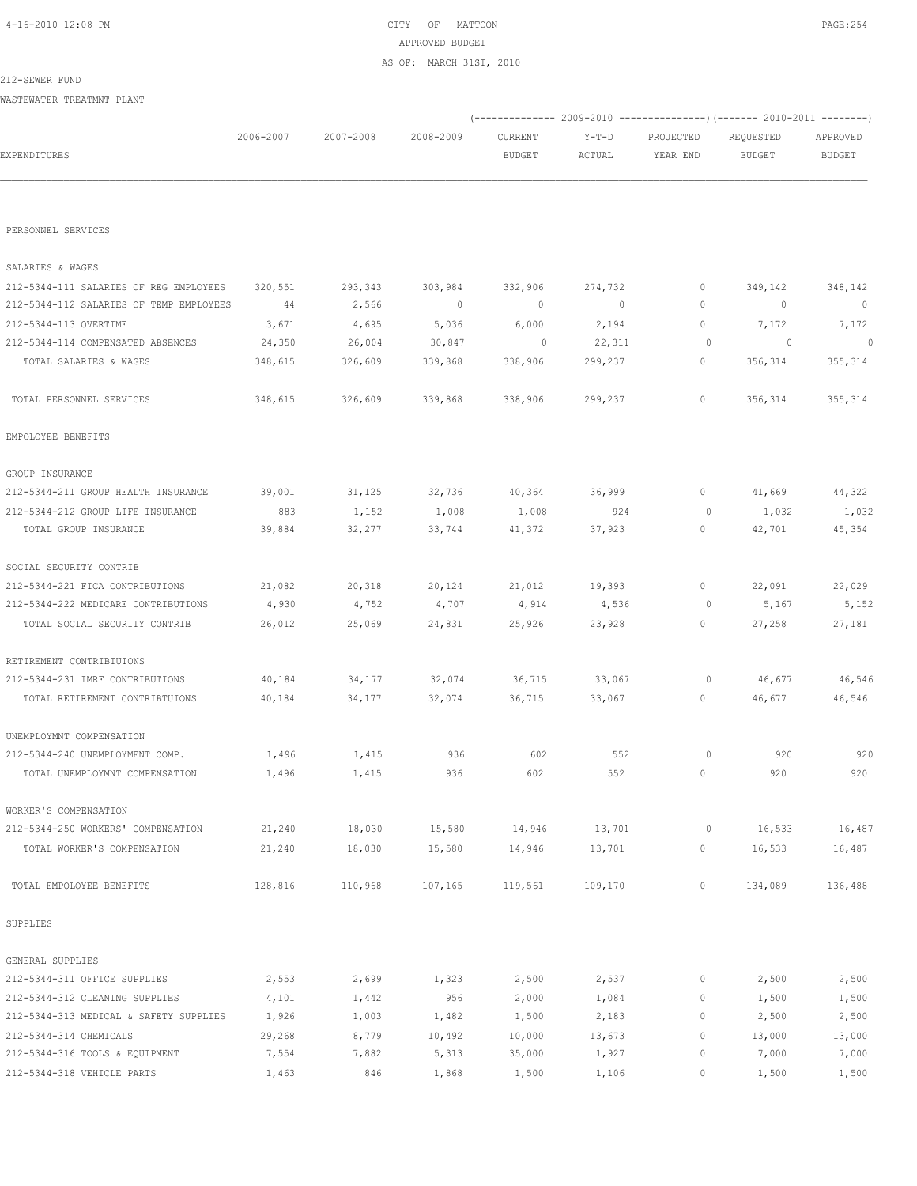# 4-16-2010 12:08 PM CITY OF MATTOON PAGE:254 APPROVED BUDGET AS OF: MARCH 31ST, 2010

### 212-SEWER FUND

WASTEWATER TREATMNT PLANT

|                                         |           |           |           |               |          |             | (-------------- 2009-2010 ---------------) (------ 2010-2011 --------) |                |
|-----------------------------------------|-----------|-----------|-----------|---------------|----------|-------------|------------------------------------------------------------------------|----------------|
|                                         | 2006-2007 | 2007-2008 | 2008-2009 | CURRENT       | $Y-T-D$  | PROJECTED   | REQUESTED                                                              | APPROVED       |
| EXPENDITURES                            |           |           |           | <b>BUDGET</b> | ACTUAL   | YEAR END    | BUDGET                                                                 | BUDGET         |
|                                         |           |           |           |               |          |             |                                                                        |                |
| PERSONNEL SERVICES                      |           |           |           |               |          |             |                                                                        |                |
| SALARIES & WAGES                        |           |           |           |               |          |             |                                                                        |                |
| 212-5344-111 SALARIES OF REG EMPLOYEES  | 320,551   | 293,343   | 303,984   | 332,906       | 274,732  | 0           | 349,142                                                                | 348,142        |
| 212-5344-112 SALARIES OF TEMP EMPLOYEES | 44        | 2,566     | $\sim$ 0  | $\sim$ 0      | $\sim$ 0 | 0           | $\sim$ 0                                                               | $\overline{0}$ |
| 212-5344-113 OVERTIME                   | 3,671     | 4,695     | 5,036     | 6,000         | 2,194    | $\circ$     | 7,172                                                                  | 7,172          |
| 212-5344-114 COMPENSATED ABSENCES       | 24,350    | 26,004    | 30,847    | $\sim$ 0      | 22,311   | $\mathbf 0$ | $\sim$ 0                                                               | $\mathbf 0$    |
| TOTAL SALARIES & WAGES                  | 348,615   | 326,609   | 339,868   | 338,906       | 299,237  | 0           | 356,314                                                                | 355,314        |
| TOTAL PERSONNEL SERVICES                | 348,615   | 326,609   | 339,868   | 338,906       | 299,237  | 0           | 356,314                                                                | 355, 314       |
| EMPOLOYEE BENEFITS                      |           |           |           |               |          |             |                                                                        |                |
| GROUP INSURANCE                         |           |           |           |               |          |             |                                                                        |                |
| 212-5344-211 GROUP HEALTH INSURANCE     | 39,001    | 31,125    | 32,736    | 40,364        | 36,999   | $\circ$     | 41,669                                                                 | 44,322         |
| 212-5344-212 GROUP LIFE INSURANCE       | 883       | 1,152     | 1,008     | 1,008         | 924      | 0           | 1,032                                                                  | 1,032          |
| TOTAL GROUP INSURANCE                   | 39,884    | 32,277    | 33,744    | 41,372        | 37,923   | $\circ$     | 42,701                                                                 | 45,354         |
| SOCIAL SECURITY CONTRIB                 |           |           |           |               |          |             |                                                                        |                |
| 212-5344-221 FICA CONTRIBUTIONS         | 21,082    | 20,318    | 20,124    | 21,012        | 19,393   | $\circ$     | 22,091                                                                 | 22,029         |
| 212-5344-222 MEDICARE CONTRIBUTIONS     | 4,930     | 4,752     | 4,707     | 4,914         | 4,536    | 0           | 5,167                                                                  | 5,152          |
| TOTAL SOCIAL SECURITY CONTRIB           | 26,012    | 25,069    | 24,831    | 25,926        | 23,928   | 0           | 27,258                                                                 | 27,181         |
| RETIREMENT CONTRIBTUIONS                |           |           |           |               |          |             |                                                                        |                |
| 212-5344-231 IMRF CONTRIBUTIONS         | 40,184    | 34,177    | 32,074    | 36,715        | 33,067   | $\circ$     | 46,677                                                                 | 46,546         |
| TOTAL RETIREMENT CONTRIBTUIONS          | 40,184    | 34,177    | 32,074    | 36,715        | 33,067   | $\circ$     | 46,677                                                                 | 46,546         |
| UNEMPLOYMNT COMPENSATION                |           |           |           |               |          |             |                                                                        |                |
| 212-5344-240 UNEMPLOYMENT COMP.         | 1,496     | 1,415     | 936       | 602           | 552      | $\mathbf 0$ | 920                                                                    | 920            |
| TOTAL UNEMPLOYMNT COMPENSATION          | 1,496     | 1,415     | 936       | 602           | 552      | 0           | 920                                                                    | 920            |
| WORKER'S COMPENSATION                   |           |           |           |               |          |             |                                                                        |                |
| 212-5344-250 WORKERS' COMPENSATION      | 21,240    | 18,030    | 15,580    | 14,946        | 13,701   | $\mathbf 0$ | 16,533                                                                 | 16,487         |
| TOTAL WORKER'S COMPENSATION             | 21,240    | 18,030    | 15,580    | 14,946        | 13,701   | 0           | 16,533                                                                 | 16,487         |
| TOTAL EMPOLOYEE BENEFITS                | 128,816   | 110,968   | 107,165   | 119,561       | 109,170  | 0           | 134,089                                                                | 136,488        |
| SUPPLIES                                |           |           |           |               |          |             |                                                                        |                |
| GENERAL SUPPLIES                        |           |           |           |               |          |             |                                                                        |                |
| 212-5344-311 OFFICE SUPPLIES            | 2,553     | 2,699     | 1,323     | 2,500         | 2,537    | 0           | 2,500                                                                  | 2,500          |
| 212-5344-312 CLEANING SUPPLIES          | 4,101     | 1,442     | 956       | 2,000         | 1,084    | 0           | 1,500                                                                  | 1,500          |
| 212-5344-313 MEDICAL & SAFETY SUPPLIES  | 1,926     | 1,003     | 1,482     | 1,500         | 2,183    | 0           | 2,500                                                                  | 2,500          |
| 212-5344-314 CHEMICALS                  | 29,268    | 8,779     | 10,492    | 10,000        | 13,673   | 0           | 13,000                                                                 | 13,000         |
| 212-5344-316 TOOLS & EQUIPMENT          | 7,554     | 7,882     | 5,313     | 35,000        | 1,927    | 0           | 7,000                                                                  | 7,000          |
| 212-5344-318 VEHICLE PARTS              | 1,463     | 846       | 1,868     | 1,500         | 1,106    | 0           | 1,500                                                                  | 1,500          |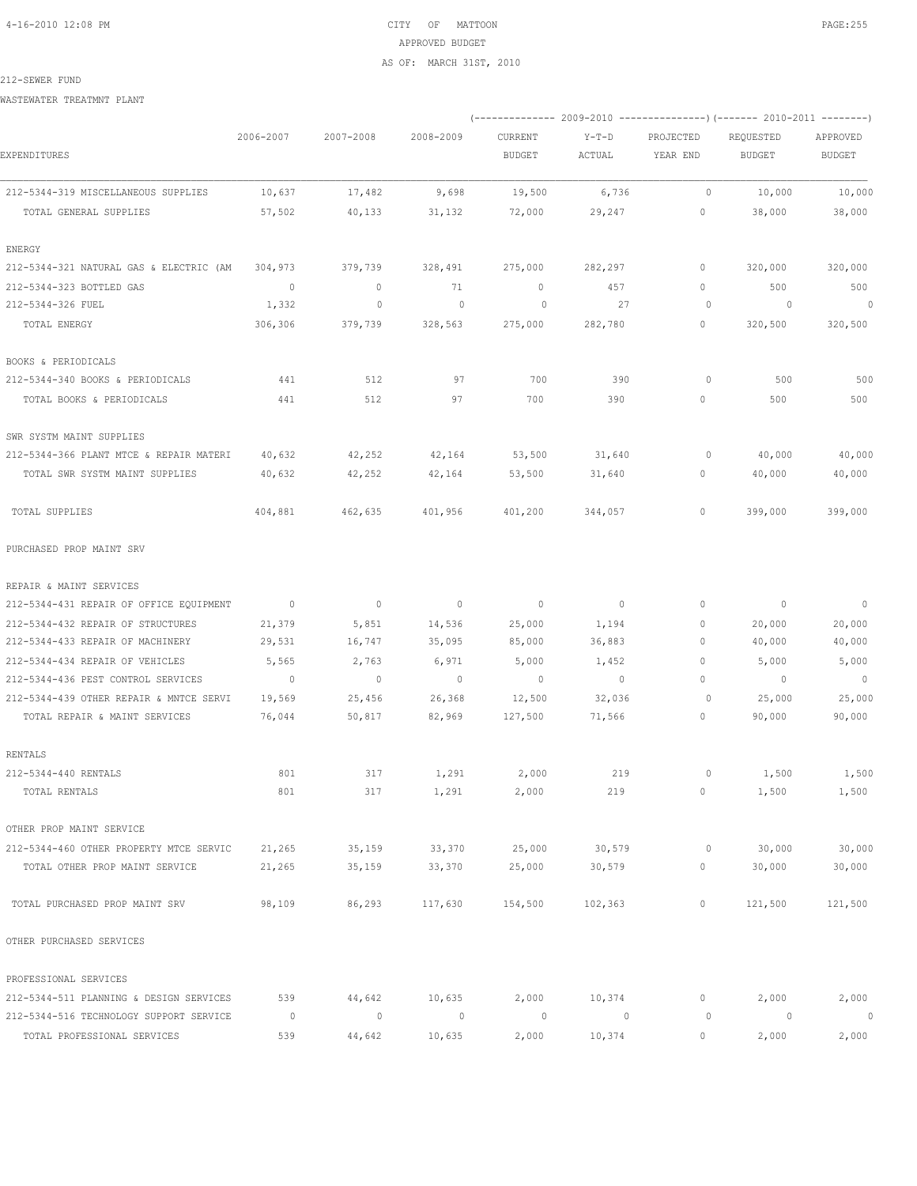# 4-16-2010 12:08 PM CITY OF MATTOON PAGE:255 APPROVED BUDGET AS OF: MARCH 31ST, 2010

### 212-SEWER FUND

### WASTEWATER TREATMNT PLANT

| EXPENDITURES                            | 2006-2007      | 2007-2008      | 2008-2009      | CURRENT<br><b>BUDGET</b> | $Y-T-D$<br>ACTUAL        | PROJECTED<br>YEAR END | REQUESTED<br><b>BUDGET</b> | APPROVED<br><b>BUDGET</b> |
|-----------------------------------------|----------------|----------------|----------------|--------------------------|--------------------------|-----------------------|----------------------------|---------------------------|
| 212-5344-319 MISCELLANEOUS SUPPLIES     | 10,637         | 17,482         | 9,698          | 19,500                   | 6,736                    | $\mathbf 0$           | 10,000                     | 10,000                    |
| TOTAL GENERAL SUPPLIES                  | 57,502         | 40,133         | 31,132         | 72,000                   | 29,247                   | 0                     | 38,000                     | 38,000                    |
| ENERGY                                  |                |                |                |                          |                          |                       |                            |                           |
| 212-5344-321 NATURAL GAS & ELECTRIC (AM | 304,973        | 379,739        | 328,491        | 275,000                  | 282,297                  | 0                     | 320,000                    | 320,000                   |
| 212-5344-323 BOTTLED GAS                | $\overline{0}$ | $\circ$        | 71             | $\mathbb O$              | 457                      | $\circ$               | 500                        | 500                       |
| 212-5344-326 FUEL                       | 1,332          | $\mathbf 0$    | $\circ$        | $\circ$                  | 27                       | $\mathbf 0$           | $\overline{0}$             | $\mathbf 0$               |
| TOTAL ENERGY                            | 306,306        | 379,739        | 328,563        | 275,000                  | 282,780                  | 0                     | 320,500                    | 320,500                   |
| BOOKS & PERIODICALS                     |                |                |                |                          |                          |                       |                            |                           |
| 212-5344-340 BOOKS & PERIODICALS        | 441            | 512            | 97             | 700                      | 390                      | $\mathbf{0}$          | 500                        | 500                       |
| TOTAL BOOKS & PERIODICALS               | 441            | 512            | 97             | 700                      | 390                      | $\mathbb O$           | 500                        | 500                       |
| SWR SYSTM MAINT SUPPLIES                |                |                |                |                          |                          |                       |                            |                           |
| 212-5344-366 PLANT MTCE & REPAIR MATERI | 40,632         | 42,252         | 42,164         | 53,500                   | 31,640                   | $\mathbf{0}$          | 40,000                     | 40,000                    |
| TOTAL SWR SYSTM MAINT SUPPLIES          | 40,632         | 42,252         | 42,164         | 53,500                   | 31,640                   | 0                     | 40,000                     | 40,000                    |
| TOTAL SUPPLIES                          | 404,881        | 462,635        | 401,956        | 401,200                  | 344,057                  | 0                     | 399,000                    | 399,000                   |
| PURCHASED PROP MAINT SRV                |                |                |                |                          |                          |                       |                            |                           |
| REPAIR & MAINT SERVICES                 |                |                |                |                          |                          |                       |                            |                           |
| 212-5344-431 REPAIR OF OFFICE EQUIPMENT | $\sim$ 0       | $\overline{0}$ | $\overline{0}$ | $\circ$                  | $\circ$                  | $\circ$               | $\overline{0}$             | $\circ$                   |
| 212-5344-432 REPAIR OF STRUCTURES       | 21,379         | 5,851          | 14,536         | 25,000                   | 1,194                    | $\circ$               | 20,000                     | 20,000                    |
| 212-5344-433 REPAIR OF MACHINERY        | 29,531         | 16,747         | 35,095         | 85,000                   | 36,883                   | 0                     | 40,000                     | 40,000                    |
| 212-5344-434 REPAIR OF VEHICLES         | 5,565          | 2,763          | 6,971          | 5,000                    | 1,452                    | $\circ$               | 5,000                      | 5,000                     |
| 212-5344-436 PEST CONTROL SERVICES      | $\overline{0}$ | $\circ$        | $\circ$        | $\circ$                  | $\circ$                  | $\circ$               | $\overline{0}$             | $\circ$                   |
| 212-5344-439 OTHER REPAIR & MNTCE SERVI | 19,569         | 25,456         | 26,368         | 12,500                   | 32,036                   | $\mathbf{0}$          | 25,000                     | 25,000                    |
| TOTAL REPAIR & MAINT SERVICES           | 76,044         | 50,817         | 82,969         | 127,500                  | 71,566                   | 0                     | 90,000                     | 90,000                    |
| <b>RENTALS</b>                          |                |                |                |                          |                          |                       |                            |                           |
| 212-5344-440 RENTALS                    | 801            | 317            | 1,291          | 2,000                    | 219                      | $\mathbf 0$           | 1,500                      | 1,500                     |
| TOTAL RENTALS                           | 801            | 317            | 1,291          | 2,000                    | 219                      | 0                     | 1,500                      | 1,500                     |
| OTHER PROP MAINT SERVICE                |                |                |                |                          |                          |                       |                            |                           |
| 212-5344-460 OTHER PROPERTY MTCE SERVIC | 21,265         | 35,159         | 33,370         | 25,000                   | 30,579                   | $\mathbf 0$           | 30,000                     | 30,000                    |
| TOTAL OTHER PROP MAINT SERVICE          | 21,265         | 35,159         | 33,370         | 25,000                   | 30,579                   | 0                     | 30,000                     | 30,000                    |
| TOTAL PURCHASED PROP MAINT SRV          | 98,109         | 86,293         | 117,630        | 154,500                  | 102,363                  | 0                     | 121,500                    | 121,500                   |
| OTHER PURCHASED SERVICES                |                |                |                |                          |                          |                       |                            |                           |
| PROFESSIONAL SERVICES                   |                |                |                |                          |                          |                       |                            |                           |
| 212-5344-511 PLANNING & DESIGN SERVICES | 539            | 44,642         | 10,635         | 2,000                    | 10,374                   | 0                     | 2,000                      | 2,000                     |
| 212-5344-516 TECHNOLOGY SUPPORT SERVICE | $\circ$        | $\circ$        | $\circ$        | 0                        | $\overline{\phantom{0}}$ | 0                     | $\circ$                    | $\mathbf 0$               |
| TOTAL PROFESSIONAL SERVICES             | 539            | 44,642         | 10,635         | 2,000                    | 10,374                   | 0                     | 2,000                      | 2,000                     |

(-------------- 2009-2010 ---------------)(------- 2010-2011 --------)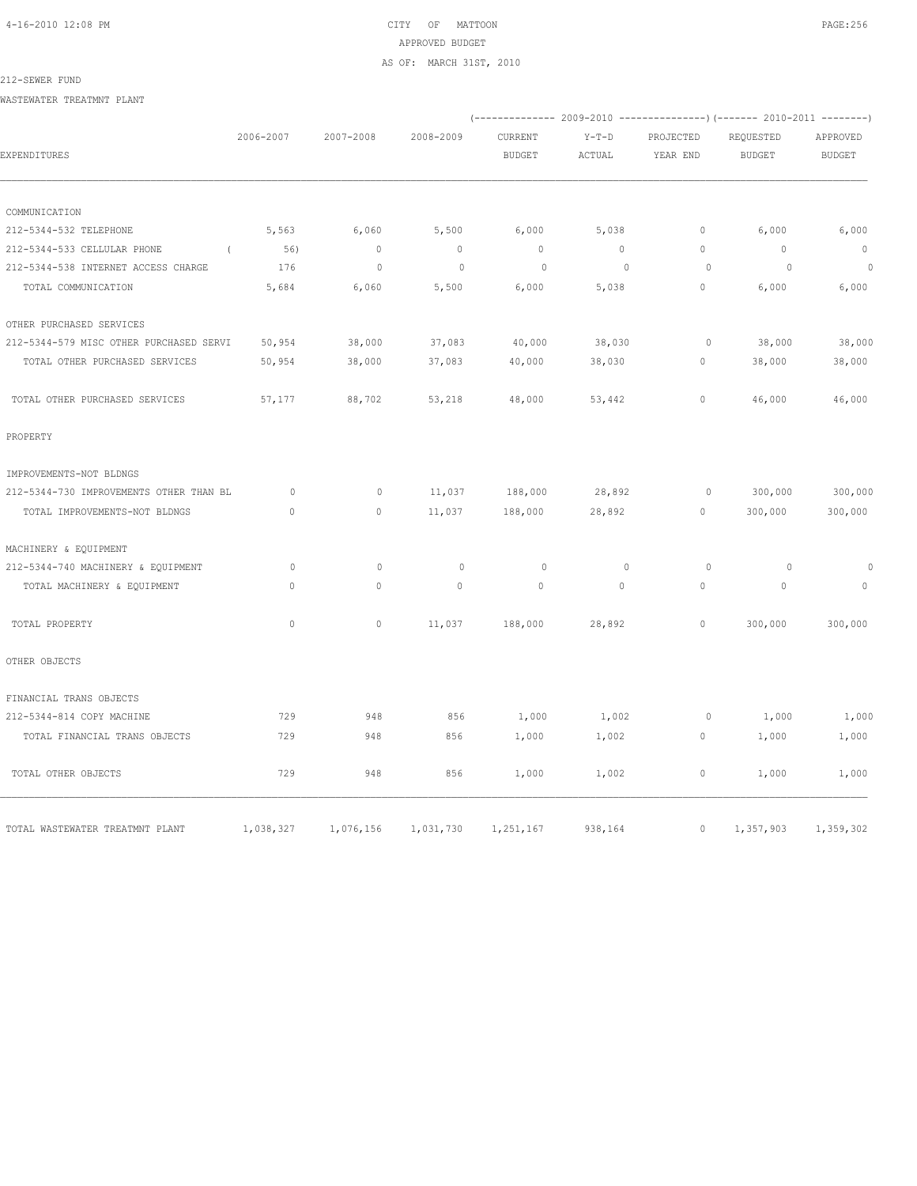# 4-16-2010 12:08 PM CITY OF MATTOON PAGE:256 APPROVED BUDGET AS OF: MARCH 31ST, 2010

### 212-SEWER FUND

WASTEWATER TREATMNT PLANT

|                                                                                                                                                                                                                                                                                                                                                                                                                     |                 |             |           |               |              |              | (-------------- 2009-2010 ---------------) (------- 2010-2011 --------) |                |
|---------------------------------------------------------------------------------------------------------------------------------------------------------------------------------------------------------------------------------------------------------------------------------------------------------------------------------------------------------------------------------------------------------------------|-----------------|-------------|-----------|---------------|--------------|--------------|-------------------------------------------------------------------------|----------------|
|                                                                                                                                                                                                                                                                                                                                                                                                                     | 2006-2007       | 2007-2008   | 2008-2009 | CURRENT       | $Y-T-D$      | PROJECTED    | REQUESTED                                                               | APPROVED       |
| EXPENDITURES<br>COMMUNICATION<br>212-5344-532 TELEPHONE<br>212-5344-533 CELLULAR PHONE<br>212-5344-538 INTERNET ACCESS CHARGE<br>TOTAL COMMUNICATION<br>OTHER PURCHASED SERVICES<br>TOTAL OTHER PURCHASED SERVICES<br>TOTAL OTHER PURCHASED SERVICES<br>PROPERTY<br>IMPROVEMENTS-NOT BLDNGS<br>TOTAL IMPROVEMENTS-NOT BLDNGS<br>212-5344-740 MACHINERY & EQUIPMENT<br>TOTAL MACHINERY & EQUIPMENT<br>TOTAL PROPERTY |                 |             |           | <b>BUDGET</b> | ACTUAL       | YEAR END     | <b>BUDGET</b>                                                           | <b>BUDGET</b>  |
|                                                                                                                                                                                                                                                                                                                                                                                                                     |                 |             |           |               |              |              |                                                                         |                |
|                                                                                                                                                                                                                                                                                                                                                                                                                     | 5,563           | 6,060       | 5,500     | 6,000         | 5,038        | 0            | 6,000                                                                   | 6,000          |
|                                                                                                                                                                                                                                                                                                                                                                                                                     | 56)<br>$\left($ | $\circ$     | $\circ$   | $\mathbf{0}$  | $\circ$      | $\circ$      | $\circ$                                                                 | $\overline{0}$ |
|                                                                                                                                                                                                                                                                                                                                                                                                                     | 176             | $\mathbf 0$ | $\circ$   | $\circ$       | $\mathbf{0}$ | $\mathbf{0}$ | $\mathbf{0}$                                                            | $\circ$        |
|                                                                                                                                                                                                                                                                                                                                                                                                                     | 5,684           | 6,060       | 5,500     | 6,000         | 5,038        | 0            | 6,000                                                                   | 6,000          |
|                                                                                                                                                                                                                                                                                                                                                                                                                     |                 |             |           |               |              |              |                                                                         |                |
| 212-5344-579 MISC OTHER PURCHASED SERVI                                                                                                                                                                                                                                                                                                                                                                             | 50,954          | 38,000      | 37,083    | 40,000        | 38,030       | $\circ$      | 38,000                                                                  | 38,000         |
|                                                                                                                                                                                                                                                                                                                                                                                                                     | 50,954          | 38,000      | 37,083    | 40,000        | 38,030       | 0            | 38,000                                                                  | 38,000         |
|                                                                                                                                                                                                                                                                                                                                                                                                                     | 57,177          | 88,702      | 53,218    | 48,000        | 53,442       | $\circ$      | 46,000                                                                  | 46,000         |
|                                                                                                                                                                                                                                                                                                                                                                                                                     |                 |             |           |               |              |              |                                                                         |                |
|                                                                                                                                                                                                                                                                                                                                                                                                                     |                 |             |           |               |              |              |                                                                         |                |
| 212-5344-730 IMPROVEMENTS OTHER THAN BL                                                                                                                                                                                                                                                                                                                                                                             | $\circ$         | $\circ$     | 11,037    | 188,000       | 28,892       | $\mathbb O$  | 300,000                                                                 | 300,000        |
|                                                                                                                                                                                                                                                                                                                                                                                                                     | $\mathbf{0}$    | $\circ$     | 11,037    | 188,000       | 28,892       | 0            | 300,000                                                                 | 300,000        |
| MACHINERY & EQUIPMENT                                                                                                                                                                                                                                                                                                                                                                                               |                 |             |           |               |              |              |                                                                         |                |
|                                                                                                                                                                                                                                                                                                                                                                                                                     | $\circ$         | $\circ$     | $\circ$   | $\circ$       | $\mathbb O$  | $\mathbb O$  | $\mathbb O$                                                             | $\Omega$       |
|                                                                                                                                                                                                                                                                                                                                                                                                                     | $\mathbf{0}$    | $\Omega$    | $\circ$   | $\circ$       | $\circ$      | $\Omega$     | $\circ$                                                                 | $\Omega$       |
|                                                                                                                                                                                                                                                                                                                                                                                                                     | $\circ$         | $\mathbb O$ | 11,037    | 188,000       | 28,892       | 0            | 300,000                                                                 | 300,000        |
| OTHER OBJECTS                                                                                                                                                                                                                                                                                                                                                                                                       |                 |             |           |               |              |              |                                                                         |                |
| FINANCIAL TRANS OBJECTS                                                                                                                                                                                                                                                                                                                                                                                             |                 |             |           |               |              |              |                                                                         |                |
| 212-5344-814 COPY MACHINE                                                                                                                                                                                                                                                                                                                                                                                           | 729             | 948         | 856       | 1,000         | 1,002        | $\mathbb O$  | 1,000                                                                   | 1,000          |
| TOTAL FINANCIAL TRANS OBJECTS                                                                                                                                                                                                                                                                                                                                                                                       | 729             | 948         | 856       | 1,000         | 1,002        | 0            | 1,000                                                                   | 1,000          |
| TOTAL OTHER OBJECTS                                                                                                                                                                                                                                                                                                                                                                                                 | 729             | 948         | 856       | 1,000         | 1,002        | 0            | 1,000                                                                   | 1,000          |
| TOTAL WASTEWATER TREATMNT PLANT                                                                                                                                                                                                                                                                                                                                                                                     | 1,038,327       | 1,076,156   | 1,031,730 | 1,251,167     | 938,164      | $\circ$      | 1,357,903                                                               | 1,359,302      |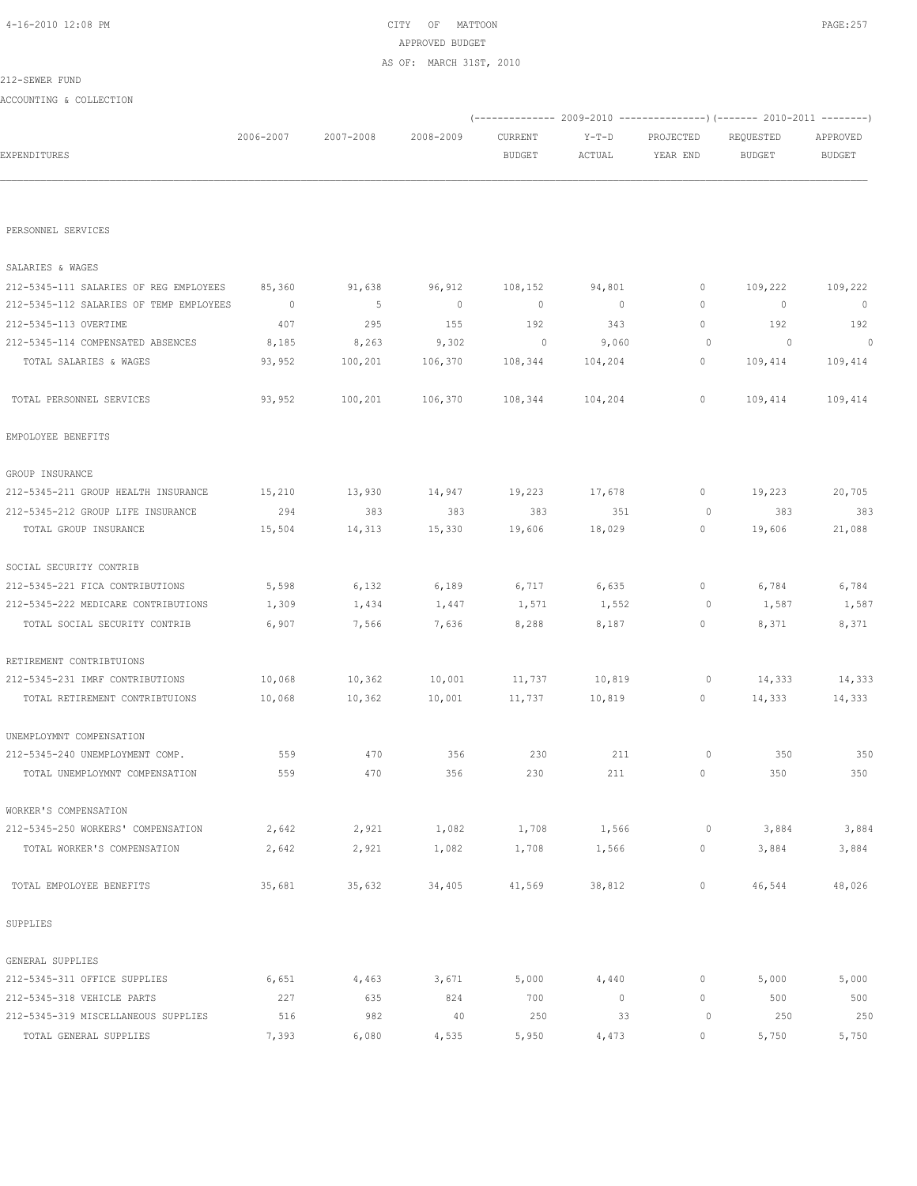# 4-16-2010 12:08 PM CITY OF MATTOON PAGE:257 APPROVED BUDGET AS OF: MARCH 31ST, 2010

# 212-SEWER FUND

### ACCOUNTING & COLLECTION

|                                         |                |           |                          |               |                |             | (------------- 2009-2010 ---------------) (------- 2010-2011 --------) |                |
|-----------------------------------------|----------------|-----------|--------------------------|---------------|----------------|-------------|------------------------------------------------------------------------|----------------|
|                                         | 2006-2007      | 2007-2008 | 2008-2009                | CURRENT       | $Y-T-D$        | PROJECTED   | REQUESTED                                                              | APPROVED       |
| EXPENDITURES                            |                |           |                          | <b>BUDGET</b> | ACTUAL         | YEAR END    | <b>BUDGET</b>                                                          | <b>BUDGET</b>  |
|                                         |                |           |                          |               |                |             |                                                                        |                |
| PERSONNEL SERVICES                      |                |           |                          |               |                |             |                                                                        |                |
|                                         |                |           |                          |               |                |             |                                                                        |                |
| SALARIES & WAGES                        |                |           |                          |               |                |             |                                                                        |                |
| 212-5345-111 SALARIES OF REG EMPLOYEES  | 85,360         | 91,638    | 96,912                   | 108,152       | 94,801         | 0           | 109,222                                                                | 109,222        |
| 212-5345-112 SALARIES OF TEMP EMPLOYEES | $\overline{0}$ | 5         | $\overline{\phantom{0}}$ | $\circ$       | $\overline{0}$ | 0           | $\overline{0}$                                                         | $\overline{0}$ |
| 212-5345-113 OVERTIME                   | 407            | 295       | 155                      | 192           | 343            | 0           | 192                                                                    | 192            |
| 212-5345-114 COMPENSATED ABSENCES       | 8,185          | 8,263     | 9,302                    | $\circ$       | 9,060          | $\circ$     | $\circ$                                                                | $\circ$        |
| TOTAL SALARIES & WAGES                  | 93,952         | 100,201   | 106,370                  | 108,344       | 104,204        | 0           | 109,414                                                                | 109,414        |
| TOTAL PERSONNEL SERVICES                | 93,952         | 100,201   | 106,370                  | 108,344       | 104,204        | 0           | 109,414                                                                | 109,414        |
| EMPOLOYEE BENEFITS                      |                |           |                          |               |                |             |                                                                        |                |
| GROUP INSURANCE                         |                |           |                          |               |                |             |                                                                        |                |
| 212-5345-211 GROUP HEALTH INSURANCE     | 15,210         | 13,930    | 14,947                   | 19,223        | 17,678         | $\circ$     | 19,223                                                                 | 20,705         |
| 212-5345-212 GROUP LIFE INSURANCE       | 294            | 383       | 383                      | 383           | 351            | $\mathbf 0$ | 383                                                                    | 383            |
| TOTAL GROUP INSURANCE                   | 15,504         | 14,313    | 15,330                   | 19,606        | 18,029         | 0           | 19,606                                                                 | 21,088         |
| SOCIAL SECURITY CONTRIB                 |                |           |                          |               |                |             |                                                                        |                |
| 212-5345-221 FICA CONTRIBUTIONS         | 5,598          | 6,132     | 6,189                    | 6,717         | 6,635          | $\circ$     | 6,784                                                                  | 6,784          |
| 212-5345-222 MEDICARE CONTRIBUTIONS     | 1,309          | 1,434     | 1,447                    | 1,571         | 1,552          | $\mathbf 0$ | 1,587                                                                  | 1,587          |
| TOTAL SOCIAL SECURITY CONTRIB           | 6,907          | 7,566     | 7,636                    | 8,288         | 8,187          | $\circ$     | 8,371                                                                  | 8,371          |
| RETIREMENT CONTRIBTUIONS                |                |           |                          |               |                |             |                                                                        |                |
| 212-5345-231 IMRF CONTRIBUTIONS         | 10,068         | 10,362    | 10,001                   | 11,737        | 10,819         | 0           | 14,333                                                                 | 14,333         |
| TOTAL RETIREMENT CONTRIBTUIONS          | 10,068         | 10,362    | 10,001                   | 11,737        | 10,819         | 0           | 14,333                                                                 | 14,333         |
| UNEMPLOYMNT COMPENSATION                |                |           |                          |               |                |             |                                                                        |                |
| 212-5345-240 UNEMPLOYMENT COMP.         | 559            | 470       | 356                      | 230           | 211            | $\mathbf 0$ | 350                                                                    | 350            |
| TOTAL UNEMPLOYMNT COMPENSATION          | 559            | 470       | 356                      | 230           | 211            | 0           | 350                                                                    | 350            |
| WORKER'S COMPENSATION                   |                |           |                          |               |                |             |                                                                        |                |
| 212-5345-250 WORKERS' COMPENSATION      | 2,642          | 2,921     | 1,082                    | 1,708         | 1,566          | 0           | 3,884                                                                  | 3,884          |
| TOTAL WORKER'S COMPENSATION             | 2,642          | 2,921     | 1,082                    | 1,708         | 1,566          | 0           | 3,884                                                                  | 3,884          |
| TOTAL EMPOLOYEE BENEFITS                | 35,681         | 35,632    | 34,405                   | 41,569        | 38,812         | $\circ$     | 46,544                                                                 | 48,026         |
| SUPPLIES                                |                |           |                          |               |                |             |                                                                        |                |
| GENERAL SUPPLIES                        |                |           |                          |               |                |             |                                                                        |                |
| 212-5345-311 OFFICE SUPPLIES            | 6,651          | 4,463     | 3,671                    | 5,000         | 4,440          | $\circ$     | 5,000                                                                  | 5,000          |
| 212-5345-318 VEHICLE PARTS              | 227            | 635       | 824                      | 700           | 0              | $\circ$     | 500                                                                    | 500            |
| 212-5345-319 MISCELLANEOUS SUPPLIES     | 516            | 982       | 40                       | 250           | 33             | 0           | 250                                                                    | 250            |
| TOTAL GENERAL SUPPLIES                  | 7,393          | 6,080     | 4,535                    | 5,950         | 4,473          | 0           | 5,750                                                                  | 5,750          |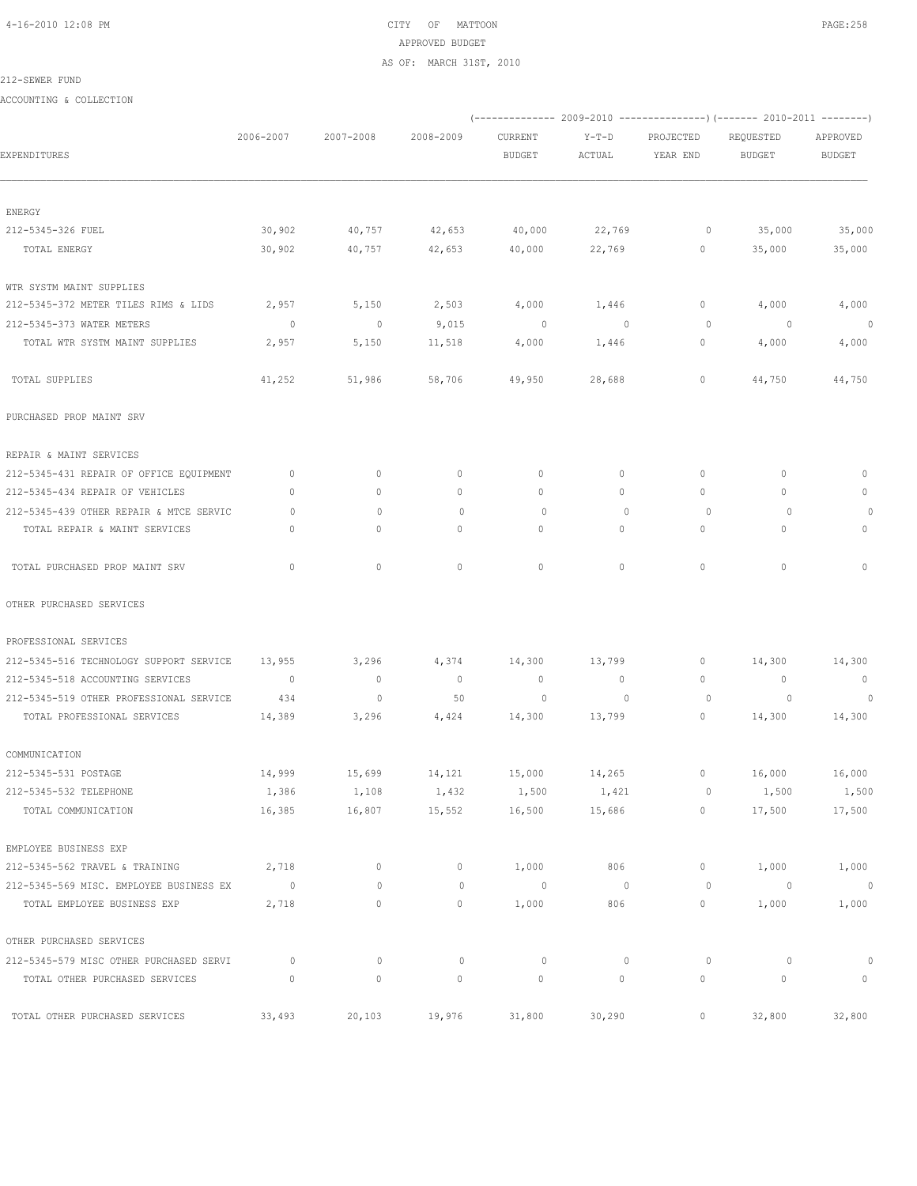# 4-16-2010 12:08 PM CITY OF MATTOON PAGE:258 APPROVED BUDGET AS OF: MARCH 31ST, 2010

### 212-SEWER FUND

### ACCOUNTING & COLLECTION

|                                         |                          |                          |                |                          |                          |                       | (-------------- 2009-2010 ----------------) (------- 2010-2011 --------) |                           |
|-----------------------------------------|--------------------------|--------------------------|----------------|--------------------------|--------------------------|-----------------------|--------------------------------------------------------------------------|---------------------------|
| EXPENDITURES                            | 2006-2007                | 2007-2008                | 2008-2009      | CURRENT<br><b>BUDGET</b> | $Y-T-D$<br>ACTUAL        | PROJECTED<br>YEAR END | REQUESTED<br><b>BUDGET</b>                                               | APPROVED<br><b>BUDGET</b> |
|                                         |                          |                          |                |                          |                          |                       |                                                                          |                           |
| ENERGY                                  |                          |                          |                |                          |                          |                       |                                                                          |                           |
| 212-5345-326 FUEL                       | 30,902                   | 40,757                   | 42,653         | 40,000                   | 22,769                   | $\circ$               | 35,000                                                                   | 35,000                    |
| TOTAL ENERGY                            | 30,902                   | 40,757                   | 42,653         | 40,000                   | 22,769                   | $\circ$               | 35,000                                                                   | 35,000                    |
| WTR SYSTM MAINT SUPPLIES                |                          |                          |                |                          |                          |                       |                                                                          |                           |
| 212-5345-372 METER TILES RIMS & LIDS    | 2,957                    | 5,150                    | 2,503          | 4,000                    | 1,446                    | $\circ$               | 4,000                                                                    | 4,000                     |
| 212-5345-373 WATER METERS               | $\overline{\phantom{0}}$ | $\sim$ 0                 | 9,015          | $\sim$ 0                 | $\overline{\phantom{0}}$ | $\circ$               | $\mathbf 0$                                                              | $\circ$                   |
| TOTAL WTR SYSTM MAINT SUPPLIES          | 2,957                    | 5,150                    | 11,518         | 4,000                    | 1,446                    | $\circ$               | 4,000                                                                    | 4,000                     |
| TOTAL SUPPLIES                          | 41,252                   | 51,986                   | 58,706         | 49,950                   | 28,688                   | 0                     | 44,750                                                                   | 44,750                    |
| PURCHASED PROP MAINT SRV                |                          |                          |                |                          |                          |                       |                                                                          |                           |
| REPAIR & MAINT SERVICES                 |                          |                          |                |                          |                          |                       |                                                                          |                           |
| 212-5345-431 REPAIR OF OFFICE EQUIPMENT | $\mathbf{0}$             | 0                        | 0              | $\mathbf{0}$             | 0                        | $\mathbf{0}$          | $\mathbf{0}$                                                             | $\circ$                   |
| 212-5345-434 REPAIR OF VEHICLES         | $\mathbf{0}$             | 0                        | $\mathbf{0}$   | $\circ$                  | $\circ$                  | $\circ$               | 0                                                                        | 0                         |
| 212-5345-439 OTHER REPAIR & MTCE SERVIC | $\circ$                  | $\mathbf{0}$             | $\mathbf{0}$   | $\circ$                  | $\mathbf{0}$             | $\mathbf 0$           | $\mathbf{0}$                                                             | $\mathbf{0}$              |
| TOTAL REPAIR & MAINT SERVICES           | $\mathbf{0}$             | $\circ$                  | $\mathbf{0}$   | $\circ$                  | $\circ$                  | $\circ$               | $\circ$                                                                  | 0                         |
| TOTAL PURCHASED PROP MAINT SRV          | $\mathbf{0}$             | $\circ$                  | $\mathbf{0}$   | $\mathbf{0}$             | $\circ$                  | $\circ$               | 0                                                                        | $\mathbf{0}$              |
| OTHER PURCHASED SERVICES                |                          |                          |                |                          |                          |                       |                                                                          |                           |
| PROFESSIONAL SERVICES                   |                          |                          |                |                          |                          |                       |                                                                          |                           |
| 212-5345-516 TECHNOLOGY SUPPORT SERVICE | 13,955                   | 3,296                    | 4,374          | 14,300                   | 13,799                   | $\circ$               | 14,300                                                                   | 14,300                    |
| 212-5345-518 ACCOUNTING SERVICES        | $\overline{0}$           | $\overline{0}$           | $\overline{0}$ | $\circ$                  | $\overline{0}$           | $\circ$               | $\overline{0}$                                                           | $\overline{0}$            |
| 212-5345-519 OTHER PROFESSIONAL SERVICE | 434                      | $\overline{\phantom{0}}$ | 50             | $\circ$                  | $\overline{0}$           | $\mathbf 0$           | $\mathbf 0$                                                              | $\circ$                   |
| TOTAL PROFESSIONAL SERVICES             | 14,389                   | 3,296                    | 4,424          | 14,300                   | 13,799                   | $\circ$               | 14,300                                                                   | 14,300                    |
| COMMUNICATION                           |                          |                          |                |                          |                          |                       |                                                                          |                           |
| 212-5345-531 POSTAGE                    | 14,999                   | 15,699                   | 14,121         | 15,000                   | 14,265                   | $\circ$               | 16,000                                                                   | 16,000                    |
| 212-5345-532 TELEPHONE                  | 1,386                    | 1,108                    | 1,432          | 1,500                    | 1,421                    | $\circ$               | 1,500                                                                    | 1,500                     |
| TOTAL COMMUNICATION                     | 16,385                   | 16,807                   | 15,552         | 16,500                   | 15,686                   | 0                     | 17,500                                                                   | 17,500                    |
| EMPLOYEE BUSINESS EXP                   |                          |                          |                |                          |                          |                       |                                                                          |                           |
| 212-5345-562 TRAVEL & TRAINING          | 2,718                    | $\circ$                  | $\circ$        | 1,000                    | 806                      | 0                     | 1,000                                                                    | 1,000                     |
| 212-5345-569 MISC. EMPLOYEE BUSINESS EX | $\sim$ 0                 | $\circ$                  | $\circ$        | $\sim$ 0                 | $\overline{\phantom{0}}$ | $\mathbf 0$           | $\sim$ 0                                                                 | $\sim$ 0                  |
| TOTAL EMPLOYEE BUSINESS EXP             | 2,718                    | $\mathbb O$              | $\circ$        | 1,000                    | 806                      | 0                     | 1,000                                                                    | 1,000                     |
| OTHER PURCHASED SERVICES                |                          |                          |                |                          |                          |                       |                                                                          |                           |
| 212-5345-579 MISC OTHER PURCHASED SERVI | $\circ$                  | $\circ$                  | $\circ$        | $\circ$                  | $\circ$                  | $\mathbf 0$           | $\circ$                                                                  | $\mathbb O$               |
| TOTAL OTHER PURCHASED SERVICES          | $\circ$                  | 0                        | $\circ$        | $\circ$                  | $\circ$                  | $\circ$               | $\mathbb O$                                                              | $\mathbb O$               |
| TOTAL OTHER PURCHASED SERVICES          | 33,493                   | 20,103                   | 19,976         | 31,800                   | 30,290                   | $\circ$               | 32,800                                                                   | 32,800                    |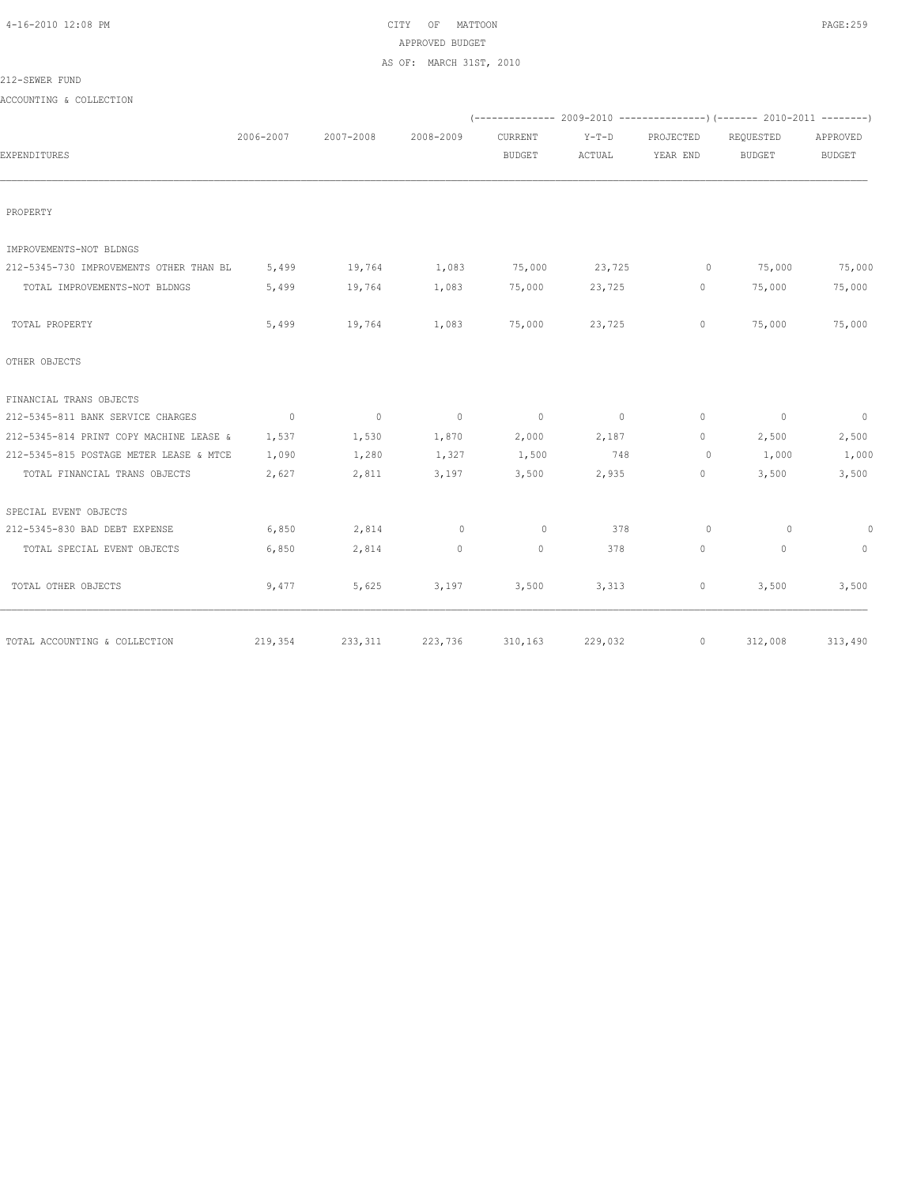# 4-16-2010 12:08 PM CITY OF MATTOON PAGE:259 APPROVED BUDGET AS OF: MARCH 31ST, 2010

### 212-SEWER FUND

#### ACCOUNTING & COLLECTION

|                                         |                |               |           |               |         |              | (-------------- 2009-2010 ----------------) (------- 2010-2011 --------) |                |
|-----------------------------------------|----------------|---------------|-----------|---------------|---------|--------------|--------------------------------------------------------------------------|----------------|
|                                         | 2006-2007      | $2007 - 2008$ | 2008-2009 | CURRENT       | $Y-T-D$ | PROJECTED    | REQUESTED                                                                | APPROVED       |
| EXPENDITURES                            |                |               |           | <b>BUDGET</b> | ACTUAL  | YEAR END     | <b>BUDGET</b>                                                            | <b>BUDGET</b>  |
|                                         |                |               |           |               |         |              |                                                                          |                |
| PROPERTY                                |                |               |           |               |         |              |                                                                          |                |
| IMPROVEMENTS-NOT BLDNGS                 |                |               |           |               |         |              |                                                                          |                |
| 212-5345-730 IMPROVEMENTS OTHER THAN BL | 5,499          | 19,764        | 1,083     | 75,000        | 23,725  | $\mathbb O$  | 75,000                                                                   | 75,000         |
| TOTAL IMPROVEMENTS-NOT BLDNGS           | 5,499          | 19,764        | 1,083     | 75,000        | 23,725  | $\circ$      | 75,000                                                                   | 75,000         |
| TOTAL PROPERTY                          | 5,499          | 19,764        | 1,083     | 75,000        | 23,725  | 0            | 75,000                                                                   | 75,000         |
| OTHER OBJECTS                           |                |               |           |               |         |              |                                                                          |                |
| FINANCIAL TRANS OBJECTS                 |                |               |           |               |         |              |                                                                          |                |
| 212-5345-811 BANK SERVICE CHARGES       | $\overline{0}$ | $\circ$       | $\circ$   | $\mathbf 0$   | 0       | 0            | 0                                                                        | $\overline{0}$ |
| 212-5345-814 PRINT COPY MACHINE LEASE & | 1,537          | 1,530         | 1,870     | 2,000         | 2,187   | $\circ$      | 2,500                                                                    | 2,500          |
| 212-5345-815 POSTAGE METER LEASE & MTCE | 1,090          | 1,280         | 1,327     | 1,500         | 748     | $\mathbf{0}$ | 1,000                                                                    | 1,000          |
| TOTAL FINANCIAL TRANS OBJECTS           | 2,627          | 2,811         | 3,197     | 3,500         | 2,935   | 0            | 3,500                                                                    | 3,500          |
| SPECIAL EVENT OBJECTS                   |                |               |           |               |         |              |                                                                          |                |
| 212-5345-830 BAD DEBT EXPENSE           | 6,850          | 2,814         | $\circ$   | $\circ$       | 378     | $\circ$      | $\mathbf{0}$                                                             | $\mathbf{0}$   |
| TOTAL SPECIAL EVENT OBJECTS             | 6,850          | 2,814         | $\circ$   | 0             | 378     | 0            | $\mathbf{0}$                                                             | $\circ$        |
| TOTAL OTHER OBJECTS                     | 9,477          | 5,625         | 3,197     | 3,500         | 3,313   | 0            | 3,500                                                                    | 3,500          |
| TOTAL ACCOUNTING & COLLECTION           | 219,354        | 233, 311      | 223,736   | 310,163       | 229,032 | 0            | 312,008                                                                  | 313,490        |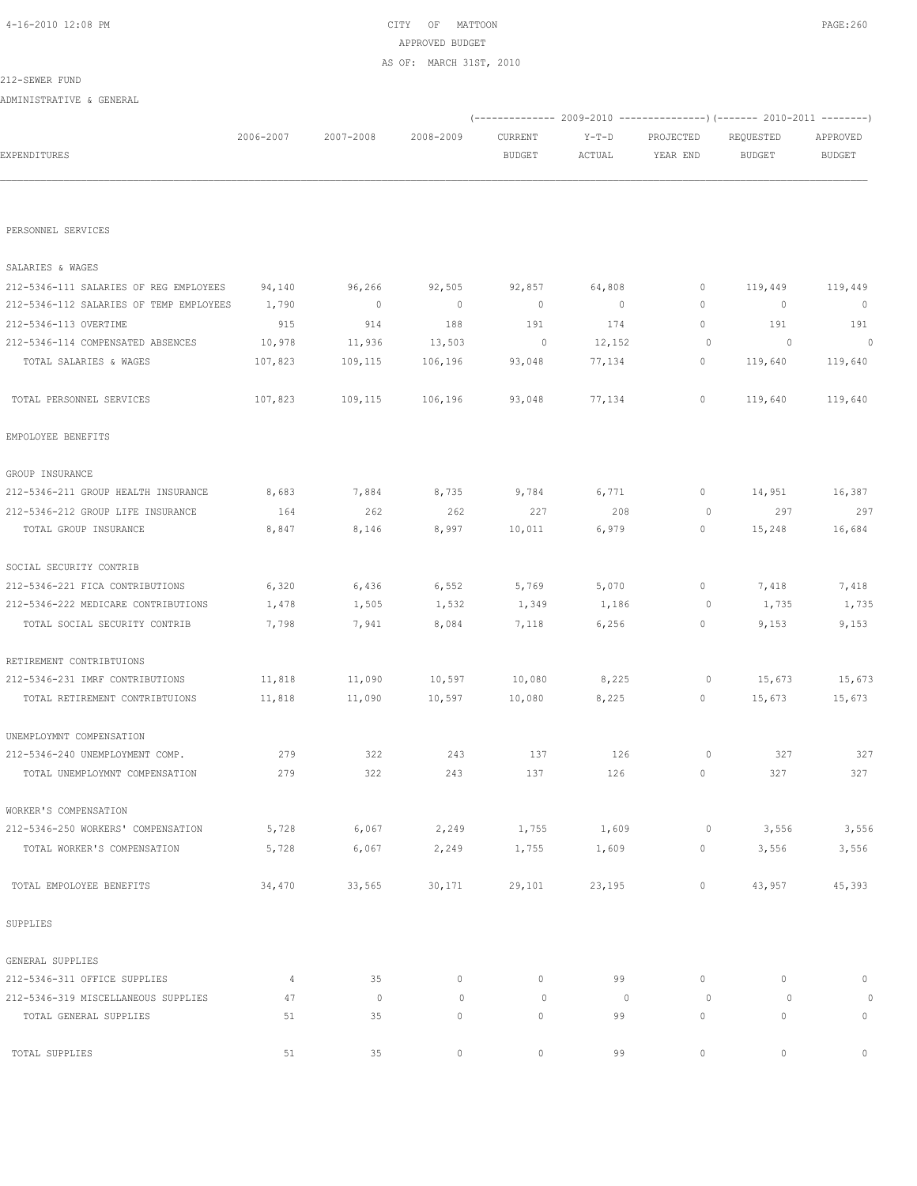# 4-16-2010 12:08 PM CITY OF MATTOON PAGE:260 APPROVED BUDGET AS OF: MARCH 31ST, 2010

### 212-SEWER FUND

### ADMINISTRATIVE & GENERAL

|                                         |                |                          |                |               |                |             | (-------------- 2009-2010 ----------------) (------- 2010-2011 --------) |                |
|-----------------------------------------|----------------|--------------------------|----------------|---------------|----------------|-------------|--------------------------------------------------------------------------|----------------|
|                                         | 2006-2007      | 2007-2008                | 2008-2009      | CURRENT       | $Y-T-D$        | PROJECTED   | REQUESTED                                                                | APPROVED       |
| EXPENDITURES                            |                |                          |                | <b>BUDGET</b> | ACTUAL         | YEAR END    | BUDGET                                                                   | <b>BUDGET</b>  |
|                                         |                |                          |                |               |                |             |                                                                          |                |
| PERSONNEL SERVICES                      |                |                          |                |               |                |             |                                                                          |                |
|                                         |                |                          |                |               |                |             |                                                                          |                |
| SALARIES & WAGES                        |                |                          |                |               |                |             |                                                                          |                |
| 212-5346-111 SALARIES OF REG EMPLOYEES  | 94,140         | 96,266                   | 92,505         | 92,857        | 64,808         | 0           | 119,449                                                                  | 119,449        |
| 212-5346-112 SALARIES OF TEMP EMPLOYEES | 1,790          | $\overline{\phantom{0}}$ | $\overline{0}$ | $\mathbf 0$   | $\overline{0}$ | 0           | $\overline{0}$                                                           | $\overline{0}$ |
| 212-5346-113 OVERTIME                   | 915            | 914                      | 188            | 191           | 174            | 0           | 191                                                                      | 191            |
| 212-5346-114 COMPENSATED ABSENCES       | 10,978         | 11,936                   | 13,503         | $\circ$       | 12,152         | $\mathbf 0$ | $\sim$ 0                                                                 | $\circ$        |
| TOTAL SALARIES & WAGES                  | 107,823        | 109,115                  | 106,196        | 93,048        | 77,134         | $\circ$     | 119,640                                                                  | 119,640        |
| TOTAL PERSONNEL SERVICES                | 107,823        | 109,115                  | 106,196        | 93,048        | 77,134         | $\circ$     | 119,640                                                                  | 119,640        |
| EMPOLOYEE BENEFITS                      |                |                          |                |               |                |             |                                                                          |                |
| GROUP INSURANCE                         |                |                          |                |               |                |             |                                                                          |                |
| 212-5346-211 GROUP HEALTH INSURANCE     | 8,683          | 7,884                    | 8,735          | 9,784         | 6,771          | $\circ$     | 14,951                                                                   | 16,387         |
| 212-5346-212 GROUP LIFE INSURANCE       | 164            | 262                      | 262            | 227           | 208            | $\mathbf 0$ | 297                                                                      | 297            |
| TOTAL GROUP INSURANCE                   | 8,847          | 8,146                    | 8,997          | 10,011        | 6,979          | $\circ$     | 15,248                                                                   | 16,684         |
| SOCIAL SECURITY CONTRIB                 |                |                          |                |               |                |             |                                                                          |                |
| 212-5346-221 FICA CONTRIBUTIONS         | 6,320          | 6,436                    | 6,552          | 5,769         | 5,070          | $\circ$     | 7,418                                                                    | 7,418          |
| 212-5346-222 MEDICARE CONTRIBUTIONS     | 1,478          | 1,505                    | 1,532          | 1,349         | 1,186          | $\mathbf 0$ | 1,735                                                                    | 1,735          |
| TOTAL SOCIAL SECURITY CONTRIB           | 7,798          | 7,941                    | 8,084          | 7,118         | 6,256          | $\circ$     | 9,153                                                                    | 9,153          |
| RETIREMENT CONTRIBTUIONS                |                |                          |                |               |                |             |                                                                          |                |
| 212-5346-231 IMRF CONTRIBUTIONS         | 11,818         | 11,090                   | 10,597         | 10,080        | 8,225          | 0           | 15,673                                                                   | 15,673         |
| TOTAL RETIREMENT CONTRIBTUIONS          | 11,818         | 11,090                   | 10,597         | 10,080        | 8,225          | $\circ$     | 15,673                                                                   | 15,673         |
| UNEMPLOYMNT COMPENSATION                |                |                          |                |               |                |             |                                                                          |                |
| 212-5346-240 UNEMPLOYMENT COMP.         | 279            | 322                      | 243            | 137           | 126            | 0           | 327                                                                      | 327            |
| TOTAL UNEMPLOYMNT COMPENSATION          | 279            | 322                      | 243            | 137           | 126            | $\circ$     | 327                                                                      | 327            |
| WORKER'S COMPENSATION                   |                |                          |                |               |                |             |                                                                          |                |
| 212-5346-250 WORKERS' COMPENSATION      | 5,728          | 6,067                    | 2,249          | 1,755         | 1,609          | $\mathbf 0$ | 3,556                                                                    | 3,556          |
| TOTAL WORKER'S COMPENSATION             | 5,728          | 6,067                    | 2,249          | 1,755         | 1,609          | 0           | 3,556                                                                    | 3,556          |
| TOTAL EMPOLOYEE BENEFITS                | 34,470         | 33,565                   | 30,171         | 29,101        | 23,195         | 0           | 43,957                                                                   | 45,393         |
| SUPPLIES                                |                |                          |                |               |                |             |                                                                          |                |
| GENERAL SUPPLIES                        |                |                          |                |               |                |             |                                                                          |                |
| 212-5346-311 OFFICE SUPPLIES            | $\overline{4}$ | 35                       | 0              | $\circ$       | 99             | $\circ$     | 0                                                                        | 0              |
| 212-5346-319 MISCELLANEOUS SUPPLIES     | 47             | $\circ$                  | $\circ$        | 0             | $\circ$        | $\mathbf 0$ | $\circ$                                                                  | $\mathbf 0$    |
| TOTAL GENERAL SUPPLIES                  | 51             | 35                       | $\circ$        | $\circ$       | 99             | $\circ$     | 0                                                                        | $\circ$        |
| TOTAL SUPPLIES                          | 51             | 35                       | $\circ$        | $\circ$       | 99             | $\circ$     | 0                                                                        | 0              |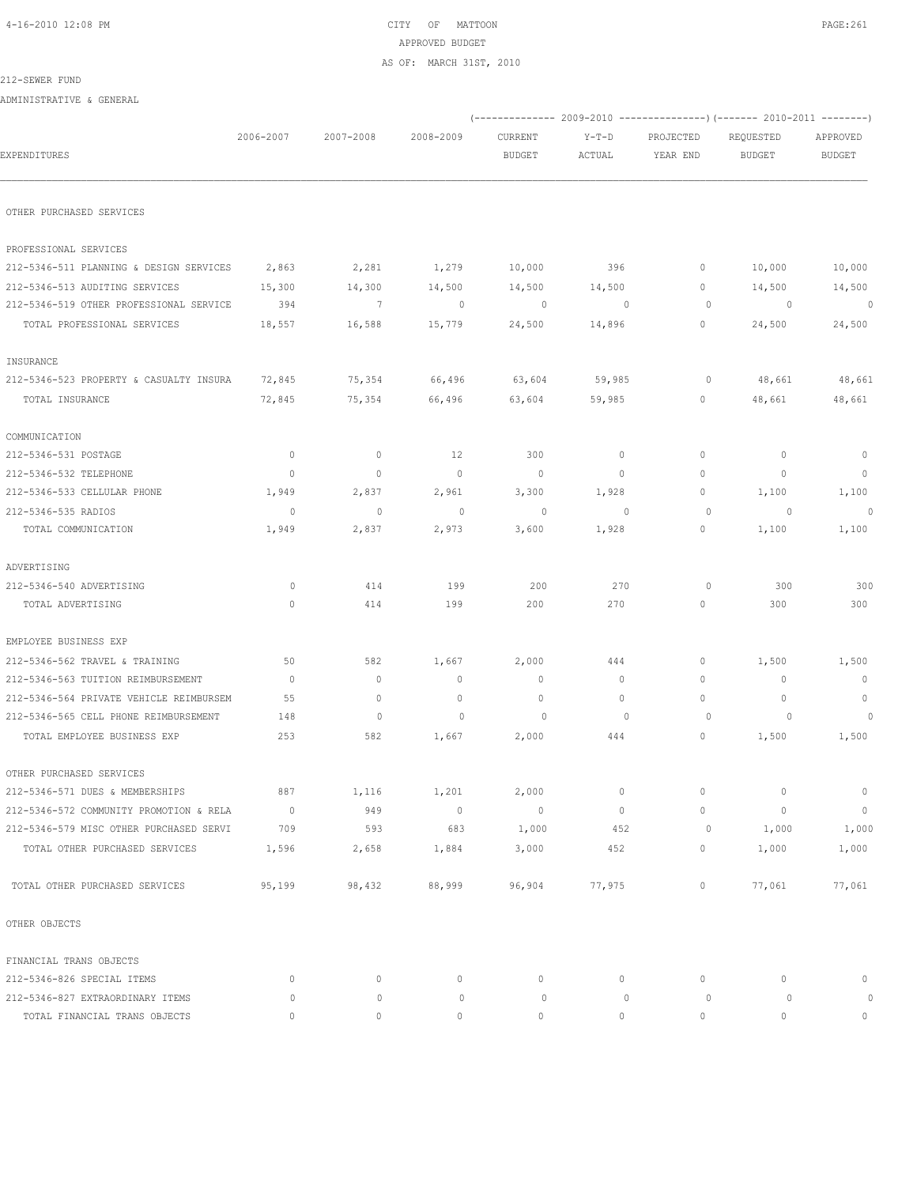# 4-16-2010 12:08 PM CITY OF MATTOON PAGE:261 APPROVED BUDGET AS OF: MARCH 31ST, 2010

### 212-SEWER FUND

ADMINISTRATIVE & GENERAL

|                                         |                |             |                | (-------------- 2009-2010 ----------------) (------- 2010-2011 --------) |                   |                       |                            |                          |
|-----------------------------------------|----------------|-------------|----------------|--------------------------------------------------------------------------|-------------------|-----------------------|----------------------------|--------------------------|
| <b>EXPENDITURES</b>                     | 2006-2007      | 2007-2008   | 2008-2009      | <b>CURRENT</b><br><b>BUDGET</b>                                          | $Y-T-D$<br>ACTUAL | PROJECTED<br>YEAR END | REQUESTED<br><b>BUDGET</b> | APPROVED<br>BUDGET       |
| OTHER PURCHASED SERVICES                |                |             |                |                                                                          |                   |                       |                            |                          |
| PROFESSIONAL SERVICES                   |                |             |                |                                                                          |                   |                       |                            |                          |
| 212-5346-511 PLANNING & DESIGN SERVICES | 2,863          | 2,281       | 1,279          | 10,000                                                                   | 396               | 0                     | 10,000                     | 10,000                   |
| 212-5346-513 AUDITING SERVICES          | 15,300         | 14,300      | 14,500         | 14,500                                                                   | 14,500            | $\circ$               | 14,500                     | 14,500                   |
| 212-5346-519 OTHER PROFESSIONAL SERVICE | 394            | 7           | $\overline{0}$ | $\overline{0}$                                                           | $\sim$ 0          | $\mathbf 0$           | $\overline{\phantom{0}}$   | $\circ$                  |
| TOTAL PROFESSIONAL SERVICES             | 18,557         | 16,588      | 15,779         | 24,500                                                                   | 14,896            | 0                     | 24,500                     | 24,500                   |
| INSURANCE                               |                |             |                |                                                                          |                   |                       |                            |                          |
| 212-5346-523 PROPERTY & CASUALTY INSURA | 72,845         | 75,354      | 66,496         | 63,604                                                                   | 59,985            | $\circ$               | 48,661                     | 48,661                   |
| TOTAL INSURANCE                         | 72,845         | 75,354      | 66,496         | 63,604                                                                   | 59,985            | 0                     | 48,661                     | 48,661                   |
| COMMUNICATION                           |                |             |                |                                                                          |                   |                       |                            |                          |
| 212-5346-531 POSTAGE                    | $\circ$        | $\mathbf 0$ | 12             | 300                                                                      | 0                 | 0                     | $\mathbf 0$                | $\mathbf 0$              |
| 212-5346-532 TELEPHONE                  | $\circ$        | 0           | $\mathbf 0$    | $\overline{0}$                                                           | 0                 | 0                     | 0                          | $\overline{\phantom{0}}$ |
| 212-5346-533 CELLULAR PHONE             | 1,949          | 2,837       | 2,961          | 3,300                                                                    | 1,928             | 0                     | 1,100                      | 1,100                    |
| 212-5346-535 RADIOS                     | $\circ$        | $\mathbb O$ | $\circ$        | $\circ$                                                                  | $\mathbf 0$       | $\mathbf 0$           | $\overline{0}$             | $\mathbf 0$              |
| TOTAL COMMUNICATION                     | 1,949          | 2,837       | 2,973          | 3,600                                                                    | 1,928             | 0                     | 1,100                      | 1,100                    |
| ADVERTISING                             |                |             |                |                                                                          |                   |                       |                            |                          |
| 212-5346-540 ADVERTISING                | 0              | 414         | 199            | 200                                                                      | 270               | $\circ$               | 300                        | 300                      |
| TOTAL ADVERTISING                       | $\circ$        | 414         | 199            | 200                                                                      | 270               | 0                     | 300                        | 300                      |
| EMPLOYEE BUSINESS EXP                   |                |             |                |                                                                          |                   |                       |                            |                          |
| 212-5346-562 TRAVEL & TRAINING          | 50             | 582         | 1,667          | 2,000                                                                    | 444               | 0                     | 1,500                      | 1,500                    |
| 212-5346-563 TUITION REIMBURSEMENT      | $\mathbb O$    | $\circ$     | $\mathbf 0$    | $\mathbb O$                                                              | 0                 | 0                     | 0                          | $\circ$                  |
| 212-5346-564 PRIVATE VEHICLE REIMBURSEM | 55             | 0           | $\mathbf 0$    | $\mathbb O$                                                              | 0                 | 0                     | 0                          | $\circ$                  |
| 212-5346-565 CELL PHONE REIMBURSEMENT   | 148            | 0           | $\mathbf 0$    | 0                                                                        | $\mathbf{0}$      | 0                     | $\mathbf 0$                | $\mathbf 0$              |
| TOTAL EMPLOYEE BUSINESS EXP             | 253            | 582         | 1,667          | 2,000                                                                    | 444               | 0                     | 1,500                      | 1,500                    |
| OTHER PURCHASED SERVICES                |                |             |                |                                                                          |                   |                       |                            |                          |
| 212-5346-571 DUES & MEMBERSHIPS         | 887            | 1,116       | 1,201          | 2,000                                                                    | 0                 | $\circ$               | 0                          | $\circ$                  |
| 212-5346-572 COMMUNITY PROMOTION & RELA | $\overline{0}$ | 949         | $\circ$        | $\mathbb O$                                                              | $\circ$           | $\mathbf{0}$          | $\circ$                    | $\circ$                  |
| 212-5346-579 MISC OTHER PURCHASED SERVI | 709            | 593         | 683            | 1,000                                                                    | 452               | $\circ$               | 1,000                      | 1,000                    |
| TOTAL OTHER PURCHASED SERVICES          | 1,596          | 2,658       | 1,884          | 3,000                                                                    | 452               | $\circ$               | 1,000                      | 1,000                    |
| TOTAL OTHER PURCHASED SERVICES          | 95,199         | 98,432      | 88,999         | 96,904                                                                   | 77,975            | $\circ$               | 77,061                     | 77,061                   |
| OTHER OBJECTS                           |                |             |                |                                                                          |                   |                       |                            |                          |
| FINANCIAL TRANS OBJECTS                 |                |             |                |                                                                          |                   |                       |                            |                          |
| 212-5346-826 SPECIAL ITEMS              | $\circ$        | 0           | $\circ$        | $\circ$                                                                  | $\circ$           | $\circ$               | 0                          | $\circ$                  |
| 212-5346-827 EXTRAORDINARY ITEMS        | 0              | 0           | 0              | $\circ$                                                                  | $\mathbf{0}$      | 0                     | $\circ$                    | $\mathbf 0$              |
| TOTAL FINANCIAL TRANS OBJECTS           | 0              | 0           | $\mathbf 0$    | 0                                                                        | 0                 | $\circ$               | 0                          | $\circ$                  |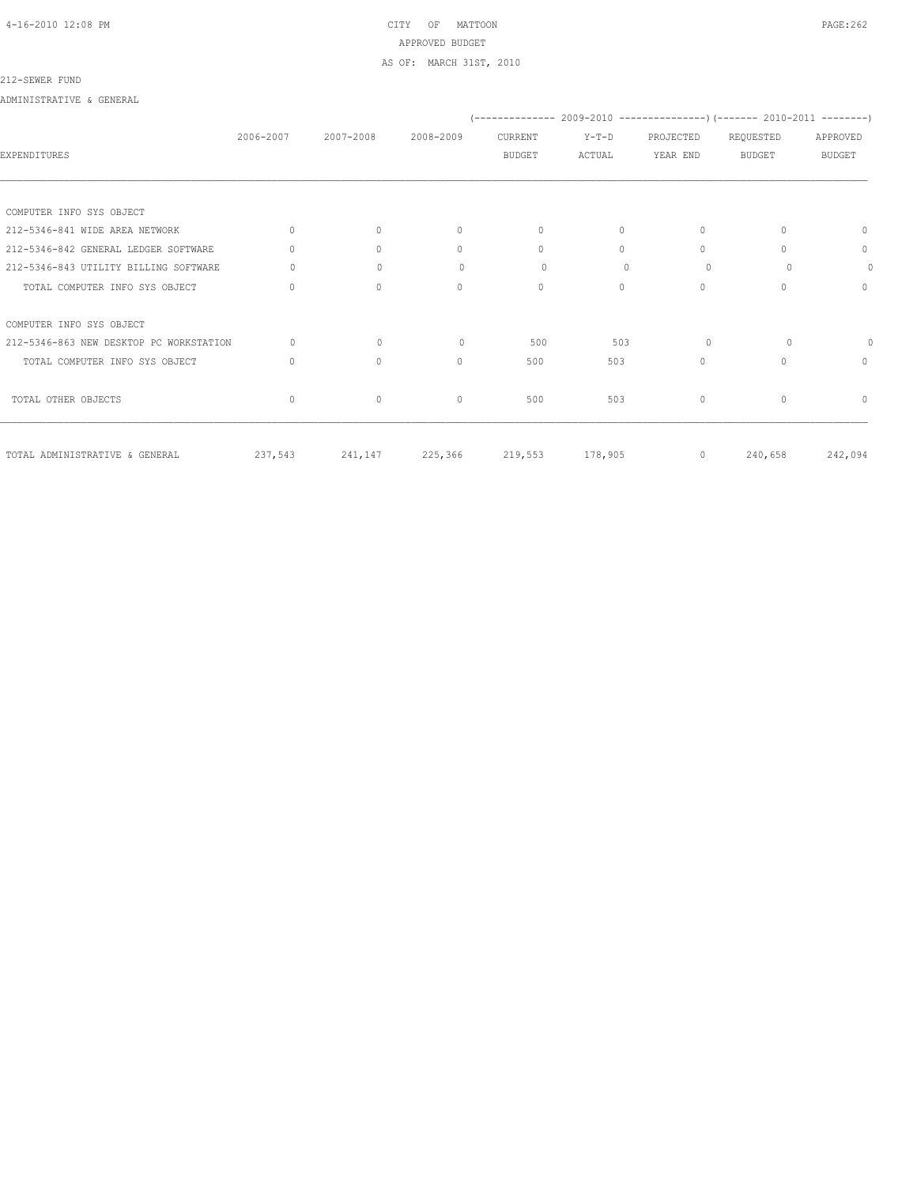# 4-16-2010 12:08 PM CITY OF MATTOON PAGE:262 APPROVED BUDGET AS OF: MARCH 31ST, 2010

### 212-SEWER FUND

#### ADMINISTRATIVE & GENERAL

|                                         | 2006-2007 | 2007-2008    | 2008-2009    | CURRENT       | $Y-T-D$       | PROJECTED | REQUESTED     | APPROVED      |
|-----------------------------------------|-----------|--------------|--------------|---------------|---------------|-----------|---------------|---------------|
| EXPENDITURES                            |           |              |              | <b>BUDGET</b> | <b>ACTUAL</b> | YEAR END  | <b>BUDGET</b> | <b>BUDGET</b> |
|                                         |           |              |              |               |               |           |               |               |
| COMPUTER INFO SYS OBJECT                |           |              |              |               |               |           |               |               |
| 212-5346-841 WIDE AREA NETWORK          | $\Omega$  | $\circ$      | $\mathbf{0}$ | $\mathbf{0}$  | $\Omega$      | $\Omega$  | $\Omega$      | 0             |
| 212-5346-842 GENERAL LEDGER SOFTWARE    | $\Omega$  | $\circ$      | $\mathbf{0}$ | $\mathbf{0}$  | $\Omega$      | $\Omega$  | $\Omega$      | $\circ$       |
| 212-5346-843 UTILITY BILLING SOFTWARE   | $\Omega$  | $\mathbf{0}$ | $\circ$      | $\circ$       | $\Omega$      | $\Omega$  | $\Omega$      | $\mathbf{0}$  |
| TOTAL COMPUTER INFO SYS OBJECT          | $\Omega$  | $\circ$      | $\circ$      | $\mathbf{0}$  | $\circ$       | $\circ$   | $\Omega$      | $\circ$       |
| COMPUTER INFO SYS OBJECT                |           |              |              |               |               |           |               |               |
| 212-5346-863 NEW DESKTOP PC WORKSTATION | $\Omega$  | $\circ$      | $\circ$      | 500           | 503           | $\Omega$  | $\mathbf{0}$  | 0             |
| TOTAL COMPUTER INFO SYS OBJECT          | $\Omega$  | $\Omega$     | $\Omega$     | 500           | 503           | $\circ$   | $\Omega$      | 0             |
| TOTAL OTHER OBJECTS                     | $\circ$   | $\circ$      | $\mathbf{0}$ | 500           | 503           | $\circ$   | $\mathbf{0}$  | 0             |
| TOTAL ADMINISTRATIVE & GENERAL          | 237,543   | 241,147      | 225,366      | 219,553       | 178,905       | $\circ$   | 240,658       | 242,094       |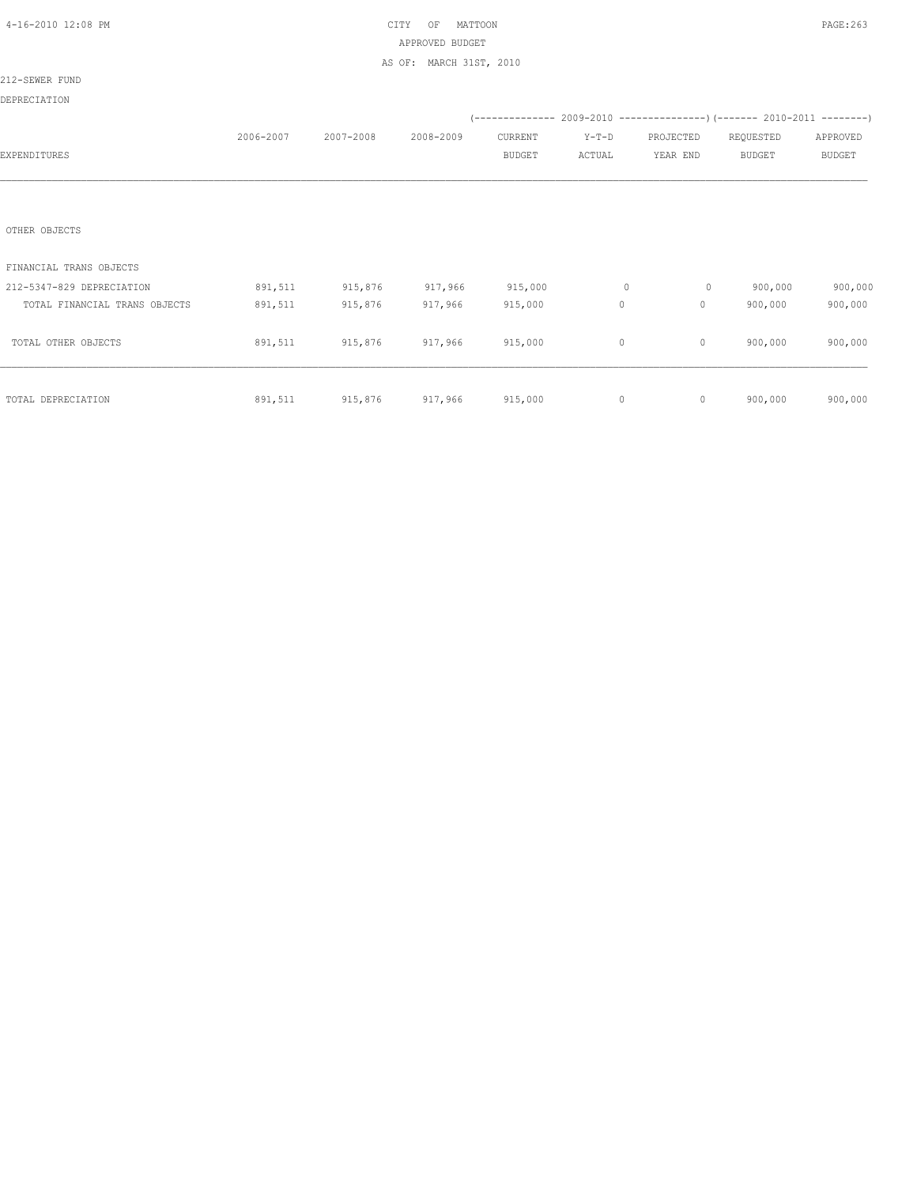# 4-16-2010 12:08 PM CITY OF MATTOON PAGE:263 APPROVED BUDGET AS OF: MARCH 31ST, 2010

### 212-SEWER FUND

# DEPRECIATION

| DELWECTWITCH                  |           |           |           |                          |                   |                       |                            |                    |
|-------------------------------|-----------|-----------|-----------|--------------------------|-------------------|-----------------------|----------------------------|--------------------|
| EXPENDITURES                  | 2006-2007 | 2007-2008 | 2008-2009 | CURRENT<br><b>BUDGET</b> | $Y-T-D$<br>ACTUAL | PROJECTED<br>YEAR END | REQUESTED<br><b>BUDGET</b> | APPROVED<br>BUDGET |
|                               |           |           |           |                          |                   |                       |                            |                    |
|                               |           |           |           |                          |                   |                       |                            |                    |
| OTHER OBJECTS                 |           |           |           |                          |                   |                       |                            |                    |
| FINANCIAL TRANS OBJECTS       |           |           |           |                          |                   |                       |                            |                    |
| 212-5347-829 DEPRECIATION     | 891,511   | 915,876   | 917,966   | 915,000                  | $\mathbf{0}$      | $\mathbf{0}$          | 900,000                    | 900,000            |
| TOTAL FINANCIAL TRANS OBJECTS | 891,511   | 915,876   | 917,966   | 915,000                  | $\circ$           | 0                     | 900,000                    | 900,000            |
| TOTAL OTHER OBJECTS           | 891,511   | 915,876   | 917,966   | 915,000                  | $\circ$           | 0                     | 900,000                    | 900,000            |

| TOTAL DEPRECIATION | 891,511 | 915,876 | 917,966 | 915,000 | $\Omega$ | 900,000 | 900,000 |
|--------------------|---------|---------|---------|---------|----------|---------|---------|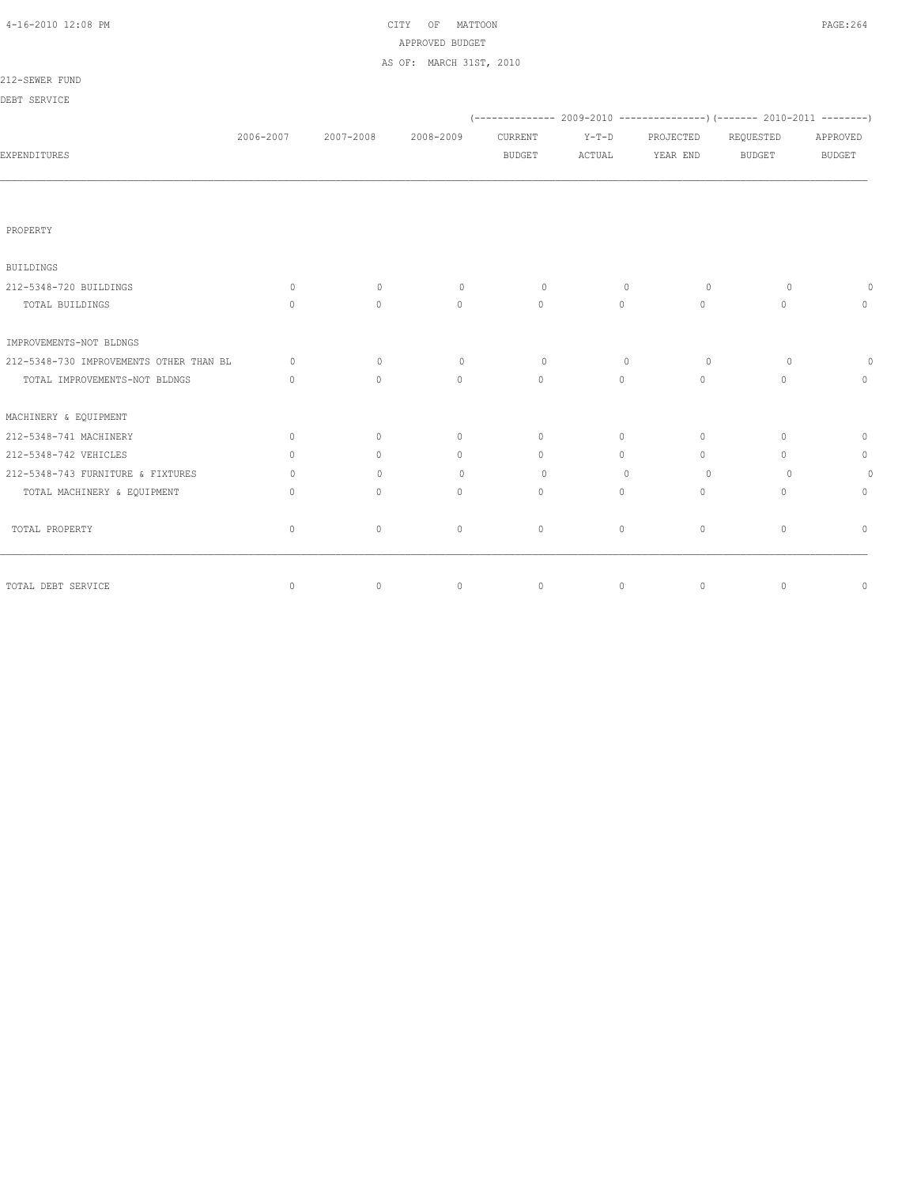# 4-16-2010 12:08 PM CITY OF MATTOON PAGE:264 APPROVED BUDGET AS OF: MARCH 31ST, 2010

 212-5348-743 FURNITURE & FIXTURES 0 0 0 0 0 0 0 0 TOTAL MACHINERY & EQUIPMENT 0 0 0 0 0 0 0 0

TOTAL PROPERTY CONTROL CONTROL CONTROL OF CONTROL OF CONTROL OF CONTROL CONTROL CONTROL CONTROL CONTROL CONTROL CONTROL CONTROL CONTROL CONTROL CONTROL CONTROL CONTROL CONTROL CONTROL CONTROL CONTROL CONTROL CONTROL CONTRO \_\_\_\_\_\_\_\_\_\_\_\_\_\_\_\_\_\_\_\_\_\_\_\_\_\_\_\_\_\_\_\_\_\_\_\_\_\_\_\_\_\_\_\_\_\_\_\_\_\_\_\_\_\_\_\_\_\_\_\_\_\_\_\_\_\_\_\_\_\_\_\_\_\_\_\_\_\_\_\_\_\_\_\_\_\_\_\_\_\_\_\_\_\_\_\_\_\_\_\_\_\_\_\_\_\_\_\_\_\_\_\_\_\_\_\_\_\_\_\_\_\_\_\_\_\_\_\_\_\_\_\_\_\_\_\_\_\_\_\_\_\_\_\_\_\_\_\_\_\_

TOTAL DEBT SERVICE 0 0 0 0 0 0 0 0

| 212-SEWER FUND                          |                                  |              |              |               |              |              |                                                                         |               |
|-----------------------------------------|----------------------------------|--------------|--------------|---------------|--------------|--------------|-------------------------------------------------------------------------|---------------|
| DEBT SERVICE                            |                                  |              |              |               |              |              |                                                                         |               |
|                                         |                                  |              |              |               |              |              | (-------------- 2009-2010 ----------------) (------- 2010-2011 -------- |               |
|                                         | 2006-2007                        | 2007-2008    | 2008-2009    | CURRENT       | $Y-T-D$      | PROJECTED    | REQUESTED                                                               | APPROVED      |
| <b>EXPENDITURES</b>                     |                                  |              |              | <b>BUDGET</b> | ACTUAL       | YEAR END     | <b>BUDGET</b>                                                           | <b>BUDGET</b> |
|                                         |                                  |              |              |               |              |              |                                                                         |               |
| PROPERTY                                |                                  |              |              |               |              |              |                                                                         |               |
| <b>BUILDINGS</b>                        |                                  |              |              |               |              |              |                                                                         |               |
| 212-5348-720 BUILDINGS                  | $\circ$                          | $\Omega$     | $\circ$      | $\Omega$      | $\circ$      | $\mathbf{0}$ | $\Omega$                                                                | 0             |
| TOTAL BUILDINGS                         | $\Omega$                         | $\Omega$     | $\circ$      | $\circ$       | $\bigcirc$   | $\circ$      | $\Omega$                                                                | $\mathbf{0}$  |
| IMPROVEMENTS-NOT BLDNGS                 |                                  |              |              |               |              |              |                                                                         |               |
| 212-5348-730 IMPROVEMENTS OTHER THAN BL | $\circ$                          | $\mathbf{0}$ | $\circ$      | $\circ$       | $\mathbf{0}$ | $\mathbf{0}$ | $\mathbf{0}$                                                            | $\mathbf{0}$  |
| TOTAL IMPROVEMENTS-NOT BLDNGS           | $\begin{array}{c} \n\end{array}$ | $\Omega$     | $\Omega$     | $\Omega$      | $\Omega$     | $\mathbf{0}$ | $\Omega$                                                                | $\mathbf{0}$  |
| MACHINERY & EQUIPMENT                   |                                  |              |              |               |              |              |                                                                         |               |
| 212-5348-741 MACHINERY                  | $\mathbf{0}$                     | $\Omega$     | $\mathbf{0}$ | $\mathbf{0}$  | $\circ$      | $\Omega$     | $\begin{array}{c} \n\end{array}$                                        | $\Omega$      |
| 212-5348-742 VEHICLES                   | $\mathbf{0}$                     | $\circ$      | $\mathbf{0}$ | $\mathbf{0}$  | $\Omega$     | $\circ$      | $\Omega$                                                                | $\circ$       |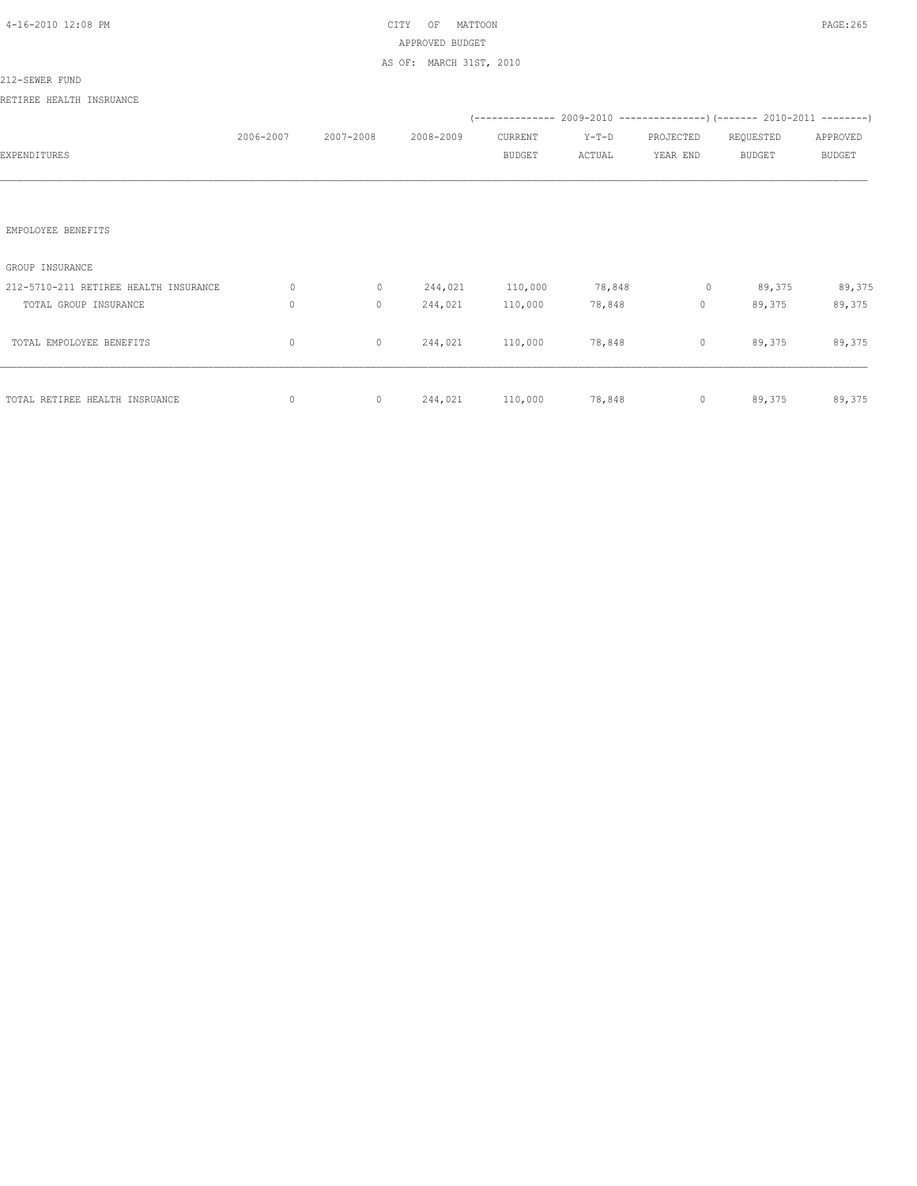# 4-16-2010 12:08 PM CITY OF MATTOON PAGE:265 APPROVED BUDGET AS OF: MARCH 31ST, 2010

#### 212-SEWER FUND

#### RETIREE HEALTH INSRUANCE

|              |           |           |           |               |         | $(-$ -------------- 2009-2010 -----------------) (------- 2010-2011 --------) |           |               |
|--------------|-----------|-----------|-----------|---------------|---------|-------------------------------------------------------------------------------|-----------|---------------|
|              | 2006-2007 | 2007-2008 | 2008-2009 | CURRENT       | $Y-T-D$ | PROJECTED                                                                     | REQUESTED | APPROVED      |
| EXPENDITURES |           |           |           | <b>BUDGET</b> | ACTUAL  | YEAR END                                                                      | BUDGET    | <b>BUDGET</b> |
|              |           |           |           |               |         |                                                                               |           |               |
|              |           |           |           |               |         |                                                                               |           |               |

| TOTAL RETIREE HEALTH INSRUANCE        | 0       | $\mathbf{0}$ | 244,021 | 110,000 | 78,848 | 0       | 89,375 | 89,375 |
|---------------------------------------|---------|--------------|---------|---------|--------|---------|--------|--------|
| TOTAL EMPOLOYEE BENEFITS              | 0       | 0            | 244,021 | 110,000 | 78,848 | 0       | 89,375 | 89,375 |
| TOTAL GROUP INSURANCE                 | $\circ$ | 0            | 244,021 | 110,000 | 78,848 | $\circ$ | 89,375 | 89,375 |
| 212-5710-211 RETIREE HEALTH INSURANCE | 0       | 0            | 244,021 | 110,000 | 78,848 | 0       | 89,375 | 89,375 |
| GROUP INSURANCE                       |         |              |         |         |        |         |        |        |
|                                       |         |              |         |         |        |         |        |        |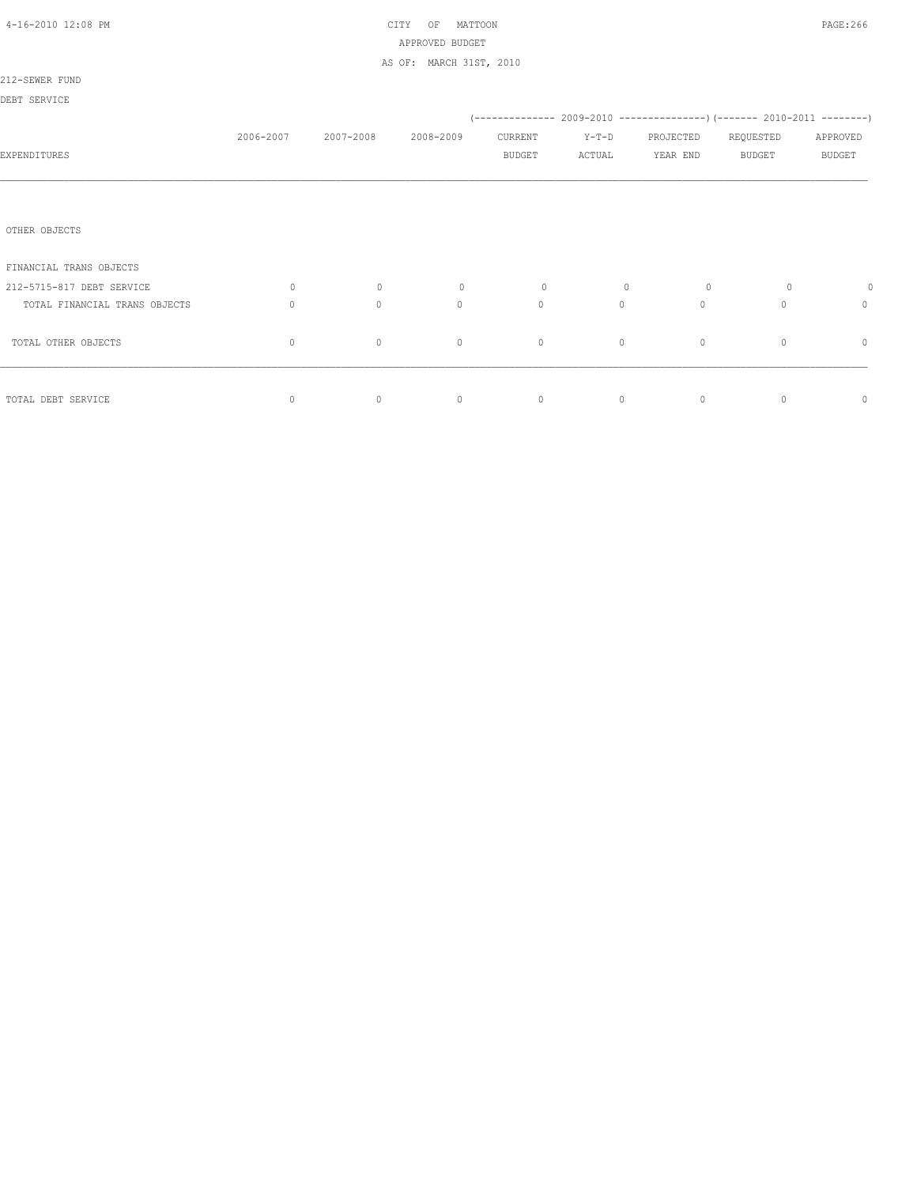# 4-16-2010 12:08 PM CITY OF MATTOON PAGE:266 APPROVED BUDGET AS OF: MARCH 31ST, 2010

### 212-SEWER FUND

| ىل∨⊥ ∨∆ىل ⊥ىلىر               |              |              |              |                          |                   |                       | $(---------- 2009-2010 ------------)$ $(---- 2010-2011 ------)$ |                           |
|-------------------------------|--------------|--------------|--------------|--------------------------|-------------------|-----------------------|-----------------------------------------------------------------|---------------------------|
| EXPENDITURES                  | 2006-2007    | 2007-2008    | 2008-2009    | CURRENT<br><b>BUDGET</b> | $Y-T-D$<br>ACTUAL | PROJECTED<br>YEAR END | REQUESTED<br><b>BUDGET</b>                                      | APPROVED<br><b>BUDGET</b> |
|                               |              |              |              |                          |                   |                       |                                                                 |                           |
| OTHER OBJECTS                 |              |              |              |                          |                   |                       |                                                                 |                           |
| FINANCIAL TRANS OBJECTS       |              |              |              |                          |                   |                       |                                                                 |                           |
| 212-5715-817 DEBT SERVICE     | $\circ$      | $\mathbf{0}$ | $\circ$      | $\circ$                  | $\mathbf{0}$      | $\mathbf{0}$          | $\mathbf{0}$                                                    | 0                         |
| TOTAL FINANCIAL TRANS OBJECTS | $\mathbf{0}$ | $\mathbf{0}$ | $\mathbf{0}$ | $\mathbf{0}$             | $\circ$           | $\circ$               | $\Omega$                                                        | $\mathbf{0}$              |
| TOTAL OTHER OBJECTS           | $\circ$      | $\circ$      | $\circ$      | $\circ$                  | $\circ$           | 0                     | $\circ$                                                         | $\mathbf{0}$              |
| TOTAL DEBT SERVICE            | $\circ$      | $\circ$      | $\mathbf{0}$ | $\circ$                  | $\circ$           | $\circ$               | $\mathbf{0}$                                                    | $\mathbf{0}$              |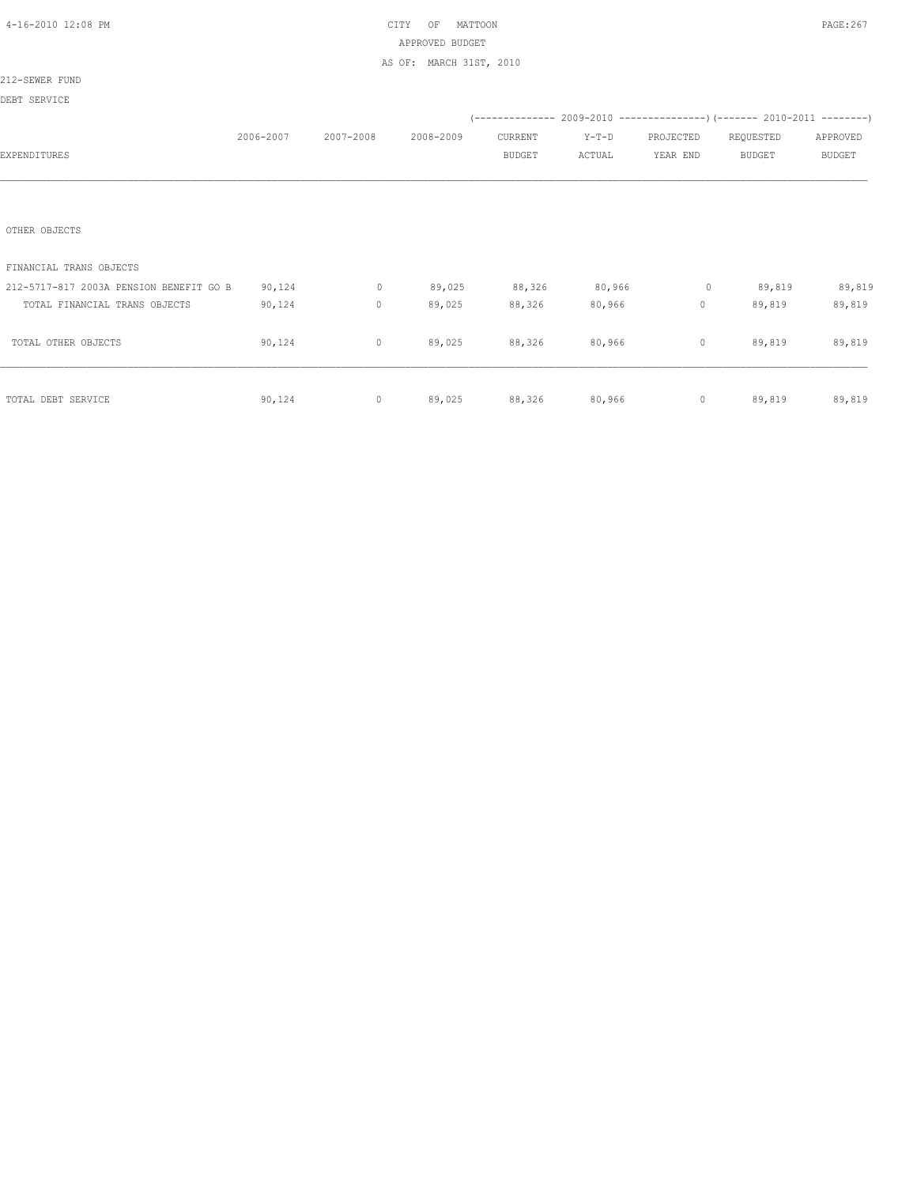# 4-16-2010 12:08 PM CITY OF MATTOON PAGE:267 APPROVED BUDGET AS OF: MARCH 31ST, 2010

### 212-SEWER FUND

| EXPENDITURES                            | 2006-2007 | 2007-2008 | 2008-2009 | CURRENT<br><b>BUDGET</b> | Y-T-D<br>ACTUAL | PROJECTED<br>YEAR END | $(-$ ------------- 2009-2010 ----------------) (------- 2010-2011 --------)<br>REQUESTED<br><b>BUDGET</b> | APPROVED<br><b>BUDGET</b> |
|-----------------------------------------|-----------|-----------|-----------|--------------------------|-----------------|-----------------------|-----------------------------------------------------------------------------------------------------------|---------------------------|
| OTHER OBJECTS                           |           |           |           |                          |                 |                       |                                                                                                           |                           |
| FINANCIAL TRANS OBJECTS                 |           |           |           |                          |                 |                       |                                                                                                           |                           |
| 212-5717-817 2003A PENSION BENEFIT GO B | 90,124    | $\circ$   | 89,025    | 88,326                   | 80,966          | $\mathbf{0}$          | 89,819                                                                                                    | 89,819                    |
| TOTAL FINANCIAL TRANS OBJECTS           | 90,124    | 0         | 89,025    | 88,326                   | 80,966          | $\mathbf{0}$          | 89,819                                                                                                    | 89,819                    |
| TOTAL OTHER OBJECTS                     | 90,124    | $\circ$   | 89,025    | 88,326                   | 80,966          | $\circ$               | 89,819                                                                                                    | 89,819                    |
| TOTAL DEBT SERVICE                      | 90,124    | $\circ$   | 89,025    | 88,326                   | 80,966          | $\circ$               | 89,819                                                                                                    | 89,819                    |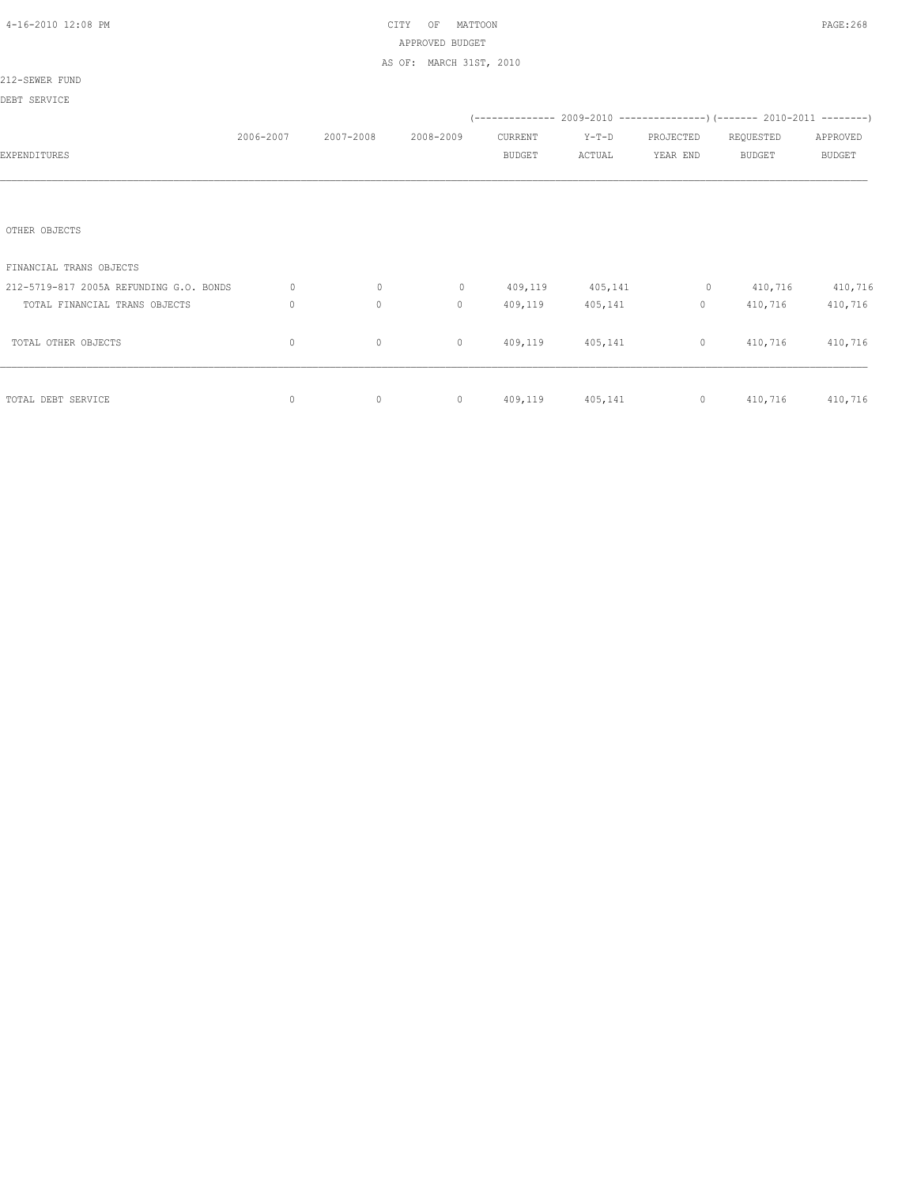# 4-16-2010 12:08 PM CITY OF MATTOON PAGE:268 APPROVED BUDGET AS OF: MARCH 31ST, 2010

#### 212-SEWER FUND

| EXPENDITURES                                                             | 2006-2007               | 2007-2008          | 2008-2009          | CURRENT<br><b>BUDGET</b> | $Y-T-D$<br>ACTUAL  | PROJECTED<br>YEAR END   | (-------------- 2009-2010 ----------------) (------- 2010-2011 --------)<br>REQUESTED<br><b>BUDGET</b> | APPROVED<br><b>BUDGET</b> |
|--------------------------------------------------------------------------|-------------------------|--------------------|--------------------|--------------------------|--------------------|-------------------------|--------------------------------------------------------------------------------------------------------|---------------------------|
| OTHER OBJECTS                                                            |                         |                    |                    |                          |                    |                         |                                                                                                        |                           |
| FINANCIAL TRANS OBJECTS                                                  |                         |                    |                    |                          |                    |                         |                                                                                                        |                           |
| 212-5719-817 2005A REFUNDING G.O. BONDS<br>TOTAL FINANCIAL TRANS OBJECTS | $\circ$<br>$\mathbf{0}$ | $\circ$<br>$\circ$ | $\circ$<br>$\circ$ | 409,119<br>409,119       | 405,141<br>405,141 | $\circ$<br>$\mathbf{0}$ | 410,716<br>410,716                                                                                     | 410,716<br>410,716        |
|                                                                          |                         |                    |                    |                          |                    |                         |                                                                                                        |                           |
| TOTAL OTHER OBJECTS                                                      | 0                       | $\circ$            | $\circ$            | 409,119                  | 405,141            | $\circ$                 | 410,716                                                                                                | 410,716                   |
| TOTAL DEBT SERVICE                                                       | 0                       | $\circ$            | $\circ$            | 409,119                  | 405,141            | $\circ$                 | 410,716                                                                                                | 410,716                   |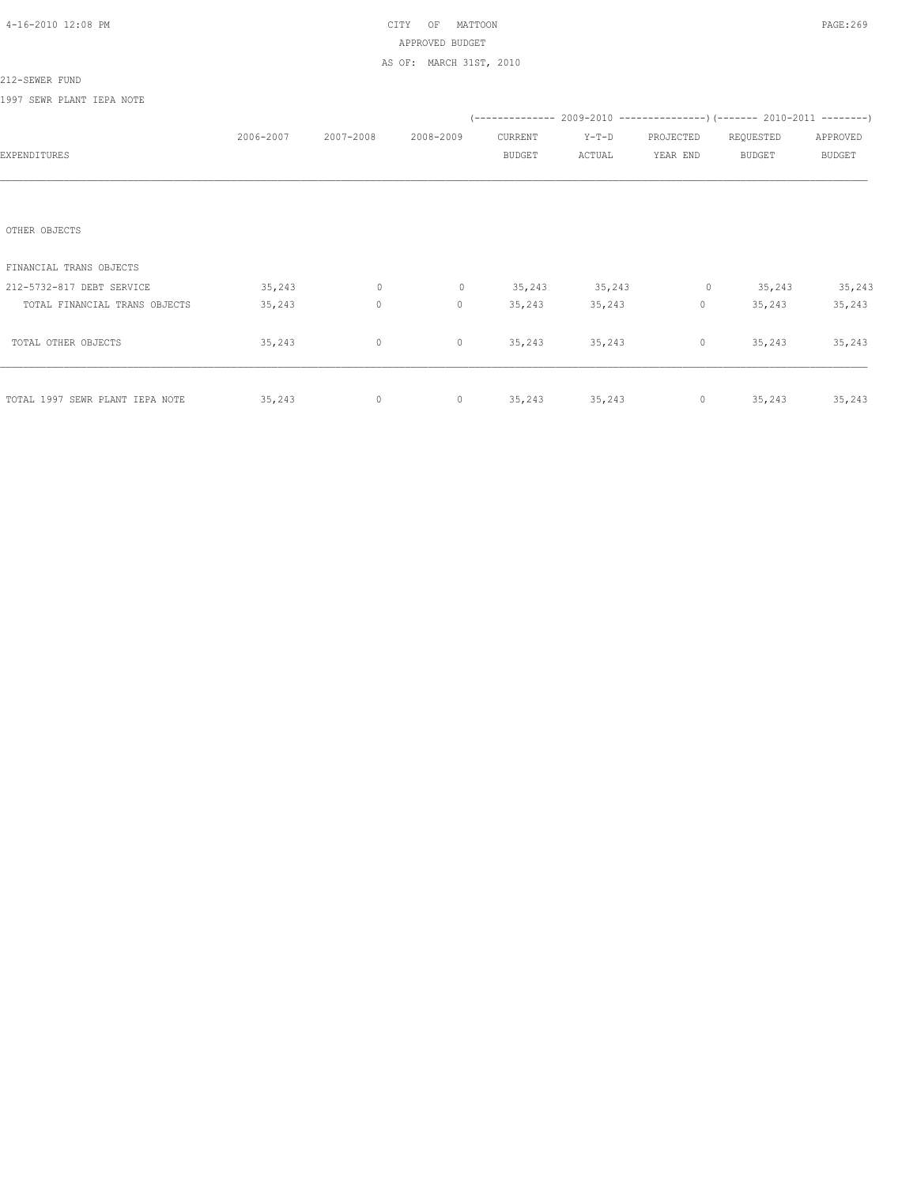# 4-16-2010 12:08 PM CITY OF MATTOON PAGE:269 APPROVED BUDGET AS OF: MARCH 31ST, 2010

#### 212-SEWER FUND

1997 SEWR PLANT IEPA NOTE

|                                 |           |             |           |               |         | (-------------- 2009-2010 ----------------) (------- 2010-2011 --------) |               |               |  |
|---------------------------------|-----------|-------------|-----------|---------------|---------|--------------------------------------------------------------------------|---------------|---------------|--|
|                                 | 2006-2007 | 2007-2008   | 2008-2009 | CURRENT       | $Y-T-D$ | PROJECTED                                                                | REQUESTED     | APPROVED      |  |
| EXPENDITURES                    |           |             |           | <b>BUDGET</b> | ACTUAL  | YEAR END                                                                 | <b>BUDGET</b> | <b>BUDGET</b> |  |
|                                 |           |             |           |               |         |                                                                          |               |               |  |
| OTHER OBJECTS                   |           |             |           |               |         |                                                                          |               |               |  |
| FINANCIAL TRANS OBJECTS         |           |             |           |               |         |                                                                          |               |               |  |
| 212-5732-817 DEBT SERVICE       | 35,243    | $\circ$     | $\circ$   | 35,243        | 35,243  | $\mathbf 0$                                                              | 35,243        | 35,243        |  |
| TOTAL FINANCIAL TRANS OBJECTS   | 35,243    | $\mathbb O$ | $\circ$   | 35,243        | 35,243  | $\mathbf{0}$                                                             | 35,243        | 35,243        |  |
| TOTAL OTHER OBJECTS             | 35,243    | $\circ$     | $\circ$   | 35,243        | 35,243  | 0                                                                        | 35,243        | 35,243        |  |
| TOTAL 1997 SEWR PLANT IEPA NOTE | 35,243    | $\circ$     | $\circ$   | 35,243        | 35,243  | 0                                                                        | 35,243        | 35,243        |  |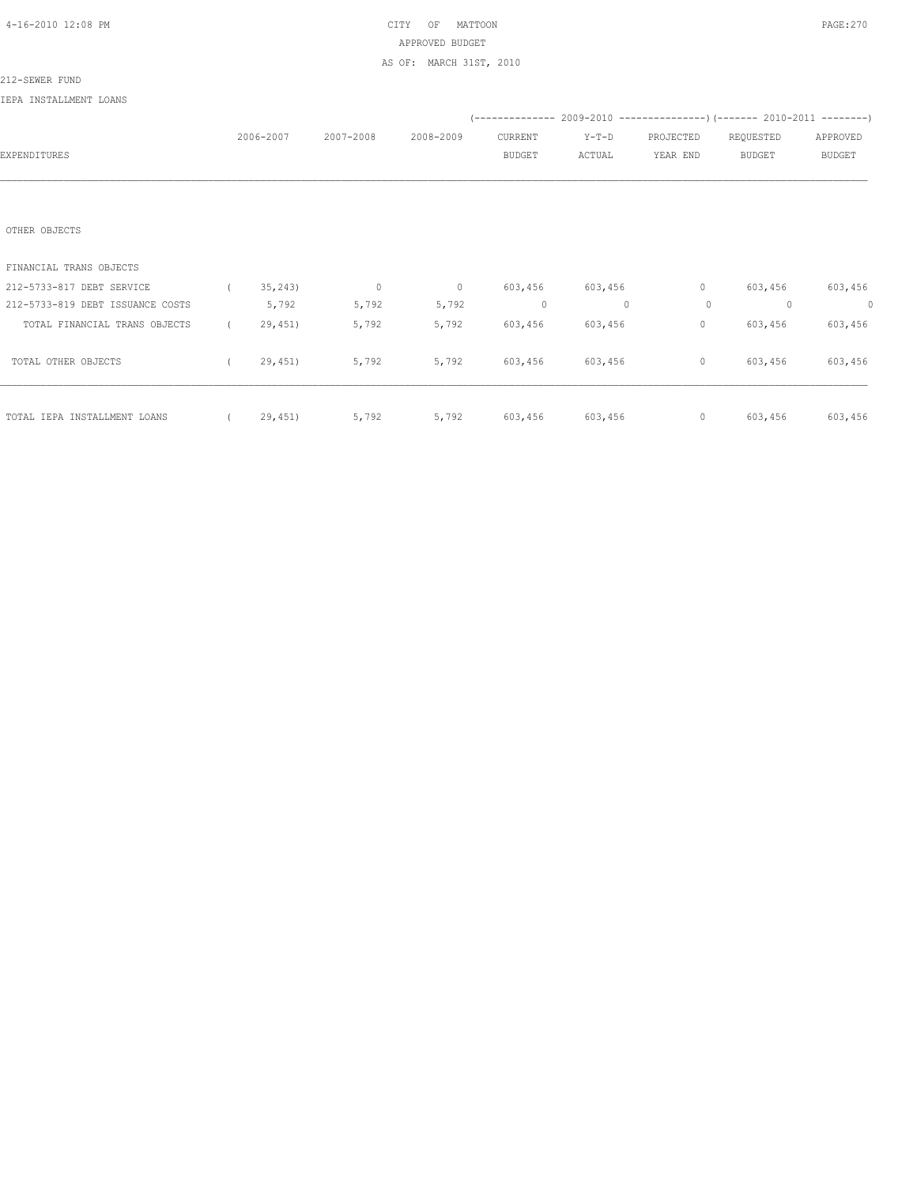# 4-16-2010 12:08 PM CITY OF MATTOON PAGE:270 APPROVED BUDGET AS OF: MARCH 31ST, 2010

#### 212-SEWER FUND

#### IEPA INSTALLMENT LOANS

|                                  | 2006-2007 | 2007-2008 | 2008-2009      | CURRENT       | $Y-T-D$      | PROJECTED    | REQUESTED    | APPROVED |
|----------------------------------|-----------|-----------|----------------|---------------|--------------|--------------|--------------|----------|
| EXPENDITURES                     |           |           |                | <b>BUDGET</b> | ACTUAL       | YEAR END     | BUDGET       | BUDGET   |
|                                  |           |           |                |               |              |              |              |          |
|                                  |           |           |                |               |              |              |              |          |
| OTHER OBJECTS                    |           |           |                |               |              |              |              |          |
|                                  |           |           |                |               |              |              |              |          |
| FINANCIAL TRANS OBJECTS          |           |           |                |               |              |              |              |          |
| 212-5733-817 DEBT SERVICE        | 35, 243   | $\circ$   | $\overline{0}$ | 603,456       | 603,456      | $\circ$      | 603,456      | 603,456  |
| 212-5733-819 DEBT ISSUANCE COSTS | 5,792     | 5,792     | 5,792          | $\circ$       | $\mathbf{0}$ | $\mathbf{0}$ | $\mathbf{0}$ | $\circ$  |
| TOTAL FINANCIAL TRANS OBJECTS    | 29,451    | 5,792     | 5,792          | 603,456       | 603,456      | $\mathbf 0$  | 603,456      | 603,456  |

|                              | -------- |       | ------ | .       | .       | __       | .       | .       |
|------------------------------|----------|-------|--------|---------|---------|----------|---------|---------|
| TOTAL OTHER OBJECTS          | 29,451   | 5,792 | 5,792  | 603,456 | 603,456 | $\circ$  | 603,456 | 603,456 |
| TOTAL IEPA INSTALLMENT LOANS | 29,451   | 5,792 | 5,792  | 603,456 | 603,456 | $\Omega$ | 603,456 | 603,456 |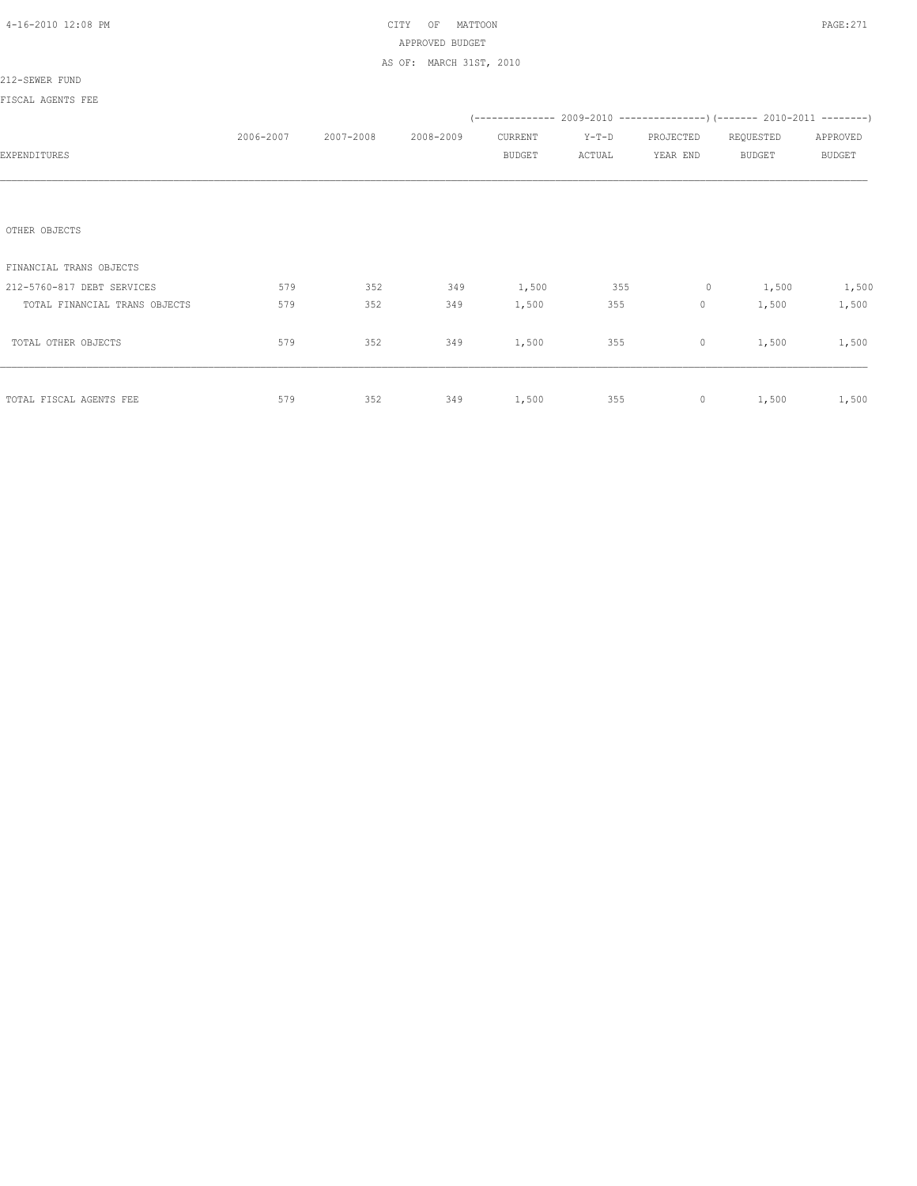# 4-16-2010 12:08 PM CITY OF MATTOON PAGE:271 APPROVED BUDGET AS OF: MARCH 31ST, 2010

#### 212-SEWER FUND

### FISCAL AGENTS FEE

| EXPENDITURES                  | 2006-2007 | 2007-2008 | 2008-2009 | CURRENT<br><b>BUDGET</b> | $Y-T-D$<br>ACTUAL | PROJECTED<br>YEAR END | (-------------- 2009-2010 ----------------) (------- 2010-2011 --------)<br>REQUESTED<br><b>BUDGET</b> | APPROVED<br><b>BUDGET</b> |
|-------------------------------|-----------|-----------|-----------|--------------------------|-------------------|-----------------------|--------------------------------------------------------------------------------------------------------|---------------------------|
| OTHER OBJECTS                 |           |           |           |                          |                   |                       |                                                                                                        |                           |
| FINANCIAL TRANS OBJECTS       |           |           |           |                          |                   |                       |                                                                                                        |                           |
| 212-5760-817 DEBT SERVICES    | 579       | 352       | 349       | 1,500                    | 355               | $\mathbf 0$           | 1,500                                                                                                  | 1,500                     |
| TOTAL FINANCIAL TRANS OBJECTS | 579       | 352       | 349       | 1,500                    | 355               | 0                     | 1,500                                                                                                  | 1,500                     |
| TOTAL OTHER OBJECTS           | 579       | 352       | 349       | 1,500                    | 355               | $\circ$               | 1,500                                                                                                  | 1,500                     |
| TOTAL FISCAL AGENTS FEE       | 579       | 352       | 349       | 1,500                    | 355               | $\circ$               | 1,500                                                                                                  | 1,500                     |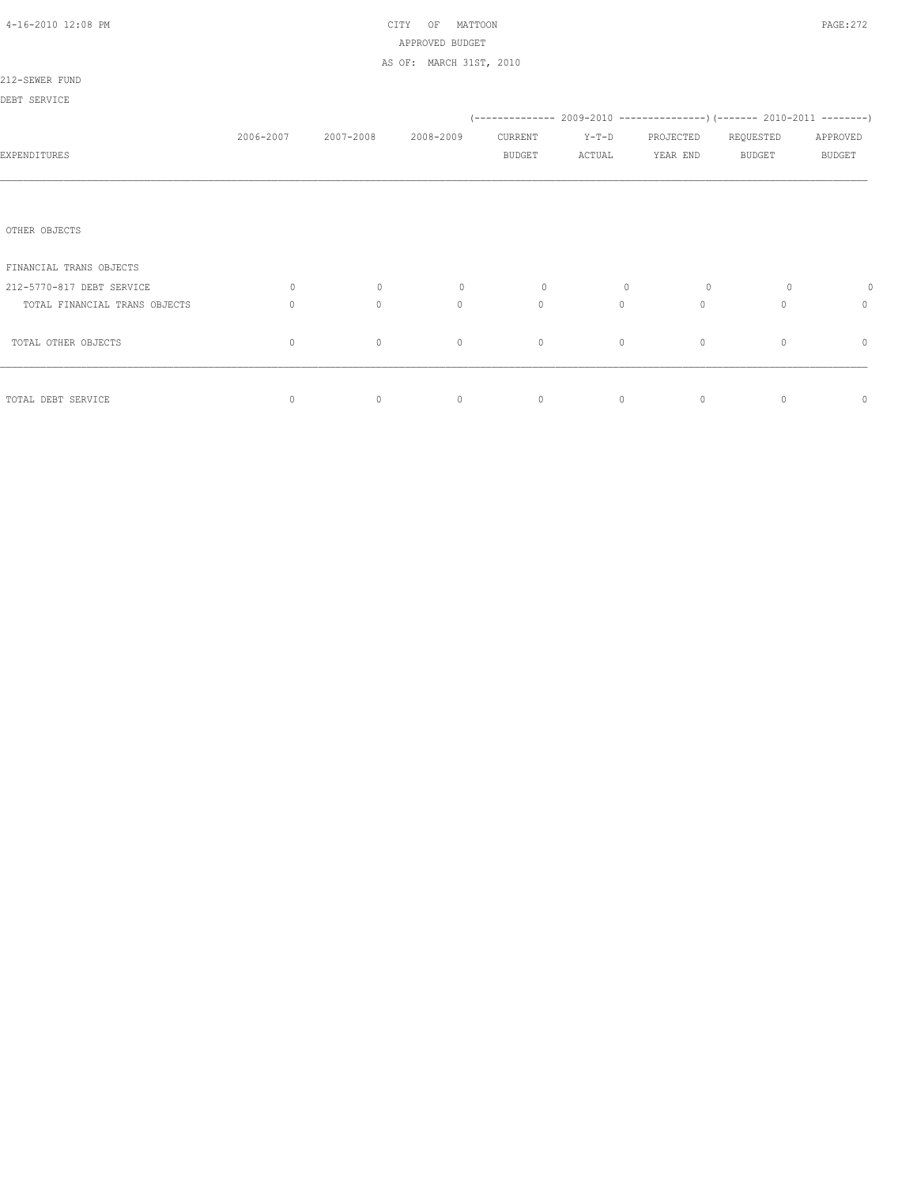# 4-16-2010 12:08 PM CITY OF MATTOON PAGE:272 APPROVED BUDGET AS OF: MARCH 31ST, 2010

#### 212-SEWER FUND

| nnn: nnmern                   |           |              |              |                          |                   | (-------------- 2009-2010 ----------------) (------- 2010-2011 --------) |                            |                           |
|-------------------------------|-----------|--------------|--------------|--------------------------|-------------------|--------------------------------------------------------------------------|----------------------------|---------------------------|
| EXPENDITURES                  | 2006-2007 | 2007-2008    | 2008-2009    | CURRENT<br><b>BUDGET</b> | $Y-T-D$<br>ACTUAL | PROJECTED<br>YEAR END                                                    | REQUESTED<br><b>BUDGET</b> | APPROVED<br><b>BUDGET</b> |
|                               |           |              |              |                          |                   |                                                                          |                            |                           |
| OTHER OBJECTS                 |           |              |              |                          |                   |                                                                          |                            |                           |
| FINANCIAL TRANS OBJECTS       |           |              |              |                          |                   |                                                                          |                            |                           |
| 212-5770-817 DEBT SERVICE     | $\circ$   | $\circ$      | $\circ$      | $\circ$                  | $\mathbf{0}$      | $\mathbf{0}$                                                             | $\mathbf{0}$               | 0                         |
| TOTAL FINANCIAL TRANS OBJECTS | $\Omega$  | $\mathbf{0}$ | $\mathbf{0}$ | $\mathbf{0}$             | $\circ$           | $\circ$                                                                  | $\Omega$                   | $\mathbf{0}$              |
| TOTAL OTHER OBJECTS           | $\circ$   | $\circ$      | $\circ$      | $\circ$                  | $\circ$           | $\mathbf{0}$                                                             | $\circ$                    | $\mathbf{0}$              |
| TOTAL DEBT SERVICE            | $\circ$   | $\circ$      | $\mathbf{0}$ | $\circ$                  | $\circ$           | $\circ$                                                                  | $\mathbf{0}$               | $\mathbf{0}$              |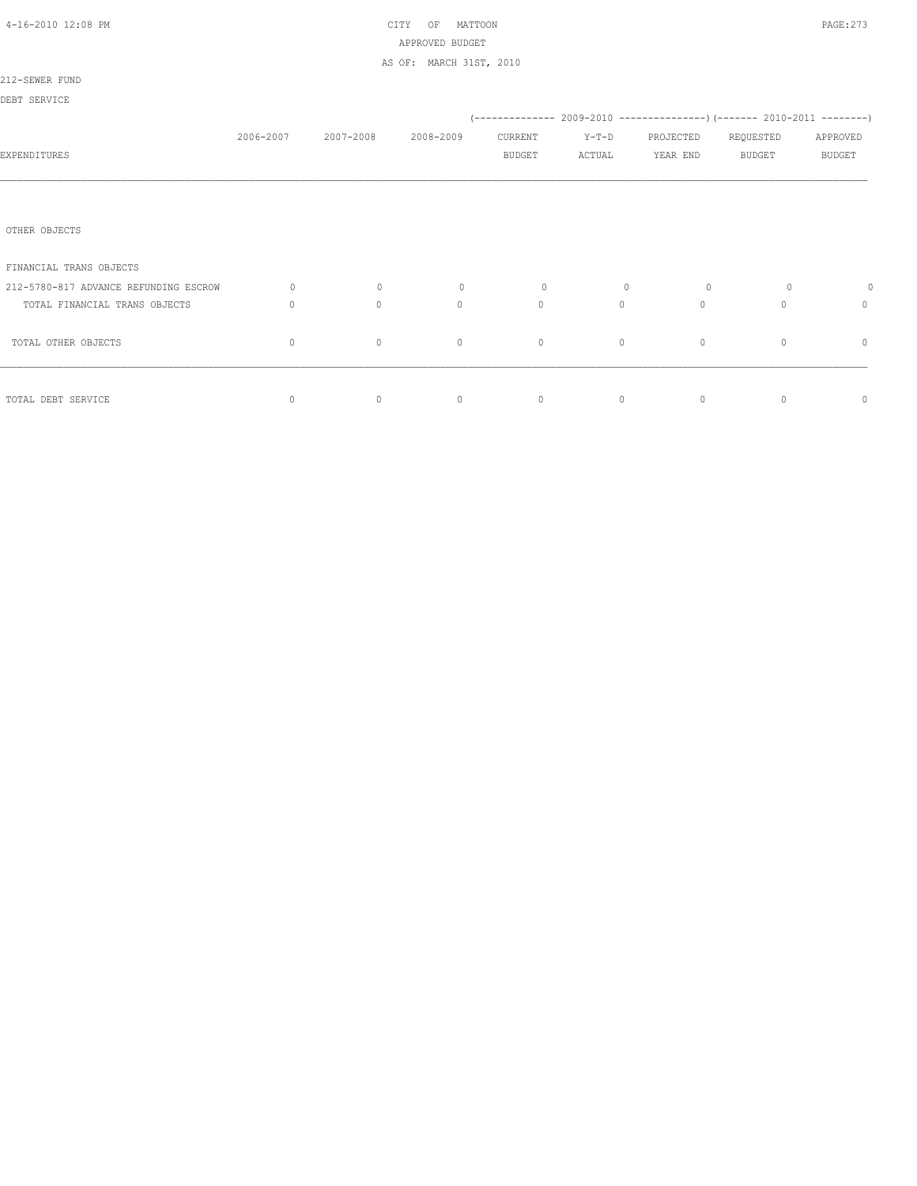# 4-16-2010 12:08 PM CITY OF MATTOON PAGE:273 APPROVED BUDGET AS OF: MARCH 31ST, 2010

### 212-SEWER FUND

| EXPENDITURES                          | 2006-2007    | 2007-2008   | 2008-2009    | CURRENT<br><b>BUDGET</b> | $Y-T-D$<br>ACTUAL | $(-$ ------------- 2009-2010 ----------------) (------- 2010-2011 --------)<br>PROJECTED<br>YEAR END | REQUESTED<br><b>BUDGET</b> | APPROVED<br>BUDGET |
|---------------------------------------|--------------|-------------|--------------|--------------------------|-------------------|------------------------------------------------------------------------------------------------------|----------------------------|--------------------|
|                                       |              |             |              |                          |                   |                                                                                                      |                            |                    |
| OTHER OBJECTS                         |              |             |              |                          |                   |                                                                                                      |                            |                    |
| FINANCIAL TRANS OBJECTS               |              |             |              |                          |                   |                                                                                                      |                            |                    |
| 212-5780-817 ADVANCE REFUNDING ESCROW | $\circ$      | $\circ$     | $\circ$      | 0                        | $\mathbf{0}$      | $\mathbf{0}$                                                                                         | $\mathbf 0$                | 0                  |
| TOTAL FINANCIAL TRANS OBJECTS         | $\circ$      | $\circ$     | $\mathbf{0}$ | $\mathbf{0}$             | $\circ$           | $\circ$                                                                                              | $\mathbf{0}$               | $\circ$            |
| TOTAL OTHER OBJECTS                   | $\mathbf{0}$ | $\mathbb O$ | $\mathbf{0}$ | $\mathbf{0}$             | $\circ$           | $\circ$                                                                                              | $\mathbf{0}$               | $\mathbf{0}$       |
| TOTAL DEBT SERVICE                    | $\mathbf{0}$ | $\circ$     | $\mathbf{0}$ | $\circ$                  | $\circ$           | $\circ$                                                                                              | $\mathbf{0}$               | $\mathbf{0}$       |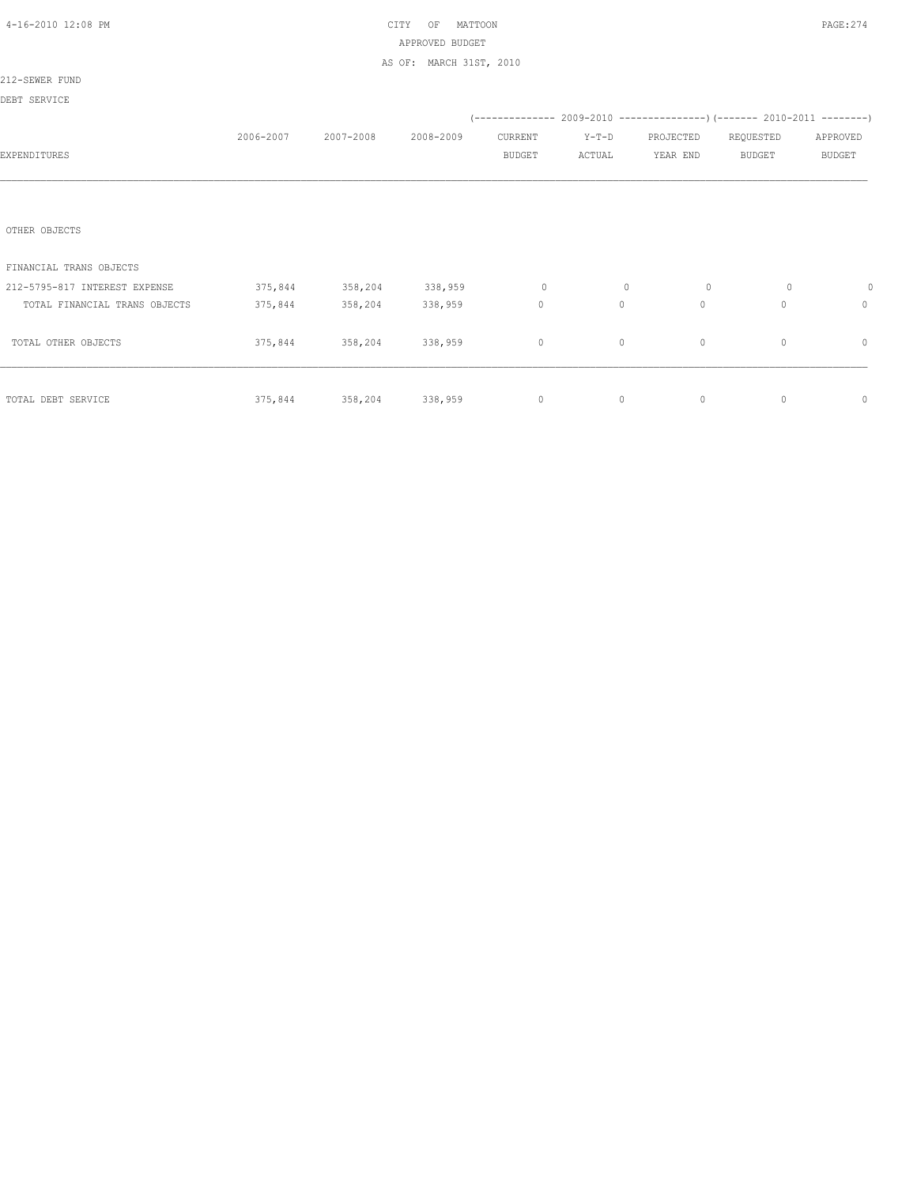# 4-16-2010 12:08 PM CITY OF MATTOON PAGE:274 APPROVED BUDGET AS OF: MARCH 31ST, 2010

### 212-SEWER FUND

| DRDI SEKVIÇE                  |           |           |           |                          |                   | (-------------- 2009-2010 ----------------) (------- 2010-2011 --------) |                            |                           |
|-------------------------------|-----------|-----------|-----------|--------------------------|-------------------|--------------------------------------------------------------------------|----------------------------|---------------------------|
| EXPENDITURES                  | 2006-2007 | 2007-2008 | 2008-2009 | CURRENT<br><b>BUDGET</b> | $Y-T-D$<br>ACTUAL | PROJECTED<br>YEAR END                                                    | REQUESTED<br><b>BUDGET</b> | APPROVED<br><b>BUDGET</b> |
|                               |           |           |           |                          |                   |                                                                          |                            |                           |
| OTHER OBJECTS                 |           |           |           |                          |                   |                                                                          |                            |                           |
| FINANCIAL TRANS OBJECTS       |           |           |           |                          |                   |                                                                          |                            |                           |
| 212-5795-817 INTEREST EXPENSE | 375,844   | 358,204   | 338,959   | 0                        | $\mathbf{0}$      | $\mathbf{0}$                                                             | $\mathbf{0}$               | $\mathbf{0}$              |
| TOTAL FINANCIAL TRANS OBJECTS | 375,844   | 358,204   | 338,959   | $\mathbb O$              | $\circ$           | $\circ$                                                                  | $\circ$                    | $\mathbf{0}$              |
| TOTAL OTHER OBJECTS           | 375,844   | 358,204   | 338,959   | $\circ$                  | $\circ$           | $\circ$                                                                  | $\circ$                    | 0                         |
| TOTAL DEBT SERVICE            | 375,844   | 358,204   | 338,959   | $\circ$                  | $\circ$           | 0                                                                        | $\mathbf 0$                | $\circ$                   |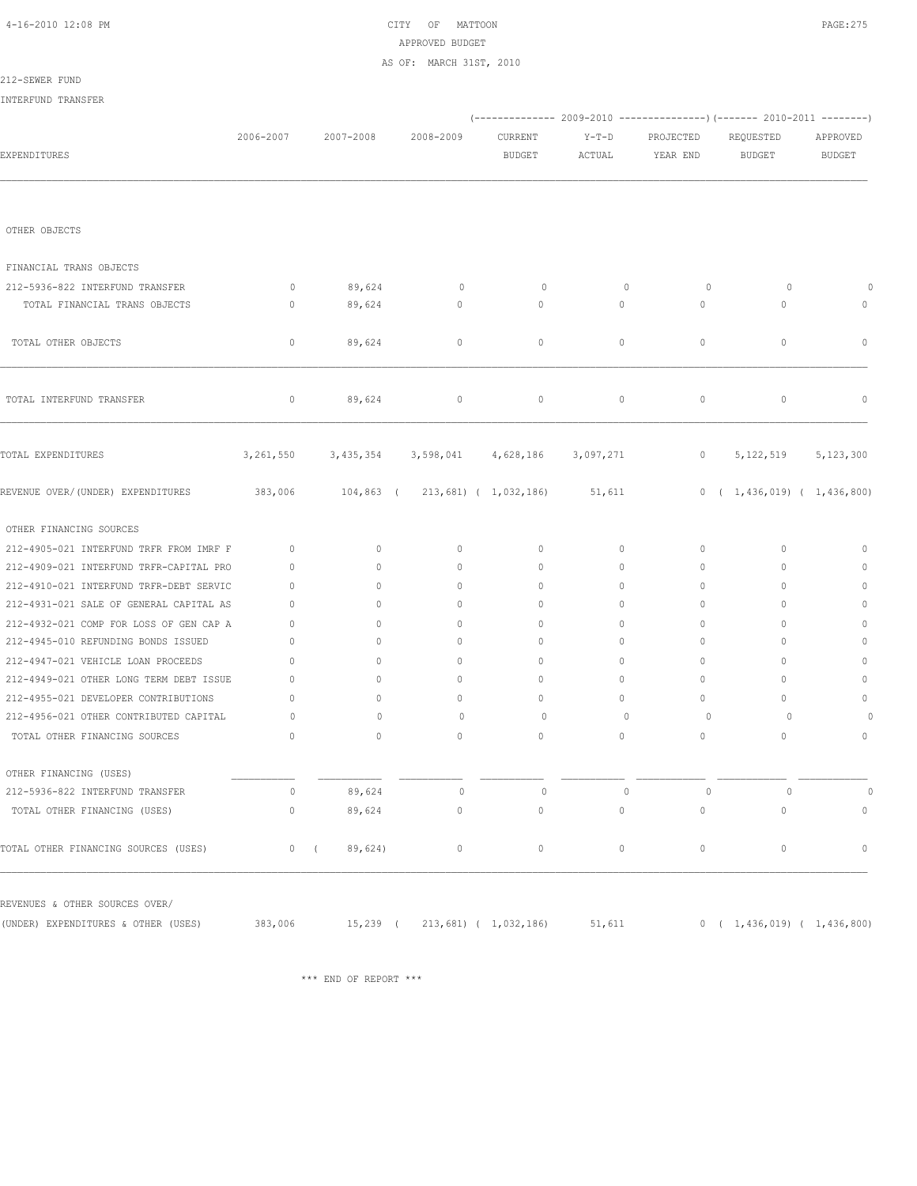# 4-16-2010 12:08 PM CITY OF MATTOON PAGE:275 APPROVED BUDGET AS OF: MARCH 31ST, 2010

# 212-SEWER FUND

| INTERFUND TRANSFER                      |              |                               |                               |                          |                   |                                                                          |                                         |                    |
|-----------------------------------------|--------------|-------------------------------|-------------------------------|--------------------------|-------------------|--------------------------------------------------------------------------|-----------------------------------------|--------------------|
|                                         |              |                               |                               |                          |                   | (-------------- 2009-2010 ----------------) (------- 2010-2011 --------) |                                         |                    |
| EXPENDITURES                            | 2006-2007    | 2007-2008                     | 2008-2009                     | CURRENT<br><b>BUDGET</b> | $Y-T-D$<br>ACTUAL | PROJECTED<br>YEAR END                                                    | REQUESTED<br><b>BUDGET</b>              | APPROVED<br>BUDGET |
|                                         |              |                               |                               |                          |                   |                                                                          |                                         |                    |
| OTHER OBJECTS                           |              |                               |                               |                          |                   |                                                                          |                                         |                    |
| FINANCIAL TRANS OBJECTS                 |              |                               |                               |                          |                   |                                                                          |                                         |                    |
| 212-5936-822 INTERFUND TRANSFER         | $\circ$      | 89,624                        | $\circ$                       | $\circ$                  | $\mathbf{0}$      | $\mathbf{0}$                                                             | $\mathbf 0$                             | 0                  |
| TOTAL FINANCIAL TRANS OBJECTS           | $\mathbf{0}$ | 89,624                        | $\circ$                       | $\mathbf{0}$             | $\circ$           | $\circ$                                                                  | $\mathbf{0}$                            | 0                  |
| TOTAL OTHER OBJECTS                     | $\mathbf{0}$ | 89,624                        | $\mathbf 0$                   | $\mathbf{0}$             | $\circ$           | $\circ$                                                                  | $\mathbf{0}$                            | $\mathbf 0$        |
| TOTAL INTERFUND TRANSFER                | $\circ$      | 89,624                        | $\mathbb{O}$                  | $\circ$                  | $\circ$           | $\circ$                                                                  | $\mathbf 0$                             | $\mathbf{0}$       |
| TOTAL EXPENDITURES                      | 3,261,550    | 3,435,354 3,598,041 4,628,186 |                               |                          | 3,097,271         | $\circ$                                                                  | 5,122,519                               | 5, 123, 300        |
| REVENUE OVER/(UNDER) EXPENDITURES       | 383,006      |                               | 104,863 (213,681) (1,032,186) |                          | 51,611            |                                                                          | $0 \quad (1,436,019) \quad (1,436,800)$ |                    |
| OTHER FINANCING SOURCES                 |              |                               |                               |                          |                   |                                                                          |                                         |                    |
| 212-4905-021 INTERFUND TRFR FROM IMRF F | $\mathbf{0}$ | $\circ$                       | $\circ$                       | $\mathbf{0}$             | $\circ$           | $\circ$                                                                  | $\mathbf{0}$                            | 0                  |
| 212-4909-021 INTERFUND TRFR-CAPITAL PRO | $\mathbf{0}$ | $\mathbf{0}$                  | $\mathbf{0}$                  | $\mathbf{0}$             | $\circ$           | $\circ$                                                                  | $\mathbf{0}$                            | $\mathbf{0}$       |
| 212-4910-021 INTERFUND TRFR-DEBT SERVIC | $\mathbf{0}$ | $\mathbf{0}$                  | $\mathbf{0}$                  | $\mathbf{0}$             | $\circ$           | $\circ$                                                                  | $\mathbf{0}$                            | 0                  |
| 212-4931-021 SALE OF GENERAL CAPITAL AS | $\mathbf{0}$ | $\mathbf{0}$                  | $\mathbf{0}$                  | $\mathbf{0}$             | $\circ$           | $\circ$                                                                  | $\mathbf{0}$                            | 0                  |
| 212-4932-021 COMP FOR LOSS OF GEN CAP A | $\circ$      | $\mathbf{0}$                  | $\mathbf{0}$                  | $\mathbf{0}$             | $\circ$           | $\circ$                                                                  | $\mathbf{0}$                            | $\mathbf{0}$       |
| 212-4945-010 REFUNDING BONDS ISSUED     | $\mathbf{0}$ | $\mathbf{0}$                  | $\mathbf{0}$                  | $\mathbf{0}$             | $\circ$           | $\circ$                                                                  | $\mathbf{0}$                            | $\mathbf{0}$       |
| 212-4947-021 VEHICLE LOAN PROCEEDS      | $\circ$      | $\mathbf{0}$                  | $\mathbf{0}$                  | $\mathbf{0}$             | $\circ$           | $\circ$                                                                  | $\mathbf{0}$                            | $\mathbf{0}$       |
| 212-4949-021 OTHER LONG TERM DEBT ISSUE | $\circ$      | $\mathbf{0}$                  | $\mathbf{0}$                  | $\circ$                  | $\circ$           | $\circ$                                                                  | $\mathbf{0}$                            | $\mathbf{0}$       |
| 212-4955-021 DEVELOPER CONTRIBUTIONS    | $\circ$      | $\circ$                       | $\mathbf{0}$                  | $\mathbf{0}$             | $\circ$           | $\circ$                                                                  | $\circ$                                 | 0                  |
| 212-4956-021 OTHER CONTRIBUTED CAPITAL  | $\circ$      | $\circ$                       | $\circ$                       | $\circ$                  | $\mathbf{0}$      | $\mathbf{0}$                                                             | $\mathbf{0}$                            | $\mathbf{0}$       |
| TOTAL OTHER FINANCING SOURCES           | $\mathbf{0}$ | $\mathbf{0}$                  | $\mathbf{0}$                  | $\mathbf{0}$             | $\circ$           | $\circ$                                                                  | $\mathbf{0}$                            | $\mathbf{0}$       |
| OTHER FINANCING (USES)                  |              |                               |                               |                          |                   |                                                                          |                                         |                    |
| 212-5936-822 INTERFUND TRANSFER         | 0            | 89,624                        | $\mathbb O$                   | 0                        | $\mathbb O$       | $\mathbf 0$                                                              | $\mathbb O$                             | 0                  |
| TOTAL OTHER FINANCING (USES)            | 0            | 89,624                        | $\mathbb O$                   | $\mathbb O$              | $\circ$           | 0                                                                        | $\mathbb O$                             | $\mathbb O$        |
| TOTAL OTHER FINANCING SOURCES (USES)    | $0$ (        | 89,624)                       | $\mathbb O$                   | $\mathbb O$              | $\circ$           | $\mathbb O$                                                              | $\mathbb O$                             | $\mathbb O$        |

\*\*\* END OF REPORT \*\*\*

(UNDER) EXPENDITURES & OTHER (USES) 383,006 15,239 ( 213,681) ( 1,032,186) 51,611 0 ( 1,436,019) ( 1,436,800)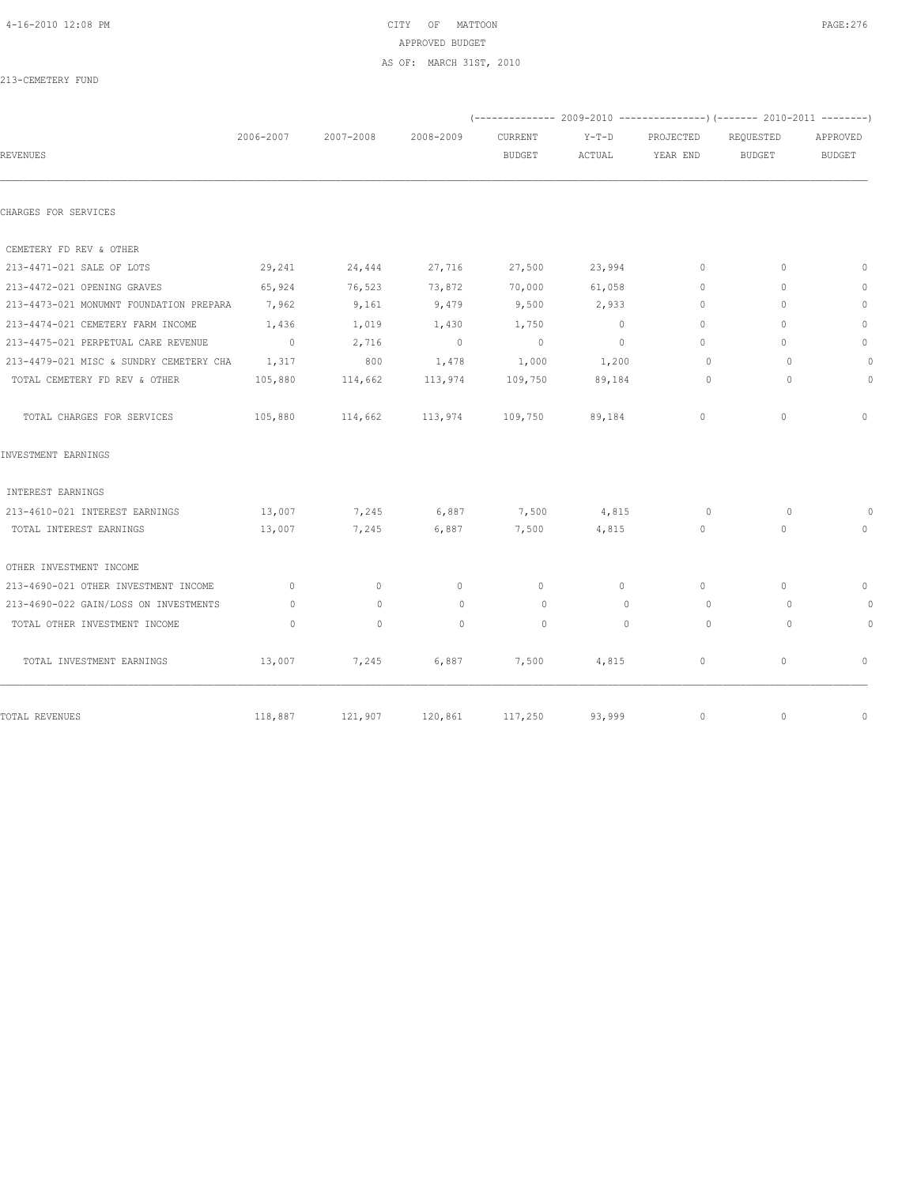# 4-16-2010 12:08 PM CITY OF MATTOON PAGE:276 APPROVED BUDGET AS OF: MARCH 31ST, 2010

### 213-CEMETERY FUND

|                                         |                |              |                         |                |                |                                  | (-------------- 2009-2010 ----------------) (------- 2010-2011 --------) |               |
|-----------------------------------------|----------------|--------------|-------------------------|----------------|----------------|----------------------------------|--------------------------------------------------------------------------|---------------|
|                                         | 2006-2007      | 2007-2008    | 2008-2009               | CURRENT        | $Y-T-D$        | PROJECTED                        | REQUESTED                                                                | APPROVED      |
| <b>REVENUES</b>                         |                |              |                         | <b>BUDGET</b>  | ACTUAL         | YEAR END                         | BUDGET                                                                   | <b>BUDGET</b> |
| CHARGES FOR SERVICES                    |                |              |                         |                |                |                                  |                                                                          |               |
|                                         |                |              |                         |                |                |                                  |                                                                          |               |
| CEMETERY FD REV & OTHER                 |                |              |                         |                |                |                                  |                                                                          |               |
| 213-4471-021 SALE OF LOTS               | 29,241         | 24,444       | 27,716                  | 27,500         | 23,994         | $\Omega$                         | $\mathbf{0}$                                                             | $\mathbf{0}$  |
| 213-4472-021 OPENING GRAVES             | 65,924         | 76,523       | 73,872                  | 70,000         | 61,058         | $\circ$                          | $\mathbf{0}$                                                             | $\circ$       |
| 213-4473-021 MONUMNT FOUNDATION PREPARA | 7,962          | 9,161        | 9,479                   | 9,500          | 2,933          | 0                                | $\circ$                                                                  | $\circ$       |
| 213-4474-021 CEMETERY FARM INCOME       | 1,436          | 1,019        | 1,430                   | 1,750          | $\sim$ 0       | $\begin{array}{c} \n\end{array}$ | $\Omega$                                                                 | $\circ$       |
| 213-4475-021 PERPETUAL CARE REVENUE     | $\overline{0}$ | 2,716        | $\sim$ 0                | $\overline{0}$ | $\overline{0}$ | $\circ$                          | $\Omega$                                                                 | $\circ$       |
| 213-4479-021 MISC & SUNDRY CEMETERY CHA | 1,317          | 800          | 1,478                   | 1,000          | 1,200          | $\mathbf{0}$                     | $\mathbf{0}$                                                             | $\mathbf 0$   |
| TOTAL CEMETERY FD REV & OTHER           | 105,880        | 114,662      | 113,974                 | 109,750        | 89,184         | $\mathbf{0}$                     | $\mathbf{0}$                                                             | $\theta$      |
| TOTAL CHARGES FOR SERVICES              | 105,880        |              | 114,662 113,974 109,750 |                | 89,184         | $\circ$                          | $\mathbf{0}$                                                             | $\Omega$      |
| INVESTMENT EARNINGS                     |                |              |                         |                |                |                                  |                                                                          |               |
| INTEREST EARNINGS                       |                |              |                         |                |                |                                  |                                                                          |               |
| 213-4610-021 INTEREST EARNINGS          | 13,007         |              | 7,245 6,887             |                | 7,500 4,815    | $\mathbf{0}$                     | $\mathbf{0}$                                                             |               |
| TOTAL INTEREST EARNINGS                 | 13,007         | 7,245        | 6,887                   | 7,500          | 4,815          | $\Omega$                         | $\Omega$                                                                 | $\Omega$      |
| OTHER INVESTMENT INCOME                 |                |              |                         |                |                |                                  |                                                                          |               |
| 213-4690-021 OTHER INVESTMENT INCOME    | $\sim$ 0       | $\mathbf{0}$ | $\circ$                 | $\circ$        | $\circ$        | $\circ$                          | $\mathbf{0}$                                                             | $\circ$       |
| 213-4690-022 GAIN/LOSS ON INVESTMENTS   | $\circ$        | $\circ$      | $\Omega$                | $\circ$        | $\Omega$       | $\Omega$                         | $\Omega$                                                                 | $\circ$       |
| TOTAL OTHER INVESTMENT INCOME           | $\circ$        | $\mathbf{0}$ | $\circ$                 | $\circ$        | $\Omega$       | $\Omega$                         | $\Omega$                                                                 | $\theta$      |
| TOTAL INVESTMENT EARNINGS               | 13,007         | 7,245        | 6,887                   | 7,500          | 4,815          | 0                                | $\circ$                                                                  | $\circ$       |
| TOTAL REVENUES                          | 118,887        | 121,907      | 120,861                 | 117,250        | 93,999         | $\circ$                          | $\mathbf 0$                                                              | $\circ$       |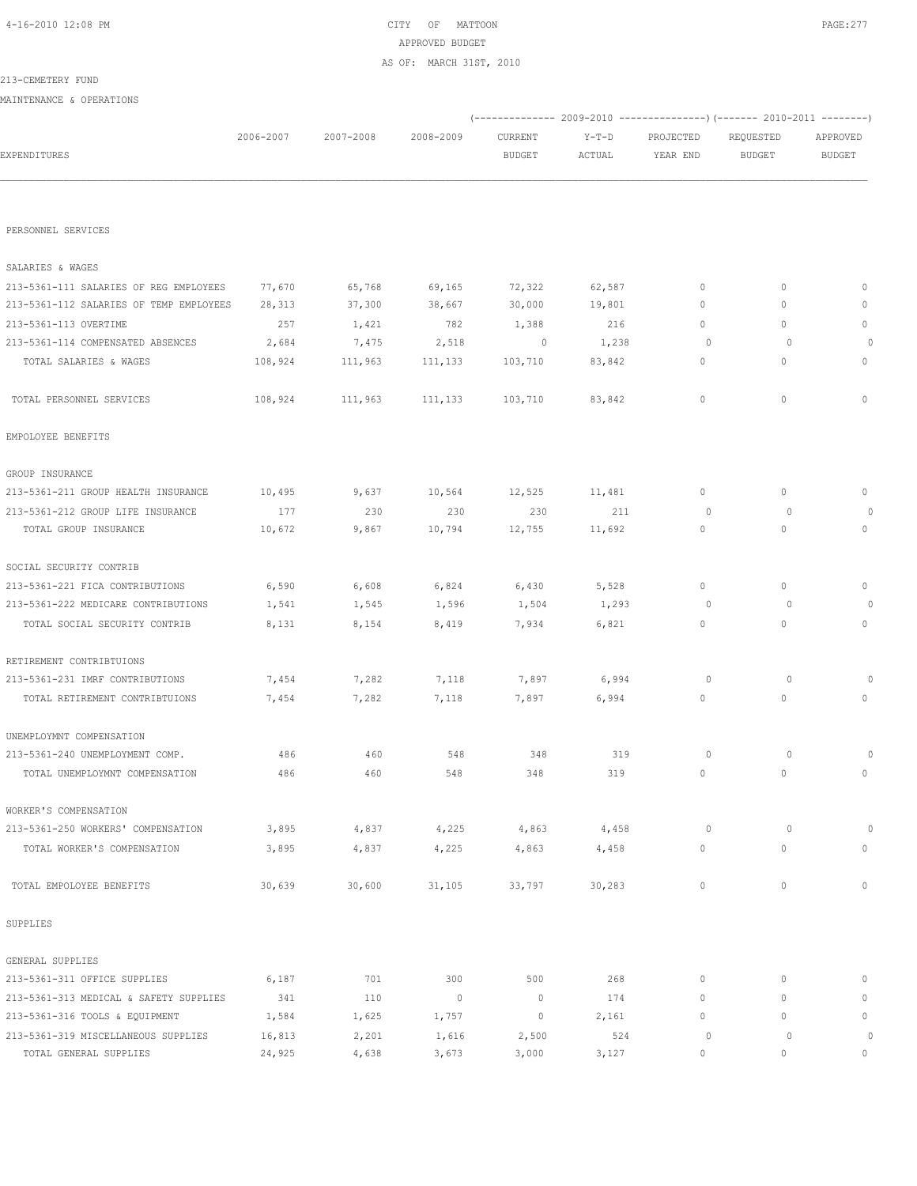# 4-16-2010 12:08 PM CITY OF MATTOON PAGE:277 APPROVED BUDGET AS OF: MARCH 31ST, 2010

### 213-CEMETERY FUND

MAINTENANCE & OPERATIONS

|                                         |           |           |              | (-------------- 2009-2010 ---------------)(------- 2010-2011 --------) |         |              |               |               |
|-----------------------------------------|-----------|-----------|--------------|------------------------------------------------------------------------|---------|--------------|---------------|---------------|
|                                         | 2006-2007 | 2007-2008 | 2008-2009    | CURRENT                                                                | $Y-T-D$ | PROJECTED    | REQUESTED     | APPROVED      |
| EXPENDITURES                            |           |           |              | <b>BUDGET</b>                                                          | ACTUAL  | YEAR END     | <b>BUDGET</b> | <b>BUDGET</b> |
|                                         |           |           |              |                                                                        |         |              |               |               |
| PERSONNEL SERVICES                      |           |           |              |                                                                        |         |              |               |               |
| SALARIES & WAGES                        |           |           |              |                                                                        |         |              |               |               |
| 213-5361-111 SALARIES OF REG EMPLOYEES  | 77,670    | 65,768    | 69, 165      | 72,322                                                                 | 62,587  | 0            | 0             | 0             |
| 213-5361-112 SALARIES OF TEMP EMPLOYEES | 28,313    | 37,300    | 38,667       | 30,000                                                                 | 19,801  | $\circ$      | 0             |               |
| 213-5361-113 OVERTIME                   | 257       | 1,421     | 782          | 1,388                                                                  | 216     | 0            | $\mathbf{0}$  | 0             |
| 213-5361-114 COMPENSATED ABSENCES       | 2,684     | 7,475     | 2,518        | $\sim$ 0                                                               | 1,238   | $\mathbf 0$  | $\mathbf 0$   | 0             |
| TOTAL SALARIES & WAGES                  | 108,924   | 111,963   | 111,133      | 103,710                                                                | 83,842  | $\circ$      | $\circ$       | 0             |
| TOTAL PERSONNEL SERVICES                | 108,924   | 111,963   | 111,133      | 103,710                                                                | 83,842  | $\mathbb O$  | $\mathbb O$   | $\mathbf{0}$  |
| EMPOLOYEE BENEFITS                      |           |           |              |                                                                        |         |              |               |               |
| GROUP INSURANCE                         |           |           |              |                                                                        |         |              |               |               |
| 213-5361-211 GROUP HEALTH INSURANCE     | 10,495    | 9,637     | 10,564       | 12,525                                                                 | 11,481  | 0            | 0             | 0             |
| 213-5361-212 GROUP LIFE INSURANCE       | 177       | 230       | 230          | 230                                                                    | 211     | $\mathbf{0}$ | $\mathbf 0$   | 0             |
| TOTAL GROUP INSURANCE                   | 10,672    | 9,867     | 10,794       | 12,755                                                                 | 11,692  | 0            | $\circ$       |               |
| SOCIAL SECURITY CONTRIB                 |           |           |              |                                                                        |         |              |               |               |
| 213-5361-221 FICA CONTRIBUTIONS         | 6,590     | 6,608     | 6,824        | 6,430                                                                  | 5,528   | 0            | 0             | 0             |
| 213-5361-222 MEDICARE CONTRIBUTIONS     | 1,541     | 1,545     | 1,596        | 1,504                                                                  | 1,293   | $\mathbf{0}$ | $\mathbf{0}$  |               |
| TOTAL SOCIAL SECURITY CONTRIB           | 8,131     | 8,154     | 8,419        | 7,934                                                                  | 6,821   | 0            | $\mathbb O$   | 0             |
| RETIREMENT CONTRIBTUIONS                |           |           |              |                                                                        |         |              |               |               |
| 213-5361-231 IMRF CONTRIBUTIONS         | 7,454     | 7,282     | 7,118        | 7,897                                                                  | 6,994   | $\mathbf 0$  | $\mathbf 0$   |               |
| TOTAL RETIREMENT CONTRIBTUIONS          | 7,454     | 7,282     | 7,118        | 7,897                                                                  | 6,994   | 0            | $\circ$       | 0             |
| UNEMPLOYMNT COMPENSATION                |           |           |              |                                                                        |         |              |               |               |
| 213-5361-240 UNEMPLOYMENT COMP.         | 486       | 460       | 548          | 348                                                                    | 319     | $\mathbf 0$  | 0             |               |
| TOTAL UNEMPLOYMNT COMPENSATION          | 486       | 460       | 548          | 348                                                                    | 319     | 0            | $\mathbf 0$   | 0             |
| WORKER'S COMPENSATION                   |           |           |              |                                                                        |         |              |               |               |
| 213-5361-250 WORKERS' COMPENSATION      | 3,895     | 4,837     | 4,225        | 4,863                                                                  | 4,458   | $\mathbf{0}$ | $\mathbf{0}$  | 0             |
| TOTAL WORKER'S COMPENSATION             | 3,895     | 4,837     | 4,225        | 4,863                                                                  | 4,458   | 0            | $\circ$       | $\circ$       |
| TOTAL EMPOLOYEE BENEFITS                | 30,639    | 30,600    | 31,105       | 33,797                                                                 | 30,283  | $\circ$      | $\circ$       | $\circ$       |
| SUPPLIES                                |           |           |              |                                                                        |         |              |               |               |
| GENERAL SUPPLIES                        |           |           |              |                                                                        |         |              |               |               |
| 213-5361-311 OFFICE SUPPLIES            | 6,187     | 701       | 300          | 500                                                                    | 268     | $\circ$      | 0             | $\mathbf 0$   |
| 213-5361-313 MEDICAL & SAFETY SUPPLIES  | 341       | 110       | $\mathbb{O}$ | $\mathbf 0$                                                            | 174     | $\circ$      | $\mathbf{0}$  | $\circ$       |
| 213-5361-316 TOOLS & EQUIPMENT          | 1,584     | 1,625     | 1,757        | $\mathbf 0$                                                            | 2,161   | $\circ$      | $\circ$       | 0             |
| 213-5361-319 MISCELLANEOUS SUPPLIES     | 16,813    | 2,201     | 1,616        | 2,500                                                                  | 524     | $\mathbf 0$  | $\mathbf 0$   | $\mathbf 0$   |
| TOTAL GENERAL SUPPLIES                  | 24,925    | 4,638     | 3,673        | 3,000                                                                  | 3,127   | 0            | $\circ$       | $\circ$       |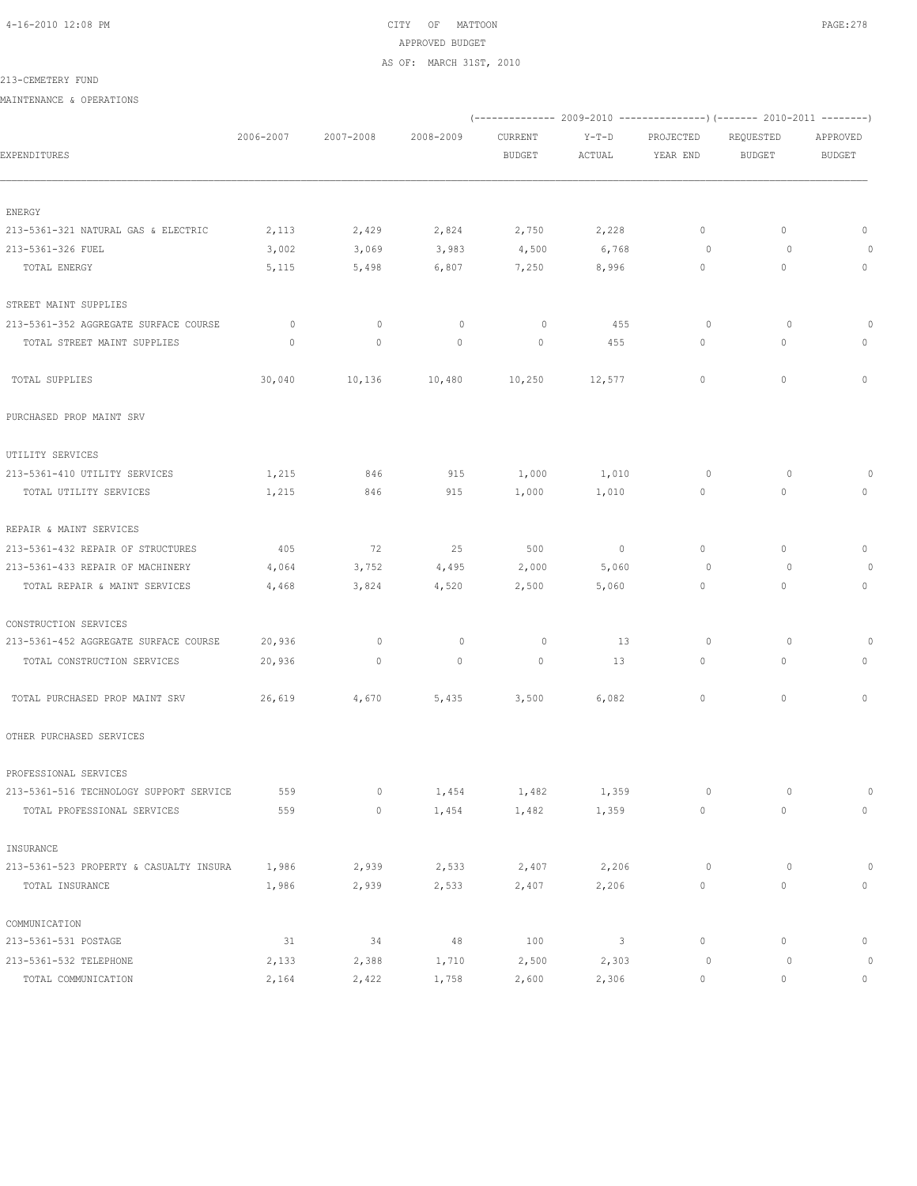# 4-16-2010 12:08 PM CITY OF MATTOON PAGE:278 APPROVED BUDGET AS OF: MARCH 31ST, 2010

### 213-CEMETERY FUND

### MAINTENANCE & OPERATIONS

|                                         |             |             |             | (-------------- 2009-2010 ----------------) (------- 2010-2011 --------) |                   |                       |                            |                           |  |
|-----------------------------------------|-------------|-------------|-------------|--------------------------------------------------------------------------|-------------------|-----------------------|----------------------------|---------------------------|--|
| EXPENDITURES                            | 2006-2007   | 2007-2008   | 2008-2009   | CURRENT<br><b>BUDGET</b>                                                 | $Y-T-D$<br>ACTUAL | PROJECTED<br>YEAR END | REQUESTED<br><b>BUDGET</b> | APPROVED<br><b>BUDGET</b> |  |
|                                         |             |             |             |                                                                          |                   |                       |                            |                           |  |
| ENERGY                                  |             |             |             |                                                                          |                   |                       |                            |                           |  |
| 213-5361-321 NATURAL GAS & ELECTRIC     | 2,113       | 2,429       | 2,824       | 2,750                                                                    | 2,228             | 0                     | $\circ$                    | $\circ$                   |  |
| 213-5361-326 FUEL                       | 3,002       | 3,069       | 3,983       | 4,500                                                                    | 6,768             | $\mathbf 0$           | $\mathbf 0$                | $\overline{0}$            |  |
| TOTAL ENERGY                            | 5,115       | 5,498       | 6,807       | 7,250                                                                    | 8,996             | 0                     | 0                          | $\circ$                   |  |
| STREET MAINT SUPPLIES                   |             |             |             |                                                                          |                   |                       |                            |                           |  |
| 213-5361-352 AGGREGATE SURFACE COURSE   | $\circ$     | $\mathbf 0$ | $\circ$     | $\circ$                                                                  | 455               | 0                     | 0                          | $\mathbf{0}$              |  |
| TOTAL STREET MAINT SUPPLIES             | $\mathbb O$ | 0           | $\mathbf 0$ | $\mathbf 0$                                                              | 455               | $\circ$               | 0                          | 0                         |  |
| TOTAL SUPPLIES                          | 30,040      | 10,136      | 10,480      | 10,250                                                                   | 12,577            | 0                     | 0                          | 0                         |  |
| PURCHASED PROP MAINT SRV                |             |             |             |                                                                          |                   |                       |                            |                           |  |
| UTILITY SERVICES                        |             |             |             |                                                                          |                   |                       |                            |                           |  |
| 213-5361-410 UTILITY SERVICES           | 1,215       | 846         | 915         | 1,000                                                                    | 1,010             | $\mathbf 0$           | 0                          | $\mathbf{0}$              |  |
| TOTAL UTILITY SERVICES                  | 1,215       | 846         | 915         | 1,000                                                                    | 1,010             | 0                     | 0                          | 0                         |  |
| REPAIR & MAINT SERVICES                 |             |             |             |                                                                          |                   |                       |                            |                           |  |
| 213-5361-432 REPAIR OF STRUCTURES       | 405         | 72          | 25          | 500                                                                      | $\overline{0}$    | $\circ$               | 0                          | 0                         |  |
| 213-5361-433 REPAIR OF MACHINERY        | 4,064       | 3,752       | 4,495       | 2,000                                                                    | 5,060             | $\mathbf 0$           | 0                          | $\mathbf 0$               |  |
| TOTAL REPAIR & MAINT SERVICES           | 4,468       | 3,824       | 4,520       | 2,500                                                                    | 5,060             | 0                     | 0                          | 0                         |  |
| CONSTRUCTION SERVICES                   |             |             |             |                                                                          |                   |                       |                            |                           |  |
| 213-5361-452 AGGREGATE SURFACE COURSE   | 20,936      | $\circ$     | $\circ$     | $\circ$                                                                  | 13                | $\mathbf 0$           | 0                          | 0                         |  |
| TOTAL CONSTRUCTION SERVICES             | 20,936      | $\circ$     | $\circ$     | $\mathbf 0$                                                              | 13                | $\circ$               | 0                          | 0                         |  |
| TOTAL PURCHASED PROP MAINT SRV          | 26,619      | 4,670       | 5,435       | 3,500                                                                    | 6,082             | 0                     | 0                          | $\circ$                   |  |
| OTHER PURCHASED SERVICES                |             |             |             |                                                                          |                   |                       |                            |                           |  |
| PROFESSIONAL SERVICES                   |             |             |             |                                                                          |                   |                       |                            |                           |  |
| 213-5361-516 TECHNOLOGY SUPPORT SERVICE | 559         | $\circ$     | 1,454       | 1,482                                                                    | 1,359             | $\mathbb O$           | $\circ$                    | $\mathbf 0$               |  |
| TOTAL PROFESSIONAL SERVICES             | 559         | 0           | 1,454       | 1,482                                                                    | 1,359             | 0                     | 0                          | 0                         |  |
| INSURANCE                               |             |             |             |                                                                          |                   |                       |                            |                           |  |
| 213-5361-523 PROPERTY & CASUALTY INSURA | 1,986       | 2,939       | 2,533       | 2,407                                                                    | 2,206             | $\mathbb O$           | $\mathbb O$                | $\mathbf 0$               |  |
| TOTAL INSURANCE                         | 1,986       | 2,939       | 2,533       | 2,407                                                                    | 2,206             | $\mathbb O$           | 0                          | 0                         |  |
| COMMUNICATION                           |             |             |             |                                                                          |                   |                       |                            |                           |  |
| 213-5361-531 POSTAGE                    | 31          | 34          | 48          | 100                                                                      | 3                 | $\circ$               | 0                          | 0                         |  |
| 213-5361-532 TELEPHONE                  | 2,133       | 2,388       | 1,710       | 2,500                                                                    | 2,303             | 0                     | $\mathbb O$                | $\mathbb O$               |  |
| TOTAL COMMUNICATION                     | 2,164       | 2,422       | 1,758       | 2,600                                                                    | 2,306             | $\circ$               | $\mathsf{O}\xspace$        | 0                         |  |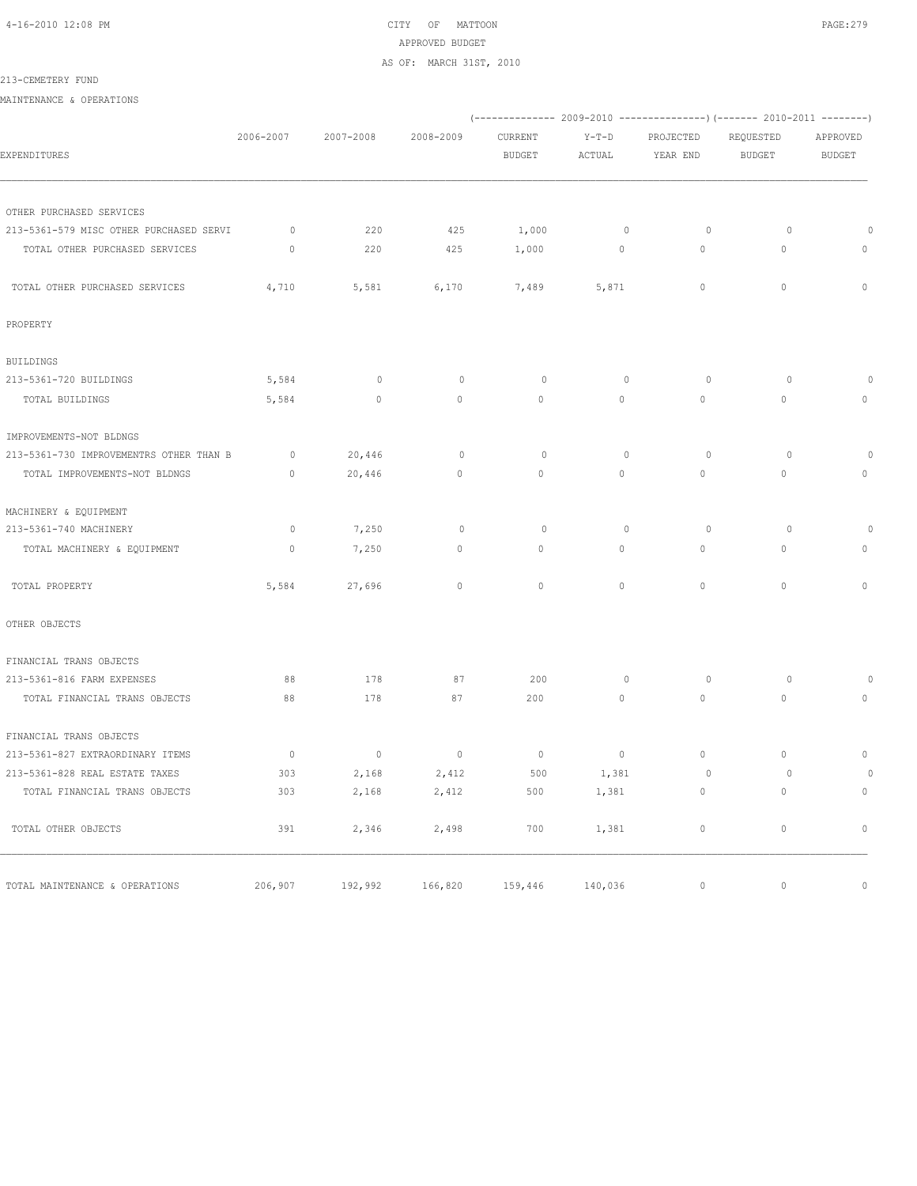# 4-16-2010 12:08 PM CITY OF MATTOON PAGE:279 APPROVED BUDGET AS OF: MARCH 31ST, 2010

### 213-CEMETERY FUND

### MAINTENANCE & OPERATIONS

|                                         | 2006-2007    | 2007-2008 |             |               |              |                     |               |               |
|-----------------------------------------|--------------|-----------|-------------|---------------|--------------|---------------------|---------------|---------------|
| EXPENDITURES                            |              |           | 2008-2009   | CURRENT       | $Y-T-D$      | PROJECTED           | REQUESTED     | APPROVED      |
|                                         |              |           |             | <b>BUDGET</b> | ACTUAL       | YEAR END            | <b>BUDGET</b> | <b>BUDGET</b> |
|                                         |              |           |             |               |              |                     |               |               |
| OTHER PURCHASED SERVICES                |              |           |             |               |              |                     |               |               |
| 213-5361-579 MISC OTHER PURCHASED SERVI | $\circ$      | 220       | 425         | 1,000         | $\circ$      | $\circ$             | $\circ$       | $\mathbf 0$   |
| TOTAL OTHER PURCHASED SERVICES          | $\mathbf{0}$ | 220       | 425         | 1,000         | 0            | $\circ$             | 0             | 0             |
| TOTAL OTHER PURCHASED SERVICES          | 4,710        | 5,581     | 6,170       | 7,489         | 5,871        | $\circ$             | $\mathbb O$   | $\mathbb O$   |
| PROPERTY                                |              |           |             |               |              |                     |               |               |
| BUILDINGS                               |              |           |             |               |              |                     |               |               |
| 213-5361-720 BUILDINGS                  | 5,584        | $\circ$   | $\circ$     | $\circ$       | $\mathbf{0}$ | 0                   | $\mathbf{0}$  |               |
| TOTAL BUILDINGS                         | 5,584        | $\circ$   | $\circ$     | $\circ$       | 0            | $\circ$             | $\circ$       | $\mathbf{0}$  |
| IMPROVEMENTS-NOT BLDNGS                 |              |           |             |               |              |                     |               |               |
| 213-5361-730 IMPROVEMENTRS OTHER THAN B | $\circ$      | 20,446    | $\circ$     | 0             | $\mathbf{0}$ | $\mathbf 0$         | $\circ$       | $\Omega$      |
| TOTAL IMPROVEMENTS-NOT BLDNGS           | $\mathbf{0}$ | 20,446    | $\circ$     | $\circ$       | 0            | $\mathbf{0}$        | $\circ$       | 0             |
| MACHINERY & EQUIPMENT                   |              |           |             |               |              |                     |               |               |
| 213-5361-740 MACHINERY                  | $\circ$      | 7,250     | $\circ$     | 0             | $\mathbf 0$  | $\mathbf 0$         | $\circ$       | $\Omega$      |
| TOTAL MACHINERY & EQUIPMENT             | $\mathbf 0$  | 7,250     | $\circ$     | $\circ$       | 0            | $\circ$             | 0             | 0             |
| TOTAL PROPERTY                          | 5,584        | 27,696    | $\circ$     | $\circ$       | $\circ$      | $\circ$             | $\circ$       | 0             |
| OTHER OBJECTS                           |              |           |             |               |              |                     |               |               |
| FINANCIAL TRANS OBJECTS                 |              |           |             |               |              |                     |               |               |
| 213-5361-816 FARM EXPENSES              | 88           | 178       | 87          | 200           | $\mathbf 0$  | $\mathbf 0$         | $\circ$       | 0             |
| TOTAL FINANCIAL TRANS OBJECTS           | 88           | 178       | 87          | 200           | 0            | $\circ$             | 0             | 0             |
| FINANCIAL TRANS OBJECTS                 |              |           |             |               |              |                     |               |               |
| 213-5361-827 EXTRAORDINARY ITEMS        | $\mathbf 0$  | $\circ$   | $\mathbb O$ | $\circ$       | 0            | $\circ$             | $\mathbf{0}$  | $\circ$       |
| 213-5361-828 REAL ESTATE TAXES          | 303          | 2,168     | 2,412       | 500           | 1,381        | 0                   | $\mathbf 0$   | $\mathbf 0$   |
| TOTAL FINANCIAL TRANS OBJECTS           | 303          | 2,168     | 2,412       | 500           | 1,381        | $\mathbb O$         | $\mathbb O$   | $\mathbb O$   |
| TOTAL OTHER OBJECTS                     | 391          | 2,346     | 2,498       | 700           | 1,381        | $\mathbb O$         | $\mathbb O$   | $\mathbb O$   |
| TOTAL MAINTENANCE & OPERATIONS          | 206,907      | 192,992   | 166,820     | 159,446       | 140,036      | $\mathsf{O}\xspace$ | $\mathbb O$   | $\mathbb O$   |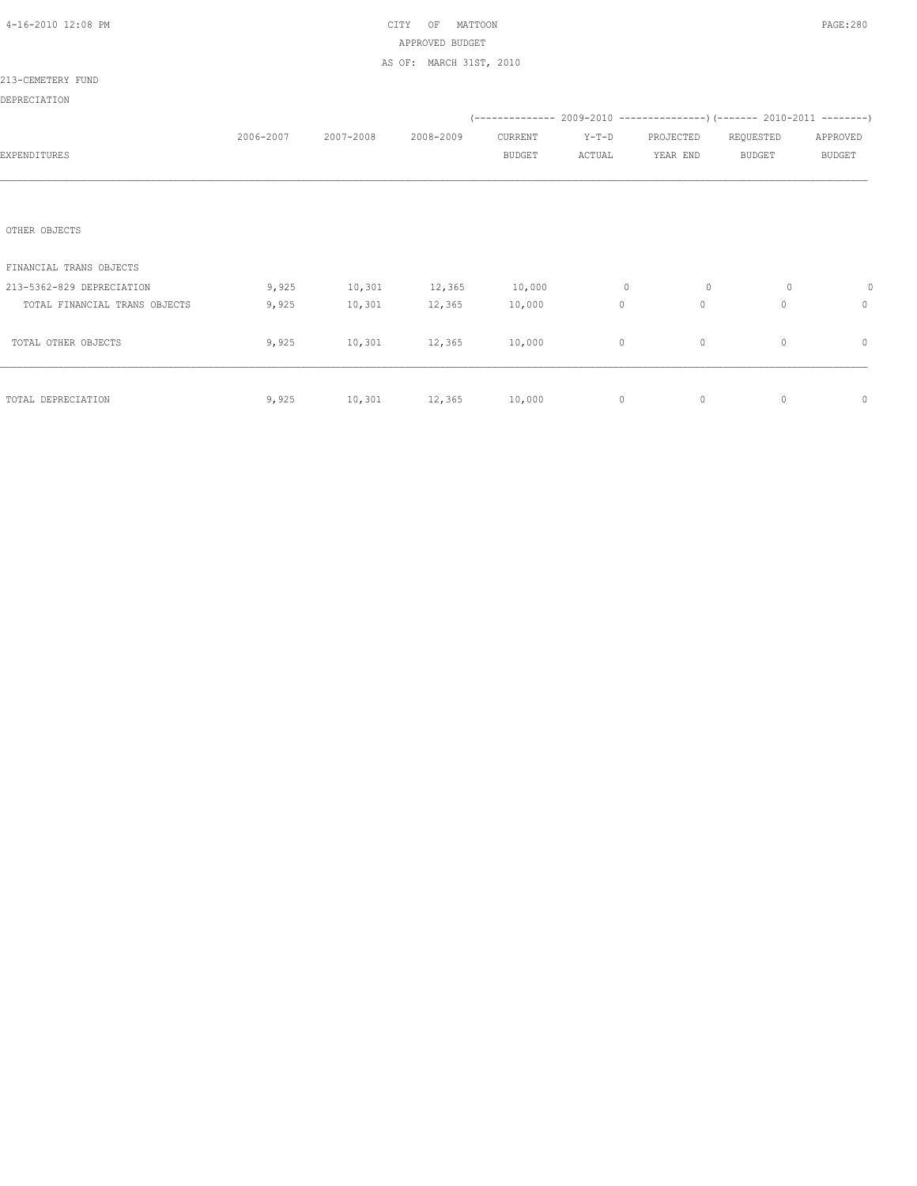# 4-16-2010 12:08 PM CITY OF MATTOON PAGE:280 APPROVED BUDGET AS OF: MARCH 31ST, 2010

### 213-CEMETERY FUND

### DEPRECIATION

| DELWECTWITCH                  |           |           |           |               |              |              |               |               |
|-------------------------------|-----------|-----------|-----------|---------------|--------------|--------------|---------------|---------------|
|                               | 2006-2007 | 2007-2008 | 2008-2009 | CURRENT       | $Y-T-D$      | PROJECTED    | REQUESTED     | APPROVED      |
| EXPENDITURES                  |           |           |           | <b>BUDGET</b> | ACTUAL       | YEAR END     | <b>BUDGET</b> | <b>BUDGET</b> |
|                               |           |           |           |               |              |              |               |               |
| OTHER OBJECTS                 |           |           |           |               |              |              |               |               |
| FINANCIAL TRANS OBJECTS       |           |           |           |               |              |              |               |               |
| 213-5362-829 DEPRECIATION     | 9,925     | 10,301    | 12,365    | 10,000        | $\mathbf{0}$ | $\mathbf{0}$ | $\mathbf{0}$  | 0             |
| TOTAL FINANCIAL TRANS OBJECTS | 9,925     | 10,301    | 12,365    | 10,000        | $\circ$      | $\circ$      | $\circ$       | $\circ$       |
| TOTAL OTHER OBJECTS           | 9,925     | 10,301    | 12,365    | 10,000        | $\circ$      | $\mathbb O$  | $\circ$       | $\mathbf{0}$  |
| TOTAL DEPRECIATION            | 9,925     | 10,301    | 12,365    | 10,000        | $\circ$      | $\circ$      | $\mathbf{0}$  | $\circ$       |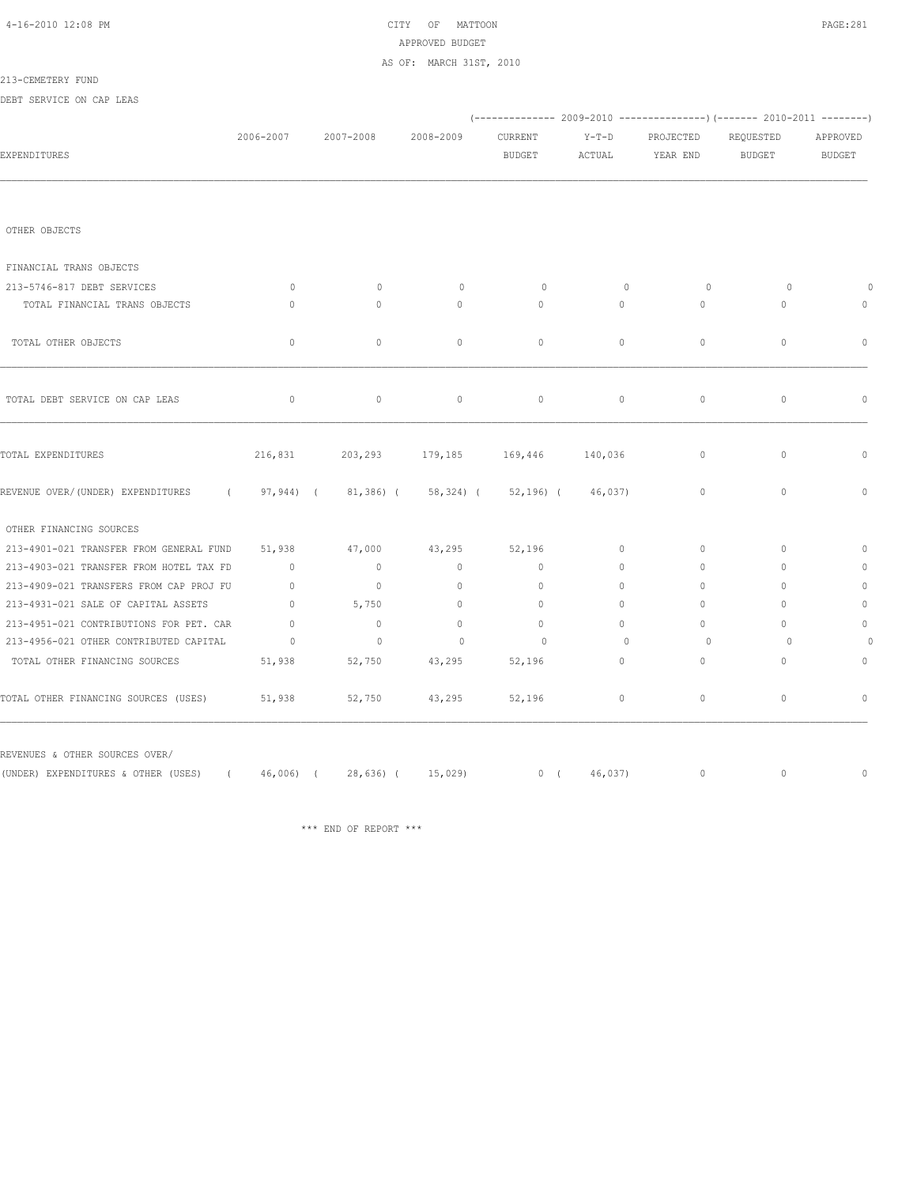# 4-16-2010 12:08 PM CITY OF MATTOON PAGE:281 APPROVED BUDGET AS OF: MARCH 31ST, 2010

### 213-CEMETERY FUND

| EXPENDITURES                                                                   | 2006-2007      | 2007-2008                               | 2008-2009    | CURRENT<br><b>BUDGET</b> | $Y-T-D$<br>ACTUAL | PROJECTED<br>YEAR END | (-------------- 2009-2010 ----------------) (------- 2010-2011 --------)<br>REQUESTED<br>BUDGET | APPROVED<br><b>BUDGET</b> |
|--------------------------------------------------------------------------------|----------------|-----------------------------------------|--------------|--------------------------|-------------------|-----------------------|-------------------------------------------------------------------------------------------------|---------------------------|
| OTHER OBJECTS                                                                  |                |                                         |              |                          |                   |                       |                                                                                                 |                           |
| FINANCIAL TRANS OBJECTS                                                        |                |                                         |              |                          |                   |                       |                                                                                                 |                           |
| 213-5746-817 DEBT SERVICES                                                     | $\circ$        | $\circ$                                 | $\circ$      | $\circ$                  | $\circ$           | $\circ$               | $\mathbf 0$                                                                                     | $\mathbf{0}$              |
| TOTAL FINANCIAL TRANS OBJECTS                                                  | $\Omega$       | $\mathbf{0}$                            | $\mathbf{0}$ | $\Omega$                 | $\circ$           | $\Omega$              | $\circ$                                                                                         | $\mathbf{0}$              |
| TOTAL OTHER OBJECTS                                                            | $\circ$        | $\circ$                                 | $\mathbf{0}$ | $\mathbf{0}$             | $\circ$           | $\circ$               | $\mathbf{0}$                                                                                    | $\circ$                   |
| TOTAL DEBT SERVICE ON CAP LEAS                                                 | $\mathbf{0}$   | $\circ$                                 | $\circ$      | $\circ$                  | $\circ$           | $\mathbf{0}$          | $\circ$                                                                                         | $\mathbf{0}$              |
| TOTAL EXPENDITURES                                                             |                | 216,831 203,293 179,185 169,446 140,036 |              |                          |                   | $\circ$               | 0                                                                                               | $\mathbb O$               |
| REVENUE OVER/(UNDER) EXPENDITURES (97,944) (81,386) (58,324) (52,196) (46,037) |                |                                         |              |                          |                   | $\circ$               | $\circ$                                                                                         | $\circ$                   |
| OTHER FINANCING SOURCES                                                        |                |                                         |              |                          |                   |                       |                                                                                                 |                           |
| 213-4901-021 TRANSFER FROM GENERAL FUND                                        | 51,938         | 47,000                                  | 43,295       | 52,196                   | $\circ$           | $\mathbf{0}$          | $\mathbf{0}$                                                                                    | $\circ$                   |
| 213-4903-021 TRANSFER FROM HOTEL TAX FD                                        | $\sim$ 0       | $\circ$                                 | $\circ$      | $\mathbf{0}$             | $\circ$           | $\circ$               | $\mathbf{0}$                                                                                    | $\mathbf 0$               |
| 213-4909-021 TRANSFERS FROM CAP PROJ FU                                        | $\overline{0}$ | $\circ$                                 | $\mathbb{O}$ | $\mathbf{0}$             | $\circ$           | $\circ$               | $\mathbf{0}$                                                                                    | $\circ$                   |
| 213-4931-021 SALE OF CAPITAL ASSETS                                            | $\overline{0}$ | 5,750                                   | $\circ$      | $\mathbf{0}$             | $\Omega$          | $\Omega$              | $\Omega$                                                                                        | $\circ$                   |
| 213-4951-021 CONTRIBUTIONS FOR PET. CAR                                        | $\circ$        | $\mathbb O$                             | $\circ$      | $\mathbf{0}$             | $\circ$           | $\Omega$              | $\circ$                                                                                         | $\circ$                   |
| 213-4956-021 OTHER CONTRIBUTED CAPITAL                                         | $\circ$        | $\circ$                                 | $\Omega$     | $\circ$                  | $\mathbf{0}$      | $\mathbf{0}$          | $\mathbf{0}$                                                                                    | $\mathbf{0}$              |
| TOTAL OTHER FINANCING SOURCES                                                  | 51,938         | 52,750                                  | 43,295       | 52,196                   | $\circ$           | $\circ$               | $\mathbf 0$                                                                                     | $\circ$                   |
| TOTAL OTHER FINANCING SOURCES (USES)                                           | 51,938         | 52,750                                  | 43,295       | 52,196                   | $\circ$           | $\circ$               | $\mathbf{0}$                                                                                    | $\circ$                   |
| REVENUES & OTHER SOURCES OVER/                                                 |                |                                         |              |                          |                   |                       |                                                                                                 |                           |
| (UNDER) EXPENDITURES & OTHER (USES) (46,006) (28,636) (15,029) 0 (46,037)      |                |                                         |              |                          |                   | $\sim$ 0              | $\circ$                                                                                         | $\mathbb O$               |

\*\*\* END OF REPORT \*\*\*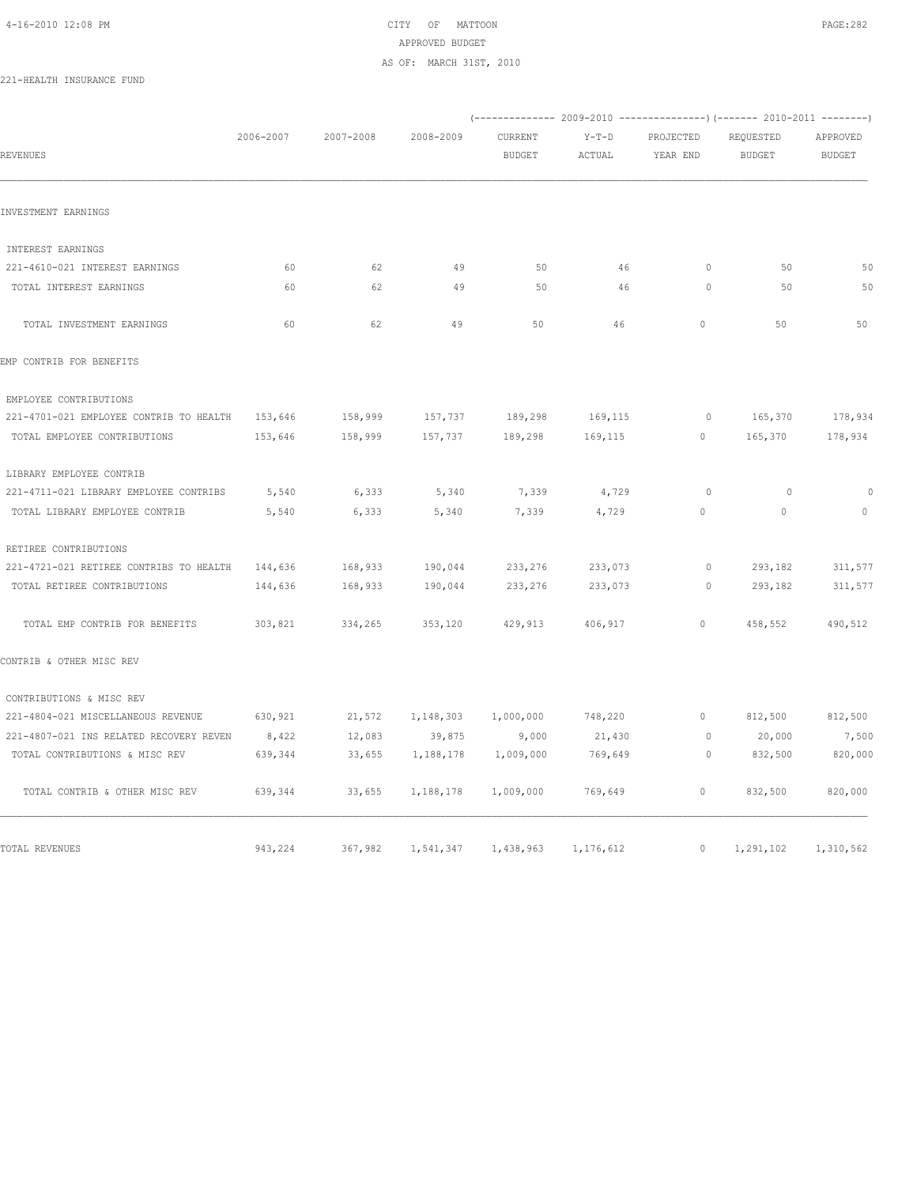# 4-16-2010 12:08 PM CITY OF MATTOON PAGE:282 APPROVED BUDGET AS OF: MARCH 31ST, 2010

### 221-HEALTH INSURANCE FUND

|                                                 |           |           |           |               |           |              | (-------------- 2009-2010 ----------------) (------- 2010-2011 --------) |               |
|-------------------------------------------------|-----------|-----------|-----------|---------------|-----------|--------------|--------------------------------------------------------------------------|---------------|
|                                                 | 2006-2007 | 2007-2008 | 2008-2009 | CURRENT       | $Y-T-D$   | PROJECTED    | REQUESTED                                                                | APPROVED      |
| REVENUES                                        |           |           |           | <b>BUDGET</b> | ACTUAL    | YEAR END     | <b>BUDGET</b>                                                            | <b>BUDGET</b> |
| INVESTMENT EARNINGS                             |           |           |           |               |           |              |                                                                          |               |
| INTEREST EARNINGS                               |           |           |           |               |           |              |                                                                          |               |
| 221-4610-021 INTEREST EARNINGS                  | 60        | 62        | 49        | 50            | 46        | $\circ$      | 50                                                                       | 50            |
| TOTAL INTEREST EARNINGS                         | 60        | 62        | 49        | 50            | 46        | $\mathbb O$  | 50                                                                       | 50            |
| TOTAL INVESTMENT EARNINGS                       | 60        | 62        | 49        | 50            | 46        | $\circ$      | 50                                                                       | 50            |
| EMP CONTRIB FOR BENEFITS                        |           |           |           |               |           |              |                                                                          |               |
| EMPLOYEE CONTRIBUTIONS                          |           |           |           |               |           |              |                                                                          |               |
| 221-4701-021 EMPLOYEE CONTRIB TO HEALTH         | 153,646   | 158,999   | 157,737   | 189,298       | 169,115   | $\circ$      | 165,370                                                                  | 178,934       |
| TOTAL EMPLOYEE CONTRIBUTIONS                    | 153,646   | 158,999   | 157,737   | 189,298       | 169,115   | $\mathbf{0}$ | 165,370                                                                  | 178,934       |
| LIBRARY EMPLOYEE CONTRIB                        |           |           |           |               |           |              |                                                                          |               |
| 221-4711-021 LIBRARY EMPLOYEE CONTRIBS          | 5,540     | 6,333     | 5,340     | 7,339         | 4,729     | $\mathbf 0$  | $\mathbf 0$                                                              |               |
| TOTAL LIBRARY EMPLOYEE CONTRIB                  | 5,540     | 6,333     | 5,340     | 7,339         | 4,729     | $\circ$      | $\circ$                                                                  | $\mathbb O$   |
| RETIREE CONTRIBUTIONS                           |           |           |           |               |           |              |                                                                          |               |
| 221-4721-021 RETIREE CONTRIBS TO HEALTH 144,636 |           | 168,933   | 190,044   | 233,276       | 233,073   | $\circ$      | 293,182                                                                  | 311,577       |
| TOTAL RETIREE CONTRIBUTIONS                     | 144,636   | 168,933   | 190,044   | 233,276       | 233,073   | $\circ$      | 293,182                                                                  | 311,577       |
| TOTAL EMP CONTRIB FOR BENEFITS                  | 303,821   | 334,265   | 353,120   | 429,913       | 406,917   | $\circ$      | 458,552                                                                  | 490,512       |
| CONTRIB & OTHER MISC REV                        |           |           |           |               |           |              |                                                                          |               |
| CONTRIBUTIONS & MISC REV                        |           |           |           |               |           |              |                                                                          |               |
| 221-4804-021 MISCELLANEOUS REVENUE              | 630,921   | 21,572    | 1,148,303 | 1,000,000     | 748,220   |              | $0 \t 812,500$                                                           | 812,500       |
| 221-4807-021 INS RELATED RECOVERY REVEN         | 8,422     | 12,083    | 39,875    | 9,000         | 21,430    | $\circ$      | 20,000                                                                   | 7,500         |
| TOTAL CONTRIBUTIONS & MISC REV                  | 639,344   | 33,655    | 1,188,178 | 1,009,000     | 769,649   | $\circ$      | 832,500                                                                  | 820,000       |
| TOTAL CONTRIB & OTHER MISC REV                  | 639,344   | 33,655    | 1,188,178 | 1,009,000     | 769,649   | $\circ$      | 832,500                                                                  | 820,000       |
| TOTAL REVENUES                                  | 943,224   | 367,982   | 1,541,347 | 1,438,963     | 1,176,612 | $\circ$      | 1,291,102                                                                | 1,310,562     |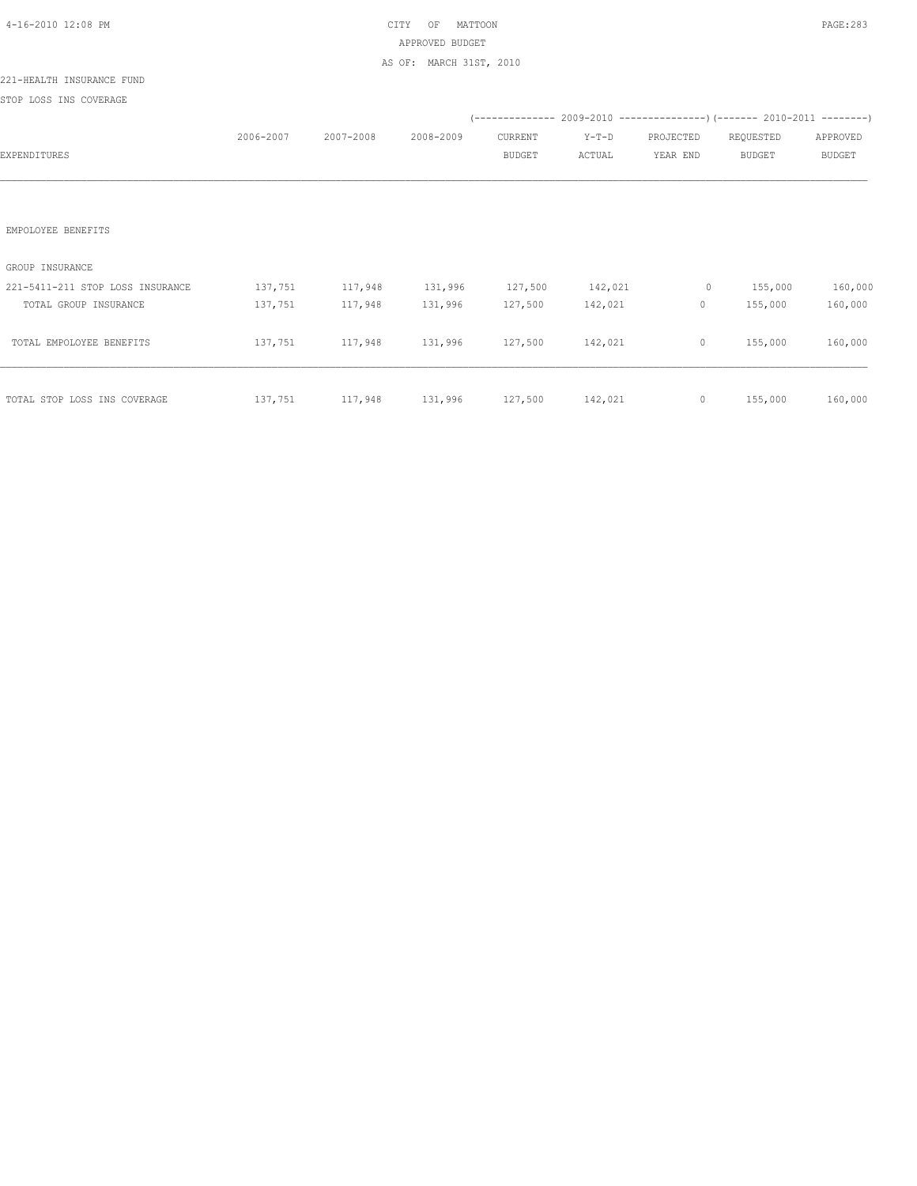# 4-16-2010 12:08 PM CITY OF MATTOON PAGE:283 APPROVED BUDGET AS OF: MARCH 31ST, 2010

### 221-HEALTH INSURANCE FUND

STOP LOSS INS COVERAGE

|              | 2006-2007 | 2007-2008 | 2008-2009 | CURRENT       | Y-T-D  | PROJECTED | REOUESTED | APPROVED      |
|--------------|-----------|-----------|-----------|---------------|--------|-----------|-----------|---------------|
| EXPENDITURES |           |           |           | <b>BUDGET</b> | ACTUAL | YEAR END  | BUDGET    | <b>BUDGET</b> |
|              |           |           |           |               |        |           |           |               |
|              |           |           |           |               |        |           |           |               |

| GROUP INSURANCE                  |         |         |         |         |         |   |         |         |
|----------------------------------|---------|---------|---------|---------|---------|---|---------|---------|
| 221-5411-211 STOP LOSS INSURANCE | 137,751 | 117,948 | 131,996 | 127,500 | 142,021 | 0 | 155,000 | 160,000 |
| TOTAL GROUP INSURANCE            | 137,751 | 117,948 | 131,996 | 127,500 | 142,021 | 0 | 155,000 | 160,000 |
| TOTAL EMPOLOYEE BENEFITS         | 137,751 | 117,948 | 131,996 | 127,500 | 142,021 | 0 | 155,000 | 160,000 |
|                                  |         |         |         |         |         |   |         |         |
| TOTAL STOP LOSS INS COVERAGE     | 137,751 | 117,948 | 131,996 | 127,500 | 142,021 | 0 | 155,000 | 160,000 |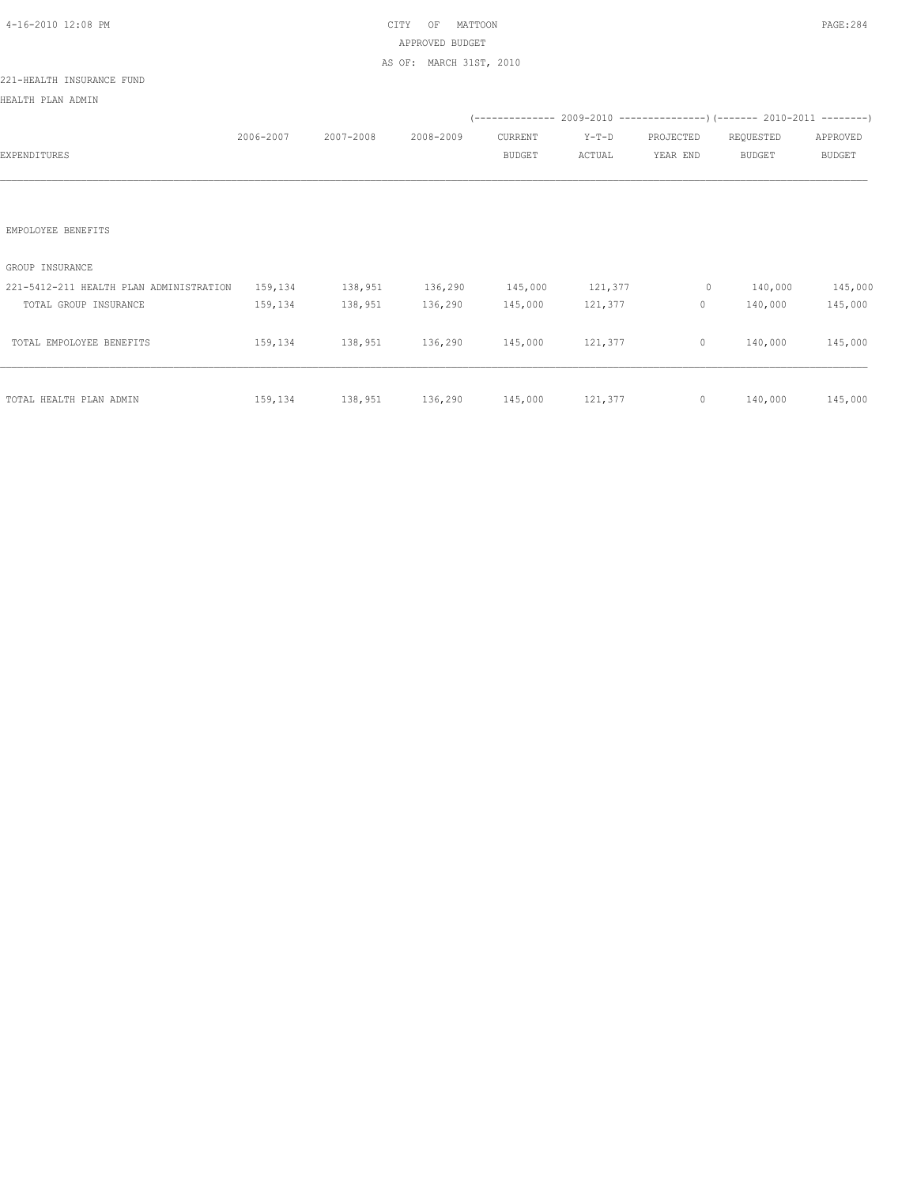# 4-16-2010 12:08 PM CITY OF MATTOON PAGE:284 APPROVED BUDGET AS OF: MARCH 31ST, 2010

### 221-HEALTH INSURANCE FUND

### HEALTH PLAN ADMIN

|              | 2006-2007 | 2007-2008 | 2008-2009 | CURRENT       | $Y-T-D$ | PROJECTED | REOUESTED | APPROVED      |
|--------------|-----------|-----------|-----------|---------------|---------|-----------|-----------|---------------|
| EXPENDITURES |           |           |           | <b>BUDGET</b> | ACTUAL  | YEAR END  | BUDGET    | <b>BUDGET</b> |
|              |           |           |           |               |         |           |           |               |
|              |           |           |           |               |         |           |           |               |

| TOTAL HEALTH PLAN ADMIN                 | 159,134 | 138,951 | 136,290 | 145,000 | 121,377 | 0       | 140,000 | 145,000 |
|-----------------------------------------|---------|---------|---------|---------|---------|---------|---------|---------|
| TOTAL EMPOLOYEE BENEFITS                | 159,134 | 138,951 | 136,290 | 145,000 | 121,377 | $\circ$ | 140,000 | 145,000 |
| TOTAL GROUP INSURANCE                   | 159,134 | 138,951 | 136,290 | 145,000 | 121,377 | 0       | 140,000 | 145,000 |
| 221-5412-211 HEALTH PLAN ADMINISTRATION | 159,134 | 138,951 | 136,290 | 145,000 | 121,377 | 0       | 140,000 | 145,000 |
| GROUP INSURANCE                         |         |         |         |         |         |         |         |         |
|                                         |         |         |         |         |         |         |         |         |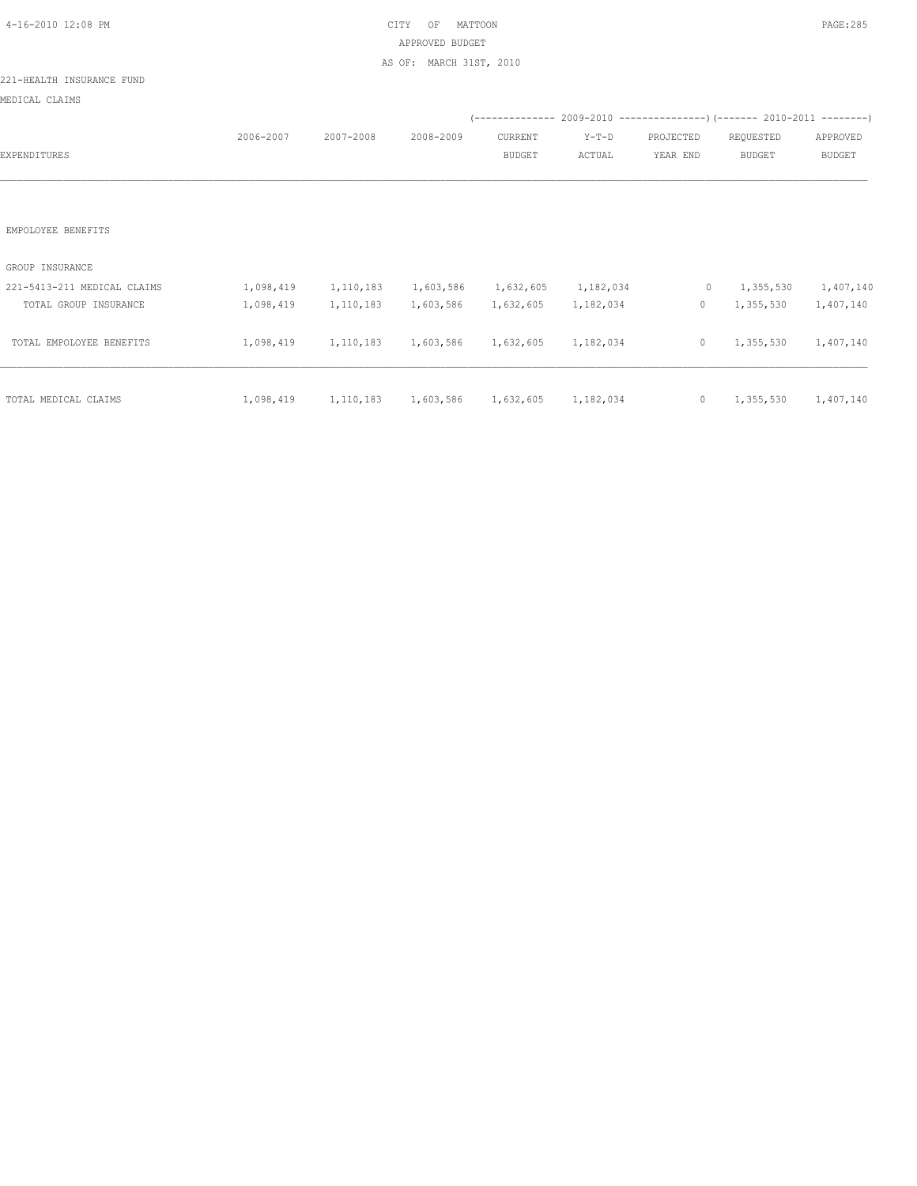# 4-16-2010 12:08 PM CITY OF MATTOON PAGE:285 APPROVED BUDGET AS OF: MARCH 31ST, 2010

#### 221-HEALTH INSURANCE FUND

### MEDICAL CLAIMS

| TOTAL MEDICAL CLAIMS        | 1,098,419 | 1,110,183 | 1,603,586 | 1,632,605 | 1,182,034 |   | 1,355,530 | 1,407,140 |
|-----------------------------|-----------|-----------|-----------|-----------|-----------|---|-----------|-----------|
| TOTAL EMPOLOYEE BENEFITS    | 1,098,419 | 1,110,183 | 1,603,586 | 1,632,605 | 1,182,034 | 0 | 1,355,530 | 1,407,140 |
| TOTAL GROUP INSURANCE       | 1,098,419 | 1,110,183 | 1,603,586 | 1,632,605 | 1,182,034 |   | 1,355,530 | 1,407,140 |
| 221-5413-211 MEDICAL CLAIMS | 1,098,419 | 1,110,183 | 1,603,586 | 1,632,605 | 1,182,034 | 0 | 1,355,530 | 1,407,140 |
| GROUP INSURANCE             |           |           |           |           |           |   |           |           |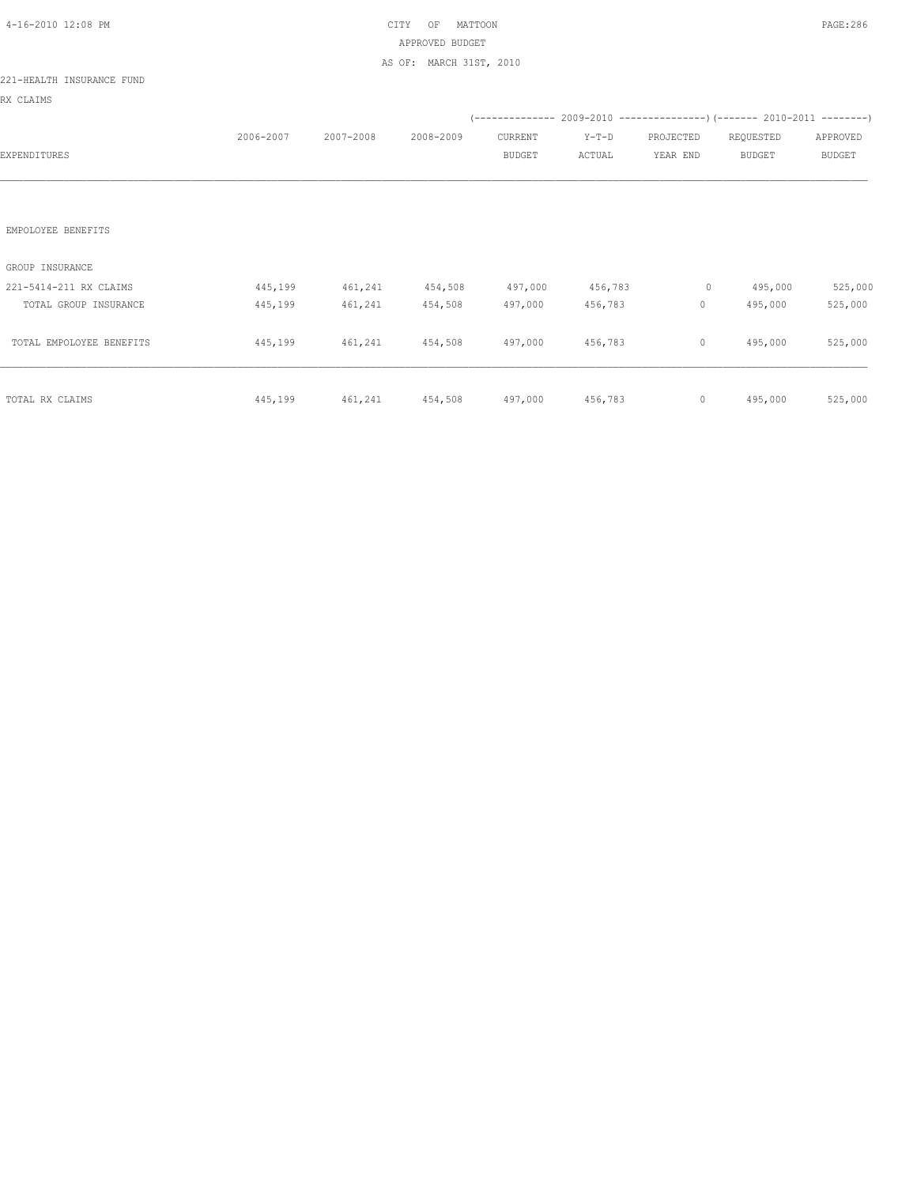# 4-16-2010 12:08 PM CITY OF MATTOON PAGE:286 APPROVED BUDGET AS OF: MARCH 31ST, 2010

### 221-HEALTH INSURANCE FUND

|              | 2006-2007 | 2007-2008 | 2008-2009 | CURRENT       | $Y-T-D$ | PROJECTED | REOUESTED     | APPROVED      |
|--------------|-----------|-----------|-----------|---------------|---------|-----------|---------------|---------------|
| EXPENDITURES |           |           |           | <b>BUDGET</b> | ACTUAL  | YEAR END  | <b>BUDGET</b> | <b>BUDGET</b> |
|              |           |           |           |               |         |           |               |               |
|              |           |           |           |               |         |           |               |               |

| TOTAL RX CLAIMS          | 445,199 | 461,241 | 454,508 | 497,000 | 456,783 | 0 | 495,000 | 525,000 |
|--------------------------|---------|---------|---------|---------|---------|---|---------|---------|
| TOTAL EMPOLOYEE BENEFITS | 445,199 | 461,241 | 454,508 | 497,000 | 456,783 | 0 | 495,000 | 525,000 |
| TOTAL GROUP INSURANCE    | 445,199 | 461,241 | 454,508 | 497,000 | 456,783 | 0 | 495,000 | 525,000 |
| 221-5414-211 RX CLAIMS   | 445,199 | 461,241 | 454,508 | 497,000 | 456,783 | 0 | 495,000 | 525,000 |
| GROUP INSURANCE          |         |         |         |         |         |   |         |         |
|                          |         |         |         |         |         |   |         |         |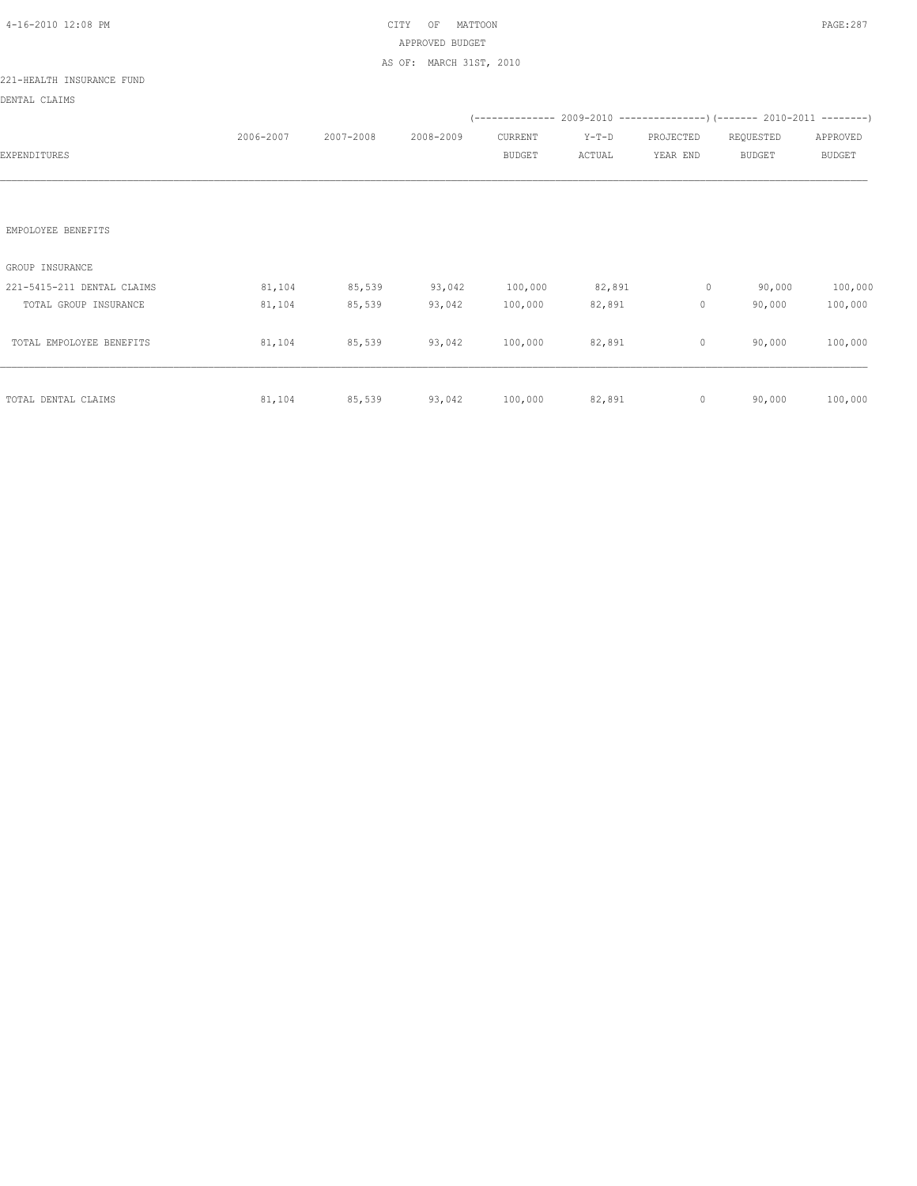# 4-16-2010 12:08 PM CITY OF MATTOON PAGE:287 APPROVED BUDGET AS OF: MARCH 31ST, 2010

### 221-HEALTH INSURANCE FUND

DENTAL CLAIMS

|              |           |           |           |               |        |           | $(-$ -------------- 2009-2010 -----------------) (------- 2010-2011 --------) |               |
|--------------|-----------|-----------|-----------|---------------|--------|-----------|-------------------------------------------------------------------------------|---------------|
|              | 2006-2007 | 2007-2008 | 2008-2009 | CURRENT       | Y-T-D  | PROJECTED | REQUESTED                                                                     | APPROVED      |
| EXPENDITURES |           |           |           | <b>BUDGET</b> | ACTUAL | YEAR END  | <b>BUDGET</b>                                                                 | <b>BUDGET</b> |
|              |           |           |           |               |        |           |                                                                               |               |
|              |           |           |           |               |        |           |                                                                               |               |

| TOTAL DENTAL CLAIMS        | 81,104 | 85,539 | 93,042 | 100,000 | 82,891 | 0 | 90,000 | 100,000 |
|----------------------------|--------|--------|--------|---------|--------|---|--------|---------|
| TOTAL EMPOLOYEE BENEFITS   | 81,104 | 85,539 | 93,042 | 100,000 | 82,891 | 0 | 90,000 | 100,000 |
| TOTAL GROUP INSURANCE      | 81,104 | 85,539 | 93,042 | 100,000 | 82,891 | 0 | 90,000 | 100,000 |
| 221-5415-211 DENTAL CLAIMS | 81,104 | 85,539 | 93,042 | 100,000 | 82,891 | 0 | 90,000 | 100,000 |
| GROUP INSURANCE            |        |        |        |         |        |   |        |         |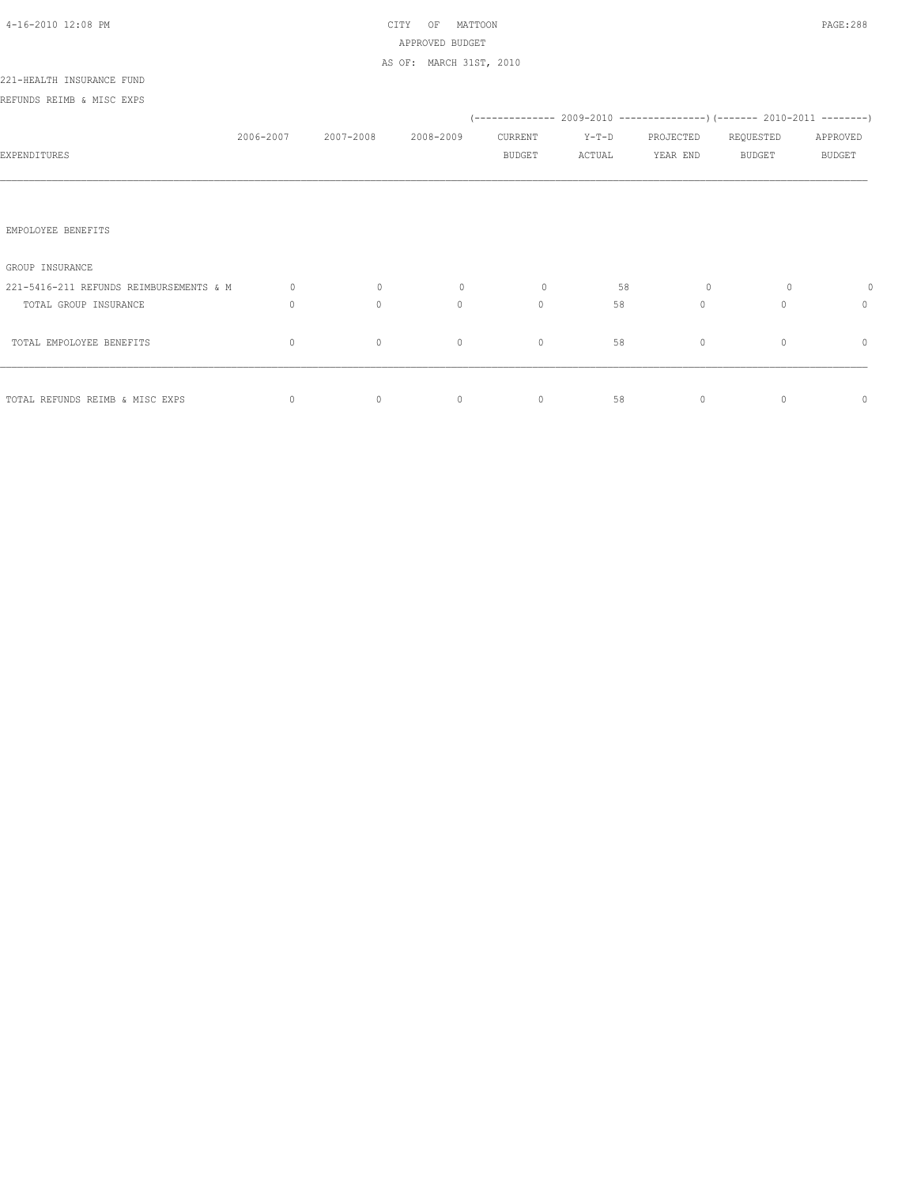# 4-16-2010 12:08 PM CITY OF MATTOON PAGE:288 APPROVED BUDGET AS OF: MARCH 31ST, 2010

### 221-HEALTH INSURANCE FUND

REFUNDS REIMB & MISC EXPS

|                                         |              |              |              |               |         |           | (-------------- 2009-2010 -----------------) (------- 2010-2011 --------) |               |
|-----------------------------------------|--------------|--------------|--------------|---------------|---------|-----------|---------------------------------------------------------------------------|---------------|
|                                         | 2006-2007    | 2007-2008    | 2008-2009    | CURRENT       | $Y-T-D$ | PROJECTED | REQUESTED                                                                 | APPROVED      |
| EXPENDITURES                            |              |              |              | <b>BUDGET</b> | ACTUAL  | YEAR END  | <b>BUDGET</b>                                                             | <b>BUDGET</b> |
|                                         |              |              |              |               |         |           |                                                                           |               |
| EMPOLOYEE BENEFITS                      |              |              |              |               |         |           |                                                                           |               |
| GROUP INSURANCE                         |              |              |              |               |         |           |                                                                           |               |
| 221-5416-211 REFUNDS REIMBURSEMENTS & M | $\circ$      | $\mathbf{0}$ | $\mathbf{0}$ | $\circ$       | 58      | $\Omega$  | $\mathbf{0}$                                                              | 0             |
| TOTAL GROUP INSURANCE                   | $\mathbf{0}$ | $\circ$      | $\mathbf{0}$ | $\mathbf{0}$  | 58      | $\circ$   | $\mathbf{0}$                                                              | $\circ$       |
| TOTAL EMPOLOYEE BENEFITS                | $\circ$      | $\circ$      | $\mathbf{0}$ | $\mathbf{0}$  | 58      | $\circ$   | $\mathbf{0}$                                                              | $\mathbf{0}$  |
|                                         |              |              |              |               |         |           |                                                                           |               |
| TOTAL REFUNDS REIMB & MISC EXPS         | $\mathbf{0}$ | $\circ$      | $\mathbf{0}$ | $\mathbf{0}$  | 58      | $\circ$   | $\mathbf{0}$                                                              | 0             |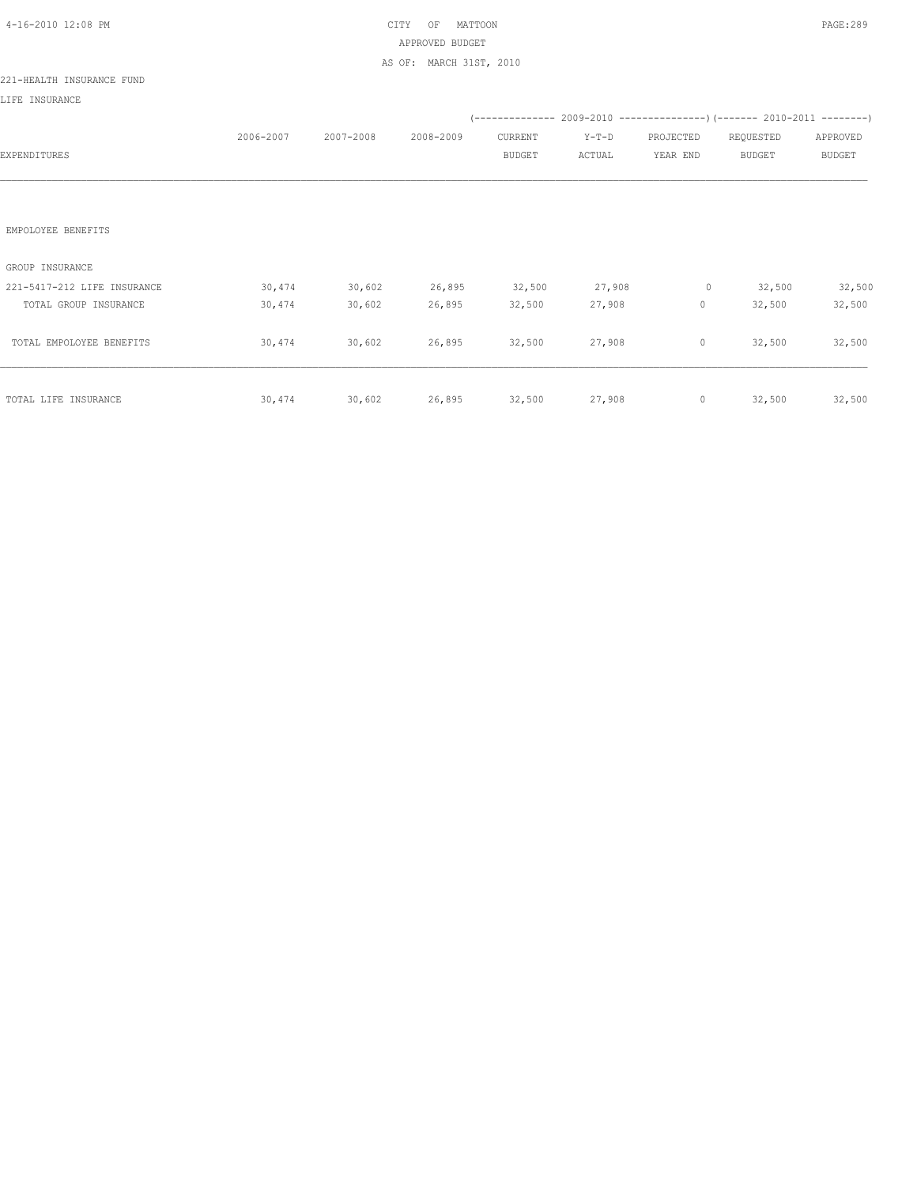# 4-16-2010 12:08 PM CITY OF MATTOON PAGE:289 APPROVED BUDGET AS OF: MARCH 31ST, 2010

### 221-HEALTH INSURANCE FUND

## LIFE INSURANCE

| ≞⊥⊥ ⊥≀≀∪∪≀∆⊥≀∨∟             |           |           |           |                          |                   |                       | $(-$ ------------- 2009-2010 ----------------) (------- 2010-2011 --------) |                           |
|-----------------------------|-----------|-----------|-----------|--------------------------|-------------------|-----------------------|-----------------------------------------------------------------------------|---------------------------|
| EXPENDITURES                | 2006-2007 | 2007-2008 | 2008-2009 | CURRENT<br><b>BUDGET</b> | $Y-T-D$<br>ACTUAL | PROJECTED<br>YEAR END | REQUESTED<br><b>BUDGET</b>                                                  | APPROVED<br><b>BUDGET</b> |
| EMPOLOYEE BENEFITS          |           |           |           |                          |                   |                       |                                                                             |                           |
| GROUP INSURANCE             |           |           |           |                          |                   |                       |                                                                             |                           |
| 221-5417-212 LIFE INSURANCE | 30,474    | 30,602    | 26,895    | 32,500                   | 27,908            | $\circ$               | 32,500                                                                      | 32,500                    |
| TOTAL GROUP INSURANCE       | 30,474    | 30,602    | 26,895    | 32,500                   | 27,908            | 0                     | 32,500                                                                      | 32,500                    |
| TOTAL EMPOLOYEE BENEFITS    | 30,474    | 30,602    | 26,895    | 32,500                   | 27,908            | $\circ$               | 32,500                                                                      | 32,500                    |
| TOTAL LIFE INSURANCE        | 30,474    | 30,602    | 26,895    | 32,500                   | 27,908            | 0                     | 32,500                                                                      | 32,500                    |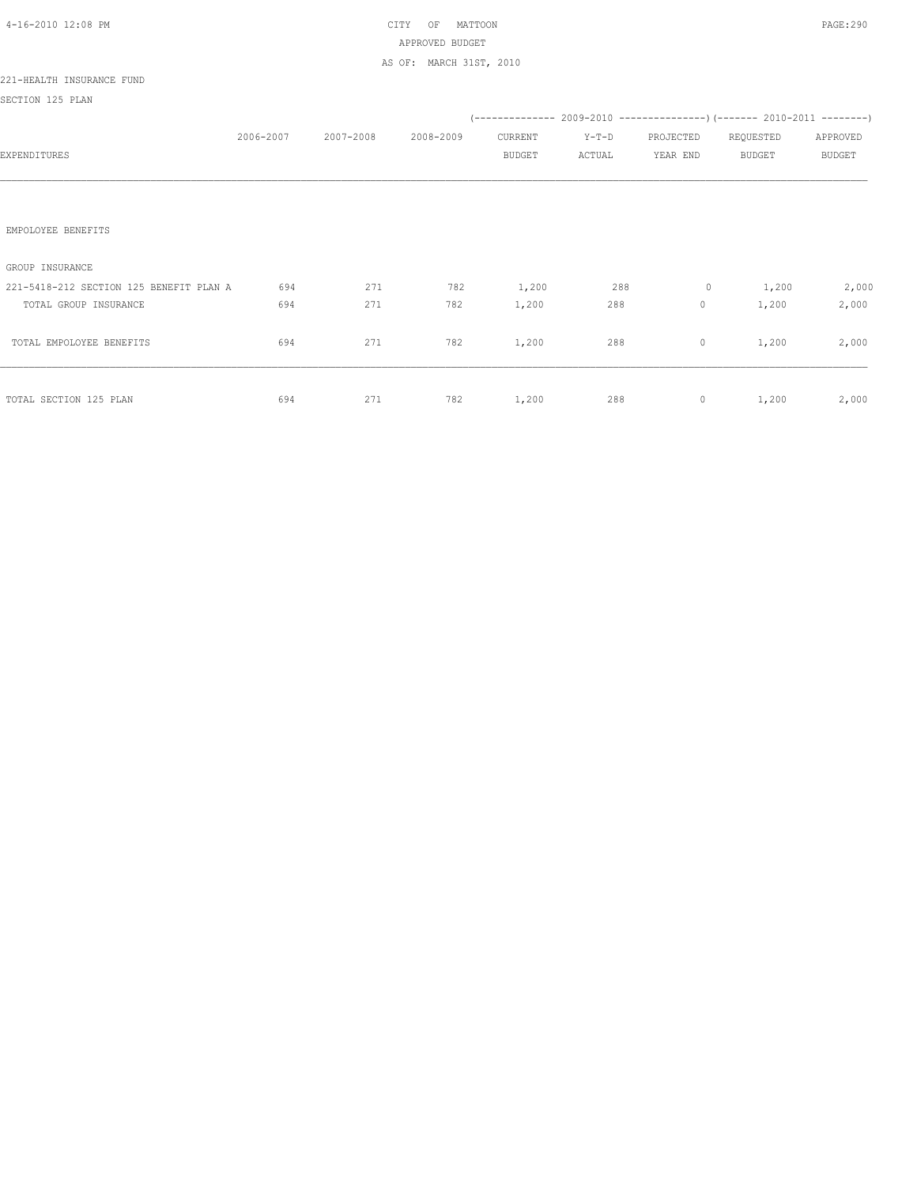# 4-16-2010 12:08 PM CITY OF MATTOON PAGE:290 APPROVED BUDGET AS OF: MARCH 31ST, 2010

### 221-HEALTH INSURANCE FUND

SECTION 125 PLAN

| EXPENDITURES                                                     | 2006-2007  | 2007-2008  | 2008-2009  | CURRENT<br><b>BUDGET</b> | $Y-T-D$<br>ACTUAL | PROJECTED<br>YEAR END | (-------------- 2009-2010 ----------------) (------- 2010-2011 --------)<br>REQUESTED<br><b>BUDGET</b> | APPROVED<br><b>BUDGET</b> |
|------------------------------------------------------------------|------------|------------|------------|--------------------------|-------------------|-----------------------|--------------------------------------------------------------------------------------------------------|---------------------------|
| EMPOLOYEE BENEFITS                                               |            |            |            |                          |                   |                       |                                                                                                        |                           |
| GROUP INSURANCE                                                  |            |            |            |                          |                   |                       |                                                                                                        |                           |
| 221-5418-212 SECTION 125 BENEFIT PLAN A<br>TOTAL GROUP INSURANCE | 694<br>694 | 271<br>271 | 782<br>782 | 1,200<br>1,200           | 288<br>288        | 0<br>$\circ$          | 1,200<br>1,200                                                                                         | 2,000<br>2,000            |
| TOTAL EMPOLOYEE BENEFITS                                         | 694        | 271        | 782        | 1,200                    | 288               | $\circ$               | 1,200                                                                                                  | 2,000                     |
| TOTAL SECTION 125 PLAN                                           | 694        | 271        | 782        | 1,200                    | 288               | $\circ$               | 1,200                                                                                                  | 2,000                     |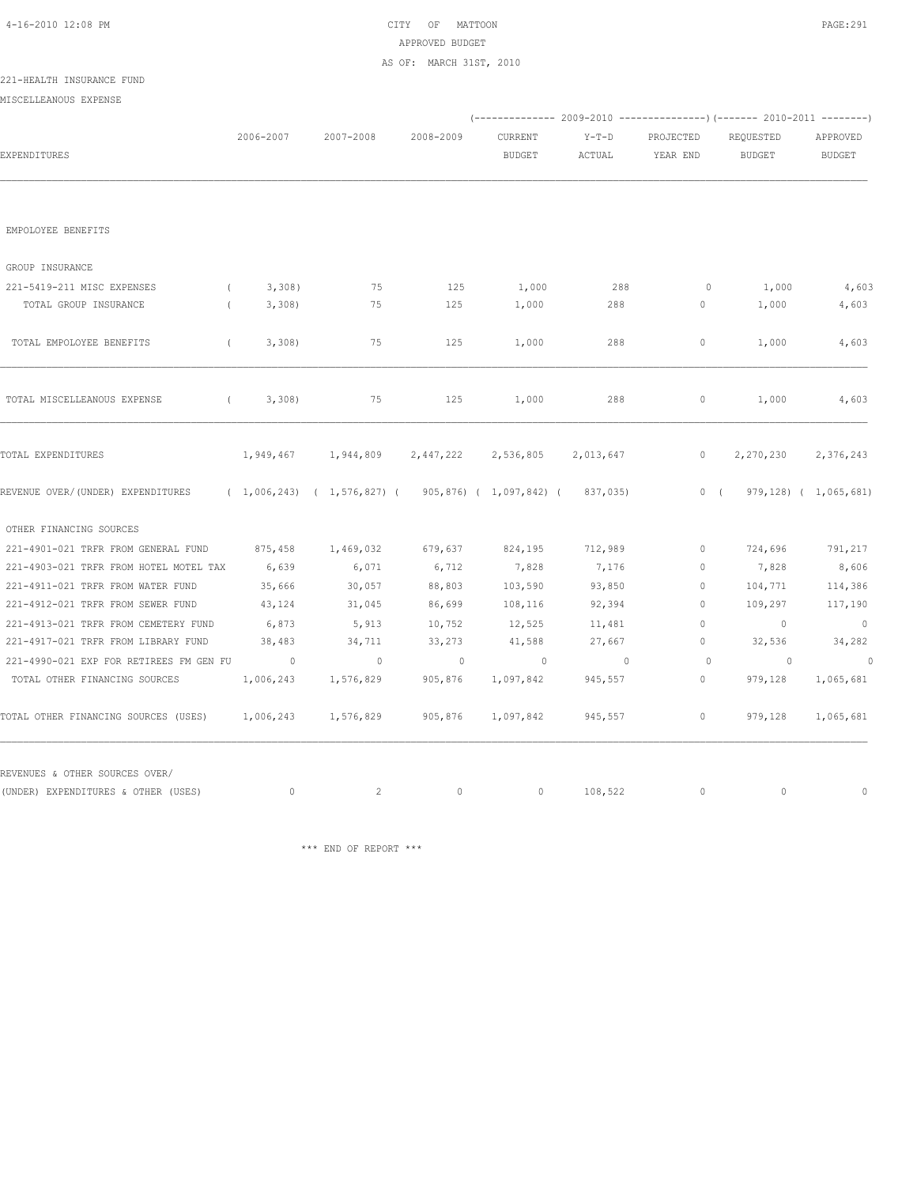# 4-16-2010 12:08 PM CITY OF MATTOON PAGE:291 APPROVED BUDGET AS OF: MARCH 31ST, 2010

#### 221-HEALTH INSURANCE FUND

MISCELLEANOUS EXPENSE

|                                                                                           |                   |                               |                | (------------- 2009-2010 ---------------) (------- 2010-2011 --------) |          |                |                                          |                |
|-------------------------------------------------------------------------------------------|-------------------|-------------------------------|----------------|------------------------------------------------------------------------|----------|----------------|------------------------------------------|----------------|
|                                                                                           | 2006-2007         | 2007-2008                     | 2008-2009      | CURRENT                                                                | $Y-T-D$  | PROJECTED      | REQUESTED                                | APPROVED       |
| EXPENDITURES                                                                              |                   |                               |                | <b>BUDGET</b>                                                          | ACTUAL   | YEAR END       | <b>BUDGET</b>                            | <b>BUDGET</b>  |
|                                                                                           |                   |                               |                |                                                                        |          |                |                                          |                |
| EMPOLOYEE BENEFITS                                                                        |                   |                               |                |                                                                        |          |                |                                          |                |
| GROUP INSURANCE                                                                           |                   |                               |                |                                                                        |          |                |                                          |                |
| 221-5419-211 MISC EXPENSES<br>$\sqrt{2}$                                                  | $3,308$ )         | 75                            | 125            | 1,000                                                                  | 288      | $\overline{0}$ | 1,000                                    | 4,603          |
| TOTAL GROUP INSURANCE<br>$\left($                                                         | 3,308             | 75                            | 125            | 1,000                                                                  | 288      | $\circ$        | 1,000                                    | 4,603          |
| TOTAL EMPOLOYEE BENEFITS<br>$\left($                                                      | 3,308             | 75                            | 125            | 1,000                                                                  | 288      | $\circ$        | 1,000                                    | 4,603          |
| TOTAL MISCELLEANOUS EXPENSE                                                               | (3, 308)          | 75                            | 125            | 1,000                                                                  | 288      | 0              | 1,000                                    | 4,603          |
| TOTAL EXPENDITURES                                                                        |                   | 1,949,467 1,944,809 2,447,222 |                | 2,536,805 2,013,647                                                    |          | $\overline{0}$ | 2,270,230                                | 2,376,243      |
| REVENUE OVER/(UNDER) EXPENDITURES (1,006,243) (1,576,827) (905,876) (1,097,842) (837,035) |                   |                               |                |                                                                        |          |                | $0 \quad (979, 128) \quad (1, 065, 681)$ |                |
| OTHER FINANCING SOURCES                                                                   |                   |                               |                |                                                                        |          |                |                                          |                |
| 221-4901-021 TRFR FROM GENERAL FUND                                                       | 875,458 1,469,032 |                               | 679,637        | 824,195                                                                | 712,989  | $\circ$        | 724,696                                  | 791,217        |
| 221-4903-021 TRFR FROM HOTEL MOTEL TAX 6,639                                              |                   | 6,071                         | 6,712          | 7,828                                                                  | 7,176    | $\circ$        | 7,828                                    | 8,606          |
| 221-4911-021 TRFR FROM WATER FUND                                                         | 35,666            | 30,057                        | 88,803         | 103,590                                                                | 93,850   | $\circ$        | 104,771                                  | 114,386        |
| 221-4912-021 TRFR FROM SEWER FUND                                                         | 43,124            | 31,045                        | 86,699         | 108,116                                                                | 92,394   | $\circ$        | 109,297                                  | 117,190        |
| 221-4913-021 TRFR FROM CEMETERY FUND                                                      | 6,873             | 5,913                         | 10,752         | 12,525                                                                 | 11,481   | $\circ$        | $\overline{0}$                           | $\overline{0}$ |
| 221-4917-021 TRFR FROM LIBRARY FUND                                                       | 38,483            | 34,711                        | 33,273         | 41,588                                                                 | 27,667   | $\Omega$       | 32,536                                   | 34,282         |
| 221-4990-021 EXP FOR RETIREES FM GEN FU 0                                                 |                   | $\sim$ 0                      | $\sim$ 0       | $\sim$ 0                                                               | $\sim$ 0 | $\mathbf{0}$   | $\overline{0}$                           | $\sim$ 0       |
| TOTAL OTHER FINANCING SOURCES                                                             | 1,006,243         | 1,576,829                     | 905,876        | 1,097,842                                                              | 945,557  | $\circ$        | 979,128                                  | 1,065,681      |
| TOTAL OTHER FINANCING SOURCES (USES) 1,006,243                                            |                   | 1,576,829                     | 905,876        | 1,097,842                                                              | 945,557  | $\circ$        | 979,128                                  | 1,065,681      |
| REVENUES & OTHER SOURCES OVER/                                                            |                   |                               |                |                                                                        |          |                |                                          |                |
| (UNDER) EXPENDITURES & OTHER (USES)                                                       | $\circ$           | 2                             | $\overline{0}$ | $\overline{0}$                                                         | 108,522  | $\circ$        | $\mathbf{0}$                             | $\mathbb O$    |

 $\hspace{0.1mm}^{\star\star\star}$  END OF REPORT  $\hspace{0.1mm}^{\star\star\star}$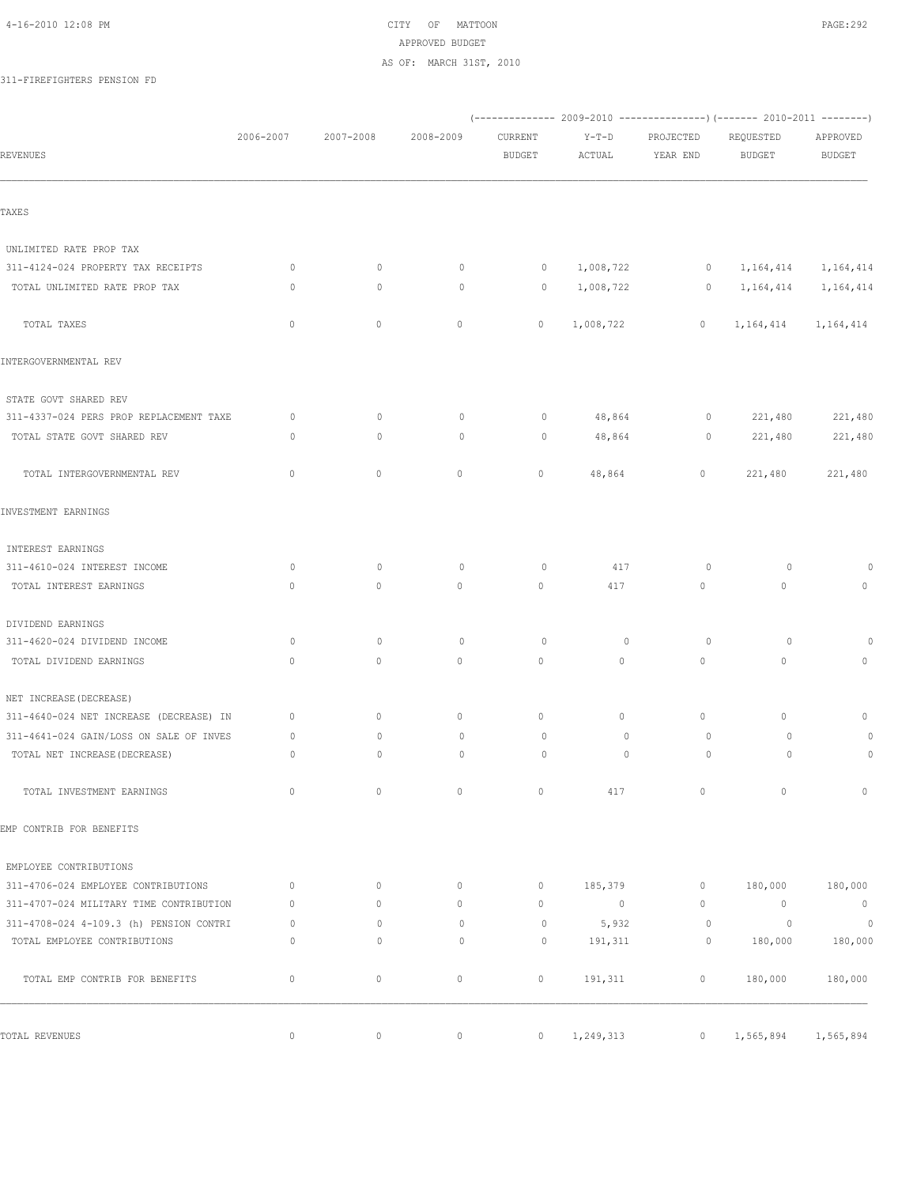# 4-16-2010 12:08 PM CITY OF MATTOON PAGE:292 APPROVED BUDGET AS OF: MARCH 31ST, 2010

311-FIREFIGHTERS PENSION FD

|                                         |             |              |              |                          |                      |                       | (-------------- 2009-2010 ----------------) (------- 2010-2011 --------) |                           |
|-----------------------------------------|-------------|--------------|--------------|--------------------------|----------------------|-----------------------|--------------------------------------------------------------------------|---------------------------|
| <b>REVENUES</b>                         | 2006-2007   | 2007-2008    | 2008-2009    | CURRENT<br><b>BUDGET</b> | $Y-T-D$<br>ACTUAL    | PROJECTED<br>YEAR END | REQUESTED<br><b>BUDGET</b>                                               | APPROVED<br><b>BUDGET</b> |
| TAXES                                   |             |              |              |                          |                      |                       |                                                                          |                           |
|                                         |             |              |              |                          |                      |                       |                                                                          |                           |
| UNLIMITED RATE PROP TAX                 |             |              |              |                          |                      |                       |                                                                          |                           |
| 311-4124-024 PROPERTY TAX RECEIPTS      | $\circ$     | $\mathbf{0}$ | $\circ$      |                          | $0 \qquad 1,008,722$ |                       | $0 \qquad 1,164,414 \qquad 1,164,414$                                    |                           |
| TOTAL UNLIMITED RATE PROP TAX           | $\circ$     | $\mathbf{0}$ | 0            | $\circ$                  | 1,008,722            |                       | $0 \qquad 1,164,414$                                                     | 1,164,414                 |
| TOTAL TAXES                             | $\mathbb O$ | $\circ$      | $\mathbb O$  | $\circ$                  | 1,008,722            | $\circ$               | 1, 164, 414 1, 164, 414                                                  |                           |
| INTERGOVERNMENTAL REV                   |             |              |              |                          |                      |                       |                                                                          |                           |
| STATE GOVT SHARED REV                   |             |              |              |                          |                      |                       |                                                                          |                           |
| 311-4337-024 PERS PROP REPLACEMENT TAXE | $\circ$     | $\mathbf 0$  | 0            | $\circ$                  | 48,864               | $\circ$               | 221,480                                                                  | 221,480                   |
| TOTAL STATE GOVT SHARED REV             | $\circ$     | $\mathbf 0$  | 0            | $\circ$                  | 48,864               | $\circ$               | 221,480                                                                  | 221,480                   |
| TOTAL INTERGOVERNMENTAL REV             | $\mathbb O$ | $\circ$      | 0            | $\circ$                  | 48,864               | $\circ$               | 221,480                                                                  | 221,480                   |
| INVESTMENT EARNINGS                     |             |              |              |                          |                      |                       |                                                                          |                           |
| INTEREST EARNINGS                       |             |              |              |                          |                      |                       |                                                                          |                           |
| 311-4610-024 INTEREST INCOME            | $\circ$     | $\mathbf{0}$ | $\mathbf 0$  | $\circ$                  | 417                  | $\circ$               | $\mathbf 0$                                                              |                           |
| TOTAL INTEREST EARNINGS                 | $\circ$     | $\circ$      | $\mathbf{0}$ | $\mathbf{0}$             | 417                  | $\circ$               | $\circ$                                                                  | 0                         |
| DIVIDEND EARNINGS                       |             |              |              |                          |                      |                       |                                                                          |                           |
| 311-4620-024 DIVIDEND INCOME            | $\circ$     | $\mathbf{0}$ | $\circ$      | $\circ$                  | $\circ$              | $\circ$               | $\mathbf 0$                                                              |                           |
| TOTAL DIVIDEND EARNINGS                 | $\mathbb O$ | $\circ$      | $\mathbb O$  | $\circ$                  | $\circ$              | $\mathbb O$           | $\mathbb O$                                                              | $\circ$                   |
| NET INCREASE (DECREASE)                 |             |              |              |                          |                      |                       |                                                                          |                           |
| 311-4640-024 NET INCREASE (DECREASE) IN | $\mathbf 0$ | $\circ$      | $\circ$      | 0                        | $\circ$              | $\circ$               | $\circ$                                                                  | 0                         |
| 311-4641-024 GAIN/LOSS ON SALE OF INVES | $\circ$     | $\mathbf{0}$ | 0            | $\circ$                  | $\mathbf{0}$         | $\circ$               | $\mathbf 0$                                                              | $\mathbf 0$               |
| TOTAL NET INCREASE (DECREASE)           | $\circ$     | $\mathbf{0}$ | $\circ$      | $\circ$                  | $\mathbf{0}$         | $\mathbf{0}$          | $\mathbf{0}$                                                             | 0                         |
| TOTAL INVESTMENT EARNINGS               | $\mathbb O$ | $\circ$      | $\mathbb O$  | $\mathbb O$              | 417                  | $\mathbb O$           | $\mathbb O$                                                              | $\circ$                   |
| EMP CONTRIB FOR BENEFITS                |             |              |              |                          |                      |                       |                                                                          |                           |
| EMPLOYEE CONTRIBUTIONS                  |             |              |              |                          |                      |                       |                                                                          |                           |
| 311-4706-024 EMPLOYEE CONTRIBUTIONS     | $\circ$     | $\circ$      | $\circ$      | $\circ$                  | 185,379              | $\circ$               | 180,000                                                                  | 180,000                   |
| 311-4707-024 MILITARY TIME CONTRIBUTION | $\circ$     | $\circ$      | $\circ$      | $\mathbf 0$              | $\sim$ 0             | $\circ$               | $\circ$                                                                  | $\overline{0}$            |
| 311-4708-024 4-109.3 (h) PENSION CONTRI | $\circ$     | $\circ$      | $\circ$      | $\circ$                  | 5,932                | $\mathbb O$           | $\overline{\phantom{0}}$                                                 | $\overline{0}$            |
| TOTAL EMPLOYEE CONTRIBUTIONS            | $\circ$     | $\mathbf{0}$ | 0            | $\circ$                  | 191,311              | $\circ$               | 180,000                                                                  | 180,000                   |
| TOTAL EMP CONTRIB FOR BENEFITS          | $\mathbb O$ | $\mathbb O$  | $\mathbb O$  | $\circ$                  | 191,311              | $\circ$               | 180,000                                                                  | 180,000                   |
| TOTAL REVENUES                          | $\mathbb O$ | $\circ$      | $\mathbb O$  | $\overline{0}$           | 1,249,313            | $\circ$               | 1,565,894                                                                | 1,565,894                 |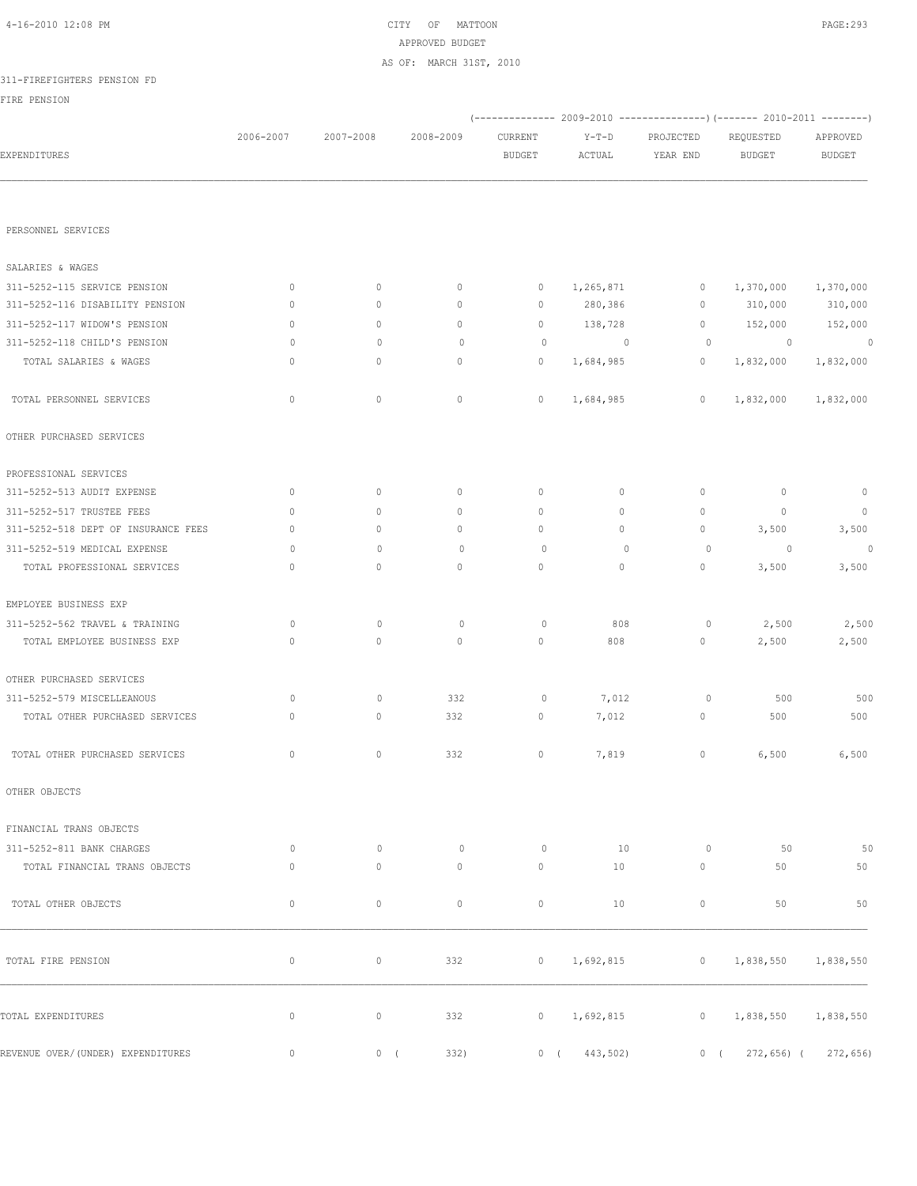# 4-16-2010 12:08 PM CITY OF MATTOON PAGE:293 APPROVED BUDGET AS OF: MARCH 31ST, 2010

## 311-FIREFIGHTERS PENSION FD

| λN<br>nт<br>ENSIC<br>F<br>$\sim$<br>$\sim$ |
|--------------------------------------------|
|--------------------------------------------|

|                                     |              |                |                |                |                | (------------- 2009-2010 ---------------) (------- 2010-2011 --------) |                |                |
|-------------------------------------|--------------|----------------|----------------|----------------|----------------|------------------------------------------------------------------------|----------------|----------------|
|                                     | 2006-2007    | 2007-2008      | 2008-2009      | CURRENT        | $Y-T-D$        | PROJECTED                                                              | REQUESTED      | APPROVED       |
| EXPENDITURES                        |              |                |                | <b>BUDGET</b>  | ACTUAL         | YEAR END                                                               | BUDGET         | <b>BUDGET</b>  |
|                                     |              |                |                |                |                |                                                                        |                |                |
| PERSONNEL SERVICES                  |              |                |                |                |                |                                                                        |                |                |
| SALARIES & WAGES                    |              |                |                |                |                |                                                                        |                |                |
| 311-5252-115 SERVICE PENSION        | $\circ$      | $\circ$        | $\circ$        | $\circ$        | 1,265,871      | $\circ$                                                                | 1,370,000      | 1,370,000      |
| 311-5252-116 DISABILITY PENSION     | $\circ$      | $\circ$        | $\circ$        | $\mathbf 0$    | 280,386        | $\circ$                                                                | 310,000        | 310,000        |
| 311-5252-117 WIDOW'S PENSION        | $\Omega$     | $\circ$        | $\mathbf{0}$   | $\circ$        | 138,728        | $\circ$                                                                | 152,000        | 152,000        |
| 311-5252-118 CHILD'S PENSION        | $\Omega$     | $\mathbf{0}$   | $\mathbf{0}$   | 0              | $\sim$ 0       | $\circ$                                                                | $\overline{0}$ | $\mathbf 0$    |
| TOTAL SALARIES & WAGES              | $\circ$      | $\circ$        | $\mathbf 0$    | $\circ$        | 1,684,985      | $\circ$                                                                | 1,832,000      | 1,832,000      |
| TOTAL PERSONNEL SERVICES            | 0            | $\mathbb O$    | $\mathbb O$    | $\circ$        | 1,684,985      | 0                                                                      | 1,832,000      | 1,832,000      |
| OTHER PURCHASED SERVICES            |              |                |                |                |                |                                                                        |                |                |
| PROFESSIONAL SERVICES               |              |                |                |                |                |                                                                        |                |                |
| 311-5252-513 AUDIT EXPENSE          | $\mathbf 0$  | $\circ$        | $\circ$        | $\circ$        | $\circ$        | $\circ$                                                                | $\circ$        | $\circ$        |
| 311-5252-517 TRUSTEE FEES           | $\circ$      | $\circ$        | $\mathbf 0$    | $\circ$        | $\circ$        | $\circ$                                                                | $\circ$        | $\overline{0}$ |
| 311-5252-518 DEPT OF INSURANCE FEES | $\circ$      | $\circ$        | $\mathbf 0$    | $\circ$        | $\circ$        | $\circ$                                                                | 3,500          | 3,500          |
| 311-5252-519 MEDICAL EXPENSE        | $\Omega$     | $\circ$        | $\circ$        | $\circ$        | $\mathbf{0}$   | $\mathbf{0}$                                                           | $\overline{0}$ | $\mathbf 0$    |
| TOTAL PROFESSIONAL SERVICES         | $\mathbf{0}$ | $\mathbf{0}$   | $\circ$        | $\mathbf{0}$   | $\circ$        | 0                                                                      | 3,500          | 3,500          |
| EMPLOYEE BUSINESS EXP               |              |                |                |                |                |                                                                        |                |                |
| 311-5252-562 TRAVEL & TRAINING      | 0            | $\circ$        | 0              | 0              | 808            | $\mathbf 0$                                                            | 2,500          | 2,500          |
| TOTAL EMPLOYEE BUSINESS EXP         | 0            | $\mathbf{0}$   | $\circ$        | $\circ$        | 808            | 0                                                                      | 2,500          | 2,500          |
| OTHER PURCHASED SERVICES            |              |                |                |                |                |                                                                        |                |                |
| 311-5252-579 MISCELLEANOUS          | $\circ$      | $\circ$        | 332            | 0              | 7,012          | $\mathbf 0$                                                            | 500            | 500            |
| TOTAL OTHER PURCHASED SERVICES      | 0            | $\circ$        | 332            | $\circ$        | 7,012          | 0                                                                      | 500            | 500            |
| TOTAL OTHER PURCHASED SERVICES      | 0            | $\circ$        | 332            | $\circ$        | 7,819          | $\circ$                                                                | 6,500          | 6,500          |
| OTHER OBJECTS                       |              |                |                |                |                |                                                                        |                |                |
| FINANCIAL TRANS OBJECTS             |              |                |                |                |                |                                                                        |                |                |
| 311-5252-811 BANK CHARGES           | $\circ$      | $\overline{0}$ | $\overline{0}$ | $\overline{0}$ | 10             | $\overline{0}$                                                         | 50             | 50             |
| TOTAL FINANCIAL TRANS OBJECTS       | $\circ$      | $\circ$        | $\circ$        | $\circ$        | 10             | $\circ$                                                                | 50             | 50             |
| TOTAL OTHER OBJECTS                 | $\mathbb O$  | $\circ$        | $\circ$        | $\circ$        | 10             | $\circ$                                                                | 50             | 50             |
| TOTAL FIRE PENSION                  | $\mathbb O$  | $\circ$        | 332            | $\circ$        | 1,692,815      | $\circ$                                                                | 1,838,550      | 1,838,550      |
| TOTAL EXPENDITURES                  | $\mathbf{0}$ | $\circ$        | 332            | $\circ$        | 1,692,815      | $\circ$                                                                | 1,838,550      | 1,838,550      |
| REVENUE OVER/(UNDER) EXPENDITURES   | $\mathbf 0$  | $0$ (          | 332)           |                | 0(<br>443,502) | $0$ (                                                                  | $272,656$ ) (  | 272,656)       |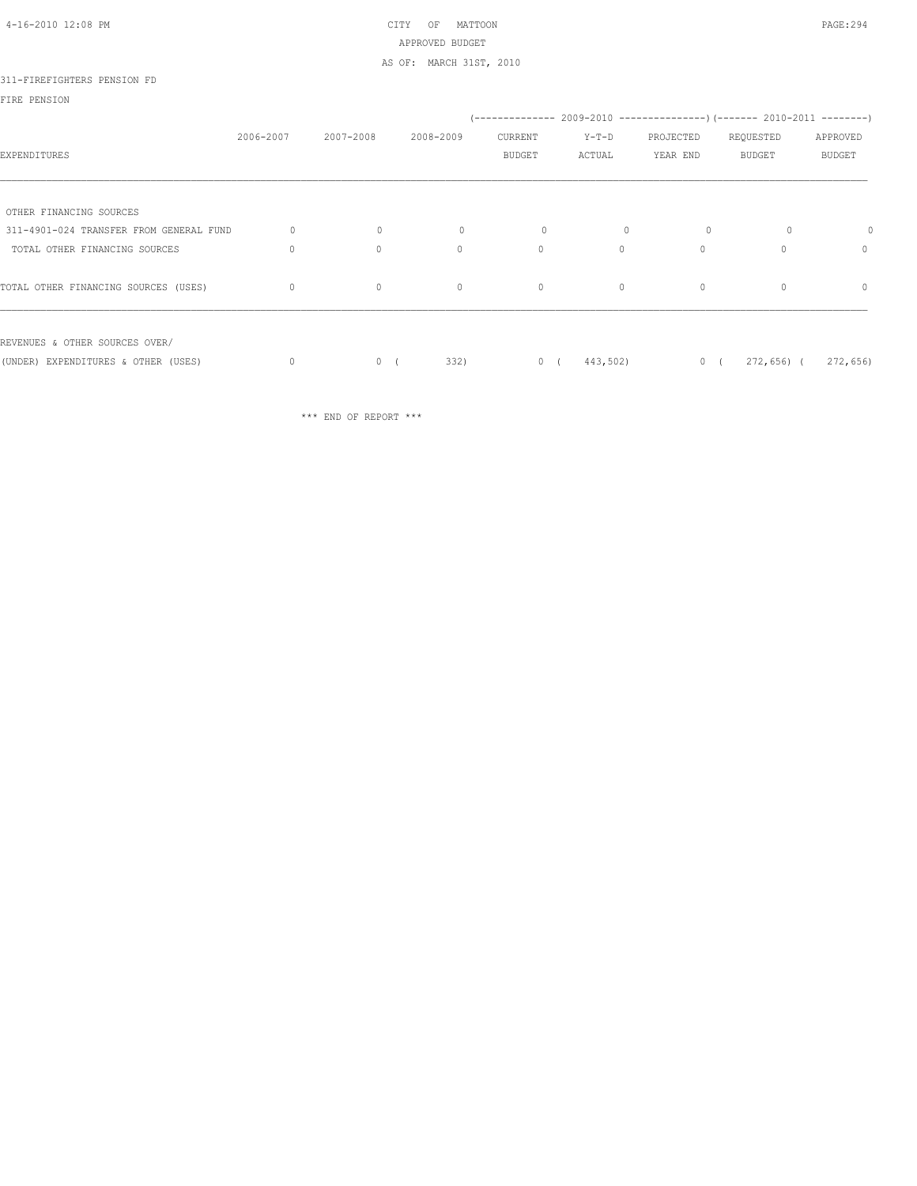## 4-16-2010 12:08 PM CITY OF MATTOON PAGE:294 APPROVED BUDGET AS OF: MARCH 31ST, 2010

### 311-FIREFIGHTERS PENSION FD

FIRE PENSION

|                                         |              |           |           |               |              | (-------------- 2009-2010 ----------------) (------- 2010-2011 --------) |              |              |
|-----------------------------------------|--------------|-----------|-----------|---------------|--------------|--------------------------------------------------------------------------|--------------|--------------|
|                                         | 2006-2007    | 2007-2008 | 2008-2009 | CURRENT       | $Y-T-D$      | PROJECTED                                                                | REQUESTED    | APPROVED     |
| EXPENDITURES                            |              |           |           | <b>BUDGET</b> | ACTUAL       | YEAR END                                                                 | BUDGET       | BUDGET       |
|                                         |              |           |           |               |              |                                                                          |              |              |
| OTHER FINANCING SOURCES                 |              |           |           |               |              |                                                                          |              |              |
| 311-4901-024 TRANSFER FROM GENERAL FUND | $\Omega$     | $\circ$   | 0         | 0             | $\mathbf{0}$ | $\mathbf{0}$                                                             | $\mathbf{0}$ | 0            |
| TOTAL OTHER FINANCING SOURCES           | 0            | 0         | $\circ$   | $\circ$       | 0            | $\mathbf{0}$                                                             | $\Omega$     | $\circ$      |
| TOTAL OTHER FINANCING SOURCES (USES)    | $\mathbf{0}$ | 0         | $\circ$   | $\circ$       | $\circ$      | $\mathbf{0}$                                                             | $\Omega$     | $\mathbf{0}$ |
| REVENUES & OTHER SOURCES OVER/          |              |           |           |               |              |                                                                          |              |              |

(UNDER) EXPENDITURES & OTHER (USES) 0 0 ( 332) 0 ( 443,502) 0 ( 272,656) ( 272,656)

\*\*\* END OF REPORT \*\*\*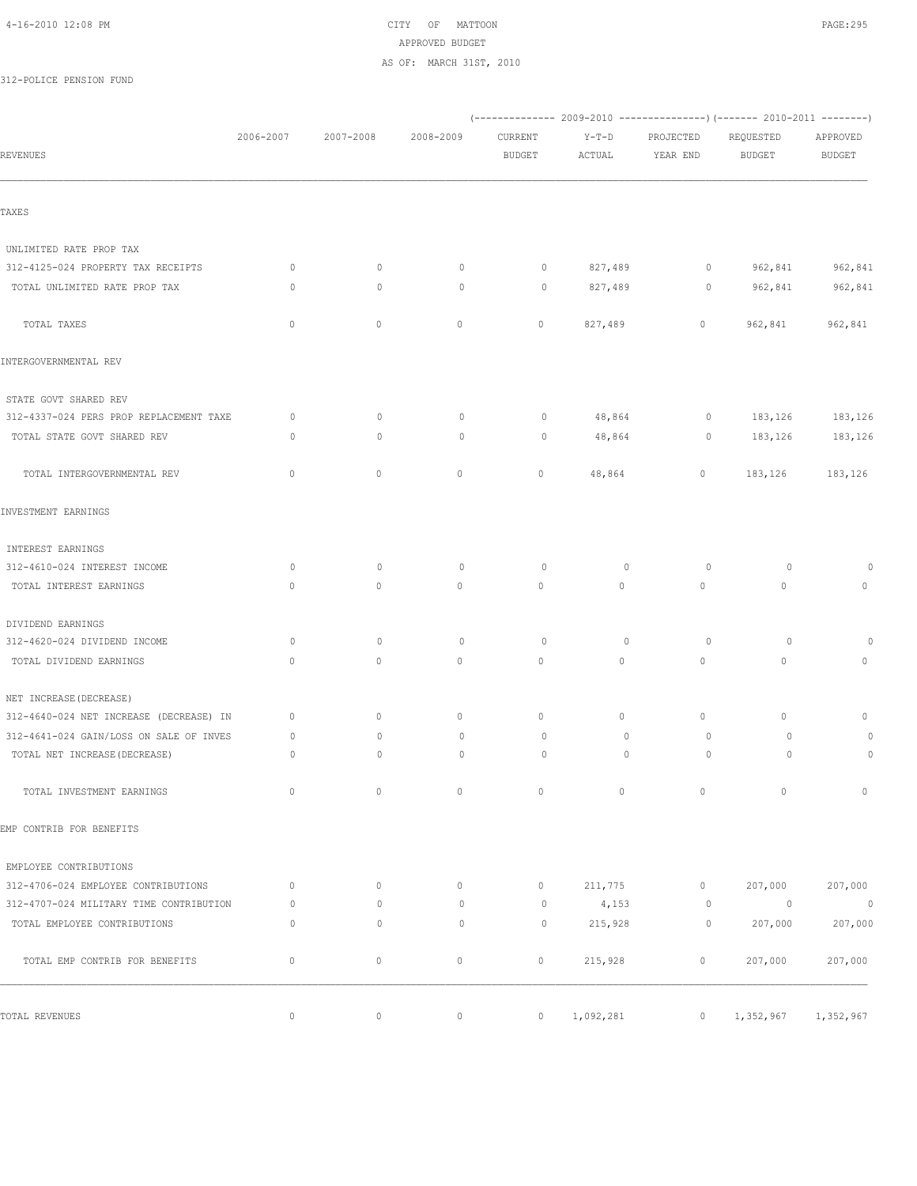# 4-16-2010 12:08 PM CITY OF MATTOON PAGE:295 APPROVED BUDGET AS OF: MARCH 31ST, 2010

## 312-POLICE PENSION FUND

|                                         |              |             |              |                          |                   |                       | (-------------- 2009-2010 ----------------) (------- 2010-2011 ---------) |                    |
|-----------------------------------------|--------------|-------------|--------------|--------------------------|-------------------|-----------------------|---------------------------------------------------------------------------|--------------------|
| REVENUES                                | 2006-2007    | 2007-2008   | 2008-2009    | CURRENT<br><b>BUDGET</b> | $Y-T-D$<br>ACTUAL | PROJECTED<br>YEAR END | REQUESTED<br><b>BUDGET</b>                                                | APPROVED<br>BUDGET |
| TAXES                                   |              |             |              |                          |                   |                       |                                                                           |                    |
| UNLIMITED RATE PROP TAX                 |              |             |              |                          |                   |                       |                                                                           |                    |
| 312-4125-024 PROPERTY TAX RECEIPTS      | $\circ$      | $\circ$     | 0            | 0                        | 827,489           | 0                     | 962,841                                                                   | 962,841            |
| TOTAL UNLIMITED RATE PROP TAX           | $\circ$      | $\circ$     | $\circ$      | 0                        | 827,489           | $\circ$               | 962,841                                                                   | 962,841            |
| TOTAL TAXES                             | $\circ$      | $\circ$     | $\mathbb O$  | $\mathbf 0$              | 827,489           | 0                     | 962,841                                                                   | 962,841            |
| INTERGOVERNMENTAL REV                   |              |             |              |                          |                   |                       |                                                                           |                    |
| STATE GOVT SHARED REV                   |              |             |              |                          |                   |                       |                                                                           |                    |
| 312-4337-024 PERS PROP REPLACEMENT TAXE | $\circ$      | $\circ$     | $\circ$      | 0                        | 48,864            | $\circ$               | 183,126                                                                   | 183,126            |
| TOTAL STATE GOVT SHARED REV             | 0            | 0           | $\circ$      | 0                        | 48,864            | $\circ$               | 183,126                                                                   | 183,126            |
| TOTAL INTERGOVERNMENTAL REV             | $\circ$      | $\circ$     | $\mathbf{0}$ | $\circ$                  | 48,864            | $\circ$               | 183,126                                                                   | 183,126            |
| INVESTMENT EARNINGS                     |              |             |              |                          |                   |                       |                                                                           |                    |
| INTEREST EARNINGS                       |              |             |              |                          |                   |                       |                                                                           |                    |
| 312-4610-024 INTEREST INCOME            | 0            | $\circ$     | $\circ$      | 0                        | $\circ$           | $\mathbf 0$           | $\mathbf 0$                                                               | 0                  |
| TOTAL INTEREST EARNINGS                 | $\circ$      | $\circ$     | $\mathbf 0$  | $\circ$                  | $\circ$           | 0                     | $\circ$                                                                   | 0                  |
| DIVIDEND EARNINGS                       |              |             |              |                          |                   |                       |                                                                           |                    |
| 312-4620-024 DIVIDEND INCOME            | 0            | $\circ$     | $\circ$      | $\circ$                  | $\mathbf 0$       | $\mathbf 0$           | $\mathbf 0$                                                               | 0                  |
| TOTAL DIVIDEND EARNINGS                 | 0            | $\circ$     | $\mathbf 0$  | $\circ$                  | $\circ$           | $\circ$               | $\circ$                                                                   | $\circ$            |
| NET INCREASE (DECREASE)                 |              |             |              |                          |                   |                       |                                                                           |                    |
| 312-4640-024 NET INCREASE (DECREASE) IN | $\mathbf{0}$ | $\circ$     | $\mathbf 0$  | $\mathbb O$              | $\circ$           | 0                     | $\circ$                                                                   | 0                  |
| 312-4641-024 GAIN/LOSS ON SALE OF INVES | $\circ$      | 0           | $\circ$      | 0                        | $\mathbf 0$       | $\mathbf 0$           | $\mathbf 0$                                                               | 0                  |
| TOTAL NET INCREASE (DECREASE)           | $\circ$      | $\circ$     | $\circ$      | $\circ$                  | $\mathbf 0$       | $\mathbf 0$           | $\circ$                                                                   | 0                  |
| TOTAL INVESTMENT EARNINGS               | $\mathbb O$  | $\circ$     | $\mathbb O$  | $\mathbb O$              | $\circ$           | $\mathbb O$           | $\mathbb O$                                                               | $\mathbb O$        |
| EMP CONTRIB FOR BENEFITS                |              |             |              |                          |                   |                       |                                                                           |                    |
| EMPLOYEE CONTRIBUTIONS                  |              |             |              |                          |                   |                       |                                                                           |                    |
| 312-4706-024 EMPLOYEE CONTRIBUTIONS     | $\circ$      | $\circ$     | $\circ$      | $\circ$                  | 211,775           | $\circ$               | 207,000                                                                   | 207,000            |
| 312-4707-024 MILITARY TIME CONTRIBUTION | 0            | $\circ$     | $\circ$      | 0                        | 4,153             | $\circ$               | $\sim$ 0                                                                  | $\circ$            |
| TOTAL EMPLOYEE CONTRIBUTIONS            | 0            | 0           | $\circ$      | 0                        | 215,928           | $\mathbb O$           | 207,000                                                                   | 207,000            |
| TOTAL EMP CONTRIB FOR BENEFITS          | 0            | $\mathbb O$ | $\mathbb O$  | $\circ$                  | 215,928           | 0                     | 207,000                                                                   | 207,000            |
| TOTAL REVENUES                          | $\circ$      | $\circ$     | $\circ$      | $\circ$                  | 1,092,281         | $\circ$               | 1,352,967                                                                 | 1,352,967          |
|                                         |              |             |              |                          |                   |                       |                                                                           |                    |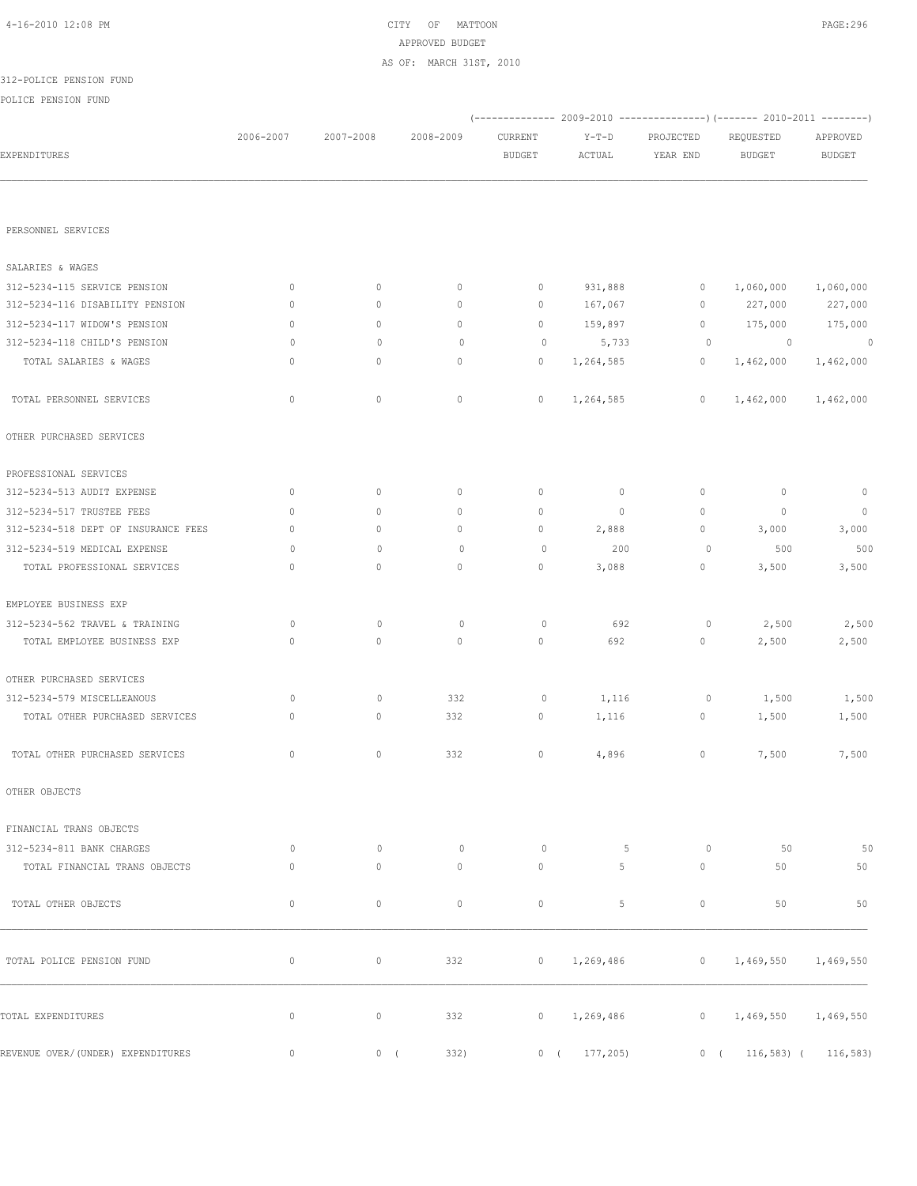# 4-16-2010 12:08 PM CITY OF MATTOON PAGE:296 APPROVED BUDGET AS OF: MARCH 31ST, 2010

## 312-POLICE PENSION FUND

| POLICE PENSION FUND |  |
|---------------------|--|
|---------------------|--|

|                                     |              |                |                |                          |                      | (-------------- 2009-2010 ----------------) (------- 2010-2011 --------) |                               |                           |
|-------------------------------------|--------------|----------------|----------------|--------------------------|----------------------|--------------------------------------------------------------------------|-------------------------------|---------------------------|
| EXPENDITURES                        | 2006-2007    | 2007-2008      | 2008-2009      | CURRENT<br><b>BUDGET</b> | $Y-T-D$<br>ACTUAL    | PROJECTED<br>YEAR END                                                    | REQUESTED<br><b>BUDGET</b>    | APPROVED<br><b>BUDGET</b> |
|                                     |              |                |                |                          |                      |                                                                          |                               |                           |
| PERSONNEL SERVICES                  |              |                |                |                          |                      |                                                                          |                               |                           |
| SALARIES & WAGES                    |              |                |                |                          |                      |                                                                          |                               |                           |
| 312-5234-115 SERVICE PENSION        | $\circ$      | $\circ$        | $\mathbf 0$    | $\mathbf 0$              | 931,888              | 0                                                                        | 1,060,000                     | 1,060,000                 |
| 312-5234-116 DISABILITY PENSION     | $\circ$      | 0              | $\mathbf{0}$   | $\circ$                  | 167,067              | 0                                                                        | 227,000                       | 227,000                   |
| 312-5234-117 WIDOW'S PENSION        | $\circ$      | $\circ$        | $\mathbf 0$    | $\circ$                  | 159,897              | 0                                                                        | 175,000                       | 175,000                   |
| 312-5234-118 CHILD'S PENSION        | $\circ$      | $\circ$        | $\circ$        | 0                        | 5,733                | $\mathbf 0$                                                              | $\overline{0}$                | $\mathbf 0$               |
| TOTAL SALARIES & WAGES              | $\mathbf{0}$ | $\mathbf{0}$   | 0              | $\circ$                  | 1,264,585            | 0                                                                        | 1,462,000                     | 1,462,000                 |
| TOTAL PERSONNEL SERVICES            | $\circ$      | $\mathbb O$    | $\mathbf 0$    | $\circ$                  | 1,264,585            | 0                                                                        | 1,462,000                     | 1,462,000                 |
| OTHER PURCHASED SERVICES            |              |                |                |                          |                      |                                                                          |                               |                           |
| PROFESSIONAL SERVICES               |              |                |                |                          |                      |                                                                          |                               |                           |
| 312-5234-513 AUDIT EXPENSE          | $\circ$      | $\circ$        | $\mathbf 0$    | $\mathbf 0$              | $\circ$              | $\circ$                                                                  | $\mathbf 0$                   | $\circ$                   |
| 312-5234-517 TRUSTEE FEES           | $\mathbf{0}$ | $\mathbf{0}$   | 0              | $\mathbf 0$              | 0                    | $\circ$                                                                  | 0                             | $\overline{0}$            |
| 312-5234-518 DEPT OF INSURANCE FEES | $\mathbf{0}$ | $\mathbf{0}$   | $\mathbf 0$    | $\mathbb O$              | 2,888                | 0                                                                        | 3,000                         | 3,000                     |
| 312-5234-519 MEDICAL EXPENSE        | $\circ$      | $\circ$        | $\circ$        | 0                        | 200                  | $\mathbf 0$                                                              | 500                           | 500                       |
| TOTAL PROFESSIONAL SERVICES         | $\mathbf{0}$ | $\circ$        | 0              | $\circ$                  | 3,088                | 0                                                                        | 3,500                         | 3,500                     |
| EMPLOYEE BUSINESS EXP               |              |                |                |                          |                      |                                                                          |                               |                           |
| 312-5234-562 TRAVEL & TRAINING      | 0            | $\circ$        | $\mathbf 0$    | 0                        | 692                  | $\mathbf 0$                                                              | 2,500                         | 2,500                     |
| TOTAL EMPLOYEE BUSINESS EXP         | $\mathbf{0}$ | $\mathbf{0}$   | $\circ$        | $\circ$                  | 692                  | 0                                                                        | 2,500                         | 2,500                     |
| OTHER PURCHASED SERVICES            |              |                |                |                          |                      |                                                                          |                               |                           |
| 312-5234-579 MISCELLEANOUS          | $\circ$      | $\circ$        | 332            | 0                        | 1,116                | 0                                                                        | 1,500                         | 1,500                     |
| TOTAL OTHER PURCHASED SERVICES      | $\circ$      | $\circ$        | 332            | $\mathbb O$              | 1,116                | $\circ$                                                                  | 1,500                         | 1,500                     |
| TOTAL OTHER PURCHASED SERVICES      | $\circ$      | $\circ$        | 332            | $\mathbf 0$              | 4,896                | 0                                                                        | 7,500                         | 7,500                     |
| OTHER OBJECTS                       |              |                |                |                          |                      |                                                                          |                               |                           |
| FINANCIAL TRANS OBJECTS             |              |                |                |                          |                      |                                                                          |                               |                           |
| 312-5234-811 BANK CHARGES           | $\circ$      | $\overline{0}$ | $\overline{0}$ | $\sim$ 0                 | 5 <sub>5</sub>       | $\sim$ 0                                                                 | 50                            | 50                        |
| TOTAL FINANCIAL TRANS OBJECTS       | $\circ$      | $\circ$        | $\circ$        | $\circ$                  | $5 -$                | $\circ$                                                                  | 50                            | 50                        |
| TOTAL OTHER OBJECTS                 | $\mathbb O$  | $\circ$        | $\circ$        | $\circ$                  | $5 -$                | $\circ$                                                                  | 50                            | 50                        |
| TOTAL POLICE PENSION FUND           | $\circ$      | $\mathbb O$    | 332            | $\circ$                  | 1,269,486            | $\circ$                                                                  | 1,469,550                     | 1,469,550                 |
| TOTAL EXPENDITURES                  | $\circ$      | $\circ$        | 332            | $\circ$                  | 1,269,486            | $\circ$                                                                  | 1,469,550                     | 1,469,550                 |
| REVENUE OVER/ (UNDER) EXPENDITURES  | $\circ$      | $0$ (          | 332)           |                          | $0 \quad (177, 205)$ |                                                                          | $0 \t( 116, 583) ( 116, 583)$ |                           |